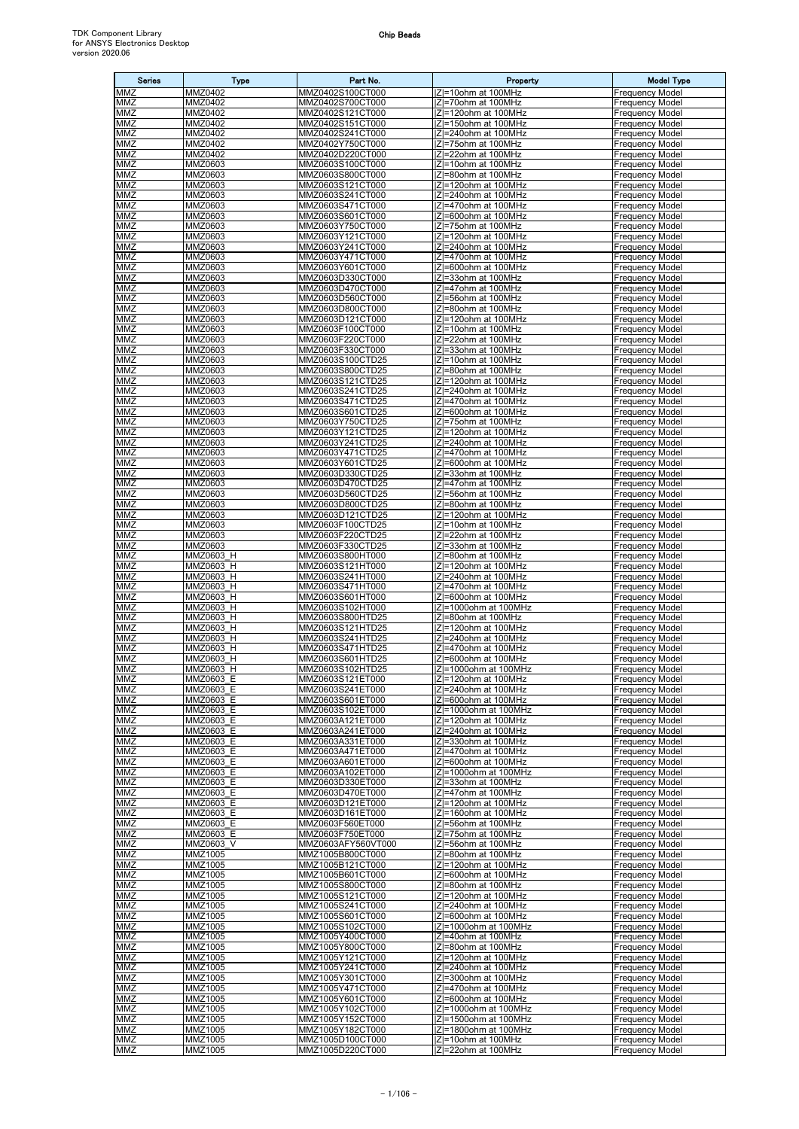| <b>Series</b>     | <b>Type</b>               | Part No.                               | Property                                        | <b>Model Type</b>                                |
|-------------------|---------------------------|----------------------------------------|-------------------------------------------------|--------------------------------------------------|
| MMZ               | MMZ0402                   | MMZ0402S100CT000                       | IZI=10ohm at 100MHz                             | <b>Frequency Model</b>                           |
| MMZ<br>MMZ        | MMZ0402<br><b>MMZ0402</b> | MMZ0402S700CT000<br>MMZ0402S121CT000   | Z =70ohm at 100MHz<br> Z =120ohm at 100MHz      | <b>Frequency Model</b><br><b>Frequency Model</b> |
| MMZ               | MMZ0402                   | MMZ0402S151CT000                       | IZI=150ohm at 100MHz                            | <b>Frequency Model</b>                           |
| MMZ               | MMZ0402                   | MMZ0402S241CT000                       | Z =240ohm at 100MHz                             | <b>Frequency Model</b>                           |
| MMZ<br>MMZ        | MMZ0402<br>MMZ0402        | MMZ0402Y750CT000<br>MMZ0402D220CT000   | IZI=75ohm at 100MHz<br> Z =22ohm at 100MHz      | <b>Frequency Model</b><br><b>Frequency Model</b> |
| MMZ               | MMZ0603                   | MMZ0603S100CT000                       | IZI=10ohm at 100MHz                             | <b>Frequency Model</b>                           |
| MMZ               | MMZ0603                   | MMZ0603S800CT000                       | Z =80ohm at 100MHz                              | <b>Frequency Model</b>                           |
| MMZ<br>MMZ        | MMZ0603<br>MMZ0603        | MMZ0603S121CT000<br>MMZ0603S241CT000   | Z =120ohm at 100MHz<br> Z =240ohm at 100MHz     | <b>Frequency Model</b><br><b>Frequency Model</b> |
| MMZ               | MMZ0603                   | MMZ0603S471CT000                       | Z =470ohm at 100MHz                             | <b>Frequency Model</b>                           |
| MMZ<br>MMZ        | MMZ0603<br>MMZ0603        | MMZ0603S601CT000<br>MMZ0603Y750CT000   | Z =600ohm at 100MHz<br>IZI=75ohm at 100MHz      | <b>Frequency Model</b><br><b>Frequency Model</b> |
| MMZ               | MMZ0603                   | MMZ0603Y121CT000                       | Z =120ohm at 100MHz                             | <b>Frequency Model</b>                           |
| MMZ               | MMZ0603                   | MMZ0603Y241CT000                       | IZI=240ohm at 100MHz                            | <b>Frequency Model</b>                           |
| <b>MMZ</b><br>MMZ | MMZ0603<br>MMZ0603        | MMZ0603Y471CT000<br>MMZ0603Y601CT000   | Z =470ohm at 100MHz<br>IZI=600ohm at 100MHz     | <b>Frequency Model</b><br><b>Frequency Model</b> |
| MMZ               | MMZ0603                   | MMZ0603D330CT000                       | Z =33ohm at 100MHz                              | <b>Frequency Model</b>                           |
| MMZ               | MMZ0603                   | MMZ0603D470CT000                       | IZI=47ohm at 100MHz                             | <b>Frequency Model</b>                           |
| MMZ<br>MMZ        | MMZ0603<br>MMZ0603        | MMZ0603D560CT000<br>MMZ0603D800CT000   | Z =56ohm at 100MHz<br> Z =80ohm at 100MHz       | <b>Frequency Model</b><br><b>Frequency Model</b> |
| MMZ               | MMZ0603                   | MMZ0603D121CT000                       | IZI=120ohm at 100MHz                            | <b>Frequency Model</b>                           |
| MMZ               | MMZ0603                   | MMZ0603F100CT000                       | Z =10ohm at 100MHz                              | <b>Frequency Model</b>                           |
| MMZ<br><b>MMZ</b> | MMZ0603<br>MMZ0603        | MMZ0603F220CT000<br>MMZ0603F330CT000   | IZI=22ohm at 100MHz<br> Z =33ohm at 100MHz      | <b>Frequency Model</b><br><b>Frequency Model</b> |
| MMZ               | MMZ0603                   | MMZ0603S100CTD25                       | Z =10ohm at 100MHz                              | <b>Frequency Model</b>                           |
| MMZ<br>MMZ        | MMZ0603                   | MMZ0603S800CTD25                       | IZI=80ohm at 100MHz                             | <b>Frequency Model</b>                           |
| MMZ               | MMZ0603<br>MMZ0603        | MMZ0603S121CTD25<br>MMZ0603S241CTD25   | Z =120ohm at 100MHz<br>$ Z =240$ ohm at 100MHz  | <b>Frequency Model</b><br><b>Frequency Model</b> |
| MMZ               | MMZ0603                   | MMZ0603S471CTD25                       | IZI=470ohm at 100MHz                            | <b>Frequency Model</b>                           |
| MMZ<br>MMZ        | MMZ0603<br>MMZ0603        | MMZ0603S601CTD25<br>MMZ0603Y750CTD25   | IZI=600ohm at 100MHz<br>IZI=75ohm at 100MHz     | <b>Frequency Model</b><br>Frequency Model        |
| MMZ               | MMZ0603                   | MMZ0603Y121CTD25                       | Z =120ohm at 100MHz                             | <b>Frequency Model</b>                           |
| MMZ               | MMZ0603                   | MMZ0603Y241CTD25                       | Z =240ohm at 100MHz                             | <b>Frequency Model</b>                           |
| MMZ<br>MMZ        | MMZ0603<br>MMZ0603        | MMZ0603Y471CTD25<br>MMZ0603Y601CTD25   | Z =470ohm at 100MHz<br> Z =600ohm at 100MHz     | <b>Frequency Model</b><br><b>Frequency Model</b> |
| MMZ               | MMZ0603                   | MMZ0603D330CTD25                       | Z =33ohm at 100MHz                              | <b>Frequency Model</b>                           |
| MMZ               | MMZ0603                   | MMZ0603D470CTD25                       | IZI=47ohm at 100MHz                             | <b>Frequency Model</b>                           |
| MMZ<br>MMZ        | MMZ0603<br>MMZ0603        | MMZ0603D560CTD25<br>MMZ0603D800CTD25   | Z =56ohm at 100MHz<br>IZI=80ohm at 100MHz       | <b>Frequency Model</b><br><b>Frequency Model</b> |
| <b>MMZ</b>        | MMZ0603                   | MMZ0603D121CTD25                       | Z =120ohm at 100MHz                             | <b>Frequency Model</b>                           |
| MMZ               | MMZ0603                   | MMZ0603F100CTD25                       | IZI=10ohm at 100MHz                             | <b>Frequency Model</b>                           |
| MMZ<br>MMZ        | MMZ0603<br>MMZ0603        | MMZ0603F220CTD25<br>MMZ0603F330CTD25   | Z =22ohm at 100MHz<br> Z =33ohm at 100MHz       | <b>Frequency Model</b><br><b>Frequency Model</b> |
| MMZ               | MMZ0603 H                 | MMZ0603S800HT000                       | Z =80ohm at 100MHz                              | <b>Frequency Model</b>                           |
| MMZ               | MMZ0603 H                 | MMZ0603S121HT000                       | IZI=120ohm at 100MHz                            | <b>Frequency Model</b>                           |
| MMZ<br>MMZ        | MMZ0603 H<br>MMZ0603 H    | MMZ0603S241HT000<br>MMZ0603S471HT000   | Z =240ohm at 100MHz<br>IZI=470ohm at 100MHz     | <b>Frequency Model</b><br><b>Frequency Model</b> |
| MMZ               | MMZ0603 H                 | MMZ0603S601HT000                       | Z =600ohm at 100MHz                             | <b>Frequency Model</b>                           |
| MMZ<br>MMZ        | MMZ0603 H<br>MMZ0603 H    | MMZ0603S102HT000                       | Z =1000ohm at 100MHz                            | <b>Frequency Model</b>                           |
| MMZ               | MMZ0603 H                 | MMZ0603S800HTD25<br>MMZ0603S121HTD25   | Z =80ohm at 100MHz<br>IZI=120ohm at 100MHz      | <b>Frequency Model</b><br><b>Frequency Model</b> |
| MMZ               | MMZ0603 H                 | MMZ0603S241HTD25                       | IZI=240ohm at 100MHz                            | <b>Frequency Model</b>                           |
| MMZ<br>MMZ        | MMZ0603 H<br>MMZ0603 H    | MMZ0603S471HTD25<br>MMZ0603S601HTD25   | IZI=470ohm at 100MHz<br>IZI=600ohm at 100MHz    | <b>Frequency Model</b><br><b>Frequency Model</b> |
| <b>MMZ</b>        | MMZ0603 H                 | MMZ0603S102HTD25                       | IZI=1000ohm at 100MHz                           | <b>Frequency Model</b>                           |
| <b>MMZ</b>        | MMZ0603 E                 | MMZ0603S121ET000                       | IZI=120ohm at 100MHz                            | <b>Frequency Model</b>                           |
| MMZ<br>MMZ        | MMZ0603 E<br>MMZ0603 E    | MMZ0603S241ET000<br>MMZ0603S601ET000   | $ Z =240$ ohm at 100MHz<br>IZI=600ohm at 100MHz | <b>Frequency Model</b><br><b>Frequency Model</b> |
| MMZ               | MMZ0603 E                 | MMZ0603S102ET000                       | IZI=1000ohm at 100MHz                           | <b>Frequency Model</b>                           |
| MMZ<br>MMZ        | MMZ0603 E<br>MMZ0603 E    | MMZ0603A121ET000<br>MMZ0603A241ET000   | IZI=120ohm at 100MHz<br>IZI=240ohm at 100MHz    | <b>Frequency Model</b><br><b>Frequency Model</b> |
| MMZ               | MMZ0603 E                 | MMZ0603A331ET000                       | IZI=330ohm at 100MHz                            | <b>Frequency Model</b>                           |
| MMZ               | MMZ0603 E                 | MMZ0603A471ET000                       | Z =470ohm at 100MHz                             | <b>Frequency Model</b>                           |
| MMZ<br>MMZ        | MMZ0603 E<br>MMZ0603 E    | MMZ0603A601ET000<br>MMZ0603A102ET000   | IZI=600ohm at 100MHz<br> Z =1000ohm at 100MHz   | <b>Frequency Model</b><br><b>Frequency Model</b> |
| MMZ               | MMZ0603 E                 | MMZ0603D330ET000                       | IZI=33ohm at 100MHz                             | <b>Frequency Model</b>                           |
| MMZ               | MMZ0603 E                 | MMZ0603D470ET000                       | Z =47ohm at 100MHz                              | <b>Frequency Model</b>                           |
| MMZ<br>MMZ        | MMZ0603 E<br>MMZ0603 E    | MMZ0603D121ET000<br>MMZ0603D161ET000   | IZI=120ohm at 100MHz<br> Z =160ohm at 100MHz    | <b>Frequency Model</b><br><b>Frequency Model</b> |
| MMZ               | MMZ0603 E                 | MMZ0603F560ET000                       | IZI=56ohm at 100MHz                             | <b>Frequency Model</b>                           |
| MMZ<br>MMZ        | MMZ0603 E                 | MMZ0603F750ET000<br>MMZ0603AFY560VT000 | IZI=75ohm at 100MHz<br>IZI=56ohm at 100MHz      | <b>Frequency Model</b><br><b>Frequency Model</b> |
| MMZ               | MMZ0603 V<br>MMZ1005      | MMZ1005B800CT000                       | IZI=80ohm at 100MHz                             | <b>Frequency Model</b>                           |
| MMZ               | MMZ1005                   | MMZ1005B121CT000                       | IZI=120ohm at 100MHz                            | <b>Frequency Model</b>                           |
| MMZ<br>MMZ        | MMZ1005<br>MMZ1005        | MMZ1005B601CT000<br>MMZ1005S800CT000   | Z =600ohm at 100MHz<br> Z =80ohm at 100MHz      | <b>Frequency Model</b><br><b>Frequency Model</b> |
| MMZ               | MMZ1005                   | MMZ1005S121CT000                       | Z =120ohm at 100MHz                             | <b>Frequency Model</b>                           |
| MMZ               | MMZ1005                   | MMZ1005S241CT000                       | IZI=240ohm at 100MHz                            | <b>Frequency Model</b>                           |
| MMZ<br>MMZ        | MMZ1005<br>MMZ1005        | MMZ1005S601CT000<br>MMZ1005S102CT000   | Z =600ohm at 100MHz<br> Z =1000ohm at 100MHz    | <b>Frequency Model</b><br><b>Frequency Model</b> |
| <b>MMZ</b>        | MMZ1005                   | MMZ1005Y400CT000                       | Z =40ohm at 100MHz                              | <b>Frequency Model</b>                           |
| MMZ               | MMZ1005                   | MMZ1005Y800CT000                       | IZI=80ohm at 100MHz                             | <b>Frequency Model</b>                           |
| MMZ<br>MMZ        | MMZ1005<br>MMZ1005        | MMZ1005Y121CT000<br>MMZ1005Y241CT000   | Z =120ohm at 100MHz<br>IZI=240ohm at 100MHz     | <b>Frequency Model</b><br><b>Frequency Model</b> |
| MMZ               | MMZ1005                   | MMZ1005Y301CT000                       | IZI=300ohm at 100MHz                            | <b>Frequency Model</b>                           |
| MMZ<br>MMZ        | MMZ1005<br>MMZ1005        | MMZ1005Y471CT000<br>MMZ1005Y601CT000   | IZI=470ohm at 100MHz<br>IZI=600ohm at 100MHz    | <b>Frequency Model</b><br><b>Frequency Model</b> |
| MMZ               | MMZ1005                   | MMZ1005Y102CT000                       | Z =1000ohm at 100MHz                            | <b>Frequency Model</b>                           |
| MMZ               | <b>MMZ1005</b>            | MMZ1005Y152CT000                       | Z =1500ohm at 100MHz                            | <b>Frequency Model</b>                           |
| MMZ<br><b>MMZ</b> | MMZ1005<br>MMZ1005        | MMZ1005Y182CT000<br>MMZ1005D100CT000   | Z =1800ohm at 100MHz<br>IZI=10ohm at 100MHz     | <b>Frequency Model</b><br><b>Frequency Model</b> |
| MMZ               | MMZ1005                   | MMZ1005D220CT000                       | Z =22ohm at 100MHz                              | <b>Frequency Model</b>                           |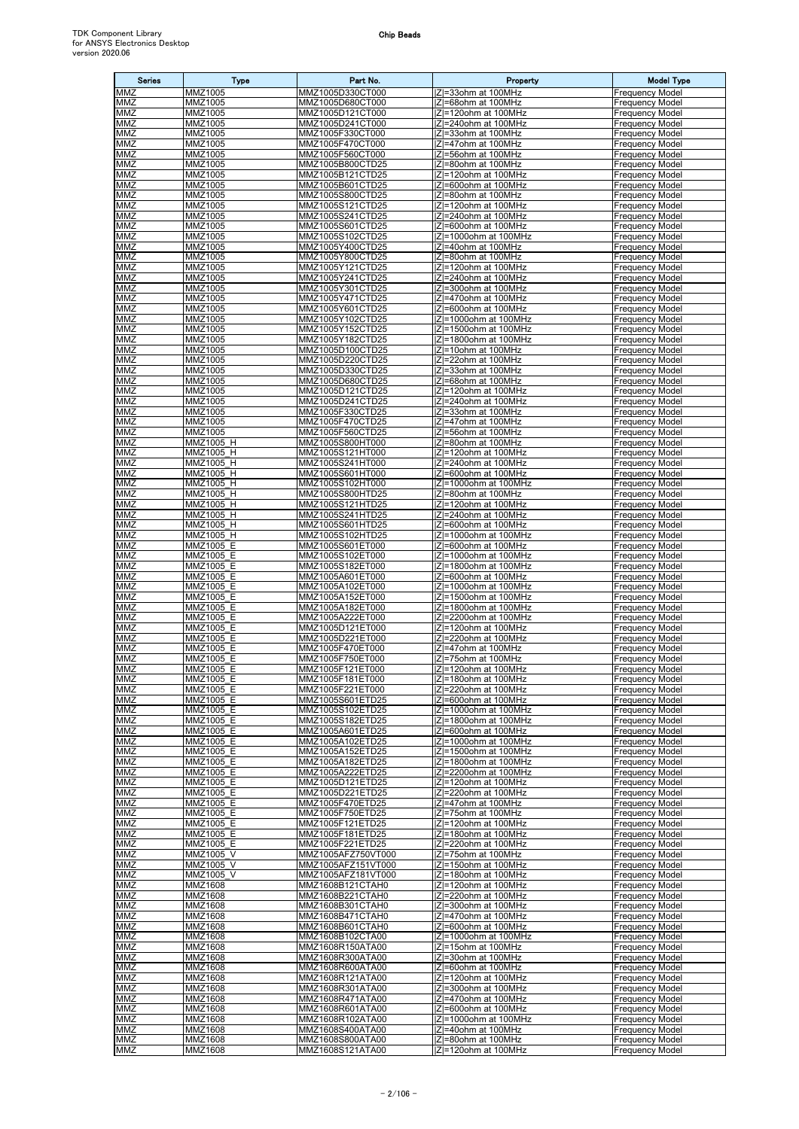| <b>Series</b>     | <b>Type</b>            | Part No.                                 | Property                                                 | <b>Model Type</b>                                |
|-------------------|------------------------|------------------------------------------|----------------------------------------------------------|--------------------------------------------------|
| MMZ               | MMZ1005                | MMZ1005D330CT000                         | IZI=33ohm at 100MHz                                      | <b>Frequency Model</b>                           |
| MMZ<br>MMZ        | MMZ1005<br>MMZ1005     | MMZ1005D680CT000<br>MMZ1005D121CT000     | IZI=68ohm at 100MHz<br> Z =120ohm at 100MHz              | <b>Frequency Model</b><br><b>Frequency Model</b> |
| MMZ               | MMZ1005                | MMZ1005D241CT000                         | IZI=240ohm at 100MHz                                     | <b>Frequency Model</b>                           |
| MMZ               | MMZ1005                | MMZ1005F330CT000                         | Z =33ohm at 100MHz                                       | <b>Frequency Model</b>                           |
| MMZ               | MMZ1005                | MMZ1005F470CT000                         | IZI=47ohm at 100MHz                                      | <b>Frequency Model</b>                           |
| MMZ<br><b>MMZ</b> | MMZ1005<br>MMZ1005     | MMZ1005F560CT000<br>MMZ1005B800CTD25     | Z=56ohm at 100MHz<br>IZI=80ohm at 100MHz                 | <b>Frequency Model</b><br><b>Frequency Model</b> |
| MMZ               | MMZ1005                | MMZ1005B121CTD25                         | Z =120ohm at 100MHz                                      | <b>Frequency Model</b>                           |
| MMZ               | MMZ1005                | MMZ1005B601CTD25                         | IZI=600ohm at 100MHz                                     | <b>Frequency Model</b>                           |
| MMZ               | MMZ1005                | MMZ1005S800CTD25                         | Z =80ohm at 100MHz                                       | <b>Frequency Model</b>                           |
| MMZ<br>MMZ        | MMZ1005<br>MMZ1005     | MMZ1005S121CTD25<br>MMZ1005S241CTD25     | Z =120ohm at 100MHz<br> Z =240ohm at 100MHz              | <b>Frequency Model</b><br><b>Frequency Model</b> |
| MMZ               | MMZ1005                | MMZ1005S601CTD25                         | IZI=600ohm at 100MHz                                     | <b>Frequency Model</b>                           |
| MMZ               | MMZ1005                | MMZ1005S102CTD25                         | Z =1000ohm at 100MHz                                     | <b>Frequency Model</b>                           |
| MMZ<br><b>MMZ</b> | MMZ1005                | MMZ1005Y400CTD25                         | IZI=40ohm at 100MHz                                      | <b>Frequency Model</b>                           |
| MMZ               | MMZ1005<br>MMZ1005     | MMZ1005Y800CTD25<br>MMZ1005Y121CTD25     | Z =80ohm at 100MHz<br>IZI=120ohm at 100MHz               | <b>Frequency Model</b><br><b>Frequency Model</b> |
| MMZ               | MMZ1005                | MMZ1005Y241CTD25                         | IZI=240ohm at 100MHz                                     | <b>Frequency Model</b>                           |
| MMZ               | MMZ1005                | MMZ1005Y301CTD25                         | IZI=300ohm at 100MHz                                     | <b>Frequency Model</b>                           |
| MMZ<br>MMZ        | MMZ1005<br>MMZ1005     | MMZ1005Y471CTD25<br>MMZ1005Y601CTD25     | Z =470ohm at 100MHz<br> Z =600ohm at 100MHz              | <b>Frequency Model</b><br><b>Frequency Model</b> |
| MMZ               | MMZ1005                | MMZ1005Y102CTD25                         | Z =1000ohm at 100MHz                                     | <b>Frequency Model</b>                           |
| MMZ               | MMZ1005                | MMZ1005Y152CTD25                         | Z =1500ohm at 100MHz                                     | <b>Frequency Model</b>                           |
| MMZ               | MMZ1005                | MMZ1005Y182CTD25                         | IZI=1800ohm at 100MHz                                    | <b>Frequency Model</b>                           |
| <b>MMZ</b><br>MMZ | MMZ1005<br>MMZ1005     | MMZ1005D100CTD25<br>MMZ1005D220CTD25     | Z=10ohm at 100MHz<br>IZI=22ohm at 100MHz                 | <b>Frequency Model</b><br><b>Frequency Model</b> |
| <b>MMZ</b>        | MMZ1005                | MMZ1005D330CTD25                         | IZI=33ohm at 100MHz                                      | <b>Frequency Model</b>                           |
| MMZ               | MMZ1005                | MMZ1005D680CTD25                         | IZI=68ohm at 100MHz                                      | <b>Frequency Model</b>                           |
| MMZ               | MMZ1005                | MMZ1005D121CTD25                         | Z =120ohm at 100MHz                                      | <b>Frequency Model</b>                           |
| MMZ<br>MMZ        | MMZ1005<br>MMZ1005     | MMZ1005D241CTD25<br>MMZ1005F330CTD25     | IZI=240ohm at 100MHz<br> Z =33ohm at 100MHz              | <b>Frequency Model</b><br><b>Frequency Model</b> |
| MMZ               | MMZ1005                | MMZ1005F470CTD25                         | IZI=47ohm at 100MHz                                      | <b>Frequency Model</b>                           |
| MMZ               | MMZ1005                | MMZ1005F560CTD25                         | Z =56ohm at 100MHz                                       | <b>Frequency Model</b>                           |
| MMZ<br>MMZ        | MMZ1005 H              | MMZ1005S800HT000                         | IZI=80ohm at 100MHz<br> Z =120ohm at 100MHz              | <b>Frequency Model</b>                           |
| MMZ               | MMZ1005 H<br>MMZ1005 H | MMZ1005S121HT000<br>MMZ1005S241HT000     | IZI=240ohm at 100MHz                                     | <b>Frequency Model</b><br><b>Frequency Model</b> |
| MMZ               | MMZ1005 H              | MMZ1005S601HT000                         | Z =600ohm at 100MHz                                      | <b>Frequency Model</b>                           |
| MMZ               | MMZ1005 H              | MMZ1005S102HT000                         | Z =1000ohm at 100MHz                                     | <b>Frequency Model</b>                           |
| <b>MMZ</b><br>MMZ | MMZ1005 H<br>MMZ1005 H | MMZ1005S800HTD25<br>MMZ1005S121HTD25     | Z =80ohm at 100MHz<br>$\overline{ Z =}$ 120ohm at 100MHz | <b>Frequency Model</b><br><b>Frequency Model</b> |
| $M\overline{MZ}$  | MMZ1005_H              | MMZ1005S241HTD25                         | Z =240ohm at 100MHz                                      | <b>Frequency Model</b>                           |
| MMZ               | MMZ1005 H              | MMZ1005S601HTD25                         | IZI=600ohm at 100MHz                                     | <b>Frequency Model</b>                           |
| MMZ               | MMZ1005 H              | MMZ1005S102HTD25                         | IZI=1000ohm at 100MHz                                    | <b>Frequency Model</b>                           |
| MMZ<br>MMZ        | MMZ1005 E<br>MMZ1005 E | MMZ1005S601ET000<br>MMZ1005S102ET000     | IZI=600ohm at 100MHz<br> Z =1000ohm at 100MHz            | <b>Frequency Model</b><br><b>Frequency Model</b> |
| MMZ               | MMZ1005 E              | MMZ1005S182ET000                         | Z =1800ohm at 100MHz                                     | <b>Frequency Model</b>                           |
| MMZ               | MMZ1005 E              | MMZ1005A601ET000                         | IZI=600ohm at 100MHz                                     | <b>Frequency Model</b>                           |
| MMZ<br>MMZ        | MMZ1005 E<br>MMZ1005 E | MMZ1005A102ET000<br>MMZ1005A152ET000     | Z =1000ohm at 100MHz<br> Z =1500ohm at 100MHz            | <b>Frequency Model</b><br><b>Frequency Model</b> |
| MMZ               | MMZ1005 E              | MMZ1005A182ET000                         | Z =1800ohm at 100MHz                                     | <b>Frequency Model</b>                           |
| MMZ               | MMZ1005 E              | MMZ1005A222ET000                         | Z =2200ohm at 100MHz                                     | <b>Frequency Model</b>                           |
| MMZ               | MMZ1005 E              | MMZ1005D121ET000                         | Z =120ohm at 100MHz<br>IZI=220ohm at 100MHz              | <b>Frequency Model</b>                           |
| MMZ<br>MMZ        | MMZ1005 E<br>MMZ1005 E | MMZ1005D221ET000<br>MMZ1005F470ET000     | IZI=47ohm at 100MHz                                      | <b>Frequency Model</b><br><b>Frequency Model</b> |
| MMZ               | MMZ1005 E              | MMZ1005F750ET000                         | IZI=75ohm at 100MHz                                      | <b>Frequency Model</b>                           |
| MMZ               | MMZ1005 E              | MMZ1005F121ET000                         | Z =120ohm at 100MHz                                      | <b>Frequency Model</b>                           |
| <b>MMZ</b><br>MMZ | MMZ1005 E<br>MMZ1005 E | MMZ1005F181ET000<br>MMZ1005F221ET000     | Z =180ohm at 100MHz<br>IZI=220ohm at 100MHz              | <b>Frequency Model</b><br><b>Frequency Model</b> |
| MMZ               | MMZ1005 E              | MMZ1005S601ETD25                         | Z =600ohm at 100MHz                                      | <b>Frequency Model</b>                           |
| MMZ               | MMZ1005 E              | MMZ1005S102ETD25                         | IZI=1000ohm at 100MHz                                    | <b>Frequency Model</b>                           |
| MMZ<br>MMZ        | MMZ1005 E<br>MMZ1005 E | MMZ1005S182ETD25<br>MMZ1005A601ETD25     | Z =1800ohm at 100MHz<br> Z =600ohm at 100MHz             | <b>Frequency Model</b><br><b>Frequency Model</b> |
| MMZ               | MMZ1005 E              | MMZ1005A102ETD25                         | Z =1000ohm at 100MHz                                     | <b>Frequency Model</b>                           |
| MMZ               | MMZ1005 E              | MMZ1005A152ETD25                         | Z =1500ohm at 100MHz                                     | <b>Frequency Model</b>                           |
| MMZ               | MMZ1005 E              | MMZ1005A182ETD25                         | Z =1800ohm at 100MHz                                     | <b>Frequency Model</b>                           |
| MMZ<br>MMZ        | MMZ1005 E<br>MMZ1005 E | MMZ1005A222ETD25<br>MMZ1005D121ETD25     | Z =2200ohm at 100MHz<br>IZI=120ohm at 100MHz             | <b>Frequency Model</b><br><b>Frequency Model</b> |
| MMZ               | MMZ1005 E              | MMZ1005D221ETD25                         | Z =220ohm at 100MHz                                      | <b>Frequency Model</b>                           |
| MMZ               | MMZ1005 E              | MMZ1005F470ETD25                         | IZI=47ohm at 100MHz                                      | <b>Frequency Model</b>                           |
| MMZ<br>MMZ        | MMZ1005 E<br>MMZ1005 E | MMZ1005F750ETD25<br>MMZ1005F121ETD25     | Z =75ohm at 100MHz<br>IZI=120ohm at 100MHz               | <b>Frequency Model</b><br><b>Frequency Model</b> |
| MMZ               | MMZ1005 E              | MMZ1005F181ETD25                         | IZI=180ohm at 100MHz                                     | <b>Frequency Model</b>                           |
| MMZ               | <b>MMZ1005 E</b>       | MMZ1005F221ETD25                         | IZI=220ohm at 100MHz                                     | <b>Frequency Model</b>                           |
| MMZ               | MMZ1005 V              | MMZ1005AFZ750VT000                       | Z =75ohm at 100MHz                                       | <b>Frequency Model</b>                           |
| MMZ<br>MMZ        | MMZ1005 V<br>MMZ1005 V | MMZ1005AFZ151VT000<br>MMZ1005AFZ181VT000 | Z =150ohm at 100MHz<br>$ Z =180$ ohm at 100MHz           | <b>Frequency Model</b><br><b>Frequency Model</b> |
| MMZ               | MMZ1608                | MMZ1608B121CTAH0                         | Z =120ohm at 100MHz                                      | <b>Frequency Model</b>                           |
| MMZ               | MMZ1608                | MMZ1608B221CTAH0                         | Z =220ohm at 100MHz                                      | <b>Frequency Model</b>                           |
| MMZ<br>MMZ        | MMZ1608<br>MMZ1608     | MMZ1608B301CTAH0<br>MMZ1608B471CTAH0     | IZI=300ohm at 100MHz<br> Z =470ohm at 100MHz             | <b>Frequency Model</b><br><b>Frequency Model</b> |
| MMZ               | MMZ1608                | MMZ1608B601CTAH0                         | IZI=600ohm at 100MHz                                     | <b>Frequency Model</b>                           |
| <b>MMZ</b>        | MMZ1608                | MMZ1608B102CTA00                         | IZI=1000ohm at 100MHz                                    | <b>Frequency Model</b>                           |
| MMZ               | MMZ1608                | MMZ1608R150ATA00                         | IZI=15ohm at 100MHz                                      | <b>Frequency Model</b>                           |
| MMZ<br>MMZ        | MMZ1608<br>MMZ1608     | MMZ1608R300ATA00<br>MMZ1608R600ATA00     | Z =30ohm at 100MHz<br>IZI=60ohm at 100MHz                | <b>Frequency Model</b><br><b>Frequency Model</b> |
| MMZ               | MMZ1608                | MMZ1608R121ATA00                         | Z =120ohm at 100MHz                                      | <b>Frequency Model</b>                           |
| MMZ               | MMZ1608                | MMZ1608R301ATA00                         | IZI=300ohm at 100MHz                                     | <b>Frequency Model</b>                           |
| MMZ<br>MMZ        | MMZ1608<br>MMZ1608     | MMZ1608R471ATA00<br>MMZ1608R601ATA00     | IZI=470ohm at 100MHz<br> Z =600ohm at 100MHz             | <b>Frequency Model</b><br><b>Frequency Model</b> |
| MMZ               | MMZ1608                | MMZ1608R102ATA00                         | Z =1000ohm at 100MHz                                     | <b>Frequency Model</b>                           |
| <b>MMZ</b>        | MMZ1608                | MMZ1608S400ATA00                         | IZI=40ohm at 100MHz                                      | <b>Frequency Model</b>                           |
| <b>MMZ</b>        | MMZ1608                | MMZ1608S800ATA00                         | IZI=80ohm at 100MHz                                      | <b>Frequency Model</b>                           |
| MMZ               | MMZ1608                | MMZ1608S121ATA00                         | Z =120ohm at 100MHz                                      | <b>Frequency Model</b>                           |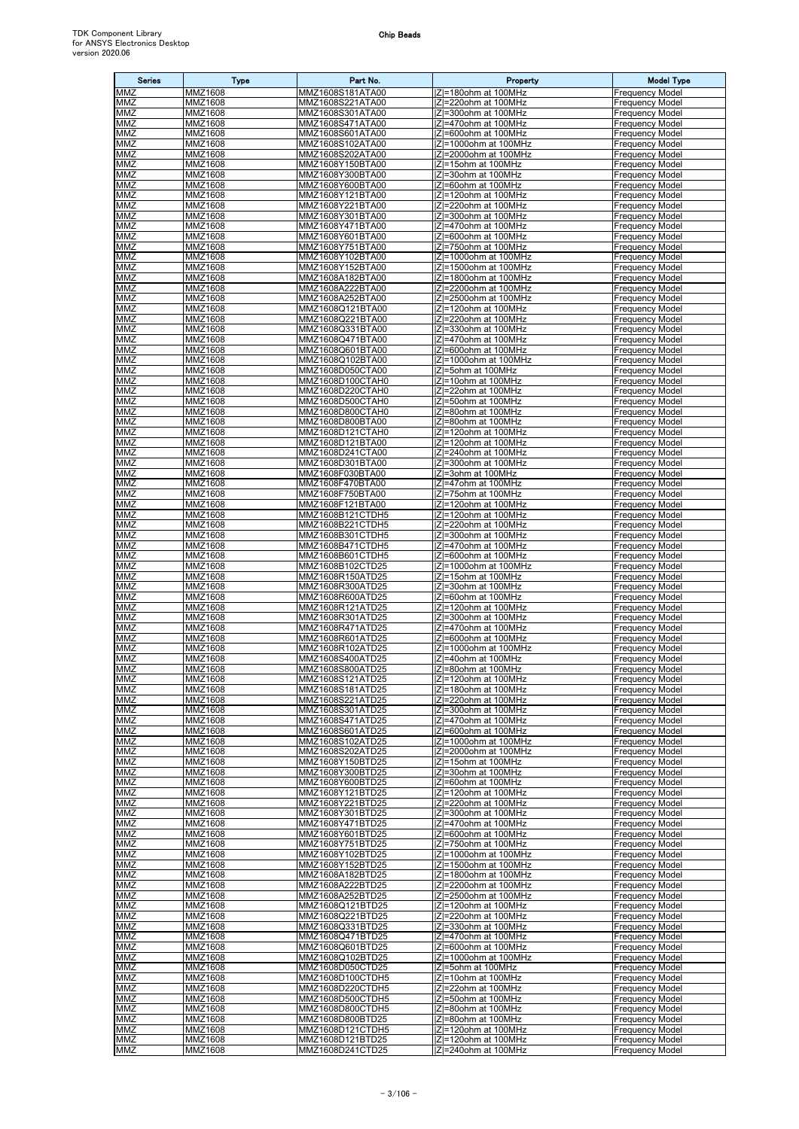| <b>Series</b>            | <b>Type</b>               | Part No.                             | Property                                        | <b>Model Type</b>                                |
|--------------------------|---------------------------|--------------------------------------|-------------------------------------------------|--------------------------------------------------|
| MMZ                      | MMZ1608                   | MMZ1608S181ATA00                     | Z =180ohm at 100MHz                             | <b>Frequency Model</b>                           |
| MMZ<br>MMZ               | MMZ1608<br>MMZ1608        | MMZ1608S221ATA00<br>MMZ1608S301ATA00 | IZI=220ohm at 100MHz<br> Z =300ohm at 100MHz    | <b>Frequency Model</b><br><b>Frequency Model</b> |
| MMZ                      | MMZ1608                   | MMZ1608S471ATA00                     | Z =470ohm at 100MHz                             | <b>Frequency Model</b>                           |
| MMZ                      | MMZ1608                   | MMZ1608S601ATA00                     | Z=600ohm at 100MHz                              | <b>Frequency Model</b>                           |
| MMZ                      | MMZ1608                   | MMZ1608S102ATA00                     | Z =1000ohm at 100MHz                            | <b>Frequency Model</b>                           |
| MMZ<br><b>MMZ</b>        | MMZ1608<br>MMZ1608        | MMZ1608S202ATA00<br>MMZ1608Y150BTA00 | Z =2000ohm at 100MHz<br>IZI=15ohm at 100MHz     | <b>Frequency Model</b><br><b>Frequency Model</b> |
| MMZ                      | MMZ1608                   | MMZ1608Y300BTA00                     | Z =30ohm at 100MHz                              | <b>Frequency Model</b>                           |
| MMZ                      | MMZ1608                   | MMZ1608Y600BTA00                     | IZI=60ohm at 100MHz                             | <b>Frequency Model</b>                           |
| MMZ                      | MMZ1608                   | MMZ1608Y121BTA00                     | Z =120ohm at 100MHz                             | <b>Frequency Model</b>                           |
| MMZ<br>MMZ               | MMZ1608<br>MMZ1608        | MMZ1608Y221BTA00<br>MMZ1608Y301BTA00 | Z =220ohm at 100MHz<br> Z =300ohm at 100MHz     | <b>Frequency Model</b><br><b>Frequency Model</b> |
| MMZ                      | MMZ1608                   | MMZ1608Y471BTA00                     | IZI=470ohm at 100MHz                            | <b>Frequency Model</b>                           |
| MMZ                      | MMZ1608                   | MMZ1608Y601BTA00                     | Z =600ohm at 100MHz                             | <b>Frequency Model</b>                           |
| MMZ<br><b>MMZ</b>        | MMZ1608<br>MMZ1608        | MMZ1608Y751BTA00<br>MMZ1608Y102BTA00 | IZI=750ohm at 100MHz<br> Z =1000ohm at 100MHz   | <b>Frequency Model</b><br><b>Frequency Model</b> |
| MMZ                      | MMZ1608                   | MMZ1608Y152BTA00                     | IZI=1500ohm at 100MHz                           | <b>Frequency Model</b>                           |
| MMZ                      | MMZ1608                   | MMZ1608A182BTA00                     | Z =1800ohm at 100MHz                            | <b>Frequency Model</b>                           |
| MMZ                      | MMZ1608                   | MMZ1608A222BTA00                     | Z =2200ohm at 100MHz                            | <b>Frequency Model</b>                           |
| MMZ<br>MMZ               | MMZ1608<br>MMZ1608        | MMZ1608A252BTA00<br>MMZ1608Q121BTA00 | Z =2500ohm at 100MHz<br> Z =120ohm at 100MHz    | <b>Frequency Model</b><br><b>Frequency Model</b> |
| MMZ                      | MMZ1608                   | MMZ1608Q221BTA00                     | IZI=220ohm at 100MHz                            | <b>Frequency Model</b>                           |
| MMZ                      | MMZ1608                   | MMZ1608Q331BTA00                     | Z =330ohm at 100MHz                             | <b>Frequency Model</b>                           |
| MMZ<br><b>MMZ</b>        | MMZ1608                   | MMZ1608Q471BTA00                     | IZI=470ohm at 100MHz<br>ZI=600ohm at 100MHz     | <b>Frequency Model</b>                           |
| MMZ                      | MMZ1608<br>MMZ1608        | MMZ1608Q601BTA00<br>MMZ1608Q102BTA00 | Z =1000ohm at 100MHz                            | <b>Frequency Model</b><br><b>Frequency Model</b> |
| <b>MMZ</b>               | MMZ1608                   | MMZ1608D050CTA00                     | IZI=5ohm at 100MHz                              | <b>Frequency Model</b>                           |
| MMZ                      | MMZ1608                   | MMZ1608D100CTAH0                     | Z =10ohm at 100MHz                              | <b>Frequency Model</b>                           |
| MMZ<br>MMZ               | MMZ1608<br>MMZ1608        | MMZ1608D220CTAH0<br>MMZ1608D500CTAH0 | Z =22ohm at 100MHz<br>IZI=50ohm at 100MHz       | <b>Frequency Model</b><br><b>Frequency Model</b> |
| MMZ                      | MMZ1608                   | MMZ1608D800CTAH0                     | IZI=80ohm at 100MHz                             | <b>Frequency Model</b>                           |
| MMZ                      | MMZ1608                   | MMZ1608D800BTA00                     | IZI=80ohm at 100MHz                             | <b>Frequency Model</b>                           |
| MMZ                      | MMZ1608                   | MMZ1608D121CTAH0                     | Z =120ohm at 100MHz                             | <b>Frequency Model</b>                           |
| MMZ<br>MMZ               | MMZ1608<br>MMZ1608        | MMZ1608D121BTA00<br>MMZ1608D241CTA00 | IZI=120ohm at 100MHz<br> Z =240ohm at 100MHz    | <b>Frequency Model</b><br><b>Frequency Model</b> |
| MMZ                      | MMZ1608                   | MMZ1608D301BTA00                     | Z =300ohm at 100MHz                             | <b>Frequency Model</b>                           |
| MMZ                      | MMZ1608                   | MMZ1608F030BTA00                     | Z =3ohm at 100MHz                               | <b>Frequency Model</b>                           |
| MMZ<br><b>MMZ</b>        | MMZ1608<br>MMZ1608        | MMZ1608F470BTA00<br>MMZ1608F750BTA00 | IZI=47ohm at 100MHz<br> Z =75ohm at 100MHz      | <b>Frequency Model</b><br><b>Frequency Model</b> |
| MMZ                      | MMZ1608                   | MMZ1608F121BTA00                     | Z =120ohm at 100MHz                             | <b>Frequency Model</b>                           |
| $M\overline{MZ}$         | MMZ1608                   | MMZ1608B121CTDH5                     | Z =120ohm at 100MHz                             | <b>Frequency Model</b>                           |
| MMZ                      | MMZ1608                   | MMZ1608B221CTDH5                     | IZI=220ohm at 100MHz                            | <b>Frequency Model</b>                           |
| MMZ<br>MMZ               | MMZ1608<br>MMZ1608        | MMZ1608B301CTDH5<br>MMZ1608B471CTDH5 | Z =300ohm at 100MHz<br>IZI=470ohm at 100MHz     | <b>Frequency Model</b><br><b>Frequency Model</b> |
| MMZ                      | MMZ1608                   | MMZ1608B601CTDH5                     | Z =600ohm at 100MHz                             | <b>Frequency Model</b>                           |
| MMZ                      | MMZ1608                   | MMZ1608B102CTD25                     | Z =1000ohm at 100MHz                            | <b>Frequency Model</b>                           |
| MMZ<br>MMZ               | MMZ1608<br>MMZ1608        | MMZ1608R150ATD25                     | IZI=15ohm at 100MHz<br>IZI=30ohm at 100MHz      | <b>Frequency Model</b>                           |
| MMZ                      | MMZ1608                   | MMZ1608R300ATD25<br>MMZ1608R600ATD25 | Z =60ohm at 100MHz                              | <b>Frequency Model</b><br><b>Frequency Model</b> |
| MMZ                      | MMZ1608                   | MMZ1608R121ATD25                     | Z =120ohm at 100MHz                             | <b>Frequency Model</b>                           |
| MMZ                      | MMZ1608                   | MMZ1608R301ATD25                     | Z =300ohm at 100MHz                             | <b>Frequency Model</b>                           |
| MMZ<br>MMZ               | MMZ1608<br>MMZ1608        | MMZ1608R471ATD25<br>MMZ1608R601ATD25 | Z =470ohm at 100MHz<br> Z =600ohm at 100MHz     | <b>Frequency Model</b><br><b>Frequency Model</b> |
| MMZ                      | MMZ1608                   | MMZ1608R102ATD25                     | Z =1000ohm at 100MHz                            | <b>Frequency Model</b>                           |
| MMZ                      | <b>MMZ1608</b>            | MMZ1608S400ATD25                     | IZI=40ohm at 100MHz                             | <b>Frequency Model</b>                           |
| <b>MMZ</b><br><b>MMZ</b> | MMZ1608<br><b>MMZ1608</b> | MMZ1608S800ATD25<br>MMZ1608S121ATD25 | Z =80ohm at 100MHz<br> Z =120ohm at 100MHz      | <b>Frequency Model</b><br><b>Frequency Model</b> |
| MMZ                      | MMZ1608                   | MMZ1608S181ATD25                     | IZI=180ohm at 100MHz                            | <b>Frequency Model</b>                           |
| MMZ                      | MMZ1608                   | MMZ1608S221ATD25                     | Z =220ohm at 100MHz                             | <b>Frequency Model</b>                           |
| MMZ<br>MMZ               | MMZ1608<br>MMZ1608        | MMZ1608S301ATD25<br>MMZ1608S471ATD25 | $ Z =300$ ohm at 100MHz<br>IZI=470ohm at 100MHz | <b>Frequency Model</b><br><b>Frequency Model</b> |
| MMZ                      | MMZ1608                   | MMZ1608S601ATD25                     | Z =600ohm at 100MHz                             | <b>Frequency Model</b>                           |
| MMZ                      | MMZ1608                   | MMZ1608S102ATD25                     | Z =1000ohm at 100MHz                            | <b>Frequency Model</b>                           |
| MMZ                      | MMZ1608<br>MMZ1608        | MMZ1608S202ATD25<br>MMZ1608Y150BTD25 | Z =2000ohm at 100MHz                            | <b>Frequency Model</b><br><b>Frequency Model</b> |
| MMZ<br>MMZ               | MMZ1608                   | MMZ1608Y300BTD25                     | IZI=15ohm at 100MHz<br>IZI=30ohm at 100MHz      | <b>Frequency Model</b>                           |
| MMZ                      | MMZ1608                   | MMZ1608Y600BTD25                     | IZI=60ohm at 100MHz                             | <b>Frequency Model</b>                           |
| MMZ                      | MMZ1608                   | MMZ1608Y121BTD25                     | Z =120ohm at 100MHz                             | <b>Frequency Model</b>                           |
| MMZ<br>MMZ               | MMZ1608<br>MMZ1608        | MMZ1608Y221BTD25<br>MMZ1608Y301BTD25 | IZI=220ohm at 100MHz<br>IZI=300ohm at 100MHz    | <b>Frequency Model</b><br><b>Frequency Model</b> |
| MMZ                      | MMZ1608                   | MMZ1608Y471BTD25                     | IZI=470ohm at 100MHz                            | <b>Frequency Model</b>                           |
| MMZ                      | MMZ1608                   | MMZ1608Y601BTD25                     | IZI=600ohm at 100MHz                            | <b>Frequency Model</b>                           |
| MMZ<br>MMZ               | MMZ1608<br>MMZ1608        | MMZ1608Y751BTD25<br>MMZ1608Y102BTD25 | Z =750ohm at 100MHz<br> Z =1000ohm at 100MHz    | <b>Frequency Model</b><br><b>Frequency Model</b> |
| MMZ                      | MMZ1608                   | MMZ1608Y152BTD25                     | Z =1500ohm at 100MHz                            | <b>Frequency Model</b>                           |
| MMZ                      | MMZ1608                   | MMZ1608A182BTD25                     | Z =1800ohm at 100MHz                            | <b>Frequency Model</b>                           |
| MMZ<br>MMZ               | MMZ1608<br>MMZ1608        | MMZ1608A222BTD25<br>MMZ1608A252BTD25 | Z =2200ohm at 100MHz<br> Z =2500ohm at 100MHz   | <b>Frequency Model</b><br><b>Frequency Model</b> |
| MMZ                      | MMZ1608                   | MMZ1608Q121BTD25                     | IZI=120ohm at 100MHz                            | <b>Frequency Model</b>                           |
| MMZ                      | MMZ1608                   | MMZ1608Q221BTD25                     | Z =220ohm at 100MHz                             | <b>Frequency Model</b>                           |
| MMZ                      | MMZ1608                   | MMZ1608Q331BTD25                     | IZI=330ohm at 100MHz                            | <b>Frequency Model</b>                           |
| <b>MMZ</b><br>MMZ        | MMZ1608<br>MMZ1608        | MMZ1608Q471BTD25<br>MMZ1608Q601BTD25 | IZI=470ohm at 100MHz<br>IZI=600ohm at 100MHz    | <b>Frequency Model</b><br><b>Frequency Model</b> |
| MMZ                      | MMZ1608                   | MMZ1608Q102BTD25                     | Z =1000ohm at 100MHz                            | <b>Frequency Model</b>                           |
| MMZ                      | MMZ1608                   | MMZ1608D050CTD25                     | IZI=5ohm at 100MHz                              | <b>Frequency Model</b>                           |
| MMZ<br>MMZ               | MMZ1608<br>MMZ1608        | MMZ1608D100CTDH5<br>MMZ1608D220CTDH5 | Z =10ohm at 100MHz<br>IZI=22ohm at 100MHz       | <b>Frequency Model</b><br><b>Frequency Model</b> |
| MMZ                      | MMZ1608                   | MMZ1608D500CTDH5                     | IZI=50ohm at 100MHz                             | <b>Frequency Model</b>                           |
| MMZ                      | MMZ1608                   | MMZ1608D800CTDH5                     | Z =80ohm at 100MHz                              | <b>Frequency Model</b>                           |
| MMZ                      | MMZ1608                   | MMZ1608D800BTD25                     | IZI=80ohm at 100MHz                             | <b>Frequency Model</b>                           |
| <b>MMZ</b><br><b>MMZ</b> | MMZ1608<br>MMZ1608        | MMZ1608D121CTDH5<br>MMZ1608D121BTD25 | IZ =120ohm at 100MHz<br>IZI=120ohm at 100MHz    | <b>Frequency Model</b><br><b>Frequency Model</b> |
| MMZ                      | MMZ1608                   | MMZ1608D241CTD25                     | Z =240ohm at 100MHz                             | <b>Frequency Model</b>                           |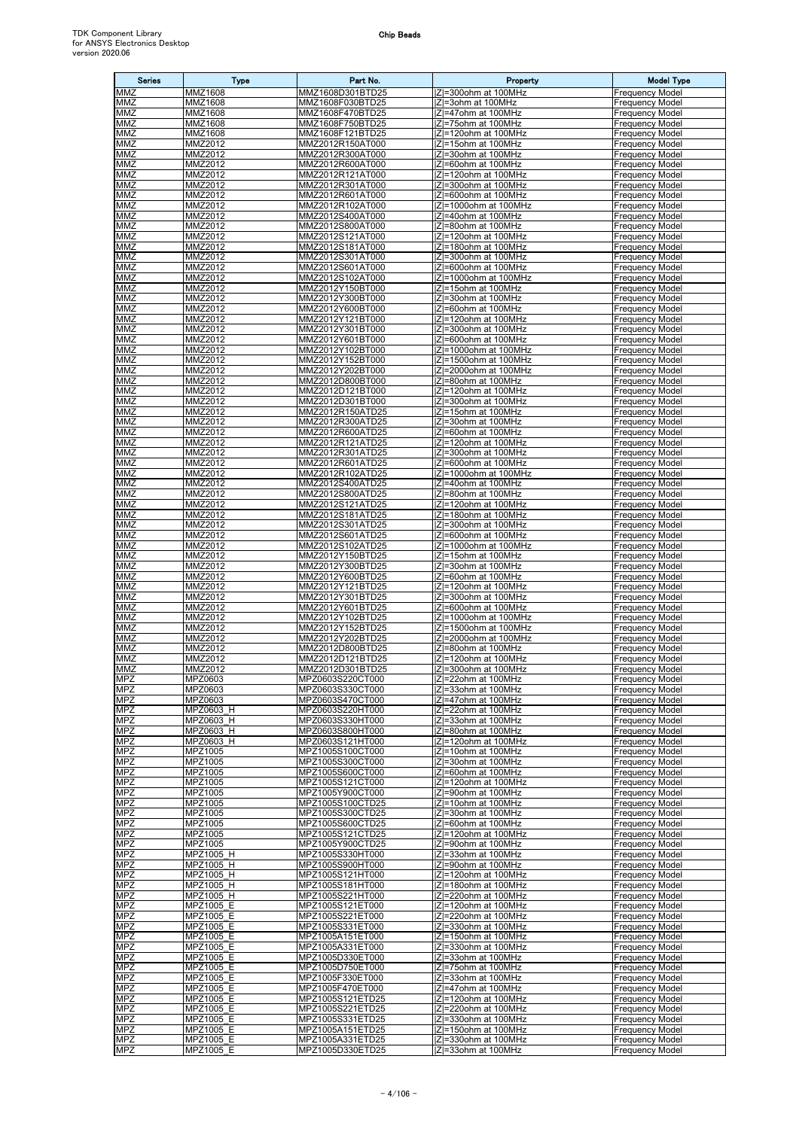| <b>Series</b>            | <b>Type</b>            | Part No.                             | Property                                       | <b>Model Type</b>                                |
|--------------------------|------------------------|--------------------------------------|------------------------------------------------|--------------------------------------------------|
| MMZ                      | MMZ1608                | MMZ1608D301BTD25                     | Z =300ohm at 100MHz                            | Frequency Model                                  |
| MMZ                      | MMZ1608                | MMZ1608F030BTD25                     | IZI=3ohm at 100MHz                             | Frequency Model                                  |
| MMZ                      | MMZ1608                | MMZ1608F470BTD25                     | IZI=47ohm at 100MHz                            | <b>Frequency Model</b>                           |
| MMZ                      | MMZ1608                | MMZ1608F750BTD25                     | Z =75ohm at 100MHz                             | Frequency Model                                  |
| MMZ                      | MMZ1608                | MMZ1608F121BTD25                     | Z =120ohm at 100MHz                            | <b>Frequency Model</b>                           |
| MMZ<br>MMZ               | MMZ2012                | MMZ2012R150AT000                     | IZI=15ohm at 100MHz                            | <b>Frequency Model</b>                           |
| MMZ                      | MMZ2012<br>MMZ2012     | MMZ2012R300AT000<br>MMZ2012R600AT000 | Z =30ohm at 100MHz<br>IZI=60ohm at 100MHz      | Frequency Model<br>Frequency Model               |
| <b>MMZ</b>               | MMZ2012                | MMZ2012R121AT000                     | Z =120ohm at 100MHz                            | <b>Frequency Model</b>                           |
| MMZ                      | MMZ2012                | MMZ2012R301AT000                     | IZI=300ohm at 100MHz                           | <b>Frequency Model</b>                           |
| MMZ                      | MMZ2012                | MMZ2012R601AT000                     | Z =600ohm at 100MHz                            | <b>Frequency Model</b>                           |
| MMZ                      | MMZ2012                | MMZ2012R102AT000                     | Z =1000ohm at 100MHz                           | <b>Frequency Model</b>                           |
| MMZ                      | MMZ2012                | MMZ2012S400AT000                     | Z =40ohm at 100MHz                             | <b>Frequency Model</b>                           |
| MMZ                      | MMZ2012                | MMZ2012S800AT000                     | IZI=80ohm at 100MHz                            | <b>Frequency Model</b>                           |
| MMZ<br>MMZ               | MMZ2012<br>MMZ2012     | MMZ2012S121AT000<br>MMZ2012S181AT000 | Z =120ohm at 100MHz<br>$ Z =180$ ohm at 100MHz | Frequency Model                                  |
| MMZ                      | MMZ2012                | MMZ2012S301AT000                     | Z =300ohm at 100MHz                            | <b>Frequency Model</b><br><b>Frequency Model</b> |
| MMZ                      | MMZ2012                | MMZ2012S601AT000                     | IZI=600ohm at 100MHz                           | Frequency Model                                  |
| MMZ                      | MMZ2012                | MMZ2012S102AT000                     | Z =1000ohm at 100MHz                           | <b>Frequency Model</b>                           |
| MMZ                      | MMZ2012                | MMZ2012Y150BT000                     | Z =15ohm at 100MHz                             | <b>Frequency Model</b>                           |
| MMZ                      | MMZ2012                | MMZ2012Y300BT000                     | Z =30ohm at 100MHz                             | Frequency Model                                  |
| MMZ                      | MMZ2012                | MMZ2012Y600BT000                     | Z =60ohm at 100MHz                             | Frequency Model                                  |
| <b>MMZ</b><br>MMZ        | MMZ2012                | MMZ2012Y121BT000                     | IZI=120ohm at 100MHz                           | <b>Frequency Model</b>                           |
| MMZ                      | MMZ2012<br>MMZ2012     | MMZ2012Y301BT000<br>MMZ2012Y601BT000 | Z =300ohm at 100MHz<br>IZI=600ohm at 100MHz    | <b>Frequency Model</b><br>Frequency Model        |
| MMZ                      | MMZ2012                | MMZ2012Y102BT000                     | Z =1000ohm at 100MHz                           | Frequency Model                                  |
| MMZ                      | MMZ2012                | MMZ2012Y152BT000                     | Z =1500ohm at 100MHz                           | <b>Frequency Model</b>                           |
| MMZ                      | MMZ2012                | MMZ2012Y202BT000                     | Z =2000ohm at 100MHz                           | <b>Frequency Model</b>                           |
| MMZ                      | MMZ2012                | MMZ2012D800BT000                     | IZI=80ohm at 100MHz                            | Frequency Model                                  |
| MMZ                      | MMZ2012                | MMZ2012D121BT000                     | IZI=120ohm at 100MHz                           | <b>Frequency Model</b>                           |
| MMZ                      | MMZ2012                | MMZ2012D301BT000                     | IZI=300ohm at 100MHz                           | <b>Frequency Model</b>                           |
| MMZ<br>MMZ               | MMZ2012<br>MMZ2012     | MMZ2012R150ATD25<br>MMZ2012R300ATD25 | Z =15ohm at 100MHz<br>IZI=30ohm at 100MHz      | Frequency Model<br><b>Frequency Model</b>        |
| <b>MMZ</b>               | MMZ2012                | MMZ2012R600ATD25                     | Z =60ohm at 100MHz                             | <b>Frequency Model</b>                           |
| MMZ                      | MMZ2012                | MMZ2012R121ATD25                     | Z =120ohm at 100MHz                            | <b>Frequency Model</b>                           |
| MMZ                      | MMZ2012                | MMZ2012R301ATD25                     | Z =300ohm at 100MHz                            | <b>Frequency Model</b>                           |
| MMZ                      | MMZ2012                | MMZ2012R601ATD25                     | IZI=600ohm at 100MHz                           | <b>Frequency Model</b>                           |
| MMZ                      | MMZ2012                | MMZ2012R102ATD25                     | Z =1000ohm at 100MHz                           | Frequency Model                                  |
| MMZ                      | MMZ2012                | MMZ2012S400ATD25                     | IZI=40ohm at 100MHz                            | <b>Frequency Model</b>                           |
| MMZ<br>MMZ               | MMZ2012<br>MMZ2012     | MMZ2012S800ATD25<br>MMZ2012S121ATD25 | IZI=80ohm at 100MHz<br> Z =120ohm at 100MHz    | <b>Frequency Model</b><br><b>Frequency Model</b> |
| MMZ                      | MMZ2012                | MMZ2012S181ATD25                     | Z =180ohm at 100MHz                            | <b>Frequency Model</b>                           |
| MMZ                      | MMZ2012                | MMZ2012S301ATD25                     | Z=300ohm at 100MHz                             | Frequency Model                                  |
| MMZ                      | MMZ2012                | MMZ2012S601ATD25                     | Z =600ohm at 100MHz                            | Frequency Model                                  |
| MMZ                      | MMZ2012                | MMZ2012S102ATD25                     | Z =1000ohm at 100MHz                           | <b>Frequency Model</b>                           |
| MMZ                      | MMZ2012                | MMZ2012Y150BTD25                     | Z =15ohm at 100MHz                             | Frequency Model                                  |
| MMZ                      | MMZ2012                | MMZ2012Y300BTD25                     | Z=30ohm at 100MHz                              | <b>Frequency Model</b>                           |
| MMZ<br>MMZ               | MMZ2012<br>MMZ2012     | MMZ2012Y600BTD25<br>MMZ2012Y121BTD25 | IZI=60ohm at 100MHz<br> Z =120ohm at 100MHz    | <b>Frequency Model</b><br><b>Frequency Model</b> |
| MMZ                      | MMZ2012                | MMZ2012Y301BTD25                     | $ Z =300$ ohm at 100MHz                        | Frequency Model                                  |
| MMZ                      | MMZ2012                | MMZ2012Y601BTD25                     | IZI=600ohm at 100MHz                           | Frequency Model                                  |
| MMZ                      | MMZ2012                | MMZ2012Y102BTD25                     | Z =1000ohm at 100MHz                           | Frequency Model                                  |
| MMZ                      | MMZ2012                | MMZ2012Y152BTD25                     | Z =1500ohm at 100MHz                           | <b>Frequency Model</b>                           |
| MMZ                      | MMZ2012                | MMZ2012Y202BTD25                     | Z =2000ohm at 100MHz                           | Frequency Model                                  |
| MMZ<br>MMZ               | MMZ2012<br>MMZ2012     | MMZ2012D800BTD25<br>MMZ2012D121BTD25 | IZI=80ohm at 100MHz<br> Z =120ohm at 100MHz    | <b>Frequency Model</b><br><b>Frequency Model</b> |
| <b>MMZ</b>               | MMZ2012                | MMZ2012D301BTD25                     | Z=300ohm at 100MHz                             | <b>Frequency Model</b>                           |
| MPZ                      | MPZ0603                | MPZ0603S220CT000                     | Z =22ohm at 100MHz                             | <b>Frequency Model</b>                           |
| <b>MPZ</b>               | MPZ0603                | MPZ0603S330CT000                     | $ Z =33$ ohm at 100MHz                         | <b>Frequency Model</b>                           |
| MPZ                      | MPZ0603                | MPZ0603S470CT000                     | IZI=47ohm at 100MHz                            | <b>Frequency Model</b>                           |
| <b>MPZ</b>               | MPZ0603 H              | MPZ0603S220HT000                     | Z =22ohm at 100MHz                             | Frequency Model                                  |
| <b>MPZ</b><br><b>MPZ</b> | MPZ0603 H<br>MPZ0603 H | MPZ0603S330HT000<br>MPZ0603S800HT000 | IZI=33ohm at 100MHz<br>IZI=80ohm at 100MHz     | <b>Frequency Model</b><br><b>Frequency Model</b> |
| <b>MPZ</b>               | MPZ0603 H              | MPZ0603S121HT000                     | IZI=120ohm at 100MHz                           | <b>Frequency Model</b>                           |
| <b>MPZ</b>               | MPZ1005                | MPZ1005S100CT000                     | IZI=10ohm at 100MHz                            | <b>Frequency Model</b>                           |
| <b>MPZ</b>               | MPZ1005                | MPZ1005S300CT000                     | IZI=30ohm at 100MHz                            | Frequency Model                                  |
| <b>MPZ</b>               | MPZ1005                | MPZ1005S600CT000                     | Z =60ohm at 100MHz                             | <b>Frequency Model</b>                           |
| <b>MPZ</b>               | MPZ1005                | MPZ1005S121CT000                     | IZI=120ohm at 100MHz                           | <b>Frequency Model</b>                           |
| <b>MPZ</b>               | MPZ1005                | MPZ1005Y900CT000                     | Z =90ohm at 100MHz                             | <b>Frequency Model</b>                           |
| <b>MPZ</b><br><b>MPZ</b> | MPZ1005<br>MPZ1005     | MPZ1005S100CTD25<br>MPZ1005S300CTD25 | IZI=10ohm at 100MHz<br> Z =30ohm at 100MHz     | <b>Frequency Model</b><br><b>Frequency Model</b> |
| <b>MPZ</b>               | MPZ1005                | MPZ1005S600CTD25                     | IZI=60ohm at 100MHz                            | <b>Frequency Model</b>                           |
| <b>MPZ</b>               | MPZ1005                | MPZ1005S121CTD25                     | Z =120ohm at 100MHz                            | <b>Frequency Model</b>                           |
| MPZ                      | MPZ1005                | MPZ1005Y900CTD25                     | IZI=90ohm at 100MHz                            | <b>Frequency Model</b>                           |
| <b>MPZ</b>               | MPZ1005 H              | MPZ1005S330HT000                     | IZI=33ohm at 100MHz                            | <b>Frequency Model</b>                           |
| <b>MPZ</b>               | MPZ1005 H              | MPZ1005S900HT000                     | IZI=90ohm at 100MHz                            | <b>Frequency Model</b>                           |
| <b>MPZ</b><br><b>MPZ</b> | MPZ1005 H<br>MPZ1005 H | MPZ1005S121HT000<br>MPZ1005S181HT000 | Z =120ohm at 100MHz<br>IZI=180ohm at 100MHz    | <b>Frequency Model</b><br><b>Frequency Model</b> |
| <b>MPZ</b>               | MPZ1005 H              | MPZ1005S221HT000                     | <b>Z</b> =220ohm at 100MHz                     | Frequency Model                                  |
| <b>MPZ</b>               | MPZ1005 E              | MPZ1005S121ET000                     | IZI=120ohm at 100MHz                           | <b>Frequency Model</b>                           |
| MPZ                      | MPZ1005 E              | MPZ1005S221ET000                     | IZI=220ohm at 100MHz                           | <b>Frequency Model</b>                           |
| <b>MPZ</b>               | MPZ1005 E              | MPZ1005S331ET000                     | IZI=330ohm at 100MHz                           | Frequency Model                                  |
| <b>MPZ</b>               | MPZ1005 E              | MPZ1005A151ET000                     | Z =150ohm at 100MHz                            | <b>Frequency Model</b>                           |
| MPZ                      | MPZ1005 E              | MPZ1005A331ET000                     | IZI=330ohm at 100MHz                           | <b>Frequency Model</b>                           |
| MPZ<br><b>MPZ</b>        | MPZ1005 E<br>MPZ1005 E | MPZ1005D330ET000<br>MPZ1005D750ET000 | Z =33ohm at 100MHz<br>IZI=75ohm at 100MHz      | Frequency Model<br><b>Frequency Model</b>        |
| <b>MPZ</b>               | MPZ1005 E              | MPZ1005F330ET000                     | Z =33ohm at 100MHz                             | <b>Frequency Model</b>                           |
| <b>MPZ</b>               | MPZ1005 E              | MPZ1005F470ET000                     | IZI=47ohm at 100MHz                            | <b>Frequency Model</b>                           |
| <b>MPZ</b>               | MPZ1005 E              | MPZ1005S121ETD25                     | Z =120ohm at 100MHz                            | Frequency Model                                  |
| <b>MPZ</b>               | MPZ1005 E              | MPZ1005S221ETD25                     | Z =220ohm at 100MHz                            | <b>Frequency Model</b>                           |
| <b>MPZ</b>               | MPZ1005 E              | MPZ1005S331ETD25                     | IZI=330ohm at 100MHz                           | <b>Frequency Model</b>                           |
| <b>MPZ</b>               |                        |                                      |                                                |                                                  |
| <b>MPZ</b>               | MPZ1005 E<br>MPZ1005 E | MPZ1005A151ETD25<br>MPZ1005A331ETD25 | IZI=150ohm at 100MHz<br>IZI=330ohm at 100MHz   | <b>Frequency Model</b><br><b>Frequency Model</b> |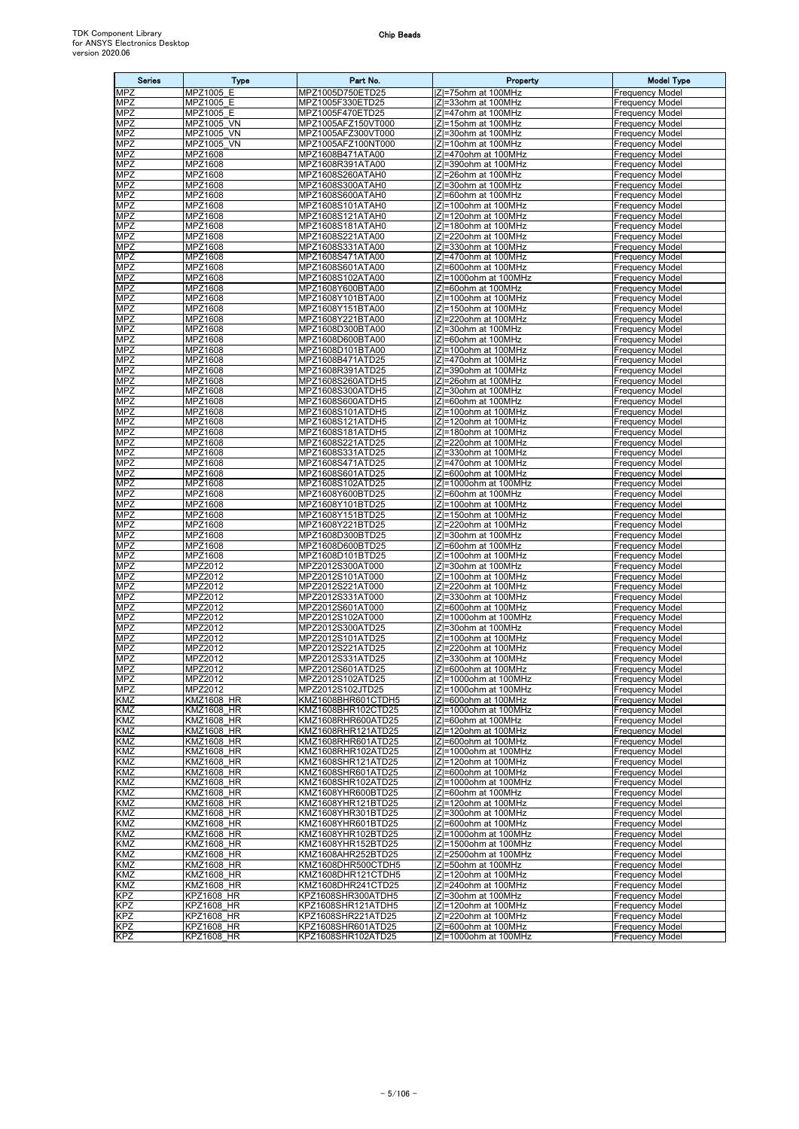| <b>Series</b>            | <b>Type</b>                            | Part No.                                 | Property                                      | <b>Model Type</b>                                |
|--------------------------|----------------------------------------|------------------------------------------|-----------------------------------------------|--------------------------------------------------|
| <b>MPZ</b>               | MPZ1005 E                              | MPZ1005D750ETD25                         | Z=75ohm at 100MHz                             | <b>Frequency Model</b>                           |
| MPZ                      | MPZ1005 E                              | MPZ1005F330ETD25                         | IZI=33ohm at 100MHz                           | <b>Frequency Model</b>                           |
| <b>MPZ</b>               | MPZ1005 E                              | MPZ1005F470ETD25                         | IZI=47ohm at 100MHz                           | Frequency Model                                  |
| <b>MPZ</b>               | MPZ1005 VN                             | MPZ1005AFZ150VT000                       | IZI=15ohm at 100MHz                           | <b>Frequency Model</b>                           |
| <b>MPZ</b>               | MPZ1005 VN                             | MPZ1005AFZ300VT000                       | Z =30ohm at 100MHz                            | Frequency Model                                  |
| <b>MPZ</b>               | MPZ1005 VN                             | MPZ1005AFZ100NT000<br>MPZ1608B471ATA00   | IZI=10ohm at 100MHz<br>Z=470ohm at 100MHz     | <b>Frequency Model</b>                           |
| <b>MPZ</b><br><b>MPZ</b> | MPZ1608<br>MPZ1608                     | MPZ1608R391ATA00                         | IZI=390ohm at 100MHz                          | Frequency Model<br><b>Frequency Model</b>        |
| <b>MPZ</b>               | <b>MPZ1608</b>                         | MPZ1608S260ATAH0                         | IZI=26ohm at 100MHz                           | <b>Frequency Model</b>                           |
| <b>MPZ</b>               | MPZ1608                                | MPZ1608S300ATAH0                         | IZI=30ohm at 100MHz                           | Frequency Model                                  |
| <b>MPZ</b>               | <b>MPZ1608</b>                         | MPZ1608S600ATAH0                         | Z =60ohm at 100MHz                            | Frequency Model                                  |
| <b>MPZ</b>               | MPZ1608                                | MPZ1608S101ATAH0                         | IZI=100ohm at 100MHz                          | Frequency Model                                  |
| MPZ                      | MPZ1608                                | MPZ1608S121ATAH0                         | IZI=120ohm at 100MHz                          | Frequency Model                                  |
| <b>MPZ</b>               | MPZ1608                                | MPZ1608S181ATAH0                         | IZI=180ohm at 100MHz                          | Frequency Model                                  |
| <b>MPZ</b>               | <b>MPZ1608</b>                         | MPZ1608S221ATA00                         | IZI=220ohm at 100MHz                          | <b>Frequency Model</b>                           |
| <b>MPZ</b>               | MPZ1608                                | MPZ1608S331ATA00                         | IZI=330ohm at 100MHz                          | <b>Frequency Model</b>                           |
| MPZ                      | MPZ1608                                | MPZ1608S471ATA00                         | Z =470ohm at 100MHz                           | <b>Frequency Model</b>                           |
| <b>MPZ</b>               | MPZ1608                                | MPZ1608S601ATA00                         | IZI=600ohm at 100MHz                          | <b>Frequency Model</b>                           |
| <b>MPZ</b>               | MPZ1608                                | MPZ1608S102ATA00                         | Z =1000ohm at 100MHz                          | <b>Frequency Model</b>                           |
| <b>MPZ</b><br><b>MPZ</b> | MPZ1608<br>MPZ1608                     | MPZ1608Y600BTA00<br>MPZ1608Y101BTA00     | IZI=60ohm at 100MHz<br> Z =100ohm at 100MHz   | <b>Frequency Model</b><br>Frequency Model        |
| <b>MPZ</b>               | MPZ1608                                | MPZ1608Y151BTA00                         | $ Z =150$ ohm at 100MHz                       | Frequency Model                                  |
| <b>MPZ</b>               | MPZ1608                                | MPZ1608Y221BTA00                         | Z =220ohm at 100MHz                           | Frequency Model                                  |
| <b>MPZ</b>               | MPZ1608                                | MPZ1608D300BTA00                         | Z =30ohm at 100MHz                            | Frequency Model                                  |
| <b>MPZ</b>               | MPZ1608                                | MPZ1608D600BTA00                         | IZI=60ohm at 100MHz                           | Frequency Model                                  |
| <b>MPZ</b>               | MPZ1608                                | MPZ1608D101BTA00                         | IZI=100ohm at 100MHz                          | <b>Frequency Model</b>                           |
| <b>MPZ</b>               | MPZ1608                                | MPZ1608B471ATD25                         | Z =470ohm at 100MHz                           | <b>Frequency Model</b>                           |
| MPZ                      | MPZ1608                                | MPZ1608R391ATD25                         | Z =390ohm at 100MHz                           | <b>Frequency Model</b>                           |
| <b>MPZ</b>               | MPZ1608                                | MPZ1608S260ATDH5                         | IZI=26ohm at 100MHz                           | <b>Frequency Model</b>                           |
| <b>MPZ</b>               | MPZ1608                                | MPZ1608S300ATDH5                         | <b>Z</b> =30ohm at 100MHz                     | Frequency Model                                  |
| <b>MPZ</b>               | MPZ1608                                | MPZ1608S600ATDH5                         | IZI=60ohm at 100MHz                           | <b>Frequency Model</b>                           |
| <b>MPZ</b>               | MPZ1608                                | MPZ1608S101ATDH5                         | Z =100ohm at 100MHz                           | Frequency Model                                  |
| <b>MPZ</b><br><b>MPZ</b> | MPZ1608<br><b>MPZ1608</b>              | MPZ1608S121ATDH5                         | IZI=120ohm at 100MHz<br>IZI=180ohm at 100MHz  | <b>Frequency Model</b><br><b>Frequency Model</b> |
| <b>MPZ</b>               | <b>MPZ1608</b>                         | MPZ1608S181ATDH5<br>MPZ1608S221ATD25     | IZI=220ohm at 100MHz                          | Frequency Model                                  |
| <b>MPZ</b>               | <b>MPZ1608</b>                         | MPZ1608S331ATD25                         | Z =330ohm at 100MHz                           | Frequency Model                                  |
| <b>MPZ</b>               | MPZ1608                                | MPZ1608S471ATD25                         | Z =470ohm at 100MHz                           | <b>Frequency Model</b>                           |
| <b>MPZ</b>               | MPZ1608                                | MPZ1608S601ATD25                         | $ Z =600$ ohm at 100MHz                       | Frequency Model                                  |
| <b>MPZ</b>               | MPZ1608                                | MPZ1608S102ATD25                         | Z =1000ohm at 100MHz                          | <b>Frequency Model</b>                           |
| <b>MPZ</b>               | MPZ1608                                | MPZ1608Y600BTD25                         | Z =60ohm at 100MHz                            | <b>Frequency Model</b>                           |
| MPZ                      | MPZ1608                                | MPZ1608Y101BTD25                         | IZI=100ohm at 100MHz                          | <b>Frequency Model</b>                           |
| <b>MPZ</b>               | MPZ1608                                | MPZ1608Y151BTD25                         | Z =150ohm at 100MHz                           | <b>Frequency Model</b>                           |
| <b>MPZ</b>               | MPZ1608                                | MPZ1608Y221BTD25                         | IZI=220ohm at 100MHz                          | Frequency Model                                  |
| <b>MPZ</b>               | <b>MPZ1608</b>                         | MPZ1608D300BTD25                         | <b>Z</b> =30ohm at 100MHz                     | Frequency Model                                  |
| MPZ                      | MPZ1608                                | MPZ1608D600BTD25                         | IZI=60ohm at 100MHz                           | <b>Frequency Model</b>                           |
| <b>MPZ</b>               | MPZ1608                                | MPZ1608D101BTD25                         | Z =100ohm at 100MHz                           | Frequency Model                                  |
| <b>MPZ</b><br><b>MPZ</b> | MPZ2012<br>MPZ2012                     | MPZ2012S300AT000<br>MPZ2012S101AT000     | IZI=30ohm at 100MHz<br>IZI=100ohm at 100MHz   | <b>Frequency Model</b><br><b>Frequency Model</b> |
| <b>MPZ</b>               | MPZ2012                                | MPZ2012S221AT000                         | IZI=220ohm at 100MHz                          | <b>Frequency Model</b>                           |
| <b>MPZ</b>               | MPZ2012                                | MPZ2012S331AT000                         | Z =330ohm at 100MHz                           | <b>Frequency Model</b>                           |
| <b>MPZ</b>               | MPZ2012                                | MPZ2012S601AT000                         | <b>Z=600ohm at 100MHz</b>                     | Frequency Model                                  |
| MPZ                      | MPZ2012                                | MPZ2012S102AT000                         | Z =1000ohm at 100MHz                          | <b>Frequency Model</b>                           |
| <b>MPZ</b>               | MPZ2012                                | MPZ2012S300ATD25                         | IZI=30ohm at 100MHz                           | Frequency Model                                  |
| <b>MPZ</b>               | MPZ2012                                | MPZ2012S101ATD25                         | $ Z =100$ ohm at 100MHz                       | <b>Frequency Model</b>                           |
| <b>MPZ</b>               | MPZ2012                                | MPZ2012S221ATD25                         | IZI=220ohm at 100MHz                          | <b>Frequency Model</b>                           |
| <b>MPZ</b>               | MPZ2012                                | MPZ2012S331ATD25                         | Z =330ohm at 100MHz                           | Frequency Model                                  |
| <b>MPZ</b>               | MPZ2012                                | MPZ2012S601ATD25                         | Z =600ohm at 100MHz                           | <b>Frequency Model</b>                           |
| <b>MPZ</b>               | MPZ2012                                | MPZ2012S102ATD25                         | IZ=1000ohm at 100MHz                          | <b>Frequency Model</b>                           |
| <b>MPZ</b><br>KMZ        | MPZ2012<br><b>KMZ1608 HR</b>           | MPZ2012S102JTD25<br>KMZ1608BHR601CTDH5   | IZI=1000ohm at 100MHz<br>IZI=600ohm at 100MHz | <b>Frequency Model</b><br><b>Frequency Model</b> |
| KMZ                      | <b>KMZ1608 HR</b>                      | KMZ1608BHR102CTD25                       | Z =1000ohm at 100MHz                          | <b>Frequency Model</b>                           |
| KMZ                      | <b>KMZ1608 HR</b>                      | KMZ1608RHR600ATD25                       | Z =60ohm at 100MHz                            | <b>Frequency Model</b>                           |
| KMZ                      | <b>KMZ1608 HR</b>                      | KMZ1608RHR121ATD25                       | $ Z =120$ ohm at 100MHz                       | <b>Frequency Model</b>                           |
| KMZ                      | <b>KMZ1608 HR</b>                      | KMZ1608RHR601ATD25                       | Z =600ohm at 100MHz                           | <b>Frequency Model</b>                           |
| <b>KMZ</b>               | <b>KMZ1608 HR</b>                      | KMZ1608RHR102ATD25                       | IZI=1000ohm at 100MHz                         | <b>Frequency Model</b>                           |
| KMZ                      | <b>KMZ1608 HR</b>                      | KMZ1608SHR121ATD25                       | IZI=120ohm at 100MHz                          | <b>Frequency Model</b>                           |
| KMZ                      | <b>KMZ1608 HR</b>                      | KMZ1608SHR601ATD25                       | IZI=600ohm at 100MHz                          | <b>Frequency Model</b>                           |
| KMZ                      | <b>KMZ1608 HR</b>                      | KMZ1608SHR102ATD25                       | Z =1000ohm at 100MHz                          | <b>Frequency Model</b>                           |
| KMZ                      | <b>KMZ1608 HR</b>                      | KMZ1608YHR600BTD25                       | IZI=60ohm at 100MHz                           | <b>Frequency Model</b>                           |
| KMZ                      | <b>KMZ1608 HR</b>                      | KMZ1608YHR121BTD25                       | Z =120ohm at 100MHz                           | <b>Frequency Model</b>                           |
| KMZ<br>KMZ               | <b>KMZ1608 HR</b><br><b>KMZ1608 HR</b> | KMZ1608YHR301BTD25<br>KMZ1608YHR601BTD25 | IZI=300ohm at 100MHz<br>IZI=600ohm at 100MHz  | <b>Frequency Model</b>                           |
| KMZ                      | <b>KMZ1608 HR</b>                      | KMZ1608YHR102BTD25                       | Z =1000ohm at 100MHz                          | <b>Frequency Model</b><br><b>Frequency Model</b> |
| KMZ                      | <b>KMZ1608 HR</b>                      | KMZ1608YHR152BTD25                       | Z =1500ohm at 100MHz                          | <b>Frequency Model</b>                           |
| KMZ                      | <b>KMZ1608 HR</b>                      | KMZ1608AHR252BTD25                       | Z =2500ohm at 100MHz                          | <b>Frequency Model</b>                           |
| KMZ                      | <b>KMZ1608 HR</b>                      | KMZ1608DHR500CTDH5                       | IZI=50ohm at 100MHz                           | <b>Frequency Model</b>                           |
| KMZ                      | <b>KMZ1608 HR</b>                      | KMZ1608DHR121CTDH5                       | Z =120ohm at 100MHz                           | <b>Frequency Model</b>                           |
| KMZ                      | <b>KMZ1608 HR</b>                      | KMZ1608DHR241CTD25                       | IZI=240ohm at 100MHz                          | Frequency Model                                  |
| <b>KPZ</b>               | <b>KPZ1608 HR</b>                      | KPZ1608SHR300ATDH5                       | Z =30ohm at 100MHz                            | <b>Frequency Model</b>                           |
| <b>KPZ</b>               | <b>KPZ1608 HR</b>                      | KPZ1608SHR121ATDH5                       | IZI=120ohm at 100MHz                          | <b>Frequency Model</b>                           |
| KPZ                      | <b>KPZ1608 HR</b>                      | KPZ1608SHR221ATD25                       | Z =220ohm at 100MHz                           | <b>Frequency Model</b>                           |
| <b>KPZ</b>               | <b>KPZ1608 HR</b>                      | KPZ1608SHR601ATD25                       | IZI=600ohm at 100MHz                          | <b>Frequency Model</b>                           |
| KPZ                      | <b>KPZ1608 HR</b>                      | KPZ1608SHR102ATD25                       | Z =1000ohm at 100MHz                          | <b>Frequency Model</b>                           |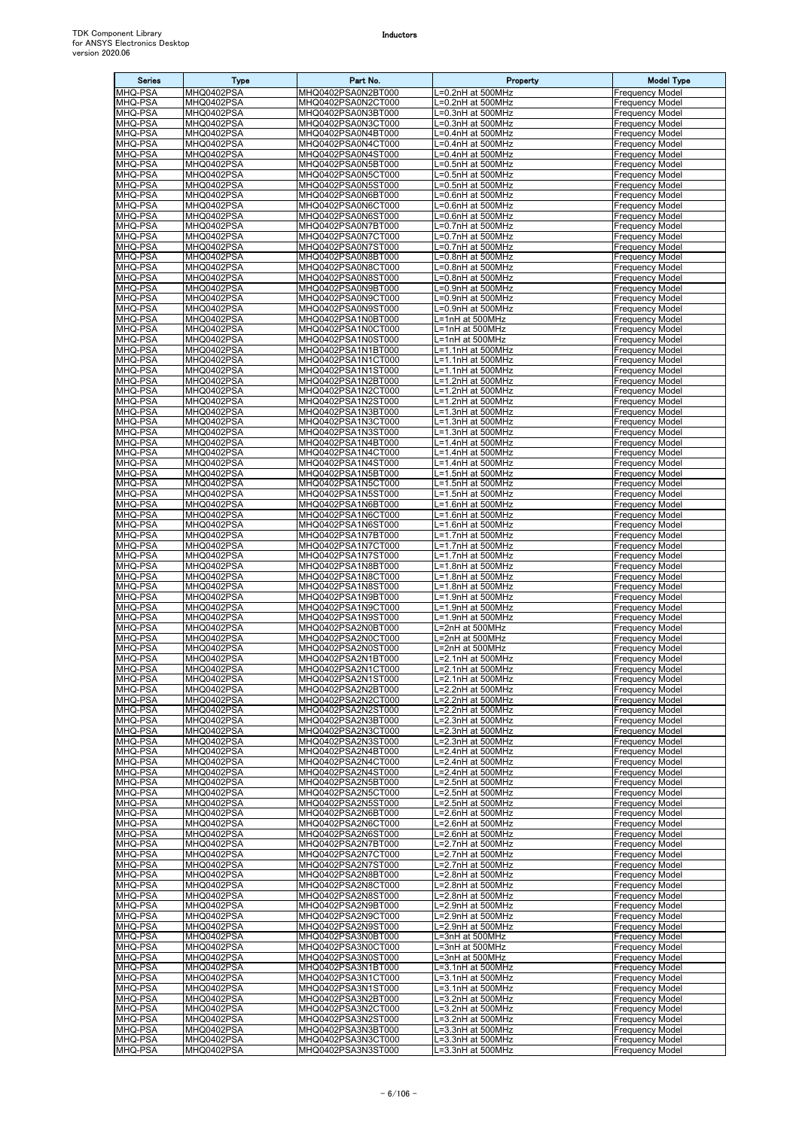| <b>Series</b>      | <b>Type</b>              | Part No.                                 | Property                               | <b>Model Type</b>                                |
|--------------------|--------------------------|------------------------------------------|----------------------------------------|--------------------------------------------------|
| <b>MHQ-PSA</b>     | MHQ0402PSA               | MHQ0402PSA0N2BT000                       | =0.2nH at 500MHz                       | <b>Frequency Model</b>                           |
| MHQ-PSA            | MHQ0402PSA               | MHQ0402PSA0N2CT000                       | =0.2nH at 500MHz                       | <b>Frequency Model</b>                           |
| MHQ-PSA            | MHQ0402PSA               | MHQ0402PSA0N3BT000                       | =0.3nH at 500MHz                       | Frequency Model                                  |
| MHQ-PSA            | MHQ0402PSA               | MHQ0402PSA0N3CT000                       | .=0.3nH at 500MHz                      | Frequency Model                                  |
| MHQ-PSA            | MHQ0402PSA               | MHQ0402PSA0N4BT000                       | _=0.4nH at 500MHz                      | Frequency Model                                  |
| MHQ-PSA            | MHQ0402PSA               | MHQ0402PSA0N4CT000<br>MHQ0402PSA0N4ST000 | =0.4nH at 500MHz<br>=0.4nH at 500MHz   | <b>Frequency Model</b>                           |
| MHQ-PSA<br>MHQ-PSA | MHQ0402PSA<br>MHQ0402PSA | MHQ0402PSA0N5BT000                       | L=0.5nH at 500MHz                      | Frequency Model<br><b>Frequency Model</b>        |
| MHQ-PSA            | MHQ0402PSA               | MHQ0402PSA0N5CT000                       | L=0.5nH at 500MHz                      | Frequency Model                                  |
| MHQ-PSA            | MHQ0402PSA               | MHQ0402PSA0N5ST000                       | =0.5nH at 500MHz                       | Frequency Model                                  |
| MHQ-PSA            | MHQ0402PSA               | MHQ0402PSA0N6BT000                       | .=0.6nH at 500MHz                      | Frequency Model                                  |
| MHQ-PSA            | MHQ0402PSA               | MHQ0402PSA0N6CT000                       | =0.6nH at 500MHz                       | Frequency Model                                  |
| MHQ-PSA            | MHQ0402PSA               | MHQ0402PSA0N6ST000                       | =0.6nH at 500MHz                       | Frequency Model                                  |
| MHQ-PSA<br>MHQ-PSA | MHQ0402PSA<br>MHQ0402PSA | MHQ0402PSA0N7BT000<br>MHQ0402PSA0N7CT000 | _=0.7nH at 500MHz<br>=0.7nH at 500MHz  | Frequency Model<br>Frequency Model               |
| MHQ-PSA            | MHQ0402PSA               | MHQ0402PSA0N7ST000                       | L=0.7nH at 500MHz                      | <b>Frequency Model</b>                           |
| MHQ-PSA            | MHQ0402PSA               | MHQ0402PSA0N8BT000                       | L=0.8nH at 500MHz                      | Frequency Model                                  |
| MHQ-PSA            | MHQ0402PSA               | MHQ0402PSA0N8CT000                       | =0.8nH at 500MHz                       | Frequency Model                                  |
| MHQ-PSA            | MHQ0402PSA               | MHQ0402PSA0N8ST000                       | =0.8nH at 500MHz                       | Frequency Model                                  |
| MHQ-PSA            | MHQ0402PSA               | MHQ0402PSA0N9BT000                       | =0.9nH at 500MHz                       | <b>Frequency Model</b>                           |
| MHQ-PSA            | MHQ0402PSA               | MHQ0402PSA0N9CT000                       | =0.9nH at 500MHz                       | Frequency Model                                  |
| MHQ-PSA<br>MHQ-PSA | MHQ0402PSA<br>MHQ0402PSA | MHQ0402PSA0N9ST000<br>MHQ0402PSA1N0BT000 | L=0.9nH at 500MHz<br>L=1nH at 500MHz   | Frequency Model<br>Frequency Model               |
| MHQ-PSA            | MHQ0402PSA               | MHQ0402PSA1N0CT000                       | L=1nH at 500MHz                        | Frequency Model                                  |
| MHQ-PSA            | MHQ0402PSA               | MHQ0402PSA1N0ST000                       | L=1nH at 500MHz                        | Frequency Model                                  |
| MHQ-PSA            | MHQ0402PSA               | MHQ0402PSA1N1BT000                       | L=1.1nH at 500MHz                      | <b>Frequency Model</b>                           |
| MHQ-PSA            | MHQ0402PSA               | MHQ0402PSA1N1CT000                       | L=1.1nH at 500MHz                      | <b>Frequency Model</b>                           |
| MHQ-PSA            | MHQ0402PSA               | MHQ0402PSA1N1ST000                       | .=1.1nH at 500MHz                      | Frequency Model                                  |
| MHQ-PSA            | MHQ0402PSA               | MHQ0402PSA1N2BT000                       | $\overline{=1}$ .2nH at 500MHz         | <b>Frequency Model</b>                           |
| MHQ-PSA<br>MHQ-PSA | MHQ0402PSA<br>MHQ0402PSA | MHQ0402PSA1N2CT000<br>MHQ0402PSA1N2ST000 | L=1.2nH at 500MHz<br>L=1.2nH at 500MHz | Frequency Model<br><b>Frequency Model</b>        |
| MHQ-PSA            | MHQ0402PSA               | MHQ0402PSA1N3BT000                       | _=1.3nH at 500MHz                      | Frequency Model                                  |
| MHQ-PSA            | MHQ0402PSA               | MHQ0402PSA1N3CT000                       | L=1.3nH at 500MHz                      | <b>Frequency Model</b>                           |
| MHQ-PSA            | MHQ0402PSA               | MHQ0402PSA1N3ST000                       | L=1.3nH at 500MHz                      | <b>Frequency Model</b>                           |
| MHQ-PSA            | MHQ0402PSA               | MHQ0402PSA1N4BT000                       | L=1.4nH at 500MHz                      | Frequency Model                                  |
| <b>MHQ-PSA</b>     | MHQ0402PSA               | MHQ0402PSA1N4CT000                       | _=1.4nH at 500MHz                      | Frequency Model                                  |
| MHQ-PSA<br>MHQ-PSA | MHQ0402PSA<br>MHQ0402PSA | MHQ0402PSA1N4ST000<br>MHQ0402PSA1N5BT000 | _=1.4nH at 500MHz<br>L=1.5nH at 500MHz | <b>Frequency Model</b><br>Frequency Model        |
| MHQ-PSA            | MHQ0402PSA               | MHQ0402PSA1N5CT000                       | L=1.5nH at 500MHz                      | Frequency Model                                  |
| MHQ-PSA            | MHQ0402PSA               | MHQ0402PSA1N5ST000                       | L=1.5nH at 500MHz                      | Frequency Model                                  |
| MHQ-PSA            | MHQ0402PSA               | MHQ0402PSA1N6BT000                       | L=1.6nH at 500MHz                      | Frequency Model                                  |
| MHQ-PSA            | MHQ0402PSA               | MHQ0402PSA1N6CT000                       | L=1.6nH at 500MHz                      | Frequency Model                                  |
| MHQ-PSA            | MHQ0402PSA               | MHQ0402PSA1N6ST000                       | =1.6nH at 500MHz                       | Frequency Model                                  |
| MHQ-PSA            | MHQ0402PSA               | MHQ0402PSA1N7BT000                       | L=1.7nH at 500MHz                      | Frequency Model                                  |
| MHQ-PSA<br>MHQ-PSA | MHQ0402PSA<br>MHQ0402PSA | MHQ0402PSA1N7CT000<br>MHQ0402PSA1N7ST000 | -1.7nH at 500MHz<br>L=1.7nH at 500MHz  | <b>Frequency Model</b><br>Frequency Model        |
| MHQ-PSA            | MHQ0402PSA               | MHQ0402PSA1N8BT000                       | L=1.8nH at 500MHz                      | <b>Frequency Model</b>                           |
| MHQ-PSA            | MHQ0402PSA               | MHQ0402PSA1N8CT000                       | L=1.8nH at 500MHz                      | Frequency Model                                  |
| MHQ-PSA            | MHQ0402PSA               | MHQ0402PSA1N8ST000                       | L=1.8nH at 500MHz                      | Frequency Model                                  |
| MHQ-PSA            | MHQ0402PSA               | MHQ0402PSA1N9BT000                       | L=1.9nH at 500MHz                      | Frequency Model                                  |
| MHQ-PSA            | MHQ0402PSA               | MHQ0402PSA1N9CT000                       | L=1.9nH at 500MHz                      | Frequency Model                                  |
| MHQ-PSA<br>MHQ-PSA | MHQ0402PSA<br>MHQ0402PSA | MHQ0402PSA1N9ST000<br>MHQ0402PSA2N0BT000 | .=1.9nH at 500MHz<br>=2nH at 500MHz    | Frequency Model<br>Frequency Model               |
| MHQ-PSA            | MHQ0402PSA               | MHQ0402PSA2N0CT000                       | .=2nH at 500MHz                        | <b>Frequency Model</b>                           |
| MHQ-PSA            | MHQ0402PSA               | MHQ0402PSA2N0ST000                       | L=2nH at 500MHz                        | <b>Frequency Model</b>                           |
| MHQ-PSA            | MHQ0402PSA               | MHQ0402PSA2N1BT000                       | L=2.1nH at 500MHz                      | Frequency Model                                  |
| MHQ-PSA            | MHQ0402PSA               | MHQ0402PSA2N1CT000                       | L=2.1nH at 500MHz                      | <b>Frequency Model</b>                           |
| MHQ-PSA            | MHQ0402PSA<br>MHQ0402PSA | MHQ0402PSA2N1ST000                       | L=2.1nH at 500MHz                      | <b>Frequency Model</b>                           |
| MHQ-PSA<br>MHQ-PSA | MHQ0402PSA               | MHQ0402PSA2N2BT000<br>MHQ0402PSA2N2CT000 | L=2.2nH at 500MHz<br>L=2.2nH at 500MHz | <b>Frequency Model</b><br>Frequency Model        |
| MHQ-PSA            | MHQ0402PSA               | MHQ0402PSA2N2ST000                       | =2.2nH at 500MHz                       | <b>Frequency Model</b>                           |
| MHQ-PSA            | MHQ0402PSA               | MHQ0402PSA2N3BT000                       | _=2.3nH at 500MHz                      | <b>Frequency Model</b>                           |
| MHQ-PSA            | MHQ0402PSA               | MHQ0402PSA2N3CT000                       | .=2.3nH at 500MHz                      | Frequency Model                                  |
| MHQ-PSA            | MHQ0402PSA               | MHQ0402PSA2N3ST000                       | _=2.3nH at 500MHz                      | <b>Frequency Model</b>                           |
| MHQ-PSA            | MHQ0402PSA               | MHQ0402PSA2N4BT000                       | L=2.4nH at 500MHz                      | <b>Frequency Model</b>                           |
| MHQ-PSA<br>MHQ-PSA | MHQ0402PSA<br>MHQ0402PSA | MHQ0402PSA2N4CT000<br>MHQ0402PSA2N4ST000 | L=2.4nH at 500MHz<br>L=2.4nH at 500MHz | <b>Frequency Model</b><br><b>Frequency Model</b> |
| MHQ-PSA            | MHQ0402PSA               | MHQ0402PSA2N5BT000                       | L=2.5nH at 500MHz                      | <b>Frequency Model</b>                           |
| MHQ-PSA            | MHQ0402PSA               | MHQ0402PSA2N5CT000                       | L=2.5nH at 500MHz                      | <b>Frequency Model</b>                           |
| MHQ-PSA            | MHQ0402PSA               | MHQ0402PSA2N5ST000                       | L=2.5nH at 500MHz                      | <b>Frequency Model</b>                           |
| MHQ-PSA            | MHQ0402PSA               | MHQ0402PSA2N6BT000                       | L=2.6nH at 500MHz                      | <b>Frequency Model</b>                           |
| MHQ-PSA<br>MHQ-PSA | MHQ0402PSA<br>MHQ0402PSA | MHQ0402PSA2N6CT000<br>MHQ0402PSA2N6ST000 | _=2.6nH at 500MHz                      | <b>Frequency Model</b><br><b>Frequency Model</b> |
| MHQ-PSA            | MHQ0402PSA               | MHQ0402PSA2N7BT000                       | L=2.6nH at 500MHz<br>L=2.7nH at 500MHz | <b>Frequency Model</b>                           |
| MHQ-PSA            | MHQ0402PSA               | MHQ0402PSA2N7CT000                       | L=2.7nH at 500MHz                      | <b>Frequency Model</b>                           |
| MHQ-PSA            | MHQ0402PSA               | MHQ0402PSA2N7ST000                       | L=2.7nH at 500MHz                      | <b>Frequency Model</b>                           |
| MHQ-PSA            | MHQ0402PSA               | MHQ0402PSA2N8BT000                       | =2.8nH at 500MHz                       | <b>Frequency Model</b>                           |
| MHQ-PSA            | MHQ0402PSA               | MHQ0402PSA2N8CT000                       | _=2.8nH at 500MHz                      | Frequency Model                                  |
| MHQ-PSA            | MHQ0402PSA               | MHQ0402PSA2N8ST000                       | L=2.8nH at 500MHz                      | Frequency Model                                  |
| MHQ-PSA<br>MHQ-PSA | MHQ0402PSA<br>MHQ0402PSA | MHQ0402PSA2N9BT000<br>MHQ0402PSA2N9CT000 | L=2.9nH at 500MHz<br>L=2.9nH at 500MHz | <b>Frequency Model</b><br><b>Frequency Model</b> |
| MHQ-PSA            | MHQ0402PSA               | MHQ0402PSA2N9ST000                       | L=2.9nH at 500MHz                      | <b>Frequency Model</b>                           |
| MHQ-PSA            | MHQ0402PSA               | MHQ0402PSA3N0BT000                       | L=3nH at 500MHz                        | <b>Frequency Model</b>                           |
| MHQ-PSA            | MHQ0402PSA               | MHQ0402PSA3N0CT000                       | L=3nH at 500MHz                        | <b>Frequency Model</b>                           |
| MHQ-PSA            | MHQ0402PSA               | MHQ0402PSA3N0ST000                       | .=3nH at 500MHz                        | <b>Frequency Model</b>                           |
| MHQ-PSA            | MHQ0402PSA               | MHQ0402PSA3N1BT000                       | =3.1nH at 500MHz                       | <b>Frequency Model</b>                           |
| MHQ-PSA<br>MHQ-PSA | MHQ0402PSA<br>MHQ0402PSA | MHQ0402PSA3N1CT000<br>MHQ0402PSA3N1ST000 | L=3.1nH at 500MHz<br>L=3.1nH at 500MHz | Frequency Model<br><b>Frequency Model</b>        |
| MHQ-PSA            | MHQ0402PSA               | MHQ0402PSA3N2BT000                       | .=3.2nH at 500MHz                      | Frequency Model                                  |
| MHQ-PSA            | MHQ0402PSA               | MHQ0402PSA3N2CT000                       | L=3.2nH at 500MHz                      | <b>Frequency Model</b>                           |
| MHQ-PSA            | MHQ0402PSA               | MHQ0402PSA3N2ST000                       | L=3.2nH at 500MHz                      | <b>Frequency Model</b>                           |
| MHQ-PSA            | MHQ0402PSA               | MHQ0402PSA3N3BT000                       | L=3.3nH at 500MHz                      | <b>Frequency Model</b>                           |
| <b>MHQ-PSA</b>     | MHQ0402PSA<br>MHQ0402PSA | MHQ0402PSA3N3CT000                       | L=3.3nH at 500MHz                      | <b>Frequency Model</b>                           |
| MHQ-PSA            |                          | MHQ0402PSA3N3ST000                       | L=3.3nH at 500MHz                      | <b>Frequency Model</b>                           |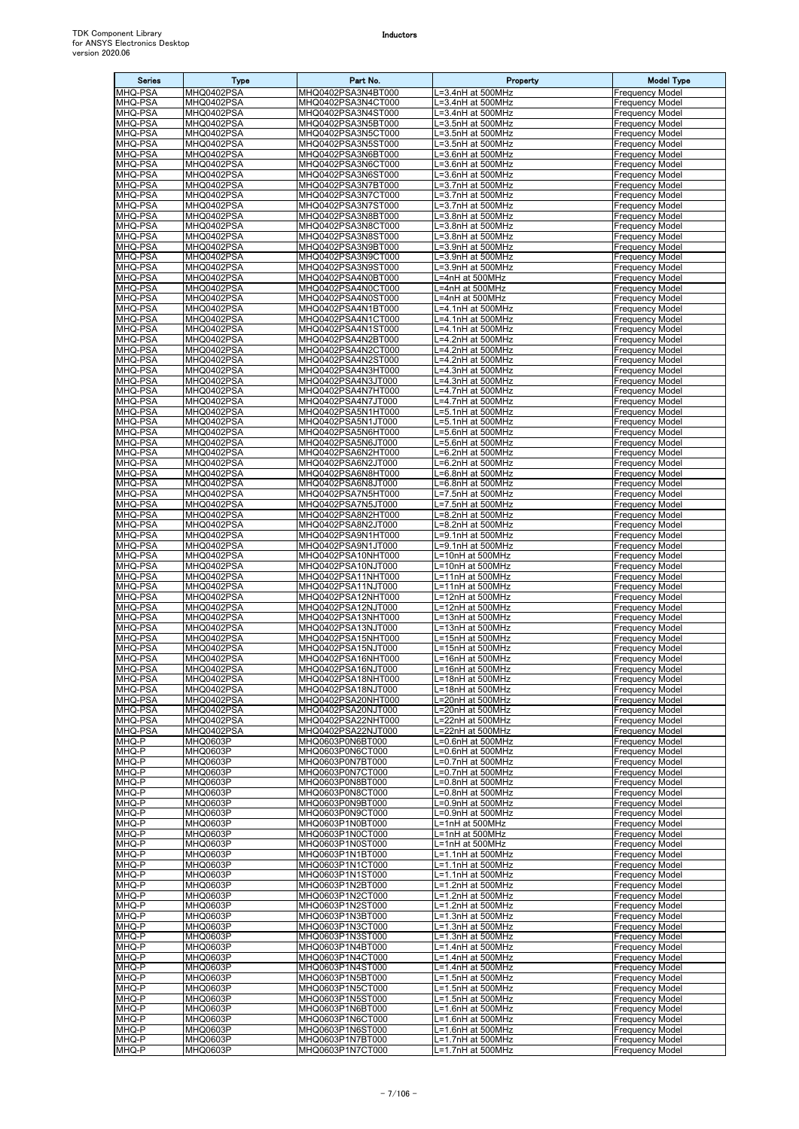| <b>Series</b>      | <b>Type</b>                 | Part No.                                 | Property                               | <b>Model Type</b>                                |
|--------------------|-----------------------------|------------------------------------------|----------------------------------------|--------------------------------------------------|
| <b>MHQ-PSA</b>     | MHQ0402PSA                  | MHQ0402PSA3N4BT000                       | L=3.4nH at 500MHz                      | <b>Frequency Model</b>                           |
| MHQ-PSA            | MHQ0402PSA                  | MHQ0402PSA3N4CT000                       | L=3.4nH at 500MHz                      | <b>Frequency Model</b>                           |
| MHQ-PSA            | MHQ0402PSA                  | MHQ0402PSA3N4ST000                       | .=3.4nH at 500MHz                      | Frequency Model                                  |
| MHQ-PSA            | MHQ0402PSA                  | MHQ0402PSA3N5BT000                       | =3.5nH at 500MHz                       | Frequency Model                                  |
| MHQ-PSA            | MHQ0402PSA                  | MHQ0402PSA3N5CT000                       | L=3.5nH at 500MHz                      | Frequency Model                                  |
| MHQ-PSA            | MHQ0402PSA                  | MHQ0402PSA3N5ST000                       | L=3.5nH at 500MHz                      | <b>Frequency Model</b>                           |
| MHQ-PSA<br>MHQ-PSA | MHQ0402PSA<br>MHQ0402PSA    | MHQ0402PSA3N6BT000<br>MHQ0402PSA3N6CT000 | .=3.6nH at 500MHz<br>L=3.6nH at 500MHz | Frequency Model<br><b>Frequency Model</b>        |
| MHQ-PSA            | MHQ0402PSA                  | MHQ0402PSA3N6ST000                       | L=3.6nH at 500MHz                      | Frequency Model                                  |
| MHQ-PSA            | MHQ0402PSA                  | MHQ0402PSA3N7BT000                       | =3.7nH at 500MHz                       | Frequency Model                                  |
| MHQ-PSA            | MHQ0402PSA                  | MHQ0402PSA3N7CT000                       | .=3.7nH at 500MHz                      | Frequency Model                                  |
| MHQ-PSA            | MHQ0402PSA                  | MHQ0402PSA3N7ST000                       | L=3.7nH at 500MHz                      | Frequency Model                                  |
| MHQ-PSA            | MHQ0402PSA                  | MHQ0402PSA3N8BT000                       | L=3.8nH at 500MHz                      | Frequency Model                                  |
| MHQ-PSA            | MHQ0402PSA                  | MHQ0402PSA3N8CT000                       | _=3.8nH at 500MHz                      | Frequency Model                                  |
| MHQ-PSA            | MHQ0402PSA                  | MHQ0402PSA3N8ST000                       | L=3.8nH at 500MHz                      | Frequency Model                                  |
| MHQ-PSA<br>MHQ-PSA | MHQ0402PSA<br>MHQ0402PSA    | MHQ0402PSA3N9BT000<br>MHQ0402PSA3N9CT000 | L=3.9nH at 500MHz<br>L=3.9nH at 500MHz | <b>Frequency Model</b><br>Frequency Model        |
| MHQ-PSA            | MHQ0402PSA                  | MHQ0402PSA3N9ST000                       | =3.9nH at 500MHz                       | Frequency Model                                  |
| MHQ-PSA            | MHQ0402PSA                  | MHQ0402PSA4N0BT000                       | =4nH at 500MHz                         | Frequency Model                                  |
| MHQ-PSA            | MHQ0402PSA                  | MHQ0402PSA4N0CT000                       | =4nH at 500MHz                         | <b>Frequency Model</b>                           |
| MHQ-PSA            | MHQ0402PSA                  | MHQ0402PSA4N0ST000                       | .=4nH at 500MHz                        | Frequency Model                                  |
| MHQ-PSA            | MHQ0402PSA                  | MHQ0402PSA4N1BT000                       | _=4.1nH at 500MHz                      | Frequency Model                                  |
| MHQ-PSA            | MHQ0402PSA                  | MHQ0402PSA4N1CT000                       | -4.1nH at 500MHz                       | Frequency Model                                  |
| MHQ-PSA            | MHQ0402PSA                  | MHQ0402PSA4N1ST000                       | .=4.1nH at 500MHz<br>-4.2nH at 500MHz  | Frequency Model<br><b>Frequency Model</b>        |
| MHQ-PSA<br>MHQ-PSA | MHQ0402PSA<br>MHQ0402PSA    | MHQ0402PSA4N2BT000<br>MHQ0402PSA4N2CT000 | _=4.2nH at 500MHz                      | <b>Frequency Model</b>                           |
| MHQ-PSA            | MHQ0402PSA                  | MHQ0402PSA4N2ST000                       | .=4.2nH at 500MHz                      | <b>Frequency Model</b>                           |
| MHQ-PSA            | MHQ0402PSA                  | MHQ0402PSA4N3HT000                       | =4.3nH at 500MHz                       | Frequency Model                                  |
| MHQ-PSA            | MHQ0402PSA                  | MHQ0402PSA4N3JT000                       | =4.3nH at 500MHz                       | Frequency Model                                  |
| MHQ-PSA            | MHQ0402PSA                  | MHQ0402PSA4N7HT000                       | .=4.7nH at 500MHz                      | Frequency Model                                  |
| MHQ-PSA            | MHQ0402PSA                  | MHQ0402PSA4N7JT000                       | .=4.7nH at 500MHz                      | <b>Frequency Model</b>                           |
| MHQ-PSA            | MHQ0402PSA                  | MHQ0402PSA5N1HT000                       | =5.1nH at 500MHz                       | Frequency Model                                  |
| MHQ-PSA<br>MHQ-PSA | MHQ0402PSA<br>MHQ0402PSA    | MHQ0402PSA5N1JT000<br>MHQ0402PSA5N6HT000 | L=5.1nH at 500MHz<br>L=5.6nH at 500MHz | <b>Frequency Model</b><br><b>Frequency Model</b> |
| MHQ-PSA            | MHQ0402PSA                  | MHQ0402PSA5N6JT000                       | .=5.6nH at 500MHz                      | Frequency Model                                  |
| <b>MHQ-PSA</b>     | MHQ0402PSA                  | MHQ0402PSA6N2HT000                       | .=6.2nH at 500MHz                      | Frequency Model                                  |
| MHQ-PSA            | MHQ0402PSA                  | MHQ0402PSA6N2JT000                       | =6.2nH at 500MHz                       | <b>Frequency Model</b>                           |
| MHQ-PSA            | MHQ0402PSA                  | MHQ0402PSA6N8HT000                       | _=6.8nH at 500MHz                      | Frequency Model                                  |
| MHQ-PSA            | MHQ0402PSA                  | MHQ0402PSA6N8JT000                       | .=6.8nH at 500MHz                      | Frequency Model                                  |
| MHQ-PSA            | MHQ0402PSA                  | MHQ0402PSA7N5HT000                       | _=7.5nH at 500MHz                      | Frequency Model                                  |
| MHQ-PSA            | MHQ0402PSA                  | MHQ0402PSA7N5JT000                       | L=7.5nH at 500MHz                      | Frequency Model                                  |
| MHQ-PSA<br>MHQ-PSA | MHQ0402PSA<br>MHQ0402PSA    | MHQ0402PSA8N2HT000<br>MHQ0402PSA8N2JT000 | L=8.2nH at 500MHz<br>=8.2nH at 500MHz  | Frequency Model<br>Frequency Model               |
| MHQ-PSA            | MHQ0402PSA                  | MHQ0402PSA9N1HT000                       | =9.1nH at 500MHz                       | Frequency Model                                  |
| MHQ-PSA            | MHQ0402PSA                  | MHQ0402PSA9N1JT000                       | .=9.1nH at 500MHz                      | <b>Frequency Model</b>                           |
| MHQ-PSA            | MHQ0402PSA                  | MHQ0402PSA10NHT000                       | L=10nH at 500MHz                       | Frequency Model                                  |
| MHQ-PSA            | MHQ0402PSA                  | MHQ0402PSA10NJT000                       | L=10nH at 500MHz                       | <b>Frequency Model</b>                           |
| MHQ-PSA            | MHQ0402PSA                  | MHQ0402PSA11NHT000                       | L=11nH at 500MHz                       | Frequency Model                                  |
| MHQ-PSA            | MHQ0402PSA                  | MHQ0402PSA11NJT000                       | L=11nH at 500MHz                       | Frequency Model                                  |
| MHQ-PSA            | MHQ0402PSA                  | MHQ0402PSA12NHT000<br>MHQ0402PSA12NJT000 | L=12nH at 500MHz                       | Frequency Model                                  |
| MHQ-PSA<br>MHQ-PSA | MHQ0402PSA<br>MHQ0402PSA    | MHQ0402PSA13NHT000                       | L=12nH at 500MHz<br>.=13nH at 500MHz   | Frequency Model<br>Frequency Model               |
| MHQ-PSA            | MHQ0402PSA                  | MHQ0402PSA13NJT000                       | =13nH at 500MHz                        | Frequency Model                                  |
| MHQ-PSA            | MHQ0402PSA                  | MHQ0402PSA15NHT000                       | L=15nH at 500MHz                       | <b>Frequency Model</b>                           |
| MHQ-PSA            | MHQ0402PSA                  | MHQ0402PSA15NJT000                       | L=15nH at 500MHz                       | <b>Frequency Model</b>                           |
| MHQ-PSA            | MHQ0402PSA                  | MHQ0402PSA16NHT000                       | L=16nH at 500MHz                       | Frequency Model                                  |
| MHQ-PSA            | MHQ0402PSA                  | MHQ0402PSA16NJT000                       | L=16nH at 500MHz                       | <b>Frequency Model</b>                           |
| MHQ-PSA<br>MHQ-PSA | MHQ0402PSA<br>MHQ0402PSA    | MHQ0402PSA18NHT000<br>MHQ0402PSA18NJT000 | L=18nH at 500MHz<br>L=18nH at 500MHz   | <b>Frequency Model</b><br><b>Frequency Model</b> |
| MHQ-PSA            | MHQ0402PSA                  | MHQ0402PSA20NHT000                       | =20nH at 500MHz                        | Frequency Model                                  |
| MHQ-PSA            | MHQ0402PSA                  | MHQ0402PSA20NJT000                       | .=20nH at 500MHz                       | Frequency Model                                  |
| MHQ-PSA            | MHQ0402PSA                  | MHQ0402PSA22NHT000                       | =22nH at 500MHz                        | <b>Frequency Model</b>                           |
| MHQ-PSA            | MHQ0402PSA                  | MHQ0402PSA22NJT000                       | .=22nH at 500MHz                       | <b>Frequency Model</b>                           |
| MHQ-P              | MHQ0603P                    | MHQ0603P0N6BT000                         | =0.6nH at 500MHz                       | <b>Frequency Model</b>                           |
| MHQ-P              | MHQ0603P                    | MHQ0603P0N6CT000                         | =0.6nH at 500MHz                       | <b>Frequency Model</b>                           |
| MHQ-P<br>MHQ-P     | <b>MHQ0603P</b><br>MHQ0603P | MHQ0603P0N7BT000<br>MHQ0603P0N7CT000     | L=0.7nH at 500MHz<br>L=0.7nH at 500MHz | <b>Frequency Model</b><br><b>Frequency Model</b> |
| MHQ-P              | MHQ0603P                    | MHQ0603P0N8BT000                         | =0.8nH at 500MHz                       | <b>Frequency Model</b>                           |
| MHQ-P              | MHQ0603P                    | MHQ0603P0N8CT000                         | .=0.8nH at 500MHz                      | <b>Frequency Model</b>                           |
| MHQ-P              | MHQ0603P                    | MHQ0603P0N9BT000                         | =0.9nH at 500MHz                       | <b>Frequency Model</b>                           |
| MHQ-P              | MHQ0603P                    | MHQ0603P0N9CT000                         | _=0.9nH at 500MHz                      | <b>Frequency Model</b>                           |
| MHQ-P              | <b>MHQ0603P</b>             | MHQ0603P1N0BT000                         | =1nH at 500MHz                         | <b>Frequency Model</b>                           |
| MHQ-P              | MHQ0603P<br><b>MHQ0603P</b> | MHQ0603P1N0CT000                         | L=1nH at 500MHz                        | <b>Frequency Model</b>                           |
| MHQ-P<br>MHQ-P     | MHQ0603P                    | MHQ0603P1N0ST000<br>MHQ0603P1N1BT000     | L=1nH at 500MHz<br>L=1.1nH at 500MHz   | <b>Frequency Model</b><br>Frequency Model        |
| MHQ-P              | MHQ0603P                    | MHQ0603P1N1CT000                         | L=1.1nH at 500MHz                      | Frequency Model                                  |
| MHQ-P              | MHQ0603P                    | MHQ0603P1N1ST000                         | .=1.1nH at 500MHz                      | <b>Frequency Model</b>                           |
| MHQ-P              | MHQ0603P                    | MHQ0603P1N2BT000                         | -1.2nH at 500MHz                       | Frequency Model                                  |
| MHQ-P              | MHQ0603P                    | MHQ0603P1N2CT000                         | L=1.2nH at 500MHz                      | Frequency Model                                  |
| MHQ-P              | MHQ0603P                    | MHQ0603P1N2ST000                         | L=1.2nH at 500MHz                      | <b>Frequency Model</b>                           |
| MHQ-P              | MHQ0603P                    | MHQ0603P1N3BT000                         | L=1.3nH at 500MHz                      | Frequency Model                                  |
| MHQ-P<br>MHQ-P     | MHQ0603P<br>MHQ0603P        | MHQ0603P1N3CT000<br>MHQ0603P1N3ST000     | L=1.3nH at 500MHz<br>L=1.3nH at 500MHz | <b>Frequency Model</b><br><b>Frequency Model</b> |
| MHQ-P              | MHQ0603P                    | MHQ0603P1N4BT000                         | L=1.4nH at 500MHz                      | <b>Frequency Model</b>                           |
| MHQ-P              | MHQ0603P                    | MHQ0603P1N4CT000                         | _=1.4nH at 500MHz                      | Frequency Model                                  |
| MHQ-P              | MHQ0603P                    | MHQ0603P1N4ST000                         | =1.4nH at 500MHz                       | <b>Frequency Model</b>                           |
| MHQ-P              | MHQ0603P                    | MHQ0603P1N5BT000                         | L=1.5nH at 500MHz                      | Frequency Model                                  |
| MHQ-P              | MHQ0603P                    | MHQ0603P1N5CT000                         | L=1.5nH at 500MHz                      | <b>Frequency Model</b>                           |
| MHQ-P              | MHQ0603P                    | MHQ0603P1N5ST000                         | _=1.5nH at 500MHz                      | Frequency Model                                  |
| MHQ-P<br>MHQ-P     | MHQ0603P<br><b>MHQ0603P</b> | MHQ0603P1N6BT000<br>MHQ0603P1N6CT000     | L=1.6nH at 500MHz<br>L=1.6nH at 500MHz | <b>Frequency Model</b><br><b>Frequency Model</b> |
| MHQ-P              | <b>MHQ0603P</b>             | MHQ0603P1N6ST000                         | L=1.6nH at 500MHz                      | Frequency Model                                  |
| MHQ-P              | MHQ0603P                    | MHQ0603P1N7BT000                         | L=1.7nH at 500MHz                      | <b>Frequency Model</b>                           |
| MHQ-P              | MHQ0603P                    | MHQ0603P1N7CT000                         | L=1.7nH at 500MHz                      | <b>Frequency Model</b>                           |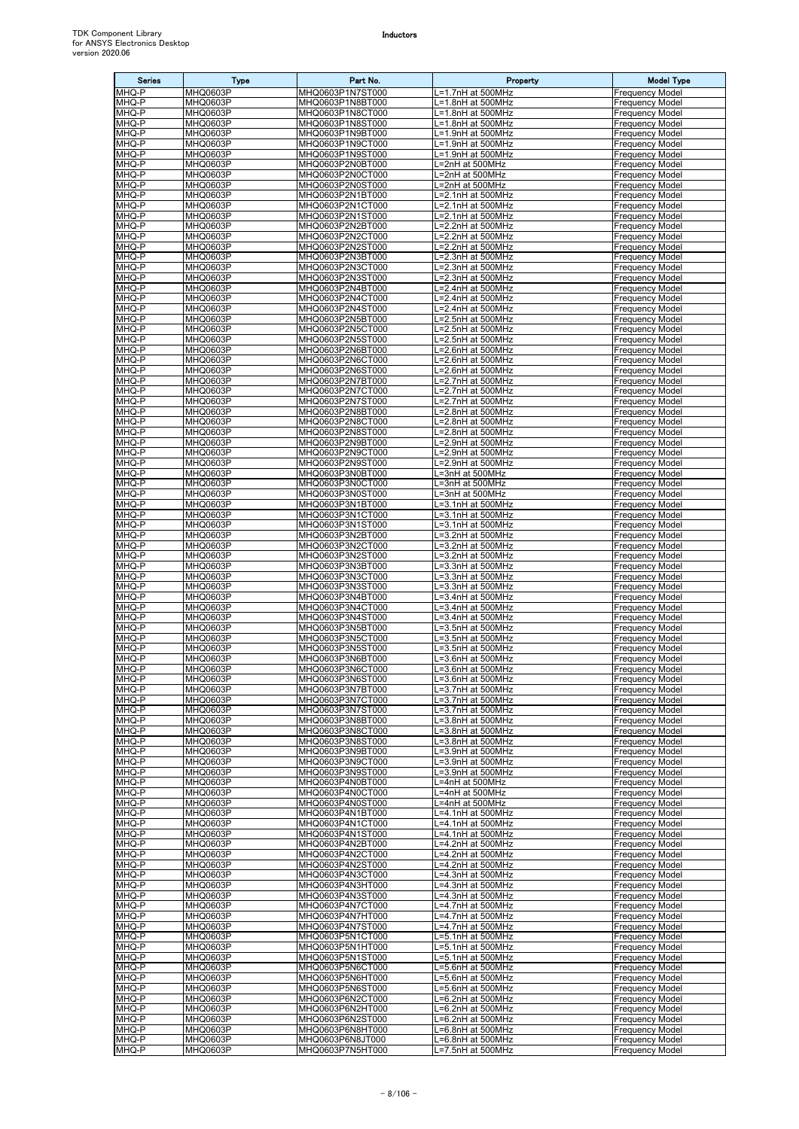| <b>Series</b>  | Type                        | Part No.                             | Property                                             | <b>Model Type</b>                                |
|----------------|-----------------------------|--------------------------------------|------------------------------------------------------|--------------------------------------------------|
| MHQ-P          | <b>MHQ0603P</b>             | MHQ0603P1N7ST000                     | L=1.7nH at 500MHz                                    | <b>Frequency Model</b>                           |
| MHQ-P<br>MHQ-P | <b>MHQ0603P</b><br>MHQ0603P | MHQ0603P1N8BT000<br>MHQ0603P1N8CT000 | L=1.8nH at 500MHz<br>L=1.8nH at 500MHz               | <b>Frequency Model</b><br><b>Frequency Model</b> |
| MHQ-P          | MHQ0603P                    | MHQ0603P1N8ST000                     | L=1.8nH at 500MHz                                    | <b>Frequency Model</b>                           |
| MHQ-P          | MHQ0603P                    | MHQ0603P1N9BT000                     | L=1.9nH at 500MHz                                    | <b>Frequency Model</b>                           |
| MHQ-P<br>MHQ-P | MHQ0603P<br>MHQ0603P        | MHQ0603P1N9CT000<br>MHQ0603P1N9ST000 | L=1.9nH at 500MHz<br>L=1.9nH at 500MHz               | <b>Frequency Model</b><br><b>Frequency Model</b> |
| MHQ-P          | MHQ0603P                    | MHQ0603P2N0BT000                     | L=2nH at 500MHz                                      | <b>Frequency Model</b>                           |
| MHQ-P          | MHQ0603P                    | MHQ0603P2N0CT000                     | L=2nH at 500MHz                                      | <b>Frequency Model</b>                           |
| MHQ-P          | MHQ0603P                    | MHQ0603P2N0ST000                     | L=2nH at 500MHz                                      | <b>Frequency Model</b>                           |
| MHQ-P<br>MHQ-P | MHQ0603P                    | MHQ0603P2N1BT000<br>MHQ0603P2N1CT000 | L=2.1nH at 500MHz                                    | <b>Frequency Model</b><br><b>Frequency Model</b> |
| MHQ-P          | MHQ0603P<br>MHQ0603P        | MHQ0603P2N1ST000                     | L=2.1nH at 500MHz<br>L=2.1nH at 500MHz               | Frequency Model                                  |
| MHQ-P          | MHQ0603P                    | MHQ0603P2N2BT000                     | $\overline{L=2}.2$ nH at 500MHz                      | <b>Frequency Model</b>                           |
| MHQ-P          | MHQ0603P                    | MHQ0603P2N2CT000                     | L=2.2nH at 500MHz                                    | <b>Frequency Model</b>                           |
| MHQ-P<br>MHQ-P | MHQ0603P<br>MHQ0603P        | MHQ0603P2N2ST000<br>MHQ0603P2N3BT000 | =2.2nH at 500MHz<br>L=2.3nH at 500MHz                | <b>Frequency Model</b><br>Frequency Model        |
| MHQ-P          | MHQ0603P                    | MHQ0603P2N3CT000                     | L=2.3nH at 500MHz                                    | <b>Frequency Model</b>                           |
| MHQ-P          | MHQ0603P                    | MHQ0603P2N3ST000                     | L=2.3nH at 500MHz                                    | <b>Frequency Model</b>                           |
| MHQ-P<br>MHQ-P | MHQ0603P<br>MHQ0603P        | MHQ0603P2N4BT000<br>MHQ0603P2N4CT000 | L=2.4nH at 500MHz<br>L=2.4nH at 500MHz               | <b>Frequency Model</b><br><b>Frequency Model</b> |
| MHQ-P          | MHQ0603P                    | MHQ0603P2N4ST000                     | L=2.4nH at 500MHz                                    | <b>Frequency Model</b>                           |
| MHQ-P          | MHQ0603P                    | MHQ0603P2N5BT000                     | L=2.5nH at 500MHz                                    | <b>Frequency Model</b>                           |
| MHQ-P          | MHQ0603P                    | MHQ0603P2N5CT000                     | L=2.5nH at 500MHz                                    | Frequency Model                                  |
| MHQ-P<br>MHQ-P | MHQ0603P<br>MHQ0603P        | MHQ0603P2N5ST000<br>MHQ0603P2N6BT000 | .=2.5nH at 500MHz<br>L=2.6nH at 500MHz               | <b>Frequency Model</b><br><b>Frequency Model</b> |
| MHQ-P          | MHQ0603P                    | MHQ0603P2N6CT000                     | L=2.6nH at 500MHz                                    | <b>Frequency Model</b>                           |
| MHQ-P          | MHQ0603P                    | MHQ0603P2N6ST000                     | L=2.6nH at 500MHz                                    | <b>Frequency Model</b>                           |
| MHQ-P          | <b>MHQ0603P</b>             | MHQ0603P2N7BT000                     | L=2.7nH at 500MHz                                    | <b>Frequency Model</b>                           |
| MHQ-P<br>MHQ-P | MHQ0603P<br>MHQ0603P        | MHQ0603P2N7CT000<br>MHQ0603P2N7ST000 | L=2.7nH at 500MHz<br>L=2.7nH at 500MHz               | <b>Frequency Model</b><br><b>Frequency Model</b> |
| MHQ-P          | MHQ0603P                    | MHQ0603P2N8BT000                     | =2.8nH at 500MHz                                     | Frequency Model                                  |
| MHQ-P          | MHQ0603P                    | MHQ0603P2N8CT000                     | L=2.8nH at 500MHz                                    | <b>Frequency Model</b>                           |
| MHQ-P<br>MHQ-P | MHQ0603P<br>MHQ0603P        | MHQ0603P2N8ST000<br>MHQ0603P2N9BT000 | L=2.8nH at 500MHz<br>L=2.9nH at 500MHz               | <b>Frequency Model</b><br><b>Frequency Model</b> |
| MHQ-P          | MHQ0603P                    | MHQ0603P2N9CT000                     | L=2.9nH at 500MHz                                    | <b>Frequency Model</b>                           |
| MHQ-P          | MHQ0603P                    | MHQ0603P2N9ST000                     | L=2.9nH at 500MHz                                    | <b>Frequency Model</b>                           |
| MHQ-P          | MHQ0603P                    | MHQ0603P3N0BT000                     | L=3nH at 500MHz                                      | Frequency Model                                  |
| MHQ-P<br>MHQ-P | MHQ0603P<br>MHQ0603P        | MHQ0603P3N0CT000<br>MHQ0603P3N0ST000 | L=3nH at 500MHz<br>L=3nH at 500MHz                   | <b>Frequency Model</b><br><b>Frequency Model</b> |
| MHQ-P          | MHQ0603P                    | MHQ0603P3N1BT000                     | L=3.1nH at 500MHz                                    | <b>Frequency Model</b>                           |
| MHQ-P          | MHQ0603P                    | MHQ0603P3N1CT000                     | L=3.1nH at 500MHz                                    | Frequency Model                                  |
| MHQ-P          | MHQ0603P                    | MHQ0603P3N1ST000                     | L=3.1nH at 500MHz                                    | <b>Frequency Model</b>                           |
| MHQ-P<br>MHQ-P | MHQ0603P<br>MHQ0603P        | MHQ0603P3N2BT000<br>MHQ0603P3N2CT000 | L=3.2nH at 500MHz<br>L=3.2nH at 500MHz               | Frequency Model<br><b>Frequency Model</b>        |
| MHQ-P          | MHQ0603P                    | MHQ0603P3N2ST000                     | L=3.2nH at 500MHz                                    | <b>Frequency Model</b>                           |
| MHQ-P          | MHQ0603P                    | MHQ0603P3N3BT000                     | L=3.3nH at 500MHz                                    | <b>Frequency Model</b>                           |
| MHQ-P<br>MHQ-P | MHQ0603P<br>MHQ0603P        | MHQ0603P3N3CT000<br>MHQ0603P3N3ST000 | L=3.3nH at 500MHz<br>L=3.3nH at 500MHz               | <b>Frequency Model</b><br><b>Frequency Model</b> |
| MHQ-P          | MHQ0603P                    | MHQ0603P3N4BT000                     | L=3.4nH at 500MHz                                    | <b>Frequency Model</b>                           |
| MHQ-P          | MHQ0603P                    | MHQ0603P3N4CT000                     | L=3.4nH at 500MHz                                    | <b>Frequency Model</b>                           |
| MHQ-P          | MHQ0603P                    | MHQ0603P3N4ST000                     | L=3.4nH at 500MHz                                    | Frequency Model                                  |
| MHQ-P<br>MHQ-P | MHQ0603P<br>MHQ0603P        | MHQ0603P3N5BT000<br>MHQ0603P3N5CT000 | L=3.5nH at 500MHz<br>L=3.5nH at 500MHz               | <b>Frequency Model</b><br><b>Frequency Model</b> |
| MHQ-P          | MHQ0603P                    | MHQ0603P3N5ST000                     | L=3.5nH at 500MHz                                    | <b>Frequency Model</b>                           |
| MHQ-P          | MHQ0603P                    | MHQ0603P3N6BT000                     | L=3.6nH at 500MHz                                    | <b>Frequency Model</b>                           |
| MHQ-P<br>MHQ-P | MHQ0603P<br><b>MHQ0603P</b> | MHQ0603P3N6CT000<br>MHQ0603P3N6ST000 | L=3.6nH at 500MHz<br>L=3.6nH at 500MHz               | <b>Frequency Model</b><br><b>Frequency Model</b> |
| MHQ-P          | MHQ0603P                    | MHQ0603P3N7BT000                     | L=3.7nH at 500MHz                                    | <b>Frequency Model</b>                           |
| MHQ-P          | <b>MHQ0603P</b>             | MHQ0603P3N7CT000                     | L=3.7nH at 500MHz                                    | <b>Frequency Model</b>                           |
| MHQ-P<br>MHQ-P | MHQ0603P                    | MHQ0603P3N7ST000                     | L=3.7nH at 500MHz                                    | <b>Frequency Model</b>                           |
| MHQ-P          | MHQ0603P<br>MHQ0603P        | MHQ0603P3N8BT000<br>MHQ0603P3N8CT000 | L=3.8nH at 500MHz<br>L=3.8nH at 500MHz               | <b>Frequency Model</b><br><b>Frequency Model</b> |
| MHQ-P          | MHQ0603P                    | MHQ0603P3N8ST000                     | L=3.8nH at 500MHz                                    | <b>Frequency Model</b>                           |
| MHQ-P          | MHQ0603P                    | MHQ0603P3N9BT000                     | L=3.9nH at 500MHz                                    | <b>Frequency Model</b>                           |
| MHQ-P<br>MHQ-P | MHQ0603P<br>MHQ0603P        | MHQ0603P3N9CT000<br>MHQ0603P3N9ST000 | L=3.9nH at 500MHz<br>L=3.9nH at 500MHz               | <b>Frequency Model</b><br><b>Frequency Model</b> |
| MHQ-P          | MHQ0603P                    | MHQ0603P4N0BT000                     | L=4nH at 500MHz                                      | <b>Frequency Model</b>                           |
| MHQ-P          | MHQ0603P                    | MHQ0603P4N0CT000                     | .=4nH at 500MHz                                      | <b>Frequency Model</b>                           |
| MHQ-P<br>MHQ-P | MHQ0603P<br>MHQ0603P        | MHQ0603P4N0ST000<br>MHQ0603P4N1BT000 | L=4nH at 500MHz<br>L=4.1nH at 500MHz                 | <b>Frequency Model</b><br><b>Frequency Model</b> |
| MHQ-P          | MHQ0603P                    | MHQ0603P4N1CT000                     | L=4.1nH at 500MHz                                    | <b>Frequency Model</b>                           |
| MHQ-P          | MHQ0603P                    | MHQ0603P4N1ST000                     | .=4.1nH at 500MHz                                    | <b>Frequency Model</b>                           |
| MHQ-P          | MHQ0603P                    | MHQ0603P4N2BT000                     | L=4.2nH at 500MHz                                    | <b>Frequency Model</b>                           |
| MHQ-P<br>MHQ-P | MHQ0603P<br>MHQ0603P        | MHQ0603P4N2CT000<br>MHQ0603P4N2ST000 | L=4.2nH at 500MHz<br>L=4.2nH at 500MHz               | <b>Frequency Model</b><br><b>Frequency Model</b> |
| MHQ-P          | MHQ0603P                    | MHQ0603P4N3CT000                     | L=4.3nH at 500MHz                                    | <b>Frequency Model</b>                           |
| MHQ-P          | MHQ0603P                    | MHQ0603P4N3HT000                     | L=4.3nH at 500MHz                                    | <b>Frequency Model</b>                           |
| MHQ-P<br>MHQ-P | MHQ0603P<br>MHQ0603P        | MHQ0603P4N3ST000<br>MHQ0603P4N7CT000 | L=4.3nH at 500MHz<br>$\overline{I=4.7}$ nH at 500MHz | <b>Frequency Model</b><br><b>Frequency Model</b> |
| MHQ-P          | MHQ0603P                    | MHQ0603P4N7HT000                     | L=4.7nH at 500MHz                                    | <b>Frequency Model</b>                           |
| MHQ-P          | MHQ0603P                    | MHQ0603P4N7ST000                     | =4.7nH at 500MHz                                     | <b>Frequency Model</b>                           |
| MHQ-P          | MHQ0603P                    | MHQ0603P5N1CT000                     | L=5.1nH at 500MHz                                    | <b>Frequency Model</b>                           |
| MHQ-P<br>MHQ-P | MHQ0603P<br>MHQ0603P        | MHQ0603P5N1HT000<br>MHQ0603P5N1ST000 | L=5.1nH at 500MHz<br>L=5.1nH at 500MHz               | <b>Frequency Model</b><br><b>Frequency Model</b> |
| MHQ-P          | MHQ0603P                    | MHQ0603P5N6CT000                     | L=5.6nH at 500MHz                                    | <b>Frequency Model</b>                           |
| MHQ-P          | MHQ0603P                    | MHQ0603P5N6HT000                     | L=5.6nH at 500MHz                                    | <b>Frequency Model</b>                           |
| MHQ-P<br>MHQ-P | MHQ0603P<br>MHQ0603P        | MHQ0603P5N6ST000<br>MHQ0603P6N2CT000 | L=5.6nH at 500MHz<br>L=6.2nH at 500MHz               | <b>Frequency Model</b><br><b>Frequency Model</b> |
| MHQ-P          | MHQ0603P                    | MHQ0603P6N2HT000                     | $L=6.2$ nH at 500MHz                                 | <b>Frequency Model</b>                           |
| MHQ-P          | MHQ0603P                    | MHQ0603P6N2ST000                     | L=6.2nH at 500MHz                                    | <b>Frequency Model</b>                           |
| MHQ-P<br>MHQ-P | MHQ0603P<br>MHQ0603P        | MHQ0603P6N8HT000<br>MHQ0603P6N8JT000 | L=6.8nH at 500MHz<br>L=6.8nH at 500MHz               | <b>Frequency Model</b><br><b>Frequency Model</b> |
| MHQ-P          | MHQ0603P                    | MHQ0603P7N5HT000                     | L=7.5nH at 500MHz                                    | <b>Frequency Model</b>                           |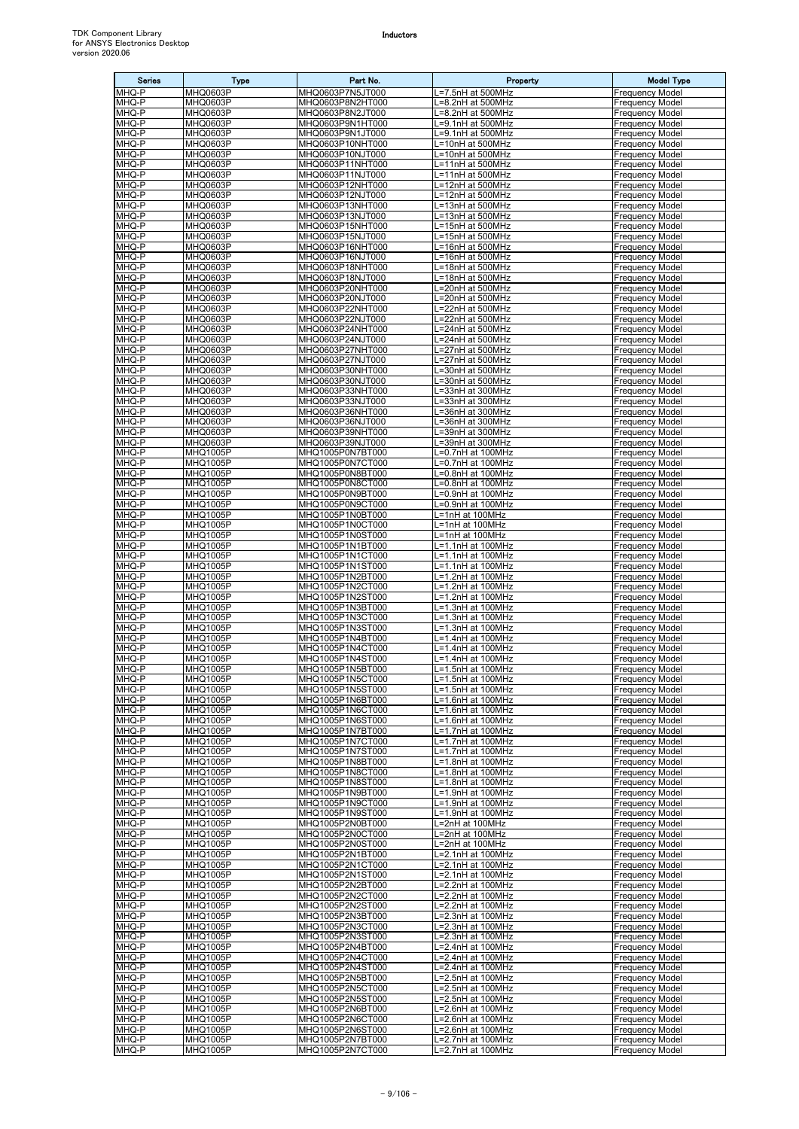| <b>Series</b>  | Type                               | Part No.                             | Property                               | <b>Model Type</b>                                |
|----------------|------------------------------------|--------------------------------------|----------------------------------------|--------------------------------------------------|
| MHQ-P          | MHQ0603P                           | MHQ0603P7N5JT000                     | L=7.5nH at 500MHz                      | <b>Frequency Model</b>                           |
| MHQ-P<br>MHQ-P | MHQ0603P<br>MHQ0603P               | MHQ0603P8N2HT000<br>MHQ0603P8N2JT000 | L=8.2nH at 500MHz<br>L=8.2nH at 500MHz | <b>Frequency Model</b><br><b>Frequency Model</b> |
| MHQ-P          | MHQ0603P                           | MHQ0603P9N1HT000                     | L=9.1nH at 500MHz                      | <b>Frequency Model</b>                           |
| MHQ-P          | MHQ0603P                           | MHQ0603P9N1JT000                     | L=9.1nH at 500MHz                      | <b>Frequency Model</b>                           |
| MHQ-P<br>MHQ-P | MHQ0603P<br>MHQ0603P               | MHQ0603P10NHT000<br>MHQ0603P10NJT000 | L=10nH at 500MHz<br>L=10nH at 500MHz   | <b>Frequency Model</b><br>Frequency Model        |
| MHQ-P          | MHQ0603P                           | MHQ0603P11NHT000                     | L=11nH at 500MHz                       | <b>Frequency Model</b>                           |
| MHQ-P          | MHQ0603P                           | MHQ0603P11NJT000                     | L=11nH at 500MHz                       | <b>Frequency Model</b>                           |
| MHQ-P          | MHQ0603P                           | MHQ0603P12NHT000                     | L=12nH at 500MHz                       | <b>Frequency Model</b>                           |
| MHQ-P<br>MHQ-P | MHQ0603P<br>MHQ0603P               | MHQ0603P12NJT000<br>MHQ0603P13NHT000 | L=12nH at 500MHz<br>L=13nH at 500MHz   | <b>Frequency Model</b><br><b>Frequency Model</b> |
| MHQ-P          | MHQ0603P                           | MHQ0603P13NJT000                     | L=13nH at 500MHz                       | Frequency Model                                  |
| MHQ-P          | MHQ0603P                           | MHQ0603P15NHT000                     | L=15nH at 500MHz                       | <b>Frequency Model</b>                           |
| MHQ-P          | MHQ0603P                           | MHQ0603P15NJT000                     | L=15nH at 500MHz                       | <b>Frequency Model</b>                           |
| MHQ-P<br>MHQ-P | MHQ0603P<br>MHQ0603P               | MHQ0603P16NHT000<br>MHQ0603P16NJT000 | L=16nH at 500MHz<br>L=16nH at 500MHz   | <b>Frequency Model</b><br>Frequency Model        |
| MHQ-P          | MHQ0603P                           | MHQ0603P18NHT000                     | L=18nH at 500MHz                       | <b>Frequency Model</b>                           |
| MHQ-P          | MHQ0603P                           | MHQ0603P18NJT000                     | L=18nH at 500MHz                       | <b>Frequency Model</b>                           |
| MHQ-P<br>MHQ-P | MHQ0603P<br>MHQ0603P               | MHQ0603P20NHT000<br>MHQ0603P20NJT000 | L=20nH at 500MHz<br>L=20nH at 500MHz   | <b>Frequency Model</b><br><b>Frequency Model</b> |
| MHQ-P          | MHQ0603P                           | MHQ0603P22NHT000                     | L=22nH at 500MHz                       | <b>Frequency Model</b>                           |
| MHQ-P          | MHQ0603P                           | MHQ0603P22NJT000                     | L=22nH at 500MHz                       | <b>Frequency Model</b>                           |
| MHQ-P          | MHQ0603P                           | MHQ0603P24NHT000                     | L=24nH at 500MHz                       | Frequency Model                                  |
| MHQ-P<br>MHQ-P | MHQ0603P<br>MHQ0603P               | MHQ0603P24NJT000<br>MHQ0603P27NHT000 | =24nH at 500MHz<br>L=27nH at 500MHz    | <b>Frequency Model</b><br><b>Frequency Model</b> |
| MHQ-P          | MHQ0603P                           | MHQ0603P27NJT000                     | L=27nH at 500MHz                       | <b>Frequency Model</b>                           |
| MHQ-P          | MHQ0603P                           | MHQ0603P30NHT000                     | L=30nH at 500MHz                       | <b>Frequency Model</b>                           |
| MHQ-P          | MHQ0603P                           | MHQ0603P30NJT000                     | L=30nH at 500MHz                       | <b>Frequency Model</b>                           |
| MHQ-P<br>MHQ-P | MHQ0603P<br><b>MHQ0603P</b>        | MHQ0603P33NHT000<br>MHQ0603P33NJT000 | L=33nH at 300MHz<br>L=33nH at 300MHz   | <b>Frequency Model</b><br><b>Frequency Model</b> |
| MHQ-P          | MHQ0603P                           | MHQ0603P36NHT000                     | .=36nH at 300MHz                       | Frequency Model                                  |
| MHQ-P          | MHQ0603P                           | MHQ0603P36NJT000                     | L=36nH at 300MHz                       | <b>Frequency Model</b>                           |
| MHQ-P<br>MHQ-P | MHQ0603P<br>MHQ0603P               | MHQ0603P39NHT000<br>MHQ0603P39NJT000 | L=39nH at 300MHz<br>L=39nH at 300MHz   | <b>Frequency Model</b><br><b>Frequency Model</b> |
| MHQ-P          | MHQ1005P                           | MHQ1005P0N7BT000                     | L=0.7nH at 100MHz                      | <b>Frequency Model</b>                           |
| MHQ-P          | <b>MHQ1005P</b>                    | MHQ1005P0N7CT000                     | L=0.7nH at 100MHz                      | <b>Frequency Model</b>                           |
| MHQ-P          | MHQ1005P                           | MHQ1005P0N8BT000                     | L=0.8nH at 100MHz                      | Frequency Model                                  |
| MHQ-P<br>MHQ-P | MHQ1005P<br>MHQ1005P               | MHQ1005P0N8CT000<br>MHQ1005P0N9BT000 | L=0.8nH at 100MHz<br>L=0.9nH at 100MHz | <b>Frequency Model</b><br><b>Frequency Model</b> |
| MHQ-P          | MHQ1005P                           | MHQ1005P0N9CT000                     | L=0.9nH at 100MHz                      | <b>Frequency Model</b>                           |
| MHQ-P          | MHQ1005P                           | MHQ1005P1N0BT000                     | L=1nH at 100MHz                        | Frequency Model                                  |
| MHQ-P          | MHQ1005P                           | MHQ1005P1N0CT000                     | L=1nH at 100MHz                        | <b>Frequency Model</b>                           |
| MHQ-P<br>MHQ-P | MHQ1005P<br><b>MHQ1005P</b>        | MHQ1005P1N0ST000<br>MHQ1005P1N1BT000 | L=1nH at 100MHz<br>L=1.1nH at 100MHz   | Frequency Model<br><b>Frequency Model</b>        |
| MHQ-P          | <b>MHQ1005P</b>                    | MHQ1005P1N1CT000                     | L=1.1nH at 100 $\overline{\text{MHz}}$ | <b>Frequency Model</b>                           |
| MHQ-P          | MHQ1005P                           | MHQ1005P1N1ST000                     | L=1.1nH at 100MHz                      | <b>Frequency Model</b>                           |
| MHQ-P<br>MHQ-P | MHQ1005P<br>MHQ1005P               | MHQ1005P1N2BT000<br>MHQ1005P1N2CT000 | L=1.2nH at 100MHz<br>L=1.2nH at 100MHz | <b>Frequency Model</b><br><b>Frequency Model</b> |
| MHQ-P          | MHQ1005P                           | MHQ1005P1N2ST000                     | L=1.2nH at 100MHz                      | <b>Frequency Model</b>                           |
| MHQ-P          | <b>MHQ1005P</b>                    | MHQ1005P1N3BT000                     | L=1.3nH at 100MHz                      | <b>Frequency Model</b>                           |
| MHQ-P          | MHQ1005P                           | MHQ1005P1N3CT000                     | L=1.3nH at 100MHz                      | <b>Frequency Model</b>                           |
| MHQ-P<br>MHQ-P | <b>MHQ1005P</b><br>MHQ1005P        | MHQ1005P1N3ST000<br>MHQ1005P1N4BT000 | L=1.3nH at 100MHz<br>L=1.4nH at 100MHz | <b>Frequency Model</b><br><b>Frequency Model</b> |
| MHQ-P          | <b>MHQ1005P</b>                    | MHQ1005P1N4CT000                     | L=1.4nH at 100MHz                      | <b>Frequency Model</b>                           |
| MHQ-P          | MHQ1005P                           | MHQ1005P1N4ST000                     | L=1.4nH at 100MHz                      | <b>Frequency Model</b>                           |
| MHQ-P<br>MHQ-P | <b>MHQ1005P</b><br><b>MHQ1005P</b> | MHQ1005P1N5BT000<br>MHQ1005P1N5CT000 | L=1.5nH at 100MHz<br>L=1.5nH at 100MHz | <b>Frequency Model</b><br><b>Frequency Model</b> |
| MHQ-P          | MHQ1005P                           | MHQ1005P1N5ST000                     | L=1.5nH at 100MHz                      | <b>Frequency Model</b>                           |
| MHQ-P          | <b>MHQ1005P</b>                    | MHQ1005P1N6BT000                     | L=1.6nH at 100MHz                      | <b>Frequency Model</b>                           |
| MHQ-P          | MHQ1005P                           | MHQ1005P1N6CT000                     | L=1.6nH at 100MHz                      | <b>Frequency Model</b>                           |
| MHQ-P<br>MHQ-P | <b>MHQ1005P</b><br>MHQ1005P        | MHQ1005P1N6ST000<br>MHQ1005P1N7BT000 | L=1.6nH at 100MHz<br>L=1.7nH at 100MHz | <b>Frequency Model</b><br><b>Frequency Model</b> |
| MHQ-P          | MHQ1005P                           | MHQ1005P1N7CT000                     | L=1.7nH at 100MHz                      | <b>Frequency Model</b>                           |
| MHQ-P          | <b>MHQ1005P</b>                    | MHQ1005P1N7ST000                     | L=1.7nH at 100MHz                      | <b>Frequency Model</b>                           |
| MHQ-P<br>MHQ-P | <b>MHQ1005P</b><br>MHQ1005P        | MHQ1005P1N8BT000<br>MHQ1005P1N8CT000 | L=1.8nH at 100MHz<br>L=1.8nH at 100MHz | <b>Frequency Model</b><br><b>Frequency Model</b> |
| MHQ-P          | <b>MHQ1005P</b>                    | MHQ1005P1N8ST000                     | L=1.8nH at 100MHz                      | <b>Frequency Model</b>                           |
| MHQ-P          | MHQ1005P                           | MHQ1005P1N9BT000                     | L=1.9nH at 100MHz                      | <b>Frequency Model</b>                           |
| MHQ-P<br>MHQ-P | <b>MHQ1005P</b><br>MHQ1005P        | MHQ1005P1N9CT000<br>MHQ1005P1N9ST000 | L=1.9nH at 100MHz                      | <b>Frequency Model</b><br><b>Frequency Model</b> |
| MHQ-P          | <b>MHQ1005P</b>                    | MHQ1005P2N0BT000                     | L=1.9nH at 100MHz<br>L=2nH at 100MHz   | <b>Frequency Model</b>                           |
| MHQ-P          | MHQ1005P                           | MHQ1005P2N0CT000                     | L=2nH at 100MHz                        | <b>Frequency Model</b>                           |
| MHQ-P          | <b>MHQ1005P</b>                    | MHQ1005P2N0ST000                     | L=2nH at 100MHz                        | <b>Frequency Model</b>                           |
| MHQ-P<br>MHQ-P | MHQ1005P<br>MHQ1005P               | MHQ1005P2N1BT000<br>MHQ1005P2N1CT000 | L=2.1nH at 100MHz<br>L=2.1nH at 100MHz | <b>Frequency Model</b><br><b>Frequency Model</b> |
| MHQ-P          | MHQ1005P                           | MHQ1005P2N1ST000                     | L=2.1nH at 100MHz                      | <b>Frequency Model</b>                           |
| MHQ-P          | <b>MHQ1005P</b>                    | MHQ1005P2N2BT000                     | L=2.2nH at 100MHz                      | <b>Frequency Model</b>                           |
| MHQ-P          | <b>MHQ1005P</b>                    | MHQ1005P2N2CT000                     | L=2.2nH at 100MHz                      | <b>Frequency Model</b>                           |
| MHQ-P<br>MHQ-P | <b>MHQ1005P</b><br>MHQ1005P        | MHQ1005P2N2ST000<br>MHQ1005P2N3BT000 | L=2.2nH at 100MHz<br>L=2.3nH at 100MHz | <b>Frequency Model</b><br><b>Frequency Model</b> |
| MHQ-P          | <b>MHQ1005P</b>                    | MHQ1005P2N3CT000                     | L=2.3nH at 100MHz                      | <b>Frequency Model</b>                           |
| MHQ-P          | MHQ1005P                           | MHQ1005P2N3ST000                     | L=2.3nH at 100MHz                      | <b>Frequency Model</b>                           |
| MHQ-P<br>MHQ-P | MHQ1005P<br>MHQ1005P               | MHQ1005P2N4BT000<br>MHQ1005P2N4CT000 | L=2.4nH at 100MHz<br>L=2.4nH at 100MHz | <b>Frequency Model</b><br><b>Frequency Model</b> |
| MHQ-P          | <b>MHQ1005P</b>                    | MHQ1005P2N4ST000                     | L=2.4nH at 100MHz                      | <b>Frequency Model</b>                           |
| MHQ-P          | <b>MHQ1005P</b>                    | MHQ1005P2N5BT000                     | L=2.5nH at 100MHz                      | <b>Frequency Model</b>                           |
| MHQ-P<br>MHQ-P | <b>MHQ1005P</b><br>MHQ1005P        | MHQ1005P2N5CT000                     | L=2.5nH at 100MHz<br>L=2.5nH at 100MHz | <b>Frequency Model</b><br><b>Frequency Model</b> |
| MHQ-P          | <b>MHQ1005P</b>                    | MHQ1005P2N5ST000<br>MHQ1005P2N6BT000 | L=2.6nH at 100MHz                      | <b>Frequency Model</b>                           |
| MHQ-P          | MHQ1005P                           | MHQ1005P2N6CT000                     | L=2.6nH at 100MHz                      | <b>Frequency Model</b>                           |
| MHQ-P          | MHQ1005P                           | MHQ1005P2N6ST000                     | L=2.6nH at 100MHz                      | <b>Frequency Model</b>                           |
| MHQ-P<br>MHQ-P | MHQ1005P<br>MHQ1005P               | MHQ1005P2N7BT000<br>MHQ1005P2N7CT000 | L=2.7nH at 100MHz<br>L=2.7nH at 100MHz | <b>Frequency Model</b><br><b>Frequency Model</b> |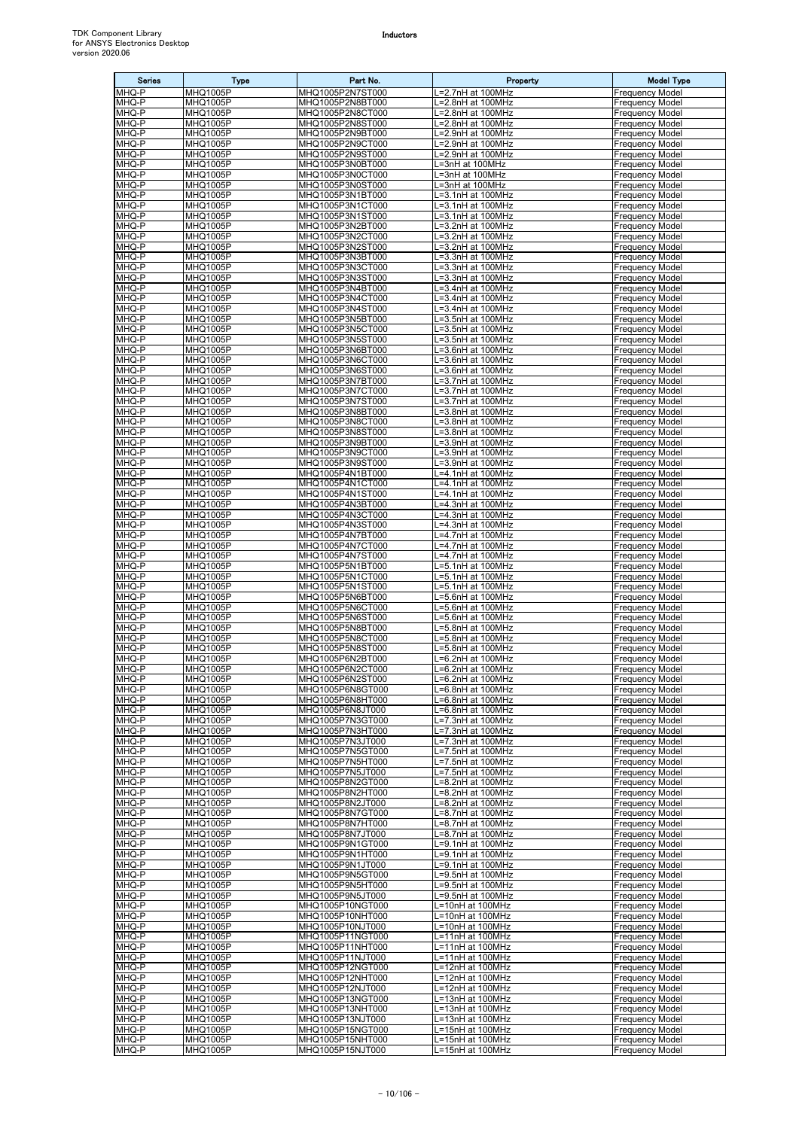| <b>Series</b>  | <b>Type</b>                        | Part No.                             | Property                                    | <b>Model Type</b>                                |
|----------------|------------------------------------|--------------------------------------|---------------------------------------------|--------------------------------------------------|
| MHQ-P          | <b>MHQ1005P</b>                    | MHQ1005P2N7ST000                     | _=2.7nH at 100MHz                           | <b>Frequency Model</b>                           |
| MHQ-P<br>MHQ-P | MHQ1005P<br>MHQ1005P               | MHQ1005P2N8BT000<br>MHQ1005P2N8CT000 | =2.8nH at 100MHz<br>_=2.8nH at 100MHz       | <b>Frequency Model</b><br>Frequency Model        |
| MHQ-P          | <b>MHQ1005P</b>                    | MHQ1005P2N8ST000                     | L=2.8nH at 100MHz                           | <b>Frequency Model</b>                           |
| MHQ-P          | MHQ1005P                           | MHQ1005P2N9BT000                     | L=2.9nH at 100MHz                           | Frequency Model                                  |
| MHQ-P          | MHQ1005P                           | MHQ1005P2N9CT000                     | =2.9nH at 100MHz                            | Frequency Model                                  |
| MHQ-P<br>MHQ-P | MHQ1005P<br>MHQ1005P               | MHQ1005P2N9ST000<br>MHQ1005P3N0BT000 | =2.9nH at 100MHz<br>L=3nH at 100MHz         | Frequency Model<br>Frequency Model               |
| MHQ-P          | MHQ1005P                           | MHQ1005P3N0CT000                     | .=3nH at 100MHz                             | Frequency Model                                  |
| MHQ-P          | MHQ1005P                           | MHQ1005P3N0ST000                     | =3nH at 100MHz                              | Frequency Model                                  |
| MHQ-P          | MHQ1005P                           | MHQ1005P3N1BT000                     | L=3.1nH at 100MHz                           | Frequency Model                                  |
| MHQ-P<br>MHQ-P | MHQ1005P<br>MHQ1005P               | MHQ1005P3N1CT000<br>MHQ1005P3N1ST000 | L=3.1nH at 100MHz<br>L=3.1nH at 100MHz      | <b>Frequency Model</b><br>Frequency Model        |
| MHQ-P          | <b>MHQ1005P</b>                    | MHQ1005P3N2BT000                     | =3.2nH at 100MHz                            | Frequency Model                                  |
| MHQ-P          | MHQ1005P                           | MHQ1005P3N2CT000                     | L=3.2nH at 100MHz                           | Frequency Model                                  |
| MHQ-P          | MHQ1005P                           | MHQ1005P3N2ST000                     | =3.2nH at 100MHz                            | <b>Frequency Model</b>                           |
| MHQ-P<br>MHQ-P | <b>MHQ1005P</b><br>MHQ1005P        | MHQ1005P3N3BT000<br>MHQ1005P3N3CT000 | _=3.3nH at 100MHz<br>.=3.3nH at 100MHz      | Frequency Model<br>Frequency Model               |
| MHQ-P          | MHQ1005P                           | MHQ1005P3N3ST000                     | L=3.3nH at 100MHz                           | Frequency Model                                  |
| MHQ-P          | MHQ1005P                           | MHQ1005P3N4BT000                     | L=3.4nH at 100MHz                           | <b>Frequency Model</b>                           |
| MHQ-P          | <b>MHQ1005P</b>                    | MHQ1005P3N4CT000                     | $L = 3.4$ nH at 100 $\overline{\text{MHz}}$ | Frequency Model                                  |
| MHQ-P<br>MHQ-P | MHQ1005P<br>MHQ1005P               | MHQ1005P3N4ST000<br>MHQ1005P3N5BT000 | L=3.4nH at 100MHz<br>.=3.5nH at 100MHz      | Frequency Model<br>Frequency Model               |
| MHQ-P          | MHQ1005P                           | MHQ1005P3N5CT000                     | .=3.5nH at 100MHz                           | Frequency Model                                  |
| MHQ-P          | <b>MHQ1005P</b>                    | MHQ1005P3N5ST000                     | =3.5nH at 100MHz                            | Frequency Model                                  |
| MHQ-P          | MHQ1005P                           | MHQ1005P3N6BT000                     | L=3.6nH at 100MHz                           | Frequency Model                                  |
| MHQ-P<br>MHQ-P | MHQ1005P<br>MHQ1005P               | MHQ1005P3N6CT000<br>MHQ1005P3N6ST000 | L=3.6nH at 100MHz<br>.=3.6nH at 100MHz      | <b>Frequency Model</b><br>Frequency Model        |
| MHQ-P          | MHQ1005P                           | MHQ1005P3N7BT000                     | L=3.7nH at 100MHz                           | <b>Frequency Model</b>                           |
| MHQ-P          | MHQ1005P                           | MHQ1005P3N7CT000                     | L=3.7nH at 100MHz                           | Frequency Model                                  |
| MHQ-P<br>MHQ-P | <b>MHQ1005P</b><br>MHQ1005P        | MHQ1005P3N7ST000<br>MHQ1005P3N8BT000 | =3.7nH at 100MHz<br>=3.8nH at 100MHz        | Frequency Model                                  |
| MHQ-P          | MHQ1005P                           | MHQ1005P3N8CT000                     | L=3.8nH at 100MHz                           | Frequency Model<br><b>Frequency Model</b>        |
| MHQ-P          | MHQ1005P                           | MHQ1005P3N8ST000                     | -3.8nH at 100MHz                            | Frequency Model                                  |
| MHQ-P          | MHQ1005P                           | MHQ1005P3N9BT000                     | =3.9nH at 100MHz                            | Frequency Model                                  |
| MHQ-P<br>MHQ-P | MHQ1005P<br>MHQ1005P               | MHQ1005P3N9CT000<br>MHQ1005P3N9ST000 | L=3.9nH at 100MHz<br>L=3.9nH at 100MHz      | Frequency Model<br>Frequency Model               |
| MHQ-P          | MHQ1005P                           | MHQ1005P4N1BT000                     | L=4.1nH at 100MHz                           | Frequency Model                                  |
| MHQ-P          | <b>MHQ1005P</b>                    | MHQ1005P4N1CT000                     | .=4.1nH at 100MHz                           | Frequency Model                                  |
| MHQ-P          | MHQ1005P                           | MHQ1005P4N1ST000                     | .=4.1nH at 100MHz                           | Frequency Model                                  |
| MHQ-P<br>MHQ-P | MHQ1005P<br>MHQ1005P               | MHQ1005P4N3BT000<br>MHQ1005P4N3CT000 | .=4.3nH at 100MHz<br>.=4.3nH at 100MHz      | <b>Frequency Model</b><br>Frequency Model        |
| MHQ-P          | MHQ1005P                           | MHQ1005P4N3ST000                     | =4.3nH at 100MHz                            | Frequency Model                                  |
| MHQ-P          | MHQ1005P                           | MHQ1005P4N7BT000                     | .=4.7nH at 100MHz                           | Frequency Model                                  |
| MHQ-P          | <b>MHQ1005P</b>                    | MHQ1005P4N7CT000                     | L=4.7nH at 100MHz                           | Frequency Model                                  |
| MHQ-P<br>MHQ-P | <b>MHQ1005P</b><br>MHQ1005P        | MHQ1005P4N7ST000<br>MHQ1005P5N1BT000 | _=4.7nH at 100MHz<br>=5.1nH at 100MHz       | Frequency Model<br>Frequency Model               |
| MHQ-P          | MHQ1005P                           | MHQ1005P5N1CT000                     | =5.1nH at 100MHz                            | Frequency Model                                  |
| MHQ-P          | MHQ1005P                           | MHQ1005P5N1ST000                     | .=5.1nH at 100MHz                           | Frequency Model                                  |
| MHQ-P          | MHQ1005P<br><b>MHQ1005P</b>        | MHQ1005P5N6BT000                     | .=5.6nH at 100MHz<br>L=5.6nH at 100MHz      | Frequency Model                                  |
| MHQ-P<br>MHQ-P | MHQ1005P                           | MHQ1005P5N6CT000<br>MHQ1005P5N6ST000 | L=5.6nH at 100MHz                           | <b>Frequency Model</b><br>Frequency Model        |
| MHQ-P          | <b>MHQ1005P</b>                    | MHQ1005P5N8BT000                     | -5.8nH at 100MHz                            | <b>Frequency Model</b>                           |
| MHQ-P          | MHQ1005P                           | MHQ1005P5N8CT000                     | L=5.8nH at 100MHz                           | <b>Frequency Model</b>                           |
| MHQ-P<br>MHQ-P | <b>MHQ1005P</b><br><b>MHQ1005P</b> | MHQ1005P5N8ST000<br>MHQ1005P6N2BT000 | =5.8nH at 100MHz<br>.=6.2nH at 100MHz       | <b>Frequency Model</b><br><b>Frequency Model</b> |
| MHQ-P          | <b>MHQ1005P</b>                    | MHQ1005P6N2CT000                     | L=6.2nH at 100MHz                           | <b>Frequency Model</b>                           |
| MHQ-P          | <b>MHQ1005P</b>                    | MHQ1005P6N2ST000                     | L=6.2nH at 100MHz                           | <b>Frequency Model</b>                           |
| MHQ-P          | <b>MHQ1005P</b><br><b>MHQ1005P</b> | MHQ1005P6N8GT000                     | -6.8nH at 100MHz                            | <b>Frequency Model</b>                           |
| MHQ-P<br>MHQ-P | MHQ1005P                           | MHQ1005P6N8HT000<br>MHQ1005P6N8JT000 | _=6.8nH at 100MHz<br>=6.8nH at 100MHz       | <b>Frequency Model</b><br><b>Frequency Model</b> |
| MHQ-P          | <b>MHQ1005P</b>                    | MHQ1005P7N3GT000                     | L=7.3nH at 100MHz                           | <b>Frequency Model</b>                           |
| MHQ-P          | MHQ1005P                           | MHQ1005P7N3HT000                     | L=7.3nH at 100MHz                           | <b>Frequency Model</b>                           |
| MHQ-P<br>MHQ-P | <b>MHQ1005P</b><br>MHQ1005P        | MHQ1005P7N3JT000<br>MHQ1005P7N5GT000 | =7.3nH at 100MHz<br>L=7.5nH at 100MHz       | <b>Frequency Model</b><br><b>Frequency Model</b> |
| MHQ-P          | <b>MHQ1005P</b>                    | MHQ1005P7N5HT000                     | -7.5nH at 100MHz                            | <b>Frequency Model</b>                           |
| MHQ-P          | MHQ1005P                           | MHQ1005P7N5JT000                     | L=7.5nH at 100MHz                           | Frequency Model                                  |
| MHQ-P          | <b>MHQ1005P</b>                    | MHQ1005P8N2GT000                     | =8.2nH at 100MHz                            | <b>Frequency Model</b>                           |
| MHQ-P<br>MHQ-P | MHQ1005P<br><b>MHQ1005P</b>        | MHQ1005P8N2HT000<br>MHQ1005P8N2JT000 | .=8.2nH at 100MHz<br>L=8.2nH at 100MHz      | <b>Frequency Model</b><br><b>Frequency Model</b> |
| MHQ-P          | MHQ1005P                           | MHQ1005P8N7GT000                     | L=8.7nH at 100MHz                           | <b>Frequency Model</b>                           |
| MHQ-P          | <b>MHQ1005P</b>                    | MHQ1005P8N7HT000                     | =8.7nH at 100MHz                            | Frequency Model                                  |
| MHQ-P<br>MHQ-P | MHQ1005P<br>MHQ1005P               | MHQ1005P8N7JT000<br>MHQ1005P9N1GT000 | =8.7nH at 100MHz<br>=9.1nH at 100MHz        | <b>Frequency Model</b><br>Frequency Model        |
| MHQ-P          | MHQ1005P                           | MHQ1005P9N1HT000                     | _=9.1nH at 100MHz                           | Frequency Model                                  |
| MHQ-P          | MHQ1005P                           | MHQ1005P9N1JT000                     | L=9.1nH at 100MHz                           | <b>Frequency Model</b>                           |
| MHQ-P          | MHQ1005P                           | MHQ1005P9N5GT000                     | L=9.5nH at 100MHz                           | <b>Frequency Model</b>                           |
| MHQ-P<br>MHQ-P | <b>MHQ1005P</b><br>MHQ1005P        | MHQ1005P9N5HT000<br>MHQ1005P9N5JT000 | L=9.5nH at 100MHz<br>L=9.5nH at 100MHz      | <b>Frequency Model</b><br><b>Frequency Model</b> |
| MHQ-P          | <b>MHQ1005P</b>                    | MHQ1005P10NGT000                     | L=10nH at 100MHz                            | <b>Frequency Model</b>                           |
| MHQ-P          | MHQ1005P                           | MHQ1005P10NHT000                     | .=10nH at 100MHz                            | Frequency Model                                  |
| MHQ-P<br>MHQ-P | <b>MHQ1005P</b><br>MHQ1005P        | MHQ1005P10NJT000<br>MHQ1005P11NGT000 | L=10nH at 100MHz                            | <b>Frequency Model</b><br>Frequency Model        |
| MHQ-P          | MHQ1005P                           | MHQ1005P11NHT000                     | L=11nH at 100MHz<br>L=11nH at 100MHz        | <b>Frequency Model</b>                           |
| MHQ-P          | MHQ1005P                           | MHQ1005P11NJT000                     | L=11nH at 100MHz                            | Frequency Model                                  |
| MHQ-P          | <b>MHQ1005P</b>                    | MHQ1005P12NGT000                     | L=12nH at 100MHz                            | <b>Frequency Model</b>                           |
| MHQ-P<br>MHQ-P | <b>MHQ1005P</b><br><b>MHQ1005P</b> | MHQ1005P12NHT000<br>MHQ1005P12NJT000 | L=12nH at 100MHz<br>L=12nH at 100MHz        | <b>Frequency Model</b><br><b>Frequency Model</b> |
| MHQ-P          | <b>MHQ1005P</b>                    | MHQ1005P13NGT000                     | =13nH at 100MHz                             | <b>Frequency Model</b>                           |
| MHQ-P          | MHQ1005P                           | MHQ1005P13NHT000                     | L=13nH at 100MHz                            | <b>Frequency Model</b>                           |
| MHQ-P          | <b>MHQ1005P</b>                    | MHQ1005P13NJT000                     | L=13nH at 100MHz                            | <b>Frequency Model</b>                           |
| MHQ-P<br>MHQ-P | MHQ1005P<br><b>MHQ1005P</b>        | MHQ1005P15NGT000<br>MHQ1005P15NHT000 | L=15nH at 100MHz<br>L=15nH at 100MHz        | <b>Frequency Model</b><br><b>Frequency Model</b> |
| MHQ-P          | MHQ1005P                           | MHQ1005P15NJT000                     | L=15nH at 100MHz                            | <b>Frequency Model</b>                           |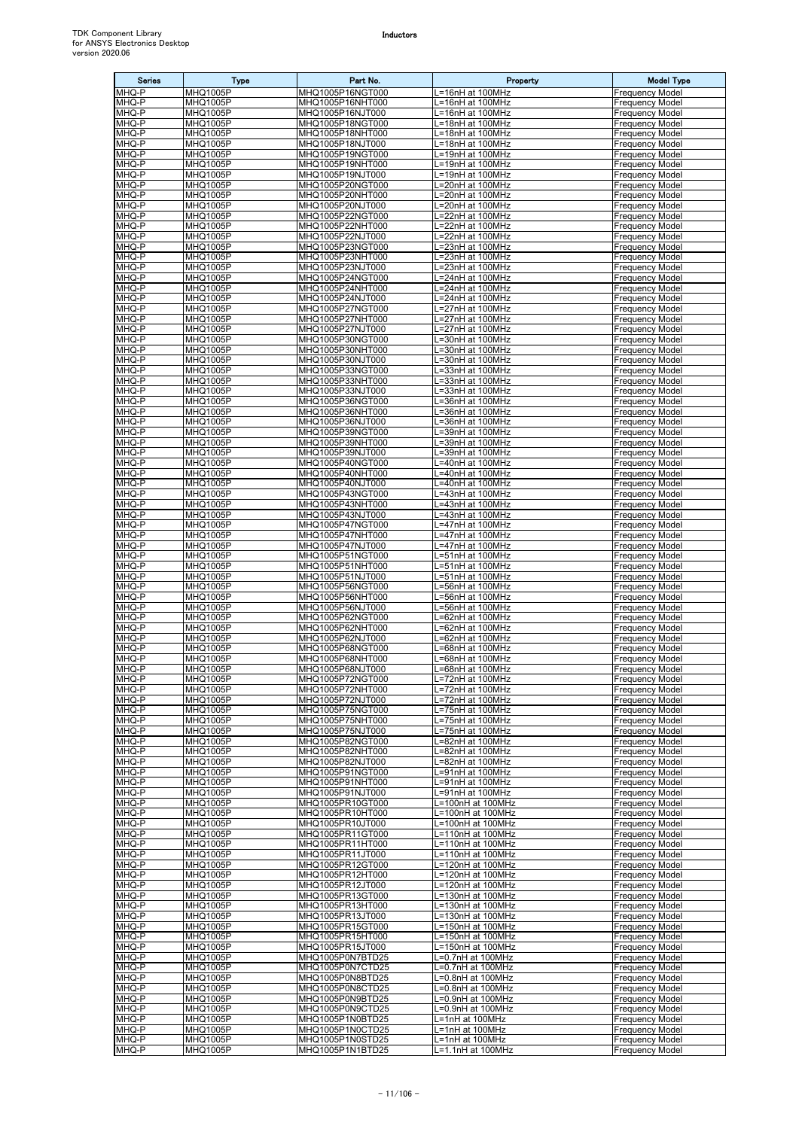| <b>Series</b>  | <b>Type</b>                        | Part No.                             | Property                                 | <b>Model Type</b>                                |
|----------------|------------------------------------|--------------------------------------|------------------------------------------|--------------------------------------------------|
| MHQ-P          | <b>MHQ1005P</b>                    | MHQ1005P16NGT000                     | L=16nH at 100MHz                         | <b>Frequency Model</b>                           |
| MHQ-P<br>MHQ-P | MHQ1005P<br>MHQ1005P               | MHQ1005P16NHT000<br>MHQ1005P16NJT000 | L=16nH at 100MHz<br>L=16nH at 100MHz     | <b>Frequency Model</b><br>Frequency Model        |
| MHQ-P          | <b>MHQ1005P</b>                    | MHQ1005P18NGT000                     | L=18nH at 100MHz                         | <b>Frequency Model</b>                           |
| MHQ-P          | MHQ1005P                           | MHQ1005P18NHT000                     | L=18nH at 100MHz                         | Frequency Model                                  |
| MHQ-P          | MHQ1005P                           | MHQ1005P18NJT000                     | =18nH at 100MHz                          | Frequency Model                                  |
| MHQ-P<br>MHQ-P | MHQ1005P<br>MHQ1005P               | MHQ1005P19NGT000<br>MHQ1005P19NHT000 | =19nH at 100MHz<br>L=19nH at 100MHz      | Frequency Model<br>Frequency Model               |
| MHQ-P          | MHQ1005P                           | MHQ1005P19NJT000                     | L=19nH at 100MHz                         | Frequency Model                                  |
| MHQ-P          | MHQ1005P                           | MHQ1005P20NGT000                     | L=20nH at 100MHz                         | Frequency Model                                  |
| MHQ-P          | MHQ1005P                           | MHQ1005P20NHT000                     | L=20nH at 100MHz                         | Frequency Model                                  |
| MHQ-P<br>MHQ-P | MHQ1005P<br>MHQ1005P               | MHQ1005P20NJT000<br>MHQ1005P22NGT000 | L=20nH at 100MHz<br>L=22nH at 100MHz     | <b>Frequency Model</b><br>Frequency Model        |
| MHQ-P          | <b>MHQ1005P</b>                    | MHQ1005P22NHT000                     | =22nH at 100MHz                          | Frequency Model                                  |
| MHQ-P          | MHQ1005P                           | MHQ1005P22NJT000                     | L=22nH at 100MHz                         | Frequency Model                                  |
| MHQ-P          | MHQ1005P                           | MHQ1005P23NGT000                     | =23nH at 100MHz                          | <b>Frequency Model</b>                           |
| MHQ-P<br>MHQ-P | MHQ1005P<br>MHQ1005P               | MHQ1005P23NHT000<br>MHQ1005P23NJT000 | _=23nH at 100MHz<br>=23nH at 100MHz      | Frequency Model<br>Frequency Model               |
| MHQ-P          | MHQ1005P                           | MHQ1005P24NGT000                     | L=24nH at 100MHz                         | Frequency Model                                  |
| MHQ-P          | MHQ1005P                           | MHQ1005P24NHT000                     | L=24nH at 100MHz                         | <b>Frequency Model</b>                           |
| MHQ-P          | <b>MHQ1005P</b>                    | MHQ1005P24NJT000                     | L=24nH at 100MHz                         | Frequency Model                                  |
| MHQ-P<br>MHQ-P | MHQ1005P<br><b>MHQ1005P</b>        | MHQ1005P27NGT000<br>MHQ1005P27NHT000 | L=27nH at 100MHz<br>_=27nH at 100MHz     | Frequency Model<br>Frequency Model               |
| MHQ-P          | MHQ1005P                           | MHQ1005P27NJT000                     | =27nH at 100MHz                          | <b>Frequency Model</b>                           |
| MHQ-P          | <b>MHQ1005P</b>                    | MHQ1005P30NGT000                     | =30nH at 100MHz                          | Frequency Model                                  |
| MHQ-P          | MHQ1005P                           | MHQ1005P30NHT000                     | L=30nH at 100MHz                         | Frequency Model<br><b>Frequency Model</b>        |
| MHQ-P<br>MHQ-P | MHQ1005P<br>MHQ1005P               | MHQ1005P30NJT000<br>MHQ1005P33NGT000 | =30nH at 100MHz<br>.=33nH at 100MHz      | Frequency Model                                  |
| MHQ-P          | MHQ1005P                           | MHQ1005P33NHT000                     | L=33nH at 100MHz                         | <b>Frequency Model</b>                           |
| MHQ-P          | MHQ1005P                           | MHQ1005P33NJT000                     | L=33nH at 100MHz                         | Frequency Model                                  |
| MHQ-P          | <b>MHQ1005P</b>                    | MHQ1005P36NGT000                     | .=36nH at 100MHz                         | Frequency Model<br><b>Frequency Model</b>        |
| MHQ-P<br>MHQ-P | MHQ1005P<br>MHQ1005P               | MHQ1005P36NHT000<br>MHQ1005P36NJT000 | =36nH at 100MHz<br>=36nH at 100MHz       | <b>Frequency Model</b>                           |
| MHQ-P          | MHQ1005P                           | MHQ1005P39NGT000                     | .=39nH at 100MHz                         | Frequency Model                                  |
| MHQ-P          | MHQ1005P                           | MHQ1005P39NHT000                     | =39nH at 100MHz                          | Frequency Model                                  |
| MHQ-P          | MHQ1005P                           | MHQ1005P39NJT000                     | =39nH at 100MHz                          | Frequency Model                                  |
| MHQ-P<br>MHQ-P | MHQ1005P<br>MHQ1005P               | MHQ1005P40NGT000<br>MHQ1005P40NHT000 | L=40nH at 100MHz<br>L=40nH at 100MHz     | Frequency Model<br>Frequency Model               |
| MHQ-P          | <b>MHQ1005P</b>                    | MHQ1005P40NJT000                     | .=40nH at 100MHz                         | Frequency Model                                  |
| MHQ-P          | MHQ1005P                           | MHQ1005P43NGT000                     | $\overline{=43}$ nH at 100MHz            | Frequency Model                                  |
| MHQ-P<br>MHQ-P | MHQ1005P                           | MHQ1005P43NHT000                     | .=43nH at 100MHz                         | <b>Frequency Model</b>                           |
| MHQ-P          | MHQ1005P<br>MHQ1005P               | MHQ1005P43NJT000<br>MHQ1005P47NGT000 | .=43nH at 100MHz<br>.=47nH at 100MHz     | Frequency Model<br>Frequency Model               |
| MHQ-P          | MHQ1005P                           | MHQ1005P47NHT000                     | .=47nH at 100MHz                         | Frequency Model                                  |
| MHQ-P          | <b>MHQ1005P</b>                    | MHQ1005P47NJT000                     | L=47nH at 100MHz                         | Frequency Model                                  |
| MHQ-P<br>MHQ-P | MHQ1005P                           | MHQ1005P51NGT000<br>MHQ1005P51NHT000 | $= 51$ nH at 100 $\overline{\text{MHz}}$ | Frequency Model                                  |
| MHQ-P          | MHQ1005P<br>MHQ1005P               | MHQ1005P51NJT000                     | =51nH at 100MHz<br>=51nH at 100MHz       | Frequency Model<br>Frequency Model               |
| MHQ-P          | MHQ1005P                           | MHQ1005P56NGT000                     | =56nH at 100MHz                          | Frequency Model                                  |
| MHQ-P          | MHQ1005P                           | MHQ1005P56NHT000                     | .=56nH at 100MHz                         | <b>Frequency Model</b>                           |
| MHQ-P<br>MHQ-P | <b>MHQ1005P</b><br>MHQ1005P        | MHQ1005P56NJT000<br>MHQ1005P62NGT000 | L=56nH at 100MHz<br>=62nH at 100MHz      | <b>Frequency Model</b><br>Frequency Model        |
| MHQ-P          | <b>MHQ1005P</b>                    | MHQ1005P62NHT000                     | =62nH at 100MHz                          | <b>Frequency Model</b>                           |
| MHQ-P          | MHQ1005P                           | MHQ1005P62NJT000                     | L=62nH at 100MHz                         | <b>Frequency Model</b>                           |
| MHQ-P          | <b>MHQ1005P</b>                    | MHQ1005P68NGT000                     | =68nH at 100MHz                          | <b>Frequency Model</b>                           |
| MHQ-P<br>MHQ-P | <b>MHQ1005P</b><br><b>MHQ1005P</b> | MHQ1005P68NHT000<br>MHQ1005P68NJT000 | =68nH at 100MHz<br>L=68nH at 100MHz      | <b>Frequency Model</b><br><b>Frequency Model</b> |
| MHQ-P          | <b>MHQ1005P</b>                    | MHQ1005P72NGT000                     | L=72nH at 100MHz                         | <b>Frequency Model</b>                           |
| MHQ-P          | <b>MHQ1005P</b>                    | MHQ1005P72NHT000                     | L=72nH at 100MHz                         | <b>Frequency Model</b>                           |
| MHQ-P          | <b>MHQ1005P</b>                    | MHQ1005P72NJT000                     | L=72nH at 100MHz                         | <b>Frequency Model</b>                           |
| MHQ-P<br>MHQ-P | MHQ1005P<br><b>MHQ1005P</b>        | MHQ1005P75NGT000<br>MHQ1005P75NHT000 | L=75nH at 100MHz<br>L=75nH at 100MHz     | <b>Frequency Model</b><br><b>Frequency Model</b> |
| MHQ-P          | MHQ1005P                           | MHQ1005P75NJT000                     | L=75nH at 100MHz                         | <b>Frequency Model</b>                           |
| MHQ-P          | <b>MHQ1005P</b>                    | MHQ1005P82NGT000                     | =82nH at 100MHz                          | <b>Frequency Model</b>                           |
| MHQ-P<br>MHQ-P | MHQ1005P<br><b>MHQ1005P</b>        | MHQ1005P82NHT000                     | =82nH at 100MHz<br>=82nH at 100MHz       | <b>Frequency Model</b><br><b>Frequency Model</b> |
| MHQ-P          | MHQ1005P                           | MHQ1005P82NJT000<br>MHQ1005P91NGT000 | =91nH at 100MHz                          | Frequency Model                                  |
| MHQ-P          | <b>MHQ1005P</b>                    | MHQ1005P91NHT000                     | =91nH at 100MHz                          | <b>Frequency Model</b>                           |
| MHQ-P          | MHQ1005P                           | MHQ1005P91NJT000                     | =91nH at 100MHz                          | <b>Frequency Model</b>                           |
| MHQ-P<br>MHQ-P | MHQ1005P<br>MHQ1005P               | MHQ1005PR10GT000<br>MHQ1005PR10HT000 | L=100nH at 100MHz<br>L=100nH at 100MHz   | <b>Frequency Model</b><br><b>Frequency Model</b> |
| MHQ-P          | <b>MHQ1005P</b>                    | MHQ1005PR10JT000                     | L=100nH at 100MHz                        | Frequency Model                                  |
| MHQ-P          | MHQ1005P                           | MHQ1005PR11GT000                     | =110nH at 100MHz                         | <b>Frequency Model</b>                           |
| MHQ-P          | MHQ1005P                           | MHQ1005PR11HT000                     | L=110nH at 100MHz                        | Frequency Model                                  |
| MHQ-P<br>MHQ-P | MHQ1005P<br>MHQ1005P               | MHQ1005PR11JT000<br>MHQ1005PR12GT000 | L=110nH at 100MHz<br>L=120nH at 100MHz   | Frequency Model<br><b>Frequency Model</b>        |
| MHQ-P          | MHQ1005P                           | MHQ1005PR12HT000                     | L=120nH at 100MHz                        | <b>Frequency Model</b>                           |
| MHQ-P          | <b>MHQ1005P</b>                    | MHQ1005PR12JT000                     | L=120nH at 100MHz                        | <b>Frequency Model</b>                           |
| MHQ-P          | MHQ1005P                           | MHQ1005PR13GT000                     | L=130nH at 100MHz                        | <b>Frequency Model</b>                           |
| MHQ-P<br>MHQ-P | MHQ1005P<br>MHQ1005P               | MHQ1005PR13HT000<br>MHQ1005PR13JT000 | L=130nH at 100MHz<br>_=130nH at 100MHz   | <b>Frequency Model</b><br>Frequency Model        |
| MHQ-P          | <b>MHQ1005P</b>                    | MHQ1005PR15GT000                     | L=150nH at 100MHz                        | <b>Frequency Model</b>                           |
| MHQ-P          | MHQ1005P                           | MHQ1005PR15HT000                     | L=150nH at 100MHz                        | Frequency Model                                  |
| MHQ-P          | MHQ1005P                           | MHQ1005PR15JT000                     | L=150nH at 100MHz                        | <b>Frequency Model</b>                           |
| MHQ-P<br>MHQ-P | MHQ1005P<br><b>MHQ1005P</b>        | MHQ1005P0N7BTD25<br>MHQ1005P0N7CTD25 | =0.7nH at 100MHz<br>L=0.7nH at 100MHz    | Frequency Model<br><b>Frequency Model</b>        |
| MHQ-P          | <b>MHQ1005P</b>                    | MHQ1005P0N8BTD25                     | L=0.8nH at 100MHz                        | <b>Frequency Model</b>                           |
| MHQ-P          | <b>MHQ1005P</b>                    | MHQ1005P0N8CTD25                     | =0.8nH at 100MHz                         | Frequency Model                                  |
| MHQ-P          | <b>MHQ1005P</b>                    | MHQ1005P0N9BTD25                     | =0.9nH at 100MHz                         | <b>Frequency Model</b>                           |
| MHQ-P<br>MHQ-P | MHQ1005P<br><b>MHQ1005P</b>        | MHQ1005P0N9CTD25<br>MHQ1005P1N0BTD25 | L=0.9nH at 100MHz<br>L=1nH at 100MHz     | <b>Frequency Model</b><br><b>Frequency Model</b> |
| MHQ-P          | MHQ1005P                           | MHQ1005P1N0CTD25                     | L=1nH at 100MHz                          | <b>Frequency Model</b>                           |
| MHQ-P          | <b>MHQ1005P</b>                    | MHQ1005P1N0STD25                     | L=1nH at 100MHz                          | <b>Frequency Model</b>                           |
| MHQ-P          | MHQ1005P                           | MHQ1005P1N1BTD25                     | L=1.1nH at 100MHz                        | <b>Frequency Model</b>                           |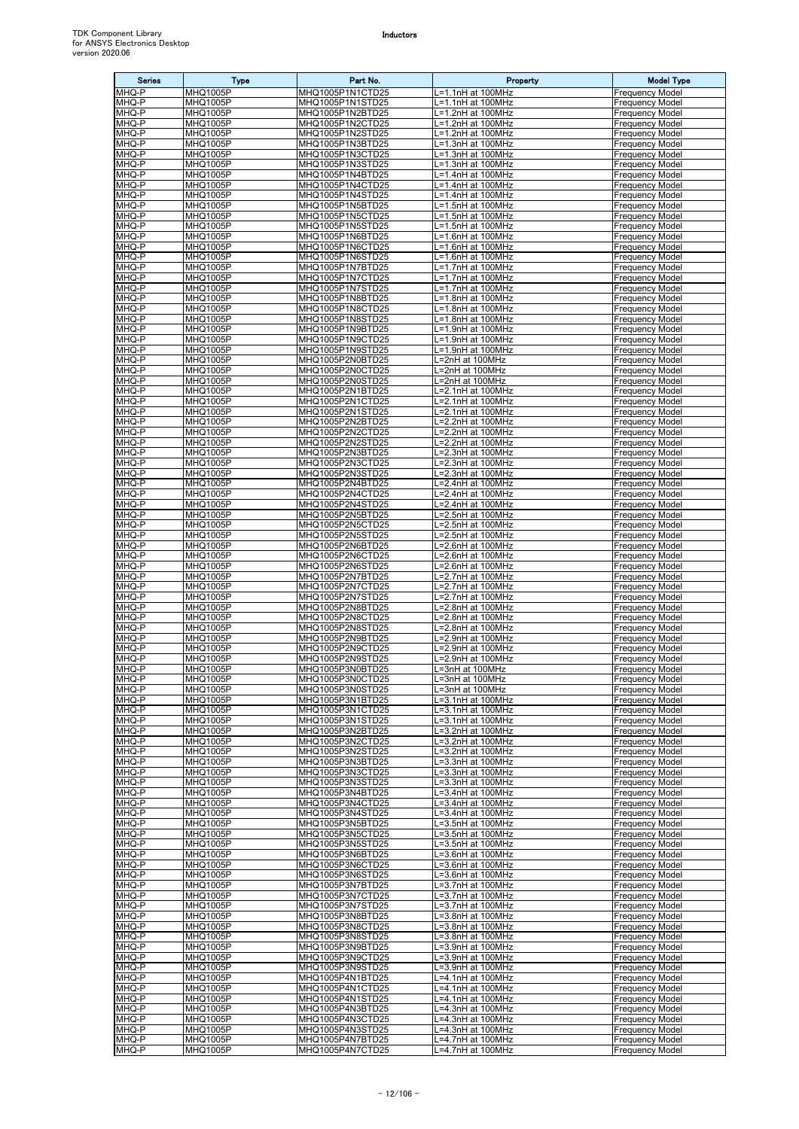| <b>Series</b>  | <b>Type</b>                        | Part No.                             | Property                               | <b>Model Type</b>                                |
|----------------|------------------------------------|--------------------------------------|----------------------------------------|--------------------------------------------------|
| MHQ-P          | MHQ1005P                           | MHQ1005P1N1CTD25                     | -1.1nH at 100MHz                       | <b>Frequency Model</b>                           |
| MHQ-P          | <b>MHQ1005P</b>                    | MHQ1005P1N1STD25                     | L=1.1nH at 100MHz                      | <b>Frequency Model</b>                           |
| MHQ-P<br>MHQ-P | <b>MHQ1005P</b><br>MHQ1005P        | MHQ1005P1N2BTD25<br>MHQ1005P1N2CTD25 | L=1.2nH at 100MHz<br>L=1.2nH at 100MHz | <b>Frequency Model</b><br><b>Frequency Model</b> |
| MHQ-P          | MHQ1005P                           | MHQ1005P1N2STD25                     | .=1.2nH at 100MHz                      | <b>Frequency Model</b>                           |
| MHQ-P          | <b>MHQ1005P</b>                    | MHQ1005P1N3BTD25                     | -1.3nH at 100MHz                       | <b>Frequency Model</b>                           |
| MHQ-P          | MHQ1005P                           | MHQ1005P1N3CTD25                     | _=1.3nH at 100MHz                      | <b>Frequency Model</b>                           |
| MHQ-P          | MHQ1005P                           | MHQ1005P1N3STD25                     | L=1.3nH at 100MHz                      | <b>Frequency Model</b>                           |
| MHQ-P<br>MHQ-P | MHQ1005P<br>MHQ1005P               | MHQ1005P1N4BTD25<br>MHQ1005P1N4CTD25 | L=1.4nH at 100MHz<br>L=1.4nH at 100MHz | <b>Frequency Model</b><br><b>Frequency Model</b> |
| MHQ-P          | MHQ1005P                           | MHQ1005P1N4STD25                     | L=1.4nH at 100MHz                      | <b>Frequency Model</b>                           |
| MHQ-P          | <b>MHQ1005P</b>                    | MHQ1005P1N5BTD25                     | L=1.5nH at 100MHz                      | <b>Frequency Model</b>                           |
| MHQ-P          | MHQ1005P                           | MHQ1005P1N5CTD25                     | .=1.5nH at 100MHz                      | <b>Frequency Model</b>                           |
| MHQ-P          | <b>MHQ1005P</b>                    | MHQ1005P1N5STD25                     | L=1.5nH at 100MHz                      | <b>Frequency Model</b>                           |
| MHQ-P<br>MHQ-P | MHQ1005P<br>MHQ1005P               | MHQ1005P1N6BTD25<br>MHQ1005P1N6CTD25 | L=1.6nH at 100MHz<br>L=1.6nH at 100MHz | <b>Frequency Model</b><br><b>Frequency Model</b> |
| MHQ-P          | MHQ1005P                           | MHQ1005P1N6STD25                     | L=1.6nH at 100MHz                      | <b>Frequency Model</b>                           |
| MHQ-P          | <b>MHQ1005P</b>                    | MHQ1005P1N7BTD25                     | L=1.7nH at 100MHz                      | <b>Frequency Model</b>                           |
| MHQ-P          | MHQ1005P                           | MHQ1005P1N7CTD25                     | L=1.7nH at 100MHz                      | <b>Frequency Model</b>                           |
| MHQ-P<br>MHQ-P | <b>MHQ1005P</b><br><b>MHQ1005P</b> | MHQ1005P1N7STD25<br>MHQ1005P1N8BTD25 | -1.7nH at 100MHz<br>=1.8nH at 100MHz   | <b>Frequency Model</b><br><b>Frequency Model</b> |
| MHQ-P          | MHQ1005P                           | MHQ1005P1N8CTD25                     | L=1.8nH at 100MHz                      | <b>Frequency Model</b>                           |
| MHQ-P          | <b>MHQ1005P</b>                    | MHQ1005P1N8STD25                     | L=1.8nH at 100MHz                      | <b>Frequency Model</b>                           |
| MHQ-P          | MHQ1005P                           | MHQ1005P1N9BTD25                     | L=1.9nH at 100MHz                      | <b>Frequency Model</b>                           |
| MHQ-P          | MHQ1005P                           | MHQ1005P1N9CTD25                     | L=1.9nH at 100MHz                      | <b>Frequency Model</b>                           |
| MHQ-P<br>MHQ-P | MHQ1005P<br><b>MHQ1005P</b>        | MHQ1005P1N9STD25<br>MHQ1005P2N0BTD25 | L=1.9nH at 100MHz<br>L=2nH at 100MHz   | <b>Frequency Model</b><br><b>Frequency Model</b> |
| MHQ-P          | MHQ1005P                           | MHQ1005P2N0CTD25                     | L=2nH at 100MHz                        | <b>Frequency Model</b>                           |
| MHQ-P          | <b>MHQ1005P</b>                    | MHQ1005P2N0STD25                     | L=2nH at 100MHz                        | <b>Frequency Model</b>                           |
| MHQ-P          | MHQ1005P                           | MHQ1005P2N1BTD25                     | .=2.1nH at 100MHz                      | <b>Frequency Model</b>                           |
| MHQ-P<br>MHQ-P | <b>MHQ1005P</b><br><b>MHQ1005P</b> | MHQ1005P2N1CTD25<br>MHQ1005P2N1STD25 | =2.1nH at 100MHz<br>.=2.1nH at 100MHz  | <b>Frequency Model</b><br><b>Frequency Model</b> |
| MHQ-P          | <b>MHQ1005P</b>                    | MHQ1005P2N2BTD25                     | L=2.2nH at 100MHz                      | <b>Frequency Model</b>                           |
| MHQ-P          | MHQ1005P                           | MHQ1005P2N2CTD25                     | L=2.2nH at 100MHz                      | <b>Frequency Model</b>                           |
| MHQ-P          | MHQ1005P                           | MHQ1005P2N2STD25                     | -2.2nH at 100MHz                       | <b>Frequency Model</b>                           |
| MHQ-P<br>MHQ-P | MHQ1005P<br><b>MHQ1005P</b>        | MHQ1005P2N3BTD25<br>MHQ1005P2N3CTD25 | L=2.3nH at 100MHz<br>L=2.3nH at 100MHz | <b>Frequency Model</b><br><b>Frequency Model</b> |
| MHQ-P          | MHQ1005P                           | MHQ1005P2N3STD25                     | .=2.3nH at 100MHz                      | <b>Frequency Model</b>                           |
| MHQ-P          | MHQ1005P                           | MHQ1005P2N4BTD25                     | _=2.4nH at 100MHz                      | <b>Frequency Model</b>                           |
| MHQ-P          | MHQ1005P                           | MHQ1005P2N4CTD25                     | L=2.4nH at 100MHz                      | <b>Frequency Model</b>                           |
| MHQ-P<br>MHQ-P | MHQ1005P<br>MHQ1005P               | MHQ1005P2N4STD25<br>MHQ1005P2N5BTD25 | L=2.4nH at 100MHz<br>.=2.5nH at 100MHz | <b>Frequency Model</b><br><b>Frequency Model</b> |
| MHQ-P          | <b>MHQ1005P</b>                    | MHQ1005P2N5CTD25                     | L=2.5nH at 100MHz                      | <b>Frequency Model</b>                           |
| MHQ-P          | MHQ1005P                           | MHQ1005P2N5STD25                     | L=2.5nH at 100MHz                      | <b>Frequency Model</b>                           |
| MHQ-P          | <b>MHQ1005P</b>                    | MHQ1005P2N6BTD25                     | -2.6nH at 100MHz                       | <b>Frequency Model</b>                           |
| MHQ-P<br>MHQ-P | MHQ1005P<br>MHQ1005P               | MHQ1005P2N6CTD25<br>MHQ1005P2N6STD25 | .=2.6nH at 100MHz<br>L=2.6nH at 100MHz | <b>Frequency Model</b><br><b>Frequency Model</b> |
| MHQ-P          | <b>MHQ1005P</b>                    | MHQ1005P2N7BTD25                     | _=2.7nH at 100MHz                      | <b>Frequency Model</b>                           |
| MHQ-P          | MHQ1005P                           | MHQ1005P2N7CTD25                     | _=2.7nH at 100MHz                      | <b>Frequency Model</b>                           |
| MHQ-P          | <b>MHQ1005P</b>                    | MHQ1005P2N7STD25                     | L=2.7nH at 100MHz                      | <b>Frequency Model</b>                           |
| MHQ-P<br>MHQ-P | MHQ1005P<br>MHQ1005P               | MHQ1005P2N8BTD25<br>MHQ1005P2N8CTD25 | L=2.8nH at 100MHz<br>L=2.8nH at 100MHz | <b>Frequency Model</b><br><b>Frequency Model</b> |
| MHQ-P          | <b>MHQ1005P</b>                    | MHQ1005P2N8STD25                     | =2.8nH at 100MHz                       | <b>Frequency Model</b>                           |
| MHQ-P          | MHQ1005P                           | MHQ1005P2N9BTD25                     | L=2.9nH at 100MHz                      | <b>Frequency Model</b>                           |
| MHQ-P<br>MHQ-P | MHQ1005P<br>MHQ1005P               | MHQ1005P2N9CTD25<br>MHQ1005P2N9STD25 | .=2.9nH at 100MHz<br>L=2.9nH at 100MHz | <b>Frequency Model</b><br><b>Frequency Model</b> |
| MHQ-P          | <b>MHQ1005P</b>                    | MHQ1005P3N0BTD25                     | L=3nH at 100MHz                        | <b>Frequency Model</b>                           |
| MHQ-P          | MHQ1005P                           | MHQ1005P3N0CTD25                     | L=3nH at 100MHz                        | <b>Frequency Model</b>                           |
| MHQ-P          | MHQ1005P                           | MHQ1005P3N0STD25                     | L=3nH at 100MHz                        | <b>Frequency Model</b>                           |
| MHQ-P<br>MHQ-P | <b>MHQ1005P</b><br><b>MHQ1005P</b> | MHQ1005P3N1BTD25<br>MHQ1005P3N1CTD25 | -3.1nH at 100MHz<br>L=3.1nH at 100MHz  | <b>Frequency Model</b><br><b>Frequency Model</b> |
| MHQ-P          | <b>MHQ1005P</b>                    | MHQ1005P3N1STD25                     | -3.1nH at 100MHz                       | <b>Frequency Model</b>                           |
| MHQ-P          | MHQ1005P                           | MHQ1005P3N2BTD25                     | .=3.2nH at 100MHz                      | <b>Frequency Model</b>                           |
| MHQ-P          | <b>MHQ1005P</b>                    | MHQ1005P3N2CTD25                     | =3.2nH at 100MHz                       | <b>Frequency Model</b>                           |
| MHQ-P<br>MHQ-P | MHQ1005P<br><b>MHQ1005P</b>        | MHQ1005P3N2STD25<br>MHQ1005P3N3BTD25 | L=3.2nH at 100MHz<br>L=3.3nH at 100MHz | <b>Frequency Model</b><br><b>Frequency Model</b> |
| MHQ-P          | MHQ1005P                           | MHQ1005P3N3CTD25                     | L=3.3nH at 100MHz                      | <b>Frequency Model</b>                           |
| MHQ-P          | MHQ1005P                           | MHQ1005P3N3STD25                     | L=3.3nH at 100MHz                      | <b>Frequency Model</b>                           |
| MHQ-P<br>MHQ-P | <b>MHQ1005P</b>                    | MHQ1005P3N4BTD25                     | L=3.4nH at 100MHz<br>=3.4nH at 100MHz  | <b>Frequency Model</b>                           |
| MHQ-P          | <b>MHQ1005P</b><br><b>MHQ1005P</b> | MHQ1005P3N4CTD25<br>MHQ1005P3N4STD25 | -3.4nH at 100MHz                       | <b>Frequency Model</b><br><b>Frequency Model</b> |
| MHQ-P          | <b>MHQ1005P</b>                    | MHQ1005P3N5BTD25                     | -3.5nH at 100MHz                       | <b>Frequency Model</b>                           |
| MHQ-P          | <b>MHQ1005P</b>                    | MHQ1005P3N5CTD25                     | L=3.5nH at 100MHz                      | <b>Frequency Model</b>                           |
| MHQ-P<br>MHQ-P | <b>MHQ1005P</b><br><b>MHQ1005P</b> | MHQ1005P3N5STD25<br>MHQ1005P3N6BTD25 | L=3.5nH at 100MHz<br>L=3.6nH at 100MHz | <b>Frequency Model</b><br><b>Frequency Model</b> |
| MHQ-P          | MHQ1005P                           | MHQ1005P3N6CTD25                     | L=3.6nH at 100MHz                      | <b>Frequency Model</b>                           |
| MHQ-P          | MHQ1005P                           | MHQ1005P3N6STD25                     | L=3.6nH at 100MHz                      | <b>Frequency Model</b>                           |
| MHQ-P          | <b>MHQ1005P</b>                    | MHQ1005P3N7BTD25                     | -3.7nH at 100MHz                       | <b>Frequency Model</b>                           |
| MHQ-P<br>MHQ-P | MHQ1005P<br>MHQ1005P               | MHQ1005P3N7CTD25<br>MHQ1005P3N7STD25 | L=3.7nH at 100MHz<br>.=3.7nH at 100MHz | <b>Frequency Model</b><br><b>Frequency Model</b> |
| MHQ-P          | MHQ1005P                           | MHQ1005P3N8BTD25                     | L=3.8nH at 100MHz                      | <b>Frequency Model</b>                           |
| MHQ-P          | <b>MHQ1005P</b>                    | MHQ1005P3N8CTD25                     | L=3.8nH at 100MHz                      | <b>Frequency Model</b>                           |
| MHQ-P          | MHQ1005P                           | MHQ1005P3N8STD25                     | L=3.8nH at 100MHz                      | <b>Frequency Model</b>                           |
| MHQ-P<br>MHQ-P | MHQ1005P<br><b>MHQ1005P</b>        | MHQ1005P3N9BTD25<br>MHQ1005P3N9CTD25 | L=3.9nH at 100MHz<br>L=3.9nH at 100MHz | <b>Frequency Model</b><br><b>Frequency Model</b> |
| MHQ-P          | <b>MHQ1005P</b>                    | MHQ1005P3N9STD25                     | =3.9nH at 100MHz                       | Frequency Model                                  |
| MHQ-P          | <b>MHQ1005P</b>                    | MHQ1005P4N1BTD25                     | .=4.1nH at 100MHz                      | <b>Frequency Model</b>                           |
| MHQ-P          | <b>MHQ1005P</b>                    | MHQ1005P4N1CTD25                     | .=4.1nH at 100MHz                      | <b>Frequency Model</b>                           |
| MHQ-P<br>MHQ-P | MHQ1005P<br><b>MHQ1005P</b>        | MHQ1005P4N1STD25<br>MHQ1005P4N3BTD25 | .=4.1nH at 100MHz<br>L=4.3nH at 100MHz | <b>Frequency Model</b><br><b>Frequency Model</b> |
| MHQ-P          | MHQ1005P                           | MHQ1005P4N3CTD25                     | L=4.3nH at 100MHz                      | <b>Frequency Model</b>                           |
| MHQ-P          | MHQ1005P                           | MHQ1005P4N3STD25                     | L=4.3nH at 100MHz                      | <b>Frequency Model</b>                           |
| MHQ-P<br>MHQ-P | <b>MHQ1005P</b><br><b>MHQ1005P</b> | MHQ1005P4N7BTD25<br>MHQ1005P4N7CTD25 | L=4.7nH at 100MHz<br>L=4.7nH at 100MHz | <b>Frequency Model</b><br><b>Frequency Model</b> |
|                |                                    |                                      |                                        |                                                  |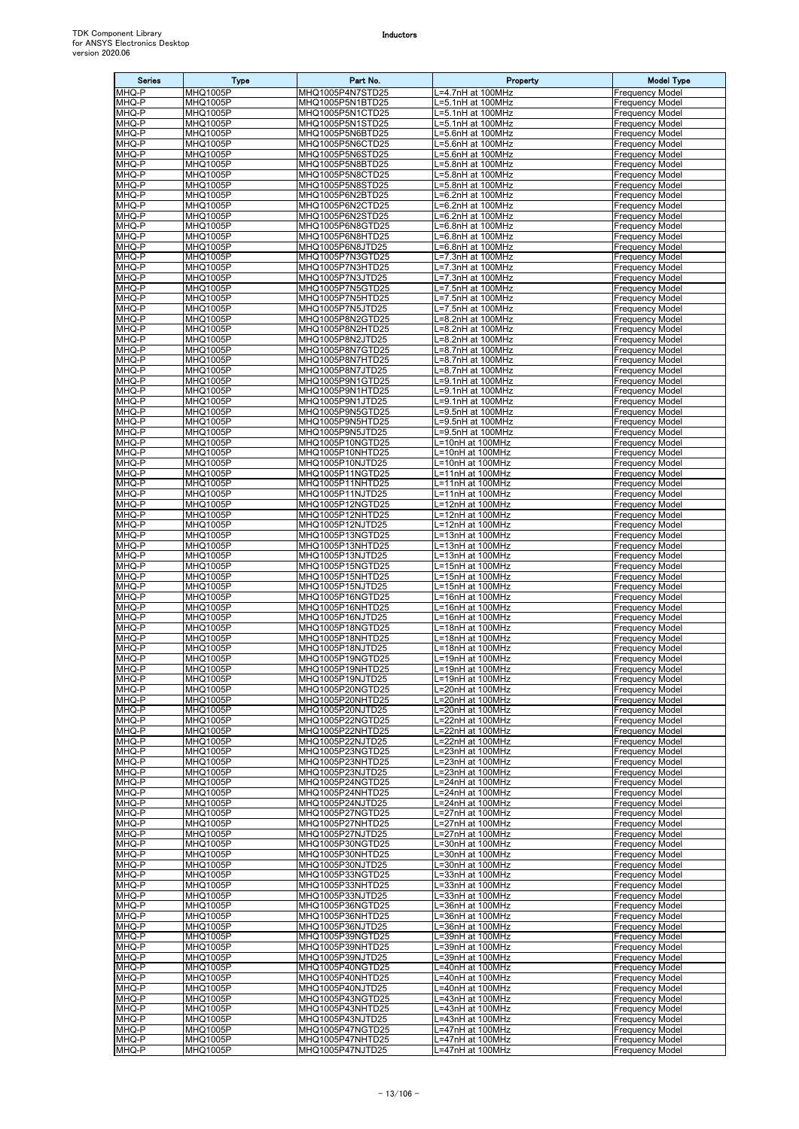| <b>Series</b>  | <b>Type</b>                        | Part No.                             | Property                               | <b>Model Type</b>                                |
|----------------|------------------------------------|--------------------------------------|----------------------------------------|--------------------------------------------------|
| MHQ-P          | MHQ1005P                           | MHQ1005P4N7STD25                     | .=4.7nH at 100MHz                      | Frequency Model                                  |
| MHQ-P<br>MHQ-P | <b>MHQ1005P</b><br><b>MHQ1005P</b> | MHQ1005P5N1BTD25<br>MHQ1005P5N1CTD25 | .=5.1nH at 100MHz<br>_=5.1nH at 100MHz | Frequency Model<br>Frequency Model               |
| MHQ-P          | MHQ1005P                           | MHQ1005P5N1STD25                     | L=5.1nH at 100MHz                      | <b>Frequency Model</b>                           |
| MHQ-P          | MHQ1005P                           | MHQ1005P5N6BTD25                     | =5.6nH at 100MHz                       | Frequency Model                                  |
| MHQ-P          | <b>MHQ1005P</b>                    | MHQ1005P5N6CTD25                     | -5.6nH at 100MHz                       | Frequency Model                                  |
| MHQ-P<br>MHQ-P | MHQ1005P<br><b>MHQ1005P</b>        | MHQ1005P5N6STD25<br>MHQ1005P5N8BTD25 | L=5.6nH at 100MHz<br>.=5.8nH at 100MHz | Frequency Model<br><b>Frequency Model</b>        |
| MHQ-P          | MHQ1005P                           | MHQ1005P5N8CTD25                     | .=5.8nH at 100MHz                      | <b>Frequency Model</b>                           |
| MHQ-P          | <b>MHQ1005P</b>                    | MHQ1005P5N8STD25                     | =5.8nH at 100MHz                       | Frequency Model                                  |
| MHQ-P          | MHQ1005P                           | MHQ1005P6N2BTD25                     | .=6.2nH at 100MHz                      | Frequency Model                                  |
| MHQ-P<br>MHQ-P | <b>MHQ1005P</b><br>MHQ1005P        | MHQ1005P6N2CTD25<br>MHQ1005P6N2STD25 | =6.2nH at 100MHz<br>=6.2nH at 100MHz   | <b>Frequency Model</b><br>Frequency Model        |
| MHQ-P          | <b>MHQ1005P</b>                    | MHQ1005P6N8GTD25                     | L=6.8nH at 100MHz                      | <b>Frequency Model</b>                           |
| MHQ-P          | <b>MHQ1005P</b>                    | MHQ1005P6N8HTD25                     | L=6.8nH at 100MHz                      | <b>Frequency Model</b>                           |
| MHQ-P          | <b>MHQ1005P</b>                    | MHQ1005P6N8JTD25                     | =6.8nH at 100MHz                       | Frequency Model                                  |
| MHQ-P<br>MHQ-P | MHQ1005P<br>MHQ1005P               | MHQ1005P7N3GTD25<br>MHQ1005P7N3HTD25 | .=7.3nH at 100MHz<br>=7.3nH at 100MHz  | Frequency Model<br><b>Frequency Model</b>        |
| MHQ-P          | MHQ1005P                           | MHQ1005P7N3JTD25                     | _=7.3nH at 100MHz                      | Frequency Model                                  |
| MHQ-P          | MHQ1005P                           | MHQ1005P7N5GTD25                     | _=7.5nH at 100MHz                      | Frequency Model                                  |
| MHQ-P          | <b>MHQ1005P</b>                    | MHQ1005P7N5HTD25                     | =7.5nH at 100MHz                       | Frequency Model                                  |
| MHQ-P<br>MHQ-P | MHQ1005P<br><b>MHQ1005P</b>        | MHQ1005P7N5JTD25<br>MHQ1005P8N2GTD25 | L=7.5nH at 100MHz<br>L=8.2nH at 100MHz | Frequency Model<br>Frequency Model               |
| MHQ-P          | <b>MHQ1005P</b>                    | MHQ1005P8N2HTD25                     | L=8.2nH at 100MHz                      | Frequency Model                                  |
| MHQ-P          | <b>MHQ1005P</b>                    | MHQ1005P8N2JTD25                     | -8.2nH at 100MHz                       | Frequency Model                                  |
| MHQ-P          | <b>MHQ1005P</b>                    | MHQ1005P8N7GTD25                     | =8.7nH at 100MHz                       | Frequency Model                                  |
| MHQ-P<br>MHQ-P | <b>MHQ1005P</b><br>MHQ1005P        | MHQ1005P8N7HTD25<br>MHQ1005P8N7JTD25 | =8.7nH at 100MHz                       | Frequency Model<br><b>Frequency Model</b>        |
| MHQ-P          | MHQ1005P                           | MHQ1005P9N1GTD25                     | .=8.7nH at 100MHz<br>=9.1nH at 100MHz  | <b>Frequency Model</b>                           |
| MHQ-P          | MHQ1005P                           | MHQ1005P9N1HTD25                     | .=9.1nH at 100MHz                      | Frequency Model                                  |
| MHQ-P          | <b>MHQ1005P</b>                    | MHQ1005P9N1JTD25                     | =9.1nH at 100MHz                       | Frequency Model                                  |
| MHQ-P          | MHQ1005P                           | MHQ1005P9N5GTD25                     | L=9.5nH at 100MHz                      | Frequency Model                                  |
| MHQ-P<br>MHQ-P | MHQ1005P<br>MHQ1005P               | MHQ1005P9N5HTD25<br>MHQ1005P9N5JTD25 | =9.5nH at 100MHz<br>.=9.5nH at 100MHz  | <b>Frequency Model</b><br>Frequency Model        |
| MHQ-P          | <b>MHQ1005P</b>                    | MHQ1005P10NGTD25                     | =10nH at 100MHz                        | Frequency Model                                  |
| MHQ-P          | MHQ1005P                           | MHQ1005P10NHTD25                     | L=10nH at 100MHz                       | Frequency Model                                  |
| MHQ-P          | MHQ1005P                           | MHQ1005P10NJTD25                     | L=10nH at 100MHz                       | <b>Frequency Model</b>                           |
| MHQ-P<br>MHQ-P | MHQ1005P<br>MHQ1005P               | MHQ1005P11NGTD25<br>MHQ1005P11NHTD25 | =11nH at 100MHz<br>L=11nH at 100MHz    | Frequency Model<br><b>Frequency Model</b>        |
| MHQ-P          | <b>MHQ1005P</b>                    | MHQ1005P11NJTD25                     | L=11nH at 100MHz                       | <b>Frequency Model</b>                           |
| MHQ-P          | <b>MHQ1005P</b>                    | MHQ1005P12NGTD25                     | =12nH at 100MHz                        | Frequency Model                                  |
| MHQ-P          | <b>MHQ1005P</b>                    | MHQ1005P12NHTD25                     | .=12nH at 100MHz                       | Frequency Model                                  |
| MHQ-P<br>MHQ-P | MHQ1005P<br>MHQ1005P               | MHQ1005P12NJTD25<br>MHQ1005P13NGTD25 | =12nH at 100MHz<br>L=13nH at 100MHz    | <b>Frequency Model</b><br>Frequency Model        |
| MHQ-P          | <b>MHQ1005P</b>                    | MHQ1005P13NHTD25                     | =13nH at 100MHz                        | Frequency Model                                  |
| MHQ-P          | MHQ1005P                           | MHQ1005P13NJTD25                     | L=13nH at 100MHz                       | Frequency Model                                  |
| MHQ-P          | <b>MHQ1005P</b>                    | MHQ1005P15NGTD25                     | L=15nH at 100MHz                       | <b>Frequency Model</b>                           |
| MHQ-P<br>MHQ-P | MHQ1005P<br><b>MHQ1005P</b>        | MHQ1005P15NHTD25<br>MHQ1005P15NJTD25 | L=15nH at 100MHz<br>L=15nH at 100MHz   | Frequency Model<br>Frequency Model               |
| MHQ-P          | MHQ1005P                           | MHQ1005P16NGTD25                     | L=16nH at 100MHz                       | <b>Frequency Model</b>                           |
| MHQ-P          | MHQ1005P                           | MHQ1005P16NHTD25                     | L=16nH at 100MHz                       | <b>Frequency Model</b>                           |
| MHQ-P          | MHQ1005P                           | MHQ1005P16NJTD25                     | L=16nH at 100MHz                       | Frequency Model                                  |
| MHQ-P<br>MHQ-P | <b>MHQ1005P</b><br>MHQ1005P        | MHQ1005P18NGTD25<br>MHQ1005P18NHTD25 | L=18nH at 100MHz<br>L=18nH at 100MHz   | Frequency Model<br>Frequency Model               |
| MHQ-P          | <b>MHQ1005P</b>                    | MHQ1005P18NJTD25                     | L=18nH at 100MHz                       | <b>Frequency Model</b>                           |
| MHQ-P          | MHQ1005P                           | MHQ1005P19NGTD25                     | L=19nH at 100MHz                       | <b>Frequency Model</b>                           |
| MHQ-P          | <b>MHQ1005P</b>                    | MHQ1005P19NHTD25                     | L=19nH at 100MHz                       | <b>Frequency Model</b>                           |
| MHQ-P<br>MHQ-P | MHQ1005P<br>MHQ1005P               | MHQ1005P19NJTD25<br>MHQ1005P20NGTD25 | _=19nH at 100MHz<br>.=20nH at 100MHz   | Frequency Model<br>Frequency Model               |
| MHQ-P          | <b>MHQ1005P</b>                    | MHQ1005P20NHTD25                     | =20nH at 100MHz                        | <b>Frequency Model</b>                           |
| MHQ-P          | MHQ1005P                           | MHQ1005P20NJTD25                     | L=20nH at 100MHz                       | Frequency Model                                  |
| MHQ-P<br>MHQ-P | MHQ1005P<br>MHQ1005P               | MHQ1005P22NGTD25<br>MHQ1005P22NHTD25 | L=22nH at 100MHz<br>=22nH at 100MHz    | <b>Frequency Model</b><br>Frequency Model        |
| MHQ-P          | <b>MHQ1005P</b>                    | MHQ1005P22NJTD25                     | L=22nH at 100MHz                       | <b>Frequency Model</b>                           |
| MHQ-P          | <b>MHQ1005P</b>                    | MHQ1005P23NGTD25                     | L=23nH at 100MHz                       | <b>Frequency Model</b>                           |
| MHQ-P          | <b>MHQ1005P</b>                    | MHQ1005P23NHTD25                     | L=23nH at 100MHz                       | Frequency Model                                  |
| MHQ-P<br>MHQ-P | <b>MHQ1005P</b><br>MHQ1005P        | MHQ1005P23NJTD25<br>MHQ1005P24NGTD25 | =23nH at 100MHz<br>L=24nH at 100MHz    | Frequency Model<br><b>Frequency Model</b>        |
| MHQ-P          | MHQ1005P                           | MHQ1005P24NHTD25                     | .=24nH at 100MHz                       | <b>Frequency Model</b>                           |
| MHQ-P          | MHQ1005P                           | MHQ1005P24NJTD25                     | =24nH at 100MHz                        | Frequency Model                                  |
| MHQ-P          | MHQ1005P                           | MHQ1005P27NGTD25                     | L=27nH at 100MHz                       | <b>Frequency Model</b>                           |
| MHQ-P<br>MHQ-P | <b>MHQ1005P</b><br>MHQ1005P        | MHQ1005P27NHTD25<br>MHQ1005P27NJTD25 | L=27nH at 100MHz<br>L=27nH at 100MHz   | <b>Frequency Model</b><br>Frequency Model        |
| MHQ-P          | MHQ1005P                           | MHQ1005P30NGTD25                     | =30nH at 100MHz                        | <b>Frequency Model</b>                           |
| MHQ-P          | MHQ1005P                           | MHQ1005P30NHTD25                     | .=30nH at 100MHz                       | <b>Frequency Model</b>                           |
| MHQ-P          | MHQ1005P                           | MHQ1005P30NJTD25                     | .=30nH at 100MHz                       | <b>Frequency Model</b>                           |
| MHQ-P<br>MHQ-P | MHQ1005P<br><b>MHQ1005P</b>        | MHQ1005P33NGTD25<br>MHQ1005P33NHTD25 | L=33nH at 100MHz<br>.=33nH at 100MHz   | <b>Frequency Model</b><br><b>Frequency Model</b> |
| MHQ-P          | MHQ1005P                           | MHQ1005P33NJTD25                     | _=33nH at 100MHz                       | Frequency Model                                  |
| MHQ-P          | <b>MHQ1005P</b>                    | MHQ1005P36NGTD25                     | L=36nH at 100MHz                       | <b>Frequency Model</b>                           |
| MHQ-P          | <b>MHQ1005P</b>                    | MHQ1005P36NHTD25                     | L=36nH at 100MHz                       | <b>Frequency Model</b>                           |
| MHQ-P<br>MHQ-P | MHQ1005P<br>MHQ1005P               | MHQ1005P36NJTD25<br>MHQ1005P39NGTD25 | L=36nH at 100MHz<br>.=39nH at 100MHz   | <b>Frequency Model</b><br><b>Frequency Model</b> |
| MHQ-P          | <b>MHQ1005P</b>                    | MHQ1005P39NHTD25                     | =39nH at 100MHz                        | <b>Frequency Model</b>                           |
| MHQ-P          | MHQ1005P                           | MHQ1005P39NJTD25                     | _=39nH at 100MHz                       | Frequency Model                                  |
| MHQ-P          | MHQ1005P                           | MHQ1005P40NGTD25                     | -=40nH at 100MHz                       | <b>Frequency Model</b>                           |
| MHQ-P<br>MHQ-P | MHQ1005P<br><b>MHQ1005P</b>        | MHQ1005P40NHTD25<br>MHQ1005P40NJTD25 | =40nH at 100MHz<br>-=40nH at 100MHz    | <b>Frequency Model</b><br><b>Frequency Model</b> |
| MHQ-P          | <b>MHQ1005P</b>                    | MHQ1005P43NGTD25                     | L=43nH at 100MHz                       | <b>Frequency Model</b>                           |
| MHQ-P          | MHQ1005P                           | MHQ1005P43NHTD25                     | L=43nH at 100MHz                       | <b>Frequency Model</b>                           |
| MHQ-P          | MHQ1005P                           | MHQ1005P43NJTD25                     | .=43nH at 100MHz                       | Frequency Model                                  |
| MHQ-P<br>MHQ-P | <b>MHQ1005P</b><br><b>MHQ1005P</b> | MHQ1005P47NGTD25<br>MHQ1005P47NHTD25 | .=47nH at 100MHz<br>L=47nH at 100MHz   | Frequency Model<br><b>Frequency Model</b>        |
| MHQ-P          | MHQ1005P                           | MHQ1005P47NJTD25                     | _=47nH at 100MHz                       | <b>Frequency Model</b>                           |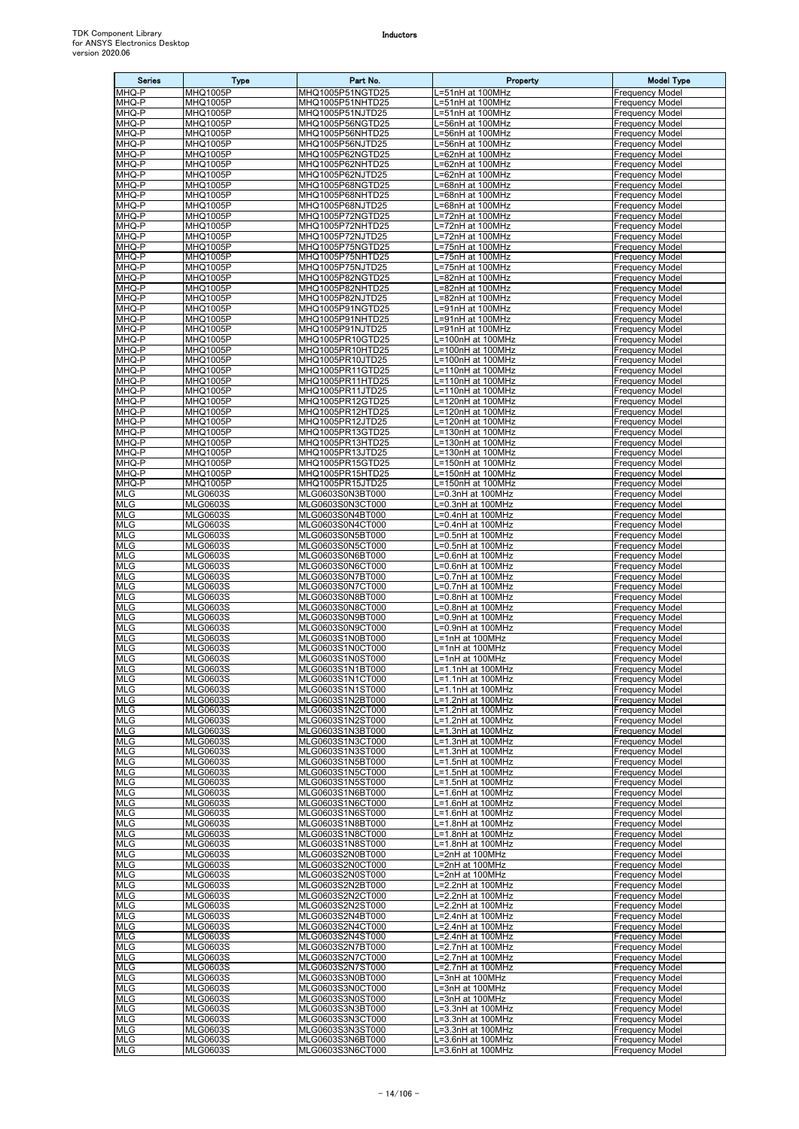| <b>Series</b>            | Type                               | Part No.                             | Property                               | <b>Model Type</b>                                |
|--------------------------|------------------------------------|--------------------------------------|----------------------------------------|--------------------------------------------------|
| MHQ-P                    | MHQ1005P                           | MHQ1005P51NGTD25                     | .=51nH at 100MHz                       | <b>Frequency Model</b>                           |
| MHQ-P<br>MHQ-P           | MHQ1005P<br>MHQ1005P               | MHQ1005P51NHTD25<br>MHQ1005P51NJTD25 | .=51nH at 100MHz                       | Frequency Model<br>Frequency Model               |
| MHQ-P                    | <b>MHQ1005P</b>                    | MHQ1005P56NGTD25                     | .=51nH at 100MHz<br>.=56nH at 100MHz   | Frequency Model                                  |
| MHQ-P                    | MHQ1005P                           | MHQ1005P56NHTD25                     | .=56nH at 100MHz                       | Frequency Model                                  |
| MHQ-P                    | <b>MHQ1005P</b>                    | MHQ1005P56NJTD25                     | L=56nH at 100MHz                       | <b>Frequency Model</b>                           |
| MHQ-P                    | MHQ1005P                           | MHQ1005P62NGTD25                     | =62nH at 100MHz                        | Frequency Model                                  |
| MHQ-P<br>MHQ-P           | <b>MHQ1005P</b><br>MHQ1005P        | MHQ1005P62NHTD25<br>MHQ1005P62NJTD25 | =62nH at 100MHz<br>=62nH at 100MHz     | Frequency Model<br>Frequency Model               |
| MHQ-P                    | <b>MHQ1005P</b>                    | MHQ1005P68NGTD25                     | =68nH at 100MHz                        | Frequency Model                                  |
| MHQ-P                    | MHQ1005P                           | MHQ1005P68NHTD25                     | .=68nH at 100MHz                       | Frequency Model                                  |
| MHQ-P                    | MHQ1005P                           | MHQ1005P68NJTD25                     | L=68nH at 100MHz                       | <b>Frequency Model</b>                           |
| MHQ-P                    | <b>MHQ1005P</b>                    | MHQ1005P72NGTD25                     | L=72nH at 100MHz                       | Frequency Model                                  |
| MHQ-P<br>MHQ-P           | <b>MHQ1005P</b><br>MHQ1005P        | MHQ1005P72NHTD25<br>MHQ1005P72NJTD25 | L=72nH at 100MHz<br>L=72nH at 100MHz   | Frequency Model<br><b>Frequency Model</b>        |
| MHQ-P                    | MHQ1005P                           | MHQ1005P75NGTD25                     | =75nH at 100MHz                        | <b>Frequency Model</b>                           |
| MHQ-P                    | MHQ1005P                           | MHQ1005P75NHTD25                     | .=75nH at 100MHz                       | <b>Frequency Model</b>                           |
| MHQ-P                    | <b>MHQ1005P</b>                    | MHQ1005P75NJTD25                     | =75nH at 100MHz                        | Frequency Model                                  |
| MHQ-P                    | MHQ1005P                           | MHQ1005P82NGTD25                     | =82nH at 100MHz                        | Frequency Model                                  |
| MHQ-P<br>MHQ-P           | MHQ1005P<br>MHQ1005P               | MHQ1005P82NHTD25<br>MHQ1005P82NJTD25 | =82nH at 100MHz<br>=82nH at 100MHz     | <b>Frequency Model</b><br>Frequency Model        |
| MHQ-P                    | MHQ1005P                           | MHQ1005P91NGTD25                     | L=91nH at 100MHz                       | Frequency Model                                  |
| MHQ-P                    | <b>MHQ1005P</b>                    | MHQ1005P91NHTD25                     | L=91nH at 100MHz                       | <b>Frequency Model</b>                           |
| MHQ-P                    | MHQ1005P                           | MHQ1005P91NJTD25                     | L=91nH at 100MHz                       | Frequency Model                                  |
| MHQ-P                    | <b>MHQ1005P</b>                    | MHQ1005PR10GTD25                     | =100nH at 100MHz                       | Frequency Model                                  |
| MHQ-P<br>MHQ-P           | <b>MHQ1005P</b><br>MHQ1005P        | MHQ1005PR10HTD25<br>MHQ1005PR10JTD25 | .=100nH at 100MHz<br>L=100nH at 100MHz | <b>Frequency Model</b><br><b>Frequency Model</b> |
| MHQ-P                    | MHQ1005P                           | MHQ1005PR11GTD25                     | L=110nH at 100MHz                      | <b>Frequency Model</b>                           |
| MHQ-P                    | <b>MHQ1005P</b>                    | MHQ1005PR11HTD25                     | =110nH at 100MHz                       | Frequency Model                                  |
| MHQ-P                    | MHQ1005P                           | MHQ1005PR11JTD25                     | L=110nH at 100MHz                      | Frequency Model                                  |
| MHQ-P<br>MHQ-P           | <b>MHQ1005P</b><br><b>MHQ1005P</b> | MHQ1005PR12GTD25<br>MHQ1005PR12HTD25 | L=120nH at 100MHz<br>L=120nH at 100MHz | Frequency Model<br>Frequency Model               |
| MHQ-P                    | <b>MHQ1005P</b>                    | MHQ1005PR12JTD25                     | L=120nH at 100MHz                      | Frequency Model                                  |
| MHQ-P                    | MHQ1005P                           | MHQ1005PR13GTD25                     | .=130nH at 100MHz                      | <b>Frequency Model</b>                           |
| MHQ-P                    | MHQ1005P                           | MHQ1005PR13HTD25                     | -130nH at 100MHz                       | Frequency Model                                  |
| MHQ-P                    | MHQ1005P                           | MHQ1005PR13JTD25                     | L=130nH at 100MHz                      | Frequency Model                                  |
| MHQ-P<br>MHQ-P           | MHQ1005P<br>MHQ1005P               | MHQ1005PR15GTD25<br>MHQ1005PR15HTD25 | L=150nH at 100MHz<br>L=150nH at 100MHz | <b>Frequency Model</b><br>Frequency Model        |
| MHQ-P                    | MHQ1005P                           | MHQ1005PR15JTD25                     | L=150nH at 100MHz                      | <b>Frequency Model</b>                           |
| <b>MLG</b>               | <b>MLG0603S</b>                    | MLG0603S0N3BT000                     | L=0.3nH at 100MHz                      | <b>Frequency Model</b>                           |
| MLG                      | <b>MLG0603S</b>                    | MLG0603S0N3CT000                     | =0.3nH at 100MHz                       | <b>Frequency Model</b>                           |
| <b>MLG</b>               | <b>MLG0603S</b>                    | MLG0603S0N4BT000                     | .=0.4nH at 100MHz                      | Frequency Model                                  |
| <b>MLG</b><br>MLG        | <b>MLG0603S</b><br><b>MLG0603S</b> | MLG0603S0N4CT000<br>MLG0603S0N5BT000 | =0.4nH at 100MHz<br>=0.5nH at 100MHz   | Frequency Model<br>Frequency Model               |
| <b>MLG</b>               | <b>MLG0603S</b>                    | MLG0603S0N5CT000                     | =0.5nH at 100MHz                       | <b>Frequency Model</b>                           |
| <b>MLG</b>               | <b>MLG0603S</b>                    | MLG0603S0N6BT000                     | .=0.6nH at 100MHz                      | Frequency Model                                  |
| <b>MLG</b>               | <b>MLG0603S</b>                    | MLG0603S0N6CT000                     | L=0.6nH at 100MHz                      | <b>Frequency Model</b>                           |
| <b>MLG</b><br><b>MLG</b> | <b>MLG0603S</b><br><b>MLG0603S</b> | MLG0603S0N7BT000<br>MLG0603S0N7CT000 | L=0.7nH at 100MHz<br>=0.7nH at 100MHz  | <b>Frequency Model</b><br>Frequency Model        |
| <b>MLG</b>               | <b>MLG0603S</b>                    | MLG0603S0N8BT000                     | .=0.8nH at 100MHz                      | Frequency Model                                  |
| <b>MLG</b>               | <b>MLG0603S</b>                    | MLG0603S0N8CT000                     | =0.8nH at 100MHz                       | Frequency Model                                  |
| MLG                      | <b>MLG0603S</b>                    | MLG0603S0N9BT000                     | .=0.9nH at 100MHz                      | Frequency Model                                  |
| <b>MLG</b>               | <b>MLG0603S</b>                    | MLG0603S0N9CT000                     | =0.9nH at 100MHz<br>L=1nH at 100MHz    | Frequency Model                                  |
| <b>MLG</b><br>MLG        | <b>MLG0603S</b><br><b>MLG0603S</b> | MLG0603S1N0BT000<br>MLG0603S1N0CT000 | L=1nH at 100MHz                        | Frequency Model<br><b>Frequency Model</b>        |
| <b>MLG</b>               | <b>MLG0603S</b>                    | MLG0603S1N0ST000                     | L=1nH at 100MHz                        | <b>Frequency Model</b>                           |
| <b>MLG</b>               | <b>MLG0603S</b>                    | MLG0603S1N1BT000                     | L=1.1nH at 100MHz                      | Frequency Model                                  |
| <b>MLG</b>               | <b>MLG0603S</b>                    | MLG0603S1N1CT000                     | L=1.1nH at 100MHz                      | <b>Frequency Model</b>                           |
| <b>MLG</b><br><b>MLG</b> | <b>MLG0603S</b><br><b>MLG0603S</b> | MLG0603S1N1ST000<br>MLG0603S1N2BT000 | .=1.1nH at 100MHz<br>=1.2nH at 100MHz  | Frequency Model<br><b>Frequency Model</b>        |
| <b>MLG</b>               | <b>MLG0603S</b>                    | MLG0603S1N2CT000                     | L=1.2nH at 100MHz                      | <b>Frequency Model</b>                           |
| <b>MLG</b>               | <b>MLG0603S</b>                    | MLG0603S1N2ST000                     | L=1.2nH at 100MHz                      | <b>Frequency Model</b>                           |
| <b>MLG</b>               | <b>MLG0603S</b>                    | MLG0603S1N3BT000                     | L=1.3nH at 100MHz                      | <b>Frequency Model</b>                           |
| <b>MLG</b>               | <b>MLG0603S</b>                    | MLG0603S1N3CT000                     | L=1.3nH at 100MHz                      | <b>Frequency Model</b>                           |
| <b>MLG</b><br>MLG        | <b>MLG0603S</b><br><b>MLG0603S</b> | MLG0603S1N3ST000<br>MLG0603S1N5BT000 | L=1.3nH at 100MHz<br>L=1.5nH at 100MHz | <b>Frequency Model</b><br><b>Frequency Model</b> |
| <b>MLG</b>               | <b>MLG0603S</b>                    | MLG0603S1N5CT000                     | _=1.5nH at 100MHz                      | Frequency Model                                  |
| <b>MLG</b>               | <b>MLG0603S</b>                    | MLG0603S1N5ST000                     | L=1.5nH at 100MHz                      | <b>Frequency Model</b>                           |
| <b>MLG</b>               | <b>MLG0603S</b>                    | MLG0603S1N6BT000                     | L=1.6nH at 100MHz                      | <b>Frequency Model</b>                           |
| <b>MLG</b><br><b>MLG</b> | <b>MLG0603S</b><br><b>MLG0603S</b> | MLG0603S1N6CT000<br>MLG0603S1N6ST000 | L=1.6nH at 100MHz<br>L=1.6nH at 100MHz | <b>Frequency Model</b><br>Frequency Model        |
| <b>MLG</b>               | <b>MLG0603S</b>                    | MLG0603S1N8BT000                     | L=1.8nH at 100MHz                      | <b>Frequency Model</b>                           |
| <b>MLG</b>               | <b>MLG0603S</b>                    | MLG0603S1N8CT000                     | L=1.8nH at 100MHz                      | <b>Frequency Model</b>                           |
| <b>MLG</b>               | <b>MLG0603S</b>                    | MLG0603S1N8ST000                     | L=1.8nH at 100MHz                      | Frequency Model                                  |
| <b>MLG</b>               | <b>MLG0603S</b>                    | MLG0603S2N0BT000                     | =2nH at 100MHz                         | <b>Frequency Model</b>                           |
| MLG<br><b>MLG</b>        | <b>MLG0603S</b><br><b>MLG0603S</b> | MLG0603S2N0CT000<br>MLG0603S2N0ST000 | L=2nH at 100MHz<br>L=2nH at 100MHz     | <b>Frequency Model</b><br>Frequency Model        |
| <b>MLG</b>               | <b>MLG0603S</b>                    | MLG0603S2N2BT000                     | _=2.2nH at 100MHz                      | <b>Frequency Model</b>                           |
| <b>MLG</b>               | <b>MLG0603S</b>                    | MLG0603S2N2CT000                     | L=2.2nH at 100MHz                      | <b>Frequency Model</b>                           |
| <b>MLG</b>               | <b>MLG0603S</b>                    | MLG0603S2N2ST000                     | L=2.2nH at 100MHz                      | <b>Frequency Model</b>                           |
| MLG                      | <b>MLG0603S</b>                    | MLG0603S2N4BT000                     | L=2.4nH at 100MHz                      | Frequency Model                                  |
| <b>MLG</b><br><b>MLG</b> | <b>MLG0603S</b><br><b>MLG0603S</b> | MLG0603S2N4CT000<br>MLG0603S2N4ST000 | L=2.4nH at 100MHz<br>L=2.4nH at 100MHz | <b>Frequency Model</b><br><b>Frequency Model</b> |
| <b>MLG</b>               | <b>MLG0603S</b>                    | MLG0603S2N7BT000                     | _=2.7nH at 100MHz                      | <b>Frequency Model</b>                           |
| <b>MLG</b>               | <b>MLG0603S</b>                    | MLG0603S2N7CT000                     | L=2.7nH at 100MHz                      | Frequency Model                                  |
| <b>MLG</b>               | <b>MLG0603S</b>                    | MLG0603S2N7ST000                     | -2.7nH at 100MHz                       | <b>Frequency Model</b>                           |
| MLG                      | <b>MLG0603S</b>                    | MLG0603S3N0BT000                     | L=3nH at 100MHz                        | <b>Frequency Model</b>                           |
| <b>MLG</b><br><b>MLG</b> | <b>MLG0603S</b><br><b>MLG0603S</b> | MLG0603S3N0CT000<br>MLG0603S3N0ST000 | L=3nH at 100MHz<br>L=3nH at 100MHz     | <b>Frequency Model</b><br><b>Frequency Model</b> |
| <b>MLG</b>               | <b>MLG0603S</b>                    | MLG0603S3N3BT000                     | L=3.3nH at 100MHz                      | <b>Frequency Model</b>                           |
| <b>MLG</b>               | <b>MLG0603S</b>                    | MLG0603S3N3CT000                     | L=3.3nH at 100MHz                      | <b>Frequency Model</b>                           |
| <b>MLG</b>               | <b>MLG0603S</b>                    | MLG0603S3N3ST000                     | _=3.3nH at 100MHz                      | <b>Frequency Model</b>                           |
| <b>MLG</b>               | <b>MLG0603S</b>                    | MLG0603S3N6BT000                     | L=3.6nH at 100MHz                      | <b>Frequency Model</b>                           |
| <b>MLG</b>               | <b>MLG0603S</b>                    | MLG0603S3N6CT000                     | L=3.6nH at 100MHz                      | <b>Frequency Model</b>                           |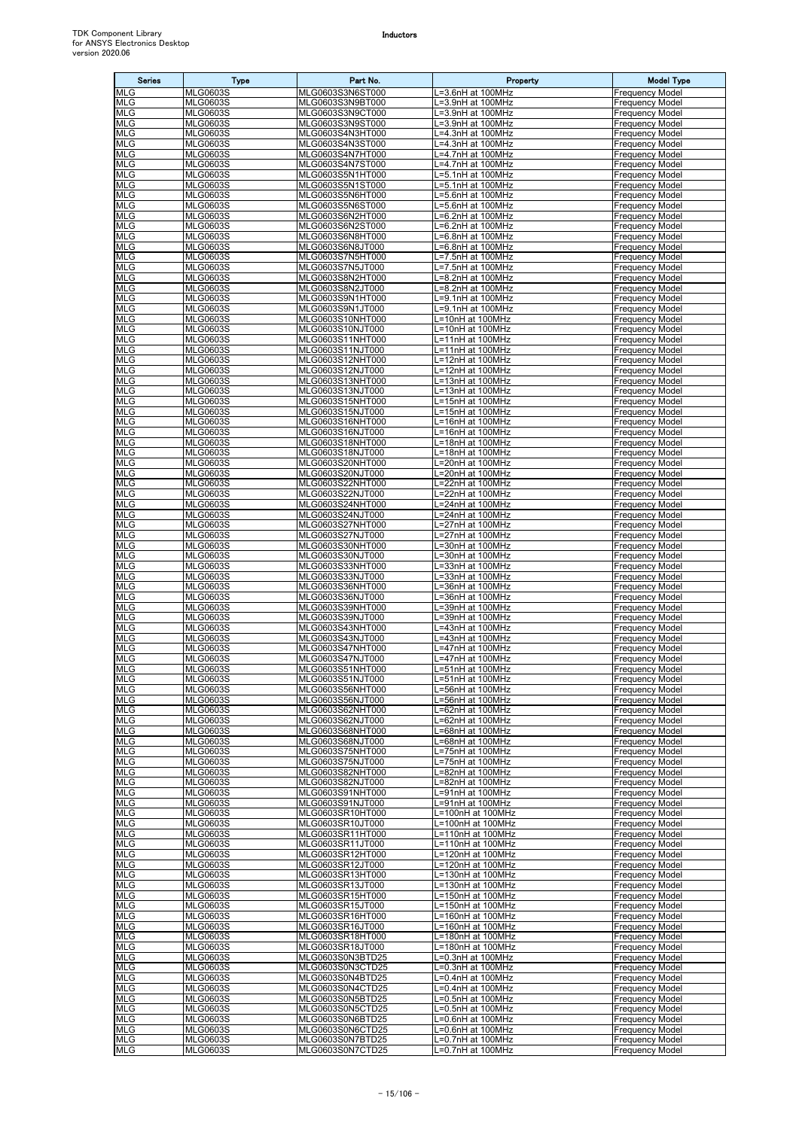| <b>Series</b>            | <b>Type</b>                        | Part No.                             | Property                                | <b>Model Type</b>                                |
|--------------------------|------------------------------------|--------------------------------------|-----------------------------------------|--------------------------------------------------|
| <b>MLG</b>               | <b>MLG0603S</b>                    | MLG0603S3N6ST000                     | L=3.6nH at 100MHz                       | <b>Frequency Model</b>                           |
| <b>MLG</b><br><b>MLG</b> | <b>MLG0603S</b><br><b>MLG0603S</b> | MLG0603S3N9BT000<br>MLG0603S3N9CT000 | L=3.9nH at 100MHz<br>L=3.9nH at 100MHz  | <b>Frequency Model</b><br><b>Frequency Model</b> |
| <b>MLG</b>               | <b>MLG0603S</b>                    | MLG0603S3N9ST000                     | L=3.9nH at 100MHz                       | <b>Frequency Model</b>                           |
| MLG                      | <b>MLG0603S</b>                    | MLG0603S4N3HT000                     | .=4.3nH at 100MHz                       | <b>Frequency Model</b>                           |
| <b>MLG</b>               | <b>MLG0603S</b>                    | MLG0603S4N3ST000                     | L=4.3nH at 100MHz                       | <b>Frequency Model</b>                           |
| <b>MLG</b><br><b>MLG</b> | <b>MLG0603S</b><br><b>MLG0603S</b> | MLG0603S4N7HT000<br>MLG0603S4N7ST000 | L=4.7nH at 100MHz<br>L=4.7nH at 100MHz  | <b>Frequency Model</b><br><b>Frequency Model</b> |
| <b>MLG</b>               | <b>MLG0603S</b>                    | MLG0603S5N1HT000                     | L=5.1nH at 100MHz                       | <b>Frequency Model</b>                           |
| <b>MLG</b>               | <b>MLG0603S</b>                    | MLG0603S5N1ST000                     | L=5.1nH at 100MHz                       | <b>Frequency Model</b>                           |
| <b>MLG</b>               | <b>MLG0603S</b>                    | MLG0603S5N6HT000                     | L=5.6nH at 100MHz                       | <b>Frequency Model</b>                           |
| <b>MLG</b><br><b>MLG</b> | <b>MLG0603S</b><br><b>MLG0603S</b> | MLG0603S5N6ST000<br>MLG0603S6N2HT000 | L=5.6nH at 100MHz<br>L=6.2nH at 100MHz  | <b>Frequency Model</b><br><b>Frequency Model</b> |
| <b>MLG</b>               | <b>MLG0603S</b>                    | MLG0603S6N2ST000                     | =6.2nH at 100MHz                        | <b>Frequency Model</b>                           |
| <b>MLG</b>               | <b>MLG0603S</b>                    | MLG0603S6N8HT000                     | L=6.8nH at 100MHz                       | <b>Frequency Model</b>                           |
| <b>MLG</b>               | <b>MLG0603S</b>                    | MLG0603S6N8JT000                     | L=6.8nH at 100MHz                       | <b>Frequency Model</b>                           |
| <b>MLG</b><br><b>MLG</b> | <b>MLG0603S</b><br><b>MLG0603S</b> | MLG0603S7N5HT000<br>MLG0603S7N5JT000 | L=7.5nH at 100MHz<br>L=7.5nH at 100MHz  | <b>Frequency Model</b><br><b>Frequency Model</b> |
| <b>MLG</b>               | <b>MLG0603S</b>                    | MLG0603S8N2HT000                     | L=8.2nH at 100MHz                       | <b>Frequency Model</b>                           |
| <b>MLG</b>               | <b>MLG0603S</b>                    | MLG0603S8N2JT000                     | L=8.2nH at 100MHz                       | <b>Frequency Model</b>                           |
| <b>MLG</b><br><b>MLG</b> | <b>MLG0603S</b><br><b>MLG0603S</b> | MLG0603S9N1HT000<br>MLG0603S9N1JT000 | .=9.1nH at 100MHz<br>L=9.1nH at 100MHz  | <b>Frequency Model</b><br><b>Frequency Model</b> |
| <b>MLG</b>               | <b>MLG0603S</b>                    | MLG0603S10NHT000                     | L=10nH at 100MHz                        | <b>Frequency Model</b>                           |
| <b>MLG</b>               | <b>MLG0603S</b>                    | MLG0603S10NJT000                     | L=10nH at 100MHz                        | <b>Frequency Model</b>                           |
| <b>MLG</b>               | <b>MLG0603S</b>                    | MLG0603S11NHT000                     | L=11nH at 100MHz                        | <b>Frequency Model</b>                           |
| <b>MLG</b><br><b>MLG</b> | <b>MLG0603S</b><br><b>MLG0603S</b> | MLG0603S11NJT000<br>MLG0603S12NHT000 | L=11nH at 100MHz<br>L=12nH at 100MHz    | <b>Frequency Model</b><br><b>Frequency Model</b> |
| <b>MLG</b>               | <b>MLG0603S</b>                    | MLG0603S12NJT000                     | L=12nH at 100MHz                        | <b>Frequency Model</b>                           |
| <b>MLG</b>               | <b>MLG0603S</b>                    | MLG0603S13NHT000                     | L=13nH at 100MHz                        | <b>Frequency Model</b>                           |
| MLG                      | <b>MLG0603S</b>                    | MLG0603S13NJT000                     | L=13nH at 100MHz                        | <b>Frequency Model</b>                           |
| <b>MLG</b><br><b>MLG</b> | <b>MLG0603S</b><br><b>MLG0603S</b> | MLG0603S15NHT000<br>MLG0603S15NJT000 | L=15nH at 100MHz<br>L=15nH at 100MHz    | <b>Frequency Model</b><br><b>Frequency Model</b> |
| <b>MLG</b>               | <b>MLG0603S</b>                    | MLG0603S16NHT000                     | L=16nH at 100MHz                        | <b>Frequency Model</b>                           |
| <b>MLG</b>               | <b>MLG0603S</b>                    | MLG0603S16NJT000                     | L=16nH at 100MHz                        | <b>Frequency Model</b>                           |
| <b>MLG</b><br><b>MLG</b> | <b>MLG0603S</b><br><b>MLG0603S</b> | MLG0603S18NHT000<br>MLG0603S18NJT000 | $L=18$ nH at 100MHz<br>L=18nH at 100MHz | <b>Frequency Model</b><br><b>Frequency Model</b> |
| MLG                      | <b>MLG0603S</b>                    | MLG0603S20NHT000                     | L=20nH at 100MHz                        | <b>Frequency Model</b>                           |
| <b>MLG</b>               | <b>MLG0603S</b>                    | MLG0603S20NJT000                     | L=20nH at 100MHz                        | <b>Frequency Model</b>                           |
| <b>MLG</b>               | <b>MLG0603S</b>                    | MLG0603S22NHT000                     | L=22nH at 100MHz                        | <b>Frequency Model</b>                           |
| <b>MLG</b><br><b>MLG</b> | <b>MLG0603S</b><br><b>MLG0603S</b> | MLG0603S22NJT000<br>MLG0603S24NHT000 | L=22nH at 100MHz<br>L=24nH at 100MHz    | <b>Frequency Model</b><br><b>Frequency Model</b> |
| <b>MLG</b>               | <b>MLG0603S</b>                    | MLG0603S24NJT000                     | L=24nH at 100MHz                        | <b>Frequency Model</b>                           |
| <b>MLG</b>               | <b>MLG0603S</b>                    | MLG0603S27NHT000                     | L=27nH at 100MHz                        | <b>Frequency Model</b>                           |
| <b>MLG</b>               | <b>MLG0603S</b>                    | MLG0603S27NJT000                     | L=27nH at 100MHz                        | <b>Frequency Model</b>                           |
| <b>MLG</b><br><b>MLG</b> | <b>MLG0603S</b><br><b>MLG0603S</b> | MLG0603S30NHT000<br>MLG0603S30NJT000 | L=30nH at 100MHz<br>L=30nH at 100MHz    | <b>Frequency Model</b><br><b>Frequency Model</b> |
| <b>MLG</b>               | <b>MLG0603S</b>                    | MLG0603S33NHT000                     | L=33nH at 100MHz                        | <b>Frequency Model</b>                           |
| <b>MLG</b>               | <b>MLG0603S</b>                    | MLG0603S33NJT000                     | L=33nH at 100MHz                        | <b>Frequency Model</b>                           |
| <b>MLG</b><br><b>MLG</b> | <b>MLG0603S</b><br><b>MLG0603S</b> | MLG0603S36NHT000<br>MLG0603S36NJT000 | L=36nH at 100MHz<br>L=36nH at 100MHz    | <b>Frequency Model</b>                           |
| <b>MLG</b>               | <b>MLG0603S</b>                    | MLG0603S39NHT000                     | L=39nH at 100MHz                        | <b>Frequency Model</b><br><b>Frequency Model</b> |
| <b>MLG</b>               | <b>MLG0603S</b>                    | MLG0603S39NJT000                     | L=39nH at 100MHz                        | <b>Frequency Model</b>                           |
| <b>MLG</b>               | <b>MLG0603S</b>                    | MLG0603S43NHT000                     | L=43nH at 100MHz                        | <b>Frequency Model</b>                           |
| <b>MLG</b><br><b>MLG</b> | <b>MLG0603S</b><br><b>MLG0603S</b> | MLG0603S43NJT000<br>MLG0603S47NHT000 | L=43nH at 100MHz<br>.=47nH at 100MHz    | <b>Frequency Model</b><br><b>Frequency Model</b> |
| <b>MLG</b>               | <b>MLG0603S</b>                    | MLG0603S47NJT000                     | L=47nH at 100MHz                        | <b>Frequency Model</b>                           |
| <b>MLG</b>               | <b>MLG0603S</b>                    | MLG0603S51NHT000                     | L=51nH at 100MHz                        | <b>Frequency Model</b>                           |
| <b>MLG</b><br><b>MLG</b> | <b>MLG0603S</b><br><b>MLG0603S</b> | MLG0603S51NJT000<br>MLG0603S56NHT000 | L=51nH at 100MHz<br>L=56nH at 100MHz    | <b>Frequency Model</b><br><b>Frequency Model</b> |
| <b>MLG</b>               | <b>MLG0603S</b>                    | MLG0603S56NJT000                     | L=56nH at 100MHz                        | <b>Frequency Model</b>                           |
| <b>MLG</b>               | <b>MLG0603S</b>                    | MLG0603S62NHT000                     | L=62nH at 100MHz                        | <b>Frequency Model</b>                           |
| <b>MLG</b><br><b>MLG</b> | <b>MLG0603S</b><br><b>MLG0603S</b> | MLG0603S62NJT000                     | L=62nH at 100MHz<br>L=68nH at 100MHz    | <b>Frequency Model</b><br><b>Frequency Model</b> |
| <b>MLG</b>               | <b>MLG0603S</b>                    | MLG0603S68NHT000<br>MLG0603S68NJT000 | L=68nH at 100MHz                        | <b>Frequency Model</b>                           |
| <b>MLG</b>               | <b>MLG0603S</b>                    | MLG0603S75NHT000                     | L=75nH at 100MHz                        | <b>Frequency Model</b>                           |
| <b>MLG</b>               | <b>MLG0603S</b>                    | MLG0603S75NJT000                     | L=75nH at 100MHz                        | <b>Frequency Model</b>                           |
| <b>MLG</b><br><b>MLG</b> | <b>MLG0603S</b><br><b>MLG0603S</b> | MLG0603S82NHT000<br>MLG0603S82NJT000 | L=82nH at 100MHz<br>L=82nH at 100MHz    | <b>Frequency Model</b><br><b>Frequency Model</b> |
| <b>MLG</b>               | <b>MLG0603S</b>                    | MLG0603S91NHT000                     | L=91nH at 100MHz                        | <b>Frequency Model</b>                           |
| <b>MLG</b>               | <b>MLG0603S</b>                    | MLG0603S91NJT000                     | L=91nH at 100MHz                        | <b>Frequency Model</b>                           |
| <b>MLG</b><br><b>MLG</b> | <b>MLG0603S</b><br><b>MLG0603S</b> | MLG0603SR10HT000<br>MLG0603SR10JT000 | L=100nH at 100MHz<br>L=100nH at 100MHz  | <b>Frequency Model</b><br><b>Frequency Model</b> |
| <b>MLG</b>               | <b>MLG0603S</b>                    | MLG0603SR11HT000                     | L=110nH at 100MHz                       | <b>Frequency Model</b>                           |
| <b>MLG</b>               | <b>MLG0603S</b>                    | MLG0603SR11JT000                     | L=110nH at 100MHz                       | <b>Frequency Model</b>                           |
| <b>MLG</b>               | <b>MLG0603S</b>                    | MLG0603SR12HT000                     | L=120nH at 100MHz                       | <b>Frequency Model</b>                           |
| <b>MLG</b><br><b>MLG</b> | <b>MLG0603S</b><br><b>MLG0603S</b> | MLG0603SR12JT000<br>MLG0603SR13HT000 | L=120nH at 100MHz<br>L=130nH at 100MHz  | <b>Frequency Model</b><br><b>Frequency Model</b> |
| <b>MLG</b>               | <b>MLG0603S</b>                    | MLG0603SR13JT000                     | L=130nH at 100MHz                       | <b>Frequency Model</b>                           |
| <b>MLG</b>               | <b>MLG0603S</b>                    | MLG0603SR15HT000                     | L=150nH at 100MHz                       | <b>Frequency Model</b>                           |
| <b>MLG</b><br><b>MLG</b> | <b>MLG0603S</b><br><b>MLG0603S</b> | MLG0603SR15JT000<br>MLG0603SR16HT000 | L=150nH at 100MHz<br>L=160nH at 100MHz  | <b>Frequency Model</b><br><b>Frequency Model</b> |
| <b>MLG</b>               | <b>MLG0603S</b>                    | MLG0603SR16JT000                     | L=160nH at 100MHz                       | <b>Frequency Model</b>                           |
| <b>MLG</b>               | <b>MLG0603S</b>                    | MLG0603SR18HT000                     | L=180nH at 100MHz                       | <b>Frequency Model</b>                           |
| <b>MLG</b>               | <b>MLG0603S</b>                    | MLG0603SR18JT000                     | L=180nH at 100MHz                       | <b>Frequency Model</b>                           |
| <b>MLG</b><br><b>MLG</b> | <b>MLG0603S</b><br><b>MLG0603S</b> | MLG0603S0N3BTD25<br>MLG0603S0N3CTD25 | L=0.3nH at 100MHz<br>L=0.3nH at 100MHz  | <b>Frequency Model</b><br><b>Frequency Model</b> |
| <b>MLG</b>               | <b>MLG0603S</b>                    | MLG0603S0N4BTD25                     | L=0.4nH at 100MHz                       | <b>Frequency Model</b>                           |
| <b>MLG</b>               | <b>MLG0603S</b>                    | MLG0603S0N4CTD25                     | L=0.4nH at 100MHz                       | <b>Frequency Model</b>                           |
| <b>MLG</b><br><b>MLG</b> | <b>MLG0603S</b><br><b>MLG0603S</b> | MLG0603S0N5BTD25<br>MLG0603S0N5CTD25 | L=0.5nH at 100MHz<br>L=0.5nH at 100MHz  | <b>Frequency Model</b><br><b>Frequency Model</b> |
| <b>MLG</b>               | <b>MLG0603S</b>                    | MLG0603S0N6BTD25                     | L=0.6nH at 100MHz                       | <b>Frequency Model</b>                           |
| <b>MLG</b>               | <b>MLG0603S</b>                    | MLG0603S0N6CTD25                     | L=0.6nH at 100MHz                       | <b>Frequency Model</b>                           |
| <b>MLG</b>               | <b>MLG0603S</b>                    | MLG0603S0N7BTD25                     | L=0.7nH at 100MHz                       | <b>Frequency Model</b>                           |
| <b>MLG</b>               | <b>MLG0603S</b>                    | MLG0603S0N7CTD25                     | L=0.7nH at 100MHz                       | <b>Frequency Model</b>                           |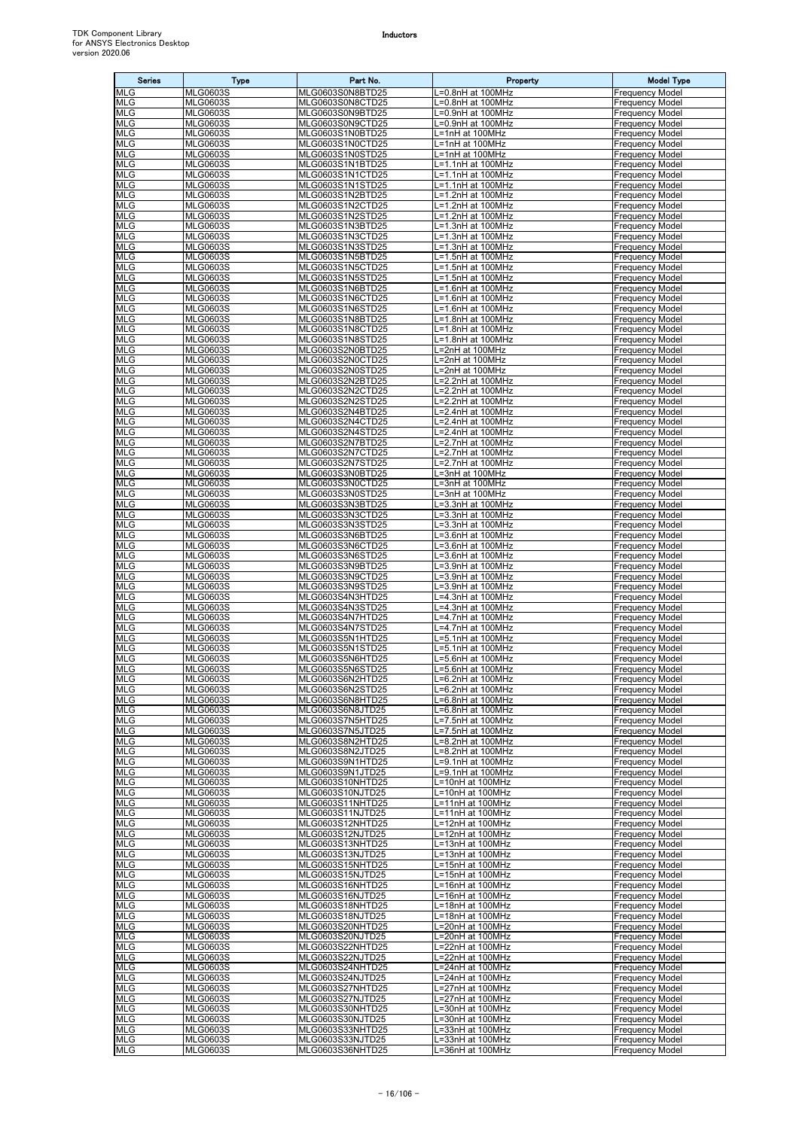| <b>Series</b>            | <b>Type</b>                        | Part No.                             | Property                               | <b>Model Type</b>                                |
|--------------------------|------------------------------------|--------------------------------------|----------------------------------------|--------------------------------------------------|
| <b>MLG</b>               | <b>MLG0603S</b>                    | MLG0603S0N8BTD25                     | .=0.8nH at 100MHz                      | <b>Frequency Model</b>                           |
| <b>MLG</b><br><b>MLG</b> | <b>MLG0603S</b><br><b>MLG0603S</b> | MLG0603S0N8CTD25<br>MLG0603S0N9BTD25 | L=0.8nH at 100MHz<br>L=0.9nH at 100MHz | <b>Frequency Model</b><br><b>Frequency Model</b> |
| <b>MLG</b>               | <b>MLG0603S</b>                    | MLG0603S0N9CTD25                     | L=0.9nH at 100MHz                      | <b>Frequency Model</b>                           |
| <b>MLG</b>               | <b>MLG0603S</b>                    | MLG0603S1N0BTD25                     | L=1nH at 100MHz                        | <b>Frequency Model</b>                           |
| <b>MLG</b>               | <b>MLG0603S</b>                    | MLG0603S1N0CTD25                     | L=1nH at 100MHz                        | <b>Frequency Model</b>                           |
| <b>MLG</b>               | <b>MLG0603S</b>                    | MLG0603S1N0STD25                     | L=1nH at 100MHz<br>L=1.1nH at 100MHz   | <b>Frequency Model</b><br><b>Frequency Model</b> |
| <b>MLG</b><br><b>MLG</b> | <b>MLG0603S</b><br><b>MLG0603S</b> | MLG0603S1N1BTD25<br>MLG0603S1N1CTD25 | L=1.1nH at 100MHz                      | Frequency Model                                  |
| <b>MLG</b>               | <b>MLG0603S</b>                    | MLG0603S1N1STD25                     | -1.1nH at 100MHz                       | <b>Frequency Model</b>                           |
| <b>MLG</b>               | <b>MLG0603S</b>                    | MLG0603S1N2BTD25                     | L=1.2nH at 100MHz                      | <b>Frequency Model</b>                           |
| <b>MLG</b><br><b>MLG</b> | <b>MLG0603S</b><br><b>MLG0603S</b> | MLG0603S1N2CTD25<br>MLG0603S1N2STD25 | L=1.2nH at 100MHz<br>L=1.2nH at 100MHz | <b>Frequency Model</b><br><b>Frequency Model</b> |
| <b>MLG</b>               | <b>MLG0603S</b>                    | MLG0603S1N3BTD25                     | L=1.3nH at 100MHz                      | <b>Frequency Model</b>                           |
| <b>MLG</b>               | <b>MLG0603S</b>                    | MLG0603S1N3CTD25                     | L=1.3nH at 100MHz                      | <b>Frequency Model</b>                           |
| <b>MLG</b>               | <b>MLG0603S</b>                    | MLG0603S1N3STD25                     | L=1.3nH at 100MHz                      | <b>Frequency Model</b>                           |
| <b>MLG</b><br><b>MLG</b> | <b>MLG0603S</b><br><b>MLG0603S</b> | MLG0603S1N5BTD25<br>MLG0603S1N5CTD25 | L=1.5nH at 100MHz<br>L=1.5nH at 100MHz | <b>Frequency Model</b><br><b>Frequency Model</b> |
| <b>MLG</b>               | <b>MLG0603S</b>                    | MLG0603S1N5STD25                     | L=1.5nH at 100MHz                      | <b>Frequency Model</b>                           |
| <b>MLG</b>               | <b>MLG0603S</b>                    | MLG0603S1N6BTD25                     | L=1.6nH at 100MHz                      | <b>Frequency Model</b>                           |
| <b>MLG</b>               | <b>MLG0603S</b>                    | MLG0603S1N6CTD25                     | L=1.6nH at 100MHz                      | <b>Frequency Model</b>                           |
| <b>MLG</b><br><b>MLG</b> | <b>MLG0603S</b><br><b>MLG0603S</b> | MLG0603S1N6STD25<br>MLG0603S1N8BTD25 | L=1.6nH at 100MHz<br>L=1.8nH at 100MHz | <b>Frequency Model</b><br><b>Frequency Model</b> |
| <b>MLG</b>               | <b>MLG0603S</b>                    | MLG0603S1N8CTD25                     | L=1.8nH at 100MHz                      | <b>Frequency Model</b>                           |
| <b>MLG</b>               | <b>MLG0603S</b>                    | MLG0603S1N8STD25                     | L=1.8nH at 100MHz                      | <b>Frequency Model</b>                           |
| <b>MLG</b>               | <b>MLG0603S</b>                    | MLG0603S2N0BTD25                     | .=2nH at 100MHz                        | <b>Frequency Model</b>                           |
| <b>MLG</b><br><b>MLG</b> | <b>MLG0603S</b><br><b>MLG0603S</b> | MLG0603S2N0CTD25<br>MLG0603S2N0STD25 | L=2nH at 100MHz<br>L=2nH at 100MHz     | <b>Frequency Model</b><br><b>Frequency Model</b> |
| <b>MLG</b>               | <b>MLG0603S</b>                    | MLG0603S2N2BTD25                     | L=2.2nH at 100MHz                      | <b>Frequency Model</b>                           |
| <b>MLG</b>               | <b>MLG0603S</b>                    | MLG0603S2N2CTD25                     | L=2.2nH at 100MHz                      | <b>Frequency Model</b>                           |
| <b>MLG</b>               | <b>MLG0603S</b>                    | MLG0603S2N2STD25                     | L=2.2nH at 100MHz                      | <b>Frequency Model</b>                           |
| <b>MLG</b><br><b>MLG</b> | <b>MLG0603S</b><br><b>MLG0603S</b> | MLG0603S2N4BTD25<br>MLG0603S2N4CTD25 | L=2.4nH at 100MHz<br>L=2.4nH at 100MHz | <b>Frequency Model</b><br><b>Frequency Model</b> |
| <b>MLG</b>               | <b>MLG0603S</b>                    | MLG0603S2N4STD25                     | L=2.4nH at 100MHz                      | <b>Frequency Model</b>                           |
| <b>MLG</b>               | <b>MLG0603S</b>                    | MLG0603S2N7BTD25                     | =2.7nH at 100MHz                       | <b>Frequency Model</b>                           |
| <b>MLG</b>               | <b>MLG0603S</b>                    | MLG0603S2N7CTD25                     | L=2.7nH at 100MHz                      | <b>Frequency Model</b>                           |
| <b>MLG</b><br><b>MLG</b> | <b>MLG0603S</b><br><b>MLG0603S</b> | MLG0603S2N7STD25<br>MLG0603S3N0BTD25 | L=2.7nH at 100MHz<br>L=3nH at 100MHz   | <b>Frequency Model</b><br><b>Frequency Model</b> |
| <b>MLG</b>               | <b>MLG0603S</b>                    | MLG0603S3N0CTD25                     | L=3nH at 100MHz                        | <b>Frequency Model</b>                           |
| <b>MLG</b>               | <b>MLG0603S</b>                    | MLG0603S3N0STD25                     | L=3nH at 100MHz                        | <b>Frequency Model</b>                           |
| <b>MLG</b><br><b>MLG</b> | <b>MLG0603S</b>                    | MLG0603S3N3BTD25                     | L=3.3nH at 100MHz                      | Frequency Model<br><b>Frequency Model</b>        |
| <b>MLG</b>               | <b>MLG0603S</b><br><b>MLG0603S</b> | MLG0603S3N3CTD25<br>MLG0603S3N3STD25 | .=3.3nH at 100MHz<br>L=3.3nH at 100MHz | <b>Frequency Model</b>                           |
| <b>MLG</b>               | <b>MLG0603S</b>                    | MLG0603S3N6BTD25                     | L=3.6nH at 100MHz                      | <b>Frequency Model</b>                           |
| <b>MLG</b>               | <b>MLG0603S</b>                    | MLG0603S3N6CTD25                     | L=3.6nH at 100MHz                      | <b>Frequency Model</b>                           |
| <b>MLG</b><br><b>MLG</b> | <b>MLG0603S</b><br><b>MLG0603S</b> | MLG0603S3N6STD25<br>MLG0603S3N9BTD25 | L=3.6nH at 100MHz<br>L=3.9nH at 100MHz | <b>Frequency Model</b><br><b>Frequency Model</b> |
| <b>MLG</b>               | <b>MLG0603S</b>                    | MLG0603S3N9CTD25                     | L=3.9nH at 100MHz                      | <b>Frequency Model</b>                           |
| <b>MLG</b>               | <b>MLG0603S</b>                    | MLG0603S3N9STD25                     | L=3.9nH at 100MHz                      | <b>Frequency Model</b>                           |
| <b>MLG</b>               | <b>MLG0603S</b>                    | MLG0603S4N3HTD25                     | L=4.3nH at 100MHz                      | <b>Frequency Model</b>                           |
| <b>MLG</b><br><b>MLG</b> | <b>MLG0603S</b><br><b>MLG0603S</b> | MLG0603S4N3STD25<br>MLG0603S4N7HTD25 | .=4.3nH at 100MHz<br>L=4.7nH at 100MHz | <b>Frequency Model</b><br><b>Frequency Model</b> |
| <b>MLG</b>               | <b>MLG0603S</b>                    | MLG0603S4N7STD25                     | L=4.7nH at 100MHz                      | <b>Frequency Model</b>                           |
| <b>MLG</b>               | <b>MLG0603S</b>                    | MLG0603S5N1HTD25                     | L=5.1nH at 100MHz                      | <b>Frequency Model</b>                           |
| <b>MLG</b><br><b>MLG</b> | <b>MLG0603S</b><br><b>MLG0603S</b> | MLG0603S5N1STD25<br>MLG0603S5N6HTD25 | L=5.1nH at 100MHz<br>L=5.6nH at 100MHz | <b>Frequency Model</b><br><b>Frequency Model</b> |
| <b>MLG</b>               | <b>MLG0603S</b>                    | MLG0603S5N6STD25                     | L=5.6nH at 100MHz                      | <b>Frequency Model</b>                           |
| <b>MLG</b>               | <b>MLG0603S</b>                    | MLG0603S6N2HTD25                     | L=6.2nH at 100MHz                      | <b>Frequency Model</b>                           |
| <b>MLG</b>               | <b>MLG0603S</b>                    | MLG0603S6N2STD25                     | L=6.2nH at 100MHz                      | <b>Frequency Model</b>                           |
| <b>MLG</b><br><b>MLG</b> | <b>MLG0603S</b><br><b>MLG0603S</b> | MLG0603S6N8HTD25<br>MLG0603S6N8JTD25 | L=6.8nH at 100MHz<br>L=6.8nH at 100MHz | <b>Frequency Model</b><br><b>Frequency Model</b> |
| <b>MLG</b>               | <b>MLG0603S</b>                    | MLG0603S7N5HTD25                     | L=7.5nH at 100MHz                      | <b>Frequency Model</b>                           |
| <b>MLG</b>               | <b>MLG0603S</b>                    | MLG0603S7N5JTD25                     | L=7.5nH at 100MHz                      | <b>Frequency Model</b>                           |
| <b>MLG</b>               | <b>MLG0603S</b>                    | MLG0603S8N2HTD25                     | $L=8.2nH$ at 100MHz                    | <b>Frequency Model</b>                           |
| <b>MLG</b><br><b>MLG</b> | <b>MLG0603S</b><br><b>MLG0603S</b> | MLG0603S8N2JTD25<br>MLG0603S9N1HTD25 | L=8.2nH at 100MHz<br>L=9.1nH at 100MHz | <b>Frequency Model</b><br><b>Frequency Model</b> |
| <b>MLG</b>               | <b>MLG0603S</b>                    | MLG0603S9N1JTD25                     | L=9.1nH at 100MHz                      | <b>Frequency Model</b>                           |
| <b>MLG</b>               | <b>MLG0603S</b>                    | MLG0603S10NHTD25                     | L=10nH at 100MHz                       | <b>Frequency Model</b>                           |
| <b>MLG</b><br><b>MLG</b> | <b>MLG0603S</b><br><b>MLG0603S</b> | MLG0603S10NJTD25<br>MLG0603S11NHTD25 | L=10nH at 100MHz<br>L=11nH at 100MHz   | <b>Frequency Model</b><br><b>Frequency Model</b> |
| <b>MLG</b>               | <b>MLG0603S</b>                    | MLG0603S11NJTD25                     | L=11nH at 100MHz                       | <b>Frequency Model</b>                           |
| <b>MLG</b>               | <b>MLG0603S</b>                    | MLG0603S12NHTD25                     | L=12nH at 100MHz                       | <b>Frequency Model</b>                           |
| <b>MLG</b>               | <b>MLG0603S</b>                    | MLG0603S12NJTD25                     | L=12nH at 100MHz                       | <b>Frequency Model</b>                           |
| <b>MLG</b><br><b>MLG</b> | <b>MLG0603S</b><br><b>MLG0603S</b> | MLG0603S13NHTD25<br>MLG0603S13NJTD25 | L=13nH at 100MHz<br>L=13nH at 100MHz   | <b>Frequency Model</b><br><b>Frequency Model</b> |
| <b>MLG</b>               | <b>MLG0603S</b>                    | MLG0603S15NHTD25                     | L=15nH at 100MHz                       | <b>Frequency Model</b>                           |
| <b>MLG</b>               | <b>MLG0603S</b>                    | MLG0603S15NJTD25                     | L=15nH at 100MHz                       | <b>Frequency Model</b>                           |
| <b>MLG</b><br><b>MLG</b> | <b>MLG0603S</b><br><b>MLG0603S</b> | MLG0603S16NHTD25                     | L=16nH at 100MHz                       | <b>Frequency Model</b><br><b>Frequency Model</b> |
| <b>MLG</b>               | <b>MLG0603S</b>                    | MLG0603S16NJTD25<br>MLG0603S18NHTD25 | L=16nH at 100MHz<br>L=18nH at 100MHz   | <b>Frequency Model</b>                           |
| <b>MLG</b>               | <b>MLG0603S</b>                    | MLG0603S18NJTD25                     | L=18nH at 100MHz                       | <b>Frequency Model</b>                           |
| <b>MLG</b>               | <b>MLG0603S</b>                    | MLG0603S20NHTD25                     | L=20nH at 100MHz                       | <b>Frequency Model</b>                           |
| <b>MLG</b><br><b>MLG</b> | <b>MLG0603S</b><br><b>MLG0603S</b> | MLG0603S20NJTD25<br>MLG0603S22NHTD25 | L=20nH at 100MHz<br>L=22nH at 100MHz   | <b>Frequency Model</b><br><b>Frequency Model</b> |
| <b>MLG</b>               | <b>MLG0603S</b>                    | MLG0603S22NJTD25                     | L=22nH at 100MHz                       | <b>Frequency Model</b>                           |
| <b>MLG</b>               | <b>MLG0603S</b>                    | MLG0603S24NHTD25                     | L=24nH at 100MHz                       | <b>Frequency Model</b>                           |
| <b>MLG</b>               | <b>MLG0603S</b>                    | MLG0603S24NJTD25                     | L=24nH at 100MHz                       | <b>Frequency Model</b>                           |
| <b>MLG</b><br><b>MLG</b> | <b>MLG0603S</b><br><b>MLG0603S</b> | MLG0603S27NHTD25<br>MLG0603S27NJTD25 | L=27nH at 100MHz<br>L=27nH at 100MHz   | <b>Frequency Model</b><br><b>Frequency Model</b> |
| <b>MLG</b>               | <b>MLG0603S</b>                    | MLG0603S30NHTD25                     | L=30nH at 100MHz                       | <b>Frequency Model</b>                           |
| <b>MLG</b>               | <b>MLG0603S</b>                    | MLG0603S30NJTD25                     | L=30nH at 100MHz                       | <b>Frequency Model</b>                           |
| <b>MLG</b><br><b>MLG</b> | <b>MLG0603S</b><br><b>MLG0603S</b> | MLG0603S33NHTD25<br>MLG0603S33NJTD25 | L=33nH at 100MHz<br>L=33nH at 100MHz   | <b>Frequency Model</b><br><b>Frequency Model</b> |
| <b>MLG</b>               | <b>MLG0603S</b>                    | MLG0603S36NHTD25                     | L=36nH at 100MHz                       | <b>Frequency Model</b>                           |
|                          |                                    |                                      |                                        |                                                  |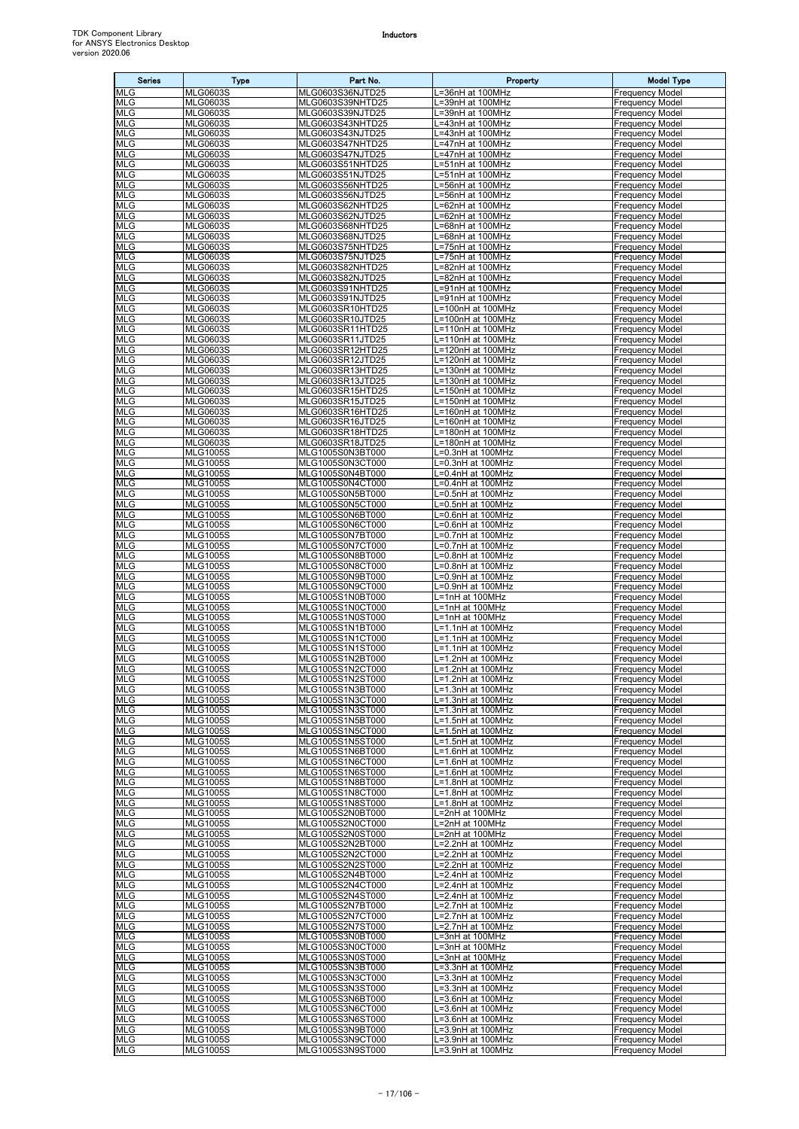| <b>Series</b>            | <b>Type</b>                        | Part No.                             | Property                               | <b>Model Type</b>                                |
|--------------------------|------------------------------------|--------------------------------------|----------------------------------------|--------------------------------------------------|
| MLG                      | MLG0603S                           | MLG0603S36NJTD25                     | .=36nH at 100MHz                       | <b>Frequency Model</b>                           |
| <b>MLG</b><br><b>MLG</b> | <b>MLG0603S</b><br><b>MLG0603S</b> | MLG0603S39NHTD25<br>MLG0603S39NJTD25 | L=39nH at 100MHz<br>L=39nH at 100MHz   | <b>Frequency Model</b><br><b>Frequency Model</b> |
| <b>MLG</b>               | <b>MLG0603S</b>                    | MLG0603S43NHTD25                     | .=43nH at 100MHz                       | <b>Frequency Model</b>                           |
| <b>MLG</b>               | <b>MLG0603S</b>                    | MLG0603S43NJTD25                     | =43nH at 100MHz                        | <b>Frequency Model</b>                           |
| <b>MLG</b>               | <b>MLG0603S</b>                    | MLG0603S47NHTD25                     | =47nH at 100MHz                        | <b>Frequency Model</b>                           |
| <b>MLG</b>               | <b>MLG0603S</b>                    | MLG0603S47NJTD25                     | .=47nH at 100MHz                       | <b>Frequency Model</b>                           |
| <b>MLG</b><br>MLG        | <b>MLG0603S</b><br><b>MLG0603S</b> | MLG0603S51NHTD25<br>MLG0603S51NJTD25 | =51nH at 100MHz<br>=51nH at 100MHz     | <b>Frequency Model</b><br><b>Frequency Model</b> |
| <b>MLG</b>               | <b>MLG0603S</b>                    | MLG0603S56NHTD25                     | .=56nH at 100MHz                       | <b>Frequency Model</b>                           |
| <b>MLG</b>               | <b>MLG0603S</b>                    | MLG0603S56NJTD25                     | L=56nH at 100MHz                       | <b>Frequency Model</b>                           |
| <b>MLG</b>               | <b>MLG0603S</b>                    | MLG0603S62NHTD25                     | =62nH at 100MHz                        | <b>Frequency Model</b>                           |
| <b>MLG</b><br><b>MLG</b> | <b>MLG0603S</b><br><b>MLG0603S</b> | MLG0603S62NJTD25<br>MLG0603S68NHTD25 | =62nH at 100MHz<br>.=68nH at 100MHz    | <b>Frequency Model</b><br><b>Frequency Model</b> |
| <b>MLG</b>               | <b>MLG0603S</b>                    | MLG0603S68NJTD25                     | ==68nH at 100MHz                       | <b>Frequency Model</b>                           |
| <b>MLG</b>               | <b>MLG0603S</b>                    | MLG0603S75NHTD25                     | L=75nH at 100MHz                       | <b>Frequency Model</b>                           |
| MLG                      | <b>MLG0603S</b>                    | MLG0603S75NJTD25                     | _=75nH at 100MHz                       | <b>Frequency Model</b>                           |
| <b>MLG</b>               | <b>MLG0603S</b>                    | MLG0603S82NHTD25                     | L=82nH at 100MHz                       | <b>Frequency Model</b>                           |
| <b>MLG</b><br>MLG        | <b>MLG0603S</b><br><b>MLG0603S</b> | MLG0603S82NJTD25<br>MLG0603S91NHTD25 | L=82nH at 100MHz<br>.=91nH at 100MHz   | <b>Frequency Model</b><br><b>Frequency Model</b> |
| <b>MLG</b>               | <b>MLG0603S</b>                    | MLG0603S91NJTD25                     | =91nH at 100MHz                        | <b>Frequency Model</b>                           |
| MLG                      | <b>MLG0603S</b>                    | MLG0603SR10HTD25                     | L=100nH at 100MHz                      | <b>Frequency Model</b>                           |
| <b>MLG</b>               | <b>MLG0603S</b>                    | MLG0603SR10JTD25                     | $\overline{=100}$ nH at 100MHz         | <b>Frequency Model</b>                           |
| <b>MLG</b><br><b>MLG</b> | <b>MLG0603S</b><br><b>MLG0603S</b> | MLG0603SR11HTD25<br>MLG0603SR11JTD25 | L=110nH at 100MHz<br>L=110nH at 100MHz | <b>Frequency Model</b><br><b>Frequency Model</b> |
| MLG                      | <b>MLG0603S</b>                    | MLG0603SR12HTD25                     | _=120nH at 100MHz                      | <b>Frequency Model</b>                           |
| <b>MLG</b>               | <b>MLG0603S</b>                    | MLG0603SR12JTD25                     | L=120nH at 100MHz                      | <b>Frequency Model</b>                           |
| <b>MLG</b>               | <b>MLG0603S</b>                    | MLG0603SR13HTD25                     | L=130nH at 100MHz                      | <b>Frequency Model</b>                           |
| <b>MLG</b>               | <b>MLG0603S</b>                    | MLG0603SR13JTD25                     | L=130nH at 100MHz                      | <b>Frequency Model</b>                           |
| MLG<br><b>MLG</b>        | <b>MLG0603S</b><br><b>MLG0603S</b> | MLG0603SR15HTD25<br>MLG0603SR15JTD25 | =150nH at 100MHz<br>=150nH at 100MHz   | <b>Frequency Model</b><br><b>Frequency Model</b> |
| <b>MLG</b>               | <b>MLG0603S</b>                    | MLG0603SR16HTD25                     | _=160nH at 100MHz                      | <b>Frequency Model</b>                           |
| <b>MLG</b>               | <b>MLG0603S</b>                    | MLG0603SR16JTD25                     | L=160nH at 100MHz                      | <b>Frequency Model</b>                           |
| MLG                      | <b>MLG0603S</b>                    | MLG0603SR18HTD25                     | L=180nH at 100MHz                      | <b>Frequency Model</b>                           |
| <b>MLG</b><br>MLG        | <b>MLG0603S</b><br><b>MLG1005S</b> | MLG0603SR18JTD25<br>MLG1005S0N3BT000 | L=180nH at 100MHz<br>L=0.3nH at 100MHz | <b>Frequency Model</b><br><b>Frequency Model</b> |
| <b>MLG</b>               | <b>MLG1005S</b>                    | MLG1005S0N3CT000                     | =0.3nH at 100MHz                       | <b>Frequency Model</b>                           |
| <b>MLG</b>               | <b>MLG1005S</b>                    | MLG1005S0N4BT000                     | .=0.4nH at 100MHz                      | <b>Frequency Model</b>                           |
| <b>MLG</b>               | <b>MLG1005S</b>                    | MLG1005S0N4CT000                     | =0.4nH at 100MHz                       | <b>Frequency Model</b>                           |
| <b>MLG</b>               | <b>MLG1005S</b>                    | MLG1005S0N5BT000                     | _=0.5nH at 100MHz                      | <b>Frequency Model</b>                           |
| <b>MLG</b><br>MLG        | <b>MLG1005S</b><br><b>MLG1005S</b> | MLG1005S0N5CT000<br>MLG1005S0N6BT000 | =0.5nH at 100MHz<br>=0.6nH at 100MHz   | <b>Frequency Model</b><br><b>Frequency Model</b> |
| <b>MLG</b>               | <b>MLG1005S</b>                    | MLG1005S0N6CT000                     | L=0.6nH at 100MHz                      | <b>Frequency Model</b>                           |
| <b>MLG</b>               | <b>MLG1005S</b>                    | MLG1005S0N7BT000                     | L=0.7nH at 100MHz                      | <b>Frequency Model</b>                           |
| <b>MLG</b>               | <b>MLG1005S</b>                    | MLG1005S0N7CT000                     | =0.7nH at 100MHz                       | <b>Frequency Model</b>                           |
| MLG<br><b>MLG</b>        | <b>MLG1005S</b><br><b>MLG1005S</b> | MLG1005S0N8BT000<br>MLG1005S0N8CT000 | .=0.8nH at 100MHz<br>=0.8nH at 100MHz  | <b>Frequency Model</b><br><b>Frequency Model</b> |
| MLG                      | <b>MLG1005S</b>                    | MLG1005S0N9BT000                     | .=0.9nH at 100MHz                      | <b>Frequency Model</b>                           |
| <b>MLG</b>               | <b>MLG1005S</b>                    | MLG1005S0N9CT000                     | .=0.9nH at 100MHz                      | <b>Frequency Model</b>                           |
| <b>MLG</b>               | <b>MLG1005S</b>                    | MLG1005S1N0BT000                     | L=1nH at 100MHz                        | <b>Frequency Model</b>                           |
| <b>MLG</b><br>MLG        | <b>MLG1005S</b>                    | MLG1005S1N0CT000                     | L=1nH at 100MHz                        | <b>Frequency Model</b>                           |
| <b>MLG</b>               | <b>MLG1005S</b><br><b>MLG1005S</b> | MLG1005S1N0ST000<br>MLG1005S1N1BT000 | L=1nH at 100MHz<br>L=1.1nH at 100MHz   | <b>Frequency Model</b><br><b>Frequency Model</b> |
| <b>MLG</b>               | <b>MLG1005S</b>                    | MLG1005S1N1CT000                     | L=1.1nH at 100MHz                      | <b>Frequency Model</b>                           |
| MLG                      | <b>MLG1005S</b>                    | MLG1005S1N1ST000                     | L=1.1nH at 100MHz                      | <b>Frequency Model</b>                           |
| <b>MLG</b>               | <b>MLG1005S</b>                    | MLG1005S1N2BT000<br>MLG1005S1N2CT000 | L=1.2nH at 100MHz<br>L=1.2nH at 100MHz | <b>Frequency Model</b>                           |
| <b>MLG</b><br><b>MLG</b> | <b>MLG1005S</b><br><b>MLG1005S</b> | MLG1005S1N2ST000                     | L=1.2nH at 100MHz                      | <b>Frequency Model</b><br><b>Frequency Model</b> |
| <b>MLG</b>               | <b>MLG1005S</b>                    | MLG1005S1N3BT000                     | L=1.3nH at 100MHz                      | <b>Frequency Model</b>                           |
| MLG                      | <b>MLG1005S</b>                    | MLG1005S1N3CT000                     | L=1.3nH at 100MHz                      | <b>Frequency Model</b>                           |
| <b>MLG</b>               | <b>MLG1005S</b>                    | MLG1005S1N3ST000<br>MLG1005S1N5BT000 | L=1.3nH at 100MHz                      | <b>Frequency Model</b>                           |
| MLG<br><b>MLG</b>        | <b>MLG1005S</b><br><b>MLG1005S</b> | MLG1005S1N5CT000                     | L=1.5nH at 100MHz<br>_=1.5nH at 100MHz | <b>Frequency Model</b><br><b>Frequency Model</b> |
| <b>MLG</b>               | <b>MLG1005S</b>                    | MLG1005S1N5ST000                     | L=1.5nH at 100MHz                      | <b>Frequency Model</b>                           |
| <b>MLG</b>               | <b>MLG1005S</b>                    | MLG1005S1N6BT000                     | L=1.6nH at 100MHz                      | <b>Frequency Model</b>                           |
| <b>MLG</b>               | <b>MLG1005S</b>                    | MLG1005S1N6CT000                     | L=1.6nH at 100MHz                      | <b>Frequency Model</b>                           |
| MLG<br><b>MLG</b>        | <b>MLG1005S</b><br><b>MLG1005S</b> | MLG1005S1N6ST000<br>MLG1005S1N8BT000 | -1.6nH at 100MHz<br>L=1.8nH at 100MHz  | <b>Frequency Model</b><br><b>Frequency Model</b> |
| MLG                      | <b>MLG1005S</b>                    | MLG1005S1N8CT000                     | L=1.8nH at 100MHz                      | <b>Frequency Model</b>                           |
| MLG                      | <b>MLG1005S</b>                    | MLG1005S1N8ST000                     | L=1.8nH at 100MHz                      | <b>Frequency Model</b>                           |
| <b>MLG</b>               | <b>MLG1005S</b>                    | MLG1005S2N0BT000                     | =2nH at 100MHz                         | <b>Frequency Model</b>                           |
| MLG<br><b>MLG</b>        | <b>MLG1005S</b><br><b>MLG1005S</b> | MLG1005S2N0CT000<br>MLG1005S2N0ST000 | =2nH at 100MHz                         | <b>Frequency Model</b><br><b>Frequency Model</b> |
| <b>MLG</b>               | <b>MLG1005S</b>                    | MLG1005S2N2BT000                     | .=2nH at 100MHz<br>_=2.2nH at 100MHz   | <b>Frequency Model</b>                           |
| <b>MLG</b>               | <b>MLG1005S</b>                    | MLG1005S2N2CT000                     | L=2.2nH at 100MHz                      | <b>Frequency Model</b>                           |
| MLG                      | <b>MLG1005S</b>                    | MLG1005S2N2ST000                     | L=2.2nH at 100MHz                      | <b>Frequency Model</b>                           |
| <b>MLG</b>               | <b>MLG1005S</b>                    | MLG1005S2N4BT000                     | L=2.4nH at 100MHz                      | <b>Frequency Model</b>                           |
| <b>MLG</b><br><b>MLG</b> | <b>MLG1005S</b><br><b>MLG1005S</b> | MLG1005S2N4CT000<br>MLG1005S2N4ST000 | L=2.4nH at 100MHz<br>L=2.4nH at 100MHz | <b>Frequency Model</b><br><b>Frequency Model</b> |
| <b>MLG</b>               | <b>MLG1005S</b>                    | MLG1005S2N7BT000                     | -2.7nH at 100MHz                       | <b>Frequency Model</b>                           |
| <b>MLG</b>               | <b>MLG1005S</b>                    | MLG1005S2N7CT000                     | _=2.7nH at 100MHz                      | <b>Frequency Model</b>                           |
| <b>MLG</b>               | <b>MLG1005S</b>                    | MLG1005S2N7ST000                     | -2.7nH at 100MHz                       | <b>Frequency Model</b>                           |
| MLG<br><b>MLG</b>        | <b>MLG1005S</b><br><b>MLG1005S</b> | MLG1005S3N0BT000<br>MLG1005S3N0CT000 | =3nH at 100MHz<br>L=3nH at 100MHz      | <b>Frequency Model</b><br><b>Frequency Model</b> |
| <b>MLG</b>               | <b>MLG1005S</b>                    | MLG1005S3N0ST000                     | L=3nH at 100MHz                        | <b>Frequency Model</b>                           |
| MLG                      | <b>MLG1005S</b>                    | MLG1005S3N3BT000                     | -3.3nH at 100MHz                       | <b>Frequency Model</b>                           |
| MLG                      | <b>MLG1005S</b>                    | MLG1005S3N3CT000                     | .=3.3nH at 100MHz                      | <b>Frequency Model</b>                           |
| MLG                      | <b>MLG1005S</b>                    | MLG1005S3N3ST000                     | =3.3nH at 100MHz                       | <b>Frequency Model</b>                           |
| <b>MLG</b><br><b>MLG</b> | <b>MLG1005S</b><br><b>MLG1005S</b> | MLG1005S3N6BT000<br>MLG1005S3N6CT000 | =3.6nH at 100MHz<br>L=3.6nH at 100MHz  | <b>Frequency Model</b><br><b>Frequency Model</b> |
| <b>MLG</b>               | <b>MLG1005S</b>                    | MLG1005S3N6ST000                     | L=3.6nH at 100MHz                      | <b>Frequency Model</b>                           |
| <b>MLG</b>               | <b>MLG1005S</b>                    | MLG1005S3N9BT000                     | L=3.9nH at 100MHz                      | <b>Frequency Model</b>                           |
| <b>MLG</b>               | <b>MLG1005S</b>                    | MLG1005S3N9CT000                     | L=3.9nH at 100MHz                      | <b>Frequency Model</b>                           |
| <b>MLG</b>               | <b>MLG1005S</b>                    | MLG1005S3N9ST000                     | L=3.9nH at 100MHz                      | <b>Frequency Model</b>                           |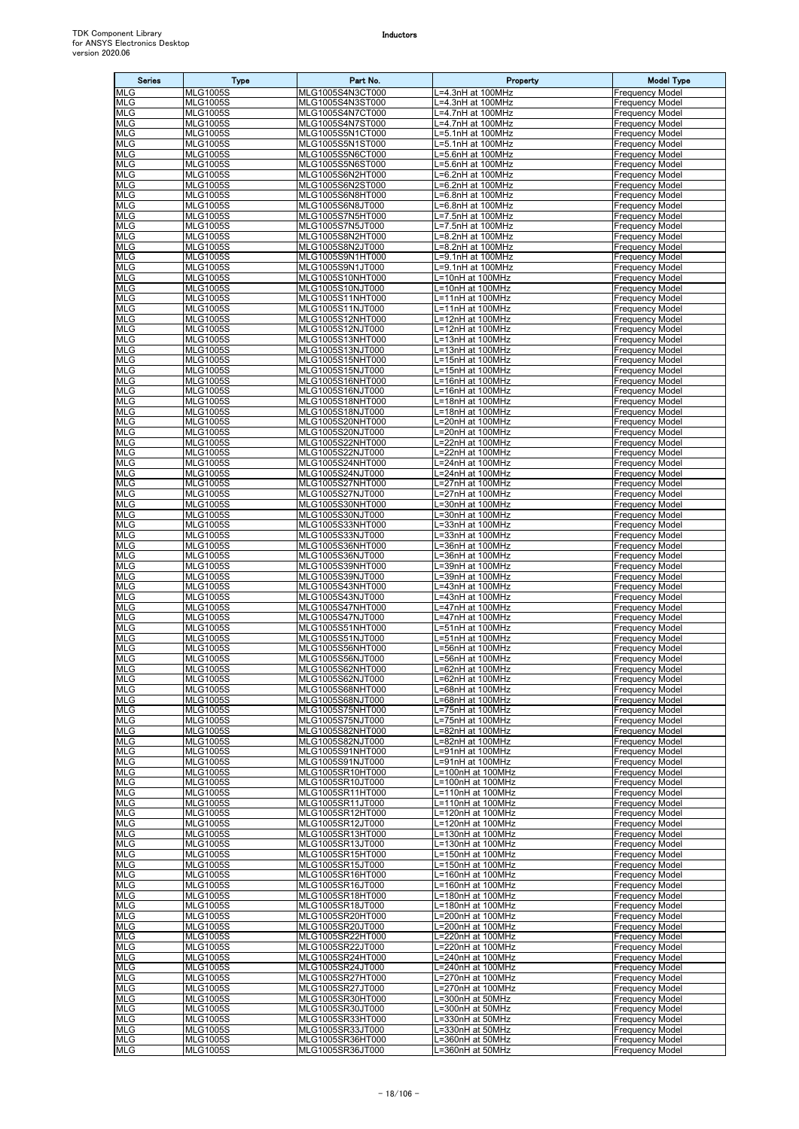| <b>Series</b>            | <b>Type</b>                        | Part No.                             | Property                               | <b>Model Type</b>                                |
|--------------------------|------------------------------------|--------------------------------------|----------------------------------------|--------------------------------------------------|
| <b>MLG</b>               | <b>MLG1005S</b>                    | MLG1005S4N3CT000                     | .=4.3nH at 100MHz                      | Frequency Model                                  |
| <b>MLG</b><br><b>MLG</b> | <b>MLG1005S</b><br><b>MLG1005S</b> | MLG1005S4N3ST000<br>MLG1005S4N7CT000 | -=4.3nH at 100MHz<br>L=4.7nH at 100MHz | <b>Frequency Model</b><br>Frequency Model        |
| <b>MLG</b>               | <b>MLG1005S</b>                    | MLG1005S4N7ST000                     | =4.7nH at 100MHz                       | Frequency Model                                  |
| MLG                      | <b>MLG1005S</b>                    | MLG1005S5N1CT000                     | =5.1nH at 100MHz                       | Frequency Model                                  |
| <b>MLG</b>               | <b>MLG1005S</b>                    | MLG1005S5N1ST000                     | =5.1nH at 100MHz                       | Frequency Model                                  |
| <b>MLG</b><br><b>MLG</b> | <b>MLG1005S</b><br><b>MLG1005S</b> | MLG1005S5N6CT000<br>MLG1005S5N6ST000 | .=5.6nH at 100MHz<br>L=5.6nH at 100MHz | Frequency Model<br><b>Frequency Model</b>        |
| MLG                      | <b>MLG1005S</b>                    | MLG1005S6N2HT000                     | .=6.2nH at 100MHz                      | Frequency Model                                  |
| <b>MLG</b>               | <b>MLG1005S</b>                    | MLG1005S6N2ST000                     | -6.2nH at 100MHz                       | <b>Frequency Model</b>                           |
| <b>MLG</b>               | <b>MLG1005S</b>                    | MLG1005S6N8HT000                     | L=6.8nH at 100MHz                      | Frequency Model                                  |
| <b>MLG</b><br><b>MLG</b> | <b>MLG1005S</b>                    | MLG1005S6N8JT000                     | .=6.8nH at 100MHz                      | <b>Frequency Model</b>                           |
| <b>MLG</b>               | <b>MLG1005S</b><br><b>MLG1005S</b> | MLG1005S7N5HT000<br>MLG1005S7N5JT000 | .=7.5nH at 100MHz<br>=7.5nH at 100MHz  | <b>Frequency Model</b><br>Frequency Model        |
| <b>MLG</b>               | <b>MLG1005S</b>                    | MLG1005S8N2HT000                     | L=8.2nH at 100MHz                      | Frequency Model                                  |
| <b>MLG</b>               | <b>MLG1005S</b>                    | MLG1005S8N2JT000                     | .=8.2nH at 100MHz                      | <b>Frequency Model</b>                           |
| <b>MLG</b>               | <b>MLG1005S</b>                    | MLG1005S9N1HT000                     | .=9.1nH at 100MHz                      | Frequency Model                                  |
| <b>MLG</b><br><b>MLG</b> | <b>MLG1005S</b><br><b>MLG1005S</b> | MLG1005S9N1JT000<br>MLG1005S10NHT000 | L=9.1nH at 100MHz<br>L=10nH at 100MHz  | <b>Frequency Model</b><br><b>Frequency Model</b> |
| <b>MLG</b>               | <b>MLG1005S</b>                    | MLG1005S10NJT000                     | =10nH at 100MHz                        | Frequency Model                                  |
| <b>MLG</b>               | <b>MLG1005S</b>                    | MLG1005S11NHT000                     | =11nH at 100MHz                        | Frequency Model                                  |
| <b>MLG</b>               | <b>MLG1005S</b>                    | MLG1005S11NJT000                     | L=11nH at 100MHz                       | Frequency Model                                  |
| <b>MLG</b><br><b>MLG</b> | <b>MLG1005S</b><br><b>MLG1005S</b> | MLG1005S12NHT000<br>MLG1005S12NJT000 | .=12nH at 100MHz<br>L=12nH at 100MHz   | <b>Frequency Model</b><br>Frequency Model        |
| <b>MLG</b>               | <b>MLG1005S</b>                    | MLG1005S13NHT000                     | L=13nH at 100MHz                       | Frequency Model                                  |
| MLG                      | <b>MLG1005S</b>                    | MLG1005S13NJT000                     | L=13nH at 100MHz                       | Frequency Model                                  |
| <b>MLG</b>               | <b>MLG1005S</b>                    | MLG1005S15NHT000                     | L=15nH at 100MHz                       | <b>Frequency Model</b>                           |
| <b>MLG</b><br><b>MLG</b> | <b>MLG1005S</b><br><b>MLG1005S</b> | MLG1005S15NJT000<br>MLG1005S16NHT000 | L=15nH at 100MHz<br>L=16nH at 100MHz   | Frequency Model<br>Frequency Model               |
| <b>MLG</b>               | <b>MLG1005S</b>                    | MLG1005S16NJT000                     | .=16nH at 100MHz                       | Frequency Model                                  |
| <b>MLG</b>               | <b>MLG1005S</b>                    | MLG1005S18NHT000                     | =18nH at 100MHz                        | Frequency Model                                  |
| <b>MLG</b>               | <b>MLG1005S</b>                    | MLG1005S18NJT000                     | L=18nH at 100MHz                       | Frequency Model                                  |
| MLG                      | <b>MLG1005S</b>                    | MLG1005S20NHT000                     | L=20nH at 100MHz                       | <b>Frequency Model</b>                           |
| MLG<br><b>MLG</b>        | <b>MLG1005S</b><br><b>MLG1005S</b> | MLG1005S20NJT000<br>MLG1005S22NHT000 | =20nH at 100MHz<br>_=22nH at 100MHz    | Frequency Model<br><b>Frequency Model</b>        |
| <b>MLG</b>               | <b>MLG1005S</b>                    | MLG1005S22NJT000                     | L=22nH at 100MHz                       | <b>Frequency Model</b>                           |
| MLG                      | <b>MLG1005S</b>                    | MLG1005S24NHT000                     | _=24nH at 100MHz                       | <b>Frequency Model</b>                           |
| <b>MLG</b>               | <b>MLG1005S</b>                    | MLG1005S24NJT000                     | .=24nH at 100MHz                       | Frequency Model                                  |
| <b>MLG</b><br>MLG        | <b>MLG1005S</b><br><b>MLG1005S</b> | MLG1005S27NHT000<br>MLG1005S27NJT000 | =27nH at 100MHz<br>L=27nH at 100MHz    | Frequency Model<br>Frequency Model               |
| <b>MLG</b>               | <b>MLG1005S</b>                    | MLG1005S30NHT000                     | =30nH at 100MHz                        | <b>Frequency Model</b>                           |
| <b>MLG</b>               | <b>MLG1005S</b>                    | MLG1005S30NJT000                     | .=30nH at 100MHz                       | Frequency Model                                  |
| <b>MLG</b>               | <b>MLG1005S</b>                    | MLG1005S33NHT000                     | L=33nH at 100MHz                       | <b>Frequency Model</b>                           |
| MLG                      | <b>MLG1005S</b>                    | MLG1005S33NJT000                     | L=33nH at 100MHz                       | Frequency Model                                  |
| <b>MLG</b><br><b>MLG</b> | <b>MLG1005S</b><br><b>MLG1005S</b> | MLG1005S36NHT000<br>MLG1005S36NJT000 | .=36nH at 100MHz<br>=36nH at 100MHz    | Frequency Model<br>Frequency Model               |
| <b>MLG</b>               | <b>MLG1005S</b>                    | MLG1005S39NHT000                     | =39nH at 100MHz                        | <b>Frequency Model</b>                           |
| <b>MLG</b>               | <b>MLG1005S</b>                    | MLG1005S39NJT000                     | .=39nH at 100MHz                       | Frequency Model                                  |
| <b>MLG</b>               | <b>MLG1005S</b>                    | MLG1005S43NHT000                     | .=43nH at 100MHz                       | Frequency Model                                  |
| <b>MLG</b><br>MLG        | <b>MLG1005S</b><br><b>MLG1005S</b> | MLG1005S43NJT000<br>MLG1005S47NHT000 | =43nH at 100MHz<br>L=47nH at 100MHz    | Frequency Model<br><b>Frequency Model</b>        |
| <b>MLG</b>               | <b>MLG1005S</b>                    | MLG1005S47NJT000                     | _=47nH at 100MHz                       | Frequency Model                                  |
| <b>MLG</b>               | <b>MLG1005S</b>                    | MLG1005S51NHT000                     | .=51nH at 100MHz                       | Frequency Model                                  |
| <b>MLG</b>               | <b>MLG1005S</b>                    | MLG1005S51NJT000                     | .=51nH at 100MHz                       | <b>Frequency Model</b>                           |
| MLG<br><b>MLG</b>        | <b>MLG1005S</b><br><b>MLG1005S</b> | MLG1005S56NHT000<br>MLG1005S56NJT000 | =56nH at 100MHz<br>=56nH at 100MHz     | <b>Frequency Model</b><br><b>Frequency Model</b> |
| <b>MLG</b>               | <b>MLG1005S</b>                    | MLG1005S62NHT000                     | L=62nH at 100MHz                       | <b>Frequency Model</b>                           |
| <b>MLG</b>               | <b>MLG1005S</b>                    | MLG1005S62NJT000                     | L=62nH at 100MHz                       | Frequency Model                                  |
| <b>MLG</b>               | <b>MLG1005S</b>                    | MLG1005S68NHT000                     | =68nH at 100MHz                        | Frequency Model                                  |
| <b>MLG</b><br><b>MLG</b> | <b>MLG1005S</b><br><b>MLG1005S</b> | MLG1005S68NJT000<br>MLG1005S75NHT000 | L=68nH at 100MHz<br>L=75nH at 100MHz   | <b>Frequency Model</b><br><b>Frequency Model</b> |
| MLG                      | <b>MLG1005S</b>                    | MLG1005S75NJT000                     | L=75nH at 100MHz                       | <b>Frequency Model</b>                           |
| <b>MLG</b>               | <b>MLG1005S</b>                    | MLG1005S82NHT000                     | .=82nH at 100MHz                       | Frequency Model                                  |
| <b>MLG</b>               | <b>MLG1005S</b>                    | MLG1005S82NJT000                     | .=82nH at 100MHz                       | <b>Frequency Model</b>                           |
| <b>MLG</b><br><b>MLG</b> | <b>MLG1005S</b><br><b>MLG1005S</b> | MLG1005S91NHT000<br>MLG1005S91NJT000 | L=91nH at 100MHz<br>L=91nH at 100MHz   | <b>Frequency Model</b><br><b>Frequency Model</b> |
| <b>MLG</b>               | <b>MLG1005S</b>                    | MLG1005SR10HT000                     | L=100nH at 100MHz                      | Frequency Model                                  |
| <b>MLG</b>               | <b>MLG1005S</b>                    | MLG1005SR10JT000                     | L=100nH at 100MHz                      | <b>Frequency Model</b>                           |
| <b>MLG</b>               | <b>MLG1005S</b>                    | MLG1005SR11HT000                     | L=110nH at 100MHz                      | <b>Frequency Model</b>                           |
| <b>MLG</b><br><b>MLG</b> | <b>MLG1005S</b><br><b>MLG1005S</b> | MLG1005SR11JT000<br>MLG1005SR12HT000 | L=110nH at 100MHz<br>-120nH at 100MHz  | Frequency Model<br><b>Frequency Model</b>        |
| <b>MLG</b>               | <b>MLG1005S</b>                    | MLG1005SR12JT000                     | L=120nH at 100MHz                      | <b>Frequency Model</b>                           |
| <b>MLG</b>               | <b>MLG1005S</b>                    | MLG1005SR13HT000                     | L=130nH at 100MHz                      | <b>Frequency Model</b>                           |
| <b>MLG</b>               | <b>MLG1005S</b>                    | MLG1005SR13JT000                     | L=130nH at 100MHz                      | Frequency Model                                  |
| <b>MLG</b><br><b>MLG</b> | <b>MLG1005S</b><br><b>MLG1005S</b> | MLG1005SR15HT000<br>MLG1005SR15JT000 | L=150nH at 100MHz<br>L=150nH at 100MHz | <b>Frequency Model</b><br><b>Frequency Model</b> |
| MLG                      | <b>MLG1005S</b>                    | MLG1005SR16HT000                     | L=160nH at 100MHz                      | <b>Frequency Model</b>                           |
| <b>MLG</b>               | <b>MLG1005S</b>                    | MLG1005SR16JT000                     | L=160nH at 100MHz                      | <b>Frequency Model</b>                           |
| <b>MLG</b>               | <b>MLG1005S</b>                    | MLG1005SR18HT000                     | L=180nH at 100MHz                      | <b>Frequency Model</b>                           |
| <b>MLG</b><br><b>MLG</b> | <b>MLG1005S</b><br><b>MLG1005S</b> | MLG1005SR18JT000<br>MLG1005SR20HT000 | -180nH at 100MHz<br>L=200nH at 100MHz  | <b>Frequency Model</b><br>Frequency Model        |
| <b>MLG</b>               | <b>MLG1005S</b>                    | MLG1005SR20JT000                     | _=200nH at 100MHz                      | <b>Frequency Model</b>                           |
| MLG                      | <b>MLG1005S</b>                    | MLG1005SR22HT000                     | $=220$ nH at 100MHz                    | <b>Frequency Model</b>                           |
| <b>MLG</b>               | <b>MLG1005S</b>                    | MLG1005SR22JT000                     | L=220nH at 100MHz                      | <b>Frequency Model</b>                           |
| <b>MLG</b><br><b>MLG</b> | <b>MLG1005S</b><br><b>MLG1005S</b> | MLG1005SR24HT000<br>MLG1005SR24JT000 | L=240nH at 100MHz<br>-240nH at 100MHz  | <b>Frequency Model</b><br>Frequency Model        |
| MLG                      | <b>MLG1005S</b>                    | MLG1005SR27HT000                     | .=270nH at 100MHz                      | <b>Frequency Model</b>                           |
| <b>MLG</b>               | <b>MLG1005S</b>                    | MLG1005SR27JT000                     | =270nH at 100MHz                       | <b>Frequency Model</b>                           |
| <b>MLG</b>               | <b>MLG1005S</b>                    | MLG1005SR30HT000                     | .=300nH at 50MHz                       | Frequency Model                                  |
| <b>MLG</b>               | <b>MLG1005S</b>                    | MLG1005SR30JT000                     | L=300nH at 50MHz                       | <b>Frequency Model</b>                           |
| <b>MLG</b><br><b>MLG</b> | <b>MLG1005S</b><br><b>MLG1005S</b> | MLG1005SR33HT000<br>MLG1005SR33JT000 | L=330nH at 50MHz<br>L=330nH at 50MHz   | <b>Frequency Model</b><br><b>Frequency Model</b> |
| <b>MLG</b>               | <b>MLG1005S</b>                    | MLG1005SR36HT000                     | L=360nH at 50MHz                       | <b>Frequency Model</b>                           |
| <b>MLG</b>               | <b>MLG1005S</b>                    | MLG1005SR36JT000                     | L=360nH at 50MHz                       | <b>Frequency Model</b>                           |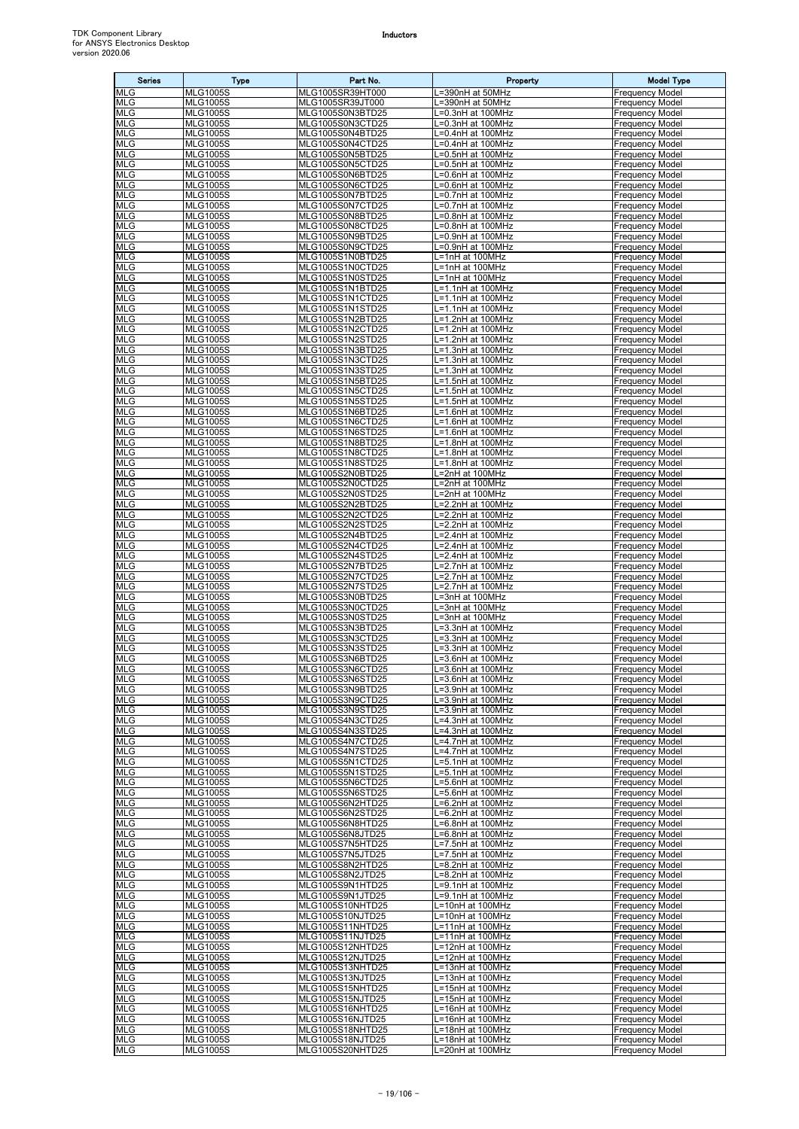| <b>Series</b>            | Type                               | Part No.                             | Property                               | <b>Model Type</b>                                |
|--------------------------|------------------------------------|--------------------------------------|----------------------------------------|--------------------------------------------------|
| <b>MLG</b>               | <b>MLG1005S</b>                    | MLG1005SR39HT000                     | =390nH at 50MHz                        | Frequency Model                                  |
| <b>MLG</b><br><b>MLG</b> | <b>MLG1005S</b><br><b>MLG1005S</b> | MLG1005SR39JT000<br>MLG1005S0N3BTD25 | =390nH at 50MHz<br>.=0.3nH at 100MHz   | Frequency Model<br>Frequency Model               |
| <b>MLG</b>               | <b>MLG1005S</b>                    | MLG1005S0N3CTD25                     | =0.3nH at 100MHz                       | Frequency Model                                  |
| <b>MLG</b>               | <b>MLG1005S</b>                    | MLG1005S0N4BTD25                     | .=0.4nH at 100MHz                      | Frequency Model                                  |
| <b>MLG</b>               | <b>MLG1005S</b>                    | MLG1005S0N4CTD25                     | _=0.4nH at 100MHz                      | Frequency Model                                  |
| <b>MLG</b>               | <b>MLG1005S</b>                    | MLG1005S0N5BTD25                     | =0.5nH at 100MHz                       | Frequency Model                                  |
| <b>MLG</b><br>MLG        | <b>MLG1005S</b><br><b>MLG1005S</b> | MLG1005S0N5CTD25<br>MLG1005S0N6BTD25 | L=0.5nH at 100MHz<br>L=0.6nH at 100MHz | <b>Frequency Model</b><br>Frequency Model        |
| <b>MLG</b>               | <b>MLG1005S</b>                    | MLG1005S0N6CTD25                     | =0.6nH at 100MHz                       | Frequency Model                                  |
| <b>MLG</b>               | <b>MLG1005S</b>                    | MLG1005S0N7BTD25                     | .=0.7nH at 100MHz                      | <b>Frequency Model</b>                           |
| MLG<br><b>MLG</b>        | <b>MLG1005S</b><br><b>MLG1005S</b> | MLG1005S0N7CTD25<br>MLG1005S0N8BTD25 | =0.7nH at 100MHz<br>=0.8nH at 100MHz   | <b>Frequency Model</b><br><b>Frequency Model</b> |
| <b>MLG</b>               | <b>MLG1005S</b>                    | MLG1005S0N8CTD25                     | =0.8nH at 100MHz                       | <b>Frequency Model</b>                           |
| MLG                      | <b>MLG1005S</b>                    | MLG1005S0N9BTD25                     | =0.9nH at 100MHz                       | Frequency Model                                  |
| <b>MLG</b>               | <b>MLG1005S</b>                    | MLG1005S0N9CTD25                     | L=0.9nH at 100MHz                      | <b>Frequency Model</b>                           |
| <b>MLG</b><br><b>MLG</b> | <b>MLG1005S</b><br><b>MLG1005S</b> | MLG1005S1N0BTD25<br>MLG1005S1N0CTD25 | L=1nH at 100MHz<br>L=1nH at 100MHz     | Frequency Model<br>Frequency Model               |
| MLG                      | <b>MLG1005S</b>                    | MLG1005S1N0STD25                     | .=1nH at 100MHz                        | Frequency Model                                  |
| <b>MLG</b>               | <b>MLG1005S</b>                    | MLG1005S1N1BTD25                     | =1.1nH at 100MHz                       | Frequency Model                                  |
| <b>MLG</b>               | <b>MLG1005S</b>                    | MLG1005S1N1CTD25                     | .=1.1nH at 100MHz                      | Frequency Model                                  |
| <b>MLG</b><br><b>MLG</b> | <b>MLG1005S</b><br><b>MLG1005S</b> | MLG1005S1N1STD25<br>MLG1005S1N2BTD25 | L=1.1nH at 100MHz<br>L=1.2nH at 100MHz | <b>Frequency Model</b><br>Frequency Model        |
| MLG                      | <b>MLG1005S</b>                    | MLG1005S1N2CTD25                     | -1.2nH at 100MHz                       | Frequency Model                                  |
| <b>MLG</b>               | <b>MLG1005S</b>                    | MLG1005S1N2STD25                     | L=1.2nH at 100MHz                      | <b>Frequency Model</b>                           |
| <b>MLG</b>               | <b>MLG1005S</b>                    | MLG1005S1N3BTD25                     | L=1.3nH at 100MHz                      | Frequency Model                                  |
| <b>MLG</b><br><b>MLG</b> | <b>MLG1005S</b><br><b>MLG1005S</b> | MLG1005S1N3CTD25<br>MLG1005S1N3STD25 | -1.3nH at 100MHz<br>.=1.3nH at 100MHz  | Frequency Model<br>Frequency Model               |
| <b>MLG</b>               | <b>MLG1005S</b>                    | MLG1005S1N5BTD25                     | L=1.5nH at 100MHz                      | Frequency Model                                  |
| MLG                      | <b>MLG1005S</b>                    | MLG1005S1N5CTD25                     | L=1.5nH at 100MHz                      | <b>Frequency Model</b>                           |
| <b>MLG</b><br><b>MLG</b> | <b>MLG1005S</b><br><b>MLG1005S</b> | MLG1005S1N5STD25<br>MLG1005S1N6BTD25 | L=1.5nH at 100MHz<br>L=1.6nH at 100MHz | Frequency Model                                  |
| MLG                      | <b>MLG1005S</b>                    | MLG1005S1N6CTD25                     | L=1.6nH at 100MHz                      | Frequency Model<br><b>Frequency Model</b>        |
| <b>MLG</b>               | <b>MLG1005S</b>                    | MLG1005S1N6STD25                     | L=1.6nH at 100MHz                      | <b>Frequency Model</b>                           |
| <b>MLG</b>               | <b>MLG1005S</b>                    | MLG1005S1N8BTD25                     | -1.8nH at 100MHz                       | Frequency Model                                  |
| <b>MLG</b><br>MLG        | <b>MLG1005S</b><br><b>MLG1005S</b> | MLG1005S1N8CTD25<br>MLG1005S1N8STD25 | L=1.8nH at 100MHz                      | Frequency Model<br><b>Frequency Model</b>        |
| MLG                      | <b>MLG1005S</b>                    | MLG1005S2N0BTD25                     | _=1.8nH at 100MHz<br>L=2nH at 100MHz   | Frequency Model                                  |
| <b>MLG</b>               | <b>MLG1005S</b>                    | MLG1005S2N0CTD25                     | L=2nH at 100MHz                        | <b>Frequency Model</b>                           |
| <b>MLG</b>               | <b>MLG1005S</b>                    | MLG1005S2N0STD25                     | L=2nH at 100MHz                        | Frequency Model                                  |
| <b>MLG</b><br><b>MLG</b> | <b>MLG1005S</b><br><b>MLG1005S</b> | MLG1005S2N2BTD25<br>MLG1005S2N2CTD25 | L=2.2nH at 100MHz<br>L=2.2nH at 100MHz | <b>Frequency Model</b><br>Frequency Model        |
| <b>MLG</b>               | <b>MLG1005S</b>                    | MLG1005S2N2STD25                     | L=2.2nH at 100MHz                      | Frequency Model                                  |
| <b>MLG</b>               | <b>MLG1005S</b>                    | MLG1005S2N4BTD25                     | .=2.4nH at 100MHz                      | Frequency Model                                  |
| <b>MLG</b>               | <b>MLG1005S</b>                    | MLG1005S2N4CTD25                     | =2.4nH at 100MHz                       | Frequency Model                                  |
| <b>MLG</b><br>MLG        | <b>MLG1005S</b><br><b>MLG1005S</b> | MLG1005S2N4STD25<br>MLG1005S2N7BTD25 | .=2.4nH at 100MHz<br>L=2.7nH at 100MHz | Frequency Model<br><b>Frequency Model</b>        |
| <b>MLG</b>               | <b>MLG1005S</b>                    | MLG1005S2N7CTD25                     | _=2.7nH at 100MHz                      | Frequency Model                                  |
| <b>MLG</b>               | <b>MLG1005S</b>                    | MLG1005S2N7STD25                     | _=2.7nH at 100MHz                      | <b>Frequency Model</b>                           |
| <b>MLG</b>               | <b>MLG1005S</b>                    | MLG1005S3N0BTD25                     | L=3nH at 100MHz                        | <b>Frequency Model</b>                           |
| MLG<br><b>MLG</b>        | <b>MLG1005S</b><br><b>MLG1005S</b> | MLG1005S3N0CTD25<br>MLG1005S3N0STD25 | L=3nH at 100MHz<br>.=3nH at 100MHz     | <b>Frequency Model</b><br><b>Frequency Model</b> |
| <b>MLG</b>               | <b>MLG1005S</b>                    | MLG1005S3N3BTD25                     | .=3.3nH at 100MHz                      | Frequency Model                                  |
| MLG                      | <b>MLG1005S</b>                    | MLG1005S3N3CTD25                     | L=3.3nH at 100MHz                      | <b>Frequency Model</b>                           |
| <b>MLG</b><br><b>MLG</b> | <b>MLG1005S</b><br><b>MLG1005S</b> | MLG1005S3N3STD25<br>MLG1005S3N6BTD25 | =3.3nH at 100MHz<br>.=3.6nH at 100MHz  | <b>Frequency Model</b><br><b>Frequency Model</b> |
| <b>MLG</b>               | <b>MLG1005S</b>                    | MLG1005S3N6CTD25                     | L=3.6nH at 100MHz                      | <b>Frequency Model</b>                           |
| <b>MLG</b>               | <b>MLG1005S</b>                    | MLG1005S3N6STD25                     | L=3.6nH at 100MHz                      | <b>Frequency Model</b>                           |
| <b>MLG</b>               | <b>MLG1005S</b>                    | MLG1005S3N9BTD25                     | L=3.9nH at 100MHz                      | <b>Frequency Model</b>                           |
| <b>MLG</b><br><b>MLG</b> | <b>MLG1005S</b><br><b>MLG1005S</b> | MLG1005S3N9CTD25<br>MLG1005S3N9STD25 | L=3.9nH at 100MHz<br>L=3.9nH at 100MHz | <b>Frequency Model</b><br><b>Frequency Model</b> |
| MLG                      | <b>MLG1005S</b>                    | MLG1005S4N3CTD25                     | -4.3nH at 100MHz                       | Frequency Model                                  |
| <b>MLG</b>               | <b>MLG1005S</b>                    | MLG1005S4N3STD25                     | .=4.3nH at 100MHz                      | <b>Frequency Model</b>                           |
| <b>MLG</b>               | <b>MLG1005S</b>                    | MLG1005S4N7CTD25                     | -4.7nH at 100MHz                       | <b>Frequency Model</b>                           |
| <b>MLG</b><br><b>MLG</b> | <b>MLG1005S</b><br><b>MLG1005S</b> | MLG1005S4N7STD25<br>MLG1005S5N1CTD25 | .=4.7nH at 100MHz<br>L=5.1nH at 100MHz | <b>Frequency Model</b><br><b>Frequency Model</b> |
| <b>MLG</b>               | <b>MLG1005S</b>                    | MLG1005S5N1STD25                     | L=5.1nH at 100MHz                      | <b>Frequency Model</b>                           |
| <b>MLG</b>               | <b>MLG1005S</b>                    | MLG1005S5N6CTD25                     | L=5.6nH at 100MHz                      | <b>Frequency Model</b>                           |
| MLG<br><b>MLG</b>        | <b>MLG1005S</b><br><b>MLG1005S</b> | MLG1005S5N6STD25<br>MLG1005S6N2HTD25 | .=5.6nH at 100MHz<br>-6.2nH at 100MHz  | <b>Frequency Model</b><br>Frequency Model        |
| <b>MLG</b>               | <b>MLG1005S</b>                    | MLG1005S6N2STD25                     | L=6.2nH at 100MHz                      | <b>Frequency Model</b>                           |
| <b>MLG</b>               | <b>MLG1005S</b>                    | MLG1005S6N8HTD25                     | L=6.8nH at 100MHz                      | <b>Frequency Model</b>                           |
| <b>MLG</b>               | <b>MLG1005S</b>                    | MLG1005S6N8JTD25                     | L=6.8nH at 100MHz                      | <b>Frequency Model</b>                           |
| <b>MLG</b><br><b>MLG</b> | <b>MLG1005S</b><br><b>MLG1005S</b> | MLG1005S7N5HTD25<br>MLG1005S7N5JTD25 | L=7.5nH at 100MHz<br>L=7.5nH at 100MHz | <b>Frequency Model</b><br><b>Frequency Model</b> |
| MLG                      | <b>MLG1005S</b>                    | MLG1005S8N2HTD25                     | -8.2nH at 100MHz                       | <b>Frequency Model</b>                           |
| MLG                      | <b>MLG1005S</b>                    | MLG1005S8N2JTD25                     | .=8.2nH at 100MHz                      | <b>Frequency Model</b>                           |
| <b>MLG</b><br><b>MLG</b> | <b>MLG1005S</b><br><b>MLG1005S</b> | MLG1005S9N1HTD25<br>MLG1005S9N1JTD25 | =9.1nH at 100MHz                       | <b>Frequency Model</b><br><b>Frequency Model</b> |
| <b>MLG</b>               | <b>MLG1005S</b>                    | MLG1005S10NHTD25                     | L=9.1nH at 100MHz<br>L=10nH at 100MHz  | <b>Frequency Model</b>                           |
| <b>MLG</b>               | <b>MLG1005S</b>                    | MLG1005S10NJTD25                     | L=10nH at 100MHz                       | Frequency Model                                  |
| <b>MLG</b>               | <b>MLG1005S</b>                    | MLG1005S11NHTD25                     | L=11nH at 100MHz                       | <b>Frequency Model</b>                           |
| <b>MLG</b><br><b>MLG</b> | <b>MLG1005S</b><br><b>MLG1005S</b> | MLG1005S11NJTD25<br>MLG1005S12NHTD25 | L=11nH at 100MHz<br>L=12nH at 100MHz   | <b>Frequency Model</b><br>Frequency Model        |
| <b>MLG</b>               | <b>MLG1005S</b>                    | MLG1005S12NJTD25                     | L=12nH at 100MHz                       | <b>Frequency Model</b>                           |
| <b>MLG</b>               | <b>MLG1005S</b>                    | MLG1005S13NHTD25                     | L=13nH at 100MHz                       | <b>Frequency Model</b>                           |
| <b>MLG</b>               | <b>MLG1005S</b>                    | MLG1005S13NJTD25                     | L=13nH at 100MHz                       | <b>Frequency Model</b>                           |
| <b>MLG</b><br><b>MLG</b> | <b>MLG1005S</b><br><b>MLG1005S</b> | MLG1005S15NHTD25<br>MLG1005S15NJTD25 | L=15nH at 100MHz<br>L=15nH at 100MHz   | <b>Frequency Model</b><br><b>Frequency Model</b> |
| <b>MLG</b>               | <b>MLG1005S</b>                    | MLG1005S16NHTD25                     | L=16nH at 100MHz                       | <b>Frequency Model</b>                           |
| <b>MLG</b>               | <b>MLG1005S</b>                    | MLG1005S16NJTD25                     | L=16nH at 100MHz                       | <b>Frequency Model</b>                           |
| <b>MLG</b>               | <b>MLG1005S</b><br><b>MLG1005S</b> | MLG1005S18NHTD25                     | L=18nH at 100MHz<br>L=18nH at 100MHz   | <b>Frequency Model</b><br><b>Frequency Model</b> |
| <b>MLG</b><br><b>MLG</b> | <b>MLG1005S</b>                    | MLG1005S18NJTD25<br>MLG1005S20NHTD25 | L=20nH at 100MHz                       | <b>Frequency Model</b>                           |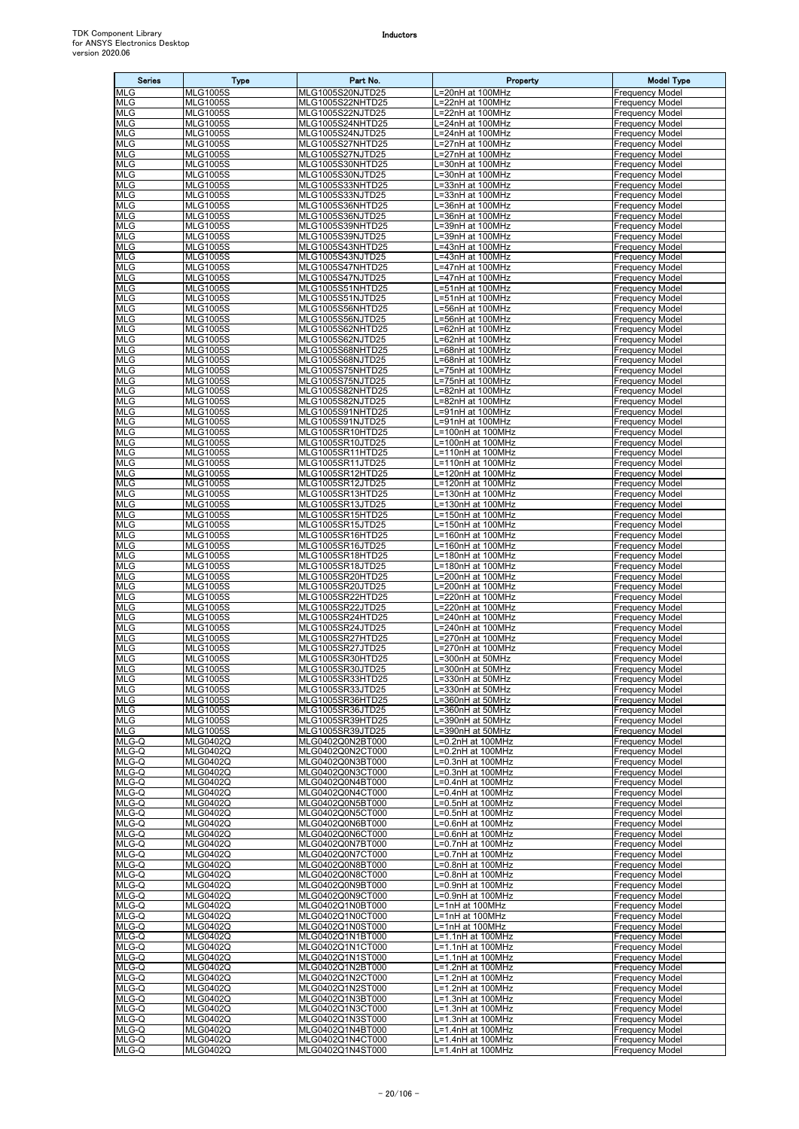| <b>Series</b>            | <b>Type</b>                        | Part No.                             | Property                               | <b>Model Type</b>                                |
|--------------------------|------------------------------------|--------------------------------------|----------------------------------------|--------------------------------------------------|
| MLG                      | <b>MLG1005S</b>                    | MLG1005S20NJTD25                     | .=20nH at 100MHz                       | <b>Frequency Model</b>                           |
| <b>MLG</b><br><b>MLG</b> | <b>MLG1005S</b><br><b>MLG1005S</b> | MLG1005S22NHTD25<br>MLG1005S22NJTD25 | L=22nH at 100MHz<br>L=22nH at 100MHz   | <b>Frequency Model</b><br><b>Frequency Model</b> |
| <b>MLG</b>               | <b>MLG1005S</b>                    | MLG1005S24NHTD25                     | L=24nH at 100MHz                       | <b>Frequency Model</b>                           |
| <b>MLG</b>               | <b>MLG1005S</b>                    | MLG1005S24NJTD25                     | .=24nH at 100MHz                       | <b>Frequency Model</b>                           |
| <b>MLG</b>               | <b>MLG1005S</b>                    | MLG1005S27NHTD25                     | =27nH at 100MHz                        | <b>Frequency Model</b>                           |
| <b>MLG</b>               | <b>MLG1005S</b>                    | MLG1005S27NJTD25                     | =27nH at 100MHz                        | <b>Frequency Model</b>                           |
| <b>MLG</b><br>MLG        | <b>MLG1005S</b><br><b>MLG1005S</b> | MLG1005S30NHTD25<br>MLG1005S30NJTD25 | =30nH at 100MHz<br>=30nH at 100MHz     | <b>Frequency Model</b><br><b>Frequency Model</b> |
| <b>MLG</b>               | <b>MLG1005S</b>                    | MLG1005S33NHTD25                     | .=33nH at 100MHz                       | <b>Frequency Model</b>                           |
| <b>MLG</b>               | <b>MLG1005S</b>                    | MLG1005S33NJTD25                     | L=33nH at 100MHz                       | <b>Frequency Model</b>                           |
| <b>MLG</b>               | <b>MLG1005S</b>                    | MLG1005S36NHTD25                     | =36nH at 100MHz                        | <b>Frequency Model</b>                           |
| <b>MLG</b><br><b>MLG</b> | <b>MLG1005S</b><br><b>MLG1005S</b> | MLG1005S36NJTD25<br>MLG1005S39NHTD25 | =36nH at 100MHz<br>.=39nH at 100MHz    | <b>Frequency Model</b><br><b>Frequency Model</b> |
| <b>MLG</b>               | <b>MLG1005S</b>                    | MLG1005S39NJTD25                     | L=39nH at 100MHz                       | <b>Frequency Model</b>                           |
| <b>MLG</b>               | <b>MLG1005S</b>                    | MLG1005S43NHTD25                     | =43nH at 100MHz                        | <b>Frequency Model</b>                           |
| MLG                      | <b>MLG1005S</b>                    | MLG1005S43NJTD25                     | =43nH at 100MHz                        | <b>Frequency Model</b>                           |
| <b>MLG</b>               | <b>MLG1005S</b>                    | MLG1005S47NHTD25                     | L=47nH at 100MHz                       | <b>Frequency Model</b>                           |
| <b>MLG</b><br>MLG        | <b>MLG1005S</b><br><b>MLG1005S</b> | MLG1005S47NJTD25<br>MLG1005S51NHTD25 | L=47nH at 100MHz<br>.=51nH at 100MHz   | <b>Frequency Model</b><br><b>Frequency Model</b> |
| <b>MLG</b>               | <b>MLG1005S</b>                    | MLG1005S51NJTD25                     | .=51nH at 100MHz                       | <b>Frequency Model</b>                           |
| MLG                      | <b>MLG1005S</b>                    | MLG1005S56NHTD25                     | =56nH at 100MHz                        | <b>Frequency Model</b>                           |
| <b>MLG</b>               | <b>MLG1005S</b>                    | MLG1005S56NJTD25                     | =56nH at 100MHz                        | <b>Frequency Model</b>                           |
| <b>MLG</b><br><b>MLG</b> | <b>MLG1005S</b><br><b>MLG1005S</b> | MLG1005S62NHTD25<br>MLG1005S62NJTD25 | .=62nH at 100MHz<br>=62nH at 100MHz    | <b>Frequency Model</b><br><b>Frequency Model</b> |
| MLG                      | <b>MLG1005S</b>                    | MLG1005S68NHTD25                     | =68nH at 100MHz                        | <b>Frequency Model</b>                           |
| <b>MLG</b>               | <b>MLG1005S</b>                    | MLG1005S68NJTD25                     | L=68nH at 100MHz                       | <b>Frequency Model</b>                           |
| <b>MLG</b>               | <b>MLG1005S</b>                    | MLG1005S75NHTD25                     | L=75nH at 100MHz                       | <b>Frequency Model</b>                           |
| <b>MLG</b>               | <b>MLG1005S</b>                    | MLG1005S75NJTD25                     | =75nH at 100MHz                        | <b>Frequency Model</b>                           |
| <b>MLG</b><br><b>MLG</b> | <b>MLG1005S</b><br><b>MLG1005S</b> | MLG1005S82NHTD25<br>MLG1005S82NJTD25 | =82nH at 100MHz<br>.=82nH at 100MHz    | <b>Frequency Model</b><br><b>Frequency Model</b> |
| <b>MLG</b>               | <b>MLG1005S</b>                    | MLG1005S91NHTD25                     | =91nH at 100MHz                        | <b>Frequency Model</b>                           |
| <b>MLG</b>               | <b>MLG1005S</b>                    | MLG1005S91NJTD25                     | L=91nH at 100MHz                       | <b>Frequency Model</b>                           |
| MLG                      | <b>MLG1005S</b>                    | MLG1005SR10HTD25                     | =100nH at 100MHz                       | <b>Frequency Model</b>                           |
| <b>MLG</b><br><b>MLG</b> | <b>MLG1005S</b><br><b>MLG1005S</b> | MLG1005SR10JTD25<br>MLG1005SR11HTD25 | L=100nH at 100MHz<br>L=110nH at 100MHz | <b>Frequency Model</b><br><b>Frequency Model</b> |
| <b>MLG</b>               | <b>MLG1005S</b>                    | MLG1005SR11JTD25                     | L=110nH at 100MHz                      | <b>Frequency Model</b>                           |
| <b>MLG</b>               | <b>MLG1005S</b>                    | MLG1005SR12HTD25                     | _=120nH at 100MHz                      | <b>Frequency Model</b>                           |
| <b>MLG</b>               | <b>MLG1005S</b>                    | MLG1005SR12JTD25                     | L=120nH at 100MHz                      | <b>Frequency Model</b>                           |
| <b>MLG</b>               | <b>MLG1005S</b>                    | MLG1005SR13HTD25                     | L=130nH at 100MHz                      | <b>Frequency Model</b>                           |
| <b>MLG</b><br>MLG        | <b>MLG1005S</b><br><b>MLG1005S</b> | MLG1005SR13JTD25<br>MLG1005SR15HTD25 | L=130nH at 100MHz<br>=150nH at 100MHz  | <b>Frequency Model</b><br><b>Frequency Model</b> |
| <b>MLG</b>               | <b>MLG1005S</b>                    | MLG1005SR15JTD25                     | L=150nH at 100MHz                      | <b>Frequency Model</b>                           |
| <b>MLG</b>               | <b>MLG1005S</b>                    | MLG1005SR16HTD25                     | L=160nH at 100MHz                      | <b>Frequency Model</b>                           |
| <b>MLG</b>               | <b>MLG1005S</b>                    | MLG1005SR16JTD25                     | -160nH at 100MHz                       | <b>Frequency Model</b>                           |
| MLG<br><b>MLG</b>        | <b>MLG1005S</b><br><b>MLG1005S</b> | MLG1005SR18HTD25<br>MLG1005SR18JTD25 | =180nH at 100MHz<br>L=180nH at 100MHz  | <b>Frequency Model</b><br><b>Frequency Model</b> |
| MLG                      | <b>MLG1005S</b>                    | MLG1005SR20HTD25                     | _=200nH at 100MHz                      | <b>Frequency Model</b>                           |
| <b>MLG</b>               | <b>MLG1005S</b>                    | MLG1005SR20JTD25                     | =200nH at 100MHz                       | <b>Frequency Model</b>                           |
| <b>MLG</b>               | <b>MLG1005S</b>                    | MLG1005SR22HTD25                     | L=220nH at 100MHz                      | <b>Frequency Model</b>                           |
| <b>MLG</b><br>MLG        | <b>MLG1005S</b>                    | MLG1005SR22JTD25                     | L=220nH at 100MHz                      | <b>Frequency Model</b>                           |
| <b>MLG</b>               | <b>MLG1005S</b><br><b>MLG1005S</b> | MLG1005SR24HTD25<br>MLG1005SR24JTD25 | L=240nH at 100MHz<br>_=240nH at 100MHz | <b>Frequency Model</b><br><b>Frequency Model</b> |
| <b>MLG</b>               | <b>MLG1005S</b>                    | MLG1005SR27HTD25                     | L=270nH at 100MHz                      | <b>Frequency Model</b>                           |
| MLG                      | <b>MLG1005S</b>                    | MLG1005SR27JTD25                     | =270nH at 100MHz                       | <b>Frequency Model</b>                           |
| <b>MLG</b>               | <b>MLG1005S</b>                    | MLG1005SR30HTD25                     | _=300nH at 50MHz                       | <b>Frequency Model</b>                           |
| <b>MLG</b><br><b>MLG</b> | <b>MLG1005S</b><br><b>MLG1005S</b> | MLG1005SR30JTD25<br>MLG1005SR33HTD25 | L=300nH at 50MHz<br>L=330nH at 50MHz   | <b>Frequency Model</b><br><b>Frequency Model</b> |
| <b>MLG</b>               | <b>MLG1005S</b>                    | MLG1005SR33JTD25                     | L=330nH at 50MHz                       | <b>Frequency Model</b>                           |
| MLG                      | <b>MLG1005S</b>                    | MLG1005SR36HTD25                     | -360nH at 50MHz                        | <b>Frequency Model</b>                           |
| <b>MLG</b>               | <b>MLG1005S</b>                    | MLG1005SR36JTD25                     | L=360nH at 50MHz                       | <b>Frequency Model</b>                           |
| MLG<br><b>MLG</b>        | <b>MLG1005S</b>                    | MLG1005SR39HTD25                     | L=390nH at 50MHz                       | <b>Frequency Model</b>                           |
| MLG-Q                    | <b>MLG1005S</b><br><b>MLG0402Q</b> | MLG1005SR39JTD25<br>MLG0402Q0N2BT000 | =390nH at 50MHz<br>=0.2nH at 100MHz    | <b>Frequency Model</b><br><b>Frequency Model</b> |
| MLG-Q                    | <b>MLG0402Q</b>                    | MLG0402Q0N2CT000                     | $\overline{=0.2}$ nH at 100MHz         | <b>Frequency Model</b>                           |
| MLG-Q                    | <b>MLG0402Q</b>                    | MLG0402Q0N3BT000                     | =0.3nH at 100MHz                       | <b>Frequency Model</b>                           |
| MLG-Q                    | <b>MLG0402Q</b>                    | MLG0402Q0N3CT000                     | =0.3nH at 100MHz                       | <b>Frequency Model</b>                           |
| MLG-Q<br>MLG-Q           | <b>MLG0402Q</b><br><b>MLG0402Q</b> | MLG0402Q0N4BT000<br>MLG0402Q0N4CT000 | L=0.4nH at 100MHz<br>L=0.4nH at 100MHz | <b>Frequency Model</b><br><b>Frequency Model</b> |
| MLG-Q                    | <b>MLG0402Q</b>                    | MLG0402Q0N5BT000                     | =0.5nH at 100MHz                       | <b>Frequency Model</b>                           |
| MLG-Q                    | <b>MLG0402Q</b>                    | MLG0402Q0N5CT000                     | =0.5nH at 100MHz                       | <b>Frequency Model</b>                           |
| MLG-Q                    | <b>MLG0402Q</b>                    | MLG0402Q0N6BT000                     | =0.6nH at 100MHz                       | <b>Frequency Model</b>                           |
| MLG-Q<br>MLG-Q           | <b>MLG0402Q</b>                    | MLG0402Q0N6CT000<br>MLG0402Q0N7BT000 | =0.6nH at 100MHz                       | <b>Frequency Model</b>                           |
| MLG-Q                    | <b>MLG0402Q</b><br><b>MLG0402Q</b> | MLG0402Q0N7CT000                     | =0.7nH at 100MHz<br>=0.7nH at 100MHz   | <b>Frequency Model</b><br><b>Frequency Model</b> |
| MLG-Q                    | <b>MLG0402Q</b>                    | MLG0402Q0N8BT000                     | L=0.8nH at 100MHz                      | <b>Frequency Model</b>                           |
| MLG-Q                    | <b>MLG0402Q</b>                    | MLG0402Q0N8CT000                     | L=0.8nH at 100MHz                      | <b>Frequency Model</b>                           |
| MLG-Q                    | <b>MLG0402Q</b>                    | MLG0402Q0N9BT000                     | =0.9nH at 100MHz                       | <b>Frequency Model</b>                           |
| MLG-Q<br>MLG-Q           | <b>MLG0402Q</b><br><b>MLG0402Q</b> | MLG0402Q0N9CT000<br>MLG0402Q1N0BT000 | _=0.9nH at 100MHz<br>L=1nH at 100MHz   | <b>Frequency Model</b><br><b>Frequency Model</b> |
| MLG-Q                    | <b>MLG0402Q</b>                    | MLG0402Q1N0CT000                     | L=1nH at 100MHz                        | <b>Frequency Model</b>                           |
| MLG-Q                    | <b>MLG0402Q</b>                    | MLG0402Q1N0ST000                     | L=1nH at 100MHz                        | <b>Frequency Model</b>                           |
| MLG-Q                    | <b>MLG0402Q</b>                    | MLG0402Q1N1BT000                     | L=1.1nH at 100MHz                      | <b>Frequency Model</b>                           |
| MLG-Q<br>MLG-Q           | <b>MLG0402Q</b><br><b>MLG0402Q</b> | MLG0402Q1N1CT000<br>MLG0402Q1N1ST000 | L=1.1nH at 100MHz<br>L=1.1nH at 100MHz | <b>Frequency Model</b><br><b>Frequency Model</b> |
| MLG-Q                    | <b>MLG0402Q</b>                    | MLG0402Q1N2BT000                     | L=1.2nH at 100MHz                      | <b>Frequency Model</b>                           |
| MLG-Q                    | <b>MLG0402Q</b>                    | MLG0402Q1N2CT000                     | .=1.2nH at 100MHz                      | <b>Frequency Model</b>                           |
| MLG-Q                    | <b>MLG0402Q</b>                    | MLG0402Q1N2ST000                     | -1.2nH at 100MHz                       | <b>Frequency Model</b>                           |
| MLG-Q                    | <b>MLG0402Q</b>                    | MLG0402Q1N3BT000                     | L=1.3nH at 100MHz                      | <b>Frequency Model</b>                           |
| MLG-Q<br>MLG-Q           | <b>MLG0402Q</b><br><b>MLG0402Q</b> | MLG0402Q1N3CT000<br>MLG0402Q1N3ST000 | L=1.3nH at 100MHz<br>L=1.3nH at 100MHz | <b>Frequency Model</b><br><b>Frequency Model</b> |
| MLG-Q                    | <b>MLG0402Q</b>                    | MLG0402Q1N4BT000                     | L=1.4nH at 100MHz                      | <b>Frequency Model</b>                           |
| MLG-Q                    | <b>MLG0402Q</b>                    | MLG0402Q1N4CT000                     | L=1.4nH at 100MHz                      | <b>Frequency Model</b>                           |
| MLG-Q                    | <b>MLG0402Q</b>                    | MLG0402Q1N4ST000                     | L=1.4nH at 100MHz                      | <b>Frequency Model</b>                           |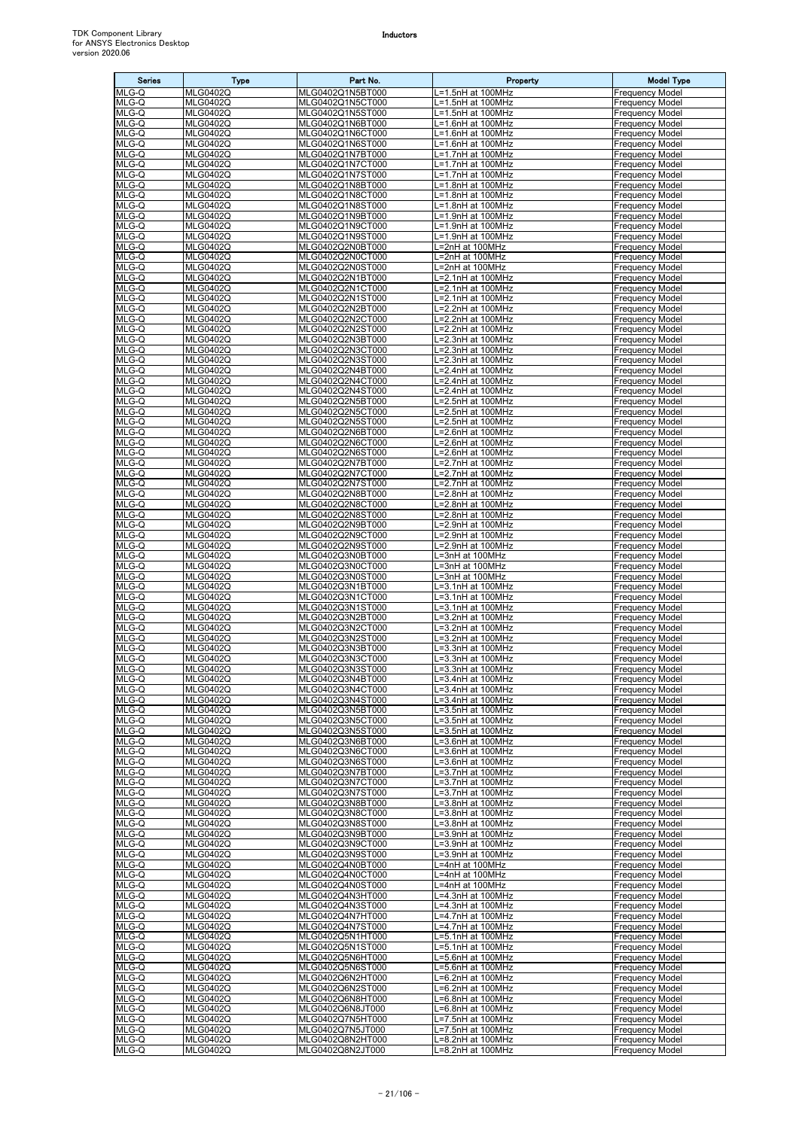| <b>Series</b>  | Type                               | Part No.                             | Property                               | <b>Model Type</b>                                |
|----------------|------------------------------------|--------------------------------------|----------------------------------------|--------------------------------------------------|
| MLG-Q          | <b>MLG0402Q</b>                    | MLG0402Q1N5BT000                     | L=1.5nH at 100MHz                      | <b>Frequency Model</b>                           |
| MLG-Q<br>MLG-Q | <b>MLG0402Q</b><br><b>MLG0402Q</b> | MLG0402Q1N5CT000<br>MLG0402Q1N5ST000 | L=1.5nH at 100MHz                      | <b>Frequency Model</b><br><b>Frequency Model</b> |
| MLG-Q          | <b>MLG0402Q</b>                    | MLG0402Q1N6BT000                     | L=1.5nH at 100MHz<br>L=1.6nH at 100MHz | <b>Frequency Model</b>                           |
| MLG-Q          | <b>MLG0402Q</b>                    | MLG0402Q1N6CT000                     | L=1.6nH at 100MHz                      | <b>Frequency Model</b>                           |
| MLG-Q          | <b>MLG0402Q</b>                    | MLG0402Q1N6ST000                     | L=1.6nH at 100MHz                      | <b>Frequency Model</b>                           |
| MLG-Q          | <b>MLG0402Q</b>                    | MLG0402Q1N7BT000                     | L=1.7nH at 100MHz                      | <b>Frequency Model</b>                           |
| MLG-Q<br>MLG-Q | <b>MLG0402Q</b><br><b>MLG0402Q</b> | MLG0402Q1N7CT000<br>MLG0402Q1N7ST000 | L=1.7nH at 100MHz<br>L=1.7nH at 100MHz | <b>Frequency Model</b><br><b>Frequency Model</b> |
| MLG-Q          | <b>MLG0402Q</b>                    | MLG0402Q1N8BT000                     | L=1.8nH at 100MHz                      | <b>Frequency Model</b>                           |
| MLG-Q          | <b>MLG0402Q</b>                    | MLG0402Q1N8CT000                     | L=1.8nH at 100MHz                      | <b>Frequency Model</b>                           |
| MLG-Q          | <b>MLG0402Q</b>                    | MLG0402Q1N8ST000                     | L=1.8nH at 100MHz                      | <b>Frequency Model</b>                           |
| MLG-Q          | <b>MLG0402Q</b>                    | MLG0402Q1N9BT000                     | L=1.9nH at 100MHz<br>L=1.9nH at 100MHz | <b>Frequency Model</b>                           |
| MLG-Q<br>MLG-Q | <b>MLG0402Q</b><br><b>MLG0402Q</b> | MLG0402Q1N9CT000<br>MLG0402Q1N9ST000 | L=1.9nH at 100MHz                      | <b>Frequency Model</b><br><b>Frequency Model</b> |
| MLG-Q          | <b>MLG0402Q</b>                    | MLG0402Q2N0BT000                     | L=2nH at 100MHz                        | <b>Frequency Model</b>                           |
| MLG-Q          | <b>MLG0402Q</b>                    | MLG0402Q2N0CT000                     | L=2nH at 100MHz                        | <b>Frequency Model</b>                           |
| MLG-Q          | <b>MLG0402Q</b>                    | MLG0402Q2N0ST000                     | L=2nH at 100MHz                        | <b>Frequency Model</b>                           |
| MLG-Q<br>MLG-Q | <b>MLG0402Q</b><br><b>MLG0402Q</b> | MLG0402Q2N1BT000<br>MLG0402Q2N1CT000 | L=2.1nH at 100MHz<br>L=2.1nH at 100MHz | <b>Frequency Model</b><br><b>Frequency Model</b> |
| MLG-Q          | <b>MLG0402Q</b>                    | MLG0402Q2N1ST000                     | L=2.1nH at 100MHz                      | <b>Frequency Model</b>                           |
| MLG-Q          | <b>MLG0402Q</b>                    | MLG0402Q2N2BT000                     | L=2.2nH at 100MHz                      | <b>Frequency Model</b>                           |
| MLG-Q          | <b>MLG0402Q</b>                    | MLG0402Q2N2CT000                     | L=2.2nH at 100MHz                      | <b>Frequency Model</b>                           |
| MLG-Q<br>MLG-Q | <b>MLG0402Q</b>                    | MLG0402Q2N2ST000                     | L=2.2nH at 100MHz                      | <b>Frequency Model</b><br><b>Frequency Model</b> |
| MLG-Q          | <b>MLG0402Q</b><br><b>MLG0402Q</b> | MLG0402Q2N3BT000<br>MLG0402Q2N3CT000 | L=2.3nH at 100MHz<br>L=2.3nH at 100MHz | <b>Frequency Model</b>                           |
| MLG-Q          | <b>MLG0402Q</b>                    | MLG0402Q2N3ST000                     | L=2.3nH at 100MHz                      | <b>Frequency Model</b>                           |
| MLG-Q          | <b>MLG0402Q</b>                    | MLG0402Q2N4BT000                     | L=2.4nH at 100MHz                      | <b>Frequency Model</b>                           |
| MLG-Q          | <b>MLG0402Q</b>                    | MLG0402Q2N4CT000                     | L=2.4nH at 100MHz                      | <b>Frequency Model</b>                           |
| MLG-Q<br>MLG-Q | <b>MLG0402Q</b><br><b>MLG0402Q</b> | MLG0402Q2N4ST000<br>MLG0402Q2N5BT000 | L=2.4nH at 100MHz<br>L=2.5nH at 100MHz | <b>Frequency Model</b><br><b>Frequency Model</b> |
| MLG-Q          | <b>MLG0402Q</b>                    | MLG0402Q2N5CT000                     | L=2.5nH at 100MHz                      | <b>Frequency Model</b>                           |
| MLG-Q          | <b>MLG0402Q</b>                    | MLG0402Q2N5ST000                     | L=2.5nH at 100MHz                      | <b>Frequency Model</b>                           |
| MLG-Q          | <b>MLG0402Q</b>                    | MLG0402Q2N6BT000                     | L=2.6nH at 100MHz                      | <b>Frequency Model</b>                           |
| MLG-Q          | <b>MLG0402Q</b>                    | MLG0402Q2N6CT000                     | L=2.6nH at 100MHz                      | <b>Frequency Model</b>                           |
| MLG-Q<br>MLG-Q | <b>MLG0402Q</b><br><b>MLG0402Q</b> | MLG0402Q2N6ST000<br>MLG0402Q2N7BT000 | L=2.6nH at 100MHz<br>L=2.7nH at 100MHz | <b>Frequency Model</b><br><b>Frequency Model</b> |
| MLG-Q          | <b>MLG0402Q</b>                    | MLG0402Q2N7CT000                     | L=2.7nH at 100MHz                      | <b>Frequency Model</b>                           |
| MLG-Q          | <b>MLG0402Q</b>                    | MLG0402Q2N7ST000                     | L=2.7nH at 100MHz                      | <b>Frequency Model</b>                           |
| MLG-Q          | <b>MLG0402Q</b>                    | MLG0402Q2N8BT000                     | L=2.8nH at 100MHz                      | <b>Frequency Model</b>                           |
| MLG-Q          | <b>MLG0402Q</b>                    | MLG0402Q2N8CT000                     | L=2.8nH at 100MHz                      | <b>Frequency Model</b>                           |
| MLG-Q<br>MLG-Q | <b>MLG0402Q</b><br><b>MLG0402Q</b> | MLG0402Q2N8ST000<br>MLG0402Q2N9BT000 | L=2.8nH at 100MHz<br>L=2.9nH at 100MHz | <b>Frequency Model</b><br><b>Frequency Model</b> |
| MLG-Q          | <b>MLG0402Q</b>                    | MLG0402Q2N9CT000                     | L=2.9nH at 100MHz                      | <b>Frequency Model</b>                           |
| MLG-Q          | <b>MLG0402Q</b>                    | MLG0402Q2N9ST000                     | L=2.9nH at 100MHz                      | <b>Frequency Model</b>                           |
| MLG-Q          | <b>MLG0402Q</b>                    | MLG0402Q3N0BT000                     | L=3nH at 100MHz                        | <b>Frequency Model</b>                           |
| MLG-Q<br>MLG-Q | <b>MLG0402Q</b><br><b>MLG0402Q</b> | MLG0402Q3N0CT000<br>MLG0402Q3N0ST000 | L=3nH at 100MHz<br>L=3nH at 100MHz     | <b>Frequency Model</b><br><b>Frequency Model</b> |
| MLG-Q          | <b>MLG0402Q</b>                    | MLG0402Q3N1BT000                     | L=3.1nH at 100MHz                      | <b>Frequency Model</b>                           |
| MLG-Q          | <b>MLG0402Q</b>                    | MLG0402Q3N1CT000                     | L=3.1nH at 100MHz                      | <b>Frequency Model</b>                           |
| MLG-Q          | <b>MLG0402Q</b>                    | MLG0402Q3N1ST000                     | L=3.1nH at 100MHz                      | <b>Frequency Model</b>                           |
| MLG-Q          | <b>MLG0402Q</b>                    | MLG0402Q3N2BT000                     | L=3.2nH at 100MHz                      | <b>Frequency Model</b>                           |
| MLG-Q<br>MLG-Q | <b>MLG0402Q</b><br><b>MLG0402Q</b> | MLG0402Q3N2CT000<br>MLG0402Q3N2ST000 | L=3.2nH at 100MHz<br>L=3.2nH at 100MHz | <b>Frequency Model</b><br><b>Frequency Model</b> |
| MLG-Q          | <b>MLG0402Q</b>                    | MLG0402Q3N3BT000                     | L=3.3nH at 100MHz                      | <b>Frequency Model</b>                           |
| $MLG-Q$        | <b>MLG0402Q</b>                    | MLG0402Q3N3CT000                     | L=3.3nH at 100MHz                      | <b>Frequency Model</b>                           |
| MLG-Q          | <b>MLG0402Q</b><br><b>MLG0402Q</b> | MLG0402Q3N3ST000                     | L=3.3nH at 100MHz                      | <b>Frequency Model</b>                           |
| MLG-Q<br>MLG-Q | <b>MLG0402Q</b>                    | MLG0402Q3N4BT000<br>MLG0402Q3N4CT000 | L=3.4nH at 100MHz<br>L=3.4nH at 100MHz | <b>Frequency Model</b><br><b>Frequency Model</b> |
| MLG-Q          | <b>MLG0402Q</b>                    | MLG0402Q3N4ST000                     | L=3.4nH at 100MHz                      | <b>Frequency Model</b>                           |
| MLG-Q          | <b>MLG0402Q</b>                    | MLG0402Q3N5BT000                     | L=3.5nH at 100MHz                      | <b>Frequency Model</b>                           |
| MLG-Q          | <b>MLG0402Q</b>                    | MLG0402Q3N5CT000                     | L=3.5nH at 100MHz                      | <b>Frequency Model</b>                           |
| MLG-Q<br>MLG-Q | <b>MLG0402Q</b><br><b>MLG0402Q</b> | MLG0402Q3N5ST000<br>MLG0402Q3N6BT000 | L=3.5nH at 100MHz<br>L=3.6nH at 100MHz | <b>Frequency Model</b><br><b>Frequency Model</b> |
| MLG-Q          | <b>MLG0402Q</b>                    | MLG0402Q3N6CT000                     | L=3.6nH at 100MHz                      | <b>Frequency Model</b>                           |
| MLG-Q          | <b>MLG0402Q</b>                    | MLG0402Q3N6ST000                     | L=3.6nH at 100MHz                      | <b>Frequency Model</b>                           |
| MLG-Q          | <b>MLG0402Q</b>                    | MLG0402Q3N7BT000                     | L=3.7nH at 100MHz                      | <b>Frequency Model</b>                           |
| MLG-Q<br>MLG-Q | <b>MLG0402Q</b><br><b>MLG0402Q</b> | MLG0402Q3N7CT000<br>MLG0402Q3N7ST000 | L=3.7nH at 100MHz<br>L=3.7nH at 100MHz | <b>Frequency Model</b><br><b>Frequency Model</b> |
| MLG-Q          | <b>MLG0402Q</b>                    | MLG0402Q3N8BT000                     | L=3.8nH at 100MHz                      | <b>Frequency Model</b>                           |
| MLG-Q          | <b>MLG0402Q</b>                    | MLG0402Q3N8CT000                     | L=3.8nH at 100MHz                      | <b>Frequency Model</b>                           |
| MLG-Q          | <b>MLG0402Q</b>                    | MLG0402Q3N8ST000                     | L=3.8nH at 100MHz                      | <b>Frequency Model</b>                           |
| MLG-Q          | <b>MLG0402Q</b>                    | MLG0402Q3N9BT000                     | L=3.9nH at 100MHz                      | <b>Frequency Model</b>                           |
| MLG-Q<br>MLG-Q | <b>MLG0402Q</b><br><b>MLG0402Q</b> | MLG0402Q3N9CT000<br>MLG0402Q3N9ST000 | L=3.9nH at 100MHz<br>L=3.9nH at 100MHz | <b>Frequency Model</b><br><b>Frequency Model</b> |
| $MLG-Q$        | <b>MLG0402Q</b>                    | MLG0402Q4N0BT000                     | L=4nH at 100MHz                        | <b>Frequency Model</b>                           |
| MLG-Q          | <b>MLG0402Q</b>                    | MLG0402Q4N0CT000                     | L=4nH at 100MHz                        | <b>Frequency Model</b>                           |
| MLG-Q          | <b>MLG0402Q</b>                    | MLG0402Q4N0ST000                     | L=4nH at 100MHz                        | <b>Frequency Model</b>                           |
| MLG-Q<br>MLG-Q | <b>MLG0402Q</b><br><b>MLG0402Q</b> | MLG0402Q4N3HT000<br>MLG0402Q4N3ST000 | L=4.3nH at 100MHz<br>L=4.3nH at 100MHz | <b>Frequency Model</b><br><b>Frequency Model</b> |
| MLG-Q          | <b>MLG0402Q</b>                    | MLG0402Q4N7HT000                     | L=4.7nH at 100MHz                      | <b>Frequency Model</b>                           |
| MLG-Q          | <b>MLG0402Q</b>                    | MLG0402Q4N7ST000                     | L=4.7nH at 100MHz                      | <b>Frequency Model</b>                           |
| MLG-Q          | <b>MLG0402Q</b>                    | MLG0402Q5N1HT000                     | L=5.1nH at 100MHz                      | <b>Frequency Model</b>                           |
| MLG-Q          | <b>MLG0402Q</b>                    | MLG0402Q5N1ST000                     | L=5.1nH at 100MHz                      | <b>Frequency Model</b>                           |
| MLG-Q<br>MLG-Q | <b>MLG0402Q</b><br><b>MLG0402Q</b> | MLG0402Q5N6HT000<br>MLG0402Q5N6ST000 | L=5.6nH at 100MHz<br>L=5.6nH at 100MHz | <b>Frequency Model</b><br><b>Frequency Model</b> |
| MLG-Q          | <b>MLG0402Q</b>                    | MLG0402Q6N2HT000                     | L=6.2nH at 100MHz                      | <b>Frequency Model</b>                           |
| MLG-Q          | <b>MLG0402Q</b>                    | MLG0402Q6N2ST000                     | L=6.2nH at 100MHz                      | <b>Frequency Model</b>                           |
| MLG-Q          | <b>MLG0402Q</b>                    | MLG0402Q6N8HT000                     | L=6.8nH at 100MHz                      | <b>Frequency Model</b>                           |
| MLG-Q          | <b>MLG0402Q</b><br><b>MLG0402Q</b> | MLG0402Q6N8JT000<br>MLG0402Q7N5HT000 | L=6.8nH at 100MHz                      | <b>Frequency Model</b><br><b>Frequency Model</b> |
| MLG-Q<br>MLG-Q | <b>MLG0402Q</b>                    | MLG0402Q7N5JT000                     | L=7.5nH at 100MHz<br>L=7.5nH at 100MHz | <b>Frequency Model</b>                           |
| MLG-Q          | <b>MLG0402Q</b>                    | MLG0402Q8N2HT000                     | L=8.2nH at 100MHz                      | <b>Frequency Model</b>                           |
| MLG-Q          | <b>MLG0402Q</b>                    | MLG0402Q8N2JT000                     | L=8.2nH at 100MHz                      | <b>Frequency Model</b>                           |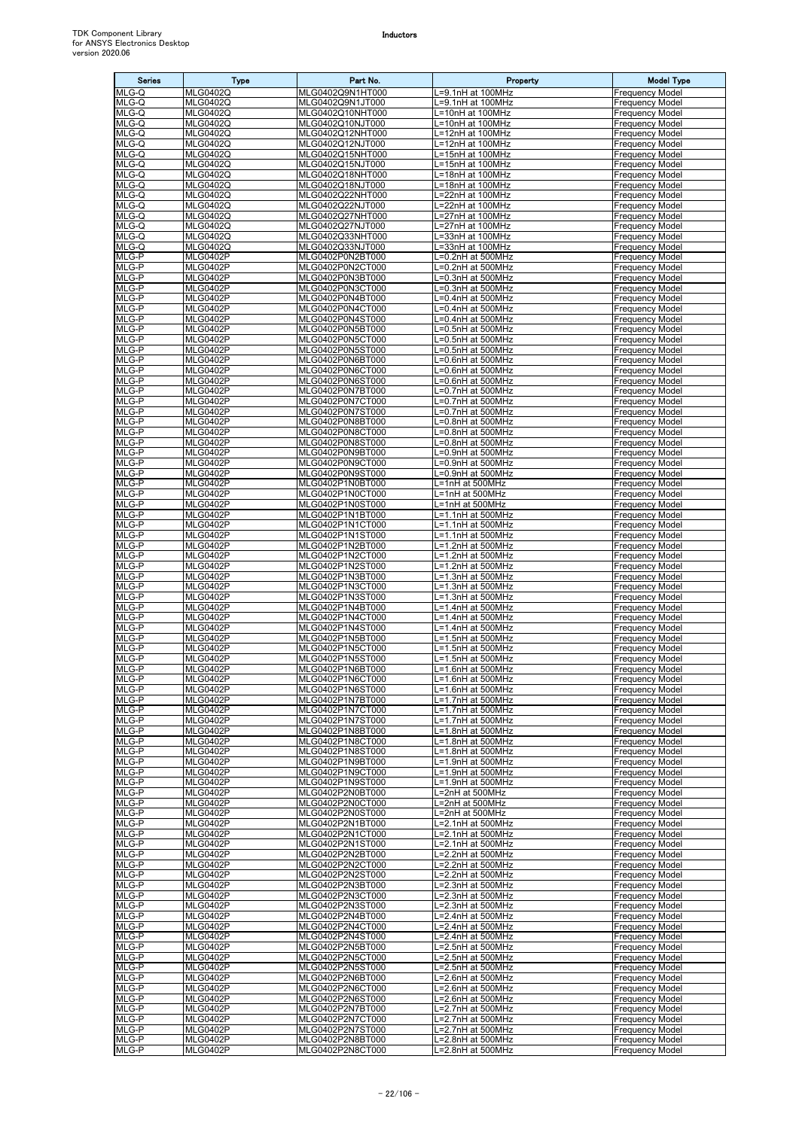| <b>Series</b>  | Type                               | Part No.                             | Property                               | <b>Model Type</b>                                |
|----------------|------------------------------------|--------------------------------------|----------------------------------------|--------------------------------------------------|
| MLG-Q          | <b>MLG0402Q</b>                    | MLG0402Q9N1HT000                     | L=9.1nH at 100MHz                      | <b>Frequency Model</b>                           |
| MLG-Q<br>MLG-Q | <b>MLG0402Q</b><br><b>MLG0402Q</b> | MLG0402Q9N1JT000<br>MLG0402Q10NHT000 | L=9.1nH at 100MHz<br>L=10nH at 100MHz  | <b>Frequency Model</b><br><b>Frequency Model</b> |
| MLG-Q          | <b>MLG0402Q</b>                    | MLG0402Q10NJT000                     | L=10nH at 100MHz                       | <b>Frequency Model</b>                           |
| MLG-Q          | <b>MLG0402Q</b>                    | MLG0402Q12NHT000                     | L=12nH at 100MHz                       | <b>Frequency Model</b>                           |
| MLG-Q          | <b>MLG0402Q</b>                    | MLG0402Q12NJT000                     | L=12nH at 100MHz                       | <b>Frequency Model</b>                           |
| MLG-Q<br>MLG-Q | <b>MLG0402Q</b><br><b>MLG0402Q</b> | MLG0402Q15NHT000<br>MLG0402Q15NJT000 | L=15nH at 100MHz<br>L=15nH at 100MHz   | <b>Frequency Model</b><br><b>Frequency Model</b> |
| MLG-Q          | <b>MLG0402Q</b>                    | MLG0402Q18NHT000                     | L=18nH at 100MHz                       | <b>Frequency Model</b>                           |
| MLG-Q          | <b>MLG0402Q</b>                    | MLG0402Q18NJT000                     | L=18nH at 100MHz                       | <b>Frequency Model</b>                           |
| MLG-Q          | <b>MLG0402Q</b>                    | MLG0402Q22NHT000                     | L=22nH at 100MHz                       | <b>Frequency Model</b>                           |
| MLG-Q<br>MLG-Q | <b>MLG0402Q</b><br><b>MLG0402Q</b> | MLG0402Q22NJT000<br>MLG0402Q27NHT000 | L=22nH at 100MHz<br>L=27nH at 100MHz   | <b>Frequency Model</b><br><b>Frequency Model</b> |
| MLG-Q          | <b>MLG0402Q</b>                    | MLG0402Q27NJT000                     | L=27nH at 100MHz                       | <b>Frequency Model</b>                           |
| MLG-Q          | <b>MLG0402Q</b>                    | MLG0402Q33NHT000                     | L=33nH at 100MHz                       | <b>Frequency Model</b>                           |
| MLG-Q          | <b>MLG0402Q</b>                    | MLG0402Q33NJT000                     | L=33nH at 100MHz                       | <b>Frequency Model</b>                           |
| MLG-P<br>MLG-P | <b>MLG0402P</b><br><b>MLG0402P</b> | MLG0402P0N2BT000<br>MLG0402P0N2CT000 | L=0.2nH at 500MHz<br>L=0.2nH at 500MHz | <b>Frequency Model</b><br><b>Frequency Model</b> |
| MLG-P          | <b>MLG0402P</b>                    | MLG0402P0N3BT000                     | L=0.3nH at 500MHz                      | <b>Frequency Model</b>                           |
| MLG-P          | <b>MLG0402P</b>                    | MLG0402P0N3CT000                     | L=0.3nH at 500MHz                      | <b>Frequency Model</b>                           |
| MLG-P<br>MLG-P | <b>MLG0402P</b><br><b>MLG0402P</b> | MLG0402P0N4BT000<br>MLG0402P0N4CT000 | L=0.4nH at 500MHz<br>L=0.4nH at 500MHz | <b>Frequency Model</b><br><b>Frequency Model</b> |
| MLG-P          | <b>MLG0402P</b>                    | MLG0402P0N4ST000                     | L=0.4nH at 500MHz                      | <b>Frequency Model</b>                           |
| MLG-P          | <b>MLG0402P</b>                    | MLG0402P0N5BT000                     | L=0.5nH at 500MHz                      | <b>Frequency Model</b>                           |
| MLG-P          | <b>MLG0402P</b>                    | MLG0402P0N5CT000                     | L=0.5nH at 500MHz                      | <b>Frequency Model</b>                           |
| MLG-P<br>MLG-P | <b>MLG0402P</b><br><b>MLG0402P</b> | MLG0402P0N5ST000<br>MLG0402P0N6BT000 | L=0.5nH at 500MHz                      | <b>Frequency Model</b><br><b>Frequency Model</b> |
| MLG-P          | <b>MLG0402P</b>                    | MLG0402P0N6CT000                     | L=0.6nH at 500MHz<br>L=0.6nH at 500MHz | <b>Frequency Model</b>                           |
| MLG-P          | <b>MLG0402P</b>                    | MLG0402P0N6ST000                     | L=0.6nH at 500MHz                      | <b>Frequency Model</b>                           |
| MLG-P          | <b>MLG0402P</b>                    | MLG0402P0N7BT000                     | L=0.7nH at 500MHz                      | <b>Frequency Model</b>                           |
| MLG-P<br>MLG-P | <b>MLG0402P</b><br><b>MLG0402P</b> | MLG0402P0N7CT000<br>MLG0402P0N7ST000 | L=0.7nH at 500MHz<br>L=0.7nH at 500MHz | <b>Frequency Model</b><br><b>Frequency Model</b> |
| MLG-P          | <b>MLG0402P</b>                    | MLG0402P0N8BT000                     | L=0.8nH at 500MHz                      | <b>Frequency Model</b>                           |
| $MLG-P$        | <b>MLG0402P</b>                    | MLG0402P0N8CT000                     | L=0.8nH at 500MHz                      | <b>Frequency Model</b>                           |
| MLG-P          | <b>MLG0402P</b>                    | MLG0402P0N8ST000                     | L=0.8nH at 500MHz                      | <b>Frequency Model</b>                           |
| MLG-P<br>MLG-P | <b>MLG0402P</b><br><b>MLG0402P</b> | MLG0402P0N9BT000<br>MLG0402P0N9CT000 | L=0.9nH at 500MHz<br>L=0.9nH at 500MHz | <b>Frequency Model</b><br><b>Frequency Model</b> |
| MLG-P          | <b>MLG0402P</b>                    | MLG0402P0N9ST000                     | L=0.9nH at 500MHz                      | <b>Frequency Model</b>                           |
| MLG-P          | <b>MLG0402P</b>                    | MLG0402P1N0BT000                     | L=1nH at 500MHz                        | <b>Frequency Model</b>                           |
| MLG-P          | <b>MLG0402P</b>                    | MLG0402P1N0CT000                     | L=1nH at 500MHz                        | <b>Frequency Model</b>                           |
| MLG-P<br>MLG-P | <b>MLG0402P</b><br><b>MLG0402P</b> | MLG0402P1N0ST000<br>MLG0402P1N1BT000 | L=1nH at 500MHz<br>L=1.1nH at 500MHz   | <b>Frequency Model</b><br><b>Frequency Model</b> |
| MLG-P          | <b>MLG0402P</b>                    | MLG0402P1N1CT000                     | L=1.1nH at 500MHz                      | <b>Frequency Model</b>                           |
| MLG-P          | <b>MLG0402P</b>                    | MLG0402P1N1ST000                     | L=1.1nH at 500MHz                      | <b>Frequency Model</b>                           |
| MLG-P<br>MLG-P | <b>MLG0402P</b><br><b>MLG0402P</b> | MLG0402P1N2BT000<br>MLG0402P1N2CT000 | L=1.2nH at 500MHz<br>L=1.2nH at 500MHz | <b>Frequency Model</b><br><b>Frequency Model</b> |
| MLG-P          | <b>MLG0402P</b>                    | MLG0402P1N2ST000                     | L=1.2nH at 500MHz                      | <b>Frequency Model</b>                           |
| MLG-P          | <b>MLG0402P</b>                    | MLG0402P1N3BT000                     | L=1.3nH at 500MHz                      | <b>Frequency Model</b>                           |
| MLG-P          | <b>MLG0402P</b>                    | MLG0402P1N3CT000                     | L=1.3nH at 500MHz                      | <b>Frequency Model</b>                           |
| MLG-P<br>MLG-P | <b>MLG0402P</b><br><b>MLG0402P</b> | MLG0402P1N3ST000<br>MLG0402P1N4BT000 | L=1.3nH at 500MHz<br>L=1.4nH at 500MHz | <b>Frequency Model</b><br><b>Frequency Model</b> |
| MLG-P          | MLG0402P                           | MLG0402P1N4CT000                     | L=1.4nH at 500MHz                      | <b>Frequency Model</b>                           |
| MLG-P          | <b>MLG0402P</b>                    | MLG0402P1N4ST000                     | L=1.4nH at 500MHz                      | <b>Frequency Model</b>                           |
| MLG-P          | <b>MLG0402P</b>                    | MLG0402P1N5BT000                     | L=1.5nH at 500MHz                      | <b>Frequency Model</b><br><b>Frequency Model</b> |
| MLG-P<br>MLG-P | <b>MLG0402P</b><br><b>MLG0402P</b> | MLG0402P1N5CT000<br>MLG0402P1N5ST000 | L=1.5nH at 500MHz<br>L=1.5nH at 500MHz | <b>Frequency Model</b>                           |
| MLG-P          | <b>MLG0402P</b>                    | MLG0402P1N6BT000                     | L=1.6nH at 500MHz                      | <b>Frequency Model</b>                           |
| MLG-P          | <b>MLG0402P</b>                    | MLG0402P1N6CT000                     | L=1.6nH at 500MHz                      | <b>Frequency Model</b>                           |
| MLG-P<br>MLG-P | <b>MLG0402P</b><br><b>MLG0402P</b> | MLG0402P1N6ST000<br>MLG0402P1N7BT000 | L=1.6nH at 500MHz<br>L=1.7nH at 500MHz | <b>Frequency Model</b><br><b>Frequency Model</b> |
| MLG-P          | <b>MLG0402P</b>                    | MLG0402P1N7CT000                     | L=1.7nH at 500MHz                      | <b>Frequency Model</b>                           |
| MLG-P          | <b>MLG0402P</b>                    | MLG0402P1N7ST000                     | L=1.7nH at 500MHz                      | <b>Frequency Model</b>                           |
| MLG-P          | <b>MLG0402P</b>                    | MLG0402P1N8BT000                     | L=1.8nH at 500MHz                      | <b>Frequency Model</b>                           |
| MLG-P<br>MLG-P | <b>MLG0402P</b><br><b>MLG0402P</b> | MLG0402P1N8CT000<br>MLG0402P1N8ST000 | L=1.8nH at 500MHz<br>L=1.8nH at 500MHz | <b>Frequency Model</b><br><b>Frequency Model</b> |
| MLG-P          | <b>MLG0402P</b>                    | MLG0402P1N9BT000                     | L=1.9nH at 500MHz                      | <b>Frequency Model</b>                           |
| MLG-P          | <b>MLG0402P</b>                    | MLG0402P1N9CT000                     | L=1.9nH at 500MHz                      | <b>Frequency Model</b>                           |
| MLG-P<br>MLG-P | <b>MLG0402P</b><br><b>MLG0402P</b> | MLG0402P1N9ST000<br>MLG0402P2N0BT000 | L=1.9nH at 500MHz<br>L=2nH at 500MHz   | <b>Frequency Model</b><br><b>Frequency Model</b> |
| MLG-P          | MLG0402P                           | MLG0402P2N0CT000                     | L=2nH at 500MHz                        | <b>Frequency Model</b>                           |
| MLG-P          | <b>MLG0402P</b>                    | MLG0402P2N0ST000                     | L=2nH at 500MHz                        | <b>Frequency Model</b>                           |
| MLG-P          | <b>MLG0402P</b>                    | MLG0402P2N1BT000                     | L=2.1nH at 500MHz                      | <b>Frequency Model</b>                           |
| MLG-P<br>MLG-P | <b>MLG0402P</b><br><b>MLG0402P</b> | MLG0402P2N1CT000<br>MLG0402P2N1ST000 | L=2.1nH at 500MHz<br>L=2.1nH at 500MHz | <b>Frequency Model</b><br><b>Frequency Model</b> |
| MLG-P          | <b>MLG0402P</b>                    | MLG0402P2N2BT000                     | L=2.2nH at 500MHz                      | <b>Frequency Model</b>                           |
| MLG-P          | <b>MLG0402P</b>                    | MLG0402P2N2CT000                     | L=2.2nH at 500MHz                      | <b>Frequency Model</b>                           |
| MLG-P          | MLG0402P                           | MLG0402P2N2ST000                     | L=2.2nH at 500MHz                      | <b>Frequency Model</b>                           |
| MLG-P<br>MLG-P | <b>MLG0402P</b><br><b>MLG0402P</b> | MLG0402P2N3BT000<br>MLG0402P2N3CT000 | L=2.3nH at 500MHz<br>L=2.3nH at 500MHz | <b>Frequency Model</b><br><b>Frequency Model</b> |
| MLG-P          | <b>MLG0402P</b>                    | MLG0402P2N3ST000                     | L=2.3nH at 500MHz                      | <b>Frequency Model</b>                           |
| MLG-P          | <b>MLG0402P</b>                    | MLG0402P2N4BT000                     | L=2.4nH at 500MHz                      | <b>Frequency Model</b>                           |
| MLG-P<br>MLG-P | <b>MLG0402P</b><br><b>MLG0402P</b> | MLG0402P2N4CT000<br>MLG0402P2N4ST000 | L=2.4nH at 500MHz<br>L=2.4nH at 500MHz | <b>Frequency Model</b><br><b>Frequency Model</b> |
| MLG-P          | <b>MLG0402P</b>                    | MLG0402P2N5BT000                     | L=2.5nH at 500MHz                      | <b>Frequency Model</b>                           |
| MLG-P          | <b>MLG0402P</b>                    | MLG0402P2N5CT000                     | L=2.5nH at 500MHz                      | <b>Frequency Model</b>                           |
| MLG-P          | <b>MLG0402P</b>                    | MLG0402P2N5ST000                     | L=2.5nH at 500MHz                      | <b>Frequency Model</b>                           |
| MLG-P<br>MLG-P | <b>MLG0402P</b><br><b>MLG0402P</b> | MLG0402P2N6BT000<br>MLG0402P2N6CT000 | L=2.6nH at 500MHz<br>L=2.6nH at 500MHz | <b>Frequency Model</b><br><b>Frequency Model</b> |
| MLG-P          | <b>MLG0402P</b>                    | MLG0402P2N6ST000                     | L=2.6nH at 500MHz                      | <b>Frequency Model</b>                           |
| MLG-P          | <b>MLG0402P</b>                    | MLG0402P2N7BT000                     | L=2.7nH at 500MHz                      | <b>Frequency Model</b>                           |
| MLG-P<br>MLG-P | <b>MLG0402P</b><br><b>MLG0402P</b> | MLG0402P2N7CT000                     | L=2.7nH at 500MHz                      | <b>Frequency Model</b>                           |
| MLG-P          | MLG0402P                           | MLG0402P2N7ST000<br>MLG0402P2N8BT000 | L=2.7nH at 500MHz<br>L=2.8nH at 500MHz | <b>Frequency Model</b><br><b>Frequency Model</b> |
| MLG-P          | <b>MLG0402P</b>                    | MLG0402P2N8CT000                     | L=2.8nH at 500MHz                      | <b>Frequency Model</b>                           |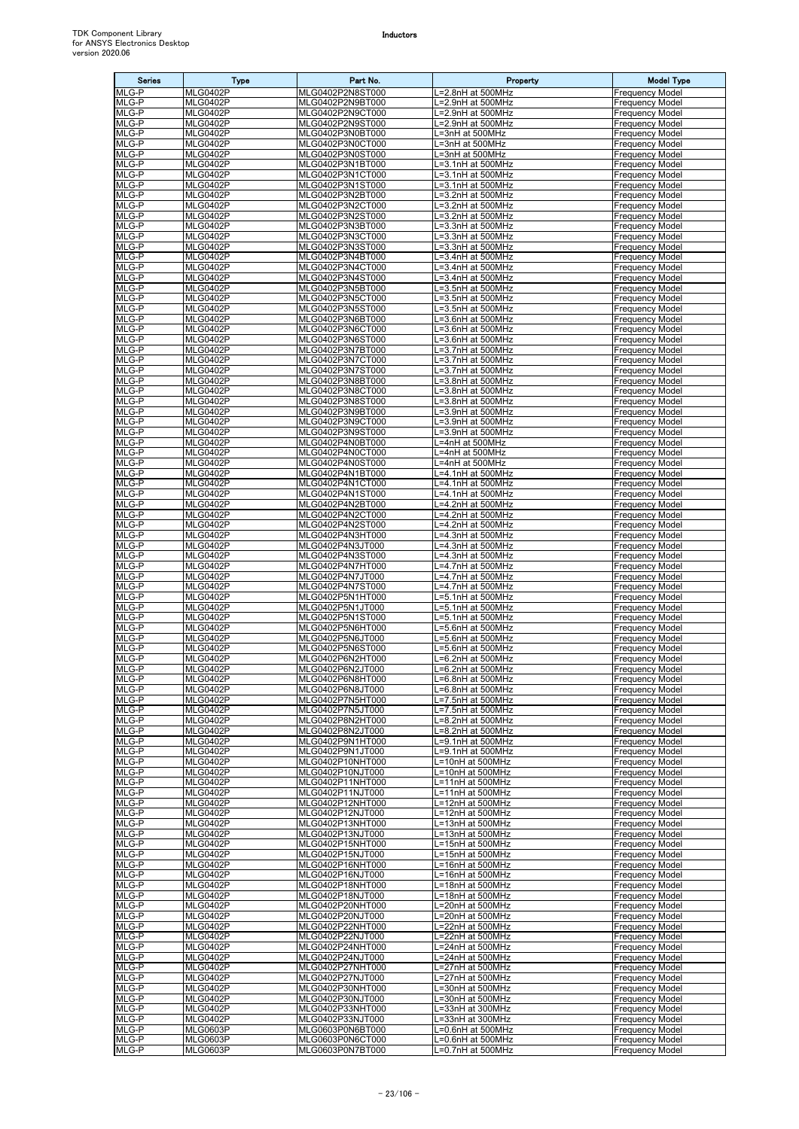| <b>Series</b>  | <b>Type</b>                        | Part No.                             | Property                                  | <b>Model Type</b>                                |
|----------------|------------------------------------|--------------------------------------|-------------------------------------------|--------------------------------------------------|
| MLG-P          | <b>MLG0402P</b>                    | MLG0402P2N8ST000                     | L=2.8nH at 500MHz                         | <b>Frequency Model</b>                           |
| MLG-P<br>MLG-P | <b>MLG0402P</b><br><b>MLG0402P</b> | MLG0402P2N9BT000<br>MLG0402P2N9CT000 | L=2.9nH at 500MHz<br>L=2.9nH at 500MHz    | <b>Frequency Model</b><br><b>Frequency Model</b> |
| MLG-P          | <b>MLG0402P</b>                    | MLG0402P2N9ST000                     | L=2.9nH at 500MHz                         | <b>Frequency Model</b>                           |
| MLG-P          | <b>MLG0402P</b>                    | MLG0402P3N0BT000                     | L=3nH at 500MHz                           | <b>Frequency Model</b>                           |
| MLG-P<br>MLG-P | <b>MLG0402P</b><br><b>MLG0402P</b> | MLG0402P3N0CT000<br>MLG0402P3N0ST000 | L=3nH at 500MHz<br>L=3nH at 500MHz        | <b>Frequency Model</b><br><b>Frequency Model</b> |
| MLG-P          | <b>MLG0402P</b>                    | MLG0402P3N1BT000                     | L=3.1nH at 500MHz                         | <b>Frequency Model</b>                           |
| MLG-P          | <b>MLG0402P</b>                    | MLG0402P3N1CT000                     | L=3.1nH at 500MHz                         | <b>Frequency Model</b>                           |
| MLG-P<br>MLG-P | <b>MLG0402P</b><br>MLG0402P        | MLG0402P3N1ST000<br>MLG0402P3N2BT000 | L=3.1nH at 500MHz<br>L=3.2nH at 500MHz    | <b>Frequency Model</b><br><b>Frequency Model</b> |
| MLG-P          | <b>MLG0402P</b>                    | MLG0402P3N2CT000                     | L=3.2nH at 500MHz                         | <b>Frequency Model</b>                           |
| MLG-P          | <b>MLG0402P</b>                    | MLG0402P3N2ST000                     | L=3.2nH at 500MHz                         | <b>Frequency Model</b>                           |
| MLG-P<br>MLG-P | <b>MLG0402P</b><br><b>MLG0402P</b> | MLG0402P3N3BT000<br>MLG0402P3N3CT000 | L=3.3nH at 500MHz<br>L=3.3nH at 500MHz    | <b>Frequency Model</b><br><b>Frequency Model</b> |
| MLG-P          | <b>MLG0402P</b>                    | MLG0402P3N3ST000                     | -3.3nH at 500MHz                          | <b>Frequency Model</b>                           |
| MLG-P          | MLG0402P                           | MLG0402P3N4BT000                     | L=3.4nH at 500MHz                         | <b>Frequency Model</b>                           |
| MLG-P<br>MLG-P | <b>MLG0402P</b><br><b>MLG0402P</b> | MLG0402P3N4CT000<br>MLG0402P3N4ST000 | L=3.4nH at 500MHz<br>L=3.4nH at 500MHz    | <b>Frequency Model</b><br><b>Frequency Model</b> |
| MLG-P          | <b>MLG0402P</b>                    | MLG0402P3N5BT000                     | L=3.5nH at 500MHz                         | <b>Frequency Model</b>                           |
| MLG-P          | <b>MLG0402P</b>                    | MLG0402P3N5CT000                     | L=3.5nH at 500MHz                         | <b>Frequency Model</b>                           |
| MLG-P<br>MLG-P | <b>MLG0402P</b><br><b>MLG0402P</b> | MLG0402P3N5ST000<br>MLG0402P3N6BT000 | L=3.5nH at 500MHz<br>$L=3.6$ nH at 500MHz | <b>Frequency Model</b><br><b>Frequency Model</b> |
| MLG-P          | <b>MLG0402P</b>                    | MLG0402P3N6CT000                     | L=3.6nH at 500MHz                         | <b>Frequency Model</b>                           |
| MLG-P<br>MLG-P | <b>MLG0402P</b>                    | MLG0402P3N6ST000                     | $=3.6$ nH at 500MHz                       | <b>Frequency Model</b>                           |
| MLG-P          | MLG0402P<br><b>MLG0402P</b>        | MLG0402P3N7BT000<br>MLG0402P3N7CT000 | L=3.7nH at 500MHz<br>L=3.7nH at 500MHz    | <b>Frequency Model</b><br><b>Frequency Model</b> |
| MLG-P          | MLG0402P                           | MLG0402P3N7ST000                     | L=3.7nH at 500MHz                         | <b>Frequency Model</b>                           |
| MLG-P<br>MLG-P | <b>MLG0402P</b><br><b>MLG0402P</b> | MLG0402P3N8BT000                     | L=3.8nH at 500MHz                         | <b>Frequency Model</b><br><b>Frequency Model</b> |
| MLG-P          | <b>MLG0402P</b>                    | MLG0402P3N8CT000<br>MLG0402P3N8ST000 | L=3.8nH at 500MHz<br>L=3.8nH at 500MHz    | <b>Frequency Model</b>                           |
| MLG-P          | <b>MLG0402P</b>                    | MLG0402P3N9BT000                     | L=3.9nH at 500MHz                         | <b>Frequency Model</b>                           |
| MLG-P<br>MLG-P | <b>MLG0402P</b>                    | MLG0402P3N9CT000                     | L=3.9nH at 500MHz                         | <b>Frequency Model</b><br><b>Frequency Model</b> |
| MLG-P          | MLG0402P<br><b>MLG0402P</b>        | MLG0402P3N9ST000<br>MLG0402P4N0BT000 | L=3.9nH at 500MHz<br>L=4nH at 500MHz      | <b>Frequency Model</b>                           |
| MLG-P          | MLG0402P                           | MLG0402P4N0CT000                     | L=4nH at 500MHz                           | <b>Frequency Model</b>                           |
| MLG-P<br>MLG-P | MLG0402P<br><b>MLG0402P</b>        | MLG0402P4N0ST000<br>MLG0402P4N1BT000 | L=4nH at 500MHz                           | <b>Frequency Model</b><br><b>Frequency Model</b> |
| MLG-P          | <b>MLG0402P</b>                    | MLG0402P4N1CT000                     | L=4.1nH at 500MHz<br>L=4.1nH at 500MHz    | <b>Frequency Model</b>                           |
| MLG-P          | <b>MLG0402P</b>                    | MLG0402P4N1ST000                     | L=4.1nH at 500MHz                         | <b>Frequency Model</b>                           |
| MLG-P<br>MLG-P | <b>MLG0402P</b><br>MLG0402P        | MLG0402P4N2BT000<br>MLG0402P4N2CT000 | =4.2nH at 500MHz<br>L=4.2nH at 500MHz     | <b>Frequency Model</b><br><b>Frequency Model</b> |
| MLG-P          | <b>MLG0402P</b>                    | MLG0402P4N2ST000                     | L=4.2nH at 500MHz                         | <b>Frequency Model</b>                           |
| MLG-P          | MLG0402P                           | MLG0402P4N3HT000                     | L=4.3nH at 500MHz                         | <b>Frequency Model</b>                           |
| MLG-P<br>MLG-P | <b>MLG0402P</b><br><b>MLG0402P</b> | MLG0402P4N3JT000<br>MLG0402P4N3ST000 | L=4.3nH at 500MHz<br>L=4.3nH at 500MHz    | <b>Frequency Model</b><br><b>Frequency Model</b> |
| MLG-P          | <b>MLG0402P</b>                    | MLG0402P4N7HT000                     | L=4.7nH at 500MHz                         | <b>Frequency Model</b>                           |
| MLG-P          | <b>MLG0402P</b>                    | MLG0402P4N7JT000                     | .=4.7nH at 500MHz                         | <b>Frequency Model</b>                           |
| MLG-P<br>MLG-P | <b>MLG0402P</b><br>MLG0402P        | MLG0402P4N7ST000<br>MLG0402P5N1HT000 | -4.7nH at 500MHz<br>L=5.1nH at 500MHz     | <b>Frequency Model</b><br><b>Frequency Model</b> |
| MLG-P          | MLG0402P                           | MLG0402P5N1JT000                     | L=5.1nH at 500MHz                         | <b>Frequency Model</b>                           |
| MLG-P          | MLG0402P                           | MLG0402P5N1ST000                     | L=5.1nH at 500MHz                         | <b>Frequency Model</b>                           |
| MLG-P<br>MLG-P | <b>MLG0402P</b><br><b>MLG0402P</b> | MLG0402P5N6HT000<br>MLG0402P5N6JT000 | L=5.6nH at 500MHz<br>L=5.6nH at 500MHz    | <b>Frequency Model</b><br><b>Frequency Model</b> |
| MLG-P          | <b>MLG0402P</b>                    | MLG0402P5N6ST000                     | L=5.6nH at 500MHz                         | <b>Frequency Model</b>                           |
| MLG-P          | <b>MLG0402P</b>                    | MLG0402P6N2HT000                     | L=6.2nH at 500MHz                         | <b>Frequency Model</b>                           |
| MLG-P<br>MLG-P | <b>MLG0402P</b><br><b>MLG0402P</b> | MLG0402P6N2JT000<br>MLG0402P6N8HT000 | L=6.2nH at 500MHz<br>L=6.8nH at 500MHz    | <b>Frequency Model</b><br><b>Frequency Model</b> |
| MLG-P          | <b>MLG0402P</b>                    | MLG0402P6N8JT000                     | L=6.8nH at 500MHz                         | <b>Frequency Model</b>                           |
| MLG-P          | <b>MLG0402P</b><br><b>MLG0402P</b> | MLG0402P7N5HT000                     | L=7.5nH at 500MHz                         | <b>Frequency Model</b>                           |
| MLG-P<br>MLG-P | <b>MLG0402P</b>                    | MLG0402P7N5JT000<br>MLG0402P8N2HT000 | L=7.5nH at 500MHz<br>L=8.2nH at 500MHz    | <b>Frequency Model</b><br><b>Frequency Model</b> |
| MLG-P          | <b>MLG0402P</b>                    | MLG0402P8N2JT000                     | L=8.2nH at 500MHz                         | <b>Frequency Model</b>                           |
| MLG-P<br>MLG-P | <b>MLG0402P</b><br><b>MLG0402P</b> | MLG0402P9N1HT000                     | L=9.1nH at 500MHz<br>L=9.1nH at 500MHz    | <b>Frequency Model</b><br><b>Frequency Model</b> |
| MLG-P          | <b>MLG0402P</b>                    | MLG0402P9N1JT000<br>MLG0402P10NHT000 | L=10nH at 500MHz                          | <b>Frequency Model</b>                           |
| MLG-P          | <b>MLG0402P</b>                    | MLG0402P10NJT000                     | L=10nH at 500MHz                          | <b>Frequency Model</b>                           |
| MLG-P<br>MLG-P | <b>MLG0402P</b><br><b>MLG0402P</b> | MLG0402P11NHT000<br>MLG0402P11NJT000 | L=11nH at 500MHz<br>L=11nH at 500MHz      | <b>Frequency Model</b><br><b>Frequency Model</b> |
| MLG-P          | <b>MLG0402P</b>                    | MLG0402P12NHT000                     | L=12nH at 500MHz                          | <b>Frequency Model</b>                           |
| MLG-P          | <b>MLG0402P</b>                    | MLG0402P12NJT000                     | L=12nH at 500MHz                          | <b>Frequency Model</b>                           |
| MLG-P<br>MLG-P | <b>MLG0402P</b><br><b>MLG0402P</b> | MLG0402P13NHT000<br>MLG0402P13NJT000 | L=13nH at 500MHz<br>L=13nH at 500MHz      | <b>Frequency Model</b><br><b>Frequency Model</b> |
| MLG-P          | <b>MLG0402P</b>                    | MLG0402P15NHT000                     | L=15nH at 500MHz                          | <b>Frequency Model</b>                           |
| MLG-P          | <b>MLG0402P</b>                    | MLG0402P15NJT000                     | L=15nH at 500MHz                          | <b>Frequency Model</b>                           |
| MLG-P<br>MLG-P | <b>MLG0402P</b><br><b>MLG0402P</b> | MLG0402P16NHT000<br>MLG0402P16NJT000 | L=16nH at 500MHz<br>L=16nH at 500MHz      | <b>Frequency Model</b><br><b>Frequency Model</b> |
| MLG-P          | <b>MLG0402P</b>                    | MLG0402P18NHT000                     | L=18nH at 500MHz                          | <b>Frequency Model</b>                           |
| MLG-P          | <b>MLG0402P</b>                    | MLG0402P18NJT000                     | L=18nH at 500MHz                          | <b>Frequency Model</b>                           |
| MLG-P<br>MLG-P | <b>MLG0402P</b><br><b>MLG0402P</b> | MLG0402P20NHT000<br>MLG0402P20NJT000 | L=20nH at 500MHz<br>L=20nH at 500MHz      | <b>Frequency Model</b><br><b>Frequency Model</b> |
| MLG-P          | <b>MLG0402P</b>                    | MLG0402P22NHT000                     | _=22nH at 500MHz                          | <b>Frequency Model</b>                           |
| MLG-P          | <b>MLG0402P</b>                    | MLG0402P22NJT000                     | L=22nH at 500MHz                          | <b>Frequency Model</b>                           |
| MLG-P<br>MLG-P | <b>MLG0402P</b><br><b>MLG0402P</b> | MLG0402P24NHT000<br>MLG0402P24NJT000 | L=24nH at 500MHz<br>L=24nH at 500MHz      | <b>Frequency Model</b><br><b>Frequency Model</b> |
| MLG-P          | <b>MLG0402P</b>                    | MLG0402P27NHT000                     | L=27nH at 500MHz                          | <b>Frequency Model</b>                           |
| MLG-P          | <b>MLG0402P</b>                    | MLG0402P27NJT000                     | L=27nH at 500MHz                          | <b>Frequency Model</b>                           |
| MLG-P<br>MLG-P | <b>MLG0402P</b><br><b>MLG0402P</b> | MLG0402P30NHT000<br>MLG0402P30NJT000 | L=30nH at 500MHz<br>L=30nH at 500MHz      | <b>Frequency Model</b><br><b>Frequency Model</b> |
| MLG-P          | <b>MLG0402P</b>                    | MLG0402P33NHT000                     | L=33nH at 300MHz                          | <b>Frequency Model</b>                           |
| MLG-P          | <b>MLG0402P</b>                    | MLG0402P33NJT000                     | L=33nH at 300MHz                          | <b>Frequency Model</b>                           |
| MLG-P<br>MLG-P | <b>MLG0603P</b><br><b>MLG0603P</b> | MLG0603P0N6BT000<br>MLG0603P0N6CT000 | L=0.6nH at 500MHz<br>L=0.6nH at 500MHz    | <b>Frequency Model</b><br><b>Frequency Model</b> |
| MLG-P          | <b>MLG0603P</b>                    | MLG0603P0N7BT000                     | L=0.7nH at 500MHz                         | <b>Frequency Model</b>                           |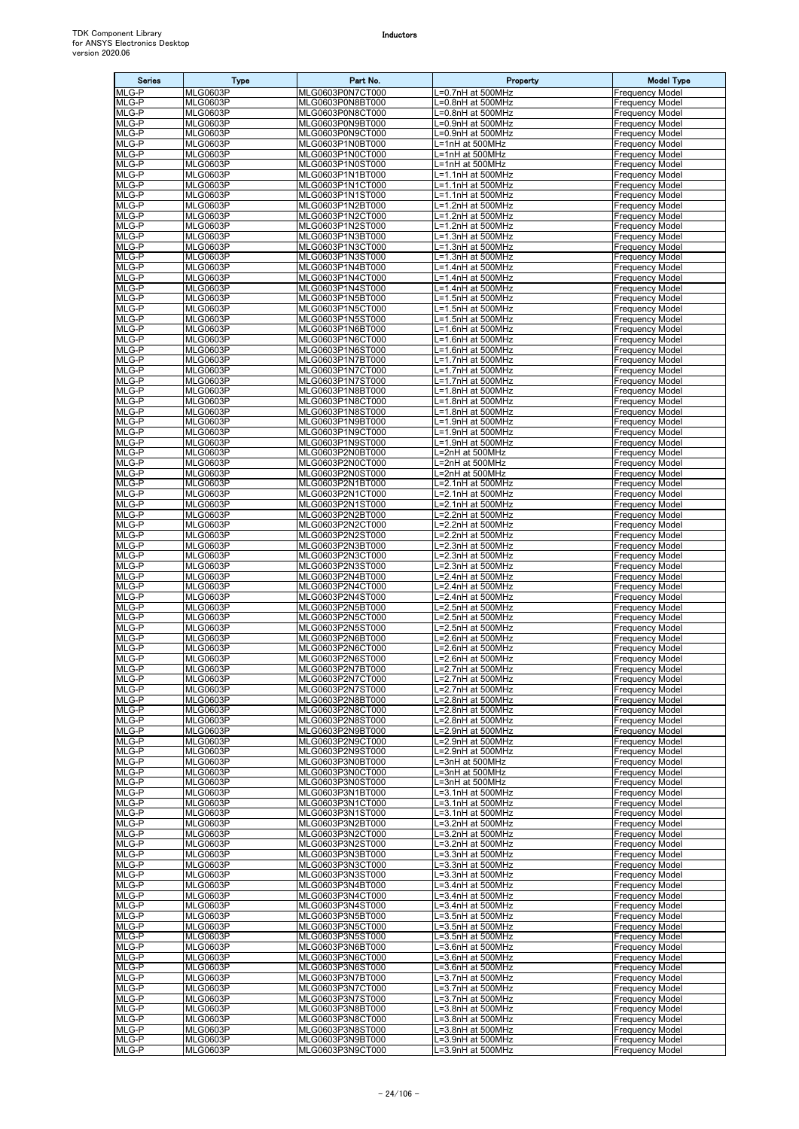| <b>Series</b>  | <b>Type</b>                        | Part No.                             | Property                               | <b>Model Type</b>                                |
|----------------|------------------------------------|--------------------------------------|----------------------------------------|--------------------------------------------------|
| MLG-P          | <b>MLG0603P</b>                    | MLG0603P0N7CT000                     | L=0.7nH at 500MHz                      | <b>Frequency Model</b>                           |
| MLG-P<br>MLG-P | <b>MLG0603P</b><br><b>MLG0603P</b> | MLG0603P0N8BT000<br>MLG0603P0N8CT000 | L=0.8nH at 500MHz<br>L=0.8nH at 500MHz | <b>Frequency Model</b><br><b>Frequency Model</b> |
| MLG-P          | <b>MLG0603P</b>                    | MLG0603P0N9BT000                     | L=0.9nH at 500MHz                      | <b>Frequency Model</b>                           |
| MLG-P          | <b>MLG0603P</b>                    | MLG0603P0N9CT000                     | L=0.9nH at 500MHz                      | <b>Frequency Model</b>                           |
| MLG-P          | <b>MLG0603P</b>                    | MLG0603P1N0BT000                     | L=1nH at 500MHz                        | <b>Frequency Model</b>                           |
| MLG-P          | <b>MLG0603P</b><br><b>MLG0603P</b> | MLG0603P1N0CT000<br>MLG0603P1N0ST000 | L=1nH at 500MHz                        | <b>Frequency Model</b>                           |
| MLG-P<br>MLG-P | <b>MLG0603P</b>                    | MLG0603P1N1BT000                     | L=1nH at 500MHz<br>L=1.1nH at 500MHz   | Frequency Model<br><b>Frequency Model</b>        |
| MLG-P          | <b>MLG0603P</b>                    | MLG0603P1N1CT000                     | L=1.1nH at 500MHz                      | <b>Frequency Model</b>                           |
| MLG-P          | <b>MLG0603P</b>                    | MLG0603P1N1ST000                     | L=1.1nH at 500MHz                      | <b>Frequency Model</b>                           |
| MLG-P          | <b>MLG0603P</b>                    | MLG0603P1N2BT000                     | L=1.2nH at 500MHz                      | <b>Frequency Model</b>                           |
| MLG-P<br>MLG-P | <b>MLG0603P</b><br><b>MLG0603P</b> | MLG0603P1N2CT000<br>MLG0603P1N2ST000 | L=1.2nH at 500MHz<br>L=1.2nH at 500MHz | <b>Frequency Model</b><br><b>Frequency Model</b> |
| MLG-P          | <b>MLG0603P</b>                    | MLG0603P1N3BT000                     | L=1.3nH at 500MHz                      | <b>Frequency Model</b>                           |
| MLG-P          | <b>MLG0603P</b>                    | MLG0603P1N3CT000                     | $L=1.3$ nH at 500MHz                   | <b>Frequency Model</b>                           |
| MLG-P          | <b>MLG0603P</b>                    | MLG0603P1N3ST000                     | L=1.3nH at 500MHz                      | <b>Frequency Model</b>                           |
| MLG-P<br>MLG-P | <b>MLG0603P</b><br><b>MLG0603P</b> | MLG0603P1N4BT000<br>MLG0603P1N4CT000 | L=1.4nH at 500MHz<br>L=1.4nH at 500MHz | <b>Frequency Model</b><br><b>Frequency Model</b> |
| MLG-P          | <b>MLG0603P</b>                    | MLG0603P1N4ST000                     | L=1.4nH at 500MHz                      | <b>Frequency Model</b>                           |
| MLG-P          | <b>MLG0603P</b>                    | MLG0603P1N5BT000                     | L=1.5nH at 500MHz                      | <b>Frequency Model</b>                           |
| MLG-P          | <b>MLG0603P</b>                    | MLG0603P1N5CT000                     | L=1.5nH at 500MHz                      | <b>Frequency Model</b>                           |
| MLG-P<br>MLG-P | <b>MLG0603P</b><br><b>MLG0603P</b> | MLG0603P1N5ST000<br>MLG0603P1N6BT000 | L=1.5nH at 500MHz<br>L=1.6nH at 500MHz | <b>Frequency Model</b><br><b>Frequency Model</b> |
| MLG-P          | <b>MLG0603P</b>                    | MLG0603P1N6CT000                     | L=1.6nH at 500MHz                      | <b>Frequency Model</b>                           |
| MLG-P          | <b>MLG0603P</b>                    | MLG0603P1N6ST000                     | L=1.6nH at 500MHz                      | <b>Frequency Model</b>                           |
| MLG-P          | <b>MLG0603P</b>                    | MLG0603P1N7BT000                     | _=1.7nH at 500MHz                      | <b>Frequency Model</b>                           |
| MLG-P          | <b>MLG0603P</b>                    | MLG0603P1N7CT000                     | L=1.7nH at 500MHz                      | Frequency Model                                  |
| MLG-P<br>MLG-P | <b>MLG0603P</b><br><b>MLG0603P</b> | MLG0603P1N7ST000<br>MLG0603P1N8BT000 | L=1.7nH at 500MHz<br>L=1.8nH at 500MHz | <b>Frequency Model</b><br><b>Frequency Model</b> |
| MLG-P          | <b>MLG0603P</b>                    | MLG0603P1N8CT000                     | L=1.8nH at 500MHz                      | <b>Frequency Model</b>                           |
| MLG-P          | <b>MLG0603P</b>                    | MLG0603P1N8ST000                     | L=1.8nH at 500MHz                      | <b>Frequency Model</b>                           |
| MLG-P          | <b>MLG0603P</b>                    | MLG0603P1N9BT000                     | L=1.9nH at 500MHz                      | <b>Frequency Model</b>                           |
| MLG-P<br>MLG-P | <b>MLG0603P</b><br><b>MLG0603P</b> | MLG0603P1N9CT000<br>MLG0603P1N9ST000 | L=1.9nH at 500MHz<br>L=1.9nH at 500MHz | <b>Frequency Model</b><br><b>Frequency Model</b> |
| MLG-P          | <b>MLG0603P</b>                    | MLG0603P2N0BT000                     | L=2nH at 500MHz                        | <b>Frequency Model</b>                           |
| MLG-P          | <b>MLG0603P</b>                    | MLG0603P2N0CT000                     | L=2nH at 500MHz                        | <b>Frequency Model</b>                           |
| MLG-P          | <b>MLG0603P</b>                    | MLG0603P2N0ST000                     | L=2nH at 500MHz                        | <b>Frequency Model</b>                           |
| MLG-P          | <b>MLG0603P</b>                    | MLG0603P2N1BT000                     | L=2.1nH at 500MHz                      | <b>Frequency Model</b>                           |
| MLG-P<br>MLG-P | <b>MLG0603P</b><br><b>MLG0603P</b> | MLG0603P2N1CT000<br>MLG0603P2N1ST000 | L=2.1nH at 500MHz<br>L=2.1nH at 500MHz | <b>Frequency Model</b><br><b>Frequency Model</b> |
| MLG-P          | <b>MLG0603P</b>                    | MLG0603P2N2BT000                     | L=2.2nH at 500MHz                      | Frequency Model                                  |
| MLG-P          | <b>MLG0603P</b>                    | MLG0603P2N2CT000                     | =2.2nH at 500MHz                       | <b>Frequency Model</b>                           |
| MLG-P          | <b>MLG0603P</b>                    | MLG0603P2N2ST000                     | L=2.2nH at 500MHz                      | <b>Frequency Model</b>                           |
| MLG-P<br>MLG-P | <b>MLG0603P</b><br><b>MLG0603P</b> | MLG0603P2N3BT000<br>MLG0603P2N3CT000 | L=2.3nH at 500MHz<br>L=2.3nH at 500MHz | <b>Frequency Model</b><br><b>Frequency Model</b> |
| MLG-P          | <b>MLG0603P</b>                    | MLG0603P2N3ST000                     | L=2.3nH at 500MHz                      | <b>Frequency Model</b>                           |
| MLG-P          | <b>MLG0603P</b>                    | MLG0603P2N4BT000                     | L=2.4nH at 500MHz                      | <b>Frequency Model</b>                           |
| MLG-P          | <b>MLG0603P</b>                    | MLG0603P2N4CT000                     | L=2.4nH at 500MHz                      | <b>Frequency Model</b>                           |
| MLG-P          | <b>MLG0603P</b>                    | MLG0603P2N4ST000                     | L=2.4nH at 500MHz                      | <b>Frequency Model</b>                           |
| MLG-P<br>MLG-P | <b>MLG0603P</b><br><b>MLG0603P</b> | MLG0603P2N5BT000<br>MLG0603P2N5CT000 | L=2.5nH at 500MHz<br>L=2.5nH at 500MHz | <b>Frequency Model</b><br><b>Frequency Model</b> |
| MLG-P          | <b>MLG0603P</b>                    | MLG0603P2N5ST000                     | L=2.5nH at 500MHz                      | <b>Frequency Model</b>                           |
| MLG-P          | <b>MLG0603P</b>                    | MLG0603P2N6BT000                     | L=2.6nH at 500MHz                      | <b>Frequency Model</b>                           |
| MLG-P          | <b>MLG0603P</b>                    | MLG0603P2N6CT000                     | L=2.6nH at 500MHz                      | <b>Frequency Model</b>                           |
| MLG-P<br>MLG-P | <b>MLG0603P</b><br><b>MLG0603P</b> | MLG0603P2N6ST000<br>MLG0603P2N7BT000 | L=2.6nH at 500MHz<br>L=2.7nH at 500MHz | <b>Frequency Model</b><br><b>Frequency Model</b> |
| MLG-P          | <b>MLG0603P</b>                    | MLG0603P2N7CT000                     | L=2.7nH at 500MHz                      | <b>Frequency Model</b>                           |
| MLG-P          | <b>MLG0603P</b>                    | MLG0603P2N7ST000                     | L=2.7nH at 500MHz                      | <b>Frequency Model</b>                           |
| MLG-P          | <b>MLG0603P</b>                    | MLG0603P2N8BT000                     | L=2.8nH at 500MHz                      | <b>Frequency Model</b>                           |
| MLG-P<br>MLG-P | <b>MLG0603P</b><br><b>MLG0603P</b> | MLG0603P2N8CT000<br>MLG0603P2N8ST000 | L=2.8nH at 500MHz<br>L=2.8nH at 500MHz | <b>Frequency Model</b><br><b>Frequency Model</b> |
| MLG-P          | <b>MLG0603P</b>                    | MLG0603P2N9BT000                     | L=2.9nH at 500MHz                      | <b>Frequency Model</b>                           |
| MLG-P          | <b>MLG0603P</b>                    | MLG0603P2N9CT000                     | L=2.9nH at 500MHz                      | <b>Frequency Model</b>                           |
| MLG-P          | <b>MLG0603P</b>                    | MLG0603P2N9ST000                     | L=2.9nH at 500MHz                      | <b>Frequency Model</b>                           |
| MLG-P<br>MLG-P | <b>MLG0603P</b><br><b>MLG0603P</b> | MLG0603P3N0BT000<br>MLG0603P3N0CT000 | L=3nH at 500MHz<br>L=3nH at 500MHz     | <b>Frequency Model</b><br><b>Frequency Model</b> |
| MLG-P          | <b>MLG0603P</b>                    | MLG0603P3N0ST000                     | L=3nH at 500MHz                        | <b>Frequency Model</b>                           |
| MLG-P          | <b>MLG0603P</b>                    | MLG0603P3N1BT000                     | L=3.1nH at 500MHz                      | <b>Frequency Model</b>                           |
| MLG-P          | <b>MLG0603P</b>                    | MLG0603P3N1CT000                     | L=3.1nH at 500MHz                      | <b>Frequency Model</b>                           |
| MLG-P          | <b>MLG0603P</b>                    | MLG0603P3N1ST000                     | L=3.1nH at 500MHz                      | <b>Frequency Model</b>                           |
| MLG-P<br>MLG-P | <b>MLG0603P</b><br><b>MLG0603P</b> | MLG0603P3N2BT000<br>MLG0603P3N2CT000 | L=3.2nH at 500MHz<br>L=3.2nH at 500MHz | <b>Frequency Model</b><br><b>Frequency Model</b> |
| MLG-P          | <b>MLG0603P</b>                    | MLG0603P3N2ST000                     | L=3.2nH at 500MHz                      | <b>Frequency Model</b>                           |
| MLG-P          | <b>MLG0603P</b>                    | MLG0603P3N3BT000                     | L=3.3nH at 500MHz                      | <b>Frequency Model</b>                           |
| MLG-P          | <b>MLG0603P</b>                    | MLG0603P3N3CT000                     | L=3.3nH at 500MHz                      | <b>Frequency Model</b>                           |
| MLG-P<br>MLG-P | <b>MLG0603P</b><br><b>MLG0603P</b> | MLG0603P3N3ST000<br>MLG0603P3N4BT000 | L=3.3nH at 500MHz<br>L=3.4nH at 500MHz | <b>Frequency Model</b><br><b>Frequency Model</b> |
| MLG-P          | <b>MLG0603P</b>                    | MLG0603P3N4CT000                     | L=3.4nH at 500MHz                      | <b>Frequency Model</b>                           |
| MLG-P          | <b>MLG0603P</b>                    | MLG0603P3N4ST000                     | L=3.4nH at 500MHz                      | <b>Frequency Model</b>                           |
| MLG-P          | <b>MLG0603P</b>                    | MLG0603P3N5BT000                     | L=3.5nH at 500MHz                      | <b>Frequency Model</b>                           |
| MLG-P<br>MLG-P | <b>MLG0603P</b><br><b>MLG0603P</b> | MLG0603P3N5CT000<br>MLG0603P3N5ST000 | L=3.5nH at 500MHz<br>L=3.5nH at 500MHz | <b>Frequency Model</b><br><b>Frequency Model</b> |
| MLG-P          | <b>MLG0603P</b>                    | MLG0603P3N6BT000                     | -3.6nH at 500MHz                       | <b>Frequency Model</b>                           |
| MLG-P          | <b>MLG0603P</b>                    | MLG0603P3N6CT000                     | L=3.6nH at 500MHz                      | <b>Frequency Model</b>                           |
| MLG-P          | <b>MLG0603P</b>                    | MLG0603P3N6ST000                     | L=3.6nH at 500MHz                      | <b>Frequency Model</b>                           |
| MLG-P          | <b>MLG0603P</b>                    | MLG0603P3N7BT000                     | L=3.7nH at 500MHz                      | <b>Frequency Model</b>                           |
| MLG-P<br>MLG-P | <b>MLG0603P</b><br><b>MLG0603P</b> | MLG0603P3N7CT000<br>MLG0603P3N7ST000 | L=3.7nH at 500MHz<br>L=3.7nH at 500MHz | <b>Frequency Model</b><br><b>Frequency Model</b> |
| MLG-P          | <b>MLG0603P</b>                    | MLG0603P3N8BT000                     | L=3.8nH at 500MHz                      | <b>Frequency Model</b>                           |
| MLG-P          | <b>MLG0603P</b>                    | MLG0603P3N8CT000                     | $L=3.8$ nH at 500MHz                   | <b>Frequency Model</b>                           |
| MLG-P          | <b>MLG0603P</b>                    | MLG0603P3N8ST000                     | L=3.8nH at 500MHz                      | <b>Frequency Model</b>                           |
| MLG-P          | <b>MLG0603P</b>                    | MLG0603P3N9BT000                     | L=3.9nH at 500MHz                      | <b>Frequency Model</b>                           |
| MLG-P          | <b>MLG0603P</b>                    | MLG0603P3N9CT000                     | L=3.9nH at 500MHz                      | <b>Frequency Model</b>                           |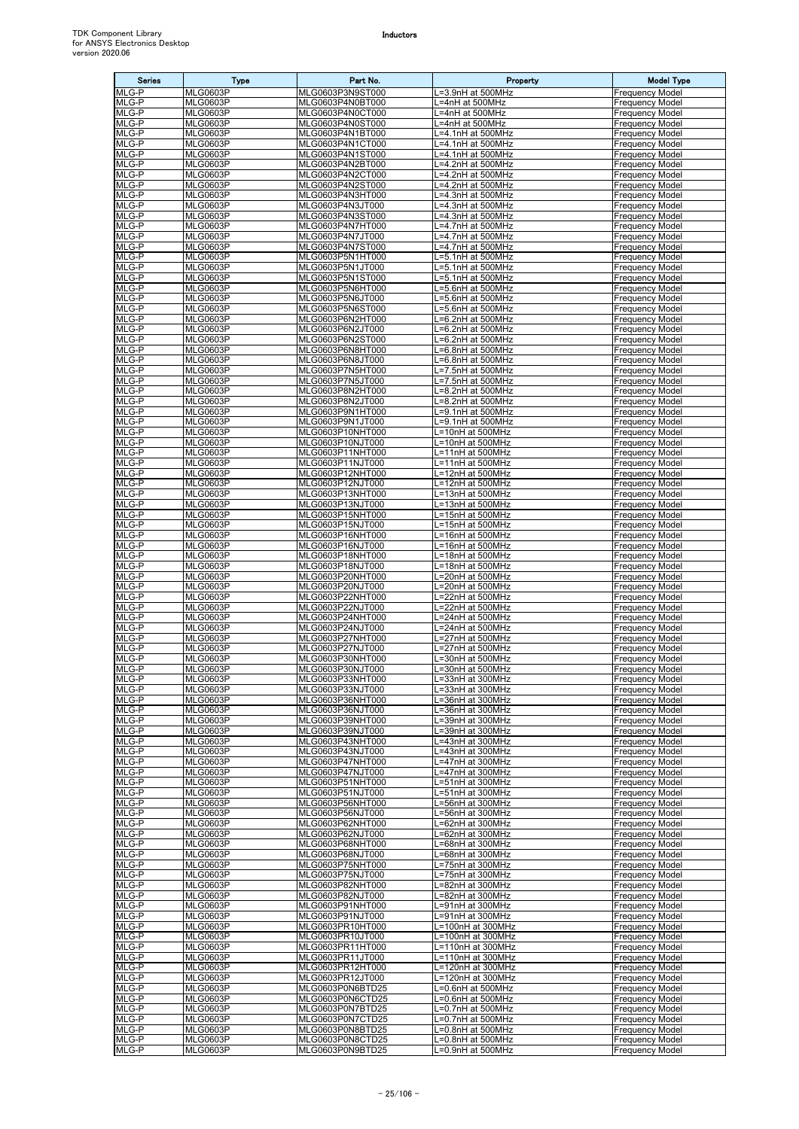| <b>Series</b>  | Type                               | Part No.                             | Property                                 | <b>Model Type</b>                                |
|----------------|------------------------------------|--------------------------------------|------------------------------------------|--------------------------------------------------|
| MLG-P          | <b>MLG0603P</b>                    | MLG0603P3N9ST000                     | L=3.9nH at 500MHz                        | <b>Frequency Model</b>                           |
| MLG-P<br>MLG-P | <b>MLG0603P</b><br><b>MLG0603P</b> | MLG0603P4N0BT000<br>MLG0603P4N0CT000 | L=4nH at 500MHz<br>L=4nH at 500MHz       | <b>Frequency Model</b><br><b>Frequency Model</b> |
| MLG-P          | <b>MLG0603P</b>                    | MLG0603P4N0ST000                     | L=4nH at 500MHz                          | <b>Frequency Model</b>                           |
| MLG-P          | <b>MLG0603P</b>                    | MLG0603P4N1BT000                     | L=4.1nH at 500MHz                        | <b>Frequency Model</b>                           |
| MLG-P          | <b>MLG0603P</b>                    | MLG0603P4N1CT000                     | L=4.1nH at 500MHz                        | <b>Frequency Model</b>                           |
| MLG-P<br>MLG-P | <b>MLG0603P</b><br><b>MLG0603P</b> | MLG0603P4N1ST000<br>MLG0603P4N2BT000 | L=4.1nH at 500MHz<br>L=4.2nH at 500MHz   | <b>Frequency Model</b><br><b>Frequency Model</b> |
| $MLG-P$        | <b>MLG0603P</b>                    | MLG0603P4N2CT000                     | .=4.2nH at 500MHz                        | <b>Frequency Model</b>                           |
| MLG-P          | <b>MLG0603P</b>                    | MLG0603P4N2ST000                     | -4.2nH at 500MHz                         | <b>Frequency Model</b>                           |
| MLG-P          | <b>MLG0603P</b>                    | MLG0603P4N3HT000                     | L=4.3nH at 500MHz                        | <b>Frequency Model</b>                           |
| MLG-P<br>MLG-P | <b>MLG0603P</b><br><b>MLG0603P</b> | MLG0603P4N3JT000<br>MLG0603P4N3ST000 | L=4.3nH at 500MHz<br>L=4.3nH at 500MHz   | <b>Frequency Model</b><br><b>Frequency Model</b> |
| MLG-P          | <b>MLG0603P</b>                    | MLG0603P4N7HT000                     | L=4.7nH at 500MHz                        | <b>Frequency Model</b>                           |
| MLG-P          | <b>MLG0603P</b>                    | MLG0603P4N7JT000                     | L=4.7nH at 500MHz                        | <b>Frequency Model</b>                           |
| MLG-P<br>MLG-P | <b>MLG0603P</b><br><b>MLG0603P</b> | MLG0603P4N7ST000<br>MLG0603P5N1HT000 | L=4.7nH at 500MHz                        | <b>Frequency Model</b><br><b>Frequency Model</b> |
| MLG-P          | <b>MLG0603P</b>                    | MLG0603P5N1JT000                     | L=5.1nH at 500MHz<br>L=5.1nH at 500MHz   | <b>Frequency Model</b>                           |
| MLG-P          | <b>MLG0603P</b>                    | MLG0603P5N1ST000                     | L=5.1nH at 500MHz                        | <b>Frequency Model</b>                           |
| MLG-P          | <b>MLG0603P</b>                    | MLG0603P5N6HT000                     | L=5.6nH at 500MHz                        | <b>Frequency Model</b>                           |
| MLG-P<br>MLG-P | <b>MLG0603P</b><br><b>MLG0603P</b> | MLG0603P5N6JT000<br>MLG0603P5N6ST000 | L=5.6nH at 500MHz<br>L=5.6nH at 500MHz   | <b>Frequency Model</b><br><b>Frequency Model</b> |
| MLG-P          | <b>MLG0603P</b>                    | MLG0603P6N2HT000                     | L=6.2nH at 500MHz                        | <b>Frequency Model</b>                           |
| MLG-P          | <b>MLG0603P</b>                    | MLG0603P6N2JT000                     | L=6.2nH at 500MHz                        | <b>Frequency Model</b>                           |
| MLG-P          | <b>MLG0603P</b>                    | MLG0603P6N2ST000                     | L=6.2nH at 500MHz                        | <b>Frequency Model</b>                           |
| MLG-P<br>MLG-P | <b>MLG0603P</b><br><b>MLG0603P</b> | MLG0603P6N8HT000<br>MLG0603P6N8JT000 | L=6.8nH at 500MHz<br>L=6.8nH at 500MHz   | <b>Frequency Model</b><br><b>Frequency Model</b> |
| MLG-P          | <b>MLG0603P</b>                    | MLG0603P7N5HT000                     | L=7.5nH at 500MHz                        | <b>Frequency Model</b>                           |
| MLG-P          | <b>MLG0603P</b>                    | MLG0603P7N5JT000                     | L=7.5nH at 500MHz                        | <b>Frequency Model</b>                           |
| MLG-P<br>MLG-P | <b>MLG0603P</b><br><b>MLG0603P</b> | MLG0603P8N2HT000<br>MLG0603P8N2JT000 | L=8.2nH at 500MHz<br>$L=8.2nH$ at 500MHz | <b>Frequency Model</b><br><b>Frequency Model</b> |
| MLG-P          | <b>MLG0603P</b>                    | MLG0603P9N1HT000                     | L=9.1nH at 500MHz                        | <b>Frequency Model</b>                           |
| MLG-P          | <b>MLG0603P</b>                    | MLG0603P9N1JT000                     | L=9.1nH at 500MHz                        | <b>Frequency Model</b>                           |
| $MLG-P$        | <b>MLG0603P</b>                    | MLG0603P10NHT000                     | L=10nH at 500MHz                         | <b>Frequency Model</b>                           |
| MLG-P<br>MLG-P | <b>MLG0603P</b><br><b>MLG0603P</b> | MLG0603P10NJT000<br>MLG0603P11NHT000 | L=10nH at 500MHz<br>L=11nH at 500MHz     | <b>Frequency Model</b><br><b>Frequency Model</b> |
| MLG-P          | <b>MLG0603P</b>                    | MLG0603P11NJT000                     | L=11nH at 500MHz                         | <b>Frequency Model</b>                           |
| MLG-P          | <b>MLG0603P</b>                    | MLG0603P12NHT000                     | L=12nH at 500MHz                         | <b>Frequency Model</b>                           |
| MLG-P<br>MLG-P | <b>MLG0603P</b>                    | MLG0603P12NJT000                     | L=12nH at 500MHz                         | <b>Frequency Model</b>                           |
| MLG-P          | <b>MLG0603P</b><br><b>MLG0603P</b> | MLG0603P13NHT000<br>MLG0603P13NJT000 | L=13nH at 500MHz<br>L=13nH at 500MHz     | <b>Frequency Model</b><br><b>Frequency Model</b> |
| MLG-P          | <b>MLG0603P</b>                    | MLG0603P15NHT000                     | L=15nH at 500MHz                         | <b>Frequency Model</b>                           |
| MLG-P          | <b>MLG0603P</b>                    | MLG0603P15NJT000                     | L=15nH at 500MHz                         | <b>Frequency Model</b>                           |
| MLG-P<br>MLG-P | <b>MLG0603P</b><br><b>MLG0603P</b> | MLG0603P16NHT000<br>MLG0603P16NJT000 | L=16nH at 500MHz<br>L=16nH at 500MHz     | <b>Frequency Model</b><br><b>Frequency Model</b> |
| MLG-P          | <b>MLG0603P</b>                    | MLG0603P18NHT000                     | L=18nH at 500MHz                         | <b>Frequency Model</b>                           |
| MLG-P          | <b>MLG0603P</b>                    | MLG0603P18NJT000                     | L=18nH at 500MHz                         | <b>Frequency Model</b>                           |
| MLG-P<br>MLG-P | <b>MLG0603P</b><br><b>MLG0603P</b> | MLG0603P20NHT000                     | L=20nH at 500MHz                         | <b>Frequency Model</b>                           |
| MLG-P          | <b>MLG0603P</b>                    | MLG0603P20NJT000<br>MLG0603P22NHT000 | L=20nH at 500MHz<br>L=22nH at 500MHz     | <b>Frequency Model</b><br>Frequency Model        |
| MLG-P          | <b>MLG0603P</b>                    | MLG0603P22NJT000                     | L=22nH at 500MHz                         | <b>Frequency Model</b>                           |
| MLG-P          | <b>MLG0603P</b>                    | MLG0603P24NHT000                     | L=24nH at 500MHz                         | <b>Frequency Model</b>                           |
| MLG-P<br>MLG-P | <b>MLG0603P</b><br><b>MLG0603P</b> | MLG0603P24NJT000<br>MLG0603P27NHT000 | L=24nH at 500MHz<br>L=27nH at 500MHz     | <b>Frequency Model</b><br><b>Frequency Model</b> |
| MLG-P          | <b>MLG0603P</b>                    | MLG0603P27NJT000                     | L=27nH at 500MHz                         | <b>Frequency Model</b>                           |
| MLG-P          | <b>MLG0603P</b>                    | MLG0603P30NHT000                     | L=30nH at 500MHz                         | <b>Frequency Model</b>                           |
| MLG-P<br>MLG-P | <b>MLG0603P</b><br><b>MLG0603P</b> | MLG0603P30NJT000<br>MLG0603P33NHT000 | L=30nH at 500MHz<br>L=33nH at 300MHz     | <b>Frequency Model</b><br><b>Frequency Model</b> |
| MLG-P          | <b>MLG0603P</b>                    | MLG0603P33NJT000                     | L=33nH at 300MHz                         | <b>Frequency Model</b>                           |
| MLG-P          | <b>MLG0603P</b>                    | MLG0603P36NHT000                     | L=36nH at 300MHz                         | <b>Frequency Model</b>                           |
| MLG-P<br>MLG-P | <b>MLG0603P</b><br><b>MLG0603P</b> | MLG0603P36NJT000<br>MLG0603P39NHT000 | L=36nH at 300MHz<br>L=39nH at 300MHz     | <b>Frequency Model</b><br><b>Frequency Model</b> |
| MLG-P          | <b>MLG0603P</b>                    | MLG0603P39NJT000                     | L=39nH at 300MHz                         | <b>Frequency Model</b>                           |
| MLG-P          | <b>MLG0603P</b>                    | MLG0603P43NHT000                     | L=43nH at 300MHz                         | <b>Frequency Model</b>                           |
| MLG-P<br>MLG-P | <b>MLG0603P</b><br><b>MLG0603P</b> | MLG0603P43NJT000                     | L=43nH at 300MHz<br>L=47nH at 300MHz     | <b>Frequency Model</b>                           |
| MLG-P          | <b>MLG0603P</b>                    | MLG0603P47NHT000<br>MLG0603P47NJT000 | L=47nH at 300MHz                         | <b>Frequency Model</b><br><b>Frequency Model</b> |
| MLG-P          | <b>MLG0603P</b>                    | MLG0603P51NHT000                     | L=51nH at 300MHz                         | <b>Frequency Model</b>                           |
| MLG-P          | <b>MLG0603P</b>                    | MLG0603P51NJT000                     | L=51nH at 300MHz                         | <b>Frequency Model</b>                           |
| MLG-P<br>MLG-P | <b>MLG0603P</b><br><b>MLG0603P</b> | MLG0603P56NHT000<br>MLG0603P56NJT000 | L=56nH at 300MHz<br>L=56nH at 300MHz     | <b>Frequency Model</b><br><b>Frequency Model</b> |
| MLG-P          | <b>MLG0603P</b>                    | MLG0603P62NHT000                     | L=62nH at 300MHz                         | <b>Frequency Model</b>                           |
| MLG-P          | <b>MLG0603P</b>                    | MLG0603P62NJT000                     | L=62nH at 300MHz                         | <b>Frequency Model</b>                           |
| MLG-P<br>MLG-P | <b>MLG0603P</b><br><b>MLG0603P</b> | MLG0603P68NHT000<br>MLG0603P68NJT000 | L=68nH at 300MHz<br>L=68nH at 300MHz     | <b>Frequency Model</b><br><b>Frequency Model</b> |
| MLG-P          | <b>MLG0603P</b>                    | MLG0603P75NHT000                     | L=75nH at 300MHz                         | <b>Frequency Model</b>                           |
| MLG-P          | <b>MLG0603P</b>                    | MLG0603P75NJT000                     | L=75nH at 300MHz                         | <b>Frequency Model</b>                           |
| MLG-P<br>MLG-P | <b>MLG0603P</b><br><b>MLG0603P</b> | MLG0603P82NHT000<br>MLG0603P82NJT000 | L=82nH at 300MHz<br>L=82nH at 300MHz     | <b>Frequency Model</b><br><b>Frequency Model</b> |
| MLG-P          | <b>MLG0603P</b>                    | MLG0603P91NHT000                     | L=91nH at 300MHz                         | <b>Frequency Model</b>                           |
| MLG-P          | <b>MLG0603P</b>                    | MLG0603P91NJT000                     | L=91nH at 300MHz                         | <b>Frequency Model</b>                           |
| MLG-P          | <b>MLG0603P</b>                    | MLG0603PR10HT000                     | L=100nH at 300MHz                        | <b>Frequency Model</b>                           |
| MLG-P<br>MLG-P | <b>MLG0603P</b><br><b>MLG0603P</b> | MLG0603PR10JT000<br>MLG0603PR11HT000 | L=100nH at 300MHz<br>L=110nH at 300MHz   | <b>Frequency Model</b><br><b>Frequency Model</b> |
| MLG-P          | <b>MLG0603P</b>                    | MLG0603PR11JT000                     | L=110nH at 300MHz                        | <b>Frequency Model</b>                           |
| MLG-P          | <b>MLG0603P</b>                    | MLG0603PR12HT000                     | L=120nH at 300MHz                        | <b>Frequency Model</b>                           |
| MLG-P<br>MLG-P | <b>MLG0603P</b><br><b>MLG0603P</b> | MLG0603PR12JT000<br>MLG0603P0N6BTD25 | L=120nH at 300MHz<br>L=0.6nH at 500MHz   | <b>Frequency Model</b><br><b>Frequency Model</b> |
| MLG-P          | <b>MLG0603P</b>                    | MLG0603P0N6CTD25                     | L=0.6nH at 500MHz                        | <b>Frequency Model</b>                           |
| MLG-P          | <b>MLG0603P</b>                    | MLG0603P0N7BTD25                     | L=0.7nH at 500MHz                        | <b>Frequency Model</b>                           |
| MLG-P          | <b>MLG0603P</b>                    | MLG0603P0N7CTD25                     | L=0.7nH at 500MHz                        | <b>Frequency Model</b>                           |
| MLG-P<br>MLG-P | <b>MLG0603P</b><br><b>MLG0603P</b> | MLG0603P0N8BTD25<br>MLG0603P0N8CTD25 | L=0.8nH at 500MHz<br>L=0.8nH at 500MHz   | <b>Frequency Model</b><br><b>Frequency Model</b> |
| MLG-P          | <b>MLG0603P</b>                    | MLG0603P0N9BTD25                     | L=0.9nH at 500MHz                        | <b>Frequency Model</b>                           |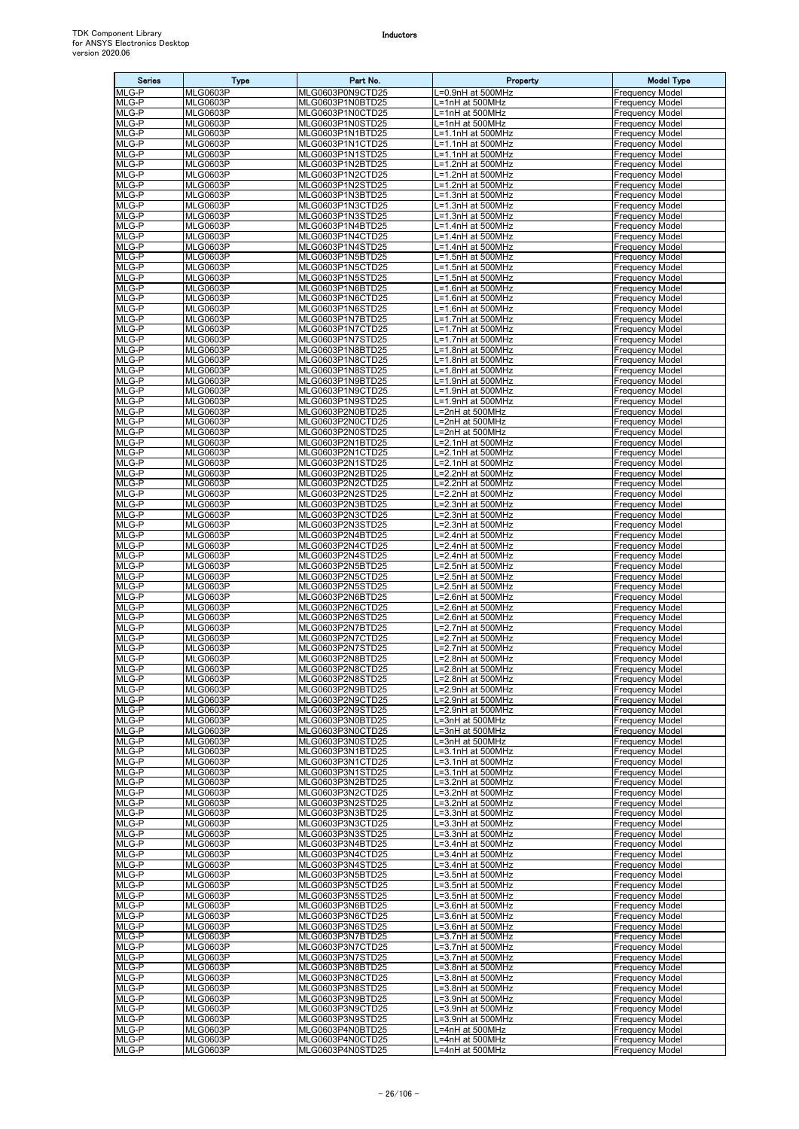| <b>Series</b>  | <b>Type</b>                        | Part No.                             | Property                                                        | <b>Model Type</b>                                |
|----------------|------------------------------------|--------------------------------------|-----------------------------------------------------------------|--------------------------------------------------|
| MLG-P          | <b>MLG0603P</b>                    | MLG0603P0N9CTD25                     | L=0.9nH at 500MHz                                               | <b>Frequency Model</b>                           |
| MLG-P<br>MLG-P | <b>MLG0603P</b><br><b>MLG0603P</b> | MLG0603P1N0BTD25<br>MLG0603P1N0CTD25 | L=1nH at 500MHz<br>L=1nH at 500MHz                              | <b>Frequency Model</b><br><b>Frequency Model</b> |
| MLG-P          | <b>MLG0603P</b>                    | MLG0603P1N0STD25                     | L=1nH at 500MHz                                                 | <b>Frequency Model</b>                           |
| MLG-P          | <b>MLG0603P</b>                    | MLG0603P1N1BTD25                     | L=1.1nH at 500MHz                                               | <b>Frequency Model</b>                           |
| MLG-P          | <b>MLG0603P</b>                    | MLG0603P1N1CTD25                     | L=1.1nH at 500MHz                                               | <b>Frequency Model</b>                           |
| MLG-P<br>MLG-P | <b>MLG0603P</b><br><b>MLG0603P</b> | MLG0603P1N1STD25<br>MLG0603P1N2BTD25 | L=1.1nH at 500MHz<br>L=1.2nH at 500MHz                          | <b>Frequency Model</b><br><b>Frequency Model</b> |
| MLG-P          | <b>MLG0603P</b>                    | MLG0603P1N2CTD25                     | $L=1.2$ nH at 500MHz                                            | <b>Frequency Model</b>                           |
| MLG-P          | <b>MLG0603P</b>                    | MLG0603P1N2STD25                     | L=1.2nH at 500MHz                                               | <b>Frequency Model</b>                           |
| MLG-P          | <b>MLG0603P</b>                    | MLG0603P1N3BTD25                     | L=1.3nH at 500MHz                                               | <b>Frequency Model</b>                           |
| MLG-P<br>MLG-P | <b>MLG0603P</b><br><b>MLG0603P</b> | MLG0603P1N3CTD25<br>MLG0603P1N3STD25 | $\overline{\mathsf{L}} = 1.3$ nH at 500MHz<br>L=1.3nH at 500MHz | <b>Frequency Model</b><br><b>Frequency Model</b> |
| MLG-P          | <b>MLG0603P</b>                    | MLG0603P1N4BTD25                     | L=1.4nH at 500MHz                                               | <b>Frequency Model</b>                           |
| MLG-P          | <b>MLG0603P</b>                    | MLG0603P1N4CTD25                     | L=1.4nH at 500MHz                                               | <b>Frequency Model</b>                           |
| MLG-P          | <b>MLG0603P</b>                    | MLG0603P1N4STD25                     | L=1.4nH at 500MHz                                               | <b>Frequency Model</b>                           |
| MLG-P<br>MLG-P | <b>MLG0603P</b><br><b>MLG0603P</b> | MLG0603P1N5BTD25<br>MLG0603P1N5CTD25 | L=1.5nH at 500MHz<br>L=1.5nH at 500MHz                          | <b>Frequency Model</b><br><b>Frequency Model</b> |
| MLG-P          | <b>MLG0603P</b>                    | MLG0603P1N5STD25                     | L=1.5nH at 500MHz                                               | <b>Frequency Model</b>                           |
| MLG-P          | <b>MLG0603P</b>                    | MLG0603P1N6BTD25                     | L=1.6nH at 500MHz                                               | <b>Frequency Model</b>                           |
| MLG-P          | <b>MLG0603P</b>                    | MLG0603P1N6CTD25                     | L=1.6nH at 500MHz                                               | <b>Frequency Model</b>                           |
| MLG-P<br>MLG-P | <b>MLG0603P</b><br><b>MLG0603P</b> | MLG0603P1N6STD25<br>MLG0603P1N7BTD25 | L=1.6nH at 500MHz<br>L=1.7nH at 500MHz                          | <b>Frequency Model</b><br><b>Frequency Model</b> |
| MLG-P          | <b>MLG0603P</b>                    | MLG0603P1N7CTD25                     | L=1.7nH at 500MHz                                               | <b>Frequency Model</b>                           |
| MLG-P          | <b>MLG0603P</b>                    | MLG0603P1N7STD25                     | L=1.7nH at 500MHz                                               | <b>Frequency Model</b>                           |
| MLG-P          | <b>MLG0603P</b>                    | MLG0603P1N8BTD25                     | L=1.8nH at 500MHz                                               | <b>Frequency Model</b>                           |
| MLG-P<br>MLG-P | <b>MLG0603P</b><br><b>MLG0603P</b> | MLG0603P1N8CTD25<br>MLG0603P1N8STD25 | L=1.8nH at 500MHz<br>L=1.8nH at 500MHz                          | <b>Frequency Model</b><br><b>Frequency Model</b> |
| MLG-P          | <b>MLG0603P</b>                    | MLG0603P1N9BTD25                     | L=1.9nH at 500MHz                                               | <b>Frequency Model</b>                           |
| MLG-P          | <b>MLG0603P</b>                    | MLG0603P1N9CTD25                     | L=1.9nH at 500MHz                                               | <b>Frequency Model</b>                           |
| MLG-P          | <b>MLG0603P</b>                    | MLG0603P1N9STD25                     | L=1.9nH at 500MHz                                               | <b>Frequency Model</b>                           |
| MLG-P          | <b>MLG0603P</b><br><b>MLG0603P</b> | MLG0603P2N0BTD25                     | L=2nH at 500MHz                                                 | <b>Frequency Model</b>                           |
| MLG-P<br>MLG-P | <b>MLG0603P</b>                    | MLG0603P2N0CTD25<br>MLG0603P2N0STD25 | L=2nH at 500MHz<br>L=2nH at 500MHz                              | <b>Frequency Model</b><br><b>Frequency Model</b> |
| MLG-P          | <b>MLG0603P</b>                    | MLG0603P2N1BTD25                     | L=2.1nH at 500MHz                                               | <b>Frequency Model</b>                           |
| MLG-P          | <b>MLG0603P</b>                    | MLG0603P2N1CTD25                     | L=2.1nH at 500MHz                                               | <b>Frequency Model</b>                           |
| MLG-P          | <b>MLG0603P</b>                    | MLG0603P2N1STD25                     | =2.1nH at 500MHz                                                | <b>Frequency Model</b>                           |
| MLG-P<br>MLG-P | <b>MLG0603P</b><br><b>MLG0603P</b> | MLG0603P2N2BTD25<br>MLG0603P2N2CTD25 | L=2.2nH at 500MHz<br>L=2.2nH at 500MHz                          | <b>Frequency Model</b><br><b>Frequency Model</b> |
| MLG-P          | <b>MLG0603P</b>                    | MLG0603P2N2STD25                     | L=2.2nH at 500MHz                                               | <b>Frequency Model</b>                           |
| MLG-P          | <b>MLG0603P</b>                    | MLG0603P2N3BTD25                     | L=2.3nH at 500MHz                                               | <b>Frequency Model</b>                           |
| MLG-P          | <b>MLG0603P</b>                    | MLG0603P2N3CTD25                     | L=2.3nH at 500MHz                                               | <b>Frequency Model</b>                           |
| MLG-P<br>MLG-P | <b>MLG0603P</b><br><b>MLG0603P</b> | MLG0603P2N3STD25<br>MLG0603P2N4BTD25 | L=2.3nH at 500MHz<br>=2.4nH at 500MHz                           | <b>Frequency Model</b><br><b>Frequency Model</b> |
| MLG-P          | <b>MLG0603P</b>                    | MLG0603P2N4CTD25                     | L=2.4nH at 500MHz                                               | <b>Frequency Model</b>                           |
| MLG-P          | <b>MLG0603P</b>                    | MLG0603P2N4STD25                     | L=2.4nH at 500MHz                                               | <b>Frequency Model</b>                           |
| MLG-P          | <b>MLG0603P</b>                    | MLG0603P2N5BTD25                     | L=2.5nH at 500MHz                                               | <b>Frequency Model</b>                           |
| MLG-P<br>MLG-P | <b>MLG0603P</b><br><b>MLG0603P</b> | MLG0603P2N5CTD25<br>MLG0603P2N5STD25 | L=2.5nH at 500MHz<br>L=2.5nH at 500MHz                          | <b>Frequency Model</b><br><b>Frequency Model</b> |
| MLG-P          | <b>MLG0603P</b>                    | MLG0603P2N6BTD25                     | L=2.6nH at 500MHz                                               | <b>Frequency Model</b>                           |
| MLG-P          | <b>MLG0603P</b>                    | MLG0603P2N6CTD25                     | $L=2.6$ nH at 500MHz                                            | <b>Frequency Model</b>                           |
| MLG-P          | <b>MLG0603P</b>                    | MLG0603P2N6STD25                     | L=2.6nH at 500MHz                                               | <b>Frequency Model</b>                           |
| MLG-P<br>MLG-P | <b>MLG0603P</b><br><b>MLG0603P</b> | MLG0603P2N7BTD25<br>MLG0603P2N7CTD25 | _=2.7nH at 500MHz<br>L=2.7nH at 500MHz                          | <b>Frequency Model</b><br><b>Frequency Model</b> |
| MLG-P          | <b>MLG0603P</b>                    | MLG0603P2N7STD25                     | L=2.7nH at 500MHz                                               | <b>Frequency Model</b>                           |
| MLG-P          | <b>MLG0603P</b>                    | MLG0603P2N8BTD25                     | L=2.8nH at 500MHz                                               | <b>Frequency Model</b>                           |
| MLG-P          | <b>MLG0603P</b>                    | MLG0603P2N8CTD25                     | L=2.8nH at 500MHz                                               | <b>Frequency Model</b>                           |
| MLG-P<br>MLG-P | <b>MLG0603P</b><br><b>MLG0603P</b> | MLG0603P2N8STD25<br>MLG0603P2N9BTD25 | L=2.8nH at 500MHz<br>L=2.9nH at 500MHz                          | <b>Frequency Model</b><br><b>Frequency Model</b> |
| MLG-P          | <b>MLG0603P</b>                    | MLG0603P2N9CTD25                     | L=2.9nH at 500MHz                                               | <b>Frequency Model</b>                           |
| MLG-P          | <b>MLG0603P</b>                    | MLG0603P2N9STD25                     | L=2.9nH at 500MHz                                               | <b>Frequency Model</b>                           |
| MLG-P          | <b>MLG0603P</b>                    | MLG0603P3N0BTD25                     | L=3nH at 500MHz                                                 | <b>Frequency Model</b>                           |
| MLG-P<br>MLG-P | <b>MLG0603P</b><br><b>MLG0603P</b> | MLG0603P3N0CTD25<br>MLG0603P3N0STD25 | L=3nH at 500MHz<br>L=3nH at 500MHz                              | <b>Frequency Model</b><br><b>Frequency Model</b> |
| MLG-P          | <b>MLG0603P</b>                    | MLG0603P3N1BTD25                     | L=3.1nH at 500MHz                                               | <b>Frequency Model</b>                           |
| MLG-P          | <b>MLG0603P</b>                    | MLG0603P3N1CTD25                     | L=3.1nH at 500MHz                                               | <b>Frequency Model</b>                           |
| MLG-P          | <b>MLG0603P</b>                    | MLG0603P3N1STD25                     | L=3.1nH at 500MHz                                               | <b>Frequency Model</b>                           |
| MLG-P<br>MLG-P | <b>MLG0603P</b><br><b>MLG0603P</b> | MLG0603P3N2BTD25<br>MLG0603P3N2CTD25 | L=3.2nH at 500MHz<br>L=3.2nH at 500MHz                          | <b>Frequency Model</b><br><b>Frequency Model</b> |
| MLG-P          | <b>MLG0603P</b>                    | MLG0603P3N2STD25                     | L=3.2nH at 500MHz                                               | <b>Frequency Model</b>                           |
| MLG-P          | <b>MLG0603P</b>                    | MLG0603P3N3BTD25                     | L=3.3nH at 500MHz                                               | <b>Frequency Model</b>                           |
| MLG-P          | <b>MLG0603P</b>                    | MLG0603P3N3CTD25                     | L=3.3nH at 500MHz                                               | <b>Frequency Model</b>                           |
| MLG-P<br>MLG-P | <b>MLG0603P</b><br><b>MLG0603P</b> | MLG0603P3N3STD25<br>MLG0603P3N4BTD25 | L=3.3nH at 500MHz<br>L=3.4nH at 500MHz                          | <b>Frequency Model</b><br><b>Frequency Model</b> |
| MLG-P          | <b>MLG0603P</b>                    | MLG0603P3N4CTD25                     | L=3.4nH at 500MHz                                               | <b>Frequency Model</b>                           |
| MLG-P          | <b>MLG0603P</b>                    | MLG0603P3N4STD25                     | L=3.4nH at 500MHz                                               | <b>Frequency Model</b>                           |
| MLG-P          | <b>MLG0603P</b>                    | MLG0603P3N5BTD25                     | L=3.5nH at 500MHz                                               | <b>Frequency Model</b>                           |
| MLG-P<br>MLG-P | <b>MLG0603P</b><br><b>MLG0603P</b> | MLG0603P3N5CTD25<br>MLG0603P3N5STD25 | L=3.5nH at 500MHz<br>L=3.5nH at 500MHz                          | <b>Frequency Model</b><br><b>Frequency Model</b> |
| MLG-P          | MLG0603P                           | MLG0603P3N6BTD25                     | L=3.6nH at 500MHz                                               | <b>Frequency Model</b>                           |
| MLG-P          | <b>MLG0603P</b>                    | MLG0603P3N6CTD25                     | L=3.6nH at 500MHz                                               | <b>Frequency Model</b>                           |
| MLG-P          | <b>MLG0603P</b>                    | MLG0603P3N6STD25                     | L=3.6nH at 500MHz                                               | <b>Frequency Model</b>                           |
| MLG-P<br>MLG-P | <b>MLG0603P</b><br><b>MLG0603P</b> | MLG0603P3N7BTD25<br>MLG0603P3N7CTD25 | L=3.7nH at 500MHz<br>L=3.7nH at 500MHz                          | <b>Frequency Model</b><br><b>Frequency Model</b> |
| MLG-P          | <b>MLG0603P</b>                    | MLG0603P3N7STD25                     | L=3.7nH at 500MHz                                               | <b>Frequency Model</b>                           |
| MLG-P          | <b>MLG0603P</b>                    | MLG0603P3N8BTD25                     | L=3.8nH at 500MHz                                               | <b>Frequency Model</b>                           |
| MLG-P          | MLG0603P                           | MLG0603P3N8CTD25                     | L=3.8nH at 500MHz                                               | <b>Frequency Model</b>                           |
| MLG-P<br>MLG-P | <b>MLG0603P</b><br><b>MLG0603P</b> | MLG0603P3N8STD25<br>MLG0603P3N9BTD25 | L=3.8nH at 500MHz<br>L=3.9nH at 500MHz                          | <b>Frequency Model</b><br><b>Frequency Model</b> |
| MLG-P          | <b>MLG0603P</b>                    | MLG0603P3N9CTD25                     | L=3.9nH at 500MHz                                               | <b>Frequency Model</b>                           |
| MLG-P          | <b>MLG0603P</b>                    | MLG0603P3N9STD25                     | L=3.9nH at 500MHz                                               | <b>Frequency Model</b>                           |
| MLG-P          | <b>MLG0603P</b>                    | MLG0603P4N0BTD25                     | L=4nH at 500MHz                                                 | <b>Frequency Model</b>                           |
| MLG-P<br>MLG-P | <b>MLG0603P</b><br><b>MLG0603P</b> | MLG0603P4N0CTD25<br>MLG0603P4N0STD25 | L=4nH at 500MHz<br>L=4nH at 500MHz                              | <b>Frequency Model</b><br><b>Frequency Model</b> |
|                |                                    |                                      |                                                                 |                                                  |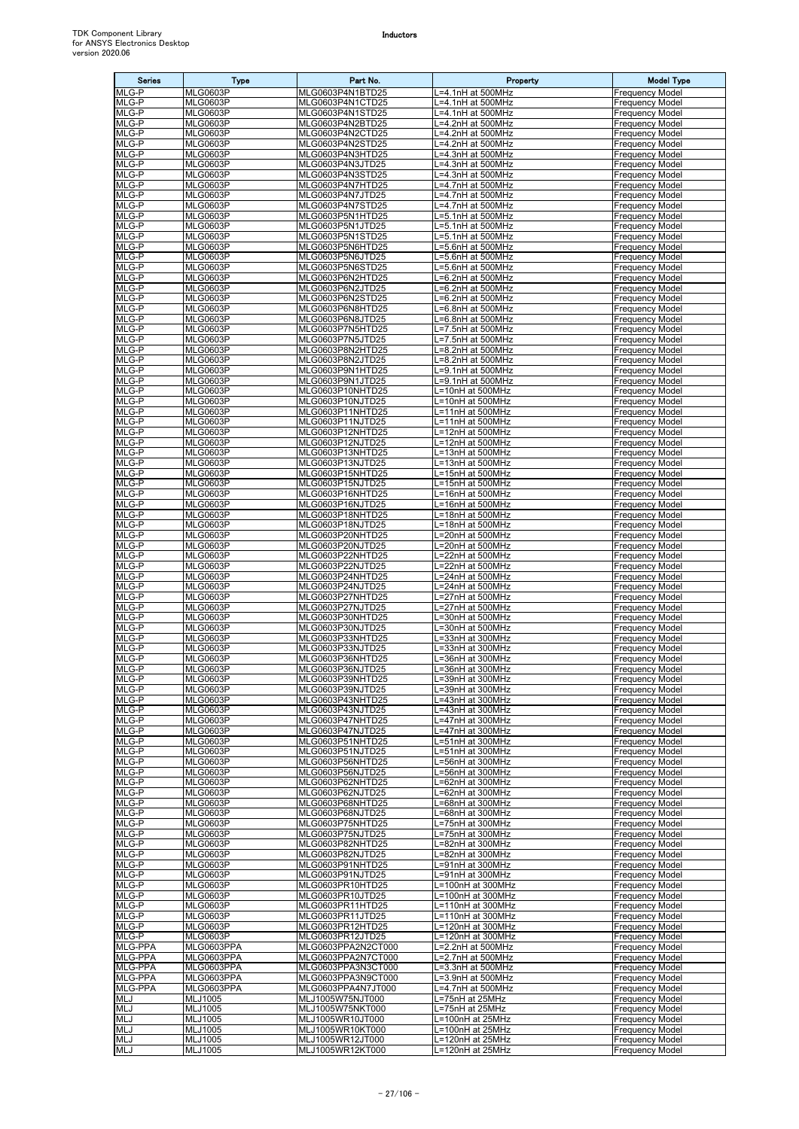| <b>Series</b>            | Type                               | Part No.                                 | Property                               | <b>Model Type</b>                                |
|--------------------------|------------------------------------|------------------------------------------|----------------------------------------|--------------------------------------------------|
| MLG-P<br>MLG-P           | <b>MLG0603P</b>                    | MLG0603P4N1BTD25                         | L=4.1nH at 500MHz                      | <b>Frequency Model</b>                           |
| MLG-P                    | <b>MLG0603P</b><br><b>MLG0603P</b> | MLG0603P4N1CTD25<br>MLG0603P4N1STD25     | =4.1nH at 500MHz<br>.=4.1nH at 500MHz  | <b>Frequency Model</b><br><b>Frequency Model</b> |
| MLG-P                    | <b>MLG0603P</b>                    | MLG0603P4N2BTD25                         | L=4.2nH at 500MHz                      | <b>Frequency Model</b>                           |
| MLG-P<br>MLG-P           | <b>MLG0603P</b>                    | MLG0603P4N2CTD25                         | L=4.2nH at 500MHz                      | <b>Frequency Model</b>                           |
| MLG-P                    | <b>MLG0603P</b><br><b>MLG0603P</b> | MLG0603P4N2STD25<br>MLG0603P4N3HTD25     | L=4.2nH at 500MHz<br>L=4.3nH at 500MHz | <b>Frequency Model</b><br><b>Frequency Model</b> |
| MLG-P                    | <b>MLG0603P</b>                    | MLG0603P4N3JTD25                         | L=4.3nH at 500MHz                      | <b>Frequency Model</b>                           |
| MLG-P<br>MLG-P           | <b>MLG0603P</b><br><b>MLG0603P</b> | MLG0603P4N3STD25<br>MLG0603P4N7HTD25     | L=4.3nH at 500MHz<br>-4.7nH at 500MHz  | <b>Frequency Model</b><br><b>Frequency Model</b> |
| MLG-P                    | <b>MLG0603P</b>                    | MLG0603P4N7JTD25                         | L=4.7nH at 500MHz                      | <b>Frequency Model</b>                           |
| MLG-P                    | <b>MLG0603P</b>                    | MLG0603P4N7STD25                         | $\overline{=4.7}$ nH at 500MHz         | <b>Frequency Model</b>                           |
| MLG-P<br>MLG-P           | <b>MLG0603P</b><br><b>MLG0603P</b> | MLG0603P5N1HTD25<br>MLG0603P5N1JTD25     | L=5.1nH at 500MHz<br>L=5.1nH at 500MHz | <b>Frequency Model</b><br><b>Frequency Model</b> |
| MLG-P                    | <b>MLG0603P</b>                    | MLG0603P5N1STD25                         | L=5.1nH at 500MHz                      | <b>Frequency Model</b>                           |
| MLG-P                    | <b>MLG0603P</b>                    | MLG0603P5N6HTD25                         | L=5.6nH at 500MHz                      | <b>Frequency Model</b>                           |
| MLG-P<br>MLG-P           | <b>MLG0603P</b><br><b>MLG0603P</b> | MLG0603P5N6JTD25<br>MLG0603P5N6STD25     | L=5.6nH at 500MHz<br>L=5.6nH at 500MHz | <b>Frequency Model</b><br><b>Frequency Model</b> |
| MLG-P                    | <b>MLG0603P</b>                    | MLG0603P6N2HTD25                         | .=6.2nH at 500MHz                      | <b>Frequency Model</b>                           |
| MLG-P<br>MLG-P           | <b>MLG0603P</b><br><b>MLG0603P</b> | MLG0603P6N2JTD25<br>MLG0603P6N2STD25     | L=6.2nH at 500MHz<br>L=6.2nH at 500MHz | <b>Frequency Model</b><br><b>Frequency Model</b> |
| MLG-P                    | <b>MLG0603P</b>                    | MLG0603P6N8HTD25                         | L=6.8nH at 500MHz                      | <b>Frequency Model</b>                           |
| MLG-P<br>MLG-P           | <b>MLG0603P</b><br><b>MLG0603P</b> | MLG0603P6N8JTD25<br>MLG0603P7N5HTD25     | L=6.8nH at 500MHz<br>L=7.5nH at 500MHz | <b>Frequency Model</b><br><b>Frequency Model</b> |
| MLG-P                    | <b>MLG0603P</b>                    | MLG0603P7N5JTD25                         | L=7.5nH at 500MHz                      | <b>Frequency Model</b>                           |
| MLG-P                    | <b>MLG0603P</b>                    | MLG0603P8N2HTD25                         | L=8.2nH at 500MHz                      | <b>Frequency Model</b>                           |
| MLG-P<br>MLG-P           | <b>MLG0603P</b><br><b>MLG0603P</b> | MLG0603P8N2JTD25<br>MLG0603P9N1HTD25     | L=8.2nH at 500MHz<br>.=9.1nH at 500MHz | <b>Frequency Model</b><br><b>Frequency Model</b> |
| MLG-P                    | <b>MLG0603P</b>                    | MLG0603P9N1JTD25                         | L=9.1nH at 500MHz                      | <b>Frequency Model</b>                           |
| MLG-P                    | <b>MLG0603P</b>                    | MLG0603P10NHTD25                         | L=10nH at 500MHz                       | <b>Frequency Model</b>                           |
| MLG-P<br>MLG-P           | <b>MLG0603P</b><br><b>MLG0603P</b> | MLG0603P10NJTD25<br>MLG0603P11NHTD25     | L=10nH at 500MHz<br>L=11nH at 500MHz   | <b>Frequency Model</b><br><b>Frequency Model</b> |
| MLG-P                    | <b>MLG0603P</b>                    | MLG0603P11NJTD25                         | L=11nH at 500MHz                       | <b>Frequency Model</b>                           |
| MLG-P<br>MLG-P           | <b>MLG0603P</b><br><b>MLG0603P</b> | MLG0603P12NHTD25<br>MLG0603P12NJTD25     | L=12nH at 500MHz<br>L=12nH at 500MHz   | <b>Frequency Model</b><br><b>Frequency Model</b> |
| MLG-P                    | <b>MLG0603P</b>                    | MLG0603P13NHTD25                         | L=13nH at 500MHz                       | <b>Frequency Model</b>                           |
| MLG-P                    | <b>MLG0603P</b>                    | MLG0603P13NJTD25                         | L=13nH at 500MHz                       | <b>Frequency Model</b>                           |
| MLG-P<br>MLG-P           | <b>MLG0603P</b><br><b>MLG0603P</b> | MLG0603P15NHTD25<br>MLG0603P15NJTD25     | L=15nH at 500MHz<br>L=15nH at 500MHz   | <b>Frequency Model</b><br><b>Frequency Model</b> |
| MLG-P                    | <b>MLG0603P</b>                    | MLG0603P16NHTD25                         | L=16nH at 500MHz                       | <b>Frequency Model</b>                           |
| MLG-P<br>MLG-P           | <b>MLG0603P</b><br><b>MLG0603P</b> | MLG0603P16NJTD25<br>MLG0603P18NHTD25     | L=16nH at 500MHz<br>L=18nH at 500MHz   | <b>Frequency Model</b><br><b>Frequency Model</b> |
| MLG-P                    | <b>MLG0603P</b>                    | MLG0603P18NJTD25                         | L=18nH at 500MHz                       | <b>Frequency Model</b>                           |
| MLG-P                    | <b>MLG0603P</b>                    | MLG0603P20NHTD25                         | .=20nH at 500MHz                       | <b>Frequency Model</b>                           |
| MLG-P<br>MLG-P           | <b>MLG0603P</b><br><b>MLG0603P</b> | MLG0603P20NJTD25<br>MLG0603P22NHTD25     | L=20nH at 500MHz<br>L=22nH at 500MHz   | <b>Frequency Model</b><br><b>Frequency Model</b> |
| MLG-P                    | <b>MLG0603P</b>                    | MLG0603P22NJTD25                         | L=22nH at 500MHz                       | <b>Frequency Model</b>                           |
| MLG-P<br>MLG-P           | <b>MLG0603P</b><br><b>MLG0603P</b> | MLG0603P24NHTD25<br>MLG0603P24NJTD25     | L=24nH at 500MHz<br>L=24nH at 500MHz   | <b>Frequency Model</b><br><b>Frequency Model</b> |
| MLG-P                    | <b>MLG0603P</b>                    | MLG0603P27NHTD25                         | L=27nH at 500MHz                       | <b>Frequency Model</b>                           |
| MLG-P                    | <b>MLG0603P</b>                    | MLG0603P27NJTD25                         | L=27nH at 500MHz                       | <b>Frequency Model</b>                           |
| MLG-P<br>MLG-P           | <b>MLG0603P</b><br><b>MLG0603P</b> | MLG0603P30NHTD25<br>MLG0603P30NJTD25     | L=30nH at 500MHz<br>L=30nH at 500MHz   | <b>Frequency Model</b><br><b>Frequency Model</b> |
| MLG-P                    | <b>MLG0603P</b>                    | MLG0603P33NHTD25                         | L=33nH at 300MHz                       | <b>Frequency Model</b>                           |
| MLG-P<br>MLG-P           | <b>MLG0603P</b><br><b>MLG0603P</b> | MLG0603P33NJTD25<br>MLG0603P36NHTD25     | L=33nH at 300MHz<br>L=36nH at 300MHz   | <b>Frequency Model</b><br><b>Frequency Model</b> |
| MLG-P                    | <b>MLG0603P</b>                    | MLG0603P36NJTD25                         | L=36nH at 300MHz                       | <b>Frequency Model</b>                           |
| MLG-P                    | <b>MLG0603P</b><br><b>MLG0603P</b> | MLG0603P39NHTD25                         | L=39nH at 300MHz                       | <b>Frequency Model</b>                           |
| MLG-P<br>MLG-P           | <b>MLG0603P</b>                    | MLG0603P39NJTD25<br>MLG0603P43NHTD25     | L=39nH at 300MHz<br>L=43nH at 300MHz   | <b>Frequency Model</b><br><b>Frequency Model</b> |
| MLG-P                    | <b>MLG0603P</b>                    | MLG0603P43NJTD25                         | L=43nH at 300MHz                       | <b>Frequency Model</b>                           |
| MLG-P<br>MLG-P           | <b>MLG0603P</b><br><b>MLG0603P</b> | MLG0603P47NHTD25<br>MLG0603P47NJTD25     | L=47nH at 300MHz<br>L=47nH at 300MHz   | <b>Frequency Model</b><br><b>Frequency Model</b> |
| MLG-P                    | <b>MLG0603P</b>                    | MLG0603P51NHTD25                         | L=51nH at 300MHz                       | <b>Frequency Model</b>                           |
| MLG-P                    | <b>MLG0603P</b>                    | MLG0603P51NJTD25                         | L=51nH at 300MHz                       | <b>Frequency Model</b>                           |
| MLG-P<br>MLG-P           | <b>MLG0603P</b><br><b>MLG0603P</b> | MLG0603P56NHTD25<br>MLG0603P56NJTD25     | L=56nH at 300MHz<br>L=56nH at 300MHz   | <b>Frequency Model</b><br><b>Frequency Model</b> |
| MLG-P                    | <b>MLG0603P</b>                    | MLG0603P62NHTD25                         | L=62nH at 300MHz                       | <b>Frequency Model</b>                           |
| MLG-P<br>MLG-P           | <b>MLG0603P</b><br><b>MLG0603P</b> | MLG0603P62NJTD25<br>MLG0603P68NHTD25     | L=62nH at 300MHz<br>L=68nH at 300MHz   | <b>Frequency Model</b><br><b>Frequency Model</b> |
| MLG-P                    | <b>MLG0603P</b>                    | MLG0603P68NJTD25                         | L=68nH at 300MHz                       | <b>Frequency Model</b>                           |
| MLG-P                    | <b>MLG0603P</b>                    | MLG0603P75NHTD25                         | L=75nH at 300MHz<br>L=75nH at 300MHz   | <b>Frequency Model</b><br><b>Frequency Model</b> |
| MLG-P<br>MLG-P           | <b>MLG0603P</b><br><b>MLG0603P</b> | MLG0603P75NJTD25<br>MLG0603P82NHTD25     | L=82nH at 300MHz                       | <b>Frequency Model</b>                           |
| MLG-P                    | <b>MLG0603P</b>                    | MLG0603P82NJTD25                         | L=82nH at 300MHz                       | <b>Frequency Model</b>                           |
| MLG-P<br>MLG-P           | <b>MLG0603P</b><br><b>MLG0603P</b> | MLG0603P91NHTD25<br>MLG0603P91NJTD25     | L=91nH at 300MHz<br>L=91nH at 300MHz   | <b>Frequency Model</b><br><b>Frequency Model</b> |
| MLG-P                    | <b>MLG0603P</b>                    | MLG0603PR10HTD25                         | L=100nH at 300MHz                      | <b>Frequency Model</b>                           |
| MLG-P<br>MLG-P           | <b>MLG0603P</b><br><b>MLG0603P</b> | MLG0603PR10JTD25<br>MLG0603PR11HTD25     | L=100nH at 300MHz<br>L=110nH at 300MHz | <b>Frequency Model</b><br><b>Frequency Model</b> |
| MLG-P                    | <b>MLG0603P</b>                    | MLG0603PR11JTD25                         | L=110nH at 300MHz                      | <b>Frequency Model</b>                           |
| MLG-P                    | <b>MLG0603P</b>                    | MLG0603PR12HTD25                         | L=120nH at 300MHz                      | <b>Frequency Model</b>                           |
| MLG-P<br>MLG-PPA         | <b>MLG0603P</b><br>MLG0603PPA      | MLG0603PR12JTD25<br>MLG0603PPA2N2CT000   | L=120nH at 300MHz<br>L=2.2nH at 500MHz | <b>Frequency Model</b><br><b>Frequency Model</b> |
| <b>MLG-PPA</b>           | MLG0603PPA                         | MLG0603PPA2N7CT000                       | L=2.7nH at 500MHz                      | <b>Frequency Model</b>                           |
| MLG-PPA<br>MLG-PPA       | MLG0603PPA<br>MLG0603PPA           | MLG0603PPA3N3CT000<br>MLG0603PPA3N9CT000 | L=3.3nH at 500MHz<br>L=3.9nH at 500MHz | <b>Frequency Model</b><br><b>Frequency Model</b> |
| MLG-PPA                  | MLG0603PPA                         | MLG0603PPA4N7JT000                       | L=4.7nH at 500MHz                      | <b>Frequency Model</b>                           |
| MLJ                      | MLJ1005                            | MLJ1005W75NJT000                         | L=75nH at 25MHz                        | <b>Frequency Model</b>                           |
| <b>MLJ</b><br><b>MLJ</b> | <b>MLJ1005</b><br>MLJ1005          | MLJ1005W75NKT000<br>MLJ1005WR10JT000     | L=75nH at 25MHz<br>L=100nH at 25MHz    | <b>Frequency Model</b><br><b>Frequency Model</b> |
| <b>MLJ</b>               | MLJ1005                            | MLJ1005WR10KT000                         | L=100nH at 25MHz                       | <b>Frequency Model</b>                           |
| MLJ<br>MLJ               | MLJ1005<br>MLJ1005                 | MLJ1005WR12JT000<br>MLJ1005WR12KT000     | L=120nH at 25MHz<br>L=120nH at 25MHz   | <b>Frequency Model</b><br><b>Frequency Model</b> |
|                          |                                    |                                          |                                        |                                                  |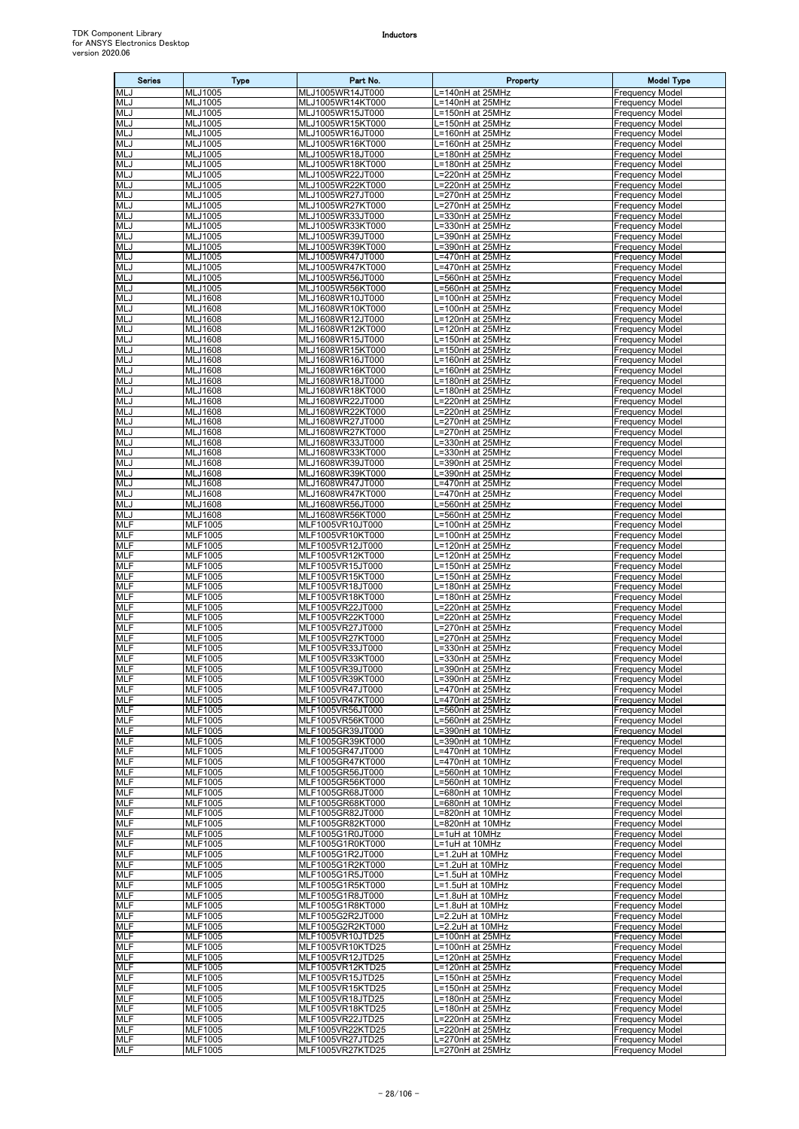| <b>Series</b>            | <b>Type</b>                       | Part No.                             | Property                              | <b>Model Type</b>                                |
|--------------------------|-----------------------------------|--------------------------------------|---------------------------------------|--------------------------------------------------|
| MLJ                      | MLJ1005                           | MLJ1005WR14JT000                     | $-140nH$ at 25MHz                     | <b>Frequency Model</b>                           |
| MLJ<br>MLJ               | MLJ1005<br>MLJ1005                | MLJ1005WR14KT000<br>MLJ1005WR15JT000 | L=140nH at 25MHz<br>L=150nH at 25MHz  | <b>Frequency Model</b><br><b>Frequency Model</b> |
| MLJ                      | MLJ1005                           | MLJ1005WR15KT000                     | L=150nH at 25MHz                      | <b>Frequency Model</b>                           |
| MLJ                      | MLJ1005                           | MLJ1005WR16JT000                     | .=160nH at 25MHz                      | <b>Frequency Model</b>                           |
| MLJ                      | MLJ1005                           | MLJ1005WR16KT000                     | =160nH at 25MHz                       | <b>Frequency Model</b>                           |
| <b>MLJ</b>               | MLJ1005                           | MLJ1005WR18JT000                     | L=180nH at 25MHz                      | <b>Frequency Model</b>                           |
| MLJ<br>MLJ               | MLJ1005<br>MLJ1005                | MLJ1005WR18KT000<br>MLJ1005WR22JT000 | L=180nH at 25MHz<br>L=220nH at 25MHz  | <b>Frequency Model</b><br><b>Frequency Model</b> |
| MLJ                      | MLJ1005                           | MLJ1005WR22KT000                     | =220nH at 25MHz                       | <b>Frequency Model</b>                           |
| MLJ                      | MLJ1005                           | MLJ1005WR27JT000                     | L=270nH at 25MHz                      | <b>Frequency Model</b>                           |
| MLJ                      | MLJ1005                           | MLJ1005WR27KT000                     | =270nH at 25MHz                       | <b>Frequency Model</b>                           |
| <b>MLJ</b><br>MLJ        | MLJ1005<br>MLJ1005                | MLJ1005WR33JT000<br>MLJ1005WR33KT000 | $=330$ nH at 25MHz<br>=330nH at 25MHz | <b>Frequency Model</b><br><b>Frequency Model</b> |
| MLJ                      | MLJ1005                           | MLJ1005WR39JT000                     | =390nH at 25MHz                       | <b>Frequency Model</b>                           |
| MLJ                      | MLJ1005                           | MLJ1005WR39KT000                     | =390nH at 25MHz                       | <b>Frequency Model</b>                           |
| MLJ                      | MLJ1005                           | MLJ1005WR47JT000                     | =470nH at 25MHz                       | <b>Frequency Model</b>                           |
| MLJ                      | MLJ1005                           | MLJ1005WR47KT000                     | L=470nH at 25MHz                      | <b>Frequency Model</b>                           |
| MLJ<br><b>MLJ</b>        | MLJ1005<br>MLJ1005                | MLJ1005WR56JT000<br>MLJ1005WR56KT000 | -=560nH at 25MHz<br>.=560nH at 25MHz  | <b>Frequency Model</b><br><b>Frequency Model</b> |
| MLJ                      | MLJ1608                           | MLJ1608WR10JT000                     | $-100nH$ at 25MHz                     | <b>Frequency Model</b>                           |
| <b>MLJ</b>               | <b>MLJ1608</b>                    | MLJ1608WR10KT000                     | L=100nH at 25MHz                      | <b>Frequency Model</b>                           |
| MLJ                      | <b>MLJ1608</b>                    | MLJ1608WR12JT000                     | $-120nH$ at 25MHz                     | <b>Frequency Model</b>                           |
| MLJ<br><b>MLJ</b>        | <b>MLJ1608</b><br><b>MLJ1608</b>  | MLJ1608WR12KT000<br>MLJ1608WR15JT000 | L=120nH at 25MHz<br>L=150nH at 25MHz  | <b>Frequency Model</b><br><b>Frequency Model</b> |
| MLJ                      | <b>MLJ1608</b>                    | MLJ1608WR15KT000                     | _=150nH at 25MHz                      | <b>Frequency Model</b>                           |
| MLJ                      | <b>MLJ1608</b>                    | MLJ1608WR16JT000                     | L=160nH at 25MHz                      | <b>Frequency Model</b>                           |
| <b>MLJ</b>               | <b>MLJ1608</b>                    | MLJ1608WR16KT000                     | L=160nH at 25MHz                      | <b>Frequency Model</b>                           |
| MLJ                      | MLJ1608                           | MLJ1608WR18JT000                     | L=180nH at 25MHz                      | <b>Frequency Model</b>                           |
| MLJ<br>MLJ               | <b>MLJ1608</b><br><b>MLJ1608</b>  | MLJ1608WR18KT000<br>MLJ1608WR22JT000 | .=180nH at 25MHz<br>=220nH at 25MHz   | <b>Frequency Model</b><br><b>Frequency Model</b> |
| MLJ                      | <b>MLJ1608</b>                    | MLJ1608WR22KT000                     | =220nH at 25MHz                       | <b>Frequency Model</b>                           |
| MLJ                      | <b>MLJ1608</b>                    | MLJ1608WR27JT000                     | =270nH at 25MHz                       | <b>Frequency Model</b>                           |
| MLJ                      | <b>MLJ1608</b>                    | MLJ1608WR27KT000                     | .=270nH at 25MHz                      | <b>Frequency Model</b>                           |
| MLJ<br>MLJ               | <b>MLJ1608</b><br><b>MLJ1608</b>  | MLJ1608WR33JT000<br>MLJ1608WR33KT000 | =330nH at 25MHz<br>L=330nH at 25MHz   | <b>Frequency Model</b><br><b>Frequency Model</b> |
| MLJ                      | <b>MLJ1608</b>                    | MLJ1608WR39JT000                     | $\overline{=3}$ 90nH at 25MHz         | <b>Frequency Model</b>                           |
| MLJ                      | <b>MLJ1608</b>                    | MLJ1608WR39KT000                     | =390nH at 25MHz                       | <b>Frequency Model</b>                           |
| MLJ                      | MLJ1608                           | MLJ1608WR47JT000                     | .=470nH at 25MHz                      | <b>Frequency Model</b>                           |
| MLJ                      | <b>MLJ1608</b>                    | MLJ1608WR47KT000                     | =470nH at 25MHz                       | <b>Frequency Model</b>                           |
| MLJ<br>MLJ               | <b>MLJ1608</b><br>MLJ1608         | MLJ1608WR56JT000<br>MLJ1608WR56KT000 | =560nH at 25MHz<br>=560nH at 25MHz    | <b>Frequency Model</b><br><b>Frequency Model</b> |
| <b>MLF</b>               | <b>MLF1005</b>                    | MLF1005VR10JT000                     | L=100nH at 25MHz                      | <b>Frequency Model</b>                           |
| MLF                      | MLF1005                           | MLF1005VR10KT000                     | L=100nH at 25MHz                      | <b>Frequency Model</b>                           |
| <b>MLF</b>               | <b>MLF1005</b>                    | MLF1005VR12JT000                     | -120nH at 25MHz                       | <b>Frequency Model</b>                           |
| MLF                      | MLF1005                           | MLF1005VR12KT000                     | $-120nH$ at 25MHz                     | <b>Frequency Model</b>                           |
| <b>MLF</b><br>MLF        | MLF1005<br>MLF1005                | MLF1005VR15JT000<br>MLF1005VR15KT000 | L=150nH at 25MHz<br>L=150nH at 25MHz  | <b>Frequency Model</b><br><b>Frequency Model</b> |
| <b>MLF</b>               | MLF1005                           | MLF1005VR18JT000                     | L=180nH at 25MHz                      | <b>Frequency Model</b>                           |
| <b>MLF</b>               | MLF1005                           | MLF1005VR18KT000                     | L=180nH at 25MHz                      | <b>Frequency Model</b>                           |
| MLF                      | <b>MLF1005</b>                    | MLF1005VR22JT000                     | L=220nH at 25MHz                      | <b>Frequency Model</b>                           |
| MLF<br><b>MLF</b>        | MLF1005<br><b>MLF1005</b>         | MLF1005VR22KT000<br>MLF1005VR27JT000 | L=220nH at 25MHz                      | <b>Frequency Model</b><br><b>Frequency Model</b> |
| MLF                      | MLF1005                           | MLF1005VR27KT000                     | =270nH at 25MHz<br>=270nH at 25MHz    | <b>Frequency Model</b>                           |
| MLF                      | MLF1005                           | MLF1005VR33JT000                     | =330nH at 25MHz                       | <b>Frequency Model</b>                           |
| <b>MLF</b>               | <b>MLF1005</b>                    | MLF1005VR33KT000                     | =330nH at 25MHz                       | <b>Frequency Model</b>                           |
| <b>MLF</b>               | <b>MLF1005</b>                    | MLF1005VR39JT000                     | L=390nH at 25MHz                      | <b>Frequency Model</b>                           |
| MLF<br>MLF               | MLF1005<br>MLF1005                | MLF1005VR39KT000<br>MLF1005VR47JT000 | L=390nH at 25MHz<br>_=470nH at 25MHz  | <b>Frequency Model</b><br><b>Frequency Model</b> |
| MLF                      | MLF1005                           | MLF1005VR47KT000                     | .=470nH at 25MHz                      | <b>Frequency Model</b>                           |
| MLF                      | MLF1005                           | MLF1005VR56JT000                     | L=560nH at 25MHz                      | <b>Frequency Model</b>                           |
| MLF                      | <b>MLF1005</b>                    | MLF1005VR56KT000                     | -560nH at 25MHz                       | <b>Frequency Model</b>                           |
| MLF<br><b>MLF</b>        | MLF1005<br>MLF1005                | MLF1005GR39JT000<br>MLF1005GR39KT000 | =390nH at 10MHz<br>.=390nH at 10MHz   | <b>Frequency Model</b><br><b>Frequency Model</b> |
| <b>MLF</b>               | <b>MLF1005</b>                    | MLF1005GR47JT000                     | =470nH at 10MHz                       | <b>Frequency Model</b>                           |
| <b>MLF</b>               | <b>MLF1005</b>                    | MLF1005GR47KT000                     | .=470nH at 10MHz                      | <b>Frequency Model</b>                           |
| MLF                      | MLF1005                           | MLF1005GR56JT000                     | =560nH at 10MHz                       | <b>Frequency Model</b>                           |
| <b>MLF</b>               | <b>MLF1005</b>                    | MLF1005GR56KT000                     | L=560nH at 10MHz                      | <b>Frequency Model</b>                           |
| MLF<br>MLF               | <b>MLF1005</b><br><b>MLF</b> 1005 | MLF1005GR68JT000<br>MLF1005GR68KT000 | L=680nH at 10MHz<br>.=680nH at 10MHz  | <b>Frequency Model</b><br><b>Frequency Model</b> |
| MLF                      | MLF1005                           | MLF1005GR82JT000                     | $= 820$ nH at 10MHz                   | <b>Frequency Model</b>                           |
| MLF                      | <b>MLF1005</b>                    | MLF1005GR82KT000                     | =820nH at 10MHz                       | <b>Frequency Model</b>                           |
| MLF                      | <b>MLF1005</b>                    | MLF1005G1R0JT000                     | L=1uH at 10MHz                        | <b>Frequency Model</b>                           |
| <b>MLF</b><br>MLF        | MLF1005<br>MLF1005                | MLF1005G1R0KT000<br>MLF1005G1R2JT000 | L=1uH at 10MHz<br>L=1.2uH at 10MHz    | <b>Frequency Model</b><br><b>Frequency Model</b> |
| MLF                      | <b>MLF1005</b>                    | MLF1005G1R2KT000                     | L=1.2uH at 10MHz                      | <b>Frequency Model</b>                           |
| MLF                      | <b>MLF1005</b>                    | MLF1005G1R5JT000                     | L=1.5uH at 10MHz                      | <b>Frequency Model</b>                           |
| <b>MLF</b>               | MLF1005                           | MLF1005G1R5KT000                     | L=1.5uH at 10MHz                      | <b>Frequency Model</b>                           |
| <b>MLF</b><br><b>MLF</b> | MLF1005                           | MLF1005G1R8JT000                     | L=1.8uH at 10MHz                      | <b>Frequency Model</b>                           |
| <b>MLF</b>               | MLF1005<br>MLF1005                | MLF1005G1R8KT000<br>MLF1005G2R2JT000 | L=1.8uH at 10MHz<br>L=2.2uH at 10MHz  | <b>Frequency Model</b><br><b>Frequency Model</b> |
| <b>MLF</b>               | MLF1005                           | MLF1005G2R2KT000                     | L=2.2uH at 10MHz                      | <b>Frequency Model</b>                           |
| MLF                      | MLF1005                           | MLF1005VR10JTD25                     | L=100nH at 25MHz                      | <b>Frequency Model</b>                           |
| <b>MLF</b>               | <b>MLF1005</b>                    | MLF1005VR10KTD25                     | L=100nH at 25MHz                      | <b>Frequency Model</b>                           |
| MLF<br><b>MLF</b>        | MLF1005<br>MLF1005                | MLF1005VR12JTD25<br>MLF1005VR12KTD25 | L=120nH at 25MHz<br>L=120nH at 25MHz  | <b>Frequency Model</b><br><b>Frequency Model</b> |
| MLF                      | MLF1005                           | MLF1005VR15JTD25                     | _=150nH at 25MHz                      | <b>Frequency Model</b>                           |
| <b>MLF</b>               | <b>MLF</b> 1005                   | MLF1005VR15KTD25                     | =150nH at 25MHz                       | <b>Frequency Model</b>                           |
| <b>MLF</b>               | MLF1005                           | MLF1005VR18JTD25                     | L=180nH at 25MHz                      | <b>Frequency Model</b>                           |
| <b>MLF</b>               | <b>MLF1005</b>                    | MLF1005VR18KTD25                     | L=180nH at 25MHz                      | <b>Frequency Model</b>                           |
| MLF<br>MLF               | MLF1005<br>MLF1005                | MLF1005VR22JTD25<br>MLF1005VR22KTD25 | L=220nH at 25MHz<br>L=220nH at 25MHz  | <b>Frequency Model</b><br><b>Frequency Model</b> |
| <b>MLF</b>               | <b>MLF1005</b>                    | MLF1005VR27JTD25                     | L=270nH at 25MHz                      | <b>Frequency Model</b>                           |
| MLF                      | <b>MLF1005</b>                    | MLF1005VR27KTD25                     | L=270nH at 25MHz                      | <b>Frequency Model</b>                           |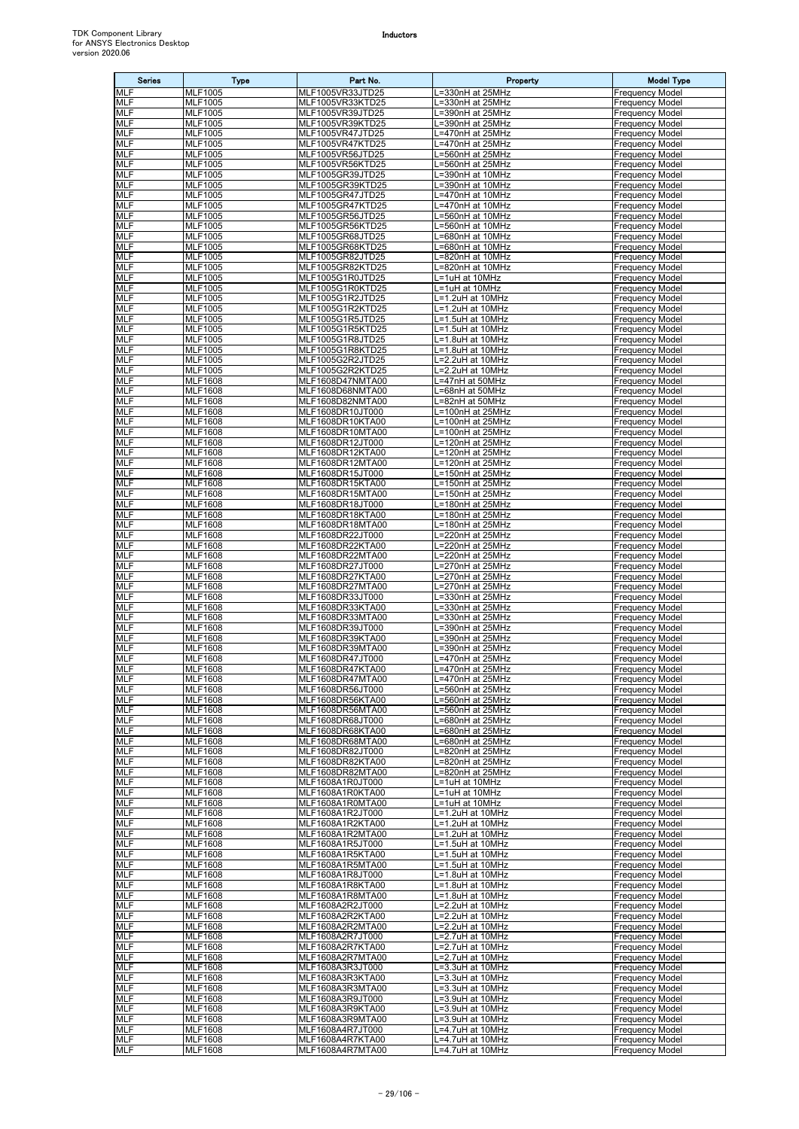| <b>Series</b>            | <b>Type</b>                      | Part No.                             | Property                             | <b>Model Type</b>                                |
|--------------------------|----------------------------------|--------------------------------------|--------------------------------------|--------------------------------------------------|
| MLF                      | <b>MLF1005</b>                   | MLF1005VR33JTD25                     | L=330nH at 25MHz                     | <b>Frequency Model</b>                           |
| <b>MLF</b><br><b>MLF</b> | <b>MLF1005</b>                   | MLF1005VR33KTD25                     | L=330nH at 25MHz                     | <b>Frequency Model</b>                           |
| <b>MLF</b>               | MLF1005<br><b>MLF1005</b>        | MLF1005VR39JTD25<br>MLF1005VR39KTD25 | L=390nH at 25MHz<br>L=390nH at 25MHz | <b>Frequency Model</b><br><b>Frequency Model</b> |
| MLF                      | MLF1005                          | MLF1005VR47JTD25                     | =470nH at 25MHz                      | <b>Frequency Model</b>                           |
| <b>MLF</b>               | <b>MLF1005</b>                   | MLF1005VR47KTD25                     | L=470nH at 25MHz                     | <b>Frequency Model</b>                           |
| <b>MLF</b><br><b>MLF</b> | MLF1005                          | MLF1005VR56JTD25                     | L=560nH at 25MHz<br>L=560nH at 25MHz | <b>Frequency Model</b><br><b>Frequency Model</b> |
| MLF                      | <b>MLF1005</b><br><b>MLF1005</b> | MLF1005VR56KTD25<br>MLF1005GR39JTD25 | L=390nH at 10MHz                     | <b>Frequency Model</b>                           |
| <b>MLF</b>               | <b>MLF1005</b>                   | MLF1005GR39KTD25                     | L=390nH at 10MHz                     | <b>Frequency Model</b>                           |
| <b>MLF</b>               | MLF1005                          | MLF1005GR47JTD25                     | L=470nH at 10MHz                     | <b>Frequency Model</b>                           |
| <b>MLF</b><br>MLF        | MLF1005<br><b>MLF1005</b>        | MLF1005GR47KTD25<br>MLF1005GR56JTD25 | L=470nH at 10MHz<br>L=560nH at 10MHz | <b>Frequency Model</b><br><b>Frequency Model</b> |
| MLF                      | MLF1005                          | MLF1005GR56KTD25                     | L=560nH at 10MHz                     | <b>Frequency Model</b>                           |
| <b>MLF</b>               | <b>MLF1005</b>                   | MLF1005GR68JTD25                     | L=680nH at 10MHz                     | <b>Frequency Model</b>                           |
| <b>MLF</b>               | MLF1005                          | MLF1005GR68KTD25                     | L=680nH at 10MHz                     | <b>Frequency Model</b>                           |
| MLF<br><b>MLF</b>        | MLF1005<br>MLF1005               | MLF1005GR82JTD25<br>MLF1005GR82KTD25 | L=820nH at 10MHz<br>=820nH at 10MHz  | <b>Frequency Model</b><br><b>Frequency Model</b> |
| MLF                      | <b>MLF1005</b>                   | MLF1005G1R0JTD25                     | L=1uH at 10MHz                       | <b>Frequency Model</b>                           |
| <b>MLF</b>               | MLF1005                          | MLF1005G1R0KTD25                     | L=1uH at 10MHz                       | <b>Frequency Model</b>                           |
| <b>MLF</b><br><b>MLF</b> | MLF1005<br>MLF1005               | MLF1005G1R2JTD25<br>MLF1005G1R2KTD25 | L=1.2uH at 10MHz<br>L=1.2uH at 10MHz | <b>Frequency Model</b><br><b>Frequency Model</b> |
| MLF                      | MLF1005                          | MLF1005G1R5JTD25                     | L=1.5uH at 10MHz                     | <b>Frequency Model</b>                           |
| <b>MLF</b>               | MLF1005                          | MLF1005G1R5KTD25                     | L=1.5uH at 10MHz                     | <b>Frequency Model</b>                           |
| <b>MLF</b>               | <b>MLF1005</b>                   | MLF1005G1R8JTD25                     | L=1.8uH at 10MHz                     | <b>Frequency Model</b>                           |
| MLF<br>MLF               | MLF1005<br><b>MLF1005</b>        | MLF1005G1R8KTD25<br>MLF1005G2R2JTD25 | L=1.8uH at 10MHz<br>=2.2uH at 10MHz  | <b>Frequency Model</b><br><b>Frequency Model</b> |
| <b>MLF</b>               | MLF1005                          | MLF1005G2R2KTD25                     | L=2.2uH at 10MHz                     | <b>Frequency Model</b>                           |
| <b>MLF</b>               | <b>MLF1608</b>                   | MLF1608D47NMTA00                     | L=47nH at 50MHz                      | <b>Frequency Model</b>                           |
| MLF                      | <b>MLF1608</b>                   | MLF1608D68NMTA00                     | L=68nH at 50MHz                      | <b>Frequency Model</b>                           |
| <b>MLF</b><br><b>MLF</b> | <b>MLF1608</b><br><b>MLF1608</b> | MLF1608D82NMTA00<br>MLF1608DR10JT000 | L=82nH at 50MHz<br>L=100nH at 25MHz  | <b>Frequency Model</b><br><b>Frequency Model</b> |
| <b>MLF</b>               | <b>MLF1608</b>                   | MLF1608DR10KTA00                     | L=100nH at 25MHz                     | <b>Frequency Model</b>                           |
| MLF                      | <b>MLF1608</b>                   | MLF1608DR10MTA00                     | L=100nH at 25MHz                     | <b>Frequency Model</b>                           |
| <b>MLF</b><br><b>MLF</b> | <b>MLF1608</b><br><b>MLF1608</b> | MLF1608DR12JT000<br>MLF1608DR12KTA00 | L=120nH at 25MHz<br>L=120nH at 25MHz | <b>Frequency Model</b><br><b>Frequency Model</b> |
| <b>MLF</b>               | <b>MLF1608</b>                   | MLF1608DR12MTA00                     | L=120nH at 25MHz                     | <b>Frequency Model</b>                           |
| MLF                      | <b>MLF1608</b>                   | MLF1608DR15JT000                     | L=150nH at 25MHz                     | <b>Frequency Model</b>                           |
| <b>MLF</b><br><b>MLF</b> | <b>MLF1608</b>                   | MLF1608DR15KTA00                     | L=150nH at 25MHz                     | <b>Frequency Model</b>                           |
| <b>MLF</b>               | <b>MLF1608</b><br><b>MLF1608</b> | MLF1608DR15MTA00<br>MLF1608DR18JT000 | L=150nH at 25MHz<br>L=180nH at 25MHz | <b>Frequency Model</b><br><b>Frequency Model</b> |
| MLF                      | <b>MLF1608</b>                   | MLF1608DR18KTA00                     | L=180nH at 25MHz                     | <b>Frequency Model</b>                           |
| <b>MLF</b>               | <b>MLF1608</b>                   | MLF1608DR18MTA00                     | L=180nH at 25MHz                     | <b>Frequency Model</b>                           |
| MLF<br><b>MLF</b>        | <b>MLF1608</b><br><b>MLF1608</b> | MLF1608DR22JT000<br>MLF1608DR22KTA00 | L=220nH at 25MHz<br>L=220nH at 25MHz | <b>Frequency Model</b><br><b>Frequency Model</b> |
| MLF                      | <b>MLF1608</b>                   | MLF1608DR22MTA00                     | L=220nH at 25MHz                     | <b>Frequency Model</b>                           |
| <b>MLF</b>               | <b>MLF1608</b>                   | MLF1608DR27JT000                     | L=270nH at 25MHz                     | <b>Frequency Model</b>                           |
| MLF                      | <b>MLF1608</b>                   | MLF1608DR27KTA00                     | L=270nH at 25MHz                     | <b>Frequency Model</b>                           |
| <b>MLF</b><br><b>MLF</b> | <b>MLF1608</b><br>MLF1608        | MLF1608DR27MTA00<br>MLF1608DR33JT000 | L=270nH at 25MHz<br>L=330nH at 25MHz | <b>Frequency Model</b><br><b>Frequency Model</b> |
| <b>MLF</b>               | <b>MLF1608</b>                   | MLF1608DR33KTA00                     | L=330nH at 25MHz                     | <b>Frequency Model</b>                           |
| <b>MLF</b>               | <b>MLF1608</b>                   | MLF1608DR33MTA00                     | L=330nH at 25MHz                     | <b>Frequency Model</b>                           |
| <b>MLF</b><br>MLF        | MLF1608<br><b>MLF1608</b>        | MLF1608DR39JT000<br>MLF1608DR39KTA00 | L=390nH at 25MHz<br>L=390nH at 25MHz | <b>Frequency Model</b><br><b>Frequency Model</b> |
| <b>MLF</b>               | <b>MLF1608</b>                   | MLF1608DR39MTA00                     | L=390nH at 25MHz                     | <b>Frequency Model</b>                           |
| <b>MLF</b>               | <b>MLF1608</b>                   | MLF1608DR47JT000                     | L=470nH at 25MHz                     | <b>Frequency Model</b>                           |
| <b>MLF</b><br><b>MLF</b> | <b>MLF1608</b><br><b>MLF1608</b> | MLF1608DR47KTA00<br>MLF1608DR47MTA00 | L=470nH at 25MHz<br>L=470nH at 25MHz | <b>Frequency Model</b><br><b>Frequency Model</b> |
| MLF                      | <b>MLF1608</b>                   | MLF1608DR56JT000                     | L=560nH at 25MHz                     | <b>Frequency Model</b>                           |
| MLF                      | <b>MLF1608</b>                   | MLF1608DR56KTA00                     | L=560nH at 25MHz                     | <b>Frequency Model</b>                           |
| <b>MLF</b>               | <b>MLF1608</b>                   | MLF1608DR56MTA00                     | L=560nH at 25MHz                     | <b>Frequency Model</b>                           |
| <b>MLF</b><br>MLF        | <b>MLF1608</b><br><b>MLF1608</b> | MLF1608DR68JT000<br>MLF1608DR68KTA00 | L=680nH at 25MHz<br>L=680nH at 25MHz | <b>Frequency Model</b><br><b>Frequency Model</b> |
| MLF                      | <b>MLF1608</b>                   | MLF1608DR68MTA00                     | L=680nH at 25MHz                     | <b>Frequency Model</b>                           |
| MLF                      | <b>MLF1608</b>                   | MLF1608DR82JT000                     | L=820nH at 25MHz                     | <b>Frequency Model</b>                           |
| MLF<br>MLF               | <b>MLF1608</b><br><b>MLF1608</b> | MLF1608DR82KTA00<br>MLF1608DR82MTA00 | L=820nH at 25MHz<br>L=820nH at 25MHz | <b>Frequency Model</b><br><b>Frequency Model</b> |
| MLF                      | <b>MLF1608</b>                   | MLF1608A1R0JT000                     | L=1uH at 10MHz                       | <b>Frequency Model</b>                           |
| <b>MLF</b>               | <b>MLF1608</b>                   | MLF1608A1R0KTA00                     | L=1uH at 10MHz                       | <b>Frequency Model</b>                           |
| <b>MLF</b><br>MLF        | <b>MLF1608</b><br>MLF1608        | MLF1608A1R0MTA00<br>MLF1608A1R2JT000 | L=1uH at 10MHz<br>L=1.2uH at 10MHz   | <b>Frequency Model</b><br><b>Frequency Model</b> |
| <b>MLF</b>               | <b>MLF1608</b>                   | MLF1608A1R2KTA00                     | L=1.2uH at 10MHz                     | <b>Frequency Model</b>                           |
| MLF                      | <b>MLF1608</b>                   | MLF1608A1R2MTA00                     | L=1.2uH at 10MHz                     | <b>Frequency Model</b>                           |
| MLF                      | <b>MLF1608</b>                   | MLF1608A1R5JT000                     | L=1.5uH at 10MHz                     | <b>Frequency Model</b>                           |
| MLF<br>MLF               | <b>MLF1608</b><br><b>MLF1608</b> | MLF1608A1R5KTA00<br>MLF1608A1R5MTA00 | L=1.5uH at 10MHz<br>L=1.5uH at 10MHz | <b>Frequency Model</b><br><b>Frequency Model</b> |
| MLF                      | <b>MLF1608</b>                   | MLF1608A1R8JT000                     | L=1.8uH at 10MHz                     | <b>Frequency Model</b>                           |
| <b>MLF</b>               | <b>MLF1608</b>                   | MLF1608A1R8KTA00                     | L=1.8uH at 10MHz                     | <b>Frequency Model</b>                           |
| MLF<br>MLF               | <b>MLF1608</b><br><b>MLF1608</b> | MLF1608A1R8MTA00<br>MLF1608A2R2JT000 | L=1.8uH at 10MHz<br>L=2.2uH at 10MHz | <b>Frequency Model</b><br><b>Frequency Model</b> |
| MLF                      | <b>MLF1608</b>                   | MLF1608A2R2KTA00                     | L=2.2uH at 10MHz                     | <b>Frequency Model</b>                           |
| MLF                      | <b>MLF1608</b>                   | MLF1608A2R2MTA00                     | L=2.2uH at 10MHz                     | <b>Frequency Model</b>                           |
| <b>MLF</b><br>MLF        | <b>MLF1608</b>                   | MLF1608A2R7JT000                     | L=2.7uH at 10MHz                     | <b>Frequency Model</b>                           |
| <b>MLF</b>               | <b>MLF1608</b><br><b>MLF1608</b> | MLF1608A2R7KTA00<br>MLF1608A2R7MTA00 | L=2.7uH at 10MHz<br>L=2.7uH at 10MHz | <b>Frequency Model</b><br><b>Frequency Model</b> |
| <b>MLF</b>               | <b>MLF1608</b>                   | MLF1608A3R3JT000                     | L=3.3uH at 10MHz                     | <b>Frequency Model</b>                           |
| MLF                      | <b>MLF1608</b>                   | MLF1608A3R3KTA00                     | L=3.3uH at 10MHz                     | <b>Frequency Model</b>                           |
| <b>MLF</b><br>MLF        | <b>MLF1608</b><br><b>MLF1608</b> | MLF1608A3R3MTA00<br>MLF1608A3R9JT000 | L=3.3uH at 10MHz<br>L=3.9uH at 10MHz | <b>Frequency Model</b><br><b>Frequency Model</b> |
| MLF                      | <b>MLF1608</b>                   | MLF1608A3R9KTA00                     | L=3.9uH at 10MHz                     | <b>Frequency Model</b>                           |
| MLF                      | <b>MLF1608</b>                   | MLF1608A3R9MTA00                     | L=3.9uH at 10MHz                     | <b>Frequency Model</b>                           |
| <b>MLF</b><br><b>MLF</b> | <b>MLF1608</b><br><b>MLF1608</b> | MLF1608A4R7JT000<br>MLF1608A4R7KTA00 | L=4.7uH at 10MHz<br>L=4.7uH at 10MHz | <b>Frequency Model</b><br><b>Frequency Model</b> |
| <b>MLF</b>               | <b>MLF1608</b>                   | MLF1608A4R7MTA00                     | L=4.7uH at 10MHz                     | <b>Frequency Model</b>                           |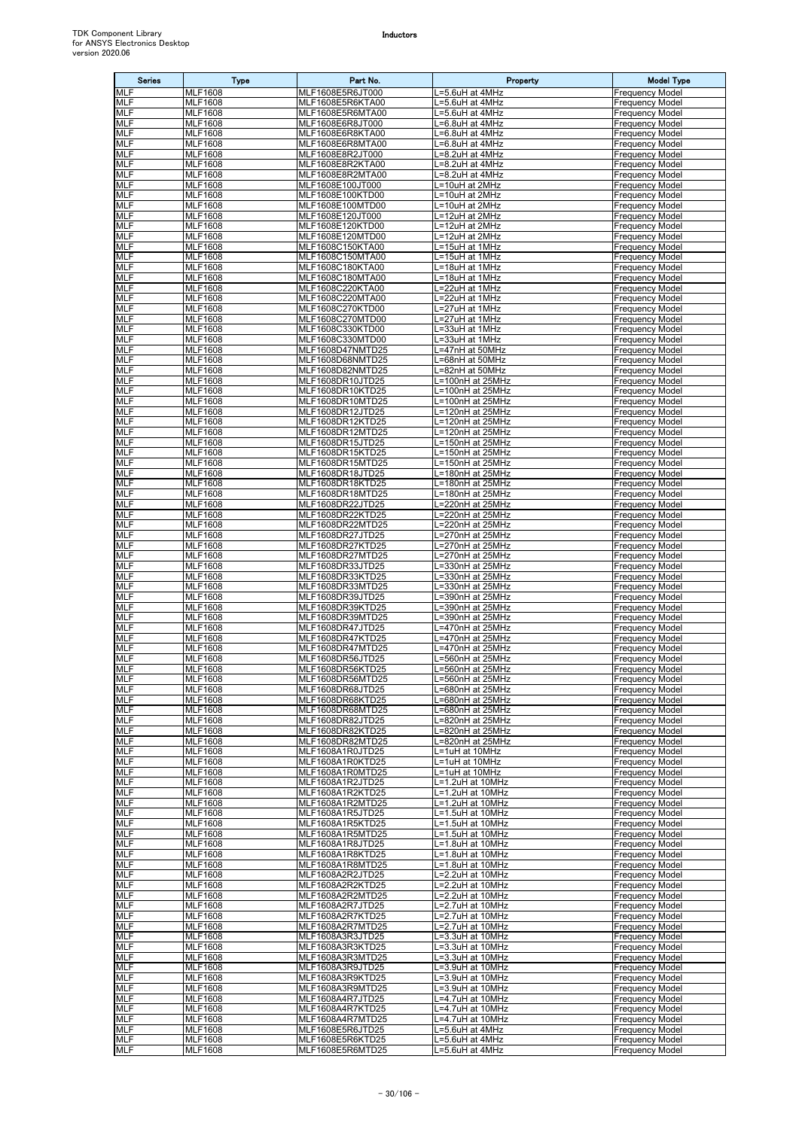| <b>Series</b>            | Type                             | Part No.                             | Property                                | <b>Model Type</b>                                |
|--------------------------|----------------------------------|--------------------------------------|-----------------------------------------|--------------------------------------------------|
| <b>MLF</b>               | <b>MLF1608</b>                   | MLF1608E5R6JT000                     | L=5.6uH at 4MHz                         | <b>Frequency Model</b>                           |
| <b>MLF</b><br><b>MLF</b> | <b>MLF1608</b><br><b>MLF1608</b> | MLF1608E5R6KTA00<br>MLF1608E5R6MTA00 | L=5.6uH at 4MHz<br>L=5.6uH at 4MHz      | <b>Frequency Model</b><br><b>Frequency Model</b> |
| <b>MLF</b>               | <b>MLF1608</b>                   | MLF1608E6R8JT000                     | L=6.8uH at 4MHz                         | <b>Frequency Model</b>                           |
| MLF                      | <b>MLF1608</b>                   | MLF1608E6R8KTA00                     | L=6.8uH at 4MHz                         | <b>Frequency Model</b>                           |
| <b>MLF</b><br><b>MLF</b> | <b>MLF1608</b><br><b>MLF1608</b> | MLF1608E6R8MTA00<br>MLF1608E8R2JT000 | $L=6.8$ uH at $4MHz$<br>L=8.2uH at 4MHz | <b>Frequency Model</b><br><b>Frequency Model</b> |
| <b>MLF</b>               | <b>MLF1608</b>                   | MLF1608E8R2KTA00                     | $L=8.2$ uH at $4MHz$                    | <b>Frequency Model</b>                           |
| <b>MLF</b>               | <b>MLF1608</b>                   | MLF1608E8R2MTA00                     | $L = 8.2$ uH at $4$ MHz                 | <b>Frequency Model</b>                           |
| <b>MLF</b>               | <b>MLF1608</b>                   | MLF1608E100JT000                     | L=10uH at 2MHz                          | <b>Frequency Model</b>                           |
| <b>MLF</b><br><b>MLF</b> | <b>MLF1608</b><br><b>MLF1608</b> | MLF1608E100KTD00<br>MLF1608E100MTD00 | L=10uH at 2MHz<br>L=10uH at 2MHz        | <b>Frequency Model</b><br><b>Frequency Model</b> |
| <b>MLF</b>               | <b>MLF1608</b>                   | MLF1608E120JT000                     | L=12uH at 2MHz                          | <b>Frequency Model</b>                           |
| <b>MLF</b>               | <b>MLF1608</b>                   | MLF1608E120KTD00                     | L=12uH at 2MHz                          | <b>Frequency Model</b>                           |
| MLF<br><b>MLF</b>        | <b>MLF1608</b><br><b>MLF1608</b> | MLF1608E120MTD00<br>MLF1608C150KTA00 | L=12uH at 2MHz<br>L=15uH at 1MHz        | <b>Frequency Model</b><br><b>Frequency Model</b> |
| <b>MLF</b>               | <b>MLF1608</b>                   | MLF1608C150MTA00                     | L=15uH at 1MHz                          | <b>Frequency Model</b>                           |
| <b>MLF</b>               | <b>MLF1608</b>                   | MLF1608C180KTA00                     | L=18uH at 1MHz                          | <b>Frequency Model</b>                           |
| <b>MLF</b><br><b>MLF</b> | <b>MLF1608</b><br><b>MLF1608</b> | MLF1608C180MTA00<br>MLF1608C220KTA00 | .=18uH at 1MHz<br>L=22uH at 1MHz        | <b>Frequency Model</b><br><b>Frequency Model</b> |
| <b>MLF</b>               | <b>MLF1608</b>                   | MLF1608C220MTA00                     | L=22uH at 1MHz                          | <b>Frequency Model</b>                           |
| <b>MLF</b>               | <b>MLF1608</b>                   | MLF1608C270KTD00                     | L=27uH at 1MHz                          | <b>Frequency Model</b>                           |
| <b>MLF</b><br>MLF        | <b>MLF1608</b><br><b>MLF1608</b> | MLF1608C270MTD00<br>MLF1608C330KTD00 | L=27uH at 1MHz<br>L=33uH at 1MHz        | <b>Frequency Model</b><br><b>Frequency Model</b> |
| <b>MLF</b>               | <b>MLF1608</b>                   | MLF1608C330MTD00                     | L=33uH at 1MHz                          | <b>Frequency Model</b>                           |
| <b>MLF</b>               | <b>MLF1608</b>                   | MLF1608D47NMTD25                     | L=47nH at 50MHz                         | <b>Frequency Model</b>                           |
| <b>MLF</b><br><b>MLF</b> | <b>MLF1608</b><br><b>MLF1608</b> | MLF1608D68NMTD25<br>MLF1608D82NMTD25 | L=68nH at 50MHz<br>=82nH at 50MHz       | <b>Frequency Model</b><br><b>Frequency Model</b> |
| <b>MLF</b>               | <b>MLF1608</b>                   | MLF1608DR10JTD25                     | L=100nH at 25MHz                        | <b>Frequency Model</b>                           |
| MLF                      | <b>MLF1608</b>                   | MLF1608DR10KTD25                     | L=100nH at 25MHz                        | <b>Frequency Model</b>                           |
| <b>MLF</b>               | <b>MLF1608</b>                   | MLF1608DR10MTD25                     | L=100nH at 25MHz                        | <b>Frequency Model</b>                           |
| <b>MLF</b><br><b>MLF</b> | <b>MLF1608</b><br><b>MLF1608</b> | MLF1608DR12JTD25<br>MLF1608DR12KTD25 | L=120nH at 25MHz<br>L=120nH at 25MHz    | <b>Frequency Model</b><br><b>Frequency Model</b> |
| <b>MLF</b>               | <b>MLF1608</b>                   | MLF1608DR12MTD25                     | L=120nH at 25MHz                        | <b>Frequency Model</b>                           |
| <b>MLF</b>               | <b>MLF1608</b>                   | MLF1608DR15JTD25                     | L=150nH at 25MHz                        | <b>Frequency Model</b>                           |
| <b>MLF</b><br><b>MLF</b> | <b>MLF1608</b><br><b>MLF1608</b> | MLF1608DR15KTD25<br>MLF1608DR15MTD25 | L=150nH at 25MHz<br>L=150nH at 25MHz    | <b>Frequency Model</b><br><b>Frequency Model</b> |
| <b>MLF</b>               | <b>MLF1608</b>                   | MLF1608DR18JTD25                     | L=180nH at 25MHz                        | <b>Frequency Model</b>                           |
| <b>MLF</b>               | <b>MLF1608</b>                   | MLF1608DR18KTD25                     | L=180nH at 25MHz                        | <b>Frequency Model</b>                           |
| <b>MLF</b><br><b>MLF</b> | <b>MLF1608</b><br><b>MLF1608</b> | MLF1608DR18MTD25<br>MLF1608DR22JTD25 | L=180nH at 25MHz<br>L=220nH at 25MHz    | <b>Frequency Model</b><br><b>Frequency Model</b> |
| <b>MLF</b>               | <b>MLF1608</b>                   | MLF1608DR22KTD25                     | L=220nH at 25MHz                        | <b>Frequency Model</b>                           |
| <b>MLF</b>               | <b>MLF1608</b>                   | MLF1608DR22MTD25                     | L=220nH at 25MHz                        | <b>Frequency Model</b>                           |
| <b>MLF</b><br><b>MLF</b> | <b>MLF1608</b>                   | MLF1608DR27JTD25                     | $-270nH$ at 25MHz                       | <b>Frequency Model</b>                           |
| <b>MLF</b>               | <b>MLF1608</b><br><b>MLF1608</b> | MLF1608DR27KTD25<br>MLF1608DR27MTD25 | L=270nH at 25MHz<br>L=270nH at 25MHz    | <b>Frequency Model</b><br><b>Frequency Model</b> |
| <b>MLF</b>               | <b>MLF1608</b>                   | MLF1608DR33JTD25                     | L=330nH at 25MHz                        | <b>Frequency Model</b>                           |
| <b>MLF</b>               | <b>MLF1608</b>                   | MLF1608DR33KTD25                     | L=330nH at 25MHz                        | <b>Frequency Model</b>                           |
| MLF<br><b>MLF</b>        | <b>MLF1608</b><br><b>MLF1608</b> | MLF1608DR33MTD25<br>MLF1608DR39JTD25 | L=330nH at 25MHz<br>L=390nH at 25MHz    | <b>Frequency Model</b><br><b>Frequency Model</b> |
| <b>MLF</b>               | <b>MLF1608</b>                   | MLF1608DR39KTD25                     | L=390nH at 25MHz                        | <b>Frequency Model</b>                           |
| <b>MLF</b>               | <b>MLF1608</b>                   | MLF1608DR39MTD25                     | L=390nH at 25MHz                        | <b>Frequency Model</b>                           |
| <b>MLF</b><br><b>MLF</b> | <b>MLF1608</b><br><b>MLF1608</b> | MLF1608DR47JTD25<br>MLF1608DR47KTD25 | L=470nH at 25MHz<br>L=470nH at 25MHz    | <b>Frequency Model</b><br><b>Frequency Model</b> |
| <b>MLF</b>               | <b>MLF1608</b>                   | MLF1608DR47MTD25                     | L=470nH at 25MHz                        | <b>Frequency Model</b>                           |
| <b>MLF</b>               | <b>MLF1608</b>                   | MLF1608DR56JTD25                     | L=560nH at 25MHz                        | <b>Frequency Model</b>                           |
| <b>MLF</b><br><b>MLF</b> | <b>MLF1608</b><br><b>MLF1608</b> | MLF1608DR56KTD25<br>MLF1608DR56MTD25 | L=560nH at 25MHz<br>L=560nH at 25MHz    | <b>Frequency Model</b><br><b>Frequency Model</b> |
| <b>MLF</b>               | <b>MLF1608</b>                   | MLF1608DR68JTD25                     | L=680nH at 25MHz                        | <b>Frequency Model</b>                           |
| <b>MLF</b>               | <b>MLF1608</b>                   | MLF1608DR68KTD25                     | L=680nH at 25MHz                        | <b>Frequency Model</b>                           |
| MLF<br>MLF               | <b>MLF1608</b><br><b>MLF1608</b> | MLF1608DR68MTD25<br>MLF1608DR82JTD25 | L=680nH at 25MHz<br>L=820nH at 25MHz    | <b>Frequency Model</b><br><b>Frequency Model</b> |
| <b>MLF</b>               | <b>MLF1608</b>                   | MLF1608DR82KTD25                     | L=820nH at 25MHz                        | <b>Frequency Model</b>                           |
| <b>MLF</b>               | <b>MLF1608</b>                   | MLF1608DR82MTD25                     | L=820nH at 25MHz                        | <b>Frequency Model</b>                           |
| MLF                      | <b>MLF1608</b>                   | MLF1608A1R0JTD25                     | L=1uH at 10MHz                          | <b>Frequency Model</b><br><b>Frequency Model</b> |
| <b>MLF</b><br><b>MLF</b> | <b>MLF1608</b><br><b>MLF1608</b> | MLF1608A1R0KTD25<br>MLF1608A1R0MTD25 | L=1uH at 10MHz<br>L=1uH at 10MHz        | <b>Frequency Model</b>                           |
| <b>MLF</b>               | <b>MLF1608</b>                   | MLF1608A1R2JTD25                     | L=1.2uH at 10MHz                        | <b>Frequency Model</b>                           |
| MLF                      | <b>MLF1608</b>                   | MLF1608A1R2KTD25                     | L=1.2uH at 10MHz                        | <b>Frequency Model</b>                           |
| MLF<br><b>MLF</b>        | <b>MLF1608</b><br><b>MLF1608</b> | MLF1608A1R2MTD25<br>MLF1608A1R5JTD25 | L=1.2uH at 10MHz<br>L=1.5uH at 10MHz    | <b>Frequency Model</b><br><b>Frequency Model</b> |
| <b>MLF</b>               | <b>MLF1608</b>                   | MLF1608A1R5KTD25                     | L=1.5uH at 10MHz                        | <b>Frequency Model</b>                           |
| MLF                      | <b>MLF1608</b>                   | MLF1608A1R5MTD25                     | L=1.5uH at 10MHz                        | <b>Frequency Model</b>                           |
| <b>MLF</b><br><b>MLF</b> | <b>MLF1608</b><br><b>MLF1608</b> | MLF1608A1R8JTD25<br>MLF1608A1R8KTD25 | L=1.8uH at 10MHz<br>L=1.8uH at 10MHz    | <b>Frequency Model</b><br><b>Frequency Model</b> |
| MLF                      | <b>MLF1608</b>                   | MLF1608A1R8MTD25                     | L=1.8uH at 10MHz                        | <b>Frequency Model</b>                           |
| MLF                      | <b>MLF1608</b>                   | MLF1608A2R2JTD25                     | L=2.2uH at 10MHz                        | <b>Frequency Model</b>                           |
| <b>MLF</b><br><b>MLF</b> | <b>MLF1608</b><br><b>MLF1608</b> | MLF1608A2R2KTD25<br>MLF1608A2R2MTD25 | L=2.2uH at 10MHz<br>L=2.2uH at 10MHz    | <b>Frequency Model</b><br><b>Frequency Model</b> |
| <b>MLF</b>               | <b>MLF1608</b>                   | MLF1608A2R7JTD25                     | L=2.7uH at 10MHz                        | <b>Frequency Model</b>                           |
| <b>MLF</b>               | <b>MLF1608</b>                   | MLF1608A2R7KTD25                     | L=2.7uH at 10MHz                        | <b>Frequency Model</b>                           |
| <b>MLF</b>               | <b>MLF1608</b>                   | MLF1608A2R7MTD25                     | L=2.7uH at 10MHz                        | <b>Frequency Model</b>                           |
| MLF<br><b>MLF</b>        | <b>MLF1608</b><br><b>MLF1608</b> | MLF1608A3R3JTD25<br>MLF1608A3R3KTD25 | L=3.3uH at 10MHz<br>L=3.3uH at 10MHz    | <b>Frequency Model</b><br><b>Frequency Model</b> |
| MLF                      | <b>MLF1608</b>                   | MLF1608A3R3MTD25                     | L=3.3uH at 10MHz                        | <b>Frequency Model</b>                           |
| <b>MLF</b>               | <b>MLF1608</b>                   | MLF1608A3R9JTD25                     | L=3.9uH at 10MHz                        | <b>Frequency Model</b>                           |
| <b>MLF</b><br><b>MLF</b> | <b>MLF1608</b><br><b>MLF1608</b> | MLF1608A3R9KTD25<br>MLF1608A3R9MTD25 | L=3.9uH at 10MHz<br>L=3.9uH at 10MHz    | <b>Frequency Model</b><br><b>Frequency Model</b> |
| <b>MLF</b>               | <b>MLF1608</b>                   | MLF1608A4R7JTD25                     | L=4.7uH at 10MHz                        | <b>Frequency Model</b>                           |
| MLF                      | <b>MLF1608</b>                   | MLF1608A4R7KTD25                     | L=4.7uH at 10MHz                        | <b>Frequency Model</b>                           |
| <b>MLF</b><br><b>MLF</b> | <b>MLF1608</b><br><b>MLF1608</b> | MLF1608A4R7MTD25<br>MLF1608E5R6JTD25 | L=4.7uH at 10MHz<br>L=5.6uH at 4MHz     | <b>Frequency Model</b><br><b>Frequency Model</b> |
| <b>MLF</b>               | <b>MLF1608</b>                   | MLF1608E5R6KTD25                     | L=5.6uH at 4MHz                         | <b>Frequency Model</b>                           |
| <b>MLF</b>               | <b>MLF1608</b>                   | MLF1608E5R6MTD25                     | L=5.6uH at 4MHz                         | <b>Frequency Model</b>                           |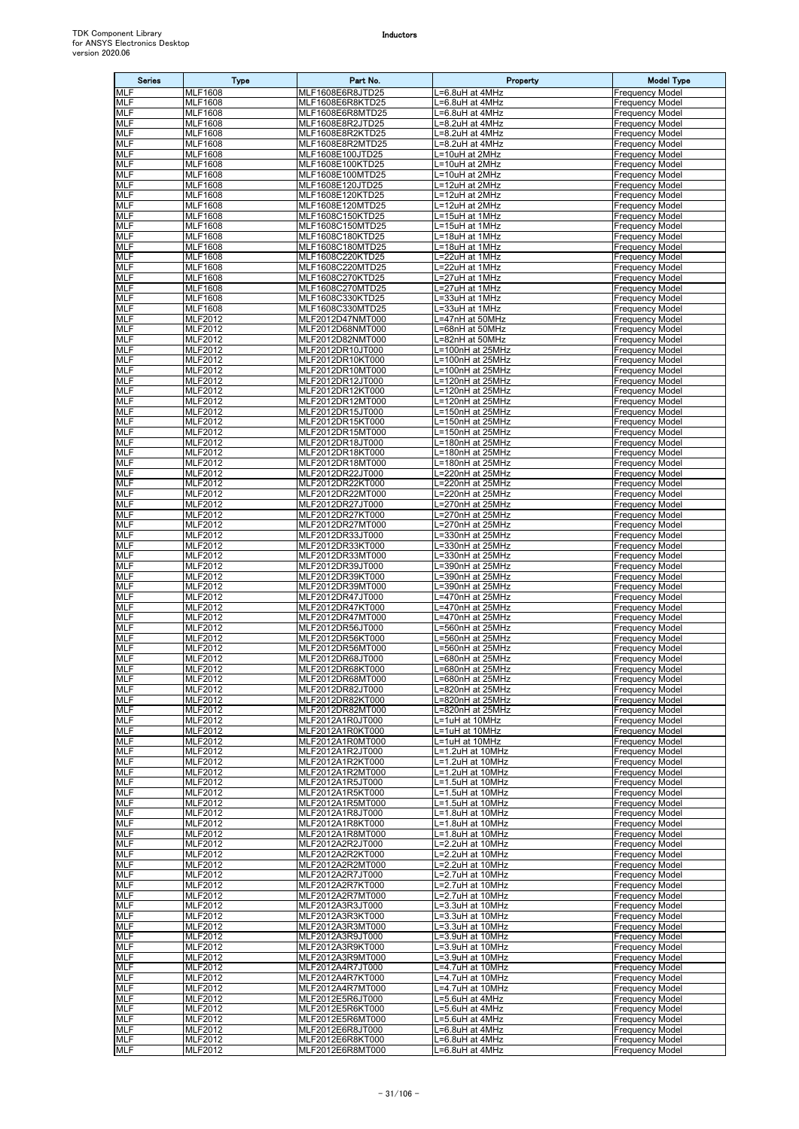| <b>Series</b>            | Type                                           | Part No.                             | Property                             | <b>Model Type</b>                                |
|--------------------------|------------------------------------------------|--------------------------------------|--------------------------------------|--------------------------------------------------|
| <b>MLF</b>               | <b>MLF1608</b>                                 | MLF1608E6R8JTD25                     | =6.8uH at 4MHz                       | <b>Frequency Model</b>                           |
| <b>MLF</b><br><b>MLF</b> | <b>MLF1608</b><br><b>MLF1608</b>               | MLF1608E6R8KTD25<br>MLF1608E6R8MTD25 | =6.8uH at 4MHz<br>=6.8uH at 4MHz     | Frequency Model<br>Frequency Model               |
| <b>MLF</b>               | <b>MLF1608</b>                                 | MLF1608E8R2JTD25                     | L=8.2uH at 4MHz                      | Frequency Model                                  |
| <b>MLF</b>               | <b>MLF1608</b>                                 | MLF1608E8R2KTD25                     | .=8.2uH at 4MHz                      | Frequency Model                                  |
| <b>MLF</b><br>MLF        | <b>MLF1608</b><br><b>MLF1608</b>               | MLF1608E8R2MTD25<br>MLF1608E100JTD25 | =8.2uH at 4MHz<br>L=10uH at 2MHz     | Frequency Model<br>Frequency Model               |
| <b>MLF</b>               | <b>MLF1608</b>                                 | MLF1608E100KTD25                     | L=10uH at 2MHz                       | <b>Frequency Model</b>                           |
| MLF                      | <b>MLF1608</b>                                 | MLF1608E100MTD25                     | L=10uH at 2MHz                       | Frequency Model                                  |
| <b>MLF</b><br><b>MLF</b> | <b>MLF1608</b><br><b>MLF1608</b>               | MLF1608E120JTD25<br>MLF1608E120KTD25 | L=12uH at 2MHz<br>L=12uH at 2MHz     | Frequency Model<br><b>Frequency Model</b>        |
| <b>MLF</b>               | <b>MLF1608</b>                                 | MLF1608E120MTD25                     | =12uH at 2MHz                        | <b>Frequency Model</b>                           |
| <b>MLF</b>               | <b>MLF1608</b>                                 | MLF1608C150KTD25                     | L=15uH at 1MHz                       | Frequency Model                                  |
| <b>MLF</b><br>MLF        | <b>MLF1608</b><br><b>MLF1608</b>               | MLF1608C150MTD25<br>MLF1608C180KTD25 | L=15uH at 1MHz<br>L=18uH at 1MHz     | <b>Frequency Model</b><br>Frequency Model        |
| <b>MLF</b>               | <b>MLF1608</b>                                 | MLF1608C180MTD25                     | L=18uH at 1MHz                       | <b>Frequency Model</b>                           |
| <b>MLF</b><br>MLF        | <b>MLF1608</b><br><b>MLF1608</b>               | MLF1608C220KTD25<br>MLF1608C220MTD25 | L=22uH at 1MHz                       | <b>Frequency Model</b>                           |
| MLF                      | <b>MLF1608</b>                                 | MLF1608C270KTD25                     | =22uH at 1MHz<br>.=27uH at 1MHz      | Frequency Model<br>Frequency Model               |
| MLF                      | <b>MLF1608</b>                                 | MLF1608C270MTD25                     | =27uH at 1MHz                        | Frequency Model                                  |
| <b>MLF</b><br>MLF        | <b>MLF1608</b><br><b>MLF1608</b>               | MLF1608C330KTD25<br>MLF1608C330MTD25 | =33uH at 1MHz<br>L=33uH at 1MHz      | Frequency Model<br><b>Frequency Model</b>        |
| <b>MLF</b>               | <b>MLF2012</b>                                 | MLF2012D47NMT000                     | L=47nH at 50MHz                      | Frequency Model                                  |
| <b>MLF</b>               | <b>MLF2012</b>                                 | MLF2012D68NMT000                     | =68nH at 50MHz                       | Frequency Model                                  |
| <b>MLF</b><br>MLF        | <b>MLF2012</b><br><b>MLF2012</b>               | MLF2012D82NMT000<br>MLF2012DR10JT000 | L=82nH at 50MHz<br>L=100nH at 25MHz  | <b>Frequency Model</b><br><b>Frequency Model</b> |
| <b>MLF</b>               | <b>MLF2012</b>                                 | MLF2012DR10KT000                     | L=100nH at 25MHz                     | Frequency Model                                  |
| MLF                      | MLF2012                                        | MLF2012DR10MT000                     | $-100$ nH at 25MHz                   | Frequency Model                                  |
| <b>MLF</b><br>MLF        | $\overline{\text{MLF}}$ 2012<br><b>MLF2012</b> | MLF2012DR12JT000<br>MLF2012DR12KT000 | L=120nH at 25MHz<br>L=120nH at 25MHz | Frequency Model<br>Frequency Model               |
| <b>MLF</b>               | <b>MLF2012</b>                                 | MLF2012DR12MT000                     | L=120nH at 25MHz                     | Frequency Model                                  |
| MLF                      | <b>MLF2012</b>                                 | MLF2012DR15JT000                     | L=150nH at 25MHz                     | Frequency Model                                  |
| <b>MLF</b><br>MLF        | MLF2012<br>MLF2012                             | MLF2012DR15KT000<br>MLF2012DR15MT000 | L=150nH at 25MHz<br>L=150nH at 25MHz | <b>Frequency Model</b><br>Frequency Model        |
| <b>MLF</b>               | MLF2012                                        | MLF2012DR18JT000                     | =180nH at 25MHz                      | Frequency Model                                  |
| MLF<br><b>MLF</b>        | MLF2012                                        | MLF2012DR18KT000                     | L=180nH at 25MHz                     | Frequency Model                                  |
| MLF                      | <b>MLF2012</b><br>MLF2012                      | MLF2012DR18MT000<br>MLF2012DR22JT000 | =180nH at 25MHz<br>L=220nH at 25MHz  | <b>Frequency Model</b><br>Frequency Model        |
| <b>MLF</b>               | <b>MLF2012</b>                                 | MLF2012DR22KT000                     | =220nH at 25MHz                      | <b>Frequency Model</b>                           |
| MLF<br><b>MLF</b>        | <b>MLF2012</b><br><b>MLF2012</b>               | MLF2012DR22MT000<br>MLF2012DR27JT000 | L=220nH at 25MHz<br>L=270nH at 25MHz | Frequency Model<br><b>Frequency Model</b>        |
| <b>MLF</b>               | MLF2012                                        | MLF2012DR27KT000                     | L=270nH at 25MHz                     | Frequency Model                                  |
| <b>MLF</b>               | MLF2012                                        | MLF2012DR27MT000                     | =270nH at 25MHz                      | Frequency Model                                  |
| MLF<br>MLF               | MLF2012<br>MLF2012                             | MLF2012DR33JT000<br>MLF2012DR33KT000 | =330nH at 25MHz<br>=330nH at 25MHz   | <b>Frequency Model</b><br>Frequency Model        |
| <b>MLF</b>               | MLF2012                                        | MLF2012DR33MT000                     | =330nH at 25MHz                      | Frequency Model                                  |
| MLF                      | MLF2012                                        | MLF2012DR39JT000                     | L=390nH at 25MHz                     | <b>Frequency Model</b>                           |
| <b>MLF</b><br><b>MLF</b> | <b>MLF2012</b><br><b>MLF2012</b>               | MLF2012DR39KT000<br>MLF2012DR39MT000 | =390nH at 25MHz<br>=390nH at 25MHz   | Frequency Model<br>Frequency Model               |
| <b>MLF</b>               | MLF2012                                        | MLF2012DR47JT000                     | L=470nH at 25MHz                     | <b>Frequency Model</b>                           |
| MLF                      | MLF2012                                        | MLF2012DR47KT000                     | $\overline{=470}$ nH at 25MHz        | <b>Frequency Model</b>                           |
| MLF<br>MLF               | MLF2012<br><b>MLF2012</b>                      | MLF2012DR47MT000<br>MLF2012DR56JT000 | =470nH at 25MHz<br>=560nH at 25MHz   | <b>Frequency Model</b><br><b>Frequency Model</b> |
| MLF                      | <b>MLF2012</b>                                 | MLF2012DR56KT000                     | =560nH at 25MHz                      | <b>Frequency Model</b>                           |
| <b>MLF</b><br>MLF        | <b>MLF2012</b><br><b>MLF2012</b>               | MLF2012DR56MT000<br>MLF2012DR68JT000 | .=560nH at 25MHz<br>=680nH at 25MHz  | <b>Frequency Model</b><br><b>Frequency Model</b> |
| <b>MLF</b>               | <b>MLF2012</b>                                 | MLF2012DR68KT000                     | L=680nH at 25MHz                     | <b>Frequency Model</b>                           |
| <b>MLF</b>               | MLF2012                                        | MLF2012DR68MT000                     | L=680nH at 25MHz                     | <b>Frequency Model</b>                           |
| MLF<br>MLF               | MLF2012<br><b>MLF2012</b>                      | MLF2012DR82JT000<br>MLF2012DR82KT000 | L=820nH at 25MHz<br>=820nH at 25MHz  | <b>Frequency Model</b><br><b>Frequency Model</b> |
| <b>MLF</b>               | <b>MLF2012</b>                                 | MLF2012DR82MT000                     | L=820nH at 25MHz                     | <b>Frequency Model</b>                           |
| MLF                      | MLF2012                                        | MLF2012A1R0JT000                     | L=1uH at 10MHz                       | Frequency Model                                  |
| <b>MLF</b><br><b>MLF</b> | MLF2012<br>MLF2012                             | MLF2012A1R0KT000<br>MLF2012A1R0MT000 | L=1uH at 10MHz<br>L=1uH at 10MHz     | <b>Frequency Model</b><br><b>Frequency Model</b> |
| MLF                      | <b>MLF2012</b>                                 | MLF2012A1R2JT000                     | L=1.2uH at 10MHz                     | <b>Frequency Model</b>                           |
| <b>MLF</b><br><b>MLF</b> | <b>MLF2012</b><br>MLF2012                      | MLF2012A1R2KT000<br>MLF2012A1R2MT000 | L=1.2uH at 10MHz<br>L=1.2uH at 10MHz | <b>Frequency Model</b><br><b>Frequency Model</b> |
| <b>MLF</b>               | MLF2012                                        | MLF2012A1R5JT000                     | L=1.5uH at 10MHz                     | <b>Frequency Model</b>                           |
| MLF                      | <b>MLF2012</b>                                 | MLF2012A1R5KT000                     | .=1.5uH at 10MHz                     | <b>Frequency Model</b>                           |
| <b>MLF</b><br><b>MLF</b> | MLF2012<br><b>MLF2012</b>                      | MLF2012A1R5MT000<br>MLF2012A1R8JT000 | L=1.5uH at 10MHz<br>L=1.8uH at 10MHz | Frequency Model<br><b>Frequency Model</b>        |
| <b>MLF</b>               | MLF2012                                        | MLF2012A1R8KT000                     | L=1.8uH at 10MHz                     | <b>Frequency Model</b>                           |
| MLF                      | MLF2012                                        | MLF2012A1R8MT000                     | L=1.8uH at 10MHz                     | <b>Frequency Model</b>                           |
| <b>MLF</b><br>MLF        | <b>MLF2012</b><br>MLF2012                      | MLF2012A2R2JT000<br>MLF2012A2R2KT000 | L=2.2uH at 10MHz<br>L=2.2uH at 10MHz | <b>Frequency Model</b><br><b>Frequency Model</b> |
| <b>MLF</b>               | <b>MLF2012</b>                                 | MLF2012A2R2MT000                     | L=2.2uH at 10MHz                     | <b>Frequency Model</b>                           |
| MLF                      | MLF2012                                        | MLF2012A2R7JT000                     | _=2.7uH at 10MHz                     | <b>Frequency Model</b>                           |
| <b>MLF</b><br>MLF        | <b>MLF2012</b><br>MLF2012                      | MLF2012A2R7KT000<br>MLF2012A2R7MT000 | _=2.7uH at 10MHz<br>L=2.7uH at 10MHz | <b>Frequency Model</b><br><b>Frequency Model</b> |
| MLF                      | MLF2012                                        | MLF2012A3R3JT000                     | L=3.3uH at 10MHz                     | <b>Frequency Model</b>                           |
| <b>MLF</b><br><b>MLF</b> | MLF2012<br><b>MLF2012</b>                      | MLF2012A3R3KT000<br>MLF2012A3R3MT000 | =3.3uH at 10MHz<br>L=3.3uH at 10MHz  | Frequency Model<br><b>Frequency Model</b>        |
| MLF                      | MLF2012                                        | MLF2012A3R9JT000                     | L=3.9uH at 10MHz                     | <b>Frequency Model</b>                           |
| <b>MLF</b>               | MLF2012                                        | MLF2012A3R9KT000                     | =3.9uH at 10MHz                      | Frequency Model                                  |
| MLF<br><b>MLF</b>        | MLF2012<br>MLF2012                             | MLF2012A3R9MT000<br>MLF2012A4R7JT000 | .=3.9uH at 10MHz<br>.=4.7uH at 10MHz | <b>Frequency Model</b><br><b>Frequency Model</b> |
| MLF                      | <b>MLF2012</b>                                 | MLF2012A4R7KT000                     | .=4.7uH at 10MHz                     | <b>Frequency Model</b>                           |
| MLF                      | MLF2012                                        | MLF2012A4R7MT000                     | .=4.7uH at 10MHz                     | <b>Frequency Model</b>                           |
| <b>MLF</b><br>MLF        | MLF2012<br>MLF2012                             | MLF2012E5R6JT000<br>MLF2012E5R6KT000 | =5.6uH at 4MHz<br>L=5.6uH at 4MHz    | <b>Frequency Model</b><br><b>Frequency Model</b> |
| <b>MLF</b>               | <b>MLF2012</b>                                 | MLF2012E5R6MT000                     | L=5.6uH at 4MHz                      | <b>Frequency Model</b>                           |
| <b>MLF</b><br><b>MLF</b> | MLF2012<br><b>MLF2012</b>                      | MLF2012E6R8JT000<br>MLF2012E6R8KT000 | L=6.8uH at 4MHz                      | <b>Frequency Model</b><br><b>Frequency Model</b> |
| <b>MLF</b>               | MLF2012                                        | MLF2012E6R8MT000                     | L=6.8uH at 4MHz<br>=6.8uH at 4MHz    | <b>Frequency Model</b>                           |
|                          |                                                |                                      |                                      |                                                  |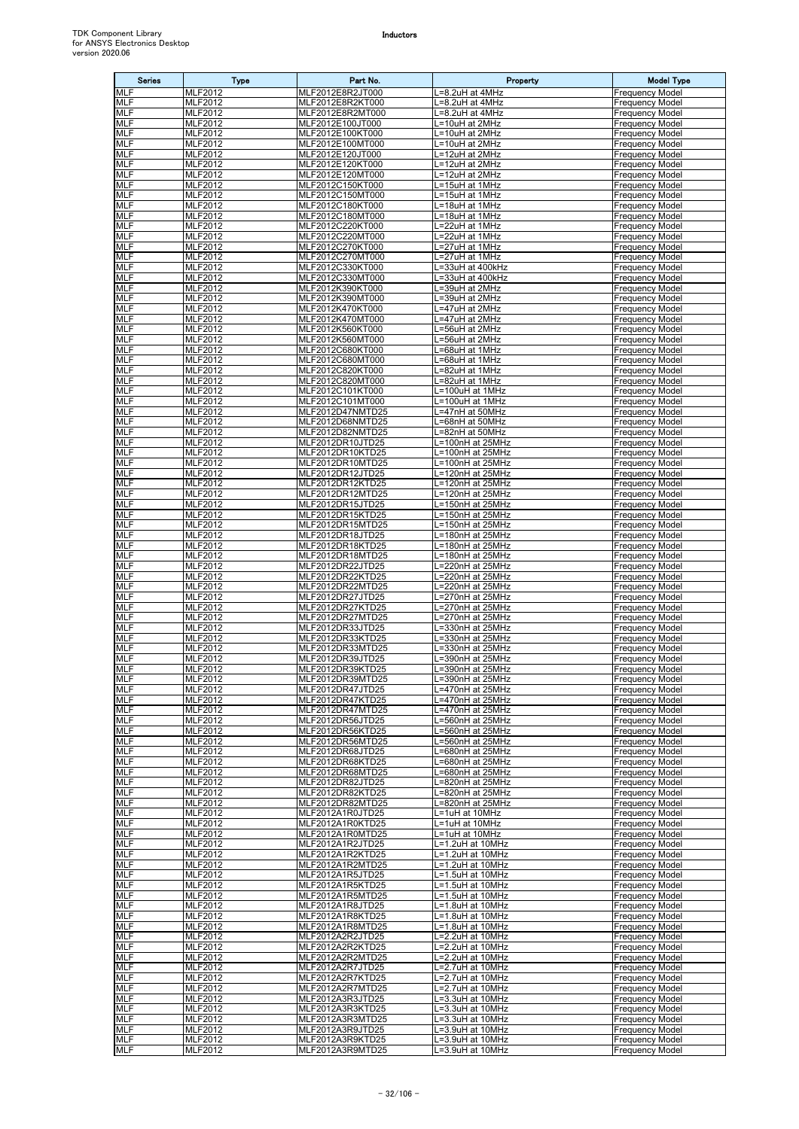| <b>Series</b>            | <b>Type</b>                      | Part No.                             | Property                              | <b>Model Type</b>                                |
|--------------------------|----------------------------------|--------------------------------------|---------------------------------------|--------------------------------------------------|
| <b>MLF</b>               | MLF2012                          | MLF2012E8R2JT000                     | L=8.2uH at 4MHz                       | <b>Frequency Model</b>                           |
| <b>MLF</b><br><b>MLF</b> | MLF2012                          | MLF2012E8R2KT000<br>MLF2012E8R2MT000 | L=8.2uH at 4MHz                       | <b>Frequency Model</b>                           |
| <b>MLF</b>               | MLF2012<br>MLF2012               | MLF2012E100JT000                     | L=8.2uH at 4MHz<br>L=10uH at 2MHz     | <b>Frequency Model</b><br><b>Frequency Model</b> |
| MLF                      | MLF2012                          | MLF2012E100KT000                     | L=10uH at 2MHz                        | <b>Frequency Model</b>                           |
| <b>MLF</b>               | MLF2012                          | MLF2012E100MT000                     | L=10uH at 2MHz                        | <b>Frequency Model</b>                           |
| <b>MLF</b><br><b>MLF</b> | MLF2012                          | MLF2012E120JT000                     | L=12uH at 2MHz<br>L=12uH at 2MHz      | <b>Frequency Model</b><br><b>Frequency Model</b> |
| MLF                      | MLF2012<br>MLF2012               | MLF2012E120KT000<br>MLF2012E120MT000 | L=12uH at 2MHz                        | <b>Frequency Model</b>                           |
| <b>MLF</b>               | MLF2012                          | MLF2012C150KT000                     | L=15uH at 1MHz                        | <b>Frequency Model</b>                           |
| MLF                      | MLF2012                          | MLF2012C150MT000                     | L=15uH at 1MHz                        | <b>Frequency Model</b>                           |
| MLF<br><b>MLF</b>        | MLF2012<br>MLF2012               | MLF2012C180KT000<br>MLF2012C180MT000 | L=18uH at 1MHz<br>L=18uH at 1MHz      | <b>Frequency Model</b><br><b>Frequency Model</b> |
| <b>MLF</b>               | MLF2012                          | MLF2012C220KT000                     | L=22uH at 1MHz                        | <b>Frequency Model</b>                           |
| MLF                      | MLF2012                          | MLF2012C220MT000                     | L=22uH at 1MHz                        | <b>Frequency Model</b>                           |
| <b>MLF</b><br><b>MLF</b> | <b>MLF2012</b><br>MLF2012        | MLF2012C270KT000<br>MLF2012C270MT000 | L=27uH at 1MHz<br>L=27uH at 1MHz      | <b>Frequency Model</b><br><b>Frequency Model</b> |
| <b>MLF</b>               | MLF2012                          | MLF2012C330KT000                     | L=33uH at 400kHz                      | <b>Frequency Model</b>                           |
| MLF                      | MLF2012                          | MLF2012C330MT000                     | L=33uH at 400kHz                      | <b>Frequency Model</b>                           |
| <b>MLF</b>               | MLF2012                          | MLF2012K390KT000                     | L=39uH at 2MHz                        | <b>Frequency Model</b>                           |
| <b>MLF</b><br>MLF        | MLF2012<br>MLF2012               | MLF2012K390MT000<br>MLF2012K470KT000 | L=39uH at 2MHz<br>L=47uH at 2MHz      | <b>Frequency Model</b><br><b>Frequency Model</b> |
| MLF                      | MLF2012                          | MLF2012K470MT000                     | L=47uH at 2MHz                        | <b>Frequency Model</b>                           |
| MLF                      | MLF2012                          | MLF2012K560KT000                     | L=56uH at 2MHz                        | <b>Frequency Model</b>                           |
| <b>MLF</b><br>MLF        | MLF2012<br><b>MLF2012</b>        | MLF2012K560MT000<br>MLF2012C680KT000 | L=56uH at 2MHz<br>L=68uH at 1MHz      | <b>Frequency Model</b><br><b>Frequency Model</b> |
| <b>MLF</b>               | MLF2012                          | MLF2012C680MT000                     | L=68uH at 1MHz                        | <b>Frequency Model</b>                           |
| <b>MLF</b>               | MLF2012                          | MLF2012C820KT000                     | L=82uH at 1MHz                        | <b>Frequency Model</b>                           |
| <b>MLF</b>               | MLF2012                          | MLF2012C820MT000                     | L=82uH at 1MHz                        | <b>Frequency Model</b>                           |
| <b>MLF</b><br><b>MLF</b> | MLF2012<br>MLF2012               | MLF2012C101KT000<br>MLF2012C101MT000 | L=100uH at 1MHz<br>$L=100$ uH at 1MHz | <b>Frequency Model</b><br><b>Frequency Model</b> |
| <b>MLF</b>               | MLF2012                          | MLF2012D47NMTD25                     | L=47nH at 50MHz                       | <b>Frequency Model</b>                           |
| <b>MLF</b>               | MLF2012                          | MLF2012D68NMTD25                     | L=68nH at 50MHz                       | <b>Frequency Model</b>                           |
| MLF<br><b>MLF</b>        | MLF2012<br>MLF2012               | MLF2012D82NMTD25<br>MLF2012DR10JTD25 | L=82nH at 50MHz<br>L=100nH at 25MHz   | <b>Frequency Model</b><br><b>Frequency Model</b> |
| MLF                      | <b>MLF2012</b>                   | MLF2012DR10KTD25                     | L=100nH at 25MHz                      | <b>Frequency Model</b>                           |
| MLF                      | MLF2012                          | MLF2012DR10MTD25                     | L=100nH at 25MHz                      | <b>Frequency Model</b>                           |
| <b>MLF</b>               | MLF2012                          | MLF2012DR12JTD25                     | L=120nH at 25MHz                      | <b>Frequency Model</b>                           |
| <b>MLF</b><br>MLF        | MLF2012<br>MLF2012               | MLF2012DR12KTD25<br>MLF2012DR12MTD25 | L=120nH at 25MHz<br>L=120nH at 25MHz  | <b>Frequency Model</b><br><b>Frequency Model</b> |
| <b>MLF</b>               | <b>MLF2012</b>                   | MLF2012DR15JTD25                     | L=150nH at 25MHz                      | <b>Frequency Model</b>                           |
| <b>MLF</b>               | MLF2012                          | MLF2012DR15KTD25                     | L=150nH at 25MHz                      | <b>Frequency Model</b>                           |
| <b>MLF</b><br>MLF        | MLF2012                          | MLF2012DR15MTD25                     | L=150nH at 25MHz                      | <b>Frequency Model</b>                           |
| <b>MLF</b>               | MLF2012<br>MLF2012               | MLF2012DR18JTD25<br>MLF2012DR18KTD25 | L=180nH at 25MHz<br>L=180nH at 25MHz  | <b>Frequency Model</b><br><b>Frequency Model</b> |
| <b>MLF</b>               | MLF2012                          | MLF2012DR18MTD25                     | L=180nH at 25MHz                      | <b>Frequency Model</b>                           |
| <b>MLF</b>               | MLF2012                          | MLF2012DR22JTD25                     | L=220nH at 25MHz                      | <b>Frequency Model</b>                           |
| MLF<br>MLF               | MLF2012<br>MLF2012               | MLF2012DR22KTD25<br>MLF2012DR22MTD25 | L=220nH at 25MHz<br>L=220nH at 25MHz  | <b>Frequency Model</b><br><b>Frequency Model</b> |
| <b>MLF</b>               | MLF2012                          | MLF2012DR27JTD25                     | L=270nH at 25MHz                      | <b>Frequency Model</b>                           |
| <b>MLF</b>               | MLF2012                          | MLF2012DR27KTD25                     | L=270nH at 25MHz                      | <b>Frequency Model</b>                           |
| MLF<br><b>MLF</b>        | MLF2012<br>MLF2012               | MLF2012DR27MTD25<br>MLF2012DR33JTD25 | L=270nH at 25MHz<br>L=330nH at 25MHz  | <b>Frequency Model</b><br><b>Frequency Model</b> |
| MLF                      | MLF2012                          | MLF2012DR33KTD25                     | L=330nH at 25MHz                      | <b>Frequency Model</b>                           |
| MLF                      | MLF2012                          | MLF2012DR33MTD25                     | L=330nH at 25MHz                      | <b>Frequency Model</b>                           |
| MLF<br><b>MLF</b>        | MLF2012<br>MLF2012               | MLF2012DR39JTD25<br>MLF2012DR39KTD25 | L=390nH at 25MHz                      | <b>Frequency Model</b>                           |
| <b>MLF</b>               | <b>MLF2012</b>                   | MLF2012DR39MTD25                     | L=390nH at 25MHz<br>L=390nH at 25MHz  | <b>Frequency Model</b><br><b>Frequency Model</b> |
| MLF                      | MLF2012                          | MLF2012DR47JTD25                     | L=470nH at 25MHz                      | <b>Frequency Model</b>                           |
| MLF                      | MLF2012                          | MLF2012DR47KTD25                     | L=470nH at 25MHz                      | <b>Frequency Model</b>                           |
| <b>MLF</b><br><b>MLF</b> | MLF2012<br>MLF2012               | MLF2012DR47MTD25<br>MLF2012DR56JTD25 | L=470nH at 25MHz<br>=560nH at 25MHz   | <b>Frequency Model</b><br>Frequency Model        |
| <b>MLF</b>               | MLF2012                          | MLF2012DR56KTD25                     | L=560nH at 25MHz                      | <b>Frequency Model</b>                           |
| <b>MLF</b>               | MLF2012                          | MLF2012DR56MTD25                     | L=560nH at 25MHz                      | <b>Frequency Model</b>                           |
| MLF<br><b>MLF</b>        | MLF2012<br><b>MLF2012</b>        | MLF2012DR68JTD25<br>MLF2012DR68KTD25 | L=680nH at 25MHz<br>L=680nH at 25MHz  | <b>Frequency Model</b><br><b>Frequency Model</b> |
| MLF                      | MLF2012                          | MLF2012DR68MTD25                     | L=680nH at 25MHz                      | <b>Frequency Model</b>                           |
| <b>MLF</b>               | MLF2012                          | MLF2012DR82JTD25                     | L=820nH at 25MHz                      | <b>Frequency Model</b>                           |
| MLF<br><b>MLF</b>        | MLF2012<br>MLF2012               | MLF2012DR82KTD25<br>MLF2012DR82MTD25 | =820nH at 25MHz<br>L=820nH at 25MHz   | <b>Frequency Model</b><br><b>Frequency Model</b> |
| <b>MLF</b>               | MLF2012                          | MLF2012A1R0JTD25                     | L=1uH at 10MHz                        | <b>Frequency Model</b>                           |
| <b>MLF</b>               | <b>MLF2012</b>                   | MLF2012A1R0KTD25                     | L=1uH at 10MHz                        | <b>Frequency Model</b>                           |
| MLF                      | MLF2012                          | MLF2012A1R0MTD25                     | L=1uH at 10MHz                        | <b>Frequency Model</b><br><b>Frequency Model</b> |
| MLF<br>MLF               | MLF2012<br>MLF2012               | MLF2012A1R2JTD25<br>MLF2012A1R2KTD25 | L=1.2uH at 10MHz<br>L=1.2uH at 10MHz  | <b>Frequency Model</b>                           |
| MLF                      | MLF2012                          | MLF2012A1R2MTD25                     | L=1.2uH at 10MHz                      | <b>Frequency Model</b>                           |
| <b>MLF</b>               | <b>MLF2012</b>                   | MLF2012A1R5JTD25                     | L=1.5uH at 10MHz                      | <b>Frequency Model</b>                           |
| <b>MLF</b><br><b>MLF</b> | MLF2012<br><b>MLF2012</b>        | MLF2012A1R5KTD25<br>MLF2012A1R5MTD25 | L=1.5uH at 10MHz<br>L=1.5uH at 10MHz  | <b>Frequency Model</b><br><b>Frequency Model</b> |
| MLF                      | <b>MLF2012</b>                   | MLF2012A1R8JTD25                     | L=1.8uH at 10MHz                      | <b>Frequency Model</b>                           |
| MLF                      | MLF2012                          | MLF2012A1R8KTD25                     | L=1.8uH at 10MHz                      | <b>Frequency Model</b>                           |
| <b>MLF</b><br>MLF        | <b>MLF2012</b><br><b>MLF2012</b> | MLF2012A1R8MTD25<br>MLF2012A2R2JTD25 | L=1.8uH at 10MHz<br>L=2.2uH at 10MHz  | <b>Frequency Model</b><br><b>Frequency Model</b> |
| MLF                      | MLF2012                          | MLF2012A2R2KTD25                     | L=2.2uH at 10MHz                      | <b>Frequency Model</b>                           |
| MLF                      | MLF2012                          | MLF2012A2R2MTD25                     | L=2.2uH at 10MHz                      | <b>Frequency Model</b>                           |
| <b>MLF</b>               | <b>MLF2012</b>                   | MLF2012A2R7JTD25                     | L=2.7uH at 10MHz                      | <b>Frequency Model</b>                           |
| MLF<br><b>MLF</b>        | <b>MLF2012</b><br>MLF2012        | MLF2012A2R7KTD25<br>MLF2012A2R7MTD25 | L=2.7uH at 10MHz<br>L=2.7uH at 10MHz  | <b>Frequency Model</b><br><b>Frequency Model</b> |
| <b>MLF</b>               | MLF2012                          | MLF2012A3R3JTD25                     | L=3.3uH at 10MHz                      | <b>Frequency Model</b>                           |
| MLF                      | <b>MLF2012</b>                   | MLF2012A3R3KTD25                     | L=3.3uH at 10MHz                      | <b>Frequency Model</b>                           |
| MLF<br><b>MLF</b>        | <b>MLF2012</b><br>MLF2012        | MLF2012A3R3MTD25<br>MLF2012A3R9JTD25 | L=3.3uH at 10MHz<br>L=3.9uH at 10MHz  | <b>Frequency Model</b><br><b>Frequency Model</b> |
| <b>MLF</b>               | <b>MLF2012</b>                   | MLF2012A3R9KTD25                     | L=3.9uH at 10MHz                      | <b>Frequency Model</b>                           |
| MLF                      | <b>MLF2012</b>                   | MLF2012A3R9MTD25                     | L=3.9uH at 10MHz                      | <b>Frequency Model</b>                           |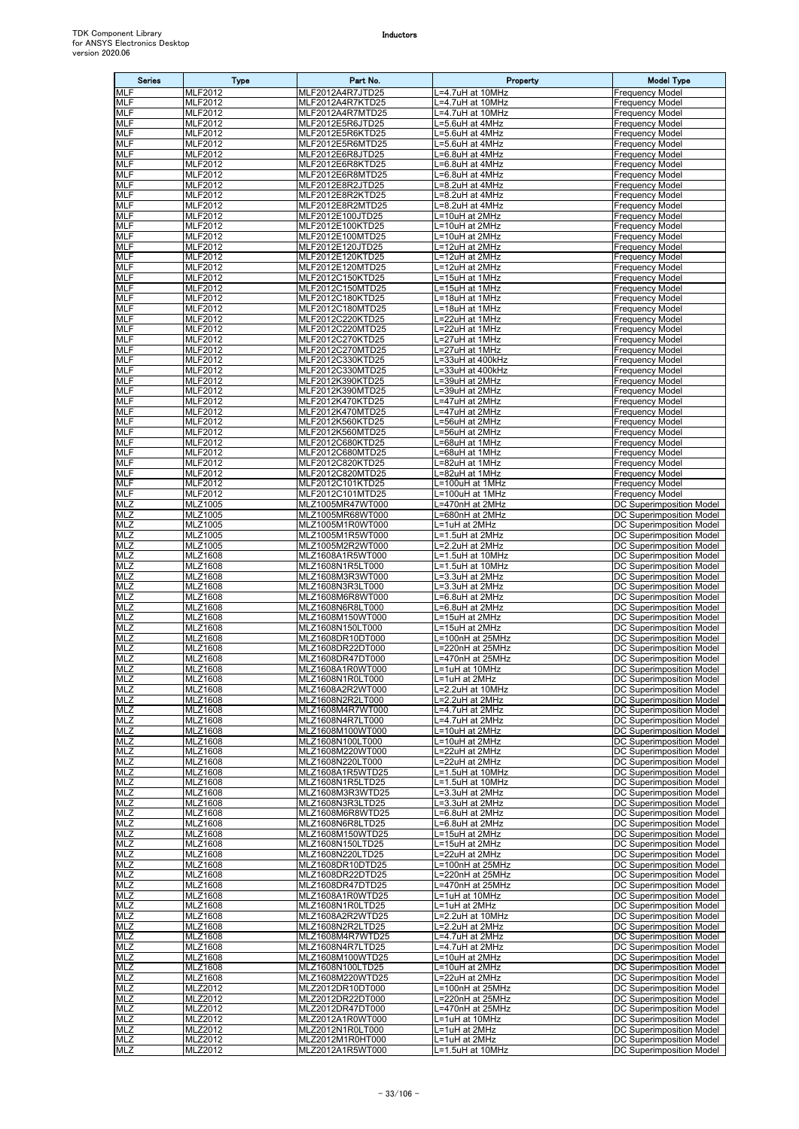| <b>Series</b>            | <b>Type</b>                      | Part No.                             | Property                                        | <b>Model Type</b>                                           |
|--------------------------|----------------------------------|--------------------------------------|-------------------------------------------------|-------------------------------------------------------------|
| MLF                      | MLF2012                          | MLF2012A4R7JTD25                     | =4.7uH at 10MHz                                 | Frequency Model                                             |
| <b>MLF</b>               | MLF2012                          | MLF2012A4R7KTD25                     | =4.7uH at 10MHz                                 | Frequency Model                                             |
| <b>MLF</b><br><b>MLF</b> | <b>MLF2012</b><br>MLF2012        | MLF2012A4R7MTD25<br>MLF2012E5R6JTD25 | .=4.7uH at 10MHz<br>L=5.6uH at 4MHz             | Frequency Model<br><b>Frequency Model</b>                   |
| MLF                      | <b>MLF2012</b>                   | MLF2012E5R6KTD25                     | =5.6uH at 4MHz                                  | Frequency Model                                             |
| <b>MLF</b>               | <b>MLF2012</b>                   | MLF2012E5R6MTD25                     | =5.6uH at 4MHz                                  | Frequency Model                                             |
| <b>MLF</b>               | MLF2012                          | MLF2012E6R8JTD25                     | L=6.8uH at 4MHz                                 | <b>Frequency Model</b>                                      |
| MLF                      | MLF2012                          | MLF2012E6R8KTD25                     | =6.8uH at 4MHz                                  | <b>Frequency Model</b>                                      |
| MLF<br><b>MLF</b>        | MLF2012<br><b>MLF2012</b>        | MLF2012E6R8MTD25<br>MLF2012E8R2JTD25 | .=6.8uH at 4MHz<br>$\overline{=8}$ .2uH at 4MHz | <b>Frequency Model</b><br>Frequency Model                   |
| MLF                      | MLF2012                          | MLF2012E8R2KTD25                     | =8.2uH at 4MHz                                  | Frequency Model                                             |
| <b>MLF</b>               | <b>MLF2012</b>                   | MLF2012E8R2MTD25                     | =8.2uH at 4MHz                                  | <b>Frequency Model</b>                                      |
| <b>MLF</b>               | <b>MLF2012</b>                   | MLF2012E100JTD25                     | =10uH at 2MHz                                   | Frequency Model                                             |
| <b>MLF</b><br>MLF        | <b>MLF2012</b><br>MLF2012        | MLF2012E100KTD25<br>MLF2012E100MTD25 | L=10uH at 2MHz<br>L=10uH at 2MHz                | <b>Frequency Model</b><br><b>Frequency Model</b>            |
| <b>MLF</b>               | MLF2012                          | MLF2012E120JTD25                     | =12uH at 2MHz                                   | Frequency Model                                             |
| MLF                      | MLF2012                          | MLF2012E120KTD25                     | =12uH at 2MHz                                   | Frequency Model                                             |
| <b>MLF</b>               | MLF2012                          | MLF2012E120MTD25                     | =12uH at 2MHz                                   | <b>Frequency Model</b>                                      |
| <b>MLF</b><br><b>MLF</b> | <b>MLF2012</b>                   | MLF2012C150KTD25                     | L=15uH at 1MHz                                  | Frequency Model                                             |
| <b>MLF</b>               | <b>MLF2012</b><br>MLF2012        | MLF2012C150MTD25<br>MLF2012C180KTD25 | L=15uH at 1MHz<br>L=18uH at 1MHz                | Frequency Model<br>Frequency Model                          |
| MLF                      | MLF2012                          | MLF2012C180MTD25                     | L=18uH at 1MHz                                  | <b>Frequency Model</b>                                      |
| <b>MLF</b>               | <b>MLF2012</b>                   | MLF2012C220KTD25                     | L=22uH at 1MHz                                  | Frequency Model                                             |
| <b>MLF</b>               | MLF2012                          | MLF2012C220MTD25                     | L=22uH at 1MHz                                  | Frequency Model                                             |
| <b>MLF</b><br>MLF        | MLF2012<br>MLF2012               | MLF2012C270KTD25<br>MLF2012C270MTD25 | L=27uH at 1MHz<br>=27uH at 1MHz                 | Frequency Model<br>Frequency Model                          |
| <b>MLF</b>               | MLF2012                          | MLF2012C330KTD25                     | =33uH at 400kHz                                 | Frequency Model                                             |
| <b>MLF</b>               | <b>MLF2012</b>                   | MLF2012C330MTD25                     | <sub>-</sub> =33uH at 400kHz                    | <b>Frequency Model</b>                                      |
| <b>MLF</b>               | MLF2012                          | MLF2012K390KTD25                     | L=39uH at 2MHz                                  | <b>Frequency Model</b>                                      |
| MLF<br><b>MLF</b>        | <b>MLF2012</b><br><b>MLF2012</b> | MLF2012K390MTD25<br>MLF2012K470KTD25 | =39uH at 2MHz<br>_=47uH at 2MHz                 | Frequency Model<br>Frequency Model                          |
| <b>MLF</b>               | <b>MLF2012</b>                   | MLF2012K470MTD25                     | L=47uH at 2MHz                                  | <b>Frequency Model</b>                                      |
| <b>MLF</b>               | MLF2012                          | MLF2012K560KTD25                     | =56uH at 2MHz                                   | <b>Frequency Model</b>                                      |
| MLF                      | MLF2012                          | MLF2012K560MTD25                     | =56uH at 2MHz                                   | Frequency Model                                             |
| <b>MLF</b>               | MLF2012                          | MLF2012C680KTD25                     | =68uH at 1MHz                                   | <b>Frequency Model</b>                                      |
| MLF<br><b>MLF</b>        | MLF2012<br><b>MLF2012</b>        | MLF2012C680MTD25<br>MLF2012C820KTD25 | =68uH at 1MHz<br>.=82uH at 1MHz                 | Frequency Model<br><b>Frequency Model</b>                   |
| <b>MLF</b>               | <b>MLF2012</b>                   | MLF2012C820MTD25                     | =82uH at 1MHz                                   | Frequency Model                                             |
| <b>MLF</b>               | <b>MLF2012</b>                   | MLF2012C101KTD25                     | L=100uH at 1MHz                                 | <b>Frequency Model</b>                                      |
| MLF                      | MLF2012                          | MLF2012C101MTD25                     | L=100uH at 1MHz                                 | <b>Frequency Model</b>                                      |
| <b>MLZ</b>               | MLZ1005                          | MLZ1005MR47WT000                     | =470nH at 2MHz                                  | DC Superimposition Model                                    |
| <b>MLZ</b><br><b>MLZ</b> | MLZ1005<br>MLZ1005               | MLZ1005MR68WT000<br>MLZ1005M1R0WT000 | =680nH at 2MHz<br>L=1uH at 2MHz                 | DC Superimposition Model<br>DC Superimposition Model        |
| <b>MLZ</b>               | MLZ1005                          | MLZ1005M1R5WT000                     | L=1.5uH at 2MHz                                 | DC Superimposition Model                                    |
| <b>MLZ</b>               | MLZ1005                          | MLZ1005M2R2WT000                     | =2.2uH at 2MHz                                  | DC Superimposition Model                                    |
| <b>MLZ</b>               | MLZ1608                          | MLZ1608A1R5WT000                     | =1.5uH at 10MHz                                 | DC Superimposition Model                                    |
| <b>MLZ</b><br>MLZ        | MLZ1608<br>MLZ1608               | MLZ1608N1R5LT000<br>MLZ1608M3R3WT000 | L=1.5uH at 10MHz<br>L=3.3uH at 2MHz             | DC Superimposition Model<br>DC Superimposition Model        |
| <b>MLZ</b>               | MLZ1608                          | MLZ1608N3R3LT000                     | $-3.3$ uH at 2MHz                               | DC Superimposition Model                                    |
| MLZ                      | MLZ1608                          | MLZ1608M6R8WT000                     | =6.8uH at 2MHz                                  | DC Superimposition Model                                    |
| MLZ                      | MLZ1608                          | MLZ1608N6R8LT000                     | =6.8uH at 2MHz                                  | DC Superimposition Model                                    |
| MLZ                      | MLZ1608                          | MLZ1608M150WT000                     | L=15uH at 2MHz                                  | DC Superimposition Model                                    |
| <b>MLZ</b><br>MLZ        | MLZ1608<br>MLZ1608               | MLZ1608N150LT000<br>MLZ1608DR10DT000 | L=15uH at 2MHz<br>L=100nH at 25MHz              | DC Superimposition Model<br>DC Superimposition Model        |
| MLZ                      | MLZ1608                          | MLZ1608DR22DT000                     | L=220nH at 25MHz                                | DC Superimposition Model                                    |
| <b>MLZ</b>               | MLZ1608                          | MLZ1608DR47DT000                     | L=470nH at 25MHz                                | <b>DC Superimposition Model</b>                             |
| <b>MLZ</b>               | <b>MLZ1608</b>                   | MLZ1608A1R0WT000                     | L=1uH at 10MHz                                  | DC Superimposition Model                                    |
| MLZ<br><b>MLZ</b>        | MLZ1608<br>MLZ1608               | MLZ1608N1R0LT000<br>MLZ1608A2R2WT000 | _=1uH at 2MHz<br>.=2.2uH at 10MHz               | DC Superimposition Model<br>DC Superimposition Model        |
| MLZ                      | MLZ1608                          | MLZ1608N2R2LT000                     | =2.2uH at 2MHz                                  | DC Superimposition Model                                    |
| MLZ                      | MLZ1608                          | MLZ1608M4R7WT000                     | L=4.7uH at 2MHz                                 | DC Superimposition Model                                    |
| MLZ                      | MLZ1608                          | MLZ1608N4R7LT000                     | L=4.7uH at 2MHz                                 | DC Superimposition Model                                    |
| MLZ                      | <b>MLZ1608</b>                   | MLZ1608M100WT000                     | L=10uH at 2MHz                                  | DC Superimposition Model                                    |
| MLZ<br>MLZ               | MLZ1608<br>MLZ1608               | MLZ1608N100LT000<br>MLZ1608M220WT000 | L=10uH at 2MHz<br>L=22uH at 2MHz                | DC Superimposition Model<br><b>DC Superimposition Model</b> |
| <b>MLZ</b>               | MLZ1608                          | MLZ1608N220LT000                     | L=22uH at 2MHz                                  | DC Superimposition Model                                    |
| MLZ                      | MLZ1608                          | MLZ1608A1R5WTD25                     | <sub>-</sub> =1.5uH at 10MHz                    | DC Superimposition Model                                    |
| MLZ                      | MLZ1608                          | MLZ1608N1R5LTD25                     | L=1.5uH at 10MHz                                | <b>DC Superimposition Model</b>                             |
| MLZ<br>MLZ               | MLZ1608<br>MLZ1608               | MLZ1608M3R3WTD25<br>MLZ1608N3R3LTD25 | L=3.3uH at 2MHz<br>L=3.3uH at 2MHz              | DC Superimposition Model<br>DC Superimposition Model        |
| <b>MLZ</b>               | MLZ1608                          | MLZ1608M6R8WTD25                     | L=6.8uH at 2MHz                                 | DC Superimposition Model                                    |
| MLZ                      | MLZ1608                          | MLZ1608N6R8LTD25                     | L=6.8uH at 2MHz                                 | DC Superimposition Model                                    |
| MLZ                      | MLZ1608                          | MLZ1608M150WTD25                     | L=15uH at 2MHz                                  | DC Superimposition Model                                    |
| MLZ<br>MLZ               | MLZ1608                          | MLZ1608N150LTD25                     | L=15uH at 2MHz                                  | DC Superimposition Model                                    |
| MLZ                      | MLZ1608<br>MLZ1608               | MLZ1608N220LTD25<br>MLZ1608DR10DTD25 | L=22uH at 2MHz<br>L=100nH at 25MHz              | DC Superimposition Model<br>DC Superimposition Model        |
| <b>MLZ</b>               | MLZ1608                          | MLZ1608DR22DTD25                     | L=220nH at 25MHz                                | DC Superimposition Model                                    |
| <b>MLZ</b>               | MLZ1608                          | MLZ1608DR47DTD25                     | =470nH at 25MHz                                 | DC Superimposition Model                                    |
| MLZ                      | MLZ1608                          | MLZ1608A1R0WTD25                     | L=1uH at 10MHz                                  | DC Superimposition Model                                    |
| MLZ<br>MLZ               | MLZ1608<br>MLZ1608               | MLZ1608N1R0LTD25<br>MLZ1608A2R2WTD25 | L=1uH at 2MHz<br>L=2.2uH at 10MHz               | DC Superimposition Model<br>DC Superimposition Model        |
| <b>MLZ</b>               | MLZ1608                          | MLZ1608N2R2LTD25                     | L=2.2uH at 2MHz                                 | DC Superimposition Model                                    |
| MLZ                      | MLZ1608                          | MLZ1608M4R7WTD25                     | .=4.7uH at 2MHz                                 | <b>DC Superimposition Model</b>                             |
| MLZ                      | MLZ1608                          | MLZ1608N4R7LTD25                     | =4.7uH at 2MHz                                  | DC Superimposition Model                                    |
| <b>MLZ</b>               | MLZ1608                          | MLZ1608M100WTD25                     | L=10uH at 2MHz                                  | DC Superimposition Model                                    |
| MLZ<br><b>MLZ</b>        | MLZ1608<br>MLZ1608               | MLZ1608N100LTD25<br>MLZ1608M220WTD25 | L=10uH at 2MHz<br>L=22uH at 2MHz                | DC Superimposition Model<br>DC Superimposition Model        |
| MLZ                      | MLZ2012                          | MLZ2012DR10DT000                     | L=100nH at 25MHz                                | DC Superimposition Model                                    |
| <b>MLZ</b>               | MLZ2012                          | MLZ2012DR22DT000                     | L=220nH at 25MHz                                | DC Superimposition Model                                    |
| MLZ                      | MLZ2012                          | MLZ2012DR47DT000                     | L=470nH at 25MHz                                | DC Superimposition Model                                    |
| $\overline{MLZ}$         | MLZ2012                          | MLZ2012A1R0WT000                     | L=1uH at 10MHz                                  | DC Superimposition Model                                    |
| MLZ<br><b>MLZ</b>        | MLZ2012<br>MLZ2012               | MLZ2012N1R0LT000<br>MLZ2012M1R0HT000 | L=1uH at 2MHz<br>L=1uH at 2MHz                  | DC Superimposition Model<br><b>DC Superimposition Model</b> |
| <b>MLZ</b>               | MLZ2012                          | MLZ2012A1R5WT000                     | L=1.5uH at 10MHz                                | DC Superimposition Model                                    |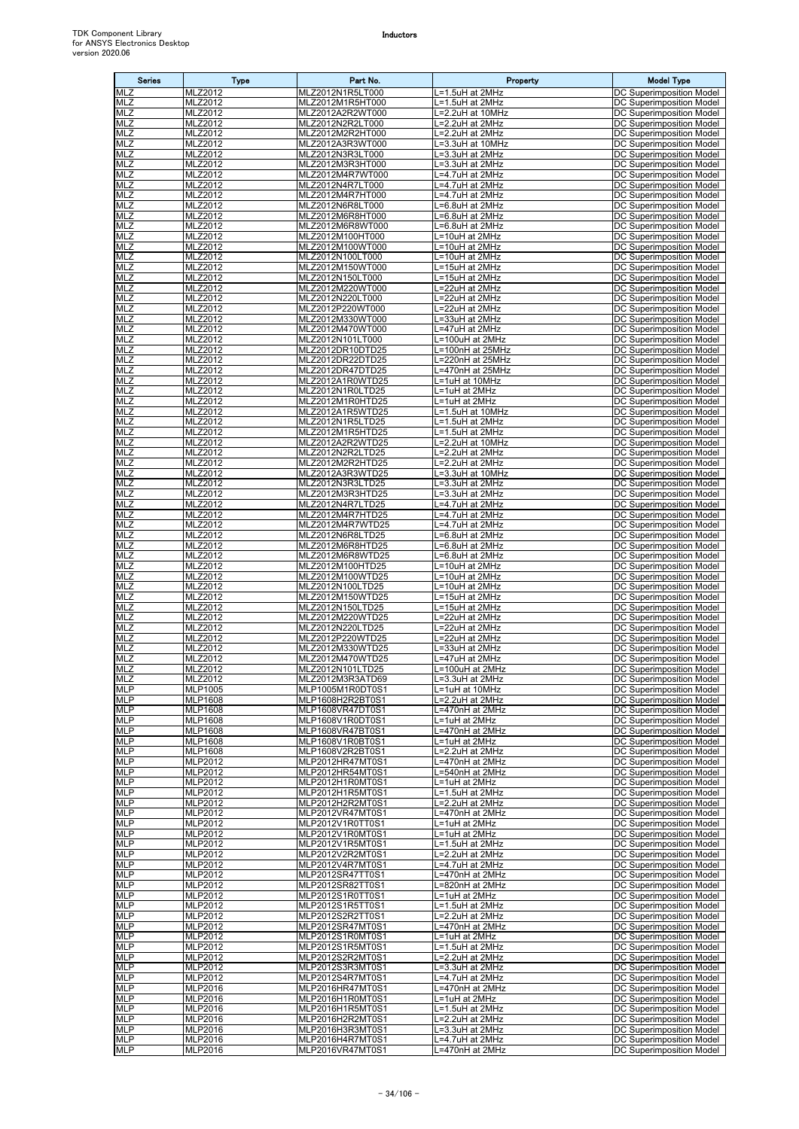| <b>Series</b>            | Type               | Part No.                             | Property                            | <b>Model Type</b>                                           |
|--------------------------|--------------------|--------------------------------------|-------------------------------------|-------------------------------------------------------------|
| <b>MLZ</b>               | MLZ2012            | MLZ2012N1R5LT000                     | =1.5uH at 2MHz                      | DC Superimposition Model                                    |
| MLZ                      | MLZ2012            | MLZ2012M1R5HT000                     | =1.5uH at 2MHz                      | DC Superimposition Model                                    |
| <b>MLZ</b><br><b>MLZ</b> | MLZ2012<br>MLZ2012 | MLZ2012A2R2WT000<br>MLZ2012N2R2LT000 | =2.2uH at 10MHz<br>L=2.2uH at 2MHz  | DC Superimposition Model<br>DC Superimposition Model        |
| MLZ                      | MLZ2012            | MLZ2012M2R2HT000                     | L=2.2uH at 2MHz                     | DC Superimposition Model                                    |
| MLZ                      | MLZ2012            | MLZ2012A3R3WT000                     | =3.3uH at 10MHz                     | <b>DC Superimposition Model</b>                             |
| <b>MLZ</b>               | MLZ2012            | MLZ2012N3R3LT000                     | L=3.3uH at 2MHz                     | DC Superimposition Model                                    |
| <b>MLZ</b><br>MLZ        | MLZ2012<br>MLZ2012 | MLZ2012M3R3HT000<br>MLZ2012M4R7WT000 | L=3.3uH at 2MHz<br>L=4.7uH at 2MHz  | DC Superimposition Model<br><b>DC Superimposition Model</b> |
| <b>MLZ</b>               | MLZ2012            | MLZ2012N4R7LT000                     | =4.7uH at 2MHz                      | DC Superimposition Model                                    |
| MLZ                      | MLZ2012            | MLZ2012M4R7HT000                     | L=4.7uH at 2MHz                     | DC Superimposition Model                                    |
| MLZ<br>MLZ               | MLZ2012            | MLZ2012N6R8LT000                     | =6.8uH at 2MHz                      | DC Superimposition Model                                    |
| <b>MLZ</b>               | MLZ2012<br>MLZ2012 | MLZ2012M6R8HT000<br>MLZ2012M6R8WT000 | L=6.8uH at 2MHz<br>L=6.8uH at 2MHz  | DC Superimposition Model<br><b>DC Superimposition Model</b> |
| MLZ                      | MLZ2012            | MLZ2012M100HT000                     | =10uH at 2MHz                       | DC Superimposition Model                                    |
| MLZ                      | MLZ2012            | MLZ2012M100WT000                     | L=10uH at 2MHz                      | <b>DC Superimposition Model</b>                             |
| <b>MLZ</b><br><b>MLZ</b> | MLZ2012<br>MLZ2012 | MLZ2012N100LT000<br>MLZ2012M150WT000 | L=10uH at 2MHz<br>L=15uH at 2MHz    | DC Superimposition Model                                    |
| MLZ                      | MLZ2012            | MLZ2012N150LT000                     | -15uH at 2MHz                       | DC Superimposition Model<br>DC Superimposition Model        |
| MLZ                      | MLZ2012            | MLZ2012M220WT000                     | L=22uH at 2MHz                      | DC Superimposition Model                                    |
| <b>MLZ</b>               | MLZ2012            | MLZ2012N220LT000                     | =22uH at 2MHz                       | DC Superimposition Model                                    |
| MLZ<br>MLZ               | MLZ2012<br>MLZ2012 | MLZ2012P220WT000<br>MLZ2012M330WT000 | L=22uH at 2MHz<br>L=33uH at 2MHz    | DC Superimposition Model<br>DC Superimposition Model        |
| MLZ                      | MLZ2012            | MLZ2012M470WT000                     | =47uH at 2MHz                       | DC Superimposition Model                                    |
| MLZ                      | MLZ2012            | MLZ2012N101LT000                     | L=100uH at 2MHz                     | DC Superimposition Model                                    |
| MLZ                      | MLZ2012            | MLZ2012DR10DTD25                     | L=100nH at 25MHz                    | DC Superimposition Model                                    |
| MLZ<br><b>MLZ</b>        | MLZ2012<br>MLZ2012 | MLZ2012DR22DTD25<br>MLZ2012DR47DTD25 | L=220nH at 25MHz<br>=470nH at 25MHz | <b>DC Superimposition Model</b><br>DC Superimposition Model |
| <b>MLZ</b>               | MLZ2012            | MLZ2012A1R0WTD25                     | L=1uH at 10MHz                      | DC Superimposition Model                                    |
| MLZ                      | MLZ2012            | MLZ2012N1R0LTD25                     | L=1uH at 2MHz                       | DC Superimposition Model                                    |
| MLZ                      | MLZ2012            | MLZ2012M1R0HTD25                     | =1uH at 2MHz                        | DC Superimposition Model                                    |
| <b>MLZ</b><br><b>MLZ</b> | MLZ2012<br>MLZ2012 | MLZ2012A1R5WTD25<br>MLZ2012N1R5LTD25 | =1.5uH at 10MHz<br>L=1.5uH at 2MHz  | DC Superimposition Model<br>DC Superimposition Model        |
| MLZ                      | MLZ2012            | MLZ2012M1R5HTD25                     | $L=1.5$ uH at 2MHz                  | DC Superimposition Model                                    |
| <b>MLZ</b>               | MLZ2012            | MLZ2012A2R2WTD25                     | =2.2uH at 10MHz                     | <b>DC Superimposition Model</b>                             |
| MLZ                      | MLZ2012            | MLZ2012N2R2LTD25                     | L=2.2uH at 2MHz                     | DC Superimposition Model                                    |
| MLZ<br>MLZ               | MLZ2012<br>MLZ2012 | MLZ2012M2R2HTD25<br>MLZ2012A3R3WTD25 | L=2.2uH at 2MHz<br>L=3.3uH at 10MHz | DC Superimposition Model<br>DC Superimposition Model        |
| <b>MLZ</b>               | MLZ2012            | MLZ2012N3R3LTD25                     | =3.3uH at 2MHz                      | DC Superimposition Model                                    |
| MLZ                      | MLZ2012            | MLZ2012M3R3HTD25                     | =3.3uH at 2MHz                      | DC Superimposition Model                                    |
| MLZ<br><b>MLZ</b>        | MLZ2012            | MLZ2012N4R7LTD25<br>MLZ2012M4R7HTD25 | L=4.7uH at 2MHz                     | DC Superimposition Model                                    |
| <b>MLZ</b>               | MLZ2012<br>MLZ2012 | MLZ2012M4R7WTD25                     | L=4.7uH at 2MHz<br>_=4.7uH at 2MHz  | DC Superimposition Model<br>DC Superimposition Model        |
| MLZ                      | MLZ2012            | MLZ2012N6R8LTD25                     | .=6.8uH at 2MHz                     | DC Superimposition Model                                    |
| MLZ                      | MLZ2012            | MLZ2012M6R8HTD25                     | ∟=6.8uH at 2MHz                     | DC Superimposition Model                                    |
| MLZ<br>MLZ               | MLZ2012<br>MLZ2012 | MLZ2012M6R8WTD25<br>MLZ2012M100HTD25 | L=6.8uH at 2MHz<br>L=10uH at 2MHz   | DC Superimposition Model<br>DC Superimposition Model        |
| MLZ                      | MLZ2012            | MLZ2012M100WTD25                     | L=10uH at 2MHz                      | DC Superimposition Model                                    |
| <b>MLZ</b>               | MLZ2012            | MLZ2012N100LTD25                     | L=10uH at 2MHz                      | DC Superimposition Model                                    |
| <b>MLZ</b>               | MLZ2012            | MLZ2012M150WTD25                     | L=15uH at 2MHz                      | DC Superimposition Model                                    |
| MLZ<br>MLZ               | MLZ2012<br>MLZ2012 | MLZ2012N150LTD25<br>MLZ2012M220WTD25 | _=15uH at 2MHz<br>L=22uH at 2MHz    | <b>DC Superimposition Model</b><br>DC Superimposition Model |
| MLZ                      | MLZ2012            | MLZ2012N220LTD25                     | =22uH at 2MHz                       | DC Superimposition Model                                    |
| MLZ                      | MLZ2012            | MLZ2012P220WTD25                     | L=22uH at 2MHz                      | DC Superimposition Model                                    |
| MLZ                      | MLZ2012            | MLZ2012M330WTD25                     | L=33uH at 2MHz                      | DC Superimposition Model                                    |
| <b>MLZ</b><br><b>MLZ</b> | MLZ2012<br>MLZ2012 | MLZ2012M470WTD25<br>MLZ2012N101LTD25 | =47uH at 2MHz<br>L=100uH at 2MHz    | DC Superimposition Model<br>DC Superimposition Model        |
| <b>MLZ</b>               | MLZ2012            | MLZ2012M3R3ATD69                     | L=3.3uH at 2MHz                     | DC Superimposition Model                                    |
| <b>MLP</b>               | MLP1005            | MLP1005M1R0DT0S1                     | L=1uH at 10MHz                      | DC Superimposition Model                                    |
| <b>MLP</b><br><b>MLP</b> | MLP1608<br>MLP1608 | MLP1608H2R2BT0S1<br>MLP1608VR47DT0S1 | L=2.2uH at 2MHz<br>L=470nH at 2MHz  | DC Superimposition Model<br>DC Superimposition Model        |
| <b>MLP</b>               | MLP1608            | MLP1608V1R0DT0S1                     | L=1uH at 2MHz                       | DC Superimposition Model                                    |
| <b>MLP</b>               | MLP1608            | MLP1608VR47BT0S1                     | L=470nH at 2MHz                     | DC Superimposition Model                                    |
| <b>MLP</b>               | MLP1608            | MLP1608V1R0BT0S1                     | =1uH at 2MHz                        | DC Superimposition Model                                    |
| <b>MLP</b><br><b>MLP</b> | MLP1608<br>MLP2012 | MLP1608V2R2BT0S1<br>MLP2012HR47MT0S1 | =2.2uH at 2MHz<br>L=470nH at 2MHz   | DC Superimposition Model<br>DC Superimposition Model        |
| <b>MLP</b>               | MLP2012            | MLP2012HR54MT0S1                     | L=540nH at 2MHz                     | DC Superimposition Model                                    |
| <b>MLP</b>               | MLP2012            | MLP2012H1R0MT0S1                     | L=1uH at 2MHz                       | DC Superimposition Model                                    |
| MLP                      | MLP2012            | MLP2012H1R5MT0S1<br>MLP2012H2R2MT0S1 | L=1.5uH at 2MHz                     | <b>DC Superimposition Model</b>                             |
| <b>MLP</b><br><b>MLP</b> | MLP2012<br>MLP2012 | MLP2012VR47MT0S1                     | L=2.2uH at 2MHz<br>L=470nH at 2MHz  | DC Superimposition Model<br>DC Superimposition Model        |
| <b>MLP</b>               | MLP2012            | MLP2012V1R0TT0S1                     | L=1uH at 2MHz                       | DC Superimposition Model                                    |
| <b>MLP</b>               | MLP2012            | MLP2012V1R0MT0S1                     | L=1uH at 2MHz                       | DC Superimposition Model                                    |
| <b>MLP</b><br><b>MLP</b> | MLP2012<br>MLP2012 | MLP2012V1R5MT0S1<br>MLP2012V2R2MT0S1 | L=1.5uH at 2MHz<br>L=2.2uH at 2MHz  | DC Superimposition Model<br>DC Superimposition Model        |
| <b>MLP</b>               | MLP2012            | MLP2012V4R7MT0S1                     | L=4.7uH at 2MHz                     | DC Superimposition Model                                    |
| <b>MLP</b>               | MLP2012            | MLP2012SR47TT0S1                     | =470nH at 2MHz                      | DC Superimposition Model                                    |
| <b>MLP</b>               | MLP2012            | MLP2012SR82TT0S1                     | L=820nH at 2MHz                     | DC Superimposition Model                                    |
| <b>MLP</b><br><b>MLP</b> | MLP2012<br>MLP2012 | MLP2012S1R0TT0S1<br>MLP2012S1R5TT0S1 | L=1uH at 2MHz<br>L=1.5uH at 2MHz    | DC Superimposition Model<br>DC Superimposition Model        |
| <b>MLP</b>               | MLP2012            | MLP2012S2R2TT0S1                     | L=2.2uH at 2MHz                     | DC Superimposition Model                                    |
| <b>MLP</b>               | MLP2012            | MLP2012SR47MT0S1                     | L=470nH at 2MHz                     | DC Superimposition Model                                    |
| <b>MLP</b>               | MLP2012            | MLP2012S1R0MT0S1                     | L=1uH at 2MHz                       | DC Superimposition Model                                    |
| <b>MLP</b><br><b>MLP</b> | MLP2012<br>MLP2012 | MLP2012S1R5MT0S1<br>MLP2012S2R2MT0S1 | L=1.5uH at 2MHz<br>L=2.2uH at 2MHz  | DC Superimposition Model<br>DC Superimposition Model        |
| <b>MLP</b>               | MLP2012            | MLP2012S3R3MT0S1                     | L=3.3uH at 2MHz                     | DC Superimposition Model                                    |
| <b>MLP</b>               | MLP2012            | MLP2012S4R7MT0S1                     | L=4.7uH at 2MHz                     | DC Superimposition Model                                    |
| <b>MLP</b><br><b>MLP</b> | MLP2016<br>MLP2016 | MLP2016HR47MT0S1<br>MLP2016H1R0MT0S1 | =470nH at 2MHz<br>L=1uH at 2MHz     | DC Superimposition Model<br>DC Superimposition Model        |
| <b>MLP</b>               | MLP2016            | MLP2016H1R5MT0S1                     | L=1.5uH at 2MHz                     | DC Superimposition Model                                    |
| <b>MLP</b>               | MLP2016            | MLP2016H2R2MT0S1                     | L=2.2uH at 2MHz                     | DC Superimposition Model                                    |
| <b>MLP</b>               | MLP2016            | MLP2016H3R3MT0S1                     | L=3.3uH at 2MHz                     | DC Superimposition Model                                    |
| <b>MLP</b><br><b>MLP</b> | MLP2016<br>MLP2016 | MLP2016H4R7MT0S1<br>MLP2016VR47MT0S1 | L=4.7uH at 2MHz<br>L=470nH at 2MHz  | DC Superimposition Model<br>DC Superimposition Model        |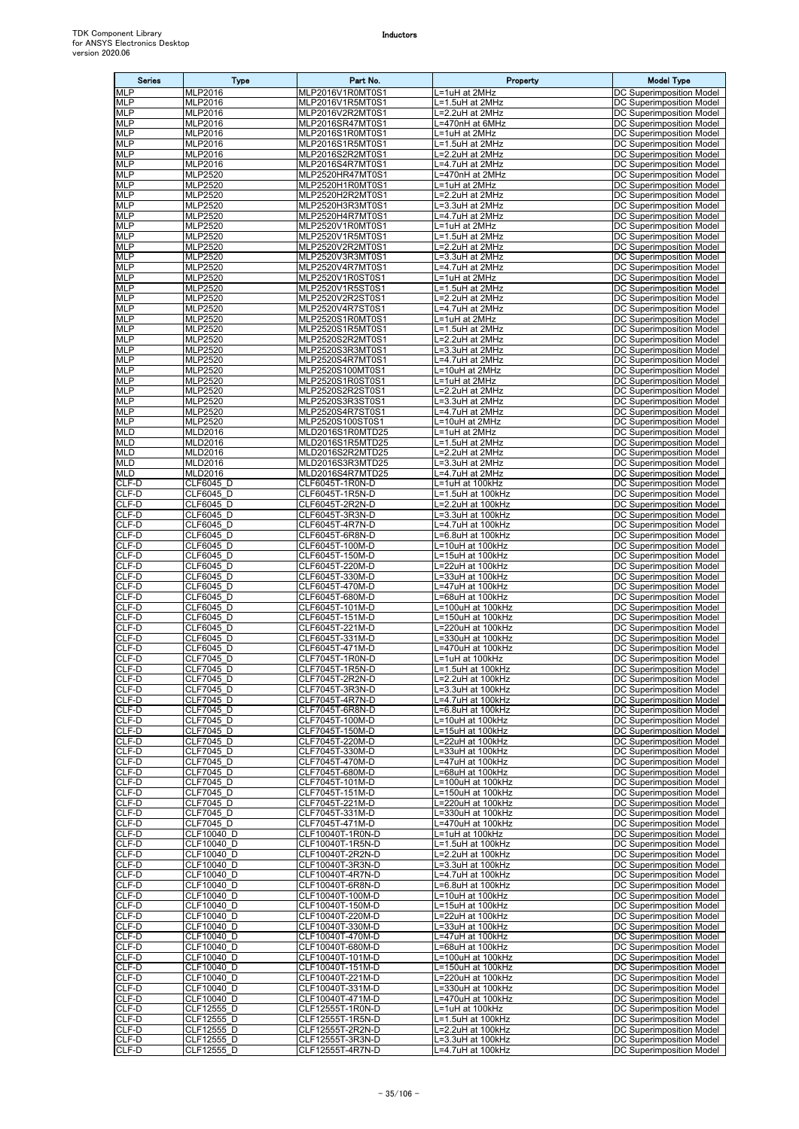| <b>Series</b>            | <b>Type</b>                      | Part No.                             | Property                               | <b>Model Type</b>                                           |
|--------------------------|----------------------------------|--------------------------------------|----------------------------------------|-------------------------------------------------------------|
| <b>MLP</b>               | MLP2016                          | MLP2016V1R0MT0S1                     | _=1uH at 2MHz                          | DC Superimposition Model                                    |
| <b>MLP</b>               | MLP2016                          | MLP2016V1R5MT0S1                     | L=1.5uH at 2MHz                        | DC Superimposition Model                                    |
| <b>MLP</b>               | MLP2016                          | MLP2016V2R2MT0S1                     | L=2.2uH at 2MHz                        | DC Superimposition Model                                    |
| <b>MLP</b>               | MLP2016                          | MLP2016SR47MT0S1                     | L=470nH at 6MHz                        | DC Superimposition Model                                    |
| <b>MLP</b><br><b>MLP</b> | MLP2016<br>MLP2016               | MLP2016S1R0MT0S1<br>MLP2016S1R5MT0S1 | L=1uH at 2MHz<br>L=1.5uH at 2MHz       | DC Superimposition Model<br>DC Superimposition Model        |
| <b>MLP</b>               | MLP2016                          | MLP2016S2R2MT0S1                     | L=2.2uH at 2MHz                        | DC Superimposition Model                                    |
| <b>MLP</b>               | MLP2016                          | MLP2016S4R7MT0S1                     | L=4.7uH at 2MHz                        | DC Superimposition Model                                    |
| <b>MLP</b>               | MLP2520                          | MLP2520HR47MT0S1                     | =470nH at 2MHz                         | DC Superimposition Model                                    |
| <b>MLP</b>               | <b>MLP2520</b>                   | MLP2520H1R0MT0S1                     | L=1uH at 2MHz                          | DC Superimposition Model                                    |
| <b>MLP</b><br><b>MLP</b> | <b>MLP2520</b><br><b>MLP2520</b> | MLP2520H2R2MT0S1<br>MLP2520H3R3MT0S1 | L=2.2uH at 2MHz<br>L=3.3uH at 2MHz     | DC Superimposition Model<br>DC Superimposition Model        |
| <b>MLP</b>               | <b>MLP2520</b>                   | MLP2520H4R7MT0S1                     | L=4.7uH at 2MHz                        | DC Superimposition Model                                    |
| <b>MLP</b>               | <b>MLP2520</b>                   | MLP2520V1R0MT0S1                     | L=1uH at 2MHz                          | DC Superimposition Model                                    |
| <b>MLP</b>               | <b>MLP2520</b>                   | MLP2520V1R5MT0S1                     | L=1.5uH at 2MHz                        | DC Superimposition Model                                    |
| <b>MLP</b>               | MLP2520                          | MLP2520V2R2MT0S1                     | L=2.2uH at 2MHz                        | DC Superimposition Model                                    |
| <b>MLP</b><br><b>MLP</b> | MLP2520<br><b>MLP2520</b>        | MLP2520V3R3MT0S1<br>MLP2520V4R7MT0S1 | .=3.3uH at 2MHz<br>L=4.7uH at 2MHz     | DC Superimposition Model<br>DC Superimposition Model        |
| <b>MLP</b>               | <b>MLP2520</b>                   | MLP2520V1R0ST0S1                     | L=1uH at 2MHz                          | DC Superimposition Model                                    |
| <b>MLP</b>               | MLP2520                          | MLP2520V1R5ST0S1                     | L=1.5uH at 2MHz                        | <b>DC Superimposition Model</b>                             |
| <b>MLP</b>               | MLP2520                          | MLP2520V2R2ST0S1                     | L=2.2uH at 2MHz                        | DC Superimposition Model                                    |
| <b>MLP</b>               | MLP2520                          | MLP2520V4R7ST0S1                     | L=4.7uH at 2MHz                        | DC Superimposition Model                                    |
| <b>MLP</b><br><b>MLP</b> | <b>MLP2520</b>                   | MLP2520S1R0MT0S1                     | L=1uH at 2MHz                          | DC Superimposition Model                                    |
| <b>MLP</b>               | MLP2520<br>MLP2520               | MLP2520S1R5MT0S1<br>MLP2520S2R2MT0S1 | L=1.5uH at 2MHz<br>L=2.2uH at 2MHz     | DC Superimposition Model<br>DC Superimposition Model        |
| <b>MLP</b>               | <b>MLP2520</b>                   | MLP2520S3R3MT0S1                     | L=3.3uH at 2MHz                        | DC Superimposition Model                                    |
| <b>MLP</b>               | <b>MLP2520</b>                   | MLP2520S4R7MT0S1                     | .=4.7uH at 2MHz                        | DC Superimposition Model                                    |
| <b>MLP</b>               | <b>MLP2520</b>                   | MLP2520S100MT0S1                     | L=10uH at 2MHz                         | DC Superimposition Model                                    |
| <b>MLP</b>               | <b>MLP2520</b>                   | MLP2520S1R0ST0S1                     | L=1uH at 2MHz                          | DC Superimposition Model                                    |
| <b>MLP</b><br><b>MLP</b> | <b>MLP2520</b><br>MLP2520        | MLP2520S2R2ST0S1<br>MLP2520S3R3ST0S1 | L=2.2uH at 2MHz<br>L=3.3uH at 2MHz     | DC Superimposition Model<br><b>DC Superimposition Model</b> |
| <b>MLP</b>               | MLP2520                          | MLP2520S4R7ST0S1                     | L=4.7uH at 2MHz                        | DC Superimposition Model                                    |
| <b>MLP</b>               | <b>MLP2520</b>                   | MLP2520S100ST0S1                     | L=10uH at 2MHz                         | DC Superimposition Model                                    |
| <b>MLD</b>               | MLD2016                          | MLD2016S1R0MTD25                     | L=1uH at 2MHz                          | DC Superimposition Model                                    |
| <b>MLD</b>               | MLD2016                          | MLD2016S1R5MTD25                     | L=1.5uH at 2MHz                        | DC Superimposition Model                                    |
| <b>MLD</b><br><b>MLD</b> | <b>MLD2016</b><br><b>MLD2016</b> | MLD2016S2R2MTD25<br>MLD2016S3R3MTD25 | L=2.2uH at 2MHz<br>L=3.3uH at 2MHz     | DC Superimposition Model<br>DC Superimposition Model        |
| <b>MLD</b>               | MLD2016                          | MLD2016S4R7MTD25                     | L=4.7uH at 2MHz                        | DC Superimposition Model                                    |
| CLF-D                    | CLF6045 D                        | CLF6045T-1R0N-D                      | L=1uH at 100kHz                        | DC Superimposition Model                                    |
| CLF-D                    | CLF6045 D                        | CLF6045T-1R5N-D                      | L=1.5uH at 100kHz                      | DC Superimposition Model                                    |
| CLF-D                    | CLF6045 D                        | CLF6045T-2R2N-D                      | L=2.2uH at 100kHz                      | DC Superimposition Model                                    |
| CLF-D<br>CLF-D           | CLF6045 D                        | CLF6045T-3R3N-D                      | .=3.3uH at 100kHz                      | DC Superimposition Model                                    |
| CLF-D                    | CLF6045 D<br>CLF6045 D           | CLF6045T-4R7N-D<br>CLF6045T-6R8N-D   | L=4.7uH at 100kHz<br>L=6.8uH at 100kHz | DC Superimposition Model<br>DC Superimposition Model        |
| CLF-D                    | CLF6045 D                        | CLF6045T-100M-D                      | L=10uH at 100kHz                       | <b>DC Superimposition Model</b>                             |
| CLF-D                    | CLF6045 D                        | CLF6045T-150M-D                      | L=15uH at 100kHz                       | DC Superimposition Model                                    |
| CLF-D                    | CLF6045 D                        | CLF6045T-220M-D                      | L=22uH at 100kHz                       | DC Superimposition Model                                    |
| CLF-D<br>CLF-D           | CLF6045 D<br>CLF6045 D           | CLF6045T-330M-D<br>CLF6045T-470M-D   | L=33uH at 100kHz<br>L=47uH at 100kHz   | DC Superimposition Model<br>DC Superimposition Model        |
| CLF-D                    | CLF6045_D                        | CLF6045T-680M-D                      | L=68uH at 100kHz                       | DC Superimposition Model                                    |
| CLF-D                    | CLF6045 D                        | CLF6045T-101M-D                      | L=100uH at 100kHz                      | DC Superimposition Model                                    |
| CLF-D                    | CLF6045 D                        | CLF6045T-151M-D                      | L=150uH at 100kHz                      | DC Superimposition Model                                    |
| CLF-D                    | CLF6045 D                        | CLF6045T-221M-D                      | L=220uH at 100kHz                      | <b>DC Superimposition Model</b>                             |
| CLF-D<br>CLF-D           | CLF6045 D<br>CLF6045 D           | CLF6045T-331M-D<br>CLF6045T-471M-D   | L=330uH at 100kHz<br>L=470uH at 100kHz | DC Superimposition Model<br><b>DC Superimposition Model</b> |
| CLF-D                    | <b>CLF7045 D</b>                 | CLF7045T-1R0N-D                      | L=1uH at 100kHz                        | DC Superimposition Model                                    |
| CLF-D                    | <b>CLF7045 D</b>                 | CLF7045T-1R5N-D                      | L=1.5uH at 100kHz                      | DC Superimposition Model                                    |
| CLF-D                    | CLF7045 D                        | CLF7045T-2R2N-D                      | L=2.2uH at 100kHz                      | DC Superimposition Model                                    |
| CLF-D                    | CLF7045 D                        | CLF7045T-3R3N-D                      | L=3.3uH at 100kHz                      | DC Superimposition Model                                    |
| CLF-D<br>CLF-D           | CLF7045 D<br><b>CLF7045 D</b>    | CLF7045T-4R7N-D<br>CLF7045T-6R8N-D   | L=4.7uH at 100kHz<br>L=6.8uH at 100kHz | <b>DC Superimposition Model</b><br>DC Superimposition Model |
| CLF-D                    | CLF7045 D                        | CLF7045T-100M-D                      | L=10uH at 100kHz                       | DC Superimposition Model                                    |
| CLF-D                    | CLF7045 D                        | CLF7045T-150M-D                      | L=15uH at 100kHz                       | DC Superimposition Model                                    |
| CLF-D                    | CLF7045 D                        | CLF7045T-220M-D                      | L=22uH at 100kHz                       | DC Superimposition Model                                    |
| CLF-D                    | CLF7045 D                        | CLF7045T-330M-D                      | L=33uH at 100kHz                       | DC Superimposition Model<br><b>DC Superimposition Model</b> |
| CLF-D<br>CLF-D           | CLF7045 D<br>CLF7045 D           | CLF7045T-470M-D<br>CLF7045T-680M-D   | L=47uH at 100kHz<br>L=68uH at 100kHz   | DC Superimposition Model                                    |
| CLF-D                    | CLF7045 D                        | CLF7045T-101M-D                      | L=100uH at 100kHz                      | DC Superimposition Model                                    |
| CLF-D                    | CLF7045 D                        | CLF7045T-151M-D                      | L=150uH at 100kHz                      | DC Superimposition Model                                    |
| CLF-D                    | CLF7045 D                        | CLF7045T-221M-D                      | L=220uH at 100kHz                      | <b>DC Superimposition Model</b>                             |
| CLF-D                    | CLF7045 D                        | CLF7045T-331M-D                      | L=330uH at 100kHz                      | DC Superimposition Model                                    |
| CLF-D<br>CLF-D           | CLF7045 D<br>CLF10040 D          | CLF7045T-471M-D<br>CLF10040T-1R0N-D  | L=470uH at 100kHz<br>L=1uH at 100kHz   | DC Superimposition Model<br>DC Superimposition Model        |
| CLF-D                    | CLF10040 D                       | CLF10040T-1R5N-D                     | L=1.5uH at 100kHz                      | DC Superimposition Model                                    |
| CLF-D                    | CLF10040 D                       | CLF10040T-2R2N-D                     | L=2.2uH at 100kHz                      | DC Superimposition Model                                    |
| CLF-D                    | CLF10040 D                       | CLF10040T-3R3N-D                     | L=3.3uH at 100kHz                      | DC Superimposition Model                                    |
| CLF-D<br>CLF-D           | CLF10040 D                       | CLF10040T-4R7N-D<br>CLF10040T-6R8N-D | L=4.7uH at 100kHz                      | DC Superimposition Model<br>DC Superimposition Model        |
| CLF-D                    | CLF10040 D<br>CLF10040 D         | CLF10040T-100M-D                     | L=6.8uH at 100kHz<br>L=10uH at 100kHz  | DC Superimposition Model                                    |
| CLF-D                    | CLF10040 D                       | CLF10040T-150M-D                     | L=15uH at 100kHz                       | DC Superimposition Model                                    |
| CLF-D                    | CLF10040 D                       | CLF10040T-220M-D                     | L=22uH at 100kHz                       | DC Superimposition Model                                    |
| CLF-D                    | CLF10040 D                       | CLF10040T-330M-D                     | L=33uH at 100kHz                       | DC Superimposition Model                                    |
| CLF-D                    | CLF10040 D                       | CLF10040T-470M-D                     | L=47uH at 100kHz                       | DC Superimposition Model                                    |
| CLF-D<br>CLF-D           | CLF10040 D<br>CLF10040 D         | CLF10040T-680M-D<br>CLF10040T-101M-D | =68uH at 100kHz<br>L=100uH at 100kHz   | DC Superimposition Model<br>DC Superimposition Model        |
| CLF-D                    | CLF10040 D                       | CLF10040T-151M-D                     | L=150uH at 100kHz                      | DC Superimposition Model                                    |
| CLF-D                    | CLF10040 D                       | CLF10040T-221M-D                     | L=220uH at 100kHz                      | DC Superimposition Model                                    |
| CLF-D                    | CLF10040 D                       | CLF10040T-331M-D                     | L=330uH at 100kHz                      | DC Superimposition Model                                    |
| CLF-D                    | CLF10040 D                       | CLF10040T-471M-D                     | L=470uH at 100kHz                      | DC Superimposition Model                                    |
| CLF-D<br>CLF-D           | CLF12555_D<br>CLF12555_D         | CLF12555T-1R0N-D<br>CLF12555T-1R5N-D | L=1uH at 100kHz<br>L=1.5uH at 100kHz   | DC Superimposition Model<br>DC Superimposition Model        |
| CLF-D                    | CLF12555 D                       | CLF12555T-2R2N-D                     | L=2.2uH at 100kHz                      | DC Superimposition Model                                    |
| CLF-D                    | CLF12555 D                       | CLF12555T-3R3N-D                     | L=3.3uH at 100kHz                      | DC Superimposition Model                                    |
| CLF-D                    | CLF12555 D                       | CLF12555T-4R7N-D                     | L=4.7uH at 100kHz                      | <b>DC Superimposition Model</b>                             |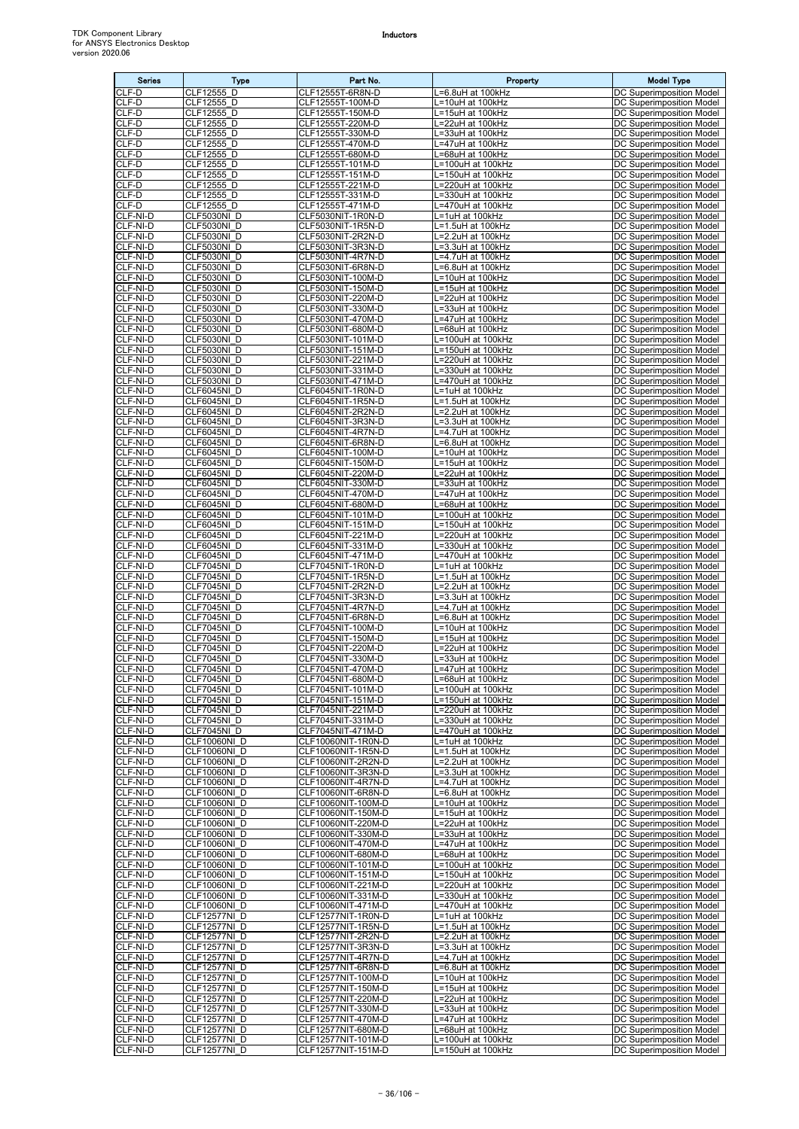| <b>Series</b>        | Type                                | Part No.                                 | Property                                         | <b>Model Type</b>                                           |
|----------------------|-------------------------------------|------------------------------------------|--------------------------------------------------|-------------------------------------------------------------|
| CLF-D<br>CLF-D       | CLF12555<br>D                       | CLF12555T-6R8N-D                         | .=6.8uH at 100kHz                                | DC Superimposition Model                                    |
| CLF-D                | CLF12555 D<br>CLF12555 D            | CLF12555T-100M-D<br>CLF12555T-150M-D     | =10uH at 100kHz<br>$\overline{=15}$ uH at 100kHz | DC Superimposition Model<br><b>DC Superimposition Model</b> |
| CLF-D                | CLF12555 D                          | CLF12555T-220M-D                         | =22uH at 100kHz                                  | DC Superimposition Model                                    |
| CLF-D<br>CLF-D       | CLF12555 D<br>CLF12555 D            | CLF12555T-330M-D<br>CLF12555T-470M-D     | .=33uH at 100kHz<br>=47uH at 100kHz              | DC Superimposition Model<br><b>DC Superimposition Model</b> |
| CLF-D                | CLF12555 D                          | CLF12555T-680M-D                         | =68uH at 100kHz                                  | DC Superimposition Model                                    |
| CLF-D<br>CLF-D       | CLF12555 D<br>CLF12555 D            | CLF12555T-101M-D<br>CLF12555T-151M-D     | L=100uH at 100kHz<br>L=150uH at 100kHz           | DC Superimposition Model<br>DC Superimposition Model        |
| CLF-D                | CLF12555 D                          | CLF12555T-221M-D                         | =220uH at 100kHz                                 | DC Superimposition Model                                    |
| CLF-D<br>CLF-D       | CLF12555_D<br>CLF12555 D            | CLF12555T-331M-D<br>CLF12555T-471M-D     | .=330uH at 100kHz<br>=470uH at 100kHz            | DC Superimposition Model<br>DC Superimposition Model        |
| CLF-NI-D             | CLF5030NI D                         | CLF5030NIT-1R0N-D                        | .=1uH at 100kHz                                  | DC Superimposition Model                                    |
| CLF-NI-D<br>CLF-NI-D | <b>CLF5030NI D</b><br>CLF5030NI D   | CLF5030NIT-1R5N-D<br>CLF5030NIT-2R2N-D   | -1.5uH at 100kHz<br>-2.2uH at 100kHz             | DC Superimposition Model<br>DC Superimposition Model        |
| CLF-NI-D             | <b>CLF5030NI D</b>                  | CLF5030NIT-3R3N-D                        | L=3.3uH at 100kHz                                | <b>DC Superimposition Model</b>                             |
| CLF-NI-D             | CLF5030NI D                         | CLF5030NIT-4R7N-D                        | _=4.7uH at 100kHz                                | DC Superimposition Model                                    |
| CLF-NI-D<br>CLF-NI-D | CLF5030NI D<br><b>CLF5030NI D</b>   | CLF5030NIT-6R8N-D<br>CLF5030NIT-100M-D   | =6.8uH at 100kHz<br>.=10uH at 100kHz             | DC Superimposition Model<br>DC Superimposition Model        |
| CLF-NI-D             | CLF5030NI D                         | CLF5030NIT-150M-D                        | =15uH at 100kHz                                  | DC Superimposition Model                                    |
| CLF-NI-D<br>CLF-NI-D | CLF5030NI D<br><b>CLF5030NI_D</b>   | CLF5030NIT-220M-D<br>CLF5030NIT-330M-D   | =22uH at 100kHz<br>L=33uH at 100kHz              | DC Superimposition Model<br>DC Superimposition Model        |
| CLF-NI-D             | CLF5030NI D                         | CLF5030NIT-470M-D                        | L=47uH at 100kHz                                 | DC Superimposition Model                                    |
| CLF-NI-D<br>CLF-NI-D | CLF5030NI D<br>CLF5030NI D          | CLF5030NIT-680M-D<br>CLF5030NIT-101M-D   | =68uH at 100kHz<br>L=100uH at 100kHz             | DC Superimposition Model<br>DC Superimposition Model        |
| CLF-NI-D             | CLF5030NI D                         | CLF5030NIT-151M-D                        | L=150uH at 100kHz                                | DC Superimposition Model                                    |
| CLF-NI-D             | CLF5030NI D                         | CLF5030NIT-221M-D                        | =220uH at 100kHz                                 | <b>DC Superimposition Model</b>                             |
| CLF-NI-D<br>CLF-NI-D | CLF5030NID<br>CLF5030NI D           | CLF5030NIT-331M-D<br>CLF5030NIT-471M-D   | .=330uH at 100kHz<br>.=470uH at 100kHz           | DC Superimposition Model<br>DC Superimposition Model        |
| CLF-NI-D             | CLF6045NI D                         | CLF6045NIT-1R0N-D                        | L=1uH at 100kHz                                  | DC Superimposition Model                                    |
| CLF-NI-D<br>CLF-NI-D | CLF6045NI D<br>CLF6045NI D          | CLF6045NIT-1R5N-D<br>CLF6045NIT-2R2N-D   | -1.5uH at 100kHz<br>=2.2uH at 100kHz             | <b>DC Superimposition Model</b><br>DC Superimposition Model |
| CLF-NI-D             | CLF6045NI D                         | CLF6045NIT-3R3N-D                        | L=3.3uH at 100kHz                                | DC Superimposition Model                                    |
| CLF-NI-D<br>CLF-NI-D | CLF6045NI D<br>CLF6045NI D          | CLF6045NIT-4R7N-D<br>CLF6045NIT-6R8N-D   | .=4.7uH at 100kHz<br>=6.8uH at 100kHz            | DC Superimposition Model<br>DC Superimposition Model        |
| CLF-NI-D             | CLF6045NI D                         | CLF6045NIT-100M-D                        | =10uH at 100kHz                                  | DC Superimposition Model                                    |
| CLF-NI-D<br>CLF-NI-D | CLF6045NI D<br>CLF6045NI D          | CLF6045NIT-150M-D<br>CLF6045NIT-220M-D   | =15uH at 100kHz<br>.=22uH at 100kHz              | DC Superimposition Model<br>DC Superimposition Model        |
| CLF-NI-D             | CLF6045NI D                         | CLF6045NIT-330M-D                        | =33uH at 100kHz                                  | DC Superimposition Model                                    |
| CLF-NI-D             | CLF6045NI D                         | CLF6045NIT-470M-D                        | .=47uH at 100kHz                                 | DC Superimposition Model                                    |
| CLF-NI-D<br>CLF-NI-D | CLF6045NI D<br>CLF6045NI D          | CLF6045NIT-680M-D<br>CLF6045NIT-101M-D   | L=68uH at 100kHz<br>=100uH at 100kHz             | DC Superimposition Model<br>DC Superimposition Model        |
| CLF-NI-D             | CLF6045NI D                         | CLF6045NIT-151M-D                        | =150uH at 100kHz                                 | DC Superimposition Model                                    |
| CLF-NI-D<br>CLF-NI-D | CLF6045NI D<br>CLF6045NI D          | CLF6045NIT-221M-D<br>CLF6045NIT-331M-D   | =220uH at 100kHz<br>.=330uH at 100kHz            | DC Superimposition Model<br>DC Superimposition Model        |
| CLF-NI-D             | CLF6045NI D                         | CLF6045NIT-471M-D                        | .=470uH at 100kHz                                | DC Superimposition Model                                    |
| CLF-NI-D<br>CLF-NI-D | CLF7045NI D<br>CLF7045NI D          | CLF7045NIT-1R0N-D<br>CLF7045NIT-1R5N-D   | L=1uH at 100kHz<br>L=1.5uH at 100kHz             | <b>DC Superimposition Model</b><br>DC Superimposition Model |
| CLF-NI-D             | CLF7045NI D                         | CLF7045NIT-2R2N-D                        | _=2.2uH at 100kHz                                | DC Superimposition Model                                    |
| CLF-NI-D<br>CLF-NI-D | CLF7045NI D<br>CLF7045NI D          | CLF7045NIT-3R3N-D<br>CLF7045NIT-4R7N-D   | L=3.3uH at 100kHz<br>.=4.7uH at 100kHz           | DC Superimposition Model<br>DC Superimposition Model        |
| CLF-NI-D             | CLF7045NI D                         | CLF7045NIT-6R8N-D                        | .=6.8uH at 100kHz                                | DC Superimposition Model                                    |
| CLF-NI-D<br>CLF-NI-D | CLF7045NI D                         | CLF7045NIT-100M-D                        | =10uH at 100kHz                                  | DC Superimposition Model                                    |
| CLF-NI-D             | CLF7045NI D<br>CLF7045NI D          | CLF7045NIT-150M-D<br>CLF7045NIT-220M-D   | L=15uH at 100kHz<br>=22uH at 100kHz              | DC Superimposition Model<br>DC Superimposition Model        |
| CLF-NI-D             | CLF7045NI D                         | CLF7045NIT-330M-D                        | =33uH at 100kHz                                  | DC Superimposition Model                                    |
| CLF-NI-D<br>CLF-NI-D | CLF7045NI D<br>CLF7045NI D          | CLF7045NIT-470M-D<br>CLF7045NIT-680M-D   | L=47uH at 100kHz<br>L=68uH at 100kHz             | DC Superimposition Model<br>DC Superimposition Model        |
| CLF-NI-D             | CLF7045NI D                         | CLF7045NIT-101M-D                        | L=100uH at 100kHz                                | DC Superimposition Model                                    |
| CLF-NI-D<br>CLF-NI-D | CLF7045NI D<br>CLF7045NI D          | CLF7045NIT-151M-D<br>CLF7045NIT-221M-D   | =150uH at 100kHz<br>_=220uH at 100kHz            | DC Superimposition Model<br>DC Superimposition Model        |
| CLF-NI-D             | CLF7045NI D                         | CLF7045NIT-331M-D                        | -330uH at 100kHz                                 | DC Superimposition Model                                    |
| CLF-NI-D<br>CLF-NI-D | CLF7045NI D<br>CLF10060NI D         | CLF7045NIT-471M-D<br>CLF10060NIT-1R0N-D  | -470uH at 100kHz<br>=1uH at 100kHz               | DC Superimposition Model<br>DC Superimposition Model        |
| CLF-NI-D             | <b>CLF10060NI D</b>                 | CLF10060NIT-1R5N-D                       | =1.5uH at 100kHz                                 | DC Superimposition Model                                    |
| CLF-NI-D<br>CLF-NI-D | <b>CLF10060NI D</b><br>CLF10060NI D | CLF10060NIT-2R2N-D<br>CLF10060NIT-3R3N-D | L=2.2uH at 100kHz<br>L=3.3uH at 100kHz           | DC Superimposition Model<br>DC Superimposition Model        |
| CLF-NI-D             | <b>CLF10060NI D</b>                 | CLF10060NIT-4R7N-D                       | =4.7uH at 100kHz                                 | DC Superimposition Model                                    |
| CLF-NI-D             | CLF10060NI D                        | CLF10060NIT-6R8N-D                       | .=6.8uH at 100kHz                                | DC Superimposition Model                                    |
| CLF-NI-D<br>CLF-NI-D | CLF10060NI D<br>CLF10060NI D        | CLF10060NIT-100M-D<br>CLF10060NIT-150M-D | =10uH at 100kHz<br>L=15uH at 100kHz              | DC Superimposition Model<br>DC Superimposition Model        |
| CLF-NI-D             | CLF10060NI D                        | CLF10060NIT-220M-D                       | L=22uH at 100kHz                                 | DC Superimposition Model                                    |
| CLF-NI-D<br>CLF-NI-D | CLF10060NI D<br>CLF10060NI D        | CLF10060NIT-330M-D<br>CLF10060NIT-470M-D | =33uH at 100kHz<br>-=47uH at 100kHz              | DC Superimposition Model<br>DC Superimposition Model        |
| CLF-NI-D             | CLF10060NI D                        | CLF10060NIT-680M-D                       | L=68uH at 100kHz                                 | DC Superimposition Model                                    |
| CLF-NI-D<br>CLF-NI-D | CLF10060NI D<br>CLF10060NI D        | CLF10060NIT-101M-D<br>CLF10060NIT-151M-D | =100uH at 100kHz<br>_=150uH at 100kHz            | DC Superimposition Model<br><b>DC Superimposition Model</b> |
| CLF-NI-D             | CLF10060NI D                        | CLF10060NIT-221M-D                       | =220uH at 100kHz                                 | DC Superimposition Model                                    |
| CLF-NI-D<br>CLF-NI-D | CLF10060NI_D<br>CLF10060NI D        | CLF10060NIT-331M-D<br>CLF10060NIT-471M-D | L=330uH at 100kHz<br>_=470uH at 100kHz           | DC Superimposition Model<br>DC Superimposition Model        |
| CLF-NI-D             | CLF12577NI D                        | CLF12577NIT-1R0N-D                       | =1uH at 100kHz                                   | DC Superimposition Model                                    |
| CLF-NI-D<br>CLF-NI-D | CLF12577NI D<br>CLF12577NI D        | CLF12577NIT-1R5N-D<br>CLF12577NIT-2R2N-D | L=1.5uH at 100kHz<br>L=2.2uH at 100kHz           | DC Superimposition Model<br>DC Superimposition Model        |
| CLF-NI-D             | CLF12577NI D                        | CLF12577NIT-3R3N-D                       | .=3.3uH at 100kHz                                | DC Superimposition Model                                    |
| CLF-NI-D             | CLF12577NI D                        | CLF12577NIT-4R7N-D                       | .=4.7uH at 100kHz                                | DC Superimposition Model                                    |
| CLF-NI-D<br>CLF-NI-D | CLF12577NI D<br>CLF12577NI D        | CLF12577NIT-6R8N-D<br>CLF12577NIT-100M-D | =6.8uH at 100kHz<br>L=10uH at 100kHz             | DC Superimposition Model<br>DC Superimposition Model        |
| CLF-NI-D             | CLF12577NI D                        | CLF12577NIT-150M-D                       | =15uH at 100kHz                                  | DC Superimposition Model                                    |
| CLF-NI-D<br>CLF-NI-D | CLF12577NI D<br>CLF12577NI D        | CLF12577NIT-220M-D<br>CLF12577NIT-330M-D | =22uH at 100kHz<br>L=33uH at 100kHz              | DC Superimposition Model<br>DC Superimposition Model        |
| CLF-NI-D             | CLF12577NI D                        | CLF12577NIT-470M-D                       | L=47uH at 100kHz                                 | DC Superimposition Model                                    |
| CLF-NI-D<br>CLF-NI-D | CLF12577NI D<br>CLF12577NI D        | CLF12577NIT-680M-D<br>CLF12577NIT-101M-D | L=68uH at 100kHz<br>L=100uH at 100kHz            | DC Superimposition Model<br>DC Superimposition Model        |
| CLF-NI-D             | CLF12577NI D                        | CLF12577NIT-151M-D                       | L=150uH at 100kHz                                | DC Superimposition Model                                    |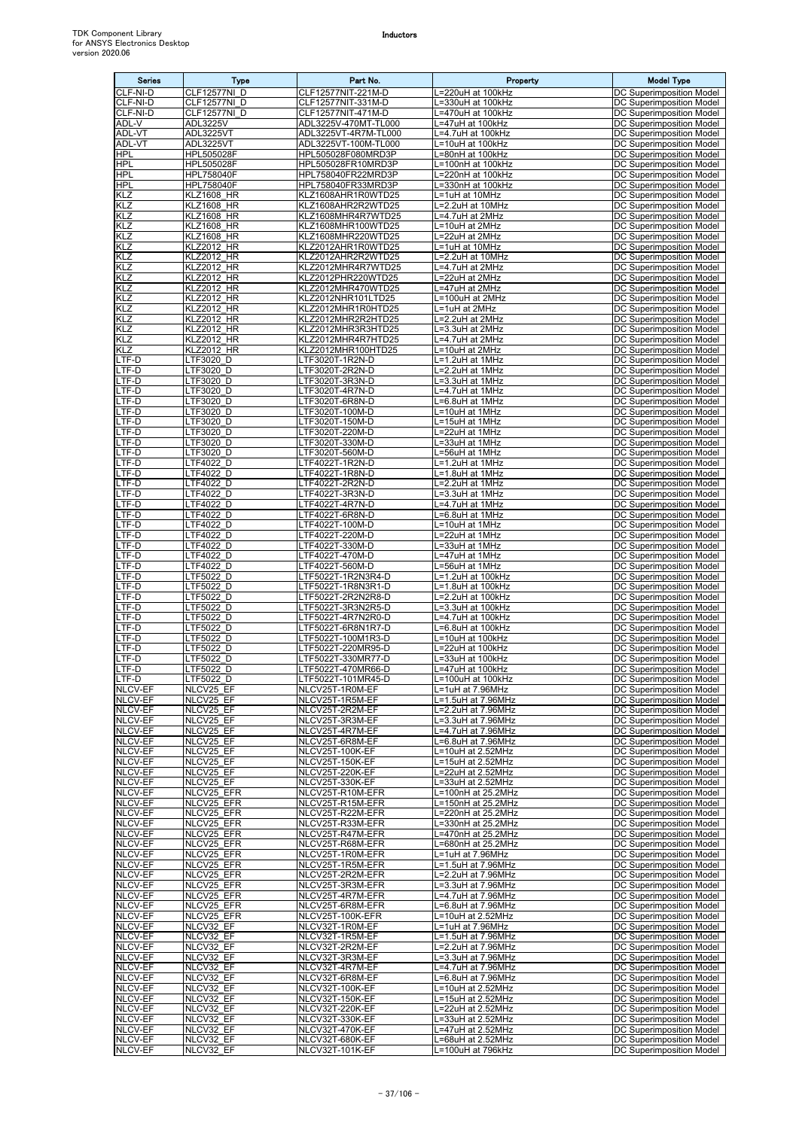| <b>Series</b>                    | Type                                   | Part No.                                   | Property                                 | <b>Model Type</b>                                           |
|----------------------------------|----------------------------------------|--------------------------------------------|------------------------------------------|-------------------------------------------------------------|
| CLF-NI-D                         | CLF12577NI D                           | CLF12577NIT-221M-D                         | $\overline{=220}$ uH at 100kHz           | DC Superimposition Model                                    |
| CLF-NI-D<br>CLF-NI-D             | CLF12577NI D<br>CLF12577NI D           | CLF12577NIT-331M-D<br>CLF12577NIT-471M-D   | .=330uH at 100kHz<br>.=470uH at 100kHz   | DC Superimposition Model<br>DC Superimposition Model        |
| ADL-V                            | ADL3225V                               | ADL3225V-470MT-TL000                       | L=47uH at 100kHz                         | DC Superimposition Model                                    |
| ADL-VT                           | ADL3225VT                              | ADL3225VT-4R7M-TL000                       | $\overline{-4.7}$ uH at 100kHz           | DC Superimposition Model                                    |
| ADL-VT<br><b>HPL</b>             | ADL3225VT<br>HPL505028F                | ADL3225VT-100M-TL000<br>HPL505028F080MRD3P | =10uH at 100kHz<br>=80nH at 100kHz       | DC Superimposition Model<br><b>DC Superimposition Model</b> |
| <b>HPL</b>                       | HPL505028F                             | HPL505028FR10MRD3P                         | -100nH at 100kHz                         | DC Superimposition Model                                    |
| <b>HPL</b>                       | HPL758040F                             | HPL758040FR22MRD3P                         | .=220nH at 100kHz                        | DC Superimposition Model                                    |
| <b>HPL</b><br>KLZ                | HPL758040F<br><b>KLZ1608 HR</b>        | HPL758040FR33MRD3P<br>KLZ1608AHR1R0WTD25   | .=330nH at 100kHz<br>.=1uH at 10MHz      | DC Superimposition Model<br>DC Superimposition Model        |
| KLZ                              | <b>KLZ1608 HR</b>                      | KLZ1608AHR2R2WTD25                         | L=2.2uH at 10MHz                         | DC Superimposition Model                                    |
| KLZ                              | <b>KLZ1608 HR</b>                      | KLZ1608MHR4R7WTD25                         | L=4.7uH at 2MHz                          | <b>DC Superimposition Model</b>                             |
| KLZ<br>KLZ                       | <b>KLZ1608 HR</b><br><b>KLZ1608 HR</b> | KLZ1608MHR100WTD25<br>KLZ1608MHR220WTD25   | =10uH at 2MHz<br>.=22uH at 2MHz          | DC Superimposition Model<br>DC Superimposition Model        |
| KLZ                              | <b>KLZ2012 HR</b>                      | KLZ2012AHR1R0WTD25                         | =1uH at 10MHz                            | DC Superimposition Model                                    |
| <b>KLZ</b>                       | <b>KLZ2012 HR</b>                      | KLZ2012AHR2R2WTD25                         | .=2.2uH at 10MHz                         | DC Superimposition Model                                    |
| KLZ<br>KLZ                       | <b>KLZ2012 HR</b><br><b>KLZ2012 HR</b> | KLZ2012MHR4R7WTD25<br>KLZ2012PHR220WTD25   | =4.7uH at 2MHz<br>=22uH at 2MHz          | DC Superimposition Model<br>DC Superimposition Model        |
| KLZ                              | <b>KLZ2012 HR</b>                      | KLZ2012MHR470WTD25                         | =47uH at 2MHz                            | DC Superimposition Model                                    |
| KLZ<br>KLZ                       | <b>KLZ2012 HR</b>                      | KLZ2012NHR101LTD25<br>KLZ2012MHR1R0HTD25   | =100uH at 2MHz                           | DC Superimposition Model                                    |
| KLZ                              | KLZ2012_HR<br><b>KLZ2012 HR</b>        | KLZ2012MHR2R2HTD25                         | L=1uH at 2MHz<br>L=2.2uH at 2MHz         | DC Superimposition Model<br><b>DC Superimposition Model</b> |
| KLZ                              | <b>KLZ2012 HR</b>                      | KLZ2012MHR3R3HTD25                         | .=3.3uH at 2MHz                          | DC Superimposition Model                                    |
| KLZ<br>KLZ                       | <b>KLZ2012 HR</b><br><b>KLZ2012 HR</b> | KLZ2012MHR4R7HTD25<br>KLZ2012MHR100HTD25   | =4.7uH at 2MHz<br>L=10uH at 2MHz         | DC Superimposition Model<br>DC Superimposition Model        |
| LTF-D                            | LTF3020 D                              | LTF3020T-1R2N-D                            | $\overline{c=1}$ .2uH at 1MHz            | DC Superimposition Model                                    |
| LTF-D                            | LTF3020 D                              | LTF3020T-2R2N-D                            | =2.2uH at 1MHz                           | DC Superimposition Model                                    |
| LTF-D<br>LTF-D                   | LTF3020 D<br>LTF3020 D                 | LTF3020T-3R3N-D<br>LTF3020T-4R7N-D         | L=3.3uH at 1MHz<br>_=4.7uH at 1MHz       | DC Superimposition Model<br>DC Superimposition Model        |
| LTF-D                            | LTF3020 D                              | LTF3020T-6R8N-D                            | .=6.8uH at 1MHz                          | DC Superimposition Model                                    |
| LTF-D                            | LTF3020 D                              | LTF3020T-100M-D                            | =10uH at 1MHz                            | <b>DC Superimposition Model</b>                             |
| LTF-D<br>LTF-D                   | LTF3020 D<br>LTF3020 D                 | LTF3020T-150M-D<br>LTF3020T-220M-D         | =15uH at 1MHz<br>.=22uH at 1MHz          | DC Superimposition Model<br>DC Superimposition Model        |
| LTF-D                            | LTF3020 D                              | LTF3020T-330M-D                            | =33uH at 1MHz                            | DC Superimposition Model                                    |
| LTF-D                            | LTF3020 D                              | LTF3020T-560M-D                            | .=56uH at 1MHz                           | DC Superimposition Model                                    |
| LTF-D<br>LTF-D                   | LTF4022 D<br>LTF4022 D                 | LTF4022T-1R2N-D<br>LTF4022T-1R8N-D         | L=1.2uH at 1MHz<br>L=1.8uH at 1MHz       | DC Superimposition Model<br><b>DC Superimposition Model</b> |
| TF-D                             | LTF4022 D                              | TF4022T-2R2N-D                             | =2.2uH at 1MHz                           | DC Superimposition Model                                    |
| LTF-D                            | LTF4022 D                              | LTF4022T-3R3N-D                            | .=3.3uH at 1MHz                          | DC Superimposition Model                                    |
| LTF-D<br>LTF-D                   | LTF4022 D<br>LTF4022 D                 | LTF4022T-4R7N-D<br>LTF4022T-6R8N-D         | .=4.7uH at 1MHz<br>.=6.8uH at 1MHz       | DC Superimposition Model<br>DC Superimposition Model        |
| LTF-D                            | LTF4022 D                              | LTF4022T-100M-D                            | =10uH at 1MHz                            | DC Superimposition Model                                    |
| LTF-D                            | LTF4022 D                              | LTF4022T-220M-D                            | =22uH at 1MHz                            | DC Superimposition Model                                    |
| LTF-D<br>LTF-D                   | LTF4022 D<br>LTF4022 D                 | TF4022T-330M-D<br>TF4022T-470M-D.          | =33uH at 1MHz<br>=47uH at 1MHz           | DC Superimposition Model<br>DC Superimposition Model        |
| LTF-D                            | LTF4022 D                              | LTF4022T-560M-D                            | .=56uH at 1MHz                           | DC Superimposition Model                                    |
| TF-D                             | LTF5022_D                              | .TF5022T-1R2N3R4-D                         | .=1.2uH at 100kHz                        | DC Superimposition Model                                    |
| LTF-D<br>LTF-D                   | LTF5022 D<br>LTF5022 D                 | LTF5022T-1R8N3R1-D<br>LTF5022T-2R2N2R8-D   | -1.8uH at 100kHz<br>L=2.2uH at 100kHz    | DC Superimposition Model<br>DC Superimposition Model        |
| LTF-D                            | LTF5022 D                              | LTF5022T-3R3N2R5-D                         | -3.3uH at 100kHz                         | DC Superimposition Model                                    |
| LTF-D                            | LTF5022 D                              | LTF5022T-4R7N2R0-D                         | .=4.7uH at 100kHz                        | DC Superimposition Model                                    |
| LTF-D<br>LTF-D                   | LTF5022 D<br>LTF5022 D                 | LTF5022T-6R8N1R7-D<br>LTF5022T-100M1R3-D   | L=6.8uH at 100kHz<br>L=10uH at 100kHz    | <b>DC Superimposition Model</b><br>DC Superimposition Model |
| TF-D                             | LTF5022 D                              | TF5022T-220MR95-D                          | =22uH at 100kHz                          | DC Superimposition Model                                    |
| LTF-D                            | LTF5022 D                              | LTF5022T-330MR77-D                         | .=33uH at 100kHz<br>L=47uH at 100kHz     | DC Superimposition Model                                    |
| LTF-D<br>LTF-D                   | LTF5022_D<br>LTF5022 D                 | LTF5022T-470MR66-D<br>LTF5022T-101MR45-D   | L=100uH at 100kHz                        | DC Superimposition Model<br>DC Superimposition Model        |
| NLCV-EF                          | NLCV25 EF                              | NLCV25T-1R0M-EF                            | L=1uH at 7.96MHz                         | DC Superimposition Model                                    |
| <b>NLCV-EF</b><br><b>NLCV-EF</b> | NLCV25 EF<br>NLCV25 EF                 | NLCV25T-1R5M-EF<br>NLCV25T-2R2M-EF         | -1.5uH at 7.96MHz<br>=2.2uH at 7.96MHz   | DC Superimposition Model<br>DC Superimposition Model        |
| NLCV-EF                          | NLCV25 EF                              | NLCV25T-3R3M-EF                            | L=3.3uH at 7.96MHz                       | DC Superimposition Model                                    |
| NLCV-EF                          | NLCV25 EF                              | NLCV25T-4R7M-EF                            | L=4.7uH at 7.96MHz                       | DC Superimposition Model                                    |
| NLCV-EF<br>NLCV-EF               | NLCV25 EF<br>NLCV25 EF                 | NLCV25T-6R8M-EF<br>NLCV25T-100K-EF         | =6.8uH at 7.96MHz<br>=10uH at 2.52MHz    | DC Superimposition Model<br>DC Superimposition Model        |
| NLCV-EF                          | NLCV25 EF                              | NLCV25T-150K-EF                            | =15uH at 2.52MHz                         | DC Superimposition Model                                    |
| NLCV-EF                          | NLCV25 EF                              | NLCV25T-220K-EF                            | =22uH at 2.52MHz                         | DC Superimposition Model                                    |
| NLCV-EF<br>NLCV-EF               | NLCV25 EF<br>NLCV25 EFR                | NLCV25T-330K-EF<br>NLCV25T-R10M-EFR        | L=33uH at 2.52MHz<br>L=100nH at 25.2MHz  | DC Superimposition Model<br>DC Superimposition Model        |
| NLCV-EF                          | NLCV25 EFR                             | NLCV25T-R15M-EFR                           | L=150nH at 25.2MHz                       | DC Superimposition Model                                    |
| NLCV-EF<br>NLCV-EF               | NLCV25_EFR<br>NLCV25 EFR               | NLCV25T-R22M-EFR<br>NLCV25T-R33M-EFR       | L=220nH at 25.2MHz<br>=330nH at 25.2MHz  | DC Superimposition Model<br>DC Superimposition Model        |
| NLCV-EF                          | NLCV25_EFR                             | NLCV25T-R47M-EFR                           | .=470nH at 25.2MHz                       | DC Superimposition Model                                    |
| NLCV-EF                          | NLCV25 EFR                             | NLCV25T-R68M-EFR                           | =680nH at 25.2MHz                        | <b>DC Superimposition Model</b>                             |
| NLCV-EF                          | NLCV25 EFR                             | NLCV25T-1R0M-EFR                           | L=1uH at 7.96MHz<br>L=1.5uH at 7.96MHz   | DC Superimposition Model                                    |
| NLCV-EF<br>NLCV-EF               | NLCV25 EFR<br>NLCV25 EFR               | NLCV25T-1R5M-EFR<br>NLCV25T-2R2M-EFR       | _=2.2uH at 7.96MHz                       | DC Superimposition Model<br>DC Superimposition Model        |
| NLCV-EF                          | NLCV25 EFR                             | NLCV25T-3R3M-EFR                           | L=3.3uH at 7.96MHz                       | DC Superimposition Model                                    |
| NLCV-EF<br>NLCV-EF               | NLCV25 EFR<br>NLCV25 EFR               | NLCV25T-4R7M-EFR<br>NLCV25T-6R8M-EFR       | L=4.7uH at 7.96MHz<br>=6.8uH at 7.96MHz  | DC Superimposition Model<br>DC Superimposition Model        |
| NLCV-EF                          | NLCV25_EFR                             | NLCV25T-100K-EFR                           | =10uH at 2.52MHz                         | DC Superimposition Model                                    |
| NLCV-EF                          | NLCV32 EF                              | NLCV32T-1R0M-EF                            | L=1uH at 7.96MHz                         | <b>DC Superimposition Model</b>                             |
| NLCV-EF<br>NLCV-EF               | NLCV32 EF<br>NLCV32 EF                 | NLCV32T-1R5M-EF<br>NLCV32T-2R2M-EF         | L=1.5uH at 7.96MHz<br>_=2.2uH at 7.96MHz | DC Superimposition Model<br>DC Superimposition Model        |
| NLCV-EF                          | NLCV32 EF                              | NLCV32T-3R3M-EF                            | L=3.3uH at 7.96MHz                       | DC Superimposition Model                                    |
| NLCV-EF                          | NLCV32 EF                              | NLCV32T-4R7M-EF                            | L=4.7uH at 7.96MHz                       | DC Superimposition Model                                    |
| NLCV-EF<br>NLCV-EF               | NLCV32 EF<br>NLCV32 EF                 | NLCV32T-6R8M-EF<br>NLCV32T-100K-EF         | L=6.8uH at 7.96MHz<br>=10uH at 2.52MHz   | DC Superimposition Model<br>DC Superimposition Model        |
| NLCV-EF                          | NLCV32 EF                              | NLCV32T-150K-EF                            | =15uH at 2.52MHz                         | DC Superimposition Model                                    |
| NLCV-EF                          | NLCV32 EF                              | NLCV32T-220K-EF                            | =22uH at 2.52MHz                         | DC Superimposition Model                                    |
| <b>NLCV-EF</b><br><b>NLCV-EF</b> | NLCV32 EF<br>NLCV32 EF                 | NLCV32T-330K-EF<br>NLCV32T-470K-EF         | =33uH at 2.52MHz<br>_=47uH at 2.52MHz    | DC Superimposition Model<br>DC Superimposition Model        |
| NLCV-EF                          | NLCV32 EF                              | NLCV32T-680K-EF                            | =68uH at 2.52MHz                         | DC Superimposition Model                                    |
| NLCV-EF                          | NLCV32_EF                              | NLCV32T-101K-EF                            | L=100uH at 796kHz                        | <b>DC Superimposition Model</b>                             |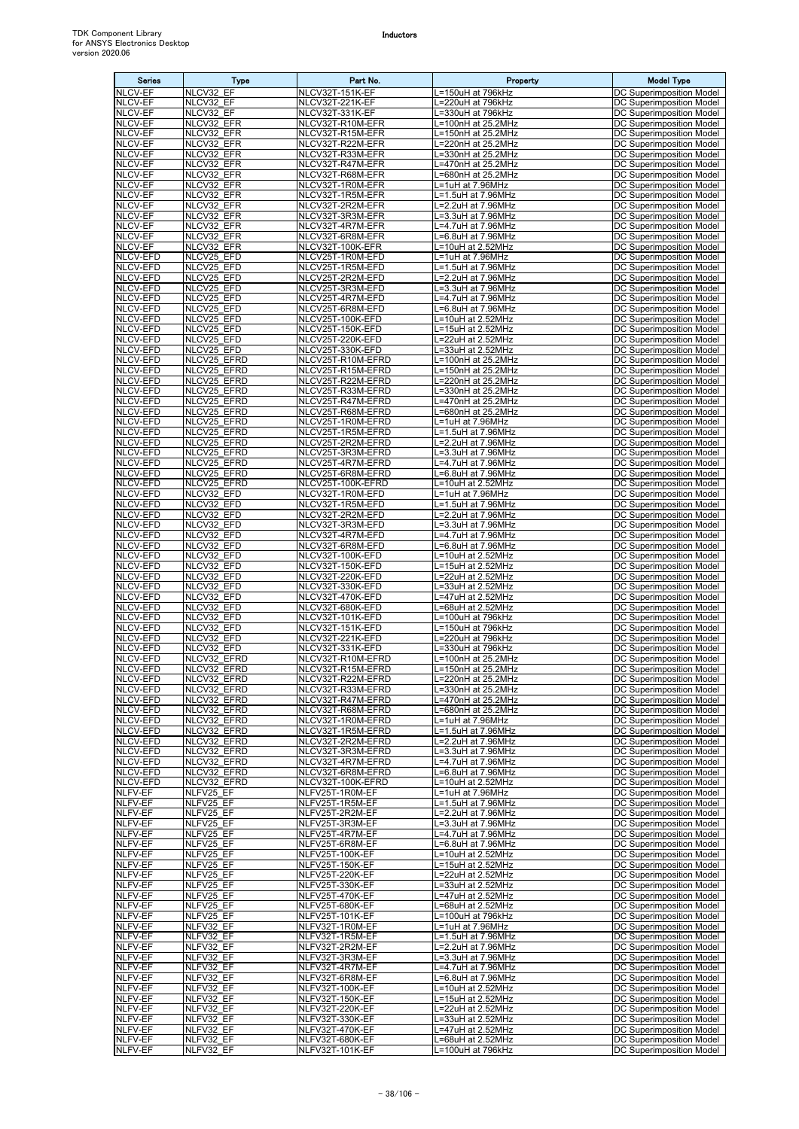| <b>Series</b>               | Type                       | Part No.                               | Property                                  | <b>Model Type</b>                                           |
|-----------------------------|----------------------------|----------------------------------------|-------------------------------------------|-------------------------------------------------------------|
| <b>NLCV-EF</b>              | NLCV32 EF                  | NLCV32T-151K-EF                        | L=150uH at 796kHz                         | DC Superimposition Model                                    |
| NLCV-EF<br>NLCV-EF          | NLCV32 EF<br>NLCV32 EF     | NLCV32T-221K-EF<br>NLCV32T-331K-EF     | L=220uH at 796kHz<br>L=330uH at 796kHz    | DC Superimposition Model<br><b>DC Superimposition Model</b> |
| NLCV-EF                     | NLCV32 EFR                 | NLCV32T-R10M-EFR                       | L=100nH at 25.2MHz                        | DC Superimposition Model                                    |
| NLCV-EF                     | NLCV32 EFR                 | NLCV32T-R15M-EFR                       | L=150nH at 25.2MHz                        | DC Superimposition Model                                    |
| NLCV-EF                     | NLCV32 EFR                 | NLCV32T-R22M-EFR                       | L=220nH at 25.2MHz                        | DC Superimposition Model                                    |
| <b>NLCV-EF</b><br>NLCV-EF   | NLCV32 EFR<br>NLCV32 EFR   | NLCV32T-R33M-EFR<br>NLCV32T-R47M-EFR   | L=330nH at 25.2MHz<br>L=470nH at 25.2MHz  | DC Superimposition Model<br>DC Superimposition Model        |
| NLCV-EF                     | NLCV32 EFR                 | NLCV32T-R68M-EFR                       | L=680nH at 25.2MHz                        | DC Superimposition Model                                    |
| NLCV-EF                     | NLCV32 EFR                 | NLCV32T-1R0M-EFR                       | L=1uH at 7.96MHz                          | DC Superimposition Model                                    |
| NLCV-EF                     | NLCV32 EFR                 | NLCV32T-1R5M-EFR                       | L=1.5uH at 7.96MHz                        | DC Superimposition Model                                    |
| NLCV-EF<br>NLCV-EF          | NLCV32 EFR<br>NLCV32 EFR   | NLCV32T-2R2M-EFR<br>NLCV32T-3R3M-EFR   | L=2.2uH at 7.96MHz<br>L=3.3uH at 7.96MHz  | DC Superimposition Model<br>DC Superimposition Model        |
| NLCV-EF                     | NLCV32 EFR                 | NLCV32T-4R7M-EFR                       | L=4.7uH at 7.96MHz                        | DC Superimposition Model                                    |
| NLCV-EF                     | NLCV32_EFR                 | NLCV32T-6R8M-EFR                       | L=6.8uH at 7.96MHz                        | DC Superimposition Model                                    |
| NLCV-EF                     | NLCV32 EFR                 | NLCV32T-100K-EFR                       | L=10uH at 2.52MHz                         | DC Superimposition Model                                    |
| NLCV-EFD<br>NLCV-EFD        | NLCV25 EFD<br>NLCV25 EFD   | NLCV25T-1R0M-EFD<br>NLCV25T-1R5M-EFD   | L=1uH at 7.96MHz<br>L=1.5uH at 7.96MHz    | DC Superimposition Model<br>DC Superimposition Model        |
| NLCV-EFD                    | NLCV25_EFD                 | NLCV25T-2R2M-EFD                       | L=2.2uH at 7.96MHz                        | DC Superimposition Model                                    |
| NLCV-EFD                    | NLCV25 EFD                 | NLCV25T-3R3M-EFD                       | L=3.3uH at 7.96MHz                        | DC Superimposition Model                                    |
| NLCV-EFD                    | NLCV25 EFD                 | NLCV25T-4R7M-EFD                       | L=4.7uH at 7.96MHz                        | DC Superimposition Model                                    |
| NLCV-EFD<br>NLCV-EFD        | NLCV25_EFD<br>NLCV25_EFD   | NLCV25T-6R8M-EFD<br>NLCV25T-100K-EFD   | L=6.8uH at 7.96MHz<br>$L=10uH$ at 2.52MHz | DC Superimposition Model<br>DC Superimposition Model        |
| NLCV-EFD                    | NLCV25_EFD                 | NLCV25T-150K-EFD                       | L=15uH at 2.52MHz                         | DC Superimposition Model                                    |
| NLCV-EFD                    | NLCV25 EFD                 | NLCV25T-220K-EFD                       | L=22uH at 2.52MHz                         | DC Superimposition Model                                    |
| <b>NLCV-EFD</b>             | NLCV25 EFD                 | NLCV25T-330K-EFD                       | L=33uH at 2.52MHz                         | DC Superimposition Model                                    |
| NLCV-EFD<br>NLCV-EFD        | NLCV25 EFRD<br>NLCV25 EFRD | NLCV25T-R10M-EFRD<br>NLCV25T-R15M-EFRD | L=100nH at 25.2MHz<br>L=150nH at 25.2MHz  | DC Superimposition Model<br><b>DC Superimposition Model</b> |
| NLCV-EFD                    | NLCV25 EFRD                | NLCV25T-R22M-EFRD                      | L=220nH at 25.2MHz                        | DC Superimposition Model                                    |
| NLCV-EFD                    | NLCV25 EFRD                | NLCV25T-R33M-EFRD                      | L=330nH at 25.2MHz                        | DC Superimposition Model                                    |
| NLCV-EFD                    | NLCV25 EFRD                | NLCV25T-R47M-EFRD                      | L=470nH at 25.2MHz                        | DC Superimposition Model                                    |
| NLCV-EFD<br>NLCV-EFD        | NLCV25 EFRD<br>NLCV25 EFRD | NLCV25T-R68M-EFRD<br>NLCV25T-1R0M-EFRD | L=680nH at 25.2MHz<br>L=1uH at 7.96MHz    | DC Superimposition Model<br>DC Superimposition Model        |
| NLCV-EFD                    | NLCV25 EFRD                | NLCV25T-1R5M-EFRD                      | L=1.5uH at 7.96MHz                        | DC Superimposition Model                                    |
| NLCV-EFD                    | NLCV25 EFRD                | NLCV25T-2R2M-EFRD                      | L=2.2uH at 7.96MHz                        | DC Superimposition Model                                    |
| NLCV-EFD                    | NLCV25_EFRD                | NLCV25T-3R3M-EFRD                      | L=3.3uH at 7.96MHz                        | <b>DC Superimposition Model</b>                             |
| NLCV-EFD<br>NLCV-EFD        | NLCV25 EFRD<br>NLCV25 EFRD | NLCV25T-4R7M-EFRD<br>NLCV25T-6R8M-EFRD | L=4.7uH at 7.96MHz<br>L=6.8uH at 7.96MHz  | DC Superimposition Model<br>DC Superimposition Model        |
| NLCV-EFD                    | NLCV25 EFRD                | NLCV25T-100K-EFRD                      | L=10uH at 2.52MHz                         | DC Superimposition Model                                    |
| NLCV-EFD                    | NLCV32_EFD                 | NLCV32T-1R0M-EFD                       | L=1uH at 7.96MHz                          | DC Superimposition Model                                    |
| NLCV-EFD<br>NLCV-EFD        | NLCV32 EFD                 | NLCV32T-1R5M-EFD                       | L=1.5uH at 7.96MHz                        | DC Superimposition Model                                    |
| NLCV-EFD                    | NLCV32 EFD<br>NLCV32 EFD   | NLCV32T-2R2M-EFD<br>NLCV32T-3R3M-EFD   | L=2.2uH at 7.96MHz<br>L=3.3uH at 7.96MHz  | DC Superimposition Model<br>DC Superimposition Model        |
| NLCV-EFD                    | NLCV32_EFD                 | NLCV32T-4R7M-EFD                       | L=4.7uH at 7.96MHz                        | DC Superimposition Model                                    |
| NLCV-EFD                    | NLCV32 EFD                 | NLCV32T-6R8M-EFD                       | L=6.8uH at 7.96MHz                        | DC Superimposition Model                                    |
| NLCV-EFD<br>NLCV-EFD        | NLCV32 EFD<br>NLCV32 EFD   | NLCV32T-100K-EFD<br>NLCV32T-150K-EFD   | L=10uH at 2.52MHz<br>L=15uH at 2.52MHz    | DC Superimposition Model                                    |
| NLCV-EFD                    | NLCV32_EFD                 | NLCV32T-220K-EFD                       | L=22uH at 2.52MHz                         | DC Superimposition Model<br>DC Superimposition Model        |
| NLCV-EFD                    | NLCV32 EFD                 | NLCV32T-330K-EFD                       | L=33uH at 2.52MHz                         | DC Superimposition Model                                    |
| NLCV-EFD                    | NLCV32 EFD                 | NLCV32T-470K-EFD                       | L=47uH at 2.52MHz                         | DC Superimposition Model                                    |
| NLCV-EFD<br>NLCV-EFD        | NLCV32 EFD<br>NLCV32_EFD   | NLCV32T-680K-EFD<br>NLCV32T-101K-EFD   | L=68uH at 2.52MHz<br>L=100uH at 796kHz    | DC Superimposition Model<br>DC Superimposition Model        |
| NLCV-EFD                    | NLCV32 EFD                 | NLCV32T-151K-EFD                       | L=150uH at 796kHz                         | DC Superimposition Model                                    |
| NLCV-EFD                    | NLCV32 EFD                 | NLCV32T-221K-EFD                       | L=220uH at 796kHz                         | DC Superimposition Model                                    |
| NLCV-EFD                    | NLCV32 EFD                 | NLCV32T-331K-EFD                       | L=330uH at 796kHz                         | DC Superimposition Model                                    |
| NLCV-EFD<br>NLCV-EFD        | NLCV32 EFRD<br>NLCV32 EFRD | NLCV32T-R10M-EFRD<br>NLCV32T-R15M-EFRD | L=100nH at 25.2MHz<br>L=150nH at 25.2MHz  | DC Superimposition Model<br>DC Superimposition Model        |
| <b>NLCV-EFD</b>             | NLCV32 EFRD                | NLCV32T-R22M-EFRD                      | L=220nH at 25.2MHz                        | DC Superimposition Model                                    |
| NLCV-EFD                    | NLCV32 EFRD                | NLCV32T-R33M-EFRD                      | L=330nH at 25.2MHz                        | DC Superimposition Model                                    |
| NLCV-EFD                    | NLCV32 EFRD                | NLCV32T-R47M-EFRD                      | L=470nH at 25.2MHz                        | DC Superimposition Model                                    |
| <b>NLCV-EFD</b><br>NLCV-EFD | NLCV32 EFRD<br>NLCV32 EFRD | NLCV32T-R68M-EFRD<br>NLCV32T-1R0M-EFRD | L=680nH at 25.2MHz<br>L=1uH at 7.96MHz    | DC Superimposition Model<br><b>DC Superimposition Model</b> |
| NLCV-EFD                    | NLCV32 EFRD                | NLCV32T-1R5M-EFRD                      | L=1.5uH at 7.96MHz                        | <b>DC Superimposition Model</b>                             |
| NLCV-EFD                    | NLCV32 EFRD                | NLCV32T-2R2M-EFRD                      | L=2.2uH at 7.96MHz                        | <b>DC Superimposition Model</b>                             |
| NLCV-EFD<br>NLCV-EFD        | NLCV32_EFRD<br>NLCV32 EFRD | NLCV32T-3R3M-EFRD                      | L=3.3uH at 7.96MHz                        | DC Superimposition Model                                    |
| NLCV-EFD                    | NLCV32 EFRD                | NLCV32T-4R7M-EFRD<br>NLCV32T-6R8M-EFRD | L=4.7uH at 7.96MHz<br>L=6.8uH at 7.96MHz  | DC Superimposition Model<br>DC Superimposition Model        |
| NLCV-EFD                    | NLCV32 EFRD                | NLCV32T-100K-EFRD                      | L=10uH at 2.52MHz                         | DC Superimposition Model                                    |
| NLFV-EF                     | NLFV25 EF                  | NLFV25T-1R0M-EF                        | L=1uH at 7.96MHz                          | <b>DC Superimposition Model</b>                             |
| NLFV-EF<br>NLFV-EF          | NLFV25 EF<br>NLFV25 EF     | NLFV25T-1R5M-EF<br>NLFV25T-2R2M-EF     | L=1.5uH at 7.96MHz<br>L=2.2uH at 7.96MHz  | DC Superimposition Model<br>DC Superimposition Model        |
| NLFV-EF                     | NLFV25_EF                  | NLFV25T-3R3M-EF                        | L=3.3uH at 7.96MHz                        | DC Superimposition Model                                    |
| NLFV-EF                     | NLFV25 EF                  | NLFV25T-4R7M-EF                        | L=4.7uH at 7.96MHz                        | <b>DC Superimposition Model</b>                             |
| NLFV-EF                     | NLFV25 EF                  | NLFV25T-6R8M-EF                        | L=6.8uH at 7.96MHz                        | DC Superimposition Model                                    |
| NLFV-EF<br>NLFV-EF          | NLFV25 EF<br>NLFV25 EF     | NLFV25T-100K-EF<br>NLFV25T-150K-EF     | L=10uH at 2.52MHz<br>L=15uH at 2.52MHz    | <b>DC Superimposition Model</b><br>DC Superimposition Model |
| NLFV-EF                     | NLFV25 EF                  | NLFV25T-220K-EF                        | L=22uH at 2.52MHz                         | DC Superimposition Model                                    |
| NLFV-EF                     | NLFV25 EF                  | NLFV25T-330K-EF                        | L=33uH at 2.52MHz                         | DC Superimposition Model                                    |
| NLFV-EF                     | NLFV25_EF                  | NLFV25T-470K-EF                        | L=47uH at 2.52MHz                         | DC Superimposition Model                                    |
| NLFV-EF<br>NLFV-EF          | NLFV25 EF<br>NLFV25_EF     | NLFV25T-680K-EF<br>NLFV25T-101K-EF     | L=68uH at 2.52MHz<br>L=100uH at 796kHz    | DC Superimposition Model<br>DC Superimposition Model        |
| NLFV-EF                     | NLFV32 EF                  | NLFV32T-1R0M-EF                        | L=1uH at 7.96MHz                          | DC Superimposition Model                                    |
| NLFV-EF                     | NLFV32 EF                  | NLFV32T-1R5M-EF                        | L=1.5uH at 7.96MHz                        | DC Superimposition Model                                    |
| NLFV-EF                     | NLFV32 EF                  | NLFV32T-2R2M-EF                        | L=2.2uH at 7.96MHz                        | DC Superimposition Model                                    |
| NLFV-EF<br>NLFV-EF          | NLFV32 EF<br>NLFV32 EF     | NLFV32T-3R3M-EF<br>NLFV32T-4R7M-EF     | L=3.3uH at 7.96MHz<br>L=4.7uH at 7.96MHz  | DC Superimposition Model<br>DC Superimposition Model        |
| NLFV-EF                     | NLFV32 EF                  | NLFV32T-6R8M-EF                        | L=6.8uH at 7.96MHz                        | DC Superimposition Model                                    |
| NLFV-EF                     | NLFV32 EF                  | NLFV32T-100K-EF                        | L=10uH at 2.52MHz                         | DC Superimposition Model                                    |
| NLFV-EF<br>NLFV-EF          | NLFV32 EF<br>NLFV32 EF     | NLFV32T-150K-EF                        | L=15uH at 2.52MHz                         | DC Superimposition Model<br>DC Superimposition Model        |
| <b>NLFV-EF</b>              | NLFV32 EF                  | NLFV32T-220K-EF<br>NLFV32T-330K-EF     | L=22uH at 2.52MHz<br>L=33uH at 2.52MHz    | DC Superimposition Model                                    |
| NLFV-EF                     | NLFV32_EF                  | NLFV32T-470K-EF                        | L=47uH at 2.52MHz                         | DC Superimposition Model                                    |
| NLFV-EF                     | NLFV32 EF                  | NLFV32T-680K-EF                        | L=68uH at 2.52MHz                         | DC Superimposition Model                                    |
| NLFV-EF                     | NLFV32 EF                  | NLFV32T-101K-EF                        | L=100uH at 796kHz                         | DC Superimposition Model                                    |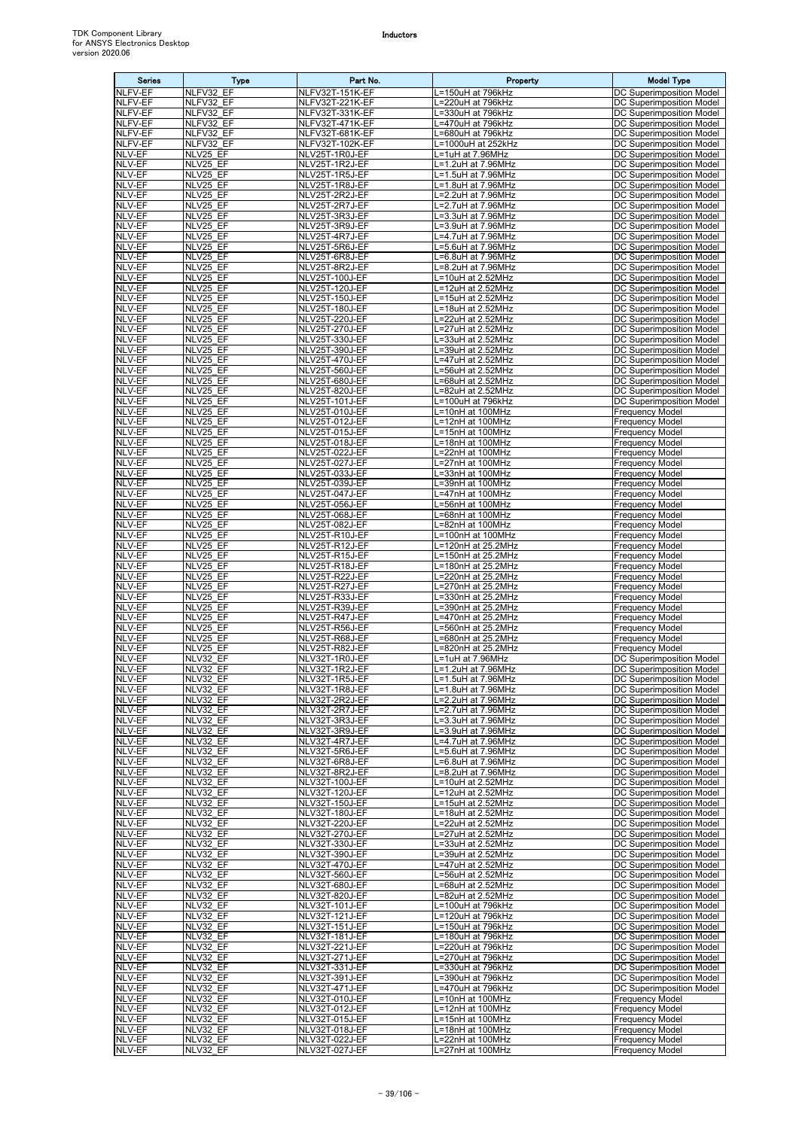| <b>Series</b>           | <b>Type</b>                   | Part No.                                       | Property                                       | <b>Model Type</b>                                                  |
|-------------------------|-------------------------------|------------------------------------------------|------------------------------------------------|--------------------------------------------------------------------|
| <b>NLFV-EF</b>          | NLFV32 EF                     | NLFV32T-151K-EF                                | L=150uH at 796kHz                              | DC Superimposition Model                                           |
| NLFV-EF<br>NLFV-EF      | NLFV32 EF<br>NLFV32 EF        | NLFV32T-221K-EF<br>NLFV32T-331K-EF             | L=220uH at 796kHz<br>L=330uH at 796kHz         | DC Superimposition Model<br><b>DC Superimposition Model</b>        |
| NLFV-EF                 | NLFV32 EF                     | NLFV32T-471K-EF                                | L=470uH at 796kHz                              | DC Superimposition Model                                           |
| NLFV-EF                 | NLFV32_EF                     | NLFV32T-681K-EF                                | =680uH at 796kHz                               | <b>DC Superimposition Model</b>                                    |
| NLFV-EF                 | NLFV32 EF                     | NLFV32T-102K-EF                                | L=1000uH at 252kHz                             | DC Superimposition Model                                           |
| NLV-EF<br>NLV-EF        | NLV25 EF<br>NLV25 EF          | NLV25T-1R0J-EF<br>NLV25T-1R2J-EF               | L=1uH at 7.96MHz<br>L=1.2uH at 7.96MHz         | DC Superimposition Model<br>DC Superimposition Model               |
| NLV-EF                  | NLV25 EF                      | NLV25T-1R5J-EF                                 | L=1.5uH at 7.96MHz                             | DC Superimposition Model                                           |
| NLV-EF                  | NLV25 EF                      | NLV25T-1R8J-EF                                 | L=1.8uH at 7.96MHz                             | DC Superimposition Model                                           |
| NLV-EF                  | NLV25 EF                      | NLV25T-2R2J-EF                                 | L=2.2uH at 7.96MHz                             | DC Superimposition Model                                           |
| NLV-EF<br><b>NLV-EF</b> | NLV25 EF<br>NLV25_EF          | NLV25T-2R7J-EF<br>NLV25T-3R3J-EF               | L=2.7uH at 7.96MHz<br>L=3.3uH at 7.96MHz       | DC Superimposition Model<br>DC Superimposition Model               |
| NLV-EF                  | NLV25 EF                      | NLV25T-3R9J-EF                                 | L=3.9uH at 7.96MHz                             | DC Superimposition Model                                           |
| NLV-EF                  | NLV25 EF                      | NLV25T-4R7J-EF                                 | L=4.7uH at 7.96MHz                             | <b>DC Superimposition Model</b>                                    |
| NLV-EF                  | NLV25 EF                      | NLV25T-5R6J-EF                                 | L=5.6uH at 7.96MHz                             | DC Superimposition Model                                           |
| NLV-EF<br>NLV-EF        | NLV25 EF<br>NLV25 EF          | NLV25T-6R8J-EF<br>NLV25T-8R2J-EF               | L=6.8uH at 7.96MHz<br>L=8.2uH at 7.96MHz       | DC Superimposition Model<br>DC Superimposition Model               |
| NLV-EF                  | NLV25 EF                      | <b>NLV25T-100J-EF</b>                          | L=10uH at 2.52MHz                              | DC Superimposition Model                                           |
| NLV-EF                  | NLV25 EF                      | NLV25T-120J-EF                                 | L=12uH at 2.52MHz                              | DC Superimposition Model                                           |
| NLV-EF<br>NLV-EF        | NLV25 EF<br>NLV25_EF          | <b>NLV25T-150J-EF</b><br>NLV25T-180J-EF        | L=15uH at 2.52MHz<br>L=18uH at 2.52MHz         | <b>DC Superimposition Model</b><br><b>DC Superimposition Model</b> |
| <b>NLV-EF</b>           | NLV25 EF                      | NLV25T-220J-EF                                 | L=22uH at 2.52MHz                              | DC Superimposition Model                                           |
| NLV-EF                  | NLV25_EF                      | NLV25T-270J-EF                                 | L=27uH at 2.52MHz                              | <b>DC Superimposition Model</b>                                    |
| NLV-EF<br>NLV-EF        | NLV25 EF                      | NLV25T-330J-EF<br>NLV25T-390J-EF               | L=33uH at 2.52MHz<br>L=39uH at 2.52MHz         | DC Superimposition Model<br>DC Superimposition Model               |
| NLV-EF                  | NLV25_EF<br>NLV25 EF          | NLV25T-470J-EF                                 | L=47uH at 2.52MHz                              | DC Superimposition Model                                           |
| <b>NLV-EF</b>           | NLV25 EF                      | <b>NLV25T-560J-EF</b>                          | L=56uH at 2.52MHz                              | DC Superimposition Model                                           |
| NLV-EF                  | NLV25 EF                      | <b>NLV25T-680J-EF</b>                          | L=68uH at 2.52MHz                              | DC Superimposition Model                                           |
| NLV-EF<br>NLV-EF        | NLV25 EF<br>NLV25 EF          | <b>NLV25T-820J-EF</b><br><b>NLV25T-101J-EF</b> | L=82uH at 2.52MHz<br>L=100uH at 796kHz         | <b>DC Superimposition Model</b><br>DC Superimposition Model        |
| <b>NLV-EF</b>           | NLV25 EF                      | NLV25T-010J-EF                                 | L=10nH at 100MHz                               | <b>Frequency Model</b>                                             |
| NLV-EF                  | NLV25 EF                      | NLV25T-012J-EF                                 | L=12nH at 100MHz                               | <b>Frequency Model</b>                                             |
| NLV-EF<br>NLV-EF        | NLV25 EF                      | NLV25T-015J-EF                                 | L=15nH at 100MHz<br>L=18nH at 100MHz           | <b>Frequency Model</b><br><b>Frequency Model</b>                   |
| NLV-EF                  | NLV25 EF<br>NLV25 EF          | NLV25T-018J-EF<br>NLV25T-022J-EF               | L=22nH at 100MHz                               | <b>Frequency Model</b>                                             |
| NLV-EF                  | NLV25 EF                      | NLV25T-027J-EF                                 | L=27nH at 100MHz                               | <b>Frequency Model</b>                                             |
| <b>NLV-EF</b>           | NLV25_EF                      | NLV25T-033J-EF                                 | L=33nH at 100MHz                               | <b>Frequency Model</b>                                             |
| NLV-EF<br>NLV-EF        | NLV25 EF<br>NLV25_EF          | NLV25T-039J-EF<br>NLV25T-047J-EF               | L=39nH at 100MHz<br>L=47nH at 100MHz           | <b>Frequency Model</b><br><b>Frequency Model</b>                   |
| NLV-EF                  | NLV25 EF                      | NLV25T-056J-EF                                 | L=56nH at 100MHz                               | <b>Frequency Model</b>                                             |
| NLV-EF                  | NLV25 EF                      | NLV25T-068J-EF                                 | L=68nH at 100MHz                               | <b>Frequency Model</b>                                             |
| NLV-EF                  | NLV25 EF                      | NLV25T-082J-EF                                 | L=82nH at 100MHz                               | <b>Frequency Model</b>                                             |
| NLV-EF<br>NLV-EF        | NLV25 EF<br>NLV25 EF          | NLV25T-R10J-EF<br>NLV25T-R12J-EF               | L=100nH at 100MHz<br>L=120nH at 25.2MHz        | <b>Frequency Model</b><br><b>Frequency Model</b>                   |
| NLV-EF                  | NLV25 EF                      | NLV25T-R15J-EF                                 | L=150nH at 25.2MHz                             | <b>Frequency Model</b>                                             |
| NLV-EF                  | $\overline{\text{NL}}$ V25 EF | NLV25T-R18J-EF                                 | L=180nH at 25.2MHz                             | <b>Frequency Model</b>                                             |
| NLV-EF<br>NLV-EF        | NLV25 EF<br>NLV25 EF          | NLV25T-R22J-EF<br>NLV25T-R27J-EF               | L=220nH at 25.2MHz<br>L=270nH at 25.2MHz       | <b>Frequency Model</b><br><b>Frequency Model</b>                   |
| NLV-EF                  | NLV25 EF                      | NLV25T-R33J-EF                                 | L=330nH at 25.2MHz                             | <b>Frequency Model</b>                                             |
| NLV-EF                  | NLV25 EF                      | NLV25T-R39J-EF                                 | L=390nH at 25.2MHz                             | <b>Frequency Model</b>                                             |
| NLV-EF                  | NLV25 EF                      | NLV25T-R47J-EF                                 | L=470nH at 25.2MHz                             | <b>Frequency Model</b>                                             |
| NLV-EF<br>NLV-EF        | NLV25_EF<br>NLV25_EF          | NLV25T-R56J-EF<br>NLV25T-R68J-EF               | L=560nH at 25.2MHz<br>L=680nH at 25.2MHz       | <b>Frequency Model</b><br><b>Frequency Model</b>                   |
| NLV-EF                  | NLV25 EF                      | NLV25T-R82J-EF                                 | L=820nH at 25.2MHz                             | <b>Frequency Model</b>                                             |
| NLV-EF                  | NLV32 EF                      | NLV32T-1R0J-EF                                 | L=1uH at 7.96MHz                               | DC Superimposition Model                                           |
| NLV-EF<br>NLV-EF        | NLV32 EF<br>NLV32_EF          | NLV32T-1R2J-EF<br>NLV32T-1R5J-EF               | $L=1.2$ uH at $7.96$ MHz<br>L=1.5uH at 7.96MHz | DC Superimposition Model<br>DC Superimposition Model               |
| NLV-EF                  | NLV32 EF                      | NLV32T-1R8J-EF                                 | $L=1.8$ uH at $7.96$ MHz                       | DC Superimposition Model                                           |
| NLV-EF                  | NLV32 EF                      | NLV32T-2R2J-EF                                 | L=2.2uH at 7.96MHz                             | <b>DC Superimposition Model</b>                                    |
| NLV-EF                  | NLV32 EF                      | NLV32T-2R7J-EF                                 | L=2.7uH at 7.96MHz                             | DC Superimposition Model                                           |
| NLV-EF<br>NLV-EF        | NLV32 EF<br>NLV32_EF          | NLV32T-3R3J-EF<br>NLV32T-3R9J-EF               | L=3.3uH at 7.96MHz<br>L=3.9uH at 7.96MHz       | DC Superimposition Model<br>DC Superimposition Model               |
| NLV-EF                  | NLV32 EF                      | NLV32T-4R7J-EF                                 | L=4.7uH at 7.96MHz                             | DC Superimposition Model                                           |
| NLV-EF<br>NLV-EF        | NLV32 EF                      | NLV32T-5R6J-EF<br>NLV32T-6R8J-EF               | L=5.6uH at 7.96MHz<br>L=6.8uH at 7.96MHz       | DC Superimposition Model<br><b>DC Superimposition Model</b>        |
| NLV-EF                  | NLV32 EF<br>NLV32 EF          | NLV32T-8R2J-EF                                 | L=8.2uH at 7.96MHz                             | <b>DC Superimposition Model</b>                                    |
| NLV-EF                  | NLV32 EF                      | NLV32T-100J-EF                                 | L=10uH at 2.52MHz                              | DC Superimposition Model                                           |
| NLV-EF                  | NLV32 EF                      | NLV32T-120J-EF                                 | L=12uH at 2.52MHz                              | DC Superimposition Model                                           |
| NLV-EF<br>NLV-EF        | NLV32 EF<br>NLV32 EF          | NLV32T-150J-EF<br>NLV32T-180J-EF               | L=15uH at 2.52MHz<br>L=18uH at 2.52MHz         | DC Superimposition Model<br><b>DC Superimposition Model</b>        |
| NLV-EF                  | NLV32 EF                      | NLV32T-220J-EF                                 | L=22uH at 2.52MHz                              | <b>DC Superimposition Model</b>                                    |
| NLV-EF                  | NLV32 EF                      | NLV32T-270J-EF                                 | L=27uH at 2.52MHz                              | DC Superimposition Model                                           |
| NLV-EF<br>NLV-EF        | NLV32 EF<br>NLV32 EF          | NLV32T-330J-EF<br>NLV32T-390J-EF               | L=33uH at 2.52MHz<br>L=39uH at 2.52MHz         | DC Superimposition Model<br>DC Superimposition Model               |
| NLV-EF                  | NLV32 EF                      | NLV32T-470J-EF                                 | L=47uH at 2.52MHz                              | DC Superimposition Model                                           |
| NLV-EF                  | NLV32 EF                      | NLV32T-560J-EF                                 | L=56uH at 2.52MHz                              | DC Superimposition Model                                           |
| NLV-EF                  | NLV32 EF                      | NLV32T-680J-EF                                 | L=68uH at 2.52MHz                              | DC Superimposition Model                                           |
| NLV-EF<br>NLV-EF        | NLV32_EF<br>NLV32 EF          | NLV32T-820J-EF<br>NLV32T-101J-EF               | L=82uH at 2.52MHz<br>L=100uH at 796kHz         | DC Superimposition Model<br>DC Superimposition Model               |
| NLV-EF                  | NLV32 EF                      | NLV32T-121J-EF                                 | L=120uH at 796kHz                              | DC Superimposition Model                                           |
| NLV-EF                  | NLV32 EF                      | NLV32T-151J-EF                                 | L=150uH at 796kHz                              | DC Superimposition Model                                           |
| NLV-EF<br>NLV-EF        | NLV32 EF<br>NLV32 EF          | NLV32T-181J-EF<br>NLV32T-221J-EF               | L=180uH at 796kHz<br>L=220uH at 796kHz         | <b>DC Superimposition Model</b><br>DC Superimposition Model        |
| NLV-EF                  | NLV32 EF                      | NLV32T-271J-EF                                 | L=270uH at 796kHz                              | DC Superimposition Model                                           |
| NLV-EF                  | NLV32 EF                      | NLV32T-331J-EF                                 | L=330uH at 796kHz                              | DC Superimposition Model                                           |
| NLV-EF                  | NLV32 EF                      | NLV32T-391J-EF                                 | L=390uH at 796kHz                              | DC Superimposition Model                                           |
| NLV-EF<br>NLV-EF        | NLV32 EF<br>NLV32 EF          | NLV32T-471J-EF<br>NLV32T-010J-EF               | L=470uH at 796kHz<br>L=10nH at 100MHz          | DC Superimposition Model<br><b>Frequency Model</b>                 |
| NLV-EF                  | NLV32 EF                      | <b>NLV32T-012J-EF</b>                          | L=12nH at 100MHz                               | <b>Frequency Model</b>                                             |
| NLV-EF                  | NLV32 EF                      | NLV32T-015J-EF                                 | L=15nH at 100MHz                               | <b>Frequency Model</b>                                             |
| NLV-EF<br>NLV-EF        | NLV32 EF<br>NLV32 EF          | NLV32T-018J-EF<br>NLV32T-022J-EF               | L=18nH at 100MHz<br>L=22nH at 100MHz           | <b>Frequency Model</b><br><b>Frequency Model</b>                   |
| NLV-EF                  | NLV32 EF                      | NLV32T-027J-EF                                 | L=27nH at 100MHz                               | <b>Frequency Model</b>                                             |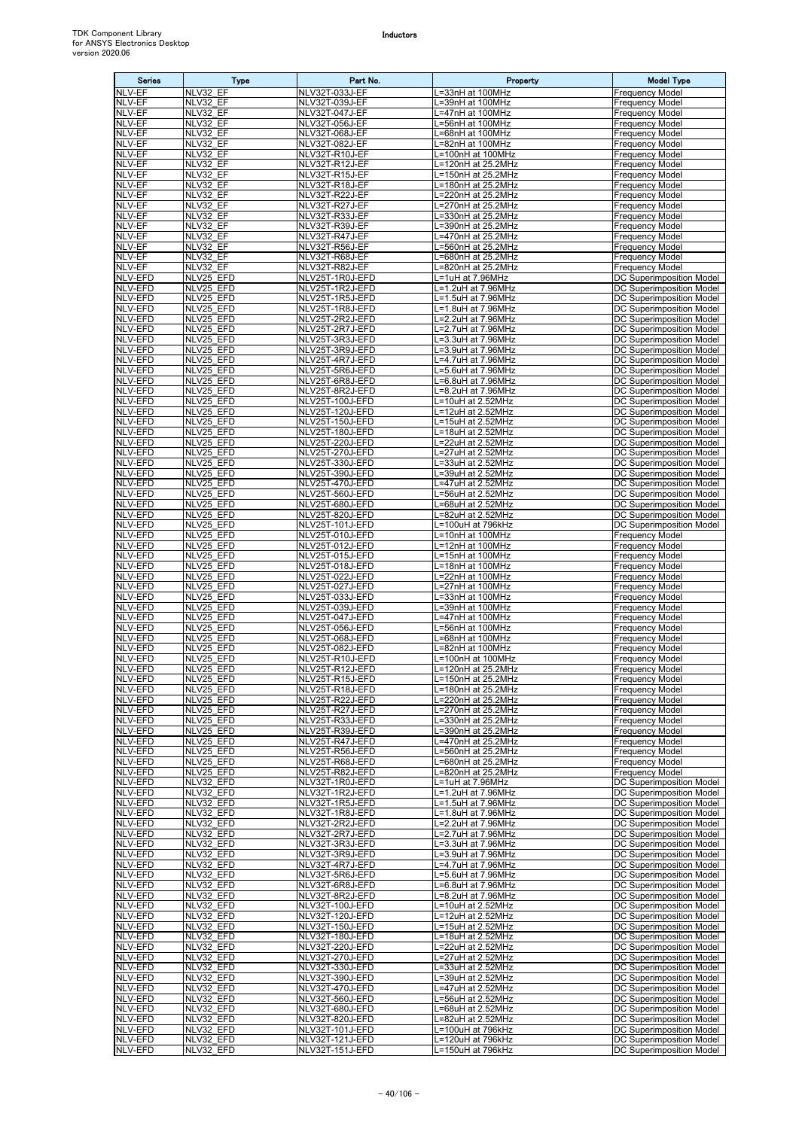| <b>Series</b>             | <b>Type</b>            | Part No.                           | Property                                 | <b>Model Type</b>                                           |
|---------------------------|------------------------|------------------------------------|------------------------------------------|-------------------------------------------------------------|
| NLV-EF<br>NLV-EF          | NLV32 EF               | NLV32T-033J-EF<br>NLV32T-039J-EF   | L=33nH at 100MHz<br>L=39nH at 100MHz     | <b>Frequency Model</b><br><b>Frequency Model</b>            |
| NLV-EF                    | NLV32 EF<br>NLV32 EF   | NLV32T-047J-EF                     | L=47nH at 100MHz                         | <b>Frequency Model</b>                                      |
| NLV-EF                    | NLV32 EF               | NLV32T-056J-EF                     | L=56nH at 100MHz                         | <b>Frequency Model</b>                                      |
| NLV-EF                    | NLV32 EF               | NLV32T-068J-EF                     | L=68nH at 100MHz                         | <b>Frequency Model</b>                                      |
| NLV-EF<br>NLV-EF          | NLV32 EF<br>NLV32 EF   | NLV32T-082J-EF<br>NLV32T-R10J-EF   | L=82nH at 100MHz<br>L=100nH at 100MHz    | <b>Frequency Model</b><br><b>Frequency Model</b>            |
| NLV-EF                    | NLV32 EF               | NLV32T-R12J-EF                     | L=120nH at 25.2MHz                       | <b>Frequency Model</b>                                      |
| NLV-EF                    | NLV32 EF               | NLV32T-R15J-EF                     | L=150nH at 25.2MHz                       | <b>Frequency Model</b>                                      |
| NLV-EF<br>NLV-EF          | NLV32 EF<br>NLV32 EF   | NLV32T-R18J-EF<br>NLV32T-R22J-EF   | L=180nH at 25.2MHz<br>L=220nH at 25.2MHz | <b>Frequency Model</b><br><b>Frequency Model</b>            |
| NLV-EF                    | NLV32 EF               | NLV32T-R27J-EF                     | L=270nH at 25.2MHz                       | <b>Frequency Model</b>                                      |
| NLV-EF                    | NLV32 EF               | NLV32T-R33J-EF                     | L=330nH at 25.2MHz                       | <b>Frequency Model</b>                                      |
| NLV-EF<br>NLV-EF          | NLV32 EF<br>NLV32_EF   | NLV32T-R39J-EF<br>NLV32T-R47J-EF   | L=390nH at 25.2MHz<br>L=470nH at 25.2MHz | <b>Frequency Model</b><br><b>Frequency Model</b>            |
| NLV-EF                    | NLV32 EF               | NLV32T-R56J-EF                     | L=560nH at 25.2MHz                       | <b>Frequency Model</b>                                      |
| NLV-EF                    | NLV32 EF               | NLV32T-R68J-EF                     | L=680nH at 25.2MHz                       | <b>Frequency Model</b>                                      |
| NLV-EF                    | NLV32 EF               | NLV32T-R82J-EF                     | L=820nH at 25.2MHz                       | <b>Frequency Model</b>                                      |
| NLV-EFD<br>NLV-EFD        | NLV25 EFD<br>NLV25 EFD | NLV25T-1R0J-EFD<br>NLV25T-1R2J-EFD | L=1uH at 7.96MHz<br>L=1.2uH at 7.96MHz   | DC Superimposition Model<br>DC Superimposition Model        |
| NLV-EFD                   | NLV25 EFD              | NLV25T-1R5J-EFD                    | L=1.5uH at 7.96MHz                       | DC Superimposition Model                                    |
| NLV-EFD                   | NLV25_EFD              | NLV25T-1R8J-EFD                    | L=1.8uH at 7.96MHz                       | DC Superimposition Model                                    |
| <b>NLV-EFD</b><br>NLV-EFD | NLV25 EFD<br>NLV25_EFD | NLV25T-2R2J-EFD<br>NLV25T-2R7J-EFD | L=2.2uH at 7.96MHz<br>L=2.7uH at 7.96MHz | DC Superimposition Model<br>DC Superimposition Model        |
| NLV-EFD                   | NLV25 EFD              | NLV25T-3R3J-EFD                    | L=3.3uH at 7.96MHz                       | DC Superimposition Model                                    |
| NLV-EFD                   | NLV25 EFD              | NLV25T-3R9J-EFD                    | L=3.9uH at 7.96MHz                       | DC Superimposition Model                                    |
| NLV-EFD<br>NLV-EFD        | NLV25 EFD<br>NLV25 EFD | NLV25T-4R7J-EFD<br>NLV25T-5R6J-EFD | L=4.7uH at 7.96MHz<br>L=5.6uH at 7.96MHz | DC Superimposition Model<br><b>DC Superimposition Model</b> |
| <b>NLV-EFD</b>            | NLV25 EFD              | NLV25T-6R8J-EFD                    | $L=6.8$ uH at $7.96$ MHz                 | <b>DC Superimposition Model</b>                             |
| NLV-EFD                   | NLV25 EFD              | NLV25T-8R2J-EFD                    | L=8.2uH at 7.96MHz                       | DC Superimposition Model                                    |
| NLV-EFD                   | NLV25 EFD              | NLV25T-100J-EFD                    | L=10uH at 2.52MHz                        | DC Superimposition Model                                    |
| NLV-EFD<br>NLV-EFD        | NLV25 EFD<br>NLV25 EFD | NLV25T-120J-EFD<br>NLV25T-150J-EFD | L=12uH at 2.52MHz<br>L=15uH at 2.52MHz   | DC Superimposition Model<br>DC Superimposition Model        |
| NLV-EFD                   | NLV25 EFD              | NLV25T-180J-EFD                    | L=18uH at 2.52MHz                        | DC Superimposition Model                                    |
| NLV-EFD                   | NLV25 EFD              | NLV25T-220J-EFD                    | L=22uH at 2.52MHz                        | DC Superimposition Model                                    |
| NLV-EFD<br>NLV-EFD        | NLV25 EFD<br>NLV25 EFD | NLV25T-270J-EFD<br>NLV25T-330J-EFD | L=27uH at 2.52MHz<br>L=33uH at 2.52MHz   | <b>DC Superimposition Model</b><br>DC Superimposition Model |
| NLV-EFD                   | NLV25 EFD              | NLV25T-390J-EFD                    | L=39uH at 2.52MHz                        | DC Superimposition Model                                    |
| NLV-EFD                   | NLV25 EFD              | NLV25T-470J-EFD                    | L=47uH at 2.52MHz                        | DC Superimposition Model                                    |
| NLV-EFD<br>NLV-EFD        | NLV25_EFD<br>NLV25 EFD | NLV25T-560J-EFD<br>NLV25T-680J-EFD | L=56uH at 2.52MHz<br>L=68uH at 2.52MHz   | DC Superimposition Model<br>DC Superimposition Model        |
| NLV-EFD                   | NLV25 EFD              | NLV25T-820J-EFD                    | L=82uH at 2.52MHz                        | DC Superimposition Model                                    |
| NLV-EFD                   | NLV25 EFD              | NLV25T-101J-EFD                    | L=100uH at 796kHz                        | DC Superimposition Model                                    |
| NLV-EFD<br>NLV-EFD        | NLV25 EFD<br>NLV25 EFD | NLV25T-010J-EFD<br>NLV25T-012J-EFD | L=10nH at 100MHz<br>L=12nH at 100MHz     | <b>Frequency Model</b><br><b>Frequency Model</b>            |
| NLV-EFD                   | NLV25 EFD              | NLV25T-015J-EFD                    | L=15nH at 100MHz                         | <b>Frequency Model</b>                                      |
| NLV-EFD                   | NLV25 EFD              | NLV25T-018J-EFD                    | L=18nH at 100MHz                         | Frequency Model                                             |
| NLV-EFD                   | NLV25_EFD              | NLV25T-022J-EFD                    | L=22nH at 100MHz                         | <b>Frequency Model</b>                                      |
| NLV-EFD<br><b>NLV-EFD</b> | NLV25 EFD<br>NLV25 EFD | NLV25T-027J-EFD<br>NLV25T-033J-EFD | L=27nH at 100MHz<br>L=33nH at 100MHz     | <b>Frequency Model</b><br><b>Frequency Model</b>            |
| NLV-EFD                   | NLV25 EFD              | NLV25T-039J-EFD                    | L=39nH at 100MHz                         | <b>Frequency Model</b>                                      |
| NLV-EFD                   | NLV25_EFD              | NLV25T-047J-EFD                    | L=47nH at 100MHz                         | <b>Frequency Model</b>                                      |
| NLV-EFD<br>NLV-EFD        | NLV25 EFD<br>NLV25 EFD | NLV25T-056J-EFD<br>NLV25T-068J-EFD | L=56nH at 100MHz<br>L=68nH at 100MHz     | <b>Frequency Model</b><br><b>Frequency Model</b>            |
| NLV-EFD                   | NLV25 EFD              | NLV25T-082J-EFD                    | L=82nH at 100MHz                         | <b>Frequency Model</b>                                      |
| NLV-EFD                   | NLV25 EFD              | NLV25T-R10J-EFD                    | L=100nH at 100MHz                        | <b>Frequency Model</b>                                      |
| NLV-EFD<br><b>NLV-EFD</b> | NLV25 EFD<br>NLV25 EFD | NLV25T-R12J-EFD<br>NLV25T-R15J-EFD | L=120nH at 25.2MHz<br>L=150nH at 25.2MHz | <b>Frequency Model</b><br><b>Frequency Model</b>            |
| NLV-EFD                   | NLV25 EFD              | NLV25T-R18J-EFD                    | L=180nH at 25.2MHz                       | <b>Frequency Model</b>                                      |
| NLV-EFD                   | NLV25 EFD              | NLV25T-R22J-EFD                    | L=220nH at 25.2MHz                       | <b>Frequency Model</b>                                      |
| NLV-EFD<br>NLV-EFD        | NLV25 EFD<br>NLV25 EFD | NLV25T-R27J-EFD<br>NLV25T-R33J-EFD | L=270nH at 25.2MHz<br>L=330nH at 25.2MHz | <b>Frequency Model</b><br><b>Frequency Model</b>            |
| NLV-EFD                   | NLV25_EFD              | NLV25T-R39J-EFD                    | L=390nH at 25.2MHz                       | <b>Frequency Model</b>                                      |
| NLV-EFD                   | NLV25 EFD              | NLV25T-R47J-EFD                    | L=470nH at 25.2MHz                       | <b>Frequency Model</b>                                      |
| NLV-EFD<br>NLV-EFD        | NLV25_EFD              | NLV25T-R56J-EFD                    | L=560nH at 25.2MHz<br>L=680nH at 25.2MHz | <b>Frequency Model</b>                                      |
| NLV-EFD                   | NLV25 EFD<br>NLV25 EFD | NLV25T-R68J-EFD<br>NLV25T-R82J-EFD | L=820nH at 25.2MHz                       | <b>Frequency Model</b><br><b>Frequency Model</b>            |
| NLV-EFD                   | NLV32 EFD              | NLV32T-1R0J-EFD                    | L=1uH at 7.96MHz                         | DC Superimposition Model                                    |
| NLV-EFD                   | NLV32 EFD              | NLV32T-1R2J-EFD                    | L=1.2uH at 7.96MHz                       | DC Superimposition Model                                    |
| NLV-EFD<br>NLV-EFD        | NLV32_EFD<br>NLV32 EFD | NLV32T-1R5J-EFD<br>NLV32T-1R8J-EFD | L=1.5uH at 7.96MHz<br>L=1.8uH at 7.96MHz | DC Superimposition Model<br>DC Superimposition Model        |
| NLV-EFD                   | NLV32 EFD              | NLV32T-2R2J-EFD                    | L=2.2uH at 7.96MHz                       | <b>DC Superimposition Model</b>                             |
| NLV-EFD                   | NLV32 EFD              | NLV32T-2R7J-EFD                    | L=2.7uH at 7.96MHz                       | <b>DC Superimposition Model</b>                             |
| NLV-EFD<br>NLV-EFD        | NLV32 EFD<br>NLV32 EFD | NLV32T-3R3J-EFD<br>NLV32T-3R9J-EFD | L=3.3uH at 7.96MHz<br>L=3.9uH at 7.96MHz | DC Superimposition Model<br><b>DC Superimposition Model</b> |
| NLV-EFD                   | NLV32 EFD              | NLV32T-4R7J-EFD                    | L=4.7uH at 7.96MHz                       | DC Superimposition Model                                    |
| NLV-EFD                   | NLV32_EFD              | NLV32T-5R6J-EFD                    | L=5.6uH at 7.96MHz                       | DC Superimposition Model                                    |
| NLV-EFD<br>NLV-EFD        | NLV32 EFD<br>NLV32 EFD | NLV32T-6R8J-EFD<br>NLV32T-8R2J-EFD | L=6.8uH at 7.96MHz<br>L=8.2uH at 7.96MHz | DC Superimposition Model<br>DC Superimposition Model        |
| NLV-EFD                   | NLV32 EFD              | NLV32T-100J-EFD                    | L=10uH at 2.52MHz                        | DC Superimposition Model                                    |
| NLV-EFD                   | NLV32_EFD              | NLV32T-120J-EFD                    | L=12uH at 2.52MHz                        | DC Superimposition Model                                    |
| NLV-EFD                   | NLV32 EFD              | NLV32T-150J-EFD                    | L=15uH at 2.52MHz                        | DC Superimposition Model                                    |
| NLV-EFD<br>NLV-EFD        | NLV32 EFD<br>NLV32 EFD | NLV32T-180J-EFD<br>NLV32T-220J-EFD | L=18uH at 2.52MHz<br>L=22uH at 2.52MHz   | DC Superimposition Model<br>DC Superimposition Model        |
| NLV-EFD                   | NLV32 EFD              | NLV32T-270J-EFD                    | L=27uH at 2.52MHz                        | DC Superimposition Model                                    |
| NLV-EFD                   | NLV32 EFD              | NLV32T-330J-EFD                    | L=33uH at 2.52MHz                        | DC Superimposition Model                                    |
| NLV-EFD<br>NLV-EFD        | NLV32 EFD<br>NLV32 EFD | NLV32T-390J-EFD<br>NLV32T-470J-EFD | L=39uH at 2.52MHz<br>L=47uH at 2.52MHz   | DC Superimposition Model<br>DC Superimposition Model        |
| NLV-EFD                   | NLV32 EFD              | NLV32T-560J-EFD                    | L=56uH at 2.52MHz                        | DC Superimposition Model                                    |
| NLV-EFD                   | NLV32 EFD              | NLV32T-680J-EFD                    | L=68uH at 2.52MHz                        | DC Superimposition Model                                    |
| NLV-EFD<br>NLV-EFD        | NLV32 EFD<br>NLV32 EFD | NLV32T-820J-EFD<br>NLV32T-101J-EFD | L=82uH at 2.52MHz<br>L=100uH at 796kHz   | DC Superimposition Model<br>DC Superimposition Model        |
| NLV-EFD                   | NLV32 EFD              | NLV32T-121J-EFD                    | L=120uH at 796kHz                        | DC Superimposition Model                                    |
| NLV-EFD                   | NLV32 EFD              | NLV32T-151J-EFD                    | L=150uH at 796kHz                        | DC Superimposition Model                                    |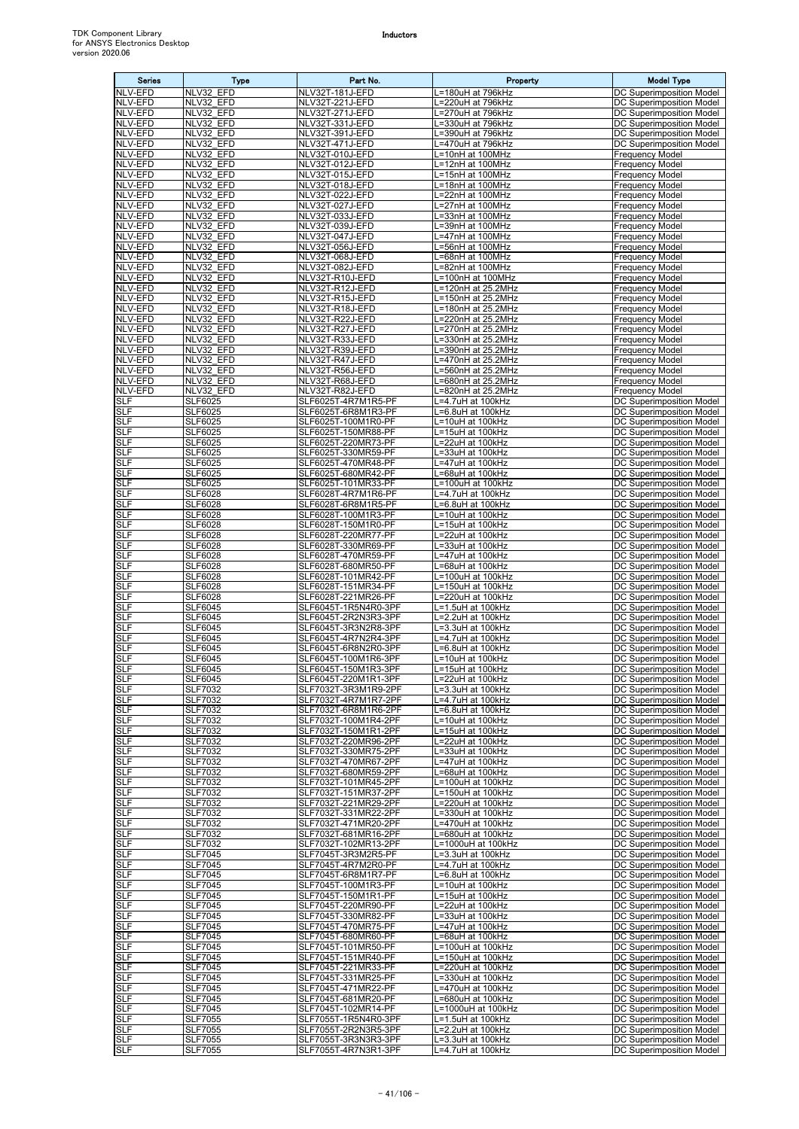| <b>Series</b>            | Type                             | Part No.                                     | Property                                 | <b>Model Type</b>                                                  |
|--------------------------|----------------------------------|----------------------------------------------|------------------------------------------|--------------------------------------------------------------------|
| <b>NLV-EFD</b>           | NLV32 EFD                        | NLV32T-181J-EFD                              | L=180uH at 796kHz                        | <b>DC Superimposition Model</b>                                    |
| NLV-EFD<br>NLV-EFD       | NLV32 EFD<br>NLV32 EFD           | NLV32T-221J-EFD<br>NLV32T-271J-EFD           | L=220uH at 796kHz<br>L=270uH at 796kHz   | DC Superimposition Model<br><b>DC Superimposition Model</b>        |
| NLV-EFD                  | NLV32 EFD                        | NLV32T-331J-EFD                              | L=330uH at 796kHz                        | <b>DC Superimposition Model</b>                                    |
| NLV-EFD                  | NLV32 EFD                        | NLV32T-391J-EFD                              | L=390uH at 796kHz                        | DC Superimposition Model                                           |
| NLV-EFD                  | NLV32 EFD                        | NLV32T-471J-EFD                              | L=470uH at 796kHz                        | DC Superimposition Model                                           |
| NLV-EFD<br>NLV-EFD       | NLV32 EFD<br>NLV32 EFD           | NLV32T-010J-EFD<br>NLV32T-012J-EFD           | L=10nH at 100MHz<br>L=12nH at 100MHz     | <b>Frequency Model</b><br><b>Frequency Model</b>                   |
| NLV-EFD                  | NLV32 EFD                        | NLV32T-015J-EFD                              | L=15nH at 100MHz                         | <b>Frequency Model</b>                                             |
| NLV-EFD                  | NLV32 EFD                        | NLV32T-018J-EFD                              | L=18nH at 100MHz                         | <b>Frequency Model</b>                                             |
| NLV-EFD                  | NLV32 EFD                        | NLV32T-022J-EFD                              | L=22nH at 100MHz                         | <b>Frequency Model</b>                                             |
| NLV-EFD<br>NLV-EFD       | NLV32 EFD<br>NLV32 EFD           | NLV32T-027J-EFD<br>NLV32T-033J-EFD           | L=27nH at 100MHz<br>L=33nH at 100MHz     | <b>Frequency Model</b><br><b>Frequency Model</b>                   |
| NLV-EFD                  | NLV32 EFD                        | NLV32T-039J-EFD                              | L=39nH at 100MHz                         | <b>Frequency Model</b>                                             |
| <b>NLV-EFD</b>           | NLV32 EFD                        | NLV32T-047J-EFD                              | L=47nH at 100MHz                         | <b>Frequency Model</b>                                             |
| NLV-EFD<br>NLV-EFD       | NLV32 EFD<br>NLV32 EFD           | NLV32T-056J-EFD                              | .=56nH at 100MHz                         | <b>Frequency Model</b><br><b>Frequency Model</b>                   |
| NLV-EFD                  | NLV32 EFD                        | NLV32T-068J-EFD<br>NLV32T-082J-EFD           | L=68nH at 100MHz<br>L=82nH at 100MHz     | <b>Frequency Model</b>                                             |
| NLV-EFD                  | NLV32 EFD                        | NLV32T-R10J-EFD                              | L=100nH at 100MHz                        | <b>Frequency Model</b>                                             |
| NLV-EFD                  | NLV32 EFD                        | NLV32T-R12J-EFD                              | L=120nH at 25.2MHz                       | <b>Frequency Model</b>                                             |
| NLV-EFD<br>NLV-EFD       | NLV32 EFD<br>NLV32 EFD           | NLV32T-R15J-EFD<br>NLV32T-R18J-EFD           | L=150nH at 25.2MHz<br>L=180nH at 25.2MHz | <b>Frequency Model</b><br><b>Frequency Model</b>                   |
| NLV-EFD                  | NLV32 EFD                        | NLV32T-R22J-EFD                              | L=220nH at 25.2MHz                       | <b>Frequency Model</b>                                             |
| NLV-EFD                  | NLV32_EFD                        | NLV32T-R27J-EFD                              | L=270nH at 25.2MHz                       | Frequency Model                                                    |
| NLV-EFD                  | NLV32 EFD                        | NLV32T-R33J-EFD                              | =330nH at 25.2MHz                        | <b>Frequency Model</b>                                             |
| NLV-EFD<br>NLV-EFD       | NLV32 EFD<br>NLV32 EFD           | NLV32T-R39J-EFD<br>NLV32T-R47J-EFD           | L=390nH at 25.2MHz<br>L=470nH at 25.2MHz | <b>Frequency Model</b><br><b>Frequency Model</b>                   |
| NLV-EFD                  | NLV32 EFD                        | NLV32T-R56J-EFD                              | L=560nH at 25.2MHz                       | <b>Frequency Model</b>                                             |
| NLV-EFD                  | NLV32 EFD                        | NLV32T-R68J-EFD                              | L=680nH at 25.2MHz                       | <b>Frequency Model</b>                                             |
| NLV-EFD<br><b>SLF</b>    | NLV32 EFD<br><b>SLF6025</b>      | NLV32T-R82J-EFD<br>SLF6025T-4R7M1R5-PF       | L=820nH at 25.2MHz<br>L=4.7uH at 100kHz  | <b>Frequency Model</b><br>DC Superimposition Model                 |
| <b>SLF</b>               | SLF6025                          | SLF6025T-6R8M1R3-PF                          | =6.8uH at 100kHz                         | DC Superimposition Model                                           |
| <b>SLF</b>               | <b>SLF6025</b>                   | SLF6025T-100M1R0-PF                          | L=10uH at 100kHz                         | DC Superimposition Model                                           |
| SLF                      | SLF6025                          | SLF6025T-150MR88-PF                          | L=15uH at 100kHz                         | DC Superimposition Model                                           |
| <b>SLF</b><br>SLF        | <b>SLF6025</b><br>SLF6025        | SLF6025T-220MR73-PF<br>SLF6025T-330MR59-PF   | L=22uH at 100kHz<br>L=33uH at 100kHz     | DC Superimposition Model<br>DC Superimposition Model               |
| <b>SLF</b>               | SLF6025                          | SLF6025T-470MR48-PF                          | L=47uH at 100kHz                         | DC Superimposition Model                                           |
| SLF                      | SLF6025                          | SLF6025T-680MR42-PF                          | L=68uH at 100kHz                         | DC Superimposition Model                                           |
| <b>SLF</b>               | SLF6025                          | SLF6025T-101MR33-PF                          | L=100uH at 100kHz                        | DC Superimposition Model                                           |
| <b>SLF</b><br><b>SLF</b> | <b>SLF6028</b><br><b>SLF6028</b> | SLF6028T-4R7M1R6-PF<br>SLF6028T-6R8M1R5-PF   | L=4.7uH at 100kHz<br>L=6.8uH at 100kHz   | DC Superimposition Model<br>DC Superimposition Model               |
| SLF                      | <b>SLF6028</b>                   | SLF6028T-100M1R3-PF                          | L=10uH at 100kHz                         | DC Superimposition Model                                           |
| <b>SLF</b>               | <b>SLF6028</b>                   | SLF6028T-150M1R0-PF                          | L=15uH at 100kHz                         | DC Superimposition Model                                           |
| SLF<br><b>SLF</b>        | <b>SLF6028</b><br><b>SLF6028</b> | SLF6028T-220MR77-PF<br>SLF6028T-330MR69-PF   | L=22uH at 100kHz<br>L=33uH at 100kHz     | DC Superimposition Model<br>DC Superimposition Model               |
| <b>SLF</b>               | SLF6028                          | SLF6028T-470MR59-PF                          | L=47uH at 100kHz                         | DC Superimposition Model                                           |
| <b>SLF</b>               | <b>SLF6028</b>                   | SLF6028T-680MR50-PF                          | L=68uH at 100kHz                         | DC Superimposition Model                                           |
| SLF                      | <b>SLF6028</b>                   | SLF6028T-101MR42-PF                          | L=100uH at 100kHz                        | DC Superimposition Model                                           |
| <b>SLF</b><br><b>SLF</b> | <b>SLF6028</b><br><b>SLF6028</b> | SLF6028T-151MR34-PF<br>SLF6028T-221MR26-PF   | L=150uH at 100kHz<br>L=220uH at 100kHz   | DC Superimposition Model<br>DC Superimposition Model               |
| <b>SLF</b>               | <b>SLF6045</b>                   | SLF6045T-1R5N4R0-3PF                         | L=1.5uH at 100kHz                        | DC Superimposition Model                                           |
| SLF                      | <b>SLF6045</b>                   | SLF6045T-2R2N3R3-3PF                         | L=2.2uH at 100kHz                        | DC Superimposition Model                                           |
| <b>SLF</b><br>SLF        | SLF6045<br>SLF6045               | SLF6045T-3R3N2R8-3PF<br>SLF6045T-4R7N2R4-3PF | L=3.3uH at 100kHz<br>L=4.7uH at 100kHz   | DC Superimposition Model<br>DC Superimposition Model               |
| <b>SLF</b>               | SLF6045                          | SLF6045T-6R8N2R0-3PF                         | L=6.8uH at 100kHz                        | DC Superimposition Model                                           |
| SLF                      | <b>SLF6045</b>                   | SLF6045T-100M1R6-3PF                         | L=10uH at 100kHz                         | DC Superimposition Model                                           |
| <b>SLF</b><br>SLF        | <b>SLF6045</b><br><b>SLF6045</b> | SLF6045T-150M1R3-3PF<br>SLF6045T-220M1R1-3PF | L=15uH at 100kHz<br>L=22uH at 100kHz     | DC Superimposition Model<br>DC Superimposition Model               |
| <b>SLF</b>               | <b>SLF7032</b>                   | SLF7032T-3R3M1R9-2PF                         | L=3.3uH at 100kHz                        | DC Superimposition Model                                           |
| SLF                      | <b>SLF7032</b>                   | SLF7032T-4R7M1R7-2PF                         | L=4.7uH at 100kHz                        | DC Superimposition Model                                           |
| SLF                      | <b>SLF7032</b>                   | SLF7032T-6R8M1R6-2PF                         | L=6.8uH at 100kHz                        | DC Superimposition Model                                           |
| <b>SLF</b><br>SLF        | <b>SLF7032</b><br><b>SLF7032</b> | SLF7032T-100M1R4-2PF<br>SLF7032T-150M1R1-2PF | L=10uH at 100kHz<br>L=15uH at 100kHz     | DC Superimposition Model<br><b>DC Superimposition Model</b>        |
| <b>SLF</b>               | <b>SLF7032</b>                   | SLF7032T-220MR96-2PF                         | L=22uH at 100kHz                         | DC Superimposition Model                                           |
| SLF                      | <b>SLF7032</b>                   | SLF7032T-330MR75-2PF                         | L=33uH at 100kHz                         | DC Superimposition Model                                           |
| SLF<br><b>SLF</b>        | <b>SLF7032</b><br><b>SLF7032</b> | SLF7032T-470MR67-2PF<br>SLF7032T-680MR59-2PF | L=47uH at 100kHz<br>L=68uH at 100kHz     | DC Superimposition Model<br>DC Superimposition Model               |
| <b>SLF</b>               | <b>SLF7032</b>                   | SLF7032T-101MR45-2PF                         | L=100uH at 100kHz                        | DC Superimposition Model                                           |
| SLF                      | SLF7032                          | SLF7032T-151MR37-2PF                         | L=150uH at 100kHz                        | <b>DC Superimposition Model</b>                                    |
| <b>SLF</b><br>SLF        | <b>SLF7032</b><br>SLF7032        | SLF7032T-221MR29-2PF<br>SLF7032T-331MR22-2PF | L=220uH at 100kHz<br>L=330uH at 100kHz   | <b>DC Superimposition Model</b><br><b>DC Superimposition Model</b> |
| SLF                      | <b>SLF7032</b>                   | SLF7032T-471MR20-2PF                         | L=470uH at 100kHz                        | DC Superimposition Model                                           |
| SLF                      | SLF7032                          | SLF7032T-681MR16-2PF                         | .=680uH at 100kHz                        | DC Superimposition Model                                           |
| <b>SLF</b>               | <b>SLF7032</b>                   | SLF7032T-102MR13-2PF                         | L=1000uH at 100kHz                       | DC Superimposition Model                                           |
| SLF<br>SLF               | <b>SLF7045</b><br><b>SLF7045</b> | SLF7045T-3R3M2R5-PF<br>SLF7045T-4R7M2R0-PF   | L=3.3uH at 100kHz<br>L=4.7uH at 100kHz   | DC Superimposition Model<br>DC Superimposition Model               |
| SLF                      | <b>SLF7045</b>                   | SLF7045T-6R8M1R7-PF                          | L=6.8uH at 100kHz                        | DC Superimposition Model                                           |
| <b>SLF</b>               | <b>SLF7045</b>                   | SLF7045T-100M1R3-PF                          | L=10uH at 100kHz                         | DC Superimposition Model                                           |
| <b>SLF</b><br>SLF        | <b>SLF7045</b><br>SLF7045        | SLF7045T-150M1R1-PF<br>SLF7045T-220MR90-PF   | L=15uH at 100kHz<br>L=22uH at 100kHz     | DC Superimposition Model<br>DC Superimposition Model               |
| SLF                      | <b>SLF7045</b>                   | SLF7045T-330MR82-PF                          | L=33uH at 100kHz                         | DC Superimposition Model                                           |
| SLF                      | SLF7045                          | SLF7045T-470MR75-PF                          | L=47uH at 100kHz                         | DC Superimposition Model                                           |
| SLF                      | <b>SLF7045</b>                   | SLF7045T-680MR60-PF                          | L=68uH at 100kHz                         | DC Superimposition Model                                           |
| SLF<br>SLF               | <b>SLF7045</b><br><b>SLF7045</b> | SLF7045T-101MR50-PF<br>SLF7045T-151MR40-PF   | L=100uH at 100kHz<br>L=150uH at 100kHz   | DC Superimposition Model<br><b>DC Superimposition Model</b>        |
| <b>SLF</b>               | <b>SLF7045</b>                   | SLF7045T-221MR33-PF                          | L=220uH at 100kHz                        | DC Superimposition Model                                           |
| SLF                      | <b>SLF7045</b>                   | SLF7045T-331MR25-PF                          | L=330uH at 100kHz                        | DC Superimposition Model                                           |
| SLF<br>SLF               | <b>SLF7045</b><br>SLF7045        | SLF7045T-471MR22-PF<br>SLF7045T-681MR20-PF   | L=470uH at 100kHz<br>L=680uH at 100kHz   | DC Superimposition Model<br>DC Superimposition Model               |
| SLF                      | <b>SLF7045</b>                   | SLF7045T-102MR14-PF                          | L=1000uH at 100kHz                       | DC Superimposition Model                                           |
| SLF                      | <b>SLF7055</b>                   | SLF7055T-1R5N4R0-3PF                         | L=1.5uH at 100kHz                        | DC Superimposition Model                                           |
| <b>SLF</b>               | <b>SLF7055</b>                   | SLF7055T-2R2N3R5-3PF                         | L=2.2uH at 100kHz                        | DC Superimposition Model                                           |
| SLF<br>SLF               | <b>SLF7055</b><br><b>SLF7055</b> | SLF7055T-3R3N3R3-3PF<br>SLF7055T-4R7N3R1-3PF | L=3.3uH at 100kHz<br>L=4.7uH at 100kHz   | DC Superimposition Model<br>DC Superimposition Model               |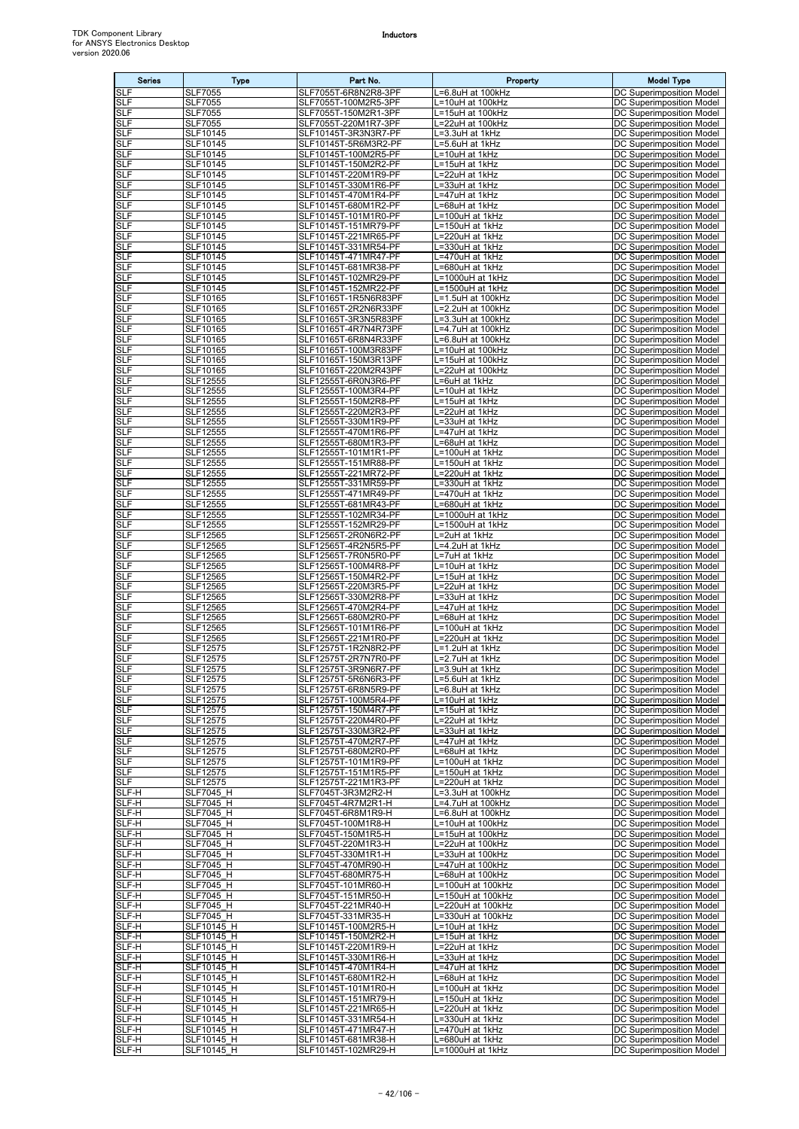| <b>Series</b>            | <b>Type</b>                          | Part No.                                     | Property                               | <b>Model Type</b>                                                  |
|--------------------------|--------------------------------------|----------------------------------------------|----------------------------------------|--------------------------------------------------------------------|
| <b>SLF</b>               | <b>SLF7055</b>                       | SLF7055T-6R8N2R8-3PF                         | =6.8uH at 100kHz                       | DC Superimposition Model                                           |
| <b>SLF</b><br><b>SLF</b> | <b>SLF7055</b><br><b>SLF7055</b>     | SLF7055T-100M2R5-3PF<br>SLF7055T-150M2R1-3PF | =10uH at 100kHz<br>L=15uH at 100kHz    | <b>DC Superimposition Model</b><br><b>DC Superimposition Model</b> |
| <b>SLF</b>               | <b>SLF7055</b>                       | SLF7055T-220M1R7-3PF                         | L=22uH at 100kHz                       | DC Superimposition Model                                           |
| <b>SLF</b>               | SLF10145                             | SLF10145T-3R3N3R7-PF                         | L=3.3uH at 1kHz                        | DC Superimposition Model                                           |
| <b>SLF</b><br>SLF        | SLF10145<br>SLF10145                 | SLF10145T-5R6M3R2-PF<br>SLF10145T-100M2R5-PF | L=5.6uH at 1kHz<br>L=10uH at 1kHz      | DC Superimposition Model<br>DC Superimposition Model               |
| <b>SLF</b>               | <b>SLF10145</b>                      | SLF10145T-150M2R2-PF                         | L=15uH at 1kHz                         | DC Superimposition Model                                           |
| <b>SLF</b>               | SLF10145                             | SLF10145T-220M1R9-PF                         | L=22uH at 1kHz                         | DC Superimposition Model                                           |
| <b>SLF</b><br><b>SLF</b> | SLF10145<br>SLF10145                 | SLF10145T-330M1R6-PF<br>SLF10145T-470M1R4-PF | =33uH at 1kHz<br>=47uH at 1kHz         | <b>DC Superimposition Model</b><br>DC Superimposition Model        |
| <b>SLF</b>               | <b>SLF10145</b>                      | SLF10145T-680M1R2-PF                         | L=68uH at 1kHz                         | DC Superimposition Model                                           |
| <b>SLF</b>               | SLF10145                             | SLF10145T-101M1R0-PF                         | L=100uH at 1kHz                        | DC Superimposition Model                                           |
| <b>SLF</b><br>SLF        | SLF10145<br>SLF10145                 | SLF10145T-151MR79-PF<br>SLF10145T-221MR65-PF | L=150uH at 1kHz<br>L=220uH at 1kHz     | DC Superimposition Model<br>DC Superimposition Model               |
| <b>SLF</b>               | SLF10145                             | SLF10145T-331MR54-PF                         | L=330uH at 1kHz                        | <b>DC Superimposition Model</b>                                    |
| <b>SLF</b><br><b>SLF</b> | SLF10145<br>SLF10145                 | SLF10145T-471MR47-PF<br>SLF10145T-681MR38-PF | =470uH at 1kHz<br>=680uH at 1kHz       | <b>DC Superimposition Model</b><br>DC Superimposition Model        |
| SLF                      | SLF10145                             | SLF10145T-102MR29-PF                         | L=1000uH at 1kHz                       | DC Superimposition Model                                           |
| <b>SLF</b>               | SLF10145                             | SLF10145T-152MR22-PF                         | L=1500uH at 1kHz                       | DC Superimposition Model                                           |
| SLF<br><b>SLF</b>        | SLF10165<br>SLF10165                 | SLF10165T-1R5N6R83PF<br>SLF10165T-2R2N6R33PF | L=1.5uH at 100kHz<br>L=2.2uH at 100kHz | DC Superimposition Model<br>DC Superimposition Model               |
| SLF                      | <b>SLF10165</b>                      | SLF10165T-3R3N5R83PF                         | L=3.3uH at 100kHz                      | DC Superimposition Model                                           |
| <b>SLF</b>               | SLF10165                             | SLF10165T-4R7N4R73PF                         | _=4.7uH at 100kHz                      | DC Superimposition Model                                           |
| <b>SLF</b><br><b>SLF</b> | SLF10165<br>SLF10165                 | SLF10165T-6R8N4R33PF<br>SLF10165T-100M3R83PF | L=6.8uH at 100kHz<br>L=10uH at 100kHz  | DC Superimposition Model<br>DC Superimposition Model               |
| <b>SLF</b>               | SLF10165                             | SLF10165T-150M3R13PF                         | =15uH at 100kHz                        | <b>DC Superimposition Model</b>                                    |
| <b>SLF</b>               | SLF10165                             | SLF10165T-220M2R43PF                         | L=22uH at 100kHz                       | DC Superimposition Model                                           |
| <b>SLF</b><br><b>SLF</b> | SLF12555<br>SLF12555                 | SLF12555T-6R0N3R6-PF<br>SLF12555T-100M3R4-PF | L=6uH at 1kHz<br>L=10uH at 1kHz        | DC Superimposition Model<br>DC Superimposition Model               |
| <b>SLF</b>               | SLF12555                             | SLF12555T-150M2R8-PF                         | L=15uH at 1kHz                         | DC Superimposition Model                                           |
| SLF                      | <b>SLF12555</b>                      | SLF12555T-220M2R3-PF                         | L=22uH at 1kHz                         | DC Superimposition Model                                           |
| <b>SLF</b><br><b>SLF</b> | SLF12555<br>SLF12555                 | SLF12555T-330M1R9-PF<br>SLF12555T-470M1R6-PF | L=33uH at 1kHz<br>=47uH at 1kHz        | DC Superimposition Model<br>DC Superimposition Model               |
| <b>SLF</b>               | SLF12555                             | SLF12555T-680M1R3-PF                         | =68uH at 1kHz                          | <b>DC Superimposition Model</b>                                    |
| <b>SLF</b>               | <b>SLF12555</b>                      | SLF12555T-101M1R1-PF                         | L=100uH at 1kHz                        | <b>DC Superimposition Model</b>                                    |
| <b>SLF</b><br><b>SLF</b> | SLF12555<br>SLF12555                 | SLF12555T-151MR88-PF<br>SLF12555T-221MR72-PF | L=150uH at 1kHz<br>L=220uH at 1kHz     | DC Superimposition Model<br>DC Superimposition Model               |
| <b>SLF</b>               | SLF12555                             | SLF12555T-331MR59-PF                         | L=330uH at 1kHz                        | DC Superimposition Model                                           |
| SLF                      | SLF12555                             | SLF12555T-471MR49-PF                         | L=470uH at 1kHz                        | DC Superimposition Model                                           |
| <b>SLF</b><br><b>SLF</b> | SLF12555<br>SLF12555                 | SLF12555T-681MR43-PF<br>SLF12555T-102MR34-PF | L=680uH at 1kHz<br>L=1000uH at 1kHz    | DC Superimposition Model<br><b>DC Superimposition Model</b>        |
| <b>SLF</b>               | SLF12555                             | SLF12555T-152MR29-PF                         | L=1500uH at 1kHz                       | DC Superimposition Model                                           |
| SLF<br><b>SLF</b>        | SLF12565                             | SLF12565T-2R0N6R2-PF                         | L=2uH at 1kHz                          | DC Superimposition Model                                           |
| <b>SLF</b>               | SLF12565<br>SLF12565                 | SLF12565T-4R2N5R5-PF<br>SLF12565T-7R0N5R0-PF | L=4.2uH at 1kHz<br>L=7uH at 1kHz       | DC Superimposition Model<br>DC Superimposition Model               |
| <b>SLF</b>               | SLF12565                             | SLF12565T-100M4R8-PF                         | L=10uH at 1kHz                         | DC Superimposition Model                                           |
| SLF<br><b>SLF</b>        | SLF12565<br>SLF12565                 | SLF12565T-150M4R2-PF<br>SLF12565T-220M3R5-PF | L=15uH at 1kHz<br>=22uH at 1kHz        | DC Superimposition Model<br>DC Superimposition Model               |
| <b>SLF</b>               | SLF12565                             | SLF12565T-330M2R8-PF                         | =33uH at 1kHz                          | DC Superimposition Model                                           |
| <b>SLF</b>               | SLF12565                             | SLF12565T-470M2R4-PF                         | =47uH at 1kHz                          | <b>DC Superimposition Model</b>                                    |
| <b>SLF</b><br><b>SLF</b> | SLF12565<br>SLF12565                 | SLF12565T-680M2R0-PF<br>SLF12565T-101M1R6-PF | .=68uH at 1kHz<br>L=100uH at 1kHz      | DC Superimposition Model<br><b>DC Superimposition Model</b>        |
| <b>SLF</b>               | SLF12565                             | SLF12565T-221M1R0-PF                         | L=220uH at 1kHz                        | DC Superimposition Model                                           |
| <b>SLF</b>               | SLF12575                             | SLF12575T-1R2N8R2-PF                         | L=1.2uH at 1kHz                        | DC Superimposition Model                                           |
| SLF<br><b>SLF</b>        | SLF12575<br>SLF12575                 | SLF12575T-2R7N7R0-PF<br>SLF12575T-3R9N6R7-PF | L=2.7uH at 1kHz<br>L=3.9uH at 1kHz     | DC Superimposition Model<br>DC Superimposition Model               |
| SLF                      | SLF12575                             | SLF12575T-5R6N6R3-PF                         | L=5.6uH at 1kHz                        | DC Superimposition Model                                           |
| <b>SLF</b><br><b>SLF</b> | SLF12575<br>SLF12575                 | SLF12575T-6R8N5R9-PF<br>SLF12575T-100M5R4-PF | L=6.8uH at 1kHz<br>L=10uH at 1kHz      | DC Superimposition Model<br>DC Superimposition Model               |
| SLF                      | SLF12575                             | SLF12575T-150M4R7-PF                         | L=15uH at 1kHz                         | DC Superimposition Model                                           |
| <b>SLF</b>               | SLF12575                             | SLF12575T-220M4R0-PF                         | L=22uH at 1kHz                         | DC Superimposition Model                                           |
| <b>SLF</b><br>SLF        | <b>SLF12575</b><br>SLF12575          | SLF12575T-330M3R2-PF<br>SLF12575T-470M2R7-PF | L=33uH at 1kHz<br>L=47uH at 1kHz       | DC Superimposition Model<br><b>DC Superimposition Model</b>        |
| SLF                      | SLF12575                             | SLF12575T-680M2R0-PF                         | L=68uH at 1kHz                         | DC Superimposition Model                                           |
| SLF                      | SLF12575                             | SLF12575T-101M1R9-PF                         | L=100uH at 1kHz                        | DC Superimposition Model                                           |
| <b>SLF</b><br><b>SLF</b> | SLF12575<br>SLF12575                 | SLF12575T-151M1R5-PF<br>SLF12575T-221M1R3-PF | L=150uH at 1kHz<br>L=220uH at 1kHz     | DC Superimposition Model<br>DC Superimposition Model               |
| SLF-H                    | <b>SLF7045 H</b>                     | SLF7045T-3R3M2R2-H                           | L=3.3uH at 100kHz                      | <b>DC Superimposition Model</b>                                    |
| SLF-H<br>SLF-H           | <b>SLF7045 H</b><br><b>SLF7045 H</b> | SLF7045T-4R7M2R1-H<br>SLF7045T-6R8M1R9-H     | L=4.7uH at 100kHz<br>L=6.8uH at 100kHz | DC Superimposition Model<br>DC Superimposition Model               |
| SLF-H                    | <b>SLF7045 H</b>                     | SLF7045T-100M1R8-H                           | L=10uH at 100kHz                       | DC Superimposition Model                                           |
| SLF-H                    | <b>SLF7045 H</b>                     | SLF7045T-150M1R5-H                           | L=15uH at 100kHz                       | DC Superimposition Model                                           |
| SLF-H<br>SLF-H           | <b>SLF7045 H</b><br><b>SLF7045 H</b> | SLF7045T-220M1R3-H<br>SLF7045T-330M1R1-H     | L=22uH at 100kHz<br>L=33uH at 100kHz   | <b>DC Superimposition Model</b><br>DC Superimposition Model        |
| SLF-H                    | <b>SLF7045 H</b>                     | SLF7045T-470MR90-H                           | L=47uH at 100kHz                       | DC Superimposition Model                                           |
| SLF-H                    | <b>SLF7045 H</b>                     | SLF7045T-680MR75-H                           | .=68uH at 100kHz                       | DC Superimposition Model                                           |
| SLF-H<br>SLF-H           | <b>SLF7045 H</b><br><b>SLF7045 H</b> | SLF7045T-101MR60-H<br>SLF7045T-151MR50-H     | L=100uH at 100kHz<br>L=150uH at 100kHz | DC Superimposition Model<br>DC Superimposition Model               |
| SLF-H                    | <b>SLF7045 H</b>                     | SLF7045T-221MR40-H                           | L=220uH at 100kHz                      | DC Superimposition Model                                           |
| SLF-H                    | <b>SLF7045 H</b>                     | SLF7045T-331MR35-H                           | L=330uH at 100kHz                      | DC Superimposition Model                                           |
| SLF-H<br>SLF-H           | SLF10145 H<br>SLF10145 H             | SLF10145T-100M2R5-H<br>SLF10145T-150M2R2-H   | L=10uH at 1kHz<br>L=15uH at 1kHz       | DC Superimposition Model<br>DC Superimposition Model               |
| SLF-H                    | SLF10145 H                           | SLF10145T-220M1R9-H                          | L=22uH at 1kHz                         | DC Superimposition Model                                           |
| SLF-H                    | SLF10145 H                           | SLF10145T-330M1R6-H                          | L=33uH at 1kHz                         | <b>DC Superimposition Model</b>                                    |
| SLF-H<br>SLF-H           | SLF10145 H<br>SLF10145 H             | SLF10145T-470M1R4-H<br>SLF10145T-680M1R2-H   | L=47uH at 1kHz<br>L=68uH at 1kHz       | <b>DC Superimposition Model</b><br>DC Superimposition Model        |
| SLF-H                    | SLF10145 H                           | SLF10145T-101M1R0-H                          | L=100uH at 1kHz                        | DC Superimposition Model                                           |
| SLF-H<br>SLF-H           | SLF10145 H<br>SLF10145 H             | SLF10145T-151MR79-H<br>SLF10145T-221MR65-H   | L=150uH at 1kHz<br>L=220uH at 1kHz     | DC Superimposition Model<br>DC Superimposition Model               |
| SLF-H                    | SLF10145 H                           | SLF10145T-331MR54-H                          | L=330uH at 1kHz                        | DC Superimposition Model                                           |
| SLF-H                    | SLF10145 H                           | SLF10145T-471MR47-H                          | L=470uH at 1kHz                        | <b>DC Superimposition Model</b>                                    |
| SLF-H<br>SLF-H           | SLF10145 H<br>SLF10145_H             | SLF10145T-681MR38-H<br>SLF10145T-102MR29-H   | L=680uH at 1kHz<br>L=1000uH at 1kHz    | DC Superimposition Model<br><b>DC Superimposition Model</b>        |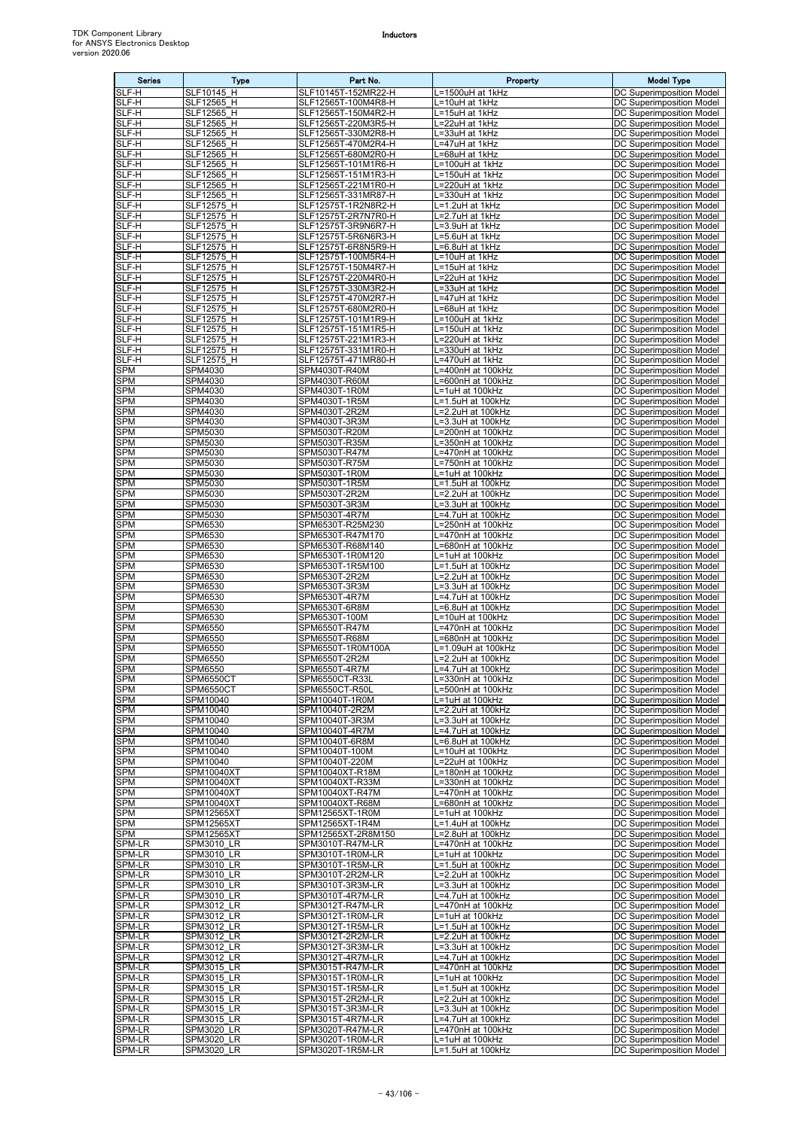| <b>Series</b>            | Type                                   | Part No.                                   | Property                                      | <b>Model Type</b>                                           |
|--------------------------|----------------------------------------|--------------------------------------------|-----------------------------------------------|-------------------------------------------------------------|
| SLF-H                    | <b>SLF10145 H</b>                      | SLF10145T-152MR22-H                        | =1500uH at 1kHz                               | DC Superimposition Model                                    |
| SLF-H<br>SLF-H           | SLF12565 H<br>SLF12565 H               | SLF12565T-100M4R8-H<br>SLF12565T-150M4R2-H | =10uH at 1kHz<br>$-15$ uH at 1kHz             | DC Superimposition Model<br><b>DC Superimposition Model</b> |
| SLF-H                    | SLF12565 H                             | SLF12565T-220M3R5-H                        | =22uH at 1kHz                                 | DC Superimposition Model                                    |
| SLF-H<br>SLF-H           | SLF12565 H<br>SLF12565 H               | SLF12565T-330M2R8-H<br>SLF12565T-470M2R4-H | .=33uH at 1kHz<br>.=47uH at 1kHz              | DC Superimposition Model<br><b>DC Superimposition Model</b> |
| SLF-H                    | SLF12565 H                             | SLF12565T-680M2R0-H                        | =68uH at 1kHz                                 | DC Superimposition Model                                    |
| SLF-H                    | SLF12565 H                             | SLF12565T-101M1R6-H                        | L=100uH at 1kHz                               | DC Superimposition Model                                    |
| SLF-H<br>SLF-H           | SLF12565 H<br>SLF12565 H               | SLF12565T-151M1R3-H<br>SLF12565T-221M1R0-H | L=150uH at 1kHz<br>=220uH at 1kHz             | <b>DC Superimposition Model</b><br>DC Superimposition Model |
| SLF-H                    | SLF12565_H                             | SLF12565T-331MR87-H                        | _=330uH at 1kHz                               | DC Superimposition Model                                    |
| SLF-H                    | SLF12575 H                             | SLF12575T-1R2N8R2-H                        | =1.2uH at 1kHz                                | DC Superimposition Model                                    |
| SLF-H<br>SLF-H           | SLF12575 H<br>SLF12575 H               | SLF12575T-2R7N7R0-H<br>SLF12575T-3R9N6R7-H | <sub>-</sub> =2.7uH at 1kHz<br>=3.9uH at 1kHz | DC Superimposition Model<br>DC Superimposition Model        |
| SLF-H                    | SLF12575 H                             | SLF12575T-5R6N6R3-H                        | $\overline{=5.6}$ uH at 1kHz                  | <b>DC Superimposition Model</b>                             |
| SLF-H<br>SLF-H           | SLF12575 H<br>SLF12575 H               | SLF12575T-6R8N5R9-H<br>SLF12575T-100M5R4-H | L=6.8uH at 1kHz<br>L=10uH at 1kHz             | DC Superimposition Model<br><b>DC Superimposition Model</b> |
| SLF-H                    | SLF12575 H                             | SLF12575T-150M4R7-H                        | =15uH at 1kHz                                 | DC Superimposition Model                                    |
| SLF-H                    | SLF12575_H                             | SLF12575T-220M4R0-H                        | =22uH at 1kHz                                 | DC Superimposition Model                                    |
| SLF-H<br>SLF-H           | SLF12575 H<br>SLF12575 H               | SLF12575T-330M3R2-H<br>SLF12575T-470M2R7-H | =33uH at 1kHz<br>.=47uH at 1kHz               | DC Superimposition Model<br>DC Superimposition Model        |
| SLF-H                    | SLF12575 H                             | SLF12575T-680M2R0-H                        | L=68uH at 1kHz                                | DC Superimposition Model                                    |
| SLF-H<br>SLF-H           | SLF12575 H<br>SLF12575 H               | SLF12575T-101M1R9-H<br>SLF12575T-151M1R5-H | L=100uH at 1kHz<br>=150uH at 1kHz             | DC Superimposition Model<br>DC Superimposition Model        |
| SLF-H                    | SLF12575 H                             | SLF12575T-221M1R3-H                        | L=220uH at 1kHz                               | DC Superimposition Model                                    |
| SLF-H                    | SLF12575 H                             | SLF12575T-331M1R0-H                        | L=330uH at 1kHz                               | DC Superimposition Model                                    |
| SLF-H<br><b>SPM</b>      | SLF12575 H<br>SPM4030                  | SLF12575T-471MR80-H<br>SPM4030T-R40M       | =470uH at 1kHz<br>=400nH at 100kHz            | DC Superimposition Model<br>DC Superimposition Model        |
| <b>SPM</b>               | SPM4030                                | SPM4030T-R60M                              | .=600nH at 100kHz                             | DC Superimposition Model                                    |
| <b>SPM</b><br><b>SPM</b> | SPM4030<br>SPM4030                     | SPM4030T-1R0M<br>SPM4030T-1R5M             | _=1uH at 100kHz                               | DC Superimposition Model<br><b>DC Superimposition Model</b> |
| <b>SPM</b>               | SPM4030                                | SPM4030T-2R2M                              | -1.5uH at 100kHz<br>=2.2uH at 100kHz          | DC Superimposition Model                                    |
| <b>SPM</b>               | SPM4030                                | SPM4030T-3R3M                              | L=3.3uH at 100kHz                             | DC Superimposition Model                                    |
| SPM<br><b>SPM</b>        | SPM5030<br>SPM5030                     | SPM5030T-R20M<br>SPM5030T-R35M             | _=200nH at 100kHz<br>.=350nH at 100kHz        | <b>DC Superimposition Model</b><br>DC Superimposition Model |
| SPM                      | SPM5030                                | SPM5030T-R47M                              | .=470nH at 100kHz                             | DC Superimposition Model                                    |
| <b>SPM</b>               | SPM5030                                | SPM5030T-R75M                              | .=750nH at 100kHz                             | DC Superimposition Model                                    |
| <b>SPM</b><br><b>SPM</b> | SPM5030<br>SPM5030                     | SPM5030T-1R0M<br>SPM5030T-1R5M             | =1uH at 100kHz<br>=1.5uH at 100kHz            | DC Superimposition Model<br>DC Superimposition Model        |
| SPM                      | SPM5030                                | SPM5030T-2R2M                              | =2.2uH at 100kHz                              | <b>DC Superimposition Model</b>                             |
| <b>SPM</b><br><b>SPM</b> | SPM5030<br>SPM5030                     | SPM5030T-3R3M<br>SPM5030T-4R7M             | L=3.3uH at 100kHz<br>.=4.7uH at 100kHz        | DC Superimposition Model<br><b>DC Superimposition Model</b> |
| <b>SPM</b>               | SPM6530                                | SPM6530T-R25M230                           | =250nH at 100kHz                              | DC Superimposition Model                                    |
| SPM                      | SPM6530                                | SPM6530T-R47M170                           | .=470nH at 100kHz                             | DC Superimposition Model                                    |
| <b>SPM</b><br><b>SPM</b> | SPM6530<br>SPM6530                     | SPM6530T-R68M140<br>SPM6530T-1R0M120       | .=680nH at 100kHz<br>_=1uH at 100kHz          | DC Superimposition Model<br>DC Superimposition Model        |
| <b>SPM</b>               | SPM6530                                | SPM6530T-1R5M100                           | L=1.5uH at 100kHz                             | <b>DC Superimposition Model</b>                             |
| SPM<br><b>SPM</b>        | SPM6530                                | SPM6530T-2R2M                              | =2.2uH at 100kHz                              | DC Superimposition Model                                    |
| <b>SPM</b>               | SPM6530<br>SPM6530                     | SPM6530T-3R3M<br>SPM6530T-4R7M             | .=3.3uH at 100kHz<br>L=4.7uH at 100kHz        | DC Superimposition Model<br>DC Superimposition Model        |
| <b>SPM</b>               | SPM6530                                | SPM6530T-6R8M                              | =6.8uH at 100kHz                              | DC Superimposition Model                                    |
| <b>SPM</b><br>SPM        | <b>SPM6530</b><br>SPM6550              | SPM6530T-100M<br>SPM6550T-R47M             | =10uH at 100kHz<br>.=470nH at 100kHz          | DC Superimposition Model<br><b>DC Superimposition Model</b> |
| <b>SPM</b>               | <b>SPM6550</b>                         | SPM6550T-R68M                              | $-680$ nH at 100kHz                           | DC Superimposition Model                                    |
| SPM<br><b>SPM</b>        | SPM6550<br>SPM6550                     | SPM6550T-1R0M100A<br>SPM6550T-2R2M         | =1.09uH at 100kHz<br>$= 2.2$ uH at 100kHz     | DC Superimposition Model<br>DC Superimposition Model        |
| <b>SPM</b>               | SPM6550                                | SPM6550T-4R7M                              | L=4.7uH at 100kHz                             | DC Superimposition Model                                    |
| <b>SPM</b>               | SPM6550CT                              | SPM6550CT-R33L                             | L=330nH at 100kHz                             | <b>DC Superimposition Model</b>                             |
| <b>SPM</b><br><b>SPM</b> | SPM6550CT<br>SPM10040                  | SPM6550CT-R50L<br>SPM10040T-1R0M           | L=500nH at 100kHz<br>=1uH at 100kHz           | DC Superimposition Model<br><b>DC Superimposition Model</b> |
| <b>SPM</b>               | SPM10040                               | SPM10040T-2R2M                             | _=2.2uH at 100kHz                             | DC Superimposition Model                                    |
| <b>SPM</b><br><b>SPM</b> | SPM10040<br>SPM10040                   | SPM10040T-3R3M<br>SPM10040T-4R7M           | .=3.3uH at 100kHz<br>.=4.7uH at 100kHz        | DC Superimposition Model<br>DC Superimposition Model        |
| <b>SPM</b>               | SPM10040                               | SPM10040T-6R8M                             | =6.8uH at 100kHz                              | <b>DC Superimposition Model</b>                             |
| <b>SPM</b>               | SPM10040                               | SPM10040T-100M                             | <sub>-</sub> =10uH at 100kHz                  | DC Superimposition Model                                    |
| <b>SPM</b><br><b>SPM</b> | SPM10040<br>SPM10040XT                 | SPM10040T-220M<br>SPM10040XT-R18M          | L=22uH at 100kHz<br>L=180nH at 100kHz         | DC Superimposition Model<br>DC Superimposition Model        |
| <b>SPM</b>               | SPM10040XT                             | SPM10040XT-R33M                            | .=330nH at 100kHz                             | DC Superimposition Model                                    |
| <b>SPM</b><br><b>SPM</b> | SPM10040XT<br>SPM10040XT               | SPM10040XT-R47M<br>SPM10040XT-R68M         | .=470nH at 100kHz<br>.=680nH at 100kHz        | DC Superimposition Model<br>DC Superimposition Model        |
| <b>SPM</b>               | <b>SPM12565XT</b>                      | SPM12565XT-1R0M                            | L=1uH at 100kHz                               | DC Superimposition Model                                    |
| SPM                      | <b>SPM12565XT</b>                      | SPM12565XT-1R4M                            | L=1.4uH at 100kHz                             | <b>DC Superimposition Model</b>                             |
| <b>SPM</b><br>SPM-LR     | <b>SPM12565XT</b><br><b>SPM3010 LR</b> | SPM12565XT-2R8M150<br>SPM3010T-R47M-LR     | L=2.8uH at 100kHz<br>L=470nH at 100kHz        | DC Superimposition Model<br>DC Superimposition Model        |
| SPM-LR                   | SPM3010 LR                             | SPM3010T-1R0M-LR                           | L=1uH at 100kHz                               | DC Superimposition Model                                    |
| SPM-LR                   | <b>SPM3010 LR</b>                      | SPM3010T-1R5M-LR                           | =1.5uH at 100kHz                              | DC Superimposition Model                                    |
| SPM-LR<br>SPM-LR         | <b>SPM3010 LR</b><br><b>SPM3010 LR</b> | SPM3010T-2R2M-LR<br>SPM3010T-3R3M-LR       | .=2.2uH at 100kHz<br>=3.3uH at 100kHz         | <b>DC Superimposition Model</b><br>DC Superimposition Model |
| SPM-LR                   | <b>SPM3010 LR</b>                      | SPM3010T-4R7M-LR                           | _=4.7uH at 100kHz                             | DC Superimposition Model                                    |
| SPM-LR<br>SPM-LR         | SPM3012 LR<br>SPM3012 LR               | SPM3012T-R47M-LR<br>SPM3012T-1R0M-LR       | .=470nH at 100kHz<br>=1uH at 100kHz           | DC Superimposition Model<br>DC Superimposition Model        |
| SPM-LR                   | SPM3012 LR                             | SPM3012T-1R5M-LR                           | L=1.5uH at 100kHz                             | DC Superimposition Model                                    |
| SPM-LR<br>SPM-LR         | <b>SPM3012 LR</b>                      | SPM3012T-2R2M-LR                           | L=2.2uH at 100kHz                             | DC Superimposition Model                                    |
| SPM-LR                   | SPM3012 LR<br>SPM3012 LR               | SPM3012T-3R3M-LR<br>SPM3012T-4R7M-LR       | .=3.3uH at 100kHz<br>.=4.7uH at 100kHz        | DC Superimposition Model<br>DC Superimposition Model        |
| SPM-LR                   | <b>SPM3015 LR</b>                      | SPM3015T-R47M-LR                           | .=470nH at 100kHz                             | DC Superimposition Model                                    |
| SPM-LR<br>SPM-LR         | SPM3015 LR<br>SPM3015 LR               | SPM3015T-1R0M-LR<br>SPM3015T-1R5M-LR       | L=1uH at 100kHz<br>=1.5uH at 100kHz           | DC Superimposition Model<br>DC Superimposition Model        |
| SPM-LR                   | SPM3015 LR                             | SPM3015T-2R2M-LR                           | =2.2uH at 100kHz                              | DC Superimposition Model                                    |
| SPM-LR<br>SPM-LR         | <b>SPM3015 LR</b><br><b>SPM3015 LR</b> | SPM3015T-3R3M-LR<br>SPM3015T-4R7M-LR       | L=3.3uH at 100kHz<br>L=4.7uH at 100kHz        | DC Superimposition Model<br>DC Superimposition Model        |
| SPM-LR                   | SPM3020 LR                             | SPM3020T-R47M-LR                           | L=470nH at 100kHz                             | DC Superimposition Model                                    |
| <b>SPM-LR</b>            | <b>SPM3020 LR</b>                      | SPM3020T-1R0M-LR                           | L=1uH at 100kHz                               | DC Superimposition Model                                    |
| SPM-LR                   | SPM3020 LR                             | SPM3020T-1R5M-LR                           | L=1.5uH at 100kHz                             | <b>DC Superimposition Model</b>                             |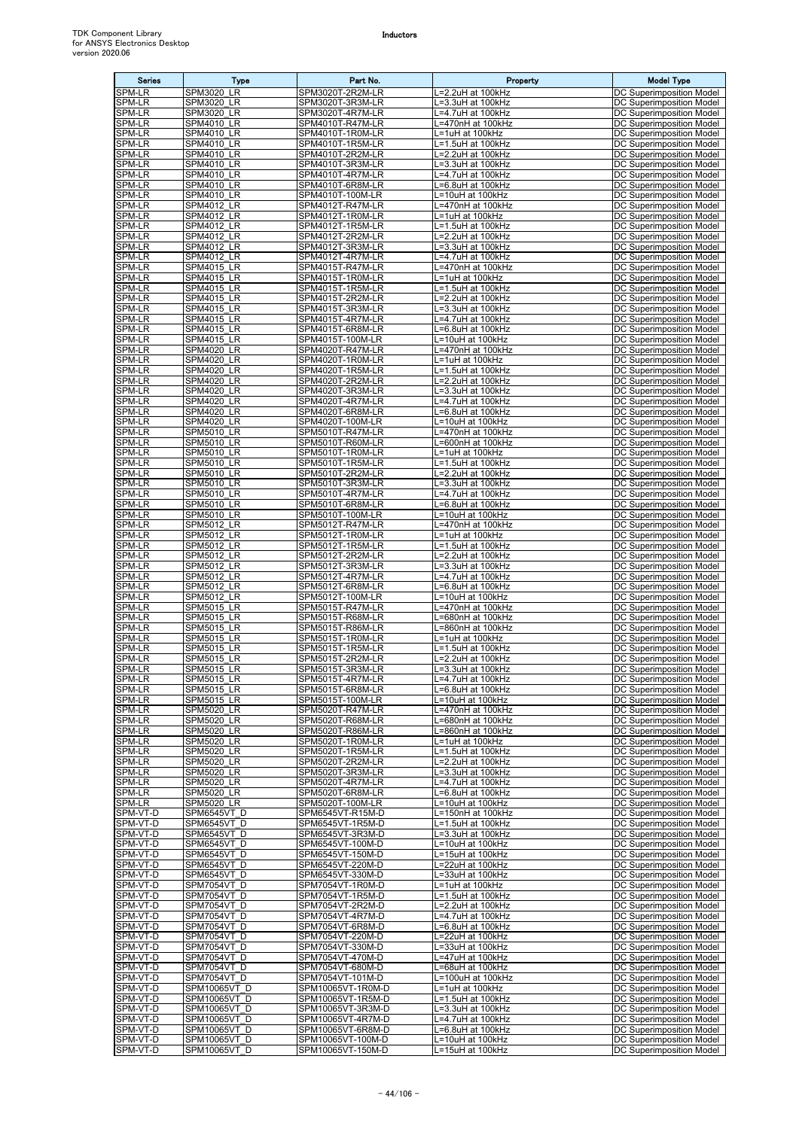| <b>Series</b>           | Type                                      | Part No.                               | Property                               | <b>Model Type</b>                                           |
|-------------------------|-------------------------------------------|----------------------------------------|----------------------------------------|-------------------------------------------------------------|
| <b>SPM-LR</b>           | LR<br>SPM3020                             | SPM3020T-2R2M-LR                       | L=2.2uH at 100kHz                      | DC Superimposition Model                                    |
| SPM-LR<br>SPM-LR        | SPM3020<br>LR<br><b>SPM3020 LR</b>        | SPM3020T-3R3M-LR<br>SPM3020T-4R7M-LR   | L=3.3uH at 100kHz<br>L=4.7uH at 100kHz | DC Superimposition Model<br>DC Superimposition Model        |
| SPM-LR                  | <b>SPM4010 LR</b>                         | SPM4010T-R47M-LR                       | L=470nH at 100kHz                      | <b>DC Superimposition Model</b>                             |
| SPM-LR                  | <b>SPM4010 LR</b>                         | SPM4010T-1R0M-LR                       | L=1uH at 100kHz                        | DC Superimposition Model                                    |
| SPM-LR<br>SPM-LR        | SPM4010<br>LR<br><b>SPM4010 LR</b>        | SPM4010T-1R5M-LR<br>SPM4010T-2R2M-LR   | L=1.5uH at 100kHz<br>=2.2uH at 100kHz  | DC Superimposition Model<br>DC Superimposition Model        |
| <b>SPM-LR</b>           | <b>SPM4010 LR</b>                         | SPM4010T-3R3M-LR                       | L=3.3uH at 100kHz                      | DC Superimposition Model                                    |
| SPM-LR                  | SPM4010<br>LR                             | SPM4010T-4R7M-LR                       | L=4.7uH at 100kHz                      | DC Superimposition Model                                    |
| SPM-LR<br>SPM-LR        | <b>SPM4010 LR</b><br><b>SPM4010 LR</b>    | SPM4010T-6R8M-LR<br>SPM4010T-100M-LR   | L=6.8uH at 100kHz<br>L=10uH at 100kHz  | DC Superimposition Model<br>DC Superimposition Model        |
| SPM-LR                  | <b>SPM4012 LR</b>                         | SPM4012T-R47M-LR                       | L=470nH at 100kHz                      | DC Superimposition Model                                    |
| <b>SPM-LR</b>           | SPM4012<br>LR                             | SPM4012T-1R0M-LR                       | L=1uH at 100kHz                        | DC Superimposition Model                                    |
| SPM-LR<br><b>SPM-LR</b> | <b>SPM4012 LR</b><br><b>SPM4012 LR</b>    | SPM4012T-1R5M-LR<br>SPM4012T-2R2M-LR   | L=1.5uH at 100kHz<br>L=2.2uH at 100kHz | DC Superimposition Model<br>DC Superimposition Model        |
| SPM-LR                  | <b>SPM4012 LR</b>                         | SPM4012T-3R3M-LR                       | =3.3uH at 100kHz                       | DC Superimposition Model                                    |
| SPM-LR<br>SPM-LR        | <b>SPM4012 LR</b>                         | SPM4012T-4R7M-LR                       | L=4.7uH at 100kHz<br>L=470nH at 100kHz | <b>DC Superimposition Model</b>                             |
| SPM-LR                  | <b>SPM4015 LR</b><br><b>SPM4015 LR</b>    | SPM4015T-R47M-LR<br>SPM4015T-1R0M-LR   | L=1uH at 100kHz                        | DC Superimposition Model<br>DC Superimposition Model        |
| <b>SPM-LR</b>           | <b>SPM4015 LR</b>                         | SPM4015T-1R5M-LR                       | L=1.5uH at 100kHz                      | DC Superimposition Model                                    |
| SPM-LR<br><b>SPM-LR</b> | <b>SPM4015 LR</b><br><b>SPM4015 LR</b>    | SPM4015T-2R2M-LR<br>SPM4015T-3R3M-LR   | L=2.2uH at 100kHz<br>L=3.3uH at 100kHz | DC Superimposition Model<br>DC Superimposition Model        |
| SPM-LR                  | <b>SPM4015 LR</b>                         | SPM4015T-4R7M-LR                       | =4.7uH at 100kHz                       | DC Superimposition Model                                    |
| SPM-LR                  | <b>SPM4015 LR</b>                         | SPM4015T-6R8M-LR                       | L=6.8uH at 100kHz                      | DC Superimposition Model                                    |
| SPM-LR<br>SPM-LR        | <b>SPM4015 LR</b><br><b>SPM4020_LR</b>    | SPM4015T-100M-LR<br>SPM4020T-R47M-LR   | =10uH at 100kHz<br>L=470nH at 100kHz   | DC Superimposition Model<br>DC Superimposition Model        |
| SPM-LR                  | SPM4020<br>LR                             | SPM4020T-1R0M-LR                       | L=1uH at 100kHz                        | DC Superimposition Model                                    |
| <b>SPM-LR</b><br>SPM-LR | <b>SPM4020 LR</b>                         | SPM4020T-1R5M-LR                       | L=1.5uH at 100kHz                      | DC Superimposition Model                                    |
| SPM-LR                  | <b>SPM4020 LR</b><br>SPM4020<br>LR        | SPM4020T-2R2M-LR<br>SPM4020T-3R3M-LR   | L=2.2uH at 100kHz<br>L=3.3uH at 100kHz | DC Superimposition Model<br><b>DC Superimposition Model</b> |
| SPM-LR                  | SPM4020<br>LR                             | SPM4020T-4R7M-LR                       | -4.7uH at 100kHz                       | DC Superimposition Model                                    |
| SPM-LR<br>SPM-LR        | <b>SPM4020</b><br>LR<br><b>SPM4020 LR</b> | SPM4020T-6R8M-LR<br>SPM4020T-100M-LR   | =6.8uH at 100kHz                       | DC Superimposition Model                                    |
| <b>SPM-LR</b>           | SPM5010<br>LR                             | SPM5010T-R47M-LR                       | L=10uH at 100kHz<br>L=470nH at 100kHz  | DC Superimposition Model<br>DC Superimposition Model        |
| SPM-LR                  | <b>SPM5010 LR</b>                         | SPM5010T-R60M-LR                       | L=600nH at 100kHz                      | DC Superimposition Model                                    |
| SPM-LR<br>SPM-LR        | <b>SPM5010 LR</b><br>SPM5010<br>LR        | SPM5010T-1R0M-LR<br>SPM5010T-1R5M-LR   | L=1uH at 100kHz<br>L=1.5uH at 100kHz   | DC Superimposition Model<br>DC Superimposition Model        |
| SPM-LR                  | SPM5010<br>LR                             | SPM5010T-2R2M-LR                       | L=2.2uH at 100kHz                      | DC Superimposition Model                                    |
| SPM-LR                  | SPM5010<br>LR                             | SPM5010T-3R3M-LR                       | -3.3uH at 100kHz                       | DC Superimposition Model                                    |
| <b>SPM-LR</b><br>SPM-LR | <b>SPM5010 LR</b><br><b>SPM5010 LR</b>    | SPM5010T-4R7M-LR<br>SPM5010T-6R8M-LR   | L=4.7uH at 100kHz<br>=6.8uH at 100kHz  | DC Superimposition Model<br>DC Superimposition Model        |
| SPM-LR                  | <b>SPM5010 LR</b>                         | SPM5010T-100M-LR                       | L=10uH at 100kHz                       | <b>DC Superimposition Model</b>                             |
| SPM-LR                  | <b>SPM5012 LR</b>                         | SPM5012T-R47M-LR                       | L=470nH at 100kHz                      | DC Superimposition Model                                    |
| SPM-LR<br>SPM-LR        | <b>SPM5012 LR</b><br><b>SPM5012 LR</b>    | SPM5012T-1R0M-LR<br>SPM5012T-1R5M-LR   | L=1uH at 100kHz<br>L=1.5uH at 100kHz   | DC Superimposition Model<br>DC Superimposition Model        |
| SPM-LR                  | <b>SPM5012 LR</b>                         | SPM5012T-2R2M-LR                       | L=2.2uH at 100kHz                      | DC Superimposition Model                                    |
| <b>SPM-LR</b><br>SPM-LR | <b>SPM5012 LR</b><br><b>SPM5012 LR</b>    | SPM5012T-3R3M-LR                       | L=3.3uH at 100kHz<br>.=4.7uH at 100kHz | DC Superimposition Model<br>DC Superimposition Model        |
| SPM-LR                  | <b>SPM5012 LR</b>                         | SPM5012T-4R7M-LR<br>SPM5012T-6R8M-LR   | L=6.8uH at 100kHz                      | DC Superimposition Model                                    |
| SPM-LR                  | <b>SPM5012 LR</b>                         | SPM5012T-100M-LR                       | L=10uH at 100kHz                       | DC Superimposition Model                                    |
| SPM-LR<br><b>SPM-LR</b> | <b>SPM5015 LR</b><br><b>SPM5015 LR</b>    | SPM5015T-R47M-LR<br>SPM5015T-R68M-LR   | L=470nH at 100kHz<br>L=680nH at 100kHz | DC Superimposition Model<br>DC Superimposition Model        |
| SPM-LR                  | <b>SPM5015 LR</b>                         | SPM5015T-R86M-LR                       | L=860nH at 100kHz                      | DC Superimposition Model                                    |
| SPM-LR                  | <b>SPM5015 LR</b>                         | SPM5015T-1R0M-LR                       | L=1uH at 100kHz                        | DC Superimposition Model                                    |
| SPM-LR<br>SPM-LR        | <b>SPM5015 LR</b><br><b>SPM5015 LR</b>    | SPM5015T-1R5M-LR<br>SPM5015T-2R2M-LR   | L=1.5uH at 100kHz<br>L=2.2uH at 100kHz | DC Superimposition Model<br>DC Superimposition Model        |
| SPM-LR                  | <b>SPM5015 LR</b>                         | SPM5015T-3R3M-LR                       | L=3.3uH at 100kHz                      | DC Superimposition Model                                    |
| SPM-LR<br>SPM-LR        | <b>SPM5015 LR</b><br><b>SPM5015 LR</b>    | SPM5015T-4R7M-LR<br>SPM5015T-6R8M-LR   | L=4.7uH at 100kHz<br>L=6.8uH at 100kHz | DC Superimposition Model<br>DC Superimposition Model        |
| SPM-LR                  | <b>SPM5015 LR</b>                         | SPM5015T-100M-LR                       | L=10uH at 100kHz                       | DC Superimposition Model                                    |
| SPM-LR                  | <b>SPM5020 LR</b>                         | SPM5020T-R47M-LR                       | L=470nH at 100kHz                      | DC Superimposition Model                                    |
| <b>SPM-LR</b><br>SPM-LR | <b>SPM5020 LR</b><br><b>SPM5020 LR</b>    | SPM5020T-R68M-LR<br>SPM5020T-R86M-LR   | L=680nH at 100kHz<br>L=860nH at 100kHz | <b>DC Superimposition Model</b><br>DC Superimposition Model |
| SPM-LR                  | <b>SPM5020 LR</b>                         | SPM5020T-1R0M-LR                       | L=1uH at 100kHz                        | DC Superimposition Model                                    |
| <b>SPM-LR</b>           | <b>SPM5020 LR</b>                         | SPM5020T-1R5M-LR                       | L=1.5uH at 100kHz                      | DC Superimposition Model                                    |
| SPM-LR<br>SPM-LR        | <b>SPM5020 LR</b><br><b>SPM5020 LR</b>    | SPM5020T-2R2M-LR<br>SPM5020T-3R3M-LR   | .=2.2uH at 100kHz<br>L=3.3uH at 100kHz | DC Superimposition Model<br>DC Superimposition Model        |
| SPM-LR                  | <b>SPM5020 LR</b>                         | SPM5020T-4R7M-LR                       | L=4.7uH at 100kHz                      | DC Superimposition Model                                    |
| SPM-LR<br>SPM-LR        | <b>SPM5020 LR</b><br><b>SPM5020 LR</b>    | SPM5020T-6R8M-LR<br>SPM5020T-100M-LR   | L=6.8uH at 100kHz<br>L=10uH at 100kHz  | <b>DC Superimposition Model</b><br>DC Superimposition Model |
| SPM-VT-D                | SPM6545VT D                               | SPM6545VT-R15M-D                       | L=150nH at 100kHz                      | DC Superimposition Model                                    |
| SPM-VT-D                | SPM6545VT D                               | SPM6545VT-1R5M-D                       | L=1.5uH at 100kHz                      | DC Superimposition Model                                    |
| SPM-VT-D<br>SPM-VT-D    | SPM6545VT D<br>SPM6545VT_D                | SPM6545VT-3R3M-D<br>SPM6545VT-100M-D   | .=3.3uH at 100kHz<br>L=10uH at 100kHz  | DC Superimposition Model<br>DC Superimposition Model        |
| SPM-VT-D                | SPM6545VT D                               | SPM6545VT-150M-D                       | L=15uH at 100kHz                       | DC Superimposition Model                                    |
| SPM-VT-D                | SPM6545VT D                               | SPM6545VT-220M-D                       | L=22uH at 100kHz                       | DC Superimposition Model                                    |
| SPM-VT-D<br>SPM-VT-D    | SPM6545VT D<br>SPM7054VT D                | SPM6545VT-330M-D<br>SPM7054VT-1R0M-D   | L=33uH at 100kHz<br>L=1uH at 100kHz    | DC Superimposition Model<br>DC Superimposition Model        |
| SPM-VT-D                | SPM7054VT D                               | SPM7054VT-1R5M-D                       | L=1.5uH at 100kHz                      | DC Superimposition Model                                    |
| SPM-VT-D<br>SPM-VT-D    | SPM7054VT D<br>SPM7054VT D                | SPM7054VT-2R2M-D<br>SPM7054VT-4R7M-D   | L=2.2uH at 100kHz<br>L=4.7uH at 100kHz | DC Superimposition Model<br>DC Superimposition Model        |
| SPM-VT-D                | SPM7054VT D                               | SPM7054VT-6R8M-D                       | =6.8uH at 100kHz                       | DC Superimposition Model                                    |
| SPM-VT-D                | SPM7054VT D                               | SPM7054VT-220M-D                       | L=22uH at 100kHz                       | DC Superimposition Model                                    |
| SPM-VT-D<br>SPM-VT-D    | SPM7054VT D<br>SPM7054VT D                | SPM7054VT-330M-D<br>SPM7054VT-470M-D   | L=33uH at 100kHz<br>L=47uH at 100kHz   | DC Superimposition Model<br>DC Superimposition Model        |
| SPM-VT-D                | SPM7054VT D                               | SPM7054VT-680M-D                       | L=68uH at 100kHz                       | DC Superimposition Model                                    |
| SPM-VT-D<br>SPM-VT-D    | SPM7054VT D<br><b>SPM10065VT D</b>        | SPM7054VT-101M-D                       | L=100uH at 100kHz                      | DC Superimposition Model<br>DC Superimposition Model        |
| SPM-VT-D                | <b>SPM10065VT D</b>                       | SPM10065VT-1R0M-D<br>SPM10065VT-1R5M-D | L=1uH at 100kHz<br>L=1.5uH at 100kHz   | DC Superimposition Model                                    |
| SPM-VT-D                | SPM10065VT D                              | SPM10065VT-3R3M-D                      | L=3.3uH at 100kHz                      | <b>DC Superimposition Model</b>                             |
| SPM-VT-D<br>SPM-VT-D    | SPM10065VT D<br>SPM10065VT D              | SPM10065VT-4R7M-D<br>SPM10065VT-6R8M-D | L=4.7uH at 100kHz<br>L=6.8uH at 100kHz | DC Superimposition Model<br>DC Superimposition Model        |
| SPM-VT-D                | SPM10065VT D                              | SPM10065VT-100M-D                      | L=10uH at 100kHz                       | DC Superimposition Model                                    |
| SPM-VT-D                | SPM10065VT D                              | SPM10065VT-150M-D                      | L=15uH at 100kHz                       | DC Superimposition Model                                    |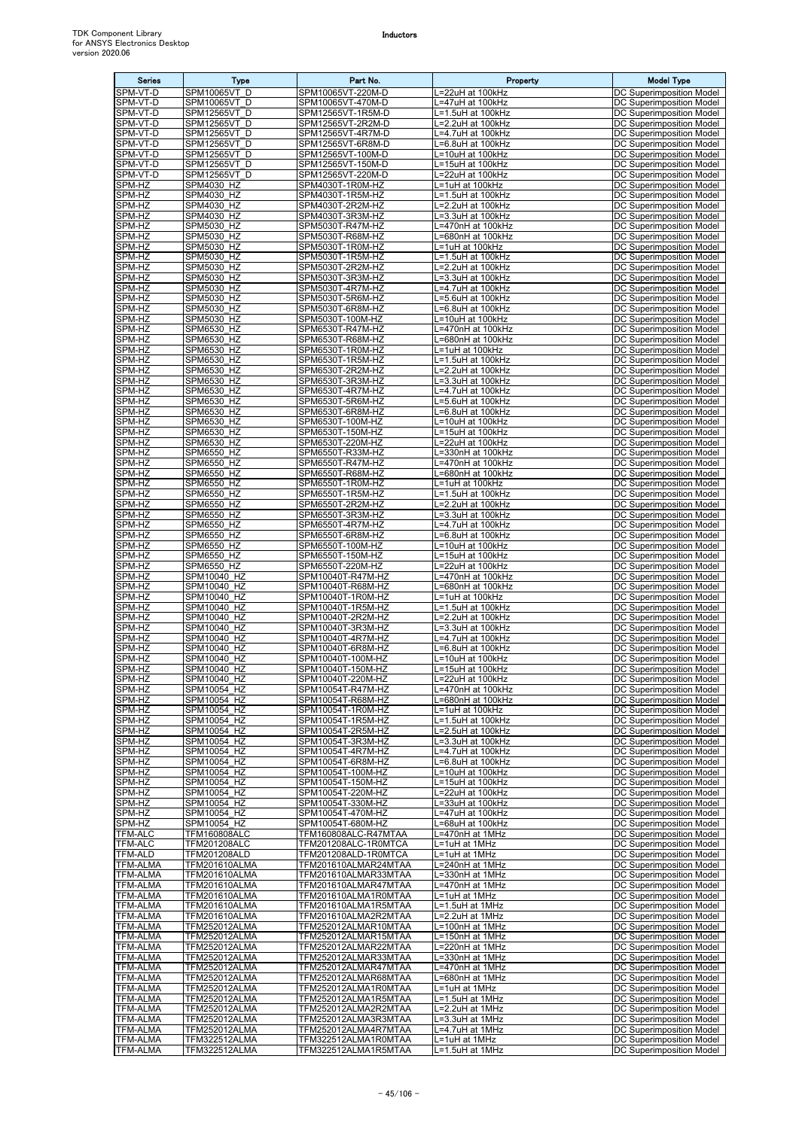| <b>Series</b>                      | Type                                         | Part No.                                     | Property                               | <b>Model Type</b>                                           |
|------------------------------------|----------------------------------------------|----------------------------------------------|----------------------------------------|-------------------------------------------------------------|
| SPM-VT-D                           | <b>SPM10065VT D</b>                          | SPM10065VT-220M-D                            | L=22uH at 100kHz                       | DC Superimposition Model                                    |
| SPM-VT-D<br>SPM-VT-D               | SPM10065VT D<br>SPM12565VT D                 | SPM10065VT-470M-D<br>SPM12565VT-1R5M-D       | L=47uH at 100kHz<br>L=1.5uH at 100kHz  | DC Superimposition Model<br><b>DC Superimposition Model</b> |
| SPM-VT-D                           | SPM12565VT D                                 | SPM12565VT-2R2M-D                            | L=2.2uH at 100kHz                      | DC Superimposition Model                                    |
| SPM-VT-D                           | SPM12565VT D                                 | SPM12565VT-4R7M-D                            | L=4.7uH at 100kHz                      | DC Superimposition Model                                    |
| SPM-VT-D                           | SPM12565VT D                                 | SPM12565VT-6R8M-D                            | L=6.8uH at 100kHz                      | DC Superimposition Model                                    |
| SPM-VT-D<br>SPM-VT-D               | SPM12565VT D<br>SPM12565VT D                 | SPM12565VT-100M-D<br>SPM12565VT-150M-D       | L=10uH at 100kHz<br>L=15uH at 100kHz   | DC Superimposition Model<br>DC Superimposition Model        |
| SPM-VT-D                           | SPM12565VT D                                 | SPM12565VT-220M-D                            | L=22uH at 100kHz                       | DC Superimposition Model                                    |
| SPM-HZ                             | SPM4030 HZ                                   | SPM4030T-1R0M-HZ                             | L=1uH at 100kHz                        | DC Superimposition Model                                    |
| SPM-HZ                             | SPM4030 HZ                                   | SPM4030T-1R5M-HZ                             | L=1.5uH at 100kHz                      | DC Superimposition Model                                    |
| SPM-HZ<br>SPM-HZ                   | SPM4030 HZ<br>SPM4030 HZ                     | SPM4030T-2R2M-HZ<br>SPM4030T-3R3M-HZ         | L=2.2uH at 100kHz<br>L=3.3uH at 100kHz | DC Superimposition Model<br>DC Superimposition Model        |
| SPM-HZ                             | <b>SPM5030 HZ</b>                            | SPM5030T-R47M-HZ                             | L=470nH at 100kHz                      | DC Superimposition Model                                    |
| SPM-HZ                             | <b>SPM5030 HZ</b>                            | SPM5030T-R68M-HZ                             | L=680nH at 100kHz                      | DC Superimposition Model                                    |
| SPM-HZ                             | SPM5030 HZ                                   | SPM5030T-1R0M-HZ                             | L=1uH at 100kHz                        | DC Superimposition Model                                    |
| SPM-HZ<br>SPM-HZ                   | SPM5030 HZ<br><b>SPM5030 HZ</b>              | SPM5030T-1R5M-HZ<br>SPM5030T-2R2M-HZ         | L=1.5uH at 100kHz<br>L=2.2uH at 100kHz | DC Superimposition Model<br>DC Superimposition Model        |
| SPM-HZ                             | <b>SPM5030 HZ</b>                            | SPM5030T-3R3M-HZ                             | L=3.3uH at 100kHz                      | DC Superimposition Model                                    |
| SPM-HZ                             | SPM5030 HZ                                   | SPM5030T-4R7M-HZ                             | L=4.7uH at 100kHz                      | DC Superimposition Model                                    |
| SPM-HZ<br>SPM-HZ                   | <b>SPM5030 HZ</b><br>SPM5030 HZ              | SPM5030T-5R6M-HZ<br>SPM5030T-6R8M-HZ         | L=5.6uH at 100kHz<br>L=6.8uH at 100kHz | DC Superimposition Model<br>DC Superimposition Model        |
| SPM-HZ                             | SPM5030 HZ                                   | SPM5030T-100M-HZ                             | L=10uH at 100kHz                       | DC Superimposition Model                                    |
| SPM-HZ                             | SPM6530_HZ                                   | SPM6530T-R47M-HZ                             | L=470nH at 100kHz                      | <b>DC Superimposition Model</b>                             |
| SPM-HZ                             | SPM6530 HZ                                   | SPM6530T-R68M-HZ                             | L=680nH at 100kHz                      | DC Superimposition Model                                    |
| SPM-HZ                             | <b>SPM6530_HZ</b>                            | SPM6530T-1R0M-HZ                             | L=1uH at 100kHz                        | DC Superimposition Model<br>DC Superimposition Model        |
| SPM-HZ<br>SPM-HZ                   | SPM6530 HZ<br>SPM6530 HZ                     | SPM6530T-1R5M-HZ<br>SPM6530T-2R2M-HZ         | L=1.5uH at 100kHz<br>L=2.2uH at 100kHz | DC Superimposition Model                                    |
| SPM-HZ                             | SPM6530 HZ                                   | SPM6530T-3R3M-HZ                             | L=3.3uH at 100kHz                      | DC Superimposition Model                                    |
| SPM-HZ                             | SPM6530 HZ                                   | SPM6530T-4R7M-HZ                             | L=4.7uH at 100kHz                      | DC Superimposition Model                                    |
| SPM-HZ<br>SPM-HZ                   | SPM6530 HZ<br>SPM6530 HZ                     | SPM6530T-5R6M-HZ<br>SPM6530T-6R8M-HZ         | L=5.6uH at 100kHz<br>L=6.8uH at 100kHz | DC Superimposition Model<br>DC Superimposition Model        |
| SPM-HZ                             | <b>SPM6530 HZ</b>                            | SPM6530T-100M-HZ                             | L=10uH at 100kHz                       | DC Superimposition Model                                    |
| SPM-HZ                             | SPM6530 HZ                                   | SPM6530T-150M-HZ                             | L=15uH at 100kHz                       | DC Superimposition Model                                    |
| SPM-HZ                             | SPM6530 HZ                                   | SPM6530T-220M-HZ                             | L=22uH at 100kHz                       | DC Superimposition Model                                    |
| SPM-HZ<br>SPM-HZ                   | SPM6550 HZ<br><b>SPM6550 HZ</b>              | SPM6550T-R33M-HZ<br>SPM6550T-R47M-HZ         | L=330nH at 100kHz<br>L=470nH at 100kHz | DC Superimposition Model<br>DC Superimposition Model        |
| SPM-HZ                             | <b>SPM6550 HZ</b>                            | SPM6550T-R68M-HZ                             | L=680nH at 100kHz                      | DC Superimposition Model                                    |
| SPM-HZ                             | SPM6550 HZ                                   | SPM6550T-1R0M-HZ                             | L=1uH at 100kHz                        | DC Superimposition Model                                    |
| SPM-HZ                             | SPM6550_HZ                                   | SPM6550T-1R5M-HZ                             | L=1.5uH at 100kHz                      | DC Superimposition Model                                    |
| SPM-HZ<br>SPM-HZ                   | <b>SPM6550 HZ</b><br><b>SPM6550 HZ</b>       | SPM6550T-2R2M-HZ<br>SPM6550T-3R3M-HZ         | L=2.2uH at 100kHz<br>L=3.3uH at 100kHz | DC Superimposition Model<br>DC Superimposition Model        |
| SPM-HZ                             | SPM6550 HZ                                   | SPM6550T-4R7M-HZ                             | L=4.7uH at 100kHz                      | DC Superimposition Model                                    |
| SPM-HZ                             | SPM6550 HZ                                   | SPM6550T-6R8M-HZ                             | L=6.8uH at 100kHz                      | DC Superimposition Model                                    |
| SPM-HZ                             | <b>SPM6550 HZ</b>                            | SPM6550T-100M-HZ                             | L=10uH at 100kHz                       | DC Superimposition Model                                    |
| SPM-HZ<br>SPM-HZ                   | SPM6550 HZ<br><b>SPM6550 HZ</b>              | SPM6550T-150M-HZ<br>SPM6550T-220M-HZ         | L=15uH at 100kHz<br>L=22uH at 100kHz   | DC Superimposition Model<br>DC Superimposition Model        |
| SPM-HZ                             | SPM10040 HZ                                  | SPM10040T-R47M-HZ                            | L=470nH at 100kHz                      | DC Superimposition Model                                    |
| SPM-HZ                             | SPM10040 HZ                                  | SPM10040T-R68M-HZ                            | L=680nH at 100kHz                      | DC Superimposition Model                                    |
| SPM-HZ                             | SPM10040 HZ                                  | SPM10040T-1R0M-HZ                            | L=1uH at 100kHz<br>L=1.5uH at 100kHz   | DC Superimposition Model                                    |
| SPM-HZ<br>SPM-HZ                   | SPM10040 HZ<br>SPM10040 HZ                   | SPM10040T-1R5M-HZ<br>SPM10040T-2R2M-HZ       | L=2.2uH at 100kHz                      | DC Superimposition Model<br>DC Superimposition Model        |
| SPM-HZ                             | SPM10040 HZ                                  | SPM10040T-3R3M-HZ                            | L=3.3uH at 100kHz                      | DC Superimposition Model                                    |
| SPM-HZ                             | SPM10040 HZ                                  | SPM10040T-4R7M-HZ                            | L=4.7uH at 100kHz                      | DC Superimposition Model                                    |
| SPM-HZ<br>SPM-HZ                   | SPM10040 HZ<br>SPM10040 HZ                   | SPM10040T-6R8M-HZ<br>SPM10040T-100M-HZ       | L=6.8uH at 100kHz<br>L=10uH at 100kHz  | DC Superimposition Model<br>DC Superimposition Model        |
| SPM-HZ                             | SPM10040 HZ                                  | SPM10040T-150M-HZ                            | L=15uH at 100kHz                       | DC Superimposition Model                                    |
| SPM-HZ                             | SPM10040 HZ                                  | SPM10040T-220M-HZ                            | L=22uH at 100kHz                       | DC Superimposition Model                                    |
| SPM-HZ                             | SPM10054 HZ                                  | SPM10054T-R47M-HZ                            | L=470nH at 100kHz                      | DC Superimposition Model<br>DC Superimposition Model        |
| SPM-HZ<br>SPM-HZ                   | SPM10054 HZ<br>SPM10054 HZ                   | SPM10054T-R68M-HZ<br>SPM10054T-1R0M-HZ       | L=680nH at 100kHz<br>L=1uH at 100kHz   | DC Superimposition Model                                    |
| SPM-HZ                             | SPM10054 HZ                                  | SPM10054T-1R5M-HZ                            | L=1.5uH at 100kHz                      | DC Superimposition Model                                    |
| SPM-HZ                             | SPM10054 HZ                                  | SPM10054T-2R5M-HZ                            | L=2.5uH at 100kHz                      | DC Superimposition Model                                    |
| SPM-HZ<br>SPM-HZ                   | SPM10054 HZ<br>SPM10054 HZ                   | SPM10054T-3R3M-HZ                            | L=3.3uH at 100kHz<br>L=4.7uH at 100kHz | <b>DC Superimposition Model</b><br>DC Superimposition Model |
| SPM-HZ                             | SPM10054 HZ                                  | SPM10054T-4R7M-HZ<br>SPM10054T-6R8M-HZ       | L=6.8uH at 100kHz                      | DC Superimposition Model                                    |
| SPM-HZ                             | SPM10054 HZ                                  | SPM10054T-100M-HZ                            | L=10uH at 100kHz                       | DC Superimposition Model                                    |
| SPM-HZ                             | SPM10054 HZ                                  | SPM10054T-150M-HZ<br>SPM10054T-220M-HZ       | L=15uH at 100kHz                       | DC Superimposition Model                                    |
| SPM-HZ<br>SPM-HZ                   | SPM10054 HZ<br>SPM10054 HZ                   | SPM10054T-330M-HZ                            | L=22uH at 100kHz<br>L=33uH at 100kHz   | DC Superimposition Model<br>DC Superimposition Model        |
| SPM-HZ                             | SPM10054 HZ                                  | SPM10054T-470M-HZ                            | L=47uH at 100kHz                       | DC Superimposition Model                                    |
| SPM-HZ                             | SPM10054 HZ                                  | SPM10054T-680M-HZ                            | L=68uH at 100kHz                       | DC Superimposition Model                                    |
| <b>TFM-ALC</b><br>TFM-ALC          | TFM160808ALC<br>TFM201208ALC                 | TFM160808ALC-R47MTAA<br>TFM201208ALC-1R0MTCA | L=470nH at 1MHz<br>L=1uH at 1MHz       | <b>DC Superimposition Model</b><br>DC Superimposition Model |
| TFM-ALD                            | TFM201208ALD                                 | TFM201208ALD-1R0MTCA                         | L=1uH at 1MHz                          | DC Superimposition Model                                    |
| TFM-ALMA                           | <b>TFM201610ALMA</b>                         | TFM201610ALMAR24MTAA                         | L=240nH at 1MHz                        | DC Superimposition Model                                    |
| TFM-ALMA                           | TFM201610ALMA                                | TFM201610ALMAR33MTAA                         | L=330nH at 1MHz                        | DC Superimposition Model                                    |
| <b>TFM-ALMA</b><br>TFM-ALMA        | <b>TFM201610ALMA</b><br><b>TFM201610ALMA</b> | TFM201610ALMAR47MTAA<br>TFM201610ALMA1R0MTAA | L=470nH at 1MHz<br>L=1uH at 1MHz       | DC Superimposition Model<br>DC Superimposition Model        |
| <b>TFM-ALMA</b>                    | TFM201610ALMA                                | TFM201610ALMA1R5MTAA                         | L=1.5uH at 1MHz                        | DC Superimposition Model                                    |
| TFM-ALMA                           | TFM201610ALMA                                | TFM201610ALMA2R2MTAA                         | L=2.2uH at 1MHz                        | DC Superimposition Model                                    |
| <b>TFM-ALMA</b><br>TFM-ALMA        | <b>TFM252012ALMA</b><br><b>TFM252012ALMA</b> | TFM252012ALMAR10MTAA<br>TFM252012ALMAR15MTAA | L=100nH at 1MHz<br>L=150nH at 1MHz     | DC Superimposition Model<br>DC Superimposition Model        |
| <b>TFM-ALMA</b>                    | <b>TFM252012ALMA</b>                         | TFM252012ALMAR22MTAA                         | L=220nH at 1MHz                        | DC Superimposition Model                                    |
| TFM-ALMA                           | TFM252012ALMA                                | TFM252012ALMAR33MTAA                         | L=330nH at 1MHz                        | <b>DC Superimposition Model</b>                             |
| <b>TFM-ALMA</b>                    | <b>TFM252012ALMA</b>                         | TFM252012ALMAR47MTAA                         | L=470nH at 1MHz                        | DC Superimposition Model                                    |
| <b>TFM-ALMA</b><br><b>TFM-ALMA</b> | <b>TFM252012ALMA</b><br>TFM252012ALMA        | TFM252012ALMAR68MTAA<br>TFM252012ALMA1R0MTAA | L=680nH at 1MHz<br>L=1uH at 1MHz       | DC Superimposition Model<br>DC Superimposition Model        |
| <b>TFM-ALMA</b>                    | TFM252012ALMA                                | TFM252012ALMA1R5MTAA                         | L=1.5uH at 1MHz                        | DC Superimposition Model                                    |
| TFM-ALMA                           | TFM252012ALMA                                | TFM252012ALMA2R2MTAA                         | L=2.2uH at 1MHz                        | DC Superimposition Model                                    |
| <b>TFM-ALMA</b>                    | <b>TFM252012ALMA</b>                         | TFM252012ALMA3R3MTAA                         | L=3.3uH at 1MHz                        | DC Superimposition Model                                    |
| TFM-ALMA<br>TFM-ALMA               | TFM252012ALMA<br>TFM322512ALMA               | TFM252012ALMA4R7MTAA<br>TFM322512ALMA1R0MTAA | L=4.7uH at 1MHz<br>L=1uH at 1MHz       | DC Superimposition Model<br>DC Superimposition Model        |
| <b>TFM-ALMA</b>                    | <b>TFM322512ALMA</b>                         | TFM322512ALMA1R5MTAA                         | L=1.5uH at 1MHz                        | DC Superimposition Model                                    |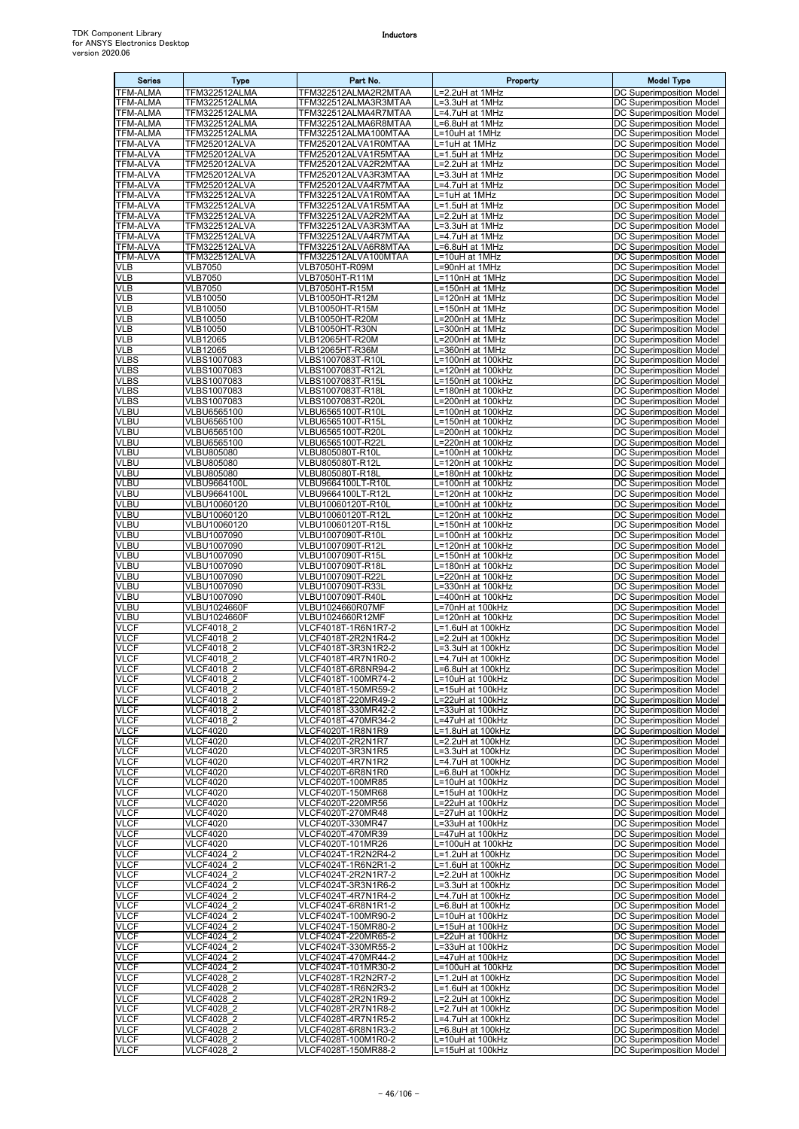| <b>Series</b>               | <b>Type</b>                           | Part No.                                     | Property                               | <b>Model Type</b>                                           |
|-----------------------------|---------------------------------------|----------------------------------------------|----------------------------------------|-------------------------------------------------------------|
| TFM-ALMA                    | TFM322512ALMA                         | TFM322512ALMA2R2MTAA                         | L=2.2uH at 1MHz                        | DC Superimposition Model                                    |
| TFM-ALMA                    | TFM322512ALMA                         | TFM322512ALMA3R3MTAA                         | =3.3uH at 1MHz                         | DC Superimposition Model                                    |
| TFM-ALMA                    | TFM322512ALMA                         | TFM322512ALMA4R7MTAA                         | L=4.7uH at 1MHz                        | DC Superimposition Model                                    |
| TFM-ALMA                    | TFM322512ALMA                         | TFM322512ALMA6R8MTAA                         | L=6.8uH at 1MHz                        | DC Superimposition Model                                    |
| TFM-ALMA<br><b>TFM-ALVA</b> | TFM322512ALMA<br><b>TFM252012ALVA</b> | TFM322512ALMA100MTAA                         | L=10uH at 1MHz<br>L=1uH at 1MHz        | DC Superimposition Model<br>DC Superimposition Model        |
| TFM-ALVA                    | <b>TFM252012ALVA</b>                  | TFM252012ALVA1R0MTAA<br>TFM252012ALVA1R5MTAA | L=1.5uH at 1MHz                        | DC Superimposition Model                                    |
| <b>TFM-ALVA</b>             | <b>TFM252012ALVA</b>                  | TFM252012ALVA2R2MTAA                         | L=2.2uH at 1MHz                        | DC Superimposition Model                                    |
| TFM-ALVA                    | <b>TFM252012ALVA</b>                  | TFM252012ALVA3R3MTAA                         | L=3.3uH at 1MHz                        | DC Superimposition Model                                    |
| <b>TFM-ALVA</b>             | <b>TFM252012ALVA</b>                  | TFM252012ALVA4R7MTAA                         | L=4.7uH at 1MHz                        | DC Superimposition Model                                    |
| TFM-ALVA<br><b>TFM-ALVA</b> | <b>TFM322512ALVA</b>                  | TFM322512ALVA1R0MTAA                         | L=1uH at 1MHz                          | DC Superimposition Model                                    |
| TFM-ALVA                    | <b>TFM322512ALVA</b><br>TFM322512ALVA | TFM322512ALVA1R5MTAA<br>TFM322512ALVA2R2MTAA | L=1.5uH at 1MHz<br>L=2.2uH at 1MHz     | DC Superimposition Model<br>DC Superimposition Model        |
| <b>TFM-ALVA</b>             | <b>TFM322512ALVA</b>                  | TFM322512ALVA3R3MTAA                         | L=3.3uH at 1MHz                        | DC Superimposition Model                                    |
| <b>TFM-ALVA</b>             | <b>TFM322512ALVA</b>                  | TFM322512ALVA4R7MTAA                         | L=4.7uH at 1MHz                        | DC Superimposition Model                                    |
| TFM-ALVA                    | TFM322512ALVA                         | TFM322512ALVA6R8MTAA                         | $\overline{L=6.8}$ uH at 1MHz          | DC Superimposition Model                                    |
| <b>TFM-ALVA</b>             | <b>TFM322512ALVA</b>                  | TFM322512ALVA100MTAA                         | L=10uH at 1MHz                         | DC Superimposition Model                                    |
| VLB<br>VLB                  | <b>VLB7050</b><br><b>VLB7050</b>      | VLB7050HT-R09M<br>VLB7050HT-R11M             | L=90nH at 1MHz<br>L=110nH at 1MHz      | DC Superimposition Model<br>DC Superimposition Model        |
| VLB                         | <b>VLB7050</b>                        | VLB7050HT-R15M                               | L=150nH at 1MHz                        | DC Superimposition Model                                    |
| VLB                         | VLB10050                              | VLB10050HT-R12M                              | $L = 120nH$ at 1MHz                    | <b>DC Superimposition Model</b>                             |
| VLB                         | <b>VLB10050</b>                       | VLB10050HT-R15M                              | L=150nH at 1MHz                        | DC Superimposition Model                                    |
| VLB                         | <b>VLB10050</b>                       | VLB10050HT-R20M                              | L=200nH at 1MHz                        | DC Superimposition Model                                    |
| <b>VLB</b><br>VLB           | <b>VLB10050</b><br><b>VLB12065</b>    | <b>VLB10050HT-R30N</b><br>VLB12065HT-R20M    | L=300nH at 1MHz<br>L=200nH at 1MHz     | DC Superimposition Model<br>DC Superimposition Model        |
| VLB                         | <b>VLB12065</b>                       | VLB12065HT-R36M                              | L=360nH at 1MHz                        | DC Superimposition Model                                    |
| <b>VLBS</b>                 | VLBS1007083                           | VLBS1007083T-R10L                            | L=100nH at 100kHz                      | <b>DC Superimposition Model</b>                             |
| <b>VLBS</b>                 | VLBS1007083                           | VLBS1007083T-R12L                            | L=120nH at 100kHz                      | <b>DC Superimposition Model</b>                             |
| <b>VLBS</b>                 | VLBS1007083                           | VLBS1007083T-R15L                            | L=150nH at 100kHz                      | DC Superimposition Model                                    |
| <b>VLBS</b><br><b>VLBS</b>  | VLBS1007083<br>VLBS1007083            | VLBS1007083T-R18L<br>VLBS1007083T-R20L       | L=180nH at 100kHz<br>L=200nH at 100kHz | DC Superimposition Model<br>DC Superimposition Model        |
| VLBU                        | VLBU6565100                           | VLBU6565100T-R10L                            | L=100nH at 100kHz                      | DC Superimposition Model                                    |
| VLBU                        | VLBU6565100                           | VLBU6565100T-R15L                            | L=150nH at 100kHz                      | DC Superimposition Model                                    |
| VLBU                        | <b>VLBU6565100</b>                    | VLBU6565100T-R20L                            | L=200nH at 100kHz                      | DC Superimposition Model                                    |
| VLBU                        | VLBU6565100                           | VLBU6565100T-R22L                            | L=220nH at 100kHz                      | DC Superimposition Model                                    |
| VLBU<br><b>VLBU</b>         | VLBU805080<br>VLBU805080              | VLBU805080T-R10L<br>VLBU805080T-R12L         | L=100nH at 100kHz<br>-120nH at 100kHz  | DC Superimposition Model<br>DC Superimposition Model        |
| VLBU                        | VLBU805080                            | VLBU805080T-R18L                             | L=180nH at 100kHz                      | DC Superimposition Model                                    |
| <b>VLBU</b>                 | VLBU9664100L                          | VLBU9664100LT-R10L                           | L=100nH at 100kHz                      | DC Superimposition Model                                    |
| VLBU                        | <b>VLBU9664100L</b>                   | VLBU9664100LT-R12L                           | L=120nH at 100kHz                      | DC Superimposition Model                                    |
| VLBU                        | VLBU10060120                          | VLBU10060120T-R10L                           | L=100nH at 100kHz                      | DC Superimposition Model                                    |
| VLBU<br><b>VLBU</b>         | VLBU10060120<br>VLBU10060120          | VLBU10060120T-R12L<br>VLBU10060120T-R15L     | L=120nH at 100kHz<br>L=150nH at 100kHz | DC Superimposition Model<br>DC Superimposition Model        |
| VLBU                        | VLBU1007090                           | VLBU1007090T-R10L                            | L=100nH at 100kHz                      | DC Superimposition Model                                    |
| <b>VLBU</b>                 | VLBU1007090                           | VLBU1007090T-R12L                            | L=120nH at 100kHz                      | DC Superimposition Model                                    |
| VLBU                        | VLBU1007090                           | VLBU1007090T-R15L                            | L=150nH at 100kHz                      | DC Superimposition Model                                    |
| <b>VLBU</b>                 | VLBU1007090                           | VLBU1007090T-R18L                            | L=180nH at 100kHz                      | DC Superimposition Model                                    |
| VLBU<br><b>VLBU</b>         | VLBU1007090<br>VLBU1007090            | VLBU1007090T-R22L<br>VLBU1007090T-R33L       | L=220nH at 100kHz<br>L=330nH at 100kHz | DC Superimposition Model<br>DC Superimposition Model        |
| VLBU                        | VLBU1007090                           | VLBU1007090T-R40L                            | L=400nH at 100kHz                      | DC Superimposition Model                                    |
| VLBU                        | VLBU1024660F                          | VLBU1024660R07MF                             | L=70nH at 100kHz                       | DC Superimposition Model                                    |
| VLBU                        | <b>VLBU1024660F</b>                   | VLBU1024660R12MF                             | L=120nH at 100kHz                      | <b>DC Superimposition Model</b>                             |
| <b>VLCF</b>                 | <b>VLCF4018 2</b>                     | VLCF4018T-1R6N1R7-2                          | L=1.6uH at 100kHz                      | DC Superimposition Model                                    |
| <b>VLCF</b><br><b>VLCF</b>  | VLCF4018 2<br><b>VLCF4018 2</b>       | VLCF4018T-2R2N1R4-2<br>VLCF4018T-3R3N1R2-2   | L=2.2uH at 100kHz<br>L=3.3uH at 100kHz | <b>DC Superimposition Model</b><br>DC Superimposition Model |
| <b>VLCF</b>                 | <b>VLCF4018 2</b>                     | VLCF4018T-4R7N1R0-2                          | L=4.7uH at 100kHz                      | DC Superimposition Model                                    |
| <b>VLCF</b>                 | <b>VLCF4018 2</b>                     | VLCF4018T-6R8NR94-2                          | L=6.8uH at 100kHz                      | DC Superimposition Model                                    |
| <b>VLCF</b>                 | <b>VLCF4018 2</b>                     | VLCF4018T-100MR74-2                          | L=10uH at 100kHz                       | DC Superimposition Model                                    |
| <b>VLCF</b><br><b>VLCF</b>  | VLCF4018 2<br><b>VLCF4018 2</b>       | VLCF4018T-150MR59-2<br>VLCF4018T-220MR49-2   | L=15uH at 100kHz<br>L=22uH at 100kHz   | DC Superimposition Model<br>DC Superimposition Model        |
| <b>VLCF</b>                 | VLCF4018 2                            | VLCF4018T-330MR42-2                          | L=33uH at 100kHz                       | DC Superimposition Model                                    |
| <b>VLCF</b>                 | VLCF4018 2                            | VLCF4018T-470MR34-2                          | L=47uH at 100kHz                       | DC Superimposition Model                                    |
| <b>VLCF</b>                 | <b>VLCF4020</b>                       | VLCF4020T-1R8N1R9                            | L=1.8uH at 100kHz                      | DC Superimposition Model                                    |
| <b>VLCF</b>                 | <b>VLCF4020</b>                       | VLCF4020T-2R2N1R7                            | L=2.2uH at 100kHz                      | DC Superimposition Model                                    |
| <b>VLCF</b><br><b>VLCF</b>  | <b>VLCF4020</b><br><b>VLCF4020</b>    | VLCF4020T-3R3N1R5<br>VLCF4020T-4R7N1R2       | L=3.3uH at 100kHz<br>L=4.7uH at 100kHz | DC Superimposition Model<br>DC Superimposition Model        |
| <b>VLCF</b>                 | <b>VLCF4020</b>                       | VLCF4020T-6R8N1R0                            | L=6.8uH at 100kHz                      | DC Superimposition Model                                    |
| <b>VLCF</b>                 | <b>VLCF4020</b>                       | VLCF4020T-100MR85                            | L=10uH at 100kHz                       | DC Superimposition Model                                    |
| <b>VLCF</b>                 | <b>VLCF4020</b>                       | VLCF4020T-150MR68                            | L=15uH at 100kHz                       | DC Superimposition Model                                    |
| <b>VLCF</b><br><b>VLCF</b>  | <b>VLCF4020</b><br><b>VLCF4020</b>    | VLCF4020T-220MR56                            | L=22uH at 100kHz                       | DC Superimposition Model<br>DC Superimposition Model        |
| <b>VLCF</b>                 | <b>VLCF4020</b>                       | VLCF4020T-270MR48<br>VLCF4020T-330MR47       | L=27uH at 100kHz<br>L=33uH at 100kHz   | DC Superimposition Model                                    |
| <b>VLCF</b>                 | <b>VLCF4020</b>                       | VLCF4020T-470MR39                            | L=47uH at 100kHz                       | DC Superimposition Model                                    |
| <b>VLCF</b>                 | <b>VLCF4020</b>                       | VLCF4020T-101MR26                            | L=100uH at 100kHz                      | DC Superimposition Model                                    |
| <b>VLCF</b>                 | VLCF4024 2                            | VLCF4024T-1R2N2R4-2                          | L=1.2uH at 100kHz                      | DC Superimposition Model                                    |
| <b>VLCF</b><br><b>VLCF</b>  | VLCF4024 2<br>VLCF4024 2              | VLCF4024T-1R6N2R1-2<br>VLCF4024T-2R2N1R7-2   | L=1.6uH at 100kHz<br>L=2.2uH at 100kHz | DC Superimposition Model<br>DC Superimposition Model        |
| <b>VLCF</b>                 | VLCF4024 2                            | VLCF4024T-3R3N1R6-2                          | L=3.3uH at 100kHz                      | DC Superimposition Model                                    |
| <b>VLCF</b>                 | VLCF4024 2                            | VLCF4024T-4R7N1R4-2                          | L=4.7uH at 100kHz                      | DC Superimposition Model                                    |
| <b>VLCF</b>                 | <b>VLCF4024 2</b>                     | VLCF4024T-6R8N1R1-2                          | L=6.8uH at 100kHz                      | DC Superimposition Model                                    |
| <b>VLCF</b>                 | VLCF4024 2                            | VLCF4024T-100MR90-2                          | L=10uH at 100kHz                       | DC Superimposition Model                                    |
| <b>VLCF</b><br>VLCF         | VLCF4024 2<br>VLCF4024 2              | VLCF4024T-150MR80-2<br>VLCF4024T-220MR65-2   | L=15uH at 100kHz<br>L=22uH at 100kHz   | DC Superimposition Model<br>DC Superimposition Model        |
| <b>VLCF</b>                 | VLCF4024 2                            | VLCF4024T-330MR55-2                          | L=33uH at 100kHz                       | DC Superimposition Model                                    |
| VLCF                        | VLCF4024 2                            | VLCF4024T-470MR44-2                          | L=47uH at 100kHz                       | DC Superimposition Model                                    |
| <b>VLCF</b>                 | VLCF4024 2                            | VLCF4024T-101MR30-2                          | L=100uH at 100kHz                      | DC Superimposition Model                                    |
| <b>VLCF</b><br><b>VLCF</b>  | VLCF4028 2<br>VLCF4028 2              | VLCF4028T-1R2N2R7-2<br>VLCF4028T-1R6N2R3-2   | L=1.2uH at 100kHz<br>L=1.6uH at 100kHz | DC Superimposition Model<br>DC Superimposition Model        |
| <b>VLCF</b>                 | <b>VLCF4028 2</b>                     | VLCF4028T-2R2N1R9-2                          | L=2.2uH at 100kHz                      | DC Superimposition Model                                    |
| <b>VLCF</b>                 | VLCF4028 2                            | VLCF4028T-2R7N1R8-2                          | L=2.7uH at 100kHz                      | DC Superimposition Model                                    |
| <b>VLCF</b>                 | VLCF4028 2                            | VLCF4028T-4R7N1R5-2                          | L=4.7uH at 100kHz                      | DC Superimposition Model                                    |
| <b>VLCF</b>                 | VLCF4028 2                            | VLCF4028T-6R8N1R3-2                          | L=6.8uH at 100kHz                      | DC Superimposition Model                                    |
| <b>VLCF</b><br><b>VLCF</b>  | VLCF4028 2<br>VLCF4028_2              | VLCF4028T-100M1R0-2<br>VLCF4028T-150MR88-2   | L=10uH at 100kHz<br>L=15uH at 100kHz   | DC Superimposition Model<br>DC Superimposition Model        |
|                             |                                       |                                              |                                        |                                                             |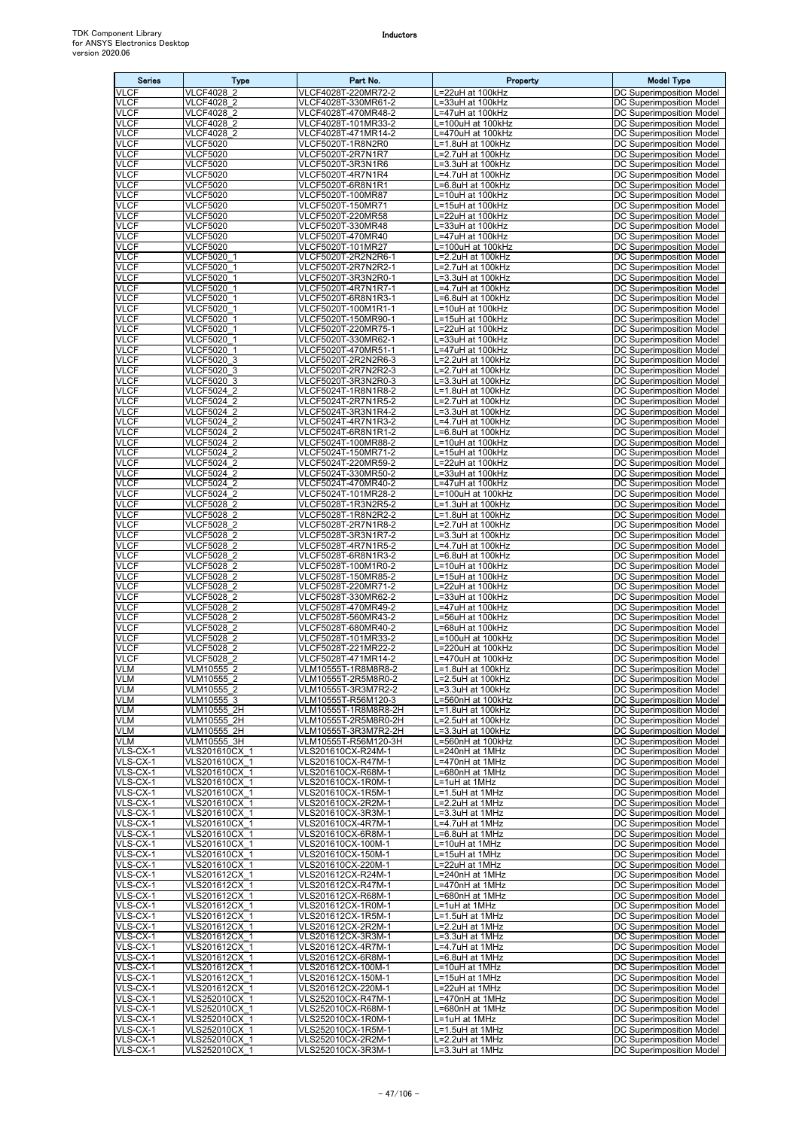| <b>Series</b>              | Type                                   | Part No.                                     | Property                                        | <b>Model Type</b>                                           |
|----------------------------|----------------------------------------|----------------------------------------------|-------------------------------------------------|-------------------------------------------------------------|
| <b>VLCF</b>                | <b>VLCF4028 2</b>                      | VLCF4028T-220MR72-2                          | =22uH at 100kHz                                 | DC Superimposition Model                                    |
| <b>VLCF</b><br>VLCF        | VLCF4028 2<br>VLCF4028 2               | VLCF4028T-330MR61-2<br>VLCF4028T-470MR48-2   | =33uH at 100kHz<br>=47uH at 100kHz              | DC Superimposition Model<br><b>DC Superimposition Model</b> |
| <b>VLCF</b>                | <b>VLCF4028 2</b>                      | VLCF4028T-101MR33-2                          | L=100uH at 100kHz                               | DC Superimposition Model                                    |
| VLCF                       | VLCF4028 2                             | VLCF4028T-471MR14-2                          | .=470uH at 100kHz                               | DC Superimposition Model                                    |
| <b>VLCF</b>                | <b>VLCF5020</b>                        | VLCF5020T-1R8N2R0                            | =1.8uH at 100kHz                                | DC Superimposition Model                                    |
| <b>VLCF</b><br><b>VLCF</b> | <b>VLCF5020</b><br><b>VLCF5020</b>     | VLCF5020T-2R7N1R7<br>VLCF5020T-3R3N1R6       | =2.7uH at 100kHz<br>-3.3uH at 100kHz            | DC Superimposition Model<br>DC Superimposition Model        |
| <b>VLCF</b>                | <b>VLCF5020</b>                        | VLCF5020T-4R7N1R4                            | .=4.7uH at 100kHz                               | DC Superimposition Model                                    |
| <b>VLCF</b>                | <b>VLCF5020</b>                        | VLCF5020T-6R8N1R1                            | =6.8uH at 100kHz                                | <b>DC Superimposition Model</b>                             |
| <b>VLCF</b>                | <b>VLCF5020</b>                        | VLCF5020T-100MR87                            | L=10uH at 100kHz                                | DC Superimposition Model                                    |
| <b>VLCF</b><br><b>VLCF</b> | <b>VLCF5020</b><br><b>VLCF5020</b>     | VLCF5020T-150MR71<br>VLCF5020T-220MR58       | =15uH at 100kHz<br>=22uH at 100kHz              | DC Superimposition Model<br>DC Superimposition Model        |
| <b>VLCF</b>                | <b>VLCF5020</b>                        | VLCF5020T-330MR48                            | =33uH at 100kHz                                 | DC Superimposition Model                                    |
| <b>VLCF</b>                | <b>VLCF5020</b>                        | VLCF5020T-470MR40                            | =47uH at 100kHz                                 | DC Superimposition Model                                    |
| <b>VLCF</b><br><b>VLCF</b> | <b>VLCF5020</b><br>VLCF5020 1          | VLCF5020T-101MR27<br>VLCF5020T-2R2N2R6-1     | =100uH at 100kHz<br>L=2.2uH at 100kHz           | DC Superimposition Model                                    |
| <b>VLCF</b>                | VLCF5020 1                             | VLCF5020T-2R7N2R2-1                          | =2.7uH at 100kHz                                | DC Superimposition Model<br>DC Superimposition Model        |
| <b>VLCF</b>                | VLCF5020 1                             | VLCF5020T-3R3N2R0-1                          | -3.3uH at 100kHz                                | <b>DC Superimposition Model</b>                             |
| <b>VLCF</b>                | VLCF5020 1                             | VLCF5020T-4R7N1R7-1                          | .=4.7uH at 100kHz                               | DC Superimposition Model                                    |
| <b>VLCF</b><br><b>VLCF</b> | VLCF5020 1<br>VLCF5020 1               | VLCF5020T-6R8N1R3-1<br>VLCF5020T-100M1R1-1   | =6.8uH at 100kHz<br>L=10uH at 100kHz            | DC Superimposition Model<br>DC Superimposition Model        |
| VLCF                       | VLCF5020 1                             | VLCF5020T-150MR90-1                          | =15uH at 100kHz                                 | DC Superimposition Model                                    |
| <b>VLCF</b>                | VLCF5020 1                             | VLCF5020T-220MR75-1                          | =22uH at 100kHz                                 | DC Superimposition Model                                    |
| <b>VLCF</b><br><b>VLCF</b> | VLCF5020 1<br><b>VLCF5020 1</b>        | VLCF5020T-330MR62-1<br>VLCF5020T-470MR51-1   | =33uH at 100kHz<br><sub>-</sub> =47uH at 100kHz | DC Superimposition Model<br>DC Superimposition Model        |
| <b>VLCF</b>                | VLCF5020 3                             | VLCF5020T-2R2N2R6-3                          | =2.2uH at 100kHz                                | DC Superimposition Model                                    |
| VLCF                       | VLCF5020 3                             | VLCF5020T-2R7N2R2-3                          | $\overline{=2.7}$ uH at 100kHz                  | <b>DC Superimposition Model</b>                             |
| <b>VLCF</b>                | VLCF5020 3                             | VLCF5020T-3R3N2R0-3                          | L=3.3uH at 100kHz                               | DC Superimposition Model                                    |
| VLCF<br><b>VLCF</b>        | VLCF5024 2<br><b>VLCF5024 2</b>        | VLCF5024T-1R8N1R8-2<br>VLCF5024T-2R7N1R5-2   | L=1.8uH at 100kHz<br>=2.7uH at 100kHz           | <b>DC Superimposition Model</b><br>DC Superimposition Model |
| <b>VLCF</b>                | <b>VLCF5024 2</b>                      | VLCF5024T-3R3N1R4-2                          | =3.3uH at 100kHz                                | DC Superimposition Model                                    |
| <b>VLCF</b>                | VLCF5024 2                             | VLCF5024T-4R7N1R3-2                          | .=4.7uH at 100kHz                               | DC Superimposition Model                                    |
| <b>VLCF</b><br><b>VLCF</b> | VLCF5024 2<br>VLCF5024 2               | VLCF5024T-6R8N1R1-2<br>VLCF5024T-100MR88-2   | =6.8uH at 100kHz<br>=10uH at 100kHz             | DC Superimposition Model<br>DC Superimposition Model        |
| <b>VLCF</b>                | VLCF5024 2                             | VLCF5024T-150MR71-2                          | L=15uH at 100kHz                                | DC Superimposition Model                                    |
| <b>VLCF</b>                | VLCF5024 2                             | VLCF5024T-220MR59-2                          | =22uH at 100kHz                                 | DC Superimposition Model                                    |
| VLCF                       | <b>VLCF5024 2</b>                      | VLCF5024T-330MR50-2                          | .=33uH at 100kHz                                | DC Superimposition Model                                    |
| <b>VLCF</b><br><b>VLCF</b> | VLCF5024 2<br>VLCF5024 2               | VLCF5024T-470MR40-2<br>VLCF5024T-101MR28-2   | =47uH at 100kHz<br>=100uH at 100kHz             | DC Superimposition Model<br>DC Superimposition Model        |
| <b>VLCF</b>                | VLCF5028 2                             | VLCF5028T-1R3N2R5-2                          | -1.3uH at 100kHz                                | DC Superimposition Model                                    |
| <b>VLCF</b>                | VLCF5028 2                             | VLCF5028T-1R8N2R2-2                          | L=1.8uH at 100kHz                               | DC Superimposition Model                                    |
| <b>VLCF</b><br><b>VLCF</b> | <b>VLCF5028 2</b><br>VLCF5028 2        | VLCF5028T-2R7N1R8-2<br>VLCF5028T-3R3N1R7-2   | =2.7uH at 100kHz                                | DC Superimposition Model                                    |
| <b>VLCF</b>                | <b>VLCF5028 2</b>                      | VLCF5028T-4R7N1R5-2                          | _=3.3uH at 100kHz<br>.=4.7uH at 100kHz          | DC Superimposition Model<br>DC Superimposition Model        |
| <b>VLCF</b>                | VLCF5028 2                             | VLCF5028T-6R8N1R3-2                          | =6.8uH at 100kHz                                | DC Superimposition Model                                    |
| <b>VLCF</b>                | VLCF5028 2                             | VLCF5028T-100M1R0-2                          | =10uH at 100kHz                                 | DC Superimposition Model                                    |
| <b>VLCF</b><br><b>VLCF</b> | VLCF5028_2<br>VLCF5028 2               | VLCF5028T-150MR85-2<br>VLCF5028T-220MR71-2   | .=15uH at 100kHz<br>=22uH at 100kHz             | <b>DC Superimposition Model</b><br>DC Superimposition Model |
| <b>VLCF</b>                | VLCF5028 2                             | VLCF5028T-330MR62-2                          | =33uH at 100kHz                                 | DC Superimposition Model                                    |
| <b>VLCF</b>                | VLCF5028 2                             | VLCF5028T-470MR49-2                          | =47uH at 100kHz                                 | DC Superimposition Model                                    |
| <b>VLCF</b><br><b>VLCF</b> | <b>VLCF5028 2</b><br><b>VLCF5028 2</b> | VLCF5028T-560MR43-2<br>VLCF5028T-680MR40-2   | =56uH at 100kHz<br>=68uH at 100kHz              | DC Superimposition Model<br><b>DC Superimposition Model</b> |
| VLCF                       | VLCF5028 2                             | VLCF5028T-101MR33-2                          | =100uH at 100kHz                                | DC Superimposition Model                                    |
| <b>VLCF</b>                | VLCF5028 2                             | VLCF5028T-221MR22-2                          | =220uH at 100kHz                                | DC Superimposition Model                                    |
| <b>VLCF</b><br><b>VLM</b>  | VLCF5028 2<br>VLM10555 2               | VLCF5028T-471MR14-2<br>VLM10555T-1R8M8R8-2   | =470uH at 100kHz<br>L=1.8uH at 100kHz           | DC Superimposition Model<br>DC Superimposition Model        |
| VLM                        | VLM10555 2                             | VLM10555T-2R5M8R0-2                          | L=2.5uH at 100kHz                               | DC Superimposition Model                                    |
| <b>VLM</b>                 | VLM10555 2                             | VLM10555T-3R3M7R2-2                          | _=3.3uH at 100kHz                               | DC Superimposition Model                                    |
| VLM                        | VLM10555 3                             | VLM10555T-R56M120-3                          | -560nH at 100kHz                                | DC Superimposition Model                                    |
| <b>VLM</b><br>VLM          | VLM10555 2H<br>VLM10555 2H             | VLM10555T-1R8M8R8-2H<br>VLM10555T-2R5M8R0-2H | L=1.8uH at 100kHz<br>=2.5uH at 100kHz           | DC Superimposition Model<br>DC Superimposition Model        |
| VLM                        | VLM10555 2H                            | VLM10555T-3R3M7R2-2H                         | =3.3uH at 100kHz                                | DC Superimposition Model                                    |
| VLM                        | VLM10555 3H                            | VLM10555T-R56M120-3H                         | .=560nH at 100kHz                               | DC Superimposition Model                                    |
| VLS-CX-1<br>VLS-CX-1       | VLS201610CX 1<br>VLS201610CX 1         | VLS201610CX-R24M-1<br>VLS201610CX-R47M-1     | =240nH at 1MHz<br>=470nH at 1MHz                | DC Superimposition Model<br>DC Superimposition Model        |
| VLS-CX-1                   | VLS201610CX 1                          | VLS201610CX-R68M-1                           | L=680nH at 1MHz                                 | DC Superimposition Model                                    |
| VLS-CX-1                   | VLS201610CX 1                          | VLS201610CX-1R0M-1                           | L=1uH at 1MHz                                   | DC Superimposition Model                                    |
| VLS-CX-1<br>VLS-CX-1       | VLS201610CX 1<br>VLS201610CX 1         | VLS201610CX-1R5M-1<br>VLS201610CX-2R2M-1     | L=1.5uH at 1MHz<br>L=2.2uH at 1MHz              | <b>DC Superimposition Model</b><br>DC Superimposition Model |
| VLS-CX-1                   | VLS201610CX 1                          | VLS201610CX-3R3M-1                           | L=3.3uH at 1MHz                                 | DC Superimposition Model                                    |
| VLS-CX-1                   | VLS201610CX 1                          | VLS201610CX-4R7M-1                           | =4.7uH at 1MHz                                  | DC Superimposition Model                                    |
| VLS-CX-1<br>VLS-CX-1       | VLS201610CX 1<br>VLS201610CX 1         | VLS201610CX-6R8M-1<br>VLS201610CX-100M-1     | =6.8uH at 1MHz<br>=10uH at 1MHz                 | DC Superimposition Model<br>DC Superimposition Model        |
| VLS-CX-1                   | VLS201610CX 1                          | VLS201610CX-150M-1                           | L=15uH at 1MHz                                  | DC Superimposition Model                                    |
| VLS-CX-1                   | VLS201610CX 1                          | VLS201610CX-220M-1                           | L=22uH at 1MHz                                  | DC Superimposition Model                                    |
| VLS-CX-1                   | VLS201612CX 1                          | VLS201612CX-R24M-1                           | =240nH at 1MHz                                  | DC Superimposition Model                                    |
| VLS-CX-1<br>VLS-CX-1       | VLS201612CX 1<br>VLS201612CX 1         | VLS201612CX-R47M-1<br>VLS201612CX-R68M-1     | .=470nH at 1MHz<br>=680nH at 1MHz               | DC Superimposition Model<br>DC Superimposition Model        |
| VLS-CX-1                   | VLS201612CX 1                          | VLS201612CX-1R0M-1                           | =1uH at 1MHz                                    | DC Superimposition Model                                    |
| VLS-CX-1                   | VLS201612CX_1                          | VLS201612CX-1R5M-1                           | .=1.5uH at 1MHz                                 | DC Superimposition Model                                    |
| VLS-CX-1<br>VLS-CX-1       | VLS201612CX 1<br>VLS201612CX 1         | VLS201612CX-2R2M-1<br>VLS201612CX-3R3M-1     | =2.2uH at 1MHz<br>L=3.3uH at 1MHz               | DC Superimposition Model<br>DC Superimposition Model        |
| VLS-CX-1                   | VLS201612CX 1                          | VLS201612CX-4R7M-1                           | L=4.7uH at 1MHz                                 | DC Superimposition Model                                    |
| VLS-CX-1                   | VLS201612CX 1                          | VLS201612CX-6R8M-1                           | =6.8uH at 1MHz                                  | <b>DC Superimposition Model</b>                             |
| VLS-CX-1<br>VLS-CX-1       | VLS201612CX 1<br>VLS201612CX 1         | VLS201612CX-100M-1<br>VLS201612CX-150M-1     | L=10uH at 1MHz<br>L=15uH at 1MHz                | DC Superimposition Model<br>DC Superimposition Model        |
| VLS-CX-1                   | VLS201612CX 1                          | VLS201612CX-220M-1                           | =22uH at 1MHz                                   | DC Superimposition Model                                    |
| VLS-CX-1                   | VLS252010CX 1                          | VLS252010CX-R47M-1                           | .=470nH at 1MHz                                 | DC Superimposition Model                                    |
| VLS-CX-1                   | VLS252010CX 1                          | VLS252010CX-R68M-1                           | L=680nH at 1MHz                                 | DC Superimposition Model                                    |
| VLS-CX-1<br>VLS-CX-1       | VLS252010CX 1<br>VLS252010CX 1         | VLS252010CX-1R0M-1<br>VLS252010CX-1R5M-1     | _=1uH at 1MHz<br>L=1.5uH at 1MHz                | DC Superimposition Model<br>DC Superimposition Model        |
| VLS-CX-1                   | VLS252010CX 1                          | VLS252010CX-2R2M-1                           | L=2.2uH at 1MHz                                 | DC Superimposition Model                                    |
| VLS-CX-1                   | VLS252010CX 1                          | VLS252010CX-3R3M-1                           | L=3.3uH at 1MHz                                 | <b>DC Superimposition Model</b>                             |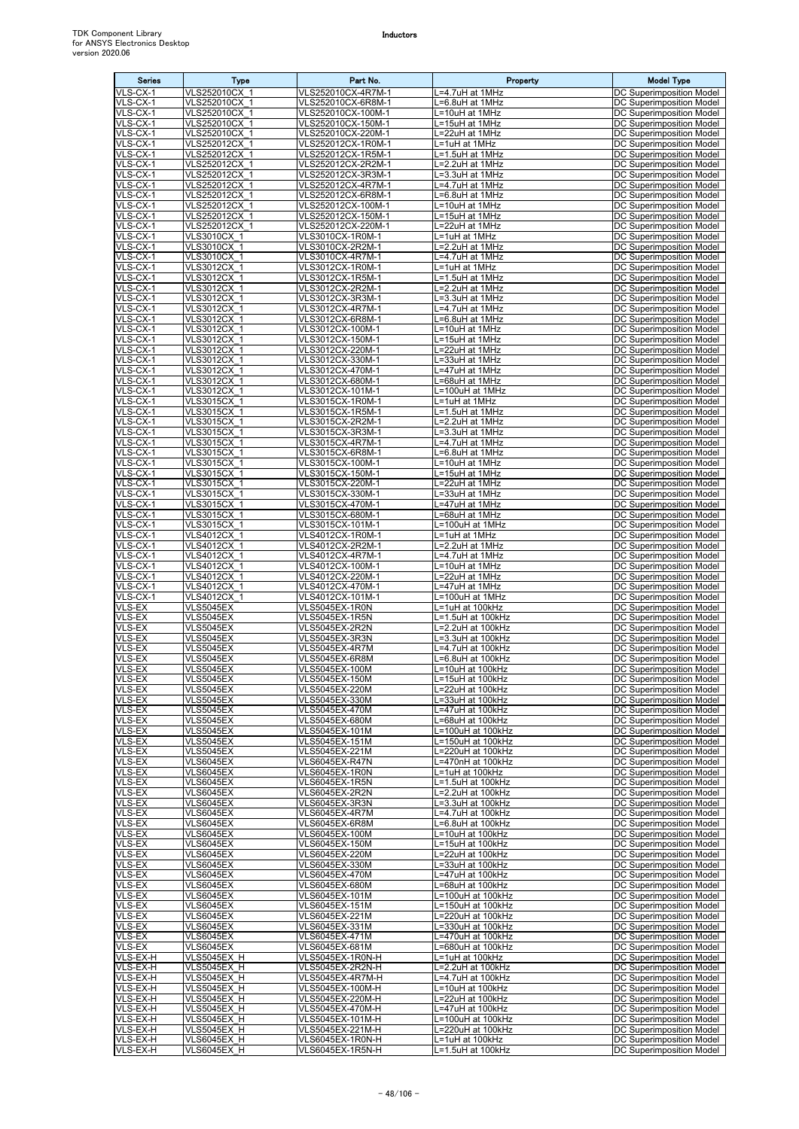| <b>Series</b>          | Type                                 | Part No.                                 | Property                               | <b>Model Type</b>                                           |
|------------------------|--------------------------------------|------------------------------------------|----------------------------------------|-------------------------------------------------------------|
| VLS-CX-1               | VLS252010CX 1                        | VLS252010CX-4R7M-1                       | L=4.7uH at 1MHz                        | DC Superimposition Model                                    |
| VLS-CX-1<br>VLS-CX-1   | VLS252010CX 1<br>VLS252010CX 1       | VLS252010CX-6R8M-1<br>VLS252010CX-100M-1 | L=6.8uH at 1MHz<br>L=10uH at 1MHz      | DC Superimposition Model<br>DC Superimposition Model        |
| VLS-CX-1               | VLS252010CX 1                        | VLS252010CX-150M-1                       | L=15uH at 1MHz                         | <b>DC Superimposition Model</b>                             |
| VLS-CX-1               | VLS252010CX 1                        | VLS252010CX-220M-1<br>VLS252012CX-1R0M-1 | L=22uH at 1MHz                         | DC Superimposition Model                                    |
| VLS-CX-1<br>VLS-CX-1   | VLS252012CX 1<br>VLS252012CX 1       | VLS252012CX-1R5M-1                       | L=1uH at 1MHz<br>L=1.5uH at 1MHz       | DC Superimposition Model<br>DC Superimposition Model        |
| VLS-CX-1               | VLS252012CX 1                        | VLS252012CX-2R2M-1                       | $L=2.2$ uH at 1MHz                     | DC Superimposition Model                                    |
| VLS-CX-1               | VLS252012CX 1                        | VLS252012CX-3R3M-1                       | L=3.3uH at 1MHz                        | DC Superimposition Model                                    |
| VLS-CX-1<br>VLS-CX-1   | VLS252012CX 1<br>VLS252012CX 1       | VLS252012CX-4R7M-1<br>VLS252012CX-6R8M-1 | L=4.7uH at 1MHz<br>L=6.8uH at 1MHz     | DC Superimposition Model<br>DC Superimposition Model        |
| VLS-CX-1               | VLS252012CX 1                        | VLS252012CX-100M-1                       | L=10uH at 1MHz                         | DC Superimposition Model                                    |
| VLS-CX-1<br>VLS-CX-1   | VLS252012CX 1<br>VLS252012CX 1       | VLS252012CX-150M-1                       | L=15uH at 1MHz                         | <b>DC Superimposition Model</b>                             |
| VLS-CX-1               | <b>VLS3010CX 1</b>                   | VLS252012CX-220M-1<br>VLS3010CX-1R0M-1   | L=22uH at 1MHz<br>L=1uH at 1MHz        | DC Superimposition Model<br>DC Superimposition Model        |
| VLS-CX-1               | <b>VLS3010CX 1</b>                   | VLS3010CX-2R2M-1                         | L=2.2uH at 1MHz                        | DC Superimposition Model                                    |
| VLS-CX-1               | <b>VLS3010CX 1</b>                   | VLS3010CX-4R7M-1                         | L=4.7uH at 1MHz                        | DC Superimposition Model                                    |
| VLS-CX-1<br>VLS-CX-1   | VLS3012CX 1<br>VLS3012CX 1           | VLS3012CX-1R0M-1<br>VLS3012CX-1R5M-1     | L=1uH at 1MHz<br>L=1.5uH at 1MHz       | DC Superimposition Model<br>DC Superimposition Model        |
| VLS-CX-1               | VLS3012CX 1                          | VLS3012CX-2R2M-1                         | L=2.2uH at 1MHz                        | DC Superimposition Model                                    |
| VLS-CX-1<br>VLS-CX-1   | VLS3012CX 1<br>VLS3012CX_1           | VLS3012CX-3R3M-1<br>VLS3012CX-4R7M-1     | L=3.3uH at 1MHz<br>L=4.7uH at 1MHz     | DC Superimposition Model<br>DC Superimposition Model        |
| VLS-CX-1               | VLS3012CX 1                          | VLS3012CX-6R8M-1                         | L=6.8uH at 1MHz                        | DC Superimposition Model                                    |
| VLS-CX-1               | VLS3012CX_1                          | VLS3012CX-100M-1                         | L=10uH at 1MHz                         | DC Superimposition Model                                    |
| VLS-CX-1<br>VLS-CX-1   | VLS3012CX 1<br>VLS3012CX 1           | VLS3012CX-150M-1<br>VLS3012CX-220M-1     | L=15uH at 1MHz<br>L=22uH at 1MHz       | DC Superimposition Model<br>DC Superimposition Model        |
| VLS-CX-1               | VLS3012CX 1                          | VLS3012CX-330M-1                         | L=33uH at 1MHz                         | DC Superimposition Model                                    |
| VLS-CX-1               | VLS3012CX 1                          | VLS3012CX-470M-1                         | L=47uH at 1MHz                         | DC Superimposition Model                                    |
| $VLS-CX-1$<br>VLS-CX-1 | VLS3012CX 1<br><b>VLS3012CX 1</b>    | VLS3012CX-680M-1                         | L=68uH at 1MHz                         | DC Superimposition Model                                    |
| VLS-CX-1               | VLS3015CX 1                          | VLS3012CX-101M-1<br>VLS3015CX-1R0M-1     | L=100uH at 1MHz<br>L=1uH at 1MHz       | DC Superimposition Model<br><b>DC Superimposition Model</b> |
| VLS-CX-1               | VLS3015CX 1                          | VLS3015CX-1R5M-1                         | L=1.5uH at 1MHz                        | DC Superimposition Model                                    |
| VLS-CX-1               | VLS3015CX 1<br>VLS3015CX 1           | VLS3015CX-2R2M-1                         | L=2.2uH at 1MHz                        | DC Superimposition Model                                    |
| VLS-CX-1<br>VLS-CX-1   | VLS3015CX 1                          | VLS3015CX-3R3M-1<br>VLS3015CX-4R7M-1     | L=3.3uH at 1MHz<br>L=4.7uH at 1MHz     | DC Superimposition Model<br>DC Superimposition Model        |
| VLS-CX-1               | <b>VLS3015CX 1</b>                   | VLS3015CX-6R8M-1                         | L=6.8uH at 1MHz                        | DC Superimposition Model                                    |
| VLS-CX-1<br>VLS-CX-1   | VLS3015CX 1                          | VLS3015CX-100M-1                         | L=10uH at 1MHz                         | DC Superimposition Model                                    |
| VLS-CX-1               | VLS3015CX 1<br>VLS3015CX 1           | VLS3015CX-150M-1<br>VLS3015CX-220M-1     | L=15uH at 1MHz<br>L=22uH at 1MHz       | DC Superimposition Model<br>DC Superimposition Model        |
| VLS-CX-1               | VLS3015CX_1                          | VLS3015CX-330M-1                         | L=33uH at 1MHz                         | DC Superimposition Model                                    |
| VLS-CX-1<br>VLS-CX-1   | VLS3015CX 1                          | VLS3015CX-470M-1                         | L=47uH at 1MHz                         | DC Superimposition Model                                    |
| VLS-CX-1               | VLS3015CX 1<br>VLS3015CX 1           | VLS3015CX-680M-1<br>VLS3015CX-101M-1     | L=68uH at 1MHz<br>L=100uH at 1MHz      | DC Superimposition Model<br>DC Superimposition Model        |
| VLS-CX-1               | VLS4012CX 1                          | VLS4012CX-1R0M-1                         | L=1uH at 1MHz                          | DC Superimposition Model                                    |
| VLS-CX-1<br>VLS-CX-1   | VLS4012CX 1                          | VLS4012CX-2R2M-1                         | L=2.2uH at 1MHz                        | DC Superimposition Model                                    |
| VLS-CX-1               | VLS4012CX 1<br>VLS4012CX 1           | VLS4012CX-4R7M-1<br>VLS4012CX-100M-1     | L=4.7uH at 1MHz<br>L=10uH at 1MHz      | DC Superimposition Model<br><b>DC Superimposition Model</b> |
| VLS-CX-1               | VLS4012CX 1                          | VLS4012CX-220M-1                         | =22uH at 1MHz                          | <b>DC Superimposition Model</b>                             |
| VLS-CX-1<br>VLS-CX-1   | VLS4012CX 1<br>VLS4012CX 1           | VLS4012CX-470M-1<br>VLS4012CX-101M-1     | L=47uH at 1MHz<br>L=100uH at 1MHz      | DC Superimposition Model<br>DC Superimposition Model        |
| VLS-EX                 | <b>VLS5045EX</b>                     | VLS5045EX-1R0N                           | L=1uH at 100kHz                        | DC Superimposition Model                                    |
| VLS-EX                 | <b>VLS5045EX</b>                     | VLS5045EX-1R5N                           | L=1.5uH at 100kHz                      | DC Superimposition Model                                    |
| VLS-EX<br>VLS-EX       | <b>VLS5045EX</b><br>VLS5045EX        | VLS5045EX-2R2N<br>VLS5045EX-3R3N         | L=2.2uH at 100kHz<br>L=3.3uH at 100kHz | DC Superimposition Model<br>DC Superimposition Model        |
| VLS-EX                 | <b>VLS5045EX</b>                     | VLS5045EX-4R7M                           | L=4.7uH at 100kHz                      | DC Superimposition Model                                    |
| VLS-EX                 | VLS5045EX                            | VLS5045EX-6R8M                           | L=6.8uH at 100kHz                      | DC Superimposition Model                                    |
| VLS-EX<br>VLS-EX       | <b>VLS5045EX</b><br><b>VLS5045EX</b> | VLS5045EX-100M<br>VLS5045EX-150M         | L=10uH at 100kHz<br>L=15uH at 100kHz   | DC Superimposition Model<br>DC Superimposition Model        |
| VLS-EX                 | VLS5045EX                            | VLS5045EX-220M                           | L=22uH at 100kHz                       | DC Superimposition Model                                    |
| VLS-EX                 | <b>VLS5045EX</b>                     | VLS5045EX-330M                           | L=33uH at 100kHz                       | <b>DC Superimposition Model</b>                             |
| VLS-EX<br>VLS-EX       | VLS5045EX<br><b>VLS5045EX</b>        | VLS5045EX-470M<br>VLS5045EX-680M         | L=47uH at 100kHz<br>L=68uH at 100kHz   | DC Superimposition Model<br>DC Superimposition Model        |
| <b>VLS-EX</b>          | <b>VLS5045EX</b>                     | VLS5045EX-101M                           | L=100uH at 100kHz                      | DC Superimposition Model                                    |
| VLS-EX                 | <b>VLS5045EX</b>                     | VLS5045EX-151M                           | L=150uH at 100kHz                      | DC Superimposition Model                                    |
| VLS-EX<br>VLS-EX       | <b>VLS5045EX</b><br><b>VLS6045EX</b> | VLS5045EX-221M<br>VLS6045EX-R47N         | L=220uH at 100kHz<br>L=470nH at 100kHz | DC Superimposition Model<br>DC Superimposition Model        |
| VLS-EX                 | <b>VLS6045EX</b>                     | VLS6045EX-1R0N                           | L=1uH at 100kHz                        | DC Superimposition Model                                    |
| VLS-EX                 | <b>VLS6045EX</b>                     | VLS6045EX-1R5N                           | L=1.5uH at 100kHz                      | DC Superimposition Model<br>DC Superimposition Model        |
| VLS-EX<br>VLS-EX       | <b>VLS6045EX</b><br><b>VLS6045EX</b> | VLS6045EX-2R2N<br><b>VLS6045EX-3R3N</b>  | L=2.2uH at 100kHz<br>L=3.3uH at 100kHz | DC Superimposition Model                                    |
| VLS-EX                 | <b>VLS6045EX</b>                     | VLS6045EX-4R7M                           | L=4.7uH at 100kHz                      | DC Superimposition Model                                    |
| VLS-EX                 | <b>VLS6045EX</b>                     | VLS6045EX-6R8M                           | L=6.8uH at 100kHz                      | DC Superimposition Model                                    |
| VLS-EX<br>VLS-EX       | VLS6045EX<br><b>VLS6045EX</b>        | VLS6045EX-100M<br>VLS6045EX-150M         | L=10uH at 100kHz<br>L=15uH at 100kHz   | DC Superimposition Model<br>DC Superimposition Model        |
| VLS-EX                 | <b>VLS6045EX</b>                     | VLS6045EX-220M                           | L=22uH at 100kHz                       | DC Superimposition Model                                    |
| VLS-EX<br>VLS-EX       | <b>VLS6045EX</b><br><b>VLS6045EX</b> | VLS6045EX-330M<br>VLS6045EX-470M         | L=33uH at 100kHz<br>L=47uH at 100kHz   | DC Superimposition Model<br>DC Superimposition Model        |
| VLS-EX                 | VLS6045EX                            | VLS6045EX-680M                           | L=68uH at 100kHz                       | DC Superimposition Model                                    |
| VLS-EX                 | <b>VLS6045EX</b>                     | VLS6045EX-101M                           | L=100uH at 100kHz                      | DC Superimposition Model                                    |
| VLS-EX<br>VLS-EX       | <b>VLS6045EX</b><br>VLS6045EX        | VLS6045EX-151M<br>VLS6045EX-221M         | L=150uH at 100kHz<br>L=220uH at 100kHz | DC Superimposition Model<br>DC Superimposition Model        |
| VLS-EX                 | <b>VLS6045EX</b>                     | VLS6045EX-331M                           | L=330uH at 100kHz                      | DC Superimposition Model                                    |
| VLS-EX                 | <b>VLS6045EX</b>                     | VLS6045EX-471M                           | L=470uH at 100kHz                      | DC Superimposition Model                                    |
| VLS-EX<br>VLS-EX-H     | <b>VLS6045EX</b><br>VLS5045EX H      | VLS6045EX-681M<br>VLS5045EX-1R0N-H       | L=680uH at 100kHz<br>L=1uH at 100kHz   | DC Superimposition Model<br>DC Superimposition Model        |
| VLS-EX-H               | VLS5045EX H                          | VLS5045EX-2R2N-H                         | L=2.2uH at 100kHz                      | DC Superimposition Model                                    |
| VLS-EX-H               | VLS5045EX H                          | VLS5045EX-4R7M-H                         | L=4.7uH at 100kHz                      | DC Superimposition Model                                    |
| VLS-EX-H<br>VLS-EX-H   | VLS5045EX H<br>VLS5045EX H           | VLS5045EX-100M-H<br>VLS5045EX-220M-H     | L=10uH at 100kHz<br>L=22uH at 100kHz   | DC Superimposition Model<br>DC Superimposition Model        |
| VLS-EX-H               | VLS5045EX H                          | VLS5045EX-470M-H                         | L=47uH at 100kHz                       | DC Superimposition Model                                    |
| VLS-EX-H               | VLS5045EX H                          | VLS5045EX-101M-H                         | L=100uH at 100kHz                      | DC Superimposition Model                                    |
| VLS-EX-H<br>VLS-EX-H   | VLS5045EX H<br>VLS6045EX H           | VLS5045EX-221M-H<br>VLS6045EX-1R0N-H     | L=220uH at 100kHz<br>L=1uH at 100kHz   | DC Superimposition Model<br>DC Superimposition Model        |
| VLS-EX-H               | VLS6045EX H                          | VLS6045EX-1R5N-H                         | L=1.5uH at 100kHz                      | DC Superimposition Model                                    |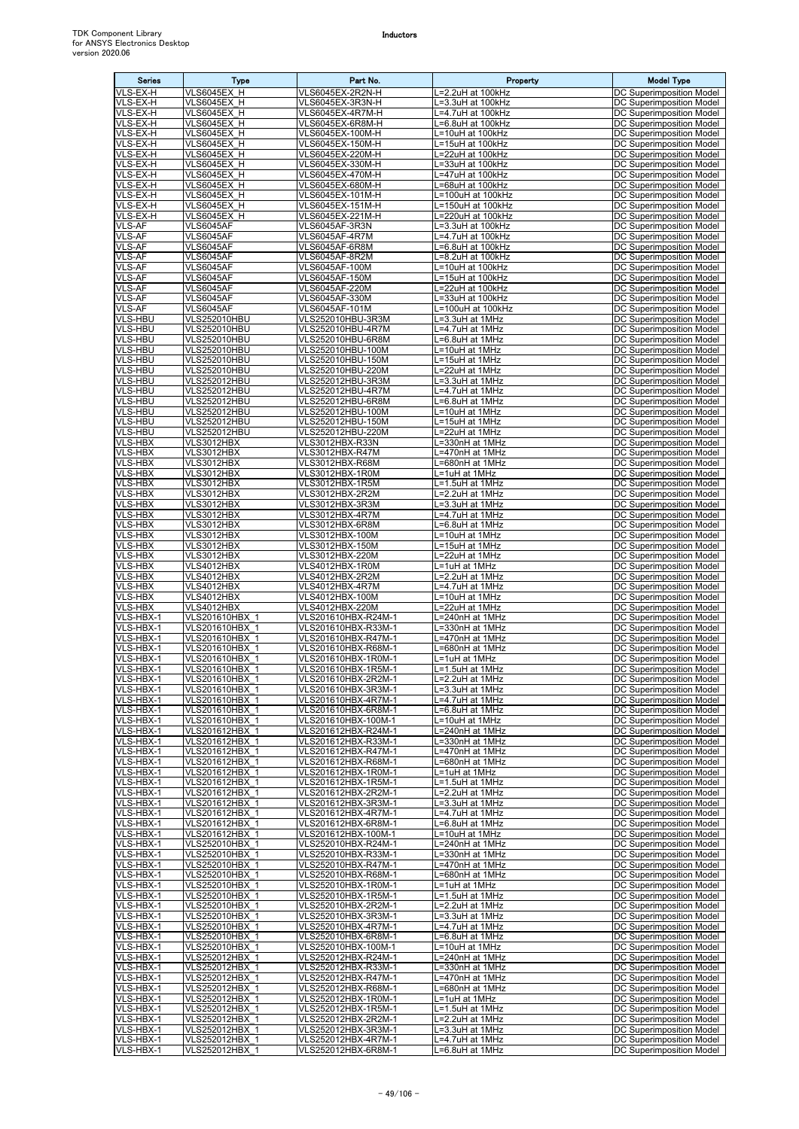| <b>Series</b>                    | Type                                 | Part No.                                   | Property                                          | <b>Model Type</b>                                           |
|----------------------------------|--------------------------------------|--------------------------------------------|---------------------------------------------------|-------------------------------------------------------------|
| VLS-EX-H                         | VLS6045EX H                          | VLS6045EX-2R2N-H                           | =2.2uH at 100kHz                                  | <b>DC Superimposition Model</b>                             |
| VLS-EX-H<br>VLS-EX-H             | VLS6045EX H<br>VLS6045EX H           | VLS6045EX-3R3N-H<br>VLS6045EX-4R7M-H       | =3.3uH at 100kHz<br>.=4.7uH at 100kHz             | DC Superimposition Model<br>DC Superimposition Model        |
| VLS-EX-H                         | <b>VLS6045EX H</b>                   | VLS6045EX-6R8M-H                           | =6.8uH at 100kHz                                  | DC Superimposition Model                                    |
| VLS-EX-H                         | VLS6045EX H                          | VLS6045EX-100M-H                           | =10uH at 100kHz                                   | DC Superimposition Model                                    |
| VLS-EX-H                         | <b>VLS6045EX H</b>                   | VLS6045EX-150M-H                           | L=15uH at 100kHz                                  | <b>DC Superimposition Model</b>                             |
| VLS-EX-H<br>VLS-EX-H             | VLS6045EX H<br>VLS6045EX H           | VLS6045EX-220M-H<br>VLS6045EX-330M-H       | L=22uH at 100kHz<br>$\overline{=33}$ uH at 100kHz | <b>DC Superimposition Model</b><br>DC Superimposition Model |
| VLS-EX-H                         | VLS6045EX H                          | VLS6045EX-470M-H                           | .=47uH at 100kHz                                  | DC Superimposition Model                                    |
| VLS-EX-H                         | VLS6045EX H                          | VLS6045EX-680M-H                           | =68uH at 100kHz                                   | DC Superimposition Model                                    |
| VLS-EX-H                         | VLS6045EX H                          | VLS6045EX-101M-H                           | L=100uH at 100kHz                                 | DC Superimposition Model                                    |
| VLS-EX-H<br>VLS-EX-H             | VLS6045EX H<br>VLS6045EX H           | VLS6045EX-151M-H<br>VLS6045EX-221M-H       | L=150uH at 100kHz<br>=220uH at 100kHz             | DC Superimposition Model<br>DC Superimposition Model        |
| VLS-AF                           | VLS6045AF                            | VLS6045AF-3R3N                             | -3.3uH at 100kHz                                  | DC Superimposition Model                                    |
| <b>VLS-AF</b>                    | <b>VLS6045AF</b>                     | VLS6045AF-4R7M                             | L=4.7uH at 100kHz                                 | DC Superimposition Model                                    |
| <b>VLS-AF</b><br><b>VLS-AF</b>   | <b>VLS6045AF</b><br><b>VLS6045AF</b> | VLS6045AF-6R8M<br>VLS6045AF-8R2M           | =6.8uH at 100kHz<br>.=8.2uH at 100kHz             | DC Superimposition Model<br>DC Superimposition Model        |
| <b>VLS-AF</b>                    | <b>VLS6045AF</b>                     | VLS6045AF-100M                             | =10uH at 100kHz                                   | <b>DC Superimposition Model</b>                             |
| <b>VLS-AF</b>                    | <b>VLS6045AF</b>                     | <b>VLS6045AF-150M</b>                      | L=15uH at 100kHz                                  | DC Superimposition Model                                    |
| VLS-AF<br><b>VLS-AF</b>          | <b>VLS6045AF</b><br>VLS6045AF        | VLS6045AF-220M<br>VLS6045AF-330M           | =22uH at 100kHz<br>=33uH at 100kHz                | DC Superimposition Model<br>DC Superimposition Model        |
| <b>VLS-AF</b>                    | VLS6045AF                            | VLS6045AF-101M                             | L=100uH at 100kHz                                 | DC Superimposition Model                                    |
| <b>VLS-HBU</b>                   | <b>VLS252010HBU</b>                  | VLS252010HBU-3R3M                          | L=3.3uH at 1MHz                                   | DC Superimposition Model                                    |
| VLS-HBU<br>VLS-HBU               | VLS252010HBU<br><b>VLS252010HBU</b>  | VLS252010HBU-4R7M                          | L=4.7uH at 1MHz                                   | DC Superimposition Model                                    |
| <b>VLS-HBU</b>                   | VLS252010HBU                         | VLS252010HBU-6R8M<br>VLS252010HBU-100M     | =6.8uH at 1MHz<br>=10uH at 1MHz                   | DC Superimposition Model<br>DC Superimposition Model        |
| VLS-HBU                          | <b>VLS252010HBU</b>                  | VLS252010HBU-150M                          | ∟=15uH at 1MHz                                    | DC Superimposition Model                                    |
| <b>VLS-HBU</b>                   | <b>VLS252010HBU</b>                  | VLS252010HBU-220M                          | =22uH at 1MHz                                     | DC Superimposition Model                                    |
| <b>VLS-HBU</b><br>VLS-HBU        | <b>VLS252012HBU</b><br>VLS252012HBU  | VLS252012HBU-3R3M<br>VLS252012HBU-4R7M     | =3.3uH at 1MHz<br>.=4.7uH at 1MHz                 | DC Superimposition Model<br>DC Superimposition Model        |
| <b>VLS-HBU</b>                   | <b>VLS252012HBU</b>                  | VLS252012HBU-6R8M                          | L=6.8uH at 1MHz                                   | <b>DC Superimposition Model</b>                             |
| <b>VLS-HBU</b>                   | VLS252012HBU                         | VLS252012HBU-100M                          | =10uH at 1MHz                                     | DC Superimposition Model                                    |
| VLS-HBU<br><b>VLS-HBU</b>        | VLS252012HBU<br>VLS252012HBU         | VLS252012HBU-150M<br>VLS252012HBU-220M     | =15uH at 1MHz<br>=22uH at 1MHz                    | DC Superimposition Model<br><b>DC Superimposition Model</b> |
| <b>VLS-HBX</b>                   | VLS3012HBX                           | VLS3012HBX-R33N                            | =330nH at 1MHz                                    | DC Superimposition Model                                    |
| <b>VLS-HBX</b>                   | VLS3012HBX                           | VLS3012HBX-R47M                            | =470nH at 1MHz                                    | DC Superimposition Model                                    |
| VLS-HBX                          | VLS3012HBX                           | VLS3012HBX-R68M                            | =680nH at 1MHz                                    | DC Superimposition Model                                    |
| VLS-HBX<br>VLS-HBX               | VLS3012HBX<br>VLS3012HBX             | VLS3012HBX-1R0M<br>VLS3012HBX-1R5M         | =1uH at 1MHz<br>L=1.5uH at 1MHz                   | DC Superimposition Model<br>DC Superimposition Model        |
| <b>VLS-HBX</b>                   | VLS3012HBX                           | VLS3012HBX-2R2M                            | L=2.2uH at 1MHz                                   | DC Superimposition Model                                    |
| VLS-HBX                          | VLS3012HBX                           | VLS3012HBX-3R3M                            | =3.3uH at 1MHz                                    | <b>DC Superimposition Model</b>                             |
| <b>VLS-HBX</b><br><b>VLS-HBX</b> | VLS3012HBX<br>VLS3012HBX             | VLS3012HBX-4R7M<br>VLS3012HBX-6R8M         | .=4.7uH at 1MHz<br>=6.8uH at 1MHz                 | DC Superimposition Model<br>DC Superimposition Model        |
| <b>VLS-HBX</b>                   | VLS3012HBX                           | VLS3012HBX-100M                            | L=10uH at 1MHz                                    | DC Superimposition Model                                    |
| <b>VLS-HBX</b>                   | VLS3012HBX                           | VLS3012HBX-150M                            | =15uH at 1MHz                                     | DC Superimposition Model                                    |
| VLS-HBX<br><b>VLS-HBX</b>        | VLS3012HBX<br>VLS4012HBX             | VLS3012HBX-220M<br>VLS4012HBX-1R0M         | =22uH at 1MHz<br>L=1uH at 1MHz                    | DC Superimposition Model<br>DC Superimposition Model        |
| <b>VLS-HBX</b>                   | VLS4012HBX                           | VLS4012HBX-2R2M                            | L=2.2uH at 1MHz                                   | DC Superimposition Model                                    |
| <b>VLS-HBX</b>                   | VLS4012HBX                           | VLS4012HBX-4R7M                            | .=4.7uH at 1MHz                                   | DC Superimposition Model                                    |
| <b>VLS-HBX</b><br><b>VLS-HBX</b> | VLS4012HBX<br>VLS4012HBX             | VLS4012HBX-100M<br>VLS4012HBX-220M         | =10uH at 1MHz<br>=22uH at 1MHz                    | DC Superimposition Model<br>DC Superimposition Model        |
| VLS-HBX-1                        | VLS201610HBX 1                       | VLS201610HBX-R24M-1                        | =240nH at 1MHz                                    | DC Superimposition Model                                    |
| VLS-HBX-1                        | VLS201610HBX 1                       | VLS201610HBX-R33M-1                        | =330nH at 1MHz                                    | DC Superimposition Model                                    |
| VLS-HBX-1<br>VLS-HBX-1           | VLS201610HBX 1<br>VLS201610HBX 1     | VLS201610HBX-R47M-1<br>VLS201610HBX-R68M-1 | =470nH at 1MHz<br>L=680nH at 1MHz                 | DC Superimposition Model<br>DC Superimposition Model        |
| VLS-HBX-1                        | VLS201610HBX 1                       | VLS201610HBX-1R0M-1                        | L=1uH at 1MHz                                     | DC Superimposition Model                                    |
| VLS-HBX-1                        | VLS201610HBX 1                       | VLS201610HBX-1R5M-1                        | L=1.5uH at 1MHz                                   | DC Superimposition Model                                    |
| VLS-HBX-1<br>VLS-HBX-1           | VLS201610HBX 1<br>VLS201610HBX 1     | VLS201610HBX-2R2M-1<br>VLS201610HBX-3R3M-1 | L=2.2uH at 1MHz<br>.=3.3uH at 1MHz                | DC Superimposition Model<br>DC Superimposition Model        |
| VLS-HBX-1                        | VLS201610HBX 1                       | VLS201610HBX-4R7M-1                        | .=4.7uH at 1MHz                                   | DC Superimposition Model                                    |
| VLS-HBX-1                        | VLS201610HBX 1                       | VLS201610HBX-6R8M-1                        | =6.8uH at 1MHz                                    | DC Superimposition Model                                    |
| VLS-HBX-1<br>VLS-HBX-1           | VLS201610HBX 1<br>VLS201612HBX 1     | VLS201610HBX-100M-1<br>VLS201612HBX-R24M-1 | L=10uH at 1MHz<br>=240nH at 1MHz                  | DC Superimposition Model<br>DC Superimposition Model        |
| VLS-HBX-1                        | VLS201612HBX 1                       | VLS201612HBX-R33M-1                        | =330nH at 1MHz                                    | DC Superimposition Model                                    |
| VLS-HBX-1                        | VLS201612HBX_1                       | VLS201612HBX-R47M-1                        | L=470nH at 1MHz                                   | DC Superimposition Model                                    |
| VLS-HBX-1<br>VLS-HBX-1           | VLS201612HBX 1<br>VLS201612HBX_1     | VLS201612HBX-R68M-1<br>VLS201612HBX-1R0M-1 | =680nH at 1MHz<br>=1uH at 1MHz                    | <b>DC Superimposition Model</b><br>DC Superimposition Model |
| VLS-HBX-1                        | VLS201612HBX 1                       | VLS201612HBX-1R5M-1                        | =1.5uH at 1MHz                                    | <b>DC Superimposition Model</b>                             |
| VLS-HBX-1                        | VLS201612HBX 1                       | VLS201612HBX-2R2M-1                        | L=2.2uH at 1MHz                                   | DC Superimposition Model                                    |
| VLS-HBX-1<br>VLS-HBX-1           | VLS201612HBX 1<br>VLS201612HBX 1     | VLS201612HBX-3R3M-1<br>VLS201612HBX-4R7M-1 | =3.3uH at 1MHz<br>.=4.7uH at 1MHz                 | DC Superimposition Model<br>DC Superimposition Model        |
| VLS-HBX-1                        | VLS201612HBX 1                       | VLS201612HBX-6R8M-1                        | L=6.8uH at 1MHz                                   | DC Superimposition Model                                    |
| VLS-HBX-1                        | VLS201612HBX 1                       | VLS201612HBX-100M-1                        | L=10uH at 1MHz                                    | DC Superimposition Model                                    |
| VLS-HBX-1                        | VLS252010HBX 1                       | VLS252010HBX-R24M-1                        | =240nH at 1MHz                                    | <b>DC Superimposition Model</b>                             |
| VLS-HBX-1<br>VLS-HBX-1           | VLS252010HBX 1<br>VLS252010HBX 1     | VLS252010HBX-R33M-1<br>VLS252010HBX-R47M-1 | =330nH at 1MHz<br>=470nH at 1MHz                  | DC Superimposition Model<br>DC Superimposition Model        |
| VLS-HBX-1                        | VLS252010HBX 1                       | VLS252010HBX-R68M-1                        | .=680nH at 1MHz                                   | DC Superimposition Model                                    |
| VLS-HBX-1                        | VLS252010HBX 1                       | VLS252010HBX-1R0M-1                        | =1uH at 1MHz                                      | DC Superimposition Model                                    |
| VLS-HBX-1<br>VLS-HBX-1           | VLS252010HBX 1<br>VLS252010HBX 1     | VLS252010HBX-1R5M-1<br>VLS252010HBX-2R2M-1 | L=1.5uH at 1MHz<br>L=2.2uH at 1MHz                | DC Superimposition Model<br>DC Superimposition Model        |
| VLS-HBX-1                        | VLS252010HBX 1                       | VLS252010HBX-3R3M-1                        | L=3.3uH at 1MHz                                   | DC Superimposition Model                                    |
| VLS-HBX-1                        | VLS252010HBX 1                       | VLS252010HBX-4R7M-1                        | .=4.7uH at 1MHz                                   | DC Superimposition Model                                    |
| VLS-HBX-1<br>VLS-HBX-1           | VLS252010HBX 1<br>VLS252010HBX 1     | VLS252010HBX-6R8M-1<br>VLS252010HBX-100M-1 | .=6.8uH at 1MHz<br><sub>-</sub> =10uH at 1MHz     | DC Superimposition Model<br>DC Superimposition Model        |
| VLS-HBX-1                        | VLS252012HBX 1                       | VLS252012HBX-R24M-1                        | L=240nH at 1MHz                                   | <b>DC Superimposition Model</b>                             |
| VLS-HBX-1                        | VLS252012HBX 1                       | VLS252012HBX-R33M-1                        | =330nH at 1MHz                                    | DC Superimposition Model                                    |
| VLS-HBX-1<br>VLS-HBX-1           | VLS252012HBX 1<br>VLS252012HBX 1     | VLS252012HBX-R47M-1<br>VLS252012HBX-R68M-1 | $\overline{=47}$ 0nH at 1MHz<br>L=680nH at 1MHz   | DC Superimposition Model<br>DC Superimposition Model        |
| VLS-HBX-1                        | VLS252012HBX 1                       | VLS252012HBX-1R0M-1                        | L=1uH at 1MHz                                     | DC Superimposition Model                                    |
| VLS-HBX-1                        | VLS252012HBX_1                       | VLS252012HBX-1R5M-1                        | L=1.5uH at 1MHz                                   | DC Superimposition Model                                    |
| VLS-HBX-1<br>VLS-HBX-1           | VLS252012HBX 1<br>VLS252012HBX 1     | VLS252012HBX-2R2M-1<br>VLS252012HBX-3R3M-1 | $L=2.2$ uH at 1MHz<br>L=3.3uH at 1MHz             | DC Superimposition Model<br><b>DC Superimposition Model</b> |
| VLS-HBX-1                        | VLS252012HBX 1                       | VLS252012HBX-4R7M-1                        | L=4.7uH at 1MHz                                   | DC Superimposition Model                                    |
| VLS-HBX-1                        | VLS252012HBX 1                       | VLS252012HBX-6R8M-1                        | L=6.8uH at 1MHz                                   | DC Superimposition Model                                    |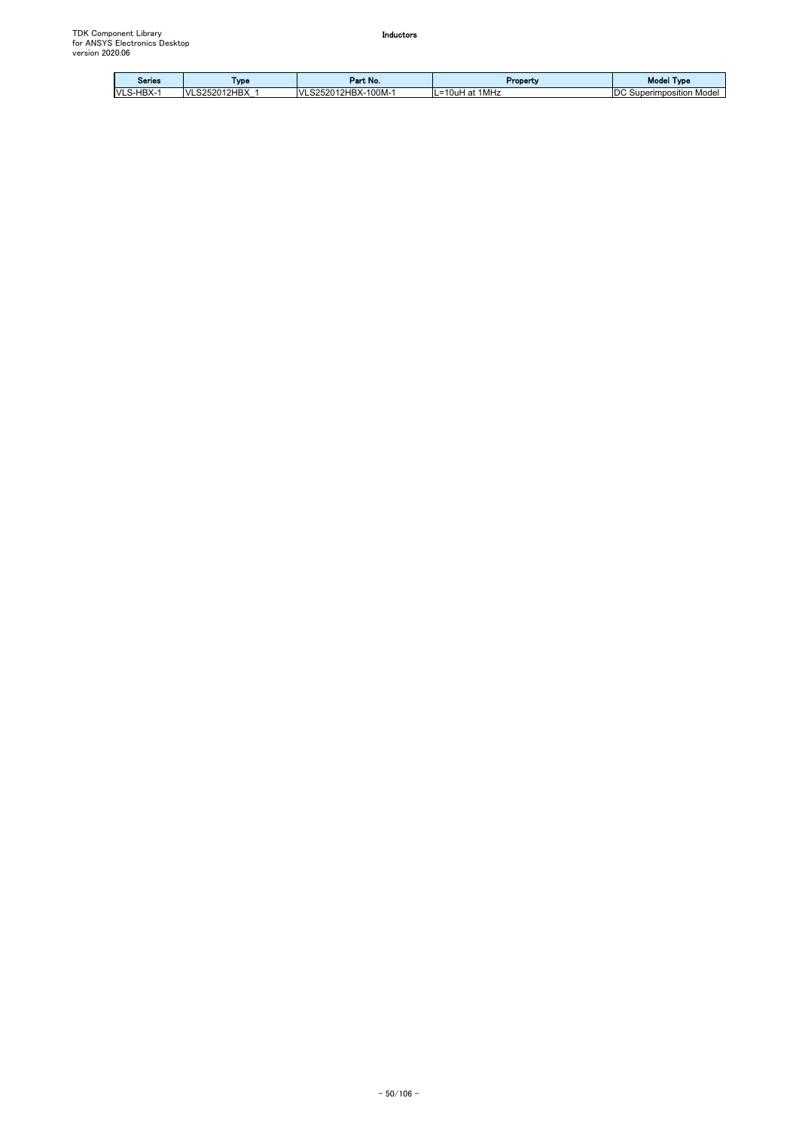| Series                      | Type               | ırt No.<br><b>Contract Contract</b><br>- | Property            | <b>Model</b><br>Type            |
|-----------------------------|--------------------|------------------------------------------|---------------------|---------------------------------|
| HBX-<br>$\mathsf{M}$<br>--- | S252012HBX<br>IVI. | 10011<br>S252012HBX-<br>M<br>- UUM-"     | 1MHz<br>.=10uH<br>a | IDC.<br>Mode<br>Superimposition |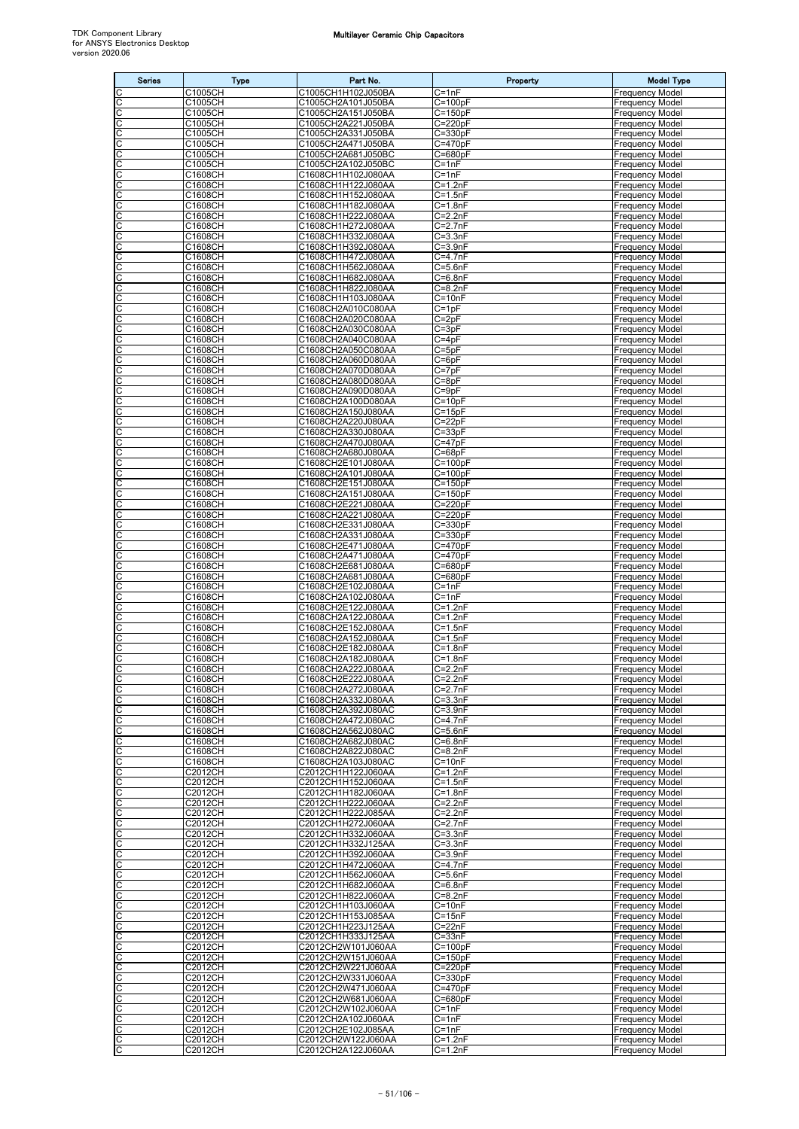| <b>Series</b> | <b>Type</b>               | Part No.                                 | Property                           | <b>Model Type</b>                                |
|---------------|---------------------------|------------------------------------------|------------------------------------|--------------------------------------------------|
|               | C1005CH                   | C1005CH1H102J050BA                       | $C = 1nF$                          | Frequency Model                                  |
| C<br>С        | C1005CH<br>C1005CH        | C1005CH2A101J050BA<br>C1005CH2A151J050BA | $C = 100pF$<br>C=150pF             | <b>Frequency Model</b><br>Frequency Model        |
| С             | C1005CH                   | C1005CH2A221J050BA                       | $C = 220pF$                        | Frequency Model                                  |
| C             | C1005CH                   | C1005CH2A331J050BA                       | $C = 330pF$                        | <b>Frequency Model</b>                           |
| C             | C1005CH                   | C1005CH2A471J050BA                       | $C = 470pF$                        | Frequency Model                                  |
| С<br>C        | C1005CH<br>C1005CH        | C1005CH2A681J050BC<br>C1005CH2A102J050BC | $C = 680pF$<br>$\overline{C}$ =1nF | Frequency Model<br><b>Frequency Model</b>        |
| С             | C1608CH                   | C1608CH1H102J080AA                       | $C = 1nF$                          | Frequency Model                                  |
| C             | C1608CH                   | C1608CH1H122J080AA                       | $C = 1.2nF$                        | Frequency Model                                  |
| С             | C1608CH                   | C1608CH1H152J080AA                       | $C = 1.5nF$                        | <b>Frequency Model</b>                           |
| С<br>C        | C1608CH<br>C1608CH        | C1608CH1H182J080AA<br>C1608CH1H222J080AA | $C = 1.8nF$<br>$C=2.2nF$           | <b>Frequency Model</b><br>Frequency Model        |
| C             | C1608CH                   | C1608CH1H272J080AA                       | $C = 2.7nF$                        | <b>Frequency Model</b>                           |
| С             | C1608CH                   | C1608CH1H332J080AA                       | $C = 3.3nF$                        | Frequency Model                                  |
| С             | C1608CH                   | C1608CH1H392J080AA                       | $C = 3.9nF$                        | <b>Frequency Model</b>                           |
| C<br>С        | C1608CH<br>C1608CH        | C1608CH1H472J080AA<br>C1608CH1H562J080AA | C=4.7nF<br>$C = 5.6nF$             | <b>Frequency Model</b><br><b>Frequency Model</b> |
| C             | C1608CH                   | C1608CH1H682J080AA                       | $C = 6.8nF$                        | Frequency Model                                  |
| С             | C1608CH                   | C1608CH1H822J080AA                       | $C = 8.2nF$                        | Frequency Model                                  |
| С<br>C        | C1608CH<br>C1608CH        | C1608CH1H103J080AA<br>C1608CH2A010C080AA | $C = 10nF$<br>$C=1pF$              | Frequency Model<br><b>Frequency Model</b>        |
| С             | C1608CH                   | C1608CH2A020C080AA                       | $C = 2pF$                          | Frequency Model                                  |
| С             | C1608CH                   | C1608CH2A030C080AA                       | $C = 3pF$                          | Frequency Model                                  |
| С             | C1608CH                   | C1608CH2A040C080AA                       | $C = 4pF$                          | <b>Frequency Model</b>                           |
| C<br>C        | C1608CH<br>C1608CH        | C1608CH2A050C080AA<br>C1608CH2A060D080AA | $C = 5pF$<br>$\overline{C}$ =6pF   | <b>Frequency Model</b><br>Frequency Model        |
| С             | C1608CH                   | C1608CH2A070D080AA                       | $C = 7pF$                          | Frequency Model                                  |
| С             | C1608CH                   | C1608CH2A080D080AA                       | $\overline{C}$ =8pF                | Frequency Model                                  |
| C             | C1608CH                   | C1608CH2A090D080AA                       | $C = 9pF$                          | <b>Frequency Model</b>                           |
| C<br>С        | C1608CH<br>C1608CH        | C1608CH2A100D080AA<br>C1608CH2A150J080AA | $C = 10pF$<br>$C = 15pF$           | Frequency Model<br>Frequency Model               |
| С             | C1608CH                   | C1608CH2A220J080AA                       | $C = 22pF$                         | <b>Frequency Model</b>                           |
| C             | C1608CH                   | C1608CH2A330J080AA                       | $C = 33pF$                         | Frequency Model                                  |
| C             | C1608CH                   | C1608CH2A470J080AA                       | $C = 47pF$                         | Frequency Model                                  |
| C<br>С        | C1608CH<br>C1608CH        | C1608CH2A680J080AA<br>C1608CH2E101J080AA | $C = 68pF$<br>$C = 100pF$          | Frequency Model<br><b>Frequency Model</b>        |
| C             | C1608CH                   | C1608CH2A101J080AA                       | $C = 100pF$                        | Frequency Model                                  |
| C             | C1608CH                   | C1608CH2E151J080AA                       | $C = 150pF$                        | <b>Frequency Model</b>                           |
| С             | C1608CH                   | C1608CH2A151J080AA                       | $C = 150pF$                        | Frequency Model                                  |
| С<br>С        | C1608CH<br>C1608CH        | C1608CH2E221J080AA<br>C1608CH2A221J080AA | $C = 220pF$<br>C=220pF             | <b>Frequency Model</b><br><b>Frequency Model</b> |
| С             | C1608CH                   | C1608CH2E331J080AA                       | C=330pF                            | <b>Frequency Model</b>                           |
| C             | C1608CH                   | C1608CH2A331J080AA                       | $C = 330pF$                        | Frequency Model                                  |
| С             | C1608CH                   | C1608CH2E471J080AA                       | C=470pF                            | Frequency Model                                  |
| С<br>C        | C1608CH<br>C1608CH        | C1608CH2A471J080AA<br>C1608CH2E681J080AA | $C = 470pF$<br>$C = 680pF$         | <b>Frequency Model</b><br><b>Frequency Model</b> |
| С             | C1608CH                   | C1608CH2A681J080AA                       | $C = 680pF$                        | Frequency Model                                  |
| С             | C1608CH                   | C1608CH2E102J080AA                       | $C = 1nF$                          | Frequency Model                                  |
| C<br>C        | C1608CH<br>C1608CH        | C1608CH2A102J080AA<br>C1608CH2E122J080AA | $C = 1nF$<br>$\overline{C}$ =1.2nF | <b>Frequency Model</b><br><b>Frequency Model</b> |
| С             | C1608CH                   | C1608CH2A122J080AA                       | C=1.2nF                            | Frequency Model                                  |
| С             | C1608CH                   | C1608CH2E152J080AA                       | $C = 1.5nF$                        | Frequency Model                                  |
| C             | C1608CH                   | C1608CH2A152J080AA                       | $C=1.5nF$                          | <b>Frequency Model</b>                           |
| C<br>С        | C1608CH<br>C1608CH        | C1608CH2E182J080AA<br>C1608CH2A182J080AA | $C = 1.8nF$<br>$C = 1.8nF$         | <b>Frequency Model</b><br>Frequency Model        |
| C             | C1608CH                   | C1608CH2A222J080AA                       | $C = 2.2nF$                        | <b>Frequency Model</b>                           |
| IС            | C1608CH                   | C1608CH2E222J080AA                       | $C=2.2nF$                          | <b>Frequency Model</b>                           |
| C<br>C        | C1608CH<br>C1608CH        | C1608CH2A272J080AA<br>C1608CH2A332J080AA | $C=2.7nF$<br>$C = 3.3nF$           | <b>Frequency Model</b><br><b>Frequency Model</b> |
| C             | C1608CH                   | C1608CH2A392J080AC                       | $C = 3.9nF$                        | <b>Frequency Model</b>                           |
| С             | C1608CH                   | C1608CH2A472J080AC                       | $C = 4.7nF$                        | <b>Frequency Model</b>                           |
| C             | C1608CH                   | C1608CH2A562J080AC                       | $C = 5.6nF$                        | <b>Frequency Model</b>                           |
| C<br>C        | C1608CH<br>C1608CH        | C1608CH2A682J080AC<br>C1608CH2A822J080AC | $C=6.8nF$<br>$C=8.2nF$             | <b>Frequency Model</b><br><b>Frequency Model</b> |
| C             | C1608CH                   | C1608CH2A103J080AC                       | $C = 10nF$                         | <b>Frequency Model</b>                           |
| C             | C2012CH                   | C2012CH1H122J060AA                       | $C = 1.2nF$                        | <b>Frequency Model</b>                           |
| C             | C2012CH                   | C2012CH1H152J060AA                       | $C = 1.5nF$                        | <b>Frequency Model</b>                           |
| С<br>С        | C2012CH<br>C2012CH        | C2012CH1H182J060AA<br>C2012CH1H222J060AA | $C = 1.8nF$<br>$C = 2.2nF$         | <b>Frequency Model</b><br><b>Frequency Model</b> |
| C             | C2012CH                   | C2012CH1H222J085AA                       | $C=2.2nF$                          | <b>Frequency Model</b>                           |
| C             | C2012CH                   | C2012CH1H272J060AA                       | $C = 2.7nF$                        | <b>Frequency Model</b>                           |
| С             | C2012CH                   | C2012CH1H332J060AA                       | $C = 3.3nF$                        | <b>Frequency Model</b>                           |
| С<br>C        | C2012CH<br>C2012CH        | C2012CH1H332J125AA<br>C2012CH1H392J060AA | $C = 3.3nF$<br>$C = 3.9nF$         | <b>Frequency Model</b><br><b>Frequency Model</b> |
| C             | C2012CH                   | C2012CH1H472J060AA                       | $C = 4.7nF$                        | <b>Frequency Model</b>                           |
| С             | <b>C2012CH</b>            | C2012CH1H562J060AA                       | C=5.6nF                            | <b>Frequency Model</b>                           |
| С<br>C        | C2012CH<br><b>C2012CH</b> | C2012CH1H682J060AA<br>C2012CH1H822J060AA | $C = 6.8nF$<br>$C = 8.2nF$         | <b>Frequency Model</b><br><b>Frequency Model</b> |
| C             | C2012CH                   | C2012CH1H103J060AA                       | $C = 10nF$                         | <b>Frequency Model</b>                           |
| С             | C2012CH                   | C2012CH1H153J085AA                       | $C = 15nF$                         | Frequency Model                                  |
| $\mathsf C$   | C2012CH                   | C2012CH1H223J125AA                       | $C = 22nF$                         | <b>Frequency Model</b>                           |
| C<br>С        | C2012CH<br>C2012CH        | C2012CH1H333J125AA<br>C2012CH2W101J060AA | $C = 33nF$<br>$C = 100pF$          | <b>Frequency Model</b><br><b>Frequency Model</b> |
| C             | <b>C2012CH</b>            | C2012CH2W151J060AA                       | $C = 150pF$                        | Frequency Model                                  |
| С             | C2012CH                   | C2012CH2W221J060AA                       | $C = 220pF$                        | <b>Frequency Model</b>                           |
| C             | C2012CH                   | C2012CH2W331J060AA                       | $C = 330pF$                        | <b>Frequency Model</b>                           |
| C<br>С        | C2012CH<br>C2012CH        | C2012CH2W471J060AA<br>C2012CH2W681J060AA | $C = 470pF$<br>$C = 680pF$         | <b>Frequency Model</b><br><b>Frequency Model</b> |
| С             | C2012CH                   | C2012CH2W102J060AA                       | $C = 1nF$                          | <b>Frequency Model</b>                           |
| C             | <b>C2012CH</b>            | C2012CH2A102J060AA                       | $C = 1nF$                          | <b>Frequency Model</b>                           |
| C             | C2012CH<br><b>C2012CH</b> | C2012CH2E102J085AA                       | $C = 1nF$<br>$C=1.2nF$             | <b>Frequency Model</b>                           |
| C<br>С        | C2012CH                   | C2012CH2W122J060AA<br>C2012CH2A122J060AA | $C = 1.2nF$                        | <b>Frequency Model</b><br><b>Frequency Model</b> |
|               |                           |                                          |                                    |                                                  |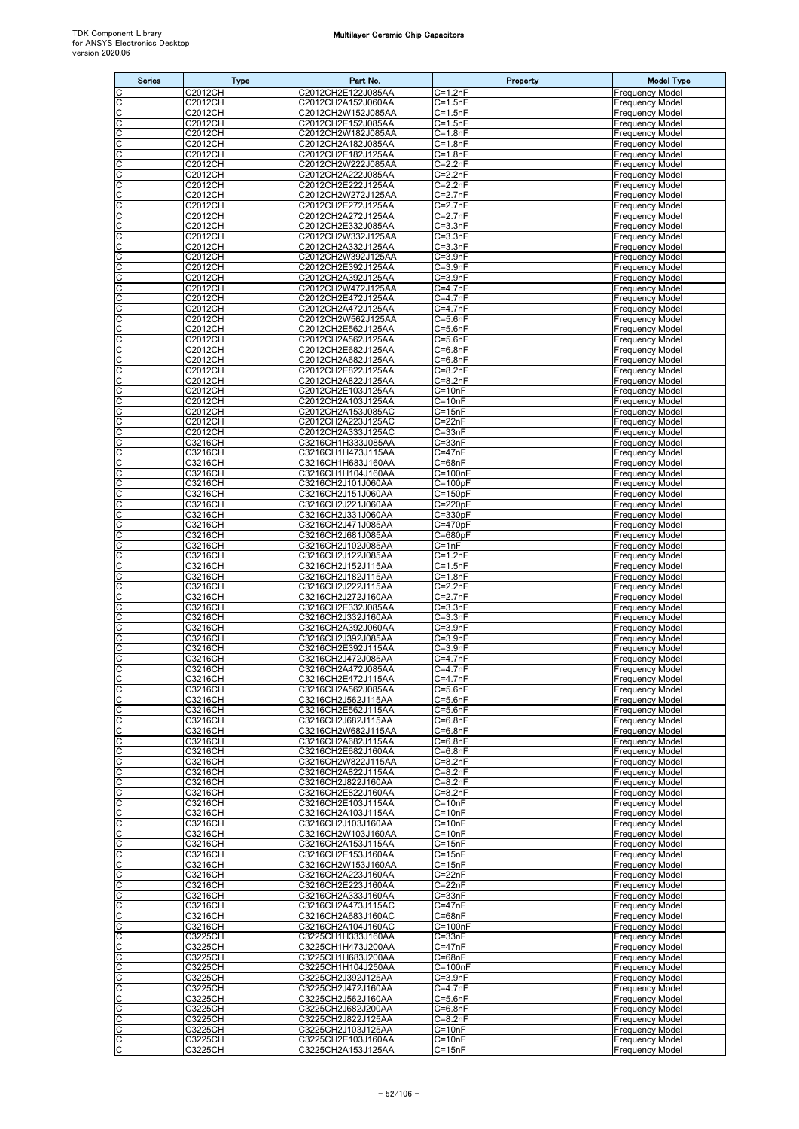| <b>Series</b>       | <b>Type</b>                     | Part No.                                 | Property                             | <b>Model Type</b>                                |
|---------------------|---------------------------------|------------------------------------------|--------------------------------------|--------------------------------------------------|
| С                   | C <sub>2012</sub> CH            | C2012CH2E122J085AA                       | $C = 1.2nF$                          | Frequency Model                                  |
| C                   | C2012CH                         | C2012CH2A152J060AA<br>C2012CH2W152J085AA | $C = 1.5nF$                          | <b>Frequency Model</b>                           |
| C<br>C              | C2012CH<br>C2012CH              | C2012CH2E152J085AA                       | $C = 1.5nF$<br>$C = 1.5nF$           | <b>Frequency Model</b><br><b>Frequency Model</b> |
| С                   | <b>C2012CH</b>                  | C2012CH2W182J085AA                       | $C = 1.8nF$                          | <b>Frequency Model</b>                           |
| C<br>C              | C2012CH<br>C2012CH              | C2012CH2A182J085AA<br>C2012CH2E182J125AA | $C = 1.8nF$<br>$C = 1.8nF$           | <b>Frequency Model</b><br><b>Frequency Model</b> |
| C                   | C2012CH                         | C2012CH2W222J085AA                       | $C = 2.2nF$                          | <b>Frequency Model</b>                           |
| С<br>C              | C2012CH                         | C2012CH2A222J085AA                       | $C = 2.2nF$<br>$C=2.2nF$             | Frequency Model                                  |
| C                   | C2012CH<br>C <sub>2012</sub> CH | C2012CH2E222J125AA<br>C2012CH2W272J125AA | $C = 2.7nF$                          | <b>Frequency Model</b><br>Frequency Model        |
| C                   | C2012CH                         | C2012CH2E272J125AA                       | $C = 2.7nF$                          | Frequency Model                                  |
| С<br>C              | C2012CH<br>C2012CH              | C2012CH2A272J125AA<br>C2012CH2E332J085AA | C=2.7nF<br>$\overline{C}$ =3.3nF     | <b>Frequency Model</b><br><b>Frequency Model</b> |
| C                   | C2012CH                         | C2012CH2W332J125AA                       | $C = 3.3nF$                          | <b>Frequency Model</b>                           |
| C                   | C2012CH                         | C2012CH2A332J125AA                       | $C = 3.3nF$                          | <b>Frequency Model</b>                           |
| C<br>C              | C2012CH<br>C2012CH              | C2012CH2W392J125AA<br>C2012CH2E392J125AA | $C = 3.9nF$<br>$C = 3.9nF$           | <b>Frequency Model</b><br><b>Frequency Model</b> |
| C                   | C2012CH                         | C2012CH2A392J125AA                       | $C = 3.9nF$                          | <b>Frequency Model</b>                           |
| C<br>C              | C2012CH<br>C2012CH              | C2012CH2W472J125AA<br>C2012CH2E472J125AA | C=4.7nF<br>$C=4.7nF$                 | <b>Frequency Model</b><br><b>Frequency Model</b> |
| C                   | C2012CH                         | C2012CH2A472J125AA                       | $C=4.7nF$                            | <b>Frequency Model</b>                           |
| CC                  | <b>C2012CH</b>                  | C2012CH2W562J125AA                       | $C = 5.6nF$                          | <b>Frequency Model</b>                           |
|                     | C2012CH<br>C2012CH              | C2012CH2E562J125AA<br>C2012CH2A562J125AA | $C = 5.6nF$<br>$C = 5.6nF$           | <b>Frequency Model</b><br><b>Frequency Model</b> |
| C                   | C2012CH                         | C2012CH2E682J125AA                       | $C=6.8nF$                            | <b>Frequency Model</b>                           |
| C<br>C              | C2012CH<br>C2012CH              | C2012CH2A682J125AA<br>C2012CH2E822J125AA | $C = 6.8nF$<br>$C = 8.2nF$           | <b>Frequency Model</b><br><b>Frequency Model</b> |
| C                   | C2012CH                         | C2012CH2A822J125AA                       | $C = 8.2nF$                          | <b>Frequency Model</b>                           |
| C                   | C2012CH                         | C2012CH2E103J125AA                       | $C = 10nF$                           | Frequency Model                                  |
| C<br>C              | C2012CH<br>C2012CH              | C2012CH2A103J125AA<br>C2012CH2A153J085AC | $C = 10nF$<br>$C = 15nF$             | <b>Frequency Model</b><br><b>Frequency Model</b> |
| C                   | C2012CH                         | C2012CH2A223J125AC                       | $C = 22nF$                           | <b>Frequency Model</b>                           |
|                     | C2012CH<br>C3216CH              | C2012CH2A333J125AC<br>C3216CH1H333J085AA | $C = 33nF$<br>$C = 33nF$             | Frequency Model<br><b>Frequency Model</b>        |
| CC                  | C3216CH                         | C3216CH1H473J115AA                       | $C = 47nF$                           | <b>Frequency Model</b>                           |
| C                   | C3216CH                         | C3216CH1H683J160AA                       | $C = 68nF$                           | Frequency Model                                  |
| C                   | C3216CH<br>C3216CH              | C3216CH1H104J160AA<br>C3216CH2J101J060AA | C=100nF<br>$C = 100pF$               | <b>Frequency Model</b><br><b>Frequency Model</b> |
| $\frac{C}{C}$       | C3216CH                         | C3216CH2J151J060AA                       | $C = 150pF$                          | <b>Frequency Model</b>                           |
| C<br>C              | C3216CH<br>C3216CH              | C3216CH2J221J060AA<br>C3216CH2J331J060AA | $C = 220pF$<br>$C = 330pF$           | <b>Frequency Model</b><br><b>Frequency Model</b> |
| C                   | C3216CH                         | C3216CH2J471J085AA                       | $C = 470pF$                          | <b>Frequency Model</b>                           |
| C<br>C              | C3216CH<br>C3216CH              | C3216CH2J681J085AA<br>C3216CH2J102J085AA | $C = 680pF$<br>$C = 1nF$             | <b>Frequency Model</b><br><b>Frequency Model</b> |
| C                   | C3216CH                         | C3216CH2J122J085AA                       | $C=1.2nF$                            | <b>Frequency Model</b>                           |
| C<br>C              | C3216CH<br>C3216CH              | C3216CH2J152J115AA<br>C3216CH2J182J115AA | $C = 1.5nF$<br>$C = 1.8nF$           | <b>Frequency Model</b><br><b>Frequency Model</b> |
| C                   | C3216CH                         | C3216CH2J222J115AA                       | $C = 2.2nF$                          | Frequency Model                                  |
| С                   | C3216CH                         | C3216CH2J272J160AA                       | $C=2.7nF$                            | <b>Frequency Model</b>                           |
| C<br>C              | C3216CH<br>C3216CH              | C3216CH2E332J085AA<br>C3216CH2J332J160AA | $C = 3.3nF$<br>$\overline{C}$ =3.3nF | <b>Frequency Model</b><br><b>Frequency Model</b> |
| C                   | C3216CH                         | C3216CH2A392J060AA                       | $C = 3.9nF$                          | <b>Frequency Model</b>                           |
| С<br>C              | C3216CH<br>C3216CH              | C3216CH2J392J085AA<br>C3216CH2E392J115AA | $C = 3.9nF$<br>$\overline{C}$ =3.9nF | <b>Frequency Model</b><br><b>Frequency Model</b> |
| C                   | C3216CH                         | C3216CH2J472J085AA                       | $C = 4.7nF$                          | <b>Frequency Model</b>                           |
| C                   | C3216CH<br>C3216CH              | C3216CH2A472J085AA<br>C3216CH2E472J115AA | $C=4.7nF$<br>$C=4.7nF$               | <b>Frequency Model</b><br><b>Frequency Model</b> |
| $rac{C}{C}$         | C3216CH                         | C3216CH2A562J085AA                       | $C = 5.6nF$                          | <b>Frequency Model</b>                           |
| cc                  | C3216CH<br>C3216CH              | C3216CH2J562J115AA<br>C3216CH2E562J115AA | $C = 5.6nF$<br>$C = 5.6nF$           | <b>Frequency Model</b><br><b>Frequency Model</b> |
| CC                  | C3216CH                         | C3216CH2J682J115AA                       | $C = 6.8nF$                          | <b>Frequency Model</b>                           |
|                     | <b>C3216CH</b><br>C3216CH       | C3216CH2W682J115AA                       | C=6.8nF<br>$C = 6.8nF$               | <b>Frequency Model</b><br><b>Frequency Model</b> |
| C<br>C              | C3216CH                         | C3216CH2A682J115AA<br>C3216CH2E682J160AA | $C=6.8nF$                            | <b>Frequency Model</b>                           |
|                     | C3216CH                         | C3216CH2W822J115AA                       | $C=8.2nF$                            | <b>Frequency Model</b>                           |
| ololo               | C3216CH<br>C3216CH              | C3216CH2A822J115AA<br>C3216CH2J822J160AA | $C=8.2nF$<br>$C = 8.2nF$             | <b>Frequency Model</b><br><b>Frequency Model</b> |
|                     | C3216CH                         | C3216CH2E822J160AA                       | $C = 8.2nF$                          | <b>Frequency Model</b>                           |
| $\overline{c}$<br>C | C3216CH<br>C3216CH              | C3216CH2E103J115AA<br>C3216CH2A103J115AA | $\overline{C}$ =10nF<br>$C = 10nF$   | <b>Frequency Model</b><br><b>Frequency Model</b> |
| C                   | C3216CH                         | C3216CH2J103J160AA                       | $C = 10nF$                           | <b>Frequency Model</b>                           |
| C                   | <b>C3216CH</b><br>C3216CH       | C3216CH2W103J160AA<br>C3216CH2A153J115AA | $C = 10nF$<br>$C = 15nF$             | <b>Frequency Model</b><br><b>Frequency Model</b> |
|                     | C3216CH                         | C3216CH2E153J160AA                       | $C = 15nF$                           | <b>Frequency Model</b>                           |
| ululu               | C3216CH                         | C3216CH2W153J160AA                       | $C = 15nF$                           | <b>Frequency Model</b>                           |
| C                   | C3216CH<br>C3216CH              | C3216CH2A223J160AA<br>C3216CH2E223J160AA | $C = 22nF$<br>$C = 22nF$             | <b>Frequency Model</b><br><b>Frequency Model</b> |
| C                   | C3216CH                         | C3216CH2A333J160AA                       | $C = 33nF$                           | <b>Frequency Model</b>                           |
| c                   | C3216CH<br>C3216CH              | C3216CH2A473J115AC<br>C3216CH2A683J160AC | $C = 47nF$<br>$C = 68nF$             | <b>Frequency Model</b><br><b>Frequency Model</b> |
| C                   | C3216CH                         | C3216CH2A104J160AC                       | $C=100nF$                            | <b>Frequency Model</b>                           |
| $rac{C}{C}$         | C3225CH<br>C3225CH              | C3225CH1H333J160AA<br>C3225CH1H473J200AA | $C = 33nF$<br>$C = 47nF$             | <b>Frequency Model</b><br><b>Frequency Model</b> |
| C                   | C3225CH                         | C3225CH1H683J200AA                       | $C = 68nF$                           | <b>Frequency Model</b>                           |
| C                   | C3225CH                         | C3225CH1H104J250AA                       | $C = 100nF$                          | <b>Frequency Model</b>                           |
| С<br>C              | C3225CH<br>C3225CH              | C3225CH2J392J125AA<br>C3225CH2J472J160AA | $C = 3.9nF$<br>$C=4.7nF$             | <b>Frequency Model</b><br><b>Frequency Model</b> |
| oo                  | C3225CH                         | C3225CH2J562J160AA                       | $C = 5.6nF$                          | <b>Frequency Model</b>                           |
|                     | C3225CH<br>C3225CH              | C3225CH2J682J200AA<br>C3225CH2J822J125AA | $C=6.8nF$<br>$C = 8.2nF$             | <b>Frequency Model</b><br><b>Frequency Model</b> |
| C<br>C              | C3225CH                         | C3225CH2J103J125AA                       | $C = 10nF$                           | <b>Frequency Model</b>                           |
| ပပ                  | C3225CH                         | C3225CH2E103J160AA                       | $C=10nF$                             | <b>Frequency Model</b>                           |
|                     | C3225CH                         | C3225CH2A153J125AA                       | $C = 15nF$                           | <b>Frequency Model</b>                           |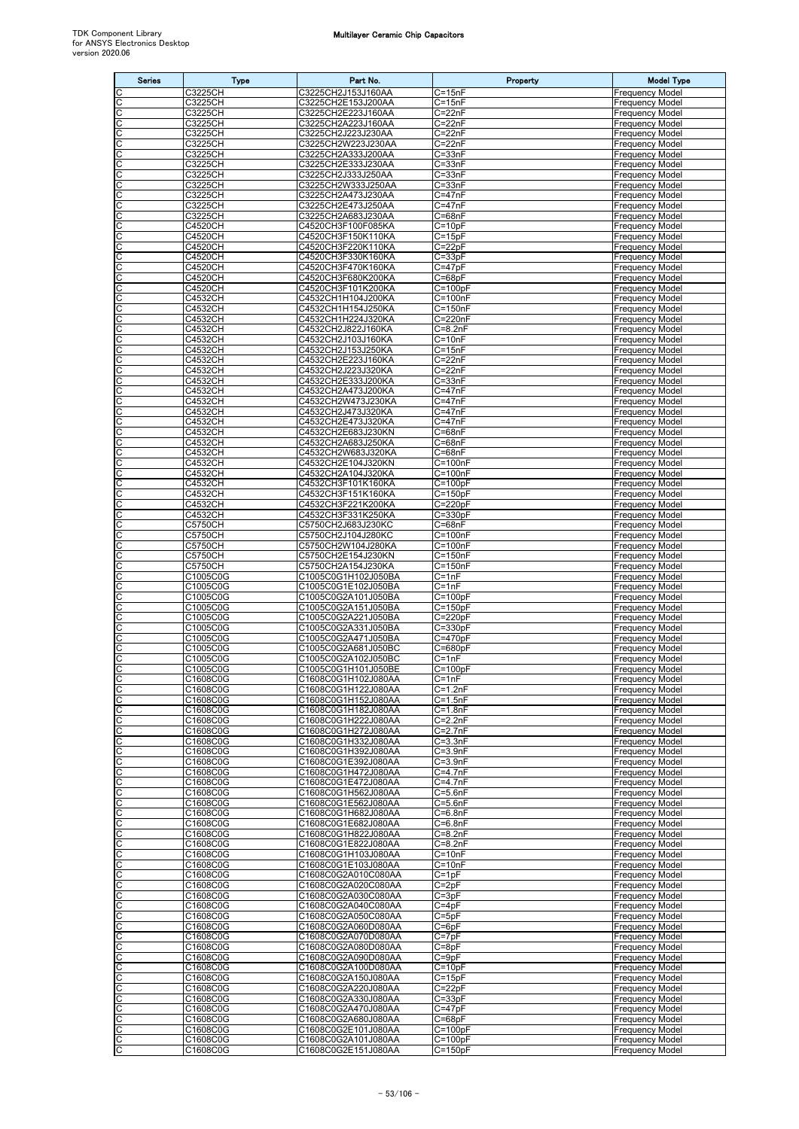| <b>Series</b>       | <b>Type</b>                      | Part No.                                   | Property                   | <b>Model Type</b>                                |
|---------------------|----------------------------------|--------------------------------------------|----------------------------|--------------------------------------------------|
| C                   | C3225CH                          | C3225CH2J153J160AA                         | $C = 15nF$                 | <b>Frequency Model</b>                           |
| C                   | C3225CH<br>C3225CH               | C3225CH2E153J200AA<br>C3225CH2E223J160AA   | $C = 15nF$<br>$C = 22nF$   | <b>Frequency Model</b><br><b>Frequency Model</b> |
| ပုပ                 | C3225CH                          | C3225CH2A223J160AA                         | $C = 22nF$                 | <b>Frequency Model</b>                           |
| C                   | C3225CH                          | C3225CH2J223J230AA                         | $C = 22nF$                 | <b>Frequency Model</b>                           |
| C<br>C              | C3225CH<br><b>C3225CH</b>        | C3225CH2W223J230AA<br>C3225CH2A333J200AA   | $C = 22nF$<br>$C = 33nF$   | <b>Frequency Model</b><br><b>Frequency Model</b> |
| C                   | C3225CH                          | C3225CH2E333J230AA                         | $C = 33nF$                 | <b>Frequency Model</b>                           |
| C                   | C3225CH                          | C3225CH2J333J250AA                         | $C = 33nF$                 | <b>Frequency Model</b>                           |
| <u>ulu</u>          | C3225CH<br>C3225CH               | C3225CH2W333J250AA<br>C3225CH2A473J230AA   | $C = 33nF$<br>$C = 47nF$   | <b>Frequency Model</b><br><b>Frequency Model</b> |
|                     | C3225CH                          | C3225CH2E473J250AA                         | $C = 47nF$                 | <b>Frequency Model</b>                           |
| C<br>C              | C3225CH<br>C4520CH               | C3225CH2A683J230AA<br>C4520CH3F100F085KA   | $C = 68nF$<br>$C = 10pF$   | <b>Frequency Model</b><br><b>Frequency Model</b> |
| C                   | C4520CH                          | C4520CH3F150K110KA                         | $C = 15pF$                 | <b>Frequency Model</b>                           |
| C                   | C4520CH                          | C4520CH3F220K110KA                         | $C = 22pF$                 | <b>Frequency Model</b>                           |
| C                   | <b>C4520CH</b><br>C4520CH        | C4520CH3F330K160KA<br>C4520CH3F470K160KA   | $C = 33pF$<br>$C = 47pF$   | <b>Frequency Model</b><br><b>Frequency Model</b> |
| <u>ooo</u>          | C4520CH                          | C4520CH3F680K200KA                         | $C = 68pF$                 | <b>Frequency Model</b>                           |
|                     | C4520CH                          | C4520CH3F101K200KA                         | $C = 100pF$                | <b>Frequency Model</b>                           |
| C<br>C              | C4532CH<br>C4532CH               | C4532CH1H104J200KA<br>C4532CH1H154J250KA   | $C = 100nF$<br>$C = 150nF$ | <b>Frequency Model</b><br><b>Frequency Model</b> |
| C                   | <b>C4532CH</b>                   | C4532CH1H224J320KA                         | $C = 220nF$                | <b>Frequency Model</b>                           |
| C<br>C              | C4532CH<br>C4532CH               | C4532CH2J822J160KA<br>C4532CH2J103J160KA   | $C=8.2nF$<br>$C = 10nF$    | <b>Frequency Model</b><br><b>Frequency Model</b> |
| C                   | C4532CH                          | C4532CH2J153J250KA                         | $C = 15nF$                 | <b>Frequency Model</b>                           |
|                     | C4532CH                          | C4532CH2E223J160KA                         | $C = 22nF$                 | <b>Frequency Model</b>                           |
| <u>ulu</u>          | C4532CH<br>$\overline{C4}$ 532CH | C4532CH2J223J320KA<br>C4532CH2E333J200KA   | $C = 22nF$<br>$C = 33nF$   | <b>Frequency Model</b><br><b>Frequency Model</b> |
| C                   | C4532CH                          | C4532CH2A473J200KA                         | $C = 47nF$                 | <b>Frequency Model</b>                           |
| C                   | C4532CH                          | C4532CH2W473J230KA                         | $C = 47nF$                 | <b>Frequency Model</b>                           |
| C<br>C              | C4532CH<br>C4532CH               | C4532CH2J473J320KA<br>C4532CH2E473J320KA   | $C = 47nF$<br>$C = 47nF$   | <b>Frequency Model</b><br><b>Frequency Model</b> |
| C                   | <b>C4532CH</b>                   | C4532CH2E683J230KN                         | C=68nF                     | <b>Frequency Model</b>                           |
| oo                  | C4532CH<br>C4532CH               | C4532CH2A683J250KA<br>C4532CH2W683J320KA   | $C = 68nF$<br>$C = 68nF$   | <b>Frequency Model</b><br><b>Frequency Model</b> |
| C                   | C4532CH                          | C4532CH2E104J320KN                         | $C = 100nF$                | <b>Frequency Model</b>                           |
| C                   | C4532CH                          | C4532CH2A104J320KA                         | $C = 100nF$                | <b>Frequency Model</b>                           |
| C<br>C              | C4532CH<br>C4532CH               | C4532CH3F101K160KA<br>C4532CH3F151K160KA   | $C = 100pF$<br>$C = 150pF$ | <b>Frequency Model</b><br><b>Frequency Model</b> |
| C                   | C4532CH                          | C4532CH3F221K200KA                         | $C = 220pF$                | <b>Frequency Model</b>                           |
| C                   | C4532CH                          | C4532CH3F331K250KA                         | $C = 330pF$                | <b>Frequency Model</b>                           |
| $\frac{1}{2}$       | C5750CH<br>C5750CH               | C5750CH2J683J230KC<br>C5750CH2J104J280KC   | $C = 68nF$<br>$C = 100nF$  | <b>Frequency Model</b><br><b>Frequency Model</b> |
|                     | C5750CH                          | C5750CH2W104J280KA                         | $C = 100nF$                | <b>Frequency Model</b>                           |
| C<br>C              | C5750CH<br>C5750CH               | C5750CH2E154J230KN                         | $C = 150nF$<br>$C = 150nF$ | <b>Frequency Model</b><br><b>Frequency Model</b> |
| C                   | C1005C0G                         | C5750CH2A154J230KA<br>C1005C0G1H102J050BA  | $C = 1nF$                  | <b>Frequency Model</b>                           |
| C                   | C1005C0G                         | C1005C0G1E102J050BA                        | $C = 1nF$                  | <b>Frequency Model</b>                           |
| C                   | C1005C0G<br>C1005C0G             | C1005C0G2A101J050BA<br>C1005C0G2A151J050BA | $C = 100pF$<br>$C = 150pF$ | <b>Frequency Model</b><br><b>Frequency Model</b> |
| oo                  | C1005C0G                         | C1005C0G2A221J050BA                        | $C = 220pF$                | <b>Frequency Model</b>                           |
| C<br>C              | C1005C0G<br>C1005C0G             | C1005C0G2A331J050BA<br>C1005C0G2A471J050BA | $C = 330pF$<br>$C = 470pF$ | <b>Frequency Model</b><br><b>Frequency Model</b> |
| C                   | C1005C0G                         | C1005C0G2A681J050BC                        | $C = 680pF$                | <b>Frequency Model</b>                           |
| C                   | C1005C0G                         | C1005C0G2A102J050BC                        | $C = 1nF$                  | <b>Frequency Model</b>                           |
| $\overline{C}$<br>C | C1005C0G<br>C1608C0G             | C1005C0G1H101J050BE<br>C1608C0G1H102J080AA | $C=100pF$<br>$C = 1nF$     | <b>Frequency Model</b><br><b>Frequency Model</b> |
| C                   | C1608C0G                         | C1608C0G1H122J080AA                        | $C=1.2nF$                  | <b>Frequency Model</b>                           |
| oo                  | C1608C0G<br>C1608C0G             | C1608C0G1H152J080AA<br>C1608C0G1H182J080AA | $C = 1.5nF$<br>$C = 1.8nF$ | <b>Frequency Model</b><br><b>Frequency Model</b> |
| C                   | C1608C0G                         | C1608C0G1H222J080AA                        | $C = 2.2nF$                | <b>Frequency Model</b>                           |
| C                   | C1608C0G                         | C1608C0G1H272J080AA                        | $C = 2.7nF$                | <b>Frequency Model</b>                           |
| С<br>C              | C1608C0G<br>C1608C0G             | C1608C0G1H332J080AA<br>C1608C0G1H392J080AA | $C = 3.3nF$<br>$C = 3.9nF$ | <b>Frequency Model</b><br><b>Frequency Model</b> |
| C                   | C1608C0G                         | C1608C0G1E392J080AA                        | $C = 3.9nF$                | <b>Frequency Model</b>                           |
| C                   | C1608C0G                         | C1608C0G1H472J080AA                        | $C = 4.7nF$<br>$C=4.7nF$   | <b>Frequency Model</b>                           |
| ပပ                  | C1608C0G<br>C1608C0G             | C1608C0G1E472J080AA<br>C1608C0G1H562J080AA | $C = 5.6nF$                | <b>Frequency Model</b><br><b>Frequency Model</b> |
| C                   | C1608C0G                         | C1608C0G1E562J080AA                        | $C = 5.6nF$                | <b>Frequency Model</b>                           |
| C<br>С              | C1608C0G<br>C1608C0G             | C1608C0G1H682J080AA<br>C1608C0G1E682J080AA | $C=6.8nF$<br>$C=6.8nF$     | <b>Frequency Model</b><br><b>Frequency Model</b> |
| C                   | C1608C0G                         | C1608C0G1H822J080AA                        | $C = 8.2nF$                | <b>Frequency Model</b>                           |
| C<br>C              | C1608C0G                         | C1608C0G1E822J080AA                        | $C=8.2nF$                  | <b>Frequency Model</b>                           |
|                     | C1608C0G<br>C1608C0G             | C1608C0G1H103J080AA<br>C1608C0G1E103J080AA | $C = 10nF$<br>$C = 10nF$   | <b>Frequency Model</b><br><b>Frequency Model</b> |
| ပပ                  | C1608C0G                         | C1608C0G2A010C080AA                        | $C = 1pF$                  | <b>Frequency Model</b>                           |
| C<br>C              | C1608C0G<br>C1608C0G             | C1608C0G2A020C080AA<br>C1608C0G2A030C080AA | $C=2pF$<br>$C = 3pF$       | Frequency Model<br><b>Frequency Model</b>        |
| С                   | C1608C0G                         | C1608C0G2A040C080AA                        | $C = 4pF$                  | <b>Frequency Model</b>                           |
| C                   | C1608C0G                         | C1608C0G2A050C080AA                        | $C = 5pF$                  | <b>Frequency Model</b>                           |
| C<br>C              | C1608C0G<br>C1608C0G             | C1608C0G2A060D080AA<br>C1608C0G2A070D080AA | $C = 6pF$<br>$C = 7pF$     | <b>Frequency Model</b><br><b>Frequency Model</b> |
| oo                  | C1608C0G                         | C1608C0G2A080D080AA                        | $C = 8pF$                  | <b>Frequency Model</b>                           |
| C                   | C1608C0G<br>C1608C0G             | C1608C0G2A090D080AA<br>C1608C0G2A100D080AA | $C = 9pF$<br>$C = 10pF$    | <b>Frequency Model</b><br><b>Frequency Model</b> |
| C                   | C1608C0G                         | C1608C0G2A150J080AA                        | $C=15pF$                   | <b>Frequency Model</b>                           |
| C                   | C1608C0G                         | C1608C0G2A220J080AA                        | $C = 22pF$                 | <b>Frequency Model</b>                           |
| C<br>C              | C1608C0G<br>C1608C0G             | C1608C0G2A330J080AA<br>C1608C0G2A470J080AA | $C = 33pF$<br>$C = 47pF$   | <b>Frequency Model</b><br><b>Frequency Model</b> |
| C                   | C1608C0G                         | C1608C0G2A680J080AA                        | $C = 68pF$                 | <b>Frequency Model</b>                           |
| C                   | C1608C0G<br>C1608C0G             | C1608C0G2E101J080AA<br>C1608C0G2A101J080AA | $C = 100pF$<br>$C=100pF$   | <b>Frequency Model</b><br><b>Frequency Model</b> |
| $rac{1}{2}$         | C1608C0G                         | C1608C0G2E151J080AA                        | $C = 150pF$                | <b>Frequency Model</b>                           |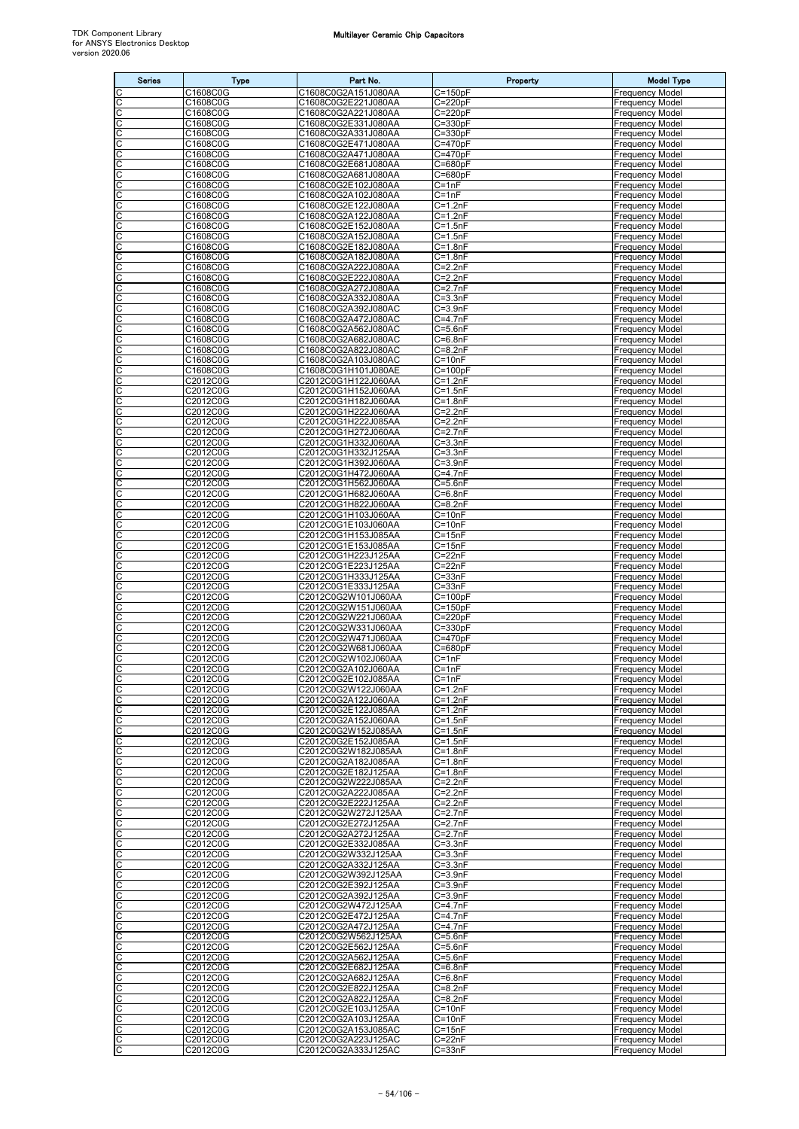| <b>Series</b> | <b>Type</b>          | Part No.                                   | Property                             | <b>Model Type</b>                                |
|---------------|----------------------|--------------------------------------------|--------------------------------------|--------------------------------------------------|
|               | C1608C0G             | C1608C0G2A151J080AA                        | $C = 150pF$                          | <b>Frequency Model</b>                           |
| C<br>С        | C1608C0G<br>C1608C0G | C1608C0G2E221J080AA<br>C1608C0G2A221J080AA | $C = 220pF$<br>$C = 220pF$           | Frequency Model<br><b>Frequency Model</b>        |
| C             | C1608C0G             | C1608C0G2E331J080AA                        | $C = 330pF$                          | <b>Frequency Model</b>                           |
| С             | C1608C0G             | C1608C0G2A331J080AA                        | C=330pF                              | Frequency Model                                  |
| C<br>С        | C1608C0G<br>C1608C0G | C1608C0G2E471J080AA<br>C1608C0G2A471J080AA | C=470pF<br>$C = 470pF$               | Frequency Model<br><b>Frequency Model</b>        |
| С             | C1608C0G             | C1608C0G2E681J080AA                        | $C = 680pF$                          | <b>Frequency Model</b>                           |
| C             | C1608C0G             | C1608C0G2A681J080AA                        | $C = 680pF$                          | Frequency Model                                  |
| C<br>С        | C1608C0G<br>C1608C0G | C1608C0G2E102J080AA<br>C1608C0G2A102J080AA | $C = 1nF$<br>$C = 1nF$               | Frequency Model<br>Frequency Model               |
| С             | C1608C0G             | C1608C0G2E122J080AA                        | $C = 1.2nF$                          | Frequency Model                                  |
| С             | C1608C0G             | C1608C0G2A122J080AA                        | $C = 1.2nF$<br>$C=1.5nF$             | <b>Frequency Model</b><br><b>Frequency Model</b> |
| С<br>С        | C1608C0G<br>C1608C0G | C1608C0G2E152J080AA<br>C1608C0G2A152J080AA | $C = 1.5nF$                          | Frequency Model                                  |
| С             | C1608C0G             | C1608C0G2E182J080AA                        | $C = 1.8nF$                          | Frequency Model                                  |
| С<br>C        | C1608C0G             | C1608C0G2A182J080AA                        | $C = 1.8nF$<br>$C = 2.2nF$           | Frequency Model                                  |
| С             | C1608C0G<br>C1608C0G | C1608C0G2A222J080AA<br>C1608C0G2E222J080AA | $C=2.2nF$                            | <b>Frequency Model</b><br>Frequency Model        |
| С             | C1608C0G             | C1608C0G2A272J080AA                        | $C = 2.7nF$                          | Frequency Model                                  |
| C<br>С        | C1608C0G<br>C1608C0G | C1608C0G2A332J080AA<br>C1608C0G2A392J080AC | $C = 3.3nF$<br>$C = 3.9nF$           | <b>Frequency Model</b><br><b>Frequency Model</b> |
| C             | C1608C0G             | C1608C0G2A472J080AC                        | C=4.7nF                              | Frequency Model                                  |
| С             | C1608C0G             | C1608C0G2A562J080AC                        | C=5.6nF                              | Frequency Model                                  |
| С<br>C        | C1608C0G<br>C1608C0G | C1608C0G2A682J080AC<br>C1608C0G2A822J080AC | $\overline{C}$ =6.8nF<br>$C = 8.2nF$ | Frequency Model<br><b>Frequency Model</b>        |
| C             | C1608C0G             | C1608C0G2A103J080AC                        | $C = 10nF$                           | Frequency Model                                  |
| С             | C1608C0G             | C1608C0G1H101J080AE                        | $C = 100pF$                          | Frequency Model                                  |
| С<br>C        | C2012C0G<br>C2012C0G | C2012C0G1H122J060AA<br>C2012C0G1H152J060AA | $\overline{C}$ =1.2nF<br>$C = 1.5nF$ | <b>Frequency Model</b><br>Frequency Model        |
| C             | C2012C0G             | C2012C0G1H182J060AA                        | $C = 1.8nF$                          | Frequency Model                                  |
| C             | C2012C0G             | C2012C0G1H222J060AA                        | $C = 2.2nF$                          | Frequency Model                                  |
| С<br>C        | C2012C0G<br>C2012C0G | C2012C0G1H222J085AA<br>C2012C0G1H272J060AA | $C = 2.2nF$<br>$C = 2.7nF$           | <b>Frequency Model</b><br>Frequency Model        |
| C             | C2012C0G             | C2012C0G1H332J060AA                        | $C = 3.3nF$                          | <b>Frequency Model</b>                           |
| С             | C2012C0G             | C2012C0G1H332J125AA                        | $C = 3.3nF$                          | Frequency Model                                  |
| С             | C2012C0G<br>C2012C0G | C2012C0G1H392J060AA<br>C2012C0G1H472J060AA | $C = 3.9nF$<br>C=4.7nF               | <b>Frequency Model</b><br><b>Frequency Model</b> |
| С             | C2012C0G             | C2012C0G1H562J060AA                        | $C = 5.6nF$                          | Frequency Model                                  |
| C             | C2012C0G             | C2012C0G1H682J060AA                        | $C = 6.8nF$                          | Frequency Model                                  |
| С<br>С        | C2012C0G<br>C2012C0G | C2012C0G1H822J060AA<br>C2012C0G1H103J060AA | $C = 8.2nF$<br>$C = 10nF$            | Frequency Model<br>Frequency Model               |
| C             | C2012C0G             | C2012C0G1E103J060AA                        | $C = 10nF$                           | <b>Frequency Model</b>                           |
| С<br>С        | C2012C0G<br>C2012C0G | C2012C0G1H153J085AA<br>C2012C0G1E153J085AA | $C = 15nF$<br>$C = 15nF$             | Frequency Model<br>Frequency Model               |
| C             | C2012C0G             | C2012C0G1H223J125AA                        | $C = 22nF$                           | <b>Frequency Model</b>                           |
| C             | C2012C0G             | C2012C0G1E223J125AA                        | $C = 22nF$                           | <b>Frequency Model</b>                           |
| С<br>С        | C2012C0G<br>C2012C0G | C2012C0G1H333J125AA<br>C2012C0G1E333J125AA | $C = 33nF$<br>$C = 33nF$             | Frequency Model<br><b>Frequency Model</b>        |
| C             | C2012C0G             | C2012C0G2W101J060AA                        | $C=100pF$                            | <b>Frequency Model</b>                           |
| C             | C2012C0G             | C2012C0G2W151J060AA                        | $C = 150pF$                          | <b>Frequency Model</b><br><b>Frequency Model</b> |
| С<br>С        | C2012C0G<br>C2012C0G | C2012C0G2W221J060AA<br>C2012C0G2W331J060AA | $C = 220pF$<br>$C = 330pF$           | <b>Frequency Model</b>                           |
| C             | C2012C0G             | C2012C0G2W471J060AA                        | $C = 470pF$                          | <b>Frequency Model</b>                           |
| С<br>С        | C2012C0G<br>C2012C0G | C2012C0G2W681J060AA<br>C2012C0G2W102J060AA | C=680pF<br>C=1nF                     | Frequency Model<br>Frequency Model               |
| C             | C2012C0G             | C2012C0G2A102J060AA                        | $C = 1nF$                            | <b>Frequency Model</b>                           |
| C             | C2012C0G             | C2012C0G2E102J085AA                        | $C = 1nF$                            | <b>Frequency Model</b>                           |
| C<br>C        | C2012C0G<br>C2012C0G | C2012C0G2W122J060AA<br>C2012C0G2A122J060AA | $C=1.2nF$<br>$C=1.2nF$               | Frequency Model<br><b>Frequency Model</b>        |
| C             | C2012C0G             | C2012C0G2E122J085AA                        | $C=1.2nF$                            | <b>Frequency Model</b>                           |
| C             | C2012C0G             | C2012C0G2A152J060AA                        | $C = 1.5nF$                          | <b>Frequency Model</b>                           |
| C<br>С        | C2012C0G<br>C2012C0G | C2012C0G2W152J085AA<br>C2012C0G2E152J085AA | $C = 1.5nF$<br>$C = 1.5nF$           | <b>Frequency Model</b><br><b>Frequency Model</b> |
| C             | C2012C0G             | C2012C0G2W182J085AA                        | $C = 1.8nF$                          | <b>Frequency Model</b>                           |
| С<br>C        | C2012C0G<br>C2012C0G | C2012C0G2A182J085AA<br>C2012C0G2E182J125AA | $C = 1.8nF$<br>$C=1.8nF$             | Frequency Model<br><b>Frequency Model</b>        |
| C             | C2012C0G             | C2012C0G2W222J085AA                        | $C = 2.2nF$                          | Frequency Model                                  |
| С             | C2012C0G             | C2012C0G2A222J085AA                        | $C=2.2nF$                            | <b>Frequency Model</b>                           |
| С<br>C        | C2012C0G<br>C2012C0G | C2012C0G2E222J125AA<br>C2012C0G2W272J125AA | $C = 2.2nF$<br>$C = 2.7nF$           | <b>Frequency Model</b><br><b>Frequency Model</b> |
| C             | C2012C0G             | C2012C0G2E272J125AA                        | $C = 2.7nF$                          | <b>Frequency Model</b>                           |
| С             | C2012C0G             | C2012C0G2A272J125AA                        | $C = 2.7nF$                          | <b>Frequency Model</b>                           |
| С<br>C        | C2012C0G<br>C2012C0G | C2012C0G2E332J085AA<br>C2012C0G2W332J125AA | $C = 3.3nF$<br>$C = 3.3nF$           | <b>Frequency Model</b><br><b>Frequency Model</b> |
| C             | C2012C0G             | C2012C0G2A332J125AA                        | $C = 3.3nF$                          | <b>Frequency Model</b>                           |
| С<br>С        | C2012C0G<br>C2012C0G | C2012C0G2W392J125AA<br>C2012C0G2E392J125AA | $C = 3.9nF$<br>$C = 3.9nF$           | Frequency Model<br><b>Frequency Model</b>        |
| C             | C2012C0G             | C2012C0G2A392J125AA                        | $C = 3.9nF$                          | <b>Frequency Model</b>                           |
| С             | C2012C0G             | C2012C0G2W472J125AA                        | $C = 4.7nF$                          | <b>Frequency Model</b>                           |
| C<br>С        | C2012C0G<br>C2012C0G | C2012C0G2E472J125AA<br>C2012C0G2A472J125AA | $C = 4.7nF$<br>$C = 4.7nF$           | <b>Frequency Model</b><br><b>Frequency Model</b> |
| C             | C2012C0G             | C2012C0G2W562J125AA                        | $C = 5.6nF$                          | <b>Frequency Model</b>                           |
| C             | C2012C0G             | C2012C0G2E562J125AA                        | $C = 5.6nF$                          | <b>Frequency Model</b>                           |
| С<br>С        | C2012C0G<br>C2012C0G | C2012C0G2A562J125AA<br>C2012C0G2E682J125AA | $C = 5.6nF$<br>$C=6.8nF$             | <b>Frequency Model</b><br><b>Frequency Model</b> |
| C             | C2012C0G             | C2012C0G2A682J125AA                        | $C = 6.8nF$                          | <b>Frequency Model</b>                           |
| C             | C2012C0G             | C2012C0G2E822J125AA                        | $C = 8.2nF$                          | <b>Frequency Model</b>                           |
| C<br>С        | C2012C0G<br>C2012C0G | C2012C0G2A822J125AA<br>C2012C0G2E103J125AA | $C = 8.2nF$<br>$C = 10nF$            | <b>Frequency Model</b><br><b>Frequency Model</b> |
| C             | C2012C0G             | C2012C0G2A103J125AA                        | $C=10nF$                             | <b>Frequency Model</b>                           |
| C<br>C        | C2012C0G<br>C2012C0G | C2012C0G2A153J085AC<br>C2012C0G2A223J125AC | $C = 15nF$<br>$C = 22nF$             | <b>Frequency Model</b><br><b>Frequency Model</b> |
| C             | C2012C0G             | C2012C0G2A333J125AC                        | $C = 33nF$                           | <b>Frequency Model</b>                           |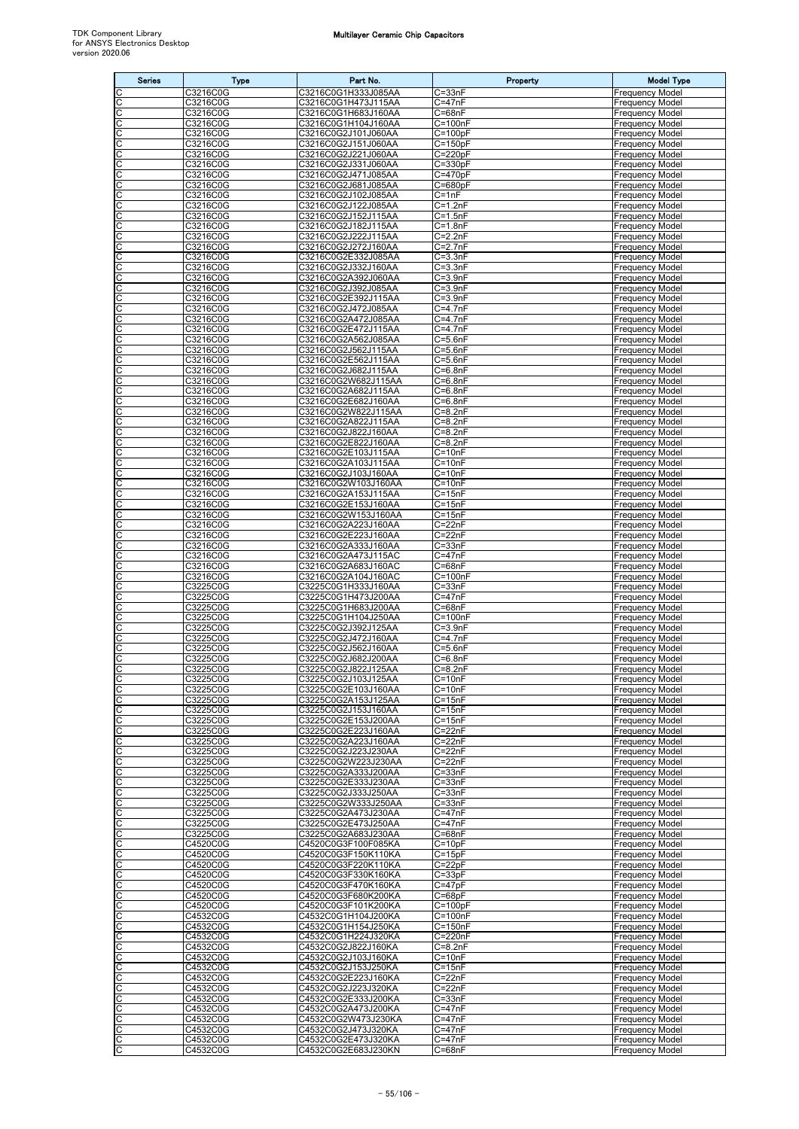| <b>Series</b>                                    | <b>Type</b>          | Part No.                                   | Property                             | <b>Model Type</b>                                |
|--------------------------------------------------|----------------------|--------------------------------------------|--------------------------------------|--------------------------------------------------|
| C                                                | C3216C0G             | C3216C0G1H333J085AA                        | $C = 33nF$                           | <b>Frequency Model</b>                           |
| $\overline{c}$<br>C                              | C3216C0G<br>C3216C0G | C3216C0G1H473J115AA<br>C3216C0G1H683J160AA | $C = 47nF$<br>$C = 68nF$             | <b>Frequency Model</b><br><b>Frequency Model</b> |
|                                                  | C3216C0G             | C3216C0G1H104J160AA                        | $\overline{C}$ =100nF                | <b>Frequency Model</b>                           |
| <u>ooo</u>                                       | C3216C0G             | C3216C0G2J101J060AA                        | $C = 100pF$                          | <b>Frequency Model</b>                           |
| C                                                | C3216C0G<br>C3216C0G | C3216C0G2J151J060AA<br>C3216C0G2J221J060AA | $C = 150pF$<br>$C = 220pF$           | <b>Frequency Model</b><br><b>Frequency Model</b> |
| C                                                | C3216C0G             | C3216C0G2J331J060AA                        | $C = 330pF$                          | <b>Frequency Model</b>                           |
| C                                                | C3216C0G             | C3216C0G2J471J085AA                        | $C = 470pF$                          | <b>Frequency Model</b>                           |
| C<br>C                                           | C3216C0G<br>C3216C0G | C3216C0G2J681J085AA<br>C3216C0G2J102J085AA | $C = 680pF$<br>$C = 1nF$             | <b>Frequency Model</b><br><b>Frequency Model</b> |
|                                                  | C3216C0G             | C3216C0G2J122J085AA                        | $C=1.2nF$                            | <b>Frequency Model</b>                           |
| ပ                                                | C3216C0G             | C3216C0G2J152J115AA                        | $C = 1.5nF$                          | <b>Frequency Model</b>                           |
| $\overline{C}$<br>C                              | C3216C0G<br>C3216C0G | C3216C0G2J182J115AA<br>C3216C0G2J222J115AA | $\overline{C}$ =1.8nF<br>$C = 2.2nF$ | <b>Frequency Model</b><br><b>Frequency Model</b> |
| C                                                | C3216C0G             | C3216C0G2J272J160AA                        | $C=2.7nF$                            | <b>Frequency Model</b>                           |
| C                                                | C3216C0G             | C3216C0G2E332J085AA                        | $C = 3.3nF$                          | <b>Frequency Model</b>                           |
| C<br>C                                           | C3216C0G<br>C3216C0G | C3216C0G2J332J160AA<br>C3216C0G2A392J060AA | $C = 3.3nF$<br>$C = 3.9nF$           | <b>Frequency Model</b><br><b>Frequency Model</b> |
|                                                  | C3216C0G             | C3216C0G2J392J085AA                        | $C = 3.9nF$                          | <b>Frequency Model</b>                           |
| ooo                                              | C3216C0G<br>C3216C0G | C3216C0G2E392J115AA<br>C3216C0G2J472J085AA | $C = 3.9nF$<br>$C=4.7nF$             | <b>Frequency Model</b><br><b>Frequency Model</b> |
| C                                                | C3216C0G             | C3216C0G2A472J085AA                        | $C = 4.7nF$                          | <b>Frequency Model</b>                           |
| C                                                | C3216C0G             | C3216C0G2E472J115AA                        | $C = 4.7nF$                          | <b>Frequency Model</b>                           |
| C<br>C                                           | C3216C0G<br>C3216C0G | C3216C0G2A562J085AA<br>C3216C0G2J562J115AA | $C = 5.6nF$<br>$C = 5.6nF$           | <b>Frequency Model</b><br><b>Frequency Model</b> |
| C                                                | C3216C0G             | C3216C0G2E562J115AA                        | $C = 5.6nF$                          | <b>Frequency Model</b>                           |
| C                                                | C3216C0G             | C3216C0G2J682J115AA                        | $C=6.8nF$                            | <b>Frequency Model</b>                           |
| $\frac{1}{2}$                                    | C3216C0G<br>C3216C0G | C3216C0G2W682J115AA<br>C3216C0G2A682J115AA | $C=6.8nF$<br>$C=6.8nF$               | <b>Frequency Model</b><br><b>Frequency Model</b> |
|                                                  | C3216C0G             | C3216C0G2E682J160AA                        | $C=6.8nF$                            | <b>Frequency Model</b>                           |
| C                                                | C3216C0G             | C3216C0G2W822J115AA                        | $C = 8.2nF$                          | <b>Frequency Model</b>                           |
| C<br>C                                           | C3216C0G<br>C3216C0G | C3216C0G2A822J115AA<br>C3216C0G2J822J160AA | $C = 8.2nF$<br>$C = 8.2nF$           | <b>Frequency Model</b><br><b>Frequency Model</b> |
| C                                                | C3216C0G             | C3216C0G2E822J160AA                        | $C = 8.2nF$                          | <b>Frequency Model</b>                           |
| C                                                | C3216C0G             | C3216C0G2E103J115AA                        | $C = 10nF$                           | <b>Frequency Model</b>                           |
| ပ                                                | C3216C0G<br>C3216C0G | C3216C0G2A103J115AA<br>C3216C0G2J103J160AA | $C = 10nF$<br>$C = 10nF$             | <b>Frequency Model</b><br><b>Frequency Model</b> |
| C                                                | C3216C0G             | C3216C0G2W103J160AA                        | $C = 10nF$                           | <b>Frequency Model</b>                           |
| C                                                | C3216C0G             | C3216C0G2A153J115AA                        | $C = 15nF$                           | <b>Frequency Model</b>                           |
| C<br>C                                           | C3216C0G<br>C3216C0G | C3216C0G2E153J160AA<br>C3216C0G2W153J160AA | $C = 15nF$<br>$C = 15nF$             | <b>Frequency Model</b><br><b>Frequency Model</b> |
| C                                                | C3216C0G             | C3216C0G2A223J160AA                        | $C = 22nF$                           | <b>Frequency Model</b>                           |
| C                                                | C3216C0G<br>C3216C0G | C3216C0G2E223J160AA<br>C3216C0G2A333J160AA | $C = 22nF$<br>$C = 33nF$             | <b>Frequency Model</b><br><b>Frequency Model</b> |
| <u>ooo</u>                                       | C3216C0G             | C3216C0G2A473J115AC                        | $C = 47nF$                           | <b>Frequency Model</b>                           |
|                                                  | C3216C0G             | C3216C0G2A683J160AC                        | $C = 68nF$                           | <b>Frequency Model</b>                           |
| C<br>C                                           | C3216C0G<br>C3225C0G | C3216C0G2A104J160AC<br>C3225C0G1H333J160AA | $C = 100nF$<br>$C = 33nF$            | <b>Frequency Model</b><br><b>Frequency Model</b> |
| C                                                | C3225C0G             | C3225C0G1H473J200AA                        | $C = 47nF$                           | <b>Frequency Model</b>                           |
| C                                                | C3225C0G             | C3225C0G1H683J200AA                        | $C = 68nF$                           | <b>Frequency Model</b>                           |
| C                                                | C3225C0G<br>C3225C0G | C3225C0G1H104J250AA<br>C3225C0G2J392J125AA | C=100nF<br>$C = 3.9nF$               | <b>Frequency Model</b><br><b>Frequency Model</b> |
| oo                                               | C3225C0G             | C3225C0G2J472J160AA                        | $C=4.7nF$                            | <b>Frequency Model</b>                           |
| C<br>C                                           | C3225C0G             | C3225C0G2J562J160AA                        | $C = 5.6nF$                          | <b>Frequency Model</b>                           |
| c                                                | C3225C0G<br>C3225C0G | C3225C0G2J682J200AA<br>C3225C0G2J822J125AA | $C = 6.8nF$<br>$C = 8.2nF$           | <b>Frequency Model</b><br><b>Frequency Model</b> |
| C                                                | C3225C0G             | C3225C0G2J103J125AA                        | $C = 10nF$                           | <b>Frequency Model</b>                           |
| C<br>C                                           | C3225C0G<br>C3225C0G | C3225C0G2E103J160AA<br>C3225C0G2A153J125AA | $C=10nF$<br>$C = 15nF$               | <b>Frequency Model</b><br><b>Frequency Model</b> |
| C                                                | C3225C0G             | C3225C0G2J153J160AA                        | $C = 15nF$                           | <b>Frequency Model</b>                           |
| ပပ                                               | C3225C0G             | C3225C0G2E153J200AA                        | $C = 15nF$                           | <b>Frequency Model</b>                           |
| C                                                | C3225C0G<br>C3225C0G | C3225C0G2E223J160AA<br>C3225C0G2A223J160AA | $C = 22nF$<br>$C = 22nF$             | <b>Frequency Model</b><br><b>Frequency Model</b> |
| C                                                | C3225C0G             | C3225C0G2J223J230AA                        | $C = 22nF$                           | <b>Frequency Model</b>                           |
| С                                                | C3225C0G             | C3225C0G2W223J230AA                        | $C = 22nF$                           | <b>Frequency Model</b>                           |
| C<br>C                                           | C3225C0G<br>C3225C0G | C3225C0G2A333J200AA<br>C3225C0G2E333J230AA | $C = 33nF$<br>$\overline{C}$ =33nF   | <b>Frequency Model</b><br><b>Frequency Model</b> |
| C                                                | C3225C0G             | C3225C0G2J333J250AA                        | $C = 33nF$                           | <b>Frequency Model</b>                           |
| С                                                | C3225C0G<br>C3225C0G | C3225C0G2W333J250AA<br>C3225C0G2A473J230AA | $C = 33nF$<br>$C = 47nF$             | <b>Frequency Model</b><br><b>Frequency Model</b> |
| С<br>C                                           | C3225C0G             | C3225C0G2E473J250AA                        | $C = 47nF$                           | <b>Frequency Model</b>                           |
| C                                                | C3225C0G             | C3225C0G2A683J230AA                        | $C = 68nF$                           | <b>Frequency Model</b>                           |
| С<br>C                                           | C4520C0G<br>C4520C0G | C4520C0G3F100F085KA<br>C4520C0G3F150K110KA | $C = 10pF$<br>$C = 15pF$             | <b>Frequency Model</b><br><b>Frequency Model</b> |
| C                                                | C4520C0G             | C4520C0G3F220K110KA                        | $C = 22pF$                           | <b>Frequency Model</b>                           |
| C                                                | C4520C0G             | C4520C0G3F330K160KA                        | $C = 33pF$                           | <b>Frequency Model</b>                           |
| ပပ                                               | C4520C0G<br>C4520C0G | C4520C0G3F470K160KA<br>C4520C0G3F680K200KA | $C = 47pF$<br>$C = 68pF$             | <b>Frequency Model</b><br><b>Frequency Model</b> |
| C                                                | C4520C0G             | C4520C0G3F101K200KA                        | $C = 100pF$                          | <b>Frequency Model</b>                           |
| C                                                | C4532C0G             | C4532C0G1H104J200KA                        | $C = 100nF$                          | <b>Frequency Model</b>                           |
| С<br>C                                           | C4532C0G<br>C4532C0G | C4532C0G1H154J250KA<br>C4532C0G1H224J320KA | $C = 150nF$<br>C=220nF               | <b>Frequency Model</b><br><b>Frequency Model</b> |
| C                                                | C4532C0G             | C4532C0G2J822J160KA                        | $C = 8.2nF$                          | <b>Frequency Model</b>                           |
| C                                                | C4532C0G             | C4532C0G2J103J160KA                        | $C = 10nF$                           | <b>Frequency Model</b>                           |
| ပပ                                               | C4532C0G<br>C4532C0G | C4532C0G2J153J250KA<br>C4532C0G2E223J160KA | $C = 15nF$<br>$C = 22nF$             | <b>Frequency Model</b><br><b>Frequency Model</b> |
| C                                                | C4532C0G             | C4532C0G2J223J320KA                        | $C = 22nF$                           | <b>Frequency Model</b>                           |
| C<br>C                                           | C4532C0G<br>C4532C0G | C4532C0G2E333J200KA<br>C4532C0G2A473J200KA | $C = 33nF$<br>$C = 47nF$             | <b>Frequency Model</b><br><b>Frequency Model</b> |
| C                                                | C4532C0G             | C4532C0G2W473J230KA                        | $C = 47nF$                           | <b>Frequency Model</b>                           |
| C                                                | C4532C0G             | C4532C0G2J473J320KA                        | $C = 47nF$                           | <b>Frequency Model</b>                           |
| $\overline{\mathsf{C}}$<br>$\overline{\text{c}}$ | C4532C0G<br>C4532C0G | C4532C0G2E473J320KA<br>C4532C0G2E683J230KN | $C = 47nF$<br>$C = 68nF$             | <b>Frequency Model</b><br><b>Frequency Model</b> |
|                                                  |                      |                                            |                                      |                                                  |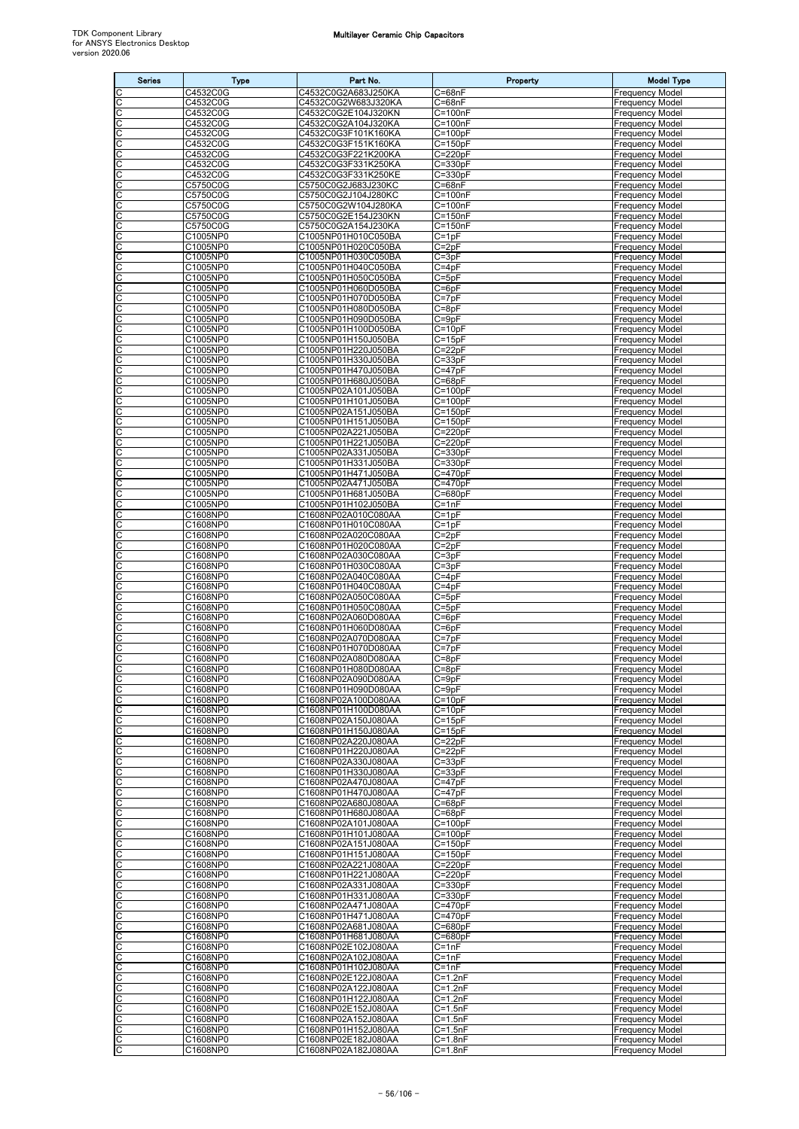| <b>Series</b>                       | <b>Type</b>          | Part No.                                   | Property                             | <b>Model Type</b>                                |
|-------------------------------------|----------------------|--------------------------------------------|--------------------------------------|--------------------------------------------------|
| C                                   | C4532C0G             | C4532C0G2A683J250KA                        | $C = 68nF$                           | <b>Frequency Model</b>                           |
| $\overline{\text{c}}$               | C4532C0G<br>C4532C0G | C4532C0G2W683J320KA                        | $C = 68nF$                           | Frequency Model                                  |
| C<br>C                              | C4532C0G             | C4532C0G2E104J320KN<br>C4532C0G2A104J320KA | $C = 100nF$<br>$\overline{C}$ =100nF | <b>Frequency Model</b><br><b>Frequency Model</b> |
| C                                   | C4532C0G             | C4532C0G3F101K160KA                        | $C = 100pF$                          | <b>Frequency Model</b>                           |
| C                                   | C4532C0G             | C4532C0G3F151K160KA                        | $C = 150pF$                          | <b>Frequency Model</b>                           |
| C                                   | C4532C0G             | C4532C0G3F221K200KA                        | C=220pF                              | <b>Frequency Model</b>                           |
| C<br>C                              | C4532C0G<br>C4532C0G | C4532C0G3F331K250KA<br>C4532C0G3F331K250KE | C=330pF<br>$C = 330pF$               | <b>Frequency Model</b><br><b>Frequency Model</b> |
| C                                   | C5750C0G             | C5750C0G2J683J230KC                        | $C = 68nF$                           | <b>Frequency Model</b>                           |
| $\frac{1}{2}$                       | C5750C0G             | C5750C0G2J104J280KC                        | $C = 100nF$                          | <b>Frequency Model</b>                           |
|                                     | C5750C0G<br>C5750C0G | C5750C0G2W104J280KA<br>C5750C0G2E154J230KN | $C = 100nF$<br>$C = 150nF$           | <b>Frequency Model</b><br><b>Frequency Model</b> |
| C<br>C                              | C5750C0G             | C5750C0G2A154J230KA                        | $C = 150nF$                          | <b>Frequency Model</b>                           |
| С                                   | C1005NP0             | C1005NP01H010C050BA                        | C=1pF                                | <b>Frequency Model</b>                           |
| C                                   | C1005NP0             | C1005NP01H020C050BA                        | $C = 2pF$                            | Frequency Model                                  |
| C<br>C                              | C1005NP0<br>C1005NP0 | C1005NP01H030C050BA<br>C1005NP01H040C050BA | $C = 3pF$<br>$C = 4pF$               | <b>Frequency Model</b><br><b>Frequency Model</b> |
|                                     | C1005NP0             | C1005NP01H050C050BA                        | $C = 5pF$                            | <b>Frequency Model</b>                           |
| $\frac{c}{c}$                       | C1005NP0             | C1005NP01H060D050BA                        | $C = 6pF$                            | <b>Frequency Model</b>                           |
| c                                   | C1005NP0             | C1005NP01H070D050BA                        | $C = 7pF$                            | <b>Frequency Model</b>                           |
| C                                   | C1005NP0<br>C1005NP0 | C1005NP01H080D050BA<br>C1005NP01H090D050BA | $C = 8pF$<br>$C = 9pF$               | <b>Frequency Model</b><br><b>Frequency Model</b> |
| C                                   | C1005NP0             | C1005NP01H100D050BA                        | C=10pF                               | <b>Frequency Model</b>                           |
| CC                                  | C1005NP0             | C1005NP01H150J050BA                        | $C = 15pF$                           | <b>Frequency Model</b>                           |
|                                     | C1005NP0             | C1005NP01H220J050BA                        | $C = 22pF$                           | <b>Frequency Model</b>                           |
| C<br>C                              | C1005NP0<br>C1005NP0 | C1005NP01H330J050BA<br>C1005NP01H470J050BA | $C = 33pF$<br>$C = 47pF$             | <b>Frequency Model</b><br><b>Frequency Model</b> |
|                                     | C1005NP0             | C1005NP01H680J050BA                        | $C = 68pF$                           | <b>Frequency Model</b>                           |
| CC                                  | C1005NP0             | C1005NP02A101J050BA                        | $C = 100pF$                          | <b>Frequency Model</b>                           |
| C                                   | C1005NP0<br>C1005NP0 | C1005NP01H101J050BA                        | $C = 100pF$<br>$C = 150pF$           | <b>Frequency Model</b>                           |
| C<br>C                              | C1005NP0             | C1005NP02A151J050BA<br>C1005NP01H151J050BA | $C = 150pF$                          | <b>Frequency Model</b><br><b>Frequency Model</b> |
| C                                   | C1005NP0             | C1005NP02A221J050BA                        | $C = 220pF$                          | <b>Frequency Model</b>                           |
|                                     | C1005NP0             | C1005NP01H221J050BA                        | $C = 220pF$                          | <b>Frequency Model</b>                           |
| oo                                  | C1005NP0             | C1005NP02A331J050BA                        | $C = 330pF$                          | <b>Frequency Model</b>                           |
| C                                   | C1005NP0<br>C1005NP0 | C1005NP01H331J050BA<br>C1005NP01H471J050BA | $C = 330pF$<br>$C = 470pF$           | <b>Frequency Model</b><br><b>Frequency Model</b> |
| C                                   | C1005NP0             | C1005NP02A471J050BA                        | $C = 470pF$                          | <b>Frequency Model</b>                           |
| C                                   | C1005NP0             | C1005NP01H681J050BA                        | C=680pF                              | <b>Frequency Model</b>                           |
| C<br>C                              | C1005NP0<br>C1608NP0 | C1005NP01H102J050BA<br>C1608NP02A010C080AA | $C = 1nF$<br>$C = 1pF$               | Frequency Model                                  |
| C                                   | C1608NP0             | C1608NP01H010C080AA                        | $C = 1pF$                            | <b>Frequency Model</b><br><b>Frequency Model</b> |
| $\frac{c}{c}$                       | C1608NP0             | C1608NP02A020C080AA                        | $C = 2pF$                            | <b>Frequency Model</b>                           |
|                                     | C1608NP0             | C1608NP01H020C080AA                        | $C = 2pF$                            | <b>Frequency Model</b>                           |
| C<br>C                              | C1608NP0<br>C1608NP0 | C1608NP02A030C080AA<br>C1608NP01H030C080AA | $C = 3pF$<br>$C = 3pF$               | <b>Frequency Model</b><br><b>Frequency Model</b> |
| С                                   | C1608NP0             | C1608NP02A040C080AA                        | C=4pF                                | <b>Frequency Model</b>                           |
| C                                   | C1608NP0             | C1608NP01H040C080AA                        | $C = 4pF$                            | <b>Frequency Model</b>                           |
| C                                   | C1608NP0             | C1608NP02A050C080AA                        | $C = 5pF$                            | <b>Frequency Model</b>                           |
| C<br>С                              | C1608NP0<br>C1608NP0 | C1608NP01H050C080AA<br>C1608NP02A060D080AA | $C = 5pF$<br>$C = 6pF$               | <b>Frequency Model</b><br><b>Frequency Model</b> |
| C                                   | C1608NP0             | C1608NP01H060D080AA                        | $C = 6pF$                            | <b>Frequency Model</b>                           |
| C                                   | C1608NP0             | C1608NP02A070D080AA                        | $C = 7pF$                            | <b>Frequency Model</b>                           |
| C                                   | C1608NP0<br>C1608NP0 | C1608NP01H070D080AA                        | $C = 7pF$                            | Frequency Model                                  |
| С<br>C                              | C1608NP0             | C1608NP02A080D080AA<br>C1608NP01H080D080AA | $C = 8pF$<br>$C = 8pF$               | <b>Frequency Model</b><br><b>Frequency Model</b> |
|                                     | C1608NP0             | C1608NP02A090D080AA                        | $C = 9pF$                            | <b>Frequency Model</b>                           |
| oo                                  | C1608NP0             | C1608NP01H090D080AA                        | $C = 9pF$                            | <b>Frequency Model</b>                           |
| $\frac{1}{2}$                       | C1608NP0<br>C1608NP0 | C1608NP02A100D080AA<br>C1608NP01H100D080AA | $C = 10pF$<br>$C=10pF$               | <b>Frequency Model</b><br><b>Frequency Model</b> |
|                                     | C1608NP0             | C1608NP02A150J080AA                        | $C = 15pF$                           | <b>Frequency Model</b>                           |
| oo                                  | C1608NP0             | C1608NP01H150J080AA                        | $C = 15pF$                           | <b>Frequency Model</b>                           |
| $\frac{C}{C}$                       | C1608NP0             | C1608NP02A220J080AA                        | $C = 22pF$                           | <b>Frequency Model</b>                           |
|                                     | C1608NP0<br>C1608NP0 | C1608NP01H220J080AA<br>C1608NP02A330J080AA | $C = 22pF$<br>$C = 33pF$             | <b>Frequency Model</b><br><b>Frequency Model</b> |
| C<br>C                              | C1608NP0             | C1608NP01H330J080AA                        | $C = 33pF$                           | <b>Frequency Model</b>                           |
| $\frac{\overline{C}}{\overline{C}}$ | C1608NP0             | C1608NP02A470J080AA                        | $C = 47pF$                           | <b>Frequency Model</b>                           |
|                                     | C1608NP0             | C1608NP01H470J080AA                        | $C = 47pF$                           | <b>Frequency Model</b>                           |
| co                                  | C1608NP0<br>C1608NP0 | C1608NP02A680J080AA<br>C1608NP01H680J080AA | $C = 68pF$<br>$C = 68pF$             | <b>Frequency Model</b><br><b>Frequency Model</b> |
| $\overline{c}$                      | C1608NP0             | C1608NP02A101J080AA                        | $C = 100pF$                          | <b>Frequency Model</b>                           |
| C                                   | C1608NP0             | C1608NP01H101J080AA                        | $C=100pF$                            | <b>Frequency Model</b>                           |
| C<br>C                              | C1608NP0<br>C1608NP0 | C1608NP02A151J080AA<br>C1608NP01H151J080AA | $C = 150pF$<br>$C = 150pF$           | <b>Frequency Model</b><br><b>Frequency Model</b> |
|                                     | C1608NP0             | C1608NP02A221J080AA                        | $C = 220pF$                          | <b>Frequency Model</b>                           |
| olololo                             | C1608NP0             | C1608NP01H221J080AA                        | $C = 220pF$                          | <b>Frequency Model</b>                           |
|                                     | C1608NP0             | C1608NP02A331J080AA                        | $C = 330pF$                          | <b>Frequency Model</b>                           |
|                                     | C1608NP0<br>C1608NP0 | C1608NP01H331J080AA<br>C1608NP02A471J080AA | $C = 330pF$<br>$C = 470pF$           | <b>Frequency Model</b><br><b>Frequency Model</b> |
| C                                   | C1608NP0             | C1608NP01H471J080AA                        | C=470pF                              | <b>Frequency Model</b>                           |
| c                                   | C1608NP0             | C1608NP02A681J080AA                        | $C = 680pF$                          | <b>Frequency Model</b>                           |
| C                                   | C1608NP0<br>C1608NP0 | C1608NP01H681J080AA<br>C1608NP02E102J080AA | $C = 680pF$<br>$C = 1nF$             | <b>Frequency Model</b><br><b>Frequency Model</b> |
|                                     | C1608NP0             | C1608NP02A102J080AA                        | $C = 1nF$                            | <b>Frequency Model</b>                           |
| C<br>C                              | C1608NP0             | C1608NP01H102J080AA                        | $C=1nF$                              | <b>Frequency Model</b>                           |
| C                                   | C1608NP0             | C1608NP02E122J080AA                        | $C = 1.2nF$                          | <b>Frequency Model</b>                           |
| C<br>C                              | C1608NP0<br>C1608NP0 | C1608NP02A122J080AA<br>C1608NP01H122J080AA | $C = 1.2nF$<br>$C = 1.2nF$           | <b>Frequency Model</b><br><b>Frequency Model</b> |
| C                                   | C1608NP0             | C1608NP02E152J080AA                        | $C = 1.5nF$                          | <b>Frequency Model</b>                           |
| oo                                  | C1608NP0             | C1608NP02A152J080AA                        | $C=1.5nF$                            | <b>Frequency Model</b>                           |
|                                     | C1608NP0             | C1608NP01H152J080AA                        | $C = 1.5nF$                          | <b>Frequency Model</b>                           |
| C<br>C                              | C1608NP0<br>C1608NP0 | C1608NP02E182J080AA<br>C1608NP02A182J080AA | $C = 1.8nF$<br>$C = 1.8nF$           | <b>Frequency Model</b><br><b>Frequency Model</b> |
|                                     |                      |                                            |                                      |                                                  |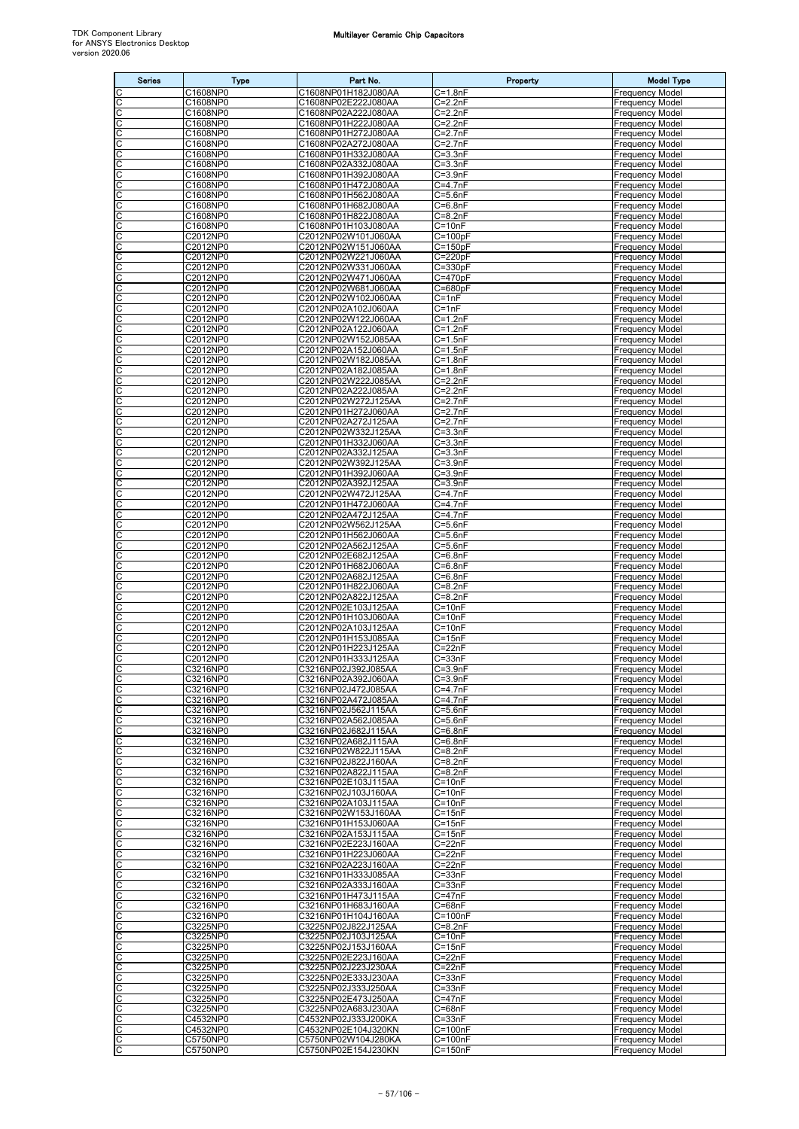| <b>Series</b> | <b>Type</b>          | Part No.                                   | Property                   | <b>Model Type</b>                                |
|---------------|----------------------|--------------------------------------------|----------------------------|--------------------------------------------------|
|               | C1608NP0             | C1608NP01H182J080AA                        | $C = 1.8nF$                | <b>Frequency Model</b>                           |
| C             | C1608NP0<br>C1608NP0 | C1608NP02E222J080AA<br>C1608NP02A222J080AA | $C = 2.2nF$<br>$C=2.2nF$   | Frequency Model                                  |
| С<br>C        | C1608NP0             | C1608NP01H222J080AA                        | $C = 2.2nF$                | Frequency Model<br><b>Frequency Model</b>        |
| С             | C1608NP0             | C1608NP01H272J080AA                        | $C = 2.7nF$                | Frequency Model                                  |
| C<br>С        | C1608NP0<br>C1608NP0 | C1608NP02A272J080AA<br>C1608NP01H332J080AA | $C = 2.7nF$<br>$C = 3.3nF$ | Frequency Model<br><b>Frequency Model</b>        |
| С             | C1608NP0             | C1608NP02A332J080AA                        | $C = 3.3nF$                | <b>Frequency Model</b>                           |
| C             | C1608NP0             | C1608NP01H392J080AA                        | $C = 3.9nF$                | Frequency Model                                  |
| C<br>С        | C1608NP0<br>C1608NP0 | C1608NP01H472J080AA<br>C1608NP01H562J080AA | $C = 4.7nF$<br>$C = 5.6nF$ | Frequency Model<br>Frequency Model               |
| С             | C1608NP0             | C1608NP01H682J080AA                        | $C = 6.8nF$                | Frequency Model                                  |
| С             | C1608NP0             | C1608NP01H822J080AA                        | $C = 8.2nF$                | <b>Frequency Model</b>                           |
| С<br>С        | C1608NP0<br>C2012NP0 | C1608NP01H103J080AA<br>C2012NP02W101J060AA | $C = 10nF$<br>$C = 100pF$  | <b>Frequency Model</b><br>Frequency Model        |
| С             | C2012NP0             | C2012NP02W151J060AA                        | C=150pF                    | Frequency Model                                  |
| С             | C2012NP0             | C2012NP02W221J060AA                        | $C = 220pF$                | Frequency Model                                  |
| C<br>С        | C2012NP0<br>C2012NP0 | C2012NP02W331J060AA<br>C2012NP02W471J060AA | $C = 330pF$<br>$C = 470pF$ | <b>Frequency Model</b><br>Frequency Model        |
| С             | C2012NP0             | C2012NP02W681J060AA                        | $C = 680pF$                | Frequency Model                                  |
| C             | C2012NP0             | C2012NP02W102J060AA                        | $C = 1nF$                  | <b>Frequency Model</b>                           |
| С<br>C        | C2012NP0<br>C2012NP0 | C2012NP02A102J060AA<br>C2012NP02W122J060AA | $C = 1nF$<br>$C = 1.2nF$   | <b>Frequency Model</b><br>Frequency Model        |
| С             | C2012NP0             | C2012NP02A122J060AA                        | C=1.2nF                    | Frequency Model                                  |
| С             | C2012NP0             | C2012NP02W152J085AA                        | $\overline{C}$ =1.5nF      | Frequency Model                                  |
| C<br>C        | C2012NP0<br>C2012NP0 | C2012NP02A152J060AA<br>C2012NP02W182J085AA | $C = 1.5nF$<br>$C = 1.8nF$ | <b>Frequency Model</b><br>Frequency Model        |
| С             | C2012NP0             | C2012NP02A182J085AA                        | $C = 1.8nF$                | Frequency Model                                  |
| С             | C2012NP0             | C2012NP02W222J085AA                        | $C=2.2nF$                  | <b>Frequency Model</b>                           |
| C             | C2012NP0             | C2012NP02A222J085AA<br>C2012NP02W272J125AA | $C = 2.2nF$<br>$C = 2.7nF$ | Frequency Model                                  |
| C<br>C        | C2012NP0<br>C2012NP0 | C2012NP01H272J060AA                        | $C=2.7nF$                  | Frequency Model<br>Frequency Model               |
| С             | C2012NP0             | C2012NP02A272J125AA                        | $C = 2.7nF$                | <b>Frequency Model</b>                           |
| C             | C2012NP0             | C2012NP02W332J125AA                        | $C = 3.3nF$                | Frequency Model                                  |
| C<br>С        | C2012NP0<br>C2012NP0 | C2012NP01H332J060AA<br>C2012NP02A332J125AA | $C = 3.3nF$<br>$C = 3.3nF$ | Frequency Model<br>Frequency Model               |
|               | C2012NP0             | C2012NP02W392J125AA                        | $C = 3.9nF$                | <b>Frequency Model</b>                           |
| С             | C2012NP0<br>C2012NP0 | C2012NP01H392J060AA                        | $C = 3.9nF$                | <b>Frequency Model</b>                           |
| С<br>C        | C2012NP0             | C2012NP02A392J125AA<br>C2012NP02W472J125AA | $C = 3.9nF$<br>$C = 4.7nF$ | Frequency Model<br>Frequency Model               |
| С             | C2012NP0             | C2012NP01H472J060AA                        | C=4.7nF                    | Frequency Model                                  |
| С<br>C        | C2012NP0             | C2012NP02A472J125AA                        | $C = 4.7nF$                | Frequency Model                                  |
| С             | C2012NP0<br>C2012NP0 | C2012NP02W562J125AA<br>C2012NP01H562J060AA | $C = 5.6nF$<br>$C = 5.6nF$ | <b>Frequency Model</b><br>Frequency Model        |
| С             | C2012NP0             | C2012NP02A562J125AA                        | C=5.6nF                    | Frequency Model                                  |
| C             | C2012NP0<br>C2012NP0 | C2012NP02E682J125AA                        | $C = 6.8nF$                | <b>Frequency Model</b>                           |
| C<br>С        | C2012NP0             | C2012NP01H682J060AA<br>C2012NP02A682J125AA | $C = 6.8nF$<br>C=6.8nF     | <b>Frequency Model</b><br>Frequency Model        |
| С             | C2012NP0             | C2012NP01H822J060AA                        | $C = 8.2nF$                | Frequency Model                                  |
| C<br>C        | C2012NP0<br>C2012NP0 | C2012NP02A822J125AA<br>C2012NP02E103J125AA | $C = 8.2nF$<br>$C = 10nF$  | <b>Frequency Model</b><br><b>Frequency Model</b> |
| С             | C2012NP0             | C2012NP01H103J060AA                        | $C = 10nF$                 | <b>Frequency Model</b>                           |
| C             | C2012NP0             | C2012NP02A103J125AA                        | $C = 10nF$                 | <b>Frequency Model</b>                           |
| C<br>C        | C2012NP0<br>C2012NP0 | C2012NP01H153J085AA<br>C2012NP01H223J125AA | $C = 15nF$<br>$C = 22nF$   | <b>Frequency Model</b><br>Frequency Model        |
| С             | C2012NP0             | C2012NP01H333J125AA                        | $C = 33nF$                 | <b>Frequency Model</b>                           |
| C             | C3216NP0             | C3216NP02J392J085AA                        | $C = 3.9nF$                | <b>Frequency Model</b>                           |
| C<br>C        | C3216NP0<br>C3216NP0 | C3216NP02A392J060AA<br>C3216NP02J472J085AA | $C = 3.9nF$<br>$C = 4.7nF$ | <b>Frequency Model</b><br>Frequency Model        |
| C             | C3216NP0             | C3216NP02A472J085AA                        | $C = 4.7nF$                | <b>Frequency Model</b>                           |
| C             | C3216NP0             | C3216NP02J562J115AA                        | $C = 5.6nF$                | <b>Frequency Model</b>                           |
| С<br>C        | C3216NP0<br>C3216NP0 | C3216NP02A562J085AA<br>C3216NP02J682J115AA | $C = 5.6nF$<br>$C=6.8nF$   | <b>Frequency Model</b><br><b>Frequency Model</b> |
| С             | C3216NP0             | C3216NP02A682J115AA                        | $C = 6.8nF$                | <b>Frequency Model</b>                           |
| C             | C3216NP0             | C3216NP02W822J115AA                        | $C = 8.2nF$                | <b>Frequency Model</b>                           |
| С<br>C        | C3216NP0<br>C3216NP0 | C3216NP02J822J160AA<br>C3216NP02A822J115AA | $C = 8.2nF$<br>$C = 8.2nF$ | Frequency Model<br><b>Frequency Model</b>        |
| C             | C3216NP0             | C3216NP02E103J115AA                        | $C = 10nF$                 | <b>Frequency Model</b>                           |
| С             | C3216NP0             | C3216NP02J103J160AA                        | $C = 10nF$                 | <b>Frequency Model</b>                           |
| С<br>C        | C3216NP0<br>C3216NP0 | C3216NP02A103J115AA<br>C3216NP02W153J160AA | $C = 10nF$<br>$C = 15nF$   | <b>Frequency Model</b><br><b>Frequency Model</b> |
| C             | C3216NP0             | C3216NP01H153J060AA                        | $\overline{C}$ =15nF       | <b>Frequency Model</b>                           |
| С             | C3216NP0             | C3216NP02A153J115AA                        | $C = 15nF$                 | <b>Frequency Model</b>                           |
| С<br>C        | C3216NP0<br>C3216NP0 | C3216NP02E223J160AA<br>C3216NP01H223J060AA | $C = 22nF$<br>$C = 22nF$   | <b>Frequency Model</b><br><b>Frequency Model</b> |
| C             | C3216NP0             | C3216NP02A223J160AA                        | $C = 22nF$                 | <b>Frequency Model</b>                           |
| С             | C3216NP0             | C3216NP01H333J085AA                        | $C = 33nF$                 | Frequency Model                                  |
| С<br>C        | C3216NP0<br>C3216NP0 | C3216NP02A333J160AA<br>C3216NP01H473J115AA | $C = 33nF$<br>$C = 47nF$   | <b>Frequency Model</b><br><b>Frequency Model</b> |
| С             | C3216NP0             | C3216NP01H683J160AA                        | $C = 68nF$                 | Frequency Model                                  |
| C             | C3216NP0             | C3216NP01H104J160AA                        | $C = 100nF$                | Frequency Model                                  |
| С<br>C        | C3225NP0<br>C3225NP0 | C3225NP02J822J125AA<br>C3225NP02J103J125AA | $C = 8.2nF$<br>$C = 10nF$  | <b>Frequency Model</b><br><b>Frequency Model</b> |
| C             | C3225NP0             | C3225NP02J153J160AA                        | $C = 15nF$                 | <b>Frequency Model</b>                           |
| С             | C3225NP0             | C3225NP02E223J160AA                        | $C = 22nF$                 | <b>Frequency Model</b>                           |
| С<br>C        | C3225NP0<br>C3225NP0 | C3225NP02J223J230AA<br>C3225NP02E333J230AA | $C = 22nF$<br>$C = 33nF$   | <b>Frequency Model</b><br><b>Frequency Model</b> |
| C             | C3225NP0             | C3225NP02J333J250AA                        | $C = 33nF$                 | <b>Frequency Model</b>                           |
| C             | C3225NP0             | C3225NP02E473J250AA                        | $C = 47nF$                 | <b>Frequency Model</b>                           |
| С<br>C        | C3225NP0<br>C4532NP0 | C3225NP02A683J230AA<br>C4532NP02J333J200KA | $C = 68nF$<br>$C = 33nF$   | <b>Frequency Model</b><br><b>Frequency Model</b> |
| C             | C4532NP0             | C4532NP02E104J320KN                        | $C = 100nF$                | <b>Frequency Model</b>                           |
| C             | C5750NP0             | C5750NP02W104J280KA                        | $C = 100nF$                | <b>Frequency Model</b>                           |
| C             | C5750NP0             | C5750NP02E154J230KN                        | $C = 150nF$                | <b>Frequency Model</b>                           |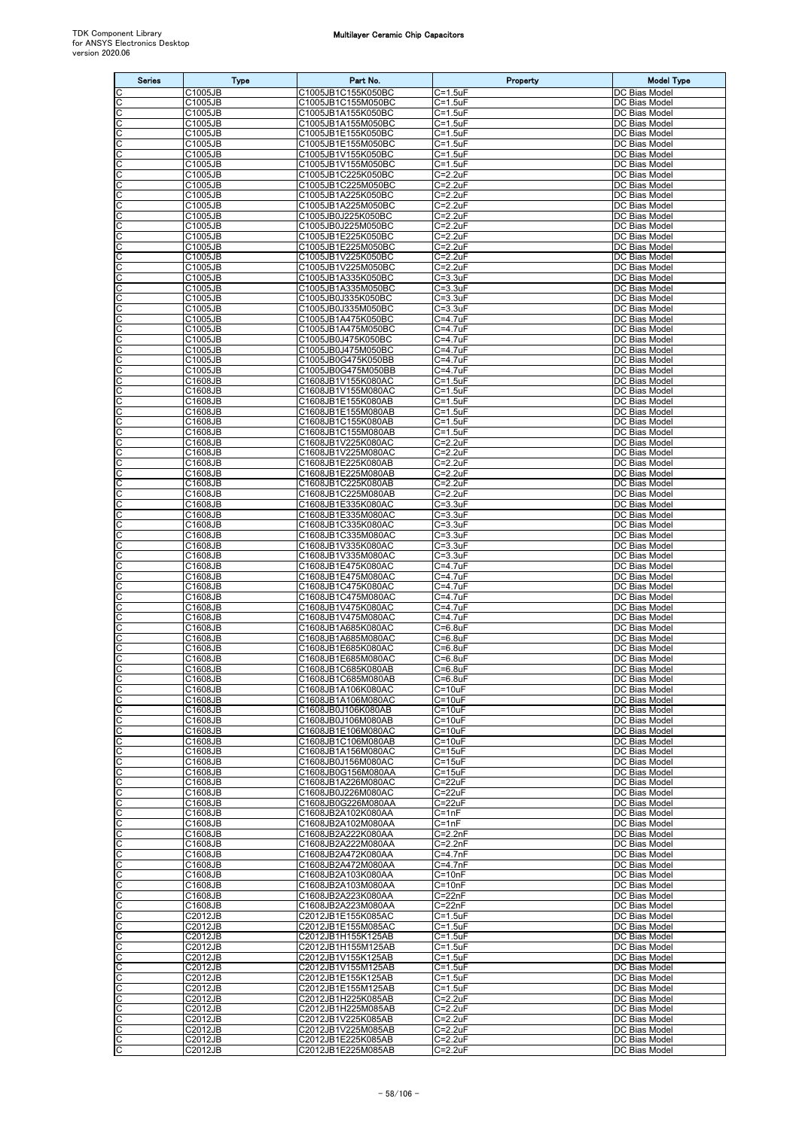| <b>Series</b> | <b>Type</b>        | Part No.                                 | Property                        | <b>Model Type</b>                     |
|---------------|--------------------|------------------------------------------|---------------------------------|---------------------------------------|
|               | C1005JB            | C1005JB1C155K050BC                       | $C = 1.5$ uF                    | DC Bias Model                         |
| C             | C1005JB<br>C1005JB | C1005JB1C155M050BC<br>C1005JB1A155K050BC | $C = 1.5$ uF                    | DC Bias Model                         |
| С<br>С        | C1005JB            | C1005JB1A155M050BC                       | $C = 1.5$ uF<br>$C = 1.5$ u $F$ | DC Bias Model<br>DC Bias Model        |
| С             | C1005JB            | C1005JB1E155K050BC                       | $C = 1.5$ u $F$                 | DC Bias Model                         |
| C             | C1005JB<br>C1005JB | C1005JB1E155M050BC                       | $C = 1.5$ u $F$<br>$C = 1.5$ uF | DC Bias Model                         |
| С<br>С        | C1005JB            | C1005JB1V155K050BC<br>C1005JB1V155M050BC | $C = 1.5$ uF                    | DC Bias Model<br>DC Bias Model        |
| C             | C1005JB            | C1005JB1C225K050BC                       | $C = 2.2uF$                     | DC Bias Model                         |
| C             | C1005JB            | C1005JB1C225M050BC                       | $C = 2.2uF$                     | DC Bias Model                         |
| С<br>С        | C1005JB<br>C1005JB | C1005JB1A225K050BC<br>C1005JB1A225M050BC | $C = 2.2uF$<br>$C = 2.2uF$      | DC Bias Model<br>DC Bias Model        |
| C             | C1005JB            | C1005JB0J225K050BC                       | $C = 2.2uF$                     | DC Bias Model                         |
| C             | C1005JB            | C1005JB0J225M050BC                       | $C = 2.2uF$                     | DC Bias Model                         |
| С<br>С        | C1005JB<br>C1005JB | C1005JB1E225K050BC<br>C1005JB1E225M050BC | $C = 2.2uF$<br>C=2.2uF          | <b>DC Bias Model</b><br>DC Bias Model |
| C             | C1005JB            | C1005JB1V225K050BC                       | $C = 2.2uF$                     | DC Bias Model                         |
| C             | C1005JB            | C1005JB1V225M050BC                       | $C=2.2uF$                       | DC Bias Model                         |
| С<br>С        | C1005JB<br>C1005JB | C1005JB1A335K050BC<br>C1005JB1A335M050BC | $C = 3.3uF$<br>$C = 3.3uF$      | <b>DC</b> Bias Model<br>DC Bias Model |
| C             | C1005JB            | C1005JB0J335K050BC                       | $C = 3.3uF$                     | DC Bias Model                         |
| С             | C1005JB            | C1005JB0J335M050BC                       | $C = 3.3uF$                     | DC Bias Model                         |
| C<br>С        | C1005JB<br>C1005JB | C1005JB1A475K050BC<br>C1005JB1A475M050BC | C=4.7uF<br>C=4.7uF              | DC Bias Model<br>DC Bias Model        |
| С             | C1005JB            | C1005JB0J475K050BC                       | $C = 4.7$ u $F$                 | DC Bias Model                         |
| C             | C1005JB            | C1005JB0J475M050BC                       | $C = 4.7$ uF                    | DC Bias Model                         |
| C<br>С        | C1005JB            | C1005JB0G475K050BB<br>C1005JB0G475M050BB | C=4.7uF<br>C=4.7uF              | DC Bias Model<br>DC Bias Model        |
| C             | C1005JB<br>C1608JB | C1608JB1V155K080AC                       | $C = 1.5$ u $F$                 | DC Bias Model                         |
| C             | C1608JB            | C1608JB1V155M080AC                       | $C = 1.5$ u $F$                 | DC Bias Model                         |
| C             | C1608JB            | C1608JB1E155K080AB                       | $C = 1.5$ u $F$                 | DC Bias Model                         |
| C<br>С        | C1608JB<br>C1608JB | C1608JB1E155M080AB<br>C1608JB1C155K080AB | $C = 1.5uF$<br>$C = 1.5$ uF     | DC Bias Model<br>DC Bias Model        |
| C             | C1608JB            | C1608JB1C155M080AB                       | $C = 1.5$ uF                    | DC Bias Model                         |
| C             | C1608JB            | C1608JB1V225K080AC                       | $C = 2.2uF$                     | DC Bias Model                         |
| С             | C1608JB<br>C1608JB | C1608JB1V225M080AC<br>C1608JB1E225K080AB | $C = 2.2uF$<br>$C = 2.2uF$      | DC Bias Model<br>DC Bias Model        |
| С             | C1608JB            | C1608JB1E225M080AB                       | $C = 2.2uF$                     | DC Bias Model                         |
| С             | C1608JB            | C1608JB1C225K080AB                       | $C = 2.2uF$                     | DC Bias Model                         |
| C<br>С        | C1608JB<br>C1608JB | C1608JB1C225M080AB<br>C1608JB1E335K080AC | $C = 2.2uF$<br>C=3.3uF          | DC Bias Model<br>DC Bias Model        |
| C             | C1608JB            | C1608JB1E335M080AC                       | $C = 3.3uF$                     | DC Bias Model                         |
| C             | C1608JB            | C1608JB1C335K080AC                       | $C = 3.3uF$                     | DC Bias Model                         |
| С<br>С        | C1608JB<br>C1608JB | C1608JB1C335M080AC<br>C1608JB1V335K080AC | $C = 3.3uF$<br>$C = 3.3uF$      | <b>DC</b> Bias Model<br>DC Bias Model |
| C             | C1608JB            | C1608JB1V335M080AC                       | $C = 3.3uF$                     | DC Bias Model                         |
| C             | C1608JB            | C1608JB1E475K080AC                       | C=4.7uF                         | DC Bias Model                         |
| С             | C1608JB            | C1608JB1E475M080AC                       | C=4.7uF                         | DC Bias Model<br>DC Bias Model        |
| С<br>C        | C1608JB<br>C1608JB | C1608JB1C475K080AC<br>C1608JB1C475M080AC | C=4.7uF<br>C=4.7uF              | DC Bias Model                         |
| C             | C1608JB            | C1608JB1V475K080AC                       | $C = 4.7uF$                     | DC Bias Model                         |
| С             | C1608JB            | C1608JB1V475M080AC                       | $C = 4.7$ uF                    | DC Bias Model                         |
| C<br>C        | C1608JB<br>C1608JB | C1608JB1A685K080AC<br>C1608JB1A685M080AC | $C=6.8$ u $F$<br>$C = 6.8$ uF   | DC Bias Model<br>DC Bias Model        |
| C             | C1608JB            | C1608JB1E685K080AC                       | C=6.8uF                         | DC Bias Model                         |
| С<br>C        | C1608JB            | C1608JB1E685M080AC                       | $C = 6.8$ uF                    | DC Bias Model                         |
| C             | C1608JB<br>C1608JB | C1608JB1C685K080AB<br>C1608JB1C685M080AB | $C = 6.8uF$<br>$C = 6.8$ uF     | DC Bias Model<br>DC Bias Model        |
| C             | C1608JB            | C1608JB1A106K080AC                       | $C = 10uF$                      | DC Bias Model                         |
| C             | C1608JB            | C1608JB1A106M080AC                       | $C = 10uF$                      | DC Bias Model                         |
| C<br>С        | C1608JB<br>C1608JB | C1608JB0J106K080AB<br>C1608JB0J106M080AB | $C = 10uF$<br>$C = 10uF$        | DC Bias Model<br>DC Bias Model        |
| C             | C1608JB            | C1608JB1E106M080AC                       | $C = 10uF$                      | DC Bias Model                         |
| С             | C1608JB            | C1608JB1C106M080AB                       | $C = 10uF$                      | DC Bias Model                         |
| С<br>С        | C1608JB<br>C1608JB | C1608JB1A156M080AC<br>C1608JB0J156M080AC | $C = 15uF$<br>$C = 15uF$        | DC Bias Model<br>DC Bias Model        |
| C             | C1608JB            | C1608JB0G156M080AA                       | $C = 15uF$                      | DC Bias Model                         |
| C             | C1608JB            | C1608JB1A226M080AC                       | $C = 22uF$                      | DC Bias Model                         |
| С<br>С        | C1608JB<br>C1608JB | C1608JB0J226M080AC<br>C1608JB0G226M080AA | $C = 22uF$<br>$C = 22uF$        | DC Bias Model<br>DC Bias Model        |
| С             | C1608JB            | C1608JB2A102K080AA                       | $C = 1nF$                       | DC Bias Model                         |
| C             | C1608JB            | C1608JB2A102M080AA                       | $C = 1nF$                       | DC Bias Model                         |
| С             | C1608JB<br>C1608JB | C1608JB2A222K080AA<br>C1608JB2A222M080AA | $C=2.2nF$<br>$C = 2.2nF$        | DC Bias Model<br>DC Bias Model        |
| С<br>C        | C1608JB            | C1608JB2A472K080AA                       | $C = 4.7nF$                     | DC Bias Model                         |
| C             | C1608JB            | C1608JB2A472M080AA                       | $C = 4.7nF$                     | DC Bias Model                         |
| С<br>С        | C1608JB<br>C1608JB | C1608JB2A103K080AA<br>C1608JB2A103M080AA | $C = 10nF$<br>$C = 10nF$        | DC Bias Model<br>DC Bias Model        |
| C             | C1608JB            | C1608JB2A223K080AA                       | $C = 22nF$                      | DC Bias Model                         |
| С             | C1608JB            | C1608JB2A223M080AA                       | $C = 22nF$                      | DC Bias Model                         |
| С             | C2012JB            | C2012JB1E155K085AC                       | $C = 1.5$ uF                    | DC Bias Model                         |
| С<br>С        | C2012JB<br>C2012JB | C2012JB1E155M085AC<br>C2012JB1H155K125AB | $C = 1.5$ u $F$<br>$C = 1.5$ uF | DC Bias Model<br>DC Bias Model        |
| C             | C2012JB            | C2012JB1H155M125AB                       | $C = 1.5$ uF                    | DC Bias Model                         |
| С             | C2012JB            | C2012JB1V155K125AB                       | $C = 1.5uF$                     | DC Bias Model                         |
| С<br>C        | C2012JB<br>C2012JB | C2012JB1V155M125AB<br>C2012JB1E155K125AB | $C = 1.5$ uF<br>$C = 1.5$ u $F$ | DC Bias Model<br>DC Bias Model        |
| C             | C2012JB            | C2012JB1E155M125AB                       | $C = 1.5$ u $F$                 | DC Bias Model                         |
| C             | C2012JB            | C2012JB1H225K085AB                       | $C = 2.2uF$                     | DC Bias Model                         |
| С<br>C        | C2012JB<br>C2012JB | C2012JB1H225M085AB<br>C2012JB1V225K085AB | $C = 2.2uF$<br>$C = 2.2uF$      | DC Bias Model<br>DC Bias Model        |
| C             | C2012JB            | C2012JB1V225M085AB                       | $C = 2.2uF$                     | DC Bias Model                         |
| C             | C2012JB            | C2012JB1E225K085AB                       | $C=2.2uF$                       | DC Bias Model                         |
| C             | C2012JB            | C2012JB1E225M085AB                       | $C = 2.2uF$                     | DC Bias Model                         |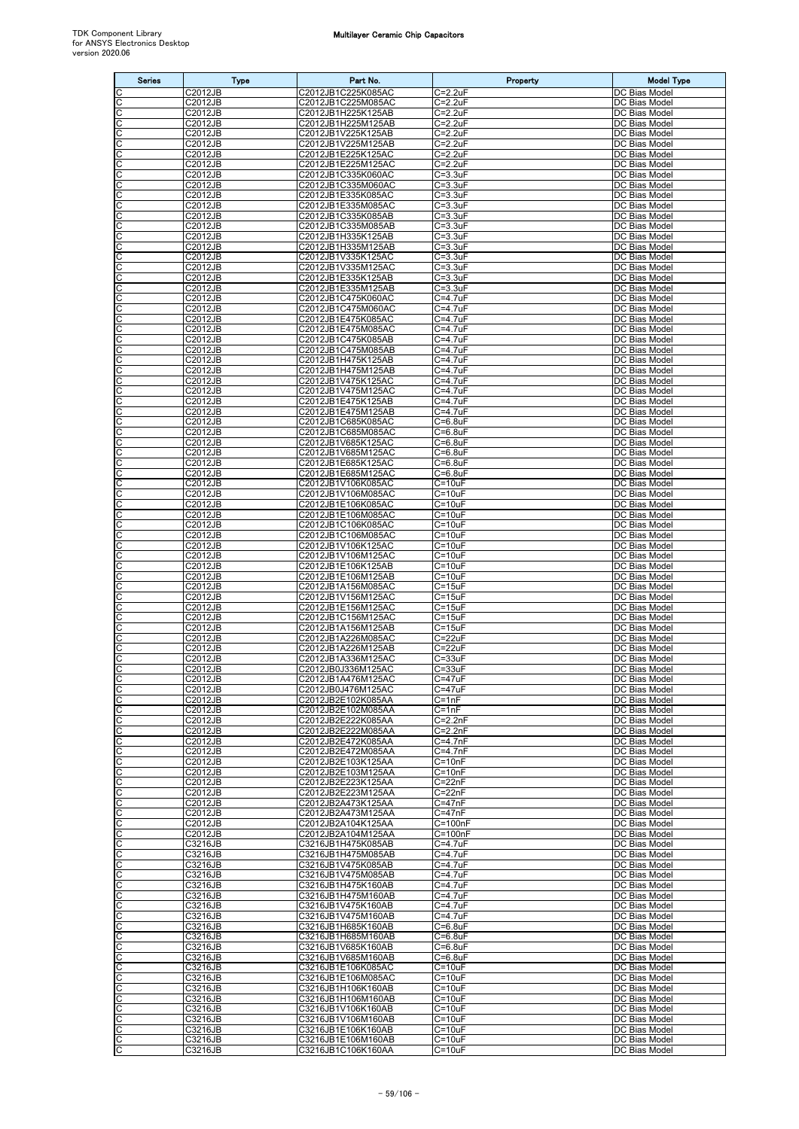| <b>Series</b>         | <b>Type</b>                 | Part No.                                 | Property                        | <b>Model Type</b>                     |
|-----------------------|-----------------------------|------------------------------------------|---------------------------------|---------------------------------------|
| C                     | C2012JB                     | C2012JB1C225K085AC                       | $C = 2.2uF$                     | DC Bias Model                         |
| $\overline{\text{c}}$ | C2012JB                     | C2012JB1C225M085AC                       | $C = 2.2uF$                     | DC Bias Model                         |
| C                     | C2012JB<br>C2012JB          | C2012JB1H225K125AB<br>C2012JB1H225M125AB | $C=2.2uF$<br>$C = 2.2uF$        | DC Bias Model<br>DC Bias Model        |
| $\frac{1}{2}$         | C2012JB                     | C2012JB1V225K125AB                       | $C = 2.2uF$                     | DC Bias Model                         |
| C                     | C2012JB                     | C2012JB1V225M125AB                       | $C = 2.2uF$                     | DC Bias Model                         |
| C                     | C2012JB                     | C2012JB1E225K125AC                       | $C=2.2uF$                       | <b>DC Bias Model</b>                  |
| C<br>C                | C2012JB<br>C2012JB          | C2012JB1E225M125AC<br>C2012JB1C335K060AC | $C = 2.2uF$<br>$C = 3.3uF$      | DC Bias Model<br>DC Bias Model        |
| $\overline{c}$        | C2012JB                     | C2012JB1C335M060AC                       | $C = 3.3uF$                     | DC Bias Model                         |
| C                     | C2012JB                     | C2012JB1E335K085AC                       | $C = 3.3uF$                     | DC Bias Model                         |
| ပပ                    | C2012JB                     | C2012JB1E335M085AC                       | $C = 3.3uF$                     | DC Bias Model                         |
|                       | C2012JB                     | C2012JB1C335K085AB                       | $C = 3.3uF$<br>$C = 3.3uF$      | DC Bias Model                         |
| C<br>C                | C2012JB<br>C2012JB          | C2012JB1C335M085AB<br>C2012JB1H335K125AB | $C = 3.3uF$                     | DC Bias Model<br>DC Bias Model        |
| C                     | C2012JB                     | C2012JB1H335M125AB                       | $C = 3.3uF$                     | DC Bias Model                         |
| C                     | C2012JB                     | C2012JB1V335K125AC                       | $C = 3.3uF$                     | DC Bias Model                         |
| C                     | C2012JB                     | C2012JB1V335M125AC                       | $C = 3.3uF$                     | DC Bias Model                         |
| C<br>C                | C2012JB<br>C2012JB          | C2012JB1E335K125AB<br>C2012JB1E335M125AB | $C = 3.3uF$<br>$C = 3.3$ uF     | DC Bias Model<br>DC Bias Model        |
|                       | C2012JB                     | C2012JB1C475K060AC                       | $C = 4.7uF$                     | DC Bias Model                         |
| ပုပ                   | C2012JB                     | C2012JB1C475M060AC                       | $C = 4.7uF$                     | <b>DC Bias Model</b>                  |
| C                     | C2012JB                     | C2012JB1E475K085AC                       | C=4.7uF                         | DC Bias Model                         |
| C<br>C                | C2012JB<br>C2012JB          | C2012JB1E475M085AC<br>C2012JB1C475K085AB | C=4.7uF<br>$C = 4.7$ u $F$      | DC Bias Model<br>DC Bias Model        |
| C                     | C2012JB                     | C2012JB1C475M085AB                       | $C = 4.7$ uF                    | DC Bias Model                         |
| C                     | C2012JB                     | C2012JB1H475K125AB                       | $C = 4.7uF$                     | DC Bias Model                         |
| C                     | C2012JB                     | C2012JB1H475M125AB                       | $C = 4.7uF$                     | DC Bias Model                         |
| $\overline{C}$        | C2012JB                     | C2012JB1V475K125AC                       | $C = 4.7uF$                     | DC Bias Model                         |
| C                     | C2012JB<br>C2012JB          | C2012JB1V475M125AC<br>C2012JB1E475K125AB | $C = 4.7$ uF<br>$C = 4.7$ u $F$ | DC Bias Model<br>DC Bias Model        |
| C                     | C2012JB                     | C2012JB1E475M125AB                       | $C = 4.7uF$                     | <b>DC Bias Model</b>                  |
| C                     | C2012JB                     | C2012JB1C685K085AC                       | $C=6.8$ uF                      | DC Bias Model                         |
| $\overline{\text{c}}$ | C2012JB                     | C2012JB1C685M085AC                       | $C = 6.8$ uF                    | DC Bias Model                         |
| C<br>C                | C2012JB<br>C2012JB          | C2012JB1V685K125AC<br>C2012JB1V685M125AC | $C = 6.8$ u $F$<br>$C=6.8$ uF   | DC Bias Model<br>DC Bias Model        |
|                       | C2012JB                     | C2012JB1E685K125AC                       | $C=6.8$ uF                      | DC Bias Model                         |
| ပပ                    | C2012JB                     | C2012JB1E685M125AC                       | $C = 6.8$ uF                    | DC Bias Model                         |
| C                     | C2012JB                     | C2012JB1V106K085AC                       | $C = 10uF$                      | DC Bias Model                         |
| C                     | C2012JB                     | C2012JB1V106M085AC                       | $C = 10uF$                      | DC Bias Model                         |
| C<br>C                | C2012JB<br>C2012JB          | C2012JB1E106K085AC<br>C2012JB1E106M085AC | $C = 10uF$<br>$C = 10uF$        | DC Bias Model<br>DC Bias Model        |
| C                     | C2012JB                     | C2012JB1C106K085AC                       | $C = 10uF$                      | DC Bias Model                         |
| C                     | C2012JB                     | C2012JB1C106M085AC                       | $C = 10uF$                      | DC Bias Model                         |
| C                     | C2012JB                     | C2012JB1V106K125AC                       | $C = 10uF$                      | DC Bias Model                         |
| ပုပ                   | C2012JB<br>C2012JB          | C2012JB1V106M125AC<br>C2012JB1E106K125AB | $C = 10uF$<br>$C = 10uF$        | DC Bias Model<br>DC Bias Model        |
| C                     | C2012JB                     | C2012JB1E106M125AB                       | $C = 10uF$                      | DC Bias Model                         |
| C                     | C2012JB                     | C2012JB1A156M085AC                       | $C = 15uF$                      | DC Bias Model                         |
| C                     | C2012JB                     | C2012JB1V156M125AC                       | $C = 15uF$                      | <b>DC</b> Bias Model                  |
| $\overline{c}$<br>C   | C2012JB<br>C2012JB          | C2012JB1E156M125AC                       | $C = 15uF$<br>$C = 15uF$        | DC Bias Model                         |
|                       | C2012JB                     | C2012JB1C156M125AC<br>C2012JB1A156M125AB | $C = 15uF$                      | DC Bias Model<br>DC Bias Model        |
| ပပ                    | C2012JB                     | C2012JB1A226M085AC                       | $C = 22uF$                      | DC Bias Model                         |
| C                     | C2012JB                     | C2012JB1A226M125AB                       | C=22uF                          | DC Bias Model                         |
| C<br>c                | C2012JB                     | C2012JB1A336M125AC                       | $C = 33uF$                      | DC Bias Model                         |
| C                     | C2012JB<br>C2012JB          | C2012JB0J336M125AC<br>C2012JB1A476M125AC | $C = 33uF$<br>$C = 47uF$        | DC Bias Model<br>DC Bias Model        |
| C                     | C2012JB                     | C2012JB0J476M125AC                       | $C = 47uF$                      | DC Bias Model                         |
| C                     | C2012JB                     | C2012JB2E102K085AA                       | $C = 1nF$                       | DC Bias Model                         |
| C                     | C2012JB                     | C2012JB2E102M085AA                       | $C = 1nF$                       | DC Bias Model                         |
| ပပ                    | C2012JB<br>C2012JB          | C2012JB2E222K085AA<br>C2012JB2E222M085AA | $C=2.2nF$<br>$C=2.2nF$          | DC Bias Model<br>DC Bias Model        |
| C                     | C2012JB                     | C2012JB2E472K085AA                       | $C = 4.7nF$                     | DC Bias Model                         |
| C                     | C2012JB                     | C2012JB2E472M085AA                       | $C=4.7nF$                       | DC Bias Model                         |
| C                     | C2012JB                     | C2012JB2E103K125AA                       | $C = 10nF$                      | DC Bias Model                         |
| C<br>C                | C2012JB<br>C2012JB          | C2012JB2E103M125AA<br>C2012JB2E223K125AA | $C = 10nF$<br>$C = 22nF$        | <b>DC Bias Model</b><br>DC Bias Model |
| C                     | C2012JB                     | C2012JB2E223M125AA                       | $C = 22nF$                      | DC Bias Model                         |
| C                     | C2012JB                     | C2012JB2A473K125AA                       | $C = 47nF$                      | DC Bias Model                         |
| С                     | C2012JB                     | C2012JB2A473M125AA                       | $C = 47nF$                      | DC Bias Model                         |
| C<br>C                | C2012JB<br><b>C2012JB</b>   | C2012JB2A104K125AA<br>C2012JB2A104M125AA | $C = 100nF$<br>$C = 100nF$      | DC Bias Model<br>DC Bias Model        |
| C                     | C3216JB                     | C3216JB1H475K085AB                       | $C = 4.7$ uF                    | DC Bias Model                         |
| C                     | C3216JB                     | C3216JB1H475M085AB                       | $C = 4.7$ uF                    | DC Bias Model                         |
| C                     | C3216JB                     | C3216JB1V475K085AB                       | $C = 4.7$ u $F$                 | DC Bias Model                         |
| C                     | C3216JB                     | C3216JB1V475M085AB                       | $C = 4.7$ u $F$                 | DC Bias Model                         |
| ပပ                    | C3216JB<br>C3216JB          | C3216JB1H475K160AB<br>C3216JB1H475M160AB | $C = 4.7uF$<br>$C = 4.7uF$      | DC Bias Model<br>DC Bias Model        |
| C                     | C3216JB                     | C3216JB1V475K160AB                       | $C = 4.7$ u $F$                 | DC Bias Model                         |
| C                     | $C3216\overline{\text{JB}}$ | C3216JB1V475M160AB                       | C=4.7uF                         | DC Bias Model                         |
| C                     | C3216JB                     | C3216JB1H685K160AB                       | $C=6.8$ u $F$                   | DC Bias Model                         |
| C<br>C                | C3216JB                     | C3216JB1H685M160AB                       | $C=6.8$ u $F$                   | DC Bias Model                         |
| C                     | C3216JB<br>C3216JB          | C3216JB1V685K160AB<br>C3216JB1V685M160AB | $C=6.8$ u $F$<br>$C=6.8$ uF     | DC Bias Model<br>DC Bias Model        |
|                       | C3216JB                     | C3216JB1E106K085AC                       | $C = 10uF$                      | DC Bias Model                         |
| $\frac{c}{c}$         | C3216JB                     | C3216JB1E106M085AC                       | $C = 10uF$                      | DC Bias Model                         |
| C                     | C3216JB                     | C3216JB1H106K160AB                       | $C = 10uF$                      | DC Bias Model                         |
| C<br>C                | C3216JB<br>C3216JB          | C3216JB1H106M160AB<br>C3216JB1V106K160AB | $C = 10uF$<br>$C = 10uF$        | DC Bias Model<br>DC Bias Model        |
| C                     | C3216JB                     | C3216JB1V106M160AB                       | $C = 10uF$                      | DC Bias Model                         |
| C                     | C3216JB                     | C3216JB1E106K160AB                       | $C = 10uF$                      | DC Bias Model                         |
| C                     | C3216JB                     | C3216JB1E106M160AB                       | $C = 10uF$                      | DC Bias Model                         |
| C                     | C3216JB                     | C3216JB1C106K160AA                       | $C = 10uF$                      | DC Bias Model                         |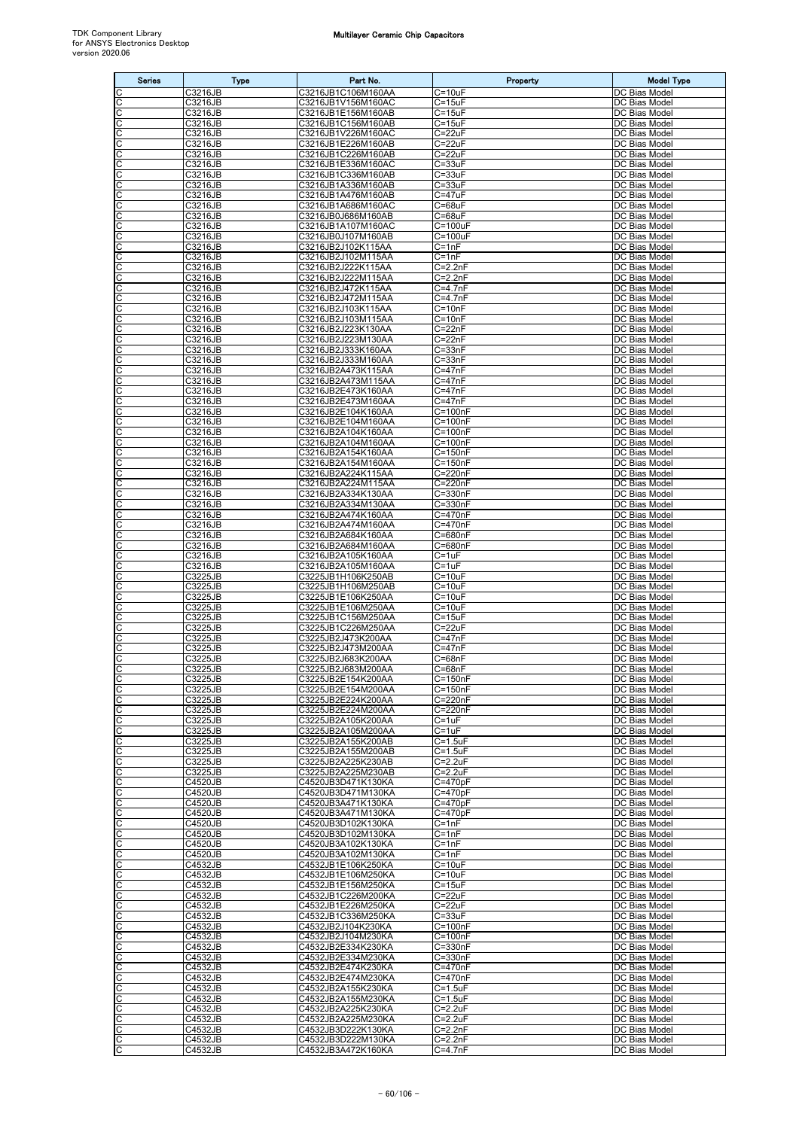| <b>Series</b>              | <b>Type</b>        | Part No.                                 | Property                           | <b>Model Type</b>              |
|----------------------------|--------------------|------------------------------------------|------------------------------------|--------------------------------|
| C                          | C3216JB            | C3216JB1C106M160AA                       | $C = 10uF$                         | DC Bias Model                  |
| $\overline{\text{c}}$<br>C | C3216JB<br>C3216JB | C3216JB1V156M160AC<br>C3216JB1E156M160AB | $C = 15uF$<br>$C = 15uF$           | DC Bias Model<br>DC Bias Model |
|                            | C3216JB            | C3216JB1C156M160AB                       | $C = 15uF$                         | DC Bias Model                  |
| cic                        | C3216JB            | C3216JB1V226M160AC                       | $C = 22uF$                         | DC Bias Model                  |
| C<br>C                     | C3216JB<br>C3216JB | C3216JB1E226M160AB<br>C3216JB1C226M160AB | $C = 22uF$<br>$C = 22uF$           | DC Bias Model<br>DC Bias Model |
| C                          | C3216JB            | C3216JB1E336M160AC                       | $C = 33uF$                         | DC Bias Model                  |
| C                          | C3216JB            | C3216JB1C336M160AB                       | $C = 33uF$                         | DC Bias Model                  |
| $\overline{c}$<br>C        | C3216JB<br>C3216JB | C3216JB1A336M160AB<br>C3216JB1A476M160AB | $C = 33uF$<br>$C = 47uF$           | DC Bias Model<br>DC Bias Model |
| ပပ                         | C3216JB            | C3216JB1A686M160AC                       | $C = 68uF$                         | DC Bias Model                  |
| C                          | C3216JB<br>C3216JB | C3216JB0J686M160AB<br>C3216JB1A107M160AC | $C = 68uF$<br>$C = 100uF$          | DC Bias Model<br>DC Bias Model |
| C                          | C3216JB            | C3216JB0J107M160AB                       | $C = 100uF$                        | DC Bias Model                  |
| C                          | C3216JB            | C3216JB2J102K115AA                       | $C = 1nF$                          | DC Bias Model                  |
| C<br>C                     | C3216JB<br>C3216JB | C3216JB2J102M115AA<br>C3216JB2J222K115AA | $C = 1nF$<br>$C=2.2nF$             | DC Bias Model<br>DC Bias Model |
| C                          | C3216JB            | C3216JB2J222M115AA                       | $C=2.2nF$                          | DC Bias Model                  |
| C                          | C3216JB            | C3216JB2J472K115AA                       | $C=4.7nF$                          | DC Bias Model                  |
| ပုပ                        | C3216JB<br>C3216JB | C3216JB2J472M115AA<br>C3216JB2J103K115AA | $C=4.7nF$<br>$C = 10nF$            | DC Bias Model<br>DC Bias Model |
| C                          | C3216JB            | C3216JB2J103M115AA                       | $C = 10nF$                         | DC Bias Model                  |
| C<br>C                     | C3216JB            | C3216JB2J223K130AA<br>C3216JB2J223M130AA | $C = 22nF$<br>$\overline{C}$ =22nF | DC Bias Model<br>DC Bias Model |
| C                          | C3216JB<br>C3216JB | C3216JB2J333K160AA                       | $C = 33nF$                         | DC Bias Model                  |
| C                          | C3216JB            | C3216JB2J333M160AA                       | $C = 33nF$                         | DC Bias Model                  |
| C                          | C3216JB<br>C3216JB | C3216JB2A473K115AA<br>C3216JB2A473M115AA | $C = 47nF$<br>$C = 47nF$           | DC Bias Model<br>DC Bias Model |
| $\overline{C}$             | C3216JB            | C3216JB2E473K160AA                       | $C = 47nF$                         | DC Bias Model                  |
| C                          | C3216JB            | C3216JB2E473M160AA                       | $C = 47nF$                         | DC Bias Model                  |
| C<br>C                     | C3216JB<br>C3216JB | C3216JB2E104K160AA<br>C3216JB2E104M160AA | $C = 100nF$<br>$C = 100nF$         | DC Bias Model<br>DC Bias Model |
| $\overline{\text{c}}$      | C3216JB            | C3216JB2A104K160AA                       | $C = 100nF$                        | DC Bias Model                  |
| C                          | C3216JB            | C3216JB2A104M160AA                       | $C = 100nF$                        | DC Bias Model                  |
| C                          | C3216JB<br>C3216JB | C3216JB2A154K160AA<br>C3216JB2A154M160AA | $C = 150nF$<br>$C = 150nF$         | DC Bias Model<br>DC Bias Model |
| ပပ                         | C3216JB            | C3216JB2A224K115AA                       | C=220nF                            | DC Bias Model                  |
| C                          | C3216JB            | C3216JB2A224M115AA                       | C=220nF                            | DC Bias Model                  |
| C<br>C                     | C3216JB<br>C3216JB | C3216JB2A334K130AA<br>C3216JB2A334M130AA | $C = 330nF$<br>C=330nF             | DC Bias Model<br>DC Bias Model |
| C                          | C3216JB            | C3216JB2A474K160AA                       | $C = 470nF$                        | DC Bias Model                  |
| C<br>C                     | C3216JB<br>C3216JB | C3216JB2A474M160AA<br>C3216JB2A684K160AA | C=470nF<br>C=680nF                 | DC Bias Model<br>DC Bias Model |
| C                          | C3216JB            | C3216JB2A684M160AA                       | C=680nF                            | DC Bias Model                  |
| $\frac{c}{c}$              | C3216JB            | C3216JB2A105K160AA                       | $C = 1uF$                          | DC Bias Model                  |
| C                          | C3216JB<br>C3225JB | C3216JB2A105M160AA<br>C3225JB1H106K250AB | $C = 1uF$<br>$C = 10uF$            | DC Bias Model<br>DC Bias Model |
| C                          | C3225JB            | C3225JB1H106M250AB                       | $C = 10uF$                         | DC Bias Model                  |
| C                          | C3225JB            | C3225JB1E106K250AA                       | $C = 10uF$                         | DC Bias Model                  |
| $\overline{c}$<br>C        | C3225JB<br>C3225JB | C3225JB1E106M250AA<br>C3225JB1C156M250AA | $C = 10uF$<br>$C = 15uF$           | DC Bias Model<br>DC Bias Model |
| ပပ                         | C3225JB            | C3225JB1C226M250AA                       | $C = 22uF$                         | DC Bias Model                  |
| C                          | C3225JB<br>C3225JB | C3225JB2J473K200AA<br>C3225JB2J473M200AA | $C = 47nF$<br>$C = 47nF$           | DC Bias Model<br>DC Bias Model |
| C                          | C3225JB            | C3225JB2J683K200AA                       | $C = 68nF$                         | DC Bias Model                  |
| C                          | C3225JB            | C3225JB2J683M200AA                       | C=68nF                             | DC Bias Model                  |
| C<br>C                     | C3225JB<br>C3225JB | C3225JB2E154K200AA<br>C3225JB2E154M200AA | $C = 150nF$<br>$C = 150nF$         | DC Bias Model<br>DC Bias Model |
| C                          | C3225JB            | C3225JB2E224K200AA                       | C=220nF                            | DC Bias Model                  |
| C                          | C3225JB            | C3225JB2E224M200AA                       | C=220nF                            | DC Bias Model                  |
| ပပ                         | C3225JB<br>C3225JB | C3225JB2A105K200AA<br>C3225JB2A105M200AA | $C = 1uF$<br>$C = 1uF$             | DC Bias Model<br>DC Bias Model |
| C                          | C3225JB            | C3225JB2A155K200AB                       | $C = 1.5$ u $F$                    | DC Bias Model                  |
| C<br>C                     | C3225JB<br>C3225JB | C3225JB2A155M200AB<br>C3225JB2A225K230AB | $C = 1.5$ uF<br>$C=2.2uF$          | DC Bias Model<br>DC Bias Model |
| C                          | C3225JB            | C3225JB2A225M230AB                       | $C = 2.2uF$                        | DC Bias Model                  |
| C                          | C4520JB            | C4520JB3D471K130KA                       | $C = 470pF$                        | DC Bias Model                  |
| C<br>С                     | C4520JB<br>C4520JB | C4520JB3D471M130KA<br>C4520JB3A471K130KA | $C = 470pF$<br>$C = 470pF$         | DC Bias Model<br>DC Bias Model |
| C                          | <b>C4520JB</b>     | C4520JB3A471M130KA                       | $C = 470pF$                        | DC Bias Model                  |
| C<br>C                     | C4520JB            | C4520JB3D102K130KA<br>C4520JB3D102M130KA | $C = 1nF$<br>$C = 1nF$             | DC Bias Model                  |
| C                          | C4520JB<br>C4520JB | C4520JB3A102K130KA                       | $C = 1nF$                          | DC Bias Model<br>DC Bias Model |
| C                          | C4520JB            | C4520JB3A102M130KA                       | $C = 1nF$                          | DC Bias Model                  |
| C<br>C                     | C4532JB<br>C4532JB | C4532JB1E106K250KA<br>C4532JB1E106M250KA | $C = 10uF$<br>$C = 10uF$           | DC Bias Model<br>DC Bias Model |
|                            | C4532JB            | C4532JB1E156M250KA                       | $C = 15uF$                         | DC Bias Model                  |
| ပပ                         | C4532JB            | C4532JB1C226M200KA                       | $C = 22uF$                         | DC Bias Model                  |
| C<br>C                     | C4532JB<br>C4532JB | C4532JB1E226M250KA<br>C4532JB1C336M250KA | $C = 22uF$<br>$C = 33uF$           | DC Bias Model<br>DC Bias Model |
| C                          | C4532JB            | C4532JB2J104K230KA                       | C=100nF                            | DC Bias Model                  |
| C<br>C                     | C4532JB<br>C4532JB | C4532JB2J104M230KA<br>C4532JB2E334K230KA | $C = 100nF$<br>C=330nF             | DC Bias Model<br>DC Bias Model |
| C                          | C4532JB            | C4532JB2E334M230KA                       | C=330nF                            | DC Bias Model                  |
| ပပ                         | C4532JB            | C4532JB2E474K230KA                       | C=470nF                            | DC Bias Model                  |
| C                          | C4532JB<br>C4532JB | C4532JB2E474M230KA<br>C4532JB2A155K230KA | C=470nF<br>$C = 1.5$ uF            | DC Bias Model<br>DC Bias Model |
| C                          | C4532JB            | C4532JB2A155M230KA                       | $C = 1.5uF$                        | DC Bias Model                  |
| C                          | C4532JB            | C4532JB2A225K230KA                       | $C = 2.2uF$                        | DC Bias Model                  |
| C<br>C                     | C4532JB<br>C4532JB | C4532JB2A225M230KA<br>C4532JB3D222K130KA | $C = 2.2uF$<br>$C = 2.2nF$         | DC Bias Model<br>DC Bias Model |
| C                          | C4532JB            | C4532JB3D222M130KA                       | $C=2.2nF$                          | DC Bias Model                  |
| C                          | C4532JB            | C4532JB3A472K160KA                       | $C=4.7nF$                          | DC Bias Model                  |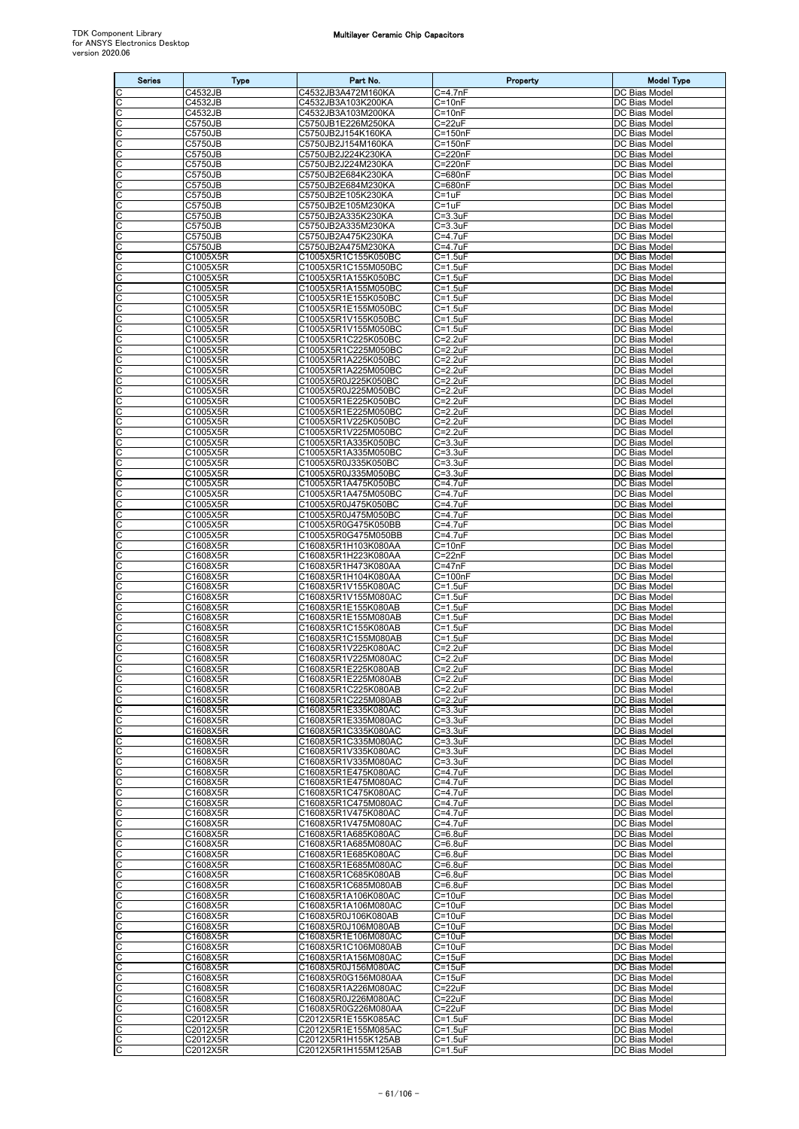| <b>Series</b> | <b>Type</b>          | Part No.                                   | Property                        | <b>Model Type</b>                     |
|---------------|----------------------|--------------------------------------------|---------------------------------|---------------------------------------|
|               | C4532JB              | C4532JB3A472M160KA                         | $C=4.7nF$                       | DC Bias Model                         |
| C             | C4532JB              | C4532JB3A103K200KA                         | $C = 10nF$<br>$C = 10nF$        | DC Bias Model                         |
| С<br>С        | C4532JB<br>C5750JB   | C4532JB3A103M200KA<br>C5750JB1E226M250KA   | $C = 22uF$                      | DC Bias Model<br>DC Bias Model        |
| С             | C5750JB              | C5750JB2J154K160KA                         | C=150nF                         | DC Bias Model                         |
| C             | C5750JB              | C5750JB2J154M160KA<br>C5750JB2J224K230KA   | $C = 150nF$<br>C=220nF          | DC Bias Model<br>DC Bias Model        |
| С<br>С        | C5750JB<br>C5750JB   | C5750JB2J224M230KA                         | C=220nF                         | DC Bias Model                         |
| C             | C5750JB              | C5750JB2E684K230KA                         | C=680nF                         | DC Bias Model                         |
| C<br>С        | C5750JB              | C5750JB2E684M230KA<br>C5750JB2E105K230KA   | C=680nF<br>$C = 1uF$            | DC Bias Model<br>DC Bias Model        |
| С             | C5750JB<br>C5750JB   | C5750JB2E105M230KA                         | $C = 1uF$                       | DC Bias Model                         |
| C             | C5750JB              | C5750JB2A335K230KA                         | $C = 3.3uF$                     | DC Bias Model                         |
| С<br>С        | C5750JB<br>C5750JB   | C5750JB2A335M230KA<br>C5750JB2A475K230KA   | $C = 3.3uF$<br>C=4.7uF          | DC Bias Model<br>DC Bias Model        |
| С             | C5750JB              | C5750JB2A475M230KA                         | C=4.7uF                         | DC Bias Model                         |
| C             | C1005X5R             | C1005X5R1C155K050BC                        | $C = 1.5$ uF                    | DC Bias Model                         |
| C<br>С        | C1005X5R<br>C1005X5R | C1005X5R1C155M050BC<br>C1005X5R1A155K050BC | $C = 1.5$ uF<br>$C = 1.5uF$     | DC Bias Model<br>DC Bias Model        |
| С             | C1005X5R             | C1005X5R1A155M050BC                        | $C = 1.5$ u $F$                 | DC Bias Model                         |
| C             | C1005X5R             | C1005X5R1E155K050BC                        | $C = 1.5$ uF                    | DC Bias Model                         |
| С<br>C        | C1005X5R<br>C1005X5R | C1005X5R1E155M050BC<br>C1005X5R1V155K050BC | $C = 1.5$ uF<br>$C = 1.5$ uF    | <b>DC Bias Model</b><br>DC Bias Model |
| С             | C1005X5R             | C1005X5R1V155M050BC                        | $C = 1.5$ uF                    | DC Bias Model                         |
| С             | C1005X5R             | C1005X5R1C225K050BC                        | $C = 2.2uF$                     | DC Bias Model                         |
| C<br>C        | C1005X5R<br>C1005X5R | C1005X5R1C225M050BC<br>C1005X5R1A225K050BC | $C = 2.2uF$<br>$C = 2.2uF$      | DC Bias Model<br>DC Bias Model        |
| С             | C1005X5R             | C1005X5R1A225M050BC                        | $C = 2.2uF$                     | DC Bias Model                         |
| C<br>C        | C1005X5R             | C1005X5R0J225K050BC                        | $C = 2.2uF$<br>$C = 2.2uF$      | DC Bias Model<br>DC Bias Model        |
| C             | C1005X5R<br>C1005X5R | C1005X5R0J225M050BC<br>C1005X5R1E225K050BC | $C = 2.2uF$                     | DC Bias Model                         |
| C             | C1005X5R             | C1005X5R1E225M050BC                        | $C = 2.2uF$                     | DC Bias Model                         |
| С<br>C        | C1005X5R             | C1005X5R1V225K050BC                        | $C = 2.2uF$                     | DC Bias Model                         |
| C             | C1005X5R<br>C1005X5R | C1005X5R1V225M050BC<br>C1005X5R1A335K050BC | $C = 2.2uF$<br>$C = 3.3uF$      | DC Bias Model<br>DC Bias Model        |
| С             | C1005X5R             | C1005X5R1A335M050BC                        | $C = 3.3uF$                     | DC Bias Model                         |
| С             | C1005X5R<br>C1005X5R | C1005X5R0J335K050BC<br>C1005X5R0J335M050BC | $C = 3.3uF$<br>C=3.3uF          | DC Bias Model<br>DC Bias Model        |
| С             | C1005X5R             | C1005X5R1A475K050BC                        | C=4.7uF                         | DC Bias Model                         |
| C             | C1005X5R             | C1005X5R1A475M050BC                        | C=4.7uF                         | DC Bias Model                         |
| С<br>C        | C1005X5R<br>C1005X5R | C1005X5R0J475K050BC<br>C1005X5R0J475M050BC | C=4.7uF<br>C=4.7uF              | DC Bias Model<br>DC Bias Model        |
| C             | C1005X5R             | C1005X5R0G475K050BB                        | $C = 4.7uF$                     | DC Bias Model                         |
| C             | C1005X5R             | C1005X5R0G475M050BB                        | C=4.7uF                         | <b>DC</b> Bias Model                  |
| С<br>C        | C1608X5R<br>C1608X5R | C1608X5R1H103K080AA<br>C1608X5R1H223K080AA | $C = 10nF$<br>$C = 22nF$        | DC Bias Model<br>DC Bias Model        |
| C             | C1608X5R             | C1608X5R1H473K080AA                        | $C = 47nF$                      | DC Bias Model                         |
| С             | C1608X5R             | C1608X5R1H104K080AA                        | C=100nF                         | DC Bias Model                         |
| С<br>C        | C1608X5R<br>C1608X5R | C1608X5R1V155K080AC<br>C1608X5R1V155M080AC | $C = 1.5$ uF<br>$C = 1.5$ uF    | DC Bias Model<br>DC Bias Model        |
| C             | C1608X5R             | C1608X5R1E155K080AB                        | $C = 1.5$ uF                    | DC Bias Model                         |
| С<br>C        | C1608X5R<br>C1608X5R | C1608X5R1E155M080AB<br>C1608X5R1C155K080AB | $C = 1.5$ uF<br>$C = 1.5$ u $F$ | DC Bias Model<br>DC Bias Model        |
| C             | C1608X5R             | C1608X5R1C155M080AB                        | $C = 1.5$ uF                    | DC Bias Model                         |
| C             | C1608X5R             | C1608X5R1V225K080AC                        | $C = 2.2uF$                     | DC Bias Model                         |
| С<br>C        | C1608X5R<br>C1608X5R | C1608X5R1V225M080AC<br>C1608X5R1E225K080AB | $C = 2.2uF$<br>$C = 2.2uF$      | DC Bias Model<br><b>DC Bias Model</b> |
| C             | C1608X5R             | C1608X5R1E225M080AB                        | $C = 2.2uF$                     | DC Bias Model                         |
| C             | C1608X5R             | C1608X5R1C225K080AB                        | $C = 2.2uF$                     | DC Bias Model                         |
| C<br>C        | C1608X5R<br>C1608X5R | C1608X5R1C225M080AB<br>C1608X5R1E335K080AC | $C = 2.2uF$<br>$C = 3.3uF$      | DC Bias Model<br>DC Bias Model        |
| С             | C1608X5R             | C1608X5R1E335M080AC                        | $C = 3.3uF$                     | DC Bias Model                         |
| C             | C1608X5R             | C1608X5R1C335K080AC                        | $C = 3.3uF$                     | DC Bias Model                         |
| C<br>С        | C1608X5R<br>C1608X5R | C1608X5R1C335M080AC<br>C1608X5R1V335K080AC | $C = 3.3uF$<br>$C = 3.3uF$      | <b>DC Bias Model</b><br>DC Bias Model |
| С             | C1608X5R             | C1608X5R1V335M080AC                        | $C = 3.3uF$                     | DC Bias Model                         |
| C<br>C        | C1608X5R             | C1608X5R1E475K080AC                        | $C = 4.7uF$<br>$C = 4.7$ u $F$  | DC Bias Model                         |
| С             | C1608X5R<br>C1608X5R | C1608X5R1E475M080AC<br>C1608X5R1C475K080AC | $C = 4.7$ u $F$                 | DC Bias Model<br>DC Bias Model        |
| С             | C1608X5R             | C1608X5R1C475M080AC                        | $C = 4.7$ u $F$                 | DC Bias Model                         |
| С<br>C        | C1608X5R<br>C1608X5R | C1608X5R1V475K080AC<br>C1608X5R1V475M080AC | C=4.7uF<br>$C = 4.7$ u $F$      | DC Bias Model<br>DC Bias Model        |
| С             | C1608X5R             | C1608X5R1A685K080AC                        | $C=6.8$ u $F$                   | DC Bias Model                         |
| С             | C1608X5R             | C1608X5R1A685M080AC                        | $C=6.8$ u $F$                   | DC Bias Model                         |
| C<br>C        | C1608X5R<br>C1608X5R | C1608X5R1E685K080AC<br>C1608X5R1E685M080AC | $C=6.8$ uF<br>$C=6.8$ u $F$     | DC Bias Model<br>DC Bias Model        |
| С             | C1608X5R             | C1608X5R1C685K080AB                        | $C = 6.8$ uF                    | DC Bias Model                         |
| С             | C1608X5R             | C1608X5R1C685M080AB                        | $C=6.8$ u $F$                   | DC Bias Model                         |
| C<br>C        | C1608X5R<br>C1608X5R | C1608X5R1A106K080AC<br>C1608X5R1A106M080AC | $C = 10uF$<br>$C = 10uF$        | DC Bias Model<br>DC Bias Model        |
| С             | C1608X5R             | C1608X5R0J106K080AB                        | $C = 10uF$                      | DC Bias Model                         |
| С             | C1608X5R             | C1608X5R0J106M080AB                        | $C = 10uF$                      | DC Bias Model                         |
| С<br>C        | C1608X5R<br>C1608X5R | C1608X5R1E106M080AC<br>C1608X5R1C106M080AB | $C = 10uF$<br>$C = 10uF$        | DC Bias Model<br>DC Bias Model        |
| С             | C1608X5R             | C1608X5R1A156M080AC                        | $C = 15uF$                      | DC Bias Model                         |
| С<br>C        | C1608X5R<br>C1608X5R | C1608X5R0J156M080AC<br>C1608X5R0G156M080AA | $C = 15uF$<br>$C = 15uF$        | DC Bias Model<br>DC Bias Model        |
| C             | C1608X5R             | C1608X5R1A226M080AC                        | $C = 22uF$                      | DC Bias Model                         |
| C             | C1608X5R             | C1608X5R0J226M080AC                        | $C = 22uF$                      | DC Bias Model                         |
| С<br>C        | C1608X5R<br>C2012X5R | C1608X5R0G226M080AA<br>C2012X5R1E155K085AC | $C = 22uF$<br>$C = 1.5$ uF      | DC Bias Model<br>DC Bias Model        |
| C             | C2012X5R             | C2012X5R1E155M085AC                        | $C = 1.5uF$                     | DC Bias Model                         |
| C             | C2012X5R             | C2012X5R1H155K125AB                        | $C = 1.5$ uF                    | DC Bias Model                         |
| C             | C2012X5R             | C2012X5R1H155M125AB                        | $C = 1.5$ uF                    | DC Bias Model                         |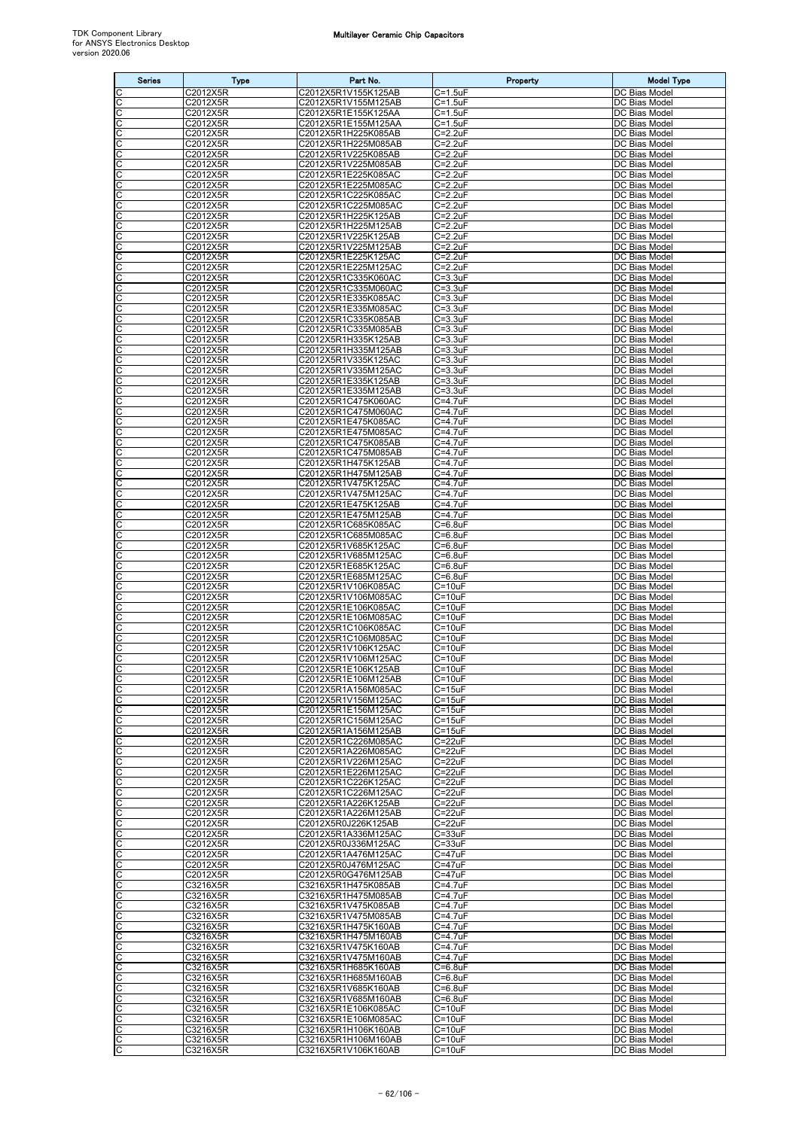| <b>Series</b>              | <b>Type</b>          | Part No.                                   | Property                           | <b>Model Type</b>              |
|----------------------------|----------------------|--------------------------------------------|------------------------------------|--------------------------------|
|                            | C2012X5R             | C2012X5R1V155K125AB                        | $C = 1.5uF$                        | DC Bias Model                  |
| C                          | C2012X5R             | C2012X5R1V155M125AB                        | C=1.5uF                            | DC Bias Model<br>DC Bias Model |
| C<br>C                     | C2012X5R<br>C2012X5R | C2012X5R1E155K125AA<br>C2012X5R1E155M125AA | $C = 1.5$ u $F$<br>$C = 1.5$ u $F$ | DC Bias Model                  |
| С                          | C2012X5R             | C2012X5R1H225K085AB                        | C=2.2uF                            | DC Bias Model                  |
| C<br>C                     | C2012X5R<br>C2012X5R | C2012X5R1H225M085AB<br>C2012X5R1V225K085AB | C=2.2uF<br>$C = 2.2uF$             | DC Bias Model<br>DC Bias Model |
| C                          | C2012X5R             | C2012X5R1V225M085AB                        | $C = 2.2uF$                        | DC Bias Model                  |
| С                          | C2012X5R             | C2012X5R1E225K085AC                        | C=2.2uF                            | DC Bias Model                  |
| C<br>C                     | C2012X5R<br>C2012X5R | C2012X5R1E225M085AC<br>C2012X5R1C225K085AC | $C = 2.2uF$<br>$C = 2.2uF$         | DC Bias Model<br>DC Bias Model |
| C                          | C2012X5R             | C2012X5R1C225M085AC                        | C=2.2uF                            | DC Bias Model                  |
| C                          | C2012X5R             | C2012X5R1H225K125AB                        | C=2.2uF                            | DC Bias Model                  |
| C<br>C                     | C2012X5R<br>C2012X5R | C2012X5R1H225M125AB<br>C2012X5R1V225K125AB | $C = 2.2uF$<br>$C = 2.2uF$         | DC Bias Model<br>DC Bias Model |
| C                          | C2012X5R             | C2012X5R1V225M125AB                        | $C = 2.2uF$                        | DC Bias Model                  |
| C<br>$\overline{\text{c}}$ | C2012X5R<br>C2012X5R | C2012X5R1E225K125AC<br>C2012X5R1E225M125AC | $C = 2.2uF$<br>$C = 2.2uF$         | DC Bias Model<br>DC Bias Model |
| C                          | C2012X5R             | C2012X5R1C335K060AC                        | $C = 3.3uF$                        | DC Bias Model                  |
| C                          | C2012X5R             | C2012X5R1C335M060AC                        | C=3.3uF                            | DC Bias Model                  |
| C<br>C                     | C2012X5R<br>C2012X5R | C2012X5R1E335K085AC<br>C2012X5R1E335M085AC | $C = 3.3uF$<br>$C = 3.3uF$         | DC Bias Model<br>DC Bias Model |
| oo                         | C2012X5R             | C2012X5R1C335K085AB                        | $C = 3.3uF$                        | DC Bias Model                  |
|                            | C2012X5R             | C2012X5R1C335M085AB                        | $C = 3.3uF$                        | DC Bias Model                  |
| C<br>C                     | C2012X5R<br>C2012X5R | C2012X5R1H335K125AB<br>C2012X5R1H335M125AB | $C = 3.3uF$<br>$C = 3.3uF$         | DC Bias Model<br>DC Bias Model |
| C                          | C2012X5R             | C2012X5R1V335K125AC                        | C=3.3uF                            | DC Bias Model                  |
| C                          | C2012X5R             | C2012X5R1V335M125AC                        | $C = 3.3uF$                        | <b>DC Bias Model</b>           |
| C<br>C                     | C2012X5R<br>C2012X5R | C2012X5R1E335K125AB<br>C2012X5R1E335M125AB | $C = 3.3uF$<br>C=3.3uF             | DC Bias Model<br>DC Bias Model |
| C                          | C2012X5R             | C2012X5R1C475K060AC                        | C=4.7uF                            | DC Bias Model                  |
| C                          | C2012X5R             | C2012X5R1C475M060AC                        | $C = 4.7$ uF                       | DC Bias Model                  |
| C<br>C                     | C2012X5R<br>C2012X5R | C2012X5R1E475K085AC<br>C2012X5R1E475M085AC | $C = 4.7$ u $F$<br>C=4.7uF         | DC Bias Model<br>DC Bias Model |
| C                          | C2012X5R             | C2012X5R1C475K085AB                        | C=4.7uF                            | DC Bias Model                  |
| C<br>C                     | C2012X5R<br>C2012X5R | C2012X5R1C475M085AB                        | $C = 4.7$ uF<br>C=4.7uF            | DC Bias Model<br>DC Bias Model |
| C                          | C2012X5R             | C2012X5R1H475K125AB<br>C2012X5R1H475M125AB | C=4.7uF                            | DC Bias Model                  |
| C                          | C2012X5R             | C2012X5R1V475K125AC                        | C=4.7uF                            | DC Bias Model                  |
| C<br>C                     | C2012X5R<br>C2012X5R | C2012X5R1V475M125AC<br>C2012X5R1E475K125AB | $C = 4.7$ uF<br>C=4.7uF            | DC Bias Model<br>DC Bias Model |
| C                          | C2012X5R             | C2012X5R1E475M125AB                        | C=4.7uF                            | DC Bias Model                  |
| C                          | C2012X5R             | C2012X5R1C685K085AC                        | $C=6.8$ u $F$                      | DC Bias Model                  |
| C<br>C                     | C2012X5R<br>C2012X5R | C2012X5R1C685M085AC<br>C2012X5R1V685K125AC | $C = 6.8$ uF<br>$C = 6.8$ uF       | DC Bias Model<br>DC Bias Model |
| С                          | C2012X5R             | C2012X5R1V685M125AC                        | C=6.8uF                            | DC Bias Model                  |
| C<br>C                     | C2012X5R             | C2012X5R1E685K125AC                        | $C = 6.8$ uF                       | DC Bias Model                  |
| C                          | C2012X5R<br>C2012X5R | C2012X5R1E685M125AC<br>C2012X5R1V106K085AC | $C = 6.8$ uF<br>$C = 10uF$         | DC Bias Model<br>DC Bias Model |
| С                          | C2012X5R             | C2012X5R1V106M085AC                        | $C = 10uF$                         | DC Bias Model                  |
| C<br>C                     | C2012X5R<br>C2012X5R | C2012X5R1E106K085AC<br>C2012X5R1E106M085AC | $C = 10uF$<br>$C = 10uF$           | DC Bias Model<br>DC Bias Model |
| C                          | C2012X5R             | C2012X5R1C106K085AC                        | $C = 10uF$                         | DC Bias Model                  |
| С                          | C2012X5R             | C2012X5R1C106M085AC                        | $C = 10uF$                         | DC Bias Model                  |
| C<br>C                     | C2012X5R<br>C2012X5R | C2012X5R1V106K125AC<br>C2012X5R1V106M125AC | $C = 10uF$<br>$C = 10uF$           | DC Bias Model<br>DC Bias Model |
| C                          | C2012X5R             | C2012X5R1E106K125AB                        | $C = 10uF$                         | DC Bias Model                  |
| C<br>C                     | C2012X5R             | C2012X5R1E106M125AB                        | $C = 10uF$<br>$C = 15uF$           | DC Bias Model                  |
|                            | C2012X5R<br>C2012X5R | C2012X5R1A156M085AC<br>C2012X5R1V156M125AC | $C = 15uF$                         | DC Bias Model<br>DC Bias Model |
| C C                        | C2012X5R             | C2012X5R1E156M125AC                        | $C = 15uF$                         | DC Bias Model                  |
| C<br>C                     | C2012X5R<br>C2012X5R | C2012X5R1C156M125AC<br>C2012X5R1A156M125AB | $C = 15uF$<br>$C = 15uF$           | DC Bias Model<br>DC Bias Model |
|                            | C2012X5R             | C2012X5R1C226M085AC                        | $C = 22uF$                         | DC Bias Model                  |
| C<br>C                     | C2012X5R             | C2012X5R1A226M085AC                        | $C = 22uF$                         | DC Bias Model                  |
| C<br>C                     | C2012X5R<br>C2012X5R | C2012X5R1V226M125AC<br>C2012X5R1E226M125AC | $C = 22uF$<br>$C = 22uF$           | DC Bias Model<br>DC Bias Model |
| C                          | C2012X5R             | C2012X5R1C226K125AC                        | $C = 22uF$                         | DC Bias Model                  |
| C                          | C2012X5R             | C2012X5R1C226M125AC                        | $C = 22uF$                         | DC Bias Model                  |
| $\overline{c}$<br>C        | C2012X5R<br>C2012X5R | C2012X5R1A226K125AB<br>C2012X5R1A226M125AB | $C = 22uF$<br>$C = 22uF$           | DC Bias Model<br>DC Bias Model |
| C                          | C2012X5R             | C2012X5R0J226K125AB                        | $C = 22uF$                         | DC Bias Model                  |
| C                          | C2012X5R             | C2012X5R1A336M125AC<br>C2012X5R0J336M125AC | $C = 33uF$                         | DC Bias Model                  |
| C                          | C2012X5R<br>C2012X5R | C2012X5R1A476M125AC                        | $C = 33uF$<br>$C = 47uF$           | DC Bias Model<br>DC Bias Model |
| $rac{\overline{C}}{C}$     | C2012X5R             | C2012X5R0J476M125AC                        | $C = 47uF$                         | DC Bias Model                  |
| C<br>C                     | C2012X5R<br>C3216X5R | C2012X5R0G476M125AB<br>C3216X5R1H475K085AB | $C = 47uF$<br>C=4.7uF              | DC Bias Model<br>DC Bias Model |
| C                          | C3216X5R             | C3216X5R1H475M085AB                        | $C = 4.7uF$                        | DC Bias Model                  |
| C                          | C3216X5R             | C3216X5R1V475K085AB                        | $C = 4.7$ u $F$                    | DC Bias Model                  |
| C<br>C                     | C3216X5R<br>C3216X5R | C3216X5R1V475M085AB<br>C3216X5R1H475K160AB | $C = 4.7uF$<br>$C = 4.7$ u $F$     | DC Bias Model<br>DC Bias Model |
| C                          | C3216X5R             | C3216X5R1H475M160AB                        | $C = 4.7$ u $F$                    | DC Bias Model                  |
| $\overline{\mathsf{c}}$    | C3216X5R             | C3216X5R1V475K160AB                        | $C = 4.7$ u $F$                    | DC Bias Model                  |
| C<br>C                     | C3216X5R<br>C3216X5R | C3216X5R1V475M160AB<br>C3216X5R1H685K160AB | C=4.7uF<br>$C=6.8$ u $F$           | DC Bias Model<br>DC Bias Model |
| С                          | C3216X5R             | C3216X5R1H685M160AB                        | C=6.8uF                            | DC Bias Model                  |
| C                          | C3216X5R<br>C3216X5R | C3216X5R1V685K160AB<br>C3216X5R1V685M160AB | $C=6.8$ u $F$<br>$C = 6.8uF$       | DC Bias Model<br>DC Bias Model |
| c                          | C3216X5R             | C3216X5R1E106K085AC                        | $C = 10uF$                         | DC Bias Model                  |
| С                          | C3216X5R             | C3216X5R1E106M085AC                        | $C = 10uF$                         | DC Bias Model                  |
| C                          | C3216X5R<br>C3216X5R | C3216X5R1H106K160AB<br>C3216X5R1H106M160AB | $C = 10uF$<br>$C=10uF$             | DC Bias Model<br>DC Bias Model |
| ပုပ                        | C3216X5R             | C3216X5R1V106K160AB                        | $C = 10uF$                         | DC Bias Model                  |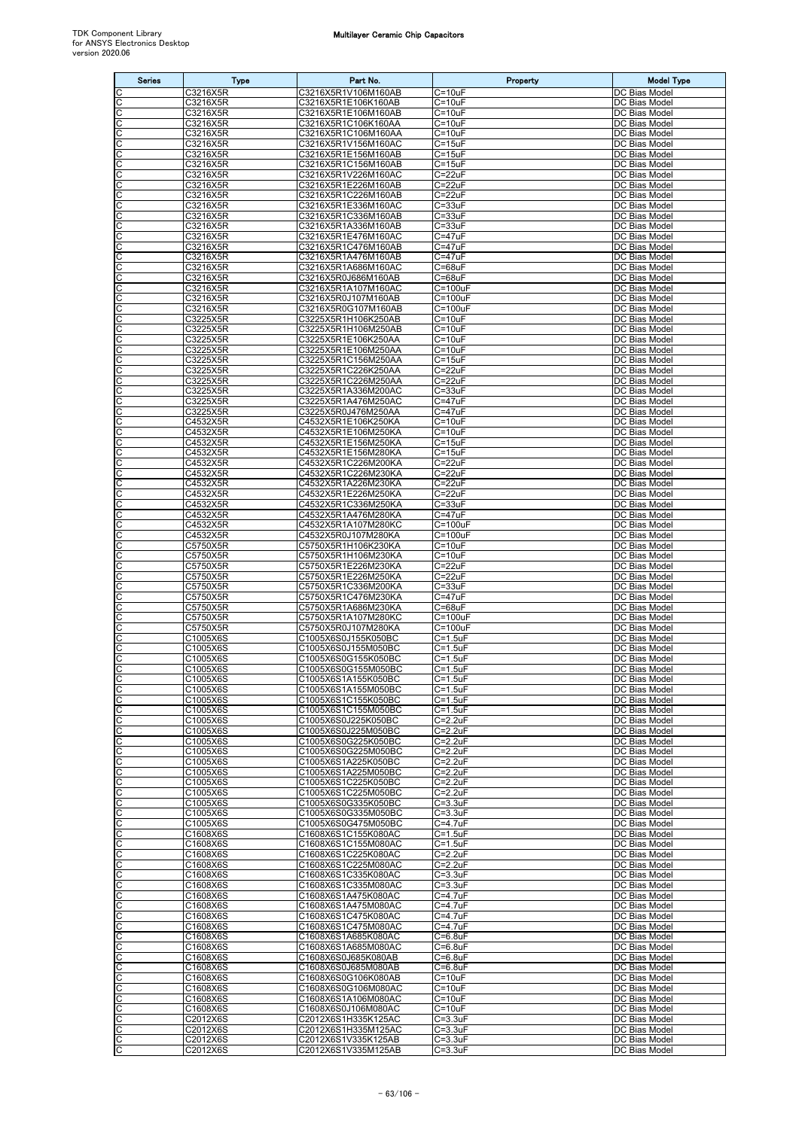| <b>Series</b>              | <b>Type</b>          | Part No.                                   | Property                        | <b>Model Type</b>                     |
|----------------------------|----------------------|--------------------------------------------|---------------------------------|---------------------------------------|
| C                          | C3216X5R             | C3216X5R1V106M160AB                        | $C = 10uF$                      | DC Bias Model                         |
| $\overline{\text{c}}$<br>C | C3216X5R<br>C3216X5R | C3216X5R1E106K160AB<br>C3216X5R1E106M160AB | $C = 10uF$<br>$C = 10uF$        | DC Bias Model<br>DC Bias Model        |
| $\mathsf C$                | C3216X5R             | C3216X5R1C106K160AA                        | $C = 10uF$                      | DC Bias Model                         |
| $\overline{C}$             | C3216X5R             | C3216X5R1C106M160AA                        | $C = 10uF$                      | DC Bias Model                         |
| C<br>C                     | C3216X5R<br>C3216X5R | C3216X5R1V156M160AC<br>C3216X5R1E156M160AB | $C = 15uF$<br>$C = 15uF$        | DC Bias Model<br>DC Bias Model        |
| C                          | C3216X5R             | C3216X5R1C156M160AB                        | $C = 15uF$                      | DC Bias Model                         |
| C                          | C3216X5R             | C3216X5R1V226M160AC                        | $C = 22uF$                      | DC Bias Model                         |
| $\overline{c}$<br>C        | C3216X5R<br>C3216X5R | C3216X5R1E226M160AB<br>C3216X5R1C226M160AB | $C = 22uF$<br>$C = 22uF$        | DC Bias Model<br>DC Bias Model        |
| ပပ                         | C3216X5R             | C3216X5R1E336M160AC                        | $C = 33uF$                      | DC Bias Model                         |
| C                          | C3216X5R<br>C3216X5R | C3216X5R1C336M160AB<br>C3216X5R1A336M160AB | $C = 33uF$<br>$C = 33uF$        | DC Bias Model<br>DC Bias Model        |
| C                          | C3216X5R             | C3216X5R1E476M160AC                        | $C = 47uF$                      | DC Bias Model                         |
| C                          | C3216X5R             | C3216X5R1C476M160AB                        | $C = 47uF$                      | DC Bias Model                         |
| C<br>C                     | C3216X5R<br>C3216X5R | C3216X5R1A476M160AB<br>C3216X5R1A686M160AC | $C = 47uF$<br>$C = 68uF$        | DC Bias Model<br>DC Bias Model        |
| C                          | C3216X5R             | C3216X5R0J686M160AB                        | $C = 68uF$                      | DC Bias Model                         |
| C                          | C3216X5R<br>C3216X5R | C3216X5R1A107M160AC<br>C3216X5R0J107M160AB | $C = 100uF$<br>$C = 100uF$      | DC Bias Model<br>DC Bias Model        |
| ပုပ                        | C3216X5R             | C3216X5R0G107M160AB                        | $C = 100uF$                     | DC Bias Model                         |
| C                          | C3225X5R             | C3225X5R1H106K250AB                        | $C = 10uF$                      | DC Bias Model                         |
| C<br>C                     | C3225X5R<br>C3225X5R | C3225X5R1H106M250AB<br>C3225X5R1E106K250AA | $C = 10uF$<br>$C = 10uF$        | DC Bias Model<br>DC Bias Model        |
| $\overline{\mathsf{C}}$    | C3225X5R             | C3225X5R1E106M250AA                        | $C = 10uF$                      | DC Bias Model                         |
| C                          | C3225X5R             | C3225X5R1C156M250AA                        | $C = 15uF$                      | DC Bias Model                         |
| C                          | C3225X5R<br>C3225X5R | C3225X5R1C226K250AA<br>C3225X5R1C226M250AA | $C = 22uF$<br>$C = 22uF$        | DC Bias Model<br>DC Bias Model        |
| CC                         | C3225X5R             | C3225X5R1A336M200AC                        | $C = 33uF$                      | DC Bias Model                         |
| C<br>C                     | C3225X5R<br>C3225X5R | C3225X5R1A476M250AC<br>C3225X5R0J476M250AA | C=47uF<br>$C = 47uF$            | DC Bias Model<br>DC Bias Model        |
| C                          | C4532X5R             | C4532X5R1E106K250KA                        | $C = 10uF$                      | DC Bias Model                         |
| $\overline{\mathsf{C}}$    | C4532X5R             | C4532X5R1E106M250KA                        | $C = 10uF$                      | DC Bias Model                         |
| C<br>C                     | C4532X5R<br>C4532X5R | C4532X5R1E156M250KA<br>C4532X5R1E156M280KA | $C = 15uF$<br>$C = 15uF$        | DC Bias Model<br>DC Bias Model        |
| $\frac{1}{2}$              | C4532X5R             | C4532X5R1C226M200KA                        | $C = 22uF$                      | DC Bias Model                         |
|                            | C4532X5R             | C4532X5R1C226M230KA                        | $C = 22uF$                      | DC Bias Model                         |
| C<br>C                     | C4532X5R<br>C4532X5R | C4532X5R1A226M230KA<br>C4532X5R1E226M250KA | $C = 22uF$<br>$C = 22uF$        | DC Bias Model<br>DC Bias Model        |
| C                          | C4532X5R             | C4532X5R1C336M250KA                        | $C = 33uF$                      | DC Bias Model                         |
| C<br>C                     | C4532X5R<br>C4532X5R | C4532X5R1A476M280KA<br>C4532X5R1A107M280KC | $C = 47uF$<br>$C = 100uF$       | DC Bias Model<br>DC Bias Model        |
| C                          | C4532X5R             | C4532X5R0J107M280KA                        | $C = 100uF$                     | DC Bias Model                         |
| C                          | C5750X5R             | C5750X5R1H106K230KA                        | $C = 10uF$                      | DC Bias Model                         |
| $\frac{c}{c}$              | C5750X5R<br>C5750X5R | C5750X5R1H106M230KA<br>C5750X5R1E226M230KA | $C = 10uF$<br>$C = 22uF$        | DC Bias Model<br>DC Bias Model        |
| C                          | C5750X5R             | C5750X5R1E226M250KA                        | $C = 22uF$                      | DC Bias Model                         |
| C<br>C                     | C5750X5R<br>C5750X5R | C5750X5R1C336M200KA<br>C5750X5R1C476M230KA | $C = 33uF$<br>$C = 47uF$        | DC Bias Model<br><b>DC</b> Bias Model |
| $\overline{c}$             | C5750X5R             | C5750X5R1A686M230KA                        | $C = 68uF$                      | DC Bias Model                         |
| C                          | C5750X5R             | C5750X5R1A107M280KC                        | $C = 100uF$                     | DC Bias Model                         |
| ပပ                         | C5750X5R<br>C1005X6S | C5750X5R0J107M280KA<br>C1005X6S0J155K050BC | $C = 100uF$<br>$C = 1.5$ u $F$  | DC Bias Model<br>DC Bias Model        |
| C                          | C1005X6S             | C1005X6S0J155M050BC                        | $C = 1.5$ u $F$                 | DC Bias Model                         |
| C<br>C                     | C1005X6S<br>C1005X6S | C1005X6S0G155K050BC<br>C1005X6S0G155M050BC | $C = 1.5$ uF<br>$C = 1.5uF$     | DC Bias Model<br>DC Bias Model        |
| IС                         | C1005X6S             | C1005X6S1A155K050BC                        | $C = 1.5$ uF                    | DC Bias Model                         |
| C                          | C1005X6S             | C1005X6S1A155M050BC                        | $C = 1.5$ uF                    | DC Bias Model                         |
| C<br>C                     | C1005X6S<br>C1005X6S | C1005X6S1C155K050BC<br>C1005X6S1C155M050BC | $C = 1.5$ uF<br>$C = 1.5$ u $F$ | DC Bias Model<br>DC Bias Model        |
| ပပ                         | C1005X6S             | C1005X6S0J225K050BC                        | $C = 2.2uF$                     | DC Bias Model                         |
| C                          | C1005X6S<br>C1005X6S | C1005X6S0J225M050BC<br>C1005X6S0G225K050BC | $C = 2.2uF$<br>$C = 2.2uF$      | DC Bias Model<br>DC Bias Model        |
| C                          | C1005X6S             | C1005X6S0G225M050BC                        | $C = 2.2uF$                     | DC Bias Model                         |
| С<br>C                     | C1005X6S             | C1005X6S1A225K050BC                        | $C=2.2uF$                       | DC Bias Model<br><b>DC Bias Model</b> |
| C                          | C1005X6S<br>C1005X6S | C1005X6S1A225M050BC<br>C1005X6S1C225K050BC | $C = 2.2uF$<br>$C = 2.2uF$      | DC Bias Model                         |
| C                          | C1005X6S             | C1005X6S1C225M050BC                        | $C=2.2uF$                       | DC Bias Model                         |
| С<br>С                     | C1005X6S<br>C1005X6S | C1005X6S0G335K050BC<br>C1005X6S0G335M050BC | $C = 3.3uF$<br>$C = 3.3uF$      | DC Bias Model<br>DC Bias Model        |
| C                          | C1005X6S             | C1005X6S0G475M050BC                        | $C = 4.7$ u $F$                 | DC Bias Model                         |
| C<br>C                     | C1608X6S<br>C1608X6S | C1608X6S1C155K080AC<br>C1608X6S1C155M080AC | $C = 1.5uF$<br>$C = 1.5$ uF     | DC Bias Model<br>DC Bias Model        |
| C                          | C1608X6S             | C1608X6S1C225K080AC                        | $C=2.2uF$                       | DC Bias Model                         |
| C                          | C1608X6S             | C1608X6S1C225M080AC                        | $C = 2.2uF$                     | DC Bias Model                         |
| C                          | C1608X6S<br>C1608X6S | C1608X6S1C335K080AC<br>C1608X6S1C335M080AC | $C = 3.3uF$<br>$C = 3.3uF$      | DC Bias Model<br>DC Bias Model        |
| ပပ                         | C1608X6S             | C1608X6S1A475K080AC                        | $C = 4.7$ u $F$                 | DC Bias Model                         |
| C<br>C                     | C1608X6S<br>C1608X6S | C1608X6S1A475M080AC<br>C1608X6S1C475K080AC | $C = 4.7$ u $F$<br>C=4.7uF      | DC Bias Model<br>DC Bias Model        |
| С                          | C1608X6S             | C1608X6S1C475M080AC                        | $C = 4.7$ uF                    | DC Bias Model                         |
| C                          | C1608X6S             | C1608X6S1A685K080AC                        | $C=6.8$ u $F$                   | DC Bias Model                         |
| C<br>C                     | C1608X6S<br>C1608X6S | C1608X6S1A685M080AC<br>C1608X6S0J685K080AB | $C=6.8$ u $F$<br>$C=6.8$ uF     | DC Bias Model<br>DC Bias Model        |
| ပပ                         | C1608X6S             | C1608X6S0J685M080AB                        | $C=6.8$ u $F$                   | DC Bias Model                         |
| C                          | C1608X6S<br>C1608X6S | C1608X6S0G106K080AB<br>C1608X6S0G106M080AC | $C = 10uF$<br>$C = 10uF$        | DC Bias Model<br>DC Bias Model        |
| C                          | C1608X6S             | C1608X6S1A106M080AC                        | $C = 10uF$                      | DC Bias Model                         |
| C                          | C1608X6S             | C1608X6S0J106M080AC                        | $C = 10uF$                      | DC Bias Model                         |
| C<br>C                     | C2012X6S<br>C2012X6S | C2012X6S1H335K125AC<br>C2012X6S1H335M125AC | $C = 3.3uF$<br>$C = 3.3uF$      | DC Bias Model<br>DC Bias Model        |
| $\overline{\text{c}}$      | C2012X6S             | C2012X6S1V335K125AB                        | $C = 3.3uF$                     | DC Bias Model                         |
| C                          | C2012X6S             | C2012X6S1V335M125AB                        | $C = 3.3uF$                     | DC Bias Model                         |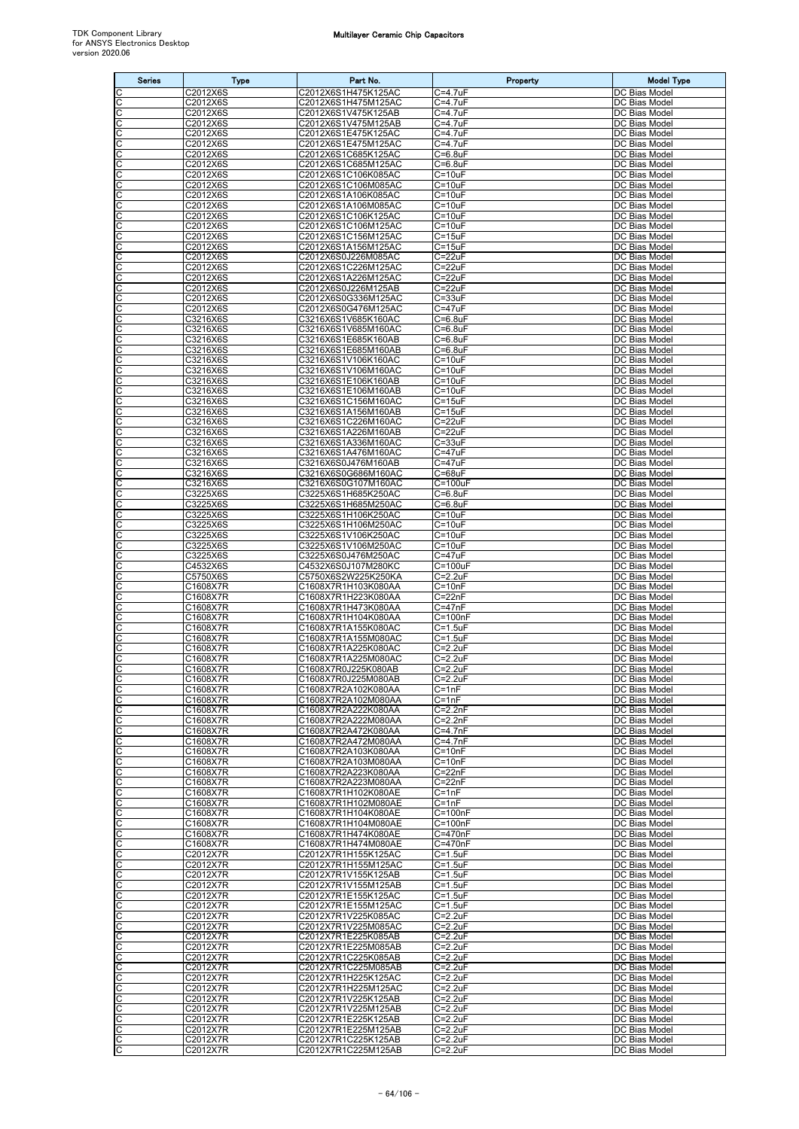| <b>Series</b>              | <b>Type</b>            | Part No.                                   | Property                    | <b>Model Type</b>                     |
|----------------------------|------------------------|--------------------------------------------|-----------------------------|---------------------------------------|
| C                          | C2012X6S               | C2012X6S1H475K125AC                        | $C = 4.7$ uF                | DC Bias Model                         |
| C                          | C2012X6S               | C2012X6S1H475M125AC                        | C=4.7uF                     | DC Bias Model                         |
| C<br>C                     | C2012X6S<br>C2012X6S   | C2012X6S1V475K125AB<br>C2012X6S1V475M125AB | C=4.7uF<br>$C = 4.7$ uF     | <b>DC Bias Model</b><br>DC Bias Model |
| C                          | C2012X6S               | C2012X6S1E475K125AC                        | C=4.7uF                     | DC Bias Model                         |
| C                          | C2012X6S               | C2012X6S1E475M125AC                        | C=4.7uF                     | DC Bias Model                         |
| C                          | C2012X6S               | C2012X6S1C685K125AC                        | $C=6.8$ u $F$               | DC Bias Model                         |
| $\overline{c}$<br>C        | C2012X6S<br>C2012X6S   | C2012X6S1C685M125AC<br>C2012X6S1C106K085AC | $C=6.8$ uF<br>$C = 10uF$    | DC Bias Model<br>DC Bias Model        |
|                            | C2012X6S               | C2012X6S1C106M085AC                        | $C = 10uF$                  | DC Bias Model                         |
| $\frac{c}{c}$              | C2012X6S               | C2012X6S1A106K085AC                        | $C = 10uF$                  | DC Bias Model                         |
| C<br>C                     | C2012X6S               | C2012X6S1A106M085AC                        | $C = 10uF$                  | DC Bias Model<br>DC Bias Model        |
| C                          | C2012X6S<br>C2012X6S   | C2012X6S1C106K125AC<br>C2012X6S1C106M125AC | $C = 10uF$<br>$C = 10uF$    | DC Bias Model                         |
| C                          | C2012X6S               | C2012X6S1C156M125AC                        | $C = 15uF$                  | DC Bias Model                         |
| C                          | C2012X6S               | C2012X6S1A156M125AC                        | $C = 15uF$                  | DC Bias Model                         |
| C                          | C2012X6S<br>C2012X6S   | C2012X6S0J226M085AC<br>C2012X6S1C226M125AC | $C = 22uF$<br>$C = 22uF$    | DC Bias Model<br>DC Bias Model        |
| $\overline{C}$             | C2012X6S               | C2012X6S1A226M125AC                        | $C = 22uF$                  | DC Bias Model                         |
| C                          | C2012X6S               | C2012X6S0J226M125AB                        | $C = 22uF$                  | DC Bias Model                         |
| C                          | C2012X6S               | C2012X6S0G336M125AC                        | $C = 33uF$                  | DC Bias Model                         |
| C<br>C                     | C2012X6S<br>C3216X6S   | C2012X6S0G476M125AC<br>C3216X6S1V685K160AC | $C = 47uF$<br>$C=6.8$ uF    | DC Bias Model<br>DC Bias Model        |
| C                          | C3216X6S               | C3216X6S1V685M160AC                        | $C = 6.8$ uF                | DC Bias Model                         |
| C                          | C3216X6S               | C3216X6S1E685K160AB                        | $C=6.8$ u $F$               | DC Bias Model                         |
| C                          | C3216X6S               | C3216X6S1E685M160AB                        | $C = 6.8$ uF                | DC Bias Model                         |
| C<br>C                     | C3216X6S<br>C3216X6S   | C3216X6S1V106K160AC<br>C3216X6S1V106M160AC | $C = 10uF$<br>$C = 10uF$    | DC Bias Model<br>DC Bias Model        |
| C                          | $\overline{C3}$ 216X6S | C3216X6S1E106K160AB                        | $C = 10uF$                  | DC Bias Model                         |
| C                          | C3216X6S               | C3216X6S1E106M160AB                        | $C = 10uF$                  | DC Bias Model                         |
| C                          | C3216X6S               | C3216X6S1C156M160AC                        | $C = 15uF$                  | DC Bias Model                         |
| C<br>$\overline{c}$        | C3216X6S<br>C3216X6S   | C3216X6S1A156M160AB<br>C3216X6S1C226M160AC | $C = 15uF$<br>$C = 22uF$    | DC Bias Model<br>DC Bias Model        |
| C                          | C3216X6S               | C3216X6S1A226M160AB                        | C=22uF                      | DC Bias Model                         |
| ပပ                         | C3216X6S               | C3216X6S1A336M160AC                        | $C = 33uF$                  | DC Bias Model                         |
|                            | C3216X6S               | C3216X6S1A476M160AC                        | $C = 47uF$                  | <b>DC Bias Model</b>                  |
| C<br>C                     | C3216X6S<br>C3216X6S   | C3216X6S0J476M160AB<br>C3216X6S0G686M160AC | $C = 47uF$<br>$C = 68uF$    | DC Bias Model<br>DC Bias Model        |
| C                          | C3216X6S               | C3216X6S0G107M160AC                        | $C = 100uF$                 | DC Bias Model                         |
| $\overline{\mathsf{C}}$    | C3225X6S               | C3225X6S1H685K250AC                        | $C = 6.8$ uF                | DC Bias Model                         |
| C<br>C                     | C3225X6S<br>C3225X6S   | C3225X6S1H685M250AC<br>C3225X6S1H106K250AC | $C = 6.8$ uF<br>$C = 10uF$  | DC Bias Model<br>DC Bias Model        |
|                            | C3225X6S               | C3225X6S1H106M250AC                        | $C = 10uF$                  | DC Bias Model                         |
| CC                         | C3225X6S               | C3225X6S1V106K250AC                        | $C = 10uF$                  | DC Bias Model                         |
| C                          | C3225X6S               | C3225X6S1V106M250AC                        | $C = 10uF$                  | DC Bias Model                         |
| C<br>C                     | C3225X6S<br>C4532X6S   | C3225X6S0J476M250AC<br>C4532X6S0J107M280KC | $C = 47uF$<br>$C = 100uF$   | DC Bias Model<br>DC Bias Model        |
| $\overline{\mathsf{C}}$    | C5750X6S               | C5750X6S2W225K250KA                        | $C = 2.2uF$                 | DC Bias Model                         |
| C                          | C1608X7R               | C1608X7R1H103K080AA                        | $C = 10nF$                  | DC Bias Model                         |
| C                          | C1608X7R               | C1608X7R1H223K080AA                        | $C = 22nF$                  | DC Bias Model                         |
| $\frac{1}{2}$              | C1608X7R<br>C1608X7R   | C1608X7R1H473K080AA<br>C1608X7R1H104K080AA | $C = 47nF$<br>$C = 100nF$   | DC Bias Model<br>DC Bias Model        |
| C                          | C1608X7R               | C1608X7R1A155K080AC                        | $C = 1.5$ uF                | DC Bias Model                         |
| C                          | C1608X7R               | C1608X7R1A155M080AC                        | $C = 1.5uF$                 | DC Bias Model                         |
| C<br>$\overline{\text{c}}$ | C1608X7R<br>C1608X7R   | C1608X7R1A225K080AC<br>C1608X7R1A225M080AC | $C = 2.2uF$<br>$C = 2.2uF$  | DC Bias Model<br>DC Bias Model        |
| C                          | C1608X7R               | C1608X7R0J225K080AB                        | $C = 2.2uF$                 | DC Bias Model                         |
| C                          | C1608X7R               | C1608X7R0J225M080AB                        | $C=2.2uF$                   | DC Bias Model                         |
| C                          | C1608X7R               | C1608X7R2A102K080AA                        | $C = 1nF$                   | DC Bias Model                         |
| O                          | C1608X7R<br>C1608X7R   | C1608X7R2A102M080AA<br>C1608X7R2A222K080AA | $C = 1nF$<br>$C=2.2nF$      | DC Bias Model<br>DC Bias Model        |
| C                          | C1608X7R               | C1608X7R2A222M080AA                        | $C = 2.2nF$                 | DC Bias Model                         |
| C                          | C1608X7R               | C1608X7R2A472K080AA                        | $C = 4.7nF$                 | DC Bias Model                         |
| C<br>C                     | C1608X7R               | C1608X7R2A472M080AA                        | $C=4.7nF$<br>$C = 10nF$     | DC Bias Model                         |
| C                          | C1608X7R<br>C1608X7R   | C1608X7R2A103K080AA<br>C1608X7R2A103M080AA | $C = 10nF$                  | DC Bias Model<br>DC Bias Model        |
| C                          | C1608X7R               | C1608X7R2A223K080AA                        | $C = 22nF$                  | DC Bias Model                         |
| ပပ                         | C1608X7R               | C1608X7R2A223M080AA                        | $C = 22nF$                  | DC Bias Model                         |
| C                          | C1608X7R<br>C1608X7R   | C1608X7R1H102K080AE<br>C1608X7R1H102M080AE | $C = 1nF$<br>$C = 1nF$      | DC Bias Model<br>DC Bias Model        |
| C                          | C1608X7R               | C1608X7R1H104K080AE                        | $C = 100nF$                 | DC Bias Model                         |
| C                          | C1608X7R               | C1608X7R1H104M080AE                        | $C = 100nF$                 | DC Bias Model                         |
| C                          | C1608X7R               | C1608X7R1H474K080AE                        | $C = 470nF$                 | DC Bias Model                         |
| C<br>C                     | C1608X7R<br>C2012X7R   | C1608X7R1H474M080AE<br>C2012X7R1H155K125AC | C=470nF<br>$C = 1.5$ u $F$  | DC Bias Model<br>DC Bias Model        |
|                            | C2012X7R               | C2012X7R1H155M125AC                        | $C = 1.5$ u $F$             | DC Bias Model                         |
| ပပ                         | C2012X7R               | C2012X7R1V155K125AB                        | $C = 1.5$ u $F$             | DC Bias Model                         |
| C<br>C                     | C2012X7R               | C2012X7R1V155M125AB                        | $C = 1.5uF$<br>$C = 1.5$ uF | DC Bias Model<br>DC Bias Model        |
| С                          | C2012X7R<br>C2012X7R   | C2012X7R1E155K125AC<br>C2012X7R1E155M125AC | $C = 1.5$ u $F$             | DC Bias Model                         |
| C                          | C2012X7R               | C2012X7R1V225K085AC                        | $C = 2.2uF$                 | DC Bias Model                         |
| C                          | C2012X7R               | C2012X7R1V225M085AC                        | $C = 2.2uF$                 | DC Bias Model                         |
| C<br>C                     | C2012X7R<br>C2012X7R   | C2012X7R1E225K085AB<br>C2012X7R1E225M085AB | $C=2.2uF$<br>$C=2.2uF$      | DC Bias Model<br>DC Bias Model        |
| C                          | C2012X7R               | C2012X7R1C225K085AB                        | $C = 2.2uF$                 | DC Bias Model                         |
| C                          | C2012X7R               | C2012X7R1C225M085AB                        | $C = 2.2uF$                 | DC Bias Model                         |
| C                          | C2012X7R               | C2012X7R1H225K125AC                        | $C=2.2uF$                   | DC Bias Model                         |
| C<br>C                     | C2012X7R<br>C2012X7R   | C2012X7R1H225M125AC<br>C2012X7R1V225K125AB | $C = 2.2uF$<br>$C = 2.2uF$  | DC Bias Model<br>DC Bias Model        |
| C                          | C2012X7R               | C2012X7R1V225M125AB                        | $C = 2.2uF$                 | DC Bias Model                         |
| C                          | C2012X7R               | C2012X7R1E225K125AB                        | $C = 2.2uF$                 | DC Bias Model                         |
| C                          | C2012X7R<br>C2012X7R   | C2012X7R1E225M125AB<br>C2012X7R1C225K125AB | $C=2.2uF$<br>$C = 2.2uF$    | DC Bias Model<br>DC Bias Model        |
| $rac{1}{2}$                | C2012X7R               | C2012X7R1C225M125AB                        | $C=2.2uF$                   | DC Bias Model                         |
|                            |                        |                                            |                             |                                       |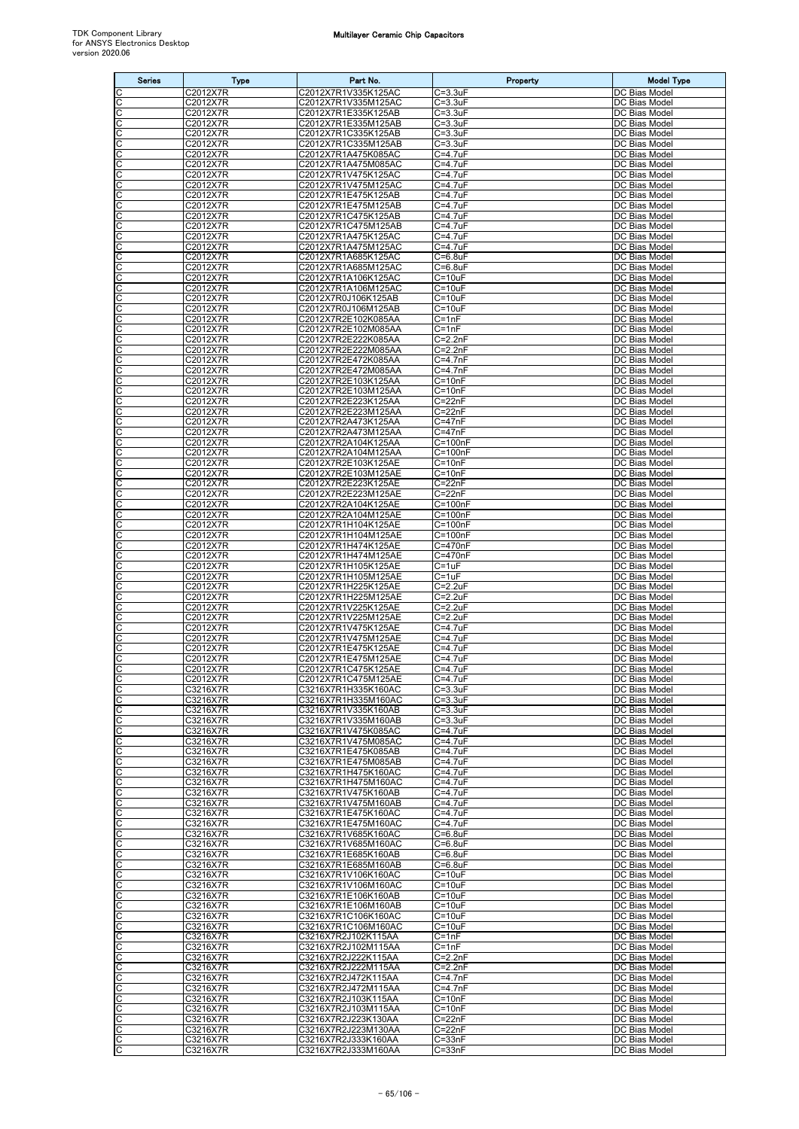| <b>Series</b>              | <b>Type</b>          | Part No.                                   | Property                         | <b>Model Type</b>                     |
|----------------------------|----------------------|--------------------------------------------|----------------------------------|---------------------------------------|
| C                          | C2012X7R             | C2012X7R1V335K125AC                        | $C = 3.3uF$                      | DC Bias Model                         |
| C                          | C2012X7R             | C2012X7R1V335M125AC                        | $C = 3.3uF$                      | DC Bias Model                         |
| C                          | C2012X7R             | C2012X7R1E335K125AB                        | $C = 3.3uF$                      | DC Bias Model                         |
| C<br>C                     | C2012X7R<br>C2012X7R | C2012X7R1E335M125AB<br>C2012X7R1C335K125AB | $C = 3.3$ uF<br>$C = 3.3uF$      | DC Bias Model<br>DC Bias Model        |
| $\overline{\mathsf{C}}$    | C2012X7R             | C2012X7R1C335M125AB                        | $C = 3.3uF$                      | DC Bias Model                         |
| C                          | C2012X7R             | C2012X7R1A475K085AC                        | C=4.7uF                          | DC Bias Model                         |
| cic                        | C2012X7R             | C2012X7R1A475M085AC                        | $C = 4.7uF$                      | DC Bias Model                         |
| C                          | C2012X7R<br>C2012X7R | C2012X7R1V475K125AC<br>C2012X7R1V475M125AC | $C = 4.7$ uF<br>C=4.7uF          | DC Bias Model<br>DC Bias Model        |
| C                          | C2012X7R             | C2012X7R1E475K125AB                        | $C = 4.7$ uF                     | DC Bias Model                         |
| C                          | C2012X7R             | C2012X7R1E475M125AB                        | $C = 4.7$ uF                     | DC Bias Model                         |
| C                          | C2012X7R             | C2012X7R1C475K125AB                        | $C = 4.7$ uF                     | DC Bias Model                         |
| C                          | C2012X7R             | C2012X7R1C475M125AB                        | $C = 4.7uF$                      | DC Bias Model                         |
| C<br>C                     | C2012X7R<br>C2012X7R | C2012X7R1A475K125AC<br>C2012X7R1A475M125AC | $C = 4.7uF$<br>C=4.7uF           | DC Bias Model<br>DC Bias Model        |
| C                          | C2012X7R             | C2012X7R1A685K125AC                        | $C = 6.8$ u $F$                  | DC Bias Model                         |
| C                          | C2012X7R             | C2012X7R1A685M125AC                        | $C=6.8$ uF                       | DC Bias Model                         |
| C                          | C2012X7R             | C2012X7R1A106K125AC                        | $C = 10uF$                       | DC Bias Model                         |
| C<br>C                     | C2012X7R<br>C2012X7R | C2012X7R1A106M125AC<br>C2012X7R0J106K125AB | $C = 10uF$<br>$C = 10uF$         | DC Bias Model<br>DC Bias Model        |
| $\overline{\mathsf{C}}$    | C2012X7R             | C2012X7R0J106M125AB                        | $C = 10uF$                       | DC Bias Model                         |
| C                          | C2012X7R             | C2012X7R2E102K085AA                        | $C = 1nF$                        | DC Bias Model                         |
| C                          | C2012X7R             | C2012X7R2E102M085AA                        | $C = 1nF$                        | DC Bias Model                         |
| cic                        | C2012X7R             | C2012X7R2E222K085AA                        | $C = 2.2nF$                      | DC Bias Model                         |
| C                          | C2012X7R<br>C2012X7R | C2012X7R2E222M085AA<br>C2012X7R2E472K085AA | $C = 2.2nF$<br>$C=4.7nF$         | <b>DC Bias Model</b><br>DC Bias Model |
| C                          | C2012X7R             | C2012X7R2E472M085AA                        | $C = 4.7nF$                      | DC Bias Model                         |
| C                          | C2012X7R             | C2012X7R2E103K125AA                        | $C = 10nF$                       | DC Bias Model                         |
| $\overline{\mathsf{C}}$    | C2012X7R             | C2012X7R2E103M125AA                        | $C = 10nF$                       | DC Bias Model                         |
| $\overline{\mathsf{C}}$    | C2012X7R             | C2012X7R2E223K125AA                        | $C = 22nF$                       | DC Bias Model                         |
| C                          | C2012X7R<br>C2012X7R | C2012X7R2E223M125AA<br>C2012X7R2A473K125AA | $C = 22nF$<br>$C = 47nF$         | DC Bias Model<br>DC Bias Model        |
| $\frac{1}{2}$              | C2012X7R             | C2012X7R2A473M125AA                        | $C = 47nF$                       | <b>DC Bias Model</b>                  |
| C                          | C2012X7R             | C2012X7R2A104K125AA                        | $C = 100nF$                      | DC Bias Model                         |
| C                          | C2012X7R             | C2012X7R2A104M125AA                        | $C = 100nF$                      | DC Bias Model                         |
| C<br>C                     | C2012X7R<br>C2012X7R | C2012X7R2E103K125AE<br>C2012X7R2E103M125AE | $C = 10nF$<br>$C = 10nF$         | DC Bias Model<br>DC Bias Model        |
| C                          | C2012X7R             | C2012X7R2E223K125AE                        | $C = 22nF$                       | DC Bias Model                         |
| C                          | C2012X7R             | C2012X7R2E223M125AE                        | $C = 22nF$                       | DC Bias Model                         |
| C                          | C2012X7R             | C2012X7R2A104K125AE                        | $C = 100nF$                      | DC Bias Model                         |
| C<br>C                     | C2012X7R             | C2012X7R2A104M125AE                        | $C = 100nF$                      | DC Bias Model                         |
| C                          | C2012X7R<br>C2012X7R | C2012X7R1H104K125AE<br>C2012X7R1H104M125AE | $C = 100nF$<br>$C = 100nF$       | DC Bias Model<br>DC Bias Model        |
| C                          | C2012X7R             | C2012X7R1H474K125AE                        | C=470nF                          | DC Bias Model                         |
| $\overline{C}$             | C2012X7R             | C2012X7R1H474M125AE                        | C=470nF                          | <b>DC Bias Model</b>                  |
| $\overline{\mathsf{C}}$    | C2012X7R             | C2012X7R1H105K125AE                        | $C = 1uF$                        | DC Bias Model                         |
| C                          | C2012X7R<br>C2012X7R | C2012X7R1H105M125AE<br>C2012X7R1H225K125AE | C=1uF<br>$C = 2.2uF$             | DC Bias Model<br>DC Bias Model        |
| $\frac{c}{c}$              | C2012X7R             | C2012X7R1H225M125AE                        | $C = 2.2uF$                      | DC Bias Model                         |
| C                          | C2012X7R             | C2012X7R1V225K125AE                        | $C = 2.2uF$                      | DC Bias Model                         |
| C                          | C2012X7R             | C2012X7R1V225M125AE                        | $C = 2.2uF$                      | <b>DC Bias Model</b>                  |
| C<br>$\overline{\text{c}}$ | C2012X7R<br>C2012X7R | C2012X7R1V475K125AE<br>C2012X7R1V475M125AE | $C = 4.7$ uF<br>$C = 4.7$ uF     | DC Bias Model<br>DC Bias Model        |
| C                          | C2012X7R             | C2012X7R1E475K125AE                        | $C = 4.7uF$                      | DC Bias Model                         |
| C                          | C2012X7R             | C2012X7R1E475M125AE                        | $C = 4.7uF$                      | DC Bias Model                         |
| $\overline{C}$             | C2012X7R             | C2012X7R1C475K125AE                        | $C = 4.7uF$                      | DC Bias Model                         |
| $rac{C}{C}$                | C2012X7R             | C2012X7R1C475M125AE                        | $C = 4.7uF$<br>$C = 3.3uF$       | DC Bias Model                         |
| C                          | C3216X7R<br>C3216X7R | C3216X7R1H335K160AC<br>C3216X7R1H335M160AC | $C = 3.3uF$                      | DC Bias Model<br>DC Bias Model        |
| C                          | C3216X7R             | C3216X7R1V335K160AB                        | $C = 3.3uF$                      | DC Bias Model                         |
| C                          | C3216X7R             | C3216X7R1V335M160AB                        | $C = 3.3uF$                      | DC Bias Model                         |
| C                          | C3216X7R             | C3216X7R1V475K085AC                        | $C = 4.7$ uF                     | DC Bias Model                         |
| C<br>C                     | C3216X7R             | C3216X7R1V475M085AC                        | $C = 4.7$ u $F$                  | DC Bias Model                         |
| C                          | C3216X7R<br>C3216X7R | C3216X7R1E475K085AB<br>C3216X7R1E475M085AB | $C=4.7$ u $F$<br>$C = 4.7$ u $F$ | DC Bias Model<br>DC Bias Model        |
| C                          | C3216X7R             | C3216X7R1H475K160AC                        | $C = 4.7uF$                      | DC Bias Model                         |
| C                          | C3216X7R             | C3216X7R1H475M160AC                        | $C = 4.7$ u $F$                  | DC Bias Model                         |
| C                          | C3216X7R             | C3216X7R1V475K160AB                        | $C = 4.7$ u $F$                  | DC Bias Model                         |
| C<br>C                     | C3216X7R<br>C3216X7R | C3216X7R1V475M160AB<br>C3216X7R1E475K160AC | $C = 4.7uF$<br>$C = 4.7$ u $F$   | DC Bias Model<br>DC Bias Model        |
| C                          | C3216X7R             | C3216X7R1E475M160AC                        | $C = 4.7$ u $F$                  | DC Bias Model                         |
| C                          | C3216X7R             | C3216X7R1V685K160AC                        | $C=6.8$ uF                       | DC Bias Model                         |
| ပပ                         | C3216X7R             | C3216X7R1V685M160AC                        | $C = 6.8$ u $F$                  | DC Bias Model                         |
|                            | C3216X7R             | C3216X7R1E685K160AB                        | $C=6.8$ u $F$                    | DC Bias Model                         |
| C<br>C                     | C3216X7R<br>C3216X7R | C3216X7R1E685M160AB<br>C3216X7R1V106K160AC | $C=6.8$ u $F$<br>$C = 10uF$      | DC Bias Model<br>DC Bias Model        |
| С                          | C3216X7R             | C3216X7R1V106M160AC                        | $C = 10uF$                       | DC Bias Model                         |
| C                          | C3216X7R             | C3216X7R1E106K160AB                        | $C = 10uF$                       | DC Bias Model                         |
| C                          | C3216X7R             | C3216X7R1E106M160AB                        | $C = 10uF$                       | DC Bias Model                         |
| C                          | C3216X7R             | C3216X7R1C106K160AC<br>C3216X7R1C106M160AC | $C = 10uF$<br>$C = 10uF$         | DC Bias Model<br>DC Bias Model        |
| ပပ                         | C3216X7R<br>C3216X7R | C3216X7R2J102K115AA                        | $C = 1nF$                        | DC Bias Model                         |
| C                          | C3216X7R             | C3216X7R2J102M115AA                        | $C = 1nF$                        | DC Bias Model                         |
| C                          | C3216X7R             | C3216X7R2J222K115AA                        | $C = 2.2nF$                      | DC Bias Model                         |
| C                          | C3216X7R             | C3216X7R2J222M115AA                        | $C = 2.2nF$                      | DC Bias Model                         |
| C<br>C                     | C3216X7R<br>C3216X7R | C3216X7R2J472K115AA<br>C3216X7R2J472M115AA | $C = 4.7nF$<br>$C = 4.7nF$       | DC Bias Model<br>DC Bias Model        |
| C                          | C3216X7R             | C3216X7R2J103K115AA                        | $C = 10nF$                       | DC Bias Model                         |
| C                          | C3216X7R             | C3216X7R2J103M115AA                        | $C = 10nF$                       | DC Bias Model                         |
| C                          | C3216X7R             | C3216X7R2J223K130AA                        | $C = 22nF$                       | DC Bias Model                         |
| C                          | C3216X7R             | C3216X7R2J223M130AA                        | $C = 22nF$                       | DC Bias Model                         |
| C<br>C                     | C3216X7R<br>C3216X7R | C3216X7R2J333K160AA<br>C3216X7R2J333M160AA | $C = 33nF$<br>$C = 33nF$         | DC Bias Model<br>DC Bias Model        |
|                            |                      |                                            |                                  |                                       |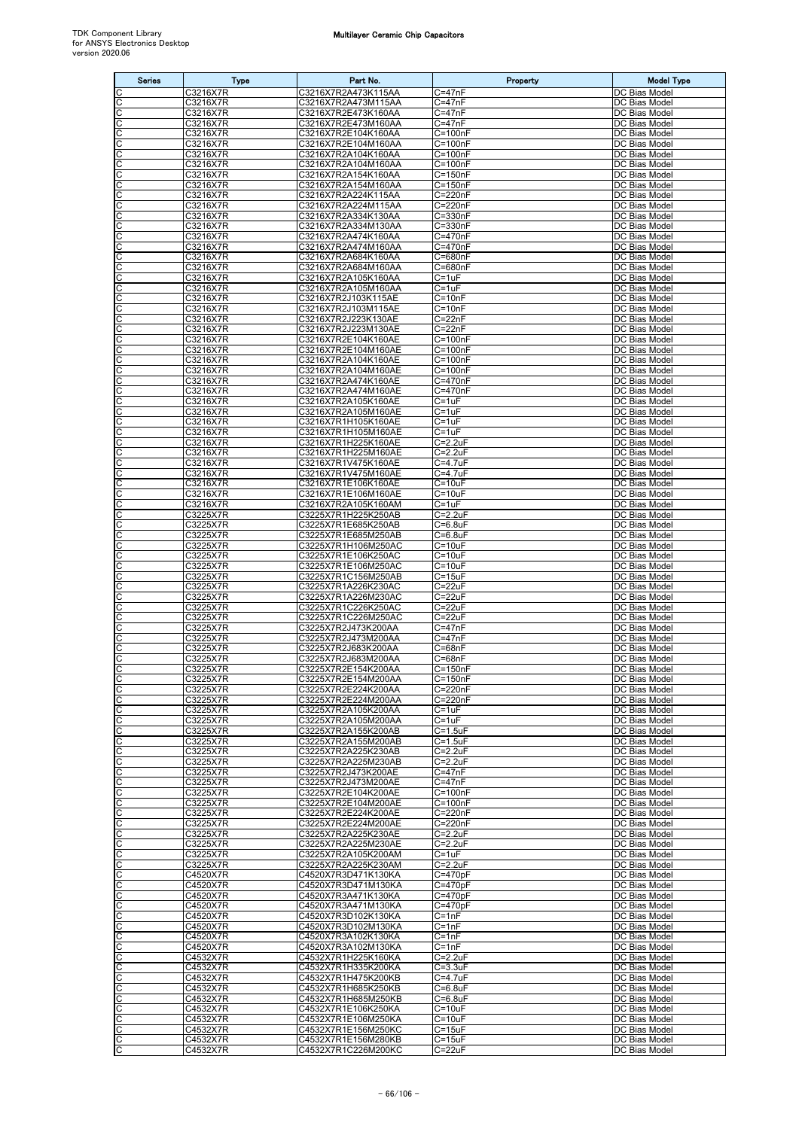| <b>Series</b>                         | <b>Type</b>          | Part No.                                   | Property                         | <b>Model Type</b>                     |
|---------------------------------------|----------------------|--------------------------------------------|----------------------------------|---------------------------------------|
| C                                     | C3216X7R             | C3216X7R2A473K115AA                        | C=47nF                           | DC Bias Model                         |
| C<br>C                                | C3216X7R<br>C3216X7R | C3216X7R2A473M115AA<br>C3216X7R2E473K160AA | C=47nF<br>C=47nF                 | DC Bias Model<br>DC Bias Model        |
| C                                     | C3216X7R             | C3216X7R2E473M160AA                        | $C = 47nF$                       | DC Bias Model                         |
| C                                     | C3216X7R             | C3216X7R2E104K160AA                        | $C = 100nF$                      | DC Bias Model                         |
| $\overline{\mathsf{C}}$<br>C          | C3216X7R<br>C3216X7R | C3216X7R2E104M160AA<br>C3216X7R2A104K160AA | $C = 100nF$<br>$C = 100nF$       | DC Bias Model<br>DC Bias Model        |
|                                       | C3216X7R             | C3216X7R2A104M160AA                        | $C = 100nF$                      | DC Bias Model                         |
| ပပ                                    | C3216X7R             | C3216X7R2A154K160AA                        | $C = 150nF$                      | DC Bias Model                         |
| C<br>C                                | C3216X7R<br>C3216X7R | C3216X7R2A154M160AA<br>C3216X7R2A224K115AA | C=150nF<br>C=220nF               | DC Bias Model<br>DC Bias Model        |
| C                                     | C3216X7R             | C3216X7R2A224M115AA                        | C=220nF                          | DC Bias Model                         |
| C                                     | C3216X7R             | C3216X7R2A334K130AA                        | $C = 330nF$                      | DC Bias Model                         |
| C<br>C                                | C3216X7R<br>C3216X7R | C3216X7R2A334M130AA<br>C3216X7R2A474K160AA | $\overline{C}$ =330nF<br>C=470nF | DC Bias Model<br><b>DC Bias Model</b> |
| C                                     | C3216X7R             | C3216X7R2A474M160AA                        | C=470nF                          | DC Bias Model                         |
| C<br>C                                | C3216X7R             | C3216X7R2A684K160AA<br>C3216X7R2A684M160AA | C=680nF<br>C=680nF               | DC Bias Model                         |
| C                                     | C3216X7R<br>C3216X7R | C3216X7R2A105K160AA                        | C=1uF                            | DC Bias Model<br>DC Bias Model        |
| C                                     | C3216X7R             | C3216X7R2A105M160AA                        | C=1uF                            | DC Bias Model                         |
| C<br>C                                | C3216X7R<br>C3216X7R | C3216X7R2J103K115AE<br>C3216X7R2J103M115AE | $C = 10nF$<br>$C = 10nF$         | DC Bias Model<br>DC Bias Model        |
| C                                     | C3216X7R             | C3216X7R2J223K130AE                        | C=22nF                           | DC Bias Model                         |
| C                                     | C3216X7R             | C3216X7R2J223M130AE                        | $C = 22nF$                       | DC Bias Model                         |
| $\mathsf{C}$<br>$\overline{\text{c}}$ | C3216X7R<br>C3216X7R | C3216X7R2E104K160AE<br>C3216X7R2E104M160AE | $C = 100nF$<br>$C = 100nF$       | DC Bias Model<br>DC Bias Model        |
| C                                     | C3216X7R             | C3216X7R2A104K160AE                        | $C = 100nF$                      | DC Bias Model                         |
| C                                     | C3216X7R             | C3216X7R2A104M160AE                        | $C = 100nF$                      | DC Bias Model                         |
| C<br>C                                | C3216X7R<br>C3216X7R | C3216X7R2A474K160AE<br>C3216X7R2A474M160AE | C=470nF<br>C=470nF               | DC Bias Model<br>DC Bias Model        |
| $\overline{\text{c}}$                 | C3216X7R             | C3216X7R2A105K160AE                        | $C = 1uF$                        | DC Bias Model                         |
| C                                     | C3216X7R             | C3216X7R2A105M160AE                        | $C = 1uF$                        | DC Bias Model                         |
| ပပ                                    | C3216X7R<br>C3216X7R | C3216X7R1H105K160AE<br>C3216X7R1H105M160AE | $C = 1uF$<br>C=1uF               | DC Bias Model<br>DC Bias Model        |
| C                                     | C3216X7R             | C3216X7R1H225K160AE                        | $C = 2.2uF$                      | DC Bias Model                         |
| C                                     | C3216X7R             | C3216X7R1H225M160AE                        | C=2.2uF                          | DC Bias Model                         |
| C<br>C                                | C3216X7R<br>C3216X7R | C3216X7R1V475K160AE<br>C3216X7R1V475M160AE | C=4.7uF<br>C=4.7uF               | DC Bias Model<br>DC Bias Model        |
| C                                     | C3216X7R             | C3216X7R1E106K160AE                        | $C = 10uF$                       | DC Bias Model                         |
| C<br>C                                | C3216X7R<br>C3216X7R | C3216X7R1E106M160AE<br>C3216X7R2A105K160AM | $C = 10uF$<br>$C = 1uF$          | DC Bias Model<br>DC Bias Model        |
| C                                     | C3225X7R             | C3225X7R1H225K250AB                        | $C = 2.2uF$                      | DC Bias Model                         |
| C                                     | C3225X7R             | C3225X7R1E685K250AB                        | $C=6.8$ u $F$                    | DC Bias Model                         |
| C<br>C                                | C3225X7R<br>C3225X7R | C3225X7R1E685M250AB<br>C3225X7R1H106M250AC | C=6.8uF<br>C=10uF                | DC Bias Model<br>DC Bias Model        |
| C                                     | C3225X7R             | C3225X7R1E106K250AC                        | $C=10uF$                         | DC Bias Model                         |
| $\overline{\mathsf{C}}$               | C3225X7R             | C3225X7R1E106M250AC                        | $C = 10uF$                       | DC Bias Model                         |
| C                                     | C3225X7R<br>C3225X7R | C3225X7R1C156M250AB<br>C3225X7R1A226K230AC | C=15uF<br>$C = 22uF$             | DC Bias Model<br>DC Bias Model        |
| ပပ                                    | C3225X7R             | C3225X7R1A226M230AC                        | $C = 22uF$                       | DC Bias Model                         |
| C<br>C                                | C3225X7R<br>C3225X7R | C3225X7R1C226K250AC<br>C3225X7R1C226M250AC | C=22uF<br>C=22uF                 | DC Bias Model<br>DC Bias Model        |
| C                                     | C3225X7R             | C3225X7R2J473K200AA                        | $C = 47nF$                       | DC Bias Model                         |
| C                                     | C3225X7R             | C3225X7R2J473M200AA                        | $C = 47nF$                       | DC Bias Model                         |
| C<br>C                                | C3225X7R<br>C3225X7R | C3225X7R2J683K200AA<br>C3225X7R2J683M200AA | $C = 68nF$<br>$C = 68nF$         | DC Bias Model<br>DC Bias Model        |
| $\overline{C}$                        | C3225X7R             | C3225X7R2E154K200AA                        | $C = 150nF$                      | DC Bias Model                         |
| $rac{C}{C}$                           | C3225X7R<br>C3225X7R | C3225X7R2E154M200AA<br>C3225X7R2E224K200AA | $C = 150nF$<br>C=220nF           | DC Bias Model<br>DC Bias Model        |
| C                                     | C3225X7R             | C3225X7R2E224M200AA                        | C=220nF                          | DC Bias Model                         |
| C                                     | C3225X7R             | C3225X7R2A105K200AA                        | $C = 1uF$                        | DC Bias Model                         |
| С<br>C                                | C3225X7R<br>C3225X7R | C3225X7R2A105M200AA<br>C3225X7R2A155K200AB | C=1uF<br>$C = 1.5$ uF            | DC Bias Model<br>DC Bias Model        |
| C                                     | C3225X7R             | C3225X7R2A155M200AB                        | $C = 1.5$ u $F$                  | DC Bias Model                         |
| C                                     | C3225X7R             | C3225X7R2A225K230AB                        | $C=2.2uF$                        | DC Bias Model                         |
| C<br>C                                | C3225X7R<br>C3225X7R | C3225X7R2A225M230AB<br>C3225X7R2J473K200AE | $C = 2.2uF$<br>$C = 47nF$        | DC Bias Model<br>DC Bias Model        |
| C                                     | C3225X7R             | C3225X7R2J473M200AE                        | $C = 47nF$                       | DC Bias Model                         |
| C<br>C                                | C3225X7R<br>C3225X7R | C3225X7R2E104K200AE<br>C3225X7R2E104M200AE | $C = 100nF$<br>$C = 100nF$       | DC Bias Model<br>DC Bias Model        |
| C                                     | C3225X7R             | C3225X7R2E224K200AE                        | $C = 220nF$                      | DC Bias Model                         |
| C                                     | C3225X7R             | C3225X7R2E224M200AE                        | $C = 220nF$                      | DC Bias Model                         |
| C                                     | C3225X7R<br>C3225X7R | C3225X7R2A225K230AE<br>C3225X7R2A225M230AE | $C=2.2uF$<br>$C=2.2uF$           | DC Bias Model<br>DC Bias Model        |
| ပပ                                    | C3225X7R             | C3225X7R2A105K200AM                        | $C = 1uF$                        | DC Bias Model                         |
| C                                     | C3225X7R             | C3225X7R2A225K230AM                        | $C = 2.2uF$                      | DC Bias Model                         |
| C<br>C                                | C4520X7R<br>C4520X7R | C4520X7R3D471K130KA<br>C4520X7R3D471M130KA | $C = 470pF$<br>$C = 470pF$       | DC Bias Model<br>DC Bias Model        |
| C                                     | C4520X7R             | C4520X7R3A471K130KA                        | $C = 470pF$                      | DC Bias Model                         |
| C                                     | C4520X7R             | C4520X7R3A471M130KA                        | $C = 470pF$                      | DC Bias Model                         |
| C                                     | C4520X7R<br>C4520X7R | C4520X7R3D102K130KA<br>C4520X7R3D102M130KA | $C = 1nF$<br>$C=1nF$             | DC Bias Model<br>DC Bias Model        |
| $\overline{C}$                        | C4520X7R             | C4520X7R3A102K130KA                        | $C = 1nF$                        | <b>DC Bias Model</b>                  |
| C<br>C                                | C4520X7R<br>C4532X7R | C4520X7R3A102M130KA<br>C4532X7R1H225K160KA | $C = 1nF$<br>$C = 2.2uF$         | DC Bias Model<br>DC Bias Model        |
| C                                     | C4532X7R             | C4532X7R1H335K200KA                        | $C = 3.3uF$                      | DC Bias Model                         |
| C                                     | C4532X7R             | C4532X7R1H475K200KB                        | $C = 4.7uF$                      | DC Bias Model                         |
| C<br>C                                | C4532X7R<br>C4532X7R | C4532X7R1H685K250KB<br>C4532X7R1H685M250KB | $C=6.8$ u $F$<br>$C=6.8$ uF      | DC Bias Model<br>DC Bias Model        |
| C                                     | C4532X7R             | C4532X7R1E106K250KA                        | $C = 10uF$                       | DC Bias Model                         |
| Ċ                                     | C4532X7R             | C4532X7R1E106M250KA                        | $C = 10uF$                       | DC Bias Model                         |
| C<br>C                                | C4532X7R<br>C4532X7R | C4532X7R1E156M250KC<br>C4532X7R1E156M280KB | $C = 15uF$<br>$C = 15uF$         | DC Bias Model<br>DC Bias Model        |
| $\overline{c}$                        | C4532X7R             | C4532X7R1C226M200KC                        | $C = 22uF$                       | DC Bias Model                         |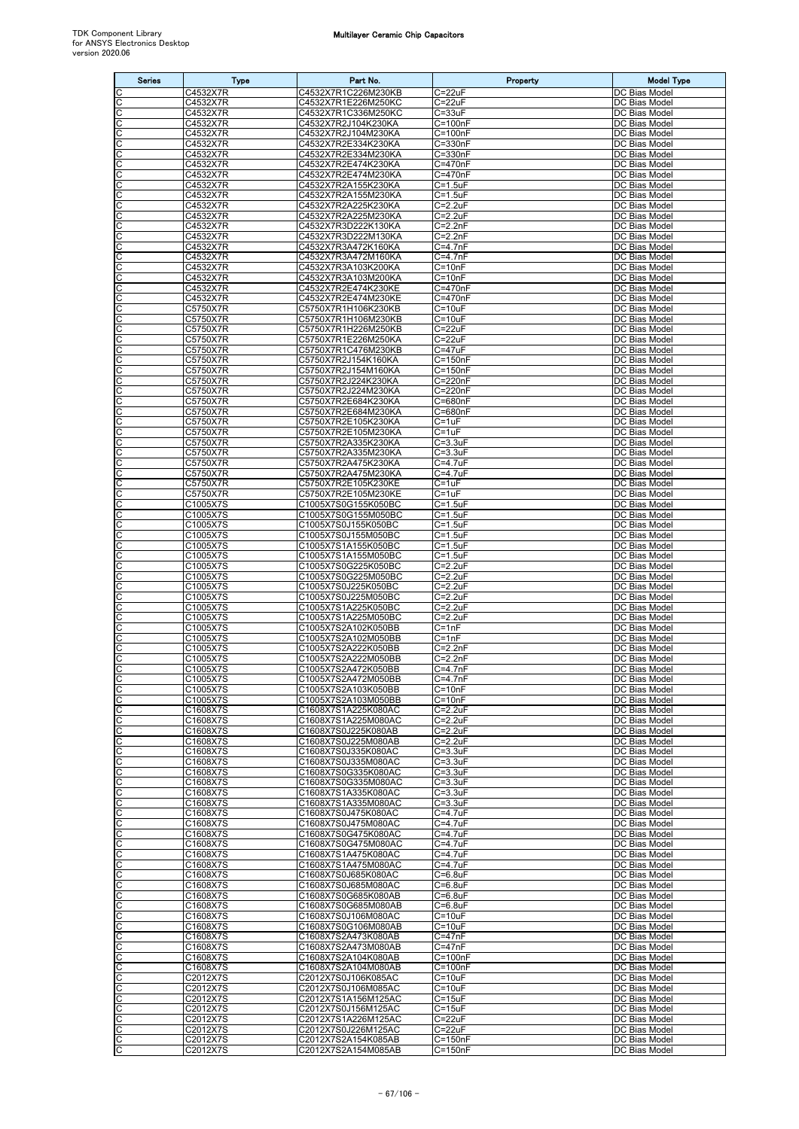| <b>Series</b>         | <b>Type</b>          | Part No.                                   | Property                    | <b>Model Type</b>              |
|-----------------------|----------------------|--------------------------------------------|-----------------------------|--------------------------------|
| С                     | C4532X7R             | C4532X7R1C226M230KB                        | $C = 22uF$                  | DC Bias Model                  |
| C<br>С                | C4532X7R<br>C4532X7R | C4532X7R1E226M250KC<br>C4532X7R1C336M250KC | $C = 22uF$<br>$C = 33uF$    | DC Bias Model<br>DC Bias Model |
| С                     | C4532X7R             | C4532X7R2J104K230KA                        | $C = 100nF$                 | DC Bias Model                  |
| С                     | C4532X7R             | C4532X7R2J104M230KA                        | C=100nF                     | DC Bias Model                  |
| C                     | C4532X7R             | C4532X7R2E334K230KA                        | C=330nF                     | DC Bias Model                  |
| С<br>С                | C4532X7R<br>C4532X7R | C4532X7R2E334M230KA<br>C4532X7R2E474K230KA | C=330nF<br>C=470nF          | DC Bias Model<br>DC Bias Model |
| C                     | C4532X7R             | C4532X7R2E474M230KA                        | C=470nF                     | DC Bias Model                  |
| C                     | C4532X7R             | C4532X7R2A155K230KA                        | $C = 1.5$ uF                | DC Bias Model                  |
| С<br>С                | C4532X7R<br>C4532X7R | C4532X7R2A155M230KA<br>C4532X7R2A225K230KA | $C = 1.5$ uF<br>$C = 2.2uF$ | DC Bias Model<br>DC Bias Model |
| C                     | C4532X7R             | C4532X7R2A225M230KA                        | $C = 2.2uF$                 | DC Bias Model                  |
| C                     | C4532X7R             | C4532X7R3D222K130KA                        | $C = 2.2nF$                 | DC Bias Model                  |
| С                     | C4532X7R             | C4532X7R3D222M130KA<br>C4532X7R3A472K160KA | $C = 2.2nF$                 | DC Bias Model<br>DC Bias Model |
| С<br>C                | C4532X7R<br>C4532X7R | C4532X7R3A472M160KA                        | C=4.7nF<br>$C = 4.7nF$      | DC Bias Model                  |
| C                     | C4532X7R             | C4532X7R3A103K200KA                        | $C = 10nF$                  | DC Bias Model                  |
| C                     | C4532X7R             | C4532X7R3A103M200KA                        | $C = 10nF$                  | DC Bias Model                  |
| С<br>C                | C4532X7R<br>C4532X7R | C4532X7R2E474K230KE<br>C4532X7R2E474M230KE | C=470nF<br>C=470nF          | DC Bias Model<br>DC Bias Model |
| С                     | C5750X7R             | C5750X7R1H106K230KB                        | $C = 10uF$                  | DC Bias Model                  |
| C                     | C5750X7R             | C5750X7R1H106M230KB                        | $C = 10uF$                  | DC Bias Model                  |
| С<br>C                | C5750X7R<br>C5750X7R | C5750X7R1H226M250KB<br>C5750X7R1E226M250KA | $C = 22uF$<br>$C = 22uF$    | DC Bias Model<br>DC Bias Model |
| C                     | C5750X7R             | C5750X7R1C476M230KB                        | $C = 47uF$                  | DC Bias Model                  |
| C                     | C5750X7R             | C5750X7R2J154K160KA                        | $C = 150nF$                 | DC Bias Model                  |
| С                     | C5750X7R             | C5750X7R2J154M160KA                        | $C = 150nF$                 | DC Bias Model                  |
| C<br>C                | C5750X7R<br>C5750X7R | C5750X7R2J224K230KA<br>C5750X7R2J224M230KA | C=220nF<br>C=220nF          | DC Bias Model<br>DC Bias Model |
| C                     | C5750X7R             | C5750X7R2E684K230KA                        | C=680nF                     | DC Bias Model                  |
| C                     | C5750X7R             | C5750X7R2E684M230KA                        | $C = 680nF$                 | DC Bias Model                  |
| С                     | C5750X7R             | C5750X7R2E105K230KA                        | $C = 1uF$                   | DC Bias Model                  |
| C<br>C                | C5750X7R<br>C5750X7R | C5750X7R2E105M230KA<br>C5750X7R2A335K230KA | $C = 1uF$<br>$C = 3.3uF$    | DC Bias Model<br>DC Bias Model |
| C                     | C5750X7R             | C5750X7R2A335M230KA                        | $C = 3.3$ uF                | DC Bias Model                  |
|                       | C5750X7R             | C5750X7R2A475K230KA                        | C=4.7uF                     | DC Bias Model                  |
| С<br>С                | C5750X7R<br>C5750X7R | C5750X7R2A475M230KA<br>C5750X7R2E105K230KE | C=4.7uF<br>C=1uF            | DC Bias Model<br>DC Bias Model |
| C                     | C5750X7R             | C5750X7R2E105M230KE                        | $C = 1uF$                   | DC Bias Model                  |
| С                     | C1005X7S             | C1005X7S0G155K050BC                        | C=1.5uF                     | DC Bias Model                  |
| C                     | C1005X7S             | C1005X7S0G155M050BC                        | $C = 1.5$ uF                | DC Bias Model                  |
| C<br>C                | C1005X7S<br>C1005X7S | C1005X7S0J155K050BC<br>C1005X7S0J155M050BC | $C = 1.5$ uF<br>$C = 1.5uF$ | DC Bias Model<br>DC Bias Model |
| С                     | C1005X7S             | C1005X7S1A155K050BC                        | $C = 1.5$ u $F$             | DC Bias Model                  |
| C                     | C1005X7S             | C1005X7S1A155M050BC                        | $C = 1.5$ uF                | DC Bias Model                  |
| C<br>С                | C1005X7S<br>C1005X7S | C1005X7S0G225K050BC<br>C1005X7S0G225M050BC | $C = 2.2uF$<br>C=2.2uF      | DC Bias Model<br>DC Bias Model |
| С                     | C1005X7S             | C1005X7S0J225K050BC                        | $C = 2.2uF$                 | DC Bias Model                  |
| C                     | C1005X7S             | C1005X7S0J225M050BC                        | $C = 2.2uF$                 | DC Bias Model                  |
| C                     | C1005X7S             | C1005X7S1A225K050BC<br>C1005X7S1A225M050BC | $C = 2.2uF$                 | DC Bias Model                  |
| С<br>C                | C1005X7S<br>C1005X7S | C1005X7S2A102K050BB                        | $C = 2.2uF$<br>$C = 1nF$    | DC Bias Model<br>DC Bias Model |
| C                     | C1005X7S             | C1005X7S2A102M050BB                        | $C = 1nF$                   | DC Bias Model                  |
| C                     | C1005X7S             | C1005X7S2A222K050BB                        | $C = 2.2nF$                 | DC Bias Model                  |
| С<br>C                | C1005X7S<br>C1005X7S | C1005X7S2A222M050BB<br>C1005X7S2A472K050BB | $C = 2.2nF$<br>$C = 4.7nF$  | DC Bias Model<br>DC Bias Model |
| C                     | C1005X7S             | C1005X7S2A472M050BB                        | $C = 4.7nF$                 | DC Bias Model                  |
| C                     | C1005X7S             | C1005X7S2A103K050BB                        | $C = 10nF$                  | DC Bias Model                  |
| C<br>C                | C1005X7S<br>C1608X7S | C1005X7S2A103M050BB<br>C1608X7S1A225K080AC | $C = 10nF$<br>$C=2.2uF$     | DC Bias Model<br>DC Bias Model |
| С                     | C1608X7S             | C1608X7S1A225M080AC                        | $C = 2.2uF$                 | DC Bias Model                  |
| C                     | C1608X7S             | C1608X7S0J225K080AB                        | $C = 2.2uF$                 | DC Bias Model                  |
| C<br>С                | C1608X7S<br>C1608X7S | C1608X7S0J225M080AB<br>C1608X7S0J335K080AC | $C = 2.2uF$<br>$C = 3.3uF$  | DC Bias Model<br>DC Bias Model |
| С                     | C1608X7S             | C1608X7S0J335M080AC                        | $C = 3.3uF$                 | DC Bias Model                  |
| C                     | C1608X7S             | C1608X7S0G335K080AC                        | $C = 3.3uF$                 | DC Bias Model                  |
| C                     | C1608X7S<br>C1608X7S | C1608X7S0G335M080AC<br>C1608X7S1A335K080AC | $C = 3.3uF$<br>$C = 3.3uF$  | DC Bias Model<br>DC Bias Model |
| С<br>С                | C1608X7S             | C1608X7S1A335M080AC                        | $C = 3.3uF$                 | DC Bias Model                  |
| С                     | C1608X7S             | C1608X7S0J475K080AC                        | $C = 4.7$ uF                | DC Bias Model                  |
| C                     | C1608X7S             | C1608X7S0J475M080AC                        | $C = 4.7$ u $F$             | DC Bias Model                  |
| С<br>С                | C1608X7S<br>C1608X7S | C1608X7S0G475K080AC<br>C1608X7S0G475M080AC | $C = 4.7$ u $F$<br>C=4.7uF  | DC Bias Model<br>DC Bias Model |
| C                     | C1608X7S             | C1608X7S1A475K080AC                        | $C = 4.7uF$                 | DC Bias Model                  |
| C                     | C1608X7S             | C1608X7S1A475M080AC                        | $C = 4.7$ u $F$             | DC Bias Model                  |
| С<br>С                | C1608X7S<br>C1608X7S | C1608X7S0J685K080AC<br>C1608X7S0J685M080AC | $C = 6.8$ uF<br>$C=6.8$ uF  | DC Bias Model<br>DC Bias Model |
| C                     | C1608X7S             | C1608X7S0G685K080AB                        | $C=6.8$ u $F$               | DC Bias Model                  |
| C                     | C1608X7S             | C1608X7S0G685M080AB                        | $C=6.8$ u $F$               | DC Bias Model                  |
| С<br>С                | C1608X7S<br>C1608X7S | C1608X7S0J106M080AC<br>C1608X7S0G106M080AB | $C = 10uF$<br>$C = 10uF$    | DC Bias Model<br>DC Bias Model |
| С                     | C1608X7S             | C1608X7S2A473K080AB                        | $C = 47nF$                  | DC Bias Model                  |
| C                     | C1608X7S             | C1608X7S2A473M080AB                        | $C = 47nF$                  | DC Bias Model                  |
| С                     | C1608X7S             | C1608X7S2A104K080AB                        | $C = 100nF$                 | DC Bias Model                  |
| С<br>C                | C1608X7S<br>C2012X7S | C1608X7S2A104M080AB<br>C2012X7S0J106K085AC | $C = 100nF$<br>$C = 10uF$   | DC Bias Model<br>DC Bias Model |
| C                     | C2012X7S             | C2012X7S0J106M085AC                        | $C = 10uF$                  | DC Bias Model                  |
| C                     | C2012X7S             | C2012X7S1A156M125AC                        | $C = 15uF$                  | DC Bias Model                  |
| С<br>C                | C2012X7S<br>C2012X7S | C2012X7S0J156M125AC<br>C2012X7S1A226M125AC | $C = 15uF$<br>$C = 22uF$    | DC Bias Model<br>DC Bias Model |
| C                     | C2012X7S             | C2012X7S0J226M125AC                        | $C = 22uF$                  | DC Bias Model                  |
| $\overline{\text{c}}$ | C2012X7S             | C2012X7S2A154K085AB                        | $C = 150nF$                 | DC Bias Model                  |
| C                     | C2012X7S             | C2012X7S2A154M085AB                        | $C = 150nF$                 | DC Bias Model                  |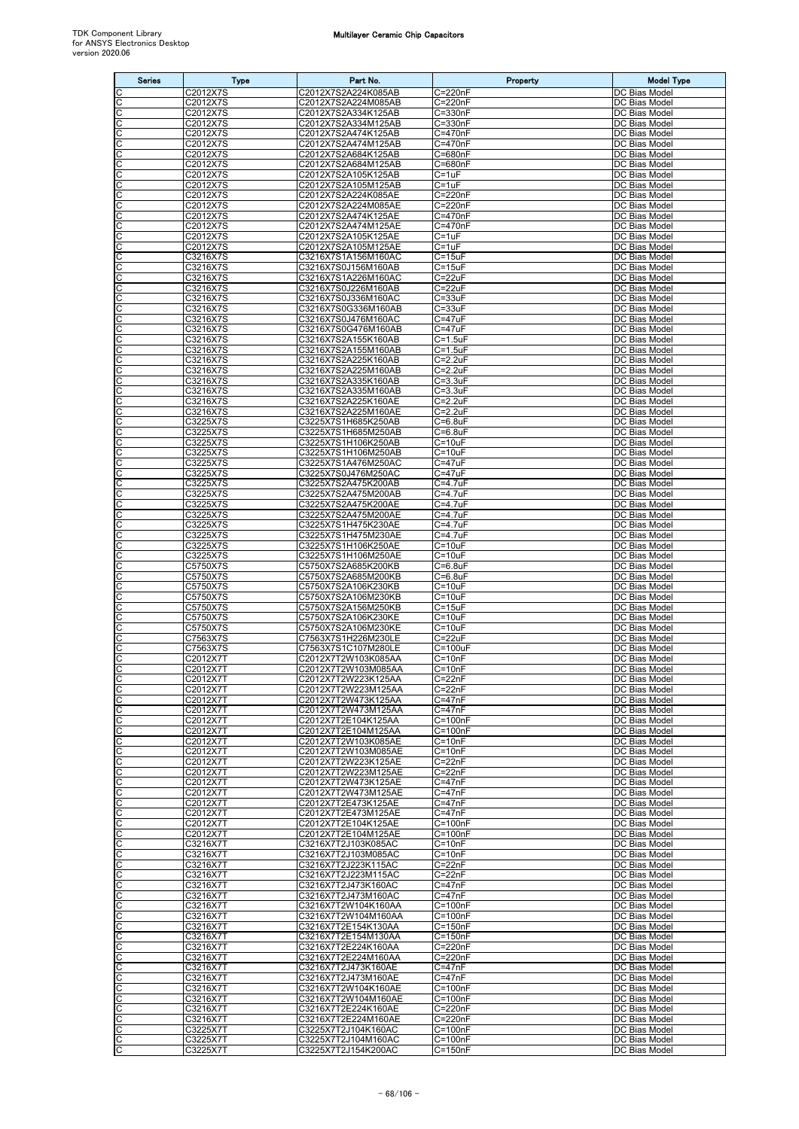| <b>Series</b>           | <b>Type</b>          | Part No.                                   | Property                      | <b>Model Type</b>                     |
|-------------------------|----------------------|--------------------------------------------|-------------------------------|---------------------------------------|
| C                       | C2012X7S             | C2012X7S2A224K085AB                        | C=220nF                       | DC Bias Model                         |
| $\overline{\text{c}}$   | C2012X7S             | C2012X7S2A224M085AB                        | C=220nF                       | DC Bias Model                         |
| C<br>$\mathsf C$        | C2012X7S<br>C2012X7S | C2012X7S2A334K125AB<br>C2012X7S2A334M125AB | $C = 330nF$<br>C=330nF        | DC Bias Model<br>DC Bias Model        |
| $\overline{\text{c}}$   | C2012X7S             | C2012X7S2A474K125AB                        | C=470nF                       | DC Bias Model                         |
| C                       | C2012X7S             | C2012X7S2A474M125AB                        | C=470nF                       | DC Bias Model                         |
| C                       | C2012X7S             | C2012X7S2A684K125AB                        | C=680nF                       | DC Bias Model                         |
| C<br>C                  | C2012X7S<br>C2012X7S | C2012X7S2A684M125AB<br>C2012X7S2A105K125AB | C=680nF<br>$C = 1uF$          | DC Bias Model<br>DC Bias Model        |
| $\overline{\mathsf{C}}$ | C2012X7S             | C2012X7S2A105M125AB                        | $C = 1uF$                     | DC Bias Model                         |
| C                       | C2012X7S             | C2012X7S2A224K085AE                        | C=220nF                       | DC Bias Model                         |
| $\frac{1}{2}$           | C2012X7S             | C2012X7S2A224M085AE                        | C=220nF                       | DC Bias Model                         |
| C                       | C2012X7S<br>C2012X7S | C2012X7S2A474K125AE<br>C2012X7S2A474M125AE | C=470nF<br>$C=470nF$          | DC Bias Model<br>DC Bias Model        |
| C                       | C2012X7S             | C2012X7S2A105K125AE                        | $C = 1uF$                     | DC Bias Model                         |
| C                       | C2012X7S             | C2012X7S2A105M125AE                        | $C = 1uF$                     | DC Bias Model                         |
| C<br>C                  | C3216X7S             | C3216X7S1A156M160AC                        | $C = 15uF$                    | DC Bias Model                         |
| C                       | C3216X7S<br>C3216X7S | C3216X7S0J156M160AB<br>C3216X7S1A226M160AC | $C = 15uF$<br>$C = 22uF$      | DC Bias Model<br><b>DC Bias Model</b> |
| C                       | C3216X7S             | C3216X7S0J226M160AB                        | $C = 22uF$                    | DC Bias Model                         |
| ပုပ                     | C3216X7S             | C3216X7S0J336M160AC                        | $C = 33uF$                    | DC Bias Model                         |
| C                       | C3216X7S<br>C3216X7S | C3216X7S0G336M160AB<br>C3216X7S0J476M160AC | $C = 33uF$<br>$C = 47uF$      | <b>DC Bias Model</b><br>DC Bias Model |
| C                       | C3216X7S             | C3216X7S0G476M160AB                        | C=47uF                        | DC Bias Model                         |
| C                       | C3216X7S             | C3216X7S2A155K160AB                        | $C = 1.5$ uF                  | DC Bias Model                         |
| $\overline{\mathsf{C}}$ | C3216X7S             | C3216X7S2A155M160AB                        | $C = 1.5$ uF                  | DC Bias Model                         |
| C<br>C                  | C3216X7S<br>C3216X7S | C3216X7S2A225K160AB<br>C3216X7S2A225M160AB | $C = 2.2uF$<br>$C=2.2uF$      | DC Bias Model<br>DC Bias Model        |
|                         | C3216X7S             | C3216X7S2A335K160AB                        | $C = 3.3uF$                   | DC Bias Model                         |
| $\frac{c}{c}$           | C3216X7S             | C3216X7S2A335M160AB                        | $C = 3.3uF$                   | DC Bias Model                         |
| C                       | C3216X7S             | C3216X7S2A225K160AE                        | $C = 2.2uF$                   | DC Bias Model                         |
| C<br>C                  | C3216X7S             | C3216X7S2A225M160AE                        | $C=2.2uF$<br>$C = 6.8$ uF     | DC Bias Model<br>DC Bias Model        |
| $\overline{\mathsf{C}}$ | C3225X7S<br>C3225X7S | C3225X7S1H685K250AB<br>C3225X7S1H685M250AB | $C = 6.8$ uF                  | DC Bias Model                         |
| C                       | C3225X7S             | C3225X7S1H106K250AB                        | $C = 10uF$                    | DC Bias Model                         |
| C                       | C3225X7S             | C3225X7S1H106M250AB                        | $C = 10uF$                    | DC Bias Model                         |
| $\frac{1}{2}$           | C3225X7S<br>C3225X7S | C3225X7S1A476M250AC<br>C3225X7S0J476M250AC | $C = 47uF$<br>$C = 47uF$      | DC Bias Model<br>DC Bias Model        |
| C                       | C3225X7S             | C3225X7S2A475K200AB                        | C=4.7uF                       | DC Bias Model                         |
| C                       | C3225X7S             | C3225X7S2A475M200AB                        | $C = 4.7$ uF                  | DC Bias Model                         |
| C                       | C3225X7S             | C3225X7S2A475K200AE                        | $C = 4.7$ uF                  | DC Bias Model                         |
| C<br>C                  | C3225X7S<br>C3225X7S | C3225X7S2A475M200AE<br>C3225X7S1H475K230AE | $C = 4.7$ uF<br>$C = 4.7uF$   | DC Bias Model<br>DC Bias Model        |
| C                       | C3225X7S             | C3225X7S1H475M230AE                        | $C = 4.7uF$                   | DC Bias Model                         |
| C                       | C3225X7S             | C3225X7S1H106K250AE                        | $C = 10uF$                    | DC Bias Model                         |
| $\overline{c}$          | C3225X7S             | C3225X7S1H106M250AE                        | $C = 10uF$                    | DC Bias Model                         |
| C<br>C                  | C5750X7S<br>C5750X7S | C5750X7S2A685K200KB<br>C5750X7S2A685M200KB | $C=6.8$ u $F$<br>$C = 6.8$ uF | DC Bias Model<br>DC Bias Model        |
| C                       | C5750X7S             | C5750X7S2A106K230KB                        | $C = 10uF$                    | DC Bias Model                         |
| $\overline{\text{c}}$   | C5750X7S             | C5750X7S2A106M230KB                        | $C = 10uF$                    | <b>DC</b> Bias Model                  |
| $\overline{\mathsf{C}}$ | C5750X7S             | C5750X7S2A156M250KB                        | $C = 15uF$                    | DC Bias Model                         |
| C                       | C5750X7S<br>C5750X7S | C5750X7S2A106K230KE<br>C5750X7S2A106M230KE | $C = 10uF$<br>$C = 10uF$      | DC Bias Model<br>DC Bias Model        |
| ပပ                      | C7563X7S             | C7563X7S1H226M230LE                        | $C = 22uF$                    | DC Bias Model                         |
| C                       | C7563X7S             | C7563X7S1C107M280LE                        | C=100uF                       | DC Bias Model                         |
| C<br>C                  | C2012X7T             | C2012X7T2W103K085AA<br>C2012X7T2W103M085AA | $C = 10nF$                    | DC Bias Model                         |
| C                       | C2012X7T<br>C2012X7T | C2012X7T2W223K125AA                        | $C = 10nF$<br>$C = 22nF$      | DC Bias Model<br>DC Bias Model        |
| C                       | C2012X7T             | C2012X7T2W223M125AA                        | $C = 22nF$                    | DC Bias Model                         |
| $\overline{\text{c}}$   | C2012X7T             | C2012X7T2W473K125AA                        | $C = 47nF$                    | DC Bias Model                         |
| C                       | C2012X7T<br>C2012X7T | C2012X7T2W473M125AA<br>C2012X7T2E104K125AA | $C = 47nF$<br>$C = 100nF$     | DC Bias Model<br>DC Bias Model        |
| ပပ                      | C2012X7T             | C2012X7T2E104M125AA                        | $C = 100nF$                   | DC Bias Model                         |
| C                       | C2012X7T             | C2012X7T2W103K085AE                        | $C = 10nF$                    | DC Bias Model                         |
| C                       | C2012X7T             | C2012X7T2W103M085AE                        | $C = 10nF$                    | DC Bias Model                         |
| C<br>C                  | C2012X7T<br>C2012X7T | C2012X7T2W223K125AE<br>C2012X7T2W223M125AE | $C = 22nF$<br>$C = 22nF$      | DC Bias Model<br>DC Bias Model        |
| C                       | C2012X7T             | C2012X7T2W473K125AE                        | $C = 47nF$                    | DC Bias Model                         |
| C                       | C2012X7T             | C2012X7T2W473M125AE                        | $C = 47nF$                    | DC Bias Model                         |
| C                       | C2012X7T             | C2012X7T2E473K125AE                        | $C = 47nF$                    | DC Bias Model                         |
| C<br>C                  | C2012X7T<br>C2012X7T | C2012X7T2E473M125AE<br>C2012X7T2E104K125AE | $C = 47nF$<br>$C = 100nF$     | DC Bias Model<br>DC Bias Model        |
| C                       | C2012X7T             | C2012X7T2E104M125AE                        | $C = 100nF$                   | DC Bias Model                         |
| C                       | C3216X7T             | C3216X7T2J103K085AC                        | $C = 10nF$                    | DC Bias Model                         |
| C                       | C3216X7T             | C3216X7T2J103M085AC                        | $C = 10nF$                    | DC Bias Model                         |
| C<br>C                  | C3216X7T<br>C3216X7T | C3216X7T2J223K115AC<br>C3216X7T2J223M115AC | $C = 22nF$<br>$C = 22nF$      | DC Bias Model<br>DC Bias Model        |
|                         | C3216X7T             | C3216X7T2J473K160AC                        | $C = 47nF$                    | DC Bias Model                         |
| ပပ                      | C3216X7T             | C3216X7T2J473M160AC                        | $C = 47nF$                    | DC Bias Model                         |
| C<br>C                  | C3216X7T<br>C3216X7T | C3216X7T2W104K160AA                        | $C = 100nF$<br>$C = 100nF$    | DC Bias Model<br>DC Bias Model        |
| C                       | C3216X7T             | C3216X7T2W104M160AA<br>C3216X7T2E154K130AA | $C = 150nF$                   | DC Bias Model                         |
| C                       | C3216X7T             | C3216X7T2E154M130AA                        | $C = 150nF$                   | DC Bias Model                         |
| C                       | C3216X7T             | C3216X7T2E224K160AA                        | C=220nF                       | DC Bias Model                         |
| C                       | C3216X7T<br>C3216X7T | C3216X7T2E224M160AA<br>C3216X7T2J473K160AE | C=220nF<br>$C = 47nF$         | DC Bias Model<br>DC Bias Model        |
| $\frac{c}{c}$           | C3216X7T             | C3216X7T2J473M160AE                        | $C = 47nF$                    | DC Bias Model                         |
| C                       | C3216X7T             | C3216X7T2W104K160AE                        | $C = 100nF$                   | DC Bias Model                         |
| C                       | C3216X7T             | C3216X7T2W104M160AE                        | $C = 100nF$                   | DC Bias Model                         |
| C<br>C                  | C3216X7T<br>C3216X7T | C3216X7T2E224K160AE<br>C3216X7T2E224M160AE | $C = 220nF$<br>C=220nF        | DC Bias Model<br>DC Bias Model        |
| C                       | C3225X7T             | C3225X7T2J104K160AC                        | $C = 100nF$                   | DC Bias Model                         |
| C                       | C3225X7T             | C3225X7T2J104M160AC                        | $C = 100nF$                   | DC Bias Model                         |
| C                       | C3225X7T             | C3225X7T2J154K200AC                        | $C = 150nF$                   | DC Bias Model                         |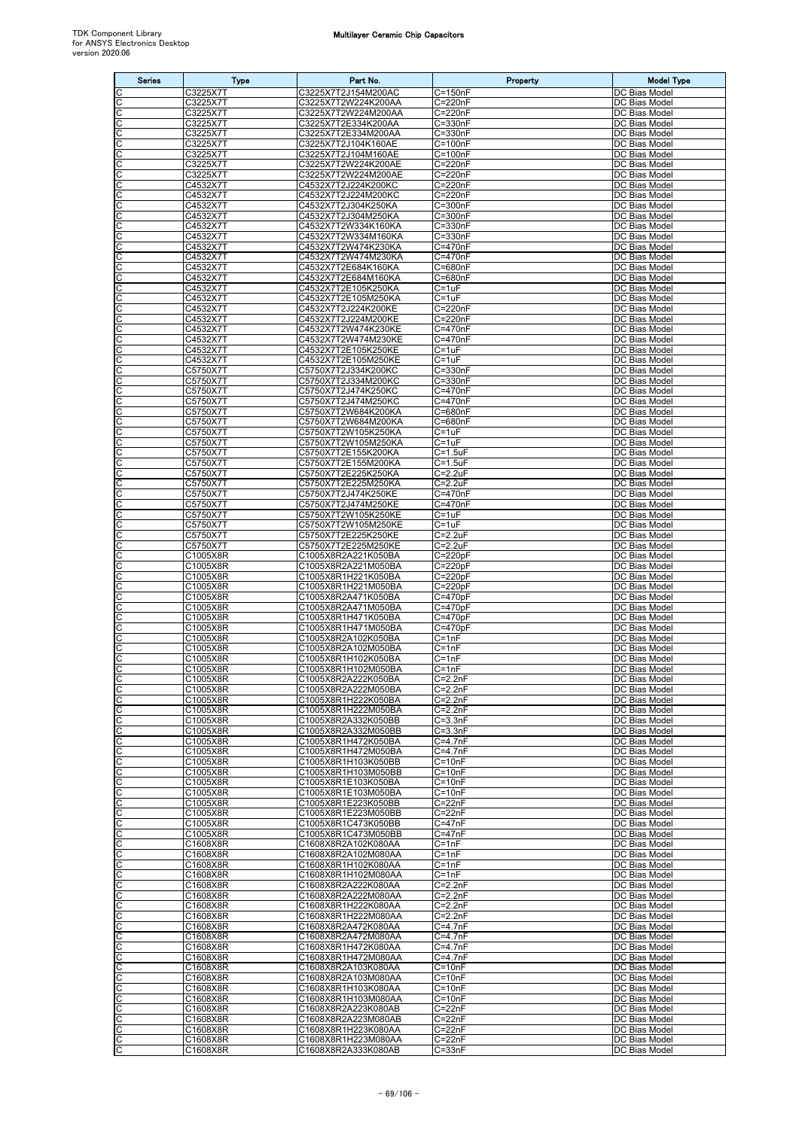| <b>Series</b> | <b>Type</b>          | Part No.                                   | Property                   | <b>Model Type</b>              |
|---------------|----------------------|--------------------------------------------|----------------------------|--------------------------------|
|               | C3225X7T             | C3225X7T2J154M200AC                        | $\overline{C}$ =150nF      | DC Bias Model                  |
| С<br>C        | C3225X7T<br>C3225X7T | C3225X7T2W224K200AA<br>C3225X7T2W224M200AA | C=220nF<br>C=220nF         | DC Bias Model<br>DC Bias Model |
| C             | C3225X7T             | C3225X7T2E334K200AA                        | C=330nF                    | DC Bias Model                  |
| С             | C3225X7T             | C3225X7T2E334M200AA                        | C=330nF                    | DC Bias Model                  |
| С             | C3225X7T             | C3225X7T2J104K160AE                        | C=100nF<br>$C = 100nF$     | DC Bias Model                  |
| С<br>C        | C3225X7T<br>C3225X7T | C3225X7T2J104M160AE<br>C3225X7T2W224K200AE | C=220nF                    | DC Bias Model<br>DC Bias Model |
| С             | C3225X7T             | C3225X7T2W224M200AE                        | C=220nF                    | DC Bias Model                  |
| С             | C4532X7T             | C4532X7T2J224K200KC                        | C=220nF                    | DC Bias Model                  |
| C<br>C        | C4532X7T<br>C4532X7T | C4532X7T2J224M200KC<br>C4532X7T2J304K250KA | C=220nF<br>$C = 300nF$     | DC Bias Model<br>DC Bias Model |
| С             | C4532X7T             | C4532X7T2J304M250KA                        | C=300nF                    | DC Bias Model                  |
| С             | C4532X7T             | C4532X7T2W334K160KA                        | C=330nF                    | DC Bias Model                  |
| C<br>С        | C4532X7T<br>C4532X7T | C4532X7T2W334M160KA<br>C4532X7T2W474K230KA | $C = 330nF$<br>C=470nF     | DC Bias Model<br>DC Bias Model |
| C             | C4532X7T             | C4532X7T2W474M230KA                        | C=470nF                    | DC Bias Model                  |
| С             | C4532X7T             | C4532X7T2E684K160KA                        | C=680nF                    | DC Bias Model                  |
| C<br>C        | C4532X7T<br>C4532X7T | C4532X7T2E684M160KA<br>C4532X7T2E105K250KA | $C = 680nF$<br>$C = 1uF$   | DC Bias Model<br>DC Bias Model |
| С             | C4532X7T             | C4532X7T2E105M250KA                        | $C = 1uF$                  | DC Bias Model                  |
| С             | C4532X7T             | C4532X7T2J224K200KE                        | $C = 220nF$                | DC Bias Model                  |
| C<br>C        | C4532X7T<br>C4532X7T | C4532X7T2J224M200KE<br>C4532X7T2W474K230KE | C=220nF<br>C=470nF         | DC Bias Model<br>DC Bias Model |
| С             | C4532X7T             | C4532X7T2W474M230KE                        | C=470nF                    | DC Bias Model                  |
| С             | C4532X7T             | C4532X7T2E105K250KE                        | C=1uF                      | DC Bias Model                  |
| С             | C4532X7T             | C4532X7T2E105M250KE                        | C=1uF                      | DC Bias Model                  |
| C<br>C        | C5750X7T<br>C5750X7T | C5750X7T2J334K200KC<br>C5750X7T2J334M200KC | $C = 330nF$<br>$C = 330nF$ | DC Bias Model<br>DC Bias Model |
| С             | C5750X7T             | C5750X7T2J474K250KC                        | C=470nF                    | DC Bias Model                  |
| С             | C5750X7T             | C5750X7T2J474M250KC                        | C=470nF                    | DC Bias Model                  |
| C<br>C        | C5750X7T<br>C5750X7T | C5750X7T2W684K200KA<br>C5750X7T2W684M200KA | C=680nF<br>C=680nF         | DC Bias Model<br>DC Bias Model |
| С             | C5750X7T             | C5750X7T2W105K250KA                        | $C = 1uF$                  | DC Bias Model                  |
| С             | C5750X7T             | C5750X7T2W105M250KA                        | $C = 1uF$                  | DC Bias Model                  |
| C<br>C        | C5750X7T<br>C5750X7T | C5750X7T2E155K200KA<br>C5750X7T2E155M200KA | $C = 1.5uF$<br>$C = 1.5uF$ | DC Bias Model<br>DC Bias Model |
| С             | C5750X7T             | C5750X7T2E225K250KA                        | $C = 2.2uF$                | DC Bias Model                  |
| С             | C5750X7T             | C5750X7T2E225M250KA                        | $C = 2.2uF$                | DC Bias Model                  |
| C<br>С        | C5750X7T<br>C5750X7T | C5750X7T2J474K250KE<br>C5750X7T2J474M250KE | C=470nF<br>C=470nF         | DC Bias Model<br>DC Bias Model |
| C             | C5750X7T             | C5750X7T2W105K250KE                        | $C=1uF$                    | DC Bias Model                  |
| С             | C5750X7T             | C5750X7T2W105M250KE                        | $C = 1uF$                  | DC Bias Model                  |
| C             | C5750X7T             | C5750X7T2E225K250KE                        | $C = 2.2uF$                | DC Bias Model                  |
| C<br>С        | C5750X7T<br>C1005X8R | C5750X7T2E225M250KE<br>C1005X8R2A221K050BA | $C = 2.2uF$<br>$C = 220pF$ | DC Bias Model<br>DC Bias Model |
| C             | C1005X8R             | C1005X8R2A221M050BA                        | $C = 220pF$                | DC Bias Model                  |
| С             | C1005X8R             | C1005X8R1H221K050BA                        | $C = 220pF$                | DC Bias Model                  |
| C<br>С        | C1005X8R<br>C1005X8R | C1005X8R1H221M050BA<br>C1005X8R2A471K050BA | $C = 220pF$<br>$C = 470pF$ | DC Bias Model<br>DC Bias Model |
| С             | C1005X8R             | C1005X8R2A471M050BA                        | $C = 470pF$                | DC Bias Model                  |
| C             | C1005X8R             | C1005X8R1H471K050BA                        | $C = 470pF$                | DC Bias Model                  |
| C<br>С        | C1005X8R<br>C1005X8R | C1005X8R1H471M050BA<br>C1005X8R2A102K050BA | $C = 470pF$<br>$C = 1nF$   | DC Bias Model<br>DC Bias Model |
| C             | C1005X8R             | C1005X8R2A102M050BA                        | $C = 1nF$                  | DC Bias Model                  |
| C             | C1005X8R             | C1005X8R1H102K050BA                        | $C = 1nF$                  | DC Bias Model                  |
| C             | C1005X8R<br>C1005X8R | C1005X8R1H102M050BA<br>C1005X8R2A222K050BA | $C = 1nF$<br>$C = 2.2nF$   | DC Bias Model<br>DC Bias Model |
| C             | C1005X8R             | C1005X8R2A222M050BA                        | $C = 2.2nF$                | DC Bias Model                  |
| С             | C1005X8R             | C1005X8R1H222K050BA                        | $C = 2.2nF$                | DC Bias Model                  |
| C<br>C        | C1005X8R<br>C1005X8R | C1005X8R1H222M050BA<br>C1005X8R2A332K050BB | $C=2.2nF$<br>$C = 3.3nF$   | DC Bias Model<br>DC Bias Model |
| С             | C1005X8R             | C1005X8R2A332M050BB                        | $C = 3.3nF$                | DC Bias Model                  |
| С             | C1005X8R             | C1005X8R1H472K050BA                        | $C = 4.7nF$                | DC Bias Model                  |
| C             | C1005X8R             | C1005X8R1H472M050BA                        | $C = 4.7nF$                | DC Bias Model                  |
| С<br>С        | C1005X8R<br>C1005X8R | C1005X8R1H103K050BB<br>C1005X8R1H103M050BB | $C = 10nF$<br>$C = 10nF$   | DC Bias Model<br>DC Bias Model |
| С             | C1005X8R             | C1005X8R1E103K050BA                        | $\overline{C}$ =10nF       | DC Bias Model                  |
| C             | C1005X8R             | C1005X8R1E103M050BA                        | $C = 10nF$                 | DC Bias Model                  |
| C<br>С        | C1005X8R<br>C1005X8R | C1005X8R1E223K050BB<br>C1005X8R1E223M050BB | $C = 22nF$<br>$C = 22nF$   | DC Bias Model<br>DC Bias Model |
| C             | C1005X8R             | C1005X8R1C473K050BB                        | $C = 47nF$                 | DC Bias Model                  |
| С             | C1005X8R             | C1005X8R1C473M050BB                        | C=47nF                     | DC Bias Model                  |
| C<br>С        | C1608X8R<br>C1608X8R | C1608X8R2A102K080AA<br>C1608X8R2A102M080AA | $C = 1nF$<br>$C = 1nF$     | DC Bias Model<br>DC Bias Model |
| С             | C1608X8R             | C1608X8R1H102K080AA                        | $C = 1nF$                  | DC Bias Model                  |
| C             | C1608X8R             | C1608X8R1H102M080AA                        | $C = 1nF$                  | DC Bias Model                  |
| C<br>С        | C1608X8R<br>C1608X8R | C1608X8R2A222K080AA<br>C1608X8R2A222M080AA | $C=2.2nF$<br>$C=2.2nF$     | DC Bias Model<br>DC Bias Model |
| С             | C1608X8R             | C1608X8R1H222K080AA                        | $C = 2.2nF$                | DC Bias Model                  |
| C             | C1608X8R             | C1608X8R1H222M080AA                        | $C=2.2nF$                  | DC Bias Model                  |
| С             | C1608X8R             | C1608X8R2A472K080AA                        | $C = 4.7nF$                | DC Bias Model                  |
| С<br>С        | C1608X8R<br>C1608X8R | C1608X8R2A472M080AA<br>C1608X8R1H472K080AA | $C = 4.7nF$<br>C=4.7nF     | DC Bias Model<br>DC Bias Model |
| C             | C1608X8R             | C1608X8R1H472M080AA                        | $C=4.7nF$                  | DC Bias Model                  |
| C             | C1608X8R             | C1608X8R2A103K080AA                        | $C = 10nF$                 | DC Bias Model                  |
| С<br>С        | C1608X8R<br>C1608X8R | C1608X8R2A103M080AA<br>C1608X8R1H103K080AA | $C = 10nF$<br>$C = 10nF$   | DC Bias Model<br>DC Bias Model |
| C             | C1608X8R             | C1608X8R1H103M080AA                        | $C = 10nF$                 | DC Bias Model                  |
| C             | C1608X8R             | C1608X8R2A223K080AB                        | $C = 22nF$                 | DC Bias Model                  |
| C<br>С        | C1608X8R<br>C1608X8R | C1608X8R2A223M080AB<br>C1608X8R1H223K080AA | $C = 22nF$<br>$C = 22nF$   | DC Bias Model<br>DC Bias Model |
|               | C1608X8R             | C1608X8R1H223M080AA                        | $C = 22nF$                 | DC Bias Model                  |
| $\frac{C}{C}$ | C1608X8R             | C1608X8R2A333K080AB                        | $C = 33nF$                 | DC Bias Model                  |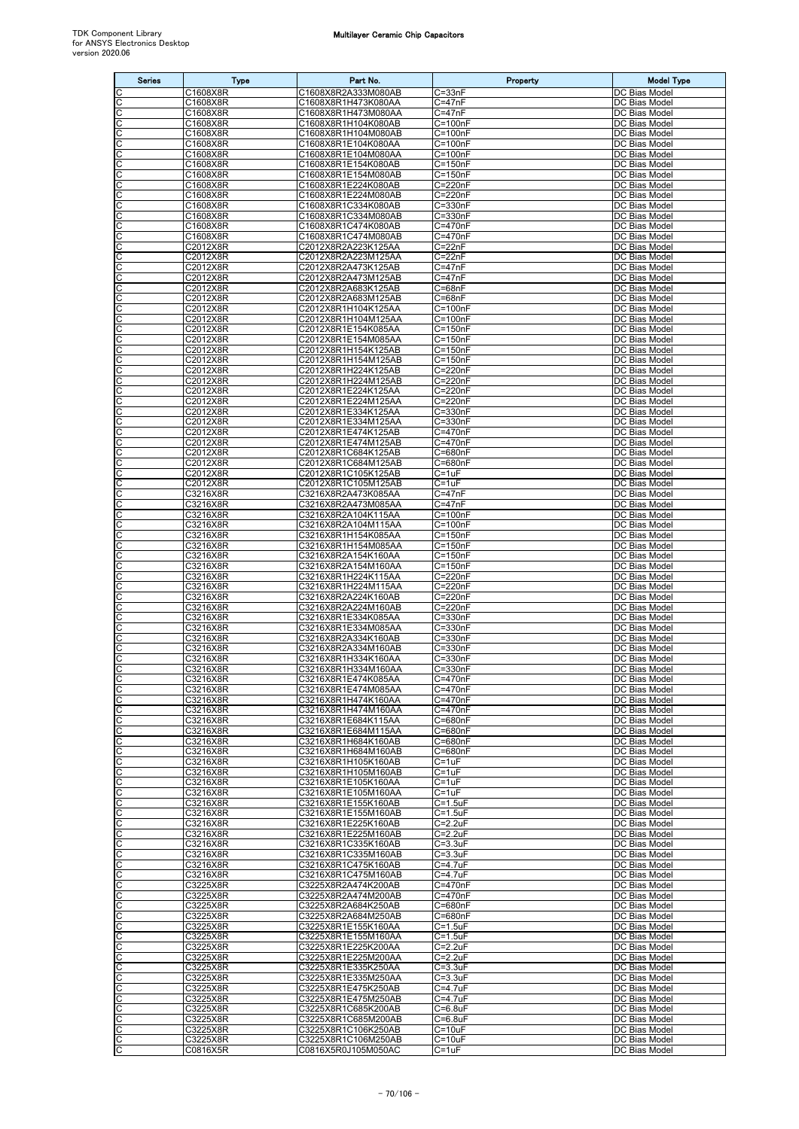| <b>Series</b>                | <b>Type</b>          | Part No.                                   | Property                             | <b>Model Type</b>                     |
|------------------------------|----------------------|--------------------------------------------|--------------------------------------|---------------------------------------|
| C                            | C1608X8R             | C1608X8R2A333M080AB                        | $C = 33nF$                           | DC Bias Model                         |
| C<br>C                       | C1608X8R<br>C1608X8R | C1608X8R1H473K080AA<br>C1608X8R1H473M080AA | $C = 47nF$<br>$C = 47nF$             | DC Bias Model<br>DC Bias Model        |
| C                            | C1608X8R             | C1608X8R1H104K080AB                        | $C = 100nF$                          | DC Bias Model                         |
| C                            | C1608X8R             | C1608X8R1H104M080AB                        | C=100nF                              | DC Bias Model                         |
| C<br>С                       | C1608X8R<br>C1608X8R | C1608X8R1E104K080AA<br>C1608X8R1E104M080AA | C=100nF<br>C=100nF                   | DC Bias Model<br>DC Bias Model        |
| C                            | C1608X8R             | C1608X8R1E154K080AB                        | $C = 150nF$                          | DC Bias Model                         |
| C                            | C1608X8R             | C1608X8R1E154M080AB                        | $C = 150nF$                          | DC Bias Model                         |
| C<br>С                       | C1608X8R<br>C1608X8R | C1608X8R1E224K080AB<br>C1608X8R1E224M080AB | C=220nF<br>C=220nF                   | DC Bias Model<br>DC Bias Model        |
| C                            | C1608X8R             | C1608X8R1C334K080AB                        | C=330nF                              | DC Bias Model                         |
| C<br>C                       | C1608X8R<br>C1608X8R | C1608X8R1C334M080AB<br>C1608X8R1C474K080AB | C=330nF<br>C=470nF                   | DC Bias Model<br>DC Bias Model        |
| С                            | C1608X8R             | C1608X8R1C474M080AB                        | C=470nF                              | DC Bias Model                         |
| C                            | C2012X8R             | C2012X8R2A223K125AA                        | $C = 22nF$                           | DC Bias Model                         |
| C<br>C                       | C2012X8R<br>C2012X8R | C2012X8R2A223M125AA<br>C2012X8R2A473K125AB | $C = 22nF$<br>$C = 47nF$             | DC Bias Model<br>DC Bias Model        |
| C                            | C2012X8R             | C2012X8R2A473M125AB                        | $C = 47nF$                           | DC Bias Model                         |
| $\overline{\text{c}}$        | C2012X8R             | C2012X8R2A683K125AB                        | $C = 68nF$<br>$C = 68nF$             | DC Bias Model<br>DC Bias Model        |
| C<br>C                       | C2012X8R<br>C2012X8R | C2012X8R2A683M125AB<br>C2012X8R1H104K125AA | C=100nF                              | DC Bias Model                         |
| C                            | C2012X8R             | C2012X8R1H104M125AA                        | C=100nF                              | DC Bias Model                         |
| C<br>С                       | C2012X8R<br>C2012X8R | C2012X8R1E154K085AA<br>C2012X8R1E154M085AA | C=150nF<br>$\overline{C}$ =150nF     | DC Bias Model<br>DC Bias Model        |
| C                            | C2012X8R             | C2012X8R1H154K125AB                        | $C = 150nF$                          | DC Bias Model                         |
| C                            | C2012X8R             | C2012X8R1H154M125AB                        | $C = 150nF$                          | DC Bias Model                         |
| C<br>C                       | C2012X8R<br>C2012X8R | C2012X8R1H224K125AB<br>C2012X8R1H224M125AB | C=220nF<br>C=220nF                   | <b>DC Bias Model</b><br>DC Bias Model |
| C                            | C2012X8R             | C2012X8R1E224K125AA                        | C=220nF                              | DC Bias Model                         |
| C<br>C                       | C2012X8R             | C2012X8R1E224M125AA                        | C=220nF                              | DC Bias Model<br>DC Bias Model        |
| C                            | C2012X8R<br>C2012X8R | C2012X8R1E334K125AA<br>C2012X8R1E334M125AA | $\overline{C}$ =330nF<br>$C = 330nF$ | DC Bias Model                         |
| C                            | C2012X8R             | C2012X8R1E474K125AB                        | C=470nF                              | DC Bias Model                         |
| C                            | C2012X8R<br>C2012X8R | C2012X8R1E474M125AB<br>C2012X8R1C684K125AB | C=470nF<br>$C = 680nF$               | DC Bias Model<br>DC Bias Model        |
| C<br>C                       | C2012X8R             | C2012X8R1C684M125AB                        | C=680nF                              | DC Bias Model                         |
| C                            | C2012X8R             | C2012X8R1C105K125AB                        | $C = 1uF$                            | DC Bias Model                         |
| C<br>C                       | C2012X8R<br>C3216X8R | C2012X8R1C105M125AB<br>C3216X8R2A473K085AA | $C = 1uF$<br>$C = 47nF$              | DC Bias Model<br>DC Bias Model        |
| C                            | C3216X8R             | C3216X8R2A473M085AA                        | $C = 47nF$                           | DC Bias Model                         |
| C                            | C3216X8R             | C3216X8R2A104K115AA                        | $C = 100nF$                          | DC Bias Model                         |
| C<br>C                       | C3216X8R<br>C3216X8R | C3216X8R2A104M115AA<br>C3216X8R1H154K085AA | $C = 100nF$<br>$C = 150nF$           | DC Bias Model<br>DC Bias Model        |
| $\overline{\text{c}}$        | C3216X8R             | C3216X8R1H154M085AA                        | $C = 150nF$                          | DC Bias Model                         |
| C<br>C                       | C3216X8R<br>C3216X8R | C3216X8R2A154K160AA<br>C3216X8R2A154M160AA | $C = 150nF$<br>$C = 150nF$           | DC Bias Model<br>DC Bias Model        |
| С                            | C3216X8R             | C3216X8R1H224K115AA                        | C=220nF                              | DC Bias Model                         |
| C                            | C3216X8R             | C3216X8R1H224M115AA                        | C=220nF                              | DC Bias Model                         |
| C<br>C                       | C3216X8R<br>C3216X8R | C3216X8R2A224K160AB<br>C3216X8R2A224M160AB | $C = 220nF$<br>C=220nF               | DC Bias Model<br>DC Bias Model        |
| С                            | C3216X8R             | C3216X8R1E334K085AA                        | C=330nF                              | DC Bias Model                         |
| C<br>C                       | C3216X8R<br>C3216X8R | C3216X8R1E334M085AA<br>C3216X8R2A334K160AB | C=330nF<br>$C = 330nF$               | DC Bias Model<br>DC Bias Model        |
| C                            | C3216X8R             | C3216X8R2A334M160AB                        | C=330nF                              | DC Bias Model                         |
| C<br>C                       | C3216X8R             | C3216X8R1H334K160AA                        | C=330nF                              | DC Bias Model                         |
| IС                           | C3216X8R<br>C3216X8R | C3216X8R1H334M160AA<br>C3216X8R1E474K085AA | C=330nF<br>$C = 470nF$               | DC Bias Model<br>DC Bias Model        |
| C                            | C3216X8R             | C3216X8R1E474M085AA                        | C=470nF                              | DC Bias Model                         |
| C<br>C                       | C3216X8R<br>C3216X8R | C3216X8R1H474K160AA<br>C3216X8R1H474M160AA | C=470nF<br>C=470nF                   | DC Bias Model<br>DC Bias Model        |
| C                            | C3216X8R             | C3216X8R1E684K115AA                        | C=680nF                              | DC Bias Model                         |
| C                            | C3216X8R             | C3216X8R1E684M115AA                        | C=680nF                              | DC Bias Model<br><b>DC Bias Model</b> |
| $\frac{C}{C}$                | C3216X8R<br>C3216X8R | C3216X8R1H684K160AB<br>C3216X8R1H684M160AB | $\overline{C}$ =680nF<br>C=680nF     | DC Bias Model                         |
| C                            | C3216X8R             | C3216X8R1H105K160AB                        | $C = 1uF$                            | DC Bias Model                         |
| C                            | C3216X8R<br>C3216X8R | C3216X8R1H105M160AB<br>C3216X8R1E105K160AA | $C = 1uF$<br>$C = 1uF$               | DC Bias Model<br>DC Bias Model        |
| $rac{C}{C}$                  | C3216X8R             | C3216X8R1E105M160AA                        | $C = 1uF$                            | DC Bias Model                         |
| C                            | C3216X8R             | C3216X8R1E155K160AB                        | $C = 1.5$ u $F$                      | DC Bias Model                         |
| C<br>C                       | C3216X8R<br>C3216X8R | C3216X8R1E155M160AB<br>C3216X8R1E225K160AB | $C = 1.5$ uF<br>$C = 2.2uF$          | <b>DC Bias Model</b><br>DC Bias Model |
| C                            | C3216X8R             | C3216X8R1E225M160AB                        | $C = 2.2uF$                          | DC Bias Model                         |
| C<br>C                       | C3216X8R<br>C3216X8R | C3216X8R1C335K160AB<br>C3216X8R1C335M160AB | $C = 3.3uF$<br>$C = 3.3uF$           | DC Bias Model<br>DC Bias Model        |
| C                            | C3216X8R             | C3216X8R1C475K160AB                        | $C = 4.7uF$                          | DC Bias Model                         |
| C                            | C3216X8R             | C3216X8R1C475M160AB                        | $C = 4.7$ u $F$                      | DC Bias Model                         |
| CC                           | C3225X8R<br>C3225X8R | C3225X8R2A474K200AB<br>C3225X8R2A474M200AB | C=470nF<br>C=470nF                   | DC Bias Model<br>DC Bias Model        |
| C                            | C3225X8R             | C3225X8R2A684K250AB                        | C=680nF                              | DC Bias Model                         |
| C<br>C                       | C3225X8R<br>C3225X8R | C3225X8R2A684M250AB<br>C3225X8R1E155K160AA | C=680nF<br>$C = 1.5$ u $F$           | DC Bias Model<br>DC Bias Model        |
| C                            | C3225X8R             | C3225X8R1E155M160AA                        | $C = 1.5$ uF                         | DC Bias Model                         |
| $\overline{\text{c}}$        | C3225X8R             | C3225X8R1E225K200AA                        | $C = 2.2uF$                          | DC Bias Model                         |
| C<br>$\overline{\mathsf{c}}$ | C3225X8R<br>C3225X8R | C3225X8R1E225M200AA<br>C3225X8R1E335K250AA | $C=2.2uF$<br>$C = 3.3uF$             | DC Bias Model<br>DC Bias Model        |
| C                            | C3225X8R             | C3225X8R1E335M250AA                        | $C = 3.3uF$                          | DC Bias Model                         |
| C                            | C3225X8R             | C3225X8R1E475K250AB                        | $C = 4.7$ u $F$                      | DC Bias Model                         |
| C<br>C                       | C3225X8R<br>C3225X8R | C3225X8R1E475M250AB<br>C3225X8R1C685K200AB | C=4.7uF<br>$C = 6.8$ uF              | DC Bias Model<br>DC Bias Model        |
| C                            | C3225X8R             | C3225X8R1C685M200AB                        | $C = 6.8$ u $F$                      | DC Bias Model                         |
| $\overline{c}$<br>С          | C3225X8R<br>C3225X8R | C3225X8R1C106K250AB<br>C3225X8R1C106M250AB | $C = 10uF$<br>$C = 10uF$             | DC Bias Model<br>DC Bias Model        |
| C                            | C0816X5R             | C0816X5R0J105M050AC                        | $C = 1uF$                            | DC Bias Model                         |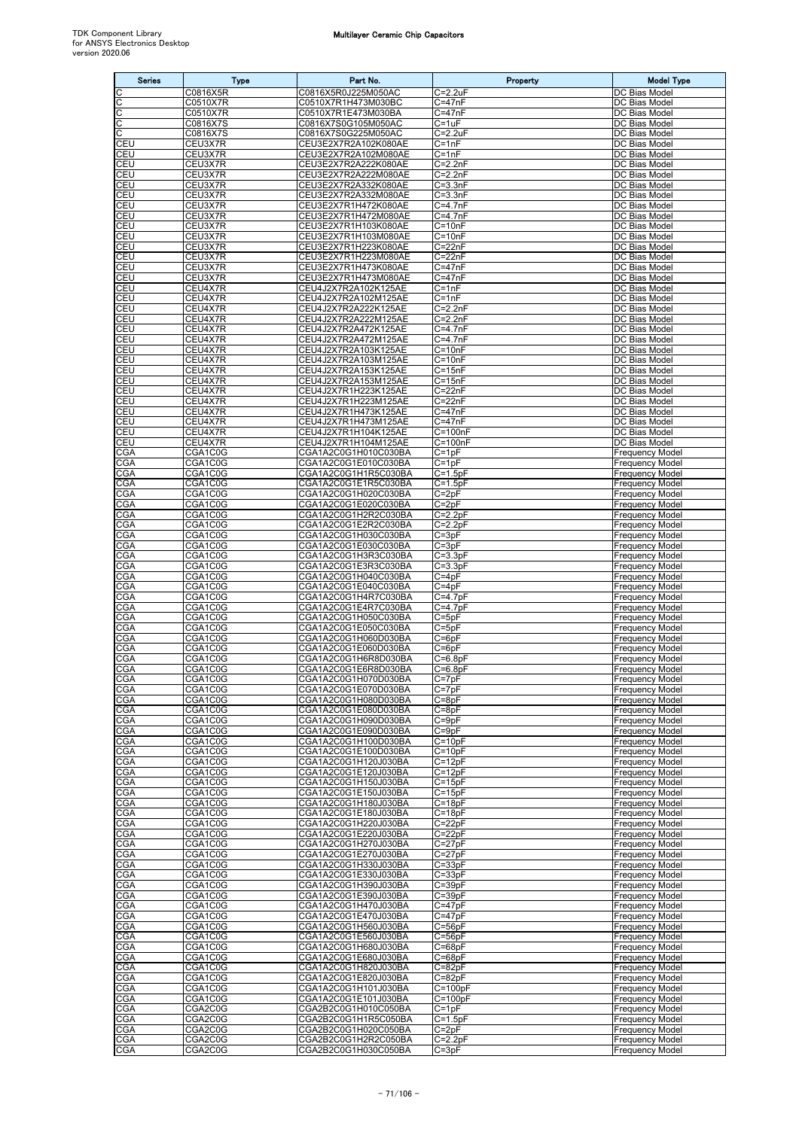| <b>Series</b>            | <b>Type</b>          | Part No.                                     | Property                           | <b>Model Type</b>                                |
|--------------------------|----------------------|----------------------------------------------|------------------------------------|--------------------------------------------------|
| C                        | C0816X5R             | C0816X5R0J225M050AC                          | $C = 2.2uF$                        | DC Bias Model                                    |
| C                        | C0510X7R             | C0510X7R1H473M030BC<br>C0510X7R1E473M030BA   | C=47nF<br>$C = 47nF$               | DC Bias Model                                    |
| С<br>C                   | C0510X7R<br>C0816X7S | C0816X7S0G105M050AC                          | $C = 1uF$                          | DC Bias Model<br>DC Bias Model                   |
| C                        | C0816X7S             | C0816X7S0G225M050AC                          | C=2.2uF                            | DC Bias Model                                    |
| CEU<br>CEU               | CEU3X7R              | CEU3E2X7R2A102K080AE                         | $C = 1nF$<br>$C = 1nF$             | DC Bias Model<br>DC Bias Model                   |
| CEU                      | CEU3X7R<br>CEU3X7R   | CEU3E2X7R2A102M080AE<br>CEU3E2X7R2A222K080AE | $C=2.2nF$                          | DC Bias Model                                    |
| CEU                      | CEU3X7R              | CEU3E2X7R2A222M080AE                         | $C = 2.2nF$                        | DC Bias Model                                    |
| CEU<br>CEU               | CEU3X7R<br>CEU3X7R   | CEU3E2X7R2A332K080AE<br>CEU3E2X7R2A332M080AE | $C = 3.3nF$<br>$C = 3.3nF$         | DC Bias Model<br>DC Bias Model                   |
| CEU                      | CEU3X7R              | CEU3E2X7R1H472K080AE                         | $C = 4.7nF$                        | DC Bias Model                                    |
| <b>CEU</b>               | CEU3X7R              | CEU3E2X7R1H472M080AE                         | $C = 4.7nF$                        | DC Bias Model                                    |
| CEU<br>CEU               | CEU3X7R<br>CEU3X7R   | CEU3E2X7R1H103K080AE<br>CEU3E2X7R1H103M080AE | $C = 10nF$<br>$C = 10nF$           | DC Bias Model<br>DC Bias Model                   |
| CEU                      | CEU3X7R              | CEU3E2X7R1H223K080AE                         | C=22nF                             | DC Bias Model                                    |
| CEU                      | CEU3X7R              | CEU3E2X7R1H223M080AE                         | $C = 22nF$                         | DC Bias Model                                    |
| CEU<br>CEU               | CEU3X7R<br>CEU3X7R   | CEU3E2X7R1H473K080AE<br>CEU3E2X7R1H473M080AE | $C = 47nF$<br>$C = 47nF$           | DC Bias Model<br>DC Bias Model                   |
| CEU                      | CEU4X7R              | CEU4J2X7R2A102K125AE                         | $C = 1nF$                          | DC Bias Model                                    |
| CEU                      | CEU4X7R              | CEU4J2X7R2A102M125AE                         | $C = 1nF$                          | DC Bias Model                                    |
| CEU<br><b>CEU</b>        | CEU4X7R<br>CEU4X7R   | CEU4J2X7R2A222K125AE<br>CEU4J2X7R2A222M125AE | $C=2.2nF$<br>$C = 2.2nF$           | DC Bias Model<br>DC Bias Model                   |
| CEU                      | CEU4X7R              | CEU4J2X7R2A472K125AE                         | $C = 4.7nF$                        | DC Bias Model                                    |
| CEU                      | CEU4X7R              | CEU4J2X7R2A472M125AE                         | $C = 4.7nF$                        | DC Bias Model                                    |
| CEU<br><b>CEU</b>        | CEU4X7R<br>CEU4X7R   | CEU4J2X7R2A103K125AE<br>CEU4J2X7R2A103M125AE | $C = 10nF$<br>$C = 10nF$           | DC Bias Model<br>DC Bias Model                   |
| CEU                      | CEU4X7R              | CEU4J2X7R2A153K125AE                         | $C = 15nF$                         | DC Bias Model                                    |
| CEU                      | CEU4X7R              | CEU4J2X7R2A153M125AE                         | $\overline{C}$ =15nF               | DC Bias Model                                    |
| CEU<br>CEU               | CEU4X7R<br>CEU4X7R   | CEU4J2X7R1H223K125AE<br>CEU4J2X7R1H223M125AE | $C = 22nF$<br>$C = 22nF$           | DC Bias Model<br>DC Bias Model                   |
| CEU                      | CEU4X7R              | CEU4J2X7R1H473K125AE                         | $C = 47nF$                         | DC Bias Model                                    |
| CEU                      | CEU4X7R              | CEU4J2X7R1H473M125AE                         | $C = 47nF$                         | DC Bias Model                                    |
| CEU<br>CEU               | CEU4X7R<br>CEU4X7R   | CEU4J2X7R1H104K125AE<br>CEU4J2X7R1H104M125AE | C=100nF<br>$C = 100nF$             | DC Bias Model<br>DC Bias Model                   |
| CGA                      | CGA1C0G              | CGA1A2C0G1H010C030BA                         | $C = 1pF$                          | Frequency Model                                  |
| CGA                      | CGA1C0G              | CGA1A2C0G1E010C030BA                         | $C = 1pF$                          | <b>Frequency Model</b>                           |
| <b>CGA</b><br>CGA        | CGA1C0G<br>CGA1C0G   | CGA1A2C0G1H1R5C030BA<br>CGA1A2C0G1E1R5C030BA | $C = 1.5pF$<br>$C = 1.5pF$         | Frequency Model<br>Frequency Model               |
| CGA                      | CGA1C0G              | CGA1A2C0G1H020C030BA                         | $C = 2pF$                          | Frequency Model                                  |
| CGA                      | CGA1C0G              | CGA1A2C0G1E020C030BA                         | $C = 2pF$                          | Frequency Model                                  |
| <b>CGA</b><br><b>CGA</b> | CGA1C0G<br>CGA1C0G   | CGA1A2C0G1H2R2C030BA<br>CGA1A2C0G1E2R2C030BA | $C = 2.2pF$<br>$C=2.2pF$           | Frequency Model<br><b>Frequency Model</b>        |
| <b>CGA</b>               | CGA1C0G              | CGA1A2C0G1H030C030BA                         | $C = 3pF$                          | Frequency Model                                  |
| CGA                      | CGA1C0G              | CGA1A2C0G1E030C030BA                         | $C = 3pF$                          | Frequency Model                                  |
| CGA<br>CGA               | CGA1C0G<br>CGA1C0G   | CGA1A2C0G1H3R3C030BA<br>CGA1A2C0G1E3R3C030BA | $C = 3.3pF$<br>$C = 3.3pF$         | <b>Frequency Model</b><br><b>Frequency Model</b> |
| CGA                      | CGA1C0G              | CGA1A2C0G1H040C030BA                         | $C = 4pF$                          | Frequency Model                                  |
| <b>CGA</b>               | CGA1C0G              | CGA1A2C0G1E040C030BA                         | $C = 4pF$                          | <b>Frequency Model</b>                           |
| CGA<br><b>CGA</b>        | CGA1C0G<br>CGA1C0G   | CGA1A2C0G1H4R7C030BA<br>CGA1A2C0G1E4R7C030BA | $C=4.7pF$<br>$C=4.7pF$             | Frequency Model<br><b>Frequency Model</b>        |
| <b>CGA</b>               | CGA1C0G              | CGA1A2C0G1H050C030BA                         | $C = 5pF$                          | <b>Frequency Model</b>                           |
| CGA                      | CGA1C0G              | CGA1A2C0G1E050C030BA                         | $C = 5pF$                          | <b>Frequency Model</b>                           |
| CGA<br>CGA               | CGA1C0G<br>CGA1C0G   | CGA1A2C0G1H060D030BA<br>CGA1A2C0G1E060D030BA | $C = 6pF$<br>$C = 6pF$             | <b>Frequency Model</b><br>Frequency Model        |
| <b>CGA</b>               | CGA1C0G              | CGA1A2C0G1H6R8D030BA                         | $C = 6.8pF$                        | Frequency Model                                  |
| <b>CGA</b><br><b>CGA</b> | CGA1C0G<br>CGA1C0G   | CGA1A2C0G1E6R8D030BA                         | $C = 6.8pF$                        | <b>Frequency Model</b>                           |
| CGA                      | CGA1C0G              | CGA1A2C0G1H070D030BA<br>CGA1A2C0G1E070D030BA | $C = 7pF$<br>$C = 7pF$             | <b>Frequency Model</b><br>Frequency Model        |
| <b>CGA</b>               | CGA1C0G              | CGA1A2C0G1H080D030BA                         | $C = 8pF$                          | <b>Frequency Model</b>                           |
| CGA<br>CGA               | CGA1C0G<br>CGA1C0G   | CGA1A2C0G1E080D030BA<br>CGA1A2C0G1H090D030BA | $C = 8pF$<br>$C = 9pF$             | <b>Frequency Model</b><br><b>Frequency Model</b> |
| CGA                      | CGA1C0G              | CGA1A2C0G1E090D030BA                         | $C = 9pF$                          | <b>Frequency Model</b>                           |
| CGA                      | CGA1C0G              | CGA1A2C0G1H100D030BA                         | $C = 10pF$                         | <b>Frequency Model</b>                           |
| CGA<br>CGA               | CGA1C0G<br>CGA1C0G   | CGA1A2C0G1E100D030BA<br>CGA1A2C0G1H120J030BA | $C = 10pF$<br>$C=12pF$             | <b>Frequency Model</b>                           |
| <b>CGA</b>               | CGA1C0G              | CGA1A2C0G1E120J030BA                         | $C = 12pF$                         | Frequency Model<br><b>Frequency Model</b>        |
| CGA                      | CGA1C0G              | CGA1A2C0G1H150J030BA                         | $C = 15pF$                         | <b>Frequency Model</b>                           |
| CGA<br>CGA               | CGA1C0G<br>CGA1C0G   | CGA1A2C0G1E150J030BA<br>CGA1A2C0G1H180J030BA | $C = 15pF$<br>$C = 18pF$           | <b>Frequency Model</b><br><b>Frequency Model</b> |
| CGA                      | CGA1C0G              | CGA1A2C0G1E180J030BA                         | $C = 18pF$                         | <b>Frequency Model</b>                           |
| CGA                      | CGA1C0G              | CGA1A2C0G1H220J030BA                         | $C = 22pF$                         | <b>Frequency Model</b>                           |
| CGA<br>CGA               | CGA1C0G<br>CGA1C0G   | CGA1A2C0G1E220J030BA<br>CGA1A2C0G1H270J030BA | C=22pF<br>$C = 27pF$               | <b>Frequency Model</b><br><b>Frequency Model</b> |
| CGA                      | CGA1C0G              | CGA1A2C0G1E270J030BA                         | $C = 27pF$                         | <b>Frequency Model</b>                           |
| CGA                      | CGA1C0G              | CGA1A2C0G1H330J030BA                         | $C = 33pF$                         | <b>Frequency Model</b>                           |
| <b>CGA</b><br>CGA        | CGA1C0G<br>CGA1C0G   | CGA1A2C0G1E330J030BA<br>CGA1A2C0G1H390J030BA | $C = 33pF$<br>$C = 39pF$           | Frequency Model<br><b>Frequency Model</b>        |
| CGA                      | CGA1C0G              | CGA1A2C0G1E390J030BA                         | $C = 39pF$                         | <b>Frequency Model</b>                           |
| CGA                      | CGA1C0G              | CGA1A2C0G1H470J030BA                         | $C = 47pF$                         | Frequency Model                                  |
| CGA<br>CGA               | CGA1C0G<br>CGA1C0G   | CGA1A2C0G1E470J030BA<br>CGA1A2C0G1H560J030BA | $C = 47pF$<br>$\overline{C}$ =56pF | <b>Frequency Model</b><br><b>Frequency Model</b> |
| CGA                      | CGA1C0G              | CGA1A2C0G1E560J030BA                         | $C = 56pF$                         | <b>Frequency Model</b>                           |
| <b>CGA</b>               | CGA1C0G              | CGA1A2C0G1H680J030BA                         | $C = 68pF$                         | <b>Frequency Model</b>                           |
| CGA<br>CGA               | CGA1C0G<br>CGA1C0G   | CGA1A2C0G1E680J030BA<br>CGA1A2C0G1H820J030BA | $C = 68pF$<br>$C = 82pF$           | <b>Frequency Model</b><br><b>Frequency Model</b> |
| CGA                      | CGA1C0G              | CGA1A2C0G1E820J030BA                         | $C = 82pF$                         | <b>Frequency Model</b>                           |
| <b>CGA</b>               | CGA1C0G              | CGA1A2C0G1H101J030BA                         | $C = 100pF$                        | <b>Frequency Model</b>                           |
| CGA<br>CGA               | CGA1C0G<br>CGA2C0G   | CGA1A2C0G1E101J030BA<br>CGA2B2C0G1H010C050BA | $C = 100pF$<br>$C = 1pF$           | <b>Frequency Model</b><br><b>Frequency Model</b> |
| CGA                      | CGA2C0G              | CGA2B2C0G1H1R5C050BA                         | $C=1.5pF$                          | Frequency Model                                  |
| <b>CGA</b><br><b>CGA</b> | CGA2C0G<br>CGA2C0G   | CGA2B2C0G1H020C050BA<br>CGA2B2C0G1H2R2C050BA | $C = 2pF$<br>$C=2.2pF$             | <b>Frequency Model</b><br><b>Frequency Model</b> |
| <b>CGA</b>               | CGA2C0G              | CGA2B2C0G1H030C050BA                         | $C = 3pF$                          | <b>Frequency Model</b>                           |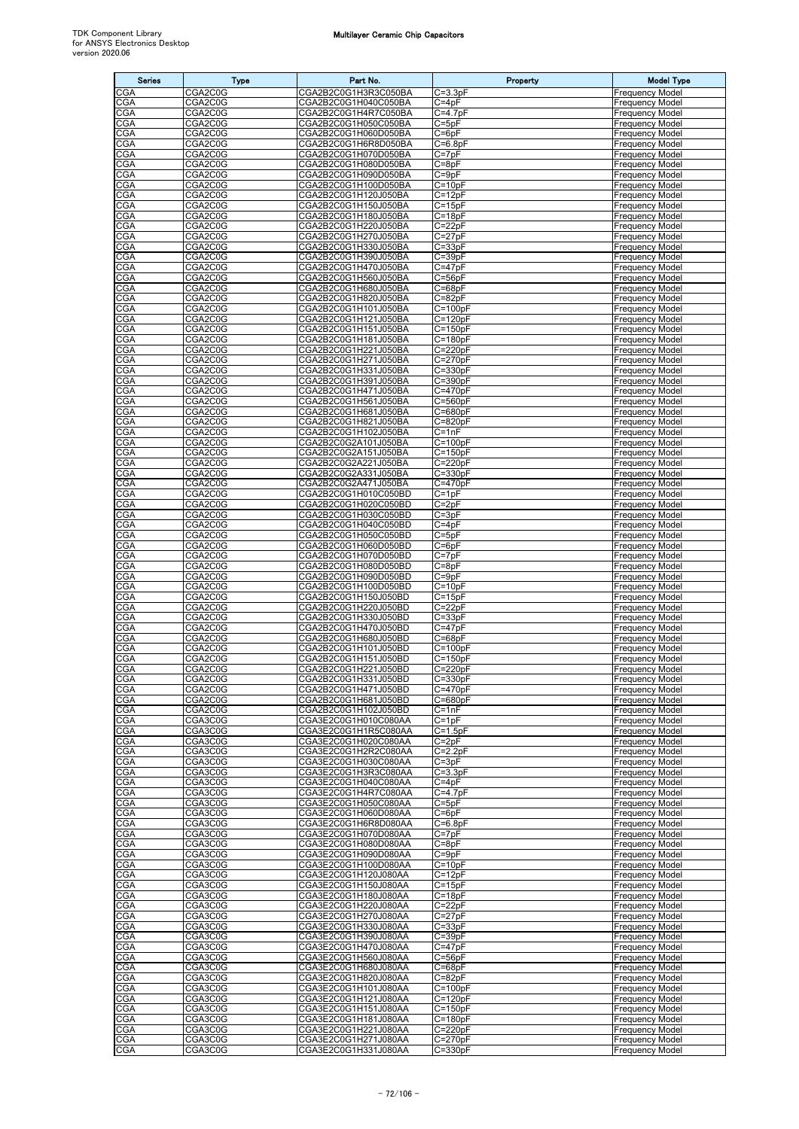| <b>Series</b>            | <b>Type</b>                      | Part No.                                     | Property                   | <b>Model Type</b>                                |
|--------------------------|----------------------------------|----------------------------------------------|----------------------------|--------------------------------------------------|
| CGA                      | CGA <sub>2</sub> C <sub>0G</sub> | CGA2B2C0G1H3R3C050BA                         | $C = 3.3pF$                | <b>Frequency Model</b>                           |
| CGA                      | CGA2C0G                          | CGA2B2C0G1H040C050BA                         | $C = 4pF$                  | <b>Frequency Model</b>                           |
| CGA<br>CGA               | CGA2C0G<br>CGA2C0G               | CGA2B2C0G1H4R7C050BA<br>CGA2B2C0G1H050C050BA | $C=4.7pF$<br>$C = 5pF$     | <b>Frequency Model</b><br><b>Frequency Model</b> |
| CGA                      | CGA2C0G                          | CGA2B2C0G1H060D050BA                         | $C = 6pF$                  | <b>Frequency Model</b>                           |
| <b>CGA</b>               | CGA2C0G                          | CGA2B2C0G1H6R8D050BA                         | $C=6.8pF$                  | <b>Frequency Model</b>                           |
| <b>CGA</b>               | CGA2C0G                          | CGA2B2C0G1H070D050BA                         | $C = 7pF$                  | <b>Frequency Model</b>                           |
| <b>CGA</b><br>CGA        | CGA2C0G<br>CGA2C0G               | CGA2B2C0G1H080D050BA<br>CGA2B2C0G1H090D050BA | $C = 8pF$<br>$C = 9pF$     | Frequency Model<br><b>Frequency Model</b>        |
| CGA                      | CGA2C0G                          | CGA2B2C0G1H100D050BA                         | $C = 10pF$                 | <b>Frequency Model</b>                           |
| CGA                      | CGA2C0G                          | CGA2B2C0G1H120J050BA                         | $C = 12pF$                 | <b>Frequency Model</b>                           |
| CGA                      | CGA2C0G                          | CGA2B2C0G1H150J050BA                         | $C=15pF$                   | <b>Frequency Model</b>                           |
| <b>CGA</b><br>CGA        | CGA2C0G<br>CGA2C0G               | CGA2B2C0G1H180J050BA<br>CGA2B2C0G1H220J050BA | $C = 18pF$<br>$C = 22pF$   | <b>Frequency Model</b><br><b>Frequency Model</b> |
| CGA                      | CGA2C0G                          | CGA2B2C0G1H270J050BA                         | $C = 27pF$                 | <b>Frequency Model</b>                           |
| <b>CGA</b>               | CGA2C0G                          | CGA2B2C0G1H330J050BA                         | $C = 33pF$                 | <b>Frequency Model</b>                           |
| <b>CGA</b><br>CGA        | CGA2C0G                          | CGA2B2C0G1H390J050BA                         | $C = 39pF$                 | <b>Frequency Model</b><br><b>Frequency Model</b> |
| CGA                      | CGA2C0G<br>CGA2C0G               | CGA2B2C0G1H470J050BA<br>CGA2B2C0G1H560J050BA | $C = 47pF$<br>$C = 56pF$   | <b>Frequency Model</b>                           |
| <b>CGA</b>               | CGA2C0G                          | CGA2B2C0G1H680J050BA                         | $C = 68pF$                 | <b>Frequency Model</b>                           |
| CGA                      | CGA2C0G                          | CGA2B2C0G1H820J050BA                         | $C = 82pF$                 | <b>Frequency Model</b>                           |
| CGA<br>CGA               | CGA2C0G<br>CGA2C0G               | CGA2B2C0G1H101J050BA<br>CGA2B2C0G1H121J050BA | $C = 100pF$<br>$C = 120pF$ | <b>Frequency Model</b><br><b>Frequency Model</b> |
| <b>CGA</b>               | CGA2C0G                          | CGA2B2C0G1H151J050BA                         | $C = 150pF$                | <b>Frequency Model</b>                           |
| CGA                      | CGA2C0G                          | CGA2B2C0G1H181J050BA                         | $C = 180pF$                | <b>Frequency Model</b>                           |
| <b>CGA</b>               | CGA2C0G                          | CGA2B2C0G1H221J050BA                         | $C = 220pF$                | <b>Frequency Model</b>                           |
| CGA<br>CGA               | CGA2C0G<br>CGA2C0G               | CGA2B2C0G1H271J050BA<br>CGA2B2C0G1H331J050BA | $C = 270pF$<br>$C = 330pF$ | <b>Frequency Model</b><br><b>Frequency Model</b> |
| CGA                      | CGA2C0G                          | CGA2B2C0G1H391J050BA                         | $C = 390pF$                | <b>Frequency Model</b>                           |
| CGA                      | CGA2C0G                          | CGA2B2C0G1H471J050BA                         | $C = 470pF$                | Frequency Model                                  |
| <b>CGA</b>               | CGA2C0G                          | CGA2B2C0G1H561J050BA                         | $C = 560pF$<br>$C = 680pF$ | <b>Frequency Model</b>                           |
| <b>CGA</b><br><b>CGA</b> | CGA2C0G<br>CGA2C0G               | CGA2B2C0G1H681J050BA<br>CGA2B2C0G1H821J050BA | $C = 820pF$                | <b>Frequency Model</b><br>Frequency Model        |
| CGA                      | CGA2C0G                          | CGA2B2C0G1H102J050BA                         | $C = 1nF$                  | <b>Frequency Model</b>                           |
| CGA                      | CGA2C0G                          | CGA2B2C0G2A101J050BA                         | $C = 100pF$                | <b>Frequency Model</b>                           |
| CGA<br>CGA               | CGA2C0G<br>CGA2C0G               | CGA2B2C0G2A151J050BA<br>CGA2B2C0G2A221J050BA | $C = 150pF$<br>$C = 220pF$ | <b>Frequency Model</b><br><b>Frequency Model</b> |
| <b>CGA</b>               | CGA2C0G                          | CGA2B2C0G2A331J050BA                         | $C = 330pF$                | <b>Frequency Model</b>                           |
| CGA                      | CGA2C0G                          | CGA2B2C0G2A471J050BA                         | $C = 470pF$                | <b>Frequency Model</b>                           |
| CGA                      | CGA2C0G                          | CGA2B2C0G1H010C050BD                         | $C = 1pF$                  | <b>Frequency Model</b>                           |
| <b>CGA</b><br><b>CGA</b> | CGA2C0G<br>CGA2C0G               | CGA2B2C0G1H020C050BD<br>CGA2B2C0G1H030C050BD | $C = 2pF$<br>$C = 3pF$     | <b>Frequency Model</b><br><b>Frequency Model</b> |
| CGA                      | CGA2C0G                          | CGA2B2C0G1H040C050BD                         | $C = 4pF$                  | <b>Frequency Model</b>                           |
| CGA                      | CGA2C0G                          | CGA2B2C0G1H050C050BD                         | $C = 5pF$                  | <b>Frequency Model</b>                           |
| CGA                      | CGA2C0G                          | CGA2B2C0G1H060D050BD                         | $C = 6pF$                  | <b>Frequency Model</b>                           |
| CGA<br>CGA               | CGA2C0G<br>CGA2C0G               | CGA2B2C0G1H070D050BD<br>CGA2B2C0G1H080D050BD | $C = 7pF$<br>$C = 8pF$     | <b>Frequency Model</b><br><b>Frequency Model</b> |
| CGA                      | CGA2C0G                          | CGA2B2C0G1H090D050BD                         | $C = 9pF$                  | <b>Frequency Model</b>                           |
| <b>CGA</b>               | CGA2C0G                          | CGA2B2C0G1H100D050BD                         | $C = 10pF$                 | <b>Frequency Model</b>                           |
| CGA                      | CGA2C0G                          | CGA2B2C0G1H150J050BD                         | $C = 15pF$                 | <b>Frequency Model</b>                           |
| CGA<br>CGA               | CGA2C0G<br>CGA2C0G               | CGA2B2C0G1H220J050BD<br>CGA2B2C0G1H330J050BD | $C=22pF$<br>$C = 33pF$     | <b>Frequency Model</b><br><b>Frequency Model</b> |
| CGA                      | CGA2C0G                          | CGA2B2C0G1H470J050BD                         | $C = 47pF$                 | <b>Frequency Model</b>                           |
| CGA                      | CGA2C0G                          | CGA2B2C0G1H680J050BD                         | $C = 68pF$                 | <b>Frequency Model</b>                           |
| CGA<br><b>CGA</b>        | CGA2C0G<br>CGA2C0G               | CGA2B2C0G1H101J050BD<br>CGA2B2C0G1H151J050BD | $C = 100pF$<br>$C = 150pF$ | <b>Frequency Model</b><br><b>Frequency Model</b> |
| <b>CGA</b>               | CGA2C0G                          | CGA2B2C0G1H221J050BD                         | $C = 220pF$                | <b>Frequency Model</b>                           |
| <b>CGA</b>               | CGA2C0G                          | CGA2B2C0G1H331J050BD                         | $C = 330pF$                | <b>Frequency Model</b>                           |
| <b>CGA</b>               | CGA2C0G<br>CGA2C0G               | CGA2B2C0G1H471J050BD<br>CGA2B2C0G1H681J050BD | $C = 470pF$<br>$C = 680pF$ | <b>Frequency Model</b>                           |
| <b>CGA</b><br>CGA        | CGA2C0G                          | CGA2B2C0G1H102J050BD                         | $C = 1nF$                  | <b>Frequency Model</b><br><b>Frequency Model</b> |
| CGA                      | CGA3C0G                          | CGA3E2C0G1H010C080AA                         | $C = 1pF$                  | <b>Frequency Model</b>                           |
| <b>CGA</b>               | CGA3C0G                          | CGA3E2C0G1H1R5C080AA                         | $C = 1.5pF$                | <b>Frequency Model</b>                           |
| CGA<br>CGA               | CGA3C0G<br>CGA3C0G               | CGA3E2C0G1H020C080AA<br>CGA3E2C0G1H2R2C080AA | $C = 2pF$<br>$C=2.2pF$     | <b>Frequency Model</b><br><b>Frequency Model</b> |
| <b>CGA</b>               | CGA3C0G                          | CGA3E2C0G1H030C080AA                         | $C = 3pF$                  | <b>Frequency Model</b>                           |
| <b>CGA</b>               | CGA3C0G                          | CGA3E2C0G1H3R3C080AA                         | $C = 3.3pF$                | <b>Frequency Model</b>                           |
| <b>CGA</b>               | CGA3C0G                          | CGA3E2C0G1H040C080AA                         | $C = 4pF$                  | <b>Frequency Model</b>                           |
| CGA<br><b>CGA</b>        | CGA3C0G<br>CGA3C0G               | CGA3E2C0G1H4R7C080AA<br>CGA3E2C0G1H050C080AA | $C = 4.7pF$<br>$C = 5pF$   | <b>Frequency Model</b><br><b>Frequency Model</b> |
| CGA                      | CGA3C0G                          | CGA3E2C0G1H060D080AA                         | $C = 6pF$                  | <b>Frequency Model</b>                           |
| CGA                      | CGA3C0G                          | CGA3E2C0G1H6R8D080AA                         | $C=6.8pF$                  | <b>Frequency Model</b>                           |
| CGA                      | CGA3C0G                          | CGA3E2C0G1H070D080AA<br>CGA3E2C0G1H080D080AA | $C = 7pF$                  | <b>Frequency Model</b><br><b>Frequency Model</b> |
| <b>CGA</b><br>CGA        | CGA3C0G<br>CGA3C0G               | CGA3E2C0G1H090D080AA                         | $C = 8pF$<br>$C = 9pF$     | <b>Frequency Model</b>                           |
| CGA                      | CGA3C0G                          | CGA3E2C0G1H100D080AA                         | $C = 10pF$                 | <b>Frequency Model</b>                           |
| <b>CGA</b>               | CGA3C0G                          | CGA3E2C0G1H120J080AA                         | $C = 12pF$                 | <b>Frequency Model</b>                           |
| <b>CGA</b><br>CGA        | CGA3C0G<br>CGA3C0G               | CGA3E2C0G1H150J080AA<br>CGA3E2C0G1H180J080AA | $C = 15pF$<br>$C = 18pF$   | <b>Frequency Model</b><br><b>Frequency Model</b> |
| <b>CGA</b>               | CGA3C0G                          | CGA3E2C0G1H220J080AA                         | $C = 22pF$                 | <b>Frequency Model</b>                           |
| <b>CGA</b>               | CGA3C0G                          | CGA3E2C0G1H270J080AA                         | $C = 27pF$                 | <b>Frequency Model</b>                           |
| <b>CGA</b>               | CGA3C0G                          | CGA3E2C0G1H330J080AA                         | $C = 33pF$                 | <b>Frequency Model</b>                           |
| CGA<br>CGA               | CGA3C0G<br>CGA3C0G               | CGA3E2C0G1H390J080AA<br>CGA3E2C0G1H470J080AA | $C = 39pF$<br>$C = 47pF$   | <b>Frequency Model</b><br><b>Frequency Model</b> |
| <b>CGA</b>               | CGA3C0G                          | CGA3E2C0G1H560J080AA                         | $C = 56pF$                 | <b>Frequency Model</b>                           |
| <b>CGA</b>               | CGA3C0G                          | CGA3E2C0G1H680J080AA                         | $C = 68pF$                 | <b>Frequency Model</b>                           |
| <b>CGA</b>               | CGA3C0G                          | CGA3E2C0G1H820J080AA                         | $C = 82pF$                 | <b>Frequency Model</b>                           |
| <b>CGA</b><br><b>CGA</b> | CGA3C0G<br>CGA3C0G               | CGA3E2C0G1H101J080AA<br>CGA3E2C0G1H121J080AA | $C = 100pF$<br>$C = 120pF$ | <b>Frequency Model</b><br><b>Frequency Model</b> |
| CGA                      | CGA3C0G                          | CGA3E2C0G1H151J080AA                         | $C = 150pF$                | <b>Frequency Model</b>                           |
| <b>CGA</b>               | CGA3C0G                          | CGA3E2C0G1H181J080AA                         | $C = 180pF$                | <b>Frequency Model</b>                           |
| <b>CGA</b><br>CGA        | CGA3C0G<br>CGA3C0G               | CGA3E2C0G1H221J080AA<br>CGA3E2C0G1H271J080AA | $C = 220pF$<br>$C = 270pF$ | <b>Frequency Model</b><br><b>Frequency Model</b> |
| <b>CGA</b>               | CGA3C0G                          | CGA3E2C0G1H331J080AA                         | $C = 330pF$                | <b>Frequency Model</b>                           |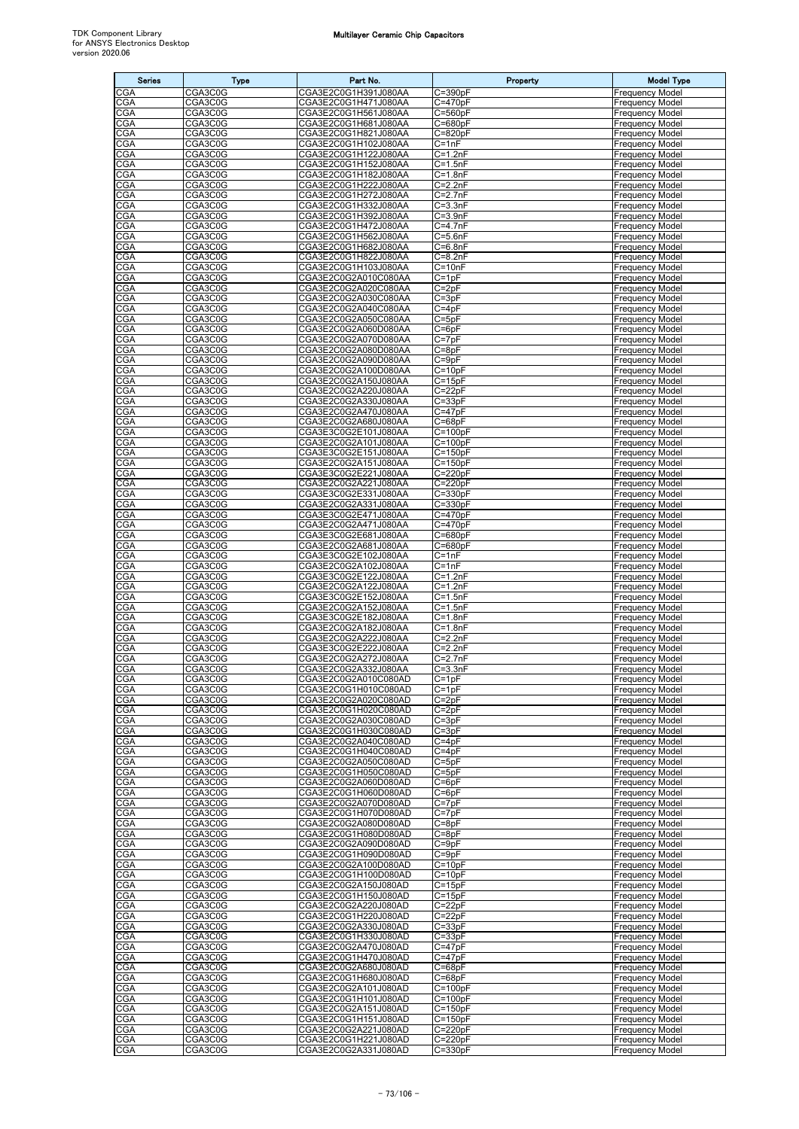| <b>Series</b>            | Type               | Part No.                                     | Property                   | <b>Model Type</b>                                |
|--------------------------|--------------------|----------------------------------------------|----------------------------|--------------------------------------------------|
| CGA                      | CGA3C0G            | CGA3E2C0G1H391J080AA                         | $C = 390pF$                | <b>Frequency Model</b>                           |
| CGA                      | CGA3C0G            | CGA3E2C0G1H471J080AA                         | $C = 470pF$                | <b>Frequency Model</b>                           |
| CGA                      | CGA3C0G            | CGA3E2C0G1H561J080AA                         | $C = 560pF$                | <b>Frequency Model</b>                           |
| CGA<br><b>CGA</b>        | CGA3C0G<br>CGA3C0G | CGA3E2C0G1H681J080AA<br>CGA3E2C0G1H821J080AA | $C = 680pF$<br>$C = 820pF$ | <b>Frequency Model</b><br><b>Frequency Model</b> |
| <b>CGA</b>               | CGA3C0G            | CGA3E2C0G1H102J080AA                         | $C = 1nF$                  | <b>Frequency Model</b>                           |
| <b>CGA</b>               | CGA3C0G            | CGA3E2C0G1H122J080AA                         | $C = 1.2nF$                | <b>Frequency Model</b>                           |
| CGA                      | CGA3C0G            | CGA3E2C0G1H152J080AA                         | $C = 1.5nF$                | <b>Frequency Model</b>                           |
| CGA<br>CGA               | CGA3C0G<br>CGA3C0G | CGA3E2C0G1H182J080AA<br>CGA3E2C0G1H222J080AA | $C = 1.8nF$                | Frequency Model                                  |
| <b>CGA</b>               | CGA3C0G            | CGA3E2C0G1H272J080AA                         | $C = 2.2nF$<br>$C = 2.7nF$ | <b>Frequency Model</b><br>Frequency Model        |
| CGA                      | CGA3C0G            | CGA3E2C0G1H332J080AA                         | $C = 3.3nF$                | <b>Frequency Model</b>                           |
| <b>CGA</b>               | CGA3C0G            | CGA3E2C0G1H392J080AA                         | $C = 3.9nF$                | <b>Frequency Model</b>                           |
| <b>CGA</b>               | CGA3C0G            | CGA3E2C0G1H472J080AA                         | $C=4.7nF$                  | <b>Frequency Model</b>                           |
| <b>CGA</b><br>CGA        | CGA3C0G<br>CGA3C0G | CGA3E2C0G1H562J080AA<br>CGA3E2C0G1H682J080AA | $C = 5.6nF$<br>$C = 6.8nF$ | <b>Frequency Model</b><br><b>Frequency Model</b> |
| CGA                      | CGA3C0G            | CGA3E2C0G1H822J080AA                         | $C = 8.2nF$                | <b>Frequency Model</b>                           |
| <b>CGA</b>               | CGA3C0G            | CGA3E2C0G1H103J080AA                         | $C = 10nF$                 | <b>Frequency Model</b>                           |
| CGA                      | CGA3C0G            | CGA3E2C0G2A010C080AA                         | $C = 1pF$                  | Frequency Model                                  |
| CGA                      | CGA3C0G            | CGA3E2C0G2A020C080AA                         | $C = 2pF$                  | <b>Frequency Model</b>                           |
| <b>CGA</b><br>CGA        | CGA3C0G<br>CGA3C0G | CGA3E2C0G2A030C080AA<br>CGA3E2C0G2A040C080AA | $C = 3pF$<br>$C = 4pF$     | <b>Frequency Model</b><br><b>Frequency Model</b> |
| CGA                      | CGA3C0G            | CGA3E2C0G2A050C080AA                         | $C = 5pF$                  | <b>Frequency Model</b>                           |
| <b>CGA</b>               | CGA3C0G            | CGA3E2C0G2A060D080AA                         | $C = 6pF$                  | <b>Frequency Model</b>                           |
| CGA                      | CGA3C0G            | CGA3E2C0G2A070D080AA                         | $C = 7pF$                  | <b>Frequency Model</b>                           |
| CGA<br>CGA               | CGA3C0G<br>CGA3C0G | CGA3E2C0G2A080D080AA<br>CGA3E2C0G2A090D080AA | $C = 8pF$                  | <b>Frequency Model</b><br><b>Frequency Model</b> |
| <b>CGA</b>               | CGA3C0G            | CGA3E2C0G2A100D080AA                         | $C = 9pF$<br>$C = 10pF$    | <b>Frequency Model</b>                           |
| CGA                      | CGA3C0G            | CGA3E2C0G2A150J080AA                         | $C = 15pF$                 | <b>Frequency Model</b>                           |
| <b>CGA</b>               | CGA3C0G            | CGA3E2C0G2A220J080AA                         | $C = 22pF$                 | <b>Frequency Model</b>                           |
| <b>CGA</b>               | CGA3C0G            | CGA3E2C0G2A330J080AA                         | $C = 33pF$                 | <b>Frequency Model</b>                           |
| <b>CGA</b><br>CGA        | CGA3C0G<br>CGA3C0G | CGA3E2C0G2A470J080AA<br>CGA3E2C0G2A680J080AA | $C = 47pF$<br>$C = 68pF$   | <b>Frequency Model</b><br><b>Frequency Model</b> |
| CGA                      | CGA3C0G            | CGA3E3C0G2E101J080AA                         | $C = 100pF$                | <b>Frequency Model</b>                           |
| CGA                      | CGA3C0G            | CGA3E2C0G2A101J080AA                         | $C = 100pF$                | <b>Frequency Model</b>                           |
| CGA                      | CGA3C0G            | CGA3E3C0G2E151J080AA                         | $C = 150pF$                | <b>Frequency Model</b>                           |
| <b>CGA</b><br><b>CGA</b> | CGA3C0G            | CGA3E2C0G2A151J080AA<br>CGA3E3C0G2E221J080AA | $C = 150pF$<br>$C = 220pF$ | <b>Frequency Model</b>                           |
| CGA                      | CGA3C0G<br>CGA3C0G | CGA3E2C0G2A221J080AA                         | $C = 220pF$                | Frequency Model<br><b>Frequency Model</b>        |
| CGA                      | CGA3C0G            | CGA3E3C0G2E331J080AA                         | $C = 330pF$                | <b>Frequency Model</b>                           |
| CGA                      | CGA3C0G            | CGA3E2C0G2A331J080AA                         | $C = 330pF$                | <b>Frequency Model</b>                           |
| CGA                      | CGA3C0G            | CGA3E3C0G2E471J080AA                         | $C = 470pF$                | <b>Frequency Model</b>                           |
| CGA<br>CGA               | CGA3C0G<br>CGA3C0G | CGA3E2C0G2A471J080AA<br>CGA3E3C0G2E681J080AA | $C = 470pF$<br>$C = 680pF$ | <b>Frequency Model</b><br>Frequency Model        |
| CGA                      | CGA3C0G            | CGA3E2C0G2A681J080AA                         | $C = 680pF$                | <b>Frequency Model</b>                           |
| CGA                      | CGA3C0G            | CGA3E3C0G2E102J080AA                         | $C = 1nF$                  | <b>Frequency Model</b>                           |
| CGA                      | CGA3C0G            | CGA3E2C0G2A102J080AA                         | $C = 1nF$                  | <b>Frequency Model</b>                           |
| CGA<br>CGA               | CGA3C0G<br>CGA3C0G | CGA3E3C0G2E122J080AA<br>CGA3E2C0G2A122J080AA | $C = 1.2nF$<br>$C = 1.2nF$ | <b>Frequency Model</b><br><b>Frequency Model</b> |
| CGA                      | CGA3C0G            | CGA3E3C0G2E152J080AA                         | $C = 1.5nF$                | <b>Frequency Model</b>                           |
| CGA                      | CGA3C0G            | CGA3E2C0G2A152J080AA                         | $C = 1.5nF$                | <b>Frequency Model</b>                           |
| CGA                      | CGA3C0G            | CGA3E3C0G2E182J080AA                         | $C = 1.8nF$                | Frequency Model                                  |
| CGA                      | CGA3C0G            | CGA3E2C0G2A182J080AA                         | $C = 1.8nF$                | <b>Frequency Model</b>                           |
| CGA<br><b>CGA</b>        | CGA3C0G<br>CGA3C0G | CGA3E2C0G2A222J080AA<br>CGA3E3C0G2E222J080AA | $C = 2.2nF$<br>$C = 2.2nF$ | <b>Frequency Model</b><br><b>Frequency Model</b> |
| <b>CGA</b>               | CGA3C0G            | CGA3E2C0G2A272J080AA                         | $C = 2.7nF$                | <b>Frequency Model</b>                           |
| <b>CGA</b>               | CGA3C0G            | CGA3E2C0G2A332J080AA                         | $C = 3.3nF$                | <b>Frequency Model</b>                           |
| <b>CGA</b>               | CGA3C0G            | CGA3E2C0G2A010C080AD                         | $C = 1pF$                  | <b>Frequency Model</b>                           |
| CGA<br>CGA               | CGA3C0G<br>CGA3C0G | CGA3E2C0G1H010C080AD<br>CGA3E2C0G2A020C080AD | $C = 1pF$<br>$C = 2pF$     | <b>Frequency Model</b><br>Frequency Model        |
| CGA                      | CGA3C0G            | CGA3E2C0G1H020C080AD                         | $C = 2pF$                  | <b>Frequency Model</b>                           |
| CGA                      | CGA3C0G            | CGA3E2C0G2A030C080AD                         | $C = 3pF$                  | <b>Frequency Model</b>                           |
| <b>CGA</b>               | CGA3C0G            | CGA3E2C0G1H030C080AD                         | $C = 3pF$                  | <b>Frequency Model</b>                           |
| CGA                      | CGA3C0G            | CGA3E2C0G2A040C080AD                         | $C = 4pF$                  | <b>Frequency Model</b>                           |
| CGA<br>CGA               | CGA3C0G<br>CGA3C0G | CGA3E2C0G1H040C080AD<br>CGA3E2C0G2A050C080AD | $C = 4pF$<br>$C = 5pF$     | <b>Frequency Model</b><br><b>Frequency Model</b> |
| CGA                      | CGA3C0G            | CGA3E2C0G1H050C080AD                         | $C = 5pF$                  | <b>Frequency Model</b>                           |
| CGA                      | CGA3C0G            | CGA3E2C0G2A060D080AD                         | $C = 6pF$                  | <b>Frequency Model</b>                           |
| CGA                      | CGA3C0G<br>CGA3C0G | CGA3E2C0G1H060D080AD<br>CGA3E2C0G2A070D080AD | $C = 6pF$                  | <b>Frequency Model</b>                           |
| <b>CGA</b><br>CGA        | CGA3C0G            | CGA3E2C0G1H070D080AD                         | $C = 7pF$<br>$C = 7pF$     | <b>Frequency Model</b><br><b>Frequency Model</b> |
| CGA                      | CGA3C0G            | CGA3E2C0G2A080D080AD                         | $C = 8pF$                  | <b>Frequency Model</b>                           |
| CGA                      | CGA3C0G            | CGA3E2C0G1H080D080AD                         | $C = 8pF$                  | <b>Frequency Model</b>                           |
| CGA                      | CGA3C0G            | CGA3E2C0G2A090D080AD                         | $C = 9pF$                  | <b>Frequency Model</b>                           |
| CGA<br>CGA               | CGA3C0G<br>CGA3C0G | CGA3E2C0G1H090D080AD<br>CGA3E2C0G2A100D080AD | $C = 9pF$<br>$C = 10pF$    | <b>Frequency Model</b><br><b>Frequency Model</b> |
| CGA                      | CGA3C0G            | CGA3E2C0G1H100D080AD                         | $C = 10pF$                 | <b>Frequency Model</b>                           |
| CGA                      | CGA3C0G            | CGA3E2C0G2A150J080AD                         | $C = 15pF$                 | <b>Frequency Model</b>                           |
| CGA                      | CGA3C0G            | CGA3E2C0G1H150J080AD                         | $C = 15pF$                 | <b>Frequency Model</b>                           |
| CGA                      | CGA3C0G            | CGA3E2C0G2A220J080AD                         | $C = 22pF$                 | <b>Frequency Model</b>                           |
| <b>CGA</b><br>CGA        | CGA3C0G<br>CGA3C0G | CGA3E2C0G1H220J080AD<br>CGA3E2C0G2A330J080AD | $C = 22pF$<br>$C = 33pF$   | <b>Frequency Model</b><br><b>Frequency Model</b> |
| CGA                      | CGA3C0G            | CGA3E2C0G1H330J080AD                         | $C = 33pF$                 | <b>Frequency Model</b>                           |
| CGA                      | CGA3C0G            | CGA3E2C0G2A470J080AD                         | $C = 47pF$                 | <b>Frequency Model</b>                           |
| CGA                      | CGA3C0G            | CGA3E2C0G1H470J080AD                         | $C = 47pF$                 | <b>Frequency Model</b>                           |
| CGA                      | CGA3C0G            | CGA3E2C0G2A680J080AD                         | $C = 68pF$                 | <b>Frequency Model</b>                           |
| <b>CGA</b><br><b>CGA</b> | CGA3C0G<br>CGA3C0G | CGA3E2C0G1H680J080AD<br>CGA3E2C0G2A101J080AD | $C = 68pF$<br>$C = 100pF$  | <b>Frequency Model</b><br><b>Frequency Model</b> |
| <b>CGA</b>               | CGA3C0G            | CGA3E2C0G1H101J080AD                         | $C = 100pF$                | <b>Frequency Model</b>                           |
| CGA                      | CGA3C0G            | CGA3E2C0G2A151J080AD                         | $C = 150pF$                | <b>Frequency Model</b>                           |
| CGA                      | CGA3C0G            | CGA3E2C0G1H151J080AD                         | $C = 150pF$                | <b>Frequency Model</b>                           |
| CGA<br>CGA               | CGA3C0G<br>CGA3C0G | CGA3E2C0G2A221J080AD<br>CGA3E2C0G1H221J080AD | $C = 220pF$<br>$C = 220pF$ | <b>Frequency Model</b><br><b>Frequency Model</b> |
| CGA                      | CGA3C0G            | CGA3E2C0G2A331J080AD                         | $C = 330pF$                | Frequency Model                                  |
|                          |                    |                                              |                            |                                                  |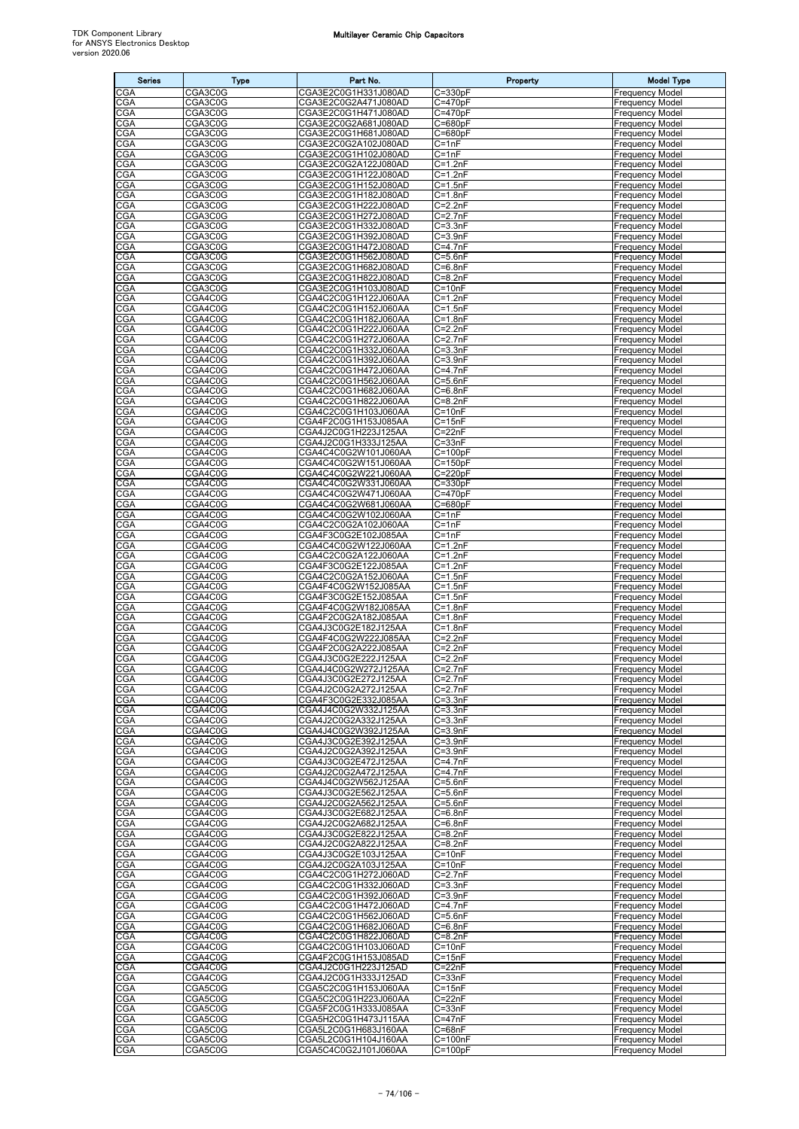| <b>Series</b>     | <b>Type</b>        | Part No.                                     | Property                   | <b>Model Type</b>                                |
|-------------------|--------------------|----------------------------------------------|----------------------------|--------------------------------------------------|
| CGA               | CGA3C0G            | CGA3E2C0G1H331J080AD                         | C=330pF                    | <b>Frequency Model</b>                           |
| CGA               | CGA3C0G            | CGA3E2C0G2A471J080AD                         | C=470pF                    | <b>Frequency Model</b>                           |
| CGA<br>CGA        | CGA3C0G<br>CGA3C0G | CGA3E2C0G1H471J080AD<br>CGA3E2C0G2A681J080AD | C=470pF<br>$C = 680pF$     | <b>Frequency Model</b><br><b>Frequency Model</b> |
| CGA               | CGA3C0G            | CGA3E2C0G1H681J080AD                         | $C = 680pF$                | <b>Frequency Model</b>                           |
| <b>CGA</b>        | CGA3C0G            | CGA3E2C0G2A102J080AD                         | $C = 1nF$                  | <b>Frequency Model</b>                           |
| CGA               | CGA3C0G            | CGA3E2C0G1H102J080AD                         | $C = 1nF$                  | <b>Frequency Model</b>                           |
| CGA<br>CGA        | CGA3C0G<br>CGA3C0G | CGA3E2C0G2A122J080AD<br>CGA3E2C0G1H122J080AD | $C = 1.2nF$<br>$C = 1.2nF$ | <b>Frequency Model</b><br><b>Frequency Model</b> |
| CGA               | CGA3C0G            | CGA3E2C0G1H152J080AD                         | $C = 1.5nF$                | <b>Frequency Model</b>                           |
| CGA               | CGA3C0G            | CGA3E2C0G1H182J080AD                         | $C = 1.8nF$                | <b>Frequency Model</b>                           |
| <b>CGA</b>        | CGA3C0G            | CGA3E2C0G1H222J080AD                         | $C = 2.2nF$                | <b>Frequency Model</b>                           |
| <b>CGA</b><br>CGA | CGA3C0G<br>CGA3C0G | CGA3E2C0G1H272J080AD<br>CGA3E2C0G1H332J080AD | $C = 2.7nF$<br>$C = 3.3nF$ | <b>Frequency Model</b><br><b>Frequency Model</b> |
| CGA               | CGA3C0G            | CGA3E2C0G1H392J080AD                         | $C = 3.9nF$                | <b>Frequency Model</b>                           |
| CGA               | CGA3C0G            | CGA3E2C0G1H472J080AD                         | C=4.7nF                    | <b>Frequency Model</b>                           |
| CGA<br>CGA        | CGA3C0G            | CGA3E2C0G1H562J080AD                         | $C = 5.6nF$                | <b>Frequency Model</b>                           |
| CGA               | CGA3C0G<br>CGA3C0G | CGA3E2C0G1H682J080AD<br>CGA3E2C0G1H822J080AD | $C=6.8nF$<br>C=8.2nF       | <b>Frequency Model</b><br><b>Frequency Model</b> |
| CGA               | CGA3C0G            | CGA3E2C0G1H103J080AD                         | $C = 10nF$                 | <b>Frequency Model</b>                           |
| CGA               | CGA4C0G            | CGA4C2C0G1H122J060AA                         | $C=1.2nF$                  | <b>Frequency Model</b>                           |
| CGA<br><b>CGA</b> | CGA4C0G<br>CGA4C0G | CGA4C2C0G1H152J060AA<br>CGA4C2C0G1H182J060AA | $C = 1.5nF$<br>$C = 1.8nF$ | <b>Frequency Model</b><br><b>Frequency Model</b> |
| <b>CGA</b>        | CGA4C0G            | CGA4C2C0G1H222J060AA                         | $C=2.2nF$                  | <b>Frequency Model</b>                           |
| CGA               | CGA4C0G            | CGA4C2C0G1H272J060AA                         | $C=2.7nF$                  | <b>Frequency Model</b>                           |
| CGA               | CGA4C0G            | CGA4C2C0G1H332J060AA                         | $C = 3.3nF$                | <b>Frequency Model</b>                           |
| CGA<br>CGA        | CGA4C0G<br>CGA4C0G | CGA4C2C0G1H392J060AA<br>CGA4C2C0G1H472J060AA | C=3.9nF<br>C=4.7nF         | <b>Frequency Model</b><br><b>Frequency Model</b> |
| CGA               | CGA4C0G            | CGA4C2C0G1H562J060AA                         | $C = 5.6nF$                | <b>Frequency Model</b>                           |
| CGA               | CGA4C0G            | CGA4C2C0G1H682J060AA                         | $C = 6.8nF$                | <b>Frequency Model</b>                           |
| <b>CGA</b>        | CGA4C0G            | CGA4C2C0G1H822J060AA                         | $C = 8.2nF$                | <b>Frequency Model</b>                           |
| CGA<br>CGA        | CGA4C0G<br>CGA4C0G | CGA4C2C0G1H103J060AA<br>CGA4F2C0G1H153J085AA | $C = 10nF$<br>$C = 15nF$   | <b>Frequency Model</b><br><b>Frequency Model</b> |
| CGA               | CGA4C0G            | CGA4J2C0G1H223J125AA                         | C=22nF                     | <b>Frequency Model</b>                           |
| CGA               | CGA4C0G            | CGA4J2C0G1H333J125AA                         | $C = 33nF$                 | <b>Frequency Model</b>                           |
| CGA               | CGA4C0G            | CGA4C4C0G2W101J060AA                         | C=100pF                    | <b>Frequency Model</b>                           |
| CGA<br><b>CGA</b> | CGA4C0G<br>CGA4C0G | CGA4C4C0G2W151J060AA<br>CGA4C4C0G2W221J060AA | C=150pF<br>$C = 220pF$     | <b>Frequency Model</b><br><b>Frequency Model</b> |
| CGA               | CGA4C0G            | CGA4C4C0G2W331J060AA                         | $C = 330pF$                | <b>Frequency Model</b>                           |
| CGA               | CGA4C0G            | CGA4C4C0G2W471J060AA                         | $C = 470pF$                | <b>Frequency Model</b>                           |
| CGA               | CGA4C0G            | CGA4C4C0G2W681J060AA                         | C=680pF                    | <b>Frequency Model</b>                           |
| CGA<br>CGA        | CGA4C0G<br>CGA4C0G | CGA4C4C0G2W102J060AA<br>CGA4C2C0G2A102J060AA | $C = 1nF$<br>$C = 1nF$     | <b>Frequency Model</b><br><b>Frequency Model</b> |
| CGA               | CGA4C0G            | CGA4F3C0G2E102J085AA                         | $C = 1nF$                  | Frequency Model                                  |
| CGA               | CGA4C0G            | CGA4C4C0G2W122J060AA                         | $C = 1.2nF$                | <b>Frequency Model</b>                           |
| CGA               | CGA4C0G<br>CGA4C0G | CGA4C2C0G2A122J060AA                         | $C = 1.2nF$                | <b>Frequency Model</b><br>Frequency Model        |
| CGA<br>CGA        | CGA4C0G            | CGA4F3C0G2E122J085AA<br>CGA4C2C0G2A152J060AA | $C=1.2nF$<br>$C = 1.5nF$   | <b>Frequency Model</b>                           |
| CGA               | CGA4C0G            | CGA4F4C0G2W152J085AA                         | $C = 1.5nF$                | <b>Frequency Model</b>                           |
| CGA               | CGA4C0G            | CGA4F3C0G2E152J085AA                         | $C = 1.5nF$                | <b>Frequency Model</b>                           |
| CGA<br>CGA        | CGA4C0G<br>CGA4C0G | CGA4F4C0G2W182J085AA<br>CGA4F2C0G2A182J085AA | $C = 1.8nF$<br>C=1.8nF     | <b>Frequency Model</b><br><b>Frequency Model</b> |
| CGA               | CGA4C0G            | CGA4J3C0G2E182J125AA                         | $C = 1.8nF$                | <b>Frequency Model</b>                           |
| CGA               | CGA4C0G            | CGA4F4C0G2W222J085AA                         | $C = 2.2nF$                | <b>Frequency Model</b>                           |
| <b>CGA</b>        | CGA4C0G            | CGA4F2C0G2A222J085AA<br>CGA4J3C0G2E222J125AA | $C = 2.2nF$                | <b>Frequency Model</b><br><b>Frequency Model</b> |
| CGA<br><b>CGA</b> | CGA4C0G<br>CGA4C0G | CGA4J4C0G2W272J125AA                         | $C = 2.2nF$<br>$C = 2.7nF$ | <b>Frequency Model</b>                           |
| <b>CGA</b>        | CGA4C0G            | CGA4J3C0G2E272J125AA                         | $C=2.7nF$                  | <b>Frequency Model</b>                           |
| CGA               | CGA4C0G            | CGA4J2C0G2A272J125AA                         | $C=2.7nF$                  | <b>Frequency Model</b>                           |
| CGA<br>CGA        | CGA4C0G<br>CGA4C0G | CGA4F3C0G2E332J085AA<br>CGA4J4C0G2W332J125AA | $C = 3.3nF$<br>C=3.3nF     | Frequency Model<br><b>Frequency Model</b>        |
| CGA               | CGA4C0G            | CGA4J2C0G2A332J125AA                         | $C = 3.3nF$                | <b>Frequency Model</b>                           |
| <b>CGA</b>        | CGA4C0G            | CGA4J4C0G2W392J125AA                         | $C = 3.9nF$                | <b>Frequency Model</b>                           |
| <b>CGA</b>        | CGA4C0G            | CGA4J3C0G2E392J125AA                         | $C = 3.9nF$                | <b>Frequency Model</b>                           |
| CGA<br>CGA        | CGA4C0G<br>CGA4C0G | CGA4J2C0G2A392J125AA<br>CGA4J3C0G2E472J125AA | $C = 3.9nF$<br>C=4.7nF     | <b>Frequency Model</b><br><b>Frequency Model</b> |
| CGA               | CGA4C0G            | CGA4J2C0G2A472J125AA                         | C=4.7nF                    | <b>Frequency Model</b>                           |
| CGA               | CGA4C0G            | CGA4J4C0G2W562J125AA                         | $C = 5.6nF$                | <b>Frequency Model</b>                           |
| CGA               | CGA4C0G            | CGA4J3C0G2E562J125AA                         | $C = 5.6nF$                | <b>Frequency Model</b>                           |
| <b>CGA</b><br>CGA | CGA4C0G<br>CGA4C0G | CGA4J2C0G2A562J125AA<br>CGA4J3C0G2E682J125AA | $C = 5.6nF$<br>$C=6.8nF$   | <b>Frequency Model</b><br><b>Frequency Model</b> |
| CGA               | CGA4C0G            | CGA4J2C0G2A682J125AA                         | $C=6.8nF$                  | <b>Frequency Model</b>                           |
| CGA               | CGA4C0G            | CGA4J3C0G2E822J125AA                         | $C = 8.2nF$                | <b>Frequency Model</b>                           |
| CGA<br>CGA        | CGA4C0G<br>CGA4C0G | CGA4J2C0G2A822J125AA<br>CGA4J3C0G2E103J125AA | $C = 8.2nF$<br>$C = 10nF$  | <b>Frequency Model</b><br><b>Frequency Model</b> |
| CGA               | CGA4C0G            | CGA4J2C0G2A103J125AA                         | $C = 10nF$                 | <b>Frequency Model</b>                           |
| <b>CGA</b>        | CGA4C0G            | CGA4C2C0G1H272J060AD                         | $C = 2.7nF$                | <b>Frequency Model</b>                           |
| CGA               | CGA4C0G            | CGA4C2C0G1H332J060AD                         | $C = 3.3nF$                | <b>Frequency Model</b>                           |
| CGA<br>CGA        | CGA4C0G<br>CGA4C0G | CGA4C2C0G1H392J060AD<br>CGA4C2C0G1H472J060AD | $C = 3.9nF$<br>$C=4.7nF$   | <b>Frequency Model</b><br><b>Frequency Model</b> |
| <b>CGA</b>        | CGA4C0G            | CGA4C2C0G1H562J060AD                         | $C = 5.6nF$                | <b>Frequency Model</b>                           |
| CGA               | CGA4C0G            | CGA4C2C0G1H682J060AD                         | $C = 6.8nF$                | <b>Frequency Model</b>                           |
| CGA               | CGA4C0G            | CGA4C2C0G1H822J060AD                         | $C = 8.2nF$                | <b>Frequency Model</b>                           |
| CGA<br>CGA        | CGA4C0G<br>CGA4C0G | CGA4C2C0G1H103J060AD<br>CGA4F2C0G1H153J085AD | $C = 10nF$<br>$C = 15nF$   | <b>Frequency Model</b><br><b>Frequency Model</b> |
| CGA               | CGA4C0G            | CGA4J2C0G1H223J125AD                         | $C = 22nF$                 | <b>Frequency Model</b>                           |
| <b>CGA</b>        | CGA4C0G            | CGA4J2C0G1H333J125AD                         | $C = 33nF$                 | <b>Frequency Model</b>                           |
| <b>CGA</b><br>CGA | CGA5C0G<br>CGA5C0G | CGA5C2C0G1H153J060AA<br>CGA5C2C0G1H223J060AA | $C = 15nF$<br>$C = 22nF$   | <b>Frequency Model</b><br><b>Frequency Model</b> |
| CGA               | CGA5C0G            | CGA5F2C0G1H333J085AA                         | $C = 33nF$                 | <b>Frequency Model</b>                           |
| <b>CGA</b>        | CGA5C0G            | CGA5H2C0G1H473J115AA                         | $C = 47nF$                 | <b>Frequency Model</b>                           |
| CGA               | CGA5C0G            | CGA5L2C0G1H683J160AA                         | $C = 68nF$                 | <b>Frequency Model</b>                           |
| CGA<br>CGA        | CGA5C0G<br>CGA5C0G | CGA5L2C0G1H104J160AA<br>CGA5C4C0G2J101J060AA | C=100nF<br>$C = 100pF$     | <b>Frequency Model</b><br><b>Frequency Model</b> |
|                   |                    |                                              |                            |                                                  |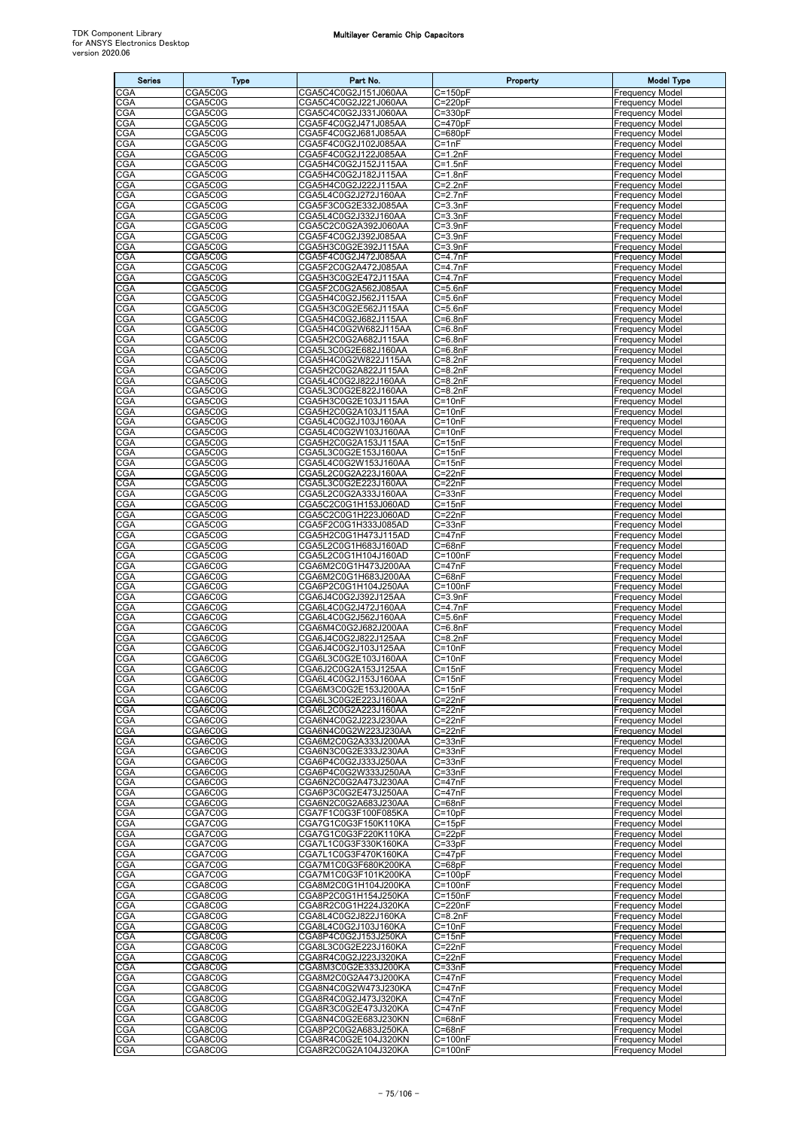| <b>Series</b>     | <b>Type</b>        | Part No.                                     | Property                   | <b>Model Type</b>                                |
|-------------------|--------------------|----------------------------------------------|----------------------------|--------------------------------------------------|
| CGA               | CGA5C0G            | CGA5C4C0G2J151J060AA                         | $C = 150pF$                | Frequency Model                                  |
| CGA               | CGA5C0G            | CGA5C4C0G2J221J060AA                         | C=220pF                    | Frequency Model                                  |
| CGA<br>CGA        | CGA5C0G            | CGA5C4C0G2J331J060AA                         | C=330pF<br>$C = 470pF$     | <b>Frequency Model</b><br><b>Frequency Model</b> |
| CGA               | CGA5C0G<br>CGA5C0G | CGA5F4C0G2J471J085AA<br>CGA5F4C0G2J681J085AA | C=680pF                    | Frequency Model                                  |
| CGA               | CGA5C0G            | CGA5F4C0G2J102J085AA                         | $C = 1nF$                  | <b>Frequency Model</b>                           |
| CGA               | CGA5C0G            | CGA5F4C0G2J122J085AA                         | $C=1.2nF$                  | <b>Frequency Model</b>                           |
| CGA<br>CGA        | CGA5C0G<br>CGA5C0G | CGA5H4C0G2J152J115AA<br>CGA5H4C0G2J182J115AA | $C = 1.5nF$<br>$C = 1.8nF$ | <b>Frequency Model</b><br>Frequency Model        |
| CGA               | CGA5C0G            | CGA5H4C0G2J222J115AA                         | $C = 2.2nF$                | <b>Frequency Model</b>                           |
| CGA               | CGA5C0G            | CGA5L4C0G2J272J160AA                         | $C = 2.7nF$                | Frequency Model                                  |
| CGA<br>CGA        | CGA5C0G<br>CGA5C0G | CGA5F3C0G2E332J085AA<br>CGA5L4C0G2J332J160AA | $C = 3.3nF$                | Frequency Model                                  |
| CGA               | CGA5C0G            | CGA5C2C0G2A392J060AA                         | $C = 3.3nF$<br>$C = 3.9nF$ | Frequency Model<br><b>Frequency Model</b>        |
| CGA               | CGA5C0G            | CGA5F4C0G2J392J085AA                         | $C = 3.9nF$                | Frequency Model                                  |
| CGA               | CGA5C0G            | CGA5H3C0G2E392J115AA                         | $C = 3.9nF$                | Frequency Model                                  |
| CGA<br>CGA        | CGA5C0G<br>CGA5C0G | CGA5F4C0G2J472J085AA<br>CGA5F2C0G2A472J085AA | $C = 4.7nF$<br>$C = 4.7nF$ | Frequency Model<br>Frequency Model               |
| CGA               | CGA5C0G            | CGA5H3C0G2E472J115AA                         | C=4.7nF                    | Frequency Model                                  |
| <b>CGA</b>        | CGA5C0G            | CGA5F2C0G2A562J085AA                         | $C = 5.6nF$                | Frequency Model                                  |
| CGA<br>CGA        | CGA5C0G<br>CGA5C0G | CGA5H4C0G2J562J115AA<br>CGA5H3C0G2E562J115AA | $C = 5.6nF$<br>$C = 5.6nF$ | Frequency Model<br>Frequency Model               |
| CGA               | CGA5C0G            | CGA5H4C0G2J682J115AA                         | $C=6.8nF$                  | Frequency Model                                  |
| <b>CGA</b>        | CGA5C0G            | CGA5H4C0G2W682J115AA                         | $C = 6.8nF$                | Frequency Model                                  |
| CGA<br>CGA        | CGA5C0G<br>CGA5C0G | CGA5H2C0G2A682J115AA<br>CGA5L3C0G2E682J160AA | $C=6.8nF$                  | <b>Frequency Model</b><br>Frequency Model        |
| CGA               | CGA5C0G            | CGA5H4C0G2W822J115AA                         | $C = 6.8nF$<br>$C = 8.2nF$ | Frequency Model                                  |
| CGA               | CGA5C0G            | CGA5H2C0G2A822J115AA                         | $C = 8.2nF$                | <b>Frequency Model</b>                           |
| CGA               | CGA5C0G            | CGA5L4C0G2J822J160AA                         | $C = 8.2nF$                | <b>Frequency Model</b>                           |
| CGA<br>CGA        | CGA5C0G<br>CGA5C0G | CGA5L3C0G2E822J160AA<br>CGA5H3C0G2E103J115AA | $C = 8.2nF$<br>$C = 10nF$  | Frequency Model<br>Frequency Model               |
| CGA               | CGA5C0G            | CGA5H2C0G2A103J115AA                         | $C = 10nF$                 | Frequency Model                                  |
| CGA               | CGA5C0G            | CGA5L4C0G2J103J160AA                         | $C = 10nF$                 | <b>Frequency Model</b>                           |
| CGA<br>CGA        | CGA5C0G<br>CGA5C0G | CGA5L4C0G2W103J160AA<br>CGA5H2C0G2A153J115AA | $C = 10nF$<br>$C = 15nF$   | Frequency Model<br><b>Frequency Model</b>        |
| CGA               | CGA5C0G            | CGA5L3C0G2E153J160AA                         | $C = 15nF$                 | Frequency Model                                  |
| CGA               | CGA5C0G            | CGA5L4C0G2W153J160AA                         | $C = 15nF$                 | Frequency Model                                  |
| CGA               | CGA5C0G            | CGA5L2C0G2A223J160AA                         | $C = 22nF$                 | Frequency Model                                  |
| CGA<br>CGA        | CGA5C0G<br>CGA5C0G | CGA5L3C0G2E223J160AA<br>CGA5L2C0G2A333J160AA | C=22nF<br>$C = 33nF$       | <b>Frequency Model</b><br>Frequency Model        |
| CGA               | CGA5C0G            | CGA5C2C0G1H153J060AD                         | $C = 15nF$                 | Frequency Model                                  |
| CGA               | CGA5C0G            | CGA5C2C0G1H223J060AD                         | $C = 22nF$                 | Frequency Model                                  |
| CGA<br>CGA        | CGA5C0G<br>CGA5C0G | CGA5F2C0G1H333J085AD<br>CGA5H2C0G1H473J115AD | $C = 33nF$<br>C=47nF       | <b>Frequency Model</b><br>Frequency Model        |
| <b>CGA</b>        | CGA5C0G            | CGA5L2C0G1H683J160AD                         | $C = 68nF$                 | Frequency Model                                  |
| CGA               | CGA5C0G            | CGA5L2C0G1H104J160AD                         | $C = 100nF$                | <b>Frequency Model</b>                           |
| CGA               | CGA6C0G<br>CGA6C0G | CGA6M2C0G1H473J200AA                         | $C = 47nF$                 | <b>Frequency Model</b>                           |
| CGA<br><b>CGA</b> | CGA6C0G            | CGA6M2C0G1H683J200AA<br>CGA6P2C0G1H104J250AA | $C = 68nF$<br>$C = 100nF$  | Frequency Model<br>Frequency Model               |
| CGA               | CGA6C0G            | CGA6J4C0G2J392J125AA                         | $C = 3.9nF$                | Frequency Model                                  |
| CGA               | CGA6C0G            | CGA6L4C0G2J472J160AA                         | $C = 4.7nF$                | Frequency Model                                  |
| CGA<br>CGA        | CGA6C0G<br>CGA6C0G | CGA6L4C0G2J562J160AA<br>CGA6M4C0G2J682J200AA | $C = 5.6nF$<br>$C = 6.8nF$ | Frequency Model<br><b>Frequency Model</b>        |
| CGA               | CGA6C0G            | CGA6J4C0G2J822J125AA                         | $C = 8.2nF$                | Frequency Model                                  |
| CGA               | CGA6C0G            | CGA6J4C0G2J103J125AA                         | $C = 10nF$                 | Frequency Model                                  |
| CGA<br><b>CGA</b> | CGA6C0G<br>CGA6C0G | CGA6L3C0G2E103J160AA<br>CGA6J2C0G2A153J125AA | $C = 10nF$<br>$C = 15nF$   | <b>Frequency Model</b><br><b>Frequency Model</b> |
| <b>CGA</b>        | CGA6C0G            | CGA6L4C0G2J153J160AA                         | $C = 15nF$                 | Frequency Model                                  |
| <b>CGA</b>        | CGA6C0G            | CGA6M3C0G2E153J200AA                         | $C = 15nF$                 | Frequency Model                                  |
| CGA<br>CGA        | CGA6C0G<br>CGA6C0G | CGA6L3C0G2E223J160AA<br>CGA6L2C0G2A223J160AA | $C = 22nF$<br>$C = 22nF$   | <b>Frequency Model</b><br><b>Frequency Model</b> |
| CGA               | CGA6C0G            | CGA6N4C0G2J223J230AA                         | $C = 22nF$                 | Frequency Model                                  |
| CGA               | CGA6C0G            | CGA6N4C0G2W223J230AA                         | $C = 22nF$                 | <b>Frequency Model</b>                           |
| CGA               | CGA6C0G            | CGA6M2C0G2A333J200AA                         | $\overline{C}$ =33nF       | <b>Frequency Model</b>                           |
| CGA<br><b>CGA</b> | CGA6C0G<br>CGA6C0G | CGA6N3C0G2E333J230AA<br>CGA6P4C0G2J333J250AA | $C = 33nF$<br>$C = 33nF$   | <b>Frequency Model</b><br>Frequency Model        |
| CGA               | CGA6C0G            | CGA6P4C0G2W333J250AA                         | $C = 33nF$                 | <b>Frequency Model</b>                           |
| CGA<br>CGA        | CGA6C0G<br>CGA6C0G | CGA6N2C0G2A473J230AA<br>CGA6P3C0G2E473J250AA | $C = 47nF$<br>C=47nF       | <b>Frequency Model</b><br><b>Frequency Model</b> |
| <b>CGA</b>        | CGA6C0G            | CGA6N2C0G2A683J230AA                         | $C = 68nF$                 | <b>Frequency Model</b>                           |
| CGA               | CGA7C0G            | CGA7F1C0G3F100F085KA                         | $C = 10pF$                 | <b>Frequency Model</b>                           |
| CGA               | CGA7C0G            | CGA7G1C0G3F150K110KA                         | $C = 15pF$                 | <b>Frequency Model</b>                           |
| CGA<br><b>CGA</b> | CGA7C0G<br>CGA7C0G | CGA7G1C0G3F220K110KA<br>CGA7L1C0G3F330K160KA | $C = 22pF$<br>$C = 33pF$   | <b>Frequency Model</b><br><b>Frequency Model</b> |
| CGA               | CGA7C0G            | CGA7L1C0G3F470K160KA                         | $C = 47pF$                 | <b>Frequency Model</b>                           |
| CGA               | CGA7C0G            | CGA7M1C0G3F680K200KA                         | $C = 68pF$                 | <b>Frequency Model</b>                           |
| CGA<br>CGA        | CGA7C0G<br>CGA8C0G | CGA7M1C0G3F101K200KA<br>CGA8M2C0G1H104J200KA | $C=100pF$<br>$C = 100nF$   | <b>Frequency Model</b><br><b>Frequency Model</b> |
| CGA               | CGA8C0G            | CGA8P2C0G1H154J250KA                         | $C = 150nF$                | <b>Frequency Model</b>                           |
| CGA               | CGA8C0G            | CGA8R2C0G1H224J320KA                         | C=220nF                    | <b>Frequency Model</b>                           |
| <b>CGA</b><br>CGA | CGA8C0G<br>CGA8C0G | CGA8L4C0G2J822J160KA<br>CGA8L4C0G2J103J160KA | $C = 8.2nF$<br>$C = 10nF$  | Frequency Model<br><b>Frequency Model</b>        |
| CGA               | CGA8C0G            | CGA8P4C0G2J153J250KA                         | $C = 15nF$                 | <b>Frequency Model</b>                           |
| CGA               | CGA8C0G            | CGA8L3C0G2E223J160KA                         | $C = 22nF$                 | <b>Frequency Model</b>                           |
| CGA               | CGA8C0G            | CGA8R4C0G2J223J320KA                         | $C = 22nF$                 | <b>Frequency Model</b>                           |
| CGA<br>CGA        | CGA8C0G<br>CGA8C0G | CGA8M3C0G2E333J200KA<br>CGA8M2C0G2A473J200KA | $C = 33nF$<br>$C = 47nF$   | <b>Frequency Model</b><br>Frequency Model        |
| CGA               | CGA8C0G            | CGA8N4C0G2W473J230KA                         | $C = 47nF$                 | <b>Frequency Model</b>                           |
| CGA               | CGA8C0G            | CGA8R4C0G2J473J320KA                         | $C = 47nF$                 | Frequency Model                                  |
| CGA<br><b>CGA</b> | CGA8C0G<br>CGA8C0G | CGA8R3C0G2E473J320KA<br>CGA8N4C0G2E683J230KN | $C = 47nF$<br>$C = 68nF$   | <b>Frequency Model</b><br>Frequency Model        |
| <b>CGA</b>        | CGA8C0G            | CGA8P2C0G2A683J250KA                         | $C = 68nF$                 | <b>Frequency Model</b>                           |
| <b>CGA</b>        | CGA8C0G            | CGA8R4C0G2E104J320KN                         | $C = 100nF$                | <b>Frequency Model</b>                           |
| <b>CGA</b>        | CGA8C0G            | CGA8R2C0G2A104J320KA                         | $C = 100nF$                | <b>Frequency Model</b>                           |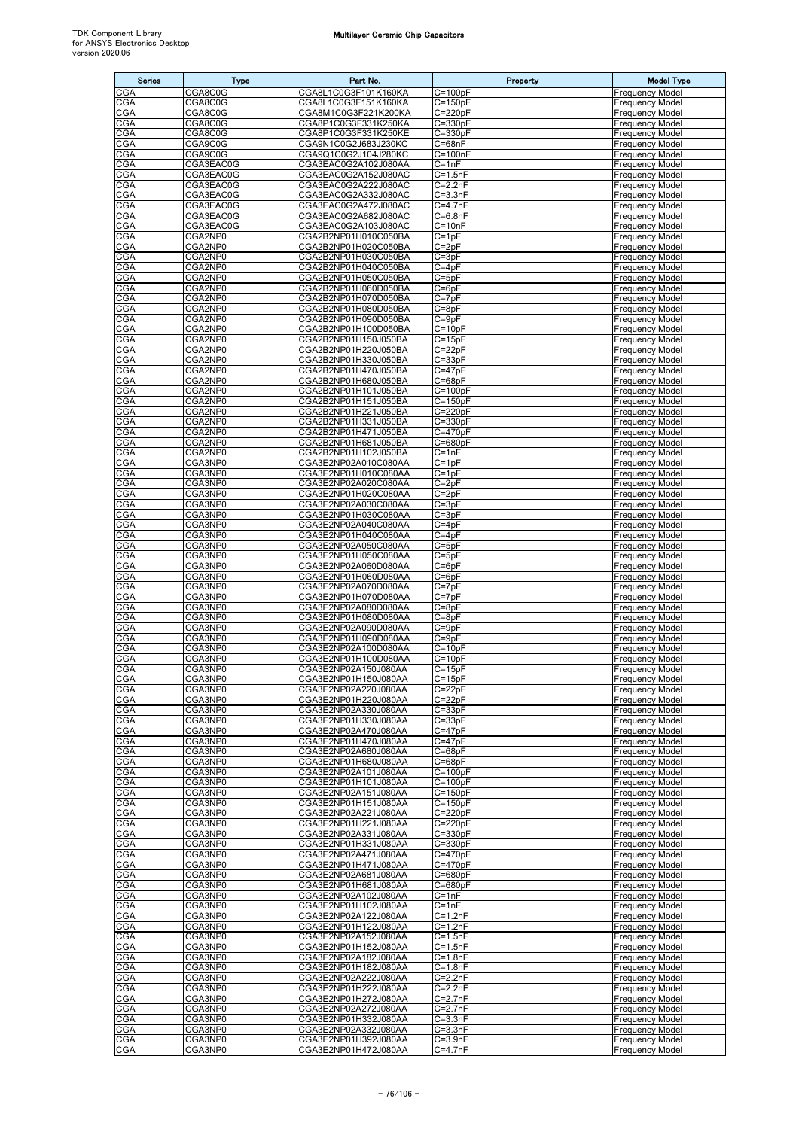| <b>Series</b>            | <b>Type</b>            | Part No.                                     | Property                   | <b>Model Type</b>                                |
|--------------------------|------------------------|----------------------------------------------|----------------------------|--------------------------------------------------|
| CGA                      | CGA8C0G                | CGA8L1C0G3F101K160KA                         | $C = 100pF$                | Frequency Mode                                   |
| CGA                      | CGA8C0G                | CGA8L1C0G3F151K160KA                         | $C = 150pF$                | Frequency Model                                  |
| CGA                      | CGA8C0G                | CGA8M1C0G3F221K200KA                         | $C = 220pF$                | Frequency Model                                  |
| CGA<br>CGA               | CGA8C0G<br>CGA8C0G     | CGA8P1C0G3F331K250KA<br>CGA8P1C0G3F331K250KE | $C = 330pF$<br>$C = 330pF$ | <b>Frequency Model</b><br>Frequency Model        |
| <b>CGA</b>               | CGA9C0G                | CGA9N1C0G2J683J230KC                         | $C = 68nF$                 | Frequency Model                                  |
| CGA                      | CGA9C0G                | CGA9Q1C0G2J104J280KC                         | $C = 100nF$                | Frequency Model                                  |
| CGA                      | CGA3EAC0G              | CGA3EAC0G2A102J080AA                         | $C = 1nF$                  | Frequency Model                                  |
| CGA<br>CGA               | CGA3EAC0G<br>CGA3EAC0G | CGA3EAC0G2A152J080AC<br>CGA3EAC0G2A222J080AC | $C = 1.5nF$<br>$C = 2.2nF$ | Frequency Model<br>Frequency Model               |
| CGA                      | CGA3EAC0G              | CGA3EAC0G2A332J080AC                         | $C = 3.3nF$                | Frequency Model                                  |
| CGA                      | CGA3EAC0G              | CGA3EAC0G2A472J080AC                         | C=4.7nF                    | Frequency Model                                  |
| <b>CGA</b>               | CGA3EAC0G              | CGA3EAC0G2A682J080AC                         | $C=6.8nF$                  | Frequency Model                                  |
| CGA<br>CGA               | CGA3EAC0G<br>CGA2NP0   | CGA3EAC0G2A103J080AC                         | $C = 10nF$                 | <b>Frequency Model</b><br>Frequency Model        |
| CGA                      | CGA2NP0                | CGA2B2NP01H010C050BA<br>CGA2B2NP01H020C050BA | $C = 1pF$<br>$C = 2pF$     | <b>Frequency Model</b>                           |
| CGA                      | CGA2NP0                | CGA2B2NP01H030C050BA                         | $C = 3pF$                  | <b>Frequency Model</b>                           |
| CGA                      | CGA2NP0                | CGA2B2NP01H040C050BA                         | $C = 4pF$                  | <b>Frequency Model</b>                           |
| CGA                      | CGA2NP0                | CGA2B2NP01H050C050BA                         | $C = 5pF$                  | Frequency Model                                  |
| CGA<br>CGA               | CGA2NP0<br>CGA2NP0     | CGA2B2NP01H060D050BA<br>CGA2B2NP01H070D050BA | $C = 6pF$<br>$C = 7pF$     | Frequency Model<br>Frequency Model               |
| CGA                      | CGA2NP0                | CGA2B2NP01H080D050BA                         | $C = 8pF$                  | Frequency Model                                  |
| CGA                      | CGA2NP0                | CGA2B2NP01H090D050BA                         | $C = 9pF$                  | Frequency Model                                  |
| CGA                      | CGA2NP0                | CGA2B2NP01H100D050BA                         | $C = 10pF$                 | Frequency Model                                  |
| CGA<br>CGA               | CGA2NP0<br>CGA2NP0     | CGA2B2NP01H150J050BA<br>CGA2B2NP01H220J050BA | $C = 15pF$<br>$C = 22pF$   | <b>Frequency Model</b>                           |
| <b>CGA</b>               | CGA2NP0                | CGA2B2NP01H330J050BA                         | $C = 33pF$                 | Frequency Model<br>Frequency Model               |
| CGA                      | CGA2NP0                | CGA2B2NP01H470J050BA                         | $C = 47pF$                 | Frequency Model                                  |
| CGA                      | CGA2NP0                | CGA2B2NP01H680J050BA                         | $C = 68pF$                 | <b>Frequency Model</b>                           |
| CGA                      | CGA2NP0                | CGA2B2NP01H101J050BA                         | $C = 100pF$                | Frequency Model                                  |
| <b>CGA</b><br>CGA        | CGA2NP0<br>CGA2NP0     | CGA2B2NP01H151J050BA<br>CGA2B2NP01H221J050BA | $C = 150pF$<br>$C = 220pF$ | <b>Frequency Model</b><br>Frequency Model        |
| CGA                      | CGA2NP0                | CGA2B2NP01H331J050BA                         | $C = 330pF$                | <b>Frequency Model</b>                           |
| CGA                      | CGA2NP0                | CGA2B2NP01H471J050BA                         | $C = 470pF$                | Frequency Model                                  |
| CGA                      | CGA2NP0                | CGA2B2NP01H681J050BA                         | C=680pF                    | Frequency Model                                  |
| CGA                      | CGA2NP0                | CGA2B2NP01H102J050BA                         | C=1nF                      | Frequency Model                                  |
| CGA<br><b>CGA</b>        | CGA3NP0<br>CGA3NP0     | CGA3E2NP02A010C080AA<br>CGA3E2NP01H010C080AA | $C = 1pF$<br>$C = 1pF$     | Frequency Model<br>Frequency Model               |
| CGA                      | CGA3NP0                | CGA3E2NP02A020C080AA                         | $C = 2pF$                  | <b>Frequency Model</b>                           |
| CGA                      | CGA3NP0                | CGA3E2NP01H020C080AA                         | $C = 2pF$                  | Frequency Model                                  |
| CGA                      | CGA3NP0                | CGA3E2NP02A030C080AA                         | $C = 3pF$                  | Frequency Model                                  |
| CGA<br>CGA               | CGA3NP0<br>CGA3NP0     | CGA3E2NP01H030C080AA<br>CGA3E2NP02A040C080AA | $C = 3pF$<br>$C = 4pF$     | <b>Frequency Model</b><br><b>Frequency Model</b> |
| CGA                      | CGA3NP0                | CGA3E2NP01H040C080AA                         | $C = 4pF$                  | Frequency Model                                  |
| CGA                      | CGA3NP0                | CGA3E2NP02A050C080AA                         | $C = 5pF$                  | <b>Frequency Model</b>                           |
| CGA                      | CGA3NP0                | CGA3E2NP01H050C080AA                         | $C = 5pF$                  | Frequency Model                                  |
| CGA<br>CGA               | CGA3NP0<br>CGA3NP0     | CGA3E2NP02A060D080AA<br>CGA3E2NP01H060D080AA | $C = 6pF$                  | <b>Frequency Model</b><br>Frequency Model        |
| CGA                      | CGA3NP0                | CGA3E2NP02A070D080AA                         | C=6pF<br>$C = 7pF$         | <b>Frequency Model</b>                           |
| CGA                      | CGA3NP0                | CGA3E2NP01H070D080AA                         | $C = 7pF$                  | Frequency Model                                  |
| CGA                      | CGA3NP0                | CGA3E2NP02A080D080AA                         | $C = 8pF$                  | Frequency Model                                  |
| CGA                      | CGA3NP0                | CGA3E2NP01H080D080AA                         | $C = 8pF$                  | Frequency Model                                  |
| CGA<br>CGA               | CGA3NP0<br>CGA3NP0     | CGA3E2NP02A090D080AA<br>CGA3E2NP01H090D080AA | $C = 9pF$<br>$C = 9pF$     | Frequency Model<br>Frequency Model               |
| <b>CGA</b>               | CGA3NP0                | CGA3E2NP02A100D080AA                         | $C = 10pF$                 | Frequency Model                                  |
| CGA                      | CGA3NP0                | CGA3E2NP01H100D080AA                         | $C = 10pF$                 | Frequency Model                                  |
| <b>CGA</b>               | CGA3NP0                | CGA3E2NP02A150J080AA                         | $C = 15pF$                 | <b>Frequency Model</b>                           |
| <b>CGA</b><br><b>CGA</b> | CGA3NP0<br>CGA3NP0     | CGA3E2NP01H150J080AA<br>CGA3E2NP02A220J080AA | $C = 15pF$<br>$C = 22pF$   | <b>Frequency Model</b><br><b>Frequency Model</b> |
| CGA                      | CGA3NP0                | CGA3E2NP01H220J080AA                         | $C = 22pF$                 | <b>Frequency Model</b>                           |
| CGA                      | CGA3NP0                | CGA3E2NP02A330J080AA                         | $C = 33pF$                 | <b>Frequency Model</b>                           |
| CGA                      | CGA3NP0                | CGA3E2NP01H330J080AA                         | $C = 33pF$                 | <b>Frequency Model</b>                           |
| <b>CGA</b>               | CGA3NP0                | CGA3E2NP02A470J080AA                         | $C = 47pF$<br>$C = 47pF$   | <b>Frequency Model</b>                           |
| CGA<br>CGA               | CGA3NP0<br>CGA3NP0     | CGA3E2NP01H470J080AA<br>CGA3E2NP02A680J080AA | $C = 68pF$                 | <b>Frequency Model</b><br><b>Frequency Model</b> |
| CGA                      | CGA3NP0                | CGA3E2NP01H680J080AA                         | $C = 68pF$                 | <b>Frequency Model</b>                           |
| CGA                      | CGA3NP0                | CGA3E2NP02A101J080AA                         | $C = 100pF$                | <b>Frequency Model</b>                           |
| <b>CGA</b><br>CGA        | CGA3NP0<br>CGA3NP0     | CGA3E2NP01H101J080AA                         | $C = 100pF$<br>$C = 150pF$ | <b>Frequency Model</b><br><b>Frequency Model</b> |
| CGA                      | CGA3NP0                | CGA3E2NP02A151J080AA<br>CGA3E2NP01H151J080AA | $C = 150pF$                | <b>Frequency Model</b>                           |
| CGA                      | CGA3NP0                | CGA3E2NP02A221J080AA                         | $C=220pF$                  | <b>Frequency Model</b>                           |
| CGA                      | CGA3NP0                | CGA3E2NP01H221J080AA                         | $C = 220pF$                | <b>Frequency Model</b>                           |
| CGA                      | CGA3NP0                | CGA3E2NP02A331J080AA                         | $C = 330pF$                | <b>Frequency Model</b>                           |
| CGA<br>CGA               | CGA3NP0<br>CGA3NP0     | CGA3E2NP01H331J080AA<br>CGA3E2NP02A471J080AA | $C = 330pF$<br>$C = 470pF$ | <b>Frequency Model</b><br><b>Frequency Model</b> |
| CGA                      | CGA3NP0                | CGA3E2NP01H471J080AA                         | $C = 470pF$                | Frequency Model                                  |
| CGA                      | CGA3NP0                | CGA3E2NP02A681J080AA                         | $C = 680pF$                | <b>Frequency Model</b>                           |
| CGA                      | CGA3NP0                | CGA3E2NP01H681J080AA                         | $C = 680pF$                | <b>Frequency Model</b>                           |
| CGA<br><b>CGA</b>        | CGA3NP0<br>CGA3NP0     | CGA3E2NP02A102J080AA                         | $C = 1nF$<br>$C = 1nF$     | <b>Frequency Model</b>                           |
| CGA                      | CGA3NP0                | CGA3E2NP01H102J080AA<br>CGA3E2NP02A122J080AA | $C=1.2nF$                  | <b>Frequency Model</b><br><b>Frequency Model</b> |
| CGA                      | CGA3NP0                | CGA3E2NP01H122J080AA                         | $C = 1.2nF$                | <b>Frequency Model</b>                           |
| CGA                      | CGA3NP0                | CGA3E2NP02A152J080AA                         | $C = 1.5nF$                | <b>Frequency Model</b>                           |
| <b>CGA</b>               | CGA3NP0                | CGA3E2NP01H152J080AA                         | $C = 1.5nF$                | <b>Frequency Model</b>                           |
| CGA<br>CGA               | CGA3NP0<br>CGA3NP0     | CGA3E2NP02A182J080AA<br>CGA3E2NP01H182J080AA | $C = 1.8nF$<br>$C=1.8nF$   | <b>Frequency Model</b><br><b>Frequency Model</b> |
| CGA                      | CGA3NP0                | CGA3E2NP02A222J080AA                         | $C=2.2nF$                  | Frequency Model                                  |
| <b>CGA</b>               | CGA3NP0                | CGA3E2NP01H222J080AA                         | $C=2.2nF$                  | <b>Frequency Model</b>                           |
| CGA                      | CGA3NP0                | CGA3E2NP01H272J080AA                         | $C=2.7nF$                  | <b>Frequency Model</b>                           |
| CGA<br>CGA               | CGA3NP0<br>CGA3NP0     | CGA3E2NP02A272J080AA<br>CGA3E2NP01H332J080AA | $C=2.7nF$<br>$C = 3.3nF$   | <b>Frequency Model</b><br><b>Frequency Model</b> |
| CGA                      | CGA3NP0                | CGA3E2NP02A332J080AA                         | $C = 3.3nF$                | <b>Frequency Model</b>                           |
| CGA                      | CGA3NP0                | CGA3E2NP01H392J080AA                         | $C = 3.9nF$                | <b>Frequency Model</b>                           |
| <b>CGA</b>               | CGA3NP0                | CGA3E2NP01H472J080AA                         | $C = 4.7nF$                | Frequency Model                                  |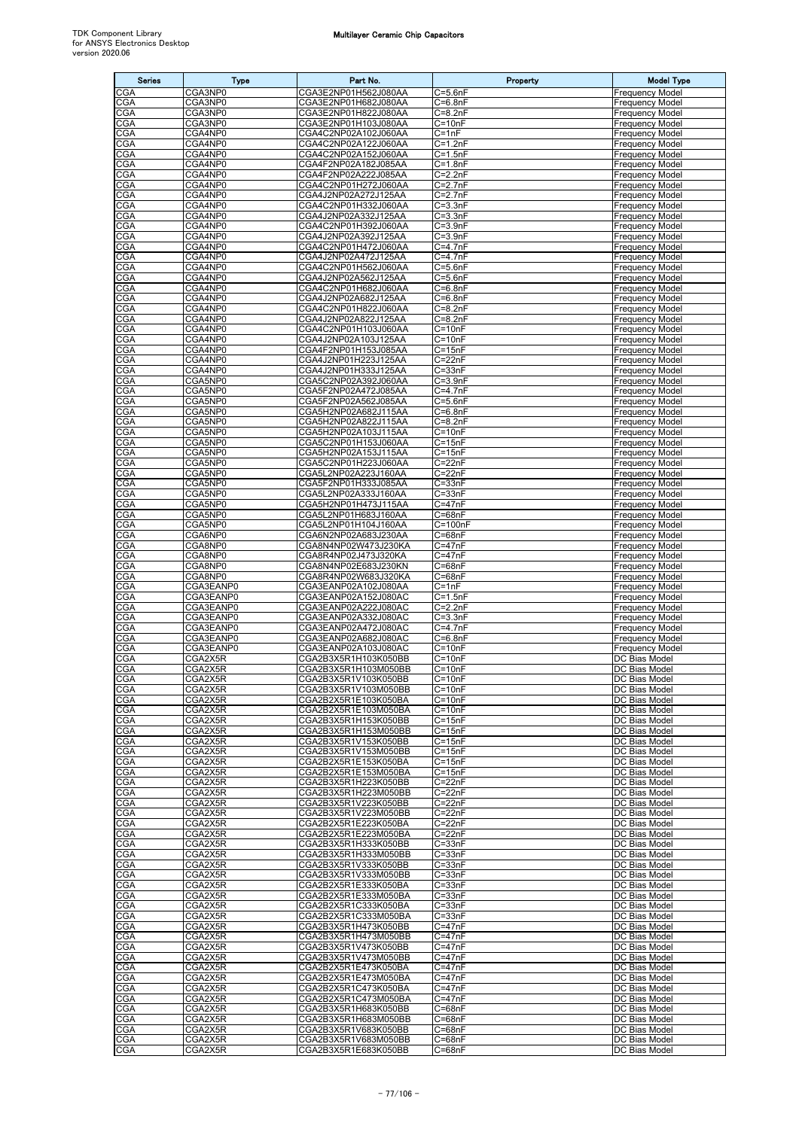| <b>Series</b>     | Type                   | Part No.                                     | Property                         | <b>Model Type</b>                                |
|-------------------|------------------------|----------------------------------------------|----------------------------------|--------------------------------------------------|
| CGA               | CGA3NP0                | CGA3E2NP01H562J080AA                         | $C = 5.6nF$                      | <b>Frequency Model</b>                           |
| <b>CGA</b>        | CGA3NP0                | CGA3E2NP01H682J080AA                         | C=6.8nF                          | Frequency Model                                  |
| CGA<br>CGA        | CGA3NP0<br>CGA3NP0     | CGA3E2NP01H822J080AA<br>CGA3E2NP01H103J080AA | $C = 8.2nF$<br>$C = 10nF$        | <b>Frequency Model</b><br><b>Frequency Model</b> |
| CGA               | CGA4NP0                | CGA4C2NP02A102J060AA                         | $C = 1nF$                        | <b>Frequency Model</b>                           |
| <b>CGA</b>        | CGA4NP0                | CGA4C2NP02A122J060AA                         | $C = 1.2nF$                      | Frequency Model                                  |
| CGA<br>CGA        | CGA4NP0<br>CGA4NP0     | CGA4C2NP02A152J060AA<br>CGA4F2NP02A182J085AA | $C = 1.5nF$<br>$C = 1.8nF$       | <b>Frequency Model</b><br><b>Frequency Model</b> |
| CGA               | CGA4NP0                | CGA4F2NP02A222J085AA                         | $C = 2.2nF$                      | Frequency Model                                  |
| <b>CGA</b>        | CGA4NP0                | CGA4C2NP01H272J060AA                         | $C = 2.7nF$                      | Frequency Model                                  |
| CGA<br>CGA        | CGA4NP0<br>CGA4NP0     | CGA4J2NP02A272J125AA<br>CGA4C2NP01H332J060AA | C=2.7nF<br>$C = 3.3nF$           | Frequency Model<br>Frequency Model               |
| <b>CGA</b>        | CGA4NP0                | CGA4J2NP02A332J125AA                         | $C = 3.3nF$                      | <b>Frequency Model</b>                           |
| CGA               | CGA4NP0                | CGA4C2NP01H392J060AA                         | $C = 3.9nF$                      | <b>Frequency Model</b>                           |
| CGA<br><b>CGA</b> | CGA4NP0<br>CGA4NP0     | CGA4J2NP02A392J125AA<br>CGA4C2NP01H472J060AA | $C = 3.9nF$<br>C=4.7nF           | Frequency Model<br><b>Frequency Model</b>        |
| CGA               | CGA4NP0                | CGA4J2NP02A472J125AA                         | $C=4.7nF$                        | <b>Frequency Model</b>                           |
| CGA               | CGA4NP0                | CGA4C2NP01H562J060AA                         | $C = 5.6nF$                      | <b>Frequency Model</b>                           |
| CGA               | CGA4NP0<br>CGA4NP0     | CGA4J2NP02A562J125AA<br>CGA4C2NP01H682J060AA | C=5.6nF<br>$C = 6.8nF$           | Frequency Model<br><b>Frequency Model</b>        |
| <b>CGA</b><br>CGA | CGA4NP0                | CGA4J2NP02A682J125AA                         | $C = 6.8nF$                      | <b>Frequency Model</b>                           |
| CGA               | CGA4NP0                | CGA4C2NP01H822J060AA                         | $C = 8.2nF$                      | Frequency Model                                  |
| CGA<br><b>CGA</b> | CGA4NP0<br>CGA4NP0     | CGA4J2NP02A822J125AA<br>CGA4C2NP01H103J060AA | C=8.2nF<br>$C = 10nF$            | Frequency Model<br>Frequency Model               |
| CGA               | CGA4NP0                | CGA4J2NP02A103J125AA                         | $C = 10nF$                       | <b>Frequency Model</b>                           |
| CGA               | CGA4NP0                | CGA4F2NP01H153J085AA                         | $C = 15nF$                       | Frequency Model                                  |
| <b>CGA</b>        | CGA4NP0<br>CGA4NP0     | CGA4J2NP01H223J125AA                         | $C = 22nF$                       | <b>Frequency Model</b>                           |
| CGA<br><b>CGA</b> | CGA5NP0                | CGA4J2NP01H333J125AA<br>CGA5C2NP02A392J060AA | $C = 33nF$<br>$C = 3.9nF$        | Frequency Model<br><b>Frequency Model</b>        |
| CGA               | CGA5NP0                | CGA5F2NP02A472J085AA                         | $C = 4.7nF$                      | Frequency Model                                  |
| <b>CGA</b>        | CGA5NP0                | CGA5F2NP02A562J085AA                         | $C = 5.6nF$                      | <b>Frequency Model</b>                           |
| CGA<br>CGA        | CGA5NP0<br>CGA5NP0     | CGA5H2NP02A682J115AA<br>CGA5H2NP02A822J115AA | $C = 6.8nF$<br>$C = 8.2nF$       | <b>Frequency Model</b><br><b>Frequency Model</b> |
| CGA               | CGA5NP0                | CGA5H2NP02A103J115AA                         | $C = 10nF$                       | Frequency Model                                  |
| CGA               | CGA5NP0                | CGA5C2NP01H153J060AA                         | $C = 15nF$                       | <b>Frequency Model</b>                           |
| CGA<br>CGA        | CGA5NP0<br>CGA5NP0     | CGA5H2NP02A153J115AA<br>CGA5C2NP01H223J060AA | $C = 15nF$<br>C=22nF             | <b>Frequency Model</b><br>Frequency Model        |
| CGA               | CGA5NP0                | CGA5L2NP02A223J160AA                         | $C = 22nF$                       | <b>Frequency Model</b>                           |
| CGA               | CGA5NP0                | CGA5F2NP01H333J085AA                         | $C = 33nF$                       | <b>Frequency Model</b>                           |
| CGA<br><b>CGA</b> | CGA5NP0<br>CGA5NP0     | CGA5L2NP02A333J160AA<br>CGA5H2NP01H473J115AA | $C = 33nF$<br>C=47nF             | Frequency Model<br><b>Frequency Model</b>        |
| CGA               | CGA5NP0                | CGA5L2NP01H683J160AA                         | $C = 68nF$                       | <b>Frequency Model</b>                           |
| CGA               | CGA5NP0                | CGA5L2NP01H104J160AA                         | C=100nF                          | <b>Frequency Model</b>                           |
| CGA<br><b>CGA</b> | CGA6NP0<br>CGA8NP0     | CGA6N2NP02A683J230AA<br>CGA8N4NP02W473J230KA | C=68nF<br>C=47nF                 | Frequency Model<br><b>Frequency Model</b>        |
| CGA               | CGA8NP0                | CGA8R4NP02J473J320KA                         | $C = 47nF$                       | <b>Frequency Model</b>                           |
| CGA               | CGA8NP0                | CGA8N4NP02E683J230KN                         | $C = 68nF$                       | <b>Frequency Model</b>                           |
| CGA<br>CGA        | CGA8NP0<br>CGA3EANP0   | CGA8R4NP02W683J320KA<br>CGA3EANP02A102J080AA | C=68nF<br>$C = 1nF$              | Frequency Model<br><b>Frequency Model</b>        |
| CGA               | CGA3EANP0              | CGA3EANP02A152J080AC                         | $C = 1.5nF$                      | <b>Frequency Model</b>                           |
| CGA               | CGA3EANP0              | CGA3EANP02A222J080AC                         | $C = 2.2nF$                      | Frequency Model                                  |
| CGA<br>CGA        | CGA3EANP0<br>CGA3EANP0 | CGA3EANP02A332J080AC<br>CGA3EANP02A472J080AC | C=3.3nF<br>$\overline{C}$ =4.7nF | <b>Frequency Model</b><br><b>Frequency Model</b> |
| CGA               | CGA3EANP0              | CGA3EANP02A682J080AC                         | $C = 6.8nF$                      | <b>Frequency Model</b>                           |
| CGA               | CGA3EANP0              | CGA3EANP02A103J080AC                         | $C = 10nF$                       | <b>Frequency Model</b>                           |
| CGA<br><b>CGA</b> | CGA2X5R<br>CGA2X5R     | CGA2B3X5R1H103K050BB<br>CGA2B3X5R1H103M050BB | $C = 10nF$<br>$C = 10nF$         | DC Bias Model<br>DC Bias Model                   |
| <b>CGA</b>        | CGA2X5R                | CGA2B3X5R1V103K050BB                         | $C = 10nF$                       | DC Bias Model                                    |
| CGA               | CGA2X5R                | CGA2B3X5R1V103M050BB                         | $C = 10nF$                       | DC Bias Model                                    |
| CGA<br>CGA        | CGA2X5R<br>CGA2X5R     | CGA2B2X5R1E103K050BA<br>CGA2B2X5R1E103M050BA | $C = 10nF$<br>$C = 10nF$         | DC Bias Model<br>DC Bias Model                   |
| CGA               | CGA2X5R                | CGA2B3X5R1H153K050BB                         | $C = 15nF$                       | DC Bias Model                                    |
| CGA               | CGA2X5R                | CGA2B3X5R1H153M050BB                         | $C = 15nF$                       | DC Bias Model                                    |
| CGA               | CGA2X5R<br>CGA2X5R     | CGA2B3X5R1V153K050BB<br>CGA2B3X5R1V153M050BB | $C = 15nF$<br>$C = 15nF$         | DC Bias Model<br>DC Bias Model                   |
| CGA<br><b>CGA</b> | CGA2X5R                | CGA2B2X5R1E153K050BA                         | $C = 15nF$                       | DC Bias Model                                    |
| <b>CGA</b>        | CGA2X5R                | CGA2B2X5R1E153M050BA                         | $C = 15nF$                       | DC Bias Model                                    |
| <b>CGA</b><br>CGA | CGA2X5R<br>CGA2X5R     | CGA2B3X5R1H223K050BB<br>CGA2B3X5R1H223M050BB | $C = 22nF$<br>$C = 22nF$         | DC Bias Model<br>DC Bias Model                   |
| CGA               | CGA2X5R                | CGA2B3X5R1V223K050BB                         | $C = 22nF$                       | DC Bias Model                                    |
| CGA               | CGA2X5R                | CGA2B3X5R1V223M050BB                         | $C = 22nF$                       | DC Bias Model                                    |
| CGA               | CGA2X5R<br>CGA2X5R     | CGA2B2X5R1E223K050BA<br>CGA2B2X5R1E223M050BA | $C = 22nF$<br>$C = 22nF$         | DC Bias Model<br>DC Bias Model                   |
| CGA<br>CGA        | CGA2X5R                | CGA2B3X5R1H333K050BB                         | $C = 33nF$                       | DC Bias Model                                    |
| CGA               | CGA2X5R                | CGA2B3X5R1H333M050BB                         | $C = 33nF$                       | DC Bias Model                                    |
| CGA               | CGA2X5R<br>CGA2X5R     | CGA2B3X5R1V333K050BB                         | $C = 33nF$                       | DC Bias Model                                    |
| CGA<br>CGA        | CGA2X5R                | CGA2B3X5R1V333M050BB<br>CGA2B2X5R1E333K050BA | $C = 33nF$<br>$C = 33nF$         | DC Bias Model<br>DC Bias Model                   |
| CGA               | CGA2X5R                | CGA2B2X5R1E333M050BA                         | $C = 33nF$                       | DC Bias Model                                    |
| CGA               | CGA2X5R                | CGA2B2X5R1C333K050BA                         | $C = 33nF$                       | DC Bias Model                                    |
| CGA<br><b>CGA</b> | CGA2X5R<br>CGA2X5R     | CGA2B2X5R1C333M050BA<br>CGA2B3X5R1H473K050BB | $C = 33nF$<br>$C = 47nF$         | DC Bias Model<br>DC Bias Model                   |
| CGA               | CGA2X5R                | CGA2B3X5R1H473M050BB                         | $C = 47nF$                       | DC Bias Model                                    |
| <b>CGA</b>        | CGA2X5R                | CGA2B3X5R1V473K050BB                         | $C = 47nF$                       | DC Bias Model                                    |
| CGA               | CGA2X5R<br>CGA2X5R     | CGA2B3X5R1V473M050BB                         | $C = 47nF$<br>$C = 47nF$         | DC Bias Model<br>DC Bias Model                   |
| CGA<br>CGA        | CGA2X5R                | CGA2B2X5R1E473K050BA<br>CGA2B2X5R1E473M050BA | $C = 47nF$                       | DC Bias Model                                    |
| <b>CGA</b>        | CGA2X5R                | CGA2B2X5R1C473K050BA                         | $C = 47nF$                       | DC Bias Model                                    |
| CGA               | CGA2X5R                | CGA2B2X5R1C473M050BA                         | $C = 47nF$<br>$C = 68nF$         | DC Bias Model                                    |
| CGA<br>CGA        | CGA2X5R<br>CGA2X5R     | CGA2B3X5R1H683K050BB<br>CGA2B3X5R1H683M050BB | $C = 68nF$                       | <b>DC Bias Model</b><br>DC Bias Model            |
| <b>CGA</b>        | CGA2X5R                | CGA2B3X5R1V683K050BB                         | $C = 68nF$                       | DC Bias Model                                    |
| CGA               | CGA2X5R                | CGA2B3X5R1V683M050BB                         | $C = 68nF$                       | DC Bias Model                                    |
| CGA               | CGA2X5R                | CGA2B3X5R1E683K050BB                         | $C = 68nF$                       | DC Bias Model                                    |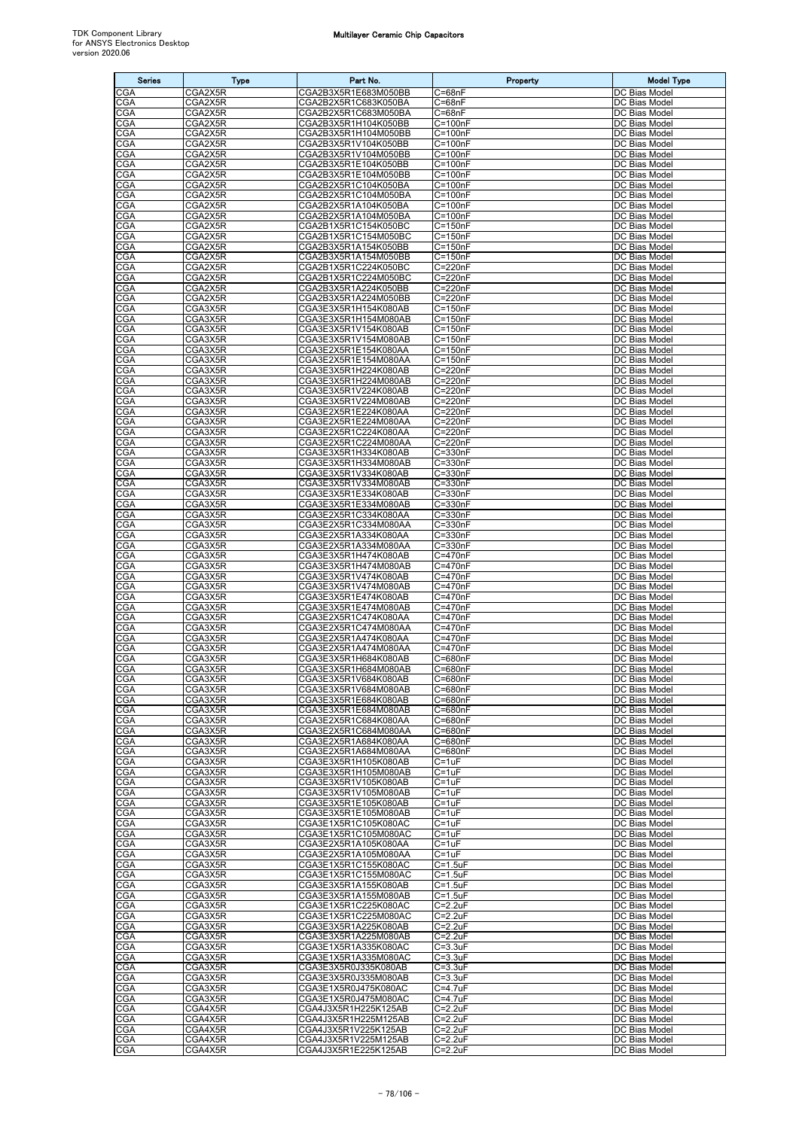| <b>Series</b>            | <b>Type</b>        | Part No.                                     | Property                   | <b>Model Type</b>              |
|--------------------------|--------------------|----------------------------------------------|----------------------------|--------------------------------|
| CGA                      | CGA2X5R            | CGA2B3X5R1E683M050BB                         | $C = 68nF$                 | DC Bias Model                  |
| CGA                      | CGA2X5R            | CGA2B2X5R1C683K050BA                         | $C = 68nF$                 | DC Bias Model                  |
| CGA<br>CGA               | CGA2X5R<br>CGA2X5R | CGA2B2X5R1C683M050BA<br>CGA2B3X5R1H104K050BB | $C = 68nF$<br>$C = 100nF$  | DC Bias Model<br>DC Bias Model |
| CGA                      | CGA2X5R            | CGA2B3X5R1H104M050BB                         | $C = 100nF$                | DC Bias Model                  |
| CGA                      | CGA2X5R            | CGA2B3X5R1V104K050BB                         | $C = 100nF$                | DC Bias Model                  |
| CGA                      | CGA2X5R            | CGA2B3X5R1V104M050BB                         | $C = 100nF$                | DC Bias Model                  |
| CGA<br>CGA               | CGA2X5R<br>CGA2X5R | CGA2B3X5R1E104K050BB<br>CGA2B3X5R1E104M050BB | $C = 100nF$<br>$C = 100nF$ | DC Bias Model<br>DC Bias Model |
| CGA                      | CGA2X5R            | CGA2B2X5R1C104K050BA                         | $C = 100nF$                | DC Bias Model                  |
| CGA                      | CGA2X5R            | CGA2B2X5R1C104M050BA                         | $C = 100nF$                | DC Bias Model                  |
| <b>CGA</b>               | CGA2X5R            | CGA2B2X5R1A104K050BA                         | $C = 100nF$                | DC Bias Model                  |
| CGA                      | CGA2X5R            | CGA2B2X5R1A104M050BA                         | $C = 100nF$                | DC Bias Model                  |
| CGA<br>CGA               | CGA2X5R<br>CGA2X5R | CGA2B1X5R1C154K050BC<br>CGA2B1X5R1C154M050BC | $C = 150nF$<br>$C = 150nF$ | DC Bias Model<br>DC Bias Model |
| CGA                      | CGA2X5R            | CGA2B3X5R1A154K050BB                         | $C = 150nF$                | DC Bias Model                  |
| CGA                      | CGA2X5R            | CGA2B3X5R1A154M050BB                         | $C = 150nF$                | DC Bias Model                  |
| CGA                      | CGA2X5R            | CGA2B1X5R1C224K050BC                         | C=220nF                    | DC Bias Model                  |
| CGA<br>CGA               | CGA2X5R<br>CGA2X5R | CGA2B1X5R1C224M050BC<br>CGA2B3X5R1A224K050BB | $C = 220nF$<br>C=220nF     | DC Bias Model<br>DC Bias Model |
| CGA                      | CGA2X5R            | CGA2B3X5R1A224M050BB                         | $C = 220nF$                | DC Bias Model                  |
| CGA                      | CGA3X5R            | CGA3E3X5R1H154K080AB                         | $C = 150nF$                | DC Bias Model                  |
| CGA                      | CGA3X5R            | CGA3E3X5R1H154M080AB                         | $C = 150nF$                | DC Bias Model                  |
| CGA<br>CGA               | CGA3X5R<br>CGA3X5R | CGA3E3X5R1V154K080AB<br>CGA3E3X5R1V154M080AB | $C = 150nF$<br>$C = 150nF$ | DC Bias Model<br>DC Bias Model |
| CGA                      | CGA3X5R            | CGA3E2X5R1E154K080AA                         | $C = 150nF$                | DC Bias Model                  |
| CGA                      | CGA3X5R            | CGA3E2X5R1E154M080AA                         | $C = 150nF$                | DC Bias Model                  |
| CGA                      | CGA3X5R            | CGA3E3X5R1H224K080AB                         | C=220nF                    | DC Bias Model                  |
| CGA                      | CGA3X5R            | CGA3E3X5R1H224M080AB                         | C=220nF                    | DC Bias Model                  |
| CGA<br>CGA               | CGA3X5R<br>CGA3X5R | CGA3E3X5R1V224K080AB<br>CGA3E3X5R1V224M080AB | $C = 220nF$<br>C=220nF     | DC Bias Model<br>DC Bias Model |
| CGA                      | CGA3X5R            | CGA3E2X5R1E224K080AA                         | $C = 220nF$                | DC Bias Model                  |
| CGA                      | CGA3X5R            | CGA3E2X5R1E224M080AA                         | C=220nF                    | DC Bias Model                  |
| CGA                      | CGA3X5R            | CGA3E2X5R1C224K080AA                         | $C = 220nF$                | DC Bias Model                  |
| CGA<br>CGA               | CGA3X5R<br>CGA3X5R | CGA3E2X5R1C224M080AA                         | C=220nF                    | DC Bias Model                  |
| <b>CGA</b>               | CGA3X5R            | CGA3E3X5R1H334K080AB<br>CGA3E3X5R1H334M080AB | $C = 330nF$<br>C=330nF     | DC Bias Model<br>DC Bias Model |
| CGA                      | CGA3X5R            | CGA3E3X5R1V334K080AB                         | $C = 330nF$                | DC Bias Model                  |
| CGA                      | CGA3X5R            | CGA3E3X5R1V334M080AB                         | $C = 330nF$                | DC Bias Model                  |
| CGA                      | CGA3X5R            | CGA3E3X5R1E334K080AB                         | $C = 330nF$                | DC Bias Model                  |
| CGA<br>CGA               | CGA3X5R<br>CGA3X5R | CGA3E3X5R1E334M080AB<br>CGA3E2X5R1C334K080AA | C=330nF<br>$C = 330nF$     | DC Bias Model<br>DC Bias Model |
| CGA                      | CGA3X5R            | CGA3E2X5R1C334M080AA                         | $C = 330nF$                | DC Bias Model                  |
| CGA                      | CGA3X5R            | CGA3E2X5R1A334K080AA                         | C=330nF                    | DC Bias Model                  |
| CGA                      | CGA3X5R            | CGA3E2X5R1A334M080AA                         | $C = 330nF$                | DC Bias Model                  |
| <b>CGA</b>               | CGA3X5R            | CGA3E3X5R1H474K080AB                         | $C = 470nF$                | <b>DC</b> Bias Model           |
| CGA<br>CGA               | CGA3X5R<br>CGA3X5R | CGA3E3X5R1H474M080AB<br>CGA3E3X5R1V474K080AB | C=470nF<br>C=470nF         | DC Bias Model<br>DC Bias Model |
| <b>CGA</b>               | CGA3X5R            | CGA3E3X5R1V474M080AB                         | C=470nF                    | DC Bias Model                  |
| CGA                      | CGA3X5R            | CGA3E3X5R1E474K080AB                         | C=470nF                    | DC Bias Model                  |
| CGA                      | CGA3X5R            | CGA3E3X5R1E474M080AB                         | C=470nF                    | DC Bias Model                  |
| CGA<br><b>CGA</b>        | CGA3X5R<br>CGA3X5R | CGA3E2X5R1C474K080AA<br>CGA3E2X5R1C474M080AA | C=470nF<br>C=470nF         | DC Bias Model<br>DC Bias Model |
| CGA                      | CGA3X5R            | CGA3E2X5R1A474K080AA                         | C=470nF                    | DC Bias Model                  |
| CGA                      | CGA3X5R            | CGA3E2X5R1A474M080AA                         | C=470nF                    | DC Bias Model                  |
| <b>CGA</b>               | CGA3X5R            | CGA3E3X5R1H684K080AB                         | C=680nF                    | <b>DC Bias Model</b>           |
| <b>CGA</b><br>CGA        | CGA3X5R<br>CGA3X5R | CGA3E3X5R1H684M080AB<br>CGA3E3X5R1V684K080AB | C=680nF<br>C=680nF         | DC Bias Model<br>DC Bias Model |
| CGA                      | CGA3X5R            | CGA3E3X5R1V684M080AB                         | C=680nF                    | DC Bias Model                  |
| CGA                      | CGA3X5R            | CGA3E3X5R1E684K080AB                         | C=680nF                    | DC Bias Model                  |
| <b>CGA</b>               | CGA3X5R            | CGA3E3X5R1E684M080AB                         | C=680nF                    | DC Bias Model                  |
| <b>CGA</b><br>CGA        | CGA3X5R            | CGA3E2X5R1C684K080AA                         | C=680nF                    | DC Bias Model                  |
| <b>CGA</b>               | CGA3X5R<br>CGA3X5R | CGA3E2X5R1C684M080AA<br>CGA3E2X5R1A684K080AA | C=680nF<br>C=680nF         | DC Bias Model<br>DC Bias Model |
| CGA                      | CGA3X5R            | CGA3E2X5R1A684M080AA                         | C=680nF                    | DC Bias Model                  |
| <b>CGA</b>               | CGA3X5R            | CGA3E3X5R1H105K080AB                         | $C = 1uF$                  | DC Bias Model                  |
| CGA                      | CGA3X5R            | CGA3E3X5R1H105M080AB                         | $C = 1uF$                  | DC Bias Model                  |
| CGA<br>CGA               | CGA3X5R<br>CGA3X5R | CGA3E3X5R1V105K080AB<br>CGA3E3X5R1V105M080AB | $C = 1uF$<br>$C = 1uF$     | DC Bias Model<br>DC Bias Model |
| <b>CGA</b>               | CGA3X5R            | CGA3E3X5R1E105K080AB                         | $C = 1uF$                  | DC Bias Model                  |
| <b>CGA</b>               | CGA3X5R            | CGA3E3X5R1E105M080AB                         | $C = 1uF$                  | DC Bias Model                  |
| CGA                      | CGA3X5R            | CGA3E1X5R1C105K080AC                         | $C = 1uF$                  | DC Bias Model                  |
| CGA                      | CGA3X5R            | CGA3E1X5R1C105M080AC                         | $C = 1uF$                  | DC Bias Model                  |
| <b>CGA</b><br><b>CGA</b> | CGA3X5R<br>CGA3X5R | CGA3E2X5R1A105K080AA<br>CGA3E2X5R1A105M080AA | $C = 1uF$<br>$C = 1uF$     | DC Bias Model<br>DC Bias Model |
| CGA                      | CGA3X5R            | CGA3E1X5R1C155K080AC                         | $C = 1.5uF$                | DC Bias Model                  |
| CGA                      | CGA3X5R            | CGA3E1X5R1C155M080AC                         | $C = 1.5$ uF               | DC Bias Model                  |
| <b>CGA</b>               | CGA3X5R            | CGA3E3X5R1A155K080AB                         | $C = 1.5$ uF               | DC Bias Model                  |
| CGA<br>CGA               | CGA3X5R<br>CGA3X5R | CGA3E3X5R1A155M080AB<br>CGA3E1X5R1C225K080AC | $C = 1.5uF$<br>$C = 2.2uF$ | DC Bias Model<br>DC Bias Model |
| <b>CGA</b>               | CGA3X5R            | CGA3E1X5R1C225M080AC                         | $C = 2.2uF$                | DC Bias Model                  |
| <b>CGA</b>               | CGA3X5R            | CGA3E3X5R1A225K080AB                         | $C = 2.2uF$                | DC Bias Model                  |
| CGA                      | CGA3X5R            | CGA3E3X5R1A225M080AB                         | $C = 2.2uF$                | DC Bias Model                  |
| CGA<br>CGA               | CGA3X5R<br>CGA3X5R | CGA3E1X5R1A335K080AC<br>CGA3E1X5R1A335M080AC | $C = 3.3uF$<br>$C = 3.3uF$ | DC Bias Model<br>DC Bias Model |
| <b>CGA</b>               | CGA3X5R            | CGA3E3X5R0J335K080AB                         | $C = 3.3uF$                | DC Bias Model                  |
| CGA                      | CGA3X5R            | CGA3E3X5R0J335M080AB                         | $C = 3.3uF$                | DC Bias Model                  |
| CGA                      | CGA3X5R            | CGA3E1X5R0J475K080AC                         | $C = 4.7uF$                | DC Bias Model                  |
| <b>CGA</b>               | CGA3X5R            | CGA3E1X5R0J475M080AC                         | $C = 4.7uF$                | DC Bias Model                  |
| CGA<br><b>CGA</b>        | CGA4X5R<br>CGA4X5R | CGA4J3X5R1H225K125AB<br>CGA4J3X5R1H225M125AB | $C = 2.2uF$<br>$C = 2.2uF$ | DC Bias Model<br>DC Bias Model |
| CGA                      | CGA4X5R            | CGA4J3X5R1V225K125AB                         | $C = 2.2uF$                | DC Bias Model                  |
| <b>CGA</b>               | CGA4X5R            | CGA4J3X5R1V225M125AB                         | $C=2.2uF$                  | DC Bias Model                  |
| <b>CGA</b>               | CGA4X5R            | CGA4J3X5R1E225K125AB                         | $C = 2.2uF$                | DC Bias Model                  |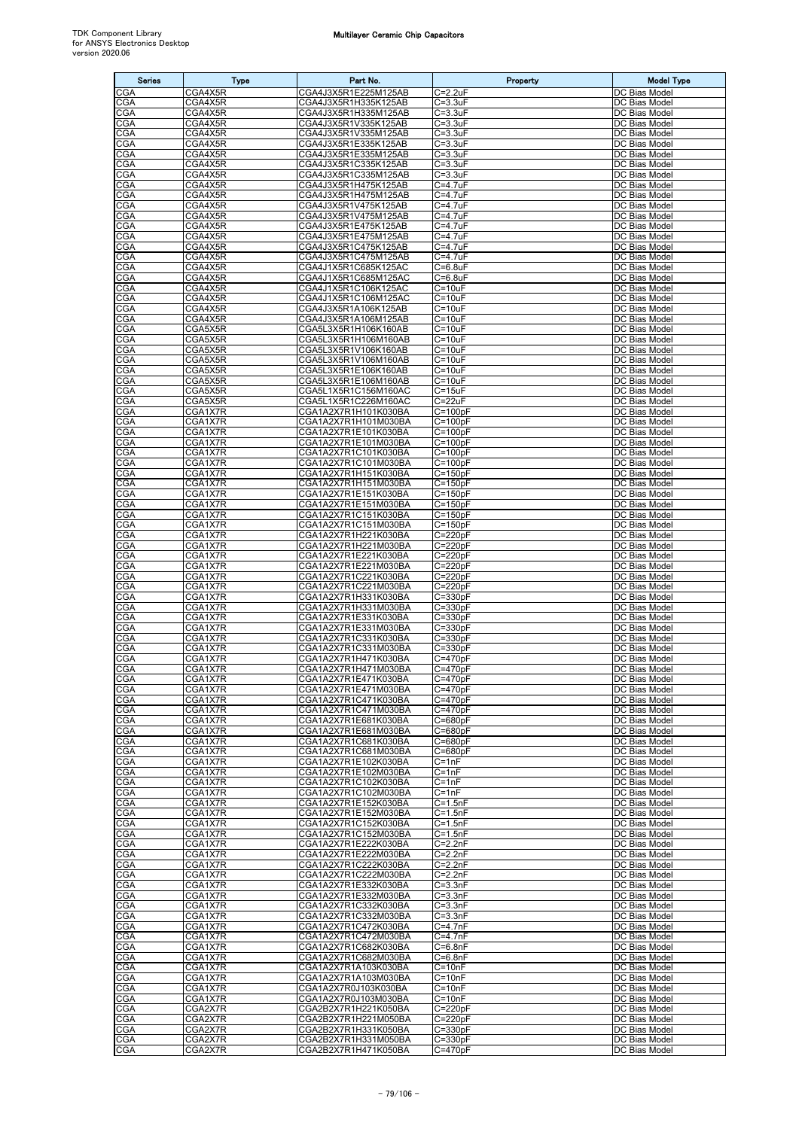| <b>Series</b>     | <b>Type</b>        | Part No.                                     | Property                   | <b>Model Type</b>              |
|-------------------|--------------------|----------------------------------------------|----------------------------|--------------------------------|
| CGA               | CGA4X5R            | CGA4J3X5R1E225M125AB                         | C=2.2uF                    | DC Bias Model                  |
| CGA<br>CGA        | CGA4X5R<br>CGA4X5R | CGA4J3X5R1H335K125AB<br>CGA4J3X5R1H335M125AB | $C = 3.3uF$<br>C=3.3uF     | DC Bias Model<br>DC Bias Model |
| CGA               | CGA4X5R            | CGA4J3X5R1V335K125AB                         | $C = 3.3uF$                | DC Bias Model                  |
| CGA               | CGA4X5R            | CGA4J3X5R1V335M125AB                         | $C = 3.3uF$                | DC Bias Model                  |
| CGA<br><b>CGA</b> | CGA4X5R<br>CGA4X5R | CGA4J3X5R1E335K125AB<br>CGA4J3X5R1E335M125AB | $C = 3.3uF$<br>$C = 3.3uF$ | DC Bias Model<br>DC Bias Model |
| CGA               | CGA4X5R            | CGA4J3X5R1C335K125AB                         | $C = 3.3uF$                | DC Bias Model                  |
| CGA               | CGA4X5R            | CGA4J3X5R1C335M125AB                         | $C = 3.3uF$                | DC Bias Model                  |
| CGA               | CGA4X5R            | CGA4J3X5R1H475K125AB                         | C=4.7uF                    | DC Bias Model                  |
| CGA<br>CGA        | CGA4X5R<br>CGA4X5R | CGA4J3X5R1H475M125AB<br>CGA4J3X5R1V475K125AB | C=4.7uF<br>C=4.7uF         | DC Bias Model<br>DC Bias Model |
| CGA               | CGA4X5R            | CGA4J3X5R1V475M125AB                         | C=4.7uF                    | DC Bias Model                  |
| <b>CGA</b>        | CGA4X5R            | CGA4J3X5R1E475K125AB                         | $C = 4.7uF$                | DC Bias Model                  |
| CGA<br>CGA        | CGA4X5R<br>CGA4X5R | CGA4J3X5R1E475M125AB<br>CGA4J3X5R1C475K125AB | C=4.7uF<br>C=4.7uF         | DC Bias Model<br>DC Bias Model |
| CGA               | CGA4X5R            | CGA4J3X5R1C475M125AB                         | C=4.7uF                    | DC Bias Model                  |
| CGA               | CGA4X5R            | CGA4J1X5R1C685K125AC                         | C=6.8uF                    | DC Bias Model                  |
| CGA<br>CGA        | CGA4X5R<br>CGA4X5R | CGA4J1X5R1C685M125AC<br>CGA4J1X5R1C106K125AC | C=6.8uF<br>$C = 10uF$      | DC Bias Model<br>DC Bias Model |
| CGA               | CGA4X5R            | CGA4J1X5R1C106M125AC                         | $C = 10uF$                 | DC Bias Model                  |
| CGA               | CGA4X5R            | CGA4J3X5R1A106K125AB                         | $C = 10uF$                 | DC Bias Model                  |
| <b>CGA</b><br>CGA | CGA4X5R<br>CGA5X5R | CGA4J3X5R1A106M125AB<br>CGA5L3X5R1H106K160AB | $C = 10uF$<br>$C = 10uF$   | DC Bias Model<br>DC Bias Model |
| CGA               | CGA5X5R            | CGA5L3X5R1H106M160AB                         | $C = 10uF$                 | DC Bias Model                  |
| CGA               | CGA5X5R            | CGA5L3X5R1V106K160AB                         | $C = 10uF$                 | DC Bias Model                  |
| CGA               | CGA5X5R            | CGA5L3X5R1V106M160AB<br>CGA5L3X5R1E106K160AB | $C = 10uF$                 | DC Bias Model                  |
| CGA<br>CGA        | CGA5X5R<br>CGA5X5R | CGA5L3X5R1E106M160AB                         | $C = 10uF$<br>$C = 10uF$   | DC Bias Model<br>DC Bias Model |
| CGA               | CGA5X5R            | CGA5L1X5R1C156M160AC                         | $C = 15uF$                 | DC Bias Model                  |
| CGA               | CGA5X5R            | CGA5L1X5R1C226M160AC                         | $C = 22uF$                 | DC Bias Model                  |
| <b>CGA</b><br>CGA | CGA1X7R<br>CGA1X7R | CGA1A2X7R1H101K030BA<br>CGA1A2X7R1H101M030BA | $C = 100pF$<br>$C=100pF$   | DC Bias Model<br>DC Bias Model |
| CGA               | CGA1X7R            | CGA1A2X7R1E101K030BA                         | C=100pF                    | DC Bias Model                  |
| CGA               | CGA1X7R            | CGA1A2X7R1E101M030BA                         | $C = 100pF$                | DC Bias Model                  |
| CGA<br>CGA        | CGA1X7R<br>CGA1X7R | CGA1A2X7R1C101K030BA<br>CGA1A2X7R1C101M030BA | $C=100pF$<br>$C=100pF$     | DC Bias Model<br>DC Bias Model |
| CGA               | CGA1X7R            | CGA1A2X7R1H151K030BA                         | $C = 150pF$                | DC Bias Model                  |
| <b>CGA</b>        | CGA1X7R            | CGA1A2X7R1H151M030BA                         | $C = 150pF$                | DC Bias Model                  |
| CGA<br>CGA        | CGA1X7R<br>CGA1X7R | CGA1A2X7R1E151K030BA<br>CGA1A2X7R1E151M030BA | $C = 150pF$<br>$C = 150pF$ | DC Bias Model<br>DC Bias Model |
| CGA               | CGA1X7R            | CGA1A2X7R1C151K030BA                         | $C = 150pF$                | DC Bias Model                  |
| CGA               | CGA1X7R            | CGA1A2X7R1C151M030BA                         | C=150pF                    | DC Bias Model                  |
| CGA<br><b>CGA</b> | CGA1X7R            | CGA1A2X7R1H221K030BA                         | C=220pF                    | DC Bias Model<br>DC Bias Model |
| CGA               | CGA1X7R<br>CGA1X7R | CGA1A2X7R1H221M030BA<br>CGA1A2X7R1E221K030BA | C=220pF<br>$C = 220pF$     | DC Bias Model                  |
| CGA               | CGA1X7R            | CGA1A2X7R1E221M030BA                         | $C = 220pF$                | DC Bias Model                  |
| <b>CGA</b>        | CGA1X7R            | CGA1A2X7R1C221K030BA                         | $C = 220pF$                | <b>DC</b> Bias Model           |
| CGA<br>CGA        | CGA1X7R<br>CGA1X7R | CGA1A2X7R1C221M030BA<br>CGA1A2X7R1H331K030BA | C=220pF<br>$C = 330pF$     | DC Bias Model<br>DC Bias Model |
| CGA               | CGA1X7R            | CGA1A2X7R1H331M030BA                         | $C = 330pF$                | DC Bias Model                  |
| CGA               | CGA1X7R            | CGA1A2X7R1E331K030BA                         | $C = 330pF$                | DC Bias Model                  |
| <b>CGA</b><br>CGA | CGA1X7R<br>CGA1X7R | CGA1A2X7R1E331M030BA<br>CGA1A2X7R1C331K030BA | $C = 330pF$<br>$C = 330pF$ | DC Bias Model<br>DC Bias Model |
| <b>CGA</b>        | CGA1X7R            | CGA1A2X7R1C331M030BA                         | $C = 330pF$                | DC Bias Model                  |
| CGA               | CGA1X7R            | CGA1A2X7R1H471K030BA                         | $C = 470pF$                | DC Bias Model                  |
| <b>CGA</b><br>CGA | CGA1X7R<br>CGA1X7R | CGA1A2X7R1H471M030BA<br>CGA1A2X7R1E471K030BA | $C = 470pF$<br>$C = 470pF$ | DC Bias Model<br>DC Bias Model |
| CGA               | CGA1X7R            | CGA1A2X7R1E471M030BA                         | $C = 470pF$                | DC Bias Model                  |
| <b>CGA</b>        | CGA1X7R            | CGA1A2X7R1C471K030BA                         | $C = 470pF$                | DC Bias Model                  |
| CGA<br>CGA        | CGA1X7R<br>CGA1X7R | CGA1A2X7R1C471M030BA<br>CGA1A2X7R1E681K030BA | $C = 470pF$<br>$C = 680pF$ | DC Bias Model<br>DC Bias Model |
| CGA               | CGA1X7R            | CGA1A2X7R1E681M030BA                         | $C = 680pF$                | DC Bias Model                  |
| <b>CGA</b>        | CGA1X7R            | CGA1A2X7R1C681K030BA                         | $C = 680pF$                | DC Bias Model                  |
| CGA<br>CGA        | CGA1X7R<br>CGA1X7R | CGA1A2X7R1C681M030BA<br>CGA1A2X7R1E102K030BA | $C = 680pF$<br>$C = 1nF$   | DC Bias Model<br>DC Bias Model |
| CGA               | CGA1X7R            | CGA1A2X7R1E102M030BA                         | $C = 1nF$                  | DC Bias Model                  |
| CGA               | CGA1X7R            | CGA1A2X7R1C102K030BA                         | $C = 1nF$                  | DC Bias Model                  |
| CGA               | CGA1X7R            | CGA1A2X7R1C102M030BA                         | $C = 1nF$                  | DC Bias Model                  |
| CGA<br>CGA        | CGA1X7R<br>CGA1X7R | CGA1A2X7R1E152K030BA<br>CGA1A2X7R1E152M030BA | $C = 1.5nF$<br>$C = 1.5nF$ | DC Bias Model<br>DC Bias Model |
| <b>CGA</b>        | CGA1X7R            | CGA1A2X7R1C152K030BA                         | $C = 1.5nF$                | DC Bias Model                  |
| CGA               | CGA1X7R            | CGA1A2X7R1C152M030BA                         | $C = 1.5nF$                | DC Bias Model                  |
| <b>CGA</b><br>CGA | CGA1X7R<br>CGA1X7R | CGA1A2X7R1E222K030BA<br>CGA1A2X7R1E222M030BA | $C = 2.2nF$<br>$C = 2.2nF$ | DC Bias Model<br>DC Bias Model |
| CGA               | CGA1X7R            | CGA1A2X7R1C222K030BA                         | $C = 2.2nF$                | DC Bias Model                  |
| CGA               | CGA1X7R            | CGA1A2X7R1C222M030BA                         | $C = 2.2nF$                | DC Bias Model                  |
| CGA<br><b>CGA</b> | CGA1X7R<br>CGA1X7R | CGA1A2X7R1E332K030BA<br>CGA1A2X7R1E332M030BA | $C = 3.3nF$<br>$C = 3.3nF$ | DC Bias Model<br>DC Bias Model |
| CGA               | CGA1X7R            | CGA1A2X7R1C332K030BA                         | $C = 3.3nF$                | DC Bias Model                  |
| <b>CGA</b>        | CGA1X7R            | CGA1A2X7R1C332M030BA                         | $C = 3.3nF$                | DC Bias Model                  |
| CGA<br>CGA        | CGA1X7R<br>CGA1X7R | CGA1A2X7R1C472K030BA<br>CGA1A2X7R1C472M030BA | $C = 4.7nF$<br>$C = 4.7nF$ | DC Bias Model<br>DC Bias Model |
| CGA               | CGA1X7R            | CGA1A2X7R1C682K030BA                         | $C = 6.8nF$                | DC Bias Model                  |
| CGA               | CGA1X7R            | CGA1A2X7R1C682M030BA                         | $C = 6.8nF$                | DC Bias Model                  |
| CGA               | CGA1X7R            | CGA1A2X7R1A103K030BA                         | $C = 10nF$                 | DC Bias Model                  |
| CGA<br><b>CGA</b> | CGA1X7R<br>CGA1X7R | CGA1A2X7R1A103M030BA<br>CGA1A2X7R0J103K030BA | $C = 10nF$<br>$C = 10nF$   | DC Bias Model<br>DC Bias Model |
| CGA               | CGA1X7R            | CGA1A2X7R0J103M030BA                         | $C = 10nF$                 | DC Bias Model                  |
| CGA               | CGA2X7R            | CGA2B2X7R1H221K050BA                         | $C = 220pF$                | DC Bias Model                  |
| CGA<br>CGA        | CGA2X7R<br>CGA2X7R | CGA2B2X7R1H221M050BA<br>CGA2B2X7R1H331K050BA | $C = 220pF$<br>$C = 330pF$ | DC Bias Model<br>DC Bias Model |
| <b>CGA</b>        | CGA2X7R            | CGA2B2X7R1H331M050BA                         | $C = 330pF$                | DC Bias Model                  |
| CGA               | CGA2X7R            | CGA2B2X7R1H471K050BA                         | $C = 470pF$                | DC Bias Model                  |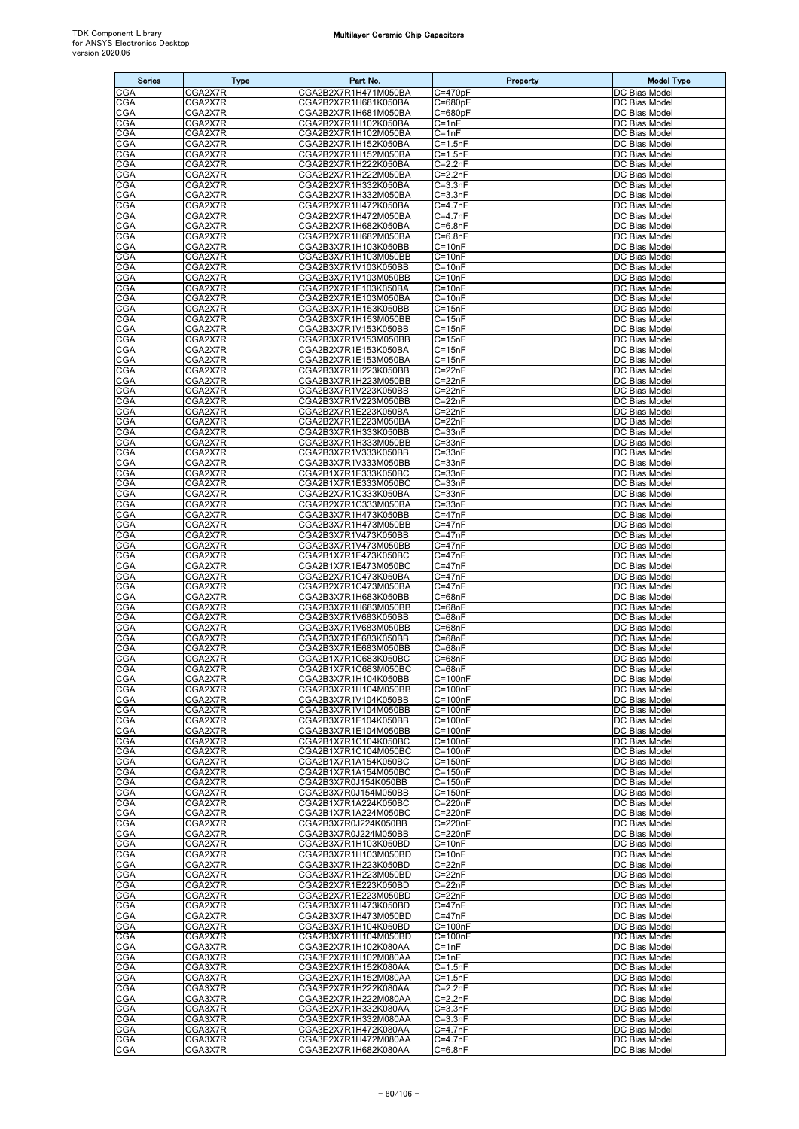| <b>Series</b>     | <b>Type</b>        | Part No.                                     | Property                   | <b>Model Type</b>              |
|-------------------|--------------------|----------------------------------------------|----------------------------|--------------------------------|
| CGA               | CGA2X7R            | CGA2B2X7R1H471M050BA                         | $C = 470pF$                | DC Bias Model                  |
| <b>CGA</b>        | CGA2X7R            | CGA2B2X7R1H681K050BA<br>CGA2B2X7R1H681M050BA | $C = 680pF$                | DC Bias Model                  |
| CGA<br>CGA        | CGA2X7R<br>CGA2X7R | CGA2B2X7R1H102K050BA                         | $C = 680pF$<br>$C = 1nF$   | DC Bias Model<br>DC Bias Model |
| CGA               | CGA2X7R            | CGA2B2X7R1H102M050BA                         | $C = 1nF$                  | DC Bias Model                  |
| CGA               | CGA2X7R            | CGA2B2X7R1H152K050BA                         | $C = 1.5nF$                | DC Bias Model                  |
| CGA               | CGA2X7R            | CGA2B2X7R1H152M050BA                         | $C = 1.5nF$                | DC Bias Model                  |
| CGA<br>CGA        | CGA2X7R<br>CGA2X7R | CGA2B2X7R1H222K050BA<br>CGA2B2X7R1H222M050BA | $C = 2.2nF$<br>$C = 2.2nF$ | DC Bias Model<br>DC Bias Model |
| <b>CGA</b>        | CGA2X7R            | CGA2B2X7R1H332K050BA                         | $C = 3.3nF$                | DC Bias Model                  |
| CGA               | CGA2X7R            | CGA2B2X7R1H332M050BA                         | $C = 3.3nF$                | DC Bias Model                  |
| CGA               | CGA2X7R            | CGA2B2X7R1H472K050BA                         | $C = 4.7nF$                | DC Bias Model<br>DC Bias Model |
| CGA<br>CGA        | CGA2X7R<br>CGA2X7R | CGA2B2X7R1H472M050BA<br>CGA2B2X7R1H682K050BA | $C = 4.7nF$<br>$C = 6.8nF$ | DC Bias Model                  |
| CGA               | CGA2X7R            | CGA2B2X7R1H682M050BA                         | $C = 6.8nF$                | DC Bias Model                  |
| CGA               | CGA2X7R            | CGA2B3X7R1H103K050BB                         | $C = 10nF$                 | DC Bias Model                  |
| CGA               | CGA2X7R            | CGA2B3X7R1H103M050BB                         | $C = 10nF$                 | DC Bias Model                  |
| CGA<br>CGA        | CGA2X7R<br>CGA2X7R | CGA2B3X7R1V103K050BB<br>CGA2B3X7R1V103M050BB | $C = 10nF$<br>$C = 10nF$   | DC Bias Model<br>DC Bias Model |
| CGA               | CGA2X7R            | CGA2B2X7R1E103K050BA                         | $C = 10nF$                 | DC Bias Model                  |
| CGA               | CGA2X7R            | CGA2B2X7R1E103M050BA                         | $C = 10nF$                 | DC Bias Model                  |
| CGA<br>CGA        | CGA2X7R<br>CGA2X7R | CGA2B3X7R1H153K050BB<br>CGA2B3X7R1H153M050BB | $C = 15nF$<br>$C = 15nF$   | DC Bias Model<br>DC Bias Model |
| CGA               | CGA2X7R            | CGA2B3X7R1V153K050BB                         | $C = 15nF$                 | DC Bias Model                  |
| CGA               | CGA2X7R            | CGA2B3X7R1V153M050BB                         | $C = 15nF$                 | DC Bias Model                  |
| CGA               | CGA2X7R            | CGA2B2X7R1E153K050BA                         | $C = 15nF$                 | DC Bias Model                  |
| CGA<br><b>CGA</b> | CGA2X7R<br>CGA2X7R | CGA2B2X7R1E153M050BA<br>CGA2B3X7R1H223K050BB | $C = 15nF$<br>$C = 22nF$   | DC Bias Model<br>DC Bias Model |
| CGA               | CGA2X7R            | CGA2B3X7R1H223M050BB                         | $C = 22nF$                 | DC Bias Model                  |
| CGA               | CGA2X7R            | CGA2B3X7R1V223K050BB                         | $C = 22nF$                 | DC Bias Model                  |
| CGA               | CGA2X7R            | CGA2B3X7R1V223M050BB                         | $C = 22nF$                 | DC Bias Model                  |
| CGA               | CGA2X7R            | CGA2B2X7R1E223K050BA                         | $C = 22nF$                 | DC Bias Model<br>DC Bias Model |
| CGA<br>CGA        | CGA2X7R<br>CGA2X7R | CGA2B2X7R1E223M050BA<br>CGA2B3X7R1H333K050BB | $C = 22nF$<br>$C = 33nF$   | DC Bias Model                  |
| <b>CGA</b>        | CGA2X7R            | CGA2B3X7R1H333M050BB                         | $C = 33nF$                 | DC Bias Model                  |
| CGA               | CGA2X7R            | CGA2B3X7R1V333K050BB                         | $C = 33nF$                 | DC Bias Model                  |
| CGA<br>CGA        | CGA2X7R<br>CGA2X7R | CGA2B3X7R1V333M050BB<br>CGA2B1X7R1E333K050BC | $C = 33nF$<br>$C = 33nF$   | DC Bias Model<br>DC Bias Model |
| CGA               | CGA2X7R            | CGA2B1X7R1E333M050BC                         | $C = 33nF$                 | DC Bias Model                  |
| CGA               | CGA2X7R            | CGA2B2X7R1C333K050BA                         | $C = 33nF$                 | DC Bias Model                  |
| CGA               | CGA2X7R            | CGA2B2X7R1C333M050BA                         | $C = 33nF$                 | DC Bias Model                  |
| CGA<br>CGA        | CGA2X7R<br>CGA2X7R | CGA2B3X7R1H473K050BB<br>CGA2B3X7R1H473M050BB | $C = 47nF$<br>$C = 47nF$   | DC Bias Model<br>DC Bias Model |
| CGA               | CGA2X7R            | CGA2B3X7R1V473K050BB                         | $C = 47nF$                 | DC Bias Model                  |
| CGA               | CGA2X7R            | CGA2B3X7R1V473M050BB                         | $C = 47nF$                 | DC Bias Model                  |
| CGA               | CGA2X7R            | CGA2B1X7R1E473K050BC                         | $C = 47nF$                 | DC Bias Model                  |
| CGA<br>CGA        | CGA2X7R<br>CGA2X7R | CGA2B1X7R1E473M050BC<br>CGA2B2X7R1C473K050BA | $C = 47nF$<br>$C = 47nF$   | DC Bias Model<br>DC Bias Model |
| CGA               | CGA2X7R            | CGA2B2X7R1C473M050BA                         | $C = 47nF$                 | DC Bias Model                  |
| CGA               | CGA2X7R            | CGA2B3X7R1H683K050BB                         | $C = 68nF$                 | DC Bias Model                  |
| CGA               | CGA2X7R            | CGA2B3X7R1H683M050BB                         | $C = 68nF$                 | DC Bias Model                  |
| CGA<br>CGA        | CGA2X7R<br>CGA2X7R | CGA2B3X7R1V683K050BB<br>CGA2B3X7R1V683M050BB | $C = 68nF$<br>$C = 68nF$   | DC Bias Model<br>DC Bias Model |
| CGA               | CGA2X7R            | CGA2B3X7R1E683K050BB                         | $C = 68nF$                 | DC Bias Model                  |
| CGA               | CGA2X7R            | CGA2B3X7R1E683M050BB                         | $C = 68nF$                 | DC Bias Model                  |
| CGA<br>CGA        | CGA2X7R<br>CGA2X7R | CGA2B1X7R1C683K050BC<br>CGA2B1X7R1C683M050BC | $C = 68nF$<br>C=68nF       | DC Bias Model<br>DC Bias Model |
| CGA               | CGA2X7R            | CGA2B3X7R1H104K050BB                         | $C = 100nF$                | DC Bias Model                  |
| CGA               | CGA2X7R            | CGA2B3X7R1H104M050BB                         | $C = 100nF$                | DC Bias Model                  |
| <b>CGA</b>        | CGA2X7R            | CGA2B3X7R1V104K050BB                         | $C = 100nF$                | DC Bias Model                  |
| <b>CGA</b><br>CGA | CGA2X7R<br>CGA2X7R | CGA2B3X7R1V104M050BB<br>CGA2B3X7R1E104K050BB | $C = 100nF$<br>$C = 100nF$ | DC Bias Model<br>DC Bias Model |
| CGA               | CGA2X7R            | CGA2B3X7R1E104M050BB                         | $C = 100nF$                | DC Bias Model                  |
| CGA               | CGA2X7R            | CGA2B1X7R1C104K050BC                         | $C = 100nF$                | DC Bias Model                  |
| CGA               | CGA2X7R            | CGA2B1X7R1C104M050BC                         | $C = 100nF$                | DC Bias Model                  |
| CGA<br>CGA        | CGA2X7R<br>CGA2X7R | CGA2B1X7R1A154K050BC<br>CGA2B1X7R1A154M050BC | $C = 150nF$<br>$C = 150nF$ | DC Bias Model<br>DC Bias Model |
| CGA               | CGA2X7R            | CGA2B3X7R0J154K050BB                         | $C = 150nF$                | DC Bias Model                  |
| CGA               | CGA2X7R            | CGA2B3X7R0J154M050BB                         | $C = 150nF$                | DC Bias Model                  |
| CGA<br>CGA        | CGA2X7R<br>CGA2X7R | CGA2B1X7R1A224K050BC                         | C=220nF<br>C=220nF         | DC Bias Model<br>DC Bias Model |
| CGA               | CGA2X7R            | CGA2B1X7R1A224M050BC<br>CGA2B3X7R0J224K050BB | C=220nF                    | DC Bias Model                  |
| CGA               | CGA2X7R            | CGA2B3X7R0J224M050BB                         | C=220nF                    | DC Bias Model                  |
| <b>CGA</b>        | CGA2X7R            | CGA2B3X7R1H103K050BD                         | $C = 10nF$                 | DC Bias Model                  |
| CGA<br>CGA        | CGA2X7R<br>CGA2X7R | CGA2B3X7R1H103M050BD<br>CGA2B3X7R1H223K050BD | $C = 10nF$<br>$C = 22nF$   | DC Bias Model<br>DC Bias Model |
| CGA               | CGA2X7R            | CGA2B3X7R1H223M050BD                         | $C = 22nF$                 | DC Bias Model                  |
| CGA               | CGA2X7R            | CGA2B2X7R1E223K050BD                         | $C = 22nF$                 | DC Bias Model                  |
| CGA               | CGA2X7R            | CGA2B2X7R1E223M050BD                         | $C = 22nF$                 | DC Bias Model                  |
| CGA<br><b>CGA</b> | CGA2X7R<br>CGA2X7R | CGA2B3X7R1H473K050BD<br>CGA2B3X7R1H473M050BD | $C = 47nF$<br>$C = 47nF$   | DC Bias Model<br>DC Bias Model |
| CGA               | CGA2X7R            | CGA2B3X7R1H104K050BD                         | $C = 100nF$                | DC Bias Model                  |
| CGA               | CGA2X7R            | CGA2B3X7R1H104M050BD                         | $C = 100nF$                | DC Bias Model                  |
| <b>CGA</b>        | CGA3X7R            | CGA3E2X7R1H102K080AA                         | $C = 1nF$                  | DC Bias Model                  |
| <b>CGA</b><br>CGA | CGA3X7R<br>CGA3X7R | CGA3E2X7R1H102M080AA<br>CGA3E2X7R1H152K080AA | $C = 1nF$<br>$C = 1.5nF$   | DC Bias Model<br>DC Bias Model |
| CGA               | CGA3X7R            | CGA3E2X7R1H152M080AA                         | $C = 1.5nF$                | DC Bias Model                  |
| CGA               | CGA3X7R            | CGA3E2X7R1H222K080AA                         | $C = 2.2nF$                | DC Bias Model                  |
| CGA               | CGA3X7R            | CGA3E2X7R1H222M080AA                         | $C=2.2nF$                  | DC Bias Model                  |
| CGA<br>CGA        | CGA3X7R<br>CGA3X7R | CGA3E2X7R1H332K080AA<br>CGA3E2X7R1H332M080AA | $C = 3.3nF$<br>$C = 3.3nF$ | DC Bias Model<br>DC Bias Model |
| CGA               | CGA3X7R            | CGA3E2X7R1H472K080AA                         | $C = 4.7nF$                | DC Bias Model                  |
| <b>CGA</b>        | CGA3X7R            | CGA3E2X7R1H472M080AA                         | $C=4.7nF$                  | DC Bias Model                  |
| CGA               | CGA3X7R            | CGA3E2X7R1H682K080AA                         | $C = 6.8nF$                | DC Bias Model                  |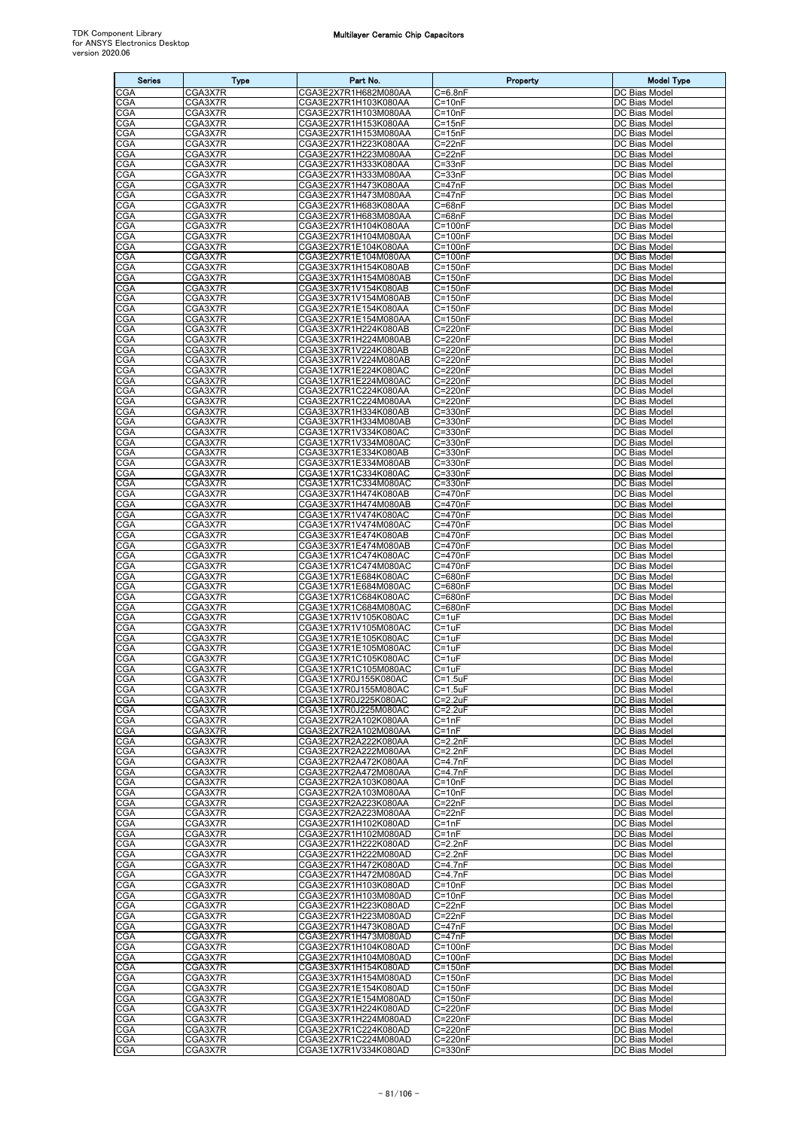| <b>Series</b>            | <b>Type</b>        | Part No.                                     | Property                             | <b>Model Type</b>                     |
|--------------------------|--------------------|----------------------------------------------|--------------------------------------|---------------------------------------|
| CGA                      | CGA3X7R            | CGA3E2X7R1H682M080AA                         | $C = 6.8nF$                          | DC Bias Model                         |
| <b>CGA</b>               | CGA3X7R            | CGA3E2X7R1H103K080AA                         | C=10nF                               | DC Bias Model                         |
| CGA                      | CGA3X7R            | CGA3E2X7R1H103M080AA                         | $C = 10nF$                           | DC Bias Model                         |
| <b>CGA</b><br>CGA        | CGA3X7R<br>CGA3X7R | CGA3E2X7R1H153K080AA<br>CGA3E2X7R1H153M080AA | $C = 15nF$<br>C=15nF                 | DC Bias Model<br>DC Bias Model        |
| CGA                      | CGA3X7R            | CGA3E2X7R1H223K080AA                         | C=22nF                               | DC Bias Model                         |
| CGA                      | CGA3X7R            | CGA3E2X7R1H223M080AA                         | $C = 22nF$                           | DC Bias Model                         |
| CGA                      | CGA3X7R            | CGA3E2X7R1H333K080AA                         | $C = 33nF$                           | DC Bias Model                         |
| CGA<br>CGA               | CGA3X7R<br>CGA3X7R | CGA3E2X7R1H333M080AA<br>CGA3E2X7R1H473K080AA | C=33nF<br>$C = 47nF$                 | DC Bias Model<br>DC Bias Model        |
| CGA                      | CGA3X7R            | CGA3E2X7R1H473M080AA                         | $C = 47nF$                           | DC Bias Model                         |
| CGA                      | CGA3X7R            | CGA3E2X7R1H683K080AA                         | $C = 68nF$                           | DC Bias Model                         |
| CGA<br>CGA               | CGA3X7R<br>CGA3X7R | CGA3E2X7R1H683M080AA<br>CGA3E2X7R1H104K080AA | C=68nF<br>$\overline{C}$ =100nF      | DC Bias Model<br>DC Bias Model        |
| CGA                      | CGA3X7R            | CGA3E2X7R1H104M080AA                         | $C = 100nF$                          | DC Bias Model                         |
| CGA                      | CGA3X7R            | CGA3E2X7R1E104K080AA                         | $C = 100nF$                          | DC Bias Model                         |
| CGA                      | CGA3X7R            | CGA3E2X7R1E104M080AA                         | $C = 100nF$                          | DC Bias Model                         |
| <b>CGA</b><br>CGA        | CGA3X7R<br>CGA3X7R | CGA3E3X7R1H154K080AB<br>CGA3E3X7R1H154M080AB | $C = 150nF$<br>$C = 150nF$           | DC Bias Model<br>DC Bias Model        |
| <b>CGA</b>               | CGA3X7R            | CGA3E3X7R1V154K080AB                         | $C = 150nF$                          | DC Bias Model                         |
| CGA                      | CGA3X7R            | CGA3E3X7R1V154M080AB                         | $\overline{C}$ =150nF                | DC Bias Model                         |
| CGA                      | CGA3X7R            | CGA3E2X7R1E154K080AA                         | $C = 150nF$                          | DC Bias Model                         |
| CGA<br>CGA               | CGA3X7R<br>CGA3X7R | CGA3E2X7R1E154M080AA<br>CGA3E3X7R1H224K080AB | $\overline{C}$ =150nF<br>$C = 220nF$ | DC Bias Model<br>DC Bias Model        |
| CGA                      | CGA3X7R            | CGA3E3X7R1H224M080AB                         | C=220nF                              | DC Bias Model                         |
| CGA                      | CGA3X7R            | CGA3E3X7R1V224K080AB                         | C=220nF                              | DC Bias Model                         |
| <b>CGA</b>               | CGA3X7R            | CGA3E3X7R1V224M080AB                         | C=220nF                              | DC Bias Model                         |
| CGA<br><b>CGA</b>        | CGA3X7R<br>CGA3X7R | CGA3E1X7R1E224K080AC<br>CGA3E1X7R1E224M080AC | C=220nF<br>C=220nF                   | DC Bias Model<br>DC Bias Model        |
| CGA                      | CGA3X7R            | CGA3E2X7R1C224K080AA                         | C=220nF                              | DC Bias Model                         |
| CGA                      | CGA3X7R            | CGA3E2X7R1C224M080AA                         | C=220nF                              | DC Bias Model                         |
| CGA                      | CGA3X7R            | CGA3E3X7R1H334K080AB                         | $C = 330nF$                          | DC Bias Model                         |
| CGA<br>CGA               | CGA3X7R<br>CGA3X7R | CGA3E3X7R1H334M080AB<br>CGA3E1X7R1V334K080AC | $C = 330nF$<br>C=330nF               | DC Bias Model<br>DC Bias Model        |
| CGA                      | CGA3X7R            | CGA3E1X7R1V334M080AC                         | $C = 330nF$                          | DC Bias Model                         |
| CGA                      | CGA3X7R            | CGA3E3X7R1E334K080AB                         | $C = 330nF$                          | DC Bias Model                         |
| CGA                      | CGA3X7R            | CGA3E3X7R1E334M080AB                         | C=330nF                              | DC Bias Model                         |
| CGA<br>CGA               | CGA3X7R<br>CGA3X7R | CGA3E1X7R1C334K080AC<br>CGA3E1X7R1C334M080AC | C=330nF<br>C=330nF                   | DC Bias Model<br>DC Bias Model        |
| CGA                      | CGA3X7R            | CGA3E3X7R1H474K080AB                         | $C = 470nF$                          | DC Bias Model                         |
| CGA                      | CGA3X7R            | CGA3E3X7R1H474M080AB                         | C=470nF                              | DC Bias Model                         |
| CGA<br><b>CGA</b>        | CGA3X7R<br>CGA3X7R | CGA3E1X7R1V474K080AC<br>CGA3E1X7R1V474M080AC | C=470nF<br>C=470nF                   | DC Bias Model<br>DC Bias Model        |
| CGA                      | CGA3X7R            | CGA3E3X7R1E474K080AB                         | C=470nF                              | DC Bias Model                         |
| <b>CGA</b>               | CGA3X7R            | CGA3E3X7R1E474M080AB                         | C=470nF                              | DC Bias Model                         |
| CGA                      | CGA3X7R            | CGA3E1X7R1C474K080AC                         | C=470nF                              | DC Bias Model                         |
| CGA<br>CGA               | CGA3X7R<br>CGA3X7R | CGA3E1X7R1C474M080AC<br>CGA3E1X7R1E684K080AC | $C = 470nF$<br>C=680nF               | DC Bias Model<br>DC Bias Model        |
| <b>CGA</b>               | CGA3X7R            | CGA3E1X7R1E684M080AC                         | C=680nF                              | DC Bias Model                         |
| CGA                      | CGA3X7R            | CGA3E1X7R1C684K080AC                         | $C = 680nF$                          | DC Bias Model                         |
| CGA                      | CGA3X7R            | CGA3E1X7R1C684M080AC                         | C=680nF                              | DC Bias Model                         |
| CGA<br>CGA               | CGA3X7R<br>CGA3X7R | CGA3E1X7R1V105K080AC<br>CGA3E1X7R1V105M080AC | C=1uF<br>$C = 1uF$                   | DC Bias Model<br>DC Bias Model        |
| CGA                      | CGA3X7R            | CGA3E1X7R1E105K080AC                         | C=1uF                                | DC Bias Model                         |
| CGA                      | CGA3X7R            | CGA3E1X7R1E105M080AC                         | $C = 1uF$                            | DC Bias Model                         |
| CGA<br>CGA               | CGA3X7R<br>CGA3X7R | CGA3E1X7R1C105K080AC<br>CGA3E1X7R1C105M080AC | $C = 1uF$<br>$C = 1uF$               | DC Bias Model<br>DC Bias Model        |
| CGA                      | CGA3X7R            | CGA3E1X7R0J155K080AC                         | $C = 1.5$ uF                         | DC Bias Model                         |
| CGA                      | CGA3X7R            | CGA3E1X7R0J155M080AC                         | $C = 1.5$ u $F$                      | DC Bias Model                         |
| <b>CGA</b>               | CGA3X7R<br>CGA3X7R | CGA3E1X7R0J225K080AC                         | $C = 2.2uF$                          | DC Bias Model                         |
| CGA<br>CGA               | CGA3X7R            | CGA3E1X7R0J225M080AC<br>CGA3E2X7R2A102K080AA | $C = 2.2uF$<br>$C = 1nF$             | DC Bias Model<br>DC Bias Model        |
| CGA                      | CGA3X7R            | CGA3E2X7R2A102M080AA                         | $C = 1nF$                            | DC Bias Model                         |
| CGA                      | CGA3X7R            | CGA3E2X7R2A222K080AA                         | $C = 2.2nF$                          | DC Bias Model                         |
| CGA<br>CGA               | CGA3X7R<br>CGA3X7R | CGA3E2X7R2A222M080AA<br>CGA3E2X7R2A472K080AA | $C=2.2nF$<br>$C=4.7nF$               | DC Bias Model<br>DC Bias Model        |
| <b>CGA</b>               | CGA3X7R            | CGA3E2X7R2A472M080AA                         | $C = 4.7nF$                          | DC Bias Model                         |
| <b>CGA</b>               | CGA3X7R            | CGA3E2X7R2A103K080AA                         | $C = 10nF$                           | DC Bias Model                         |
| CGA                      | CGA3X7R            | CGA3E2X7R2A103M080AA                         | $C = 10nF$                           | DC Bias Model                         |
| <b>CGA</b><br>CGA        | CGA3X7R<br>CGA3X7R | CGA3E2X7R2A223K080AA<br>CGA3E2X7R2A223M080AA | $C = 22nF$<br>$C = 22nF$             | DC Bias Model<br>DC Bias Model        |
| CGA                      | CGA3X7R            | CGA3E2X7R1H102K080AD                         | $C = 1nF$                            | DC Bias Model                         |
| CGA                      | CGA3X7R            | CGA3E2X7R1H102M080AD                         | $C=1nF$                              | DC Bias Model                         |
| <b>CGA</b><br>CGA        | CGA3X7R<br>CGA3X7R | CGA3E2X7R1H222K080AD<br>CGA3E2X7R1H222M080AD | $C=2.2nF$<br>$C=2.2nF$               | DC Bias Model<br>DC Bias Model        |
| CGA                      | CGA3X7R            | CGA3E2X7R1H472K080AD                         | $C = 4.7nF$                          | DC Bias Model                         |
| CGA                      | CGA3X7R            | CGA3E2X7R1H472M080AD                         | $C = 4.7nF$                          | DC Bias Model                         |
| CGA                      | CGA3X7R            | CGA3E2X7R1H103K080AD                         | $C = 10nF$                           | DC Bias Model                         |
| CGA<br><b>CGA</b>        | CGA3X7R<br>CGA3X7R | CGA3E2X7R1H103M080AD<br>CGA3E2X7R1H223K080AD | $C = 10nF$<br>$C = 22nF$             | DC Bias Model<br>DC Bias Model        |
| CGA                      | CGA3X7R            | CGA3E2X7R1H223M080AD                         | $C = 22nF$                           | DC Bias Model                         |
| CGA                      | CGA3X7R            | CGA3E2X7R1H473K080AD                         | $C = 47nF$                           | DC Bias Model                         |
| CGA                      | CGA3X7R            | CGA3E2X7R1H473M080AD                         | $C = 47nF$                           | DC Bias Model                         |
| <b>CGA</b><br><b>CGA</b> | CGA3X7R<br>CGA3X7R | CGA3E2X7R1H104K080AD<br>CGA3E2X7R1H104M080AD | $C = 100nF$<br>$C = 100nF$           | DC Bias Model<br>DC Bias Model        |
| <b>CGA</b>               | CGA3X7R            | CGA3E3X7R1H154K080AD                         | $C = 150nF$                          | DC Bias Model                         |
| CGA                      | CGA3X7R            | CGA3E3X7R1H154M080AD                         | $C = 150nF$                          | DC Bias Model                         |
| CGA<br>CGA               | CGA3X7R<br>CGA3X7R | CGA3E2X7R1E154K080AD<br>CGA3E2X7R1E154M080AD | $C = 150nF$<br>$C = 150nF$           | DC Bias Model<br><b>DC Bias Model</b> |
| CGA                      | CGA3X7R            | CGA3E3X7R1H224K080AD                         | $C = 220nF$                          | DC Bias Model                         |
| CGA                      | CGA3X7R            | CGA3E3X7R1H224M080AD                         | C=220nF                              | DC Bias Model                         |
| CGA                      | CGA3X7R            | CGA3E2X7R1C224K080AD                         | C=220nF                              | DC Bias Model                         |
| <b>CGA</b><br><b>CGA</b> | CGA3X7R<br>CGA3X7R | CGA3E2X7R1C224M080AD<br>CGA3E1X7R1V334K080AD | C=220nF<br>$C = 330nF$               | DC Bias Model<br>DC Bias Model        |
|                          |                    |                                              |                                      |                                       |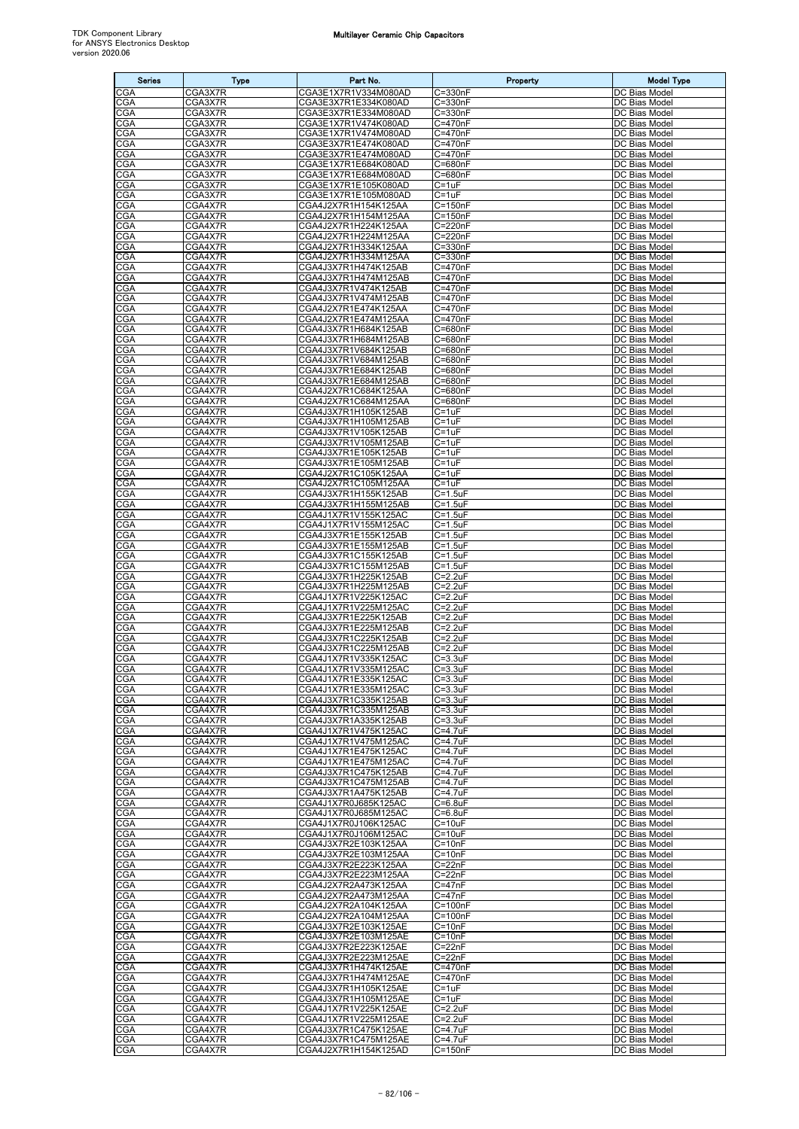| <b>Series</b>            | <b>Type</b>        | Part No.                                     | Property                           | <b>Model Type</b>                     |
|--------------------------|--------------------|----------------------------------------------|------------------------------------|---------------------------------------|
| CGA                      | CGA3X7R            | CGA3E1X7R1V334M080AD                         | $C = 330nF$                        | DC Bias Model                         |
| <b>CGA</b>               | CGA3X7R            | CGA3E3X7R1E334K080AD                         | $C = 330nF$                        | DC Bias Model                         |
| CGA<br><b>CGA</b>        | CGA3X7R<br>CGA3X7R | CGA3E3X7R1E334M080AD<br>CGA3E1X7R1V474K080AD | $C = 330nF$<br>C=470nF             | DC Bias Model<br>DC Bias Model        |
| CGA                      | CGA3X7R            | CGA3E1X7R1V474M080AD                         | C=470nF                            | DC Bias Model                         |
| <b>CGA</b>               | CGA3X7R            | CGA3E3X7R1E474K080AD                         | C=470nF                            | DC Bias Model                         |
| CGA                      | CGA3X7R            | CGA3E3X7R1E474M080AD                         | C=470nF                            | DC Bias Model                         |
| CGA                      | CGA3X7R            | CGA3E1X7R1E684K080AD                         | C=680nF                            | DC Bias Model                         |
| CGA<br><b>CGA</b>        | CGA3X7R<br>CGA3X7R | CGA3E1X7R1E684M080AD<br>CGA3E1X7R1E105K080AD | C=680nF<br>$C = 1uF$               | DC Bias Model<br>DC Bias Model        |
| CGA                      | CGA3X7R            | CGA3E1X7R1E105M080AD                         | C=1uF                              | DC Bias Model                         |
| CGA                      | CGA4X7R            | CGA4J2X7R1H154K125AA                         | $C = 150nF$                        | DC Bias Model                         |
| CGA<br><b>CGA</b>        | CGA4X7R<br>CGA4X7R | CGA4J2X7R1H154M125AA<br>CGA4J2X7R1H224K125AA | $C = 150nF$<br>C=220nF             | DC Bias Model<br>DC Bias Model        |
| CGA                      | CGA4X7R            | CGA4J2X7R1H224M125AA                         | C=220nF                            | DC Bias Model                         |
| CGA                      | CGA4X7R            | CGA4J2X7R1H334K125AA                         | C=330nF                            | DC Bias Model                         |
| CGA                      | CGA4X7R            | CGA4J2X7R1H334M125AA                         | $C = 330nF$                        | DC Bias Model                         |
| CGA<br>CGA               | CGA4X7R<br>CGA4X7R | CGA4J3X7R1H474K125AB<br>CGA4J3X7R1H474M125AB | C=470nF<br>C=470nF                 | DC Bias Model<br>DC Bias Model        |
| <b>CGA</b>               | CGA4X7R            | CGA4J3X7R1V474K125AB                         | C=470nF                            | DC Bias Model                         |
| CGA                      | CGA4X7R            | CGA4J3X7R1V474M125AB                         | C=470nF                            | DC Bias Model                         |
| CGA                      | CGA4X7R            | CGA4J2X7R1E474K125AA                         | C=470nF                            | DC Bias Model                         |
| CGA<br><b>CGA</b>        | CGA4X7R<br>CGA4X7R | CGA4J2X7R1E474M125AA<br>CGA4J3X7R1H684K125AB | C=470nF<br>C=680nF                 | DC Bias Model<br>DC Bias Model        |
| CGA                      | CGA4X7R            | CGA4J3X7R1H684M125AB                         | C=680nF                            | DC Bias Model                         |
| CGA                      | CGA4X7R            | CGA4J3X7R1V684K125AB                         | $C = 680nF$                        | DC Bias Model                         |
| CGA                      | CGA4X7R            | CGA4J3X7R1V684M125AB                         | C=680nF                            | DC Bias Model                         |
| <b>CGA</b><br><b>CGA</b> | CGA4X7R<br>CGA4X7R | CGA4J3X7R1E684K125AB<br>CGA4J3X7R1E684M125AB | $C = 680nF$<br>$C = 680nF$         | DC Bias Model<br>DC Bias Model        |
| CGA                      | CGA4X7R            | CGA4J2X7R1C684K125AA                         | C=680nF                            | DC Bias Model                         |
| <b>CGA</b>               | CGA4X7R            | CGA4J2X7R1C684M125AA                         | C=680nF                            | DC Bias Model                         |
| CGA                      | CGA4X7R            | CGA4J3X7R1H105K125AB                         | $C = 1uF$<br>$C = 1uF$             | DC Bias Model<br>DC Bias Model        |
| CGA<br>CGA               | CGA4X7R<br>CGA4X7R | CGA4J3X7R1H105M125AB<br>CGA4J3X7R1V105K125AB | $C = 1uF$                          | DC Bias Model                         |
| <b>CGA</b>               | CGA4X7R            | CGA4J3X7R1V105M125AB                         | $C = 1uF$                          | DC Bias Model                         |
| CGA                      | CGA4X7R            | CGA4J3X7R1E105K125AB                         | $C = 1uF$                          | DC Bias Model                         |
| CGA                      | CGA4X7R<br>CGA4X7R | CGA4J3X7R1E105M125AB                         | $C = 1uF$<br>C=1uF                 | DC Bias Model<br>DC Bias Model        |
| CGA<br>CGA               | CGA4X7R            | CGA4J2X7R1C105K125AA<br>CGA4J2X7R1C105M125AA | C=1uF                              | DC Bias Model                         |
| CGA                      | CGA4X7R            | CGA4J3X7R1H155K125AB                         | C=1.5uF                            | DC Bias Model                         |
| CGA                      | CGA4X7R            | CGA4J3X7R1H155M125AB                         | $C = 1.5$ u $F$                    | DC Bias Model                         |
| CGA<br>CGA               | CGA4X7R<br>CGA4X7R | CGA4J1X7R1V155K125AC<br>CGA4J1X7R1V155M125AC | $C = 1.5uF$<br>$C = 1.5$ uF        | DC Bias Model<br>DC Bias Model        |
| CGA                      | CGA4X7R            | CGA4J3X7R1E155K125AB                         | $C = 1.5$ uF                       | DC Bias Model                         |
| <b>CGA</b>               | CGA4X7R            | CGA4J3X7R1E155M125AB                         | C=1.5uF                            | DC Bias Model                         |
| CGA                      | CGA4X7R            | CGA4J3X7R1C155K125AB                         | $C = 1.5$ u $F$                    | DC Bias Model                         |
| <b>CGA</b><br>CGA        | CGA4X7R<br>CGA4X7R | CGA4J3X7R1C155M125AB<br>CGA4J3X7R1H225K125AB | $C = 1.5$ uF<br>C=2.2uF            | DC Bias Model<br>DC Bias Model        |
| CGA                      | CGA4X7R            | CGA4J3X7R1H225M125AB                         | $C = 2.2uF$                        | DC Bias Model                         |
| CGA                      | CGA4X7R            | CGA4J1X7R1V225K125AC                         | $C = 2.2uF$                        | DC Bias Model                         |
| CGA                      | CGA4X7R            | CGA4J1X7R1V225M125AC                         | $C = 2.2uF$                        | DC Bias Model                         |
| CGA<br>CGA               | CGA4X7R<br>CGA4X7R | CGA4J3X7R1E225K125AB<br>CGA4J3X7R1E225M125AB | C=2.2uF<br>$C = 2.2uF$             | DC Bias Model<br>DC Bias Model        |
| CGA                      | CGA4X7R            | CGA4J3X7R1C225K125AB                         | $C = 2.2uF$                        | DC Bias Model                         |
| CGA                      | CGA4X7R            | CGA4J3X7R1C225M125AB                         | $C = 2.2uF$                        | DC Bias Model                         |
| CGA<br>CGA               | CGA4X7R<br>CGA4X7R | CGA4J1X7R1V335K125AC<br>CGA4J1X7R1V335M125AC | C=3.3uF<br>$C = 3.3uF$             | DC Bias Model<br>DC Bias Model        |
| <b>CGA</b>               | CGA4X7R            | CGA4J1X7R1E335K125AC                         | $C = 3.3$ uF                       | DC Bias Model                         |
| CGA                      | CGA4X7R            | CGA4J1X7R1E335M125AC                         | $C = 3.3uF$                        | DC Bias Model                         |
| <b>CGA</b>               | CGA4X7R            | CGA4J3X7R1C335K125AB                         | $C = 3.3uF$                        | DC Bias Model                         |
| CGA<br>CGA               | CGA4X7R<br>CGA4X7R | CGA4J3X7R1C335M125AB<br>CGA4J3X7R1A335K125AB | $C = 3.3uF$<br>$C = 3.3uF$         | DC Bias Model<br>DC Bias Model        |
| CGA                      | CGA4X7R            | CGA4J1X7R1V475K125AC                         | $C = 4.7$ uF                       | DC Bias Model                         |
| CGA                      | CGA4X7R            | CGA4J1X7R1V475M125AC                         | $C = 4.7$ u $F$                    | DC Bias Model                         |
| CGA<br>CGA               | CGA4X7R<br>CGA4X7R | CGA4J1X7R1E475K125AC<br>CGA4J1X7R1E475M125AC | $C = 4.7$ u $F$<br>$C = 4.7$ u $F$ | DC Bias Model<br>DC Bias Model        |
| CGA                      | CGA4X7R            | CGA4J3X7R1C475K125AB                         | $C = 4.7uF$                        | DC Bias Model                         |
| CGA                      | CGA4X7R            | CGA4J3X7R1C475M125AB                         | $C = 4.7$ u $F$                    | DC Bias Model                         |
| CGA                      | CGA4X7R            | CGA4J3X7R1A475K125AB                         | $C = 4.7uF$                        | DC Bias Model                         |
| <b>CGA</b><br><b>CGA</b> | CGA4X7R<br>CGA4X7R | CGA4J1X7R0J685K125AC<br>CGA4J1X7R0J685M125AC | $C=6.8$ u $F$<br>$C=6.8$ uF        | DC Bias Model<br><b>DC Bias Model</b> |
| <b>CGA</b>               | CGA4X7R            | CGA4J1X7R0J106K125AC                         | $C = 10uF$                         | DC Bias Model                         |
| CGA                      | CGA4X7R            | CGA4J1X7R0J106M125AC                         | $C = 10uF$                         | DC Bias Model                         |
| CGA                      | CGA4X7R            | CGA4J3X7R2E103K125AA                         | $C = 10nF$                         | DC Bias Model                         |
| CGA<br>CGA               | CGA4X7R<br>CGA4X7R | CGA4J3X7R2E103M125AA<br>CGA4J3X7R2E223K125AA | $C = 10nF$<br>$C = 22nF$           | DC Bias Model<br>DC Bias Model        |
| CGA                      | CGA4X7R            | CGA4J3X7R2E223M125AA                         | $C = 22nF$                         | DC Bias Model                         |
| CGA                      | CGA4X7R            | CGA4J2X7R2A473K125AA                         | $C = 47nF$                         | DC Bias Model                         |
| CGA<br>CGA               | CGA4X7R<br>CGA4X7R | CGA4J2X7R2A473M125AA<br>CGA4J2X7R2A104K125AA | $C = 47nF$<br>$C = 100nF$          | DC Bias Model<br>DC Bias Model        |
| CGA                      | CGA4X7R            | CGA4J2X7R2A104M125AA                         | $C = 100nF$                        | DC Bias Model                         |
| CGA                      | CGA4X7R            | CGA4J3X7R2E103K125AE                         | $C = 10nF$                         | DC Bias Model                         |
| CGA                      | CGA4X7R            | CGA4J3X7R2E103M125AE                         | $C = 10nF$                         | DC Bias Model                         |
| <b>CGA</b><br>CGA        | CGA4X7R<br>CGA4X7R | CGA4J3X7R2E223K125AE<br>CGA4J3X7R2E223M125AE | $C = 22nF$<br>$C = 22nF$           | DC Bias Model<br>DC Bias Model        |
| <b>CGA</b>               | CGA4X7R            | CGA4J3X7R1H474K125AE                         | C=470nF                            | DC Bias Model                         |
| CGA                      | CGA4X7R            | CGA4J3X7R1H474M125AE                         | C=470nF                            | DC Bias Model                         |
| <b>CGA</b>               | CGA4X7R            | CGA4J3X7R1H105K125AE                         | $C = 1uF$<br>$C = 1uF$             | DC Bias Model<br>DC Bias Model        |
| CGA<br>CGA               | CGA4X7R<br>CGA4X7R | CGA4J3X7R1H105M125AE<br>CGA4J1X7R1V225K125AE | $C = 2.2uF$                        | DC Bias Model                         |
| CGA                      | CGA4X7R            | CGA4J1X7R1V225M125AE                         | $C=2.2uF$                          | DC Bias Model                         |
| CGA                      | CGA4X7R            | CGA4J3X7R1C475K125AE                         | $C = 4.7$ uF                       | DC Bias Model                         |
| CGA<br>CGA               | CGA4X7R<br>CGA4X7R | CGA4J3X7R1C475M125AE<br>CGA4J2X7R1H154K125AD | $C = 4.7uF$<br>$C = 150nF$         | DC Bias Model<br>DC Bias Model        |
|                          |                    |                                              |                                    |                                       |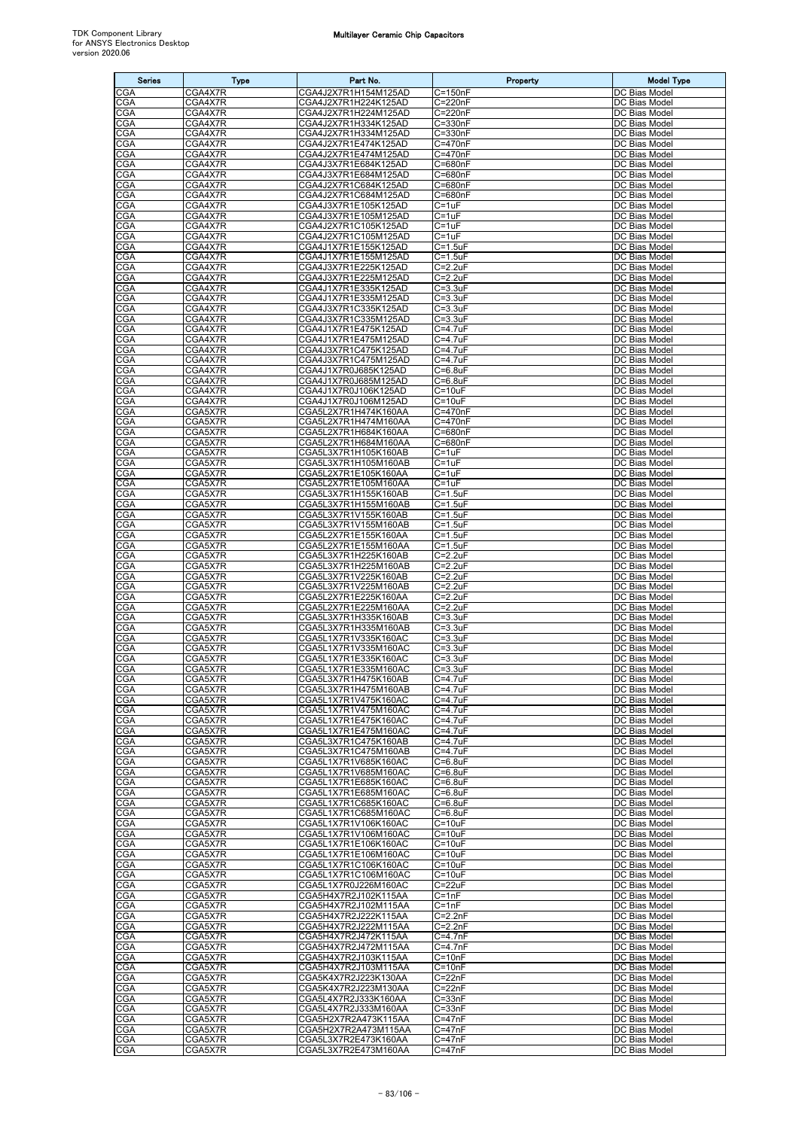| <b>Series</b>            | <b>Type</b>        | Part No.                                     | Property                        | <b>Model Type</b>                     |
|--------------------------|--------------------|----------------------------------------------|---------------------------------|---------------------------------------|
| CGA                      | CGA4X7R            | CGA4J2X7R1H154M125AD                         | $C = 150nF$                     | DC Bias Model                         |
| CGA                      | CGA4X7R            | CGA4J2X7R1H224K125AD                         | C=220nF                         | DC Bias Model                         |
| CGA                      | CGA4X7R            | CGA4J2X7R1H224M125AD                         | C=220nF                         | DC Bias Model                         |
| CGA<br>CGA               | CGA4X7R<br>CGA4X7R | CGA4J2X7R1H334K125AD<br>CGA4J2X7R1H334M125AD | C=330nF<br>C=330nF              | DC Bias Model<br>DC Bias Model        |
| <b>CGA</b>               | CGA4X7R            | CGA4J2X7R1E474K125AD                         | C=470nF                         | DC Bias Model                         |
| CGA                      | CGA4X7R            | CGA4J2X7R1E474M125AD                         | C=470nF                         | DC Bias Model                         |
| CGA                      | CGA4X7R            | CGA4J3X7R1E684K125AD                         | C=680nF                         | DC Bias Model                         |
| CGA<br>CGA               | CGA4X7R<br>CGA4X7R | CGA4J3X7R1E684M125AD<br>CGA4J2X7R1C684K125AD | C=680nF<br>C=680nF              | DC Bias Model<br>DC Bias Model        |
| CGA                      | CGA4X7R            | CGA4J2X7R1C684M125AD                         | C=680nF                         | DC Bias Model                         |
| CGA                      | CGA4X7R            | CGA4J3X7R1E105K125AD                         | $C = 1uF$                       | DC Bias Model                         |
| CGA<br>CGA               | CGA4X7R<br>CGA4X7R | CGA4J3X7R1E105M125AD<br>CGA4J2X7R1C105K125AD | C=1uF<br>$C = 1uF$              | DC Bias Model<br>DC Bias Model        |
| CGA                      | CGA4X7R            | CGA4J2X7R1C105M125AD                         | $C = 1uF$                       | DC Bias Model                         |
| CGA                      | CGA4X7R            | CGA4J1X7R1E155K125AD                         | $C = 1.5uF$                     | DC Bias Model                         |
| <b>CGA</b>               | CGA4X7R            | CGA4J1X7R1E155M125AD                         | $C = 1.5$ uF                    | DC Bias Model                         |
| CGA<br>CGA               | CGA4X7R<br>CGA4X7R | CGA4J3X7R1E225K125AD                         | $C=2.2uF$<br>$C = 2.2uF$        | DC Bias Model<br>DC Bias Model        |
| CGA                      | CGA4X7R            | CGA4J3X7R1E225M125AD<br>CGA4J1X7R1E335K125AD | $C = 3.3uF$                     | DC Bias Model                         |
| CGA                      | CGA4X7R            | CGA4J1X7R1E335M125AD                         | $C = 3.3uF$                     | DC Bias Model                         |
| CGA                      | CGA4X7R            | CGA4J3X7R1C335K125AD                         | C=3.3uF                         | DC Bias Model                         |
| CGA<br>CGA               | CGA4X7R<br>CGA4X7R | CGA4J3X7R1C335M125AD<br>CGA4J1X7R1E475K125AD | $C = 3.3uF$<br>$C = 4.7$ uF     | DC Bias Model<br>DC Bias Model        |
| CGA                      | CGA4X7R            | CGA4J1X7R1E475M125AD                         | C=4.7uF                         | DC Bias Model                         |
| CGA                      | CGA4X7R            | CGA4J3X7R1C475K125AD                         | C=4.7uF                         | DC Bias Model                         |
| CGA                      | CGA4X7R            | CGA4J3X7R1C475M125AD                         | C=4.7uF                         | DC Bias Model                         |
| CGA<br>CGA               | CGA4X7R<br>CGA4X7R | CGA4J1X7R0J685K125AD<br>CGA4J1X7R0J685M125AD | $C = 6.8$ uF<br>$C=6.8$ u $F$   | <b>DC Bias Model</b><br>DC Bias Model |
| CGA                      | CGA4X7R            | CGA4J1X7R0J106K125AD                         | $C = 10uF$                      | DC Bias Model                         |
| CGA                      | CGA4X7R            | CGA4J1X7R0J106M125AD                         | $C = 10uF$                      | DC Bias Model                         |
| CGA                      | CGA5X7R            | CGA5L2X7R1H474K160AA                         | C=470nF                         | DC Bias Model                         |
| CGA<br>CGA               | CGA5X7R<br>CGA5X7R | CGA5L2X7R1H474M160AA<br>CGA5L2X7R1H684K160AA | C=470nF<br>C=680nF              | DC Bias Model<br>DC Bias Model        |
| CGA                      | CGA5X7R            | CGA5L2X7R1H684M160AA                         | C=680nF                         | DC Bias Model                         |
| CGA                      | CGA5X7R            | CGA5L3X7R1H105K160AB                         | C=1uF                           | DC Bias Model                         |
| CGA                      | CGA5X7R            | CGA5L3X7R1H105M160AB                         | $C = 1uF$                       | DC Bias Model                         |
| CGA                      | CGA5X7R            | CGA5L2X7R1E105K160AA                         | C=1uF                           | DC Bias Model                         |
| CGA<br>CGA               | CGA5X7R<br>CGA5X7R | CGA5L2X7R1E105M160AA<br>CGA5L3X7R1H155K160AB | C=1uF<br>$C = 1.5$ uF           | DC Bias Model<br>DC Bias Model        |
| CGA                      | CGA5X7R            | CGA5L3X7R1H155M160AB                         | $C = 1.5uF$                     | DC Bias Model                         |
| CGA                      | CGA5X7R            | CGA5L3X7R1V155K160AB                         | $C = 1.5uF$                     | DC Bias Model                         |
| CGA<br>CGA               | CGA5X7R<br>CGA5X7R | CGA5L3X7R1V155M160AB<br>CGA5L2X7R1E155K160AA | $C = 1.5$ u $F$<br>$C = 1.5$ uF | DC Bias Model<br>DC Bias Model        |
| CGA                      | CGA5X7R            | CGA5L2X7R1E155M160AA                         | $C = 1.5$ uF                    | DC Bias Model                         |
| CGA                      | CGA5X7R            | CGA5L3X7R1H225K160AB                         | $C = 2.2uF$                     | DC Bias Model                         |
| CGA                      | CGA5X7R            | CGA5L3X7R1H225M160AB                         | $C = 2.2uF$                     | DC Bias Model                         |
| CGA<br><b>CGA</b>        | CGA5X7R<br>CGA5X7R | CGA5L3X7R1V225K160AB<br>CGA5L3X7R1V225M160AB | $C = 2.2uF$<br>$C = 2.2uF$      | DC Bias Model<br>DC Bias Model        |
| CGA                      | CGA5X7R            | CGA5L2X7R1E225K160AA                         | $C = 2.2uF$                     | DC Bias Model                         |
| CGA                      | CGA5X7R            | CGA5L2X7R1E225M160AA                         | $C = 2.2uF$                     | DC Bias Model                         |
| <b>CGA</b>               | CGA5X7R            | CGA5L3X7R1H335K160AB                         | $C = 3.3uF$                     | DC Bias Model                         |
| CGA<br>CGA               | CGA5X7R<br>CGA5X7R | CGA5L3X7R1H335M160AB<br>CGA5L1X7R1V335K160AC | $C = 3.3uF$<br>C=3.3uF          | DC Bias Model<br>DC Bias Model        |
| CGA                      | CGA5X7R            | CGA5L1X7R1V335M160AC                         | $C = 3.3uF$                     | DC Bias Model                         |
| CGA                      | CGA5X7R            | CGA5L1X7R1E335K160AC                         | $C = 3.3uF$                     | DC Bias Model                         |
| <b>CGA</b><br><b>CGA</b> | CGA5X7R<br>CGA5X7R | CGA5L1X7R1E335M160AC<br>CGA5L3X7R1H475K160AB | $C = 3.3uF$<br>$C = 4.7uF$      | DC Bias Model<br>DC Bias Model        |
| <b>CGA</b>               | CGA5X7R            | CGA5L3X7R1H475M160AB                         | C=4.7uF                         | DC Bias Model                         |
| CGA                      | CGA5X7R            | CGA5L1X7R1V475K160AC                         | $C = 4.7$ u $F$                 | DC Bias Model                         |
| CGA                      | CGA5X7R            | CGA5L1X7R1V475M160AC                         | $C = 4.7$ u $F$                 | DC Bias Model                         |
| CGA<br><b>CGA</b>        | CGA5X7R<br>CGA5X7R | CGA5L1X7R1E475K160AC<br>CGA5L1X7R1E475M160AC | $C = 4.7$ u $F$<br>$C = 4.7uF$  | DC Bias Model<br>DC Bias Model        |
| CGA                      | CGA5X7R            | CGA5L3X7R1C475K160AB                         | $C = 4.7$ u $F$                 | DC Bias Model                         |
| CGA                      | CGA5X7R            | CGA5L3X7R1C475M160AB                         | $C = 4.7$ u $F$                 | DC Bias Model                         |
| CGA                      | CGA5X7R            | CGA5L1X7R1V685K160AC                         | $C=6.8$ u $F$                   | DC Bias Model                         |
| <b>CGA</b><br>CGA        | CGA5X7R<br>CGA5X7R | CGA5L1X7R1V685M160AC<br>CGA5L1X7R1E685K160AC | $C=6.8$ uF<br>$C=6.8$ u $F$     | DC Bias Model<br>DC Bias Model        |
| CGA                      | CGA5X7R            | CGA5L1X7R1E685M160AC                         | $C=6.8$ u $F$                   | DC Bias Model                         |
| CGA                      | CGA5X7R            | CGA5L1X7R1C685K160AC                         | $C=6.8$ u $F$                   | DC Bias Model                         |
| CGA                      | CGA5X7R            | CGA5L1X7R1C685M160AC                         | $C=6.8$ u $F$                   | DC Bias Model<br>DC Bias Model        |
| CGA<br>CGA               | CGA5X7R<br>CGA5X7R | CGA5L1X7R1V106K160AC<br>CGA5L1X7R1V106M160AC | $C = 10uF$<br>$C = 10uF$        | DC Bias Model                         |
| <b>CGA</b>               | CGA5X7R            | CGA5L1X7R1E106K160AC                         | $C = 10uF$                      | DC Bias Model                         |
| CGA                      | CGA5X7R            | CGA5L1X7R1E106M160AC                         | $C = 10uF$                      | DC Bias Model                         |
| CGA                      | CGA5X7R            | CGA5L1X7R1C106K160AC                         | $C = 10uF$                      | DC Bias Model                         |
| <b>CGA</b><br><b>CGA</b> | CGA5X7R<br>CGA5X7R | CGA5L1X7R1C106M160AC<br>CGA5L1X7R0J226M160AC | $C = 10uF$<br>$C = 22uF$        | DC Bias Model<br>DC Bias Model        |
| CGA                      | CGA5X7R            | CGA5H4X7R2J102K115AA                         | $C = 1nF$                       | DC Bias Model                         |
| CGA                      | CGA5X7R            | CGA5H4X7R2J102M115AA                         | $C = 1nF$                       | DC Bias Model                         |
| CGA<br>CGA               | CGA5X7R<br>CGA5X7R | CGA5H4X7R2J222K115AA<br>CGA5H4X7R2J222M115AA | $C = 2.2nF$<br>$C=2.2nF$        | DC Bias Model<br>DC Bias Model        |
| CGA                      | CGA5X7R            | CGA5H4X7R2J472K115AA                         | $C=4.7nF$                       | DC Bias Model                         |
| <b>CGA</b>               | CGA5X7R            | CGA5H4X7R2J472M115AA                         | $C = 4.7nF$                     | DC Bias Model                         |
| CGA                      | CGA5X7R            | CGA5H4X7R2J103K115AA                         | $C = 10nF$                      | DC Bias Model                         |
| CGA<br>CGA               | CGA5X7R            | CGA5H4X7R2J103M115AA                         | $C = 10nF$                      | DC Bias Model                         |
| CGA                      | CGA5X7R<br>CGA5X7R | CGA5K4X7R2J223K130AA<br>CGA5K4X7R2J223M130AA | $C = 22nF$<br>$C = 22nF$        | DC Bias Model<br>DC Bias Model        |
| <b>CGA</b>               | CGA5X7R            | CGA5L4X7R2J333K160AA                         | $C = 33nF$                      | DC Bias Model                         |
| CGA                      | CGA5X7R            | CGA5L4X7R2J333M160AA                         | $C = 33nF$                      | DC Bias Model                         |
| <b>CGA</b><br><b>CGA</b> | CGA5X7R<br>CGA5X7R | CGA5H2X7R2A473K115AA<br>CGA5H2X7R2A473M115AA | $C = 47nF$<br>$C = 47nF$        | DC Bias Model<br>DC Bias Model        |
| <b>CGA</b>               | CGA5X7R            | CGA5L3X7R2E473K160AA                         | $C = 47nF$                      | DC Bias Model                         |
| CGA                      | CGA5X7R            | CGA5L3X7R2E473M160AA                         | C=47nF                          | DC Bias Model                         |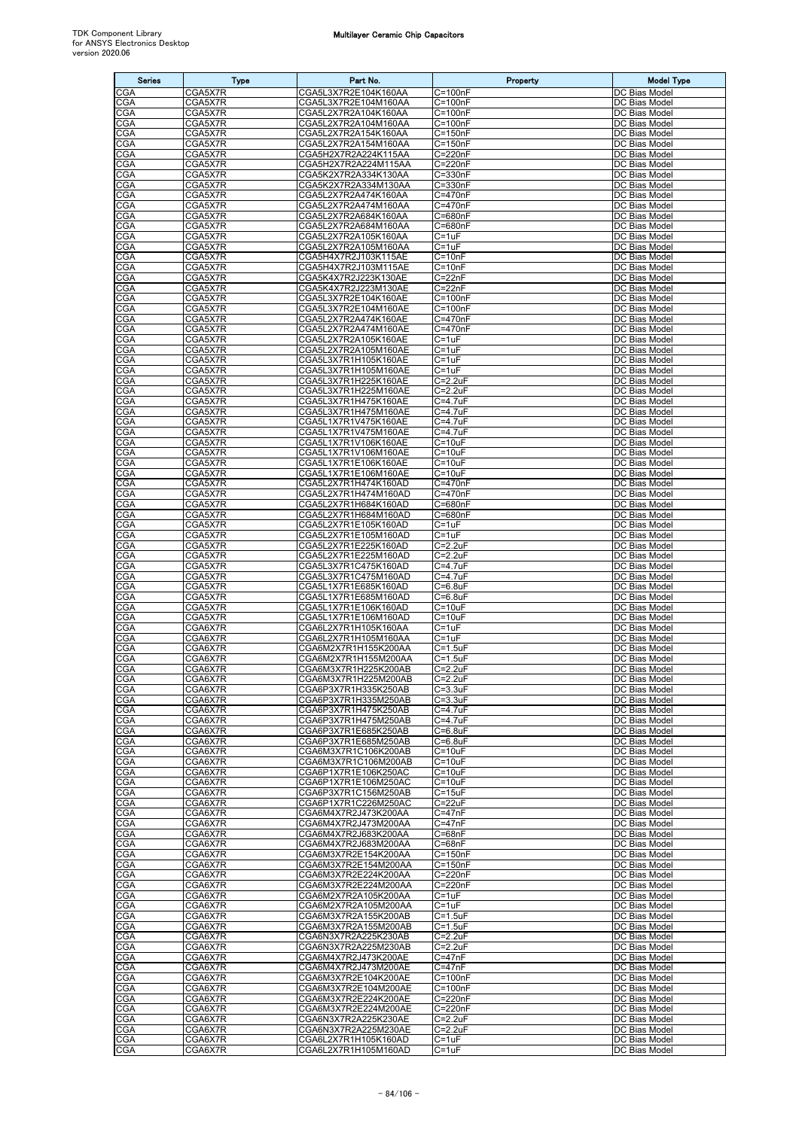| <b>Series</b>     | <b>Type</b>        | Part No.                                     | Property                     | <b>Model Type</b>                     |
|-------------------|--------------------|----------------------------------------------|------------------------------|---------------------------------------|
| CGA               | CGA5X7R            | CGA5L3X7R2E104K160AA                         | $C = 100nF$                  | DC Bias Model                         |
| <b>CGA</b>        | CGA5X7R            | CGA5L3X7R2E104M160AA                         | C=100nF                      | DC Bias Model                         |
| CGA               | CGA5X7R            | CGA5L2X7R2A104K160AA                         | $C = 100nF$                  | DC Bias Model                         |
| <b>CGA</b>        | CGA5X7R            | CGA5L2X7R2A104M160AA                         | $C = 100nF$                  | DC Bias Model                         |
| CGA<br>CGA        | CGA5X7R<br>CGA5X7R | CGA5L2X7R2A154K160AA<br>CGA5L2X7R2A154M160AA | C=150nF<br>$C = 150nF$       | DC Bias Model<br>DC Bias Model        |
| CGA               | CGA5X7R            | CGA5H2X7R2A224K115AA                         | $C = 220nF$                  | DC Bias Model                         |
| CGA               | CGA5X7R            | CGA5H2X7R2A224M115AA                         | C=220nF                      | DC Bias Model                         |
| CGA               | CGA5X7R            | CGA5K2X7R2A334K130AA                         | C=330nF                      | DC Bias Model                         |
| CGA               | CGA5X7R            | CGA5K2X7R2A334M130AA                         | $C = 330nF$                  | DC Bias Model                         |
| CGA<br>CGA        | CGA5X7R            | CGA5L2X7R2A474K160AA<br>CGA5L2X7R2A474M160AA | C=470nF<br>C=470nF           | DC Bias Model<br>DC Bias Model        |
| CGA               | CGA5X7R<br>CGA5X7R | CGA5L2X7R2A684K160AA                         | C=680nF                      | DC Bias Model                         |
| CGA               | CGA5X7R            | CGA5L2X7R2A684M160AA                         | $\overline{C}$ =680nF        | DC Bias Model                         |
| CGA               | CGA5X7R            | CGA5L2X7R2A105K160AA                         | $C = 1uF$                    | DC Bias Model                         |
| <b>CGA</b>        | CGA5X7R            | CGA5L2X7R2A105M160AA                         | C=1uF                        | DC Bias Model                         |
| CGA<br><b>CGA</b> | CGA5X7R<br>CGA5X7R | CGA5H4X7R2J103K115AE<br>CGA5H4X7R2J103M115AE | $C = 10nF$<br>$C = 10nF$     | DC Bias Model<br>DC Bias Model        |
| CGA               | CGA5X7R            | CGA5K4X7R2J223K130AE                         | $C = 22nF$                   | DC Bias Model                         |
| <b>CGA</b>        | CGA5X7R            | CGA5K4X7R2J223M130AE                         | $C = 22nF$                   | DC Bias Model                         |
| CGA               | CGA5X7R            | CGA5L3X7R2E104K160AE                         | $\overline{C}$ =100nF        | DC Bias Model                         |
| CGA               | CGA5X7R            | CGA5L3X7R2E104M160AE                         | $C = 100nF$                  | DC Bias Model                         |
| CGA               | CGA5X7R            | CGA5L2X7R2A474K160AE                         | C=470nF                      | DC Bias Model                         |
| CGA<br>CGA        | CGA5X7R<br>CGA5X7R | CGA5L2X7R2A474M160AE<br>CGA5L2X7R2A105K160AE | C=470nF<br>$C = 1uF$         | DC Bias Model<br>DC Bias Model        |
| CGA               | CGA5X7R            | CGA5L2X7R2A105M160AE                         | C=1uF                        | DC Bias Model                         |
| <b>CGA</b>        | CGA5X7R            | CGA5L3X7R1H105K160AE                         | C=1uF                        | DC Bias Model                         |
| CGA               | CGA5X7R            | CGA5L3X7R1H105M160AE                         | $C = 1uF$                    | DC Bias Model                         |
| <b>CGA</b>        | CGA5X7R            | CGA5L3X7R1H225K160AE                         | $C = 2.2uF$                  | DC Bias Model                         |
| CGA<br>CGA        | CGA5X7R<br>CGA5X7R | CGA5L3X7R1H225M160AE<br>CGA5L3X7R1H475K160AE | C=2.2uF<br>C=4.7uF           | DC Bias Model<br>DC Bias Model        |
| CGA               | CGA5X7R            | CGA5L3X7R1H475M160AE                         | $C = 4.7$ uF                 | DC Bias Model                         |
| CGA               | CGA5X7R            | CGA5L1X7R1V475K160AE                         | $C = 4.7uF$                  | DC Bias Model                         |
| CGA               | CGA5X7R            | CGA5L1X7R1V475M160AE                         | C=4.7uF                      | DC Bias Model                         |
| CGA               | CGA5X7R            | CGA5L1X7R1V106K160AE                         | $C = 10uF$                   | DC Bias Model                         |
| CGA<br>CGA        | CGA5X7R<br>CGA5X7R | CGA5L1X7R1V106M160AE<br>CGA5L1X7R1E106K160AE | $C = 10uF$<br>$C = 10uF$     | DC Bias Model<br>DC Bias Model        |
| CGA               | CGA5X7R            | CGA5L1X7R1E106M160AE                         | C=10uF                       | DC Bias Model                         |
| CGA               | CGA5X7R            | CGA5L2X7R1H474K160AD                         | $C = 470nF$                  | DC Bias Model                         |
| CGA               | CGA5X7R            | CGA5L2X7R1H474M160AD                         | C=470nF                      | DC Bias Model                         |
| CGA               | CGA5X7R            | CGA5L2X7R1H684K160AD                         | C=680nF                      | DC Bias Model                         |
| CGA<br><b>CGA</b> | CGA5X7R<br>CGA5X7R | CGA5L2X7R1H684M160AD<br>CGA5L2X7R1E105K160AD | $C = 680nF$<br>$C = 1uF$     | DC Bias Model<br>DC Bias Model        |
| CGA               | CGA5X7R            | CGA5L2X7R1E105M160AD                         | $C = 1uF$                    | DC Bias Model                         |
| <b>CGA</b>        | CGA5X7R            | CGA5L2X7R1E225K160AD                         | $C = 2.2uF$                  | DC Bias Model                         |
| CGA               | CGA5X7R            | CGA5L2X7R1E225M160AD                         | C=2.2uF                      | DC Bias Model                         |
| CGA               | CGA5X7R            | CGA5L3X7R1C475K160AD                         | $C = 4.7$ uF                 | DC Bias Model                         |
| CGA<br><b>CGA</b> | CGA5X7R<br>CGA5X7R | CGA5L3X7R1C475M160AD<br>CGA5L1X7R1E685K160AD | $C = 4.7uF$<br>$C=6.8$ u $F$ | DC Bias Model<br>DC Bias Model        |
| CGA               | CGA5X7R            | CGA5L1X7R1E685M160AD                         | $C = 6.8$ uF                 | DC Bias Model                         |
| CGA               | CGA5X7R            | CGA5L1X7R1E106K160AD                         | $C = 10uF$                   | DC Bias Model                         |
| CGA               | CGA5X7R            | CGA5L1X7R1E106M160AD                         | $C = 10uF$                   | DC Bias Model                         |
| CGA               | CGA6X7R            | CGA6L2X7R1H105K160AA<br>CGA6L2X7R1H105M160AA | $C = 1uF$                    | DC Bias Model                         |
| CGA<br>CGA        | CGA6X7R<br>CGA6X7R | CGA6M2X7R1H155K200AA                         | C=1uF<br>$C = 1.5$ u $F$     | DC Bias Model<br>DC Bias Model        |
| CGA               | CGA6X7R            | CGA6M2X7R1H155M200AA                         | $C = 1.5$ uF                 | DC Bias Model                         |
| CGA               | CGA6X7R            | CGA6M3X7R1H225K200AB                         | $C = 2.2uF$                  | DC Bias Model                         |
| CGA               | CGA6X7R            | CGA6M3X7R1H225M200AB                         | $C = 2.2uF$                  | DC Bias Model                         |
| CGA<br><b>CGA</b> | CGA6X7R<br>CGA6X7R | CGA6P3X7R1H335K250AB<br>CGA6P3X7R1H335M250AB | $C = 3.3uF$<br>$C = 3.3uF$   | DC Bias Model<br>DC Bias Model        |
| CGA               | CGA6X7R            | CGA6P3X7R1H475K250AB                         | $C = 4.7uF$                  | DC Bias Model                         |
| CGA               | CGA6X7R            | CGA6P3X7R1H475M250AB                         | C=4.7uF                      | DC Bias Model                         |
| CGA               | CGA6X7R            | CGA6P3X7R1E685K250AB                         | $C=6.8$ u $F$                | DC Bias Model                         |
| CGA               | CGA6X7R            | CGA6P3X7R1E685M250AB                         | $C=6.8$ u $F$                | DC Bias Model                         |
| CGA<br>CGA        | CGA6X7R<br>CGA6X7R | CGA6M3X7R1C106K200AB<br>CGA6M3X7R1C106M200AB | $C = 10uF$<br>$C = 10uF$     | DC Bias Model<br>DC Bias Model        |
| <b>CGA</b>        | CGA6X7R            | CGA6P1X7R1E106K250AC                         | $C = 10uF$                   | DC Bias Model                         |
| <b>CGA</b>        | CGA6X7R            | CGA6P1X7R1E106M250AC                         | $C = 10uF$                   | DC Bias Model                         |
| CGA               | CGA6X7R            | CGA6P3X7R1C156M250AB                         | $C = 15uF$                   | <b>DC Bias Model</b>                  |
| <b>CGA</b>        | CGA6X7R            | CGA6P1X7R1C226M250AC                         | $C = 22uF$                   | DC Bias Model                         |
| CGA<br>CGA        | CGA6X7R<br>CGA6X7R | CGA6M4X7R2J473K200AA<br>CGA6M4X7R2J473M200AA | $C = 47nF$<br>$C = 47nF$     | DC Bias Model<br>DC Bias Model        |
| CGA               | CGA6X7R            | CGA6M4X7R2J683K200AA                         | $C = 68nF$                   | DC Bias Model                         |
| <b>CGA</b>        | CGA6X7R            | CGA6M4X7R2J683M200AA                         | $C = 68nF$                   | DC Bias Model                         |
| CGA               | CGA6X7R            | CGA6M3X7R2E154K200AA                         | $C = 150nF$                  | DC Bias Model                         |
| CGA               | CGA6X7R            | CGA6M3X7R2E154M200AA<br>CGA6M3X7R2E224K200AA | $C = 150nF$<br>$C = 220nF$   | DC Bias Model<br>DC Bias Model        |
| CGA<br>CGA        | CGA6X7R<br>CGA6X7R | CGA6M3X7R2E224M200AA                         | $C = 220nF$                  | DC Bias Model                         |
| CGA               | CGA6X7R            | CGA6M2X7R2A105K200AA                         | $C = 1uF$                    | DC Bias Model                         |
| <b>CGA</b>        | CGA6X7R            | CGA6M2X7R2A105M200AA                         | $C = 1uF$                    | DC Bias Model                         |
| CGA               | CGA6X7R            | CGA6M3X7R2A155K200AB                         | $C = 1.5$ uF                 | DC Bias Model                         |
| CGA               | CGA6X7R            | CGA6M3X7R2A155M200AB<br>CGA6N3X7R2A225K230AB | $C = 1.5$ u $F$<br>$C=2.2uF$ | DC Bias Model<br>DC Bias Model        |
| CGA<br><b>CGA</b> | CGA6X7R<br>CGA6X7R | CGA6N3X7R2A225M230AB                         | $C = 2.2uF$                  | DC Bias Model                         |
| <b>CGA</b>        | CGA6X7R            | CGA6M4X7R2J473K200AE                         | $C = 47nF$                   | DC Bias Model                         |
| <b>CGA</b>        | CGA6X7R            | CGA6M4X7R2J473M200AE                         | $C = 47nF$                   | DC Bias Model                         |
| CGA               | CGA6X7R            | CGA6M3X7R2E104K200AE                         | $C = 100nF$                  | DC Bias Model                         |
| CGA               | CGA6X7R            | CGA6M3X7R2E104M200AE                         | $C = 100nF$<br>$C = 220nF$   | DC Bias Model<br><b>DC Bias Model</b> |
| CGA<br>CGA        | CGA6X7R<br>CGA6X7R | CGA6M3X7R2E224K200AE<br>CGA6M3X7R2E224M200AE | $C = 220nF$                  | DC Bias Model                         |
| CGA               | CGA6X7R            | CGA6N3X7R2A225K230AE                         | $C = 2.2uF$                  | DC Bias Model                         |
| CGA               | CGA6X7R            | CGA6N3X7R2A225M230AE                         | $C = 2.2uF$                  | DC Bias Model                         |
| <b>CGA</b>        | CGA6X7R            | CGA6L2X7R1H105K160AD                         | $C = 1uF$                    | DC Bias Model                         |
| <b>CGA</b>        | CGA6X7R            | CGA6L2X7R1H105M160AD                         | $C = 1uF$                    | DC Bias Model                         |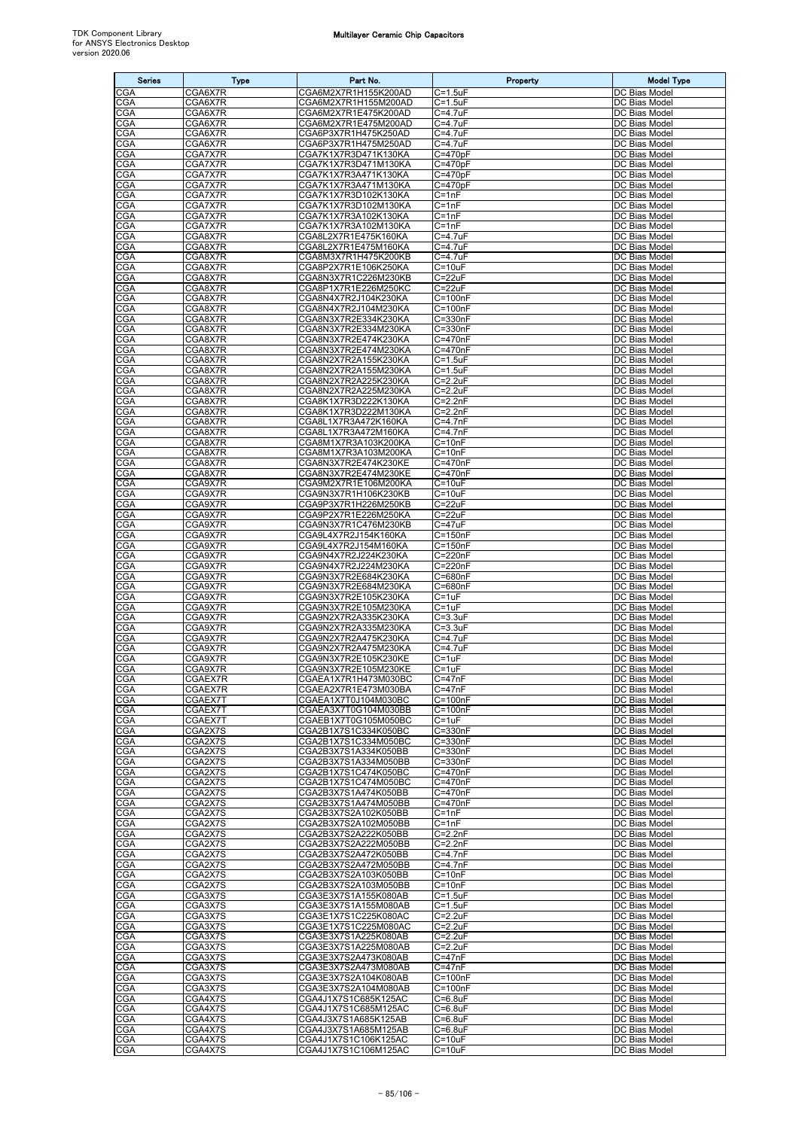| <b>Series</b>            | <b>Type</b>        | Part No.                                     | Property                     | <b>Model Type</b>              |
|--------------------------|--------------------|----------------------------------------------|------------------------------|--------------------------------|
| CGA                      | CGA6X7R            | CGA6M2X7R1H155K200AD                         | $C = 1.5$ uF                 | DC Bias Model                  |
| <b>CGA</b>               | CGA6X7R            | CGA6M2X7R1H155M200AD                         | C=1.5uF                      | DC Bias Model                  |
| CGA                      | CGA6X7R            | CGA6M2X7R1E475K200AD                         | C=4.7uF                      | DC Bias Model                  |
| CGA<br>CGA               | CGA6X7R<br>CGA6X7R | CGA6M2X7R1E475M200AD<br>CGA6P3X7R1H475K250AD | C=4.7uF<br>C=4.7uF           | DC Bias Model<br>DC Bias Model |
| <b>CGA</b>               | CGA6X7R            | CGA6P3X7R1H475M250AD                         | C=4.7uF                      | DC Bias Model                  |
| <b>CGA</b>               | CGA7X7R            | CGA7K1X7R3D471K130KA                         | $C = 470pF$                  | DC Bias Model                  |
| CGA<br>CGA               | CGA7X7R            | CGA7K1X7R3D471M130KA                         | $C = 470pF$                  | DC Bias Model                  |
| CGA                      | CGA7X7R<br>CGA7X7R | CGA7K1X7R3A471K130KA<br>CGA7K1X7R3A471M130KA | $C = 470pF$<br>$C = 470pF$   | DC Bias Model<br>DC Bias Model |
| CGA                      | CGA7X7R            | CGA7K1X7R3D102K130KA                         | $C = 1nF$                    | DC Bias Model                  |
| CGA                      | CGA7X7R            | CGA7K1X7R3D102M130KA                         | $C = 1nF$                    | DC Bias Model                  |
| CGA<br>CGA               | CGA7X7R<br>CGA7X7R | CGA7K1X7R3A102K130KA<br>CGA7K1X7R3A102M130KA | $C = 1nF$<br>$C = 1nF$       | DC Bias Model<br>DC Bias Model |
| CGA                      | CGA8X7R            | CGA8L2X7R1E475K160KA                         | $C = 4.7uF$                  | DC Bias Model                  |
| <b>CGA</b>               | CGA8X7R            | CGA8L2X7R1E475M160KA                         | C=4.7uF                      | DC Bias Model                  |
| <b>CGA</b>               | CGA8X7R            | CGA8M3X7R1H475K200KB                         | C=4.7uF                      | DC Bias Model                  |
| CGA<br>CGA               | CGA8X7R<br>CGA8X7R | CGA8P2X7R1E106K250KA<br>CGA8N3X7R1C226M230KB | $C = 10uF$<br>$C = 22uF$     | DC Bias Model<br>DC Bias Model |
| <b>CGA</b>               | CGA8X7R            | CGA8P1X7R1E226M250KC                         | $C = 22uF$                   | DC Bias Model                  |
| CGA                      | CGA8X7R            | CGA8N4X7R2J104K230KA                         | $C = 100nF$                  | DC Bias Model                  |
| CGA                      | CGA8X7R            | CGA8N4X7R2J104M230KA                         | $C = 100nF$                  | DC Bias Model                  |
| CGA<br>CGA               | CGA8X7R<br>CGA8X7R | CGA8N3X7R2E334K230KA<br>CGA8N3X7R2E334M230KA | C=330nF<br>$C = 330nF$       | DC Bias Model<br>DC Bias Model |
| <b>CGA</b>               | CGA8X7R            | CGA8N3X7R2E474K230KA                         | C=470nF                      | DC Bias Model                  |
| CGA                      | CGA8X7R            | CGA8N3X7R2E474M230KA                         | $C = 470nF$                  | DC Bias Model                  |
| <b>CGA</b>               | CGA8X7R            | CGA8N2X7R2A155K230KA                         | $C = 1.5$ uF                 | DC Bias Model                  |
| CGA<br>CGA               | CGA8X7R<br>CGA8X7R | CGA8N2X7R2A155M230KA<br>CGA8N2X7R2A225K230KA | $C = 1.5$ uF<br>$C = 2.2uF$  | DC Bias Model<br>DC Bias Model |
| CGA                      | CGA8X7R            | CGA8N2X7R2A225M230KA                         | $C = 2.2uF$                  | DC Bias Model                  |
| <b>CGA</b>               | CGA8X7R            | CGA8K1X7R3D222K130KA                         | $C = 2.2nF$                  | DC Bias Model                  |
| <b>CGA</b>               | CGA8X7R            | CGA8K1X7R3D222M130KA                         | $C = 2.2nF$                  | DC Bias Model                  |
| <b>CGA</b><br>CGA        | CGA8X7R<br>CGA8X7R | CGA8L1X7R3A472K160KA<br>CGA8L1X7R3A472M160KA | $C=4.7nF$<br>$C = 4.7nF$     | DC Bias Model<br>DC Bias Model |
| CGA                      | CGA8X7R            | CGA8M1X7R3A103K200KA                         | $C = 10nF$                   | DC Bias Model                  |
| CGA                      | CGA8X7R            | CGA8M1X7R3A103M200KA                         | $C = 10nF$                   | DC Bias Model                  |
| CGA                      | CGA8X7R            | CGA8N3X7R2E474K230KE                         | C=470nF                      | DC Bias Model                  |
| <b>CGA</b><br>CGA        | CGA8X7R<br>CGA9X7R | CGA8N3X7R2E474M230KE<br>CGA9M2X7R1E106M200KA | C=470nF<br>$C = 10uF$        | DC Bias Model<br>DC Bias Model |
| CGA                      | CGA9X7R            | CGA9N3X7R1H106K230KB                         | $C = 10uF$                   | DC Bias Model                  |
| CGA                      | CGA9X7R            | CGA9P3X7R1H226M250KB                         | $C = 22uF$                   | DC Bias Model                  |
| <b>CGA</b>               | CGA9X7R            | CGA9P2X7R1E226M250KA                         | C=22uF                       | DC Bias Model                  |
| CGA<br>CGA               | CGA9X7R<br>CGA9X7R | CGA9N3X7R1C476M230KB<br>CGA9L4X7R2J154K160KA | $C = 47uF$<br>$C = 150nF$    | DC Bias Model<br>DC Bias Model |
| <b>CGA</b>               | CGA9X7R            | CGA9L4X7R2J154M160KA                         | $C = 150nF$                  | DC Bias Model                  |
| CGA                      | CGA9X7R            | CGA9N4X7R2J224K230KA                         | $C = 220nF$                  | DC Bias Model                  |
| CGA                      | CGA9X7R            | CGA9N4X7R2J224M230KA                         | $C = 220nF$                  | DC Bias Model                  |
| CGA<br><b>CGA</b>        | CGA9X7R<br>CGA9X7R | CGA9N3X7R2E684K230KA<br>CGA9N3X7R2E684M230KA | C=680nF<br>C=680nF           | DC Bias Model<br>DC Bias Model |
| <b>CGA</b>               | CGA9X7R            | CGA9N3X7R2E105K230KA                         | $C = 1uF$                    | DC Bias Model                  |
| CGA                      | CGA9X7R            | CGA9N3X7R2E105M230KA                         | $C = 1uF$                    | DC Bias Model                  |
| CGA                      | CGA9X7R            | CGA9N2X7R2A335K230KA                         | $C = 3.3uF$                  | DC Bias Model                  |
| CGA<br>CGA               | CGA9X7R<br>CGA9X7R | CGA9N2X7R2A335M230KA<br>CGA9N2X7R2A475K230KA | $C = 3.3uF$<br>C=4.7uF       | DC Bias Model<br>DC Bias Model |
| CGA                      | CGA9X7R            | CGA9N2X7R2A475M230KA                         | C=4.7uF                      | DC Bias Model                  |
| CGA                      | CGA9X7R            | CGA9N3X7R2E105K230KE                         | $C = 1uF$                    | DC Bias Model                  |
| <b>CGA</b><br><b>CGA</b> | CGA9X7R<br>CGAEX7R | CGA9N3X7R2E105M230KE<br>CGAEA1X7R1H473M030BC | $C = 1uF$<br>$C = 47nF$      | DC Bias Model<br>DC Bias Model |
| CGA                      | CGAEX7R            | CGAEA2X7R1E473M030BA                         | $C = 47nF$                   | DC Bias Model                  |
| CGA                      | CGAEX7T            | CGAEA1X7T0J104M030BC                         | $C = 100nF$                  | DC Bias Model                  |
| CGA                      | CGAEX7T            | CGAEA3X7T0G104M030BB                         | $C = 100nF$                  | DC Bias Model                  |
| CGA<br><b>CGA</b>        | CGAEX7T<br>CGA2X7S | CGAEB1X7T0G105M050BC<br>CGA2B1X7S1C334K050BC | $C = 1uF$<br>$C = 330nF$     | DC Bias Model<br>DC Bias Model |
| CGA                      | CGA2X7S            | CGA2B1X7S1C334M050BC                         | C=330nF                      | DC Bias Model                  |
| CGA                      | CGA2X7S            | CGA2B3X7S1A334K050BB                         | $C = 330nF$                  | DC Bias Model                  |
| <b>CGA</b>               | CGA2X7S            | CGA2B3X7S1A334M050BB                         | $C = 330nF$                  | DC Bias Model                  |
| CGA<br>CGA               | CGA2X7S<br>CGA2X7S | CGA2B1X7S1C474K050BC<br>CGA2B1X7S1C474M050BC | C=470nF<br>C=470nF           | DC Bias Model<br>DC Bias Model |
| CGA                      | CGA2X7S            | CGA2B3X7S1A474K050BB                         | C=470nF                      | <b>DC Bias Model</b>           |
| <b>CGA</b>               | CGA2X7S            | CGA2B3X7S1A474M050BB                         | C=470nF                      | DC Bias Model                  |
| CGA                      | CGA2X7S<br>CGA2X7S | CGA2B3X7S2A102K050BB                         | $C = 1nF$<br>$C = 1nF$       | DC Bias Model<br>DC Bias Model |
| CGA<br>CGA               | CGA2X7S            | CGA2B3X7S2A102M050BB<br>CGA2B3X7S2A222K050BB | $C=2.2nF$                    | DC Bias Model                  |
| <b>CGA</b>               | CGA2X7S            | CGA2B3X7S2A222M050BB                         | $C = 2.2nF$                  | DC Bias Model                  |
| CGA                      | CGA2X7S            | CGA2B3X7S2A472K050BB                         | $C = 4.7nF$                  | DC Bias Model                  |
| CGA<br>CGA               | CGA2X7S<br>CGA2X7S | CGA2B3X7S2A472M050BB<br>CGA2B3X7S2A103K050BB | $C = 4.7nF$<br>$C = 10nF$    | DC Bias Model<br>DC Bias Model |
| CGA                      | CGA2X7S            | CGA2B3X7S2A103M050BB                         | $C = 10nF$                   | DC Bias Model                  |
| CGA                      | CGA3X7S            | CGA3E3X7S1A155K080AB                         | $C = 1.5uF$                  | DC Bias Model                  |
| CGA                      | CGA3X7S            | CGA3E3X7S1A155M080AB                         | $C = 1.5$ u $F$              | DC Bias Model                  |
| CGA<br><b>CGA</b>        | CGA3X7S<br>CGA3X7S | CGA3E1X7S1C225K080AC<br>CGA3E1X7S1C225M080AC | $C = 2.2uF$<br>$C = 2.2uF$   | DC Bias Model<br>DC Bias Model |
| CGA                      | CGA3X7S            | CGA3E3X7S1A225K080AB                         | $C=2.2uF$                    | DC Bias Model                  |
| <b>CGA</b>               | CGA3X7S            | CGA3E3X7S1A225M080AB                         | $C = 2.2uF$                  | DC Bias Model                  |
| CGA                      | CGA3X7S            | CGA3E3X7S2A473K080AB                         | $C = 47nF$                   | DC Bias Model                  |
| CGA<br>CGA               | CGA3X7S<br>CGA3X7S | CGA3E3X7S2A473M080AB<br>CGA3E3X7S2A104K080AB | $C = 47nF$<br>$C = 100nF$    | DC Bias Model<br>DC Bias Model |
| CGA                      | CGA3X7S            | CGA3E3X7S2A104M080AB                         | $C = 100nF$                  | DC Bias Model                  |
| CGA                      | CGA4X7S            | CGA4J1X7S1C685K125AC                         | $C = 6.8$ u $F$              | <b>DC Bias Model</b>           |
| CGA<br><b>CGA</b>        | CGA4X7S<br>CGA4X7S | CGA4J1X7S1C685M125AC                         | $C = 6.8$ uF                 | DC Bias Model<br>DC Bias Model |
| CGA                      | CGA4X7S            | CGA4J3X7S1A685K125AB<br>CGA4J3X7S1A685M125AB | $C = 6.8$ uF<br>$C = 6.8$ uF | DC Bias Model                  |
| <b>CGA</b>               | CGA4X7S            | CGA4J1X7S1C106K125AC                         | $C = 10uF$                   | DC Bias Model                  |
| <b>CGA</b>               | CGA4X7S            | CGA4J1X7S1C106M125AC                         | $C = 10uF$                   | DC Bias Model                  |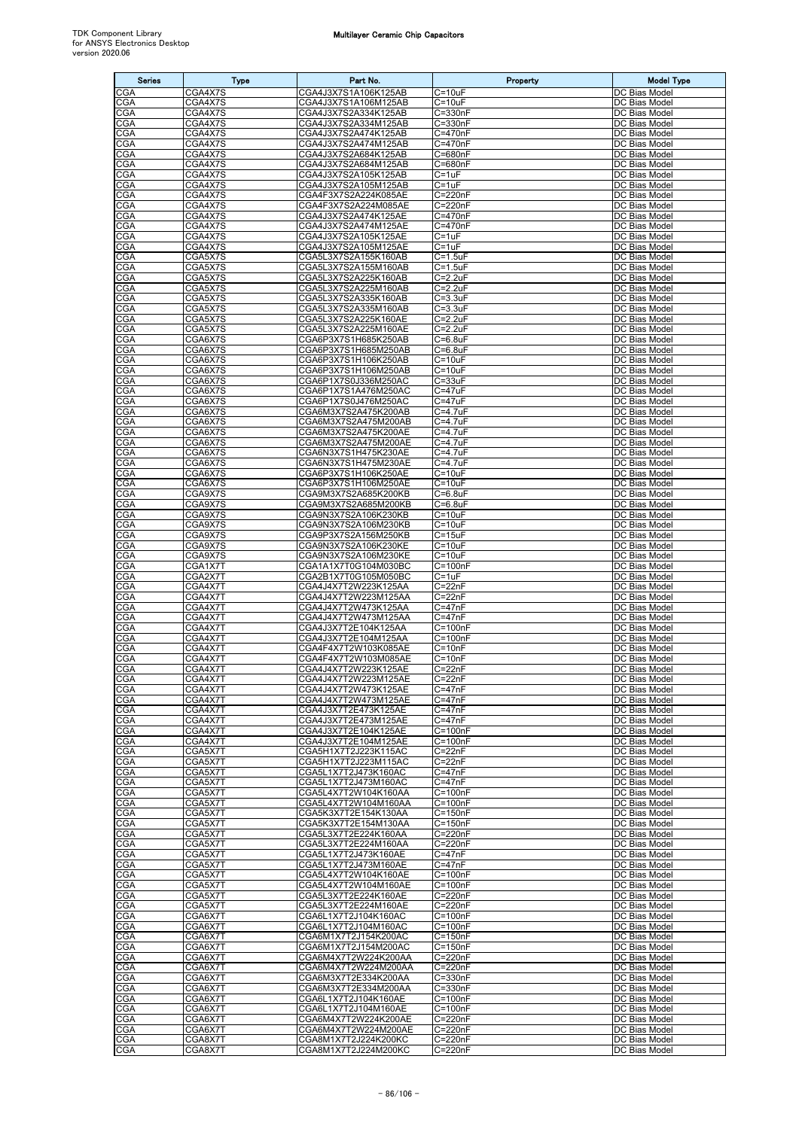| <b>Series</b>            | <b>Type</b>          | Part No.                                     | Property                   | <b>Model Type</b>                     |
|--------------------------|----------------------|----------------------------------------------|----------------------------|---------------------------------------|
| CGA                      | CGA4X7S              | CGA4J3X7S1A106K125AB                         | $C = 10uF$                 | DC Bias Model                         |
| <b>CGA</b>               | CGA4X7S              | CGA4J3X7S1A106M125AB                         | $C = 10uF$                 | DC Bias Model                         |
| CGA                      | CGA4X7S              | CGA4J3X7S2A334K125AB                         | $C = 330nF$                | DC Bias Model                         |
| CGA<br>CGA               | CGA4X7S<br>CGA4X7S   | CGA4J3X7S2A334M125AB<br>CGA4J3X7S2A474K125AB | C=330nF<br>C=470nF         | DC Bias Model<br>DC Bias Model        |
| CGA                      | CGA4X7S              | CGA4J3X7S2A474M125AB                         | C=470nF                    | DC Bias Model                         |
| CGA                      | CGA4X7S              | CGA4J3X7S2A684K125AB                         | C=680nF                    | DC Bias Model                         |
| CGA                      | CGA4X7S              | CGA4J3X7S2A684M125AB                         | C=680nF                    | DC Bias Model                         |
| CGA<br><b>CGA</b>        | CGA4X7S<br>CGA4X7S   | CGA4J3X7S2A105K125AB<br>CGA4J3X7S2A105M125AB | C=1uF<br>$C = 1uF$         | DC Bias Model<br>DC Bias Model        |
| CGA                      | CGA4X7S              | CGA4F3X7S2A224K085AE                         | C=220nF                    | DC Bias Model                         |
| CGA                      | CGA4X7S              | CGA4F3X7S2A224M085AE                         | C=220nF                    | DC Bias Model                         |
| CGA                      | CGA4X7S              | CGA4J3X7S2A474K125AE                         | C=470nF                    | DC Bias Model                         |
| CGA                      | CGA4X7S              | CGA4J3X7S2A474M125AE                         | C=470nF                    | DC Bias Model                         |
| CGA<br>CGA               | CGA4X7S<br>CGA4X7S   | CGA4J3X7S2A105K125AE<br>CGA4J3X7S2A105M125AE | C=1uF<br>C=1uF             | DC Bias Model<br>DC Bias Model        |
| CGA                      | CGA5X7S              | CGA5L3X7S2A155K160AB                         | $C = 1.5$ uF               | DC Bias Model                         |
| CGA                      | CGA5X7S              | CGA5L3X7S2A155M160AB                         | $C = 1.5uF$                | DC Bias Model                         |
| CGA                      | CGA5X7S              | CGA5L3X7S2A225K160AB                         | $C = 2.2uF$                | DC Bias Model                         |
| CGA<br>CGA               | CGA5X7S<br>CGA5X7S   | CGA5L3X7S2A225M160AB<br>CGA5L3X7S2A335K160AB | $C = 2.2uF$<br>$C = 3.3uF$ | DC Bias Model<br>DC Bias Model        |
| CGA                      | CGA5X7S              | CGA5L3X7S2A335M160AB                         | C=3.3uF                    | DC Bias Model                         |
| CGA                      | CGA5X7S              | CGA5L3X7S2A225K160AE                         | C=2.2uF                    | DC Bias Model                         |
| CGA                      | CGA5X7S              | CGA5L3X7S2A225M160AE                         | C=2.2uF                    | DC Bias Model                         |
| CGA                      | CGA6X7S              | CGA6P3X7S1H685K250AB                         | $C = 6.8$ uF               | DC Bias Model                         |
| CGA<br>CGA               | CGA6X7S              | CGA6P3X7S1H685M250AB                         | $C = 6.8$ uF<br>$C = 10uF$ | DC Bias Model                         |
| <b>CGA</b>               | CGA6X7S<br>CGA6X7S   | CGA6P3X7S1H106K250AB<br>CGA6P3X7S1H106M250AB | $C = 10uF$                 | DC Bias Model<br>DC Bias Model        |
| CGA                      | CGA6X7S              | CGA6P1X7S0J336M250AC                         | $C = 33uF$                 | DC Bias Model                         |
| CGA                      | CGA6X7S              | CGA6P1X7S1A476M250AC                         | C=47uF                     | DC Bias Model                         |
| CGA                      | CGA6X7S              | CGA6P1X7S0J476M250AC                         | C=47uF                     | DC Bias Model                         |
| CGA<br>CGA               | CGA6X7S<br>CGA6X7S   | CGA6M3X7S2A475K200AB<br>CGA6M3X7S2A475M200AB | C=4.7uF<br>C=4.7uF         | <b>DC Bias Model</b><br>DC Bias Model |
| CGA                      | CGA6X7S              | CGA6M3X7S2A475K200AE                         | C=4.7uF                    | DC Bias Model                         |
| <b>CGA</b>               | CGA6X7S              | CGA6M3X7S2A475M200AE                         | C=4.7uF                    | DC Bias Model                         |
| CGA                      | CGA6X7S              | CGA6N3X7S1H475K230AE                         | C=4.7uF                    | DC Bias Model                         |
| CGA                      | CGA6X7S              | CGA6N3X7S1H475M230AE                         | C=4.7uF                    | DC Bias Model                         |
| CGA<br>CGA               | CGA6X7S<br>CGA6X7S   | CGA6P3X7S1H106K250AE<br>CGA6P3X7S1H106M250AE | C=10uF<br>$C = 10uF$       | DC Bias Model<br>DC Bias Model        |
| CGA                      | CGA9X7S              | CGA9M3X7S2A685K200KB                         | C=6.8uF                    | DC Bias Model                         |
| CGA                      | CGA9X7S              | CGA9M3X7S2A685M200KB                         | C=6.8uF                    | DC Bias Model                         |
| CGA                      | CGA9X7S              | CGA9N3X7S2A106K230KB                         | $C = 10uF$                 | DC Bias Model                         |
| CGA<br>CGA               | CGA9X7S<br>CGA9X7S   | CGA9N3X7S2A106M230KB<br>CGA9P3X7S2A156M250KB | $C = 10uF$<br>$C = 15uF$   | DC Bias Model<br>DC Bias Model        |
| CGA                      | CGA9X7S              | CGA9N3X7S2A106K230KE                         | $C = 10uF$                 | DC Bias Model                         |
| CGA                      | CGA9X7S              | CGA9N3X7S2A106M230KE                         | $C = 10uF$                 | DC Bias Model                         |
| CGA                      | CGA1X7T              | CGA1A1X7T0G104M030BC                         | $C = 100nF$                | DC Bias Model                         |
| CGA                      | CGA2X7T              | CGA2B1X7T0G105M050BC                         | C=1uF                      | DC Bias Model                         |
| CGA<br>CGA               | CGA4X7T<br>CGA4X7T   | CGA4J4X7T2W223K125AA<br>CGA4J4X7T2W223M125AA | C=22nF<br>$C = 22nF$       | DC Bias Model<br>DC Bias Model        |
| CGA                      | CGA4X7T              | CGA4J4X7T2W473K125AA                         | $C = 47nF$                 | DC Bias Model                         |
| CGA                      | CGA4X7T              | CGA4J4X7T2W473M125AA                         | $C = 47nF$                 | DC Bias Model                         |
| CGA                      | CGA4X7T              | CGA4J3X7T2E104K125AA                         | $C = 100nF$                | DC Bias Model                         |
| CGA<br>CGA               | CGA4X7T<br>CGA4X7T   | CGA4J3X7T2E104M125AA<br>CGA4F4X7T2W103K085AE | C=100nF<br>$C = 10nF$      | DC Bias Model<br>DC Bias Model        |
| CGA                      | CGA4X7T              | CGA4F4X7T2W103M085AE                         | $C = 10nF$                 | DC Bias Model                         |
| <b>CGA</b>               | CGA4X7T              | CGA4J4X7T2W223K125AE                         | $C = 22nF$                 | DC Bias Model                         |
| CGA                      | CGA4X7T              | CGA4J4X7T2W223M125AE                         | $C = 22nF$                 | DC Bias Model                         |
| CGA                      | CGA4X7T              | CGA4J4X7T2W473K125AE                         | $C = 47nF$                 | DC Bias Model                         |
| <b>CGA</b><br><b>CGA</b> | CGA4X7T<br>CGA4X7T   | CGA4J4X7T2W473M125AE<br>CGA4J3X7T2E473K125AE | $C = 47nF$<br>$C = 47nF$   | DC Bias Model<br>DC Bias Model        |
| CGA                      | CGA4X7T              | CGA4J3X7T2E473M125AE                         | $C = 47nF$                 | DC Bias Model                         |
| CGA                      | CGA4X7T              | CGA4J3X7T2E104K125AE                         | $C = 100nF$                | DC Bias Model                         |
| CGA                      | CGA4X7T              | CGA4J3X7T2E104M125AE                         | $C = 100nF$                | DC Bias Model                         |
| CGA<br>CGA               | CGA5X7T<br>CGA5X7T   | CGA5H1X7T2J223K115AC<br>CGA5H1X7T2J223M115AC | $C = 22nF$<br>$C = 22nF$   | DC Bias Model<br>DC Bias Model        |
| CGA                      | CGA5X7T              | CGA5L1X7T2J473K160AC                         | $C = 47nF$                 | DC Bias Model                         |
| <b>CGA</b>               | CGA5X7T              | CGA5L1X7T2J473M160AC                         | $C = 47nF$                 | DC Bias Model                         |
| CGA                      | CGA5X7T              | CGA5L4X7T2W104K160AA                         | $C = 100nF$                | DC Bias Model                         |
| <b>CGA</b>               | CGA5X7T              | CGA5L4X7T2W104M160AA                         | $C = 100nF$<br>$C = 150nF$ | DC Bias Model                         |
| CGA<br>CGA               | CGA5X7T<br>CGA5X7T   | CGA5K3X7T2E154K130AA<br>CGA5K3X7T2E154M130AA | $C = 150nF$                | DC Bias Model<br>DC Bias Model        |
| CGA                      | CGA5X7T              | CGA5L3X7T2E224K160AA                         | C=220nF                    | DC Bias Model                         |
| CGA                      | CGA5X7T              | CGA5L3X7T2E224M160AA                         | C=220nF                    | DC Bias Model                         |
| <b>CGA</b>               | CGA5X7T              | CGA5L1X7T2J473K160AE                         | $C = 47nF$                 | DC Bias Model                         |
| CGA<br>CGA               | CGA5X7T              | CGA5L1X7T2J473M160AE                         | $C = 47nF$<br>$C = 100nF$  | DC Bias Model<br>DC Bias Model        |
| CGA                      | CGA5X7T<br>CGA5X7T   | CGA5L4X7T2W104K160AE<br>CGA5L4X7T2W104M160AE | $C = 100nF$                | DC Bias Model                         |
| CGA                      | CGA5X7T              | CGA5L3X7T2E224K160AE                         | C=220nF                    | DC Bias Model                         |
| CGA                      | CGA5X7T              | CGA5L3X7T2E224M160AE                         | C=220nF                    | DC Bias Model                         |
| <b>CGA</b>               | CGA6X7T              | CGA6L1X7T2J104K160AC                         | $C = 100nF$                | DC Bias Model                         |
| CGA<br>CGA               | CGA6X7T<br>CGA6X7T   | CGA6L1X7T2J104M160AC<br>CGA6M1X7T2J154K200AC | $C = 100nF$<br>$C = 150nF$ | DC Bias Model<br>DC Bias Model        |
| <b>CGA</b>               | CGA6X7T              | CGA6M1X7T2J154M200AC                         | $C = 150nF$                | DC Bias Model                         |
| CGA                      | CGA6X7T              | CGA6M4X7T2W224K200AA                         | $C = 220nF$                | DC Bias Model                         |
| CGA                      | CGA6X7T              | CGA6M4X7T2W224M200AA                         | C=220nF                    | DC Bias Model                         |
| CGA                      | CGA6X7T              | CGA6M3X7T2E334K200AA                         | C=330nF                    | DC Bias Model                         |
| <b>CGA</b><br>CGA        | CGA6X7T<br>CGA6X7T   | CGA6M3X7T2E334M200AA<br>CGA6L1X7T2J104K160AE | C=330nF<br>$C = 100nF$     | DC Bias Model<br>DC Bias Model        |
| CGA                      | CGA6X7T              | CGA6L1X7T2J104M160AE                         | $C = 100nF$                | DC Bias Model                         |
| CGA                      | CGA6X <sub>7</sub> T | CGA6M4X7T2W224K200AE                         | $C = 220nF$                | DC Bias Model                         |
| <b>CGA</b>               | CGA6X7T              | CGA6M4X7T2W224M200AE                         | $C = 220nF$                | DC Bias Model                         |
| <b>CGA</b>               | CGA8X7T              | CGA8M1X7T2J224K200KC                         | $C = 220nF$                | DC Bias Model                         |
| CGA                      | CGA8X7T              | CGA8M1X7T2J224M200KC                         | $C = 220nF$                | DC Bias Model                         |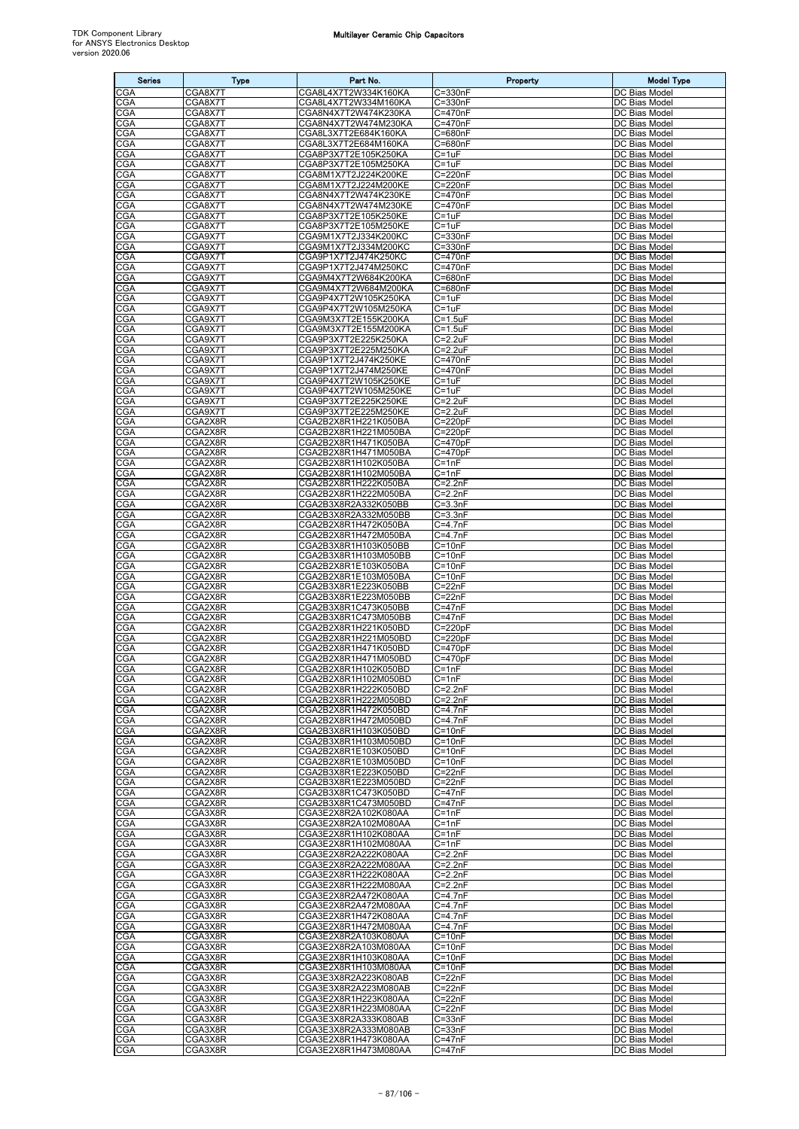| <b>Series</b>     | <b>Type</b>        | Part No.                                     | Property                   | <b>Model Type</b>              |
|-------------------|--------------------|----------------------------------------------|----------------------------|--------------------------------|
| CGA               | CGA8X7T            | CGA8L4X7T2W334K160KA                         | $C = 330nF$                | DC Bias Model                  |
| <b>CGA</b>        | CGA8X7T            | CGA8L4X7T2W334M160KA                         | $C = 330nF$                | DC Bias Model                  |
| CGA<br>CGA        | CGA8X7T<br>CGA8X7T | CGA8N4X7T2W474K230KA<br>CGA8N4X7T2W474M230KA | C=470nF<br>C=470nF         | DC Bias Model<br>DC Bias Model |
| CGA               | CGA8X7T            | CGA8L3X7T2E684K160KA                         | C=680nF                    | DC Bias Model                  |
| <b>CGA</b>        | CGA8X7T            | CGA8L3X7T2E684M160KA                         | C=680nF                    | DC Bias Model                  |
| CGA               | CGA8X7T            | CGA8P3X7T2E105K250KA                         | $C = 1uF$                  | DC Bias Model                  |
| CGA<br>CGA        | CGA8X7T<br>CGA8X7T | CGA8P3X7T2E105M250KA<br>CGA8M1X7T2J224K200KE | $C = 1uF$<br>C=220nF       | DC Bias Model<br>DC Bias Model |
| CGA               | CGA8X7T            | CGA8M1X7T2J224M200KE                         | C=220nF                    | DC Bias Model                  |
| CGA               | CGA8X7T            | CGA8N4X7T2W474K230KE                         | C=470nF                    | DC Bias Model                  |
| CGA               | CGA8X7T            | CGA8N4X7T2W474M230KE                         | C=470nF                    | DC Bias Model                  |
| CGA<br>CGA        | CGA8X7T<br>CGA8X7T | CGA8P3X7T2E105K250KE<br>CGA8P3X7T2E105M250KE | $C = 1uF$<br>$C = 1uF$     | DC Bias Model<br>DC Bias Model |
| CGA               | CGA9X7T            | CGA9M1X7T2J334K200KC                         | C=330nF                    | DC Bias Model                  |
| <b>CGA</b>        | CGA9X7T            | CGA9M1X7T2J334M200KC                         | $C = 330nF$                | DC Bias Model                  |
| CGA               | CGA9X7T            | CGA9P1X7T2J474K250KC                         | C=470nF                    | DC Bias Model                  |
| CGA<br>CGA        | CGA9X7T<br>CGA9X7T | CGA9P1X7T2J474M250KC<br>CGA9M4X7T2W684K200KA | C=470nF<br>C=680nF         | DC Bias Model<br>DC Bias Model |
| CGA               | CGA9X7T            | CGA9M4X7T2W684M200KA                         | C=680nF                    | DC Bias Model                  |
| CGA               | CGA9X7T            | CGA9P4X7T2W105K250KA                         | $C = 1uF$                  | DC Bias Model                  |
| CGA<br><b>CGA</b> | CGA9X7T<br>CGA9X7T | CGA9P4X7T2W105M250KA<br>CGA9M3X7T2E155K200KA | $C = 1uF$<br>$C = 1.5$ uF  | DC Bias Model<br>DC Bias Model |
| CGA               | CGA9X7T            | CGA9M3X7T2E155M200KA                         | $C = 1.5$ uF               | DC Bias Model                  |
| CGA               | CGA9X7T            | CGA9P3X7T2E225K250KA                         | $C = 2.2uF$                | DC Bias Model                  |
| CGA               | CGA9X7T            | CGA9P3X7T2E225M250KA                         | $C = 2.2uF$                | DC Bias Model                  |
| <b>CGA</b><br>CGA | CGA9X7T<br>CGA9X7T | CGA9P1X7T2J474K250KE<br>CGA9P1X7T2J474M250KE | C=470nF<br>C=470nF         | DC Bias Model<br>DC Bias Model |
| CGA               | CGA9X7T            | CGA9P4X7T2W105K250KE                         | $C = 1uF$                  | DC Bias Model                  |
| CGA               | CGA9X7T            | CGA9P4X7T2W105M250KE                         | $C = 1uF$                  | DC Bias Model                  |
| <b>CGA</b><br>CGA | CGA9X7T<br>CGA9X7T | CGA9P3X7T2E225K250KE<br>CGA9P3X7T2E225M250KE | $C = 2.2uF$<br>$C = 2.2uF$ | DC Bias Model<br>DC Bias Model |
| CGA               | CGA2X8R            | CGA2B2X8R1H221K050BA                         | $C = 220pF$                | DC Bias Model                  |
| <b>CGA</b>        | CGA2X8R            | CGA2B2X8R1H221M050BA                         | $C = 220pF$                | DC Bias Model                  |
| CGA               | CGA2X8R            | CGA2B2X8R1H471K050BA                         | $C = 470pF$                | DC Bias Model                  |
| CGA<br>CGA        | CGA2X8R<br>CGA2X8R | CGA2B2X8R1H471M050BA<br>CGA2B2X8R1H102K050BA | $C = 470pF$<br>C=1nF       | DC Bias Model<br>DC Bias Model |
| CGA               | CGA2X8R            | CGA2B2X8R1H102M050BA                         | $C = 1nF$                  | DC Bias Model                  |
| CGA               | CGA2X8R            | CGA2B2X8R1H222K050BA                         | $C=2.2nF$                  | DC Bias Model                  |
| CGA               | CGA2X8R            | CGA2B2X8R1H222M050BA                         | $C = 2.2nF$                | DC Bias Model                  |
| <b>CGA</b><br>CGA | CGA2X8R<br>CGA2X8R | CGA2B3X8R2A332K050BB<br>CGA2B3X8R2A332M050BB | $C = 3.3nF$<br>$C = 3.3nF$ | DC Bias Model<br>DC Bias Model |
| CGA               | CGA2X8R            | CGA2B2X8R1H472K050BA                         | $C = 4.7nF$                | DC Bias Model                  |
| CGA               | CGA2X8R            | CGA2B2X8R1H472M050BA                         | $C = 4.7nF$                | DC Bias Model                  |
| CGA               | CGA2X8R            | CGA2B3X8R1H103K050BB                         | $C = 10nF$                 | DC Bias Model                  |
| CGA<br>CGA        | CGA2X8R<br>CGA2X8R | CGA2B3X8R1H103M050BB<br>CGA2B2X8R1E103K050BA | $C = 10nF$<br>$C = 10nF$   | DC Bias Model<br>DC Bias Model |
| CGA               | CGA2X8R            | CGA2B2X8R1E103M050BA                         | $C = 10nF$                 | DC Bias Model                  |
| CGA               | CGA2X8R            | CGA2B3X8R1E223K050BB                         | $C = 22nF$                 | DC Bias Model                  |
| CGA<br>CGA        | CGA2X8R<br>CGA2X8R | CGA2B3X8R1E223M050BB<br>CGA2B3X8R1C473K050BB | $C = 22nF$<br>$C = 47nF$   | DC Bias Model<br>DC Bias Model |
| CGA               | CGA2X8R            | CGA2B3X8R1C473M050BB                         | $C = 47nF$                 | DC Bias Model                  |
| CGA               | CGA2X8R            | CGA2B2X8R1H221K050BD                         | $C = 220pF$                | DC Bias Model                  |
| CGA               | CGA2X8R            | CGA2B2X8R1H221M050BD                         | $C = 220pF$                | DC Bias Model                  |
| <b>CGA</b><br>CGA | CGA2X8R<br>CGA2X8R | CGA2B2X8R1H471K050BD<br>CGA2B2X8R1H471M050BD | $C = 470pF$<br>$C = 470pF$ | DC Bias Model<br>DC Bias Model |
| <b>CGA</b>        | CGA2X8R            | CGA2B2X8R1H102K050BD                         | $C = 1nF$                  | DC Bias Model                  |
| <b>CGA</b>        | CGA2X8R            | CGA2B2X8R1H102M050BD                         | $C = 1nF$                  | DC Bias Model                  |
| CGA<br>CGA        | CGA2X8R<br>CGA2X8R | CGA2B2X8R1H222K050BD<br>CGA2B2X8R1H222M050BD | $C = 2.2nF$<br>$C = 2.2nF$ | DC Bias Model<br>DC Bias Model |
| CGA               | CGA2X8R            | CGA2B2X8R1H472K050BD                         | $C = 4.7nF$                | DC Bias Model                  |
| CGA               | CGA2X8R            | CGA2B2X8R1H472M050BD                         | $C = 4.7nF$                | DC Bias Model                  |
| CGA               | CGA2X8R            | CGA2B3X8R1H103K050BD                         | $C = 10nF$                 | DC Bias Model                  |
| <b>CGA</b><br>CGA | CGA2X8R<br>CGA2X8R | CGA2B3X8R1H103M050BD<br>CGA2B2X8R1E103K050BD | $C = 10nF$<br>$C = 10nF$   | DC Bias Model<br>DC Bias Model |
| CGA               | CGA2X8R            | CGA2B2X8R1E103M050BD                         | $C = 10nF$                 | DC Bias Model                  |
| CGA               | CGA2X8R            | CGA2B3X8R1E223K050BD                         | $C = 22nF$                 | DC Bias Model                  |
| CGA<br>CGA        | CGA2X8R<br>CGA2X8R | CGA2B3X8R1E223M050BD<br>CGA2B3X8R1C473K050BD | $C = 22nF$<br>$C = 47nF$   | DC Bias Model<br>DC Bias Model |
| CGA               | CGA2X8R            | CGA2B3X8R1C473M050BD                         | $C = 47nF$                 | DC Bias Model                  |
| CGA               | CGA3X8R            | CGA3E2X8R2A102K080AA                         | $C = 1nF$                  | DC Bias Model                  |
| CGA               | CGA3X8R            | CGA3E2X8R2A102M080AA                         | $C = 1nF$<br>$C = 1nF$     | DC Bias Model                  |
| CGA<br>CGA        | CGA3X8R<br>CGA3X8R | CGA3E2X8R1H102K080AA<br>CGA3E2X8R1H102M080AA | $C = 1nF$                  | DC Bias Model<br>DC Bias Model |
| CGA               | CGA3X8R            | CGA3E2X8R2A222K080AA                         | $C = 2.2nF$                | DC Bias Model                  |
| CGA               | CGA3X8R            | CGA3E2X8R2A222M080AA                         | $C = 2.2nF$                | DC Bias Model                  |
| CGA<br>CGA        | CGA3X8R<br>CGA3X8R | CGA3E2X8R1H222K080AA<br>CGA3E2X8R1H222M080AA | $C = 2.2nF$<br>$C = 2.2nF$ | DC Bias Model<br>DC Bias Model |
| CGA               | CGA3X8R            | CGA3E2X8R2A472K080AA                         | $C = 4.7nF$                | DC Bias Model                  |
| <b>CGA</b>        | CGA3X8R            | CGA3E2X8R2A472M080AA                         | $C = 4.7nF$                | DC Bias Model                  |
| <b>CGA</b><br>CGA | CGA3X8R<br>CGA3X8R | CGA3E2X8R1H472K080AA<br>CGA3E2X8R1H472M080AA | $C = 4.7nF$<br>$C = 4.7nF$ | DC Bias Model<br>DC Bias Model |
| CGA               | CGA3X8R            | CGA3E2X8R2A103K080AA                         | $C = 10nF$                 | DC Bias Model                  |
| <b>CGA</b>        | CGA3X8R            | CGA3E2X8R2A103M080AA                         | $C = 10nF$                 | DC Bias Model                  |
| CGA               | CGA3X8R            | CGA3E2X8R1H103K080AA                         | $C = 10nF$                 | DC Bias Model                  |
| CGA<br>CGA        | CGA3X8R<br>CGA3X8R | CGA3E2X8R1H103M080AA<br>CGA3E3X8R2A223K080AB | $C = 10nF$<br>$C = 22nF$   | DC Bias Model<br>DC Bias Model |
| <b>CGA</b>        | CGA3X8R            | CGA3E3X8R2A223M080AB                         | $C = 22nF$                 | DC Bias Model                  |
| <b>CGA</b>        | CGA3X8R            | CGA3E2X8R1H223K080AA                         | $C = 22nF$                 | DC Bias Model                  |
| CGA               | CGA3X8R            | CGA3E2X8R1H223M080AA                         | $C = 22nF$                 | DC Bias Model                  |
| <b>CGA</b><br>CGA | CGA3X8R<br>CGA3X8R | CGA3E3X8R2A333K080AB<br>CGA3E3X8R2A333M080AB | $C = 33nF$<br>$C = 33nF$   | DC Bias Model<br>DC Bias Model |
| <b>CGA</b>        | CGA3X8R            | CGA3E2X8R1H473K080AA                         | $C = 47nF$                 | DC Bias Model                  |
| CGA               | CGA3X8R            | CGA3E2X8R1H473M080AA                         | $C = 47nF$                 | DC Bias Model                  |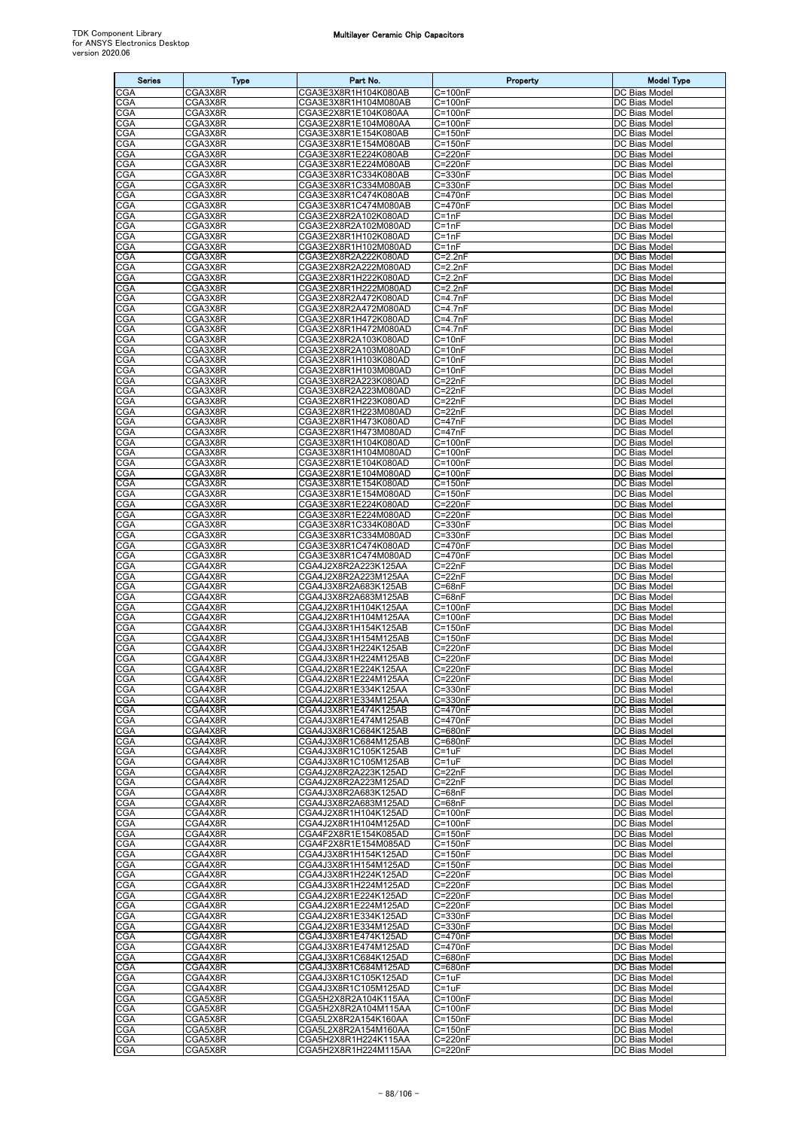| <b>Series</b>     | <b>Type</b>        | Part No.                                     | Property                   | <b>Model Type</b>              |
|-------------------|--------------------|----------------------------------------------|----------------------------|--------------------------------|
| CGA               | CGA3X8R            | CGA3E3X8R1H104K080AB                         | $C = 100nF$                | DC Bias Model                  |
| <b>CGA</b>        | CGA3X8R            | CGA3E3X8R1H104M080AB                         | $C = 100nF$                | DC Bias Model                  |
| CGA<br>CGA        | CGA3X8R<br>CGA3X8R | CGA3E2X8R1E104K080AA<br>CGA3E2X8R1E104M080AA | $C = 100nF$<br>$C = 100nF$ | DC Bias Model<br>DC Bias Model |
| CGA               | CGA3X8R            | CGA3E3X8R1E154K080AB                         | C=150nF                    | DC Bias Model                  |
| <b>CGA</b>        | CGA3X8R            | CGA3E3X8R1E154M080AB                         | $C = 150nF$                | DC Bias Model                  |
| CGA               | CGA3X8R            | CGA3E3X8R1E224K080AB                         | C=220nF                    | DC Bias Model                  |
| CGA<br>CGA        | CGA3X8R<br>CGA3X8R | CGA3E3X8R1E224M080AB<br>CGA3E3X8R1C334K080AB | $C = 220nF$<br>$C = 330nF$ | DC Bias Model<br>DC Bias Model |
| <b>CGA</b>        | CGA3X8R            | CGA3E3X8R1C334M080AB                         | $C = 330nF$                | DC Bias Model                  |
| CGA               | CGA3X8R            | CGA3E3X8R1C474K080AB                         | C=470nF                    | DC Bias Model                  |
| CGA<br><b>CGA</b> | CGA3X8R<br>CGA3X8R | CGA3E3X8R1C474M080AB                         | C=470nF<br>$C = 1nF$       | DC Bias Model<br>DC Bias Model |
| CGA               | CGA3X8R            | CGA3E2X8R2A102K080AD<br>CGA3E2X8R2A102M080AD | $C = 1nF$                  | DC Bias Model                  |
| CGA               | CGA3X8R            | CGA3E2X8R1H102K080AD                         | $C = 1nF$                  | DC Bias Model                  |
| CGA               | CGA3X8R            | CGA3E2X8R1H102M080AD                         | $C = 1nF$                  | DC Bias Model                  |
| CGA<br>CGA        | CGA3X8R<br>CGA3X8R | CGA3E2X8R2A222K080AD<br>CGA3E2X8R2A222M080AD | $C = 2.2nF$<br>$C = 2.2nF$ | DC Bias Model<br>DC Bias Model |
| CGA               | CGA3X8R            | CGA3E2X8R1H222K080AD                         | $C = 2.2nF$                | DC Bias Model                  |
| CGA               | CGA3X8R            | CGA3E2X8R1H222M080AD                         | $C = 2.2nF$                | DC Bias Model                  |
| CGA               | CGA3X8R            | CGA3E2X8R2A472K080AD                         | $C = 4.7nF$                | DC Bias Model                  |
| CGA<br>CGA        | CGA3X8R<br>CGA3X8R | CGA3E2X8R2A472M080AD<br>CGA3E2X8R1H472K080AD | $C = 4.7nF$<br>C=4.7nF     | DC Bias Model<br>DC Bias Model |
| CGA               | CGA3X8R            | CGA3E2X8R1H472M080AD                         | $C = 4.7nF$                | DC Bias Model                  |
| CGA               | CGA3X8R            | CGA3E2X8R2A103K080AD                         | $C = 10nF$                 | DC Bias Model                  |
| CGA               | CGA3X8R            | CGA3E2X8R2A103M080AD                         | $C = 10nF$                 | DC Bias Model                  |
| <b>CGA</b><br>CGA | CGA3X8R<br>CGA3X8R | CGA3E2X8R1H103K080AD<br>CGA3E2X8R1H103M080AD | $C = 10nF$<br>$C = 10nF$   | DC Bias Model<br>DC Bias Model |
| CGA               | CGA3X8R            | CGA3E3X8R2A223K080AD                         | $C = 22nF$                 | DC Bias Model                  |
| CGA               | CGA3X8R            | CGA3E3X8R2A223M080AD                         | $C = 22nF$                 | DC Bias Model                  |
| <b>CGA</b><br>CGA | CGA3X8R<br>CGA3X8R | CGA3E2X8R1H223K080AD<br>CGA3E2X8R1H223M080AD | $C = 22nF$<br>$C = 22nF$   | DC Bias Model<br>DC Bias Model |
| CGA               | CGA3X8R            | CGA3E2X8R1H473K080AD                         | $C = 47nF$                 | DC Bias Model                  |
| CGA               | CGA3X8R            | CGA3E2X8R1H473M080AD                         | $C = 47nF$                 | DC Bias Model                  |
| <b>CGA</b>        | CGA3X8R            | CGA3E3X8R1H104K080AD                         | $C = 100nF$                | DC Bias Model                  |
| CGA<br>CGA        | CGA3X8R<br>CGA3X8R | CGA3E3X8R1H104M080AD<br>CGA3E2X8R1E104K080AD | $C = 100nF$<br>$C = 100nF$ | DC Bias Model<br>DC Bias Model |
| <b>CGA</b>        | CGA3X8R            | CGA3E2X8R1E104M080AD                         | $C = 100nF$                | DC Bias Model                  |
| CGA               | CGA3X8R            | CGA3E3X8R1E154K080AD                         | $C = 150nF$                | DC Bias Model                  |
| CGA               | CGA3X8R            | CGA3E3X8R1E154M080AD                         | $C = 150nF$                | DC Bias Model                  |
| CGA<br>CGA        | CGA3X8R<br>CGA3X8R | CGA3E3X8R1E224K080AD<br>CGA3E3X8R1E224M080AD | C=220nF<br>$C = 220nF$     | DC Bias Model<br>DC Bias Model |
| CGA               | CGA3X8R            | CGA3E3X8R1C334K080AD                         | $C = 330nF$                | DC Bias Model                  |
| CGA               | CGA3X8R            | CGA3E3X8R1C334M080AD                         | $C = 330nF$                | DC Bias Model                  |
| CGA               | CGA3X8R            | CGA3E3X8R1C474K080AD                         | C=470nF                    | DC Bias Model                  |
| CGA<br>CGA        | CGA3X8R<br>CGA4X8R | CGA3E3X8R1C474M080AD<br>CGA4J2X8R2A223K125AA | C=470nF<br>$C = 22nF$      | DC Bias Model<br>DC Bias Model |
| CGA               | CGA4X8R            | CGA4J2X8R2A223M125AA                         | C=22nF                     | DC Bias Model                  |
| CGA               | CGA4X8R            | CGA4J3X8R2A683K125AB                         | $C = 68nF$                 | DC Bias Model                  |
| CGA<br>CGA        | CGA4X8R<br>CGA4X8R | CGA4J3X8R2A683M125AB<br>CGA4J2X8R1H104K125AA | $C = 68nF$<br>$C = 100nF$  | DC Bias Model<br>DC Bias Model |
| CGA               | CGA4X8R            | CGA4J2X8R1H104M125AA                         | $C = 100nF$                | DC Bias Model                  |
| CGA               | CGA4X8R            | CGA4J3X8R1H154K125AB                         | $C = 150nF$                | DC Bias Model                  |
| CGA               | CGA4X8R            | CGA4J3X8R1H154M125AB                         | $C = 150nF$                | DC Bias Model                  |
| CGA<br>CGA        | CGA4X8R<br>CGA4X8R | CGA4J3X8R1H224K125AB<br>CGA4J3X8R1H224M125AB | C=220nF<br>$C = 220nF$     | DC Bias Model<br>DC Bias Model |
| <b>CGA</b>        | CGA4X8R            | CGA4J2X8R1E224K125AA                         | C=220nF                    | DC Bias Model                  |
| <b>CGA</b>        | CGA4X8R            | CGA4J2X8R1E224M125AA                         | $C = 220nF$                | DC Bias Model                  |
| CGA<br><b>CGA</b> | CGA4X8R<br>CGA4X8R | CGA4J2X8R1E334K125AA<br>CGA4J2X8R1E334M125AA | C=330nF<br>C=330nF         | DC Bias Model<br>DC Bias Model |
| CGA               | CGA4X8R            | CGA4J3X8R1E474K125AB                         | $C = 470nF$                | DC Bias Model                  |
| CGA               | CGA4X8R            | CGA4J3X8R1E474M125AB                         | C=470nF                    | DC Bias Model                  |
| CGA               | CGA4X8R            | CGA4J3X8R1C684K125AB                         | C=680nF                    | DC Bias Model                  |
| CGA<br>CGA        | CGA4X8R<br>CGA4X8R | CGA4J3X8R1C684M125AB<br>CGA4J3X8R1C105K125AB | C=680nF<br>$C = 1uF$       | DC Bias Model<br>DC Bias Model |
| CGA               | CGA4X8R            | CGA4J3X8R1C105M125AB                         | $C = 1uF$                  | DC Bias Model                  |
| CGA               | CGA4X8R            | CGA4J2X8R2A223K125AD                         | $C = 22nF$                 | DC Bias Model                  |
| <b>CGA</b>        | CGA4X8R<br>CGA4X8R | CGA4J2X8R2A223M125AD<br>CGA4J3X8R2A683K125AD | $C = 22nF$                 | DC Bias Model<br>DC Bias Model |
| CGA<br><b>CGA</b> | CGA4X8R            | CGA4J3X8R2A683M125AD                         | $C = 68nF$<br>$C = 68nF$   | DC Bias Model                  |
| CGA               | CGA4X8R            | CGA4J2X8R1H104K125AD                         | $C = 100nF$                | DC Bias Model                  |
| CGA               | CGA4X8R            | CGA4J2X8R1H104M125AD                         | $C = 100nF$                | DC Bias Model                  |
| CGA<br>CGA        | CGA4X8R<br>CGA4X8R | CGA4F2X8R1E154K085AD<br>CGA4F2X8R1E154M085AD | $C = 150nF$<br>$C = 150nF$ | DC Bias Model<br>DC Bias Model |
| CGA               | CGA4X8R            | CGA4J3X8R1H154K125AD                         | $C = 150nF$                | DC Bias Model                  |
| CGA               | CGA4X8R            | CGA4J3X8R1H154M125AD                         | $C = 150nF$                | DC Bias Model                  |
| CGA<br>CGA        | CGA4X8R<br>CGA4X8R | CGA4J3X8R1H224K125AD<br>CGA4J3X8R1H224M125AD | C=220nF<br>C=220nF         | DC Bias Model<br>DC Bias Model |
| CGA               | CGA4X8R            | CGA4J2X8R1E224K125AD                         | $C = 220nF$                | DC Bias Model                  |
| CGA               | CGA4X8R            | CGA4J2X8R1E224M125AD                         | C=220nF                    | DC Bias Model                  |
| CGA               | CGA4X8R            | CGA4J2X8R1E334K125AD                         | $C = 330nF$                | DC Bias Model                  |
| CGA<br>CGA        | CGA4X8R<br>CGA4X8R | CGA4J2X8R1E334M125AD<br>CGA4J3X8R1E474K125AD | $C = 330nF$<br>C=470nF     | DC Bias Model<br>DC Bias Model |
| <b>CGA</b>        | CGA4X8R            | CGA4J3X8R1E474M125AD                         | C=470nF                    | DC Bias Model                  |
| CGA               | CGA4X8R            | CGA4J3X8R1C684K125AD                         | C=680nF                    | DC Bias Model                  |
| CGA<br>CGA        | CGA4X8R<br>CGA4X8R | CGA4J3X8R1C684M125AD<br>CGA4J3X8R1C105K125AD | C=680nF<br>$C = 1uF$       | DC Bias Model<br>DC Bias Model |
| CGA               | CGA4X8R            | CGA4J3X8R1C105M125AD                         | $C = 1uF$                  | DC Bias Model                  |
| CGA               | CGA5X8R            | CGA5H2X8R2A104K115AA                         | $C = 100nF$                | DC Bias Model                  |
| CGA               | CGA5X8R            | CGA5H2X8R2A104M115AA                         | $C = 100nF$                | DC Bias Model                  |
| CGA<br>CGA        | CGA5X8R<br>CGA5X8R | CGA5L2X8R2A154K160AA<br>CGA5L2X8R2A154M160AA | $C = 150nF$<br>$C = 150nF$ | DC Bias Model<br>DC Bias Model |
| <b>CGA</b>        | CGA5X8R            | CGA5H2X8R1H224K115AA                         | C=220nF                    | DC Bias Model                  |
| CGA               | CGA5X8R            | CGA5H2X8R1H224M115AA                         | $C = 220nF$                | DC Bias Model                  |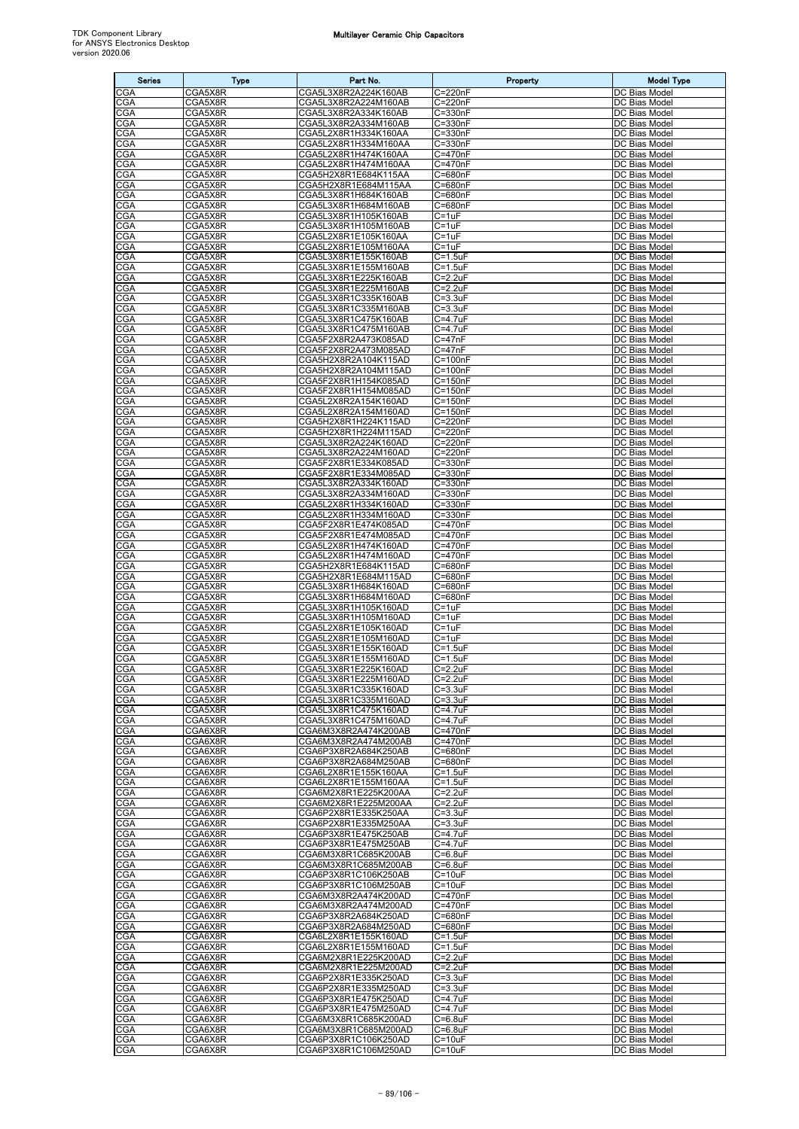| <b>Series</b>     | <b>Type</b>        | Part No.                                     | Property                      | <b>Model Type</b>                     |
|-------------------|--------------------|----------------------------------------------|-------------------------------|---------------------------------------|
| CGA               | CGA5X8R            | CGA5L3X8R2A224K160AB                         | C=220nF                       | DC Bias Model                         |
| CGA               | CGA5X8R            | CGA5L3X8R2A224M160AB                         | C=220nF                       | DC Bias Model                         |
| CGA<br>CGA        | CGA5X8R<br>CGA5X8R | CGA5L3X8R2A334K160AB<br>CGA5L3X8R2A334M160AB | $C = 330nF$<br>$C = 330nF$    | DC Bias Model<br>DC Bias Model        |
| CGA               | CGA5X8R            | CGA5L2X8R1H334K160AA                         | $C = 330nF$                   | DC Bias Model                         |
| CGA               | CGA5X8R            | CGA5L2X8R1H334M160AA                         | C=330nF                       | DC Bias Model                         |
| CGA               | CGA5X8R            | CGA5L2X8R1H474K160AA                         | C=470nF                       | DC Bias Model                         |
| CGA<br>CGA        | CGA5X8R<br>CGA5X8R | CGA5L2X8R1H474M160AA<br>CGA5H2X8R1E684K115AA | C=470nF<br>C=680nF            | DC Bias Model<br>DC Bias Model        |
| CGA               | CGA5X8R            | CGA5H2X8R1E684M115AA                         | C=680nF                       | DC Bias Model                         |
| CGA               | CGA5X8R            | CGA5L3X8R1H684K160AB                         | C=680nF                       | DC Bias Model                         |
| CGA               | CGA5X8R            | CGA5L3X8R1H684M160AB                         | C=680nF                       | DC Bias Model                         |
| CGA<br>CGA        | CGA5X8R<br>CGA5X8R | CGA5L3X8R1H105K160AB<br>CGA5L3X8R1H105M160AB | C=1uF<br>$C = 1uF$            | DC Bias Model<br>DC Bias Model        |
| CGA               | CGA5X8R            | CGA5L2X8R1E105K160AA                         | C=1uF                         | DC Bias Model                         |
| CGA               | CGA5X8R            | CGA5L2X8R1E105M160AA                         | C=1uF                         | DC Bias Model                         |
| CGA               | CGA5X8R            | CGA5L3X8R1E155K160AB                         | $C = 1.5$ uF                  | DC Bias Model                         |
| CGA               | CGA5X8R            | CGA5L3X8R1E155M160AB                         | $C = 1.5uF$                   | DC Bias Model                         |
| CGA<br><b>CGA</b> | CGA5X8R<br>CGA5X8R | CGA5L3X8R1E225K160AB<br>CGA5L3X8R1E225M160AB | $C = 2.2uF$<br>$C = 2.2uF$    | DC Bias Model<br>DC Bias Model        |
| <b>CGA</b>        | CGA5X8R            | CGA5L3X8R1C335K160AB                         | $C = 3.3uF$                   | DC Bias Model                         |
| CGA               | CGA5X8R            | CGA5L3X8R1C335M160AB                         | $C = 3.3uF$                   | DC Bias Model                         |
| CGA<br>CGA        | CGA5X8R            | CGA5L3X8R1C475K160AB                         | C=4.7uF                       | DC Bias Model                         |
| CGA               | CGA5X8R<br>CGA5X8R | CGA5L3X8R1C475M160AB<br>CGA5F2X8R2A473K085AD | C=4.7uF<br>$C = 47nF$         | DC Bias Model<br>DC Bias Model        |
| CGA               | CGA5X8R            | CGA5F2X8R2A473M085AD                         | $C = 47nF$                    | DC Bias Model                         |
| CGA               | CGA5X8R            | CGA5H2X8R2A104K115AD                         | $\overline{C}$ =100nF         | DC Bias Model                         |
| CGA               | CGA5X8R            | CGA5H2X8R2A104M115AD                         | $C = 100nF$                   | DC Bias Model                         |
| CGA<br>CGA        | CGA5X8R<br>CGA5X8R | CGA5F2X8R1H154K085AD<br>CGA5F2X8R1H154M085AD | $C = 150nF$<br>$C = 150nF$    | DC Bias Model<br>DC Bias Model        |
| CGA               | CGA5X8R            | CGA5L2X8R2A154K160AD                         | $C = 150nF$                   | DC Bias Model                         |
| CGA               | CGA5X8R            | CGA5L2X8R2A154M160AD                         | $C = 150nF$                   | <b>DC Bias Model</b>                  |
| CGA               | CGA5X8R            | CGA5H2X8R1H224K115AD                         | $C = 220nF$                   | DC Bias Model                         |
| CGA               | CGA5X8R            | CGA5H2X8R1H224M115AD<br>CGA5L3X8R2A224K160AD | $C = 220nF$                   | DC Bias Model<br>DC Bias Model        |
| CGA<br>CGA        | CGA5X8R<br>CGA5X8R | CGA5L3X8R2A224M160AD                         | $C = 220nF$<br>$C = 220nF$    | DC Bias Model                         |
| CGA               | CGA5X8R            | CGA5F2X8R1E334K085AD                         | $C = 330nF$                   | DC Bias Model                         |
| CGA               | CGA5X8R            | CGA5F2X8R1E334M085AD                         | $C = 330nF$                   | <b>DC Bias Model</b>                  |
| CGA               | CGA5X8R            | CGA5L3X8R2A334K160AD                         | C=330nF                       | DC Bias Model                         |
| CGA<br>CGA        | CGA5X8R<br>CGA5X8R | CGA5L3X8R2A334M160AD<br>CGA5L2X8R1H334K160AD | $C = 330nF$<br>$C = 330nF$    | DC Bias Model<br>DC Bias Model        |
| CGA               | CGA5X8R            | CGA5L2X8R1H334M160AD                         | $C = 330nF$                   | DC Bias Model                         |
| CGA               | CGA5X8R            | CGA5F2X8R1E474K085AD                         | C=470nF                       | DC Bias Model                         |
| CGA               | CGA5X8R            | CGA5F2X8R1E474M085AD                         | C=470nF                       | DC Bias Model                         |
| CGA<br>CGA        | CGA5X8R<br>CGA5X8R | CGA5L2X8R1H474K160AD<br>CGA5L2X8R1H474M160AD | C=470nF<br>C=470nF            | DC Bias Model<br>DC Bias Model        |
| CGA               | CGA5X8R            | CGA5H2X8R1E684K115AD                         | C=680nF                       | DC Bias Model                         |
| CGA               | CGA5X8R            | CGA5H2X8R1E684M115AD                         | C=680nF                       | DC Bias Model                         |
| <b>CGA</b>        | CGA5X8R            | CGA5L3X8R1H684K160AD                         | C=680nF                       | DC Bias Model                         |
| CGA               | CGA5X8R            | CGA5L3X8R1H684M160AD                         | $\overline{C}$ =680nF         | DC Bias Model                         |
| CGA<br>CGA        | CGA5X8R<br>CGA5X8R | CGA5L3X8R1H105K160AD<br>CGA5L3X8R1H105M160AD | C=1uF<br>$C = 1uF$            | DC Bias Model<br>DC Bias Model        |
| <b>CGA</b>        | CGA5X8R            | CGA5L2X8R1E105K160AD                         | $C = 1uF$                     | DC Bias Model                         |
| CGA               | CGA5X8R            | CGA5L2X8R1E105M160AD                         | C=1uF                         | DC Bias Model                         |
| CGA<br>CGA        | CGA5X8R<br>CGA5X8R | CGA5L3X8R1E155K160AD<br>CGA5L3X8R1E155M160AD | $C = 1.5$ uF<br>$C = 1.5$ uF  | DC Bias Model<br><b>DC Bias Model</b> |
| <b>CGA</b>        | CGA5X8R            | CGA5L3X8R1E225K160AD                         | $C = 2.2uF$                   | DC Bias Model                         |
| <b>CGA</b>        | CGA5X8R            | CGA5L3X8R1E225M160AD                         | $C = 2.2uF$                   | DC Bias Model                         |
| CGA               | CGA5X8R            | CGA5L3X8R1C335K160AD                         | $C = 3.3uF$                   | DC Bias Model                         |
| CGA               | CGA5X8R<br>CGA5X8R | CGA5L3X8R1C335M160AD<br>CGA5L3X8R1C475K160AD | $C = 3.3uF$<br>$C = 4.7uF$    | DC Bias Model                         |
| CGA<br>CGA        | CGA5X8R            | CGA5L3X8R1C475M160AD                         | $C = 4.7uF$                   | DC Bias Model<br>DC Bias Model        |
| CGA               | CGA6X8R            | CGA6M3X8R2A474K200AB                         | C=470nF                       | DC Bias Model                         |
| CGA               | CGA6X8R            | CGA6M3X8R2A474M200AB                         | C=470nF                       | DC Bias Model                         |
| CGA<br>CGA        | CGA6X8R<br>CGA6X8R | CGA6P3X8R2A684K250AB                         | C=680nF<br>C=680nF            | DC Bias Model<br>DC Bias Model        |
| <b>CGA</b>        | CGA6X8R            | CGA6P3X8R2A684M250AB<br>CGA6L2X8R1E155K160AA | $C = 1.5$ uF                  | DC Bias Model                         |
| CGA               | CGA6X8R            | CGA6L2X8R1E155M160AA                         | $C = 1.5$ u $F$               | DC Bias Model                         |
| CGA               | CGA6X8R            | CGA6M2X8R1E225K200AA                         | $C = 2.2uF$                   | DC Bias Model                         |
| <b>CGA</b><br>CGA | CGA6X8R<br>CGA6X8R | CGA6M2X8R1E225M200AA<br>CGA6P2X8R1E335K250AA | $C = 2.2uF$<br>$C = 3.3uF$    | DC Bias Model<br>DC Bias Model        |
| CGA               | CGA6X8R            | CGA6P2X8R1E335M250AA                         | $C = 3.3uF$                   | DC Bias Model                         |
| CGA               | CGA6X8R            | CGA6P3X8R1E475K250AB                         | C=4.7uF                       | <b>DC Bias Model</b>                  |
| <b>CGA</b>        | CGA6X8R            | CGA6P3X8R1E475M250AB                         | C=4.7uF                       | DC Bias Model                         |
| CGA               | CGA6X8R            | CGA6M3X8R1C685K200AB                         | $C = 6.8$ uF                  | DC Bias Model<br>DC Bias Model        |
| CGA<br>CGA        | CGA6X8R<br>CGA6X8R | CGA6M3X8R1C685M200AB<br>CGA6P3X8R1C106K250AB | $C = 6.8$ uF<br>$C = 10uF$    | DC Bias Model                         |
| <b>CGA</b>        | CGA6X8R            | CGA6P3X8R1C106M250AB                         | $C = 10uF$                    | DC Bias Model                         |
| CGA               | CGA6X8R            | CGA6M3X8R2A474K200AD                         | C=470nF                       | DC Bias Model                         |
| CGA               | CGA6X8R            | CGA6M3X8R2A474M200AD                         | C=470nF                       | DC Bias Model                         |
| CGA<br>CGA        | CGA6X8R<br>CGA6X8R | CGA6P3X8R2A684K250AD<br>CGA6P3X8R2A684M250AD | C=680nF<br>C=680nF            | DC Bias Model<br>DC Bias Model        |
| CGA               | CGA6X8R            | CGA6L2X8R1E155K160AD                         | $C = 1.5$ uF                  | DC Bias Model                         |
| CGA               | CGA6X8R            | CGA6L2X8R1E155M160AD                         | $C = 1.5$ u $F$               | DC Bias Model                         |
| CGA               | CGA6X8R            | CGA6M2X8R1E225K200AD                         | $C = 2.2uF$                   | DC Bias Model                         |
| <b>CGA</b><br>CGA | CGA6X8R<br>CGA6X8R | CGA6M2X8R1E225M200AD<br>CGA6P2X8R1E335K250AD | $C = 2.2uF$<br>$C = 3.3uF$    | DC Bias Model<br>DC Bias Model        |
| CGA               | CGA6X8R            | CGA6P2X8R1E335M250AD                         | $C = 3.3uF$                   | DC Bias Model                         |
| CGA               | CGA6X8R            | CGA6P3X8R1E475K250AD                         | $C = 4.7uF$                   | DC Bias Model                         |
| CGA               | CGA6X8R            | CGA6P3X8R1E475M250AD                         | $C = 4.7$ uF                  | DC Bias Model                         |
| CGA<br>CGA        | CGA6X8R<br>CGA6X8R | CGA6M3X8R1C685K200AD<br>CGA6M3X8R1C685M200AD | $C=6.8$ u $F$<br>$C = 6.8$ uF | DC Bias Model<br>DC Bias Model        |
| <b>CGA</b>        | CGA6X8R            | CGA6P3X8R1C106K250AD                         | $C = 10uF$                    | DC Bias Model                         |
| <b>CGA</b>        | CGA6X8R            | CGA6P3X8R1C106M250AD                         | $C = 10uF$                    | DC Bias Model                         |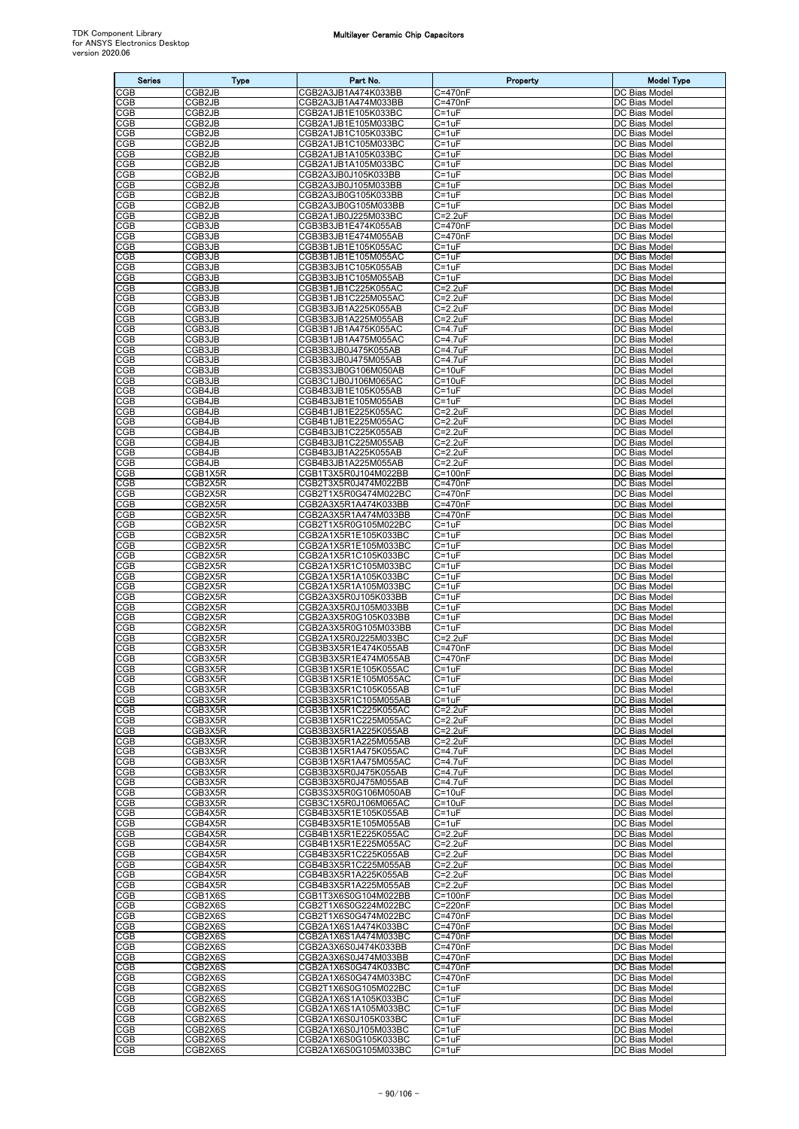| <b>Series</b>     | <b>Type</b>         | Part No.                                     | Property                      | <b>Model Type</b>                     |
|-------------------|---------------------|----------------------------------------------|-------------------------------|---------------------------------------|
| CGB               | CGB <sub>2</sub> JB | CGB2A3JB1A474K033BB                          | C=470nF                       | DC Bias Model                         |
| <b>CGB</b>        | CGB2JB              | CGB2A3JB1A474M033BB                          | C=470nF                       | DC Bias Model                         |
| CGB<br>CGB        | CGB2JB<br>CGB2JB    | CGB2A1JB1E105K033BC<br>CGB2A1JB1E105M033BC   | C=1uF<br>$C = 1uF$            | DC Bias Model<br>DC Bias Model        |
| CGB               | CGB2JB              | CGB2A1JB1C105K033BC                          | C=1uF                         | DC Bias Model                         |
| <b>CGB</b>        | CGB2JB              | CGB2A1JB1C105M033BC                          | C=1uF                         | DC Bias Model                         |
| CGB               | CGB2JB              | CGB2A1JB1A105K033BC                          | $C = 1uF$                     | DC Bias Model                         |
| <b>CGB</b><br>CGB | CGB2JB<br>CGB2JB    | CGB2A1JB1A105M033BC<br>CGB2A3JB0J105K033BB   | $C = 1uF$<br>C=1uF            | DC Bias Model<br>DC Bias Model        |
| CGB               | CGB2JB              | CGB2A3JB0J105M033BB                          | $C = 1uF$                     | DC Bias Model                         |
| CGB               | CGB2JB              | CGB2A3JB0G105K033BB                          | C=1uF                         | DC Bias Model                         |
| CGB<br>CGB        | CGB2JB<br>CGB2JB    | CGB2A3JB0G105M033BB<br>CGB2A1JB0J225M033BC   | C=1uF<br>$C = 2.2uF$          | DC Bias Model<br>DC Bias Model        |
| CGB               | CGB3JB              | CGB3B3JB1E474K055AB                          | C=470nF                       | DC Bias Model                         |
| CGB               | CGB3JB              | CGB3B3JB1E474M055AB                          | C=470nF                       | DC Bias Model                         |
| <b>CGB</b>        | CGB3JB              | CGB3B1JB1E105K055AC                          | $C = 1uF$                     | DC Bias Model                         |
| <b>CGB</b><br>CGB | CGB3JB<br>CGB3JB    | CGB3B1JB1E105M055AC<br>CGB3B3JB1C105K055AB   | $C = 1uF$<br>C=1uF            | DC Bias Model<br>DC Bias Model        |
| CGB               | CGB3JB              | CGB3B3JB1C105M055AB                          | C=1uF                         | DC Bias Model                         |
| <b>CGB</b>        | CGB3JB              | CGB3B1JB1C225K055AC                          | $C = 2.2uF$                   | DC Bias Model                         |
| CGB<br>CGB        | CGB3JB<br>CGB3JB    | CGB3B1JB1C225M055AC<br>CGB3B3JB1A225K055AB   | $C = 2.2uF$<br>$C = 2.2uF$    | DC Bias Model<br>DC Bias Model        |
| CGB               | CGB3JB              | CGB3B3JB1A225M055AB                          | $C = 2.2uF$                   | DC Bias Model                         |
| <b>CGB</b>        | CGB3JB              | CGB3B1JB1A475K055AC                          | C=4.7uF                       | DC Bias Model                         |
| <b>CGB</b>        | CGB3JB              | CGB3B1JB1A475M055AC                          | $C = 4.7uF$<br>C=4.7uF        | DC Bias Model                         |
| CGB<br><b>CGB</b> | CGB3JB<br>CGB3JB    | CGB3B3JB0J475K055AB<br>CGB3B3JB0J475M055AB   | C=4.7uF                       | DC Bias Model<br>DC Bias Model        |
| CGB               | CGB3JB              | CGB3S3JB0G106M050AB                          | $C = 10uF$                    | DC Bias Model                         |
| CGB               | CGB3JB              | CGB3C1JB0J106M065AC                          | $C = 10uF$                    | DC Bias Model                         |
| CGB<br><b>CGB</b> | CGB4JB<br>CGB4JB    | CGB4B3JB1E105K055AB<br>CGB4B3JB1E105M055AB   | C=1uF<br>C=1uF                | DC Bias Model<br>DC Bias Model        |
| CGB               | CGB4JB              | CGB4B1JB1E225K055AC                          | $C = 2.2uF$                   | DC Bias Model                         |
| <b>CGB</b>        | CGB4JB              | CGB4B1JB1E225M055AC                          | $C = 2.2uF$                   | DC Bias Model                         |
| <b>CGB</b><br>CGB | CGB4JB<br>CGB4JB    | CGB4B3JB1C225K055AB<br>CGB4B3JB1C225M055AB   | C=2.2uF<br>$C = 2.2uF$        | DC Bias Model<br>DC Bias Model        |
| CGB               | CGB4JB              | CGB4B3JB1A225K055AB                          | $C = 2.2uF$                   | DC Bias Model                         |
| CGB               | CGB4JB              | CGB4B3JB1A225M055AB                          | C=2.2uF                       | DC Bias Model                         |
| <b>CGB</b>        | CGB1X5R             | CGB1T3X5R0J104M022BB                         | C=100nF                       | DC Bias Model                         |
| CGB<br>CGB        | CGB2X5R<br>CGB2X5R  | CGB2T3X5R0J474M022BB<br>CGB2T1X5R0G474M022BC | C=470nF<br>C=470nF            | DC Bias Model<br>DC Bias Model        |
| <b>CGB</b>        | CGB2X5R             | CGB2A3X5R1A474K033BB                         | C=470nF                       | DC Bias Model                         |
| <b>CGB</b>        | CGB2X5R             | CGB2A3X5R1A474M033BB                         | C=470nF                       | DC Bias Model                         |
| CGB<br>CGB        | CGB2X5R<br>CGB2X5R  | CGB2T1X5R0G105M022BC<br>CGB2A1X5R1E105K033BC | $C = 1uF$<br>$C = 1uF$        | DC Bias Model<br>DC Bias Model        |
| <b>CGB</b>        | CGB2X5R             | CGB2A1X5R1E105M033BC                         | $C = 1uF$                     | DC Bias Model                         |
| CGB               | CGB2X5R             | CGB2A1X5R1C105K033BC                         | $C = 1uF$                     | DC Bias Model                         |
| CGB<br>CGB        | CGB2X5R<br>CGB2X5R  | CGB2A1X5R1C105M033BC<br>CGB2A1X5R1A105K033BC | C=1uF<br>C=1uF                | DC Bias Model<br>DC Bias Model        |
| <b>CGB</b>        | CGB2X5R             | CGB2A1X5R1A105M033BC                         | $C = 1uF$                     | DC Bias Model                         |
| CGB               | CGB2X5R             | CGB2A3X5R0J105K033BB                         | C=1uF                         | DC Bias Model                         |
| CGB<br><b>CGB</b> | CGB2X5R<br>CGB2X5R  | CGB2A3X5R0J105M033BB<br>CGB2A3X5R0G105K033BB | $C = 1uF$<br>C=1uF            | DC Bias Model<br>DC Bias Model        |
| CGB               | CGB2X5R             | CGB2A3X5R0G105M033BB                         | $C = 1uF$                     | DC Bias Model                         |
| CGB               | CGB2X5R             | CGB2A1X5R0J225M033BC                         | $C = 2.2uF$                   | DC Bias Model                         |
| CGB               | CGB3X5R             | CGB3B3X5R1E474K055AB                         | C=470nF                       | DC Bias Model<br>DC Bias Model        |
| CGB<br><b>CGB</b> | CGB3X5R<br>CGB3X5R  | CGB3B3X5R1E474M055AB<br>CGB3B1X5R1E105K055AC | C=470nF<br>$C = 1uF$          | DC Bias Model                         |
| <b>CGB</b>        | CGB3X5R             | CGB3B1X5R1E105M055AC                         | $C = 1uF$                     | DC Bias Model                         |
| <b>CGB</b>        | CGB3X5R             | CGB3B3X5R1C105K055AB                         | C=1uF                         | DC Bias Model                         |
| CGB<br><b>CGB</b> | CGB3X5R<br>CGB3X5R  | CGB3B3X5R1C105M055AB<br>CGB3B1X5R1C225K055AC | $C = 1uF$<br>$C = 2.2uF$      | DC Bias Model<br>DC Bias Model        |
| CGB               | CGB3X5R             | CGB3B1X5R1C225M055AC                         | $C = 2.2uF$                   | DC Bias Model                         |
| <b>CGB</b>        | CGB3X5R             | CGB3B3X5R1A225K055AB                         | $C = 2.2uF$                   | DC Bias Model                         |
| CGB<br>CGB        | CGB3X5R<br>CGB3X5R  | CGB3B3X5R1A225M055AB<br>CGB3B1X5R1A475K055AC | $C = 2.2uF$<br>$C = 4.7uF$    | DC Bias Model<br>DC Bias Model        |
| <b>CGB</b>        | CGB3X5R             | CGB3B1X5R1A475M055AC                         | $C = 4.7uF$                   | DC Bias Model                         |
| CGB               | CGB3X5R             | CGB3B3X5R0J475K055AB                         | $C = 4.7uF$                   | DC Bias Model                         |
| CGB<br>CGB        | CGB3X5R<br>CGB3X5R  | CGB3B3X5R0J475M055AB<br>CGB3S3X5R0G106M050AB | $C = 4.7$ u $F$<br>$C = 10uF$ | DC Bias Model<br><b>DC</b> Bias Model |
| <b>CGB</b>        | CGB3X5R             | CGB3C1X5R0J106M065AC                         | $C = 10uF$                    | DC Bias Model                         |
| CGB               | CGB4X5R             | CGB4B3X5R1E105K055AB                         | $C = 1uF$                     | DC Bias Model                         |
| CGB<br>CGB        | CGB4X5R<br>CGB4X5R  | CGB4B3X5R1E105M055AB<br>CGB4B1X5R1E225K055AC | $C = 1uF$<br>$C = 2.2uF$      | DC Bias Model<br>DC Bias Model        |
| <b>CGB</b>        | CGB4X5R             | CGB4B1X5R1E225M055AC                         | $C = 2.2uF$                   | DC Bias Model                         |
| CGB               | CGB4X5R             | CGB4B3X5R1C225K055AB                         | $C=2.2uF$                     | DC Bias Model                         |
| CGB               | CGB4X5R             | CGB4B3X5R1C225M055AB                         | $C = 2.2uF$                   | DC Bias Model                         |
| <b>CGB</b><br>CGB | CGB4X5R<br>CGB4X5R  | CGB4B3X5R1A225K055AB<br>CGB4B3X5R1A225M055AB | $C = 2.2uF$<br>$C = 2.2uF$    | DC Bias Model<br>DC Bias Model        |
| CGB               | CGB1X6S             | CGB1T3X6S0G104M022BB                         | $C = 100nF$                   | DC Bias Model                         |
| CGB               | CGB2X6S             | CGB2T1X6S0G224M022BC                         | C=220nF                       | DC Bias Model                         |
| CGB<br>CGB        | CGB2X6S<br>CGB2X6S  | CGB2T1X6S0G474M022BC<br>CGB2A1X6S1A474K033BC | C=470nF<br>C=470nF            | DC Bias Model<br>DC Bias Model        |
| CGB               | CGB2X6S             | CGB2A1X6S1A474M033BC                         | C=470nF                       | DC Bias Model                         |
| <b>CGB</b>        | CGB2X6S             | CGB2A3X6S0J474K033BB                         | C=470nF                       | DC Bias Model                         |
| CGB<br>CGB        | CGB2X6S<br>CGB2X6S  | CGB2A3X6S0J474M033BB<br>CGB2A1X6S0G474K033BC | C=470nF<br>C=470nF            | DC Bias Model<br>DC Bias Model        |
| CGB               | CGB2X6S             | CGB2A1X6S0G474M033BC                         | C=470nF                       | DC Bias Model                         |
| CGB               | CGB2X6S             | CGB2T1X6S0G105M022BC                         | C=1uF                         | DC Bias Model                         |
| CGB<br>CGB        | CGB2X6S<br>CGB2X6S  | CGB2A1X6S1A105K033BC<br>CGB2A1X6S1A105M033BC | $C = 1uF$<br>$C = 1uF$        | <b>DC Bias Model</b><br>DC Bias Model |
| <b>CGB</b>        | CGB2X6S             | CGB2A1X6S0J105K033BC                         | $C = 1uF$                     | DC Bias Model                         |
| CGB               | CGB2X6S             | CGB2A1X6S0J105M033BC                         | $C = 1uF$                     | DC Bias Model                         |
| <b>CGB</b>        | CGB2X6S<br>CGB2X6S  | CGB2A1X6S0G105K033BC<br>CGB2A1X6S0G105M033BC | $C = 1uF$<br>$C = 1uF$        | DC Bias Model<br>DC Bias Model        |
| CGB               |                     |                                              |                               |                                       |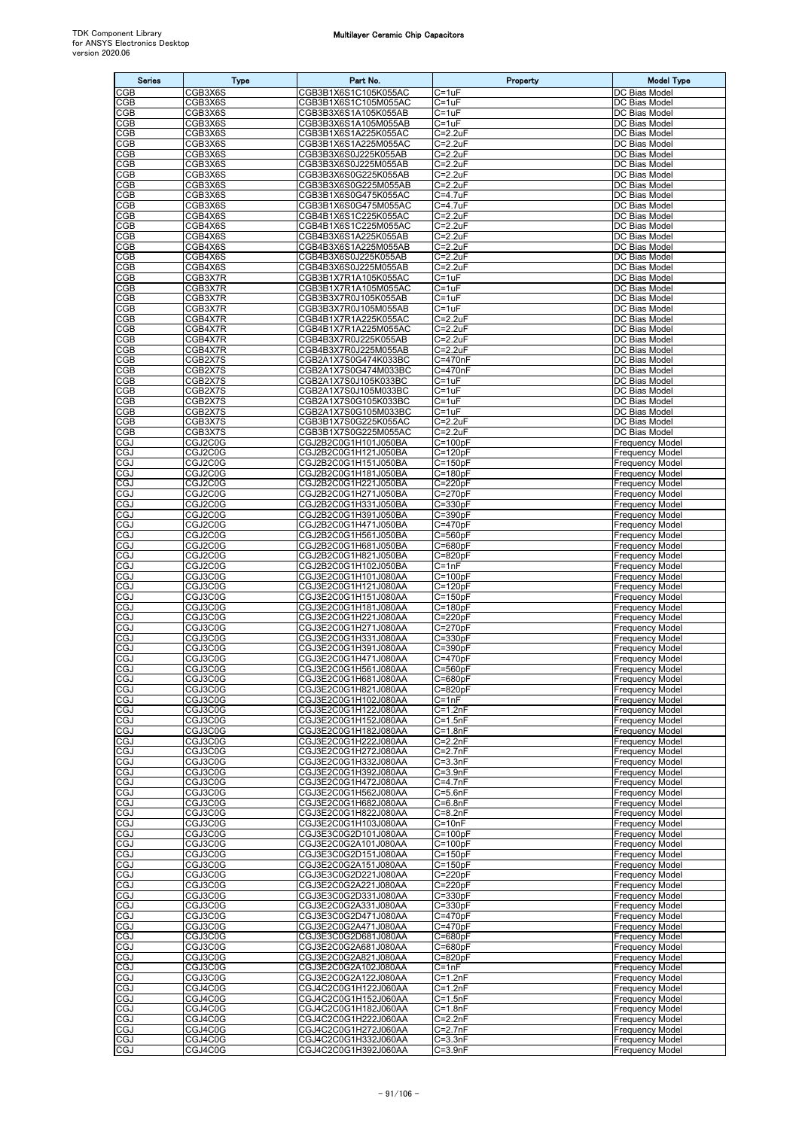| <b>Series</b>            | <b>Type</b>        | Part No.                                     | Property                   | <b>Model Type</b>                                |
|--------------------------|--------------------|----------------------------------------------|----------------------------|--------------------------------------------------|
| CGB                      | CGB3X6S            | CGB3B1X6S1C105K055AC                         | $C = 1uF$                  | DC Bias Model                                    |
| <b>CGB</b>               | CGB3X6S            | CGB3B1X6S1C105M055AC                         | $C = 1uF$                  | DC Bias Model                                    |
| CGB<br>CGB               | CGB3X6S            | CGB3B3X6S1A105K055AB                         | C=1uF<br>$C = 1uF$         | DC Bias Model<br>DC Bias Model                   |
| CGB                      | CGB3X6S<br>CGB3X6S | CGB3B3X6S1A105M055AB<br>CGB3B1X6S1A225K055AC | C=2.2uF                    | DC Bias Model                                    |
| <b>CGB</b>               | CGB3X6S            | CGB3B1X6S1A225M055AC                         | $C = 2.2uF$                | DC Bias Model                                    |
| CGB                      | CGB3X6S            | CGB3B3X6S0J225K055AB                         | $C = 2.2uF$                | DC Bias Model                                    |
| CGB<br>CGB               | CGB3X6S            | CGB3B3X6S0J225M055AB                         | $C = 2.2uF$<br>$C = 2.2uF$ | DC Bias Model                                    |
| <b>CGB</b>               | CGB3X6S<br>CGB3X6S | CGB3B3X6S0G225K055AB<br>CGB3B3X6S0G225M055AB | $C = 2.2uF$                | DC Bias Model<br>DC Bias Model                   |
| CGB                      | CGB3X6S            | CGB3B1X6S0G475K055AC                         | C=4.7uF                    | DC Bias Model                                    |
| CGB                      | CGB3X6S            | CGB3B1X6S0G475M055AC                         | C=4.7uF                    | DC Bias Model                                    |
| <b>CGB</b>               | CGB4X6S            | CGB4B1X6S1C225K055AC                         | $C = 2.2uF$<br>$C = 2.2uF$ | DC Bias Model                                    |
| CGB<br>CGB               | CGB4X6S<br>CGB4X6S | CGB4B1X6S1C225M055AC<br>CGB4B3X6S1A225K055AB | $C = 2.2uF$                | DC Bias Model<br>DC Bias Model                   |
| CGB                      | CGB4X6S            | CGB4B3X6S1A225M055AB                         | C=2.2uF                    | DC Bias Model                                    |
| <b>CGB</b>               | CGB4X6S            | CGB4B3X6S0J225K055AB                         | $C = 2.2uF$                | DC Bias Model                                    |
| CGB                      | CGB4X6S            | CGB4B3X6S0J225M055AB                         | $C = 2.2uF$                | DC Bias Model                                    |
| CGB<br>CGB               | CGB3X7R<br>CGB3X7R | CGB3B1X7R1A105K055AC<br>CGB3B1X7R1A105M055AC | C=1uF<br>C=1uF             | DC Bias Model<br>DC Bias Model                   |
| CGB                      | CGB3X7R            | CGB3B3X7R0J105K055AB                         | $C = 1uF$                  | DC Bias Model                                    |
| CGB                      | CGB3X7R            | CGB3B3X7R0J105M055AB                         | $C = 1uF$                  | DC Bias Model                                    |
| CGB                      | CGB4X7R            | CGB4B1X7R1A225K055AC                         | $C = 2.2uF$                | DC Bias Model                                    |
| CGB<br>CGB               | CGB4X7R<br>CGB4X7R | CGB4B1X7R1A225M055AC<br>CGB4B3X7R0J225K055AB | $C = 2.2uF$<br>$C = 2.2uF$ | DC Bias Model<br>DC Bias Model                   |
| CGB                      | CGB4X7R            | CGB4B3X7R0J225M055AB                         | $C = 2.2uF$                | DC Bias Model                                    |
| <b>CGB</b>               | CGB2X7S            | CGB2A1X7S0G474K033BC                         | C=470nF                    | DC Bias Model                                    |
| <b>CGB</b>               | CGB2X7S            | CGB2A1X7S0G474M033BC                         | C=470nF                    | DC Bias Model                                    |
| CGB                      | CGB2X7S            | CGB2A1X7S0J105K033BC                         | $C = 1uF$                  | DC Bias Model                                    |
| CGB<br><b>CGB</b>        | CGB2X7S<br>CGB2X7S | CGB2A1X7S0J105M033BC<br>CGB2A1X7S0G105K033BC | $C = 1uF$<br>$C = 1uF$     | DC Bias Model<br>DC Bias Model                   |
| CGB                      | CGB2X7S            | CGB2A1X7S0G105M033BC                         | $C = 1uF$                  | DC Bias Model                                    |
| CGB                      | CGB3X7S            | CGB3B1X7S0G225K055AC                         | $C = 2.2uF$                | DC Bias Model                                    |
| CGB                      | CGB3X7S            | CGB3B1X7S0G225M055AC                         | $C = 2.2uF$                | DC Bias Model                                    |
| CGJ<br>CGJ               | CGJ2C0G<br>CGJ2C0G | CGJ2B2C0G1H101J050BA<br>CGJ2B2C0G1H121J050BA | $C = 100pF$<br>$C = 120pF$ | <b>Frequency Model</b><br>Frequency Model        |
| CGJ                      | CGJ2C0G            | CGJ2B2C0G1H151J050BA                         | $C = 150pF$                | <b>Frequency Model</b>                           |
| CGJ                      | CGJ2C0G            | CGJ2B2C0G1H181J050BA                         | $C = 180pF$                | Frequency Model                                  |
| CGJ                      | CGJ2C0G            | CGJ2B2C0G1H221J050BA                         | $C = 220pF$                | Frequency Model                                  |
| CGJ                      | CGJ2C0G            | CGJ2B2C0G1H271J050BA                         | $C = 270pF$                | Frequency Model                                  |
| CGJ<br>CGJ               | CGJ2C0G<br>CGJ2C0G | CGJ2B2C0G1H331J050BA<br>CGJ2B2C0G1H391J050BA | C=330pF<br>$C = 390pF$     | Frequency Model<br>Frequency Model               |
| CGJ                      | CGJ2C0G            | CGJ2B2C0G1H471J050BA                         | $C = 470pF$                | <b>Frequency Model</b>                           |
| CGJ                      | CGJ2C0G            | CGJ2B2C0G1H561J050BA                         | $C = 560pF$                | Frequency Model                                  |
| CGJ                      | CGJ2C0G            | CGJ2B2C0G1H681J050BA                         | $C = 680pF$                | Frequency Model                                  |
| CGJ<br>CGJ               | CGJ2C0G<br>CGJ2C0G | CGJ2B2C0G1H821J050BA<br>CGJ2B2C0G1H102J050BA | $C = 820pF$<br>$C = 1nF$   | Frequency Model<br><b>Frequency Model</b>        |
| CGJ                      | CGJ3C0G            | CGJ3E2C0G1H101J080AA                         | $C = 100pF$                | Frequency Model                                  |
| CGJ                      | CGJ3C0G            | CGJ3E2C0G1H121J080AA                         | $C = 120pF$                | <b>Frequency Model</b>                           |
| CGJ                      | CGJ3C0G            | CGJ3E2C0G1H151J080AA                         | $C = 150pF$                | Frequency Model                                  |
| CGJ                      | CGJ3C0G            | CGJ3E2C0G1H181J080AA                         | $C = 180pF$                | <b>Frequency Model</b>                           |
| CGJ<br>CGJ               | CGJ3C0G<br>CGJ3C0G | CGJ3E2C0G1H221J080AA<br>CGJ3E2C0G1H271J080AA | $C = 220pF$<br>C=270pF     | Frequency Model<br><b>Frequency Model</b>        |
| CGJ                      | CGJ3C0G            | CGJ3E2C0G1H331J080AA                         | $C = 330pF$                | Frequency Model                                  |
| CGJ                      | CGJ3C0G            | CGJ3E2C0G1H391J080AA                         | $C = 390pF$                | Frequency Model                                  |
| CGJ                      | CGJ3C0G            | CGJ3E2C0G1H471J080AA                         | $C = 470pF$                | Frequency Model                                  |
| <b>CGJ</b><br><b>CGJ</b> | CGJ3C0G<br>CGJ3C0G | CGJ3E2C0G1H561J080AA<br>CGJ3E2C0G1H681J080AA | $C = 560pF$<br>$C = 680pF$ | <b>Frequency Model</b><br><b>Frequency Model</b> |
| CGJ                      | CGJ3C0G            | CGJ3E2C0G1H821J080AA                         | $C = 820pF$                | Frequency Model                                  |
| <b>CGJ</b>               | CGJ3C0G            | CGJ3E2C0G1H102J080AA                         | $C = 1nF$                  | <b>Frequency Model</b>                           |
| CGJ                      | CGJ3C0G            | CGJ3E2C0G1H122J080AA                         | $C = 1.2nF$                | <b>Frequency Model</b>                           |
| CGJ<br>CGJ               | CGJ3C0G<br>CGJ3C0G | CGJ3E2C0G1H152J080AA<br>CGJ3E2C0G1H182J080AA | $C = 1.5nF$<br>$C = 1.8nF$ | <b>Frequency Model</b><br><b>Frequency Model</b> |
| CGJ                      | CGJ3C0G            | CGJ3E2C0G1H222J080AA                         | $C = 2.2nF$                | <b>Frequency Model</b>                           |
| <b>CGJ</b>               | CGJ3C0G            | CGJ3E2C0G1H272J080AA                         | $C = 2.7nF$                | <b>Frequency Model</b>                           |
| CGJ                      | CGJ3C0G            | CGJ3E2C0G1H332J080AA                         | $C = 3.3nF$                | Frequency Model                                  |
| CGJ<br>CGJ               | CGJ3C0G<br>CGJ3C0G | CGJ3E2C0G1H392J080AA<br>CGJ3E2C0G1H472J080AA | $C = 3.9nF$<br>$C=4.7nF$   | Frequency Model<br><b>Frequency Model</b>        |
| CGJ                      | CGJ3C0G            | CGJ3E2C0G1H562J080AA                         | $C = 5.6nF$                | <b>Frequency Model</b>                           |
| CGJ                      | CGJ3C0G            | CGJ3E2C0G1H682J080AA                         | $C=6.8nF$                  | <b>Frequency Model</b>                           |
| CGJ                      | CGJ3C0G            | CGJ3E2C0G1H822J080AA                         | $C = 8.2nF$                | <b>Frequency Model</b>                           |
| CGJ<br>CGJ               | CGJ3C0G<br>CGJ3C0G | CGJ3E2C0G1H103J080AA<br>CGJ3E3C0G2D101J080AA | $C = 10nF$<br>$C = 100pF$  | <b>Frequency Model</b><br><b>Frequency Model</b> |
| CGJ                      | CGJ3C0G            | CGJ3E2C0G2A101J080AA                         | $C = 100pF$                | <b>Frequency Model</b>                           |
| CGJ                      | CGJ3C0G            | CGJ3E3C0G2D151J080AA                         | $C=150pF$                  | <b>Frequency Model</b>                           |
| CGJ                      | CGJ3C0G            | CGJ3E2C0G2A151J080AA                         | $C = 150pF$                | <b>Frequency Model</b>                           |
| CGJ                      | CGJ3C0G            | CGJ3E3C0G2D221J080AA                         | $C = 220pF$                | Frequency Model                                  |
| CGJ<br>CGJ               | CGJ3C0G<br>CGJ3C0G | CGJ3E2C0G2A221J080AA<br>CGJ3E3C0G2D331J080AA | $C = 220pF$<br>$C = 330pF$ | <b>Frequency Model</b><br><b>Frequency Model</b> |
| CGJ                      | CGJ3C0G            | CGJ3E2C0G2A331J080AA                         | $C = 330pF$                | Frequency Model                                  |
| CGJ                      | CGJ3C0G            | CGJ3E3C0G2D471J080AA                         | $C = 470pF$                | <b>Frequency Model</b>                           |
| CGJ                      | CGJ3C0G            | CGJ3E2C0G2A471J080AA                         | $C = 470pF$                | <b>Frequency Model</b>                           |
| CGJ                      | CGJ3C0G            | CGJ3E3C0G2D681J080AA                         | $C = 680pF$                | <b>Frequency Model</b>                           |
| CGJ<br>CGJ               | CGJ3C0G<br>CGJ3C0G | CGJ3E2C0G2A681J080AA<br>CGJ3E2C0G2A821J080AA | $C = 680pF$<br>$C = 820pF$ | <b>Frequency Model</b><br><b>Frequency Model</b> |
| CGJ                      | CGJ3C0G            | CGJ3E2C0G2A102J080AA                         | $C = 1nF$                  | <b>Frequency Model</b>                           |
| CGJ                      | CGJ3C0G            | CGJ3E2C0G2A122J080AA                         | $C = 1.2nF$                | <b>Frequency Model</b>                           |
| CGJ                      | CGJ4C0G            | CGJ4C2C0G1H122J060AA                         | $C = 1.2nF$                | <b>Frequency Model</b>                           |
| CGJ<br>CGJ               | CGJ4C0G<br>CGJ4C0G | CGJ4C2C0G1H152J060AA<br>CGJ4C2C0G1H182J060AA | $C = 1.5nF$<br>$C = 1.8nF$ | <b>Frequency Model</b><br><b>Frequency Model</b> |
| CGJ                      | CGJ4C0G            | CGJ4C2C0G1H222J060AA                         | $C=2.2nF$                  | <b>Frequency Model</b>                           |
| <b>CGJ</b>               | CGJ4C0G            | CGJ4C2C0G1H272J060AA                         | $C = 2.7nF$                | <b>Frequency Model</b>                           |
| CGJ                      | CGJ4C0G            | CGJ4C2C0G1H332J060AA                         | $C = 3.3nF$                | <b>Frequency Model</b>                           |
| CGJ                      | CGJ4C0G            | CGJ4C2C0G1H392J060AA                         | $C = 3.9nF$                | <b>Frequency Model</b>                           |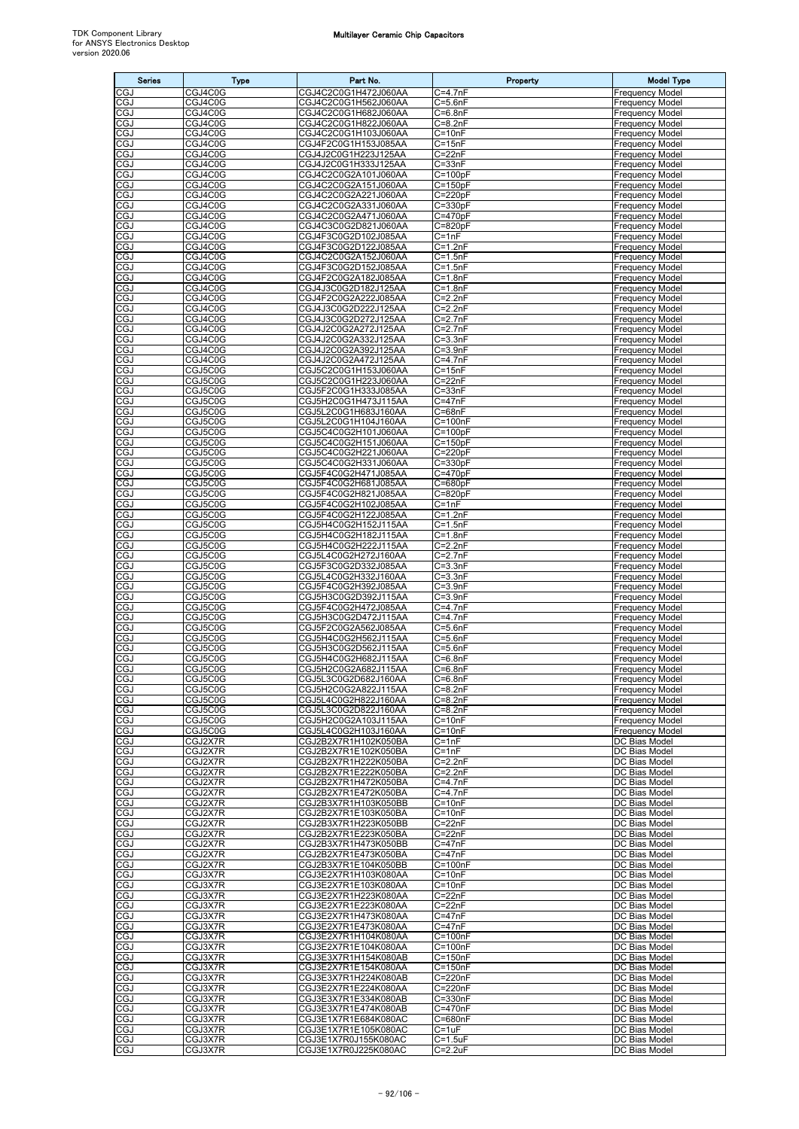| <b>Series</b>            | <b>Type</b>        | Part No.                                     | Property                             | <b>Model Type</b>                                |
|--------------------------|--------------------|----------------------------------------------|--------------------------------------|--------------------------------------------------|
| CGJ                      | CGJ4C0G            | CGJ4C2C0G1H472J060AA                         | $C = 4.7nF$                          | Frequency Model                                  |
| CGJ                      | CGJ4C0G            | CGJ4C2C0G1H562J060AA                         | $C = 5.6nF$                          | Frequency Model                                  |
| CGJ<br>CGJ               | CGJ4C0G<br>CGJ4C0G | CGJ4C2C0G1H682J060AA<br>CGJ4C2C0G1H822J060AA | $\overline{C}$ =6.8nF<br>$C = 8.2nF$ | <b>Frequency Model</b><br><b>Frequency Model</b> |
| CGJ                      | CGJ4C0G            | CGJ4C2C0G1H103J060AA                         | C=10nF                               | Frequency Model                                  |
| CGJ                      | CGJ4C0G            | CGJ4F2C0G1H153J085AA                         | $C = 15nF$                           | Frequency Model                                  |
| CGJ                      | CGJ4C0G            | CGJ4J2C0G1H223J125AA                         | $C = 22nF$                           | <b>Frequency Model</b>                           |
| CGJ<br>CGJ               | CGJ4C0G<br>CGJ4C0G | CGJ4J2C0G1H333J125AA<br>CGJ4C2C0G2A101J060AA | $C = 33nF$<br>C=100pF                | <b>Frequency Model</b><br>Frequency Model        |
| CGJ                      | CGJ4C0G            | CGJ4C2C0G2A151J060AA                         | $C = 150pF$                          | <b>Frequency Model</b>                           |
| CGJ                      | CGJ4C0G            | CGJ4C2C0G2A221J060AA                         | $C = 220pF$                          | Frequency Model                                  |
| CGJ<br>CGJ               | CGJ4C0G<br>CGJ4C0G | CGJ4C2C0G2A331J060AA<br>CGJ4C2C0G2A471J060AA | C=330pF<br>$C = 470pF$               | Frequency Model<br>Frequency Model               |
| CGJ                      | CGJ4C0G            | CGJ4C3C0G2D821J060AA                         | $C = 820pF$                          | <b>Frequency Model</b>                           |
| CGJ                      | CGJ4C0G            | CGJ4F3C0G2D102J085AA                         | $C = 1nF$                            | Frequency Model                                  |
| CGJ                      | CGJ4C0G            | CGJ4F3C0G2D122J085AA<br>CGJ4C2C0G2A152J060AA | $C = 1.2nF$                          | Frequency Model                                  |
| CGJ<br>CGJ               | CGJ4C0G<br>CGJ4C0G | CGJ4F3C0G2D152J085AA                         | $C = 1.5nF$<br>$C = 1.5nF$           | Frequency Model<br>Frequency Model               |
| CGJ                      | CGJ4C0G            | CGJ4F2C0G2A182J085AA                         | $C = 1.8nF$                          | Frequency Model                                  |
| CGJ                      | CGJ4C0G            | CGJ4J3C0G2D182J125AA                         | $C = 1.8nF$                          | Frequency Model                                  |
| CGJ<br>CGJ               | CGJ4C0G<br>CGJ4C0G | CGJ4F2C0G2A222J085AA<br>CGJ4J3C0G2D222J125AA | $C = 2.2nF$<br>$C = 2.2nF$           | Frequency Model<br>Frequency Model               |
| CGJ                      | CGJ4C0G            | CGJ4J3C0G2D272J125AA                         | $C=2.7nF$                            | Frequency Model                                  |
| CGJ                      | CGJ4C0G            | CGJ4J2C0G2A272J125AA                         | $C=2.7nF$                            | Frequency Model                                  |
| CGJ<br>CGJ               | CGJ4C0G            | CGJ4J2C0G2A332J125AA                         | $C = 3.3nF$                          | <b>Frequency Model</b><br>Frequency Model        |
| CGJ                      | CGJ4C0G<br>CGJ4C0G | CGJ4J2C0G2A392J125AA<br>CGJ4J2C0G2A472J125AA | $C = 3.9nF$<br>$C = 4.7nF$           | Frequency Model                                  |
| CGJ                      | CGJ5C0G            | CGJ5C2C0G1H153J060AA                         | $C = 15nF$                           | Frequency Model                                  |
| CGJ                      | CGJ5C0G            | CGJ5C2C0G1H223J060AA                         | $C = 22nF$                           | <b>Frequency Model</b>                           |
| CGJ<br>CGJ               | CGJ5C0G<br>CGJ5C0G | CGJ5F2C0G1H333J085AA<br>CGJ5H2C0G1H473J115AA | $C = 33nF$<br>$C = 47nF$             | Frequency Model<br>Frequency Model               |
| CGJ                      | CGJ5C0G            | CGJ5L2C0G1H683J160AA                         | $C = 68nF$                           | Frequency Model                                  |
| CGJ                      | CGJ5C0G            | CGJ5L2C0G1H104J160AA                         | $C = 100nF$                          | <b>Frequency Model</b>                           |
| CGJ<br>CGJ               | CGJ5C0G<br>CGJ5C0G | CGJ5C4C0G2H101J060AA                         | $C = 100pF$<br>$C = 150pF$           | <b>Frequency Model</b><br><b>Frequency Model</b> |
| CGJ                      | CGJ5C0G            | CGJ5C4C0G2H151J060AA<br>CGJ5C4C0G2H221J060AA | $C = 220pF$                          | <b>Frequency Model</b>                           |
| CGJ                      | CGJ5C0G            | CGJ5C4C0G2H331J060AA                         | C=330pF                              | Frequency Model                                  |
| CGJ                      | CGJ5C0G            | CGJ5F4C0G2H471J085AA                         | $C = 470pF$                          | Frequency Model                                  |
| CGJ<br>CGJ               | CGJ5C0G<br>CGJ5C0G | CGJ5F4C0G2H681J085AA<br>CGJ5F4C0G2H821J085AA | C=680pF<br>$C = 820pF$               | <b>Frequency Model</b><br>Frequency Model        |
| CGJ                      | CGJ5C0G            | CGJ5F4C0G2H102J085AA                         | $C = 1nF$                            | Frequency Model                                  |
| CGJ                      | CGJ5C0G            | CGJ5F4C0G2H122J085AA                         | $C = 1.2nF$                          | Frequency Model                                  |
| CGJ<br>CGJ               | CGJ5C0G<br>CGJ5C0G | CGJ5H4C0G2H152J115AA<br>CGJ5H4C0G2H182J115AA | $C = 1.5nF$<br>$C = 1.8nF$           | <b>Frequency Model</b><br>Frequency Model        |
| CGJ                      | CGJ5C0G            | CGJ5H4C0G2H222J115AA                         | $C=2.2nF$                            | Frequency Model                                  |
| CGJ                      | CGJ5C0G            | CGJ5L4C0G2H272J160AA                         | $C=2.7nF$                            | <b>Frequency Model</b>                           |
| CGJ                      | CGJ5C0G            | CGJ5F3C0G2D332J085AA                         | $C = 3.3nF$                          | <b>Frequency Model</b>                           |
| CGJ<br>CGJ               | CGJ5C0G<br>CGJ5C0G | CGJ5L4C0G2H332J160AA<br>CGJ5F4C0G2H392J085AA | $C = 3.3nF$<br>$C = 3.9nF$           | Frequency Model<br>Frequency Model               |
| CGJ                      | CGJ5C0G            | CGJ5H3C0G2D392J115AA                         | $C = 3.9nF$                          | Frequency Model                                  |
| CGJ                      | CGJ5C0G            | CGJ5F4C0G2H472J085AA                         | $C = 4.7nF$                          | <b>Frequency Model</b>                           |
| CGJ<br>cgJ               | CGJ5C0G<br>CGJ5C0G | CGJ5H3C0G2D472J115AA<br>CGJ5F2C0G2A562J085AA | $C = 4.7nF$<br>$C = 5.6nF$           | Frequency Model<br><b>Frequency Model</b>        |
| CGJ                      | CGJ5C0G            | CGJ5H4C0G2H562J115AA                         | $C = 5.6nF$                          | Frequency Model                                  |
| CGJ                      | CGJ5C0G            | CGJ5H3C0G2D562J115AA                         | $C = 5.6nF$                          | Frequency Model                                  |
| <b>CGJ</b><br><b>CGJ</b> | CGJ5C0G<br>CGJ5C0G | CGJ5H4C0G2H682J115AA<br>CGJ5H2C0G2A682J115AA | $C = 6.8nF$<br>$C = 6.8nF$           | <b>Frequency Model</b><br><b>Frequency Model</b> |
| <b>CGJ</b>               | CGJ5C0G            | CGJ5L3C0G2D682J160AA                         | $C = 6.8nF$                          | Frequency Model                                  |
| CGJ                      | CGJ5C0G            | CGJ5H2C0G2A822J115AA                         | $C = 8.2nF$                          | Frequency Model                                  |
| CGJ<br>CGJ               | CGJ5C0G<br>CGJ5C0G | CGJ5L4C0G2H822J160AA<br>CGJ5L3C0G2D822J160AA | $C = 8.2nF$<br>$C = 8.2nF$           | <b>Frequency Model</b><br><b>Frequency Model</b> |
| CGJ                      | CGJ5C0G            | CGJ5H2C0G2A103J115AA                         | $C = 10nF$                           | Frequency Model                                  |
| CGJ                      | CGJ5C0G            | CGJ5L4C0G2H103J160AA                         | $C = 10nF$                           | <b>Frequency Model</b>                           |
| CGJ                      | CGJ2X7R            | CGJ2B2X7R1H102K050BA                         | $\overline{C}$ =1nF<br>$C = 1nF$     | DC Bias Model<br>DC Bias Model                   |
| CGJ<br>CGJ               | CGJ2X7R<br>CGJ2X7R | CGJ2B2X7R1E102K050BA<br>CGJ2B2X7R1H222K050BA | $C=2.2nF$                            | DC Bias Model                                    |
| CGJ                      | CGJ2X7R            | CGJ2B2X7R1E222K050BA                         | $C=2.2nF$                            | DC Bias Model                                    |
| CGJ                      | CGJ2X7R            | CGJ2B2X7R1H472K050BA                         | $C = 4.7nF$                          | DC Bias Model                                    |
| CGJ<br>CGJ               | CGJ2X7R<br>CGJ2X7R | CGJ2B2X7R1E472K050BA<br>CGJ2B3X7R1H103K050BB | $C = 4.7nF$<br>$C = 10nF$            | DC Bias Model<br>DC Bias Model                   |
| CGJ                      | CGJ2X7R            | CGJ2B2X7R1E103K050BA                         | $C = 10nF$                           | DC Bias Model                                    |
| CGJ                      | CGJ2X7R            | CGJ2B3X7R1H223K050BB                         | $C = 22nF$                           | DC Bias Model                                    |
| CGJ<br><b>CGJ</b>        | CGJ2X7R<br>CGJ2X7R | CGJ2B2X7R1E223K050BA<br>CGJ2B3X7R1H473K050BB | $C = 22nF$<br>$C = 47nF$             | DC Bias Model<br>DC Bias Model                   |
| CGJ                      | CGJ2X7R            | CGJ2B2X7R1E473K050BA                         | $C = 47nF$                           | DC Bias Model                                    |
| CGJ                      | CGJ2X7R            | CGJ2B3X7R1E104K050BB                         | $C = 100nF$                          | DC Bias Model                                    |
| CGJ<br>CGJ               | CGJ3X7R<br>CGJ3X7R | CGJ3E2X7R1H103K080AA<br>CGJ3E2X7R1E103K080AA | $C = 10nF$<br>$C = 10nF$             | DC Bias Model<br>DC Bias Model                   |
| CGJ                      | CGJ3X7R            | CGJ3E2X7R1H223K080AA                         | $C = 22nF$                           | DC Bias Model                                    |
| CGJ                      | CGJ3X7R            | CGJ3E2X7R1E223K080AA                         | $C = 22nF$                           | DC Bias Model                                    |
| <b>CGJ</b><br>CGJ        | CGJ3X7R<br>CGJ3X7R | CGJ3E2X7R1H473K080AA<br>CGJ3E2X7R1E473K080AA | $C = 47nF$<br>$C = 47nF$             | DC Bias Model<br>DC Bias Model                   |
| CGJ                      | CGJ3X7R            | CGJ3E2X7R1H104K080AA                         | $C = 100nF$                          | DC Bias Model                                    |
| CGJ                      | CGJ3X7R            | CGJ3E2X7R1E104K080AA                         | $C = 100nF$                          | DC Bias Model                                    |
| CGJ                      | CGJ3X7R            | CGJ3E3X7R1H154K080AB                         | $C = 150nF$                          | DC Bias Model                                    |
| CGJ<br>CGJ               | CGJ3X7R<br>CGJ3X7R | CGJ3E2X7R1E154K080AA<br>CGJ3E3X7R1H224K080AB | $C = 150nF$<br>C=220nF               | DC Bias Model<br>DC Bias Model                   |
| CGJ                      | CGJ3X7R            | CGJ3E2X7R1E224K080AA                         | C=220nF                              | DC Bias Model                                    |
| CGJ                      | CGJ3X7R            | CGJ3E3X7R1E334K080AB                         | $C = 330nF$                          | DC Bias Model                                    |
| CGJ<br>CGJ               | CGJ3X7R<br>CGJ3X7R | CGJ3E3X7R1E474K080AB<br>CGJ3E1X7R1E684K080AC | C=470nF<br>C=680nF                   | DC Bias Model<br>DC Bias Model                   |
| CGJ                      | CGJ3X7R            | CGJ3E1X7R1E105K080AC                         | $C = 1uF$                            | DC Bias Model                                    |
| CGJ                      | CGJ3X7R            | CGJ3E1X7R0J155K080AC                         | $C = 1.5uF$                          | DC Bias Model                                    |
| <b>CGJ</b>               | CGJ3X7R            | CGJ3E1X7R0J225K080AC                         | $C = 2.2uF$                          | DC Bias Model                                    |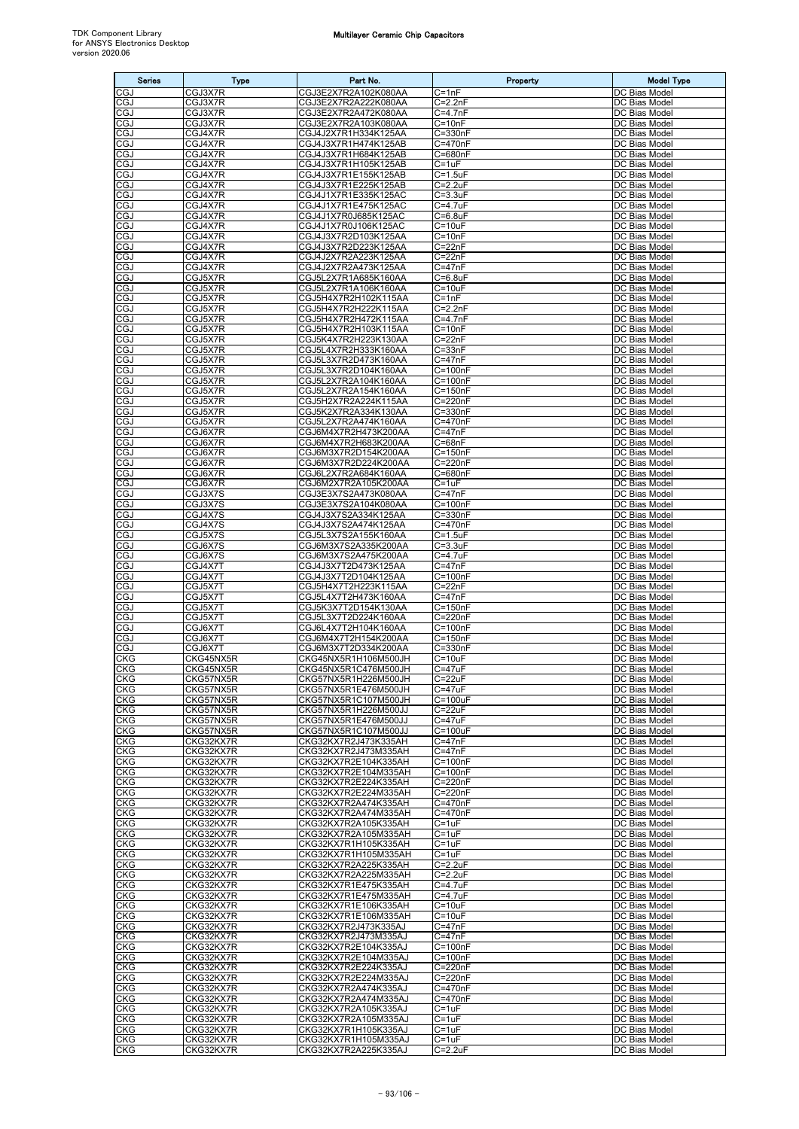| <b>Series</b>            | <b>Type</b>            | Part No.                                     | Property                   | <b>Model Type</b>              |
|--------------------------|------------------------|----------------------------------------------|----------------------------|--------------------------------|
| CGJ                      | CGJ3X7R                | CGJ3E2X7R2A102K080AA                         | $C = 1nF$                  | DC Bias Model                  |
| CGJ                      | CGJ3X7R                | CGJ3E2X7R2A222K080AA                         | $C = 2.2nF$                | DC Bias Model                  |
| CGJ<br>CGJ               | CGJ3X7R<br>CGJ3X7R     | CGJ3E2X7R2A472K080AA<br>CGJ3E2X7R2A103K080AA | $C = 4.7nF$<br>$C = 10nF$  | DC Bias Model<br>DC Bias Model |
| CGJ                      | CGJ4X7R                | CGJ4J2X7R1H334K125AA                         | $C = 330nF$                | DC Bias Model                  |
| CGJ                      | CGJ4X7R                | CGJ4J3X7R1H474K125AB                         | C=470nF                    | DC Bias Model                  |
| CGJ<br>CGJ               | CGJ4X7R<br>CGJ4X7R     | CGJ4J3X7R1H684K125AB<br>CGJ4J3X7R1H105K125AB | C=680nF<br>$C = 1uF$       | DC Bias Model<br>DC Bias Model |
| CGJ                      | CGJ4X7R                | CGJ4J3X7R1E155K125AB                         | $C = 1.5uF$                | DC Bias Model                  |
| CGJ                      | CGJ4X7R                | CGJ4J3X7R1E225K125AB                         | $C = 2.2uF$                | DC Bias Model                  |
| CGJ<br>CGJ               | CGJ4X7R<br>CGJ4X7R     | CGJ4J1X7R1E335K125AC<br>CGJ4J1X7R1E475K125AC | $C = 3.3uF$<br>C=4.7uF     | DC Bias Model<br>DC Bias Model |
| CGJ                      | CGJ4X7R                | CGJ4J1X7R0J685K125AC                         | $C = 6.8$ uF               | DC Bias Model                  |
| CGJ                      | CGJ4X7R                | CGJ4J1X7R0J106K125AC                         | $C = 10uF$                 | DC Bias Model                  |
| CGJ<br>CGJ               | CGJ4X7R                | CGJ4J3X7R2D103K125AA<br>CGJ4J3X7R2D223K125AA | $C = 10nF$<br>$C = 22nF$   | DC Bias Model<br>DC Bias Model |
| CGJ                      | CGJ4X7R<br>CGJ4X7R     | CGJ4J2X7R2A223K125AA                         | $C = 22nF$                 | DC Bias Model                  |
| CGJ                      | CGJ4X7R                | CGJ4J2X7R2A473K125AA                         | $C = 47nF$                 | DC Bias Model                  |
| CGJ                      | CGJ5X7R                | CGJ5L2X7R1A685K160AA                         | $C = 6.8$ uF               | DC Bias Model                  |
| CGJ<br>CGJ               | CGJ5X7R<br>CGJ5X7R     | CGJ5L2X7R1A106K160AA<br>CGJ5H4X7R2H102K115AA | $C = 10uF$<br>$C = 1nF$    | DC Bias Model<br>DC Bias Model |
| CGJ                      | CGJ5X7R                | CGJ5H4X7R2H222K115AA                         | $C = 2.2nF$                | DC Bias Model                  |
| CGJ                      | CGJ5X7R                | CGJ5H4X7R2H472K115AA                         | $C = 4.7nF$                | DC Bias Model                  |
| CGJ<br>CGJ               | CGJ5X7R<br>CGJ5X7R     | CGJ5H4X7R2H103K115AA<br>CGJ5K4X7R2H223K130AA | $C = 10nF$<br>$C = 22nF$   | DC Bias Model<br>DC Bias Model |
| CGJ                      | CGJ5X7R                | CGJ5L4X7R2H333K160AA                         | $C = 33nF$                 | DC Bias Model                  |
| CGJ                      | CGJ5X7R                | CGJ5L3X7R2D473K160AA                         | $C = 47nF$                 | DC Bias Model                  |
| CGJ<br>CGJ               | CGJ5X7R<br>CGJ5X7R     | CGJ5L3X7R2D104K160AA<br>CGJ5L2X7R2A104K160AA | $C = 100nF$<br>$C = 100nF$ | DC Bias Model<br>DC Bias Model |
| CGJ                      | CGJ5X7R                | CGJ5L2X7R2A154K160AA                         | $C = 150nF$                | DC Bias Model                  |
| CGJ                      | CGJ5X7R                | CGJ5H2X7R2A224K115AA                         | $C = 220nF$                | DC Bias Model                  |
| CGJ                      | CGJ5X7R                | CGJ5K2X7R2A334K130AA                         | $C = 330nF$<br>C=470nF     | DC Bias Model<br>DC Bias Model |
| CGJ<br>CGJ               | CGJ5X7R<br>CGJ6X7R     | CGJ5L2X7R2A474K160AA<br>CGJ6M4X7R2H473K200AA | $C = 47nF$                 | DC Bias Model                  |
| CGJ                      | CGJ6X7R                | CGJ6M4X7R2H683K200AA                         | $C = 68nF$                 | DC Bias Model                  |
| CGJ                      | CGJ6X7R                | CGJ6M3X7R2D154K200AA                         | $C = 150nF$                | DC Bias Model                  |
| CGJ<br>CGJ               | CGJ6X7R<br>CGJ6X7R     | CGJ6M3X7R2D224K200AA<br>CGJ6L2X7R2A684K160AA | C=220nF<br>C=680nF         | DC Bias Model<br>DC Bias Model |
| CGJ                      | CGJ6X7R                | CGJ6M2X7R2A105K200AA                         | C=1uF                      | DC Bias Model                  |
| CGJ                      | CGJ3X7S                | CGJ3E3X7S2A473K080AA                         | $C = 47nF$                 | DC Bias Model                  |
| CGJ<br>CGJ               | CGJ3X7S<br>CGJ4X7S     | CGJ3E3X7S2A104K080AA<br>CGJ4J3X7S2A334K125AA | $C = 100nF$<br>$C = 330nF$ | DC Bias Model<br>DC Bias Model |
| CGJ                      | CGJ4X7S                | CGJ4J3X7S2A474K125AA                         | C=470nF                    | DC Bias Model                  |
| CGJ                      | CGJ5X7S                | CGJ5L3X7S2A155K160AA                         | $C = 1.5$ u $F$            | DC Bias Model                  |
| CGJ<br>CGJ               | CGJ6X7S<br>CGJ6X7S     | CGJ6M3X7S2A335K200AA<br>CGJ6M3X7S2A475K200AA | $C = 3.3uF$<br>C=4.7uF     | DC Bias Model<br>DC Bias Model |
| CGJ                      | CGJ4X7T                | CGJ4J3X7T2D473K125AA                         | $C = 47nF$                 | DC Bias Model                  |
| CGJ                      | CGJ4X7T                | CGJ4J3X7T2D104K125AA                         | $C = 100nF$                | DC Bias Model                  |
| CGJ<br>CGJ               | CGJ5X7T<br>CGJ5X7T     | CGJ5H4X7T2H223K115AA<br>CGJ5L4X7T2H473K160AA | $C = 22nF$<br>$C = 47nF$   | DC Bias Model<br>DC Bias Model |
| CGJ                      | CGJ5X7T                | CGJ5K3X7T2D154K130AA                         | $C = 150nF$                | DC Bias Model                  |
| CGJ                      | CGJ5X7T                | CGJ5L3X7T2D224K160AA                         | C=220nF                    | DC Bias Model                  |
| CGJ                      | CGJ6X7T                | CGJ6L4X7T2H104K160AA                         | $C = 100nF$                | DC Bias Model                  |
| CGJ<br>CGJ               | CGJ6X7T<br>CGJ6X7T     | CGJ6M4X7T2H154K200AA<br>CGJ6M3X7T2D334K200AA | $C = 150nF$<br>C=330nF     | DC Bias Model<br>DC Bias Model |
| CKG                      | CKG45NX5R              | CKG45NX5R1H106M500JH                         | $C = 10uF$                 | DC Bias Model                  |
| <b>CKG</b>               | CKG45NX5R              | CKG45NX5R1C476M500JH                         | $C = 47uF$                 | DC Bias Model                  |
| <b>CKG</b><br>CKG        | CKG57NX5R<br>CKG57NX5R | CKG57NX5R1H226M500JH<br>CKG57NX5R1E476M500JH | $C = 22uF$<br>C=47uF       | DC Bias Model<br>DC Bias Model |
| CKG                      | CKG57NX5R              | CKG57NX5R1C107M500JH                         | $C = 100uF$                | DC Bias Model                  |
| CKG                      | CKG57NX5R              | CKG57NX5R1H226M500JJ                         | $C = 22uF$                 | DC Bias Model                  |
| <b>CKG</b><br>CKG        | CKG57NX5R<br>CKG57NX5R | CKG57NX5R1E476M500JJ<br>CKG57NX5R1C107M500JJ | $C = 47uF$<br>C=100uF      | DC Bias Model<br>DC Bias Model |
| CKG                      | CKG32KX7R              | CKG32KX7R2J473K335AH                         | $C = 47nF$                 | DC Bias Model                  |
| CKG                      | CKG32KX7R              | CKG32KX7R2J473M335AH                         | $C = 47nF$                 | DC Bias Model                  |
| <b>CKG</b><br><b>CKG</b> | CKG32KX7R<br>CKG32KX7R | CKG32KX7R2E104K335AH<br>CKG32KX7R2E104M335AH | $C = 100nF$<br>$C = 100nF$ | DC Bias Model<br>DC Bias Model |
| CKG                      | CKG32KX7R              | CKG32KX7R2E224K335AH                         | C=220nF                    | DC Bias Model                  |
| CKG                      | CKG32KX7R              | CKG32KX7R2E224M335AH                         | C=220nF                    | DC Bias Model                  |
| CKG<br>CKG               | CKG32KX7R<br>CKG32KX7R | CKG32KX7R2A474K335AH<br>CKG32KX7R2A474M335AH | C=470nF<br>C=470nF         | DC Bias Model<br>DC Bias Model |
| CKG                      | CKG32KX7R              | CKG32KX7R2A105K335AH                         | $C = 1uF$                  | DC Bias Model                  |
| CKG                      | CKG32KX7R              | CKG32KX7R2A105M335AH                         | $C = 1uF$                  | DC Bias Model                  |
| <b>CKG</b>               | CKG32KX7R              | CKG32KX7R1H105K335AH                         | $C = 1uF$                  | DC Bias Model                  |
| CKG<br>CKG               | CKG32KX7R<br>CKG32KX7R | CKG32KX7R1H105M335AH<br>CKG32KX7R2A225K335AH | $C = 1uF$<br>$C = 2.2uF$   | DC Bias Model<br>DC Bias Model |
| <b>CKG</b>               | CKG32KX7R              | CKG32KX7R2A225M335AH                         | $C = 2.2uF$                | DC Bias Model                  |
| <b>CKG</b>               | CKG32KX7R              | CKG32KX7R1E475K335AH                         | C=4.7uF                    | DC Bias Model                  |
| CKG<br>CKG               | CKG32KX7R<br>CKG32KX7R | CKG32KX7R1E475M335AH<br>CKG32KX7R1E106K335AH | $C = 4.7uF$<br>$C = 10uF$  | DC Bias Model<br>DC Bias Model |
| CKG                      | CKG32KX7R              | CKG32KX7R1E106M335AH                         | $C = 10uF$                 | DC Bias Model                  |
| CKG                      | CKG32KX7R              | CKG32KX7R2J473K335AJ                         | $C = 47nF$                 | DC Bias Model                  |
| CKG<br><b>CKG</b>        | CKG32KX7R<br>CKG32KX7R | CKG32KX7R2J473M335AJ<br>CKG32KX7R2E104K335AJ | $C = 47nF$<br>$C = 100nF$  | DC Bias Model<br>DC Bias Model |
| CKG                      | CKG32KX7R              | CKG32KX7R2E104M335AJ                         | $C = 100nF$                | DC Bias Model                  |
| CKG                      | CKG32KX7R              | CKG32KX7R2E224K335AJ                         | C=220nF                    | DC Bias Model                  |
| CKG                      | CKG32KX7R              | CKG32KX7R2E224M335AJ<br>CKG32KX7R2A474K335AJ | C=220nF                    | DC Bias Model<br>DC Bias Model |
| <b>CKG</b><br><b>CKG</b> | CKG32KX7R<br>CKG32KX7R | CKG32KX7R2A474M335AJ                         | C=470nF<br>C=470nF         | DC Bias Model                  |
| CKG                      | CKG32KX7R              | CKG32KX7R2A105K335AJ                         | $C = 1uF$                  | DC Bias Model                  |
| <b>CKG</b>               | CKG32KX7R              | CKG32KX7R2A105M335AJ                         | $C = 1uF$                  | DC Bias Model                  |
| <b>CKG</b><br><b>CKG</b> | CKG32KX7R<br>CKG32KX7R | CKG32KX7R1H105K335AJ<br>CKG32KX7R1H105M335AJ | $C = 1uF$<br>$C = 1uF$     | DC Bias Model<br>DC Bias Model |
| CKG                      | CKG32KX7R              | CKG32KX7R2A225K335AJ                         | $C=2.2uF$                  | DC Bias Model                  |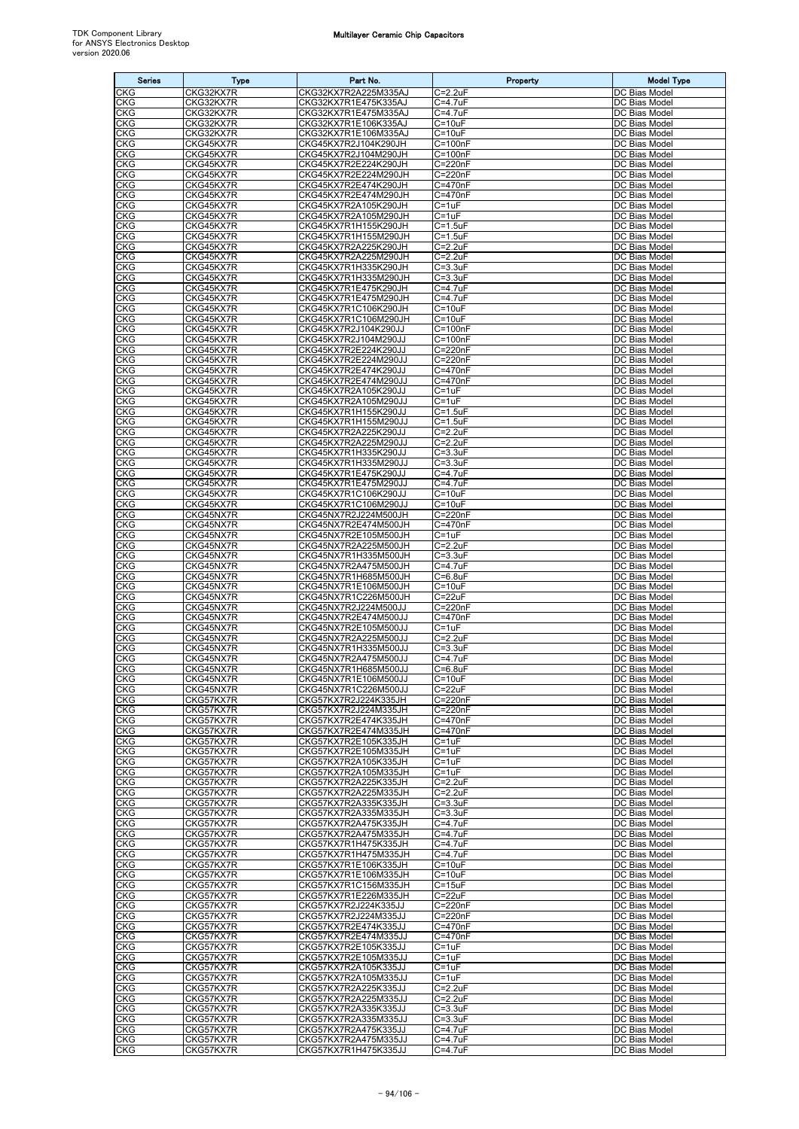| <b>Series</b>            | <b>Type</b>            | Part No.                                     | Property                     | <b>Model Type</b>              |
|--------------------------|------------------------|----------------------------------------------|------------------------------|--------------------------------|
| CKG                      | CKG32KX7R              | CKG32KX7R2A225M335AJ                         | $C = 2.2uF$                  | DC Bias Model                  |
| <b>CKG</b><br>CKG        | CKG32KX7R<br>CKG32KX7R | CKG32KX7R1E475K335AJ<br>CKG32KX7R1E475M335AJ | $C = 4.7uF$<br>C=4.7uF       | DC Bias Model<br>DC Bias Model |
| CKG                      | CKG32KX7R              | CKG32KX7R1E106K335AJ                         | $C = 10uF$                   | DC Bias Model                  |
| CKG                      | CKG32KX7R              | CKG32KX7R1E106M335AJ                         | $C = 10uF$                   | DC Bias Model                  |
| <b>CKG</b><br>CKG        | CKG45KX7R<br>CKG45KX7R | CKG45KX7R2J104K290JH<br>CKG45KX7R2J104M290JH | $C = 100nF$<br>$C = 100nF$   | DC Bias Model<br>DC Bias Model |
| CKG                      | CKG45KX7R              | CKG45KX7R2E224K290JH                         | $C = 220nF$                  | DC Bias Model                  |
| CKG                      | CKG45KX7R              | CKG45KX7R2E224M290JH                         | C=220nF                      | DC Bias Model                  |
| <b>CKG</b><br>CKG        | CKG45KX7R<br>CKG45KX7R | CKG45KX7R2E474K290JH<br>CKG45KX7R2E474M290JH | C=470nF<br>C=470nF           | DC Bias Model<br>DC Bias Model |
| CKG                      | CKG45KX7R              | CKG45KX7R2A105K290JH                         | $C = 1uF$                    | DC Bias Model                  |
| <b>CKG</b>               | CKG45KX7R              | CKG45KX7R2A105M290JH                         | C=1uF<br>$C = 1.5$ uF        | DC Bias Model<br>DC Bias Model |
| CKG<br>CKG               | CKG45KX7R<br>CKG45KX7R | CKG45KX7R1H155K290JH<br>CKG45KX7R1H155M290JH | $C = 1.5$ uF                 | DC Bias Model                  |
| CKG                      | CKG45KX7R              | CKG45KX7R2A225K290JH                         | $C = 2.2uF$                  | DC Bias Model                  |
| CKG                      | CKG45KX7R              | CKG45KX7R2A225M290JH                         | $C = 2.2uF$                  | DC Bias Model<br>DC Bias Model |
| <b>CKG</b><br>CKG        | CKG45KX7R<br>CKG45KX7R | CKG45KX7R1H335K290JH<br>CKG45KX7R1H335M290JH | $C = 3.3uF$<br>$C = 3.3uF$   | DC Bias Model                  |
| CKG                      | CKG45KX7R              | CKG45KX7R1E475K290JH                         | C=4.7uF                      | DC Bias Model                  |
| CKG<br>CKG               | CKG45KX7R<br>CKG45KX7R | CKG45KX7R1E475M290JH<br>CKG45KX7R1C106K290JH | C=4.7uF<br>$C = 10uF$        | DC Bias Model<br>DC Bias Model |
| CKG                      | CKG45KX7R              | CKG45KX7R1C106M290JH                         | $C = 10uF$                   | DC Bias Model                  |
| CKG                      | CKG45KX7R              | CKG45KX7R2J104K290JJ                         | $C = 100nF$                  | DC Bias Model                  |
| CKG<br>CKG               | CKG45KX7R<br>CKG45KX7R | CKG45KX7R2J104M290JJ<br>CKG45KX7R2E224K290JJ | $C = 100nF$<br>C=220nF       | DC Bias Model<br>DC Bias Model |
| <b>CKG</b>               | CKG45KX7R              | CKG45KX7R2E224M290JJ                         | C=220nF                      | DC Bias Model                  |
| <b>CKG</b>               | CKG45KX7R              | CKG45KX7R2E474K290JJ                         | C=470nF                      | DC Bias Model                  |
| CKG<br>CKG               | CKG45KX7R<br>CKG45KX7R | CKG45KX7R2E474M290JJ<br>CKG45KX7R2A105K290JJ | C=470nF<br>$C = 1uF$         | DC Bias Model<br>DC Bias Model |
| <b>CKG</b>               | CKG45KX7R              | CKG45KX7R2A105M290JJ                         | C=1uF                        | DC Bias Model                  |
| CKG                      | CKG45KX7R              | CKG45KX7R1H155K290JJ                         | $C = 1.5$ uF<br>$C = 1.5$ uF | DC Bias Model                  |
| CKG<br>CKG               | CKG45KX7R<br>CKG45KX7R | CKG45KX7R1H155M290JJ<br>CKG45KX7R2A225K290JJ | $C = 2.2uF$                  | DC Bias Model<br>DC Bias Model |
| <b>CKG</b>               | CKG45KX7R              | CKG45KX7R2A225M290JJ                         | $C = 2.2uF$                  | DC Bias Model                  |
| CKG<br>CKG               | CKG45KX7R<br>CKG45KX7R | CKG45KX7R1H335K290JJ<br>CKG45KX7R1H335M290JJ | $C = 3.3uF$<br>$C = 3.3uF$   | DC Bias Model<br>DC Bias Model |
| <b>CKG</b>               | CKG45KX7R              | CKG45KX7R1E475K290JJ                         | C=4.7uF                      | DC Bias Model                  |
| CKG                      | CKG45KX7R              | CKG45KX7R1E475M290JJ                         | C=4.7uF                      | DC Bias Model                  |
| CKG<br>CKG               | CKG45KX7R<br>CKG45KX7R | CKG45KX7R1C106K290JJ<br>CKG45KX7R1C106M290JJ | $C = 10uF$<br>$C = 10uF$     | DC Bias Model<br>DC Bias Model |
| CKG                      | CKG45NX7R              | CKG45NX7R2J224M500JH                         | $C = 220nF$                  | DC Bias Model                  |
| <b>CKG</b>               | CKG45NX7R              | CKG45NX7R2E474M500JH                         | C=470nF                      | DC Bias Model                  |
| CKG<br>CKG               | CKG45NX7R<br>CKG45NX7R | CKG45NX7R2E105M500JH<br>CKG45NX7R2A225M500JH | C=1uF<br>$C = 2.2uF$         | DC Bias Model<br>DC Bias Model |
| CKG                      | CKG45NX7R              | CKG45NX7R1H335M500JH                         | $C = 3.3uF$                  | DC Bias Model                  |
| CKG                      | CKG45NX7R              | CKG45NX7R2A475M500JH                         | C=4.7uF                      | DC Bias Model                  |
| CKG<br>CKG               | CKG45NX7R<br>CKG45NX7R | CKG45NX7R1H685M500JH<br>CKG45NX7R1E106M500JH | $C = 6.8$ uF<br>$C = 10uF$   | DC Bias Model<br>DC Bias Model |
| CKG                      | CKG45NX7R              | CKG45NX7R1C226M500JH                         | $C = 22uF$                   | DC Bias Model                  |
| <b>CKG</b><br><b>CKG</b> | CKG45NX7R<br>CKG45NX7R | CKG45NX7R2J224M500JJ<br>CKG45NX7R2E474M500JJ | C=220nF<br>C=470nF           | DC Bias Model<br>DC Bias Model |
| CKG                      | CKG45NX7R              | CKG45NX7R2E105M500JJ                         | $C = 1uF$                    | DC Bias Model                  |
| CKG                      | CKG45NX7R              | CKG45NX7R2A225M500JJ                         | $C = 2.2uF$                  | DC Bias Model                  |
| CKG<br>CKG               | CKG45NX7R<br>CKG45NX7R | CKG45NX7R1H335M500JJ<br>CKG45NX7R2A475M500JJ | $C = 3.3uF$<br>$C = 4.7uF$   | DC Bias Model<br>DC Bias Model |
| <b>CKG</b>               | CKG45NX7R              | CKG45NX7R1H685M500JJ                         | $C = 6.8$ uF                 | DC Bias Model                  |
| <b>CKG</b>               | CKG45NX7R              | CKG45NX7R1E106M500JJ<br>CKG45NX7R1C226M500JJ | $C = 10uF$                   | DC Bias Model<br>DC Bias Model |
| CKG<br><b>CKG</b>        | CKG45NX7R<br>CKG57KX7R | CKG57KX7R2J224K335JH                         | $C = 22uF$<br>C=220nF        | DC Bias Model                  |
| <b>CKG</b>               | CKG57KX7R              | CKG57KX7R2J224M335JH                         | C=220nF                      | DC Bias Model                  |
| <b>CKG</b><br><b>CKG</b> | CKG57KX7R<br>CKG57KX7R | CKG57KX7R2E474K335JH<br>CKG57KX7R2E474M335JH | C=470nF<br>C=470nF           | DC Bias Model<br>DC Bias Model |
| <b>CKG</b>               | CKG57KX7R              | CKG57KX7R2E105K335JH                         | $C = 1uF$                    | DC Bias Model                  |
| CKG                      | CKG57KX7R              | CKG57KX7R2E105M335JH                         | C=1uF                        | DC Bias Model                  |
| <b>CKG</b><br>CKG        | CKG57KX7R<br>CKG57KX7R | CKG57KX7R2A105K335JH<br>CKG57KX7R2A105M335JH | $C = 1uF$<br>$C = 1uF$       | DC Bias Model<br>DC Bias Model |
| <b>CKG</b>               | CKG57KX7R              | CKG57KX7R2A225K335JH                         | $C = 2.2uF$                  | DC Bias Model                  |
| <b>CKG</b>               | CKG57KX7R              | CKG57KX7R2A225M335JH                         | $C=2.2uF$                    | DC Bias Model                  |
| <b>CKG</b><br><b>CKG</b> | CKG57KX7R<br>CKG57KX7R | CKG57KX7R2A335K335JH<br>CKG57KX7R2A335M335JH | $C = 3.3uF$<br>$C = 3.3uF$   | DC Bias Model<br>DC Bias Model |
| <b>CKG</b>               | CKG57KX7R              | CKG57KX7R2A475K335JH                         | C=4.7uF                      | DC Bias Model                  |
| <b>CKG</b>               | CKG57KX7R<br>CKG57KX7R | CKG57KX7R2A475M335JH<br>CKG57KX7R1H475K335JH | C=4.7uF<br>$C = 4.7uF$       | DC Bias Model<br>DC Bias Model |
| <b>CKG</b><br>CKG        | CKG57KX7R              | CKG57KX7R1H475M335JH                         | $C = 4.7uF$                  | DC Bias Model                  |
| <b>CKG</b>               | CKG57KX7R              | CKG57KX7R1E106K335JH                         | $C = 10uF$                   | DC Bias Model                  |
| CKG<br><b>CKG</b>        | CKG57KX7R<br>CKG57KX7R | CKG57KX7R1E106M335JH<br>CKG57KX7R1C156M335JH | $C = 10uF$<br>$C = 15uF$     | DC Bias Model<br>DC Bias Model |
| <b>CKG</b>               | CKG57KX7R              | CKG57KX7R1E226M335JH                         | $C = 22uF$                   | DC Bias Model                  |
| <b>CKG</b>               | CKG57KX7R              | CKG57KX7R2J224K335JJ                         | C=220nF                      | DC Bias Model                  |
| <b>CKG</b><br>CKG        | CKG57KX7R<br>CKG57KX7R | CKG57KX7R2J224M335JJ<br>CKG57KX7R2E474K335JJ | C=220nF<br>C=470nF           | DC Bias Model<br>DC Bias Model |
| CKG                      | CKG57KX7R              | CKG57KX7R2E474M335JJ                         | C=470nF                      | DC Bias Model                  |
| <b>CKG</b>               | CKG57KX7R              | CKG57KX7R2E105K335JJ                         | $C = 1uF$                    | DC Bias Model                  |
| <b>CKG</b><br>CKG        | CKG57KX7R<br>CKG57KX7R | CKG57KX7R2E105M335JJ<br>CKG57KX7R2A105K335JJ | $C = 1uF$<br>$C = 1uF$       | DC Bias Model<br>DC Bias Model |
| <b>CKG</b>               | CKG57KX7R              | CKG57KX7R2A105M335JJ                         | $C = 1uF$                    | DC Bias Model                  |
| <b>CKG</b><br>CKG        | CKG57KX7R<br>CKG57KX7R | CKG57KX7R2A225K335JJ<br>CKG57KX7R2A225M335JJ | $C = 2.2uF$<br>$C = 2.2uF$   | DC Bias Model<br>DC Bias Model |
| CKG                      | CKG57KX7R              | CKG57KX7R2A335K335JJ                         | $C = 3.3uF$                  | DC Bias Model                  |
| <b>CKG</b>               | CKG57KX7R              | CKG57KX7R2A335M335JJ                         | $C = 3.3uF$                  | DC Bias Model                  |
| CKG<br><b>CKG</b>        | CKG57KX7R<br>CKG57KX7R | CKG57KX7R2A475K335JJ<br>CKG57KX7R2A475M335JJ | $C = 4.7$ uF<br>$C = 4.7uF$  | DC Bias Model<br>DC Bias Model |
| CKG                      | CKG57KX7R              | CKG57KX7R1H475K335JJ                         | $C = 4.7$ uF                 | DC Bias Model                  |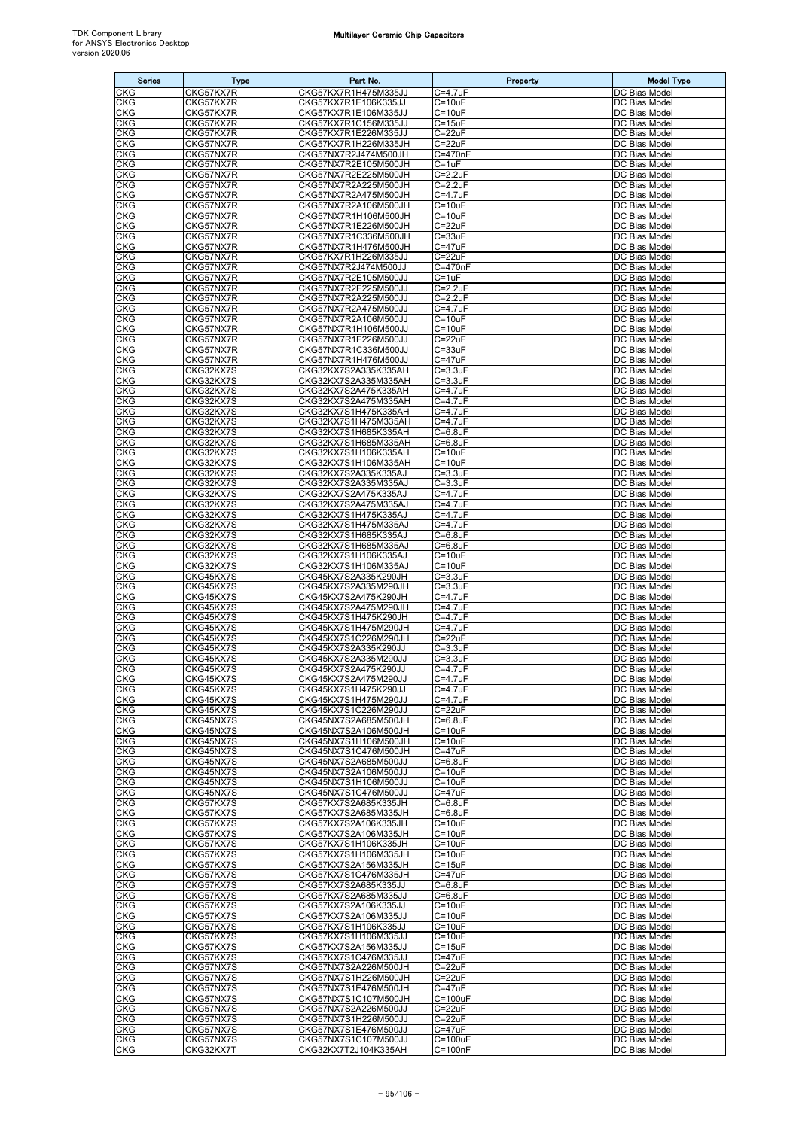| <b>Series</b>            | Type                   | Part No.                                     | Property                      | <b>Model Type</b>              |
|--------------------------|------------------------|----------------------------------------------|-------------------------------|--------------------------------|
| CKG                      | CKG57KX7R              | CKG57KX7R1H475M335JJ                         | C=4.7uF                       | DC Bias Model                  |
| <b>CKG</b><br>CKG        | CKG57KX7R<br>CKG57KX7R | CKG57KX7R1E106K335JJ<br>CKG57KX7R1E106M335JJ | $C = 10uF$<br>$C = 10uF$      | DC Bias Model<br>DC Bias Model |
| CKG                      | CKG57KX7R              | CKG57KX7R1C156M335JJ                         | $C = 15uF$                    | DC Bias Model                  |
| CKG<br>CKG               | CKG57KX7R<br>CKG57NX7R | CKG57KX7R1E226M335JJ<br>CKG57KX7R1H226M335JH | $C = 22uF$<br>$C = 22uF$      | DC Bias Model<br>DC Bias Model |
| CKG                      | CKG57NX7R              | CKG57NX7R2J474M500JH                         | $C = 470nF$                   | DC Bias Model                  |
| CKG                      | CKG57NX7R              | CKG57NX7R2E105M500JH                         | $C = 1uF$                     | DC Bias Model                  |
| CKG<br><b>CKG</b>        | CKG57NX7R<br>CKG57NX7R | CKG57NX7R2E225M500JH<br>CKG57NX7R2A225M500JH | $C = 2.2uF$<br>$C = 2.2uF$    | DC Bias Model<br>DC Bias Model |
| CKG                      | CKG57NX7R              | CKG57NX7R2A475M500JH                         | C=4.7uF                       | DC Bias Model                  |
| CKG<br>CKG               | CKG57NX7R<br>CKG57NX7R | CKG57NX7R2A106M500JH<br>CKG57NX7R1H106M500JH | $C = 10uF$<br>$C = 10uF$      | DC Bias Model<br>DC Bias Model |
| <b>CKG</b>               | CKG57NX7R              | CKG57NX7R1E226M500JH                         | $C = 22uF$                    | DC Bias Model                  |
| CKG                      | CKG57NX7R              | CKG57NX7R1C336M500JH                         | $C = 33uF$                    | DC Bias Model                  |
| <b>CKG</b><br>CKG        | CKG57NX7R<br>CKG57NX7R | CKG57NX7R1H476M500JH<br>CKG57KX7R1H226M335JJ | $C = 47uF$<br>C=22uF          | DC Bias Model<br>DC Bias Model |
| CKG                      | CKG57NX7R              | CKG57NX7R2J474M500JJ                         | C=470nF                       | DC Bias Model                  |
| CKG<br>CKG               | CKG57NX7R<br>CKG57NX7R | CKG57NX7R2E105M500JJ<br>CKG57NX7R2E225M500JJ | $C = 1uF$<br>$C = 2.2uF$      | DC Bias Model<br>DC Bias Model |
| <b>CKG</b>               | CKG57NX7R              | CKG57NX7R2A225M500JJ                         | $C = 2.2uF$                   | DC Bias Model                  |
| CKG                      | CKG57NX7R              | CKG57NX7R2A475M500JJ                         | $C = 4.7uF$                   | DC Bias Model                  |
| CKG<br>CKG               | CKG57NX7R<br>CKG57NX7R | CKG57NX7R2A106M500JJ<br>CKG57NX7R1H106M500JJ | $C = 10uF$<br>$C = 10uF$      | DC Bias Model<br>DC Bias Model |
| CKG                      | CKG57NX7R              | CKG57NX7R1E226M500JJ                         | C=22uF                        | DC Bias Model                  |
| CKG<br>CKG               | CKG57NX7R<br>CKG57NX7R | CKG57NX7R1C336M500JJ<br>CKG57NX7R1H476M500JJ | $C = 33uF$<br>$C = 47uF$      | DC Bias Model<br>DC Bias Model |
| CKG                      | CKG32KX7S              | CKG32KX7S2A335K335AH                         | $C = 3.3uF$                   | DC Bias Model                  |
| CKG                      | CKG32KX7S              | CKG32KX7S2A335M335AH                         | $C = 3.3uF$                   | DC Bias Model                  |
| CKG<br>CKG               | CKG32KX7S<br>CKG32KX7S | CKG32KX7S2A475K335AH<br>CKG32KX7S2A475M335AH | $C = 4.7uF$<br>$C = 4.7uF$    | DC Bias Model<br>DC Bias Model |
| <b>CKG</b>               | CKG32KX7S              | CKG32KX7S1H475K335AH                         | C=4.7uF                       | DC Bias Model                  |
| CKG                      | CKG32KX7S              | CKG32KX7S1H475M335AH                         | C=4.7uF                       | DC Bias Model                  |
| CKG<br>CKG               | CKG32KX7S<br>CKG32KX7S | CKG32KX7S1H685K335AH<br>CKG32KX7S1H685M335AH | $C=6.8$ u $F$<br>$C = 6.8$ uF | DC Bias Model<br>DC Bias Model |
| CKG                      | CKG32KX7S              | CKG32KX7S1H106K335AH                         | $C = 10uF$                    | DC Bias Model                  |
| CKG                      | CKG32KX7S              | CKG32KX7S1H106M335AH                         | $C = 10uF$                    | DC Bias Model                  |
| CKG<br><b>CKG</b>        | CKG32KX7S<br>CKG32KX7S | CKG32KX7S2A335K335AJ<br>CKG32KX7S2A335M335AJ | $C = 3.3uF$<br>$C = 3.3uF$    | DC Bias Model<br>DC Bias Model |
| CKG                      | CKG32KX7S              | CKG32KX7S2A475K335AJ                         | C=4.7uF                       | DC Bias Model                  |
| CKG<br>CKG               | CKG32KX7S<br>CKG32KX7S | CKG32KX7S2A475M335AJ<br>CKG32KX7S1H475K335AJ | C=4.7uF<br>C=4.7uF            | DC Bias Model<br>DC Bias Model |
| CKG                      | CKG32KX7S              | CKG32KX7S1H475M335AJ                         | C=4.7uF                       | DC Bias Model                  |
| CKG                      | CKG32KX7S              | CKG32KX7S1H685K335AJ                         | $C = 6.8$ uF                  | DC Bias Model                  |
| <b>CKG</b><br><b>CKG</b> | CKG32KX7S<br>CKG32KX7S | CKG32KX7S1H685M335AJ<br>CKG32KX7S1H106K335AJ | $C = 6.8$ uF<br>$C = 10uF$    | DC Bias Model<br>DC Bias Model |
| CKG                      | CKG32KX7S              | CKG32KX7S1H106M335AJ                         | $C = 10uF$                    | DC Bias Model                  |
| CKG                      | CKG45KX7S              | CKG45KX7S2A335K290JH                         | $C = 3.3uF$                   | DC Bias Model                  |
| CKG<br>CKG               | CKG45KX7S<br>CKG45KX7S | CKG45KX7S2A335M290JH<br>CKG45KX7S2A475K290JH | $C = 3.3uF$<br>C=4.7uF        | DC Bias Model<br>DC Bias Model |
| CKG                      | CKG45KX7S              | CKG45KX7S2A475M290JH                         | $C = 4.7$ u $F$               | DC Bias Model                  |
| CKG<br><b>CKG</b>        | CKG45KX7S<br>CKG45KX7S | CKG45KX7S1H475K290JH<br>CKG45KX7S1H475M290JH | C=4.7uF<br>C=4.7uF            | DC Bias Model<br>DC Bias Model |
| CKG                      | CKG45KX7S              | CKG45KX7S1C226M290JH                         | $C = 22uF$                    | DC Bias Model                  |
| CKG                      | CKG45KX7S              | CKG45KX7S2A335K290JJ                         | $C = 3.3uF$                   | DC Bias Model                  |
| CKG<br><b>CKG</b>        | CKG45KX7S<br>CKG45KX7S | CKG45KX7S2A335M290JJ<br>CKG45KX7S2A475K290JJ | $C = 3.3uF$<br>$C = 4.7$ uF   | DC Bias Model<br>DC Bias Model |
| CKG                      | CKG45KX7S              | CKG45KX7S2A475M290JJ                         | $C = 4.7$ uF                  | DC Bias Model                  |
| CKG<br><b>CKG</b>        | CKG45KX7S<br>CKG45KX7S | CKG45KX7S1H475K290JJ<br>CKG45KX7S1H475M290JJ | C=4.7uF<br>$C = 4.7$ u $F$    | DC Bias Model<br>DC Bias Model |
| CKG                      | CKG45KX7S              | CKG45KX7S1C226M290JJ                         | $C = 22uF$                    | DC Bias Model                  |
| CKG                      | CKG45NX7S              | CKG45NX7S2A685M500JH                         | $C=6.8$ u $F$                 | DC Bias Model                  |
| <b>CKG</b><br><b>CKG</b> | CKG45NX7S<br>CKG45NX7S | CKG45NX7S2A106M500JH<br>CKG45NX7S1H106M500JH | $C = 10uF$<br>$C = 10uF$      | DC Bias Model<br>DC Bias Model |
| CKG                      | CKG45NX7S              | CKG45NX7S1C476M500JH                         | $C = 47uF$                    | DC Bias Model                  |
| CKG<br><b>CKG</b>        | CKG45NX7S<br>CKG45NX7S | CKG45NX7S2A685M500JJ<br>CKG45NX7S2A106M500JJ | $C=6.8$ u $F$<br>$C = 10uF$   | DC Bias Model<br>DC Bias Model |
| CKG                      | CKG45NX7S              | CKG45NX7S1H106M500JJ                         | $C = 10uF$                    | DC Bias Model                  |
| CKG                      | CKG45NX7S              | CKG45NX7S1C476M500JJ                         | $C = 47uF$                    | DC Bias Model                  |
| <b>CKG</b><br>CKG        | CKG57KX7S<br>CKG57KX7S | CKG57KX7S2A685K335JH<br>CKG57KX7S2A685M335JH | $C=6.8$ u $F$<br>$C = 6.8$ uF | DC Bias Model<br>DC Bias Model |
| <b>CKG</b>               | CKG57KX7S              | CKG57KX7S2A106K335JH                         | $C = 10uF$                    | DC Bias Model                  |
| CKG                      | CKG57KX7S              | CKG57KX7S2A106M335JH                         | $C = 10uF$                    | DC Bias Model                  |
| CKG<br>CKG               | CKG57KX7S<br>CKG57KX7S | CKG57KX7S1H106K335JH<br>CKG57KX7S1H106M335JH | $C = 10uF$<br>$C = 10uF$      | DC Bias Model<br>DC Bias Model |
| CKG                      | CKG57KX7S              | CKG57KX7S2A156M335JH                         | $C = 15uF$                    | DC Bias Model                  |
| CKG<br><b>CKG</b>        | CKG57KX7S<br>CKG57KX7S | CKG57KX7S1C476M335JH<br>CKG57KX7S2A685K335JJ | $C = 47uF$<br>$C=6.8$ u $F$   | DC Bias Model<br>DC Bias Model |
| CKG                      | CKG57KX7S              | CKG57KX7S2A685M335JJ                         | $C=6.8uF$                     | DC Bias Model                  |
| CKG                      | CKG57KX7S              | CKG57KX7S2A106K335JJ                         | $C = 10uF$                    | DC Bias Model                  |
| CKG<br>CKG               | CKG57KX7S<br>CKG57KX7S | CKG57KX7S2A106M335JJ<br>CKG57KX7S1H106K335JJ | $C = 10uF$<br>$C = 10uF$      | DC Bias Model<br>DC Bias Model |
| CKG                      | CKG57KX7S              | CKG57KX7S1H106M335JJ                         | $C = 10uF$                    | DC Bias Model                  |
| <b>CKG</b><br><b>CKG</b> | CKG57KX7S<br>CKG57KX7S | CKG57KX7S2A156M335JJ<br>CKG57KX7S1C476M335JJ | $C = 15uF$<br>$C = 47uF$      | DC Bias Model<br>DC Bias Model |
| CKG                      | CKG57NX7S              | CKG57NX7S2A226M500JH                         | $C = 22uF$                    | DC Bias Model                  |
| CKG                      | CKG57NX7S              | CKG57NX7S1H226M500JH                         | $C = 22uF$                    | DC Bias Model                  |
| <b>CKG</b><br><b>CKG</b> | CKG57NX7S<br>CKG57NX7S | CKG57NX7S1E476M500JH<br>CKG57NX7S1C107M500JH | $C = 47uF$<br>$C = 100uF$     | DC Bias Model<br>DC Bias Model |
| CKG                      | CKG57NX7S              | CKG57NX7S2A226M500JJ                         | $C = 22uF$                    | DC Bias Model                  |
| CKG<br><b>CKG</b>        | CKG57NX7S<br>CKG57NX7S | CKG57NX7S1H226M500JJ                         | $C = 22uF$<br>$C = 47uF$      | DC Bias Model<br>DC Bias Model |
| <b>CKG</b>               | CKG57NX7S              | CKG57NX7S1E476M500JJ<br>CKG57NX7S1C107M500JJ | $C = 100uF$                   | DC Bias Model                  |
| CKG                      | CKG32KX7T              | CKG32KX7T2J104K335AH                         | $C = 100nF$                   | DC Bias Model                  |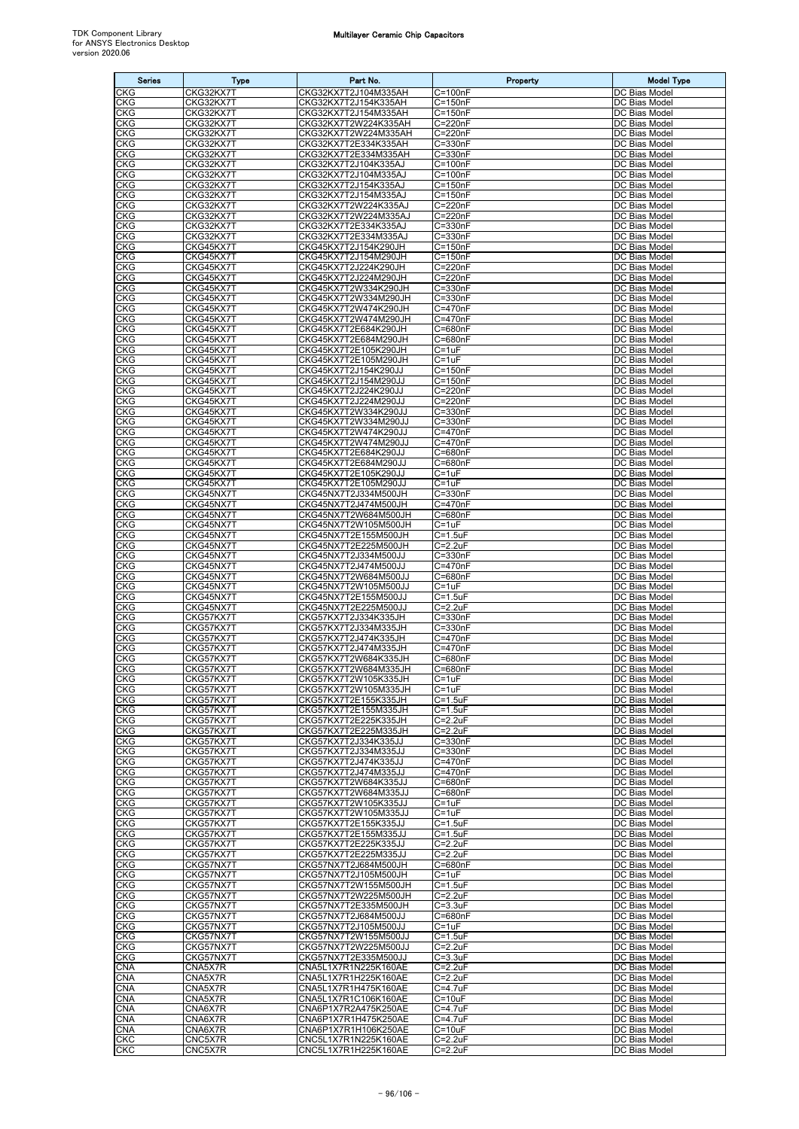| <b>Series</b>            | <b>Type</b>            | Part No.                                     | Property                      | <b>Model Type</b>              |
|--------------------------|------------------------|----------------------------------------------|-------------------------------|--------------------------------|
| CKG                      | CKG32KX7T              | CKG32KX7T2J104M335AH                         | $C = 100nF$                   | DC Bias Model                  |
| CKG                      | CKG32KX7T              | CKG32KX7T2J154K335AH                         | $C = 150nF$                   | DC Bias Model                  |
| CKG<br><b>CKG</b>        | CKG32KX7T              | CKG32KX7T2J154M335AH<br>CKG32KX7T2W224K335AH | $C = 150nF$<br>C=220nF        | DC Bias Model<br>DC Bias Model |
| <b>CKG</b>               | CKG32KX7T<br>CKG32KX7T | CKG32KX7T2W224M335AH                         | C=220nF                       | DC Bias Model                  |
| <b>CKG</b>               | CKG32KX7T              | CKG32KX7T2E334K335AH                         | $C = 330nF$                   | DC Bias Model                  |
| <b>CKG</b>               | CKG32KX7T              | CKG32KX7T2E334M335AH                         | $C = 330nF$                   | DC Bias Model                  |
| <b>CKG</b>               | CKG32KX7T              | CKG32KX7T2J104K335AJ                         | $C = 100nF$                   | DC Bias Model                  |
| CKG<br><b>CKG</b>        | CKG32KX7T<br>CKG32KX7T | CKG32KX7T2J104M335AJ<br>CKG32KX7T2J154K335AJ | $C = 100nF$<br>$C = 150nF$    | DC Bias Model<br>DC Bias Model |
| CKG                      | CKG32KX7T              | CKG32KX7T2J154M335AJ                         | $\overline{C}$ =150nF         | DC Bias Model                  |
| <b>CKG</b>               | CKG32KX7T              | CKG32KX7T2W224K335AJ                         | C=220nF                       | DC Bias Model                  |
| CKG                      | CKG32KX7T              | CKG32KX7T2W224M335AJ                         | C=220nF                       | DC Bias Model                  |
| <b>CKG</b>               | CKG32KX7T              | CKG32KX7T2E334K335AJ                         | C=330nF                       | DC Bias Model                  |
| <b>CKG</b><br>CKG        | CKG32KX7T<br>CKG45KX7T | CKG32KX7T2E334M335AJ<br>CKG45KX7T2J154K290JH | $C = 330nF$<br>$C = 150nF$    | DC Bias Model<br>DC Bias Model |
| <b>CKG</b>               | CKG45KX7T              | CKG45KX7T2J154M290JH                         | $C = 150nF$                   | DC Bias Model                  |
| CKG                      | CKG45KX7T              | CKG45KX7T2J224K290JH                         | C=220nF                       | DC Bias Model                  |
| CKG                      | CKG45KX7T              | CKG45KX7T2J224M290JH                         | C=220nF                       | DC Bias Model                  |
| CKG<br><b>CKG</b>        | CKG45KX7T<br>CKG45KX7T | CKG45KX7T2W334K290JH<br>CKG45KX7T2W334M290JH | C=330nF<br>C=330nF            | DC Bias Model<br>DC Bias Model |
| CKG                      | CKG45KX7T              | CKG45KX7T2W474K290JH                         | C=470nF                       | DC Bias Model                  |
| <b>CKG</b>               | CKG45KX7T              | CKG45KX7T2W474M290JH                         | C=470nF                       | DC Bias Model                  |
| <b>CKG</b>               | CKG45KX7T              | CKG45KX7T2E684K290JH                         | C=680nF                       | DC Bias Model                  |
| CKG                      | CKG45KX7T              | CKG45KX7T2E684M290JH                         | C=680nF                       | DC Bias Model                  |
| CKG<br>CKG               | CKG45KX7T<br>CKG45KX7T | CKG45KX7T2E105K290JH<br>CKG45KX7T2E105M290JH | C=1uF<br>C=1uF                | DC Bias Model<br>DC Bias Model |
| <b>CKG</b>               | CKG45KX7T              | CKG45KX7T2J154K290JJ                         | $C = 150nF$                   | DC Bias Model                  |
| <b>CKG</b>               | CKG45KX7T              | CKG45KX7T2J154M290JJ                         | $C = 150nF$                   | DC Bias Model                  |
| <b>CKG</b>               | CKG45KX7T              | CKG45KX7T2J224K290JJ                         | C=220nF                       | DC Bias Model                  |
| <b>CKG</b>               | CKG45KX7T              | CKG45KX7T2J224M290JJ                         | C=220nF<br>$C = 330nF$        | DC Bias Model                  |
| <b>CKG</b><br><b>CKG</b> | CKG45KX7T<br>CKG45KX7T | CKG45KX7T2W334K290JJ<br>CKG45KX7T2W334M290JJ | C=330nF                       | DC Bias Model<br>DC Bias Model |
| CKG                      | CKG45KX7T              | CKG45KX7T2W474K290JJ                         | C=470nF                       | DC Bias Model                  |
| <b>CKG</b>               | CKG45KX7T              | CKG45KX7T2W474M290JJ                         | C=470nF                       | DC Bias Model                  |
| CKG                      | CKG45KX7T              | CKG45KX7T2E684K290JJ                         | C=680nF                       | DC Bias Model                  |
| <b>CKG</b><br>CKG        | CKG45KX7T              | CKG45KX7T2E684M290JJ                         | C=680nF<br>C=1uF              | DC Bias Model<br>DC Bias Model |
| <b>CKG</b>               | CKG45KX7T<br>CKG45KX7T | CKG45KX7T2E105K290JJ<br>CKG45KX7T2E105M290JJ | $C = 1uF$                     | DC Bias Model                  |
| <b>CKG</b>               | CKG45NX7T              | CKG45NX7T2J334M500JH                         | C=330nF                       | DC Bias Model                  |
| CKG                      | CKG45NX7T              | CKG45NX7T2J474M500JH                         | C=470nF                       | DC Bias Model                  |
| <b>CKG</b>               | CKG45NX7T              | CKG45NX7T2W684M500JH                         | C=680nF                       | DC Bias Model                  |
| CKG<br>CKG               | CKG45NX7T<br>CKG45NX7T | CKG45NX7T2W105M500JH<br>CKG45NX7T2E155M500JH | $C = 1uF$<br>$C = 1.5$ u $F$  | DC Bias Model<br>DC Bias Model |
| <b>CKG</b>               | CKG45NX7T              | CKG45NX7T2E225M500JH                         | $C = 2.2uF$                   | DC Bias Model                  |
| <b>CKG</b>               | CKG45NX7T              | CKG45NX7T2J334M500JJ                         | $C = 330nF$                   | DC Bias Model                  |
| CKG                      | CKG45NX7T              | CKG45NX7T2J474M500JJ                         | C=470nF                       | DC Bias Model                  |
| <b>CKG</b>               | CKG45NX7T              | CKG45NX7T2W684M500JJ                         | C=680nF                       | DC Bias Model                  |
| <b>CKG</b><br>CKG        | CKG45NX7T<br>CKG45NX7T | CKG45NX7T2W105M500JJ<br>CKG45NX7T2E155M500JJ | C=1uF<br>$C = 1.5$ u $F$      | DC Bias Model<br>DC Bias Model |
| CKG                      | CKG45NX7T              | CKG45NX7T2E225M500JJ                         | $C = 2.2uF$                   | DC Bias Model                  |
| <b>CKG</b>               | CKG57KX7T              | CKG57KX7T2J334K335JH                         | C=330nF                       | DC Bias Model                  |
| <b>CKG</b>               | CKG57KX7T              | CKG57KX7T2J334M335JH                         | C=330nF                       | DC Bias Model                  |
| CKG<br>CKG               | CKG57KX7T<br>CKG57KX7T | CKG57KX7T2J474K335JH<br>CKG57KX7T2J474M335JH | C=470nF<br>C=470nF            | DC Bias Model<br>DC Bias Model |
| <b>CKG</b>               | CKG57KX7T              | CKG57KX7T2W684K335JH                         | C=680nF                       | <b>DC Bias Model</b>           |
| <b>CKG</b>               | CKG57KX7T              | CKG57KX7T2W684M335JH                         | $C = 680nF$                   | DC Bias Model                  |
| <b>CKG</b>               | CKG57KX7T              | CKG57KX7T2W105K335JH                         | C=1uF                         | DC Bias Model                  |
| <b>CKG</b>               | CKG57KX7T<br>CKG57KX7T | CKG57KX7T2W105M335JH<br>CKG57KX7T2E155K335JH | $C = 1uF$<br>$C = 1.5$ u $F$  | DC Bias Model                  |
| CKG<br>CKG               | CKG57KX7T              | CKG57KX7T2E155M335JH                         | $C = 1.5$ u $F$               | DC Bias Model<br>DC Bias Model |
| <b>CKG</b>               | CKG57KX7T              | CKG57KX7T2E225K335JH                         | $C = 2.2uF$                   | DC Bias Model                  |
| CKG                      | CKG57KX7T              | CKG57KX7T2E225M335JH                         | $C = 2.2uF$                   | DC Bias Model                  |
| <b>CKG</b>               | CKG57KX7T              | CKG57KX7T2J334K335JJ                         | C=330nF                       | DC Bias Model                  |
| <b>CKG</b><br><b>CKG</b> | CKG57KX7T<br>CKG57KX7T | CKG57KX7T2J334M335JJ<br>CKG57KX7T2J474K335JJ | C=330nF<br>C=470nF            | DC Bias Model<br>DC Bias Model |
| <b>CKG</b>               | CKG57KX7T              | CKG57KX7T2J474M335JJ                         | C=470nF                       | DC Bias Model                  |
| CKG                      | CKG57KX7T              | CKG57KX7T2W684K335JJ                         | C=680nF                       | DC Bias Model                  |
| CKG                      | CKG57KX7T              | CKG57KX7T2W684M335JJ                         | C=680nF                       | DC Bias Model                  |
| <b>CKG</b>               | CKG57KX7T              | CKG57KX7T2W105K335JJ                         | $C = 1uF$                     | DC Bias Model                  |
| <b>CKG</b><br><b>CKG</b> | CKG57KX7T<br>CKG57KX7T | CKG57KX7T2W105M335JJ<br>CKG57KX7T2E155K335JJ | $C = 1uF$<br>$C = 1.5$ u $F$  | DC Bias Model<br>DC Bias Model |
| <b>CKG</b>               | CKG57KX7T              | CKG57KX7T2E155M335JJ                         | $C = 1.5$ u $F$               | <b>DC Bias Model</b>           |
| <b>CKG</b>               | CKG57KX7T              | CKG57KX7T2E225K335JJ                         | $C = 2.2uF$                   | DC Bias Model                  |
| CKG                      | CKG57KX7T              | CKG57KX7T2E225M335JJ                         | $C=2.2uF$                     | DC Bias Model                  |
| CKG<br>CKG               | CKG57NX7T<br>CKG57NX7T | CKG57NX7T2J684M500JH<br>CKG57NX7T2J105M500JH | C=680nF<br>$C = 1uF$          | DC Bias Model<br>DC Bias Model |
| <b>CKG</b>               | CKG57NX7T              | CKG57NX7T2W155M500JH                         | $C = 1.5$ u $F$               | DC Bias Model                  |
| CKG                      | CKG57NX7T              | CKG57NX7T2W225M500JH                         | $C=2.2uF$                     | DC Bias Model                  |
| <b>CKG</b>               | CKG57NX7T              | CKG57NX7T2E335M500JH                         | $C = 3.3uF$                   | DC Bias Model                  |
| <b>CKG</b>               | CKG57NX7T              | CKG57NX7T2J684M500JJ                         | C=680nF                       | DC Bias Model                  |
| <b>CKG</b><br><b>CKG</b> | CKG57NX7T<br>CKG57NX7T | CKG57NX7T2J105M500JJ<br>CKG57NX7T2W155M500JJ | $C = 1uF$<br>$C = 1.5$ u $F$  | DC Bias Model<br>DC Bias Model |
| CKG                      | CKG57NX7T              | CKG57NX7T2W225M500JJ                         | $C = 2.2uF$                   | DC Bias Model                  |
| CKG                      | CKG57NX7T              | CKG57NX7T2E335M500JJ                         | $C = 3.3uF$                   | DC Bias Model                  |
| <b>CNA</b>               | CNA5X7R                | CNA5L1X7R1N225K160AE                         | $C = 2.2uF$                   | DC Bias Model                  |
| CNA                      | CNA5X7R                | CNA5L1X7R1H225K160AE                         | $C = 2.2uF$                   | DC Bias Model                  |
| <b>CNA</b><br><b>CNA</b> | CNA5X7R<br>CNA5X7R     | CNA5L1X7R1H475K160AE<br>CNA5L1X7R1C106K160AE | $C = 4.7$ u $F$<br>$C = 10uF$ | DC Bias Model<br>DC Bias Model |
| <b>CNA</b>               | CNA6X7R                | CNA6P1X7R2A475K250AE                         | $C = 4.7$ u $F$               | DC Bias Model                  |
| CNA                      | CNA6X7R                | CNA6P1X7R1H475K250AE                         | $C = 4.7$ u $F$               | DC Bias Model                  |
| <b>CNA</b>               | CNA6X7R                | CNA6P1X7R1H106K250AE                         | $C = 10uF$                    | DC Bias Model                  |
| CKC                      | CNC5X7R                | CNC5L1X7R1N225K160AE                         | $C = 2.2uF$                   | DC Bias Model                  |
| CKC                      | CNC5X7R                | CNC5L1X7R1H225K160AE                         | $C = 2.2uF$                   | DC Bias Model                  |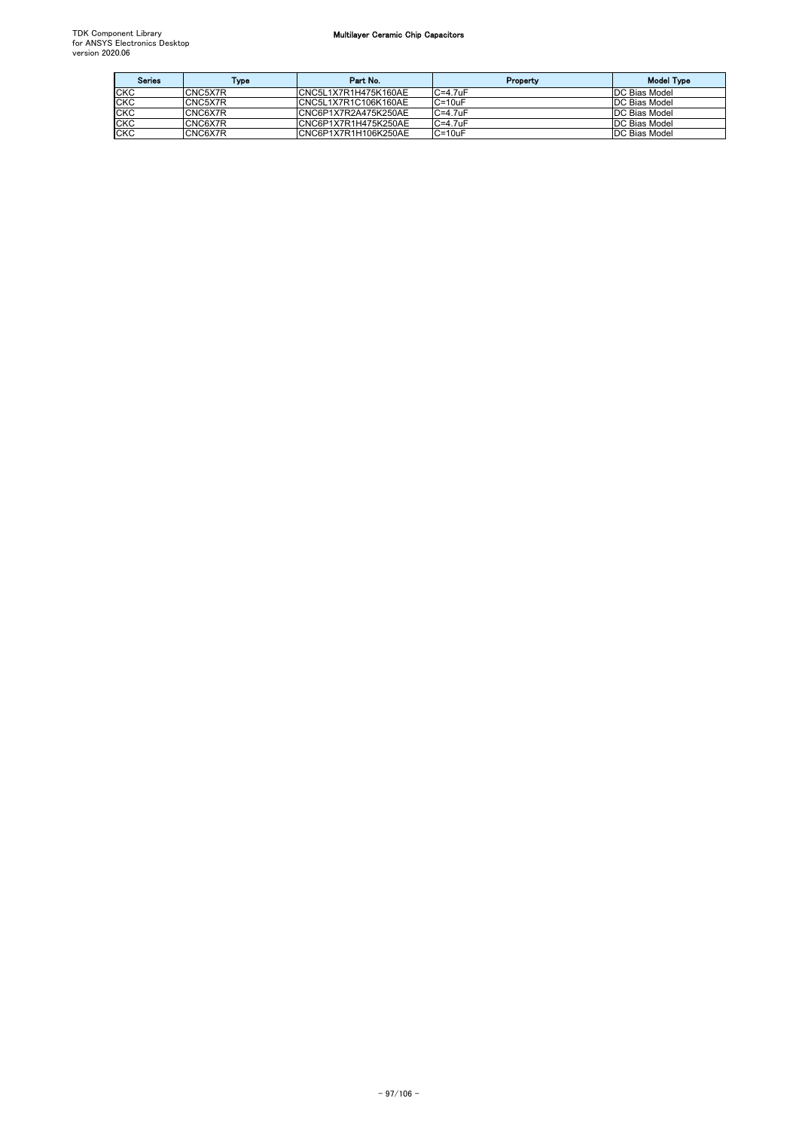| <b>Series</b> | Type    | Part No.              | Property     | <b>Model Type</b> |
|---------------|---------|-----------------------|--------------|-------------------|
| <b>CKC</b>    | CNC5X7R | CNC5L1X7R1H475K160AE  | $C = 4.7$ uF | DC Bias Model     |
| <b>CKC</b>    | CNC5X7R | CNC5L1X7R1C106K160AE  | $C = 10uF$   | DC Bias Model     |
| <b>CKC</b>    | CNC6X7R | CNC6P1X7R2A475K250AE  | $C = 4.7$ uF | DC Bias Model     |
| <b>CKC</b>    | CNC6X7R | ICNC6P1X7R1H475K250AE | $C = 4.7$ uF | DC Bias Model     |
| <b>CKC</b>    | CNC6X7R | CNC6P1X7R1H106K250AE  | $C = 10uF$   | DC Bias Model     |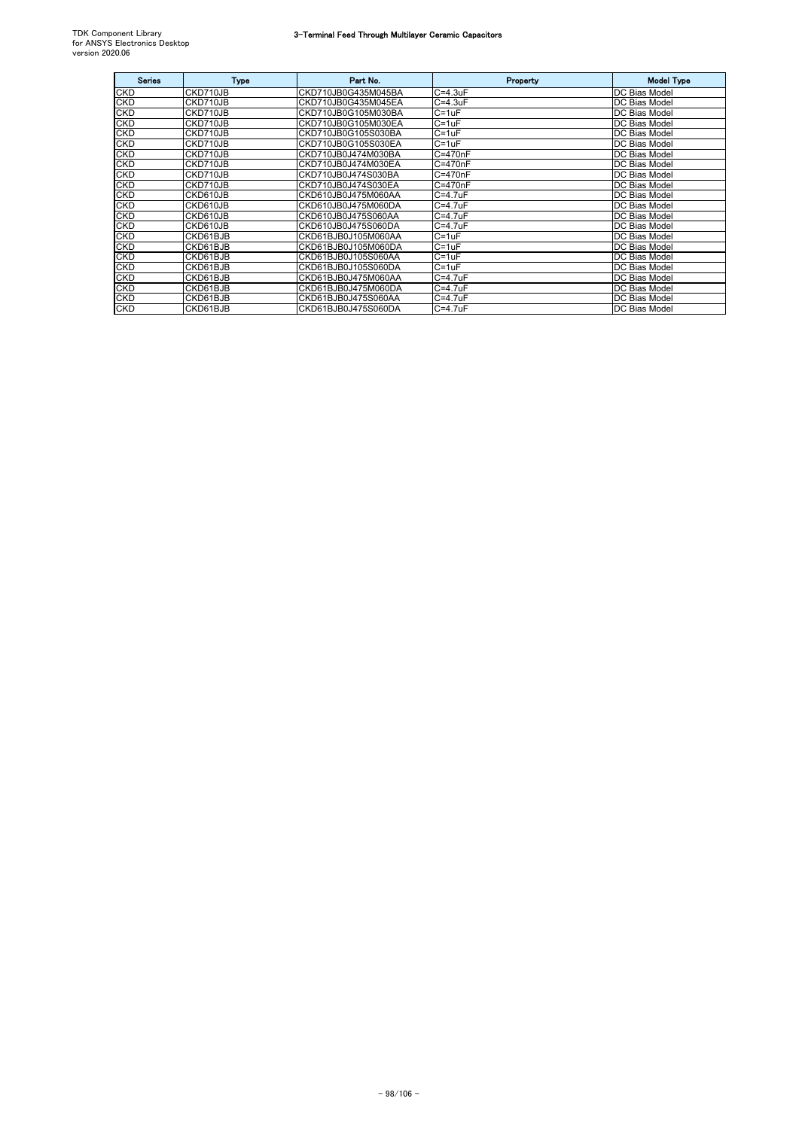## 3-Terminal Feed Through Multilayer Ceramic Capacitors

| <b>Series</b> | <b>Type</b> | Part No.            | Property        | <b>Model Type</b>    |
|---------------|-------------|---------------------|-----------------|----------------------|
| CKD           | CKD710JB    | CKD710JB0G435M045BA | $C = 4.3uF$     | DC Bias Model        |
| <b>CKD</b>    | CKD710JB    | CKD710JB0G435M045EA | $C = 4.3uF$     | <b>DC Bias Model</b> |
| CKD           | CKD710JB    | CKD710JB0G105M030BA | $C = 1uF$       | DC Bias Model        |
| CKD           | CKD710JB    | CKD710JB0G105M030EA | $C = 1uF$       | <b>DC Bias Model</b> |
| CKD           | CKD710JB    | CKD710JB0G105S030BA | $C = 1uF$       | <b>DC Bias Model</b> |
| CKD           | CKD710JB    | CKD710JB0G105S030EA | $C = 1uF$       | <b>DC Bias Model</b> |
| CKD           | CKD710JB    | CKD710JB0J474M030BA | C=470nF         | <b>DC Bias Model</b> |
| CKD           | CKD710JB    | CKD710JB0J474M030EA | $C = 470nF$     | <b>DC Bias Model</b> |
| CKD           | CKD710JB    | CKD710JB0J474S030BA | C=470nF         | DC Bias Model        |
| <b>CKD</b>    | CKD710JB    | CKD710JB0J474S030EA | C=470nF         | <b>DC Bias Model</b> |
| CKD           | CKD610JB    | CKD610JB0J475M060AA | C=4.7uF         | <b>DC Bias Model</b> |
| <b>CKD</b>    | CKD610JB    | CKD610JB0J475M060DA | $C = 4.7$ uF    | <b>DC Bias Model</b> |
| CKD           | CKD610JB    | CKD610JB0J475S060AA | C=4.7uF         | DC Bias Model        |
| <b>CKD</b>    | CKD610JB    | CKD610JB0J475S060DA | $C = 4.7$ u $F$ | <b>DC Bias Model</b> |
| CKD           | CKD61BJB    | CKD61BJB0J105M060AA | $C = 1uF$       | <b>DC Bias Model</b> |
| <b>CKD</b>    | CKD61BJB    | CKD61BJB0J105M060DA | $C = 1uF$       | <b>DC Bias Model</b> |
| <b>CKD</b>    | CKD61BJB    | CKD61BJB0J105S060AA | $C = 1uF$       | DC Bias Model        |
| CKD           | CKD61BJB    | CKD61BJB0J105S060DA | $C = 1uF$       | <b>DC Bias Model</b> |
| <b>CKD</b>    | CKD61BJB    | CKD61BJB0J475M060AA | $C = 4.7$ uF    | DC Bias Model        |
| <b>CKD</b>    | CKD61BJB    | CKD61BJB0J475M060DA | $C = 4.7$ u $F$ | <b>DC Bias Model</b> |
| <b>CKD</b>    | CKD61BJB    | CKD61BJB0J475S060AA | $C = 4.7$ u $F$ | <b>DC Bias Model</b> |
| <b>CKD</b>    | CKD61BJB    | CKD61BJB0J475S060DA | $C = 4.7$ uF    | <b>DC Bias Model</b> |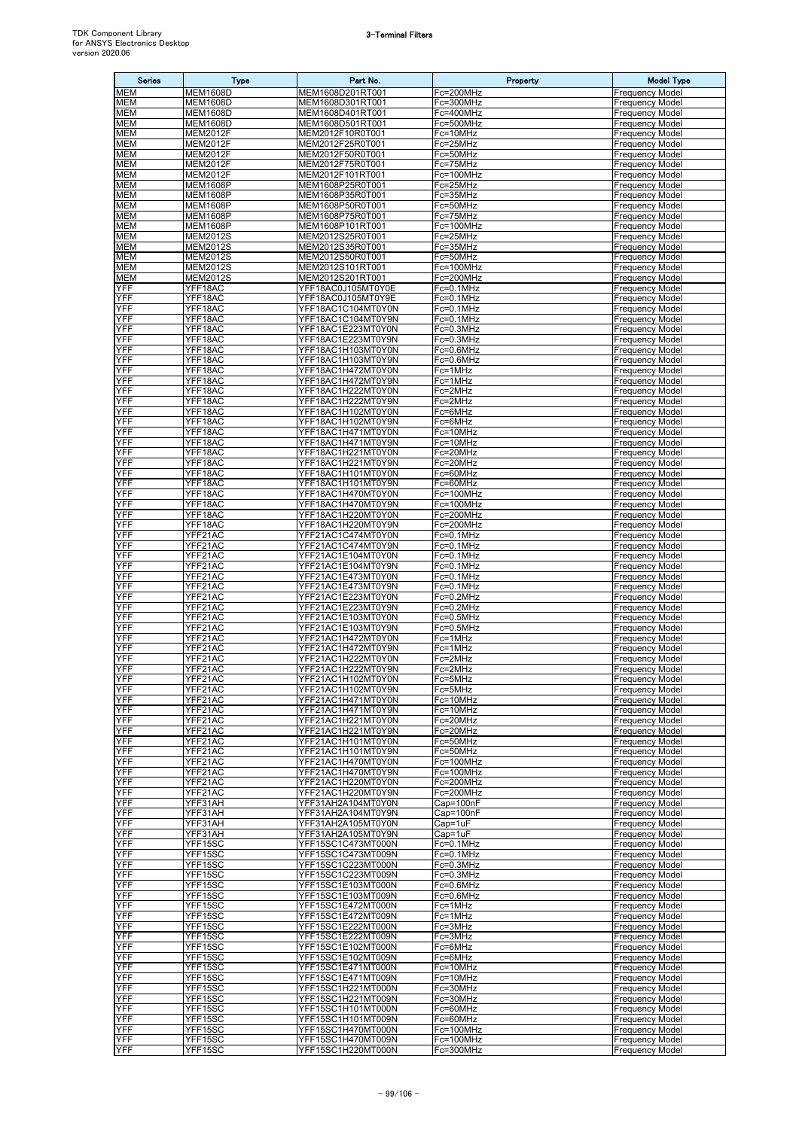# 3-Terminal Filters

| <b>Series</b>            | <b>Type</b>                        | Part No.                                 | Property               | <b>Model Type</b>                                |
|--------------------------|------------------------------------|------------------------------------------|------------------------|--------------------------------------------------|
| <b>MEM</b>               | <b>MEM1608D</b>                    | MEM1608D201RT001                         | Fc=200MHz              | <b>Frequency Model</b>                           |
| <b>MEM</b>               | <b>MEM1608D</b>                    | MEM1608D301RT001                         | Fc=300MHz              | <b>Frequency Model</b>                           |
| <b>MEM</b>               | <b>MEM1608D</b>                    | MEM1608D401RT001                         | Fc=400MHz<br>Fc=500MHz | <b>Frequency Model</b>                           |
| <b>MEM</b><br><b>MEM</b> | <b>MEM1608D</b><br><b>MEM2012F</b> | MEM1608D501RT001<br>MEM2012F10R0T001     | Fc=10MHz               | <b>Frequency Model</b><br><b>Frequency Model</b> |
| <b>MEM</b>               | <b>MEM2012F</b>                    | MEM2012F25R0T001                         | Fc=25MHz               | <b>Frequency Model</b>                           |
| <b>MEM</b>               | <b>MEM2012F</b>                    | MEM2012F50R0T001                         | Fc=50MHz               | <b>Frequency Model</b>                           |
| <b>MEM</b>               | <b>MEM2012F</b>                    | MEM2012F75R0T001                         | Fc=75MHz               | <b>Frequency Model</b>                           |
| MEM                      | <b>MEM2012F</b>                    | MEM2012F101RT001                         | Fc=100MHz              | <b>Frequency Model</b>                           |
| <b>MEM</b>               | <b>MEM1608P</b>                    | MEM1608P25R0T001                         | Fc=25MHz               | <b>Frequency Model</b>                           |
| <b>MEM</b><br><b>MEM</b> | <b>MEM1608P</b><br><b>MEM1608P</b> | MEM1608P35R0T001<br>MEM1608P50R0T001     | Fc=35MHz<br>Fc=50MHz   | <b>Frequency Model</b><br><b>Frequency Model</b> |
| <b>MEM</b>               | <b>MEM1608P</b>                    | MEM1608P75R0T001                         | Fc=75MHz               | <b>Frequency Model</b>                           |
| <b>MEM</b>               | <b>MEM1608P</b>                    | MEM1608P101RT001                         | Fc=100MHz              | <b>Frequency Model</b>                           |
| <b>MEM</b>               | <b>MEM2012S</b>                    | MEM2012S25R0T001                         | Fc=25MHz               | <b>Frequency Model</b>                           |
| MEM                      | <b>MEM2012S</b>                    | MEM2012S35R0T001                         | Fc=35MHz               | <b>Frequency Model</b>                           |
| <b>MEM</b>               | <b>MEM2012S</b>                    | MEM2012S50R0T001                         | Fc=50MHz               | <b>Frequency Model</b>                           |
| <b>MEM</b><br><b>MEM</b> | <b>MEM2012S</b><br><b>MEM2012S</b> | MEM2012S101RT001<br>MEM2012S201RT001     | Fc=100MHz<br>Fc=200MHz | <b>Frequency Model</b><br><b>Frequency Model</b> |
| YFF                      | YFF18AC                            | YFF18AC0J105MT0Y0E                       | Fc=0.1MHz              | <b>Frequency Model</b>                           |
| YFF                      | YFF18AC                            | YFF18AC0J105MT0Y9E                       | Fc=0.1MHz              | <b>Frequency Model</b>                           |
| YFF                      | YFF18AC                            | YFF18AC1C104MT0Y0N                       | Fc=0.1MHz              | <b>Frequency Model</b>                           |
| YFF                      | YFF18AC                            | YFF18AC1C104MT0Y9N                       | Fc=0.1MHz              | <b>Frequency Model</b>                           |
| YFF                      | YFF18AC<br>YFF18AC                 | YFF18AC1E223MT0Y0N                       | Fc=0.3MHz              | <b>Frequency Model</b>                           |
| YFF<br>YFF               | YFF18AC                            | YFF18AC1E223MT0Y9N<br>YFF18AC1H103MT0Y0N | Fc=0.3MHz<br>Fc=0.6MHz | <b>Frequency Model</b><br><b>Frequency Model</b> |
| YFF                      | YFF18AC                            | YFF18AC1H103MT0Y9N                       | Fc=0.6MHz              | <b>Frequency Model</b>                           |
| YFF                      | YFF18AC                            | YFF18AC1H472MT0Y0N                       | Fc=1MHz                | <b>Frequency Model</b>                           |
| YFF                      | YFF18AC                            | YFF18AC1H472MT0Y9N                       | Fc=1MHz                | <b>Frequency Model</b>                           |
| YFF                      | YFF18AC                            | YFF18AC1H222MT0Y0N                       | Fc=2MHz                | <b>Frequency Model</b>                           |
| YFF<br>YFF               | YFF18AC                            | YFF18AC1H222MT0Y9N                       | Fc=2MHz                | <b>Frequency Model</b>                           |
| YFF                      | YFF18AC<br>YFF18AC                 | YFF18AC1H102MT0Y0N<br>YFF18AC1H102MT0Y9N | Fc=6MHz<br>Fc=6MHz     | <b>Frequency Model</b><br><b>Frequency Model</b> |
| YFF                      | YFF18AC                            | <u>YFF18AC1H471MT0Y0N</u>                | Fc=10MHz               | <b>Frequency Model</b>                           |
| YFF                      | YFF18AC                            | YFF18AC1H471MT0Y9N                       | Fc=10MHz               | <b>Frequency Model</b>                           |
| YFF                      | YFF18AC                            | YFF18AC1H221MT0Y0N                       | Fc=20MHz               | <b>Frequency Model</b>                           |
| YFF                      | YFF18AC                            | YFF18AC1H221MT0Y9N                       | Fc=20MHz               | <b>Frequency Model</b>                           |
| YFF                      | YFF18AC                            | YFF18AC1H101MT0Y0N                       | Fc=60MHz               | <b>Frequency Model</b>                           |
| YFF<br>YFF               | YFF18AC<br>YFF18AC                 | YFF18AC1H101MT0Y9N<br>YFF18AC1H470MT0Y0N | Fc=60MHz<br>Fc=100MHz  | <b>Frequency Model</b><br><b>Frequency Model</b> |
| YFF                      | YFF18AC                            | YFF18AC1H470MT0Y9N                       | Fc=100MHz              | <b>Frequency Model</b>                           |
| YFF                      | YFF18AC                            | YFF18AC1H220MT0Y0N                       | Fc=200MHz              | <b>Frequency Model</b>                           |
| YFF                      | YFF18AC                            | YFF18AC1H220MT0Y9N                       | Fc=200MHz              | <b>Frequency Model</b>                           |
| YFF                      | YFF21AC                            | YFF21AC1C474MT0Y0N                       | Fc=0.1MHz              | <b>Frequency Model</b>                           |
| YFF                      | YFF21AC                            | YFF21AC1C474MT0Y9N                       | Fc=0.1MHz              | <b>Frequency Model</b>                           |
| YFF<br>YFF               | YFF21AC<br>YFF21AC                 | YFF21AC1E104MT0Y0N<br>YFF21AC1E104MT0Y9N | Fc=0.1MHz<br>Fc=0.1MHz | <b>Frequency Model</b><br><b>Frequency Model</b> |
| YFF                      | YFF21AC                            | YFF21AC1E473MT0Y0N                       | Fc=0.1MHz              | <b>Frequency Model</b>                           |
| YFF                      | YFF21AC                            | YFF21AC1E473MT0Y9N                       | Fc=0.1MHz              | <b>Frequency Model</b>                           |
| YFF                      | YFF21AC                            | YFF21AC1E223MT0Y0N                       | Fc=0.2MHz              | <b>Frequency Model</b>                           |
| YFF                      | YFF21AC                            | YFF21AC1E223MT0Y9N                       | Fc=0.2MHz              | <b>Frequency Model</b>                           |
| YFF<br>YFF               | YFF21AC                            | YFF21AC1E103MT0Y0N<br>YFF21AC1E103MT0Y9N | Fc=0.5MHz<br>Fc=0.5MHz | <b>Frequency Model</b>                           |
| YFF                      | YFF21AC<br>YFF21AC                 | YFF21AC1H472MT0Y0N                       | Fc=1MHz                | <b>Frequency Model</b><br><b>Frequency Model</b> |
| YFF                      | YFF21AC                            | YFF21AC1H472MT0Y9N                       | Fc=1MHz                | <b>Frequency Model</b>                           |
| YFF                      | YFF21AC                            | YFF21AC1H222MT0Y0N                       | Fc=2MHz                | <b>Frequency Model</b>                           |
| YFF                      | YFF21AC                            | YFF21AC1H222MT0Y9N                       | Fc=2MHz                | <b>Frequency Model</b>                           |
| YFF<br>YFF               | YFF21AC<br>YFF21AC                 | YFF21AC1H102MT0Y0N<br>YFF21AC1H102MT0Y9N | Fc=5MHz                | <b>Frequency Model</b>                           |
| YFF                      | YFF21AC                            | YFF21AC1H471MT0Y0N                       | Fc=5MHz<br>Fc=10MHz    | <b>Frequency Model</b><br><b>Frequency Model</b> |
| YFF                      | YFF21AC                            | YFF21AC1H471MT0Y9N                       | Fc=10MHz               | <b>Frequency Model</b>                           |
| YFF                      | YFF21AC                            | YFF21AC1H221MT0Y0N                       | Fc=20MHz               | <b>Frequency Model</b>                           |
| YFF                      | YFF21AC                            | YFF21AC1H221MT0Y9N                       | Fc=20MHz               | <b>Frequency Model</b>                           |
| YFF                      | YFF21AC                            | YFF21AC1H101MT0Y0N                       | Fc=50MHz               | <b>Frequency Model</b>                           |
| YFF<br>YFF               | YFF21AC<br>YFF21AC                 | YFF21AC1H101MT0Y9N<br>YFF21AC1H470MT0Y0N | Fc=50MHz<br>Fc=100MHz  | <b>Frequency Model</b><br><b>Frequency Model</b> |
| YFF                      | YFF21AC                            | YFF21AC1H470MT0Y9N                       | Fc=100MHz              | <b>Frequency Model</b>                           |
| YFF                      | YFF21AC                            | YFF21AC1H220MT0Y0N                       | Fc=200MHz              | <b>Frequency Model</b>                           |
| YFF                      | YFF21AC                            | YFF21AC1H220MT0Y9N                       | Fc=200MHz              | <b>Frequency Model</b>                           |
| YFF                      | YFF31AH                            | YFF31AH2A104MT0Y0N                       | Cap=100nF              | <b>Frequency Model</b>                           |
| YFF                      | YFF31AH                            | YFF31AH2A104MT0Y9N                       | Cap=100nF              | <b>Frequency Model</b>                           |
| YFF<br>YFF               | YFF31AH<br>YFF31AH                 | YFF31AH2A105MT0Y0N<br>YFF31AH2A105MT0Y9N | Cap=1uF<br>Cap=1uF     | <b>Frequency Model</b><br><b>Frequency Model</b> |
| YFF                      | YFF15SC                            | YFF15SC1C473MT000N                       | Fc=0.1MHz              | <b>Frequency Model</b>                           |
| YFF                      | YFF15SC                            | YFF15SC1C473MT009N                       | Fc=0.1MHz              | <b>Frequency Model</b>                           |
| YFF                      | YFF15SC                            | YFF15SC1C223MT000N                       | Fc=0.3MHz              | <b>Frequency Model</b>                           |
| YFF                      | YFF15SC                            | YFF15SC1C223MT009N                       | Fc=0.3MHz              | <b>Frequency Model</b>                           |
| YFF<br>YFF               | YFF15SC<br>YFF15SC                 | YFF15SC1E103MT000N<br>YFF15SC1E103MT009N | Fc=0.6MHz<br>Fc=0.6MHz | <b>Frequency Model</b><br><b>Frequency Model</b> |
| YFF                      | YFF15SC                            | YFF15SC1E472MT000N                       | Fc=1MHz                | <b>Frequency Model</b>                           |
| YFF                      | YFF15SC                            | YFF15SC1E472MT009N                       | Fc=1MHz                | <b>Frequency Model</b>                           |
| YFF                      | YFF15SC                            | YFF15SC1E222MT000N                       | Fc=3MHz                | <b>Frequency Model</b>                           |
| YFF                      | YFF15SC                            | YFF15SC1E222MT009N                       | Fc=3MHz                | <b>Frequency Model</b>                           |
| YFF                      | YFF15SC                            | YFF15SC1E102MT000N                       | Fc=6MHz                | <b>Frequency Model</b>                           |
| <b>YFF</b><br>YFF        | YFF15SC<br>YFF15SC                 | YFF15SC1E102MT009N<br>YFF15SC1E471MT000N | Fc=6MHz<br>Fc=10MHz    | <b>Frequency Model</b><br><b>Frequency Model</b> |
| YFF                      | YFF15SC                            | YFF15SC1E471MT009N                       | Fc=10MHz               | <b>Frequency Model</b>                           |
| YFF                      | YFF15SC                            | YFF15SC1H221MT000N                       | Fc=30MHz               | <b>Frequency Model</b>                           |
| YFF                      | YFF15SC                            | YFF15SC1H221MT009N                       | Fc=30MHz               | <b>Frequency Model</b>                           |
| YFF                      | YFF15SC                            | YFF15SC1H101MT000N                       | Fc=60MHz               | <b>Frequency Model</b>                           |
| YFF                      | YFF15SC                            | YFF15SC1H101MT009N                       | Fc=60MHz               | <b>Frequency Model</b>                           |
| YFF<br>YFF               | YFF15SC<br>YFF15SC                 | YFF15SC1H470MT000N<br>YFF15SC1H470MT009N | Fc=100MHz<br>Fc=100MHz | <b>Frequency Model</b><br><b>Frequency Model</b> |
| YFF                      | YFF15SC                            | YFF15SC1H220MT000N                       | Fc=300MHz              | <b>Frequency Model</b>                           |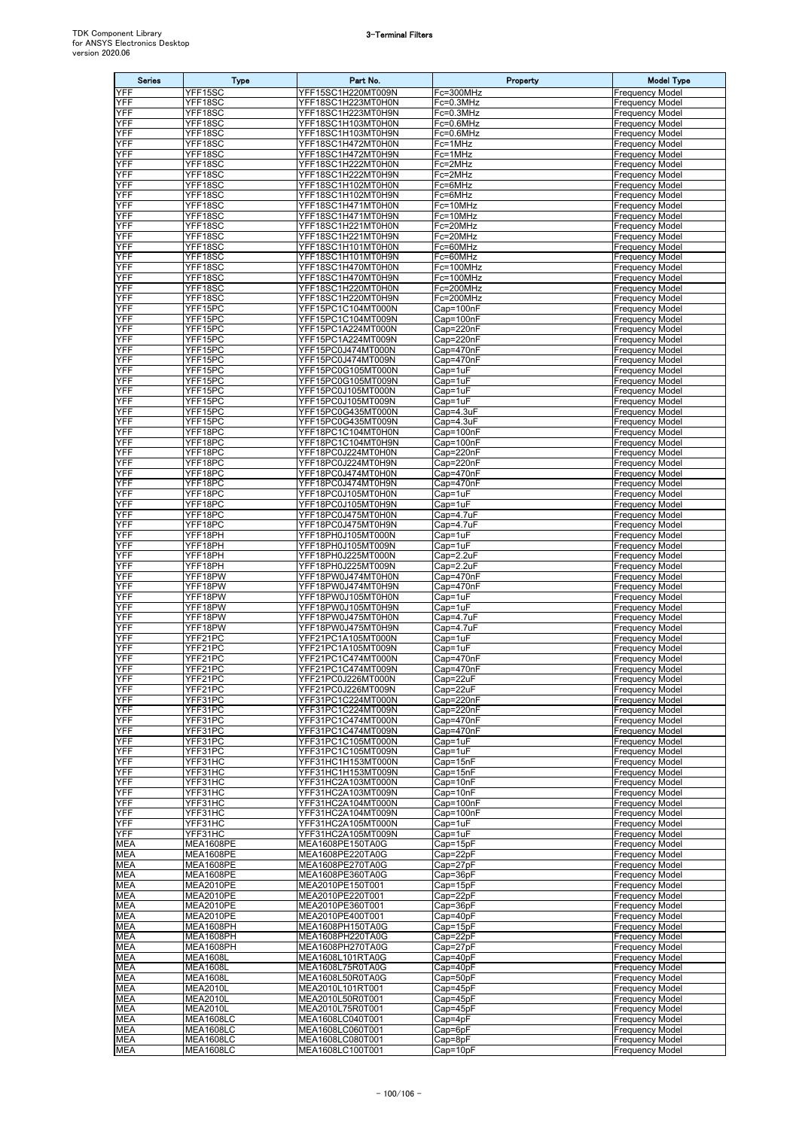# 3-Terminal Filters

| <b>Series</b>            | <b>Type</b>                          | Part No.                                 | Property               | <b>Model Type</b>                                |
|--------------------------|--------------------------------------|------------------------------------------|------------------------|--------------------------------------------------|
| YFF                      | YFF15SC                              | YFF15SC1H220MT009N                       | Fc=300MHz              | <b>Frequency Model</b>                           |
| YFF                      | YFF18SC                              | YFF18SC1H223MT0H0N                       | Fc=0.3MHz              | <b>Frequency Model</b>                           |
| YFF                      | YFF18SC                              | YFF18SC1H223MT0H9N                       | Fc=0.3MHz              | <b>Frequency Model</b>                           |
| YFF<br>YFF               | YFF18SC<br>YFF18SC                   | YFF18SC1H103MT0H0N<br>YFF18SC1H103MT0H9N | Fc=0.6MHz<br>Fc=0.6MHz | <b>Frequency Model</b><br><b>Frequency Model</b> |
| YFF                      | YFF18SC                              | YFF18SC1H472MT0H0N                       | Fc=1MHz                | <b>Frequency Model</b>                           |
| YFF                      | YFF18SC                              | YFF18SC1H472MT0H9N                       | Fc=1MHz                | <b>Frequency Model</b>                           |
| YFF                      | YFF18SC                              | YFF18SC1H222MT0H0N                       | Fc=2MHz                | <b>Frequency Model</b>                           |
| YFF                      | YFF18SC                              | YFF18SC1H222MT0H9N                       | Fc=2MHz                | <b>Frequency Model</b>                           |
| YFF                      | YFF18SC                              | YFF18SC1H102MT0H0N                       | Fc=6MHz                | <b>Frequency Model</b>                           |
| YFF<br>YFF               | YFF18SC<br>YFF18SC                   | YFF18SC1H102MT0H9N<br>YFF18SC1H471MT0H0N | Fc=6MHz<br>Fc=10MHz    | <b>Frequency Model</b><br><b>Frequency Model</b> |
| YFF                      | YFF18SC                              | YFF18SC1H471MT0H9N                       | Fc=10MHz               | <b>Frequency Model</b>                           |
| YFF                      | YFF18SC                              | YFF18SC1H221MT0H0N                       | Fc=20MHz               | <b>Frequency Model</b>                           |
| YFF                      | YFF18SC                              | YFF18SC1H221MT0H9N                       | Fc=20MHz               | <b>Frequency Model</b>                           |
| YFF                      | YFF18SC                              | YFF18SC1H101MT0H0N                       | Fc=60MHz               | <b>Frequency Model</b>                           |
| YFF                      | YFF18SC                              | YFF18SC1H101MT0H9N                       | Fc=60MHz               | Frequency Model                                  |
| YFF<br>YFF               | YFF18SC<br>YFF18SC                   | YFF18SC1H470MT0H0N<br>YFF18SC1H470MT0H9N | Fc=100MHz              | <b>Frequency Model</b>                           |
| YFF                      | YFF18SC                              | YFF18SC1H220MT0H0N                       | Fc=100MHz<br>Fc=200MHz | <b>Frequency Model</b><br><b>Frequency Model</b> |
| YFF                      | YFF18SC                              | YFF18SC1H220MT0H9N                       | Fc=200MHz              | <b>Frequency Model</b>                           |
| YFF                      | YFF15PC                              | YFF15PC1C104MT000N                       | Cap=100nF              | <b>Frequency Model</b>                           |
| YFF                      | YFF15PC                              | YFF15PC1C104MT009N                       | Cap=100nF              | <b>Frequency Model</b>                           |
| YFF                      | YFF15PC                              | YFF15PC1A224MT000N                       | Cap=220nF              | <b>Frequency Model</b>                           |
| YFF<br>YFF               | YFF15PC<br>YFF15PC                   | YFF15PC1A224MT009N<br>YFF15PC0J474MT000N | Cap=220nF              | <b>Frequency Model</b><br><b>Frequency Model</b> |
| YFF                      | YFF15PC                              | YFF15PC0J474MT009N                       | Cap=470nF<br>Cap=470nF | <b>Frequency Model</b>                           |
| YFF                      | YFF15PC                              | YFF15PC0G105MT000N                       | Cap=1uF                | <b>Frequency Model</b>                           |
| YFF                      | YFF15PC                              | YFF15PC0G105MT009N                       | Cap=1uF                | <b>Frequency Model</b>                           |
| YFF                      | YFF15PC                              | YFF15PC0J105MT000N                       | Cap=1uF                | <b>Frequency Model</b>                           |
| YFF                      | YFF15PC                              | YFF15PC0J105MT009N                       | Cap=1uF                | <b>Frequency Model</b>                           |
| YFF<br>YFF               | YFF15PC                              | YFF15PC0G435MT000N                       | Cap=4.3uF              | <b>Frequency Model</b>                           |
| YFF                      | YFF15PC<br>YFF18PC                   | YFF15PC0G435MT009N<br>YFF18PC1C104MT0H0N | Cap=4.3uF<br>Cap=100nF | <b>Frequency Model</b><br><b>Frequency Model</b> |
| YFF                      | YFF18PC                              | YFF18PC1C104MT0H9N                       | Cap=100nF              | <b>Frequency Model</b>                           |
| YFF                      | YFF18PC                              | YFF18PC0J224MT0H0N                       | Cap=220nF              | <b>Frequency Model</b>                           |
| YFF                      | YFF18PC                              | YFF18PC0J224MT0H9N                       | Cap=220nF              | <b>Frequency Model</b>                           |
| YFF                      | YFF18PC                              | YFF18PC0J474MT0H0N                       | Cap=470nF              | <b>Frequency Model</b>                           |
| YFF<br>YFF               | YFF18PC                              | YFF18PC0J474MT0H9N                       | Cap=470nF              | <b>Frequency Model</b>                           |
| YFF                      | YFF18PC<br>YFF18PC                   | YFF18PC0J105MT0H0N<br>YFF18PC0J105MT0H9N | Cap=1uF<br>Cap=1uF     | <b>Frequency Model</b><br><b>Frequency Model</b> |
| YFF                      | YFF18PC                              | YFF18PC0J475MT0H0N                       | Cap=4.7uF              | <b>Frequency Model</b>                           |
| YFF                      | YFF18PC                              | YFF18PC0J475MT0H9N                       | Cap=4.7uF              | <b>Frequency Model</b>                           |
| YFF                      | YFF18PH                              | YFF18PH0J105MT000N                       | Cap=1uF                | <b>Frequency Model</b>                           |
| YFF                      | YFF18PH                              | YFF18PH0J105MT009N                       | Cap=1uF                | <b>Frequency Model</b>                           |
| YFF                      | YFF18PH                              | YFF18PH0J225MT000N                       | Cap=2.2uF              | <b>Frequency Model</b>                           |
| YFF<br>YFF               | YFF18PH<br>YFF18PW                   | YFF18PH0J225MT009N<br>YFF18PW0J474MT0H0N | Cap=2.2uF<br>Cap=470nF | <b>Frequency Model</b><br><b>Frequency Model</b> |
| YFF                      | YFF18PW                              | YFF18PW0J474MT0H9N                       | Cap=470nF              | <b>Frequency Model</b>                           |
| YFF                      | YFF18PW                              | YFF18PW0J105MT0H0N                       | Cap=1uF                | <b>Frequency Model</b>                           |
| YFF                      | YFF18PW                              | YFF18PW0J105MT0H9N                       | Cap=1uF                | <b>Frequency Model</b>                           |
| YFF                      | YFF18PW                              | YFF18PW0J475MT0H0N                       | Cap=4.7uF              | <b>Frequency Model</b>                           |
| YFF                      | YFF18PW<br>YFF21PC                   | YFF18PW0J475MT0H9N                       | Cap=4.7uF<br>Cap=1uF   | <b>Frequency Model</b>                           |
| YFF<br>YFF               | YFF21PC                              | YFF21PC1A105MT000N<br>YFF21PC1A105MT009N | $Cap=1uF$              | <b>Frequency Model</b><br><b>Frequency Model</b> |
| YFF                      | YFF21PC                              | YFF21PC1C474MT000N                       | Cap=470nF              | <b>Frequency Model</b>                           |
| YFF                      | YFF21PC                              | YFF21PC1C474MT009N                       | Cap=470nF              | <b>Frequency Model</b>                           |
| YFF                      | YFF21PC                              | YFF21PC0J226MT000N                       | Cap=22uF               | <b>Frequency Model</b>                           |
| YFF                      | YFF21PC                              | YFF21PC0J226MT009N                       | Cap=22uF               | <b>Frequency Model</b>                           |
| YFF<br>YFF               | YFF31PC<br>YFF31PC                   | YFF31PC1C224MT000N<br>YFF31PC1C224MT009N | Cap=220nF<br>Cap=220nF | <b>Frequency Model</b><br><b>Frequency Model</b> |
| YFF                      | YFF31PC                              | YFF31PC1C474MT000N                       | Cap=470nF              | <b>Frequency Model</b>                           |
| YFF                      | YFF31PC                              | YFF31PC1C474MT009N                       | Cap=470nF              | <b>Frequency Model</b>                           |
| YFF                      | YFF31PC                              | YFF31PC1C105MT000N                       | Cap=1uF                | <b>Frequency Model</b>                           |
| YFF                      | YFF31PC                              | YFF31PC1C105MT009N                       | Cap=1uF                | <b>Frequency Model</b>                           |
| YFF<br>YFF               | YFF31HC                              | YFF31HC1H153MT000N                       | Cap=15nF<br>Cap=15nF   | <b>Frequency Model</b><br><b>Frequency Model</b> |
| YFF                      | YFF31HC<br>YFF31HC                   | YFF31HC1H153MT009N<br>YFF31HC2A103MT000N | Cap=10nF               | <b>Frequency Model</b>                           |
| YFF                      | YFF31HC                              | YFF31HC2A103MT009N                       | Cap=10nF               | <b>Frequency Model</b>                           |
| YFF                      | YFF31HC                              | YFF31HC2A104MT000N                       | Cap=100nF              | <b>Frequency Model</b>                           |
| YFF                      | YFF31HC                              | YFF31HC2A104MT009N                       | Cap=100nF              | <b>Frequency Model</b>                           |
| YFF                      | YFF31HC                              | YFF31HC2A105MT000N                       | Cap=1uF                | <b>Frequency Model</b>                           |
| YFF<br><b>MEA</b>        | YFF31HC<br>MEA1608PE                 | YFF31HC2A105MT009N<br>MEA1608PE150TA0G   | Cap=1uF<br>Cap=15pF    | <b>Frequency Model</b><br><b>Frequency Model</b> |
| <b>MEA</b>               | MEA1608PE                            | MEA1608PE220TA0G                         | Cap=22pF               | <b>Frequency Model</b>                           |
| MEA                      | MEA1608PE                            | MEA1608PE270TA0G                         | Cap=27pF               | <b>Frequency Model</b>                           |
| <b>MEA</b>               | MEA1608PE                            | MEA1608PE360TA0G                         | Cap=36pF               | <b>Frequency Model</b>                           |
| <b>MEA</b>               | MEA2010PE                            | MEA2010PE150T001                         | Cap=15pF               | <b>Frequency Model</b>                           |
| <b>MEA</b>               | MEA2010PE                            | MEA2010PE220T001                         | Cap=22pF               | <b>Frequency Model</b>                           |
| <b>MEA</b><br><b>MEA</b> | MEA2010PE<br>MEA2010PE               | MEA2010PE360T001<br>MEA2010PE400T001     | Cap=36pF<br>Cap=40pF   | <b>Frequency Model</b><br><b>Frequency Model</b> |
| <b>MEA</b>               | MEA1608PH                            | MEA1608PH150TA0G                         | Cap=15pF               | <b>Frequency Model</b>                           |
| <b>MEA</b>               | MEA1608PH                            | MEA1608PH220TA0G                         | Cap=22pF               | <b>Frequency Model</b>                           |
| <b>MEA</b>               | MEA1608PH                            | MEA1608PH270TA0G                         | Cap=27pF               | <b>Frequency Model</b>                           |
| <b>MEA</b>               | <b>MEA1608L</b>                      | MEA1608L101RTA0G                         | Cap=40pF               | <b>Frequency Model</b>                           |
| <b>MEA</b>               | <b>MEA1608L</b>                      | MEA1608L75R0TA0G                         | Cap=40pF               | <b>Frequency Model</b>                           |
| <b>MEA</b><br><b>MEA</b> | <b>MEA1608L</b><br><b>MEA2010L</b>   | MEA1608L50R0TA0G<br>MEA2010L101RT001     | Cap=50pF<br>Cap=45pF   | <b>Frequency Model</b><br><b>Frequency Model</b> |
| <b>MEA</b>               | <b>MEA2010L</b>                      | MEA2010L50R0T001                         | Cap=45pF               | <b>Frequency Model</b>                           |
| <b>MEA</b>               | <b>MEA2010L</b>                      | MEA2010L75R0T001                         | Cap=45pF               | <b>Frequency Model</b>                           |
| <b>MEA</b>               | MEA1608LC                            | MEA1608LC040T001                         | Cap=4pF                | <b>Frequency Model</b>                           |
| <b>MEA</b>               | <b>MEA1608LC</b>                     | MEA1608LC060T001                         | Cap=6pF                | <b>Frequency Model</b>                           |
| <b>MEA</b><br><b>MEA</b> | <b>MEA1608LC</b><br><b>MEA1608LC</b> | MEA1608LC080T001                         | Cap=8pF<br>$Cap=10pF$  | <b>Frequency Model</b><br><b>Frequency Model</b> |
|                          |                                      | MEA1608LC100T001                         |                        |                                                  |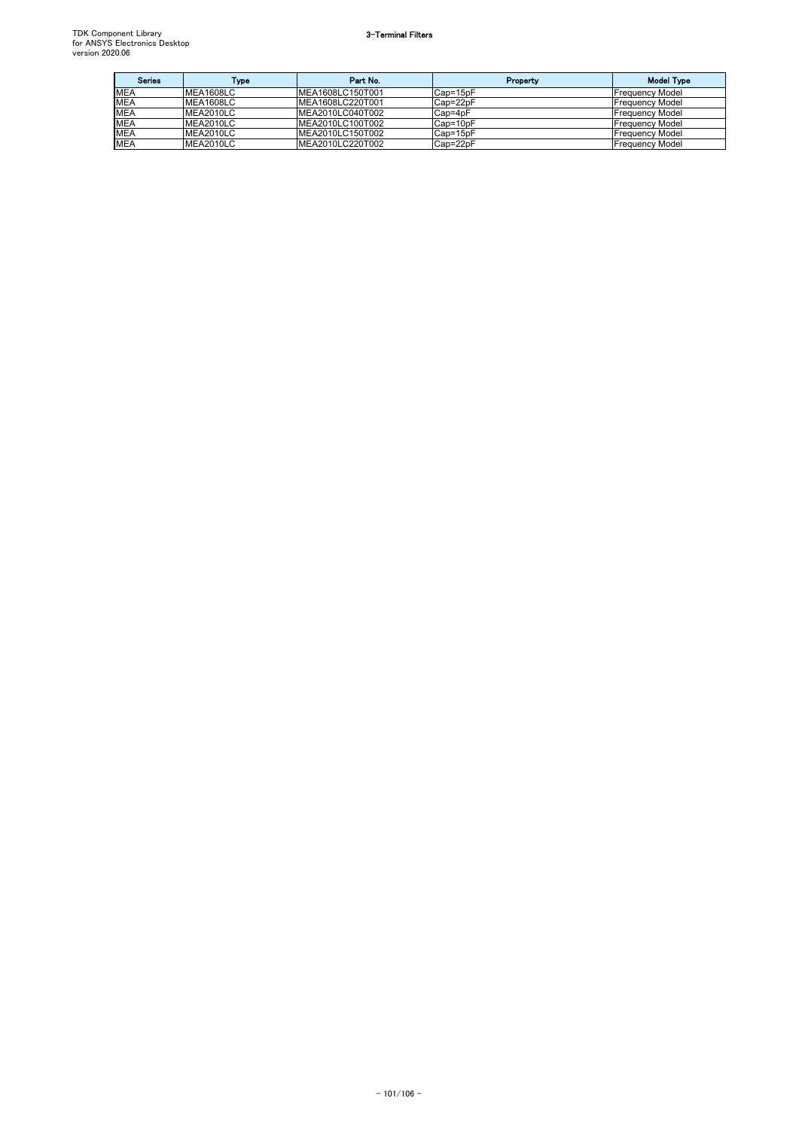| <b>Series</b> | Type             | Part No.         | Property | <b>Model Type</b>       |
|---------------|------------------|------------------|----------|-------------------------|
| <b>MEA</b>    | MEA1608LC        | MEA1608LC150T001 | Cap=15pF | <b>IFrequency Model</b> |
| <b>MEA</b>    | <b>MEA1608LC</b> | MEA1608LC220T001 | Cap=22pF | <b>Frequency Model</b>  |
| <b>MEA</b>    | MEA2010LC        | MEA2010LC040T002 | Cap=4pF  | <b>Frequency Model</b>  |
| <b>MEA</b>    | MEA2010LC        | MEA2010LC100T002 | Cap=10pF | <b>Frequency Model</b>  |
| <b>MEA</b>    | MEA2010LC        | MEA2010LC150T002 | Cap=15pF | <b>Frequency Model</b>  |
| <b>MEA</b>    | MEA2010LC        | MEA2010LC220T002 | Cap=22pF | <b>Frequency Model</b>  |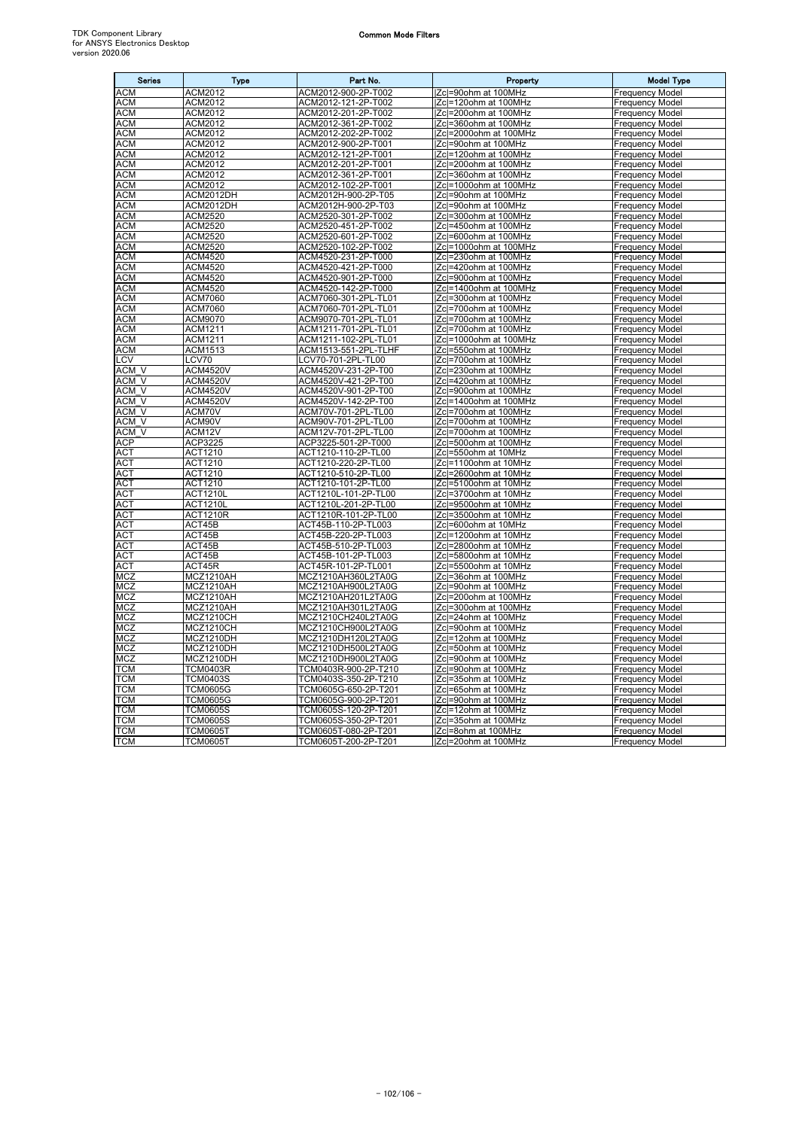$\overline{a}$ 

| <b>Series</b>    | <b>Type</b>     | Part No.             | Property                      | <b>Model Type</b>      |
|------------------|-----------------|----------------------|-------------------------------|------------------------|
| <b>ACM</b>       | <b>ACM2012</b>  | ACM2012-900-2P-T002  | Zc =90ohm at 100MHz           | <b>Frequency Model</b> |
| <b>ACM</b>       | ACM2012         | ACM2012-121-2P-T002  | Zcl=120ohm at 100MHz          | Frequency Model        |
| <b>ACM</b>       | <b>ACM2012</b>  | ACM2012-201-2P-T002  | Zc =200ohm at 100MHz          | <b>Frequency Model</b> |
| <b>ACM</b>       | ACM2012         | ACM2012-361-2P-T002  | Zcl=360ohm at 100MHz          | <b>Frequency Model</b> |
| <b>ACM</b>       | <b>ACM2012</b>  | ACM2012-202-2P-T002  | <b>IZcl=2000ohm at 100MHz</b> | <b>Frequency Model</b> |
| <b>ACM</b>       | ACM2012         | ACM2012-900-2P-T001  | Zc =90ohm at 100MHz           | <b>Frequency Model</b> |
| <b>ACM</b>       | ACM2012         | ACM2012-121-2P-T001  | Zc =120ohm at 100MHz          | <b>Frequency Model</b> |
| <b>ACM</b>       | <b>ACM2012</b>  | ACM2012-201-2P-T001  | Zcl=200ohm at 100MHz          | Frequency Model        |
| <b>ACM</b>       | ACM2012         | ACM2012-361-2P-T001  | Zc =360ohm at 100MHz          | <b>Frequency Model</b> |
| <b>ACM</b>       | ACM2012         | ACM2012-102-2P-T001  | IZcl=1000ohm at 100MHz        | <b>Frequency Model</b> |
| <b>ACM</b>       | ACM2012DH       | ACM2012H-900-2P-T05  | Zc =90ohm at 100MHz           | <b>Frequency Model</b> |
| <b>ACM</b>       | ACM2012DH       | ACM2012H-900-2P-T03  | Zcl=90ohm at 100MHz           | <b>Frequency Model</b> |
| АСМ              | ACM2520         | ACM2520-301-2P-T002  | lZcl=300ohm at 100MHz         | <b>Frequency Model</b> |
|                  | ACM2520         | ACM2520-451-2P-T002  |                               |                        |
| ACM              |                 |                      | Zcl=450ohm at 100MHz          | <b>Frequency Model</b> |
| <b>ACM</b>       | ACM2520         | ACM2520-601-2P-T002  | Zcl=600ohm at 100MHz          | <b>Frequency Model</b> |
| ACM              | ACM2520         | ACM2520-102-2P-T002  | Zcl=1000ohm at 100MHz         | <b>Frequency Model</b> |
| <b>ACM</b>       | ACM4520         | ACM4520-231-2P-T000  | Zc =230ohm at 100MHz          | <b>Frequency Model</b> |
| <b>ACM</b>       | ACM4520         | ACM4520-421-2P-T000  | Zcl=420ohm at 100MHz          | <b>Frequency Model</b> |
| <b>ACM</b>       | <b>ACM4520</b>  | ACM4520-901-2P-T000  | Zcl=900ohm at 100MHz          | <b>Frequency Model</b> |
| ACM              | ACM4520         | ACM4520-142-2P-T000  | IZcl=1400ohm at 100MHz        | <b>Frequency Model</b> |
| ACM              | <b>ACM7060</b>  | ACM7060-301-2PL-TL01 | Zcl=300ohm at 100MHz          | <b>Frequency Model</b> |
| <b>ACM</b>       | ACM7060         | ACM7060-701-2PL-TL01 | Zcl=700ohm at 100MHz          | <b>Frequency Model</b> |
| <b>ACM</b>       | <b>ACM9070</b>  | ACM9070-701-2PL-TL01 | IZcl=700ohm at 100MHz         | <b>Frequency Model</b> |
| <b>ACM</b>       | ACM1211         | ACM1211-701-2PL-TL01 | Zc =700ohm at 100MHz          | <b>Frequency Model</b> |
| <b>ACM</b>       | ACM1211         | ACM1211-102-2PL-TL01 | Zcl=1000ohm at 100MHz         | <b>Frequency Model</b> |
| <b>ACM</b>       | ACM1513         | ACM1513-551-2PL-TLHF | Zc =550ohm at 100MHz          | <b>Frequency Model</b> |
| LCV              | LCV70           | LCV70-701-2PL-TL00   | Zc =700ohm at 100MHz          | <b>Frequency Model</b> |
| ACM V            | <b>ACM4520V</b> | ACM4520V-231-2P-T00  | Zcl=230ohm at 100MHz          | Frequency Model        |
| ACM V            | <b>ACM4520V</b> | ACM4520V-421-2P-T00  | Zcl=420ohm at 100MHz          | <b>Frequency Model</b> |
| ACM V            | <b>ACM4520V</b> | ACM4520V-901-2P-T00  | Zc =900ohm at 100MHz          | <b>Frequency Model</b> |
| ACM V            | <b>ACM4520V</b> | ACM4520V-142-2P-T00  | Zc =1400ohm at 100MHz         | <b>Frequency Model</b> |
| ACM_V            | ACM70V          | ACM70V-701-2PL-TL00  | Zcl=700ohm at 100MHz          | <b>Frequency Model</b> |
| ACM V            | ACM90V          | ACM90V-701-2PL-TL00  | <b>Zcl=700ohm at 100MHz</b>   | <b>Frequency Model</b> |
| ACM <sub>V</sub> | ACM12V          | ACM12V-701-2PL-TL00  | Zc =700ohm at 100MHz          | Frequency Model        |
| <b>ACP</b>       | ACP3225         | ACP3225-501-2P-T000  | Zcl=500ohm at 100MHz          | <b>Frequency Model</b> |
| АСТ              | ACT1210         | ACT1210-110-2P-TL00  | Zc =550ohm at 10MHz           | Frequency Model        |
| ACT              | ACT1210         | ACT1210-220-2P-TL00  | Zcl=1100ohm at 10MHz          | <b>Frequency Model</b> |
| <b>ACT</b>       | ACT1210         | ACT1210-510-2P-TL00  | <b>Zcl=2600ohm at 10MHz</b>   | <b>Frequency Model</b> |
| ACT              | ACT1210         | ACT1210-101-2P-TL00  | Zcl=5100ohm at 10MHz          | <b>Frequency Model</b> |
| ACT              | <b>ACT1210L</b> | ACT1210L-101-2P-TL00 | Zcl=3700ohm at 10MHz          | <b>Frequency Model</b> |
| <b>ACT</b>       | <b>ACT1210L</b> | ACT1210L-201-2P-TL00 | IZcl=9500ohm at 10MHz         | <b>Frequency Model</b> |
| <b>ACT</b>       | <b>ACT1210R</b> | ACT1210R-101-2P-TL00 | Zcl=3500ohm at 10MHz          | <b>Frequency Model</b> |
| <b>ACT</b>       | ACT45B          | ACT45B-110-2P-TL003  | Zcl=600ohm at 10MHz           | <b>Frequency Model</b> |
| <b>ACT</b>       | ACT45B          | ACT45B-220-2P-TL003  | Zcl=1200ohm at 10MHz          | <b>Frequency Model</b> |
| <b>ACT</b>       | ACT45B          | ACT45B-510-2P-TL003  | Zc =2800ohm at 10MHz          | <b>Frequency Model</b> |
| ACT              | ACT45B          | ACT45B-101-2P-TL003  | Zc =5800ohm at 10MHz          | <b>Frequency Model</b> |
| <b>ACT</b>       | ACT45R          | ACT45R-101-2P-TL001  | Zcl=5500ohm at 10MHz          | Frequency Model        |
| MCZ              | MCZ1210AH       | MCZ1210AH360L2TA0G   | Zc =36ohm at 100MHz           | <b>Frequency Model</b> |
| <b>MCZ</b>       | MCZ1210AH       | MCZ1210AH900L2TA0G   | Zcl=90ohm at 100MHz           | <b>Frequency Model</b> |
| <b>MCZ</b>       | MCZ1210AH       | MCZ1210AH201L2TA0G   | Zc =200ohm at 100MHz          | <b>Frequency Model</b> |
| <b>MCZ</b>       | MCZ1210AH       | MCZ1210AH301L2TA0G   | Zcl=300ohm at 100MHz          | <b>Frequency Model</b> |
| MCZ              | MCZ1210CH       | MCZ1210CH240L2TA0G   | Zcl=24ohm at 100MHz           | <b>Frequency Model</b> |
|                  |                 |                      |                               |                        |
| MCZ<br>MCZ       | MCZ1210CH       | MCZ1210CH900L2TA0G   | Zc =90ohm at 100MHz           | <b>Frequency Model</b> |
|                  | MCZ1210DH       | MCZ1210DH120L2TA0G   | Zcl=12ohm at 100MHz           | Frequency Model        |
| MCZ              | MCZ1210DH       | MCZ1210DH500L2TA0G   | Zcl=50ohm at 100MHz           | <b>Frequency Model</b> |
| MCZ              | MCZ1210DH       | MCZ1210DH900L2TA0G   | Zc =90ohm at 100MHz           | <b>Frequency Model</b> |
| <b>TCM</b>       | <b>TCM0403R</b> | TCM0403R-900-2P-T210 | Zc =90ohm at 100MHz           | Frequency Model        |
| <b>TCM</b>       | <b>TCM0403S</b> | TCM0403S-350-2P-T210 | Zc =35ohm at 100MHz           | <b>Frequency Model</b> |
| TCM              | <b>TCM0605G</b> | TCM0605G-650-2P-T201 | Zc =65ohm at 100MHz           | <b>Frequency Model</b> |
| <b>TCM</b>       | <b>TCM0605G</b> | TCM0605G-900-2P-T201 | Zcl=90ohm at 100MHz           | <b>Frequency Model</b> |
| <b>TCM</b>       | <b>TCM0605S</b> | TCM0605S-120-2P-T201 | IZcl=12ohm at 100MHz          | <b>Frequency Model</b> |
| <b>TCM</b>       | <b>TCM0605S</b> | TCM0605S-350-2P-T201 | Zcl=35ohm at 100MHz           | <b>Frequency Model</b> |
| <b>TCM</b>       | <b>TCM0605T</b> | TCM0605T-080-2P-T201 | Zc =8ohm at 100MHz            | <b>Frequency Model</b> |
| <b>TCM</b>       | <b>TCM0605T</b> | TCM0605T-200-2P-T201 | <b>Zcl=20ohm at 100MHz</b>    | <b>Frequency Model</b> |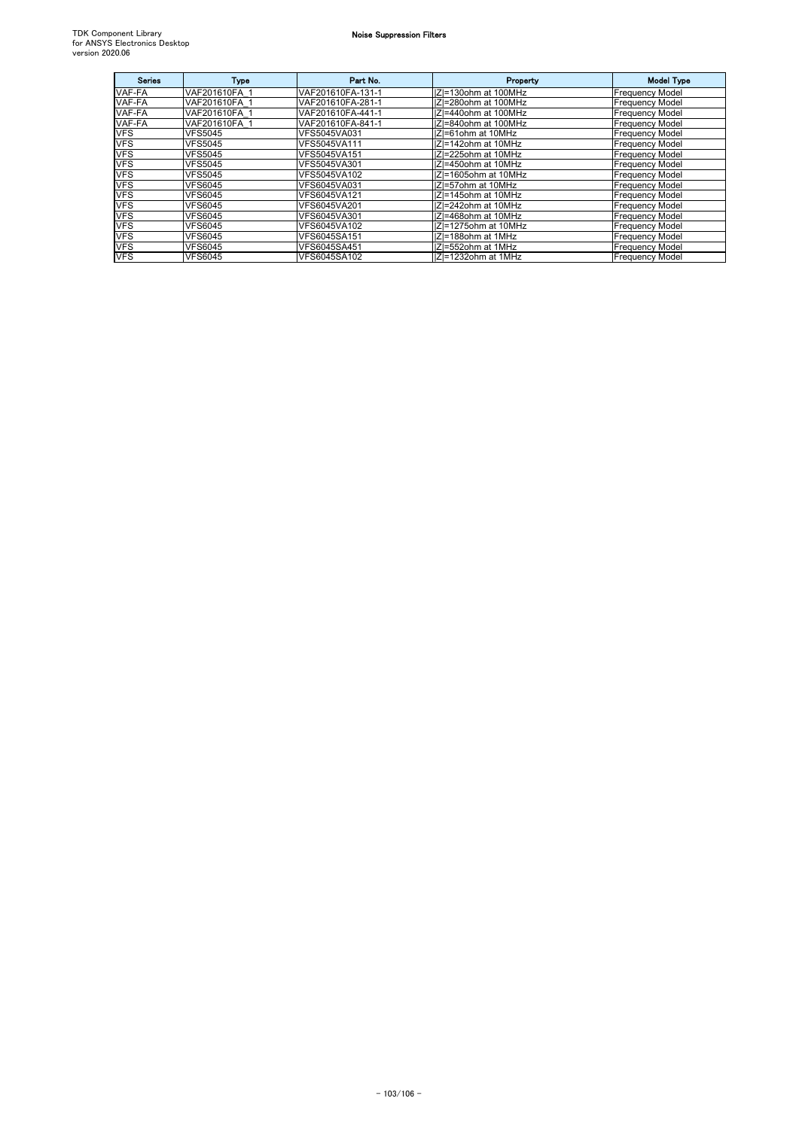| <b>Series</b> | <b>Type</b>    | Part No.          | Property             | <b>Model Type</b>      |
|---------------|----------------|-------------------|----------------------|------------------------|
| VAF-FA        | VAF201610FA 1  | VAF201610FA-131-1 | IZ=130ohm at 100MHz  | <b>Frequency Model</b> |
| VAF-FA        | VAF201610FA 1  | VAF201610FA-281-1 | IZI=280ohm at 100MHz | <b>Frequency Model</b> |
| VAF-FA        | VAF201610FA 1  | VAF201610FA-441-1 | IZI=440ohm at 100MHz | <b>Frequency Model</b> |
| VAF-FA        | VAF201610FA 1  | VAF201610FA-841-1 | IZI=840ohm at 100MHz | <b>Frequency Model</b> |
| <b>VFS</b>    | <b>VFS5045</b> | VFS5045VA031      | IZ=61ohm at 10MHz    | <b>Frequency Model</b> |
| <b>VFS</b>    | <b>VFS5045</b> | VFS5045VA111      | IZI=142ohm at 10MHz  | <b>Frequency Model</b> |
| <b>VFS</b>    | <b>VFS5045</b> | VFS5045VA151      | IZI=225ohm at 10MHz  | <b>Frequency Model</b> |
| <b>VFS</b>    | <b>VFS5045</b> | VFS5045VA301      | IZI=450ohm at 10MHz  | <b>Frequency Model</b> |
| <b>VFS</b>    | <b>VFS5045</b> | VFS5045VA102      | IZI=1605ohm at 10MHz | <b>Frequency Model</b> |
| <b>VFS</b>    | <b>VFS6045</b> | VFS6045VA031      | IZI=57ohm at 10MHz   | <b>Frequency Model</b> |
| <b>VFS</b>    | <b>VFS6045</b> | VFS6045VA121      | IZI=145ohm at 10MHz  | <b>Frequency Model</b> |
| <b>VFS</b>    | <b>VFS6045</b> | VFS6045VA201      | IZI=242ohm at 10MHz  | <b>Frequency Model</b> |
| <b>VFS</b>    | <b>VFS6045</b> | VFS6045VA301      | IZI=468ohm at 10MHz  | <b>Frequency Model</b> |
| <b>VFS</b>    | <b>VFS6045</b> | VFS6045VA102      | IZI=1275ohm at 10MHz | <b>Frequency Model</b> |
| <b>VFS</b>    | <b>VFS6045</b> | VFS6045SA151      | IZI=188ohm at 1MHz   | <b>Frequency Model</b> |
| <b>VFS</b>    | <b>VFS6045</b> | VFS6045SA451      | IZI=552ohm at 1MHz   | <b>Frequency Model</b> |
| <b>VFS</b>    | <b>VFS6045</b> | VFS6045SA102      | IZI=1232ohm at 1MHz  | <b>Frequency Model</b> |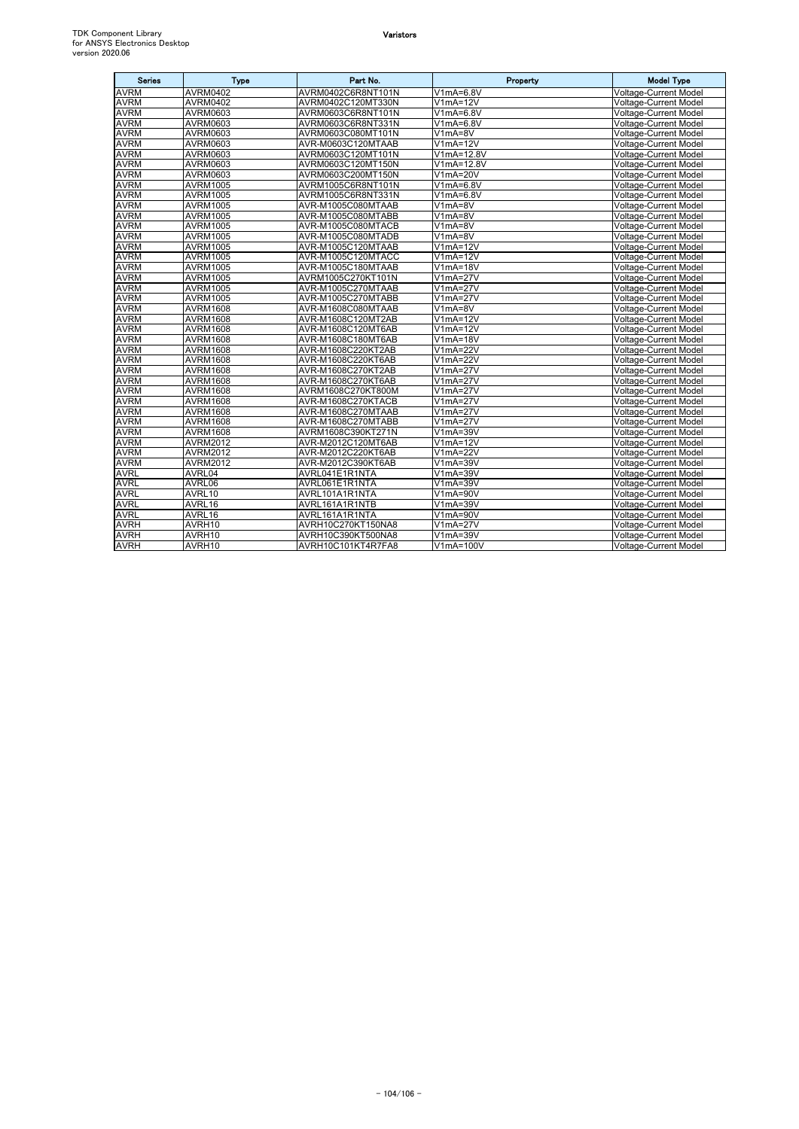## Varistors

| <b>Series</b> | <b>Type</b>     | Part No.           | Property                      | <b>Model Type</b>            |
|---------------|-----------------|--------------------|-------------------------------|------------------------------|
| <b>AVRM</b>   | <b>AVRM0402</b> | AVRM0402C6R8NT101N | V1mA=6.8V                     | <b>Voltage-Current Model</b> |
| <b>AVRM</b>   | <b>AVRM0402</b> | AVRM0402C120MT330N | $V1mA=12V$                    | Voltage-Current Model        |
| <b>AVRM</b>   | <b>AVRM0603</b> | AVRM0603C6R8NT101N | $V1mA=6.8V$                   | <b>Voltage-Current Model</b> |
| <b>AVRM</b>   | AVRM0603        | AVRM0603C6R8NT331N | V1mA=6.8V                     | <b>Voltage-Current Model</b> |
| <b>AVRM</b>   | <b>AVRM0603</b> | AVRM0603C080MT101N | V1mA=8V                       | <b>Voltage-Current Model</b> |
| <b>AVRM</b>   | AVRM0603        | AVR-M0603C120MTAAB | $V1mA=12V$                    | <b>Voltage-Current Model</b> |
| <b>AVRM</b>   | <b>AVRM0603</b> | AVRM0603C120MT101N | V1mA=12.8V                    | <b>Voltage-Current Model</b> |
| <b>AVRM</b>   | <b>AVRM0603</b> | AVRM0603C120MT150N | V1mA=12.8V                    | <b>Voltage-Current Model</b> |
| <b>AVRM</b>   | <b>AVRM0603</b> | AVRM0603C200MT150N | $V1mA=20V$                    | <b>Voltage-Current Model</b> |
| <b>AVRM</b>   | <b>AVRM1005</b> | AVRM1005C6R8NT101N | V1mA=6.8V                     | <b>Voltage-Current Model</b> |
| <b>AVRM</b>   | <b>AVRM1005</b> | AVRM1005C6R8NT331N | V1mA=6.8V                     | <b>Voltage-Current Model</b> |
| <b>AVRM</b>   | <b>AVRM1005</b> | AVR-M1005C080MTAAB | V1mA=8V                       | Voltage-Current Model        |
| <b>AVRM</b>   | <b>AVRM1005</b> | AVR-M1005C080MTABB | $V1mA=8V$                     | Voltage-Current Model        |
| <b>AVRM</b>   | <b>AVRM1005</b> | AVR-M1005C080MTACB | $V1mA=8V$                     | Voltage-Current Model        |
| <b>AVRM</b>   | <b>AVRM1005</b> | AVR-M1005C080MTADB | $V1mA=8V$                     | <b>Voltage-Current Model</b> |
| <b>AVRM</b>   | <b>AVRM1005</b> | AVR-M1005C120MTAAB | $V1mA=12V$                    | <b>Voltage-Current Model</b> |
| <b>AVRM</b>   | <b>AVRM1005</b> | AVR-M1005C120MTACC | $V1mA=12V$                    | <b>Voltage-Current Model</b> |
| <b>AVRM</b>   | <b>AVRM1005</b> | AVR-M1005C180MTAAB | $V1mA=18V$                    | <b>Voltage-Current Model</b> |
| <b>AVRM</b>   | AVRM1005        | AVRM1005C270KT101N | V1mA=27V                      | <b>Voltage-Current Model</b> |
| <b>AVRM</b>   | <b>AVRM1005</b> | AVR-M1005C270MTAAB | V1mA=27V                      | <b>Voltage-Current Model</b> |
| <b>AVRM</b>   | <b>AVRM1005</b> | AVR-M1005C270MTABB | $V1mA=27V$                    | <b>Voltage-Current Model</b> |
| <b>AVRM</b>   | <b>AVRM1608</b> | AVR-M1608C080MTAAB | V1mA=8V                       | Voltage-Current Model        |
| <b>AVRM</b>   | <b>AVRM1608</b> | AVR-M1608C120MT2AB | $V1mA=12V$                    | <b>Voltage-Current Model</b> |
| <b>AVRM</b>   | <b>AVRM1608</b> | AVR-M1608C120MT6AB | $V1mA=12V$                    | <b>Voltage-Current Model</b> |
| <b>AVRM</b>   | <b>AVRM1608</b> | AVR-M1608C180MT6AB | V1mA=18V                      | <b>Voltage-Current Model</b> |
| <b>AVRM</b>   | <b>AVRM1608</b> | AVR-M1608C220KT2AB | V1mA=22V                      | Voltage-Current Model        |
| <b>AVRM</b>   | <b>AVRM1608</b> | AVR-M1608C220KT6AB | V1mA=22V                      | Voltage-Current Model        |
| <b>AVRM</b>   | <b>AVRM1608</b> | AVR-M1608C270KT2AB | $V1mA=27V$                    | <b>Voltage-Current Model</b> |
| <b>AVRM</b>   | <b>AVRM1608</b> | AVR-M1608C270KT6AB | V1mA=27V                      | <b>Voltage-Current Model</b> |
| <b>AVRM</b>   | <b>AVRM1608</b> | AVRM1608C270KT800M | $V1mA=27V$                    | <b>Voltage-Current Model</b> |
| <b>AVRM</b>   | <b>AVRM1608</b> | AVR-M1608C270KTACB | $\overline{\text{V1}}$ mA=27V | Voltage-Current Model        |
| <b>AVRM</b>   | <b>AVRM1608</b> | AVR-M1608C270MTAAB | $V1mA=27V$                    | <b>Voltage-Current Model</b> |
| <b>AVRM</b>   | <b>AVRM1608</b> | AVR-M1608C270MTABB | $V1mA=27V$                    | <b>Voltage-Current Model</b> |
| <b>AVRM</b>   | <b>AVRM1608</b> | AVRM1608C390KT271N | $V1mA=39V$                    | <b>Voltage-Current Model</b> |
| <b>AVRM</b>   | <b>AVRM2012</b> | AVR-M2012C120MT6AB | $V1mA=12V$                    | <b>Voltage-Current Model</b> |
| <b>AVRM</b>   | <b>AVRM2012</b> | AVR-M2012C220KT6AB | $V1mA=22V$                    | <b>Voltage-Current Model</b> |
| <b>AVRM</b>   | <b>AVRM2012</b> | AVR-M2012C390KT6AB | V1mA=39V                      | <b>Voltage-Current Model</b> |
| <b>AVRL</b>   | AVRL04          | AVRL041E1R1NTA     | $V1mA=39V$                    | <b>Voltage-Current Model</b> |
| <b>AVRL</b>   | AVRL06          | AVRL061E1R1NTA     | V1mA=39V                      | Voltage-Current Model        |
| <b>AVRL</b>   | AVRL10          | AVRL101A1R1NTA     | V1mA=90V                      | Voltage-Current Model        |
| <b>AVRL</b>   | AVRL16          | AVRL161A1R1NTB     | $V1mA=39V$                    | <b>Voltage-Current Model</b> |
| <b>AVRL</b>   | AVRL16          | AVRL161A1R1NTA     | V1mA=90V                      | <b>Voltage-Current Model</b> |
| <b>AVRH</b>   | AVRH10          | AVRH10C270KT150NA8 | $V1mA=27V$                    | <b>Voltage-Current Model</b> |
| <b>AVRH</b>   | AVRH10          | AVRH10C390KT500NA8 | $V1mA=39V$                    | <b>Voltage-Current Model</b> |
| <b>AVRH</b>   | AVRH10          | AVRH10C101KT4R7FA8 | V1mA=100V                     | <b>Voltage-Current Model</b> |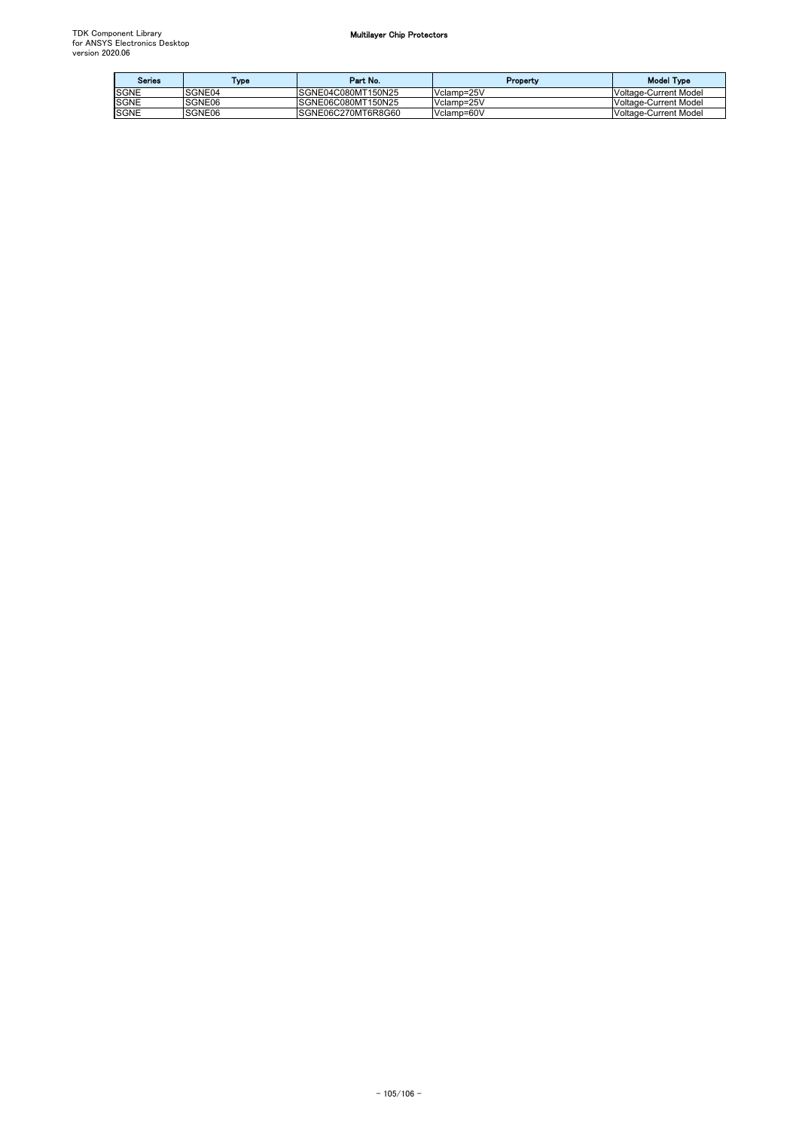| <b>Series</b> | Type   | Part No.            | Property   | <b>Model Type</b>            |
|---------------|--------|---------------------|------------|------------------------------|
| <b>SGNE</b>   | SGNE04 | SGNE04C080MT150N25  | Vclamp=25V | <b>Voltage-Current Model</b> |
| <b>SGNE</b>   | SGNE06 | ISGNE06C080MT150N25 | Vclamp=25V | <b>Voltage-Current Model</b> |
| <b>SGNE</b>   | SGNE06 | SGNE06C270MT6R8G60  | Vclamp=60V | Voltage-Current Model        |